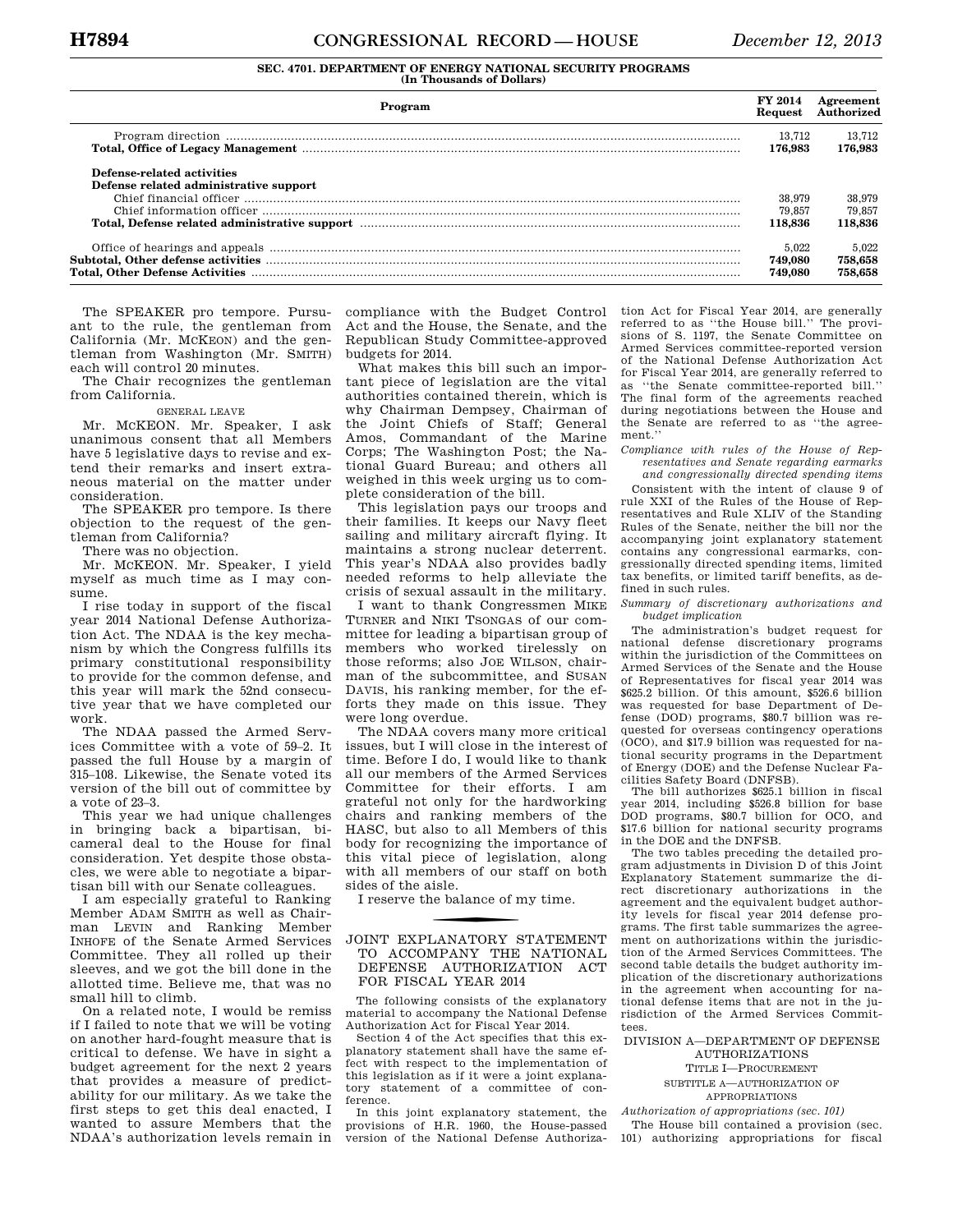# **SEC. 4701. DEPARTMENT OF ENERGY NATIONAL SECURITY PROGRAMS (In Thousands of Dollars)**

| Program                                                                                                                                                                                                                        | FY 2014<br>Request          | Agreement<br>Authorized     |
|--------------------------------------------------------------------------------------------------------------------------------------------------------------------------------------------------------------------------------|-----------------------------|-----------------------------|
| Total, Office of Legacy Management manufactured and the control of the control of the control of the control of the control of the control of the control of the control of the control of the control of the control of the c | 13,712<br>176.983           | 13.712<br>176.983           |
| Defense-related activities<br>Defense related administrative support                                                                                                                                                           |                             |                             |
|                                                                                                                                                                                                                                | 38,979                      | 38,979                      |
|                                                                                                                                                                                                                                | 79.857                      | 79.857                      |
|                                                                                                                                                                                                                                | 118.836                     | 118.836                     |
|                                                                                                                                                                                                                                | 5.022<br>749.080<br>749.080 | 5.022<br>758,658<br>758.658 |

The SPEAKER pro tempore. Pursuant to the rule, the gentleman from California (Mr. MCKEON) and the gentleman from Washington (Mr. SMITH) each will control 20 minutes.

The Chair recognizes the gentleman from California.

### GENERAL LEAVE

Mr. MCKEON. Mr. Speaker, I ask unanimous consent that all Members have 5 legislative days to revise and extend their remarks and insert extraneous material on the matter under consideration.

The SPEAKER pro tempore. Is there objection to the request of the gentleman from California?

There was no objection.

Mr. MCKEON. Mr. Speaker, I yield myself as much time as I may consume.

I rise today in support of the fiscal year 2014 National Defense Authorization Act. The NDAA is the key mechanism by which the Congress fulfills its primary constitutional responsibility to provide for the common defense, and this year will mark the 52nd consecutive year that we have completed our work.

The NDAA passed the Armed Services Committee with a vote of 59–2. It passed the full House by a margin of 315–108. Likewise, the Senate voted its version of the bill out of committee by a vote of 23–3.

This year we had unique challenges in bringing back a bipartisan, bicameral deal to the House for final consideration. Yet despite those obstacles, we were able to negotiate a bipartisan bill with our Senate colleagues.

I am especially grateful to Ranking Member ADAM SMITH as well as Chairman LEVIN and Ranking Member INHOFE of the Senate Armed Services Committee. They all rolled up their sleeves, and we got the bill done in the allotted time. Believe me, that was no small hill to climb.

On a related note, I would be remiss if I failed to note that we will be voting on another hard-fought measure that is critical to defense. We have in sight a budget agreement for the next 2 years that provides a measure of predictability for our military. As we take the first steps to get this deal enacted, I wanted to assure Members that the NDAA's authorization levels remain in compliance with the Budget Control Act and the House, the Senate, and the Republican Study Committee-approved budgets for 2014.

What makes this bill such an important piece of legislation are the vital authorities contained therein, which is why Chairman Dempsey, Chairman of the Joint Chiefs of Staff; General Amos, Commandant of the Marine Corps; The Washington Post; the National Guard Bureau; and others all weighed in this week urging us to complete consideration of the bill.

This legislation pays our troops and their families. It keeps our Navy fleet sailing and military aircraft flying. It maintains a strong nuclear deterrent. This year's NDAA also provides badly needed reforms to help alleviate the crisis of sexual assault in the military.

I want to thank Congressmen MIKE TURNER and NIKI TSONGAS of our committee for leading a bipartisan group of members who worked tirelessly on those reforms; also JOE WILSON, chairman of the subcommittee, and SUSAN DAVIS, his ranking member, for the efforts they made on this issue. They were long overdue.

The NDAA covers many more critical issues, but I will close in the interest of time. Before I do, I would like to thank all our members of the Armed Services Committee for their efforts. I am grateful not only for the hardworking chairs and ranking members of the HASC, but also to all Members of this body for recognizing the importance of this vital piece of legislation, along with all members of our staff on both sides of the aisle.

I reserve the balance of my time.

### **JOINT EXPLANATORY STATEMENT** TO ACCOMPANY THE NATIONAL DEFENSE AUTHORIZATION ACT FOR FISCAL YEAR 2014

The following consists of the explanatory material to accompany the National Defense Authorization Act for Fiscal Year 2014.

Section 4 of the Act specifies that this explanatory statement shall have the same effect with respect to the implementation of this legislation as if it were a joint explanatory statement of a committee of conference.

In this joint explanatory statement, the provisions of H.R. 1960, the House-passed version of the National Defense Authorization Act for Fiscal Year 2014, are generally referred to as ''the House bill.'' The provisions of S. 1197, the Senate Committee on Armed Services committee-reported version of the National Defense Authorization Act for Fiscal Year 2014, are generally referred to as ''the Senate committee-reported bill.'' The final form of the agreements reached during negotiations between the House and the Senate are referred to as ''the agreement.''

*Compliance with rules of the House of Representatives and Senate regarding earmarks and congressionally directed spending items* 

Consistent with the intent of clause 9 of rule XXI of the Rules of the House of Representatives and Rule XLIV of the Standing Rules of the Senate, neither the bill nor the accompanying joint explanatory statement contains any congressional earmarks, congressionally directed spending items, limited tax benefits, or limited tariff benefits, as defined in such rules.

*Summary of discretionary authorizations and budget implication* 

The administration's budget request for national defense discretionary programs within the jurisdiction of the Committees on Armed Services of the Senate and the House of Representatives for fiscal year 2014 was \$625.2 billion. Of this amount, \$526.6 billion was requested for base Department of Defense (DOD) programs, \$80.7 billion was requested for overseas contingency operations (OCO), and \$17.9 billion was requested for national security programs in the Department of Energy (DOE) and the Defense Nuclear Facilities Safety Board (DNFSB).

The bill authorizes \$625.1 billion in fiscal year 2014, including \$526.8 billion for base DOD programs, \$80.7 billion for OCO, and \$17.6 billion for national security programs in the DOE and the DNFSB.

The two tables preceding the detailed program adjustments in Division D of this Joint Explanatory Statement summarize the direct discretionary authorizations in the agreement and the equivalent budget authority levels for fiscal year 2014 defense programs. The first table summarizes the agreement on authorizations within the jurisdiction of the Armed Services Committees. The second table details the budget authority implication of the discretionary authorizations in the agreement when accounting for national defense items that are not in the jurisdiction of the Armed Services Committees.

DIVISION A—DEPARTMENT OF DEFENSE AUTHORIZATIONS

TITLE I—PROCUREMENT SUBTITLE A—AUTHORIZATION OF

APPROPRIATIONS

*Authorization of appropriations (sec. 101)*  The House bill contained a provision (sec. 101) authorizing appropriations for fiscal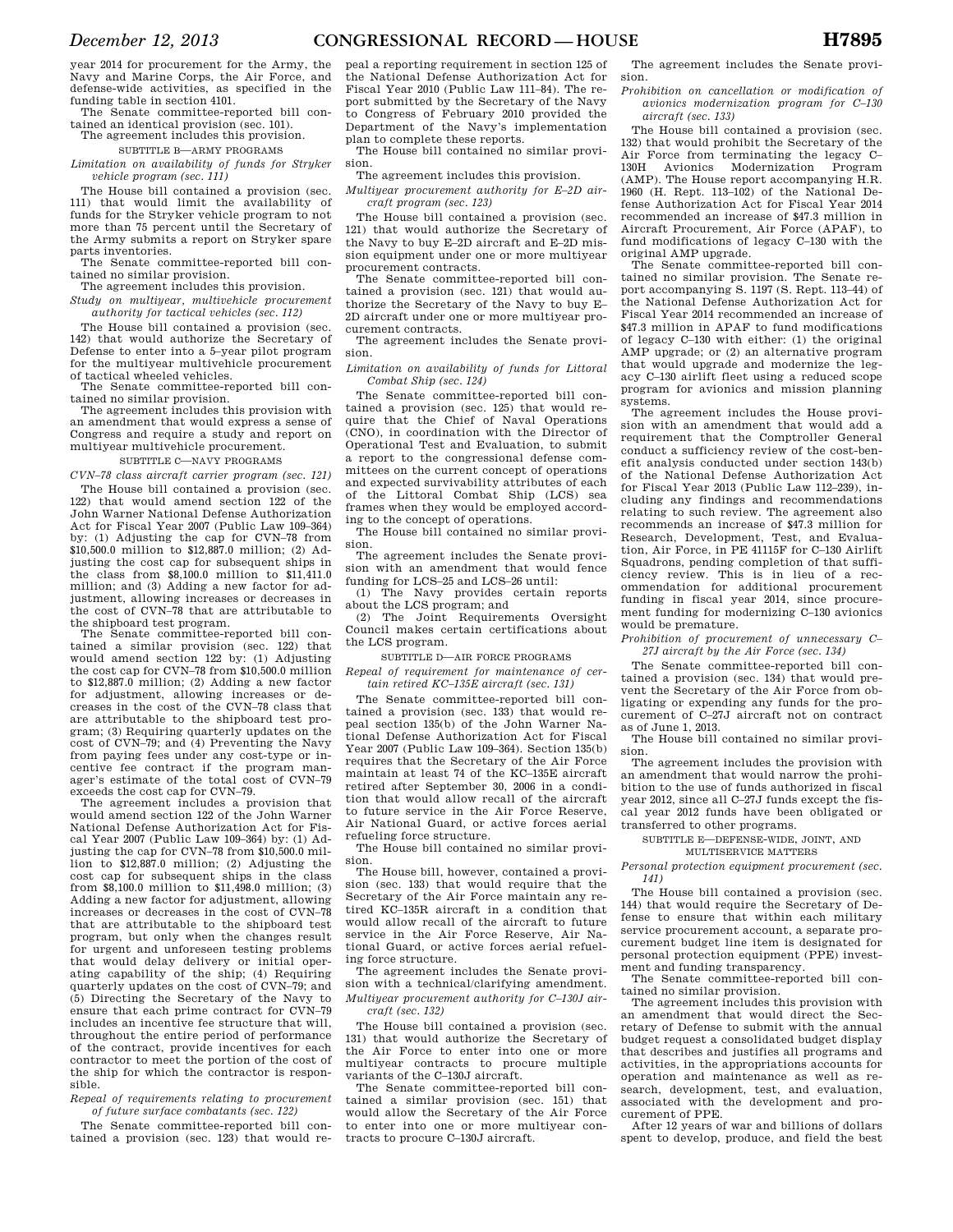year 2014 for procurement for the Army, the Navy and Marine Corps, the Air Force, and defense-wide activities, as specified in the funding table in section 4101. The Senate committee-reported bill con-

tained an identical provision (sec. 101).

### The agreement includes this provision. SUBTITLE B—ARMY PROGRAMS

*Limitation on availability of funds for Stryker vehicle program (sec. 111)* 

The House bill contained a provision (sec. 111) that would limit the availability of funds for the Stryker vehicle program to not more than 75 percent until the Secretary of the Army submits a report on Stryker spare parts inventories.

The Senate committee-reported bill contained no similar provision.

The agreement includes this provision.

*Study on multiyear, multivehicle procurement authority for tactical vehicles (sec. 112)* 

The House bill contained a provision (sec. 142) that would authorize the Secretary of Defense to enter into a 5–year pilot program for the multiyear multivehicle procurement of tactical wheeled vehicles.

The Senate committee-reported bill contained no similar provision.

The agreement includes this provision with an amendment that would express a sense of Congress and require a study and report on multiyear multivehicle procurement.

## SUBTITLE C—NAVY PROGRAMS

*CVN–78 class aircraft carrier program (sec. 121)*  The House bill contained a provision (sec. 122) that would amend section 122 of the John Warner National Defense Authorization Act for Fiscal Year 2007 (Public Law 109–364) by: (1) Adjusting the cap for CVN–78 from \$10,500.0 million to \$12,887.0 million; (2) Adjusting the cost cap for subsequent ships in the class from \$8,100.0 million to \$11,411.0 million; and (3) Adding a new factor for adjustment, allowing increases or decreases in the cost of CVN–78 that are attributable to the shipboard test program.

The Senate committee-reported bill contained a similar provision (sec. 122) that would amend section 122 by: (1) Adjusting the cost cap for CVN–78 from \$10,500.0 million to \$12,887.0 million; (2) Adding a new factor for adjustment, allowing increases or decreases in the cost of the CVN–78 class that are attributable to the shipboard test program; (3) Requiring quarterly updates on the cost of CVN–79; and (4) Preventing the Navy from paying fees under any cost-type or incentive fee contract if the program manager's estimate of the total cost of CVN–79 exceeds the cost cap for CVN–79.

The agreement includes a provision that would amend section 122 of the John Warner National Defense Authorization Act for Fiscal Year 2007 (Public Law 109–364) by: (1) Ad- $\frac{1}{2001}$  and  $\frac{1}{2001}$  (1)  $\frac{1}{2001}$  and  $\frac{1}{2001}$  million to \$12,887.0 million; (2) Adjusting the cost cap for subsequent ships in the class from \$8,100.0 million to \$11,498.0 million; (3) Adding a new factor for adjustment, allowing increases or decreases in the cost of CVN–78 that are attributable to the shipboard test program, but only when the changes result for urgent and unforeseen testing problems that would delay delivery or initial operating capability of the ship; (4) Requiring quarterly updates on the cost of CVN–79; and (5) Directing the Secretary of the Navy to ensure that each prime contract for CVN–79 includes an incentive fee structure that will, throughout the entire period of performance of the contract, provide incentives for each contractor to meet the portion of the cost of the ship for which the contractor is responsible.

*Repeal of requirements relating to procurement of future surface combatants (sec. 122)* 

The Senate committee-reported bill contained a provision (sec. 123) that would re-

peal a reporting requirement in section 125 of the National Defense Authorization Act for Fiscal Year 2010 (Public Law 111–84). The report submitted by the Secretary of the Navy to Congress of February 2010 provided the Department of the Navy's implementation plan to complete these reports.

The House bill contained no similar provision.

The agreement includes this provision.

*Multiyear procurement authority for E–2D aircraft program (sec. 123)* 

The House bill contained a provision (sec. 121) that would authorize the Secretary of the Navy to buy E–2D aircraft and E–2D mission equipment under one or more multiyear procurement contracts.

The Senate committee-reported bill contained a provision (sec. 121) that would authorize the Secretary of the Navy to buy E– 2D aircraft under one or more multiyear procurement contracts.

The agreement includes the Senate provision.

*Limitation on availability of funds for Littoral Combat Ship (sec. 124)* 

The Senate committee-reported bill contained a provision (sec. 125) that would require that the Chief of Naval Operations (CNO), in coordination with the Director of Operational Test and Evaluation, to submit a report to the congressional defense committees on the current concept of operations and expected survivability attributes of each of the Littoral Combat Ship (LCS) sea frames when they would be employed according to the concept of operations.

The House bill contained no similar provision.

The agreement includes the Senate provision with an amendment that would fence funding for LCS–25 and LCS–26 until:

(1) The Navy provides certain reports about the LCS program; and

(2) The Joint Requirements Oversight Council makes certain certifications about the LCS program.

SUBTITLE D—AIR FORCE PROGRAMS

*Repeal of requirement for maintenance of certain retired KC–135E aircraft (sec. 131)* 

The Senate committee-reported bill contained a provision (sec. 133) that would repeal section 135(b) of the John Warner National Defense Authorization Act for Fiscal Year 2007 (Public Law 109–364). Section 135(b) requires that the Secretary of the Air Force maintain at least 74 of the KC–135E aircraft retired after September 30, 2006 in a condition that would allow recall of the aircraft to future service in the Air Force Reserve, Air National Guard, or active forces aerial refueling force structure.

The House bill contained no similar provision.

The House bill, however, contained a provision (sec. 133) that would require that the Secretary of the Air Force maintain any retired KC–135R aircraft in a condition that would allow recall of the aircraft to future service in the Air Force Reserve, Air National Guard, or active forces aerial refueling force structure.

The agreement includes the Senate provision with a technical/clarifying amendment. *Multiyear procurement authority for C–130J aircraft (sec. 132)* 

The House bill contained a provision (sec. 131) that would authorize the Secretary of the Air Force to enter into one or more multiyear contracts to procure multiple variants of the C–130J aircraft.

The Senate committee-reported bill contained a similar provision (sec. 151) that would allow the Secretary of the Air Force to enter into one or more multiyear contracts to procure C–130J aircraft.

The agreement includes the Senate provision.

*Prohibition on cancellation or modification of avionics modernization program for C–130 aircraft (sec. 133)* 

The House bill contained a provision (sec. 132) that would prohibit the Secretary of the Air Force from terminating the legacy C-<br>130H Avionics Modernization Program Avionics Modernization Program (AMP). The House report accompanying H.R. 1960 (H. Rept. 113–102) of the National Defense Authorization Act for Fiscal Year 2014 recommended an increase of \$47.3 million in Aircraft Procurement, Air Force (APAF), to fund modifications of legacy C–130 with the original AMP upgrade.

The Senate committee-reported bill contained no similar provision. The Senate report accompanying S. 1197 (S. Rept. 113–44) of the National Defense Authorization Act for Fiscal Year 2014 recommended an increase of \$47.3 million in APAF to fund modifications of legacy C–130 with either: (1) the original AMP upgrade; or (2) an alternative program that would upgrade and modernize the legacy C–130 airlift fleet using a reduced scope program for avionics and mission planning systems.

The agreement includes the House provision with an amendment that would add a requirement that the Comptroller General conduct a sufficiency review of the cost-benefit analysis conducted under section 143(b) of the National Defense Authorization Act for Fiscal Year 2013 (Public Law 112–239), including any findings and recommendations relating to such review. The agreement also recommends an increase of \$47.3 million for Research, Development, Test, and Evaluation, Air Force, in PE 41115F for C–130 Airlift Squadrons, pending completion of that sufficiency review. This is in lieu of a recommendation for additional procurement funding in fiscal year 2014, since procurement funding for modernizing C–130 avionics would be premature.

*Prohibition of procurement of unnecessary C– 27J aircraft by the Air Force (sec. 134)* 

The Senate committee-reported bill contained a provision (sec. 134) that would prevent the Secretary of the Air Force from obligating or expending any funds for the procurement of C–27J aircraft not on contract as of June 1, 2013.

The House bill contained no similar provision.

The agreement includes the provision with an amendment that would narrow the prohibition to the use of funds authorized in fiscal year 2012, since all C–27J funds except the fiscal year 2012 funds have been obligated or transferred to other programs.

SUBTITLE E—DEFENSE-WIDE, JOINT, AND

MULTISERVICE MATTERS *Personal protection equipment procurement (sec. 141)* 

The House bill contained a provision (sec. 144) that would require the Secretary of Defense to ensure that within each military service procurement account, a separate procurement budget line item is designated for personal protection equipment (PPE) investment and funding transparency.

The Senate committee-reported bill contained no similar provision.

The agreement includes this provision with an amendment that would direct the Secretary of Defense to submit with the annual budget request a consolidated budget display that describes and justifies all programs and activities, in the appropriations accounts for operation and maintenance as well as research, development, test, and evaluation, associated with the development and procurement of PPE.

After 12 years of war and billions of dollars spent to develop, produce, and field the best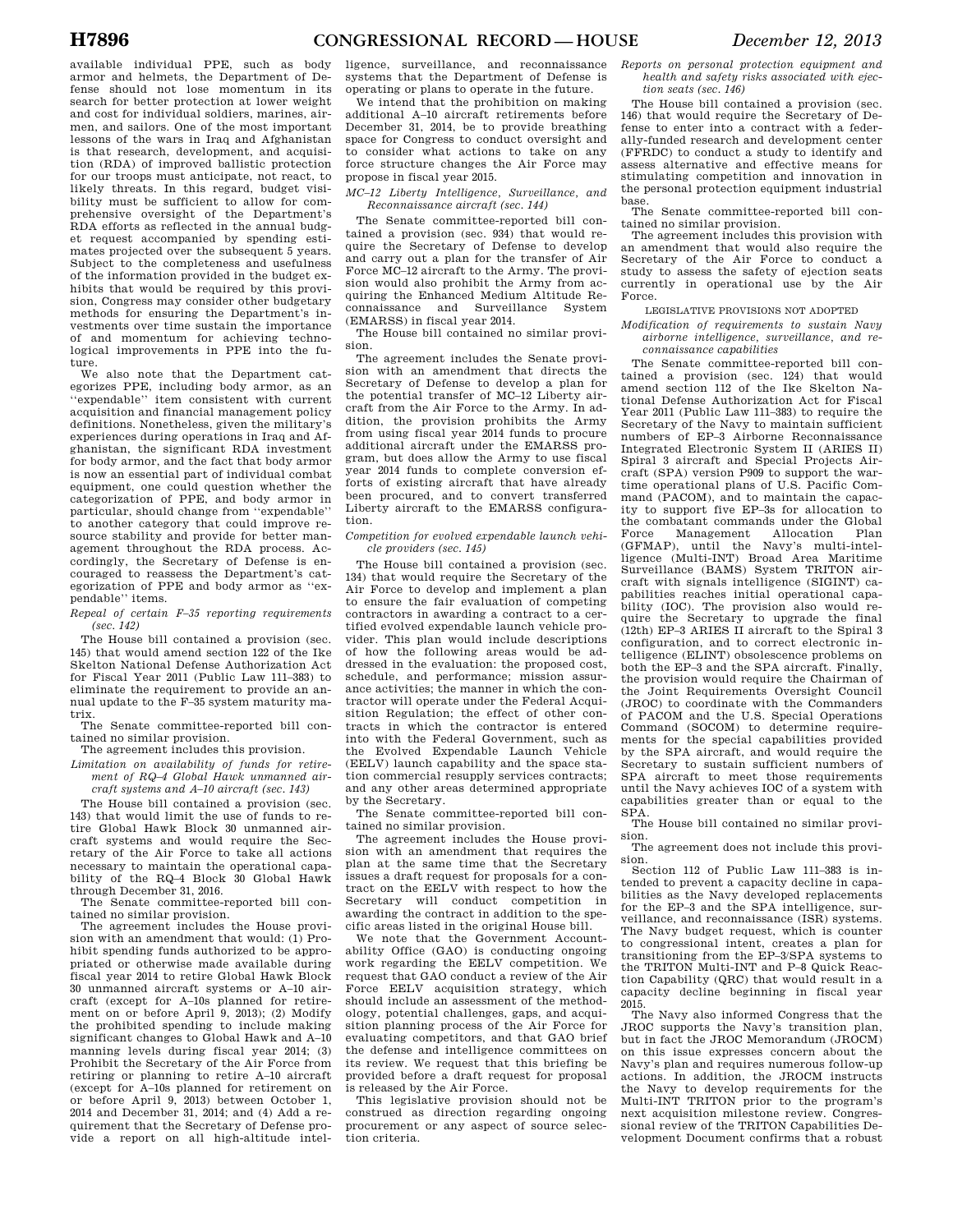available individual PPE, such as body armor and helmets, the Department of Defense should not lose momentum in its search for better protection at lower weight and cost for individual soldiers, marines, airmen, and sailors. One of the most important lessons of the wars in Iraq and Afghanistan is that research, development, and acquisition (RDA) of improved ballistic protection for our troops must anticipate, not react, to likely threats. In this regard, budget visibility must be sufficient to allow for comprehensive oversight of the Department's RDA efforts as reflected in the annual budget request accompanied by spending estimates projected over the subsequent 5 years. Subject to the completeness and usefulness of the information provided in the budget exhibits that would be required by this provision, Congress may consider other budgetary methods for ensuring the Department's investments over time sustain the importance of and momentum for achieving technological improvements in PPE into the future.

We also note that the Department categorizes PPE, including body armor, as an ''expendable'' item consistent with current acquisition and financial management policy definitions. Nonetheless, given the military's experiences during operations in Iraq and Afghanistan, the significant RDA investment for body armor, and the fact that body armor is now an essential part of individual combat equipment, one could question whether the categorization of PPE, and body armor in particular, should change from ''expendable'' to another category that could improve resource stability and provide for better management throughout the RDA process. Accordingly, the Secretary of Defense is encouraged to reassess the Department's categorization of PPE and body armor as ''expendable'' items.

*Repeal of certain F–35 reporting requirements (sec. 142)* 

The House bill contained a provision (sec. 145) that would amend section 122 of the Ike Skelton National Defense Authorization Act for Fiscal Year 2011 (Public Law 111–383) to eliminate the requirement to provide an annual update to the F–35 system maturity matrix.

The Senate committee-reported bill contained no similar provision.

The agreement includes this provision.

*Limitation on availability of funds for retirement of RQ–4 Global Hawk unmanned aircraft systems and A–10 aircraft (sec. 143)* 

The House bill contained a provision (sec. 143) that would limit the use of funds to retire Global Hawk Block 30 unmanned aircraft systems and would require the Secretary of the Air Force to take all actions necessary to maintain the operational capability of the RQ–4 Block 30 Global Hawk through December 31, 2016.

The Senate committee-reported bill contained no similar provision.

The agreement includes the House provision with an amendment that would: (1) Prohibit spending funds authorized to be appropriated or otherwise made available during fiscal year 2014 to retire Global Hawk Block 30 unmanned aircraft systems or A–10 aircraft (except for A–10s planned for retirement on or before April 9, 2013); (2) Modify the prohibited spending to include making significant changes to Global Hawk and A–10 manning levels during fiscal year 2014; (3) Prohibit the Secretary of the Air Force from retiring or planning to retire A–10 aircraft (except for A–10s planned for retirement on or before April 9, 2013) between October 1, 2014 and December 31, 2014; and (4) Add a requirement that the Secretary of Defense provide a report on all high-altitude intel-

ligence, surveillance, and reconnaissance systems that the Department of Defense is operating or plans to operate in the future.

We intend that the prohibition on making additional A–10 aircraft retirements before December 31, 2014, be to provide breathing space for Congress to conduct oversight and to consider what actions to take on any force structure changes the Air Force may propose in fiscal year 2015.

*MC–12 Liberty Intelligence, Surveillance, and Reconnaissance aircraft (sec. 144)* 

The Senate committee-reported bill contained a provision (sec. 934) that would require the Secretary of Defense to develop and carry out a plan for the transfer of Air Force MC–12 aircraft to the Army. The provision would also prohibit the Army from acquiring the Enhanced Medium Altitude Reconnaissance and Surveillance System (EMARSS) in fiscal year 2014.

The House bill contained no similar provision.

The agreement includes the Senate provision with an amendment that directs the Secretary of Defense to develop a plan for the potential transfer of MC–12 Liberty aircraft from the Air Force to the Army. In addition, the provision prohibits the Army from using fiscal year 2014 funds to procure additional aircraft under the EMARSS program, but does allow the Army to use fiscal year 2014 funds to complete conversion efforts of existing aircraft that have already been procured, and to convert transferred Liberty aircraft to the EMARSS configuration.

### *Competition for evolved expendable launch vehicle providers (sec. 145)*

The House bill contained a provision (sec. 134) that would require the Secretary of the Air Force to develop and implement a plan to ensure the fair evaluation of competing contractors in awarding a contract to a certified evolved expendable launch vehicle provider. This plan would include descriptions of how the following areas would be addressed in the evaluation: the proposed cost, schedule, and performance; mission assurance activities; the manner in which the contractor will operate under the Federal Acquisition Regulation; the effect of other contracts in which the contractor is entered into with the Federal Government, such as the Evolved Expendable Launch Vehicle (EELV) launch capability and the space station commercial resupply services contracts; and any other areas determined appropriate by the Secretary.

The Senate committee-reported bill contained no similar provision.

The agreement includes the House provision with an amendment that requires the plan at the same time that the Secretary issues a draft request for proposals for a contract on the EELV with respect to how the Secretary will conduct competition in awarding the contract in addition to the specific areas listed in the original House bill.

We note that the Government Accountability Office (GAO) is conducting ongoing work regarding the EELV competition. We request that GAO conduct a review of the Air Force EELV acquisition strategy, which should include an assessment of the methodology, potential challenges, gaps, and acquisition planning process of the Air Force for evaluating competitors, and that GAO brief the defense and intelligence committees on its review. We request that this briefing be provided before a draft request for proposal is released by the Air Force.

This legislative provision should not be construed as direction regarding ongoing procurement or any aspect of source selection criteria.

*Reports on personal protection equipment and health and safety risks associated with ejection seats (sec. 146)* 

The House bill contained a provision (sec. 146) that would require the Secretary of Defense to enter into a contract with a federally-funded research and development center (FFRDC) to conduct a study to identify and assess alternative and effective means for stimulating competition and innovation in the personal protection equipment industrial base.

The Senate committee-reported bill con-

tained no similar provision. The agreement includes this provision with an amendment that would also require the Secretary of the Air Force to conduct a study to assess the safety of ejection seats currently in operational use by the Air Force.

### LEGISLATIVE PROVISIONS NOT ADOPTED

*Modification of requirements to sustain Navy airborne intelligence, surveillance, and reconnaissance capabilities* 

The Senate committee-reported bill contained a provision (sec. 124) that would amend section 112 of the Ike Skelton National Defense Authorization Act for Fiscal Year 2011 (Public Law 111–383) to require the Secretary of the Navy to maintain sufficient numbers of EP–3 Airborne Reconnaissance Integrated Electronic System II (ARIES II) Spiral 3 aircraft and Special Projects Aircraft (SPA) version P909 to support the wartime operational plans of U.S. Pacific Command (PACOM), and to maintain the capacity to support five EP–3s for allocation to the combatant commands under the Global<br>Force Management Allocation Plan Force Management Allocation Plan (GFMAP), until the Navy's multi-intelligence (Multi-INT) Broad Area Maritime Surveillance (BAMS) System TRITON aircraft with signals intelligence (SIGINT) capabilities reaches initial operational capability (IOC). The provision also would require the Secretary to upgrade the final (12th) EP–3 ARIES II aircraft to the Spiral 3 configuration, and to correct electronic intelligence (ELINT) obsolescence problems on both the EP–3 and the SPA aircraft. Finally, the provision would require the Chairman of the Joint Requirements Oversight Council (JROC) to coordinate with the Commanders of PACOM and the U.S. Special Operations Command (SOCOM) to determine requirements for the special capabilities provided by the SPA aircraft, and would require the Secretary to sustain sufficient numbers of SPA aircraft to meet those requirements until the Navy achieves IOC of a system with capabilities greater than or equal to the SPA.

The House bill contained no similar provision.

The agreement does not include this provision.

Section 112 of Public Law 111–383 is intended to prevent a capacity decline in capabilities as the Navy developed replacements for the EP–3 and the SPA intelligence, surveillance, and reconnaissance (ISR) systems. The Navy budget request, which is counter to congressional intent, creates a plan for transitioning from the EP–3/SPA systems to the TRITON Multi-INT and P–8 Quick Reaction Capability (QRC) that would result in a capacity decline beginning in fiscal year 2015.

The Navy also informed Congress that the JROC supports the Navy's transition plan, but in fact the JROC Memorandum (JROCM) on this issue expresses concern about the Navy's plan and requires numerous follow-up actions. In addition, the JROCM instructs the Navy to develop requirements for the Multi-INT TRITON prior to the program's next acquisition milestone review. Congressional review of the TRITON Capabilities Development Document confirms that a robust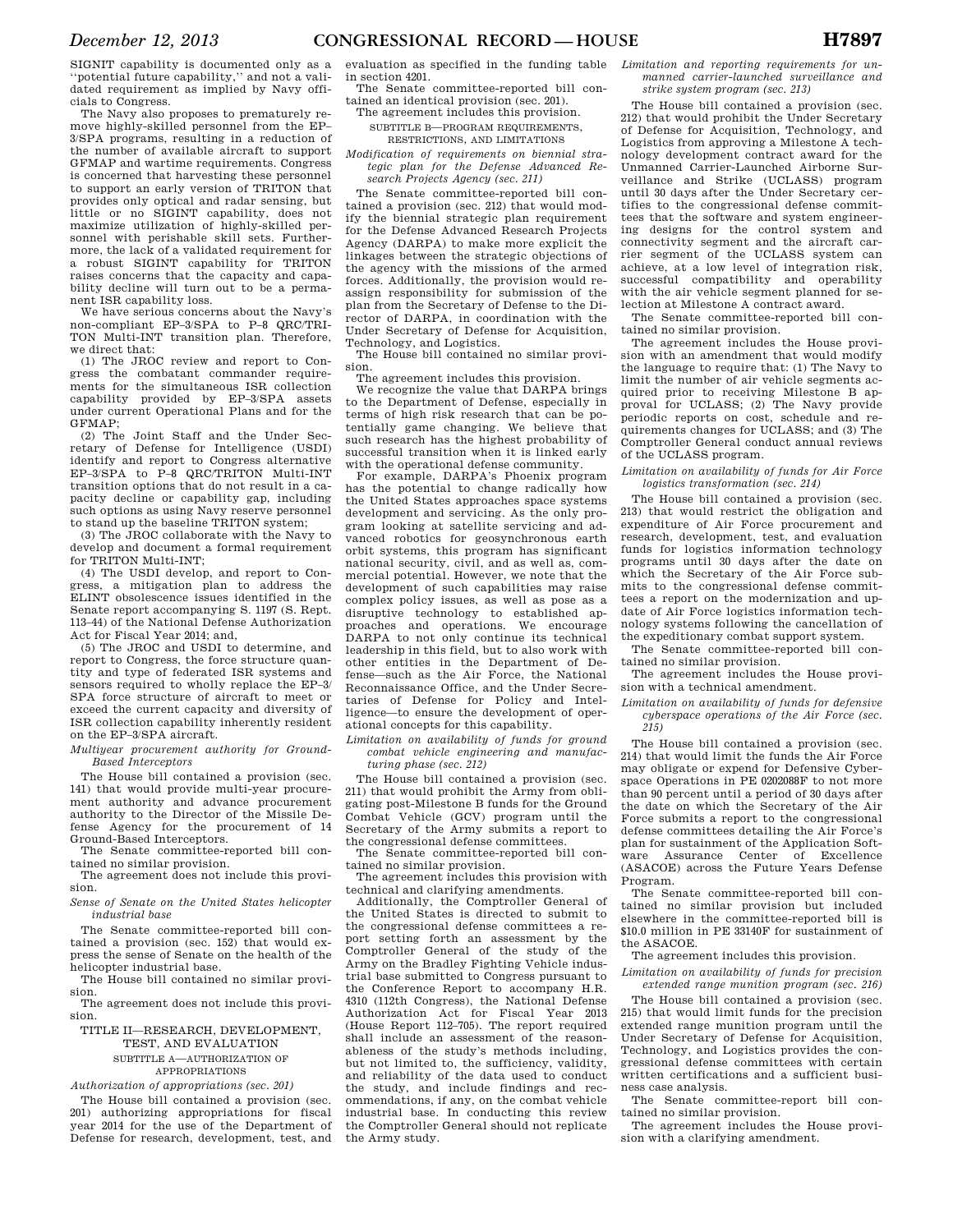SIGNIT capability is documented only as a ''potential future capability,'' and not a validated requirement as implied by Navy officials to Congress.

The Navy also proposes to prematurely remove highly-skilled personnel from the EP– 3/SPA programs, resulting in a reduction of the number of available aircraft to support GFMAP and wartime requirements. Congress is concerned that harvesting these personnel to support an early version of TRITON that provides only optical and radar sensing, but little or no SIGINT capability, does not maximize utilization of highly-skilled personnel with perishable skill sets. Furthermore, the lack of a validated requirement for a robust SIGINT capability for TRITON raises concerns that the capacity and capability decline will turn out to be a permanent ISR capability loss.

We have serious concerns about the Navy's non-compliant EP–3/SPA to P–8 QRC/TRI-TON Multi-INT transition plan. Therefore, we direct that:

(1) The JROC review and report to Congress the combatant commander requirements for the simultaneous ISR collection capability provided by EP–3/SPA assets under current Operational Plans and for the GFMAP;

(2) The Joint Staff and the Under Secretary of Defense for Intelligence (USDI) identify and report to Congress alternative EP–3/SPA to P–8 QRC/TRITON Multi-INT transition options that do not result in a capacity decline or capability gap, including such options as using Navy reserve personnel to stand up the baseline TRITON system;

(3) The JROC collaborate with the Navy to develop and document a formal requirement for TRITON Multi-INT;

(4) The USDI develop, and report to Congress, a mitigation plan to address the ELINT obsolescence issues identified in the Senate report accompanying S. 1197 (S. Rept. 113–44) of the National Defense Authorization Act for Fiscal Year 2014; and,

(5) The JROC and USDI to determine, and report to Congress, the force structure quantity and type of federated ISR systems and sensors required to wholly replace the EP–3/ SPA force structure of aircraft to meet or exceed the current capacity and diversity of ISR collection capability inherently resident on the EP–3/SPA aircraft.

*Multiyear procurement authority for Ground-Based Interceptors* 

The House bill contained a provision (sec. 141) that would provide multi-year procurement authority and advance procurement authority to the Director of the Missile Defense Agency for the procurement of 14 Ground-Based Interceptors.

The Senate committee-reported bill contained no similar provision.

The agreement does not include this provision.

*Sense of Senate on the United States helicopter industrial base* 

The Senate committee-reported bill contained a provision (sec. 152) that would express the sense of Senate on the health of the helicopter industrial base.

The House bill contained no similar provision.

The agreement does not include this provision.

TITLE II—RESEARCH, DEVELOPMENT, TEST, AND EVALUATION SUBTITLE A—AUTHORIZATION OF APPROPRIATIONS

*Authorization of appropriations (sec. 201)* 

The House bill contained a provision (sec. 201) authorizing appropriations for fiscal year 2014 for the use of the Department of Defense for research, development, test, and evaluation as specified in the funding table in section 4201.

The Senate committee-reported bill contained an identical provision (sec. 201).

The agreement includes this provision. SUBTITLE B—PROGRAM REQUIREMENTS,

RESTRICTIONS, AND LIMITATIONS

*Modification of requirements on biennial strategic plan for the Defense Advanced Research Projects Agency (sec. 211)* 

The Senate committee-reported bill contained a provision (sec. 212) that would modify the biennial strategic plan requirement for the Defense Advanced Research Projects Agency (DARPA) to make more explicit the linkages between the strategic objections of the agency with the missions of the armed forces. Additionally, the provision would reassign responsibility for submission of the plan from the Secretary of Defense to the Director of DARPA, in coordination with the Under Secretary of Defense for Acquisition, Technology, and Logistics.

The House bill contained no similar provision.

The agreement includes this provision.

We recognize the value that DARPA brings to the Department of Defense, especially in terms of high risk research that can be potentially game changing. We believe that such research has the highest probability of successful transition when it is linked early with the operational defense community.

For example, DARPA's Phoenix program has the potential to change radically how the United States approaches space systems development and servicing. As the only program looking at satellite servicing and advanced robotics for geosynchronous earth orbit systems, this program has significant national security, civil, and as well as, commercial potential. However, we note that the development of such capabilities may raise complex policy issues, as well as pose as a disruptive technology to established approaches and operations. We encourage DARPA to not only continue its technical leadership in this field, but to also work with other entities in the Department of Defense—such as the Air Force, the National Reconnaissance Office, and the Under Secretaries of Defense for Policy and Intelligence—to ensure the development of operational concepts for this capability.

*Limitation on availability of funds for ground combat vehicle engineering and manufacturing phase (sec. 212)* 

The House bill contained a provision (sec. 211) that would prohibit the Army from obligating post-Milestone B funds for the Ground Combat Vehicle (GCV) program until the Secretary of the Army submits a report to the congressional defense committees.

The Senate committee-reported bill contained no similar provision.

The agreement includes this provision with technical and clarifying amendments.

Additionally, the Comptroller General of the United States is directed to submit to the congressional defense committees a report setting forth an assessment by the Comptroller General of the study of the Army on the Bradley Fighting Vehicle industrial base submitted to Congress pursuant to the Conference Report to accompany H.R. 4310 (112th Congress), the National Defense Authorization Act for Fiscal Year 2013 (House Report 112–705). The report required shall include an assessment of the reasonableness of the study's methods including, but not limited to, the sufficiency, validity, and reliability of the data used to conduct the study, and include findings and recommendations, if any, on the combat vehicle industrial base. In conducting this review the Comptroller General should not replicate the Army study.

*Limitation and reporting requirements for unmanned carrier-launched surveillance and strike system program (sec. 213)* 

The House bill contained a provision (sec. 212) that would prohibit the Under Secretary of Defense for Acquisition, Technology, and Logistics from approving a Milestone A technology development contract award for the Unmanned Carrier-Launched Airborne Surveillance and Strike (UCLASS) program until 30 days after the Under Secretary certifies to the congressional defense committees that the software and system engineering designs for the control system and connectivity segment and the aircraft carrier segment of the UCLASS system can achieve, at a low level of integration risk, successful compatibility and operability with the air vehicle segment planned for selection at Milestone A contract award.

The Senate committee-reported bill contained no similar provision.

The agreement includes the House provision with an amendment that would modify the language to require that: (1) The Navy to limit the number of air vehicle segments acquired prior to receiving Milestone B approval for UCLASS; (2) The Navy provide periodic reports on cost, schedule and requirements changes for UCLASS; and (3) The Comptroller General conduct annual reviews of the UCLASS program.

*Limitation on availability of funds for Air Force logistics transformation (sec. 214)* 

The House bill contained a provision (sec. 213) that would restrict the obligation and expenditure of Air Force procurement and research, development, test, and evaluation funds for logistics information technology programs until 30 days after the date on which the Secretary of the Air Force submits to the congressional defense committees a report on the modernization and update of Air Force logistics information technology systems following the cancellation of the expeditionary combat support system.

The Senate committee-reported bill contained no similar provision.

The agreement includes the House provision with a technical amendment.

*Limitation on availability of funds for defensive cyberspace operations of the Air Force (sec. 215)* 

The House bill contained a provision (sec. 214) that would limit the funds the Air Force may obligate or expend for Defensive Cyberspace Operations in PE 0202088F to not more than 90 percent until a period of 30 days after the date on which the Secretary of the Air Force submits a report to the congressional defense committees detailing the Air Force's plan for sustainment of the Application Software Assurance Center of Excellence (ASACOE) across the Future Years Defense Program.

The Senate committee-reported bill contained no similar provision but included elsewhere in the committee-reported bill is \$10.0 million in PE 33140F for sustainment of the ASACOE.

The agreement includes this provision.

*Limitation on availability of funds for precision extended range munition program (sec. 216)* 

The House bill contained a provision (sec. 215) that would limit funds for the precision extended range munition program until the Under Secretary of Defense for Acquisition, Technology, and Logistics provides the congressional defense committees with certain written certifications and a sufficient business case analysis.

The Senate committee-report bill contained no similar provision.

The agreement includes the House provision with a clarifying amendment.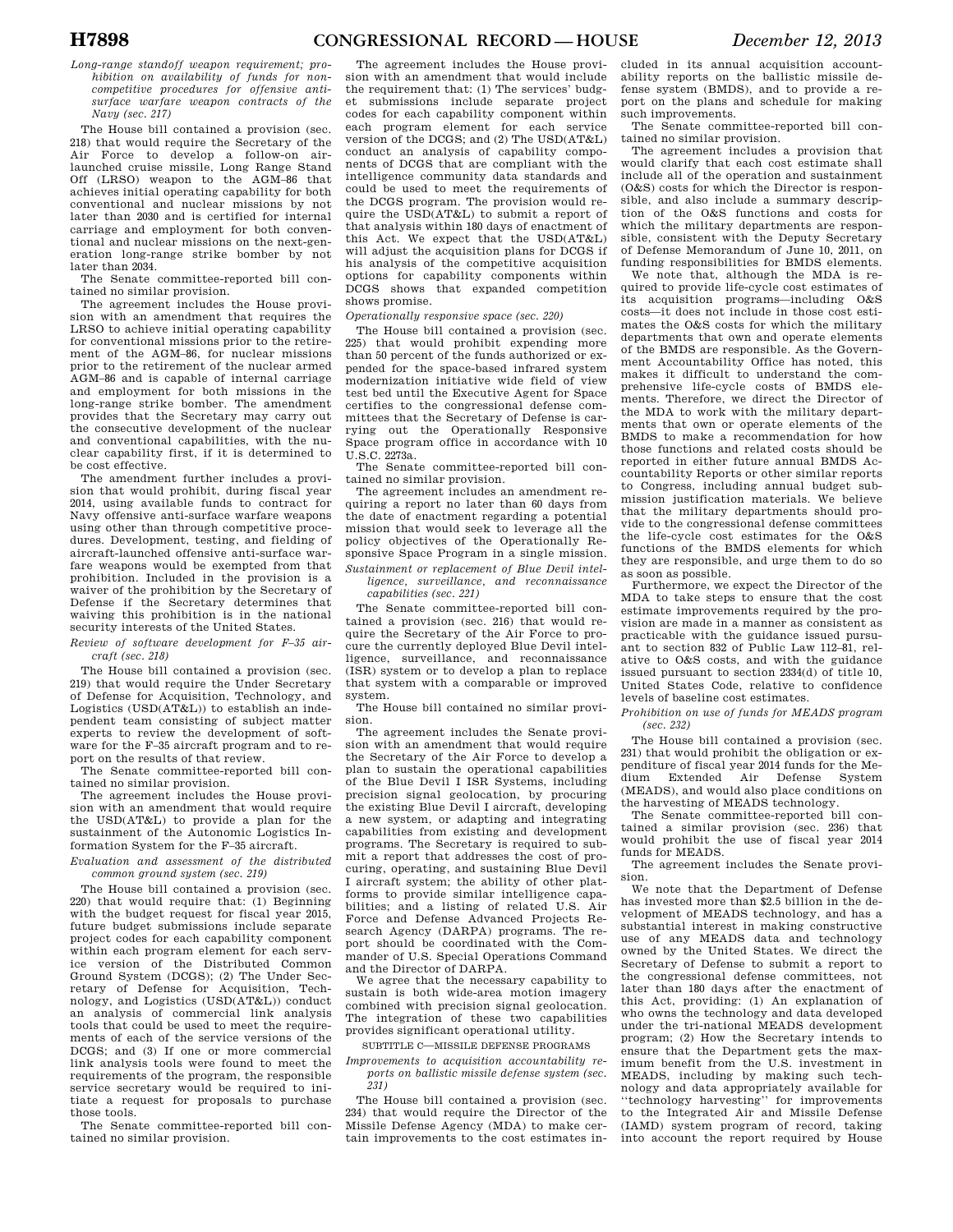*Long-range standoff weapon requirement; prohibition on availability of funds for noncompetitive procedures for offensive antisurface warfare weapon contracts of the Navy (sec. 217)* 

The House bill contained a provision (sec. 218) that would require the Secretary of the Air Force to develop a follow-on airlaunched cruise missile, Long Range Stand Off (LRSO) weapon to the AGM–86 that achieves initial operating capability for both conventional and nuclear missions by not later than 2030 and is certified for internal carriage and employment for both conventional and nuclear missions on the next-generation long-range strike bomber by not later than 2034.

The Senate committee-reported bill contained no similar provision.

The agreement includes the House provision with an amendment that requires the LRSO to achieve initial operating capability for conventional missions prior to the retirement of the AGM–86, for nuclear missions prior to the retirement of the nuclear armed AGM–86 and is capable of internal carriage and employment for both missions in the long-range strike bomber. The amendment provides that the Secretary may carry out the consecutive development of the nuclear and conventional capabilities, with the nuclear capability first, if it is determined to be cost effective.

The amendment further includes a provision that would prohibit, during fiscal year 2014, using available funds to contract for Navy offensive anti-surface warfare weapons using other than through competitive procedures. Development, testing, and fielding of aircraft-launched offensive anti-surface warfare weapons would be exempted from that prohibition. Included in the provision is a waiver of the prohibition by the Secretary of Defense if the Secretary determines that waiving this prohibition is in the national security interests of the United States.

*Review of software development for F–35 aircraft (sec. 218)* 

The House bill contained a provision (sec. 219) that would require the Under Secretary of Defense for Acquisition, Technology, and Logistics (USD(AT&L)) to establish an independent team consisting of subject matter experts to review the development of software for the F–35 aircraft program and to report on the results of that review.

The Senate committee-reported bill contained no similar provision.

The agreement includes the House provision with an amendment that would require the USD(AT&L) to provide a plan for the sustainment of the Autonomic Logistics Information System for the F–35 aircraft.

*Evaluation and assessment of the distributed common ground system (sec. 219)* 

The House bill contained a provision (sec. 220) that would require that: (1) Beginning with the budget request for fiscal year 2015, future budget submissions include separate project codes for each capability component within each program element for each service version of the Distributed Common Ground System (DCGS); (2) The Under Secretary of Defense for Acquisition, Technology, and Logistics (USD(AT&L)) conduct an analysis of commercial link analysis tools that could be used to meet the requirements of each of the service versions of the DCGS; and (3) If one or more commercial link analysis tools were found to meet the requirements of the program, the responsible service secretary would be required to initiate a request for proposals to purchase those tools.

The Senate committee-reported bill contained no similar provision.

The agreement includes the House provision with an amendment that would include the requirement that: (1) The services' budget submissions include separate project codes for each capability component within each program element for each service version of the DCGS; and (2) The USD(AT&L) conduct an analysis of capability components of DCGS that are compliant with the intelligence community data standards and could be used to meet the requirements of the DCGS program. The provision would require the USD(AT&L) to submit a report of that analysis within 180 days of enactment of this Act. We expect that the USD(AT&L) will adjust the acquisition plans for DCGS if his analysis of the competitive acquisition options for capability components within DCGS shows that expanded competition shows promise.

### *Operationally responsive space (sec. 220)*

The House bill contained a provision (sec. 225) that would prohibit expending more than 50 percent of the funds authorized or expended for the space-based infrared system modernization initiative wide field of view test bed until the Executive Agent for Space certifies to the congressional defense committees that the Secretary of Defense is carrying out the Operationally Responsive Space program office in accordance with 10 U.S.C. 2273a.

The Senate committee-reported bill contained no similar provision.

The agreement includes an amendment requiring a report no later than 60 days from the date of enactment regarding a potential mission that would seek to leverage all the policy objectives of the Operationally Responsive Space Program in a single mission.

*Sustainment or replacement of Blue Devil intelligence, surveillance, and reconnaissance capabilities (sec. 221)* 

The Senate committee-reported bill contained a provision (sec. 216) that would require the Secretary of the Air Force to procure the currently deployed Blue Devil intelligence, surveillance, and reconnaissance (ISR) system or to develop a plan to replace that system with a comparable or improved system.

The House bill contained no similar provision.

The agreement includes the Senate provision with an amendment that would require the Secretary of the Air Force to develop a plan to sustain the operational capabilities of the Blue Devil I ISR Systems, including precision signal geolocation, by procuring the existing Blue Devil I aircraft, developing a new system, or adapting and integrating capabilities from existing and development programs. The Secretary is required to submit a report that addresses the cost of procuring, operating, and sustaining Blue Devil I aircraft system; the ability of other platforms to provide similar intelligence capabilities; and a listing of related U.S. Air Force and Defense Advanced Projects Research Agency (DARPA) programs. The report should be coordinated with the Commander of U.S. Special Operations Command and the Director of DARPA.

We agree that the necessary capability to sustain is both wide-area motion imagery combined with precision signal geolocation. The integration of these two capabilities provides significant operational utility.

SUBTITLE C—MISSILE DEFENSE PROGRAMS

*Improvements to acquisition accountability reports on ballistic missile defense system (sec. 231)* 

The House bill contained a provision (sec. 234) that would require the Director of the Missile Defense Agency (MDA) to make certain improvements to the cost estimates in-

cluded in its annual acquisition accountability reports on the ballistic missile defense system (BMDS), and to provide a report on the plans and schedule for making such improvements.

The Senate committee-reported bill contained no similar provision.

The agreement includes a provision that would clarify that each cost estimate shall include all of the operation and sustainment (O&S) costs for which the Director is responsible, and also include a summary description of the O&S functions and costs for which the military departments are responsible, consistent with the Deputy Secretary of Defense Memorandum of June 10, 2011, on funding responsibilities for BMDS elements.

We note that, although the MDA is required to provide life-cycle cost estimates of its acquisition programs—including O&S costs—it does not include in those cost estimates the O&S costs for which the military departments that own and operate elements of the BMDS are responsible. As the Government Accountability Office has noted, this makes it difficult to understand the comprehensive life-cycle costs of BMDS elements. Therefore, we direct the Director of the MDA to work with the military departments that own or operate elements of the BMDS to make a recommendation for how those functions and related costs should be reported in either future annual BMDS Accountability Reports or other similar reports to Congress, including annual budget submission justification materials. We believe that the military departments should provide to the congressional defense committees the life-cycle cost estimates for the O&S functions of the BMDS elements for which they are responsible, and urge them to do so as soon as possible.

Furthermore, we expect the Director of the MDA to take steps to ensure that the cost estimate improvements required by the provision are made in a manner as consistent as practicable with the guidance issued pursuant to section 832 of Public Law 112–81, relative to O&S costs, and with the guidance issued pursuant to section 2334(d) of title 10, United States Code, relative to confidence levels of baseline cost estimates.

*Prohibition on use of funds for MEADS program (sec. 232)* 

The House bill contained a provision (sec. 231) that would prohibit the obligation or expenditure of fiscal year 2014 funds for the Medium Extended Air Defense System (MEADS), and would also place conditions on the harvesting of MEADS technology.

The Senate committee-reported bill contained a similar provision (sec. 236) that would prohibit the use of fiscal year 2014 funds for MEADS.

The agreement includes the Senate provision.

We note that the Department of Defense has invested more than \$2.5 billion in the development of MEADS technology, and has a substantial interest in making constructive use of any MEADS data and technology owned by the United States. We direct the Secretary of Defense to submit a report to the congressional defense committees, not later than 180 days after the enactment of this Act, providing: (1) An explanation of who owns the technology and data developed under the tri-national MEADS development program; (2) How the Secretary intends to ensure that the Department gets the maximum benefit from the U.S. investment in MEADS, including by making such technology and data appropriately available for ''technology harvesting'' for improvements to the Integrated Air and Missile Defense (IAMD) system program of record, taking into account the report required by House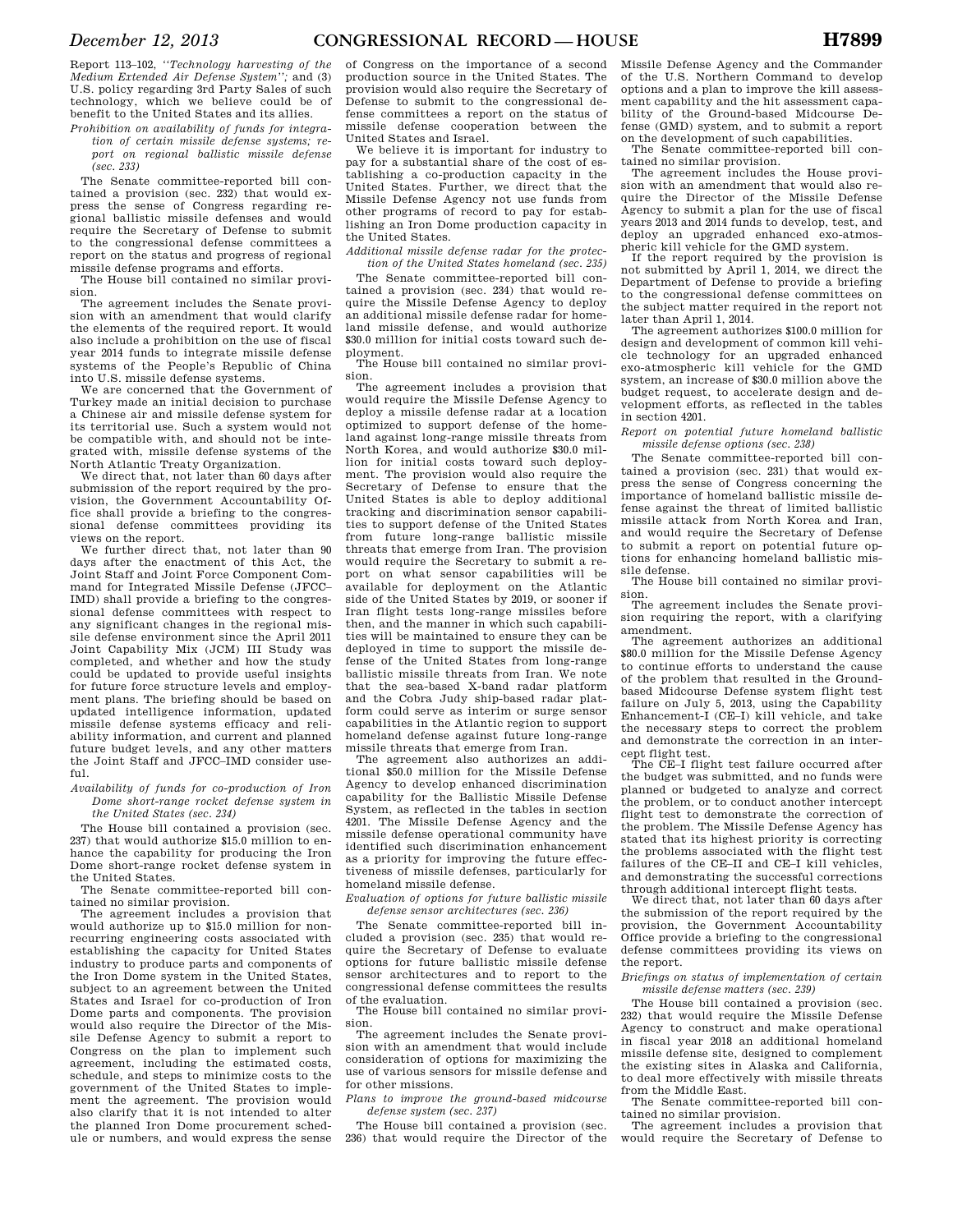Report 113–102, *''Technology harvesting of the Medium Extended Air Defense System'';* and (3) U.S. policy regarding 3rd Party Sales of such technology, which we believe could be of benefit to the United States and its allies.

*Prohibition on availability of funds for integration of certain missile defense systems; report on regional ballistic missile defense (sec. 233)* 

The Senate committee-reported bill contained a provision (sec. 232) that would express the sense of Congress regarding regional ballistic missile defenses and would require the Secretary of Defense to submit to the congressional defense committees a report on the status and progress of regional missile defense programs and efforts.

The House bill contained no similar provision.

The agreement includes the Senate provision with an amendment that would clarify the elements of the required report. It would also include a prohibition on the use of fiscal year 2014 funds to integrate missile defense systems of the People's Republic of China into U.S. missile defense systems.

We are concerned that the Government of Turkey made an initial decision to purchase a Chinese air and missile defense system for its territorial use. Such a system would not be compatible with, and should not be integrated with, missile defense systems of the North Atlantic Treaty Organization.

We direct that, not later than 60 days after submission of the report required by the provision, the Government Accountability Office shall provide a briefing to the congressional defense committees providing its views on the report.

We further direct that, not later than 90 days after the enactment of this Act, the Joint Staff and Joint Force Component Command for Integrated Missile Defense (JFCC– IMD) shall provide a briefing to the congressional defense committees with respect to any significant changes in the regional missile defense environment since the April 2011 Joint Capability Mix (JCM) III Study was completed, and whether and how the study could be updated to provide useful insights for future force structure levels and employment plans. The briefing should be based on updated intelligence information, updated missile defense systems efficacy and reliability information, and current and planned future budget levels, and any other matters the Joint Staff and JFCC–IMD consider useful.

### *Availability of funds for co-production of Iron Dome short-range rocket defense system in the United States (sec. 234)*

The House bill contained a provision (sec. 237) that would authorize \$15.0 million to enhance the capability for producing the Iron Dome short-range rocket defense system in the United States.

The Senate committee-reported bill contained no similar provision.

The agreement includes a provision that would authorize up to \$15.0 million for nonrecurring engineering costs associated with establishing the capacity for United States industry to produce parts and components of the Iron Dome system in the United States, subject to an agreement between the United States and Israel for co-production of Iron Dome parts and components. The provision would also require the Director of the Missile Defense Agency to submit a report to Congress on the plan to implement such agreement, including the estimated costs, schedule, and steps to minimize costs to the government of the United States to implement the agreement. The provision would also clarify that it is not intended to alter the planned Iron Dome procurement schedule or numbers, and would express the sense

of Congress on the importance of a second production source in the United States. The provision would also require the Secretary of Defense to submit to the congressional defense committees a report on the status of missile defense cooperation between the United States and Israel.

We believe it is important for industry to pay for a substantial share of the cost of establishing a co-production capacity in the United States. Further, we direct that the Missile Defense Agency not use funds from other programs of record to pay for establishing an Iron Dome production capacity in the United States.

*Additional missile defense radar for the protection of the United States homeland (sec. 235)* 

The Senate committee-reported bill contained a provision (sec. 234) that would require the Missile Defense Agency to deploy an additional missile defense radar for homeland missile defense, and would authorize \$30.0 million for initial costs toward such deployment.

The House bill contained no similar provision.

The agreement includes a provision that would require the Missile Defense Agency to deploy a missile defense radar at a location optimized to support defense of the homeland against long-range missile threats from North Korea, and would authorize \$30.0 million for initial costs toward such deployment. The provision would also require the Secretary of Defense to ensure that the United States is able to deploy additional tracking and discrimination sensor capabilities to support defense of the United States from future long-range ballistic missile threats that emerge from Iran. The provision would require the Secretary to submit a report on what sensor capabilities will be available for deployment on the Atlantic side of the United States by 2019, or sooner if Iran flight tests long-range missiles before then, and the manner in which such capabilities will be maintained to ensure they can be deployed in time to support the missile defense of the United States from long-range ballistic missile threats from Iran. We note that the sea-based X-band radar platform and the Cobra Judy ship-based radar platform could serve as interim or surge sensor capabilities in the Atlantic region to support homeland defense against future long-range missile threats that emerge from Iran.

The agreement also authorizes an additional \$50.0 million for the Missile Defense Agency to develop enhanced discrimination capability for the Ballistic Missile Defense System, as reflected in the tables in section 4201. The Missile Defense Agency and the missile defense operational community have identified such discrimination enhancement as a priority for improving the future effectiveness of missile defenses, particularly for homeland missile defense.

*Evaluation of options for future ballistic missile defense sensor architectures (sec. 236)* 

The Senate committee-reported bill included a provision (sec. 235) that would require the Secretary of Defense to evaluate options for future ballistic missile defense sensor architectures and to report to the congressional defense committees the results of the evaluation.

The House bill contained no similar provision.

The agreement includes the Senate provision with an amendment that would include consideration of options for maximizing the use of various sensors for missile defense and for other missions.

*Plans to improve the ground-based midcourse defense system (sec. 237)* 

The House bill contained a provision (sec. 236) that would require the Director of the Missile Defense Agency and the Commander of the U.S. Northern Command to develop options and a plan to improve the kill assessment capability and the hit assessment capability of the Ground-based Midcourse Defense (GMD) system, and to submit a report on the development of such capabilities.

The Senate committee-reported bill contained no similar provision.

The agreement includes the House provision with an amendment that would also require the Director of the Missile Defense Agency to submit a plan for the use of fiscal years 2013 and 2014 funds to develop, test, and deploy an upgraded enhanced exo-atmospheric kill vehicle for the GMD system.

If the report required by the provision is not submitted by April 1, 2014, we direct the Department of Defense to provide a briefing to the congressional defense committees on the subject matter required in the report not later than April 1, 2014.

The agreement authorizes \$100.0 million for design and development of common kill vehicle technology for an upgraded enhanced exo-atmospheric kill vehicle for the GMD system, an increase of \$30.0 million above the budget request, to accelerate design and development efforts, as reflected in the tables in section 4201.

*Report on potential future homeland ballistic missile defense options (sec. 238)* 

The Senate committee-reported bill contained a provision (sec. 231) that would express the sense of Congress concerning the importance of homeland ballistic missile defense against the threat of limited ballistic missile attack from North Korea and Iran, and would require the Secretary of Defense to submit a report on potential future options for enhancing homeland ballistic missile defense.

The House bill contained no similar provision.

The agreement includes the Senate provision requiring the report, with a clarifying amendment.

The agreement authorizes an additional \$80.0 million for the Missile Defense Agency to continue efforts to understand the cause of the problem that resulted in the Groundbased Midcourse Defense system flight test failure on July 5, 2013, using the Capability Enhancement-I (CE–I) kill vehicle, and take the necessary steps to correct the problem and demonstrate the correction in an intercept flight test.

The CE–I flight test failure occurred after the budget was submitted, and no funds were planned or budgeted to analyze and correct the problem, or to conduct another intercept flight test to demonstrate the correction of the problem. The Missile Defense Agency has stated that its highest priority is correcting the problems associated with the flight test failures of the CE–II and CE–I kill vehicles. and demonstrating the successful corrections through additional intercept flight tests.

We direct that, not later than 60 days after the submission of the report required by the provision, the Government Accountability Office provide a briefing to the congressional defense committees providing its views on the report.

*Briefings on status of implementation of certain missile defense matters (sec. 239)* 

The House bill contained a provision (sec. 232) that would require the Missile Defense Agency to construct and make operational in fiscal year 2018 an additional homeland missile defense site, designed to complement the existing sites in Alaska and California, to deal more effectively with missile threats from the Middle East.

The Senate committee-reported bill contained no similar provision.

The agreement includes a provision that would require the Secretary of Defense to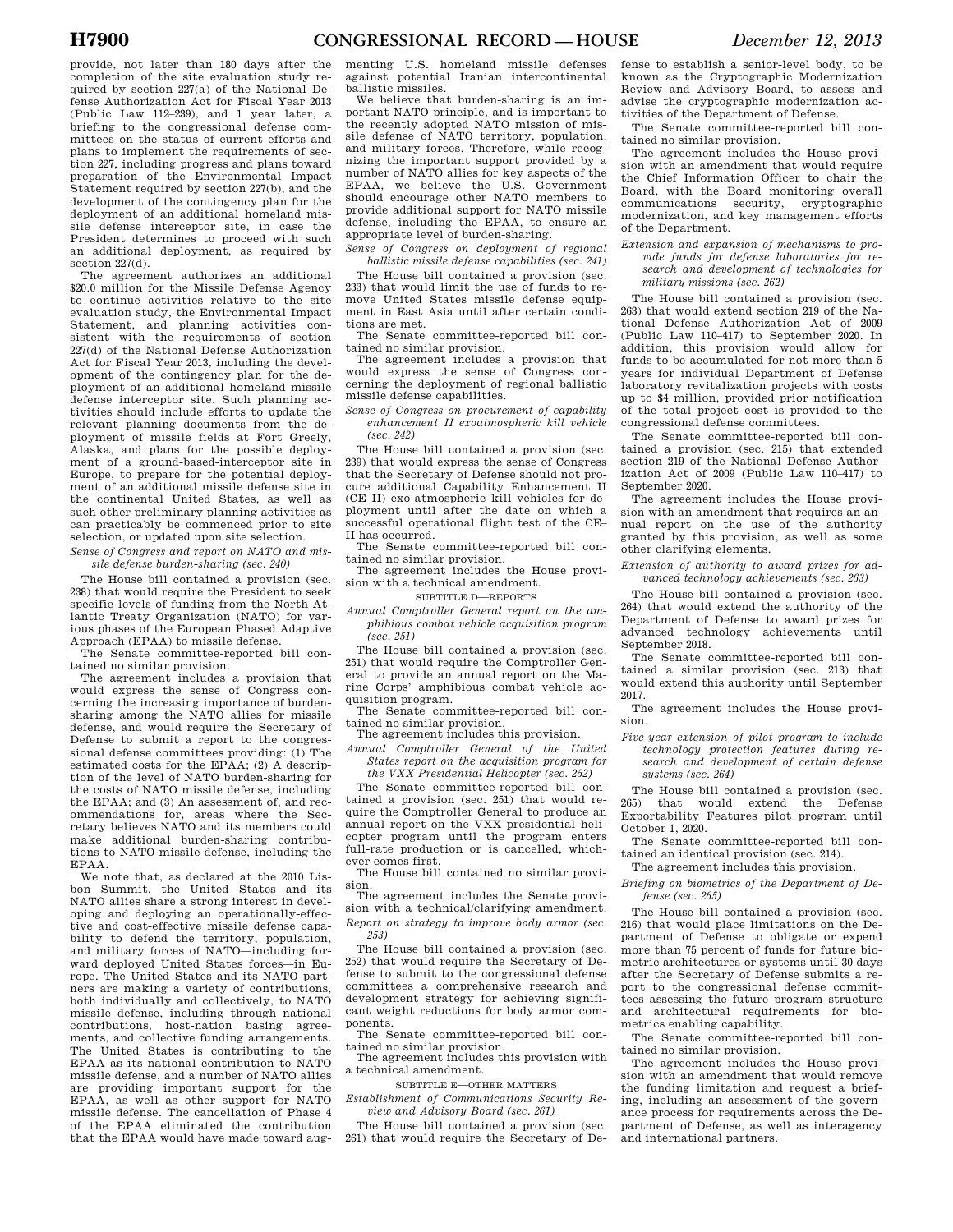provide, not later than 180 days after the completion of the site evaluation study required by section 227(a) of the National Defense Authorization Act for Fiscal Year 2013 (Public Law 112–239), and 1 year later, a briefing to the congressional defense committees on the status of current efforts and plans to implement the requirements of section 227, including progress and plans toward preparation of the Environmental Impact Statement required by section 227(b), and the development of the contingency plan for the deployment of an additional homeland missile defense interceptor site, in case the President determines to proceed with such an additional deployment, as required by section  $227(d)$ .

The agreement authorizes an additional \$20.0 million for the Missile Defense Agency to continue activities relative to the site evaluation study, the Environmental Impact Statement, and planning activities consistent with the requirements of section 227(d) of the National Defense Authorization Act for Fiscal Year 2013, including the development of the contingency plan for the deployment of an additional homeland missile defense interceptor site. Such planning activities should include efforts to update the relevant planning documents from the deployment of missile fields at Fort Greely, Alaska, and plans for the possible deployment of a ground-based-interceptor site in Europe, to prepare for the potential deployment of an additional missile defense site in the continental United States, as well as such other preliminary planning activities as can practicably be commenced prior to site selection, or updated upon site selection.

*Sense of Congress and report on NATO and missile defense burden-sharing (sec. 240)* 

The House bill contained a provision (sec. 238) that would require the President to seek specific levels of funding from the North Atlantic Treaty Organization (NATO) for various phases of the European Phased Adaptive Approach (EPAA) to missile defense.

The Senate committee-reported bill contained no similar provision.

The agreement includes a provision that would express the sense of Congress concerning the increasing importance of burdensharing among the NATO allies for missile defense, and would require the Secretary of Defense to submit a report to the congressional defense committees providing: (1) The estimated costs for the EPAA; (2) A description of the level of NATO burden-sharing for the costs of NATO missile defense, including the EPAA; and (3) An assessment of, and recommendations for, areas where the Secretary believes NATO and its members could make additional burden-sharing contributions to NATO missile defense, including the EPAA.

We note that, as declared at the 2010 Lisbon Summit, the United States and its NATO allies share a strong interest in developing and deploying an operationally-effective and cost-effective missile defense capability to defend the territory, population, and military forces of NATO—including forward deployed United States forces—in Europe. The United States and its NATO partners are making a variety of contributions, both individually and collectively, to NATO missile defense, including through national contributions, host-nation basing agreements, and collective funding arrangements. The United States is contributing to the EPAA as its national contribution to NATO missile defense, and a number of NATO allies are providing important support for the EPAA, as well as other support for NATO missile defense. The cancellation of Phase 4 of the EPAA eliminated the contribution that the EPAA would have made toward augmenting U.S. homeland missile defenses against potential Iranian intercontinental ballistic missiles.

We believe that burden-sharing is an important NATO principle, and is important to the recently adopted NATO mission of missile defense of NATO territory, population, and military forces. Therefore, while recognizing the important support provided by a number of NATO allies for key aspects of the EPAA, we believe the U.S. Government should encourage other NATO members to provide additional support for NATO missile defense, including the EPAA, to ensure an appropriate level of burden-sharing.

*Sense of Congress on deployment of regional ballistic missile defense capabilities (sec. 241)* 

The House bill contained a provision (sec. 233) that would limit the use of funds to remove United States missile defense equipment in East Asia until after certain conditions are met.

The Senate committee-reported bill contained no similar provision.

The agreement includes a provision that would express the sense of Congress concerning the deployment of regional ballistic missile defense capabilities.

*Sense of Congress on procurement of capability enhancement II exoatmospheric kill vehicle (sec. 242)* 

The House bill contained a provision (sec. 239) that would express the sense of Congress that the Secretary of Defense should not procure additional Capability Enhancement II (CE–II) exo-atmospheric kill vehicles for deployment until after the date on which a successful operational flight test of the CE– II has occurred.

The Senate committee-reported bill contained no similar provision.

The agreement includes the House provision with a technical amendment.

SUBTITLE D—REPORTS

*Annual Comptroller General report on the amphibious combat vehicle acquisition program (sec. 251)* 

The House bill contained a provision (sec. 251) that would require the Comptroller General to provide an annual report on the Marine Corps' amphibious combat vehicle acquisition program.

The Senate committee-reported bill contained no similar provision.

The agreement includes this provision. *Annual Comptroller General of the United* 

*States report on the acquisition program for the VXX Presidential Helicopter (sec. 252)* 

The Senate committee-reported bill contained a provision (sec. 251) that would require the Comptroller General to produce an annual report on the VXX presidential helicopter program until the program enters full-rate production or is cancelled, whichever comes first.

The House bill contained no similar provision.

The agreement includes the Senate provision with a technical/clarifying amendment. *Report on strategy to improve body armor (sec. 253)* 

The House bill contained a provision (sec. 252) that would require the Secretary of Defense to submit to the congressional defense committees a comprehensive research and development strategy for achieving significant weight reductions for body armor components.

The Senate committee-reported bill contained no similar provision.

The agreement includes this provision with a technical amendment.

SUBTITLE E—OTHER MATTERS

*Establishment of Communications Security Review and Advisory Board (sec. 261)* 

The House bill contained a provision (sec. 261) that would require the Secretary of De-

fense to establish a senior-level body, to be known as the Cryptographic Modernization Review and Advisory Board, to assess and advise the cryptographic modernization activities of the Department of Defense.

The Senate committee-reported bill contained no similar provision.

The agreement includes the House provision with an amendment that would require the Chief Information Officer to chair the Board, with the Board monitoring overall communications security, cryptographic modernization, and key management efforts of the Department.

*Extension and expansion of mechanisms to provide funds for defense laboratories for research and development of technologies for military missions (sec. 262)* 

The House bill contained a provision (sec. 263) that would extend section 219 of the National Defense Authorization Act of 2009 (Public Law 110–417) to September 2020. In addition, this provision would allow for funds to be accumulated for not more than 5 years for individual Department of Defense laboratory revitalization projects with costs up to \$4 million, provided prior notification of the total project cost is provided to the congressional defense committees.

The Senate committee-reported bill contained a provision (sec. 215) that extended section 219 of the National Defense Authorization Act of 2009 (Public Law 110–417) to September 2020.

The agreement includes the House provision with an amendment that requires an annual report on the use of the authority granted by this provision, as well as some other clarifying elements.

*Extension of authority to award prizes for advanced technology achievements (sec. 263)* 

The House bill contained a provision (sec. 264) that would extend the authority of the Department of Defense to award prizes for advanced technology achievements until September 2018.

The Senate committee-reported bill contained a similar provision (sec. 213) that would extend this authority until September 2017.

The agreement includes the House provision.

*Five-year extension of pilot program to include technology protection features during research and development of certain defense systems (sec. 264)* 

The House bill contained a provision (sec. 265) that would extend the Defense Exportability Features pilot program until October 1, 2020.

The Senate committee-reported bill contained an identical provision (sec. 214).

The agreement includes this provision.

*Briefing on biometrics of the Department of Defense (sec. 265)* 

The House bill contained a provision (sec. 216) that would place limitations on the Department of Defense to obligate or expend more than 75 percent of funds for future biometric architectures or systems until 30 days after the Secretary of Defense submits a report to the congressional defense committees assessing the future program structure and architectural requirements for biometrics enabling capability.

The Senate committee-reported bill contained no similar provision.

The agreement includes the House provision with an amendment that would remove the funding limitation and request a briefing, including an assessment of the governance process for requirements across the Department of Defense, as well as interagency and international partners.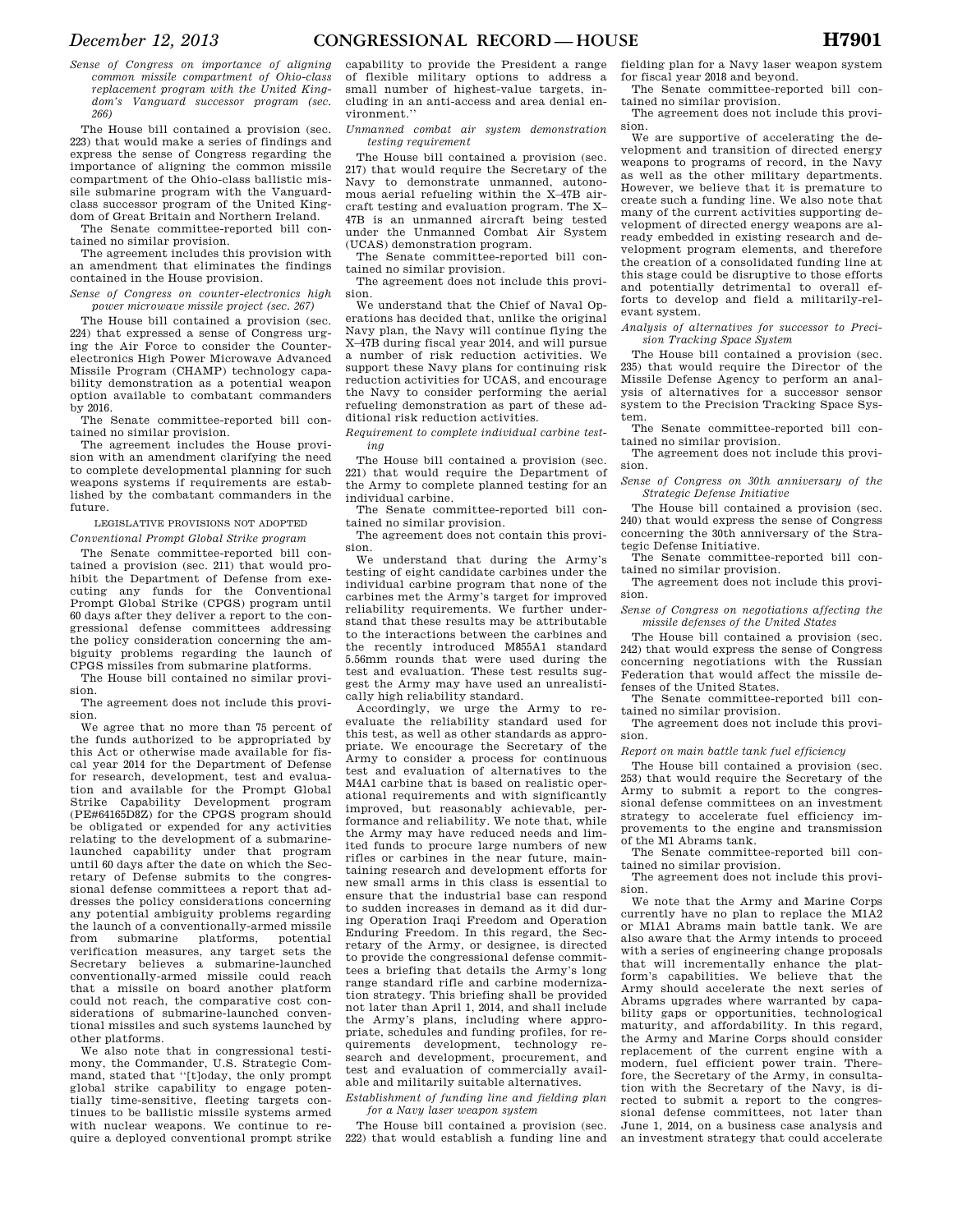*Sense of Congress on importance of aligning common missile compartment of Ohio-class replacement program with the United Kingdom's Vanguard successor program (sec. 266)* 

The House bill contained a provision (sec. 223) that would make a series of findings and express the sense of Congress regarding the importance of aligning the common missile compartment of the Ohio-class ballistic missile submarine program with the Vanguardclass successor program of the United Kingdom of Great Britain and Northern Ireland.

The Senate committee-reported bill contained no similar provision.

The agreement includes this provision with an amendment that eliminates the findings contained in the House provision.

*Sense of Congress on counter-electronics high power microwave missile project (sec. 267)* 

The House bill contained a provision (sec. 224) that expressed a sense of Congress urging the Air Force to consider the Counterelectronics High Power Microwave Advanced Missile Program (CHAMP) technology capability demonstration as a potential weapon option available to combatant commanders by 2016.

The Senate committee-reported bill contained no similar provision.

The agreement includes the House provision with an amendment clarifying the need to complete developmental planning for such weapons systems if requirements are established by the combatant commanders in the future.

LEGISLATIVE PROVISIONS NOT ADOPTED

*Conventional Prompt Global Strike program* 

The Senate committee-reported bill contained a provision (sec. 211) that would prohibit the Department of Defense from executing any funds for the Conventional Prompt Global Strike (CPGS) program until 60 days after they deliver a report to the congressional defense committees addressing the policy consideration concerning the ambiguity problems regarding the launch of CPGS missiles from submarine platforms.

The House bill contained no similar provision.

The agreement does not include this provision.

We agree that no more than 75 percent of the funds authorized to be appropriated by this Act or otherwise made available for fiscal year 2014 for the Department of Defense for research, development, test and evaluation and available for the Prompt Global Strike Capability Development program (PE#64165D8Z) for the CPGS program should be obligated or expended for any activities relating to the development of a submarinelaunched capability under that program until 60 days after the date on which the Secretary of Defense submits to the congressional defense committees a report that addresses the policy considerations concerning any potential ambiguity problems regarding the launch of a conventionally-armed missile from submarine platforms, potential verification measures, any target sets the Secretary believes a submarine-launched conventionally-armed missile could reach that a missile on board another platform could not reach, the comparative cost considerations of submarine-launched conventional missiles and such systems launched by other platforms.

We also note that in congressional testimony, the Commander, U.S. Strategic Command, stated that ''[t]oday, the only prompt global strike capability to engage potentially time-sensitive, fleeting targets continues to be ballistic missile systems armed with nuclear weapons. We continue to require a deployed conventional prompt strike

capability to provide the President a range of flexible military options to address a small number of highest-value targets, including in an anti-access and area denial environment.''

*Unmanned combat air system demonstration testing requirement* 

The House bill contained a provision (sec. 217) that would require the Secretary of the Navy to demonstrate unmanned, autonomous aerial refueling within the X–47B aircraft testing and evaluation program. The X– 47B is an unmanned aircraft being tested under the Unmanned Combat Air System (UCAS) demonstration program.

The Senate committee-reported bill contained no similar provision.

The agreement does not include this provision.

We understand that the Chief of Naval Operations has decided that, unlike the original Navy plan, the Navy will continue flying the X–47B during fiscal year 2014, and will pursue a number of risk reduction activities. We support these Navy plans for continuing risk reduction activities for UCAS, and encourage the Navy to consider performing the aerial refueling demonstration as part of these additional risk reduction activities.

*Requirement to complete individual carbine testing* 

The House bill contained a provision (sec. 221) that would require the Department of the Army to complete planned testing for an individual carbine.

The Senate committee-reported bill contained no similar provision.

The agreement does not contain this provision.

We understand that during the Army's testing of eight candidate carbines under the individual carbine program that none of the carbines met the Army's target for improved reliability requirements. We further understand that these results may be attributable to the interactions between the carbines and the recently introduced M855A1 standard 5.56mm rounds that were used during the test and evaluation. These test results suggest the Army may have used an unrealistically high reliability standard.

Accordingly, we urge the Army to reevaluate the reliability standard used for this test, as well as other standards as appropriate. We encourage the Secretary of the Army to consider a process for continuous test and evaluation of alternatives to the M4A1 carbine that is based on realistic operational requirements and with significantly improved, but reasonably achievable, performance and reliability. We note that, while the Army may have reduced needs and limited funds to procure large numbers of new rifles or carbines in the near future, maintaining research and development efforts for new small arms in this class is essential to ensure that the industrial base can respond to sudden increases in demand as it did during Operation Iraqi Freedom and Operation Enduring Freedom. In this regard, the Secretary of the Army, or designee, is directed to provide the congressional defense committees a briefing that details the Army's long range standard rifle and carbine modernization strategy. This briefing shall be provided not later than April 1, 2014, and shall include the Army's plans, including where appropriate, schedules and funding profiles, for requirements development, technology research and development, procurement, and test and evaluation of commercially available and militarily suitable alternatives.

*Establishment of funding line and fielding plan for a Navy laser weapon system* 

The House bill contained a provision (sec. 222) that would establish a funding line and fielding plan for a Navy laser weapon system for fiscal year 2018 and beyond.

The Senate committee-reported bill contained no similar provision.

The agreement does not include this provision.

We are supportive of accelerating the development and transition of directed energy weapons to programs of record, in the Navy as well as the other military departments. However, we believe that it is premature to create such a funding line. We also note that many of the current activities supporting development of directed energy weapons are already embedded in existing research and development program elements, and therefore the creation of a consolidated funding line at this stage could be disruptive to those efforts and potentially detrimental to overall efforts to develop and field a militarily-relevant system.

*Analysis of alternatives for successor to Precision Tracking Space System* 

The House bill contained a provision (sec. 235) that would require the Director of the Missile Defense Agency to perform an analysis of alternatives for a successor sensor system to the Precision Tracking Space System.

The Senate committee-reported bill contained no similar provision.

The agreement does not include this provision.

*Sense of Congress on 30th anniversary of the Strategic Defense Initiative* 

The House bill contained a provision (sec. 240) that would express the sense of Congress concerning the 30th anniversary of the Strategic Defense Initiative.

The Senate committee-reported bill contained no similar provision.

The agreement does not include this provision.

*Sense of Congress on negotiations affecting the missile defenses of the United States* 

The House bill contained a provision (sec. 242) that would express the sense of Congress concerning negotiations with the Russian Federation that would affect the missile defenses of the United States.

The Senate committee-reported bill contained no similar provision.

The agreement does not include this provision.

*Report on main battle tank fuel efficiency* 

The House bill contained a provision (sec. 253) that would require the Secretary of the Army to submit a report to the congressional defense committees on an investment strategy to accelerate fuel efficiency improvements to the engine and transmission of the M1 Abrams tank.

The Senate committee-reported bill contained no similar provision.

The agreement does not include this provision.

We note that the Army and Marine Corps currently have no plan to replace the M1A2 or M1A1 Abrams main battle tank. We are also aware that the Army intends to proceed with a series of engineering change proposals that will incrementally enhance the platform's capabilities. We believe that the Army should accelerate the next series of Abrams upgrades where warranted by capability gaps or opportunities, technological maturity, and affordability. In this regard, the Army and Marine Corps should consider replacement of the current engine with a modern, fuel efficient power train. Therefore, the Secretary of the Army, in consultation with the Secretary of the Navy, is directed to submit a report to the congressional defense committees, not later than June 1, 2014, on a business case analysis and an investment strategy that could accelerate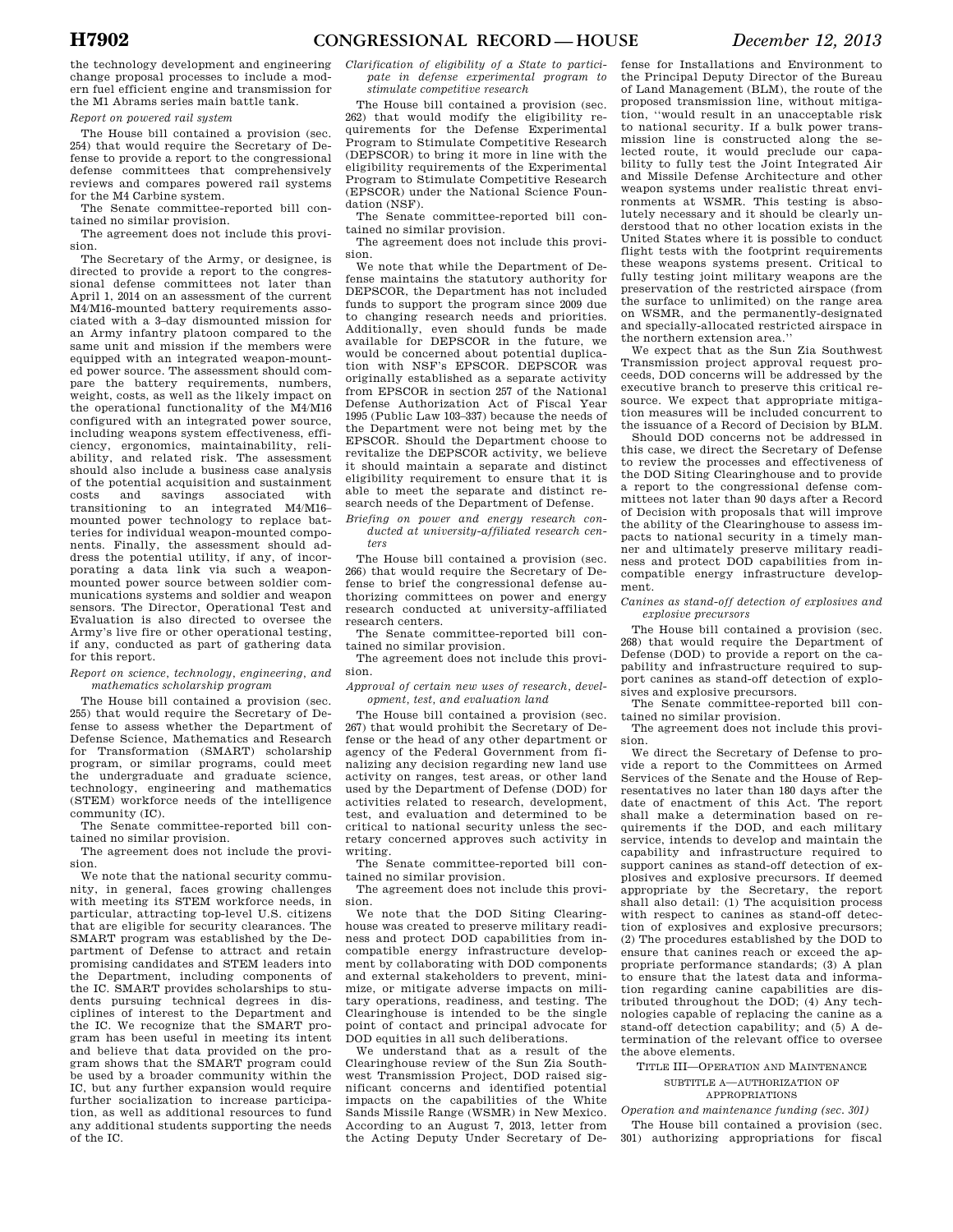the technology development and engineering change proposal processes to include a modern fuel efficient engine and transmission for the M1 Abrams series main battle tank.

*Report on powered rail system* 

The House bill contained a provision (sec. 254) that would require the Secretary of Defense to provide a report to the congressional defense committees that comprehensively reviews and compares powered rail systems for the M4 Carbine system.

The Senate committee-reported bill contained no similar provision.

The agreement does not include this provision.

The Secretary of the Army, or designee, is directed to provide a report to the congressional defense committees not later than April 1, 2014 on an assessment of the current M4/M16-mounted battery requirements associated with a 3–day dismounted mission for an Army infantry platoon compared to the same unit and mission if the members were equipped with an integrated weapon-mounted power source. The assessment should compare the battery requirements, numbers, weight, costs, as well as the likely impact on the operational functionality of the M4/M16 configured with an integrated power source, including weapons system effectiveness, efficiency, ergonomics, maintainability, reliability, and related risk. The assessment should also include a business case analysis of the potential acquisition and sustainment<br>costs and savings associated with costs and savings associated transitioning to an integrated M4/M16– mounted power technology to replace batteries for individual weapon-mounted components. Finally, the assessment should address the potential utility, if any, of incorporating a data link via such a weaponmounted power source between soldier communications systems and soldier and weapon sensors. The Director, Operational Test and Evaluation is also directed to oversee the Army's live fire or other operational testing, if any, conducted as part of gathering data for this report.

### *Report on science, technology, engineering, and mathematics scholarship program*

The House bill contained a provision (sec. 255) that would require the Secretary of Defense to assess whether the Department of Defense Science, Mathematics and Research for Transformation (SMART) scholarship program, or similar programs, could meet the undergraduate and graduate science, technology, engineering and mathematics (STEM) workforce needs of the intelligence community (IC).

The Senate committee-reported bill contained no similar provision.

The agreement does not include the provision.

We note that the national security community, in general, faces growing challenges with meeting its STEM workforce needs, in particular, attracting top-level U.S. citizens that are eligible for security clearances. The SMART program was established by the Department of Defense to attract and retain promising candidates and STEM leaders into the Department, including components of the IC. SMART provides scholarships to students pursuing technical degrees in disciplines of interest to the Department and the IC. We recognize that the SMART program has been useful in meeting its intent and believe that data provided on the program shows that the SMART program could be used by a broader community within the IC, but any further expansion would require further socialization to increase participation, as well as additional resources to fund any additional students supporting the needs of the IC.

*Clarification of eligibility of a State to participate in defense experimental program to stimulate competitive research* 

The House bill contained a provision (sec. 262) that would modify the eligibility requirements for the Defense Experimental Program to Stimulate Competitive Research (DEPSCOR) to bring it more in line with the eligibility requirements of the Experimental Program to Stimulate Competitive Research (EPSCOR) under the National Science Foundation (NSF).

The Senate committee-reported bill contained no similar provision.

The agreement does not include this provision.

We note that while the Department of Defense maintains the statutory authority for DEPSCOR, the Department has not included funds to support the program since 2009 due to changing research needs and priorities. Additionally, even should funds be made available for DEPSCOR in the future, we would be concerned about potential duplication with NSF's EPSCOR. DEPSCOR was originally established as a separate activity from EPSCOR in section 257 of the National Defense Authorization Act of Fiscal Year 1995 (Public Law 103–337) because the needs of the Department were not being met by the EPSCOR. Should the Department choose to revitalize the DEPSCOR activity, we believe it should maintain a separate and distinct eligibility requirement to ensure that it is able to meet the separate and distinct research needs of the Department of Defense.

*Briefing on power and energy research conducted at university-affiliated research centers* 

The House bill contained a provision (sec. 266) that would require the Secretary of Defense to brief the congressional defense authorizing committees on power and energy research conducted at university-affiliated research centers.

The Senate committee-reported bill contained no similar provision.

The agreement does not include this provision.

*Approval of certain new uses of research, development, test, and evaluation land* 

The House bill contained a provision (sec. 267) that would prohibit the Secretary of Defense or the head of any other department or agency of the Federal Government from finalizing any decision regarding new land use activity on ranges, test areas, or other land used by the Department of Defense (DOD) for activities related to research, development, test, and evaluation and determined to be critical to national security unless the secretary concerned approves such activity in writing.

The Senate committee-reported bill contained no similar provision.

The agreement does not include this provision.

We note that the DOD Siting Clearinghouse was created to preserve military readiness and protect DOD capabilities from incompatible energy infrastructure development by collaborating with DOD components and external stakeholders to prevent, minimize, or mitigate adverse impacts on military operations, readiness, and testing. The Clearinghouse is intended to be the single point of contact and principal advocate for DOD equities in all such deliberations.

We understand that as a result of the Clearinghouse review of the Sun Zia Southwest Transmission Project, DOD raised significant concerns and identified potential impacts on the capabilities of the White Sands Missile Range (WSMR) in New Mexico. According to an August 7, 2013, letter from the Acting Deputy Under Secretary of De-

fense for Installations and Environment to the Principal Deputy Director of the Bureau of Land Management (BLM), the route of the proposed transmission line, without mitigation, ''would result in an unacceptable risk to national security. If a bulk power transmission line is constructed along the selected route, it would preclude our capability to fully test the Joint Integrated Air and Missile Defense Architecture and other weapon systems under realistic threat environments at WSMR. This testing is absolutely necessary and it should be clearly understood that no other location exists in the United States where it is possible to conduct flight tests with the footprint requirements these weapons systems present. Critical to fully testing joint military weapons are the preservation of the restricted airspace (from the surface to unlimited) on the range area on WSMR, and the permanently-designated and specially-allocated restricted airspace in the northern extension area.''

We expect that as the Sun Zia Southwest Transmission project approval request proceeds, DOD concerns will be addressed by the executive branch to preserve this critical resource. We expect that appropriate mitigation measures will be included concurrent to the issuance of a Record of Decision by BLM.

Should DOD concerns not be addressed in this case, we direct the Secretary of Defense to review the processes and effectiveness of the DOD Siting Clearinghouse and to provide a report to the congressional defense committees not later than 90 days after a Record of Decision with proposals that will improve the ability of the Clearinghouse to assess impacts to national security in a timely manner and ultimately preserve military readiness and protect DOD capabilities from incompatible energy infrastructure development.

*Canines as stand-off detection of explosives and explosive precursors* 

The House bill contained a provision (sec. 268) that would require the Department of Defense (DOD) to provide a report on the capability and infrastructure required to support canines as stand-off detection of explosives and explosive precursors.

The Senate committee-reported bill contained no similar provision.

The agreement does not include this provision.

We direct the Secretary of Defense to provide a report to the Committees on Armed Services of the Senate and the House of Representatives no later than 180 days after the date of enactment of this Act. The report shall make a determination based on requirements if the DOD, and each military service, intends to develop and maintain the capability and infrastructure required to support canines as stand-off detection of explosives and explosive precursors. If deemed appropriate by the Secretary, the report shall also detail: (1) The acquisition process with respect to canines as stand-off detection of explosives and explosive precursors; (2) The procedures established by the DOD to ensure that canines reach or exceed the appropriate performance standards; (3) A plan to ensure that the latest data and information regarding canine capabilities are distributed throughout the DOD; (4) Any technologies capable of replacing the canine as a stand-off detection capability; and (5) A determination of the relevant office to oversee the above elements.

TITLE III—OPERATION AND MAINTENANCE SUBTITLE A—AUTHORIZATION OF

APPROPRIATIONS *Operation and maintenance funding (sec. 301)* 

The House bill contained a provision (sec. 301) authorizing appropriations for fiscal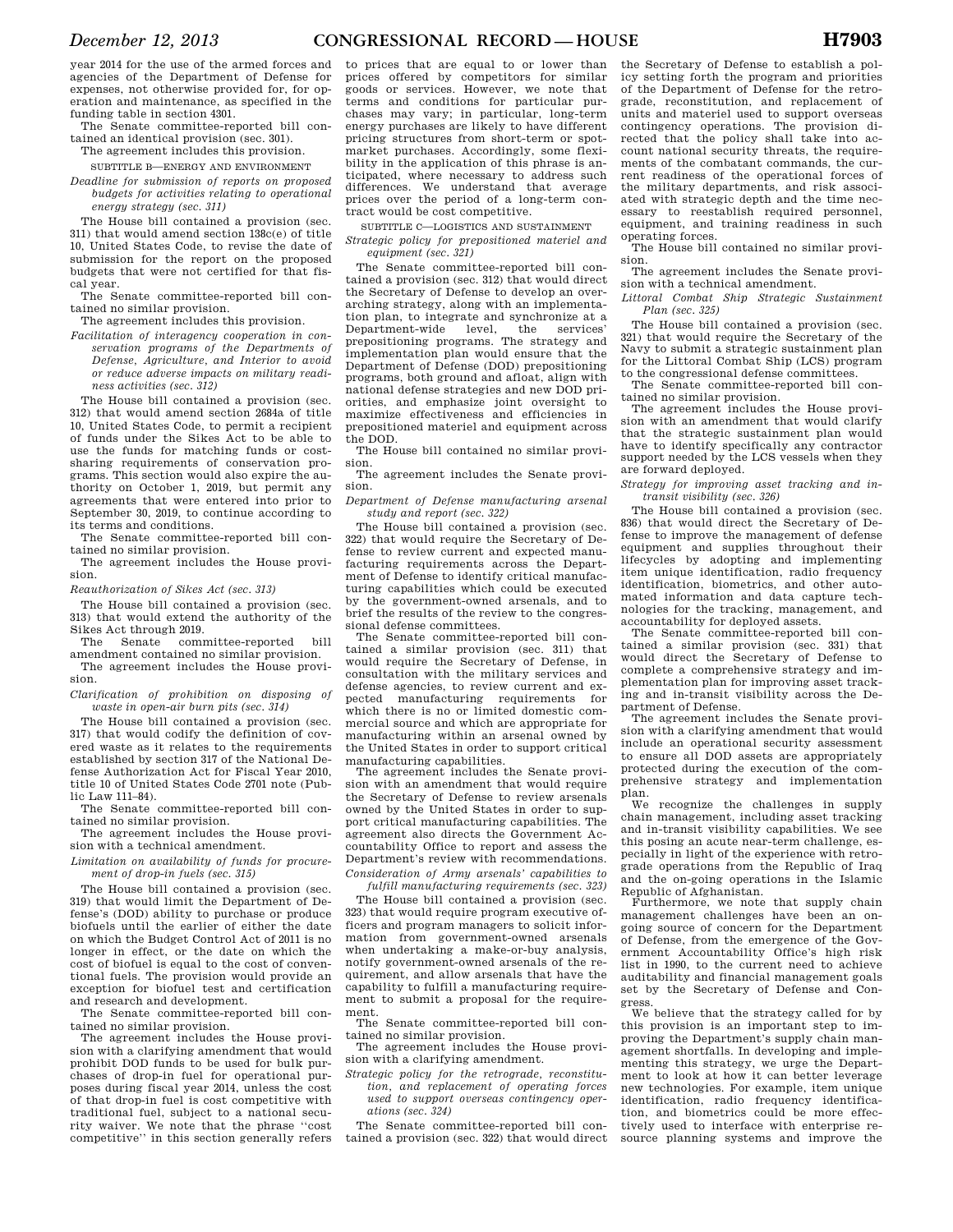year 2014 for the use of the armed forces and agencies of the Department of Defense for expenses, not otherwise provided for, for operation and maintenance, as specified in the funding table in section 4301.

The Senate committee-reported bill contained an identical provision (sec. 301).

The agreement includes this provision.

SUBTITLE B—ENERGY AND ENVIRONMENT

*Deadline for submission of reports on proposed budgets for activities relating to operational energy strategy (sec. 311)* 

The House bill contained a provision (sec. 311) that would amend section 138c(e) of title 10, United States Code, to revise the date of submission for the report on the proposed budgets that were not certified for that fiscal year.

The Senate committee-reported bill contained no similar provision.

The agreement includes this provision.

*Facilitation of interagency cooperation in conservation programs of the Departments of Defense, Agriculture, and Interior to avoid or reduce adverse impacts on military readiness activities (sec. 312)* 

The House bill contained a provision (sec. 312) that would amend section 2684a of title 10, United States Code, to permit a recipient of funds under the Sikes Act to be able to use the funds for matching funds or costsharing requirements of conservation programs. This section would also expire the authority on October 1, 2019, but permit any agreements that were entered into prior to September 30, 2019, to continue according to its terms and conditions.

The Senate committee-reported bill contained no similar provision.

The agreement includes the House provision.

*Reauthorization of Sikes Act (sec. 313)* 

The House bill contained a provision (sec. 313) that would extend the authority of the Sikes Act through 2019.

The Senate committee-reported bill amendment contained no similar provision.

The agreement includes the House provision.

*Clarification of prohibition on disposing of waste in open-air burn pits (sec. 314)* 

The House bill contained a provision (sec. 317) that would codify the definition of covered waste as it relates to the requirements established by section 317 of the National Defense Authorization Act for Fiscal Year 2010, title 10 of United States Code 2701 note (Public Law 111–84).

The Senate committee-reported bill contained no similar provision.

The agreement includes the House provision with a technical amendment.

*Limitation on availability of funds for procurement of drop-in fuels (sec. 315)* 

The House bill contained a provision (sec. 319) that would limit the Department of Defense's (DOD) ability to purchase or produce biofuels until the earlier of either the date on which the Budget Control Act of 2011 is no longer in effect, or the date on which the cost of biofuel is equal to the cost of conventional fuels. The provision would provide an exception for biofuel test and certification and research and development.

The Senate committee-reported bill contained no similar provision.

The agreement includes the House provision with a clarifying amendment that would prohibit DOD funds to be used for bulk purchases of drop-in fuel for operational purposes during fiscal year 2014, unless the cost of that drop-in fuel is cost competitive with traditional fuel, subject to a national security waiver. We note that the phrase ''cost competitive'' in this section generally refers

to prices that are equal to or lower than prices offered by competitors for similar goods or services. However, we note that terms and conditions for particular purchases may vary; in particular, long-term energy purchases are likely to have different pricing structures from short-term or spotmarket purchases. Accordingly, some flexibility in the application of this phrase is anticipated, where necessary to address such differences. We understand that average prices over the period of a long-term contract would be cost competitive.

SUBTITLE C—LOGISTICS AND SUSTAINMENT *Strategic policy for prepositioned materiel and* 

*equipment (sec. 321)* 

The Senate committee-reported bill contained a provision (sec. 312) that would direct the Secretary of Defense to develop an overarching strategy, along with an implementation plan, to integrate and synchronize at a<br>Department-wide level, the services' Department-wide prepositioning programs. The strategy and implementation plan would ensure that the Department of Defense (DOD) prepositioning programs, both ground and afloat, align with national defense strategies and new DOD priorities, and emphasize joint oversight to maximize effectiveness and efficiencies in prepositioned materiel and equipment across the DOD.

The House bill contained no similar provision.

The agreement includes the Senate provision.

*Department of Defense manufacturing arsenal study and report (sec. 322)* 

The House bill contained a provision (sec. 322) that would require the Secretary of Defense to review current and expected manufacturing requirements across the Department of Defense to identify critical manufacturing capabilities which could be executed by the government-owned arsenals, and to brief the results of the review to the congressional defense committees.

The Senate committee-reported bill contained a similar provision (sec. 311) that would require the Secretary of Defense, in consultation with the military services and defense agencies, to review current and expected manufacturing requirements for which there is no or limited domestic commercial source and which are appropriate for manufacturing within an arsenal owned by the United States in order to support critical manufacturing capabilities.

The agreement includes the Senate provision with an amendment that would require the Secretary of Defense to review arsenals owned by the United States in order to support critical manufacturing capabilities. The agreement also directs the Government Accountability Office to report and assess the Department's review with recommendations. *Consideration of Army arsenals' capabilities to* 

*fulfill manufacturing requirements (sec. 323)*  The House bill contained a provision (sec. 323) that would require program executive officers and program managers to solicit information from government-owned arsenals when undertaking a make-or-buy analysis, notify government-owned arsenals of the requirement, and allow arsenals that have the capability to fulfill a manufacturing requirement to submit a proposal for the requirement.

The Senate committee-reported bill contained no similar provision.

The agreement includes the House provision with a clarifying amendment.

*Strategic policy for the retrograde, reconstitution, and replacement of operating forces used to support overseas contingency operations (sec. 324)* 

The Senate committee-reported bill contained a provision (sec. 322) that would direct

the Secretary of Defense to establish a policy setting forth the program and priorities of the Department of Defense for the retrograde, reconstitution, and replacement of units and materiel used to support overseas contingency operations. The provision directed that the policy shall take into account national security threats, the requirements of the combatant commands, the current readiness of the operational forces of the military departments, and risk associated with strategic depth and the time necessary to reestablish required personnel, equipment, and training readiness in such operating forces.

The House bill contained no similar provision.

The agreement includes the Senate provision with a technical amendment.

*Littoral Combat Ship Strategic Sustainment Plan (sec. 325)* 

The House bill contained a provision (sec. 321) that would require the Secretary of the Navy to submit a strategic sustainment plan for the Littoral Combat Ship (LCS) program to the congressional defense committees.

The Senate committee-reported bill contained no similar provision. The agreement includes the House provi-

sion with an amendment that would clarify that the strategic sustainment plan would have to identify specifically any contractor support needed by the LCS vessels when they are forward deployed.

*Strategy for improving asset tracking and intransit visibility (sec. 326)* 

The House bill contained a provision (sec. 836) that would direct the Secretary of Defense to improve the management of defense equipment and supplies throughout their lifecycles by adopting and implementing item unique identification, radio frequency identification, biometrics, and other automated information and data capture technologies for the tracking, management, and accountability for deployed assets.

The Senate committee-reported bill contained a similar provision (sec. 331) that would direct the Secretary of Defense to complete a comprehensive strategy and implementation plan for improving asset tracking and in-transit visibility across the Department of Defense.

The agreement includes the Senate provision with a clarifying amendment that would include an operational security assessment to ensure all DOD assets are appropriately protected during the execution of the comprehensive strategy and implementation plan.

We recognize the challenges in supply chain management, including asset tracking and in-transit visibility capabilities. We see this posing an acute near-term challenge, especially in light of the experience with retrograde operations from the Republic of Iraq and the on-going operations in the Islamic Republic of Afghanistan.

urthermore, we note that supply chain management challenges have been an ongoing source of concern for the Department of Defense, from the emergence of the Government Accountability Office's high risk list in 1990, to the current need to achieve auditability and financial management goals set by the Secretary of Defense and Congress.

We believe that the strategy called for by this provision is an important step to improving the Department's supply chain management shortfalls. In developing and implementing this strategy, we urge the Department to look at how it can better leverage new technologies. For example, item unique identification, radio frequency identification, and biometrics could be more effectively used to interface with enterprise resource planning systems and improve the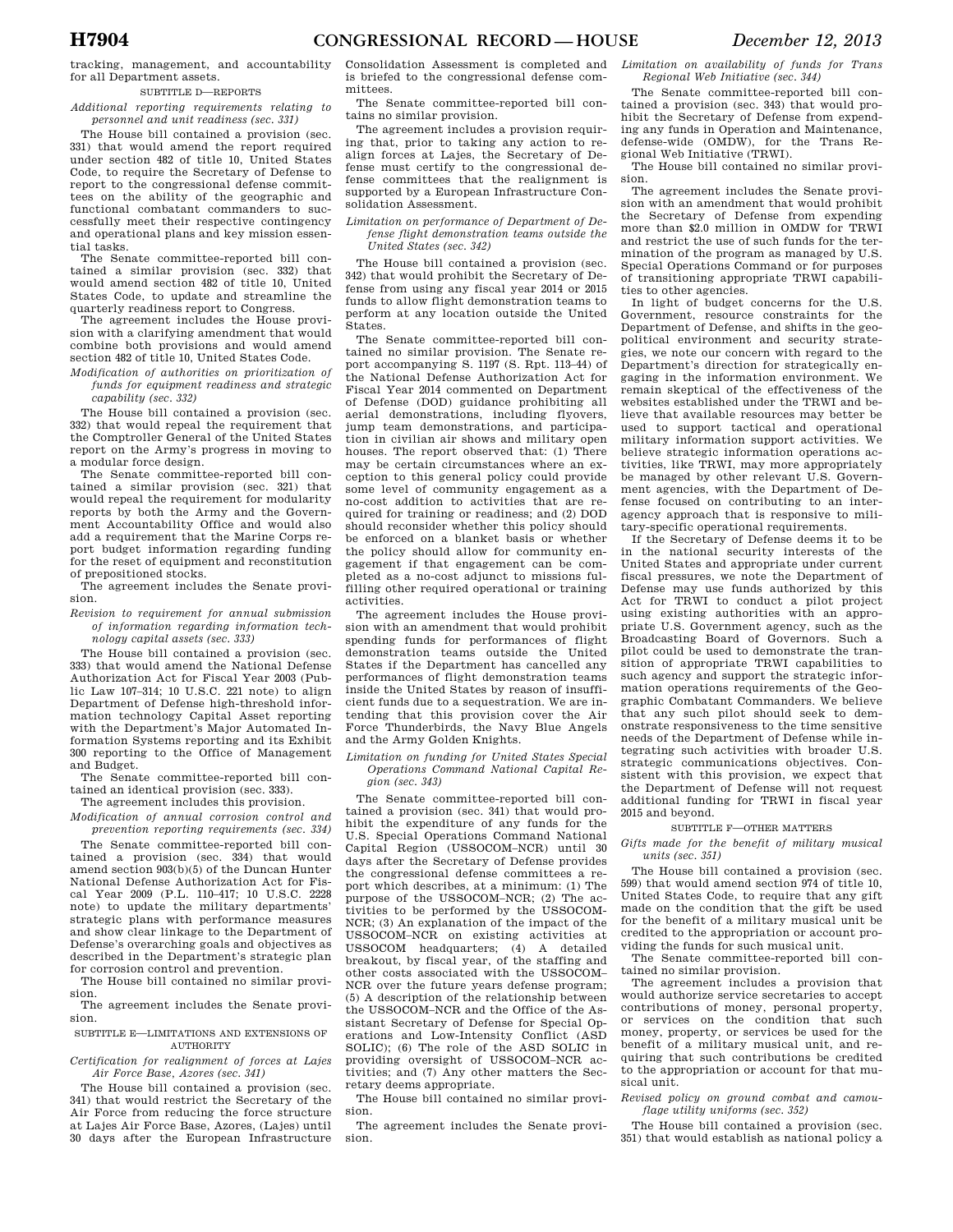#### SUBTITLE D—REPORTS

*Additional reporting requirements relating to personnel and unit readiness (sec. 331)* 

The House bill contained a provision (sec. 331) that would amend the report required under section 482 of title 10, United States Code, to require the Secretary of Defense to report to the congressional defense committees on the ability of the geographic and functional combatant commanders to successfully meet their respective contingency and operational plans and key mission essential tasks.

The Senate committee-reported bill contained a similar provision (sec. 332) that would amend section 482 of title 10, United States Code, to update and streamline the quarterly readiness report to Congress.

The agreement includes the House provision with a clarifying amendment that would combine both provisions and would amend section 482 of title 10, United States Code.

*Modification of authorities on prioritization of funds for equipment readiness and strategic capability (sec. 332)* 

The House bill contained a provision (sec. 332) that would repeal the requirement that the Comptroller General of the United States report on the Army's progress in moving to a modular force design.

The Senate committee-reported bill contained a similar provision (sec. 321) that would repeal the requirement for modularity reports by both the Army and the Government Accountability Office and would also add a requirement that the Marine Corps report budget information regarding funding for the reset of equipment and reconstitution of prepositioned stocks.

The agreement includes the Senate provision.

*Revision to requirement for annual submission of information regarding information technology capital assets (sec. 333)* 

The House bill contained a provision (sec. 333) that would amend the National Defense Authorization Act for Fiscal Year 2003 (Public Law 107–314; 10 U.S.C. 221 note) to align Department of Defense high-threshold information technology Capital Asset reporting with the Department's Major Automated Information Systems reporting and its Exhibit 300 reporting to the Office of Management and Budget.

The Senate committee-reported bill contained an identical provision (sec. 333). The agreement includes this provision.

*Modification of annual corrosion control and prevention reporting requirements (sec. 334)* 

The Senate committee-reported bill contained a provision (sec. 334) that would amend section 903(b)(5) of the Duncan Hunter National Defense Authorization Act for Fiscal Year 2009 (P.L. 110–417; 10 U.S.C. 2228 note) to update the military departments' strategic plans with performance measures and show clear linkage to the Department of Defense's overarching goals and objectives as described in the Department's strategic plan for corrosion control and prevention.

The House bill contained no similar provision.

The agreement includes the Senate provision.

SUBTITLE E—LIMITATIONS AND EXTENSIONS OF AUTHORITY

*Certification for realignment of forces at Lajes Air Force Base, Azores (sec. 341)* 

The House bill contained a provision (sec. 341) that would restrict the Secretary of the Air Force from reducing the force structure at Lajes Air Force Base, Azores, (Lajes) until 30 days after the European Infrastructure Consolidation Assessment is completed and is briefed to the congressional defense committees.

The Senate committee-reported bill contains no similar provision.

The agreement includes a provision requiring that, prior to taking any action to realign forces at Lajes, the Secretary of Defense must certify to the congressional defense committees that the realignment is supported by a European Infrastructure Consolidation Assessment.

### *Limitation on performance of Department of Defense flight demonstration teams outside the United States (sec. 342)*

The House bill contained a provision (sec. 342) that would prohibit the Secretary of Defense from using any fiscal year 2014 or 2015 funds to allow flight demonstration teams to perform at any location outside the United States.

The Senate committee-reported bill contained no similar provision. The Senate report accompanying S. 1197 (S. Rpt. 113–44) of the National Defense Authorization Act for Fiscal Year 2014 commented on Department of Defense (DOD) guidance prohibiting all aerial demonstrations, including flyovers, jump team demonstrations, and participation in civilian air shows and military open houses. The report observed that: (1) There may be certain circumstances where an exception to this general policy could provide some level of community engagement as a no-cost addition to activities that are required for training or readiness; and (2) DOD should reconsider whether this policy should be enforced on a blanket basis or whether the policy should allow for community engagement if that engagement can be completed as a no-cost adjunct to missions fulfilling other required operational or training activities.

The agreement includes the House provision with an amendment that would prohibit spending funds for performances of flight demonstration teams outside the United States if the Department has cancelled any performances of flight demonstration teams inside the United States by reason of insufficient funds due to a sequestration. We are intending that this provision cover the Air Force Thunderbirds, the Navy Blue Angels and the Army Golden Knights.

### *Limitation on funding for United States Special Operations Command National Capital Region (sec. 343)*

The Senate committee-reported bill contained a provision (sec. 341) that would prohibit the expenditure of any funds for the U.S. Special Operations Command National Capital Region (USSOCOM–NCR) until 30 days after the Secretary of Defense provides the congressional defense committees a report which describes, at a minimum: (1) The purpose of the USSOCOM–NCR; (2) The activities to be performed by the USSOCOM-NCR; (3) An explanation of the impact of the USSOCOM–NCR on existing activities at USSOCOM headquarters; (4) A detailed breakout, by fiscal year, of the staffing and other costs associated with the USSOCOM– NCR over the future years defense program; (5) A description of the relationship between the USSOCOM–NCR and the Office of the Assistant Secretary of Defense for Special Operations and Low-Intensity Conflict (ASD SOLIC); (6) The role of the ASD SOLIC in providing oversight of USSOCOM–NCR activities; and (7) Any other matters the Secretary deems appropriate.

The House bill contained no similar provision.

The agreement includes the Senate provision.

*Limitation on availability of funds for Trans Regional Web Initiative (sec. 344)* 

The Senate committee-reported bill contained a provision (sec. 343) that would prohibit the Secretary of Defense from expending any funds in Operation and Maintenance, defense-wide (OMDW), for the Trans Regional Web Initiative (TRWI).

The House bill contained no similar provision.

The agreement includes the Senate provision with an amendment that would prohibit the Secretary of Defense from expending more than \$2.0 million in OMDW for TRWI and restrict the use of such funds for the termination of the program as managed by U.S. Special Operations Command or for purposes of transitioning appropriate TRWI capabilities to other agencies.

In light of budget concerns for the U.S. Government, resource constraints for the Department of Defense, and shifts in the geopolitical environment and security strategies, we note our concern with regard to the Department's direction for strategically engaging in the information environment. We remain skeptical of the effectiveness of the websites established under the TRWI and believe that available resources may better be used to support tactical and operational military information support activities. We believe strategic information operations activities, like TRWI, may more appropriately be managed by other relevant U.S. Government agencies, with the Department of Defense focused on contributing to an interagency approach that is responsive to military-specific operational requirements.

If the Secretary of Defense deems it to be in the national security interests of the United States and appropriate under current fiscal pressures, we note the Department of Defense may use funds authorized by this Act for TRWI to conduct a pilot project using existing authorities with an appropriate U.S. Government agency, such as the Broadcasting Board of Governors. Such a pilot could be used to demonstrate the transition of appropriate TRWI capabilities to such agency and support the strategic information operations requirements of the Geographic Combatant Commanders. We believe that any such pilot should seek to demonstrate responsiveness to the time sensitive needs of the Department of Defense while integrating such activities with broader U.S. strategic communications objectives. Consistent with this provision, we expect that the Department of Defense will not request additional funding for TRWI in fiscal year 2015 and beyond.

### SUBTITLE F—OTHER MATTERS

*Gifts made for the benefit of military musical units (sec. 351)* 

The House bill contained a provision (sec. 599) that would amend section 974 of title 10, United States Code, to require that any gift made on the condition that the gift be used for the benefit of a military musical unit be credited to the appropriation or account providing the funds for such musical unit.

The Senate committee-reported bill contained no similar provision.

The agreement includes a provision that would authorize service secretaries to accept contributions of money, personal property, or services on the condition that such money, property, or services be used for the benefit of a military musical unit, and requiring that such contributions be credited to the appropriation or account for that musical unit.

*Revised policy on ground combat and camouflage utility uniforms (sec. 352)* 

The House bill contained a provision (sec. 351) that would establish as national policy a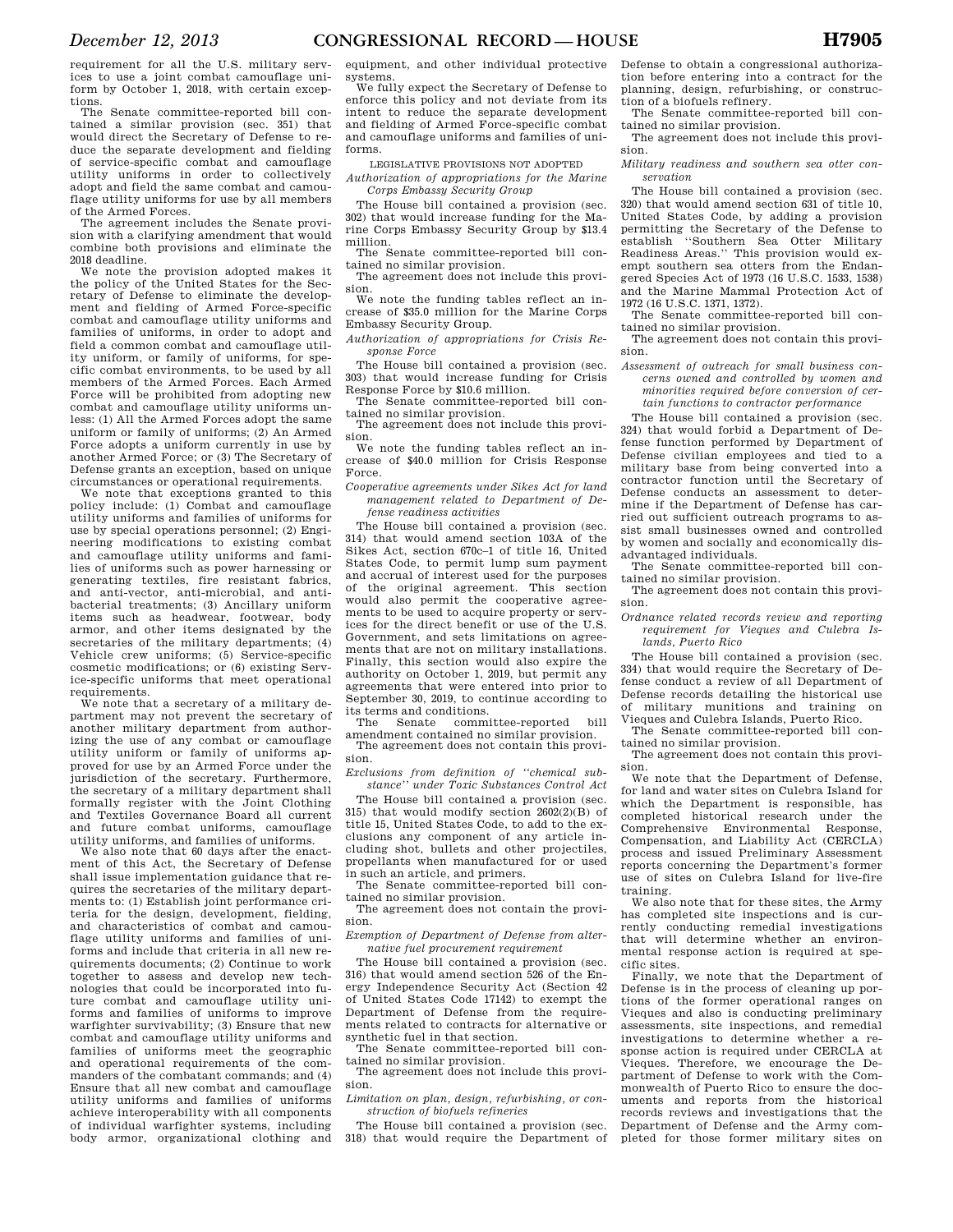requirement for all the U.S. military services to use a joint combat camouflage uniform by October 1, 2018, with certain exceptions.

The Senate committee-reported bill contained a similar provision (sec. 351) that would direct the Secretary of Defense to reduce the separate development and fielding of service-specific combat and camouflage utility uniforms in order to collectively adopt and field the same combat and camouflage utility uniforms for use by all members of the Armed Forces.

The agreement includes the Senate provision with a clarifying amendment that would combine both provisions and eliminate the 2018 deadline.

We note the provision adopted makes it the policy of the United States for the Secretary of Defense to eliminate the development and fielding of Armed Force-specific combat and camouflage utility uniforms and families of uniforms, in order to adopt and field a common combat and camouflage utility uniform, or family of uniforms, for specific combat environments, to be used by all members of the Armed Forces. Each Armed Force will be prohibited from adopting new combat and camouflage utility uniforms unless: (1) All the Armed Forces adopt the same uniform or family of uniforms; (2) An Armed Force adopts a uniform currently in use by another Armed Force; or (3) The Secretary of Defense grants an exception, based on unique circumstances or operational requirements.

We note that exceptions granted to this policy include: (1) Combat and camouflage utility uniforms and families of uniforms for use by special operations personnel; (2) Engineering modifications to existing combat and camouflage utility uniforms and families of uniforms such as power harnessing or generating textiles, fire resistant fabrics, and anti-vector, anti-microbial, and antibacterial treatments; (3) Ancillary uniform items such as headwear, footwear, body armor, and other items designated by the secretaries of the military departments; (4) Vehicle crew uniforms; (5) Service-specific cosmetic modifications; or (6) existing Service-specific uniforms that meet operational requirements.

We note that a secretary of a military department may not prevent the secretary of another military department from authorizing the use of any combat or camouflage utility uniform or family of uniforms approved for use by an Armed Force under the jurisdiction of the secretary. Furthermore, the secretary of a military department shall formally register with the Joint Clothing and Textiles Governance Board all current and future combat uniforms, camouflage utility uniforms, and families of uniforms.

We also note that 60 days after the enactment of this Act, the Secretary of Defense shall issue implementation guidance that requires the secretaries of the military departments to: (1) Establish joint performance criteria for the design, development, fielding, and characteristics of combat and camouflage utility uniforms and families of uniforms and include that criteria in all new requirements documents; (2) Continue to work together to assess and develop new technologies that could be incorporated into future combat and camouflage utility uniforms and families of uniforms to improve warfighter survivability; (3) Ensure that new combat and camouflage utility uniforms and families of uniforms meet the geographic and operational requirements of the commanders of the combatant commands; and (4) Ensure that all new combat and camouflage utility uniforms and families of uniforms achieve interoperability with all components of individual warfighter systems, including body armor, organizational clothing and

equipment, and other individual protective systems.

We fully expect the Secretary of Defense to enforce this policy and not deviate from its intent to reduce the separate development and fielding of Armed Force-specific combat and camouflage uniforms and families of uniforms.

LEGISLATIVE PROVISIONS NOT ADOPTED

*Authorization of appropriations for the Marine Corps Embassy Security Group* 

The House bill contained a provision (sec. 302) that would increase funding for the Marine Corps Embassy Security Group by \$13.4 million.

The Senate committee-reported bill contained no similar provision. The agreement does not include this provi-

sion.

We note the funding tables reflect an increase of \$35.0 million for the Marine Corps Embassy Security Group.

*Authorization of appropriations for Crisis Response Force* 

The House bill contained a provision (sec. 303) that would increase funding for Crisis Response Force by \$10.6 million.

The Senate committee-reported bill con-

tained no similar provision. The agreement does not include this provision.

We note the funding tables reflect an increase of \$40.0 million for Crisis Response Force.

*Cooperative agreements under Sikes Act for land management related to Department of Defense readiness activities* 

The House bill contained a provision (sec. 314) that would amend section 103A of the Sikes Act, section 670c–1 of title 16, United States Code, to permit lump sum payment and accrual of interest used for the purposes of the original agreement. This section would also permit the cooperative agreements to be used to acquire property or services for the direct benefit or use of the U.S. Government, and sets limitations on agreements that are not on military installations. Finally, this section would also expire the authority on October 1, 2019, but permit any agreements that were entered into prior to September 30, 2019, to continue according to its terms and conditions.

committee-reported bill amendment contained no similar provision. The agreement does not contain this provision.

*Exclusions from definition of ''chemical substance'' under Toxic Substances Control Act* 

The House bill contained a provision (sec. 315) that would modify section 2602(2)(B) of title 15, United States Code, to add to the exclusions any component of any article including shot, bullets and other projectiles, propellants when manufactured for or used in such an article, and primers.

The Senate committee-reported bill con-

tained no similar provision. The agreement does not contain the provision.

*Exemption of Department of Defense from alternative fuel procurement requirement* 

The House bill contained a provision (sec. 316) that would amend section 526 of the Energy Independence Security Act (Section 42 of United States Code 17142) to exempt the Department of Defense from the requirements related to contracts for alternative or synthetic fuel in that section.

The Senate committee-reported bill con-

tained no similar provision. The agreement does not include this provision.

*Limitation on plan, design, refurbishing, or construction of biofuels refineries* 

The House bill contained a provision (sec. 318) that would require the Department of Defense to obtain a congressional authorization before entering into a contract for the planning, design, refurbishing, or construction of a biofuels refinery.

The Senate committee-reported bill contained no similar provision.

The agreement does not include this provision.

*Military readiness and southern sea otter conservation* 

The House bill contained a provision (sec. 320) that would amend section 631 of title 10, United States Code, by adding a provision permitting the Secretary of the Defense to establish ''Southern Sea Otter Military Readiness Areas.'' This provision would exempt southern sea otters from the Endangered Species Act of 1973 (16 U.S.C. 1533, 1538) and the Marine Mammal Protection Act of 1972 (16 U.S.C. 1371, 1372).

The Senate committee-reported bill contained no similar provision.

The agreement does not contain this provision.

*Assessment of outreach for small business concerns owned and controlled by women and minorities required before conversion of certain functions to contractor performance* 

The House bill contained a provision (sec. 324) that would forbid a Department of Defense function performed by Department of Defense civilian employees and tied to a military base from being converted into a contractor function until the Secretary of Defense conducts an assessment to determine if the Department of Defense has carried out sufficient outreach programs to assist small businesses owned and controlled by women and socially and economically disadvantaged individuals.

The Senate committee-reported bill contained no similar provision.

The agreement does not contain this provision.

*Ordnance related records review and reporting requirement for Vieques and Culebra Islands, Puerto Rico* 

The House bill contained a provision (sec. 334) that would require the Secretary of Defense conduct a review of all Department of Defense records detailing the historical use of military munitions and training on Vieques and Culebra Islands, Puerto Rico.

The Senate committee-reported bill contained no similar provision.

The agreement does not contain this provision.

We note that the Department of Defense, for land and water sites on Culebra Island for which the Department is responsible, has completed historical research under the Comprehensive Environmental Compensation, and Liability Act (CERCLA) process and issued Preliminary Assessment reports concerning the Department's former use of sites on Culebra Island for live-fire training.

We also note that for these sites, the Army has completed site inspections and is currently conducting remedial investigations that will determine whether an environmental response action is required at specific sites.

Finally, we note that the Department of Defense is in the process of cleaning up portions of the former operational ranges on Vieques and also is conducting preliminary assessments, site inspections, and remedial investigations to determine whether a response action is required under CERCLA at Vieques. Therefore, we encourage the Department of Defense to work with the Commonwealth of Puerto Rico to ensure the documents and reports from the historical records reviews and investigations that the Department of Defense and the Army completed for those former military sites on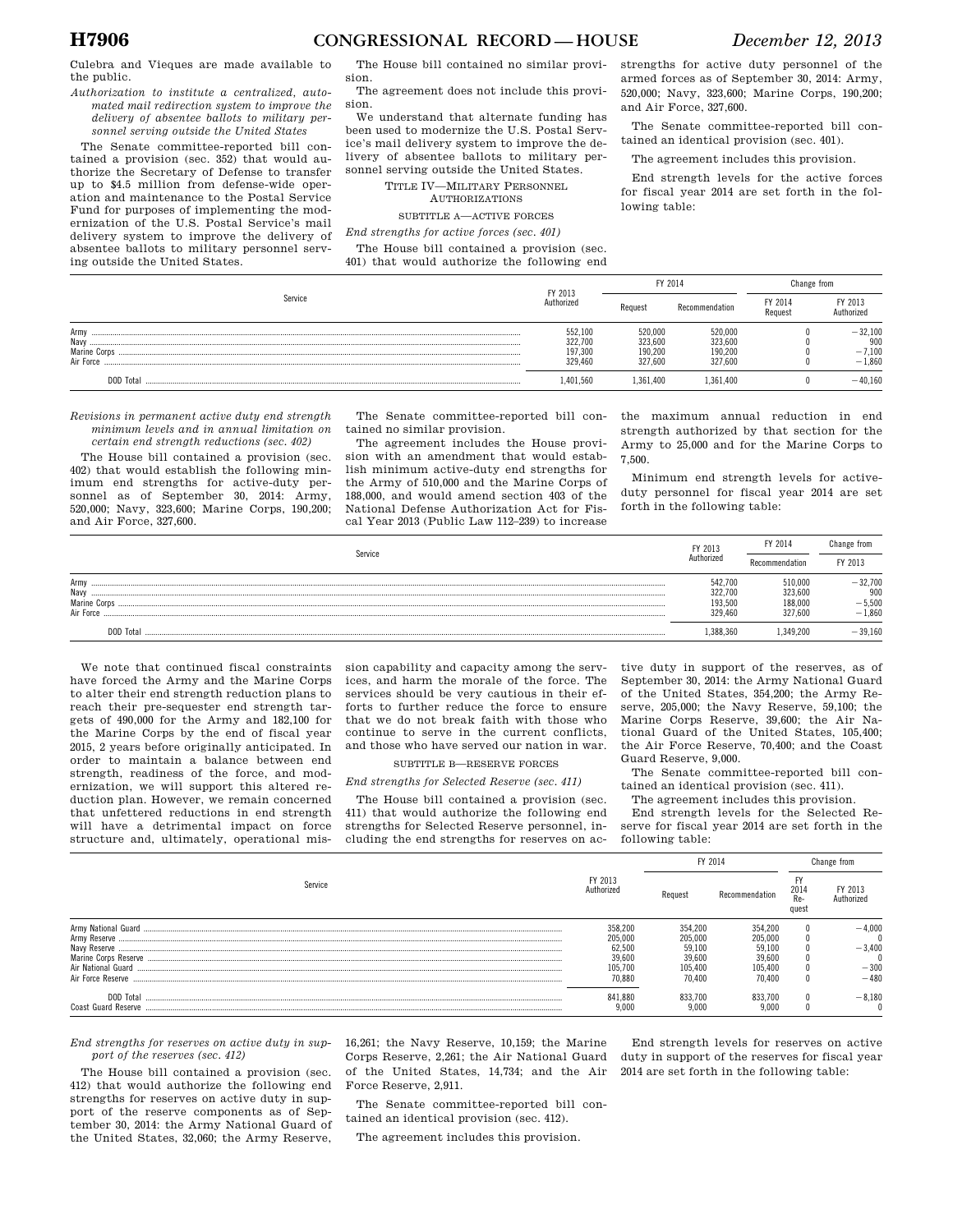Culebra and Vieques are made available to the public.

*Authorization to institute a centralized, automated mail redirection system to improve the delivery of absentee ballots to military personnel serving outside the United States* 

The Senate committee-reported bill contained a provision (sec. 352) that would authorize the Secretary of Defense to transfer up to \$4.5 million from defense-wide operation and maintenance to the Postal Service Fund for purposes of implementing the modernization of the U.S. Postal Service's mail delivery system to improve the delivery of absentee ballots to military personnel serving outside the United States.

The House bill contained no similar provision. The agreement does not include this provi-

sion.

We understand that alternate funding has been used to modernize the U.S. Postal Service's mail delivery system to improve the delivery of absentee ballots to military personnel serving outside the United States.

TITLE IV—MILITARY PERSONNEL

AUTHORIZATIONS

SUBTITLE A—ACTIVE FORCES

*End strengths for active forces (sec. 401)* 

The House bill contained a provision (sec. 401) that would authorize the following end strengths for active duty personnel of the armed forces as of September 30, 2014: Army, 520,000; Navy, 323,600; Marine Corps, 190,200; and Air Force, 327,600.

The Senate committee-reported bill contained an identical provision (sec. 401).

The agreement includes this provision.

End strength levels for the active forces for fiscal year 2014 are set forth in the following table:

|                                           | FY 2013                                  |                                          | FY 2014                                  |  | Change from                              |
|-------------------------------------------|------------------------------------------|------------------------------------------|------------------------------------------|--|------------------------------------------|
| Service                                   |                                          | Request                                  | Recommendation                           |  | FY 2013<br>Authorized                    |
| Army<br>Navy<br>Marine Corps<br>Air Force | 552,100<br>322,700<br>197,300<br>329.460 | 520.000<br>323,600<br>190.200<br>327.600 | 520,000<br>323,600<br>190,200<br>327.600 |  | $-32,100$<br>900<br>$-7,100$<br>$-1.860$ |
| DOD Total                                 | 1.401.560                                | 1.361.400                                | .361.400                                 |  | $-40.160$                                |

*Revisions in permanent active duty end strength minimum levels and in annual limitation on certain end strength reductions (sec. 402)* 

The House bill contained a provision (sec. 402) that would establish the following minimum end strengths for active-duty personnel as of September 30, 2014: Army, 520,000; Navy, 323,600; Marine Corps, 190,200; and Air Force, 327,600.

The Senate committee-reported bill contained no similar provision.

The agreement includes the House provision with an amendment that would establish minimum active-duty end strengths for the Army of 510,000 and the Marine Corps of 188,000, and would amend section 403 of the National Defense Authorization Act for Fiscal Year 2013 (Public Law 112–239) to increase

the maximum annual reduction in end strength authorized by that section for the Army to 25,000 and for the Marine Corps to 7,500.

Minimum end strength levels for activeduty personnel for fiscal year 2014 are set forth in the following table:

| Service                                   | FY 2013<br>Authorized                    | FY 2014                                 | Change from                              |
|-------------------------------------------|------------------------------------------|-----------------------------------------|------------------------------------------|
|                                           |                                          | Recommendation                          | FY 2013                                  |
| Army<br>Navy<br>Marine Corps<br>Air Force | 542,700<br>322.700<br>193.500<br>329,460 | 10.000<br>323.600<br>188.000<br>327.600 | $-32,700$<br>900<br>$-5,500$<br>$-1,860$ |
| DOD Tota                                  | .388.360                                 | 349,200.                                | $-39,160$                                |

We note that continued fiscal constraints have forced the Army and the Marine Corps to alter their end strength reduction plans to reach their pre-sequester end strength targets of 490,000 for the Army and 182,100 for the Marine Corps by the end of fiscal year 2015, 2 years before originally anticipated. In order to maintain a balance between end strength, readiness of the force, and modernization, we will support this altered reduction plan. However, we remain concerned that unfettered reductions in end strength will have a detrimental impact on force structure and, ultimately, operational mis-

sion capability and capacity among the services, and harm the morale of the force. The services should be very cautious in their efforts to further reduce the force to ensure that we do not break faith with those who continue to serve in the current conflicts, and those who have served our nation in war.

SUBTITLE B—RESERVE FORCES

*End strengths for Selected Reserve (sec. 411)* 

The House bill contained a provision (sec. 411) that would authorize the following end strengths for Selected Reserve personnel, including the end strengths for reserves on ac-

tive duty in support of the reserves, as of September 30, 2014: the Army National Guard of the United States, 354,200; the Army Reserve, 205,000; the Navy Reserve, 59,100; the Marine Corps Reserve, 39,600; the Air National Guard of the United States, 105,400; the Air Force Reserve, 70,400; and the Coast Guard Reserve, 9,000.

The Senate committee-reported bill contained an identical provision (sec. 411).

The agreement includes this provision.

End strength levels for the Selected Reserve for fiscal year 2014 are set forth in the following table:

End strength levels for reserves on active duty in support of the reserves for fiscal year 2014 are set forth in the following table:

|                                  |                                  | FY 2014          |                  | Change from           |          |
|----------------------------------|----------------------------------|------------------|------------------|-----------------------|----------|
| Service                          | FY 2013<br>Authorized<br>Request | Recommendation   | 2014<br>quest    | FY 2013<br>Authorized |          |
|                                  | 358,200                          | 354.200          | 354.200          |                       | $-4.000$ |
| Army Reserve                     | 205,000                          | 205.000          | 205,000          |                       |          |
| Naw Reserve                      | 62.500                           | 59.100           | 59.100           |                       | $-3.400$ |
|                                  | 39.600                           | 39.600           | 39.600           |                       |          |
|                                  | 05.700                           | 105.400          | 105.400          |                       | $-300$   |
| Air Force Reserve                | 70.880                           | 70.400           | 70.400           |                       | $-480$   |
| DOD Total<br>Coast Guard Reserve | 841,880<br>9.000                 | 833.700<br>9.000 | 833.700<br>9.000 |                       | $-8.180$ |

*End strengths for reserves on active duty in support of the reserves (sec. 412)* 

The House bill contained a provision (sec. 412) that would authorize the following end strengths for reserves on active duty in support of the reserve components as of September 30, 2014: the Army National Guard of the United States, 32,060; the Army Reserve,

16,261; the Navy Reserve, 10,159; the Marine Corps Reserve, 2,261; the Air National Guard of the United States, 14,734; and the Air Force Reserve, 2,911.

The Senate committee-reported bill con-

tained an identical provision (sec. 412).

The agreement includes this provision.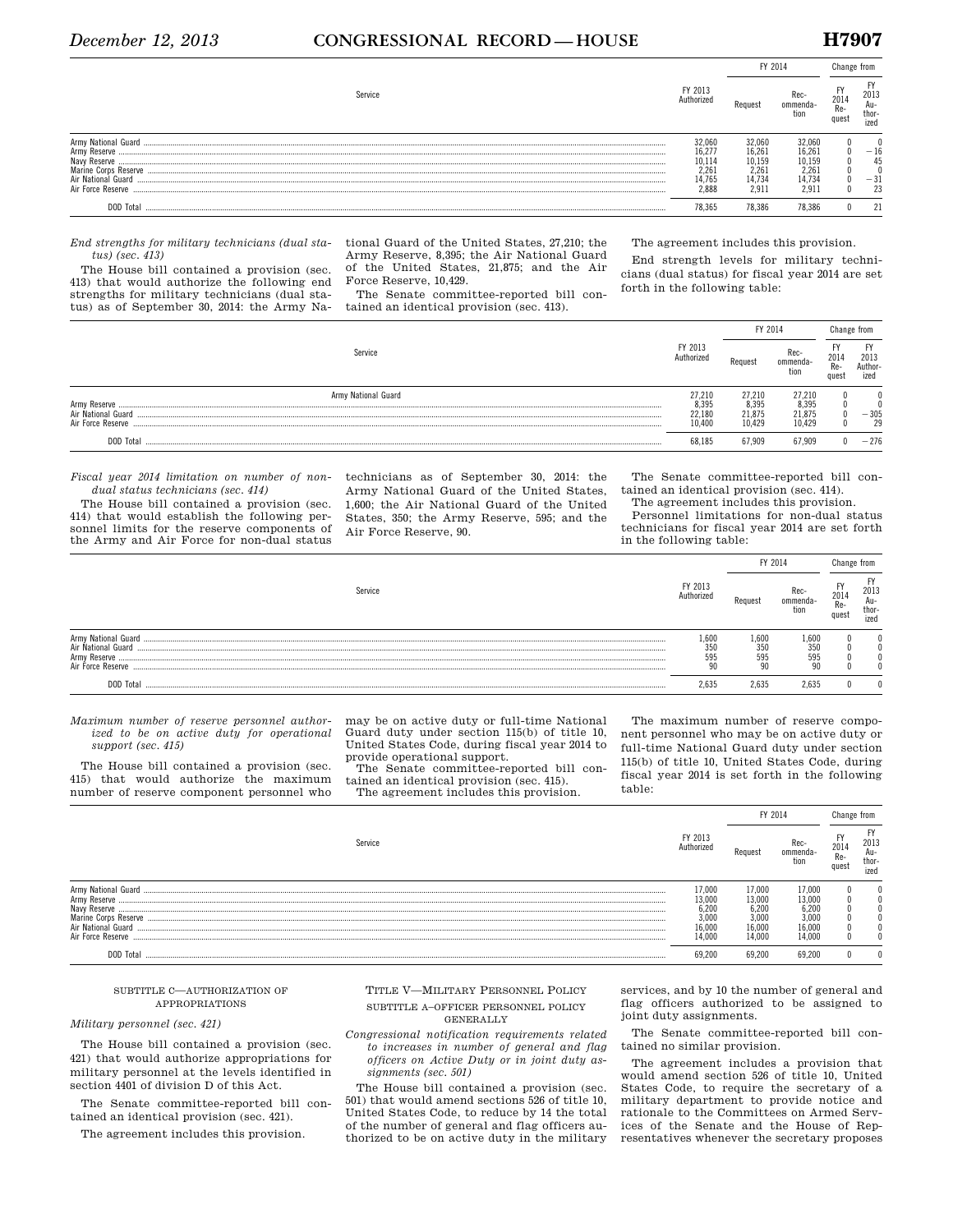### *December 12, 2013* **CONGRESSIONAL RECORD — HOUSE H7907**

|                                                                                                |                                                      | FY 2014                                                |                                                       |             |                              |
|------------------------------------------------------------------------------------------------|------------------------------------------------------|--------------------------------------------------------|-------------------------------------------------------|-------------|------------------------------|
| Service                                                                                        | FY 2013<br>Authorized                                | Request                                                | ommenda-                                              | 201<br>aues | 2013<br>Au-<br>thor-<br>ized |
| Army Reserve<br>Naw Reserve<br>Marine Corps Reserve<br>Air National Guard<br>Air Force Reserve | 32.060<br>16,277<br>10,114<br>2.26<br>4.765<br>2.888 | 32.060<br>16,261<br>10,159<br>2.261<br>14.734<br>2.911 | 32.060<br>16,261<br>10,159<br>2.261<br>14,734<br>2.91 |             | $-16$                        |
| <b>DOD</b><br>Tota                                                                             | 78.365                                               | 78.386                                                 | 78.386                                                |             |                              |

*End strengths for military technicians (dual status) (sec. 413)* 

The House bill contained a provision (sec. 413) that would authorize the following end strengths for military technicians (dual status) as of September 30, 2014: the Army National Guard of the United States, 27,210; the Army Reserve, 8,395; the Air National Guard of the United States, 21,875; and the Air Force Reserve, 10,429.

The Senate committee-reported bill contained an identical provision (sec. 413).

The agreement includes this provision.

End strength levels for military technicians (dual status) for fiscal year 2014 are set forth in the following table:

|                                       |                                                          |                 | FY 2014                 |                      | Change from                   |
|---------------------------------------|----------------------------------------------------------|-----------------|-------------------------|----------------------|-------------------------------|
|                                       | FY 2013<br>Authorized                                    | Request         | Rec<br>ommenda-<br>tion | 2014<br>Re-<br>auest | FY<br>2013<br>Author-<br>ized |
| Army National Guard                   | 27,210                                                   | 27,210          | 27.210                  |                      | $\theta$                      |
| Army Reserve<br>Air National<br>Guard | $\begin{array}{c} 8,395 \\ 22,180 \\ 10,400 \end{array}$ | 8.395<br>21.875 | 8.39<br>21,875          |                      | $\theta$<br>$-305$            |
| Air Force Reserve                     |                                                          | 10.429          | 10.429                  |                      | 29                            |
| DOD Total                             | 68.185                                                   | 67.909          | 67.909                  |                      | $-276$                        |

*Fiscal year 2014 limitation on number of nondual status technicians (sec. 414)* 

The House bill contained a provision (sec. 414) that would establish the following personnel limits for the reserve components of the Army and Air Force for non-dual status

technicians as of September 30, 2014: the Army National Guard of the United States, 1,600; the Air National Guard of the United States, 350; the Army Reserve, 595; and the Air Force Reserve, 90.

The Senate committee-reported bill contained an identical provision (sec. 414). The agreement includes this provision.

Personnel limitations for non-dual status technicians for fiscal year 2014 are set forth in the following table:

|                                                                |                       |                     | FY 2014                   | Change from                       |                              |
|----------------------------------------------------------------|-----------------------|---------------------|---------------------------|-----------------------------------|------------------------------|
| Service                                                        | FY 2013<br>Authorized | Request             | ommenda-<br>tion          | <b>FY</b><br>2014<br>Re-<br>quest | 2013<br>Au-<br>thor-<br>ized |
| Army National Guard<br>Air National Guard<br>Air Force Reserve | 1,600<br>350<br>595   | 1.600<br>350<br>595 | 1,600<br>350<br>595<br>90 |                                   |                              |
| DOD Total                                                      | 2.635                 | 2,635               | 2.635                     |                                   | n                            |

*Maximum number of reserve personnel authorized to be on active duty for operational support (sec. 415)* 

The House bill contained a provision (sec. 415) that would authorize the maximum number of reserve component personnel who may be on active duty or full-time National Guard duty under section 115(b) of title 10, United States Code, during fiscal year 2014 to provide operational support. The Senate committee-reported bill con-

tained an identical provision (sec. 415). The agreement includes this provision.

The maximum number of reserve component personnel who may be on active duty or full-time National Guard duty under section 115(b) of title 10, United States Code, during fiscal year 2014 is set forth in the following table:

|                      |                       | FY 2014 |          |                   |                                       |
|----------------------|-----------------------|---------|----------|-------------------|---------------------------------------|
|                      | FY 2013<br>Authorized | Request | ommenda- | <b>FY</b><br>2014 | - F I<br>2013<br>Au-<br>thor-<br>ized |
|                      | 7,000                 | 17.000  | 17.000   |                   |                                       |
| Army Reserve         | 13,000                | 13,000  | 13.000   |                   |                                       |
| Navy Reserve         | 6,200                 | 6.200   | 6.200    |                   |                                       |
| Marine Corps Reserve | 3.000                 | 3.000   | 1.000    |                   |                                       |
| Air National Guard   | 16,000                | 16.000  | 16.000   |                   |                                       |
| Air Force Reserve    | 14.000                | 14.000  | 14.000   |                   |                                       |
|                      |                       | 69.200  | 69 200   |                   |                                       |

### SUBTITLE C—AUTHORIZATION OF APPROPRIATIONS

*Military personnel (sec. 421)* 

The House bill contained a provision (sec. 421) that would authorize appropriations for military personnel at the levels identified in section 4401 of division D of this Act.

The Senate committee-reported bill contained an identical provision (sec. 421).

The agreement includes this provision.

### TITLE V—MILITARY PERSONNEL POLICY SUBTITLE A–OFFICER PERSONNEL POLICY GENERALLY

*Congressional notification requirements related to increases in number of general and flag officers on Active Duty or in joint duty assignments (sec. 501)* 

The House bill contained a provision (sec. 501) that would amend sections 526 of title 10, United States Code, to reduce by 14 the total of the number of general and flag officers authorized to be on active duty in the military

services, and by 10 the number of general and flag officers authorized to be assigned to joint duty assignments.

The Senate committee-reported bill contained no similar provision.

The agreement includes a provision that would amend section 526 of title 10, United States Code, to require the secretary of a military department to provide notice and rationale to the Committees on Armed Services of the Senate and the House of Representatives whenever the secretary proposes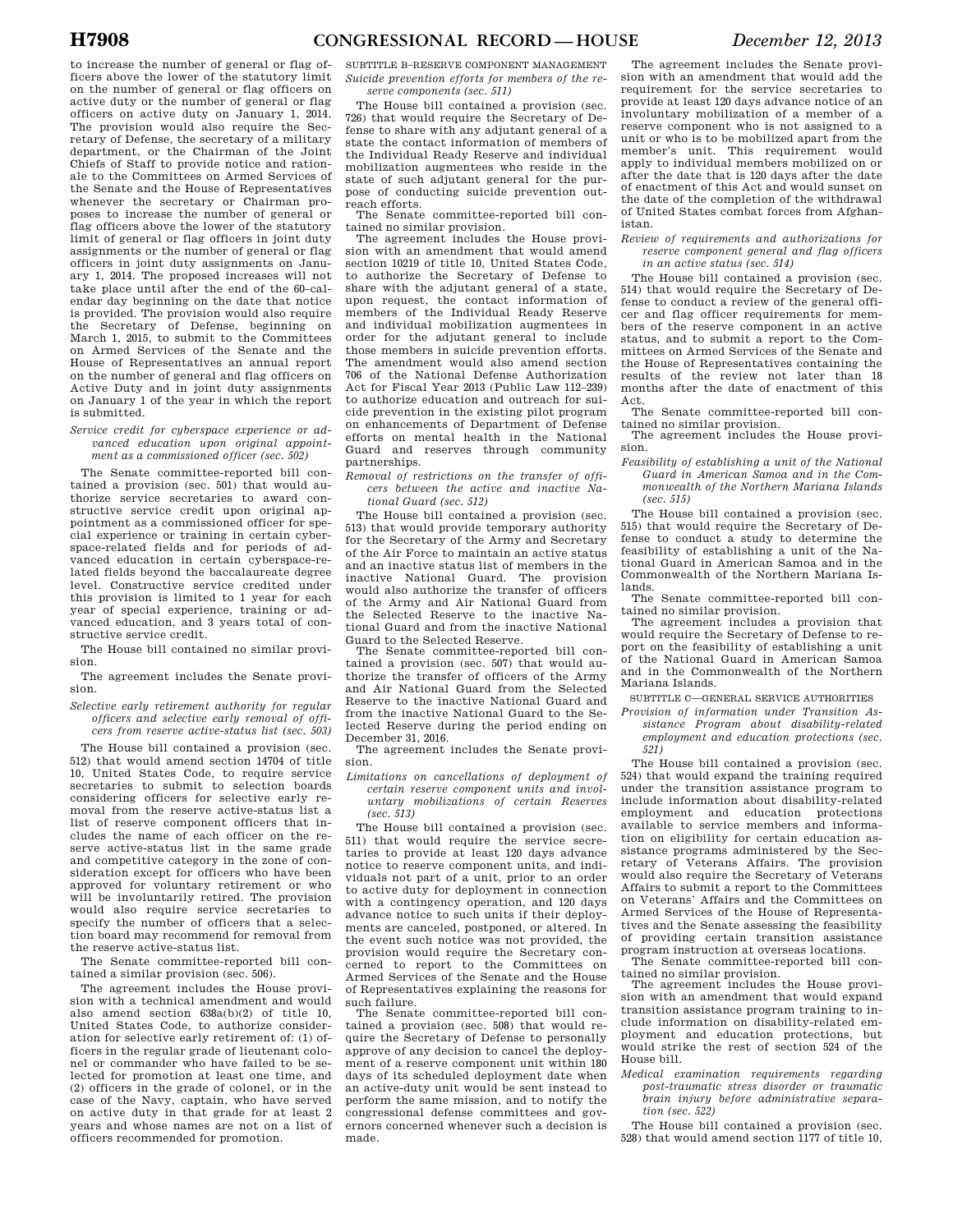to increase the number of general or flag officers above the lower of the statutory limit on the number of general or flag officers on active duty or the number of general or flag officers on active duty on January 1, 2014. The provision would also require the Secretary of Defense, the secretary of a military department, or the Chairman of the Joint Chiefs of Staff to provide notice and rationale to the Committees on Armed Services of the Senate and the House of Representatives whenever the secretary or Chairman proposes to increase the number of general or flag officers above the lower of the statutory limit of general or flag officers in joint duty assignments or the number of general or flag officers in joint duty assignments on January 1, 2014. The proposed increases will not take place until after the end of the 60–calendar day beginning on the date that notice is provided. The provision would also require the Secretary of Defense, beginning on March 1, 2015, to submit to the Committees on Armed Services of the Senate and the House of Representatives an annual report on the number of general and flag officers on Active Duty and in joint duty assignments on January 1 of the year in which the report is submitted.

### *Service credit for cyberspace experience or advanced education upon original appointment as a commissioned officer (sec. 502)*

The Senate committee-reported bill contained a provision (sec. 501) that would authorize service secretaries to award constructive service credit upon original appointment as a commissioned officer for special experience or training in certain cyberspace-related fields and for periods of advanced education in certain cyberspace-related fields beyond the baccalaureate degree level. Constructive service credited under this provision is limited to 1 year for each year of special experience, training or advanced education, and 3 years total of constructive service credit.

The House bill contained no similar provision.

The agreement includes the Senate provision.

*Selective early retirement authority for regular officers and selective early removal of officers from reserve active-status list (sec. 503)* 

The House bill contained a provision (sec. 512) that would amend section 14704 of title 10, United States Code, to require service secretaries to submit to selection boards considering officers for selective early removal from the reserve active-status list a list of reserve component officers that includes the name of each officer on the reserve active-status list in the same grade and competitive category in the zone of consideration except for officers who have been approved for voluntary retirement or who will be involuntarily retired. The provision would also require service secretaries to specify the number of officers that a selection board may recommend for removal from the reserve active-status list.

The Senate committee-reported bill contained a similar provision (sec. 506).

The agreement includes the House provision with a technical amendment and would also amend section 638a(b)(2) of title 10, United States Code, to authorize consideration for selective early retirement of: (1) officers in the regular grade of lieutenant colonel or commander who have failed to be selected for promotion at least one time, and (2) officers in the grade of colonel, or in the case of the Navy, captain, who have served on active duty in that grade for at least 2 years and whose names are not on a list of officers recommended for promotion.

SUBTITLE B–RESERVE COMPONENT MANAGEMENT *Suicide prevention efforts for members of the re-*

*serve components (sec. 511)* 

The House bill contained a provision (sec. 726) that would require the Secretary of Defense to share with any adjutant general of a state the contact information of members of the Individual Ready Reserve and individual mobilization augmentees who reside in the state of such adjutant general for the purpose of conducting suicide prevention outreach efforts.

The Senate committee-reported bill contained no similar provision.

The agreement includes the House provision with an amendment that would amend section 10219 of title 10, United States Code, to authorize the Secretary of Defense to share with the adjutant general of a state, upon request, the contact information of members of the Individual Ready Reserve and individual mobilization augmentees in order for the adjutant general to include those members in suicide prevention efforts. The amendment would also amend section 706 of the National Defense Authorization Act for Fiscal Year 2013 (Public Law 112–239) to authorize education and outreach for suicide prevention in the existing pilot program on enhancements of Department of Defense efforts on mental health in the National Guard and reserves through community partnerships.

*Removal of restrictions on the transfer of officers between the active and inactive National Guard (sec. 512)* 

The House bill contained a provision (sec. 513) that would provide temporary authority for the Secretary of the Army and Secretary of the Air Force to maintain an active status and an inactive status list of members in the inactive National Guard. The provision would also authorize the transfer of officers of the Army and Air National Guard from the Selected Reserve to the inactive National Guard and from the inactive National Guard to the Selected Reserve.

The Senate committee-reported bill contained a provision (sec. 507) that would authorize the transfer of officers of the Army and Air National Guard from the Selected Reserve to the inactive National Guard and from the inactive National Guard to the Selected Reserve during the period ending on December 31, 2016.

The agreement includes the Senate provision.

*Limitations on cancellations of deployment of certain reserve component units and involuntary mobilizations of certain Reserves (sec. 513)* 

The House bill contained a provision (sec. 511) that would require the service secretaries to provide at least 120 days advance notice to reserve component units, and individuals not part of a unit, prior to an order to active duty for deployment in connection with a contingency operation, and 120 days advance notice to such units if their deployments are canceled, postponed, or altered. In the event such notice was not provided, the provision would require the Secretary concerned to report to the Committees on Armed Services of the Senate and the House of Representatives explaining the reasons for such failure.

The Senate committee-reported bill contained a provision (sec. 508) that would require the Secretary of Defense to personally approve of any decision to cancel the deployment of a reserve component unit within 180 days of its scheduled deployment date when an active-duty unit would be sent instead to perform the same mission, and to notify the congressional defense committees and governors concerned whenever such a decision is made.

The agreement includes the Senate provision with an amendment that would add the requirement for the service secretaries to provide at least 120 days advance notice of an involuntary mobilization of a member of a reserve component who is not assigned to a unit or who is to be mobilized apart from the member's unit. This requirement would apply to individual members mobilized on or after the date that is 120 days after the date of enactment of this Act and would sunset on the date of the completion of the withdrawal of United States combat forces from Afghanistan.

*Review of requirements and authorizations for reserve component general and flag officers in an active status (sec. 514)* 

The House bill contained a provision (sec. 514) that would require the Secretary of Defense to conduct a review of the general officer and flag officer requirements for members of the reserve component in an active status, and to submit a report to the Committees on Armed Services of the Senate and the House of Representatives containing the results of the review not later than 18 months after the date of enactment of this Act.

The Senate committee-reported bill contained no similar provision.

The agreement includes the House provision.

*Feasibility of establishing a unit of the National Guard in American Samoa and in the Commonwealth of the Northern Mariana Islands (sec. 515)* 

The House bill contained a provision (sec. 515) that would require the Secretary of Defense to conduct a study to determine the feasibility of establishing a unit of the National Guard in American Samoa and in the Commonwealth of the Northern Mariana Islands.

The Senate committee-reported bill contained no similar provision.

The agreement includes a provision that would require the Secretary of Defense to report on the feasibility of establishing a unit of the National Guard in American Samoa and in the Commonwealth of the Northern Mariana Islands.

SUBTITLE C—GENERAL SERVICE AUTHORITIES

*Provision of information under Transition Assistance Program about disability-related employment and education protections (sec. 521)* 

The House bill contained a provision (sec. 524) that would expand the training required under the transition assistance program to include information about disability-related employment and education protections available to service members and information on eligibility for certain education assistance programs administered by the Secretary of Veterans Affairs. The provision would also require the Secretary of Veterans Affairs to submit a report to the Committees on Veterans' Affairs and the Committees on Armed Services of the House of Representatives and the Senate assessing the feasibility of providing certain transition assistance program instruction at overseas locations. The Senate committee-reported bill con-

tained no similar provision. The agreement includes the House provision with an amendment that would expand transition assistance program training to include information on disability-related employment and education protections, but would strike the rest of section 524 of the House bill.

*Medical examination requirements regarding post-traumatic stress disorder or traumatic brain injury before administrative separation (sec. 522)* 

The House bill contained a provision (sec. 528) that would amend section 1177 of title 10,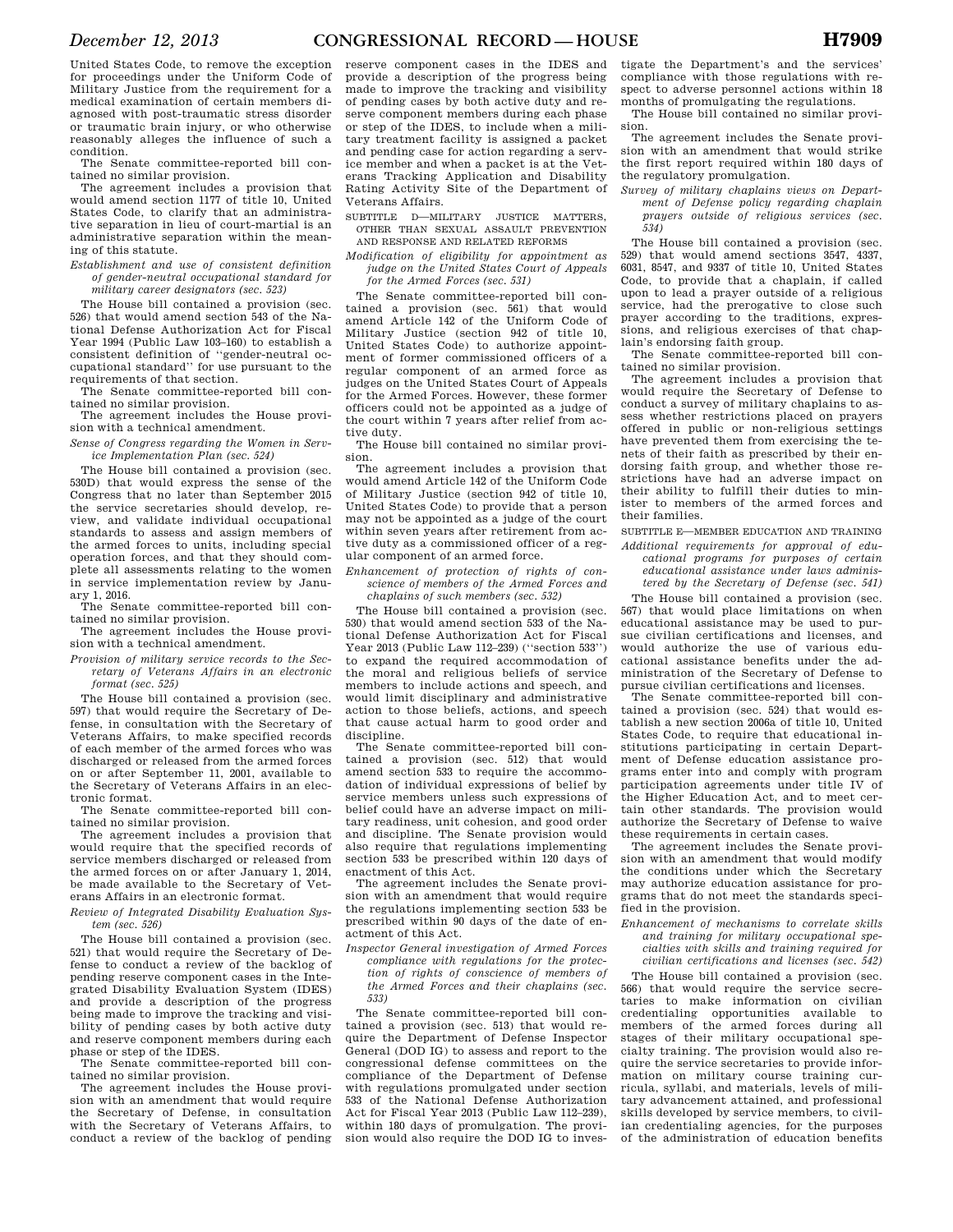United States Code, to remove the exception for proceedings under the Uniform Code of Military Justice from the requirement for a medical examination of certain members diagnosed with post-traumatic stress disorder or traumatic brain injury, or who otherwise reasonably alleges the influence of such a condition.

The Senate committee-reported bill contained no similar provision.

The agreement includes a provision that would amend section 1177 of title 10, United States Code, to clarify that an administrative separation in lieu of court-martial is an administrative separation within the meaning of this statute.

*Establishment and use of consistent definition of gender-neutral occupational standard for military career designators (sec. 523)* 

The House bill contained a provision (sec. 526) that would amend section 543 of the National Defense Authorization Act for Fiscal Year 1994 (Public Law 103–160) to establish a consistent definition of ''gender-neutral occupational standard'' for use pursuant to the requirements of that section.

The Senate committee-reported bill contained no similar provision.

The agreement includes the House provision with a technical amendment.

*Sense of Congress regarding the Women in Service Implementation Plan (sec. 524)* 

The House bill contained a provision (sec. 530D) that would express the sense of the Congress that no later than September 2015 the service secretaries should develop, review, and validate individual occupational standards to assess and assign members of the armed forces to units, including special operation forces, and that they should complete all assessments relating to the women in service implementation review by January 1, 2016.

The Senate committee-reported bill contained no similar provision.

The agreement includes the House provision with a technical amendment.

*Provision of military service records to the Secretary of Veterans Affairs in an electronic format (sec. 525)* 

The House bill contained a provision (sec. 597) that would require the Secretary of Defense, in consultation with the Secretary of Veterans Affairs, to make specified records of each member of the armed forces who was discharged or released from the armed forces on or after September 11, 2001, available to the Secretary of Veterans Affairs in an electronic format.

The Senate committee-reported bill contained no similar provision.

The agreement includes a provision that would require that the specified records of service members discharged or released from the armed forces on or after January 1, 2014, be made available to the Secretary of Veterans Affairs in an electronic format.

*Review of Integrated Disability Evaluation System (sec. 526)* 

The House bill contained a provision (sec. 521) that would require the Secretary of Defense to conduct a review of the backlog of pending reserve component cases in the Integrated Disability Evaluation System (IDES) and provide a description of the progress being made to improve the tracking and visibility of pending cases by both active duty and reserve component members during each phase or step of the IDES.

The Senate committee-reported bill contained no similar provision.

The agreement includes the House provision with an amendment that would require the Secretary of Defense, in consultation with the Secretary of Veterans Affairs, to conduct a review of the backlog of pending

reserve component cases in the IDES and provide a description of the progress being made to improve the tracking and visibility of pending cases by both active duty and reserve component members during each phase or step of the IDES, to include when a military treatment facility is assigned a packet and pending case for action regarding a service member and when a packet is at the Veterans Tracking Application and Disability Rating Activity Site of the Department of Veterans Affairs.

SUBTITLE D—MILITARY JUSTICE MATTERS, OTHER THAN SEXUAL ASSAULT PREVENTION AND RESPONSE AND RELATED REFORMS

*Modification of eligibility for appointment as* 

*judge on the United States Court of Appeals for the Armed Forces (sec. 531)* 

The Senate committee-reported bill contained a provision (sec. 561) that would amend Article 142 of the Uniform Code of Military Justice (section 942 of title 10, United States Code) to authorize appointment of former commissioned officers of a regular component of an armed force as judges on the United States Court of Appeals for the Armed Forces. However, these former officers could not be appointed as a judge of the court within 7 years after relief from active duty.

The House bill contained no similar provision.

The agreement includes a provision that would amend Article 142 of the Uniform Code of Military Justice (section 942 of title 10, United States Code) to provide that a person may not be appointed as a judge of the court within seven years after retirement from active duty as a commissioned officer of a regular component of an armed force.

*Enhancement of protection of rights of conscience of members of the Armed Forces and chaplains of such members (sec. 532)* 

The House bill contained a provision (sec. 530) that would amend section 533 of the National Defense Authorization Act for Fiscal Year 2013 (Public Law 112–239) (''section 533'') to expand the required accommodation of the moral and religious beliefs of service members to include actions and speech, and would limit disciplinary and administrative action to those beliefs, actions, and speech that cause actual harm to good order and discipline.

The Senate committee-reported bill contained a provision (sec. 512) that would amend section 533 to require the accommodation of individual expressions of belief by service members unless such expressions of belief could have an adverse impact on military readiness, unit cohesion, and good order and discipline. The Senate provision would also require that regulations implementing section 533 be prescribed within 120 days of enactment of this Act.

The agreement includes the Senate provision with an amendment that would require the regulations implementing section 533 be prescribed within 90 days of the date of enactment of this Act.

*Inspector General investigation of Armed Forces compliance with regulations for the protection of rights of conscience of members of the Armed Forces and their chaplains (sec. 533)* 

The Senate committee-reported bill contained a provision (sec. 513) that would require the Department of Defense Inspector General (DOD IG) to assess and report to the congressional defense committees on the compliance of the Department of Defense with regulations promulgated under section 533 of the National Defense Authorization Act for Fiscal Year 2013 (Public Law 112–239), within 180 days of promulgation. The provision would also require the DOD IG to investigate the Department's and the services' compliance with those regulations with respect to adverse personnel actions within 18 months of promulgating the regulations.

The House bill contained no similar provision.

The agreement includes the Senate provision with an amendment that would strike the first report required within 180 days of the regulatory promulgation.

*Survey of military chaplains views on Department of Defense policy regarding chaplain prayers outside of religious services (sec. 534)* 

The House bill contained a provision (sec. 529) that would amend sections 3547, 4337, 6031, 8547, and 9337 of title 10, United States Code, to provide that a chaplain, if called upon to lead a prayer outside of a religious service, had the prerogative to close such prayer according to the traditions, expressions, and religious exercises of that chaplain's endorsing faith group.

The Senate committee-reported bill contained no similar provision.

The agreement includes a provision that would require the Secretary of Defense to conduct a survey of military chaplains to assess whether restrictions placed on prayers offered in public or non-religious settings have prevented them from exercising the tenets of their faith as prescribed by their endorsing faith group, and whether those restrictions have had an adverse impact on their ability to fulfill their duties to minister to members of the armed forces and their families.

SUBTITLE E—MEMBER EDUCATION AND TRAINING *Additional requirements for approval of edu-*

*cational programs for purposes of certain educational assistance under laws administered by the Secretary of Defense (sec. 541)* 

The House bill contained a provision (sec. 567) that would place limitations on when educational assistance may be used to pursue civilian certifications and licenses, and would authorize the use of various educational assistance benefits under the administration of the Secretary of Defense to pursue civilian certifications and licenses.

The Senate committee-reported bill contained a provision (sec. 524) that would establish a new section 2006a of title 10, United States Code, to require that educational institutions participating in certain Department of Defense education assistance programs enter into and comply with program participation agreements under title IV of the Higher Education Act, and to meet certain other standards. The provision would authorize the Secretary of Defense to waive these requirements in certain cases.

The agreement includes the Senate provision with an amendment that would modify the conditions under which the Secretary may authorize education assistance for programs that do not meet the standards specified in the provision.

*Enhancement of mechanisms to correlate skills and training for military occupational specialties with skills and training required for civilian certifications and licenses (sec. 542)* 

The House bill contained a provision (sec. 566) that would require the service secretaries to make information on civilian credentialing opportunities available to members of the armed forces during all stages of their military occupational specialty training. The provision would also require the service secretaries to provide information on military course training curricula, syllabi, and materials, levels of military advancement attained, and professional skills developed by service members, to civilian credentialing agencies, for the purposes of the administration of education benefits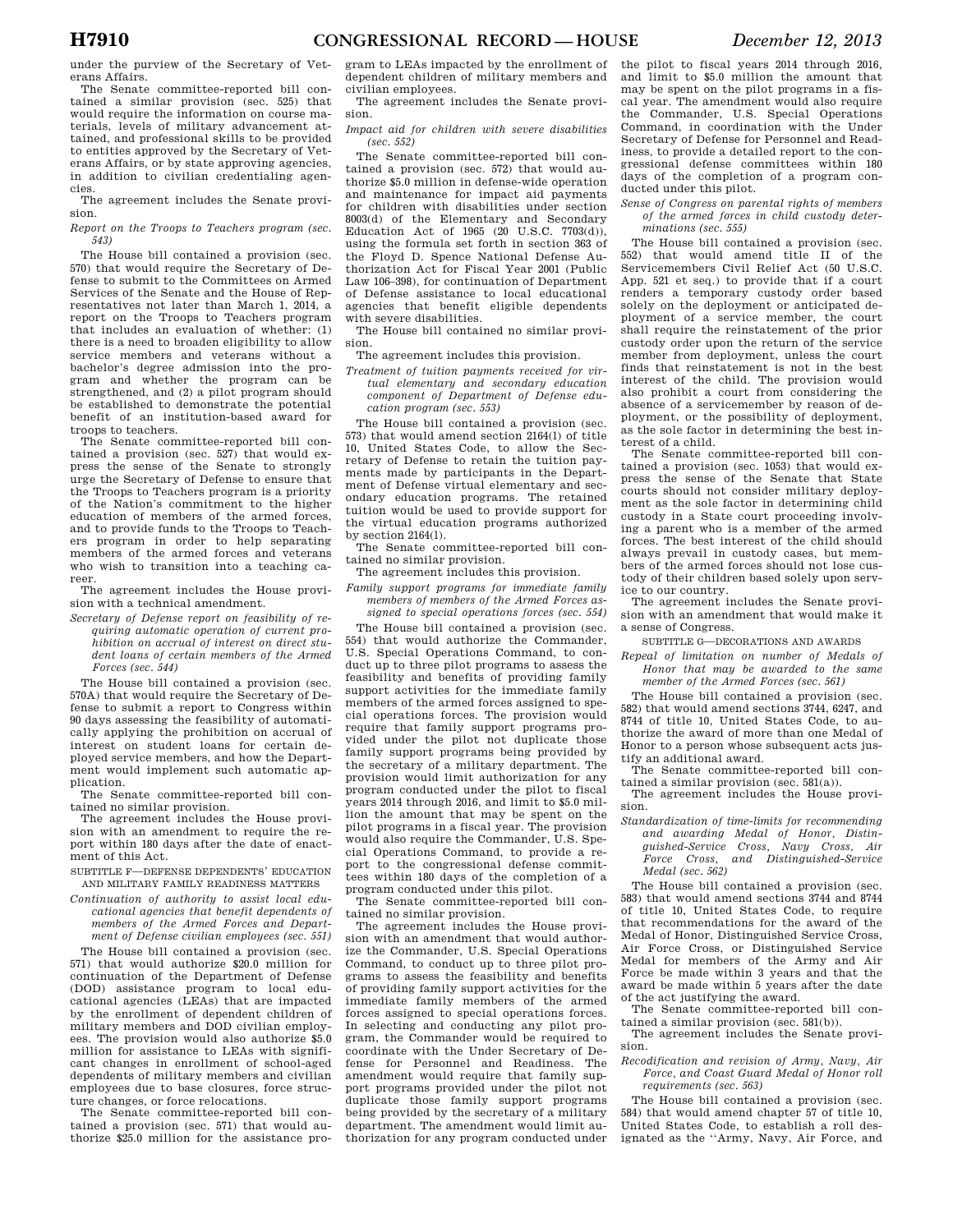The Senate committee-reported bill contained a similar provision (sec. 525) that would require the information on course materials, levels of military advancement attained, and professional skills to be provided to entities approved by the Secretary of Veterans Affairs, or by state approving agencies, in addition to civilian credentialing agencies.

The agreement includes the Senate provision.

*Report on the Troops to Teachers program (sec. 543)* 

The House bill contained a provision (sec. 570) that would require the Secretary of Defense to submit to the Committees on Armed Services of the Senate and the House of Representatives not later than March 1, 2014, a report on the Troops to Teachers program that includes an evaluation of whether: (1) there is a need to broaden eligibility to allow service members and veterans without a bachelor's degree admission into the program and whether the program can be strengthened, and (2) a pilot program should be established to demonstrate the potential benefit of an institution-based award for troops to teachers.

The Senate committee-reported bill contained a provision (sec. 527) that would express the sense of the Senate to strongly urge the Secretary of Defense to ensure that the Troops to Teachers program is a priority of the Nation's commitment to the higher education of members of the armed forces, and to provide funds to the Troops to Teachers program in order to help separating members of the armed forces and veterans who wish to transition into a teaching career.

The agreement includes the House provision with a technical amendment.

*Secretary of Defense report on feasibility of requiring automatic operation of current prohibition on accrual of interest on direct student loans of certain members of the Armed Forces (sec. 544)* 

The House bill contained a provision (sec. 570A) that would require the Secretary of Defense to submit a report to Congress within 90 days assessing the feasibility of automatically applying the prohibition on accrual of interest on student loans for certain deployed service members, and how the Department would implement such automatic application.

The Senate committee-reported bill contained no similar provision.

The agreement includes the House provision with an amendment to require the report within 180 days after the date of enactment of this Act.

SUBTITLE F—DEFENSE DEPENDENTS' EDUCATION AND MILITARY FAMILY READINESS MATTERS

*Continuation of authority to assist local educational agencies that benefit dependents of members of the Armed Forces and Department of Defense civilian employees (sec. 551)* 

The House bill contained a provision (sec. 571) that would authorize \$20.0 million for continuation of the Department of Defense (DOD) assistance program to local educational agencies (LEAs) that are impacted by the enrollment of dependent children of military members and DOD civilian employees. The provision would also authorize \$5.0 million for assistance to LEAs with significant changes in enrollment of school-aged dependents of military members and civilian employees due to base closures, force structure changes, or force relocations.

The Senate committee-reported bill contained a provision (sec. 571) that would authorize \$25.0 million for the assistance program to LEAs impacted by the enrollment of dependent children of military members and civilian employees.

The agreement includes the Senate provision.

*Impact aid for children with severe disabilities (sec. 552)* 

The Senate committee-reported bill contained a provision (sec. 572) that would authorize \$5.0 million in defense-wide operation and maintenance for impact aid payments for children with disabilities under section 8003(d) of the Elementary and Secondary Education Act of 1965 (20 U.S.C. 7703(d)), using the formula set forth in section 363 of the Floyd D. Spence National Defense Authorization Act for Fiscal Year 2001 (Public Law 106–398), for continuation of Department of Defense assistance to local educational agencies that benefit eligible dependents with severe disabilities.

The House bill contained no similar provision.

## The agreement includes this provision.

*Treatment of tuition payments received for virtual elementary and secondary education component of Department of Defense education program (sec. 553)* 

The House bill contained a provision (sec. 573) that would amend section 2164(l) of title 10, United States Code, to allow the Secretary of Defense to retain the tuition payments made by participants in the Department of Defense virtual elementary and secondary education programs. The retained tuition would be used to provide support for the virtual education programs authorized by section 2164(l).

The Senate committee-reported bill contained no similar provision.

- The agreement includes this provision.
- *Family support programs for immediate family members of members of the Armed Forces assigned to special operations forces (sec. 554)*

The House bill contained a provision (sec. 554) that would authorize the Commander, U.S. Special Operations Command, to conduct up to three pilot programs to assess the feasibility and benefits of providing family support activities for the immediate family members of the armed forces assigned to special operations forces. The provision would require that family support programs provided under the pilot not duplicate those family support programs being provided by the secretary of a military department. The provision would limit authorization for any program conducted under the pilot to fiscal years 2014 through 2016, and limit to \$5.0 million the amount that may be spent on the pilot programs in a fiscal year. The provision would also require the Commander, U.S. Special Operations Command, to provide a report to the congressional defense committees within 180 days of the completion of a program conducted under this pilot.

The Senate committee-reported bill contained no similar provision.

The agreement includes the House provision with an amendment that would authorize the Commander, U.S. Special Operations Command, to conduct up to three pilot programs to assess the feasibility and benefits of providing family support activities for the immediate family members of the armed forces assigned to special operations forces. In selecting and conducting any pilot program, the Commander would be required to coordinate with the Under Secretary of Defense for Personnel and Readiness. The amendment would require that family support programs provided under the pilot not duplicate those family support programs being provided by the secretary of a military department. The amendment would limit authorization for any program conducted under the pilot to fiscal years 2014 through 2016, and limit to \$5.0 million the amount that may be spent on the pilot programs in a fiscal year. The amendment would also require the Commander, U.S. Special Operations Command, in coordination with the Under Secretary of Defense for Personnel and Readiness, to provide a detailed report to the congressional defense committees within 180 days of the completion of a program conducted under this pilot.

#### *Sense of Congress on parental rights of members of the armed forces in child custody determinations (sec. 555)*

The House bill contained a provision (sec.<br>(2) that would amend title II of the  $552$ ) that would amend title II of Servicemembers Civil Relief Act (50 U.S.C. App. 521 et seq.) to provide that if a court renders a temporary custody order based solely on the deployment or anticipated deployment of a service member, the court shall require the reinstatement of the prior custody order upon the return of the service member from deployment, unless the court finds that reinstatement is not in the best interest of the child. The provision would also prohibit a court from considering the absence of a servicemember by reason of deployment, or the possibility of deployment, as the sole factor in determining the best interest of a child.

The Senate committee-reported bill contained a provision (sec. 1053) that would express the sense of the Senate that State courts should not consider military deployment as the sole factor in determining child custody in a State court proceeding involving a parent who is a member of the armed forces. The best interest of the child should always prevail in custody cases, but members of the armed forces should not lose custody of their children based solely upon service to our country.

The agreement includes the Senate provision with an amendment that would make it a sense of Congress.

SUBTITLE G—DECORATIONS AND AWARDS

*Repeal of limitation on number of Medals of Honor that may be awarded to the same member of the Armed Forces (sec. 561)* 

The House bill contained a provision (sec. 582) that would amend sections 3744, 6247, and 8744 of title 10, United States Code, to authorize the award of more than one Medal of Honor to a person whose subsequent acts justify an additional award.

The Senate committee-reported bill contained a similar provision (sec. 581(a)).

The agreement includes the House provision.

- *Standardization of time-limits for recommending and awarding Medal of Honor, Distin*
	- *guished-Service Cross, Navy Cross, Air Force Cross, and Distinguished-Service Medal (sec. 562)*

The House bill contained a provision (sec. 583) that would amend sections 3744 and 8744 of title 10, United States Code, to require that recommendations for the award of the Medal of Honor, Distinguished Service Cross, Air Force Cross, or Distinguished Service Medal for members of the Army and Air Force be made within 3 years and that the award be made within 5 years after the date of the act justifying the award.

The Senate committee-reported bill contained a similar provision (sec. 581(b)).

The agreement includes the Senate provision.

### *Recodification and revision of Army, Navy, Air Force, and Coast Guard Medal of Honor roll requirements (sec. 563)*

The House bill contained a provision (sec. 584) that would amend chapter 57 of title 10, United States Code, to establish a roll designated as the ''Army, Navy, Air Force, and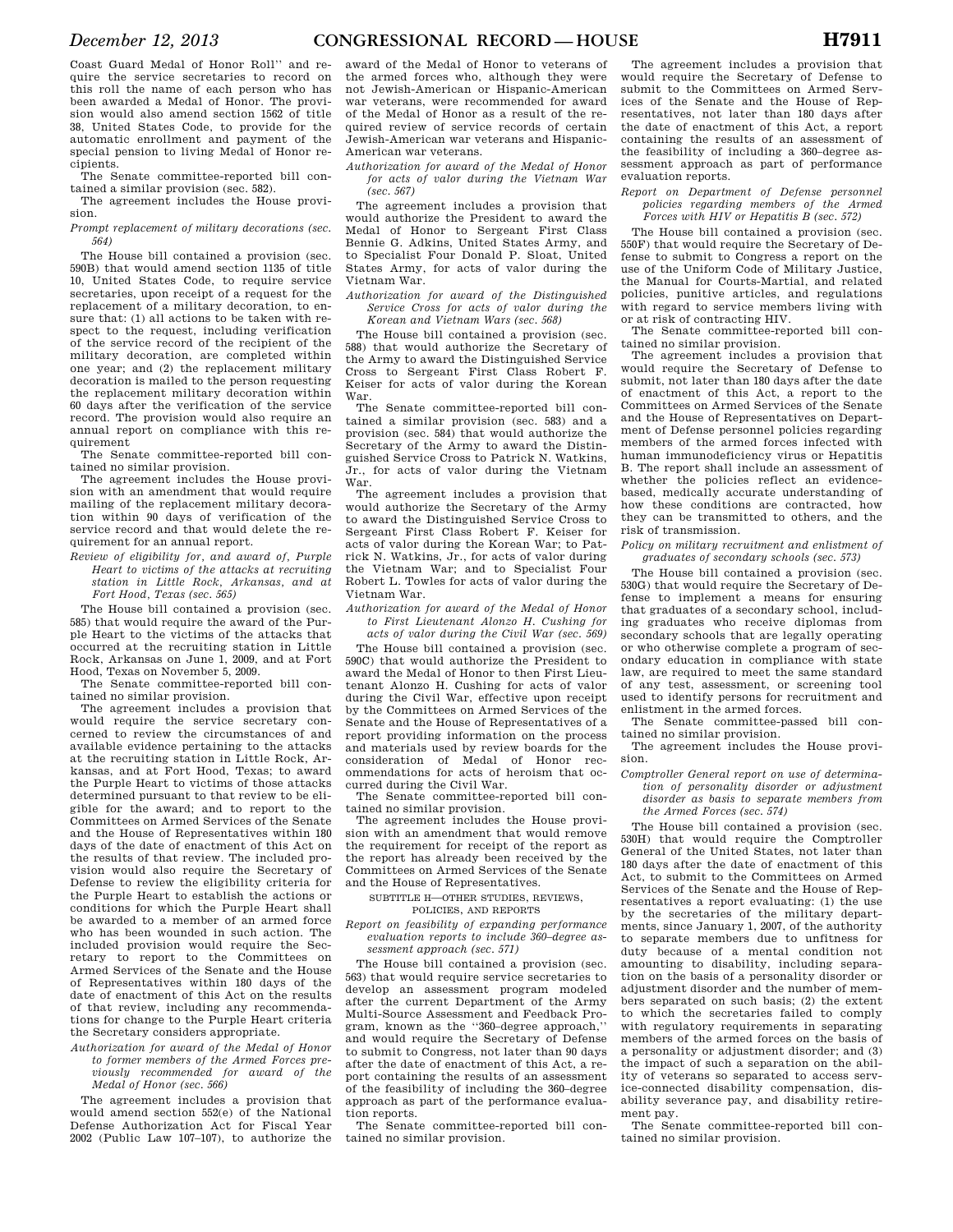Coast Guard Medal of Honor Roll'' and require the service secretaries to record on this roll the name of each person who has been awarded a Medal of Honor. The provision would also amend section 1562 of title 38, United States Code, to provide for the automatic enrollment and payment of the special pension to living Medal of Honor recipients.

The Senate committee-reported bill contained a similar provision (sec. 582).

The agreement includes the House provision.

*Prompt replacement of military decorations (sec. 564)* 

The House bill contained a provision (sec. 590B) that would amend section 1135 of title 10, United States Code, to require service secretaries, upon receipt of a request for the replacement of a military decoration, to ensure that: (1) all actions to be taken with respect to the request, including verification of the service record of the recipient of the military decoration, are completed within one year; and (2) the replacement military decoration is mailed to the person requesting the replacement military decoration within 60 days after the verification of the service record. The provision would also require an annual report on compliance with this requirement

The Senate committee-reported bill contained no similar provision.

The agreement includes the House provision with an amendment that would require mailing of the replacement military decoration within 90 days of verification of the service record and that would delete the requirement for an annual report.

*Review of eligibility for, and award of, Purple Heart to victims of the attacks at recruiting station in Little Rock, Arkansas, and at Fort Hood, Texas (sec. 565)* 

The House bill contained a provision (sec. 585) that would require the award of the Purple Heart to the victims of the attacks that occurred at the recruiting station in Little Rock, Arkansas on June 1, 2009, and at Fort Hood, Texas on November 5, 2009.

The Senate committee-reported bill contained no similar provision.

The agreement includes a provision that would require the service secretary concerned to review the circumstances of and available evidence pertaining to the attacks at the recruiting station in Little Rock, Arkansas, and at Fort Hood, Texas; to award the Purple Heart to victims of those attacks determined pursuant to that review to be eligible for the award; and to report to the Committees on Armed Services of the Senate and the House of Representatives within 180 days of the date of enactment of this Act on the results of that review. The included provision would also require the Secretary of Defense to review the eligibility criteria for the Purple Heart to establish the actions or conditions for which the Purple Heart shall be awarded to a member of an armed force who has been wounded in such action. The included provision would require the Secretary to report to the Committees on Armed Services of the Senate and the House of Representatives within 180 days of the date of enactment of this Act on the results of that review, including any recommendations for change to the Purple Heart criteria the Secretary considers appropriate.

### *Authorization for award of the Medal of Honor to former members of the Armed Forces previously recommended for award of the Medal of Honor (sec. 566)*

The agreement includes a provision that would amend section 552(e) of the National Defense Authorization Act for Fiscal Year 2002 (Public Law 107–107), to authorize the

award of the Medal of Honor to veterans of the armed forces who, although they were not Jewish-American or Hispanic-American war veterans, were recommended for award of the Medal of Honor as a result of the required review of service records of certain Jewish-American war veterans and Hispanic-American war veterans.

*Authorization for award of the Medal of Honor for acts of valor during the Vietnam War (sec. 567)* 

The agreement includes a provision that would authorize the President to award the Medal of Honor to Sergeant First Class Bennie G. Adkins, United States Army, and to Specialist Four Donald P. Sloat, United States Army, for acts of valor during the Vietnam War.

*Authorization for award of the Distinguished Service Cross for acts of valor during the Korean and Vietnam Wars (sec. 568)* 

The House bill contained a provision (sec. 588) that would authorize the Secretary of the Army to award the Distinguished Service Cross to Sergeant First Class Robert F. Keiser for acts of valor during the Korean War.

The Senate committee-reported bill contained a similar provision (sec. 583) and a provision (sec. 584) that would authorize the Secretary of the Army to award the Distinguished Service Cross to Patrick N. Watkins, Jr., for acts of valor during the Vietnam War.

The agreement includes a provision that would authorize the Secretary of the Army to award the Distinguished Service Cross to Sergeant First Class Robert F. Keiser for acts of valor during the Korean War; to Patrick N. Watkins, Jr., for acts of valor during the Vietnam War; and to Specialist Four Robert L. Towles for acts of valor during the Vietnam War.

*Authorization for award of the Medal of Honor to First Lieutenant Alonzo H. Cushing for acts of valor during the Civil War (sec. 569)* 

The House bill contained a provision (sec. 590C) that would authorize the President to award the Medal of Honor to then First Lieutenant Alonzo H. Cushing for acts of valor during the Civil War, effective upon receipt by the Committees on Armed Services of the Senate and the House of Representatives of a report providing information on the process and materials used by review boards for the consideration of Medal of Honor recommendations for acts of heroism that occurred during the Civil War.

The Senate committee-reported bill contained no similar provision.

The agreement includes the House provision with an amendment that would remove the requirement for receipt of the report as the report has already been received by the Committees on Armed Services of the Senate and the House of Representatives.

SUBTITLE H—OTHER STUDIES, REVIEWS,

POLICIES, AND REPORTS

*Report on feasibility of expanding performance evaluation reports to include 360–degree assessment approach (sec. 571)* 

The House bill contained a provision (sec. 563) that would require service secretaries to develop an assessment program modeled after the current Department of the Army Multi-Source Assessment and Feedback Program, known as the ''360–degree approach,'' and would require the Secretary of Defense to submit to Congress, not later than 90 days after the date of enactment of this Act, a report containing the results of an assessment of the feasibility of including the 360–degree approach as part of the performance evaluation reports.

The Senate committee-reported bill contained no similar provision.

The agreement includes a provision that would require the Secretary of Defense to submit to the Committees on Armed Services of the Senate and the House of Representatives, not later than 180 days after the date of enactment of this Act, a report containing the results of an assessment of the feasibility of including a 360–degree assessment approach as part of performance evaluation reports.

*Report on Department of Defense personnel policies regarding members of the Armed Forces with HIV or Hepatitis B (sec. 572)* 

The House bill contained a provision (sec. 550F) that would require the Secretary of Defense to submit to Congress a report on the use of the Uniform Code of Military Justice, the Manual for Courts-Martial, and related policies, punitive articles, and regulations with regard to service members living with or at risk of contracting HIV.

The Senate committee-reported bill contained no similar provision.

The agreement includes a provision that would require the Secretary of Defense to submit, not later than 180 days after the date of enactment of this Act, a report to the Committees on Armed Services of the Senate and the House of Representatives on Department of Defense personnel policies regarding members of the armed forces infected with human immunodeficiency virus or Hepatitis B. The report shall include an assessment of whether the policies reflect an evidencebased, medically accurate understanding of how these conditions are contracted, how they can be transmitted to others, and the risk of transmission.

*Policy on military recruitment and enlistment of graduates of secondary schools (sec. 573)* 

The House bill contained a provision (sec. 530G) that would require the Secretary of Defense to implement a means for ensuring that graduates of a secondary school, including graduates who receive diplomas from secondary schools that are legally operating or who otherwise complete a program of secondary education in compliance with state law, are required to meet the same standard of any test, assessment, or screening tool used to identify persons for recruitment and enlistment in the armed forces.

The Senate committee-passed bill contained no similar provision.

The agreement includes the House provision.

### *Comptroller General report on use of determination of personality disorder or adjustment disorder as basis to separate members from the Armed Forces (sec. 574)*

The House bill contained a provision (sec. 530H) that would require the Comptroller General of the United States, not later than 180 days after the date of enactment of this Act, to submit to the Committees on Armed Services of the Senate and the House of Representatives a report evaluating: (1) the use by the secretaries of the military departments, since January 1, 2007, of the authority to separate members due to unfitness for duty because of a mental condition not amounting to disability, including separation on the basis of a personality disorder or adjustment disorder and the number of members separated on such basis; (2) the extent to which the secretaries failed to comply with regulatory requirements in separating members of the armed forces on the basis of a personality or adjustment disorder; and (3) the impact of such a separation on the ability of veterans so separated to access service-connected disability compensation, disability severance pay, and disability retirement pay.

The Senate committee-reported bill contained no similar provision.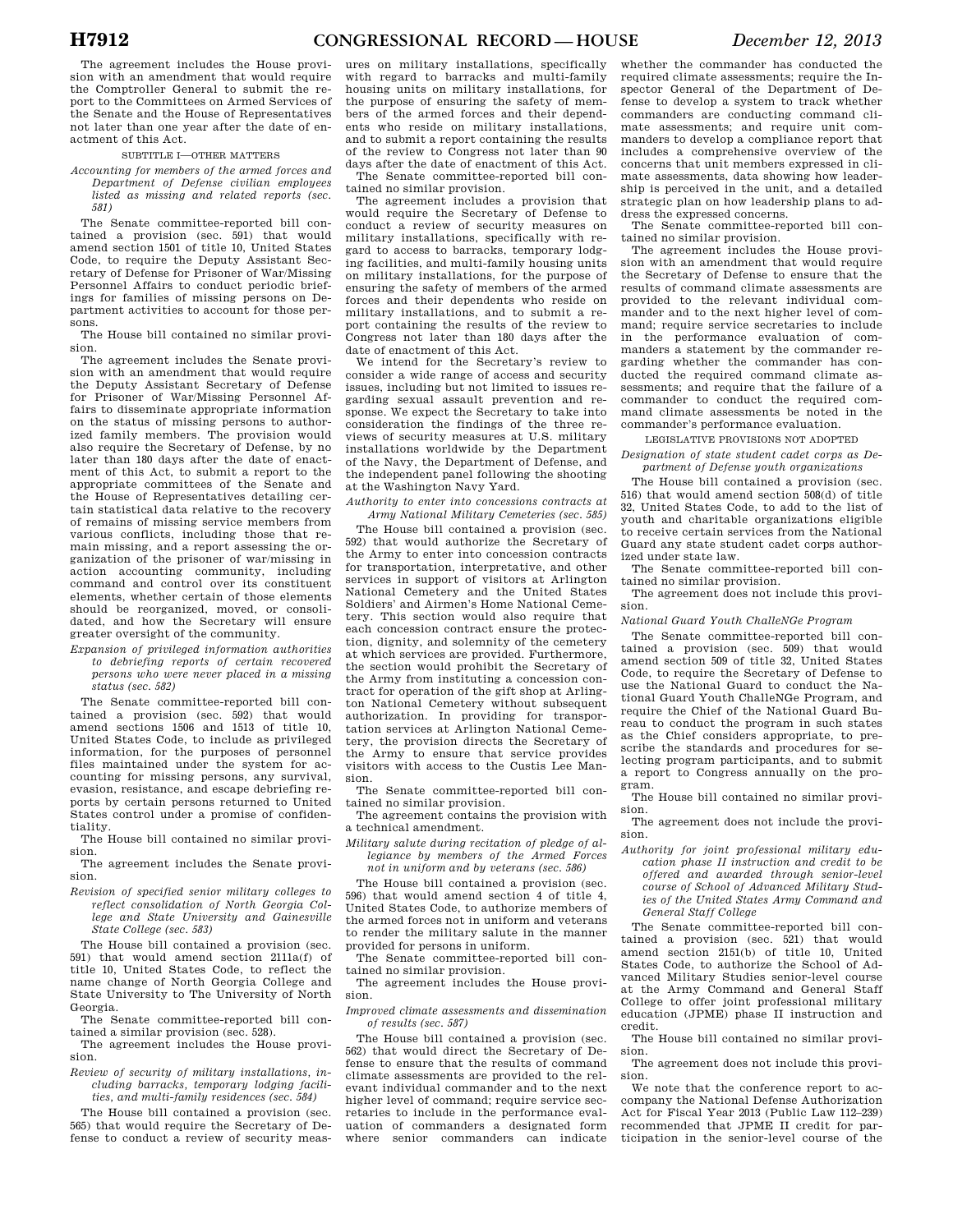The agreement includes the House provision with an amendment that would require the Comptroller General to submit the report to the Committees on Armed Services of the Senate and the House of Representatives not later than one year after the date of enactment of this Act.

### SUBTITLE I—OTHER MATTERS

*Accounting for members of the armed forces and Department of Defense civilian employees listed as missing and related reports (sec. 581)* 

The Senate committee-reported bill contained a provision (sec. 591) that would amend section 1501 of title 10, United States Code, to require the Deputy Assistant Secretary of Defense for Prisoner of War/Missing Personnel Affairs to conduct periodic briefings for families of missing persons on Department activities to account for those persons.

The House bill contained no similar provision.

The agreement includes the Senate provision with an amendment that would require the Deputy Assistant Secretary of Defense for Prisoner of War/Missing Personnel Affairs to disseminate appropriate information on the status of missing persons to authorized family members. The provision would also require the Secretary of Defense, by no later than 180 days after the date of enactment of this Act, to submit a report to the appropriate committees of the Senate and the House of Representatives detailing certain statistical data relative to the recovery of remains of missing service members from various conflicts, including those that remain missing, and a report assessing the organization of the prisoner of war/missing in action accounting community, including command and control over its constituent elements, whether certain of those elements should be reorganized, moved, or consolidated, and how the Secretary will ensure greater oversight of the community.

*Expansion of privileged information authorities to debriefing reports of certain recovered persons who were never placed in a missing status (sec. 582)* 

The Senate committee-reported bill contained a provision (sec. 592) that would amend sections 1506 and 1513 of title 10, United States Code, to include as privileged information, for the purposes of personnel files maintained under the system for accounting for missing persons, any survival, evasion, resistance, and escape debriefing reports by certain persons returned to United States control under a promise of confidentiality.

The House bill contained no similar provision.

The agreement includes the Senate provision.

*Revision of specified senior military colleges to reflect consolidation of North Georgia College and State University and Gainesville State College (sec. 583)* 

The House bill contained a provision (sec. 591) that would amend section 2111a(f) of title 10, United States Code, to reflect the name change of North Georgia College and State University to The University of North Georgia.

The Senate committee-reported bill contained a similar provision (sec. 528).

The agreement includes the House provision.

*Review of security of military installations, including barracks, temporary lodging facilities, and multi-family residences (sec. 584)* 

The House bill contained a provision (sec. 565) that would require the Secretary of Defense to conduct a review of security meas-

ures on military installations, specifically with regard to barracks and multi-family housing units on military installations, for the purpose of ensuring the safety of members of the armed forces and their dependents who reside on military installations, and to submit a report containing the results of the review to Congress not later than 90 days after the date of enactment of this Act. The Senate committee-reported bill con-

tained no similar provision.

The agreement includes a provision that would require the Secretary of Defense to conduct a review of security measures on military installations, specifically with regard to access to barracks, temporary lodging facilities, and multi-family housing units on military installations, for the purpose of ensuring the safety of members of the armed forces and their dependents who reside on military installations, and to submit a report containing the results of the review to Congress not later than 180 days after the date of enactment of this Act.

We intend for the Secretary's review to consider a wide range of access and security issues, including but not limited to issues regarding sexual assault prevention and response. We expect the Secretary to take into consideration the findings of the three reviews of security measures at U.S. military installations worldwide by the Department of the Navy, the Department of Defense, and the independent panel following the shooting at the Washington Navy Yard.

*Authority to enter into concessions contracts at Army National Military Cemeteries (sec. 585)* 

The House bill contained a provision (sec. 592) that would authorize the Secretary of the Army to enter into concession contracts for transportation, interpretative, and other services in support of visitors at Arlington National Cemetery and the United States Soldiers' and Airmen's Home National Cemetery. This section would also require that each concession contract ensure the protection, dignity, and solemnity of the cemetery at which services are provided. Furthermore, the section would prohibit the Secretary of the Army from instituting a concession contract for operation of the gift shop at Arlington National Cemetery without subsequent authorization. In providing for transportation services at Arlington National Cemetery, the provision directs the Secretary of the Army to ensure that service provides visitors with access to the Custis Lee Mansion.

The Senate committee-reported bill contained no similar provision.

The agreement contains the provision with a technical amendment.

*Military salute during recitation of pledge of allegiance by members of the Armed Forces not in uniform and by veterans (sec. 586)* 

The House bill contained a provision (sec. 596) that would amend section 4 of title 4, United States Code, to authorize members of the armed forces not in uniform and veterans to render the military salute in the manner provided for persons in uniform.

The Senate committee-reported bill contained no similar provision.

The agreement includes the House provision.

*Improved climate assessments and dissemination of results (sec. 587)* 

The House bill contained a provision (sec. 562) that would direct the Secretary of Defense to ensure that the results of command climate assessments are provided to the relevant individual commander and to the next higher level of command; require service secretaries to include in the performance evaluation of commanders a designated form where senior commanders can indicate

whether the commander has conducted the required climate assessments; require the Inspector General of the Department of Defense to develop a system to track whether commanders are conducting command climate assessments; and require unit commanders to develop a compliance report that includes a comprehensive overview of the concerns that unit members expressed in climate assessments, data showing how leadership is perceived in the unit, and a detailed strategic plan on how leadership plans to address the expressed concerns.

The Senate committee-reported bill contained no similar provision.

The agreement includes the House provision with an amendment that would require the Secretary of Defense to ensure that the results of command climate assessments are provided to the relevant individual commander and to the next higher level of command; require service secretaries to include in the performance evaluation of commanders a statement by the commander regarding whether the commander has conducted the required command climate assessments; and require that the failure of a commander to conduct the required command climate assessments be noted in the commander's performance evaluation.

#### LEGISLATIVE PROVISIONS NOT ADOPTED

*Designation of state student cadet corps as Department of Defense youth organizations* 

The House bill contained a provision (sec. 516) that would amend section 508(d) of title 32, United States Code, to add to the list of youth and charitable organizations eligible to receive certain services from the National Guard any state student cadet corps authorized under state law.

The Senate committee-reported bill contained no similar provision.

The agreement does not include this provision.

*National Guard Youth ChalleNGe Program* 

The Senate committee-reported bill contained a provision (sec. 509) that would amend section 509 of title 32, United States Code, to require the Secretary of Defense to use the National Guard to conduct the National Guard Youth ChalleNGe Program, and require the Chief of the National Guard Bureau to conduct the program in such states as the Chief considers appropriate, to prescribe the standards and procedures for selecting program participants, and to submit a report to Congress annually on the program.

The House bill contained no similar provision.

The agreement does not include the provision.

*Authority for joint professional military education phase II instruction and credit to be offered and awarded through senior-level course of School of Advanced Military Studies of the United States Army Command and General Staff College* 

The Senate committee-reported bill contained a provision (sec. 521) that would amend section 2151(b) of title 10, United States Code, to authorize the School of Advanced Military Studies senior-level course at the Army Command and General Staff College to offer joint professional military education (JPME) phase II instruction and credit.

The House bill contained no similar provision.

The agreement does not include this provision.

We note that the conference report to accompany the National Defense Authorization Act for Fiscal Year 2013 (Public Law 112–239) recommended that JPME II credit for participation in the senior-level course of the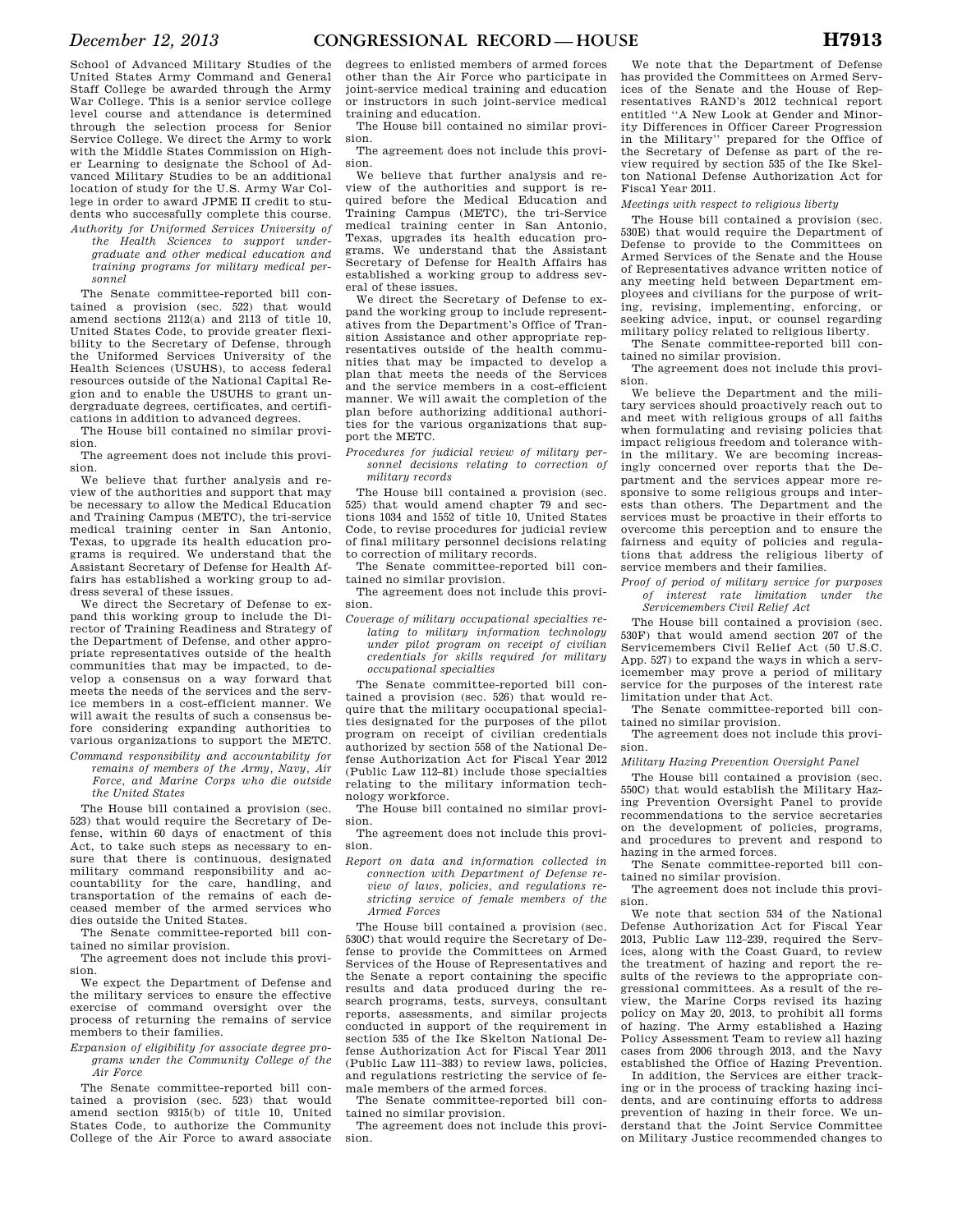School of Advanced Military Studies of the United States Army Command and General Staff College be awarded through the Army War College. This is a senior service college level course and attendance is determined through the selection process for Senior Service College. We direct the Army to work with the Middle States Commission on Higher Learning to designate the School of Advanced Military Studies to be an additional location of study for the U.S. Army War College in order to award JPME II credit to students who successfully complete this course.

*Authority for Uniformed Services University of the Health Sciences to support undergraduate and other medical education and training programs for military medical personnel* 

The Senate committee-reported bill contained a provision (sec. 522) that would amend sections 2112(a) and 2113 of title 10, United States Code, to provide greater flexibility to the Secretary of Defense, through the Uniformed Services University of the Health Sciences (USUHS), to access federal resources outside of the National Capital Region and to enable the USUHS to grant undergraduate degrees, certificates, and certifications in addition to advanced degrees.

The House bill contained no similar provision.

The agreement does not include this provision.

We believe that further analysis and review of the authorities and support that may be necessary to allow the Medical Education and Training Campus (METC), the tri-service medical training center in San Antonio, Texas, to upgrade its health education programs is required. We understand that the Assistant Secretary of Defense for Health Affairs has established a working group to address several of these issues.

We direct the Secretary of Defense to expand this working group to include the Director of Training Readiness and Strategy of the Department of Defense, and other appropriate representatives outside of the health communities that may be impacted, to develop a consensus on a way forward that meets the needs of the services and the service members in a cost-efficient manner. We will await the results of such a consensus before considering expanding authorities to various organizations to support the METC.

*Command responsibility and accountability for remains of members of the Army, Navy, Air Force, and Marine Corps who die outside the United States* 

The House bill contained a provision (sec. 523) that would require the Secretary of Defense, within 60 days of enactment of this Act, to take such steps as necessary to ensure that there is continuous, designated military command responsibility and accountability for the care, handling, and transportation of the remains of each deceased member of the armed services who dies outside the United States.

The Senate committee-reported bill contained no similar provision.

The agreement does not include this provision.

We expect the Department of Defense and the military services to ensure the effective exercise of command oversight over the process of returning the remains of service members to their families.

*Expansion of eligibility for associate degree programs under the Community College of the Air Force* 

The Senate committee-reported bill contained a provision (sec. 523) that would amend section 9315(b) of title 10, United States Code, to authorize the Community College of the Air Force to award associate

degrees to enlisted members of armed forces other than the Air Force who participate in joint-service medical training and education or instructors in such joint-service medical training and education.

The House bill contained no similar provision.

The agreement does not include this provision.

We believe that further analysis and review of the authorities and support is required before the Medical Education and Training Campus (METC), the tri-Service medical training center in San Antonio, Texas, upgrades its health education programs. We understand that the Assistant Secretary of Defense for Health Affairs has established a working group to address several of these issues.

We direct the Secretary of Defense to expand the working group to include representatives from the Department's Office of Transition Assistance and other appropriate representatives outside of the health communities that may be impacted to develop a plan that meets the needs of the Services and the service members in a cost-efficient manner. We will await the completion of the plan before authorizing additional authorities for the various organizations that support the METC.

*Procedures for judicial review of military personnel decisions relating to correction of military records* 

The House bill contained a provision (sec. 525) that would amend chapter 79 and sections 1034 and 1552 of title 10, United States Code, to revise procedures for judicial review of final military personnel decisions relating to correction of military records.

The Senate committee-reported bill contained no similar provision.

The agreement does not include this provision.

*Coverage of military occupational specialties relating to military information technology under pilot program on receipt of civilian credentials for skills required for military occupational specialties* 

The Senate committee-reported bill contained a provision (sec. 526) that would require that the military occupational specialties designated for the purposes of the pilot program on receipt of civilian credentials authorized by section 558 of the National Defense Authorization Act for Fiscal Year 2012 (Public Law 112–81) include those specialties relating to the military information technology workforce.

The House bill contained no similar provision.

The agreement does not include this provision.

*Report on data and information collected in connection with Department of Defense review of laws, policies, and regulations restricting service of female members of the Armed Forces* 

The House bill contained a provision (sec. 530C) that would require the Secretary of Defense to provide the Committees on Armed Services of the House of Representatives and the Senate a report containing the specific results and data produced during the research programs, tests, surveys, consultant reports, assessments, and similar projects conducted in support of the requirement in section 535 of the Ike Skelton National Defense Authorization Act for Fiscal Year 2011 (Public Law 111–383) to review laws, policies, and regulations restricting the service of female members of the armed forces.

The Senate committee-reported bill contained no similar provision.

The agreement does not include this provision.

We note that the Department of Defense has provided the Committees on Armed Services of the Senate and the House of Representatives RAND's 2012 technical report entitled ''A New Look at Gender and Minority Differences in Officer Career Progression in the Military'' prepared for the Office of the Secretary of Defense as part of the review required by section 535 of the Ike Skelton National Defense Authorization Act for Fiscal Year 2011.

*Meetings with respect to religious liberty* 

The House bill contained a provision (sec. 530E) that would require the Department of Defense to provide to the Committees on Armed Services of the Senate and the House of Representatives advance written notice of any meeting held between Department employees and civilians for the purpose of writing, revising, implementing, enforcing, or seeking advice, input, or counsel regarding military policy related to religious liberty.

The Senate committee-reported bill contained no similar provision.

The agreement does not include this provision.

We believe the Department and the military services should proactively reach out to and meet with religious groups of all faiths when formulating and revising policies that impact religious freedom and tolerance within the military. We are becoming increasingly concerned over reports that the Department and the services appear more responsive to some religious groups and interests than others. The Department and the services must be proactive in their efforts to overcome this perception and to ensure the fairness and equity of policies and regulations that address the religious liberty of service members and their families.

### *Proof of period of military service for purposes of interest rate limitation under the Servicemembers Civil Relief Act*

The House bill contained a provision (sec. 530F) that would amend section 207 of the Servicemembers Civil Relief Act (50 U.S.C. App. 527) to expand the ways in which a servicemember may prove a period of military service for the purposes of the interest rate limitation under that Act.

The Senate committee-reported bill contained no similar provision.

The agreement does not include this provision.

### *Military Hazing Prevention Oversight Panel*

The House bill contained a provision (sec. 550C) that would establish the Military Hazing Prevention Oversight Panel to provide recommendations to the service secretaries on the development of policies, programs, and procedures to prevent and respond to hazing in the armed forces.

The Senate committee-reported bill contained no similar provision.

The agreement does not include this provision.

We note that section 534 of the National Defense Authorization Act for Fiscal Year 2013, Public Law 112–239, required the Services, along with the Coast Guard, to review the treatment of hazing and report the results of the reviews to the appropriate congressional committees. As a result of the review, the Marine Corps revised its hazing policy on May 20, 2013, to prohibit all forms of hazing. The Army established a Hazing Policy Assessment Team to review all hazing cases from 2006 through 2013, and the Navy established the Office of Hazing Prevention.

In addition, the Services are either tracking or in the process of tracking hazing incidents, and are continuing efforts to address prevention of hazing in their force. We understand that the Joint Service Committee on Military Justice recommended changes to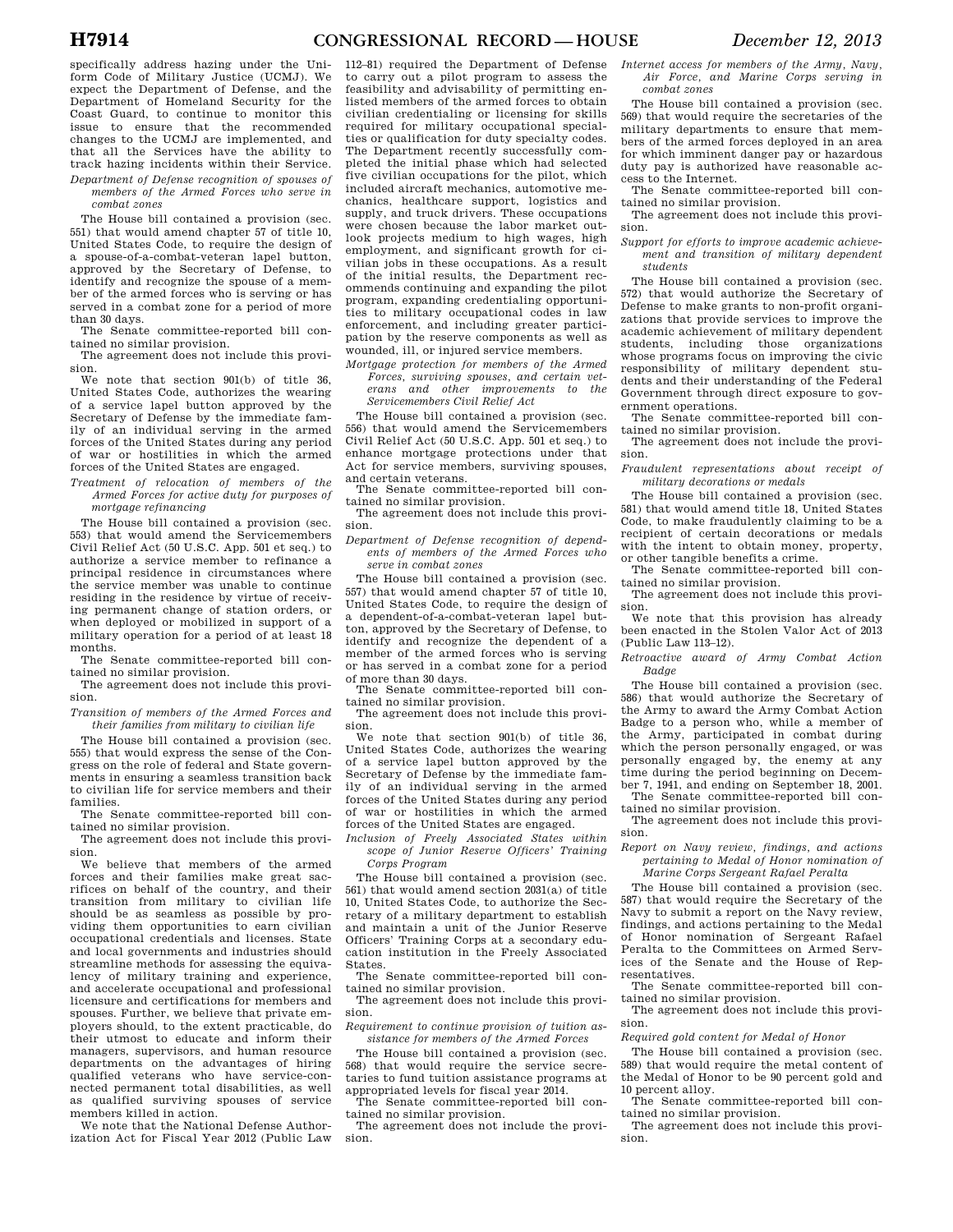specifically address hazing under the Uniform Code of Military Justice (UCMJ). We expect the Department of Defense, and the Department of Homeland Security for the Coast Guard, to continue to monitor this issue to ensure that the recommended changes to the UCMJ are implemented, and that all the Services have the ability to track hazing incidents within their Service. *Department of Defense recognition of spouses of* 

*members of the Armed Forces who serve in combat zones* 

The House bill contained a provision (sec. 551) that would amend chapter 57 of title 10, United States Code, to require the design of a spouse-of-a-combat-veteran lapel button, approved by the Secretary of Defense, to identify and recognize the spouse of a member of the armed forces who is serving or has served in a combat zone for a period of more than 30 days.

The Senate committee-reported bill contained no similar provision.

The agreement does not include this provision.

We note that section 901(b) of title 36, United States Code, authorizes the wearing of a service lapel button approved by the Secretary of Defense by the immediate family of an individual serving in the armed forces of the United States during any period of war or hostilities in which the armed forces of the United States are engaged.

*Treatment of relocation of members of the Armed Forces for active duty for purposes of mortgage refinancing* 

The House bill contained a provision (sec. 553) that would amend the Servicemembers Civil Relief Act (50 U.S.C. App. 501 et seq.) to authorize a service member to refinance a principal residence in circumstances where the service member was unable to continue residing in the residence by virtue of receiving permanent change of station orders, or when deployed or mobilized in support of a military operation for a period of at least 18 months.

The Senate committee-reported bill contained no similar provision.

The agreement does not include this provision.

*Transition of members of the Armed Forces and their families from military to civilian life* 

The House bill contained a provision (sec. 555) that would express the sense of the Congress on the role of federal and State governments in ensuring a seamless transition back to civilian life for service members and their families.

The Senate committee-reported bill contained no similar provision.

The agreement does not include this provision.

We believe that members of the armed forces and their families make great sacrifices on behalf of the country, and their transition from military to civilian life should be as seamless as possible by providing them opportunities to earn civilian occupational credentials and licenses. State and local governments and industries should streamline methods for assessing the equivalency of military training and experience, and accelerate occupational and professional licensure and certifications for members and spouses. Further, we believe that private employers should, to the extent practicable, do their utmost to educate and inform their managers, supervisors, and human resource departments on the advantages of hiring qualified veterans who have service-connected permanent total disabilities, as well as qualified surviving spouses of service members killed in action.

We note that the National Defense Authorization Act for Fiscal Year 2012 (Public Law

112–81) required the Department of Defense to carry out a pilot program to assess the feasibility and advisability of permitting enlisted members of the armed forces to obtain civilian credentialing or licensing for skills required for military occupational specialties or qualification for duty specialty codes. The Department recently successfully completed the initial phase which had selected five civilian occupations for the pilot, which included aircraft mechanics, automotive mechanics, healthcare support, logistics and supply, and truck drivers. These occupations were chosen because the labor market outlook projects medium to high wages, high employment, and significant growth for civilian jobs in these occupations. As a result of the initial results, the Department recommends continuing and expanding the pilot program, expanding credentialing opportunities to military occupational codes in law enforcement, and including greater participation by the reserve components as well as wounded, ill, or injured service members.

*Mortgage protection for members of the Armed Forces, surviving spouses, and certain veterans and other improvements to the Servicemembers Civil Relief Act* 

The House bill contained a provision (sec. 556) that would amend the Servicemembers Civil Relief Act (50 U.S.C. App. 501 et seq.) to enhance mortgage protections under that Act for service members, surviving spouses, and certain veterans.

The Senate committee-reported bill contained no similar provision.

The agreement does not include this provision.

*Department of Defense recognition of dependents of members of the Armed Forces who serve in combat zones* 

The House bill contained a provision (sec. 557) that would amend chapter 57 of title 10, United States Code, to require the design of a dependent-of-a-combat-veteran lapel button, approved by the Secretary of Defense, to identify and recognize the dependent of a member of the armed forces who is serving or has served in a combat zone for a period of more than 30 days.

The Senate committee-reported bill contained no similar provision.

The agreement does not include this provision.

We note that section 901(b) of title 36, United States Code, authorizes the wearing of a service lapel button approved by the Secretary of Defense by the immediate family of an individual serving in the armed forces of the United States during any period of war or hostilities in which the armed forces of the United States are engaged.

*Inclusion of Freely Associated States within scope of Junior Reserve Officers' Training Corps Program* 

The House bill contained a provision (sec. 561) that would amend section 2031(a) of title 10, United States Code, to authorize the Secretary of a military department to establish and maintain a unit of the Junior Reserve Officers' Training Corps at a secondary education institution in the Freely Associated States.

The Senate committee-reported bill contained no similar provision. The agreement does not include this provi-

sion.

*Requirement to continue provision of tuition assistance for members of the Armed Forces* 

The House bill contained a provision (sec. 568) that would require the service secretaries to fund tuition assistance programs at appropriated levels for fiscal year 2014.

The Senate committee-reported bill contained no similar provision. The agreement does not include the provi-

sion.

*Internet access for members of the Army, Navy, Air Force, and Marine Corps serving in combat zones* 

The House bill contained a provision (sec. 569) that would require the secretaries of the military departments to ensure that members of the armed forces deployed in an area for which imminent danger pay or hazardous duty pay is authorized have reasonable access to the Internet.

The Senate committee-reported bill contained no similar provision.

The agreement does not include this provision.

*Support for efforts to improve academic achievement and transition of military dependent students* 

The House bill contained a provision (sec. 572) that would authorize the Secretary of Defense to make grants to non-profit organizations that provide services to improve the academic achievement of military dependent students, including those organizations whose programs focus on improving the civic responsibility of military dependent students and their understanding of the Federal Government through direct exposure to government operations.

The Senate committee-reported bill contained no similar provision.

The agreement does not include the provision.

*Fraudulent representations about receipt of military decorations or medals* 

The House bill contained a provision (sec. 581) that would amend title 18, United States Code, to make fraudulently claiming to be a recipient of certain decorations or medals with the intent to obtain money, property, or other tangible benefits a crime.

The Senate committee-reported bill contained no similar provision.

The agreement does not include this provision.

We note that this provision has already been enacted in the Stolen Valor Act of 2013 (Public Law 113–12).

*Retroactive award of Army Combat Action Badge* 

The House bill contained a provision (sec. 586) that would authorize the Secretary of the Army to award the Army Combat Action Badge to a person who, while a member of the Army, participated in combat during which the person personally engaged, or was personally engaged by, the enemy at any time during the period beginning on December 7, 1941, and ending on September 18, 2001.

The Senate committee-reported bill contained no similar provision. The agreement does not include this provi-

sion.

*Report on Navy review, findings, and actions pertaining to Medal of Honor nomination of Marine Corps Sergeant Rafael Peralta* 

The House bill contained a provision (sec. 587) that would require the Secretary of the Navy to submit a report on the Navy review, findings, and actions pertaining to the Medal of Honor nomination of Sergeant Rafael Peralta to the Committees on Armed Services of the Senate and the House of Representatives.

The Senate committee-reported bill contained no similar provision.

The agreement does not include this provision.

*Required gold content for Medal of Honor* 

The House bill contained a provision (sec. 589) that would require the metal content of the Medal of Honor to be 90 percent gold and 10 percent alloy.

The Senate committee-reported bill contained no similar provision.

The agreement does not include this provision.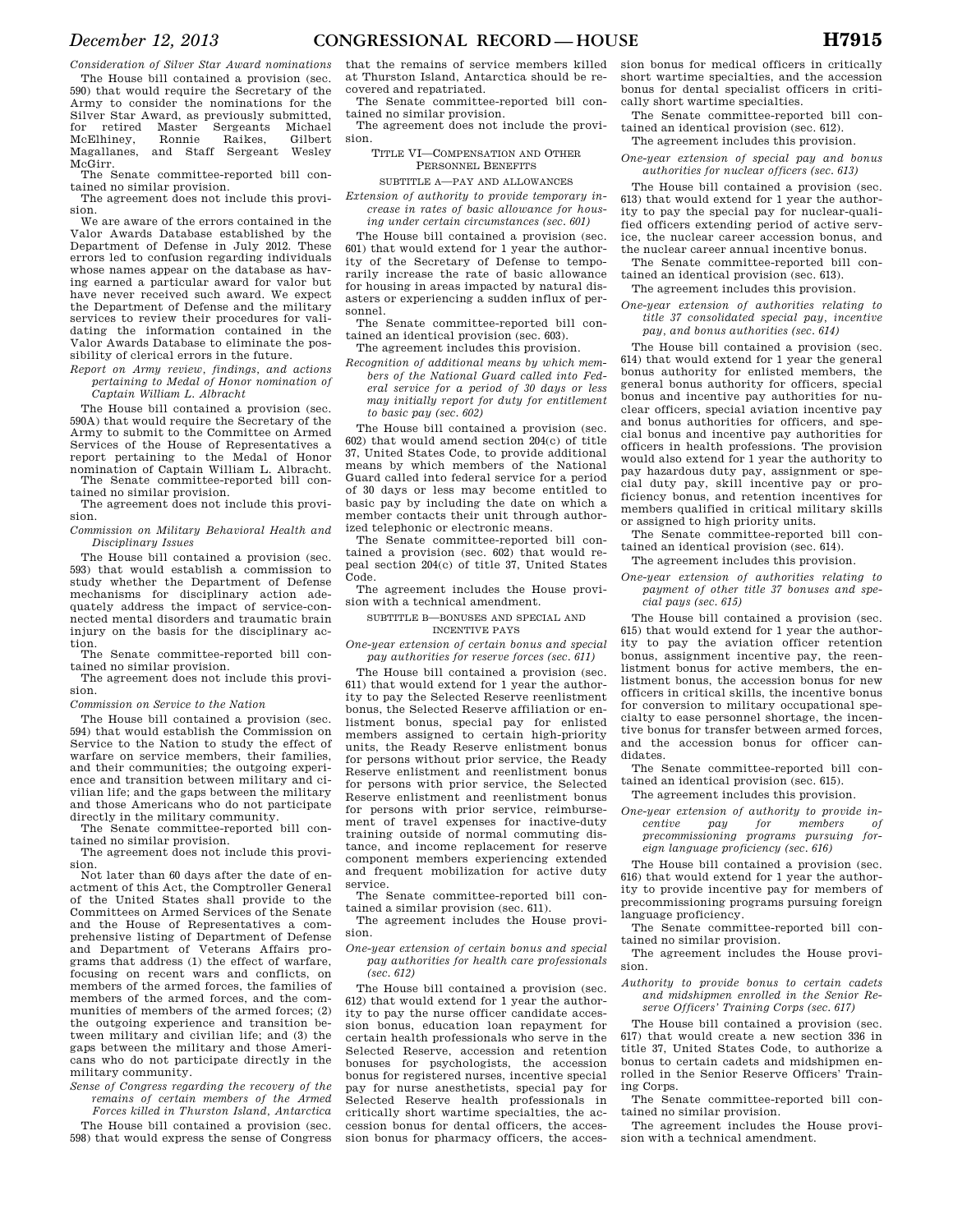*Consideration of Silver Star Award nominations*  The House bill contained a provision (sec. 590) that would require the Secretary of the Army to consider the nominations for the Silver Star Award, as previously submitted, for retired Master Sergeants Michael<br>McElhiney, Ronnie Raikes, Gilbert

McElhiney, Ronnie Raikes, Gilbert and Staff Sergeant McGirr.

The Senate committee-reported bill contained no similar provision. The agreement does not include this provi-

sion.

We are aware of the errors contained in the Valor Awards Database established by the Department of Defense in July 2012. These errors led to confusion regarding individuals whose names appear on the database as having earned a particular award for valor but have never received such award. We expect the Department of Defense and the military services to review their procedures for validating the information contained in the Valor Awards Database to eliminate the possibility of clerical errors in the future.

*Report on Army review, findings, and actions pertaining to Medal of Honor nomination of Captain William L. Albracht* 

The House bill contained a provision (sec. 590A) that would require the Secretary of the Army to submit to the Committee on Armed Services of the House of Representatives a report pertaining to the Medal of Honor nomination of Captain William L. Albracht. The Senate committee-reported bill con-

tained no similar provision. The agreement does not include this provision.

*Commission on Military Behavioral Health and Disciplinary Issues* 

The House bill contained a provision (sec. 593) that would establish a commission to study whether the Department of Defense mechanisms for disciplinary action adequately address the impact of service-connected mental disorders and traumatic brain injury on the basis for the disciplinary action.

The Senate committee-reported bill contained no similar provision.

The agreement does not include this provision.

*Commission on Service to the Nation* 

The House bill contained a provision (sec. 594) that would establish the Commission on Service to the Nation to study the effect of warfare on service members, their families, and their communities; the outgoing experience and transition between military and civilian life; and the gaps between the military and those Americans who do not participate directly in the military community.

The Senate committee-reported bill contained no similar provision.

The agreement does not include this provision.

Not later than 60 days after the date of enactment of this Act, the Comptroller General of the United States shall provide to the Committees on Armed Services of the Senate and the House of Representatives a comprehensive listing of Department of Defense and Department of Veterans Affairs programs that address (1) the effect of warfare, focusing on recent wars and conflicts, on members of the armed forces, the families of members of the armed forces, and the communities of members of the armed forces; (2) the outgoing experience and transition between military and civilian life; and (3) the gaps between the military and those Americans who do not participate directly in the military community.

*Sense of Congress regarding the recovery of the remains of certain members of the Armed* 

*Forces killed in Thurston Island, Antarctica*  The House bill contained a provision (sec. 598) that would express the sense of Congress

that the remains of service members killed at Thurston Island, Antarctica should be recovered and repatriated.

The Senate committee-reported bill contained no similar provision.

The agreement does not include the provision.

> TITLE VI—COMPENSATION AND OTHER PERSONNEL BENEFITS

SUBTITLE A—PAY AND ALLOWANCES

*Extension of authority to provide temporary increase in rates of basic allowance for housing under certain circumstances (sec. 601)* 

The House bill contained a provision (sec. 601) that would extend for 1 year the authority of the Secretary of Defense to temporarily increase the rate of basic allowance for housing in areas impacted by natural disasters or experiencing a sudden influx of personnel.

The Senate committee-reported bill contained an identical provision (sec. 603).

- The agreement includes this provision. *Recognition of additional means by which mem-*
- *bers of the National Guard called into Federal service for a period of 30 days or less may initially report for duty for entitlement to basic pay (sec. 602)*

The House bill contained a provision (sec. 602) that would amend section 204(c) of title 37, United States Code, to provide additional means by which members of the National Guard called into federal service for a period of 30 days or less may become entitled to basic pay by including the date on which a member contacts their unit through authorized telephonic or electronic means.

The Senate committee-reported bill contained a provision (sec. 602) that would repeal section 204(c) of title 37, United States Code.

The agreement includes the House provision with a technical amendment.

SUBTITLE B—BONUSES AND SPECIAL AND INCENTIVE PAYS

*One-year extension of certain bonus and special pay authorities for reserve forces (sec. 611)* 

The House bill contained a provision (sec. 611) that would extend for 1 year the authority to pay the Selected Reserve reenlistment bonus, the Selected Reserve affiliation or enlistment bonus, special pay for enlisted members assigned to certain high-priority units, the Ready Reserve enlistment bonus for persons without prior service, the Ready Reserve enlistment and reenlistment bonus for persons with prior service, the Selected Reserve enlistment and reenlistment bonus for persons with prior service, reimbursement of travel expenses for inactive-duty training outside of normal commuting distance, and income replacement for reserve component members experiencing extended and frequent mobilization for active duty service.

The Senate committee-reported bill contained a similar provision (sec. 611).

The agreement includes the House provision.

*One-year extension of certain bonus and special pay authorities for health care professionals (sec. 612)* 

The House bill contained a provision (sec. 612) that would extend for 1 year the authority to pay the nurse officer candidate accession bonus, education loan repayment for certain health professionals who serve in the Selected Reserve, accession and retention bonuses for psychologists, the accession bonus for registered nurses, incentive special pay for nurse anesthetists, special pay for Selected Reserve health professionals in critically short wartime specialties, the accession bonus for dental officers, the accession bonus for pharmacy officers, the accession bonus for medical officers in critically short wartime specialties, and the accession bonus for dental specialist officers in critically short wartime specialties.

The Senate committee-reported bill contained an identical provision (sec. 612).

The agreement includes this provision.

*One-year extension of special pay and bonus authorities for nuclear officers (sec. 613)* 

The House bill contained a provision (sec. 613) that would extend for 1 year the authority to pay the special pay for nuclear-qualified officers extending period of active service, the nuclear career accession bonus, and the nuclear career annual incentive bonus.

The Senate committee-reported bill contained an identical provision (sec. 613).

The agreement includes this provision.

*One-year extension of authorities relating to title 37 consolidated special pay, incentive pay, and bonus authorities (sec. 614)* 

The House bill contained a provision (sec. 614) that would extend for 1 year the general bonus authority for enlisted members, the general bonus authority for officers, special bonus and incentive pay authorities for nuclear officers, special aviation incentive pay and bonus authorities for officers, and special bonus and incentive pay authorities for officers in health professions. The provision would also extend for 1 year the authority to pay hazardous duty pay, assignment or special duty pay, skill incentive pay or proficiency bonus, and retention incentives for members qualified in critical military skills or assigned to high priority units.

The Senate committee-reported bill contained an identical provision (sec. 614).

The agreement includes this provision.

*One-year extension of authorities relating to payment of other title 37 bonuses and special pays (sec. 615)* 

The House bill contained a provision (sec. 615) that would extend for 1 year the authority to pay the aviation officer retention bonus, assignment incentive pay, the reenlistment bonus for active members, the enlistment bonus, the accession bonus for new officers in critical skills, the incentive bonus for conversion to military occupational specialty to ease personnel shortage, the incentive bonus for transfer between armed forces, and the accession bonus for officer candidates.

The Senate committee-reported bill contained an identical provision (sec. 615).

The agreement includes this provision.

*One-year extension of authority to provide incentive pay for members of precommissioning programs pursuing foreign language proficiency (sec. 616)* 

The House bill contained a provision (sec. 616) that would extend for 1 year the authority to provide incentive pay for members of precommissioning programs pursuing foreign language proficiency.

The Senate committee-reported bill contained no similar provision.

The agreement includes the House provision.

*Authority to provide bonus to certain cadets and midshipmen enrolled in the Senior Reserve Officers' Training Corps (sec. 617)* 

The House bill contained a provision (sec. 617) that would create a new section 336 in title 37, United States Code, to authorize a bonus to certain cadets and midshipmen enrolled in the Senior Reserve Officers' Training Corps.

The Senate committee-reported bill contained no similar provision.

The agreement includes the House provision with a technical amendment.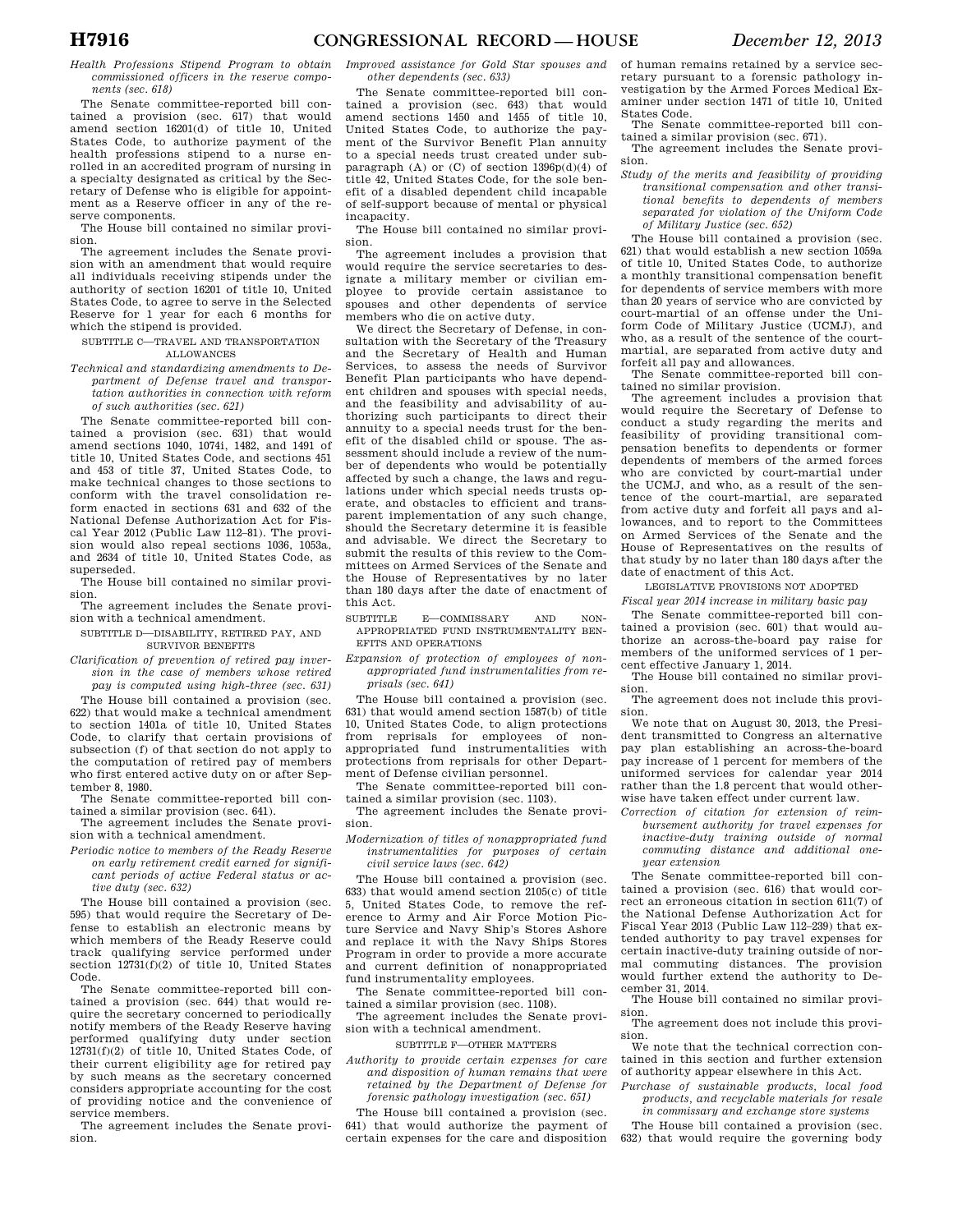*Health Professions Stipend Program to obtain commissioned officers in the reserve components (sec. 618)* 

The Senate committee-reported bill contained a provision (sec. 617) that would amend section 16201(d) of title 10, United States Code, to authorize payment of the health professions stipend to a nurse enrolled in an accredited program of nursing in a specialty designated as critical by the Secretary of Defense who is eligible for appointment as a Reserve officer in any of the reserve components.

The House bill contained no similar provision.

The agreement includes the Senate provision with an amendment that would require all individuals receiving stipends under the authority of section 16201 of title 10, United States Code, to agree to serve in the Selected Reserve for 1 year for each 6 months for which the stipend is provided.

SUBTITLE C—TRAVEL AND TRANSPORTATION ALLOWANCES

*Technical and standardizing amendments to Department of Defense travel and transportation authorities in connection with reform of such authorities (sec. 621)* 

The Senate committee-reported bill contained a provision (sec. 631) that would amend sections 1040, 1074i, 1482, and 1491 of title 10, United States Code, and sections 451 and 453 of title 37, United States Code, to make technical changes to those sections to conform with the travel consolidation reform enacted in sections 631 and 632 of the National Defense Authorization Act for Fiscal Year 2012 (Public Law 112–81). The provision would also repeal sections 1036, 1053a, and 2634 of title 10, United States Code, as superseded.

The House bill contained no similar provision.

- The agreement includes the Senate provision with a technical amendment.
- SUBTITLE D—DISABILITY, RETIRED PAY, AND SURVIVOR BENEFITS

*Clarification of prevention of retired pay inversion in the case of members whose retired pay is computed using high-three (sec. 631)* 

The House bill contained a provision (sec. 622) that would make a technical amendment to section 1401a of title 10, United States Code, to clarify that certain provisions of subsection (f) of that section do not apply to the computation of retired pay of members who first entered active duty on or after September 8, 1980.

The Senate committee-reported bill contained a similar provision (sec. 641).

The agreement includes the Senate provision with a technical amendment.

*Periodic notice to members of the Ready Reserve on early retirement credit earned for significant periods of active Federal status or active duty (sec. 632)* 

The House bill contained a provision (sec. 595) that would require the Secretary of Defense to establish an electronic means by which members of the Ready Reserve could track qualifying service performed under section  $12731(f)(2)$  of title 10, United States Code.

The Senate committee-reported bill contained a provision (sec. 644) that would require the secretary concerned to periodically notify members of the Ready Reserve having performed qualifying duty under section 12731(f)(2) of title 10, United States Code, of their current eligibility age for retired pay by such means as the secretary concerned considers appropriate accounting for the cost of providing notice and the convenience of service members.

The agreement includes the Senate provision.

*Improved assistance for Gold Star spouses and other dependents (sec. 633)* 

The Senate committee-reported bill contained a provision (sec. 643) that would amend sections 1450 and 1455 of title 10, United States Code, to authorize the payment of the Survivor Benefit Plan annuity to a special needs trust created under subparagraph  $(A)$  or  $(C)$  of section 1396 $p(d)(4)$  of title 42, United States Code, for the sole benefit of a disabled dependent child incapable of self-support because of mental or physical incapacity.

The House bill contained no similar provision.

The agreement includes a provision that would require the service secretaries to designate a military member or civilian employee to provide certain assistance to spouses and other dependents of service members who die on active duty.

We direct the Secretary of Defense, in consultation with the Secretary of the Treasury and the Secretary of Health and Human Services, to assess the needs of Survivor Benefit Plan participants who have dependent children and spouses with special needs, and the feasibility and advisability of authorizing such participants to direct their annuity to a special needs trust for the benefit of the disabled child or spouse. The assessment should include a review of the number of dependents who would be potentially affected by such a change, the laws and regulations under which special needs trusts operate, and obstacles to efficient and transparent implementation of any such change, should the Secretary determine it is feasible and advisable. We direct the Secretary to submit the results of this review to the Committees on Armed Services of the Senate and the House of Representatives by no later than 180 days after the date of enactment of this Act.

SUBTITLE E—COMMISSARY AND NON-APPROPRIATED FUND INSTRUMENTALITY BEN-EFITS AND OPERATIONS

*Expansion of protection of employees of nonappropriated fund instrumentalities from reprisals (sec. 641)* 

The House bill contained a provision (sec. 631) that would amend section 1587(b) of title 10, United States Code, to align protections from reprisals for employees of nonappropriated fund instrumentalities with protections from reprisals for other Department of Defense civilian personnel.

The Senate committee-reported bill contained a similar provision (sec. 1103).

The agreement includes the Senate provision.

*Modernization of titles of nonappropriated fund instrumentalities for purposes of certain civil service laws (sec. 642)* 

The House bill contained a provision (sec. 633) that would amend section 2105(c) of title 5, United States Code, to remove the reference to Army and Air Force Motion Picture Service and Navy Ship's Stores Ashore and replace it with the Navy Ships Stores Program in order to provide a more accurate and current definition of nonappropriated fund instrumentality employees.

The Senate committee-reported bill contained a similar provision (sec. 1108).

The agreement includes the Senate provision with a technical amendment.

SUBTITLE F—OTHER MATTERS

*Authority to provide certain expenses for care and disposition of human remains that were retained by the Department of Defense for forensic pathology investigation (sec. 651)* 

The House bill contained a provision (sec. 641) that would authorize the payment of certain expenses for the care and disposition of human remains retained by a service secretary pursuant to a forensic pathology investigation by the Armed Forces Medical Examiner under section 1471 of title 10, United States Code.

The Senate committee-reported bill contained a similar provision (sec. 671).

The agreement includes the Senate provision.

*Study of the merits and feasibility of providing transitional compensation and other transitional benefits to dependents of members separated for violation of the Uniform Code of Military Justice (sec. 652)* 

The House bill contained a provision (sec. 621) that would establish a new section 1059a of title 10, United States Code, to authorize a monthly transitional compensation benefit for dependents of service members with more than 20 years of service who are convicted by court-martial of an offense under the Uniform Code of Military Justice (UCMJ), and who, as a result of the sentence of the courtmartial, are separated from active duty and

forfeit all pay and allowances. The Senate committee-reported bill contained no similar provision.

The agreement includes a provision that would require the Secretary of Defense to conduct a study regarding the merits and feasibility of providing transitional compensation benefits to dependents or former dependents of members of the armed forces who are convicted by court-martial under the UCMJ, and who, as a result of the sentence of the court-martial, are separated from active duty and forfeit all pays and allowances, and to report to the Committees on Armed Services of the Senate and the House of Representatives on the results of that study by no later than 180 days after the date of enactment of this Act.

LEGISLATIVE PROVISIONS NOT ADOPTED

*Fiscal year 2014 increase in military basic pay*  The Senate committee-reported bill con-

tained a provision (sec. 601) that would authorize an across-the-board pay raise for members of the uniformed services of 1 percent effective January 1, 2014.

The House bill contained no similar provision.

The agreement does not include this provision.

We note that on August 30, 2013, the President transmitted to Congress an alternative pay plan establishing an across-the-board pay increase of 1 percent for members of the uniformed services for calendar year 2014 rather than the 1.8 percent that would otherwise have taken effect under current law.

*Correction of citation for extension of reimbursement authority for travel expenses for inactive-duty training outside of normal commuting distance and additional oneyear extension* 

The Senate committee-reported bill contained a provision (sec. 616) that would correct an erroneous citation in section 611(7) of the National Defense Authorization Act for Fiscal Year 2013 (Public Law 112–239) that extended authority to pay travel expenses for certain inactive-duty training outside of normal commuting distances. The provision would further extend the authority to December 31, 2014.

The House bill contained no similar provision.

The agreement does not include this provision.

We note that the technical correction contained in this section and further extension of authority appear elsewhere in this Act.

*Purchase of sustainable products, local food products, and recyclable materials for resale in commissary and exchange store systems* 

The House bill contained a provision (sec. 632) that would require the governing body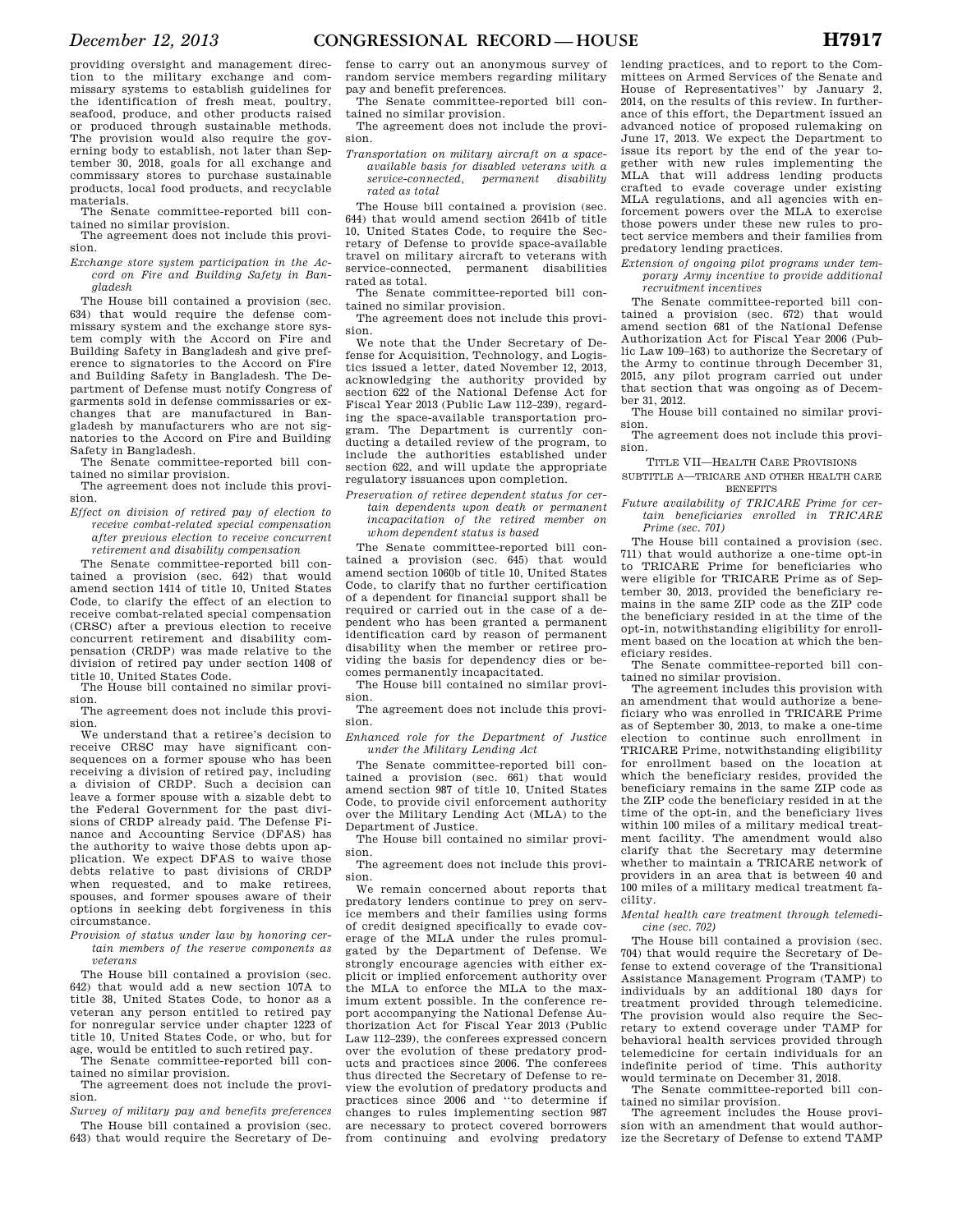providing oversight and management direction to the military exchange and commissary systems to establish guidelines for the identification of fresh meat, poultry, seafood, produce, and other products raised or produced through sustainable methods. The provision would also require the governing body to establish, not later than September 30, 2018, goals for all exchange and commissary stores to purchase sustainable products, local food products, and recyclable materials.

The Senate committee-reported bill contained no similar provision. The agreement does not include this provi-

sion.

*Exchange store system participation in the Accord on Fire and Building Safety in Bangladesh* 

The House bill contained a provision (sec. 634) that would require the defense commissary system and the exchange store system comply with the Accord on Fire and Building Safety in Bangladesh and give preference to signatories to the Accord on Fire and Building Safety in Bangladesh. The Department of Defense must notify Congress of garments sold in defense commissaries or exchanges that are manufactured in Bangladesh by manufacturers who are not signatories to the Accord on Fire and Building Safety in Bangladesh.

The Senate committee-reported bill contained no similar provision.

The agreement does not include this provision.

*Effect on division of retired pay of election to receive combat-related special compensation after previous election to receive concurrent retirement and disability compensation* 

The Senate committee-reported bill contained a provision (sec. 642) that would amend section 1414 of title 10, United States Code, to clarify the effect of an election to receive combat-related special compensation (CRSC) after a previous election to receive concurrent retirement and disability compensation (CRDP) was made relative to the division of retired pay under section 1408 of title 10, United States Code.

The House bill contained no similar provision.

The agreement does not include this provision.

We understand that a retiree's decision to receive CRSC may have significant consequences on a former spouse who has been receiving a division of retired pay, including a division of CRDP. Such a decision can leave a former spouse with a sizable debt to the Federal Government for the past divisions of CRDP already paid. The Defense Finance and Accounting Service (DFAS) has the authority to waive those debts upon application. We expect DFAS to waive those debts relative to past divisions of CRDP when requested, and to make retirees, spouses, and former spouses aware of their options in seeking debt forgiveness in this circumstance.

*Provision of status under law by honoring certain members of the reserve components as veterans* 

The House bill contained a provision (sec. 642) that would add a new section 107A to title 38, United States Code, to honor as a veteran any person entitled to retired pay for nonregular service under chapter 1223 of title 10, United States Code, or who, but for age, would be entitled to such retired pay.

The Senate committee-reported bill contained no similar provision.

The agreement does not include the provision.

*Survey of military pay and benefits preferences*  The House bill contained a provision (sec. 643) that would require the Secretary of De-

fense to carry out an anonymous survey of random service members regarding military pay and benefit preferences.

The Senate committee-reported bill contained no similar provision.

The agreement does not include the provision.

*Transportation on military aircraft on a spaceavailable basis for disabled veterans with a service-connected, permanent disability rated as total* 

The House bill contained a provision (sec. 644) that would amend section 2641b of title 10, United States Code, to require the Secretary of Defense to provide space-available travel on military aircraft to veterans with service-connected, permanent disabilities rated as total.

The Senate committee-reported bill contained no similar provision.

The agreement does not include this provision.

We note that the Under Secretary of Defense for Acquisition, Technology, and Logistics issued a letter, dated November 12, 2013, acknowledging the authority provided by section 622 of the National Defense Act for Fiscal Year 2013 (Public Law 112–239), regarding the space-available transportation program. The Department is currently conducting a detailed review of the program, to include the authorities established under section 622, and will update the appropriate regulatory issuances upon completion.

*Preservation of retiree dependent status for certain dependents upon death or permanent incapacitation of the retired member on whom dependent status is based* 

The Senate committee-reported bill contained a provision (sec. 645) that would amend section 1060b of title 10, United States Code, to clarify that no further certification of a dependent for financial support shall be required or carried out in the case of a dependent who has been granted a permanent identification card by reason of permanent disability when the member or retiree providing the basis for dependency dies or becomes permanently incapacitated.

The House bill contained no similar provision.

The agreement does not include this provision.

*Enhanced role for the Department of Justice under the Military Lending Act* 

The Senate committee-reported bill contained a provision (sec. 661) that would amend section 987 of title 10, United States Code, to provide civil enforcement authority over the Military Lending Act (MLA) to the Department of Justice.

The House bill contained no similar provision.

The agreement does not include this provision.

We remain concerned about reports that predatory lenders continue to prey on service members and their families using forms of credit designed specifically to evade coverage of the MLA under the rules promulgated by the Department of Defense. We strongly encourage agencies with either explicit or implied enforcement authority over the MLA to enforce the MLA to the maximum extent possible. In the conference report accompanying the National Defense Authorization Act for Fiscal Year 2013 (Public Law 112–239), the conferees expressed concern over the evolution of these predatory products and practices since 2006. The conferees thus directed the Secretary of Defense to review the evolution of predatory products and practices since 2006 and ''to determine if changes to rules implementing section 987 are necessary to protect covered borrowers from continuing and evolving predatory

lending practices, and to report to the Committees on Armed Services of the Senate and House of Representatives'' by January 2, 2014, on the results of this review. In furtherance of this effort, the Department issued an advanced notice of proposed rulemaking on June 17, 2013. We expect the Department to issue its report by the end of the year together with new rules implementing the MLA that will address lending products crafted to evade coverage under existing MLA regulations, and all agencies with enforcement powers over the MLA to exercise those powers under these new rules to protect service members and their families from predatory lending practices.

*Extension of ongoing pilot programs under temporary Army incentive to provide additional recruitment incentives* 

The Senate committee-reported bill contained a provision (sec. 672) that would amend section 681 of the National Defense Authorization Act for Fiscal Year 2006 (Public Law 109–163) to authorize the Secretary of the Army to continue through December 31, 2015, any pilot program carried out under that section that was ongoing as of December 31, 2012.

The House bill contained no similar provision.

The agreement does not include this provision.

TITLE VII—HEALTH CARE PROVISIONS

SUBTITLE A—TRICARE AND OTHER HEALTH CARE **BENEFITS** 

*Future availability of TRICARE Prime for certain beneficiaries enrolled in TRICARE Prime (sec. 701)* 

The House bill contained a provision (sec. 711) that would authorize a one-time opt-in to TRICARE Prime for beneficiaries who were eligible for TRICARE Prime as of September 30, 2013, provided the beneficiary remains in the same ZIP code as the ZIP code the beneficiary resided in at the time of the opt-in, notwithstanding eligibility for enrollment based on the location at which the beneficiary resides.

The Senate committee-reported bill contained no similar provision.

The agreement includes this provision with an amendment that would authorize a beneficiary who was enrolled in TRICARE Prime as of September 30, 2013, to make a one-time election to continue such enrollment in TRICARE Prime, notwithstanding eligibility for enrollment based on the location at which the beneficiary resides, provided the beneficiary remains in the same ZIP code as the ZIP code the beneficiary resided in at the time of the opt-in, and the beneficiary lives within 100 miles of a military medical treatment facility. The amendment would also clarify that the Secretary may determine whether to maintain a TRICARE network of providers in an area that is between 40 and 100 miles of a military medical treatment facility.

*Mental health care treatment through telemedicine (sec. 702)* 

The House bill contained a provision (sec. 704) that would require the Secretary of Defense to extend coverage of the Transitional Assistance Management Program (TAMP) to individuals by an additional 180 days for treatment provided through telemedicine. The provision would also require the Secretary to extend coverage under TAMP for behavioral health services provided through telemedicine for certain individuals for an indefinite period of time. This authority would terminate on December 31, 2018.

The Senate committee-reported bill contained no similar provision.

The agreement includes the House provision with an amendment that would authorize the Secretary of Defense to extend TAMP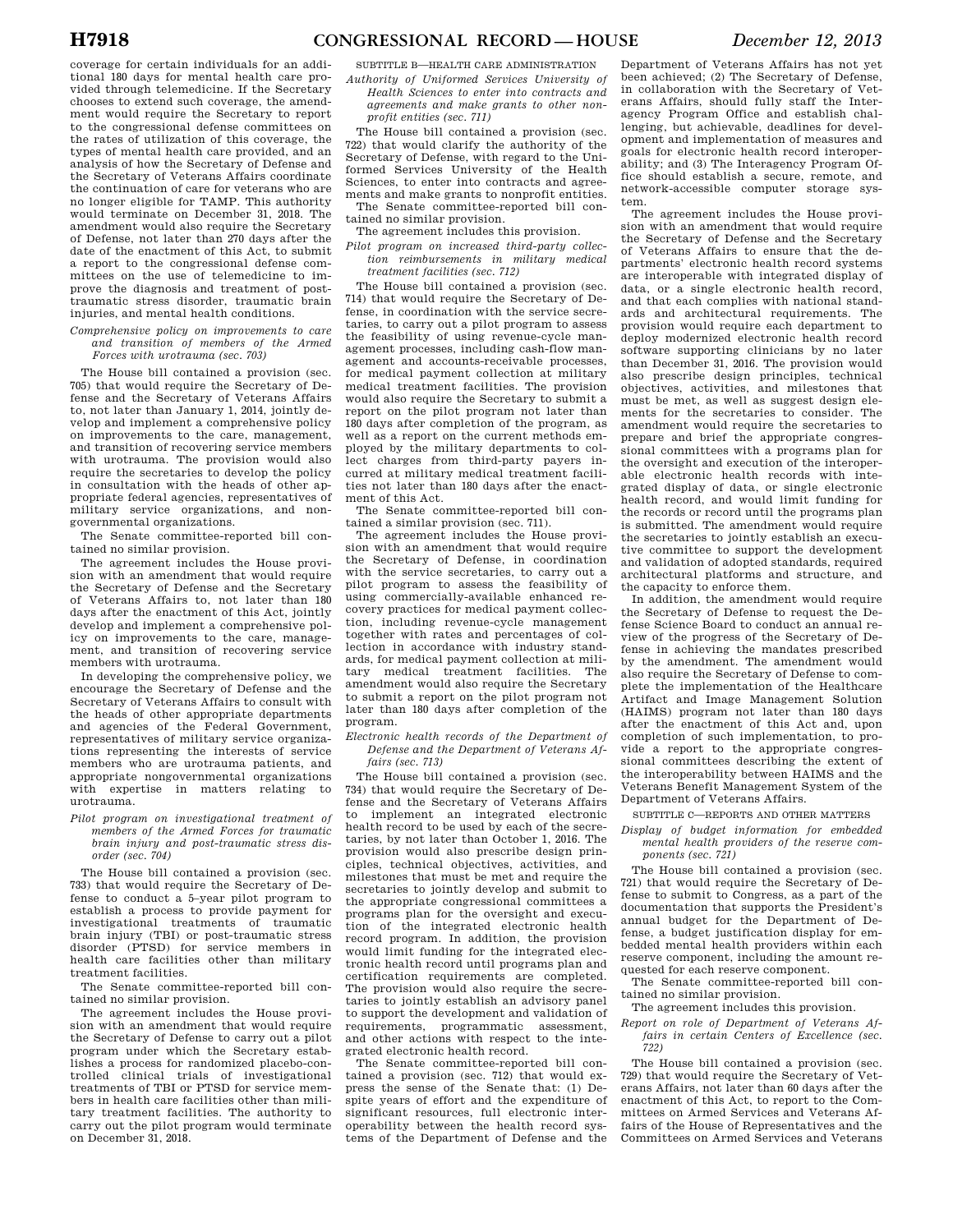coverage for certain individuals for an additional 180 days for mental health care provided through telemedicine. If the Secretary chooses to extend such coverage, the amendment would require the Secretary to report to the congressional defense committees on the rates of utilization of this coverage, the types of mental health care provided, and an analysis of how the Secretary of Defense and the Secretary of Veterans Affairs coordinate the continuation of care for veterans who are no longer eligible for TAMP. This authority would terminate on December 31, 2018. The amendment would also require the Secretary of Defense, not later than 270 days after the date of the enactment of this Act, to submit a report to the congressional defense committees on the use of telemedicine to improve the diagnosis and treatment of posttraumatic stress disorder, traumatic brain injuries, and mental health conditions.

### *Comprehensive policy on improvements to care and transition of members of the Armed Forces with urotrauma (sec. 703)*

The House bill contained a provision (sec. 705) that would require the Secretary of Defense and the Secretary of Veterans Affairs to, not later than January 1, 2014, jointly develop and implement a comprehensive policy on improvements to the care, management, and transition of recovering service members with urotrauma. The provision would also require the secretaries to develop the policy in consultation with the heads of other appropriate federal agencies, representatives of military service organizations, and nongovernmental organizations.

The Senate committee-reported bill contained no similar provision.

The agreement includes the House provision with an amendment that would require the Secretary of Defense and the Secretary of Veterans Affairs to, not later than 180 days after the enactment of this Act, jointly develop and implement a comprehensive policy on improvements to the care, management, and transition of recovering service members with urotrauma.

In developing the comprehensive policy, we encourage the Secretary of Defense and the Secretary of Veterans Affairs to consult with the heads of other appropriate departments and agencies of the Federal Government, representatives of military service organizations representing the interests of service members who are urotrauma patients, and appropriate nongovernmental organizations with expertise in matters relating to urotrauma.

*Pilot program on investigational treatment of members of the Armed Forces for traumatic brain injury and post-traumatic stress disorder (sec. 704)* 

The House bill contained a provision (sec. 733) that would require the Secretary of Defense to conduct a 5–year pilot program to establish a process to provide payment for investigational treatments of traumatic brain injury (TBI) or post-traumatic stress disorder (PTSD) for service members in health care facilities other than military treatment facilities.

The Senate committee-reported bill contained no similar provision.

The agreement includes the House provision with an amendment that would require the Secretary of Defense to carry out a pilot program under which the Secretary establishes a process for randomized placebo-controlled clinical trials of investigational treatments of TBI or PTSD for service members in health care facilities other than military treatment facilities. The authority to carry out the pilot program would terminate on December 31, 2018.

SUBTITLE B—HEALTH CARE ADMINISTRATION

*Authority of Uniformed Services University of Health Sciences to enter into contracts and agreements and make grants to other nonprofit entities (sec. 711)* 

The House bill contained a provision (sec. 722) that would clarify the authority of the Secretary of Defense, with regard to the Uniformed Services University of the Health Sciences, to enter into contracts and agreements and make grants to nonprofit entities. The Senate committee-reported bill contained no similar provision.

The agreement includes this provision.

*Pilot program on increased third-party collection reimbursements in military medical treatment facilities (sec. 712)* 

The House bill contained a provision (sec. 714) that would require the Secretary of Defense, in coordination with the service secretaries, to carry out a pilot program to assess the feasibility of using revenue-cycle management processes, including cash-flow management and accounts-receivable processes, for medical payment collection at military medical treatment facilities. The provision would also require the Secretary to submit a report on the pilot program not later than 180 days after completion of the program, as well as a report on the current methods employed by the military departments to collect charges from third-party payers incurred at military medical treatment facilities not later than 180 days after the enactment of this Act.

The Senate committee-reported bill contained a similar provision (sec. 711).

The agreement includes the House provision with an amendment that would require the Secretary of Defense, in coordination with the service secretaries, to carry out a pilot program to assess the feasibility of using commercially-available enhanced recovery practices for medical payment collection, including revenue-cycle management together with rates and percentages of collection in accordance with industry standards, for medical payment collection at military medical treatment facilities. The amendment would also require the Secretary to submit a report on the pilot program not later than 180 days after completion of the program.

*Electronic health records of the Department of Defense and the Department of Veterans Affairs (sec. 713)* 

The House bill contained a provision (sec. 734) that would require the Secretary of Defense and the Secretary of Veterans Affairs to implement an integrated electronic health record to be used by each of the secretaries, by not later than October 1, 2016. The provision would also prescribe design principles, technical objectives, activities, and milestones that must be met and require the secretaries to jointly develop and submit to the appropriate congressional committees a programs plan for the oversight and execution of the integrated electronic health record program. In addition, the provision would limit funding for the integrated electronic health record until programs plan and certification requirements are completed. The provision would also require the secretaries to jointly establish an advisory panel to support the development and validation of requirements, programmatic assessment, and other actions with respect to the integrated electronic health record.

The Senate committee-reported bill contained a provision (sec. 712) that would express the sense of the Senate that: (1) Despite years of effort and the expenditure of significant resources, full electronic interoperability between the health record systems of the Department of Defense and the

Department of Veterans Affairs has not yet been achieved; (2) The Secretary of Defense, in collaboration with the Secretary of Veterans Affairs, should fully staff the Interagency Program Office and establish challenging, but achievable, deadlines for development and implementation of measures and goals for electronic health record interoperability; and (3) The Interagency Program Office should establish a secure, remote, and network-accessible computer storage system.

The agreement includes the House provision with an amendment that would require the Secretary of Defense and the Secretary of Veterans Affairs to ensure that the departments' electronic health record systems are interoperable with integrated display of data, or a single electronic health record, and that each complies with national standards and architectural requirements. The provision would require each department to deploy modernized electronic health record software supporting clinicians by no later than December 31, 2016. The provision would also prescribe design principles, technical objectives, activities, and milestones that must be met, as well as suggest design elements for the secretaries to consider. The amendment would require the secretaries to prepare and brief the appropriate congressional committees with a programs plan for the oversight and execution of the interoperable electronic health records with integrated display of data, or single electronic health record, and would limit funding for the records or record until the programs plan is submitted. The amendment would require the secretaries to jointly establish an executive committee to support the development and validation of adopted standards, required architectural platforms and structure, and the capacity to enforce them.

In addition, the amendment would require the Secretary of Defense to request the Defense Science Board to conduct an annual review of the progress of the Secretary of Defense in achieving the mandates prescribed by the amendment. The amendment would also require the Secretary of Defense to complete the implementation of the Healthcare Artifact and Image Management Solution (HAIMS) program not later than 180 days after the enactment of this Act and, upon completion of such implementation, to provide a report to the appropriate congressional committees describing the extent of the interoperability between HAIMS and the Veterans Benefit Management System of the Department of Veterans Affairs.

SUBTITLE C—REPORTS AND OTHER MATTERS

*Display of budget information for embedded mental health providers of the reserve components (sec. 721)* 

The House bill contained a provision (sec. 721) that would require the Secretary of Defense to submit to Congress, as a part of the documentation that supports the President's annual budget for the Department of Defense, a budget justification display for embedded mental health providers within each reserve component, including the amount requested for each reserve component.

The Senate committee-reported bill contained no similar provision.

The agreement includes this provision.

*Report on role of Department of Veterans Affairs in certain Centers of Excellence (sec. 722)* 

The House bill contained a provision (sec. 729) that would require the Secretary of Veterans Affairs, not later than 60 days after the enactment of this Act, to report to the Committees on Armed Services and Veterans Affairs of the House of Representatives and the Committees on Armed Services and Veterans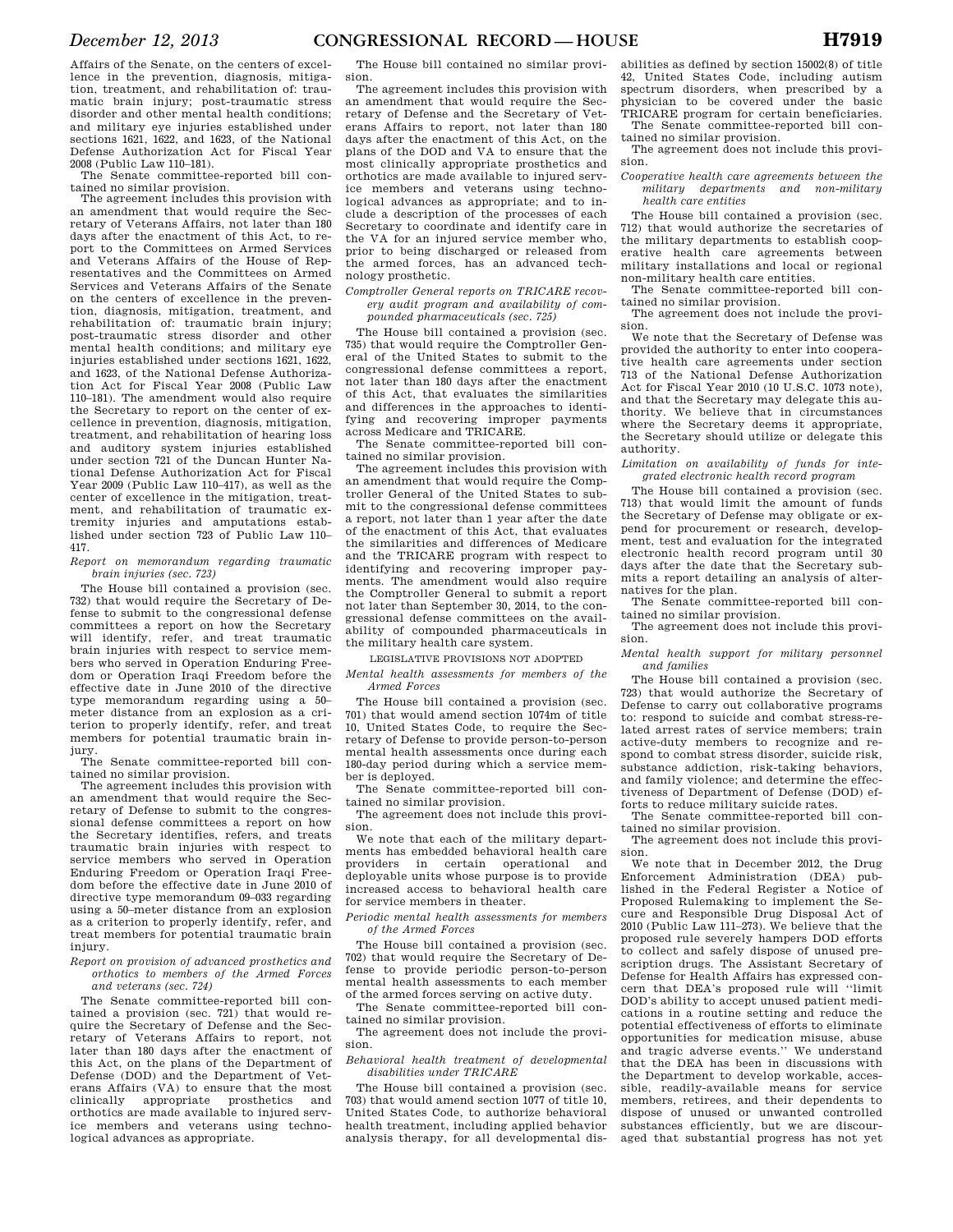Affairs of the Senate, on the centers of excellence in the prevention, diagnosis, mitigation, treatment, and rehabilitation of: traumatic brain injury; post-traumatic stress disorder and other mental health conditions; and military eye injuries established under sections 1621, 1622, and 1623, of the National Defense Authorization Act for Fiscal Year 2008 (Public Law 110–181).

The Senate committee-reported bill contained no similar provision.

The agreement includes this provision with an amendment that would require the Secretary of Veterans Affairs, not later than 180 days after the enactment of this Act, to report to the Committees on Armed Services and Veterans Affairs of the House of Representatives and the Committees on Armed Services and Veterans Affairs of the Senate on the centers of excellence in the prevention, diagnosis, mitigation, treatment, and rehabilitation of: traumatic brain injury; post-traumatic stress disorder and other mental health conditions; and military eye injuries established under sections 1621, 1622, and 1623, of the National Defense Authorization Act for Fiscal Year 2008 (Public Law 110–181). The amendment would also require the Secretary to report on the center of excellence in prevention, diagnosis, mitigation, treatment, and rehabilitation of hearing loss and auditory system injuries established under section 721 of the Duncan Hunter National Defense Authorization Act for Fiscal Year 2009 (Public Law 110–417), as well as the center of excellence in the mitigation, treatment, and rehabilitation of traumatic extremity injuries and amputations established under section 723 of Public Law 110– 417.

*Report on memorandum regarding traumatic brain injuries (sec. 723)* 

The House bill contained a provision (sec. 732) that would require the Secretary of Defense to submit to the congressional defense committees a report on how the Secretary will identify, refer, and treat traumatic brain injuries with respect to service members who served in Operation Enduring Freedom or Operation Iraqi Freedom before the effective date in June 2010 of the directive type memorandum regarding using a 50– meter distance from an explosion as a criterion to properly identify, refer, and treat members for potential traumatic brain injury.

The Senate committee-reported bill contained no similar provision.

The agreement includes this provision with an amendment that would require the Secretary of Defense to submit to the congressional defense committees a report on how the Secretary identifies, refers, and treats traumatic brain injuries with respect to service members who served in Operation Enduring Freedom or Operation Iraqi Freedom before the effective date in June 2010 of directive type memorandum 09–033 regarding using a 50–meter distance from an explosion as a criterion to properly identify, refer, and treat members for potential traumatic brain injury.

*Report on provision of advanced prosthetics and orthotics to members of the Armed Forces and veterans (sec. 724)* 

The Senate committee-reported bill contained a provision (sec. 721) that would require the Secretary of Defense and the Secretary of Veterans Affairs to report, not later than 180 days after the enactment of this Act, on the plans of the Department of Defense (DOD) and the Department of Veterans Affairs (VA) to ensure that the most<br>clinically appropriate prosthetics and clinically appropriate orthotics are made available to injured service members and veterans using technological advances as appropriate.

The House bill contained no similar provision.

The agreement includes this provision with an amendment that would require the Secretary of Defense and the Secretary of Veterans Affairs to report, not later than 180 days after the enactment of this Act, on the plans of the DOD and VA to ensure that the most clinically appropriate prosthetics and orthotics are made available to injured service members and veterans using technological advances as appropriate; and to include a description of the processes of each Secretary to coordinate and identify care in the VA for an injured service member who, prior to being discharged or released from the armed forces, has an advanced technology prosthetic.

*Comptroller General reports on TRICARE recovery audit program and availability of compounded pharmaceuticals (sec. 725)* 

The House bill contained a provision (sec. 735) that would require the Comptroller General of the United States to submit to the congressional defense committees a report, not later than 180 days after the enactment of this Act, that evaluates the similarities and differences in the approaches to identifying and recovering improper payments across Medicare and TRICARE.

The Senate committee-reported bill contained no similar provision.

The agreement includes this provision with an amendment that would require the Comptroller General of the United States to submit to the congressional defense committees a report, not later than 1 year after the date of the enactment of this Act, that evaluates the similarities and differences of Medicare and the TRICARE program with respect to identifying and recovering improper payments. The amendment would also require the Comptroller General to submit a report not later than September 30, 2014, to the congressional defense committees on the availability of compounded pharmaceuticals in the military health care system.

LEGISLATIVE PROVISIONS NOT ADOPTED

*Mental health assessments for members of the Armed Forces* 

The House bill contained a provision (sec. 701) that would amend section 1074m of title 10, United States Code, to require the Secretary of Defense to provide person-to-person mental health assessments once during each 180-day period during which a service member is deployed.

The Senate committee-reported bill contained no similar provision.

The agreement does not include this provision.

We note that each of the military departments has embedded behavioral health care providers in certain operational and deployable units whose purpose is to provide increased access to behavioral health care for service members in theater.

*Periodic mental health assessments for members of the Armed Forces* 

The House bill contained a provision (sec. 702) that would require the Secretary of Defense to provide periodic person-to-person mental health assessments to each member of the armed forces serving on active duty.

The Senate committee-reported bill contained no similar provision.

The agreement does not include the provision.

*Behavioral health treatment of developmental disabilities under TRICARE* 

The House bill contained a provision (sec. 703) that would amend section 1077 of title 10, United States Code, to authorize behavioral health treatment, including applied behavior analysis therapy, for all developmental disabilities as defined by section 15002(8) of title 42, United States Code, including autism spectrum disorders, when prescribed by a physician to be covered under the basic TRICARE program for certain beneficiaries. The Senate committee-reported bill con-

tained no similar provision. The agreement does not include this provi-

sion. *Cooperative health care agreements between the* 

*military departments and non-military health care entities* 

The House bill contained a provision (sec. 712) that would authorize the secretaries of the military departments to establish cooperative health care agreements between military installations and local or regional non-military health care entities.

The Senate committee-reported bill contained no similar provision.

The agreement does not include the provision.

We note that the Secretary of Defense was provided the authority to enter into cooperative health care agreements under section 713 of the National Defense Authorization Act for Fiscal Year 2010 (10 U.S.C. 1073 note), and that the Secretary may delegate this authority. We believe that in circumstances where the Secretary deems it appropriate, the Secretary should utilize or delegate this authority.

*Limitation on availability of funds for integrated electronic health record program* 

The House bill contained a provision (sec. 713) that would limit the amount of funds the Secretary of Defense may obligate or expend for procurement or research, development, test and evaluation for the integrated electronic health record program until 30 days after the date that the Secretary submits a report detailing an analysis of alternatives for the plan.

The Senate committee-reported bill contained no similar provision.

The agreement does not include this provision.

*Mental health support for military personnel and families* 

The House bill contained a provision (sec. 723) that would authorize the Secretary of Defense to carry out collaborative programs to: respond to suicide and combat stress-related arrest rates of service members; train active-duty members to recognize and respond to combat stress disorder, suicide risk, substance addiction, risk-taking behaviors, and family violence; and determine the effectiveness of Department of Defense (DOD) efforts to reduce military suicide rates.

The Senate committee-reported bill contained no similar provision.

The agreement does not include this provision.

We note that in December 2012, the Drug Enforcement Administration (DEA) published in the Federal Register a Notice of Proposed Rulemaking to implement the Secure and Responsible Drug Disposal Act of 2010 (Public Law 111–273). We believe that the proposed rule severely hampers DOD efforts to collect and safely dispose of unused prescription drugs. The Assistant Secretary of Defense for Health Affairs has expressed concern that DEA's proposed rule will ''limit DOD's ability to accept unused patient medications in a routine setting and reduce the potential effectiveness of efforts to eliminate opportunities for medication misuse, abuse and tragic adverse events.'' We understand that the DEA has been in discussions with the Department to develop workable, accessible, readily-available means for service members, retirees, and their dependents to dispose of unused or unwanted controlled substances efficiently, but we are discouraged that substantial progress has not yet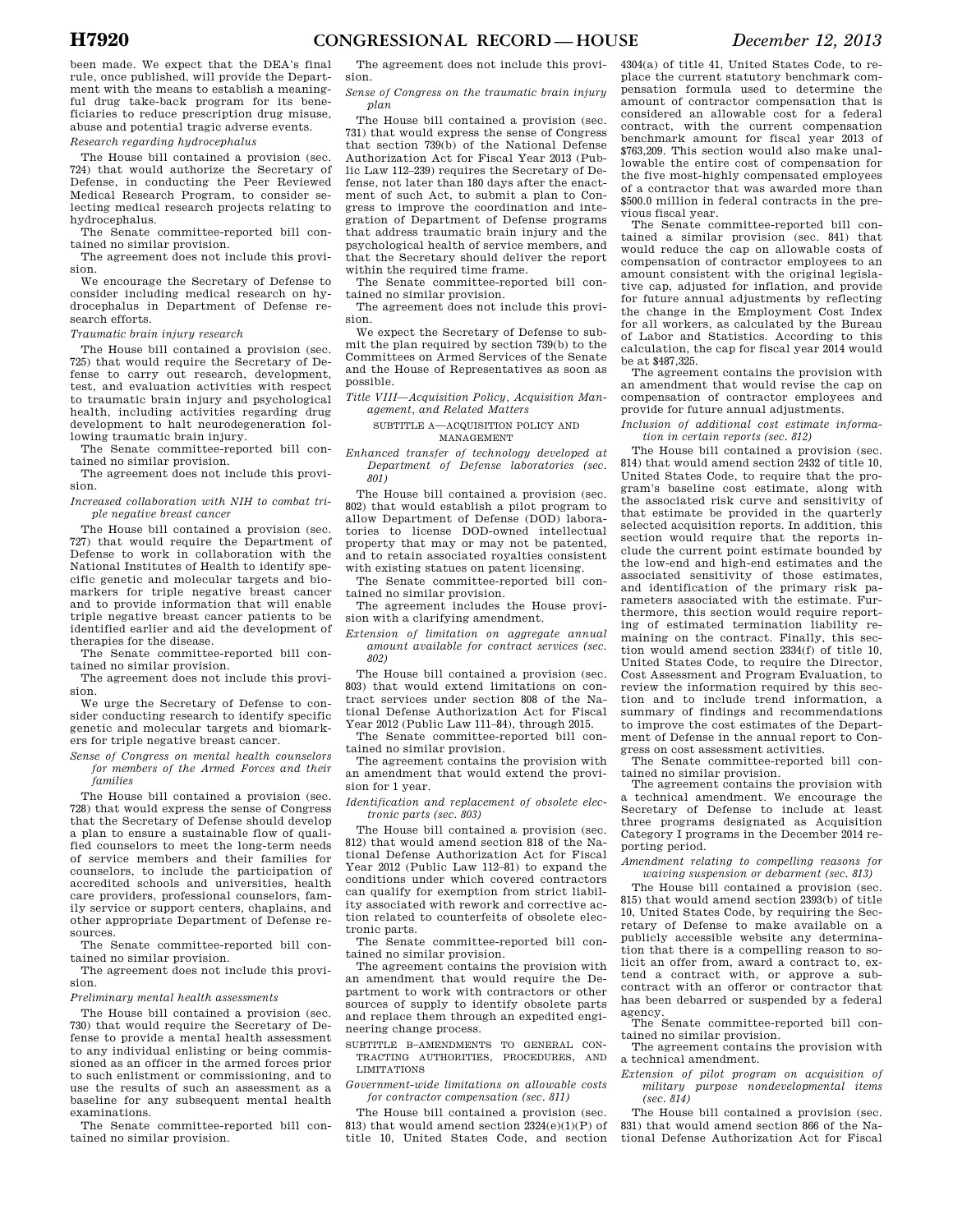been made. We expect that the DEA's final rule, once published, will provide the Department with the means to establish a meaningful drug take-back program for its beneficiaries to reduce prescription drug misuse, abuse and potential tragic adverse events. *Research regarding hydrocephalus* 

The House bill contained a provision (sec. 724) that would authorize the Secretary of Defense, in conducting the Peer Reviewed Medical Research Program, to consider selecting medical research projects relating to hydrocephalus.

The Senate committee-reported bill contained no similar provision.

The agreement does not include this provision.

We encourage the Secretary of Defense to consider including medical research on hydrocephalus in Department of Defense research efforts.

*Traumatic brain injury research* 

The House bill contained a provision (sec. 725) that would require the Secretary of Defense to carry out research, development, test, and evaluation activities with respect to traumatic brain injury and psychological health, including activities regarding drug development to halt neurodegeneration following traumatic brain injury.

The Senate committee-reported bill contained no similar provision.

The agreement does not include this provision.

*Increased collaboration with NIH to combat triple negative breast cancer* 

The House bill contained a provision (sec. 727) that would require the Department of Defense to work in collaboration with the National Institutes of Health to identify specific genetic and molecular targets and biomarkers for triple negative breast cancer and to provide information that will enable triple negative breast cancer patients to be identified earlier and aid the development of therapies for the disease.

The Senate committee-reported bill contained no similar provision.

The agreement does not include this provision.

We urge the Secretary of Defense to consider conducting research to identify specific genetic and molecular targets and biomarkers for triple negative breast cancer.

*Sense of Congress on mental health counselors for members of the Armed Forces and their families* 

The House bill contained a provision (sec. 728) that would express the sense of Congress that the Secretary of Defense should develop a plan to ensure a sustainable flow of qualified counselors to meet the long-term needs of service members and their families for counselors, to include the participation of accredited schools and universities, health care providers, professional counselors, family service or support centers, chaplains, and other appropriate Department of Defense resources.

The Senate committee-reported bill contained no similar provision.

The agreement does not include this provision.

*Preliminary mental health assessments* 

The House bill contained a provision (sec. 730) that would require the Secretary of Defense to provide a mental health assessment to any individual enlisting or being commissioned as an officer in the armed forces prior to such enlistment or commissioning, and to use the results of such an assessment as a baseline for any subsequent mental health examinations.

The Senate committee-reported bill contained no similar provision.

The agreement does not include this provision.

*Sense of Congress on the traumatic brain injury plan* 

The House bill contained a provision (sec. 731) that would express the sense of Congress that section 739(b) of the National Defense Authorization Act for Fiscal Year 2013 (Public Law 112–239) requires the Secretary of Defense, not later than 180 days after the enactment of such Act, to submit a plan to Congress to improve the coordination and integration of Department of Defense programs that address traumatic brain injury and the psychological health of service members, and that the Secretary should deliver the report within the required time frame.

The Senate committee-reported bill contained no similar provision.

The agreement does not include this provision.

We expect the Secretary of Defense to submit the plan required by section 739(b) to the Committees on Armed Services of the Senate and the House of Representatives as soon as possible.

*Title VIII—Acquisition Policy, Acquisition Management, and Related Matters* 

SUBTITLE A—ACQUISITION POLICY AND MANAGEMENT

*Enhanced transfer of technology developed at Department of Defense laboratories (sec. 801)* 

The House bill contained a provision (sec. 802) that would establish a pilot program to allow Department of Defense (DOD) laboratories to license DOD-owned intellectual property that may or may not be patented, and to retain associated royalties consistent with existing statues on patent licensing.

The Senate committee-reported bill contained no similar provision.

The agreement includes the House provision with a clarifying amendment.

*Extension of limitation on aggregate annual amount available for contract services (sec. 802)* 

The House bill contained a provision (sec. 803) that would extend limitations on contract services under section 808 of the National Defense Authorization Act for Fiscal Year 2012 (Public Law 111–84), through 2015.

The Senate committee-reported bill contained no similar provision.

The agreement contains the provision with an amendment that would extend the provision for 1 year.

*Identification and replacement of obsolete electronic parts (sec. 803)* 

The House bill contained a provision (sec. 812) that would amend section 818 of the National Defense Authorization Act for Fiscal Year 2012 (Public Law 112–81) to expand the conditions under which covered contractors can qualify for exemption from strict liability associated with rework and corrective action related to counterfeits of obsolete electronic parts.

The Senate committee-reported bill contained no similar provision.

The agreement contains the provision with an amendment that would require the Department to work with contractors or other sources of supply to identify obsolete parts and replace them through an expedited engineering change process.

SUBTITLE B–AMENDMENTS TO GENERAL CON-TRACTING AUTHORITIES, PROCEDURES, AND LIMITATIONS

*Government-wide limitations on allowable costs for contractor compensation (sec. 811)* 

The House bill contained a provision (sec. 813) that would amend section  $2324(e)(1)(P)$  of title 10, United States Code, and section 4304(a) of title 41, United States Code, to replace the current statutory benchmark compensation formula used to determine the amount of contractor compensation that is considered an allowable cost for a federal contract, with the current compensation benchmark amount for fiscal year 2013 of \$763,209. This section would also make unallowable the entire cost of compensation for the five most-highly compensated employees of a contractor that was awarded more than \$500.0 million in federal contracts in the previous fiscal year.

The Senate committee-reported bill contained a similar provision (sec. 841) that would reduce the cap on allowable costs of compensation of contractor employees to an amount consistent with the original legislative cap, adjusted for inflation, and provide for future annual adjustments by reflecting the change in the Employment Cost Index for all workers, as calculated by the Bureau of Labor and Statistics. According to this calculation, the cap for fiscal year 2014 would be at \$487,325.

The agreement contains the provision with an amendment that would revise the cap on compensation of contractor employees and provide for future annual adjustments.

*Inclusion of additional cost estimate information in certain reports (sec. 812)* 

The House bill contained a provision (sec. 814) that would amend section 2432 of title 10, United States Code, to require that the program's baseline cost estimate, along with the associated risk curve and sensitivity of that estimate be provided in the quarterly selected acquisition reports. In addition, this section would require that the reports include the current point estimate bounded by the low-end and high-end estimates and the associated sensitivity of those estimates, and identification of the primary risk parameters associated with the estimate. Furthermore, this section would require reporting of estimated termination liability remaining on the contract. Finally, this section would amend section 2334(f) of title 10, United States Code, to require the Director, Cost Assessment and Program Evaluation, to review the information required by this section and to include trend information, a summary of findings and recommendations to improve the cost estimates of the Department of Defense in the annual report to Congress on cost assessment activities.

The Senate committee-reported bill contained no similar provision.

The agreement contains the provision with a technical amendment. We encourage the Secretary of Defense to include at least three programs designated as Acquisition Category I programs in the December 2014 reporting period.

*Amendment relating to compelling reasons for waiving suspension or debarment (sec. 813)* 

The House bill contained a provision (sec. 815) that would amend section 2393(b) of title 10, United States Code, by requiring the Secretary of Defense to make available on a publicly accessible website any determination that there is a compelling reason to solicit an offer from, award a contract to, extend a contract with, or approve a subcontract with an offeror or contractor that has been debarred or suspended by a federal agency.

The Senate committee-reported bill contained no similar provision.

The agreement contains the provision with a technical amendment.

*Extension of pilot program on acquisition of military purpose nondevelopmental items (sec. 814)* 

The House bill contained a provision (sec. 831) that would amend section 866 of the National Defense Authorization Act for Fiscal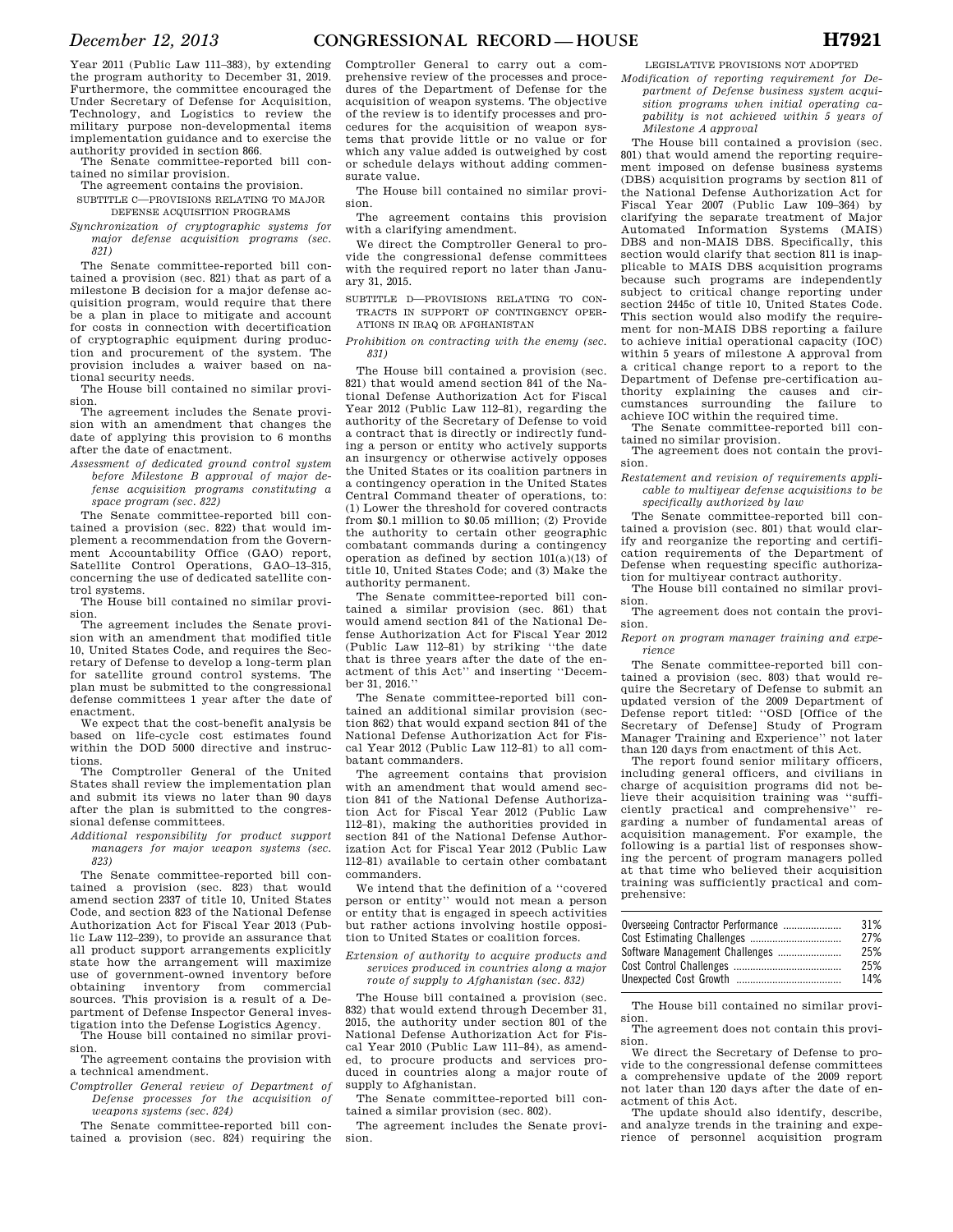Year 2011 (Public Law 111–383), by extending the program authority to December 31, 2019. Furthermore, the committee encouraged the Under Secretary of Defense for Acquisition, Technology, and Logistics to review the military purpose non-developmental items implementation guidance and to exercise the authority provided in section 866.

The Senate committee-reported bill contained no similar provision.

The agreement contains the provision.

SUBTITLE C—PROVISIONS RELATING TO MAJOR DEFENSE ACQUISITION PROGRAMS

*Synchronization of cryptographic systems for major defense acquisition programs (sec. 821)* 

The Senate committee-reported bill contained a provision (sec. 821) that as part of a milestone B decision for a major defense acquisition program, would require that there be a plan in place to mitigate and account for costs in connection with decertification of cryptographic equipment during production and procurement of the system. The provision includes a waiver based on national security needs.

The House bill contained no similar provision.

The agreement includes the Senate provision with an amendment that changes the date of applying this provision to 6 months after the date of enactment.

*Assessment of dedicated ground control system before Milestone B approval of major defense acquisition programs constituting a space program (sec. 822)* 

The Senate committee-reported bill contained a provision (sec. 822) that would implement a recommendation from the Government Accountability Office (GAO) report, Satellite Control Operations, GAO–13–315, concerning the use of dedicated satellite control systems.

The House bill contained no similar provision.

The agreement includes the Senate provision with an amendment that modified title 10, United States Code, and requires the Secretary of Defense to develop a long-term plan for satellite ground control systems. The plan must be submitted to the congressional defense committees 1 year after the date of enactment.

We expect that the cost-benefit analysis be based on life-cycle cost estimates found within the DOD 5000 directive and instructions.

The Comptroller General of the United States shall review the implementation plan and submit its views no later than 90 days after the plan is submitted to the congressional defense committees.

*Additional responsibility for product support managers for major weapon systems (sec. 823)* 

The Senate committee-reported bill contained a provision (sec. 823) that would amend section 2337 of title 10, United States Code, and section 823 of the National Defense Authorization Act for Fiscal Year 2013 (Public Law 112–239), to provide an assurance that all product support arrangements explicitly state how the arrangement will maximize use of government-owned inventory before obtaining inventory from commercial sources. This provision is a result of a Department of Defense Inspector General investigation into the Defense Logistics Agency.

The House bill contained no similar provision.

The agreement contains the provision with a technical amendment.

*Comptroller General review of Department of Defense processes for the acquisition of weapons systems (sec. 824)* 

The Senate committee-reported bill contained a provision (sec. 824) requiring the

Comptroller General to carry out a comprehensive review of the processes and procedures of the Department of Defense for the acquisition of weapon systems. The objective of the review is to identify processes and procedures for the acquisition of weapon systems that provide little or no value or for which any value added is outweighed by cost or schedule delays without adding commensurate value.

The House bill contained no similar provision.

The agreement contains this provision with a clarifying amendment.

We direct the Comptroller General to provide the congressional defense committees with the required report no later than January 31, 2015.

SUBTITLE D—PROVISIONS RELATING TO CON-TRACTS IN SUPPORT OF CONTINGENCY OPER-ATIONS IN IRAQ OR AFGHANISTAN

*Prohibition on contracting with the enemy (sec. 831)* 

The House bill contained a provision (sec. 821) that would amend section 841 of the National Defense Authorization Act for Fiscal Year 2012 (Public Law 112–81), regarding the authority of the Secretary of Defense to void a contract that is directly or indirectly funding a person or entity who actively supports an insurgency or otherwise actively opposes the United States or its coalition partners in a contingency operation in the United States Central Command theater of operations, to: (1) Lower the threshold for covered contracts from \$0.1 million to \$0.05 million; (2) Provide the authority to certain other geographic combatant commands during a contingency operation as defined by section 101(a)(13) of title 10, United States Code; and (3) Make the authority permanent.

The Senate committee-reported bill contained a similar provision (sec. 861) that would amend section 841 of the National Defense Authorization Act for Fiscal Year 2012 (Public Law 112–81) by striking ''the date that is three years after the date of the enactment of this Act'' and inserting ''December 31, 2016.''

The Senate committee-reported bill contained an additional similar provision (section 862) that would expand section 841 of the National Defense Authorization Act for Fiscal Year 2012 (Public Law 112–81) to all combatant commanders.

The agreement contains that provision with an amendment that would amend section 841 of the National Defense Authorization Act for Fiscal Year 2012 (Public Law 112–81), making the authorities provided in section 841 of the National Defense Authorization Act for Fiscal Year 2012 (Public Law 112–81) available to certain other combatant commanders.

We intend that the definition of a ''covered person or entity'' would not mean a person or entity that is engaged in speech activities but rather actions involving hostile opposition to United States or coalition forces.

*Extension of authority to acquire products and services produced in countries along a major route of supply to Afghanistan (sec. 832)* 

The House bill contained a provision (sec. 832) that would extend through December 31, 2015, the authority under section 801 of the National Defense Authorization Act for Fiscal Year 2010 (Public Law 111–84), as amended, to procure products and services produced in countries along a major route of supply to Afghanistan.

The Senate committee-reported bill contained a similar provision (sec. 802).

The agreement includes the Senate provision.

LEGISLATIVE PROVISIONS NOT ADOPTED

*Modification of reporting requirement for Department of Defense business system acquisition programs when initial operating capability is not achieved within 5 years of Milestone A approval* 

The House bill contained a provision (sec. 801) that would amend the reporting requirement imposed on defense business systems (DBS) acquisition programs by section 811 of the National Defense Authorization Act for Fiscal Year 2007 (Public Law 109–364) by clarifying the separate treatment of Major Automated Information Systems (MAIS) DBS and non-MAIS DBS. Specifically, this section would clarify that section 811 is inapplicable to MAIS DBS acquisition programs because such programs are independently subject to critical change reporting under section 2445c of title 10, United States Code. This section would also modify the requirement for non-MAIS DBS reporting a failure to achieve initial operational capacity (IOC) within 5 years of milestone A approval from a critical change report to a report to the Department of Defense pre-certification authority explaining the causes and circumstances surrounding the failure to achieve IOC within the required time.

The Senate committee-reported bill contained no similar provision.

The agreement does not contain the provision.

*Restatement and revision of requirements applicable to multiyear defense acquisitions to be specifically authorized by law* 

The Senate committee-reported bill contained a provision (sec. 801) that would clarify and reorganize the reporting and certification requirements of the Department of Defense when requesting specific authorization for multiyear contract authority.

The House bill contained no similar provi-

sion. The agreement does not contain the provision.

*Report on program manager training and experience* 

The Senate committee-reported bill contained a provision (sec. 803) that would require the Secretary of Defense to submit an updated version of the 2009 Department of Defense report titled: ''OSD [Office of the Secretary of Defense] Study of Program Manager Training and Experience'' not later than 120 days from enactment of this Act.

The report found senior military officers, including general officers, and civilians in charge of acquisition programs did not believe their acquisition training was ''sufficiently practical and comprehensive'' regarding a number of fundamental areas of acquisition management. For example, the following is a partial list of responses showing the percent of program managers polled at that time who believed their acquisition training was sufficiently practical and comprehensive:

| Overseeing Contractor Performance | 31%<br>27% |
|-----------------------------------|------------|
| Software Management Challenges    | 25%        |
|                                   | 25%        |
|                                   | 14%        |

The House bill contained no similar provision.

The agreement does not contain this provision.

We direct the Secretary of Defense to provide to the congressional defense committees a comprehensive update of the 2009 report not later than 120 days after the date of enactment of this Act.

The update should also identify, describe, and analyze trends in the training and experience of personnel acquisition program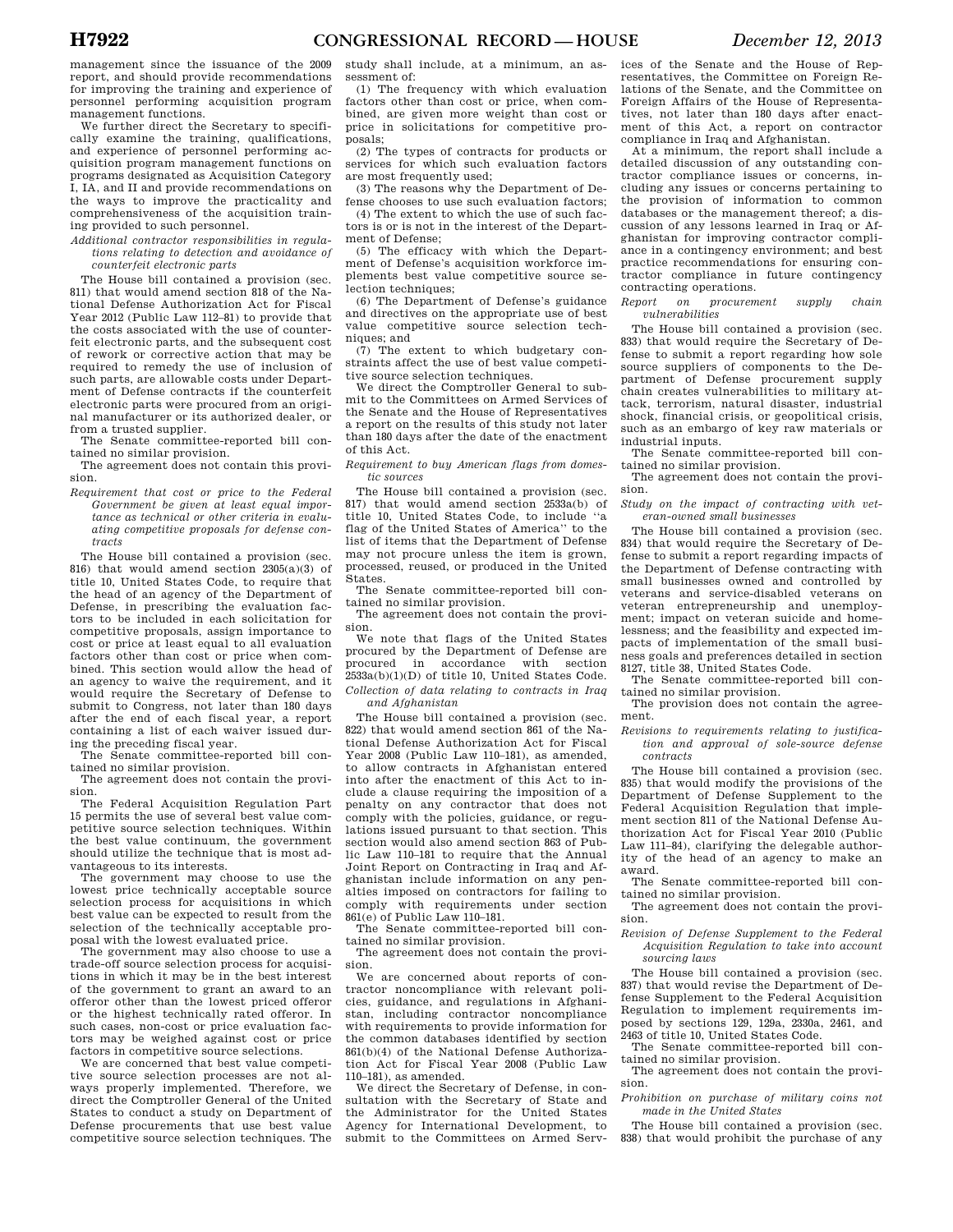management since the issuance of the 2009 report, and should provide recommendations for improving the training and experience of personnel performing acquisition program management functions.

We further direct the Secretary to specifically examine the training, qualifications, and experience of personnel performing acquisition program management functions on programs designated as Acquisition Category I, IA, and II and provide recommendations on the ways to improve the practicality and comprehensiveness of the acquisition training provided to such personnel.

*Additional contractor responsibilities in regulations relating to detection and avoidance of counterfeit electronic parts* 

The House bill contained a provision (sec. 811) that would amend section 818 of the National Defense Authorization Act for Fiscal Year 2012 (Public Law 112–81) to provide that the costs associated with the use of counterfeit electronic parts, and the subsequent cost of rework or corrective action that may be required to remedy the use of inclusion of such parts, are allowable costs under Department of Defense contracts if the counterfeit electronic parts were procured from an original manufacturer or its authorized dealer, or from a trusted supplier.

The Senate committee-reported bill contained no similar provision.

The agreement does not contain this provision.

*Requirement that cost or price to the Federal Government be given at least equal importance as technical or other criteria in evaluating competitive proposals for defense contracts* 

The House bill contained a provision (sec. 816) that would amend section 2305(a)(3) of title 10, United States Code, to require that the head of an agency of the Department of Defense, in prescribing the evaluation factors to be included in each solicitation for competitive proposals, assign importance to cost or price at least equal to all evaluation factors other than cost or price when combined. This section would allow the head of an agency to waive the requirement, and it would require the Secretary of Defense to submit to Congress, not later than 180 days after the end of each fiscal year, a report containing a list of each waiver issued during the preceding fiscal year.

The Senate committee-reported bill contained no similar provision.

The agreement does not contain the provision.

The Federal Acquisition Regulation Part 15 permits the use of several best value competitive source selection techniques. Within the best value continuum, the government should utilize the technique that is most advantageous to its interests.

The government may choose to use the lowest price technically acceptable source selection process for acquisitions in which best value can be expected to result from the selection of the technically acceptable proposal with the lowest evaluated price.

The government may also choose to use a trade-off source selection process for acquisitions in which it may be in the best interest of the government to grant an award to an offeror other than the lowest priced offeror or the highest technically rated offeror. In such cases, non-cost or price evaluation factors may be weighed against cost or price factors in competitive source selections.

We are concerned that best value competitive source selection processes are not always properly implemented. Therefore, we direct the Comptroller General of the United States to conduct a study on Department of Defense procurements that use best value competitive source selection techniques. The

study shall include, at a minimum, an assessment of:

(1) The frequency with which evaluation factors other than cost or price, when combined, are given more weight than cost or price in solicitations for competitive proposals;

(2) The types of contracts for products or services for which such evaluation factors are most frequently used;

(3) The reasons why the Department of Defense chooses to use such evaluation factors; (4) The extent to which the use of such fac-

tors is or is not in the interest of the Department of Defense;

(5) The efficacy with which the Department of Defense's acquisition workforce implements best value competitive source selection techniques:

(6) The Department of Defense's guidance and directives on the appropriate use of best value competitive source selection techniques; and

(7) The extent to which budgetary constraints affect the use of best value competitive source selection techniques.

We direct the Comptroller General to submit to the Committees on Armed Services of the Senate and the House of Representatives a report on the results of this study not later than 180 days after the date of the enactment of this Act.

*Requirement to buy American flags from domestic sources* 

The House bill contained a provision (sec. 817) that would amend section 2533a(b) of title 10, United States Code, to include ''a flag of the United States of America'' to the list of items that the Department of Defense may not procure unless the item is grown, processed, reused, or produced in the United States.

The Senate committee-reported bill contained no similar provision.

The agreement does not contain the provision.

We note that flags of the United States procured by the Department of Defense are procured in accordance with section 2533a(b)(1)(D) of title 10, United States Code. *Collection of data relating to contracts in Iraq* 

*and Afghanistan* 

The House bill contained a provision (sec. 822) that would amend section 861 of the National Defense Authorization Act for Fiscal Year 2008 (Public Law 110–181), as amended, to allow contracts in Afghanistan entered into after the enactment of this Act to include a clause requiring the imposition of a penalty on any contractor that does not comply with the policies, guidance, or regulations issued pursuant to that section. This section would also amend section 863 of Public Law 110–181 to require that the Annual Joint Report on Contracting in Iraq and Afghanistan include information on any penalties imposed on contractors for failing to comply with requirements under section  $861(e)$  of Public Law 110–181.

The Senate committee-reported bill contained no similar provision.

The agreement does not contain the provision.

We are concerned about reports of contractor noncompliance with relevant policies, guidance, and regulations in Afghanistan, including contractor noncompliance with requirements to provide information for the common databases identified by section 861(b)(4) of the National Defense Authorization Act for Fiscal Year 2008 (Public Law 110–181), as amended.

We direct the Secretary of Defense, in consultation with the Secretary of State and the Administrator for the United States Agency for International Development, to submit to the Committees on Armed Serv-

ices of the Senate and the House of Representatives, the Committee on Foreign Relations of the Senate, and the Committee on Foreign Affairs of the House of Representatives, not later than 180 days after enactment of this Act, a report on contractor compliance in Iraq and Afghanistan.

At a minimum, the report shall include a detailed discussion of any outstanding contractor compliance issues or concerns, including any issues or concerns pertaining to the provision of information to common databases or the management thereof; a discussion of any lessons learned in Iraq or Afghanistan for improving contractor compliance in a contingency environment; and best practice recommendations for ensuring contractor compliance in future contingency contracting operations.

*Report on procurement supply chain vulnerabilities* 

The House bill contained a provision (sec. 833) that would require the Secretary of Defense to submit a report regarding how sole source suppliers of components to the Department of Defense procurement supply chain creates vulnerabilities to military attack, terrorism, natural disaster, industrial shock, financial crisis, or geopolitical crisis, such as an embargo of key raw materials or industrial inputs.

The Senate committee-reported bill contained no similar provision.

The agreement does not contain the provision.

*Study on the impact of contracting with veteran-owned small businesses* 

The House bill contained a provision (sec. 834) that would require the Secretary of Defense to submit a report regarding impacts of the Department of Defense contracting with small businesses owned and controlled by veterans and service-disabled veterans on veteran entrepreneurship and unemployment; impact on veteran suicide and homelessness; and the feasibility and expected impacts of implementation of the small business goals and preferences detailed in section 8127, title 38, United States Code.

The Senate committee-reported bill contained no similar provision.

The provision does not contain the agreement.

*Revisions to requirements relating to justification and approval of sole-source defense contracts* 

The House bill contained a provision (sec. 835) that would modify the provisions of the Department of Defense Supplement to the Federal Acquisition Regulation that implement section 811 of the National Defense Authorization Act for Fiscal Year 2010 (Public Law 111–84), clarifying the delegable authority of the head of an agency to make an award.

The Senate committee-reported bill contained no similar provision.

The agreement does not contain the provision.

*Revision of Defense Supplement to the Federal Acquisition Regulation to take into account sourcing laws* 

The House bill contained a provision (sec. 837) that would revise the Department of Defense Supplement to the Federal Acquisition Regulation to implement requirements imposed by sections 129, 129a, 2330a, 2461, and 2463 of title 10, United States Code.

The Senate committee-reported bill contained no similar provision.

The agreement does not contain the provision.

*Prohibition on purchase of military coins not made in the United States* 

The House bill contained a provision (sec. 838) that would prohibit the purchase of any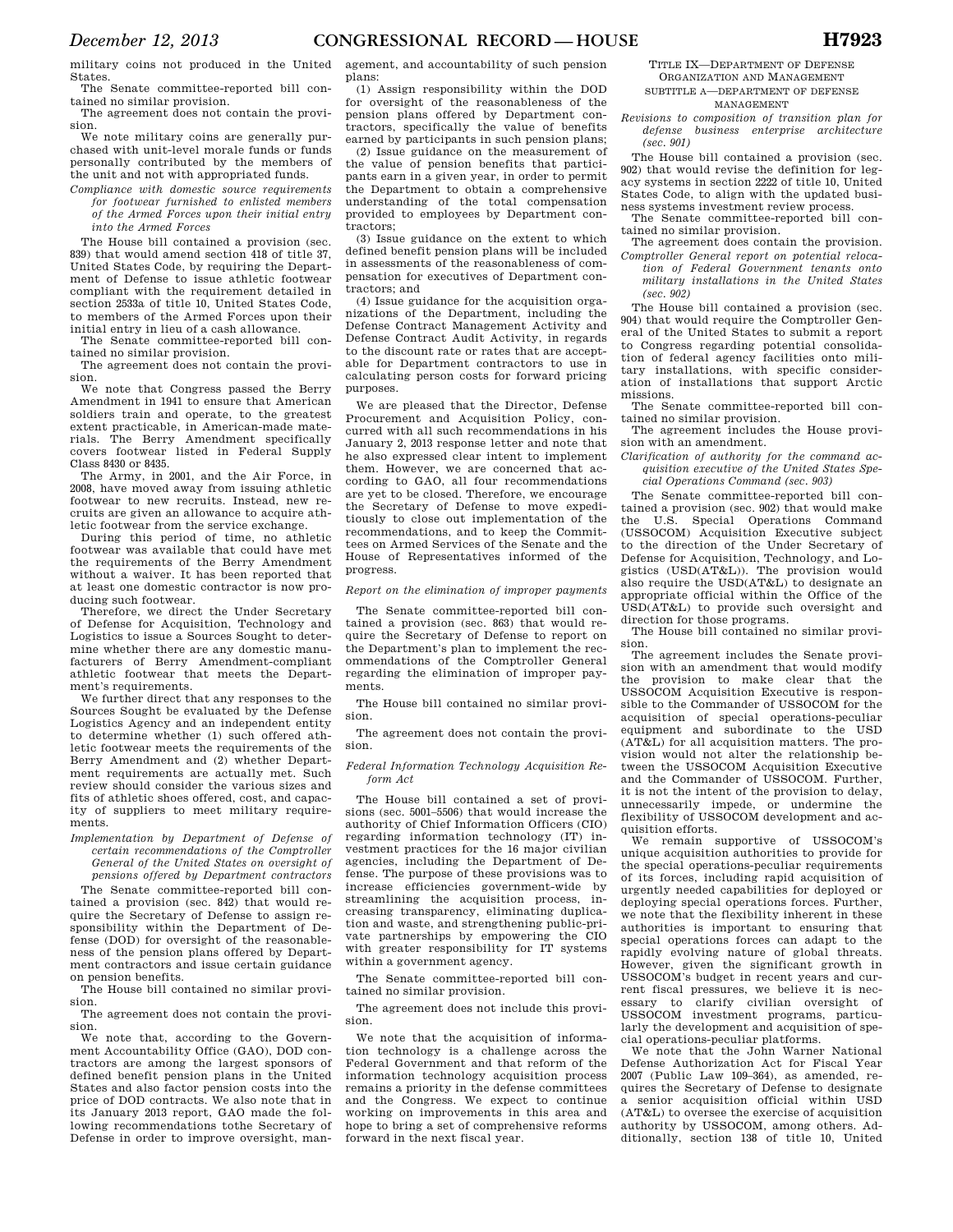military coins not produced in the United States.

The Senate committee-reported bill contained no similar provision. The agreement does not contain the provi-

sion.

We note military coins are generally purchased with unit-level morale funds or funds personally contributed by the members of the unit and not with appropriated funds.

*Compliance with domestic source requirements for footwear furnished to enlisted members of the Armed Forces upon their initial entry into the Armed Forces* 

The House bill contained a provision (sec. 839) that would amend section 418 of title 37, United States Code, by requiring the Department of Defense to issue athletic footwear compliant with the requirement detailed in section 2533a of title 10, United States Code, to members of the Armed Forces upon their initial entry in lieu of a cash allowance.

The Senate committee-reported bill contained no similar provision.

The agreement does not contain the provision.

We note that Congress passed the Berry Amendment in 1941 to ensure that American soldiers train and operate, to the greatest extent practicable, in American-made materials. The Berry Amendment specifically covers footwear listed in Federal Supply Class 8430 or 8435.

The Army, in 2001, and the Air Force, in 2008, have moved away from issuing athletic footwear to new recruits. Instead, new recruits are given an allowance to acquire athletic footwear from the service exchange.

During this period of time, no athletic footwear was available that could have met the requirements of the Berry Amendment without a waiver. It has been reported that at least one domestic contractor is now producing such footwear.

Therefore, we direct the Under Secretary of Defense for Acquisition, Technology and Logistics to issue a Sources Sought to determine whether there are any domestic manufacturers of Berry Amendment-compliant athletic footwear that meets the Department's requirements.

We further direct that any responses to the Sources Sought be evaluated by the Defense Logistics Agency and an independent entity to determine whether (1) such offered athletic footwear meets the requirements of the Berry Amendment and (2) whether Department requirements are actually met. Such review should consider the various sizes and fits of athletic shoes offered, cost, and capacity of suppliers to meet military requirements.

*Implementation by Department of Defense of certain recommendations of the Comptroller General of the United States on oversight of pensions offered by Department contractors* 

The Senate committee-reported bill contained a provision (sec. 842) that would require the Secretary of Defense to assign responsibility within the Department of Defense (DOD) for oversight of the reasonableness of the pension plans offered by Department contractors and issue certain guidance on pension benefits.

The House bill contained no similar provision.

The agreement does not contain the provision.

We note that, according to the Government Accountability Office (GAO), DOD contractors are among the largest sponsors of defined benefit pension plans in the United States and also factor pension costs into the price of DOD contracts. We also note that in its January 2013 report, GAO made the following recommendations tothe Secretary of Defense in order to improve oversight, management, and accountability of such pension plans:

(1) Assign responsibility within the DOD for oversight of the reasonableness of the pension plans offered by Department contractors, specifically the value of benefits earned by participants in such pension plans;

(2) Issue guidance on the measurement of the value of pension benefits that participants earn in a given year, in order to permit the Department to obtain a comprehensive understanding of the total compensation provided to employees by Department contractors;

(3) Issue guidance on the extent to which defined benefit pension plans will be included in assessments of the reasonableness of compensation for executives of Department contractors; and

(4) Issue guidance for the acquisition organizations of the Department, including the Defense Contract Management Activity and Defense Contract Audit Activity, in regards to the discount rate or rates that are acceptable for Department contractors to use in calculating person costs for forward pricing purposes.

We are pleased that the Director, Defense Procurement and Acquisition Policy, concurred with all such recommendations in his January 2, 2013 response letter and note that he also expressed clear intent to implement them. However, we are concerned that according to GAO, all four recommendations are yet to be closed. Therefore, we encourage the Secretary of Defense to move expeditiously to close out implementation of the recommendations, and to keep the Committees on Armed Services of the Senate and the House of Representatives informed of the progress.

### *Report on the elimination of improper payments*

The Senate committee-reported bill contained a provision (sec. 863) that would require the Secretary of Defense to report on the Department's plan to implement the recommendations of the Comptroller General regarding the elimination of improper payments.

The House bill contained no similar provision.

The agreement does not contain the provision.

*Federal Information Technology Acquisition Reform Act* 

The House bill contained a set of provisions (sec. 5001–5506) that would increase the authority of Chief Information Officers (CIO) regarding information technology (IT) investment practices for the 16 major civilian agencies, including the Department of Defense. The purpose of these provisions was to increase efficiencies government-wide by streamlining the acquisition process, increasing transparency, eliminating duplication and waste, and strengthening public-private partnerships by empowering the CIO with greater responsibility for IT systems within a government agency.

The Senate committee-reported bill contained no similar provision.

The agreement does not include this provision.

We note that the acquisition of information technology is a challenge across the Federal Government and that reform of the information technology acquisition process remains a priority in the defense committees and the Congress. We expect to continue working on improvements in this area and hope to bring a set of comprehensive reforms forward in the next fiscal year.

TITLE IX—DEPARTMENT OF DEFENSE ORGANIZATION AND MANAGEMENT SUBTITLE A—DEPARTMENT OF DEFENSE

MANAGEMENT *Revisions to composition of transition plan for* 

*defense business enterprise architecture (sec. 901)* 

The House bill contained a provision (sec. 902) that would revise the definition for legacy systems in section 2222 of title 10, United States Code, to align with the updated business systems investment review process.

The Senate committee-reported bill contained no similar provision.

The agreement does contain the provision. *Comptroller General report on potential relocation of Federal Government tenants onto military installations in the United States (sec. 902)* 

The House bill contained a provision (sec. 904) that would require the Comptroller General of the United States to submit a report to Congress regarding potential consolidation of federal agency facilities onto military installations, with specific consideration of installations that support Arctic missions.

The Senate committee-reported bill contained no similar provision.

The agreement includes the House provision with an amendment.

*Clarification of authority for the command acquisition executive of the United States Special Operations Command (sec. 903)* 

The Senate committee-reported bill contained a provision (sec. 902) that would make the U.S. Special Operations Command (USSOCOM) Acquisition Executive subject to the direction of the Under Secretary of Defense for Acquisition, Technology, and Logistics (USD(AT&L)). The provision would also require the USD(AT&L) to designate an appropriate official within the Office of the USD(AT&L) to provide such oversight and direction for those programs.

The House bill contained no similar provision.

The agreement includes the Senate provision with an amendment that would modify the provision to make clear that the USSOCOM Acquisition Executive is responsible to the Commander of USSOCOM for the acquisition of special operations-peculiar equipment and subordinate to the USD (AT&L) for all acquisition matters. The provision would not alter the relationship between the USSOCOM Acquisition Executive and the Commander of USSOCOM. Further, it is not the intent of the provision to delay, unnecessarily impede, or undermine the flexibility of USSOCOM development and acquisition efforts.

We remain supportive of USSOCOM's unique acquisition authorities to provide for the special operations-peculiar requirements of its forces, including rapid acquisition of urgently needed capabilities for deployed or deploying special operations forces. Further, we note that the flexibility inherent in these authorities is important to ensuring that special operations forces can adapt to the rapidly evolving nature of global threats. However, given the significant growth in USSOCOM's budget in recent years and current fiscal pressures, we believe it is nec-<br>essary to clarify civilian oversight of clarify civilian oversight of USSOCOM investment programs, particularly the development and acquisition of special operations-peculiar platforms.

We note that the John Warner National Defense Authorization Act for Fiscal Year 2007 (Public Law 109–364), as amended, requires the Secretary of Defense to designate<br>a senior acquisition official within USD a senior acquisition official within (AT&L) to oversee the exercise of acquisition authority by USSOCOM, among others. Additionally, section 138 of title 10, United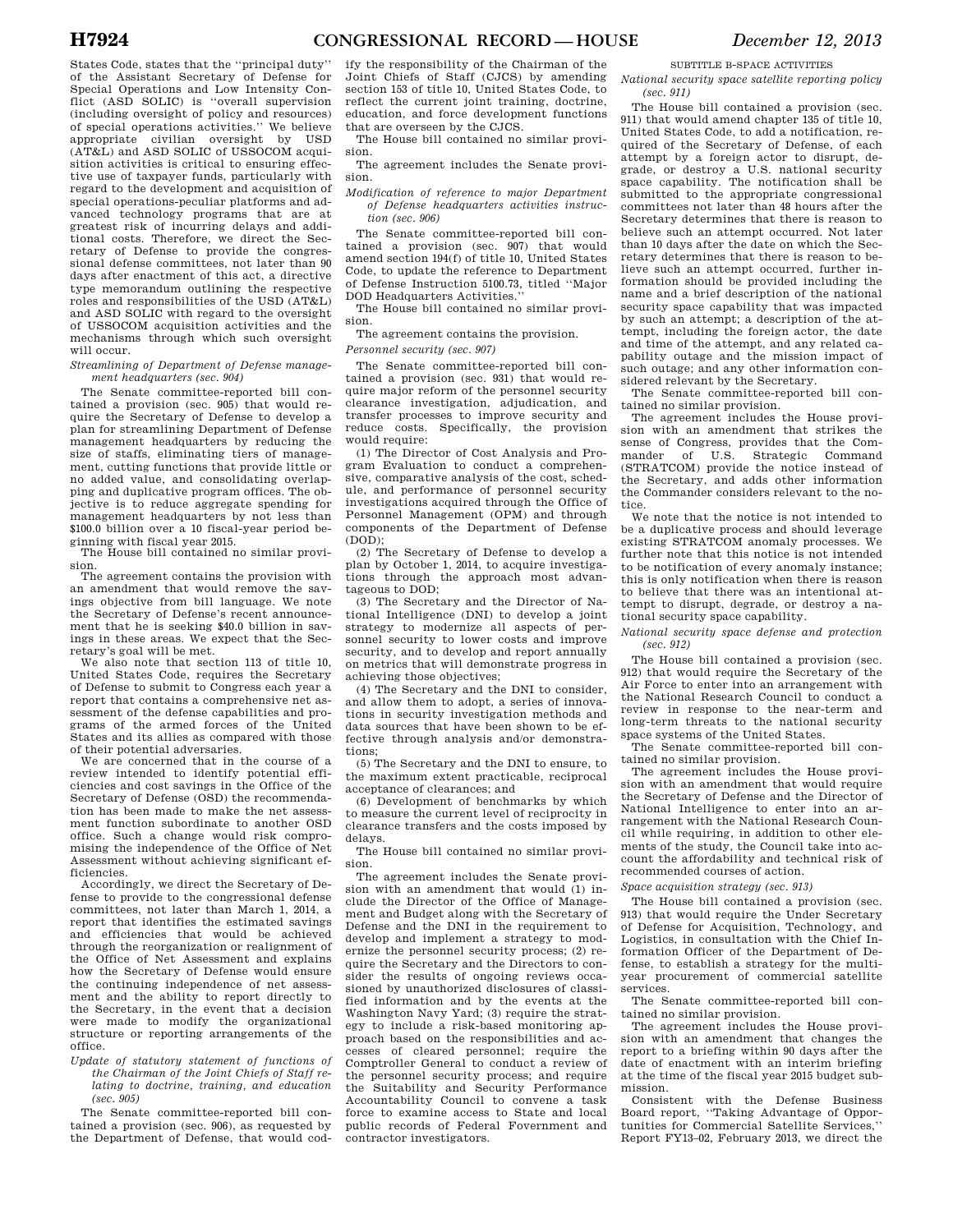States Code, states that the ''principal duty'' of the Assistant Secretary of Defense for Special Operations and Low Intensity Conflict (ASD SOLIC) is ''overall supervision (including oversight of policy and resources) of special operations activities.'' We believe appropriate civilian oversight by USD (AT&L) and ASD SOLIC of USSOCOM acquisition activities is critical to ensuring effective use of taxpayer funds, particularly with regard to the development and acquisition of special operations-peculiar platforms and advanced technology programs that are at greatest risk of incurring delays and additional costs. Therefore, we direct the Secretary of Defense to provide the congressional defense committees, not later than 90 days after enactment of this act, a directive type memorandum outlining the respective roles and responsibilities of the USD (AT&L) and ASD SOLIC with regard to the oversight of USSOCOM acquisition activities and the mechanisms through which such oversight will occur.

*Streamlining of Department of Defense management headquarters (sec. 904)* 

The Senate committee-reported bill contained a provision (sec. 905) that would require the Secretary of Defense to develop a plan for streamlining Department of Defense management headquarters by reducing the size of staffs, eliminating tiers of management, cutting functions that provide little or no added value, and consolidating overlapping and duplicative program offices. The objective is to reduce aggregate spending for management headquarters by not less than \$100.0 billion over a 10 fiscal-year period beginning with fiscal year 2015.

The House bill contained no similar provision.

The agreement contains the provision with an amendment that would remove the savings objective from bill language. We note the Secretary of Defense's recent announcement that he is seeking \$40.0 billion in savings in these areas. We expect that the Secretary's goal will be met.

We also note that section 113 of title 10, United States Code, requires the Secretary of Defense to submit to Congress each year a report that contains a comprehensive net assessment of the defense capabilities and programs of the armed forces of the United States and its allies as compared with those of their potential adversaries.

We are concerned that in the course of a review intended to identify potential efficiencies and cost savings in the Office of the Secretary of Defense (OSD) the recommendation has been made to make the net assessment function subordinate to another OSD office. Such a change would risk compromising the independence of the Office of Net Assessment without achieving significant efficiencies.

Accordingly, we direct the Secretary of Defense to provide to the congressional defense committees, not later than March 1, 2014, a report that identifies the estimated savings and efficiencies that would be achieved through the reorganization or realignment of the Office of Net Assessment and explains how the Secretary of Defense would ensure the continuing independence of net assessment and the ability to report directly to the Secretary, in the event that a decision were made to modify the organizational structure or reporting arrangements of the office.

*Update of statutory statement of functions of the Chairman of the Joint Chiefs of Staff relating to doctrine, training, and education (sec. 905)* 

The Senate committee-reported bill contained a provision (sec. 906), as requested by the Department of Defense, that would cod-

ify the responsibility of the Chairman of the Joint Chiefs of Staff (CJCS) by amending section 153 of title 10, United States Code, to reflect the current joint training, doctrine, education, and force development functions that are overseen by the CJCS.

The House bill contained no similar provision.

The agreement includes the Senate provision.

*Modification of reference to major Department of Defense headquarters activities instruction (sec. 906)* 

The Senate committee-reported bill contained a provision (sec. 907) that would amend section 194(f) of title 10, United States Code, to update the reference to Department of Defense Instruction 5100.73, titled ''Major DOD Headquarters Activities.''

The House bill contained no similar provision.

The agreement contains the provision.

*Personnel security (sec. 907)* 

The Senate committee-reported bill contained a provision (sec. 931) that would require major reform of the personnel security clearance investigation, adjudication, and transfer processes to improve security and reduce costs. Specifically, the provision would require:

(1) The Director of Cost Analysis and Program Evaluation to conduct a comprehensive, comparative analysis of the cost, schedule, and performance of personnel security investigations acquired through the Office of Personnel Management (OPM) and through components of the Department of Defense (DOD);

(2) The Secretary of Defense to develop a plan by October 1, 2014, to acquire investigations through the approach most advantageous to DOD;

(3) The Secretary and the Director of National Intelligence (DNI) to develop a joint strategy to modernize all aspects of personnel security to lower costs and improve security, and to develop and report annually on metrics that will demonstrate progress in achieving those objectives;

(4) The Secretary and the DNI to consider, and allow them to adopt, a series of innovations in security investigation methods and data sources that have been shown to be effective through analysis and/or demonstrations;

(5) The Secretary and the DNI to ensure, to the maximum extent practicable, reciprocal acceptance of clearances; and

(6) Development of benchmarks by which to measure the current level of reciprocity in clearance transfers and the costs imposed by delays.

The House bill contained no similar provision.

The agreement includes the Senate provision with an amendment that would (1) include the Director of the Office of Management and Budget along with the Secretary of Defense and the DNI in the requirement to develop and implement a strategy to modernize the personnel security process; (2) require the Secretary and the Directors to consider the results of ongoing reviews occasioned by unauthorized disclosures of classified information and by the events at the Washington Navy Yard; (3) require the strategy to include a risk-based monitoring approach based on the responsibilities and accesses of cleared personnel; require the Comptroller General to conduct a review of the personnel security process; and require the Suitability and Security Performance Accountability Council to convene a task force to examine access to State and local public records of Federal Fovernment and contractor investigators.

### SUBTITLE B-SPACE ACTIVITIES

*National security space satellite reporting policy (sec. 911)* 

The House bill contained a provision (sec. 911) that would amend chapter 135 of title 10, United States Code, to add a notification, required of the Secretary of Defense, of each attempt by a foreign actor to disrupt, degrade, or destroy a U.S. national security space capability. The notification shall be submitted to the appropriate congressional committees not later than 48 hours after the Secretary determines that there is reason to believe such an attempt occurred. Not later than 10 days after the date on which the Secretary determines that there is reason to believe such an attempt occurred, further information should be provided including the name and a brief description of the national security space capability that was impacted by such an attempt; a description of the attempt, including the foreign actor, the date and time of the attempt, and any related capability outage and the mission impact of such outage; and any other information considered relevant by the Secretary.

The Senate committee-reported bill contained no similar provision.

The agreement includes the House provision with an amendment that strikes the sense of Congress, provides that the Commander of U.S. Strategic Command (STRATCOM) provide the notice instead of the Secretary, and adds other information the Commander considers relevant to the notice.

We note that the notice is not intended to be a duplicative process and should leverage existing STRATCOM anomaly processes. We further note that this notice is not intended to be notification of every anomaly instance; this is only notification when there is reason to believe that there was an intentional attempt to disrupt, degrade, or destroy a national security space capability.

*National security space defense and protection (sec. 912)* 

The House bill contained a provision (sec. 912) that would require the Secretary of the Air Force to enter into an arrangement with the National Research Council to conduct a review in response to the near-term and long-term threats to the national security space systems of the United States.

The Senate committee-reported bill contained no similar provision.

The agreement includes the House provision with an amendment that would require the Secretary of Defense and the Director of National Intelligence to enter into an arrangement with the National Research Council while requiring, in addition to other elements of the study, the Council take into account the affordability and technical risk of recommended courses of action.

*Space acquisition strategy (sec. 913)* 

The House bill contained a provision (sec. 913) that would require the Under Secretary of Defense for Acquisition, Technology, and Logistics, in consultation with the Chief Information Officer of the Department of Defense, to establish a strategy for the multiyear procurement of commercial satellite services.

The Senate committee-reported bill contained no similar provision.

The agreement includes the House provision with an amendment that changes the report to a briefing within 90 days after the date of enactment with an interim briefing at the time of the fiscal year 2015 budget submission.

Consistent with the Defense Business Board report, ''Taking Advantage of Opportunities for Commercial Satellite Services,'' Report FY13–02, February 2013, we direct the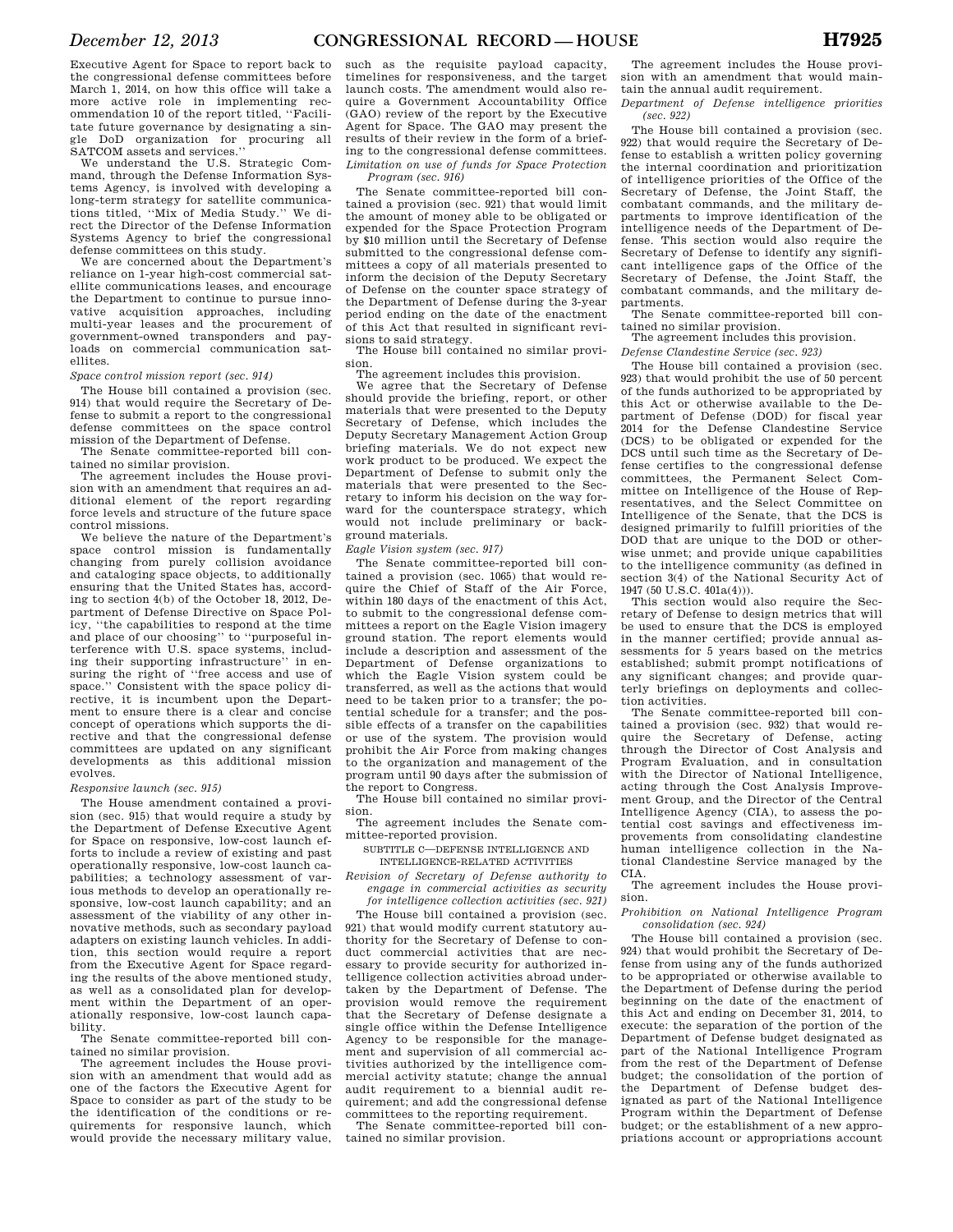Executive Agent for Space to report back to the congressional defense committees before March 1, 2014, on how this office will take a more active role in implementing recommendation 10 of the report titled, ''Facilitate future governance by designating a single DoD organization for procuring all SATCOM assets and services.''

We understand the U.S. Strategic Command, through the Defense Information Systems Agency, is involved with developing a long-term strategy for satellite communications titled, ''Mix of Media Study.'' We direct the Director of the Defense Information Systems Agency to brief the congressional defense committees on this study.

We are concerned about the Department's reliance on 1-year high-cost commercial satellite communications leases, and encourage the Department to continue to pursue innovative acquisition approaches, including multi-year leases and the procurement of government-owned transponders and payloads on commercial communication satellites.

*Space control mission report (sec. 914)* 

The House bill contained a provision (sec. 914) that would require the Secretary of Defense to submit a report to the congressional defense committees on the space control mission of the Department of Defense.

The Senate committee-reported bill contained no similar provision.

The agreement includes the House provision with an amendment that requires an additional element of the report regarding force levels and structure of the future space control missions.

We believe the nature of the Department's space control mission is fundamentally changing from purely collision avoidance and cataloging space objects, to additionally ensuring that the United States has, according to section 4(b) of the October 18, 2012, Department of Defense Directive on Space Policy, ''the capabilities to respond at the time and place of our choosing'' to ''purposeful interference with U.S. space systems, including their supporting infrastructure'' in ensuring the right of "free access and use of space.'' Consistent with the space policy directive, it is incumbent upon the Department to ensure there is a clear and concise concept of operations which supports the directive and that the congressional defense committees are updated on any significant developments as this additional mission evolves.

### *Responsive launch (sec. 915)*

The House amendment contained a provision (sec. 915) that would require a study by the Department of Defense Executive Agent for Space on responsive, low-cost launch efforts to include a review of existing and past operationally responsive, low-cost launch capabilities; a technology assessment of various methods to develop an operationally responsive, low-cost launch capability; and an assessment of the viability of any other innovative methods, such as secondary payload adapters on existing launch vehicles. In addition, this section would require a report from the Executive Agent for Space regarding the results of the above mentioned study, as well as a consolidated plan for development within the Department of an operationally responsive, low-cost launch capability.

The Senate committee-reported bill contained no similar provision.

The agreement includes the House provision with an amendment that would add as one of the factors the Executive Agent for Space to consider as part of the study to be the identification of the conditions or requirements for responsive launch, which would provide the necessary military value,

such as the requisite payload capacity, timelines for responsiveness, and the target launch costs. The amendment would also require a Government Accountability Office (GAO) review of the report by the Executive Agent for Space. The GAO may present the results of their review in the form of a briefing to the congressional defense committees. *Limitation on use of funds for Space Protection* 

### *Program (sec. 916)*

The Senate committee-reported bill contained a provision (sec. 921) that would limit the amount of money able to be obligated or expended for the Space Protection Program by \$10 million until the Secretary of Defense submitted to the congressional defense committees a copy of all materials presented to inform the decision of the Deputy Secretary of Defense on the counter space strategy of the Department of Defense during the 3-year period ending on the date of the enactment of this Act that resulted in significant revisions to said strategy.

The House bill contained no similar provision.

The agreement includes this provision.

We agree that the Secretary of Defense should provide the briefing, report, or other materials that were presented to the Deputy Secretary of Defense, which includes the Deputy Secretary Management Action Group briefing materials. We do not expect new work product to be produced. We expect the Department of Defense to submit only the materials that were presented to the Secretary to inform his decision on the way forward for the counterspace strategy, which would not include preliminary or background materials.

### *Eagle Vision system (sec. 917)*

The Senate committee-reported bill contained a provision (sec. 1065) that would require the Chief of Staff of the Air Force, within 180 days of the enactment of this Act, to submit to the congressional defense committees a report on the Eagle Vision imagery ground station. The report elements would include a description and assessment of the Department of Defense organizations to which the Eagle Vision system could be transferred, as well as the actions that would need to be taken prior to a transfer; the potential schedule for a transfer; and the possible effects of a transfer on the capabilities or use of the system. The provision would prohibit the Air Force from making changes to the organization and management of the program until 90 days after the submission of the report to Congress.

The House bill contained no similar provision.

The agreement includes the Senate committee-reported provision.

SUBTITLE C—DEFENSE INTELLIGENCE AND

INTELLIGENCE-RELATED ACTIVITIES

*Revision of Secretary of Defense authority to engage in commercial activities as security for intelligence collection activities (sec. 921)* 

The House bill contained a provision (sec. 921) that would modify current statutory authority for the Secretary of Defense to conduct commercial activities that are necessary to provide security for authorized intelligence collection activities abroad undertaken by the Department of Defense. The provision would remove the requirement that the Secretary of Defense designate a single office within the Defense Intelligence Agency to be responsible for the management and supervision of all commercial activities authorized by the intelligence commercial activity statute; change the annual audit requirement to a biennial audit requirement; and add the congressional defense committees to the reporting requirement.

The Senate committee-reported bill contained no similar provision.

The agreement includes the House provision with an amendment that would maintain the annual audit requirement.

*Department of Defense intelligence priorities (sec. 922)* 

The House bill contained a provision (sec. 922) that would require the Secretary of Defense to establish a written policy governing the internal coordination and prioritization of intelligence priorities of the Office of the Secretary of Defense, the Joint Staff, the combatant commands, and the military departments to improve identification of the intelligence needs of the Department of Defense. This section would also require the Secretary of Defense to identify any significant intelligence gaps of the Office of the Secretary of Defense, the Joint Staff, the combatant commands, and the military departments.

The Senate committee-reported bill contained no similar provision.

The agreement includes this provision.

*Defense Clandestine Service (sec. 923)* 

The House bill contained a provision (sec. 923) that would prohibit the use of 50 percent of the funds authorized to be appropriated by this Act or otherwise available to the Department of Defense (DOD) for fiscal year 2014 for the Defense Clandestine Service (DCS) to be obligated or expended for the DCS until such time as the Secretary of Defense certifies to the congressional defense committees, the Permanent Select Committee on Intelligence of the House of Representatives, and the Select Committee on Intelligence of the Senate, that the DCS is designed primarily to fulfill priorities of the DOD that are unique to the DOD or otherwise unmet; and provide unique capabilities to the intelligence community (as defined in section 3(4) of the National Security Act of 1947 (50 U.S.C. 401a(4))).

This section would also require the Secretary of Defense to design metrics that will be used to ensure that the DCS is employed in the manner certified; provide annual assessments for 5 years based on the metrics established; submit prompt notifications of any significant changes; and provide quarterly briefings on deployments and collection activities.

The Senate committee-reported bill contained a provision (sec. 932) that would require the Secretary of Defense, acting through the Director of Cost Analysis and Program Evaluation, and in consultation with the Director of National Intelligence, acting through the Cost Analysis Improvement Group, and the Director of the Central Intelligence Agency (CIA), to assess the potential cost savings and effectiveness improvements from consolidating clandestine human intelligence collection in the National Clandestine Service managed by the CIA.

The agreement includes the House provision.

*Prohibition on National Intelligence Program consolidation (sec. 924)* 

The House bill contained a provision (sec. 924) that would prohibit the Secretary of Defense from using any of the funds authorized to be appropriated or otherwise available to the Department of Defense during the period beginning on the date of the enactment of this Act and ending on December 31, 2014, to execute: the separation of the portion of the Department of Defense budget designated as part of the National Intelligence Program from the rest of the Department of Defense budget; the consolidation of the portion of the Department of Defense budget designated as part of the National Intelligence Program within the Department of Defense budget; or the establishment of a new appropriations account or appropriations account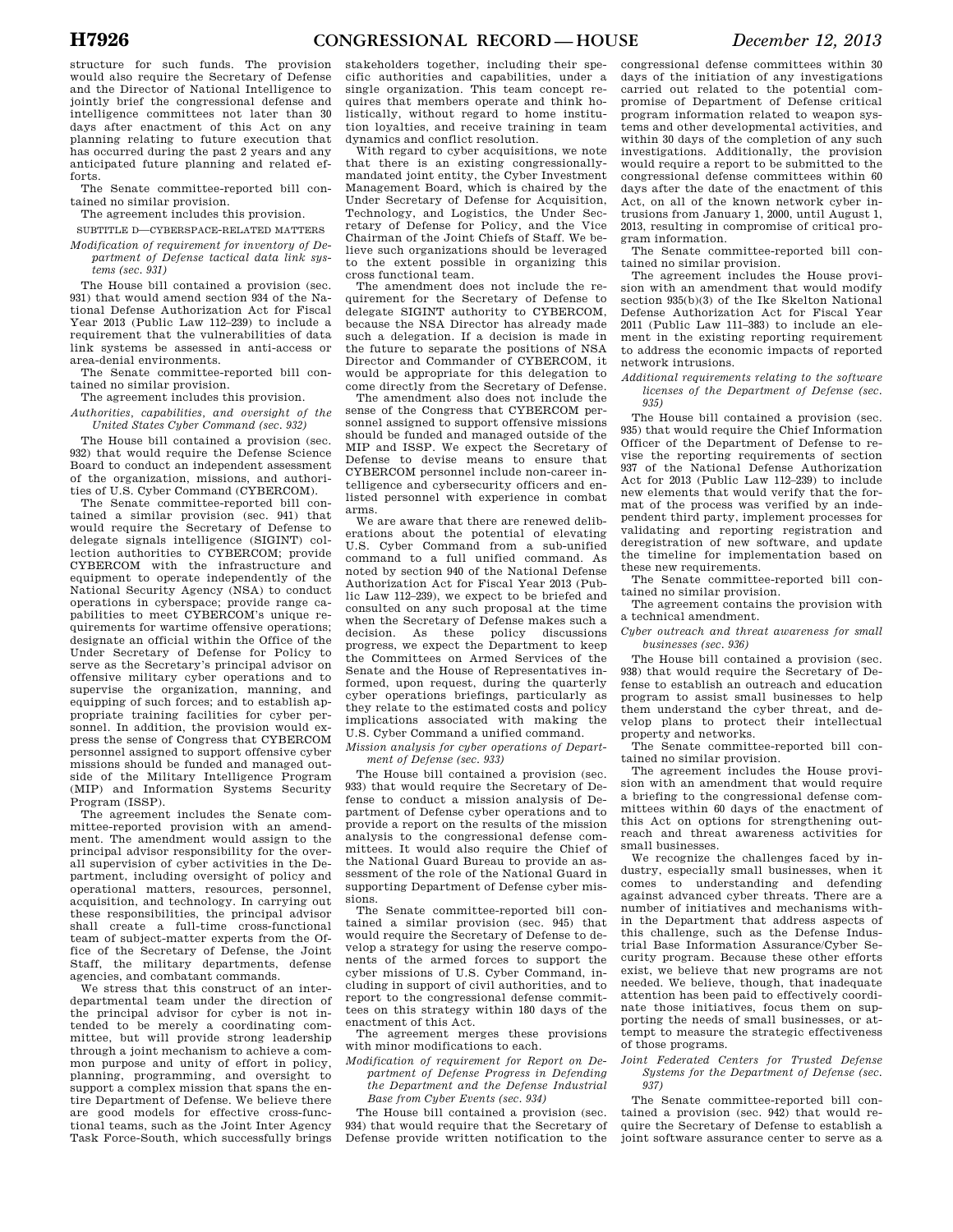structure for such funds. The provision would also require the Secretary of Defense and the Director of National Intelligence to jointly brief the congressional defense and intelligence committees not later than 30 days after enactment of this Act on any planning relating to future execution that has occurred during the past 2 years and any anticipated future planning and related efforts.

The Senate committee-reported bill contained no similar provision.

The agreement includes this provision.

SUBTITLE D—CYBERSPACE-RELATED MATTERS *Modification of requirement for inventory of De-*

*partment of Defense tactical data link systems (sec. 931)* 

The House bill contained a provision (sec. 931) that would amend section 934 of the National Defense Authorization Act for Fiscal Year 2013 (Public Law 112–239) to include a requirement that the vulnerabilities of data link systems be assessed in anti-access or area-denial environments.

The Senate committee-reported bill contained no similar provision.

The agreement includes this provision.

*Authorities, capabilities, and oversight of the United States Cyber Command (sec. 932)* 

The House bill contained a provision (sec. 932) that would require the Defense Science Board to conduct an independent assessment of the organization, missions, and authorities of U.S. Cyber Command (CYBERCOM).

The Senate committee-reported bill contained a similar provision (sec. 941) that would require the Secretary of Defense to delegate signals intelligence (SIGINT) collection authorities to CYBERCOM; provide CYBERCOM with the infrastructure and equipment to operate independently of the National Security Agency (NSA) to conduct operations in cyberspace; provide range capabilities to meet CYBERCOM's unique requirements for wartime offensive operations; designate an official within the Office of the Under Secretary of Defense for Policy to serve as the Secretary's principal advisor on offensive military cyber operations and to supervise the organization, manning, and equipping of such forces; and to establish appropriate training facilities for cyber personnel. In addition, the provision would express the sense of Congress that CYBERCOM personnel assigned to support offensive cyber missions should be funded and managed outside of the Military Intelligence Program (MIP) and Information Systems Security Program (ISSP).

The agreement includes the Senate committee-reported provision with an amendment. The amendment would assign to the principal advisor responsibility for the overall supervision of cyber activities in the Department, including oversight of policy and operational matters, resources, personnel, acquisition, and technology. In carrying out these responsibilities, the principal advisor shall create a full-time cross-functional team of subject-matter experts from the Office of the Secretary of Defense, the Joint Staff, the military departments, defense agencies, and combatant commands.

We stress that this construct of an interdepartmental team under the direction of the principal advisor for cyber is not intended to be merely a coordinating committee, but will provide strong leadership through a joint mechanism to achieve a common purpose and unity of effort in policy, planning, programming, and oversight to support a complex mission that spans the entire Department of Defense. We believe there are good models for effective cross-functional teams, such as the Joint Inter Agency Task Force-South, which successfully brings

stakeholders together, including their specific authorities and capabilities, under a single organization. This team concept requires that members operate and think holistically, without regard to home institution loyalties, and receive training in team dynamics and conflict resolution.

With regard to cyber acquisitions, we note that there is an existing congressionallymandated joint entity, the Cyber Investment Management Board, which is chaired by the Under Secretary of Defense for Acquisition, Technology, and Logistics, the Under Secretary of Defense for Policy, and the Vice Chairman of the Joint Chiefs of Staff. We believe such organizations should be leveraged to the extent possible in organizing this cross functional team.

The amendment does not include the requirement for the Secretary of Defense to delegate SIGINT authority to CYBERCOM, because the NSA Director has already made such a delegation. If a decision is made in the future to separate the positions of NSA Director and Commander of CYBERCOM, it would be appropriate for this delegation to come directly from the Secretary of Defense.

The amendment also does not include the sense of the Congress that CYBERCOM personnel assigned to support offensive missions should be funded and managed outside of the MIP and ISSP. We expect the Secretary of Defense to devise means to ensure that CYBERCOM personnel include non-career intelligence and cybersecurity officers and enlisted personnel with experience in combat arms.

We are aware that there are renewed deliberations about the potential of elevating U.S. Cyber Command from a sub-unified command to a full unified command. As noted by section 940 of the National Defense Authorization Act for Fiscal Year 2013 (Public Law 112–239), we expect to be briefed and consulted on any such proposal at the time when the Secretary of Defense makes such a decision. As these policy discussions decision. As these progress, we expect the Department to keep the Committees on Armed Services of the Senate and the House of Representatives informed, upon request, during the quarterly cyber operations briefings, particularly as they relate to the estimated costs and policy implications associated with making the U.S. Cyber Command a unified command.

*Mission analysis for cyber operations of Department of Defense (sec. 933)* 

The House bill contained a provision (sec. 933) that would require the Secretary of Defense to conduct a mission analysis of Department of Defense cyber operations and to provide a report on the results of the mission analysis to the congressional defense committees. It would also require the Chief of the National Guard Bureau to provide an assessment of the role of the National Guard in supporting Department of Defense cyber missions.

The Senate committee-reported bill contained a similar provision (sec. 945) that would require the Secretary of Defense to develop a strategy for using the reserve components of the armed forces to support the cyber missions of U.S. Cyber Command, including in support of civil authorities, and to report to the congressional defense committees on this strategy within 180 days of the enactment of this Act.

The agreement merges these provisions with minor modifications to each.

*Modification of requirement for Report on Department of Defense Progress in Defending the Department and the Defense Industrial Base from Cyber Events (sec. 934)* 

The House bill contained a provision (sec. 934) that would require that the Secretary of Defense provide written notification to the

congressional defense committees within 30 days of the initiation of any investigations carried out related to the potential compromise of Department of Defense critical program information related to weapon systems and other developmental activities, and within 30 days of the completion of any such investigations. Additionally, the provision would require a report to be submitted to the congressional defense committees within 60 days after the date of the enactment of this Act, on all of the known network cyber intrusions from January 1, 2000, until August 1, 2013, resulting in compromise of critical program information.

The Senate committee-reported bill contained no similar provision.

The agreement includes the House provision with an amendment that would modify section 935(b)(3) of the Ike Skelton National Defense Authorization Act for Fiscal Year 2011 (Public Law 111–383) to include an element in the existing reporting requirement to address the economic impacts of reported network intrusions.

*Additional requirements relating to the software licenses of the Department of Defense (sec. 935)* 

The House bill contained a provision (sec. 935) that would require the Chief Information Officer of the Department of Defense to revise the reporting requirements of section 937 of the National Defense Authorization Act for 2013 (Public Law 112–239) to include new elements that would verify that the format of the process was verified by an independent third party, implement processes for validating and reporting registration and deregistration of new software, and update the timeline for implementation based on these new requirements.

The Senate committee-reported bill contained no similar provision.

The agreement contains the provision with a technical amendment.

*Cyber outreach and threat awareness for small businesses (sec. 936)* 

The House bill contained a provision (sec. 938) that would require the Secretary of Defense to establish an outreach and education program to assist small businesses to help them understand the cyber threat, and develop plans to protect their intellectual property and networks.

The Senate committee-reported bill contained no similar provision.

The agreement includes the House provision with an amendment that would require a briefing to the congressional defense committees within 60 days of the enactment of this Act on options for strengthening outreach and threat awareness activities for small businesses.

We recognize the challenges faced by industry, especially small businesses, when it comes to understanding and defending against advanced cyber threats. There are a number of initiatives and mechanisms within the Department that address aspects of this challenge, such as the Defense Industrial Base Information Assurance/Cyber Security program. Because these other efforts exist, we believe that new programs are not needed. We believe, though, that inadequate attention has been paid to effectively coordinate those initiatives, focus them on supporting the needs of small businesses, or attempt to measure the strategic effectiveness of those programs.

*Joint Federated Centers for Trusted Defense Systems for the Department of Defense (sec. 937)* 

The Senate committee-reported bill contained a provision (sec. 942) that would require the Secretary of Defense to establish a joint software assurance center to serve as a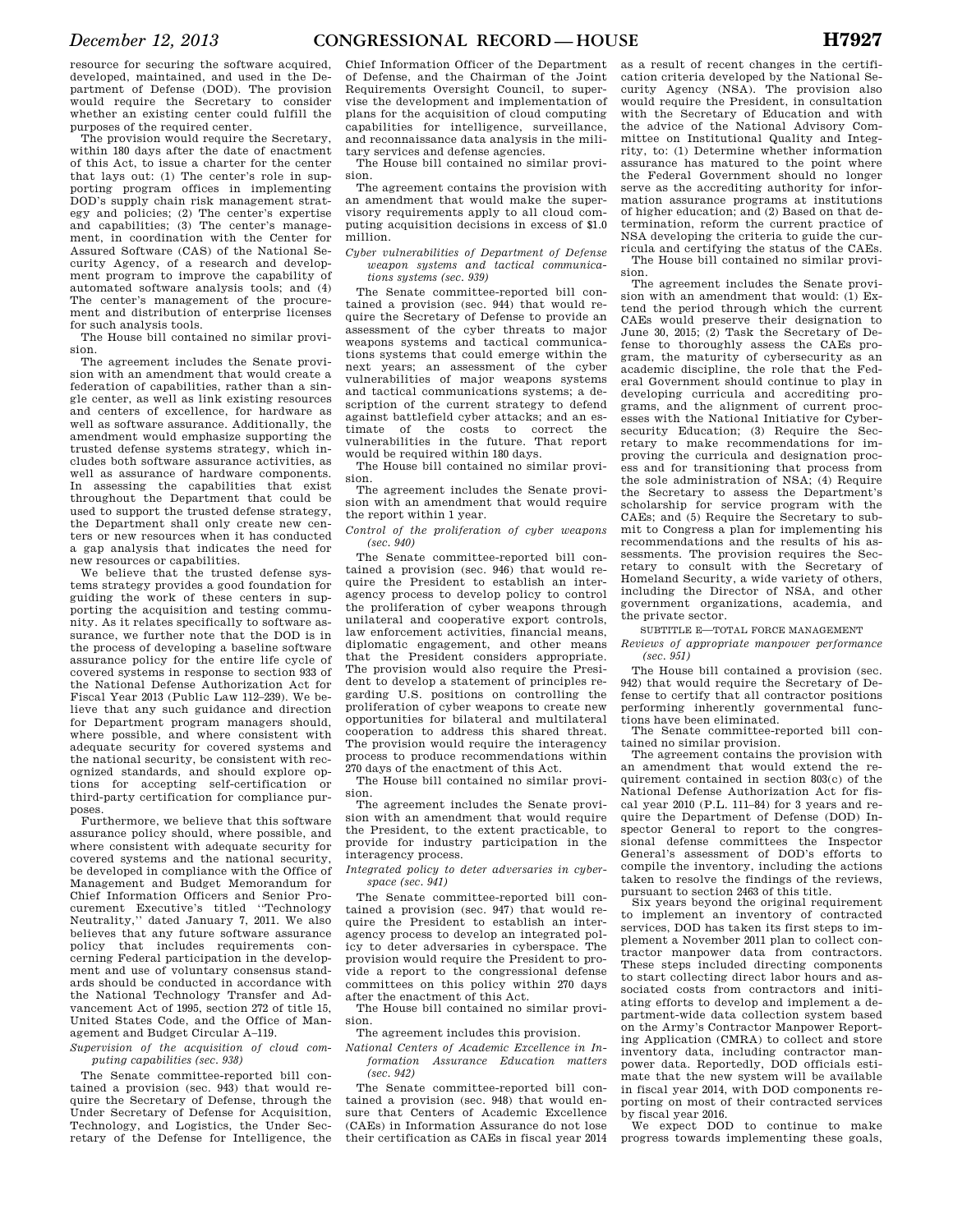resource for securing the software acquired, developed, maintained, and used in the Department of Defense (DOD). The provision would require the Secretary to consider whether an existing center could fulfill the purposes of the required center.

The provision would require the Secretary, within 180 days after the date of enactment of this Act, to issue a charter for the center that lays out: (1) The center's role in supporting program offices in implementing DOD's supply chain risk management strategy and policies; (2) The center's expertise and capabilities; (3) The center's management, in coordination with the Center for Assured Software (CAS) of the National Security Agency, of a research and development program to improve the capability of automated software analysis tools; and (4) The center's management of the procurement and distribution of enterprise licenses for such analysis tools.

The House bill contained no similar provision.

The agreement includes the Senate provision with an amendment that would create a federation of capabilities, rather than a single center, as well as link existing resources and centers of excellence, for hardware as well as software assurance. Additionally, the amendment would emphasize supporting the trusted defense systems strategy, which includes both software assurance activities, as well as assurance of hardware components. In assessing the capabilities that exist throughout the Department that could be used to support the trusted defense strategy. the Department shall only create new centers or new resources when it has conducted a gap analysis that indicates the need for new resources or capabilities.

We believe that the trusted defense systems strategy provides a good foundation for guiding the work of these centers in supporting the acquisition and testing community. As it relates specifically to software assurance, we further note that the DOD is in the process of developing a baseline software assurance policy for the entire life cycle of covered systems in response to section 933 of the National Defense Authorization Act for Fiscal Year 2013 (Public Law 112–239). We believe that any such guidance and direction for Department program managers should, where possible, and where consistent with adequate security for covered systems and the national security, be consistent with recognized standards, and should explore options for accepting self-certification or third-party certification for compliance purposes.

Furthermore, we believe that this software assurance policy should, where possible, and where consistent with adequate security for covered systems and the national security, be developed in compliance with the Office of Management and Budget Memorandum for Chief Information Officers and Senior Procurement Executive's titled ''Technology Neutrality,'' dated January 7, 2011. We also believes that any future software assurance policy that includes requirements concerning Federal participation in the development and use of voluntary consensus standards should be conducted in accordance with the National Technology Transfer and Advancement Act of 1995, section 272 of title 15, United States Code, and the Office of Management and Budget Circular A–119.

*Supervision of the acquisition of cloud computing capabilities (sec. 938)* 

The Senate committee-reported bill contained a provision (sec. 943) that would require the Secretary of Defense, through the Under Secretary of Defense for Acquisition, Technology, and Logistics, the Under Secretary of the Defense for Intelligence, the

Chief Information Officer of the Department of Defense, and the Chairman of the Joint Requirements Oversight Council, to supervise the development and implementation of plans for the acquisition of cloud computing capabilities for intelligence, surveillance, and reconnaissance data analysis in the military services and defense agencies.

The House bill contained no similar provision.

The agreement contains the provision with an amendment that would make the supervisory requirements apply to all cloud computing acquisition decisions in excess of \$1.0 million.

*Cyber vulnerabilities of Department of Defense weapon systems and tactical communications systems (sec. 939)* 

The Senate committee-reported bill contained a provision (sec. 944) that would require the Secretary of Defense to provide an assessment of the cyber threats to major weapons systems and tactical communications systems that could emerge within the next years; an assessment of the cyber vulnerabilities of major weapons systems and tactical communications systems; a description of the current strategy to defend against battlefield cyber attacks; and an estimate of the costs to correct the vulnerabilities in the future. That report would be required within 180 days.

The House bill contained no similar provision.

The agreement includes the Senate provision with an amendment that would require the report within 1 year.

*Control of the proliferation of cyber weapons (sec. 940)* 

The Senate committee-reported bill contained a provision (sec. 946) that would require the President to establish an interagency process to develop policy to control the proliferation of cyber weapons through unilateral and cooperative export controls, law enforcement activities, financial means, diplomatic engagement, and other means that the President considers appropriate. The provision would also require the President to develop a statement of principles regarding U.S. positions on controlling the proliferation of cyber weapons to create new opportunities for bilateral and multilateral cooperation to address this shared threat. The provision would require the interagency process to produce recommendations within 270 days of the enactment of this Act.

The House bill contained no similar provision.

The agreement includes the Senate provision with an amendment that would require the President, to the extent practicable, to provide for industry participation in the interagency process.

*Integrated policy to deter adversaries in cyberspace (sec. 941)* 

The Senate committee-reported bill contained a provision (sec. 947) that would require the President to establish an interagency process to develop an integrated policy to deter adversaries in cyberspace. The provision would require the President to provide a report to the congressional defense committees on this policy within 270 days after the enactment of this Act.

The House bill contained no similar provision.

The agreement includes this provision.

*National Centers of Academic Excellence in Information Assurance Education matters (sec. 942)* 

The Senate committee-reported bill contained a provision (sec. 948) that would ensure that Centers of Academic Excellence (CAEs) in Information Assurance do not lose their certification as CAEs in fiscal year 2014

as a result of recent changes in the certification criteria developed by the National Security Agency (NSA). The provision also would require the President, in consultation with the Secretary of Education and with the advice of the National Advisory Committee on Institutional Quality and Integrity, to: (1) Determine whether information assurance has matured to the point where the Federal Government should no longer serve as the accrediting authority for information assurance programs at institutions of higher education; and (2) Based on that determination, reform the current practice of NSA developing the criteria to guide the curricula and certifying the status of the CAEs. The House bill contained no similar provi-

sion. The agreement includes the Senate provision with an amendment that would: (1) Extend the period through which the current CAEs would preserve their designation to June 30, 2015; (2) Task the Secretary of Defense to thoroughly assess the CAEs program, the maturity of cybersecurity as an academic discipline, the role that the Federal Government should continue to play in developing curricula and accrediting programs, and the alignment of current processes with the National Initiative for Cybersecurity Education; (3) Require the Secretary to make recommendations for improving the curricula and designation process and for transitioning that process from the sole administration of NSA; (4) Require the Secretary to assess the Department's scholarship for service program with the CAEs; and (5) Require the Secretary to submit to Congress a plan for implementing his recommendations and the results of his assessments. The provision requires the Secretary to consult with the Secretary of Homeland Security, a wide variety of others, including the Director of NSA, and other government organizations, academia, and the private sector.

SUBTITLE E-TOTAL FORCE MANAGEMENT

*Reviews of appropriate manpower performance (sec. 951)* 

The House bill contained a provision (sec. 942) that would require the Secretary of Defense to certify that all contractor positions performing inherently governmental functions have been eliminated.

The Senate committee-reported bill contained no similar provision.

The agreement contains the provision with an amendment that would extend the requirement contained in section 803(c) of the National Defense Authorization Act for fiscal year 2010 (P.L. 111–84) for 3 years and require the Department of Defense (DOD) Inspector General to report to the congressional defense committees the Inspector General's assessment of DOD's efforts to compile the inventory, including the actions taken to resolve the findings of the reviews, pursuant to section 2463 of this title.

Six years beyond the original requirement to implement an inventory of contracted services, DOD has taken its first steps to implement a November 2011 plan to collect contractor manpower data from contractors. These steps included directing components to start collecting direct labor hours and associated costs from contractors and initiating efforts to develop and implement a department-wide data collection system based on the Army's Contractor Manpower Reporting Application (CMRA) to collect and store inventory data, including contractor manpower data. Reportedly, DOD officials estimate that the new system will be available in fiscal year 2014, with DOD components reporting on most of their contracted services by fiscal year 2016.

We expect DOD to continue to make progress towards implementing these goals,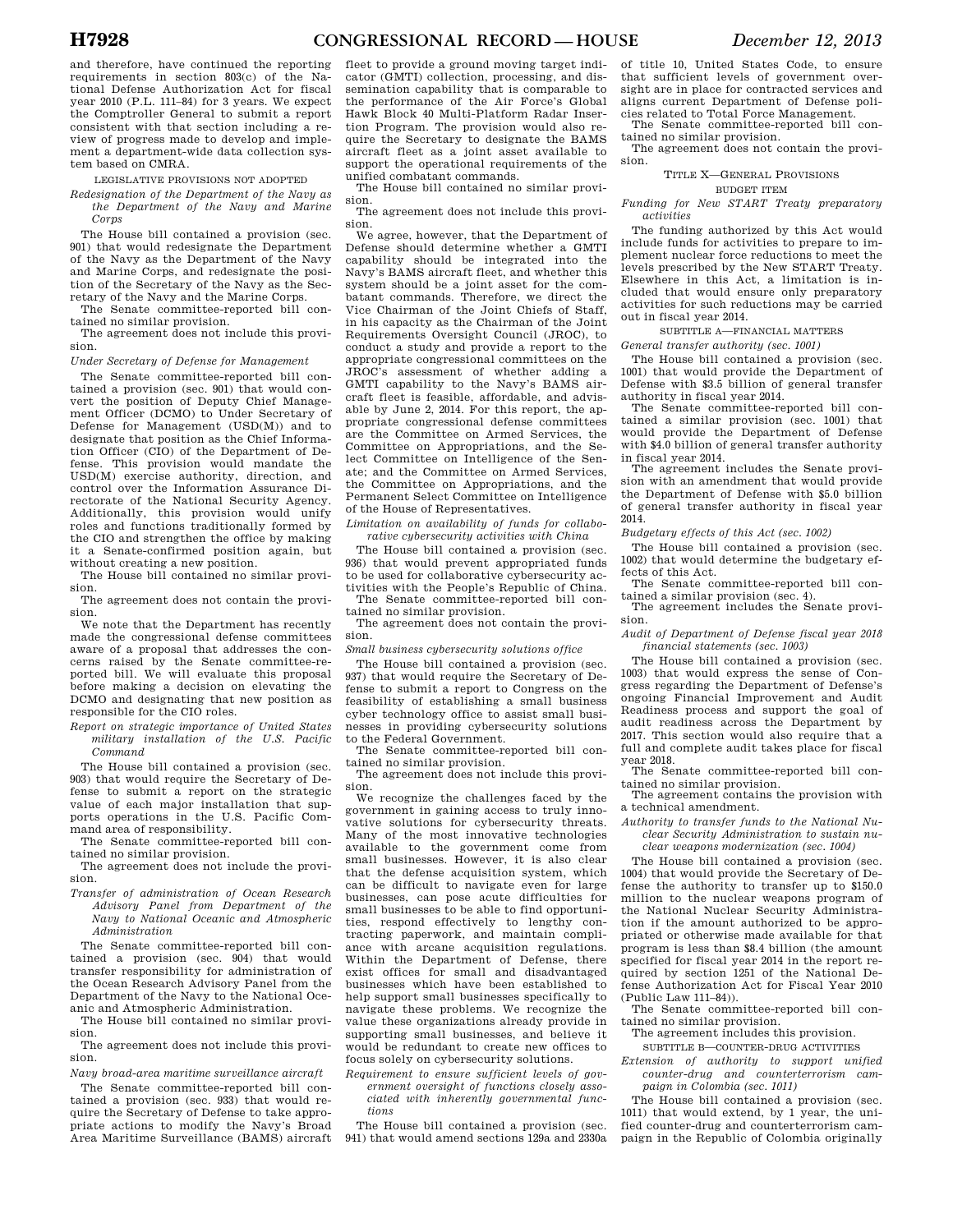and therefore, have continued the reporting requirements in section 803(c) of the National Defense Authorization Act for fiscal year 2010 (P.L. 111–84) for 3 years. We expect the Comptroller General to submit a report consistent with that section including a review of progress made to develop and implement a department-wide data collection system based on CMRA.

LEGISLATIVE PROVISIONS NOT ADOPTED

*Redesignation of the Department of the Navy as the Department of the Navy and Marine Corps* 

The House bill contained a provision (sec. 901) that would redesignate the Department of the Navy as the Department of the Navy and Marine Corps, and redesignate the position of the Secretary of the Navy as the Secretary of the Navy and the Marine Corps.

The Senate committee-reported bill contained no similar provision.

The agreement does not include this provision.

*Under Secretary of Defense for Management* 

The Senate committee-reported bill contained a provision (sec. 901) that would convert the position of Deputy Chief Management Officer (DCMO) to Under Secretary of Defense for Management (USD(M)) and to designate that position as the Chief Information Officer (CIO) of the Department of Defense. This provision would mandate the USD(M) exercise authority, direction, and control over the Information Assurance Directorate of the National Security Agency. Additionally, this provision would unify roles and functions traditionally formed by the CIO and strengthen the office by making it a Senate-confirmed position again, but without creating a new position.

The House bill contained no similar provision.

The agreement does not contain the provision.

We note that the Department has recently made the congressional defense committees aware of a proposal that addresses the concerns raised by the Senate committee-reported bill. We will evaluate this proposal before making a decision on elevating the DCMO and designating that new position as responsible for the CIO roles.

*Report on strategic importance of United States military installation of the U.S. Pacific Command* 

The House bill contained a provision (sec. 903) that would require the Secretary of Defense to submit a report on the strategic value of each major installation that supports operations in the U.S. Pacific Command area of responsibility.

The Senate committee-reported bill contained no similar provision.

The agreement does not include the provision.

*Transfer of administration of Ocean Research Advisory Panel from Department of the Navy to National Oceanic and Atmospheric Administration* 

The Senate committee-reported bill contained a provision (sec. 904) that would transfer responsibility for administration of the Ocean Research Advisory Panel from the Department of the Navy to the National Oceanic and Atmospheric Administration.

The House bill contained no similar provision.

The agreement does not include this provision.

*Navy broad-area maritime surveillance aircraft* 

The Senate committee-reported bill contained a provision (sec. 933) that would require the Secretary of Defense to take appropriate actions to modify the Navy's Broad Area Maritime Surveillance (BAMS) aircraft

fleet to provide a ground moving target indicator (GMTI) collection, processing, and dissemination capability that is comparable to the performance of the Air Force's Global Hawk Block 40 Multi-Platform Radar Insertion Program. The provision would also require the Secretary to designate the BAMS aircraft fleet as a joint asset available to support the operational requirements of the unified combatant commands.

The House bill contained no similar provision.

The agreement does not include this provision.

We agree, however, that the Department of Defense should determine whether a GMTI capability should be integrated into the Navy's BAMS aircraft fleet, and whether this system should be a joint asset for the combatant commands. Therefore, we direct the Vice Chairman of the Joint Chiefs of Staff, in his capacity as the Chairman of the Joint Requirements Oversight Council (JROC), to conduct a study and provide a report to the appropriate congressional committees on the JROC's assessment of whether adding a GMTI capability to the Navy's BAMS aircraft fleet is feasible, affordable, and advisable by June 2, 2014. For this report, the appropriate congressional defense committees are the Committee on Armed Services, the Committee on Appropriations, and the Select Committee on Intelligence of the Senate; and the Committee on Armed Services, the Committee on Appropriations, and the Permanent Select Committee on Intelligence of the House of Representatives.

*Limitation on availability of funds for collabo-*

*rative cybersecurity activities with China*  The House bill contained a provision (sec. 936) that would prevent appropriated funds to be used for collaborative cybersecurity activities with the People's Republic of China. The Senate committee-reported bill con-

tained no similar provision. The agreement does not contain the provi-

sion.

*Small business cybersecurity solutions office* 

The House bill contained a provision (sec. 937) that would require the Secretary of Defense to submit a report to Congress on the feasibility of establishing a small business cyber technology office to assist small businesses in providing cybersecurity solutions to the Federal Government.

The Senate committee-reported bill contained no similar provision.

The agreement does not include this provision.

We recognize the challenges faced by the government in gaining access to truly innovative solutions for cybersecurity threats. Many of the most innovative technologies available to the government come from small businesses. However, it is also clear that the defense acquisition system, which can be difficult to navigate even for large businesses, can pose acute difficulties for small businesses to be able to find opportunities, respond effectively to lengthy contracting paperwork, and maintain compliance with arcane acquisition regulations. Within the Department of Defense, there exist offices for small and disadvantaged businesses which have been established to help support small businesses specifically to navigate these problems. We recognize the value these organizations already provide in supporting small businesses, and believe it would be redundant to create new offices to focus solely on cybersecurity solutions.

*Requirement to ensure sufficient levels of government oversight of functions closely associated with inherently governmental functions* 

The House bill contained a provision (sec. 941) that would amend sections 129a and 2330a

of title 10, United States Code, to ensure that sufficient levels of government oversight are in place for contracted services and aligns current Department of Defense policies related to Total Force Management.

The Senate committee-reported bill contained no similar provision.

The agreement does not contain the provision.

TITLE X—GENERAL PROVISIONS

BUDGET ITEM

*Funding for New START Treaty preparatory activities* 

The funding authorized by this Act would include funds for activities to prepare to implement nuclear force reductions to meet the levels prescribed by the New START Treaty. Elsewhere in this Act, a limitation is included that would ensure only preparatory activities for such reductions may be carried out in fiscal year 2014.

SUBTITLE A—FINANCIAL MATTERS

*General transfer authority (sec. 1001)* 

The House bill contained a provision (sec. 1001) that would provide the Department of Defense with \$3.5 billion of general transfer authority in fiscal year 2014.

The Senate committee-reported bill contained a similar provision (sec. 1001) that would provide the Department of Defense with \$4.0 billion of general transfer authority in fiscal year 2014.

The agreement includes the Senate provision with an amendment that would provide the Department of Defense with \$5.0 billion of general transfer authority in fiscal year 2014.

*Budgetary effects of this Act (sec. 1002)* 

The House bill contained a provision (sec. 1002) that would determine the budgetary effects of this Act.

The Senate committee-reported bill contained a similar provision (sec. 4).

The agreement includes the Senate provision.

*Audit of Department of Defense fiscal year 2018 financial statements (sec. 1003)* 

The House bill contained a provision (sec. 1003) that would express the sense of Congress regarding the Department of Defense's ongoing Financial Improvement and Audit Readiness process and support the goal of audit readiness across the Department by 2017. This section would also require that a full and complete audit takes place for fiscal year 2018.

The Senate committee-reported bill contained no similar provision.

The agreement contains the provision with a technical amendment.

*Authority to transfer funds to the National Nuclear Security Administration to sustain nu-*

*clear weapons modernization (sec. 1004)* 

The House bill contained a provision (sec. 1004) that would provide the Secretary of Defense the authority to transfer up to \$150.0 million to the nuclear weapons program of the National Nuclear Security Administration if the amount authorized to be appropriated or otherwise made available for that program is less than \$8.4 billion (the amount specified for fiscal year 2014 in the report required by section 1251 of the National Defense Authorization Act for Fiscal Year 2010 (Public Law 111–84)).

The Senate committee-reported bill contained no similar provision.

The agreement includes this provision.

SUBTITLE B—COUNTER-DRUG ACTIVITIES

*Extension of authority to support unified counter-drug and counterterrorism campaign in Colombia (sec. 1011)* 

The House bill contained a provision (sec. 1011) that would extend, by 1 year, the unified counter-drug and counterterrorism campaign in the Republic of Colombia originally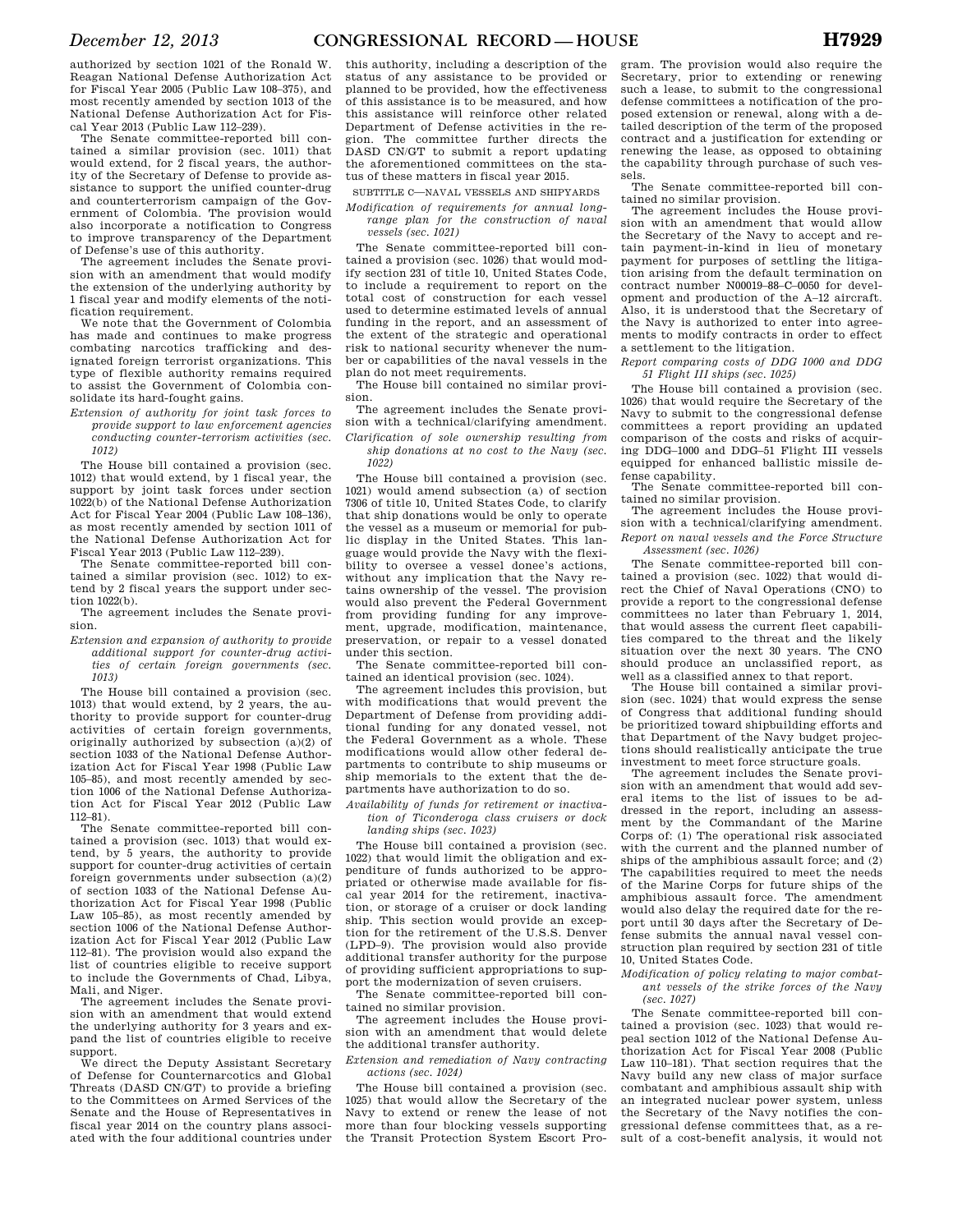authorized by section 1021 of the Ronald W. Reagan National Defense Authorization Act for Fiscal Year 2005 (Public Law 108–375), and most recently amended by section 1013 of the National Defense Authorization Act for Fiscal Year 2013 (Public Law 112–239).

The Senate committee-reported bill contained a similar provision (sec. 1011) that would extend, for 2 fiscal years, the authority of the Secretary of Defense to provide assistance to support the unified counter-drug and counterterrorism campaign of the Government of Colombia. The provision would also incorporate a notification to Congress to improve transparency of the Department of Defense's use of this authority.

The agreement includes the Senate provision with an amendment that would modify the extension of the underlying authority by 1 fiscal year and modify elements of the notification requirement.

We note that the Government of Colombia has made and continues to make progress combating narcotics trafficking and designated foreign terrorist organizations. This type of flexible authority remains required to assist the Government of Colombia consolidate its hard-fought gains.

*Extension of authority for joint task forces to provide support to law enforcement agencies conducting counter-terrorism activities (sec. 1012)* 

The House bill contained a provision (sec. 1012) that would extend, by 1 fiscal year, the support by joint task forces under section 1022(b) of the National Defense Authorization Act for Fiscal Year 2004 (Public Law 108–136), as most recently amended by section 1011 of the National Defense Authorization Act for Fiscal Year 2013 (Public Law 112–239).

The Senate committee-reported bill contained a similar provision (sec. 1012) to extend by 2 fiscal years the support under section 1022(b).

The agreement includes the Senate provision.

*Extension and expansion of authority to provide additional support for counter-drug activities of certain foreign governments (sec. 1013)* 

The House bill contained a provision (sec. 1013) that would extend, by 2 years, the authority to provide support for counter-drug activities of certain foreign governments, originally authorized by subsection (a)(2) of section 1033 of the National Defense Authorization Act for Fiscal Year 1998 (Public Law 105–85), and most recently amended by section 1006 of the National Defense Authorization Act for Fiscal Year 2012 (Public Law 112–81).

The Senate committee-reported bill contained a provision (sec. 1013) that would extend, by 5 years, the authority to provide support for counter-drug activities of certain foreign governments under subsection (a)(2) of section 1033 of the National Defense Authorization Act for Fiscal Year 1998 (Public Law 105–85), as most recently amended by section 1006 of the National Defense Authorization Act for Fiscal Year 2012 (Public Law 112–81). The provision would also expand the list of countries eligible to receive support to include the Governments of Chad, Libya, Mali, and Niger.

The agreement includes the Senate provision with an amendment that would extend the underlying authority for 3 years and expand the list of countries eligible to receive support.

We direct the Deputy Assistant Secretary of Defense for Counternarcotics and Global Threats (DASD CN/GT) to provide a briefing to the Committees on Armed Services of the Senate and the House of Representatives in fiscal year 2014 on the country plans associated with the four additional countries under

this authority, including a description of the status of any assistance to be provided or planned to be provided, how the effectiveness of this assistance is to be measured, and how this assistance will reinforce other related Department of Defense activities in the region. The committee further directs the DASD CN/GT to submit a report updating the aforementioned committees on the status of these matters in fiscal year 2015.

SUBTITLE C—NAVAL VESSELS AND SHIPYARDS

*Modification of requirements for annual longrange plan for the construction of naval vessels (sec. 1021)* 

The Senate committee-reported bill contained a provision (sec. 1026) that would modify section 231 of title 10, United States Code, to include a requirement to report on the total cost of construction for each vessel used to determine estimated levels of annual funding in the report, and an assessment of the extent of the strategic and operational risk to national security whenever the number or capabilities of the naval vessels in the plan do not meet requirements.

The House bill contained no similar provision.

The agreement includes the Senate provision with a technical/clarifying amendment. *Clarification of sole ownership resulting from* 

*ship donations at no cost to the Navy (sec. 1022)* 

The House bill contained a provision (sec. 1021) would amend subsection (a) of section 7306 of title 10, United States Code, to clarify that ship donations would be only to operate the vessel as a museum or memorial for public display in the United States. This language would provide the Navy with the flexibility to oversee a vessel donee's actions, without any implication that the Navy retains ownership of the vessel. The provision would also prevent the Federal Government from providing funding for any improvement, upgrade, modification, maintenance, preservation, or repair to a vessel donated under this section.

The Senate committee-reported bill contained an identical provision (sec. 1024).

The agreement includes this provision, but with modifications that would prevent the Department of Defense from providing additional funding for any donated vessel, not the Federal Government as a whole. These modifications would allow other federal departments to contribute to ship museums or ship memorials to the extent that the departments have authorization to do so.

*Availability of funds for retirement or inactivation of Ticonderoga class cruisers or dock landing ships (sec. 1023)* 

The House bill contained a provision (sec. 1022) that would limit the obligation and expenditure of funds authorized to be appropriated or otherwise made available for fiscal year 2014 for the retirement, inactivation, or storage of a cruiser or dock landing ship. This section would provide an exception for the retirement of the U.S.S. Denver (LPD–9). The provision would also provide additional transfer authority for the purpose of providing sufficient appropriations to support the modernization of seven cruisers.

The Senate committee-reported bill contained no similar provision.

The agreement includes the House provision with an amendment that would delete the additional transfer authority.

*Extension and remediation of Navy contracting actions (sec. 1024)* 

The House bill contained a provision (sec. 1025) that would allow the Secretary of the Navy to extend or renew the lease of not more than four blocking vessels supporting the Transit Protection System Escort Pro-

gram. The provision would also require the Secretary, prior to extending or renewing such a lease, to submit to the congressional defense committees a notification of the proposed extension or renewal, along with a detailed description of the term of the proposed contract and a justification for extending or renewing the lease, as opposed to obtaining the capability through purchase of such vessels.

The Senate committee-reported bill contained no similar provision.

The agreement includes the House provision with an amendment that would allow the Secretary of the Navy to accept and retain payment-in-kind in lieu of monetary payment for purposes of settling the litigation arising from the default termination on contract number N00019–88–C–0050 for development and production of the A–12 aircraft. Also, it is understood that the Secretary of the Navy is authorized to enter into agreements to modify contracts in order to effect a settlement to the litigation.

*Report comparing costs of DDG 1000 and DDG 51 Flight III ships (sec. 1025)* 

The House bill contained a provision (sec. 1026) that would require the Secretary of the Navy to submit to the congressional defense committees a report providing an updated comparison of the costs and risks of acquiring DDG–1000 and DDG–51 Flight III vessels equipped for enhanced ballistic missile defense capability.

The Senate committee-reported bill contained no similar provision.

The agreement includes the House provision with a technical/clarifying amendment. *Report on naval vessels and the Force Structure Assessment (sec. 1026)* 

The Senate committee-reported bill contained a provision (sec. 1022) that would direct the Chief of Naval Operations (CNO) to provide a report to the congressional defense committees no later than February 1, 2014, that would assess the current fleet capabilities compared to the threat and the likely situation over the next 30 years. The CNO should produce an unclassified report, as well as a classified annex to that report.

The House bill contained a similar provision (sec. 1024) that would express the sense of Congress that additional funding should be prioritized toward shipbuilding efforts and that Department of the Navy budget projections should realistically anticipate the true investment to meet force structure goals.

The agreement includes the Senate provision with an amendment that would add several items to the list of issues to be addressed in the report, including an assessment by the Commandant of the Marine Corps of: (1) The operational risk associated with the current and the planned number of ships of the amphibious assault force; and (2) The capabilities required to meet the needs of the Marine Corps for future ships of the amphibious assault force. The amendment would also delay the required date for the report until 30 days after the Secretary of Defense submits the annual naval vessel construction plan required by section 231 of title 10, United States Code.

*Modification of policy relating to major combatant vessels of the strike forces of the Navy (sec. 1027)* 

The Senate committee-reported bill contained a provision (sec. 1023) that would repeal section 1012 of the National Defense Authorization Act for Fiscal Year 2008 (Public Law 110–181). That section requires that the Navy build any new class of major surface combatant and amphibious assault ship with an integrated nuclear power system, unless the Secretary of the Navy notifies the congressional defense committees that, as a result of a cost-benefit analysis, it would not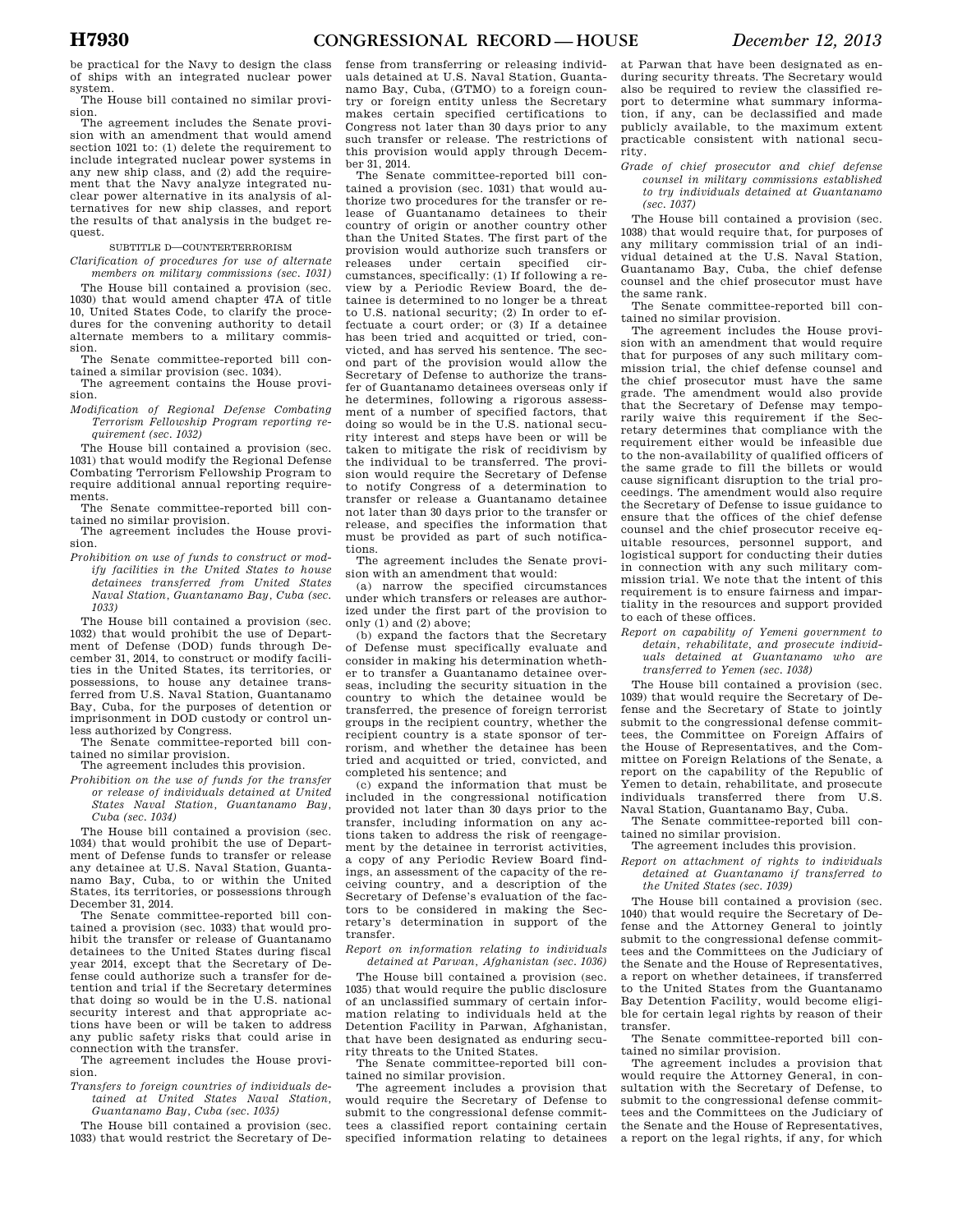be practical for the Navy to design the class of ships with an integrated nuclear power system.

The House bill contained no similar provision.

The agreement includes the Senate provision with an amendment that would amend section 1021 to: (1) delete the requirement to include integrated nuclear power systems in any new ship class, and (2) add the requirement that the Navy analyze integrated nuclear power alternative in its analysis of alternatives for new ship classes, and report the results of that analysis in the budget request.

SUBTITLE D—COUNTERTERRORISM

*Clarification of procedures for use of alternate members on military commissions (sec. 1031)* 

The House bill contained a provision (sec. 1030) that would amend chapter 47A of title 10, United States Code, to clarify the procedures for the convening authority to detail alternate members to a military commission.

The Senate committee-reported bill contained a similar provision (sec. 1034).

The agreement contains the House provision.

*Modification of Regional Defense Combating Terrorism Fellowship Program reporting requirement (sec. 1032)* 

The House bill contained a provision (sec. 1031) that would modify the Regional Defense Combating Terrorism Fellowship Program to require additional annual reporting requirements.

The Senate committee-reported bill contained no similar provision.

The agreement includes the House provision.

*Prohibition on use of funds to construct or modify facilities in the United States to house detainees transferred from United States Naval Station, Guantanamo Bay, Cuba (sec. 1033)* 

The House bill contained a provision (sec. 1032) that would prohibit the use of Department of Defense (DOD) funds through December 31, 2014, to construct or modify facilities in the United States, its territories, or possessions, to house any detainee transferred from U.S. Naval Station, Guantanamo Bay, Cuba, for the purposes of detention or imprisonment in DOD custody or control unless authorized by Congress.

The Senate committee-reported bill contained no similar provision.

The agreement includes this provision.

*Prohibition on the use of funds for the transfer or release of individuals detained at United States Naval Station, Guantanamo Bay, Cuba (sec. 1034)* 

The House bill contained a provision (sec. 1034) that would prohibit the use of Department of Defense funds to transfer or release any detainee at U.S. Naval Station, Guantanamo Bay, Cuba, to or within the United States, its territories, or possessions through December 31, 2014.

The Senate committee-reported bill contained a provision (sec. 1033) that would prohibit the transfer or release of Guantanamo detainees to the United States during fiscal year 2014, except that the Secretary of Defense could authorize such a transfer for detention and trial if the Secretary determines that doing so would be in the U.S. national security interest and that appropriate actions have been or will be taken to address any public safety risks that could arise in connection with the transfer.

The agreement includes the House provision.

*Transfers to foreign countries of individuals detained at United States Naval Station, Guantanamo Bay, Cuba (sec. 1035)* 

The House bill contained a provision (sec. 1033) that would restrict the Secretary of Defense from transferring or releasing individuals detained at U.S. Naval Station, Guantanamo Bay, Cuba, (GTMO) to a foreign country or foreign entity unless the Secretary makes certain specified certifications to Congress not later than 30 days prior to any such transfer or release. The restrictions of this provision would apply through December 31, 2014.

The Senate committee-reported bill contained a provision (sec. 1031) that would authorize two procedures for the transfer or release of Guantanamo detainees to their country of origin or another country other than the United States. The first part of the provision would authorize such transfers or releases under certain specified circumstances, specifically: (1) If following a review by a Periodic Review Board, the detainee is determined to no longer be a threat to U.S. national security; (2) In order to effectuate a court order; or (3) If a detainee has been tried and acquitted or tried, convicted, and has served his sentence. The second part of the provision would allow the Secretary of Defense to authorize the transfer of Guantanamo detainees overseas only if he determines, following a rigorous assessment of a number of specified factors, that doing so would be in the U.S. national security interest and steps have been or will be taken to mitigate the risk of recidivism by the individual to be transferred. The provision would require the Secretary of Defense to notify Congress of a determination to transfer or release a Guantanamo detainee not later than 30 days prior to the transfer or release, and specifies the information that must be provided as part of such notifications.

The agreement includes the Senate provision with an amendment that would:

(a) narrow the specified circumstances under which transfers or releases are authorized under the first part of the provision to only (1) and (2) above;

(b) expand the factors that the Secretary of Defense must specifically evaluate and consider in making his determination whether to transfer a Guantanamo detainee overseas, including the security situation in the country to which the detainee would be transferred, the presence of foreign terrorist groups in the recipient country, whether the recipient country is a state sponsor of terrorism, and whether the detainee has been tried and acquitted or tried, convicted, and completed his sentence; and

(c) expand the information that must be included in the congressional notification provided not later than 30 days prior to the transfer, including information on any actions taken to address the risk of reengagement by the detainee in terrorist activities, a copy of any Periodic Review Board findings, an assessment of the capacity of the receiving country, and a description of the Secretary of Defense's evaluation of the factors to be considered in making the Secretary's determination in support of the transfer.

*Report on information relating to individuals detained at Parwan, Afghanistan (sec. 1036)* 

The House bill contained a provision (sec. 1035) that would require the public disclosure of an unclassified summary of certain information relating to individuals held at the Detention Facility in Parwan, Afghanistan, that have been designated as enduring security threats to the United States.

The Senate committee-reported bill contained no similar provision.

The agreement includes a provision that would require the Secretary of Defense to submit to the congressional defense committees a classified report containing certain specified information relating to detainees

at Parwan that have been designated as enduring security threats. The Secretary would also be required to review the classified report to determine what summary information, if any, can be declassified and made publicly available, to the maximum extent practicable consistent with national security.

*Grade of chief prosecutor and chief defense counsel in military commissions established to try individuals detained at Guantanamo (sec. 1037)* 

The House bill contained a provision (sec. 1038) that would require that, for purposes of any military commission trial of an individual detained at the U.S. Naval Station, Guantanamo Bay, Cuba, the chief defense counsel and the chief prosecutor must have the same rank.

The Senate committee-reported bill contained no similar provision.

The agreement includes the House provision with an amendment that would require that for purposes of any such military commission trial, the chief defense counsel and the chief prosecutor must have the same grade. The amendment would also provide that the Secretary of Defense may temporarily waive this requirement if the Secretary determines that compliance with the requirement either would be infeasible due to the non-availability of qualified officers of the same grade to fill the billets or would cause significant disruption to the trial proceedings. The amendment would also require the Secretary of Defense to issue guidance to ensure that the offices of the chief defense counsel and the chief prosecutor receive equitable resources, personnel support, and logistical support for conducting their duties in connection with any such military commission trial. We note that the intent of this requirement is to ensure fairness and impartiality in the resources and support provided to each of these offices.

*Report on capability of Yemeni government to detain, rehabilitate, and prosecute individuals detained at Guantanamo who are transferred to Yemen (sec. 1038)* 

The House bill contained a provision (sec. 1039) that would require the Secretary of Defense and the Secretary of State to jointly submit to the congressional defense committees, the Committee on Foreign Affairs of the House of Representatives, and the Committee on Foreign Relations of the Senate, a report on the capability of the Republic of Yemen to detain, rehabilitate, and prosecute individuals transferred there from Naval Station, Guantanamo Bay, Cuba.

The Senate committee-reported bill contained no similar provision.

### The agreement includes this provision.

*Report on attachment of rights to individuals detained at Guantanamo if transferred to the United States (sec. 1039)* 

The House bill contained a provision (sec. 1040) that would require the Secretary of Defense and the Attorney General to jointly submit to the congressional defense committees and the Committees on the Judiciary of the Senate and the House of Representatives, a report on whether detainees, if transferred to the United States from the Guantanamo Bay Detention Facility, would become eligible for certain legal rights by reason of their transfer.

The Senate committee-reported bill contained no similar provision.

The agreement includes a provision that would require the Attorney General, in consultation with the Secretary of Defense, to submit to the congressional defense committees and the Committees on the Judiciary of the Senate and the House of Representatives, a report on the legal rights, if any, for which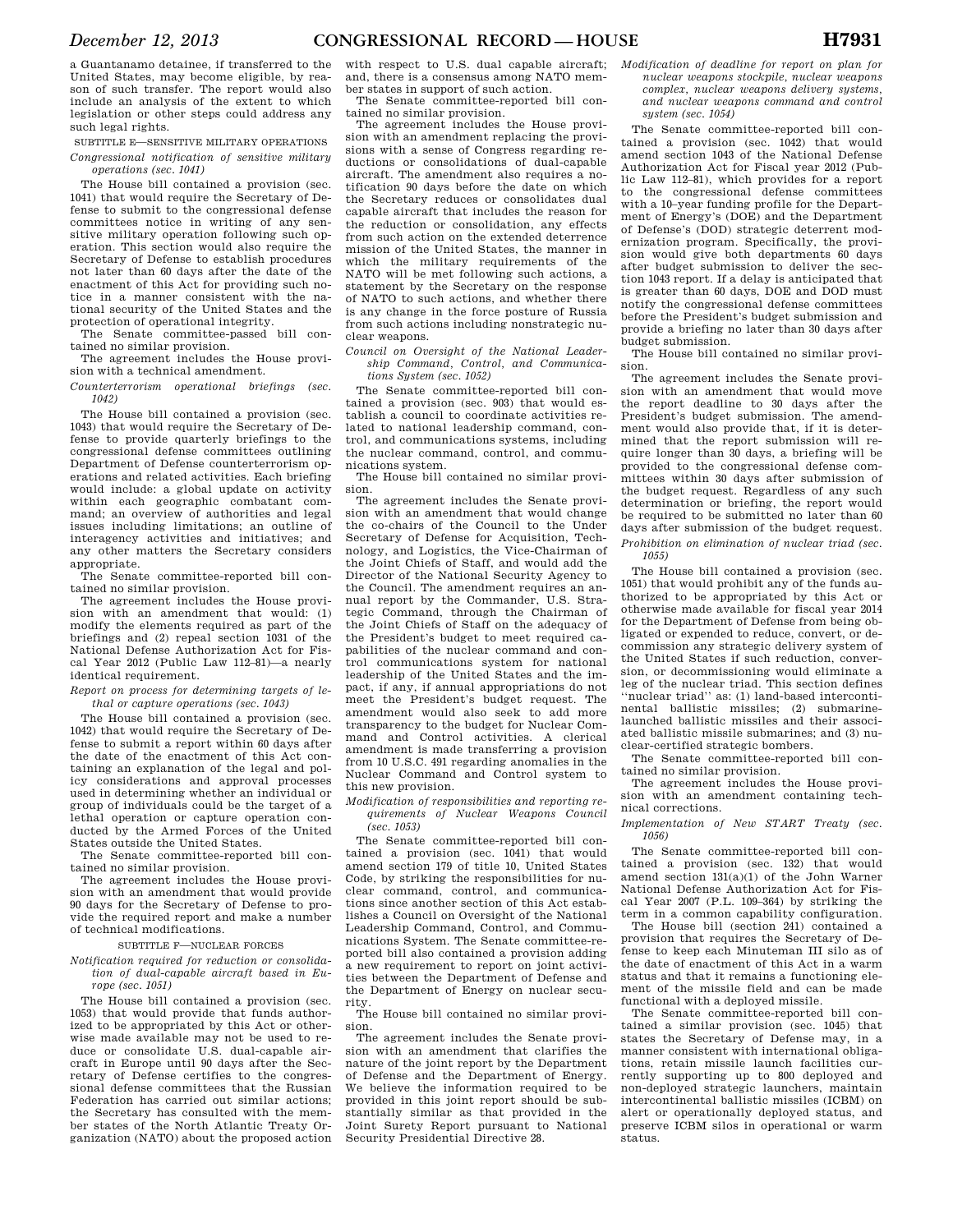a Guantanamo detainee, if transferred to the United States, may become eligible, by reason of such transfer. The report would also include an analysis of the extent to which legislation or other steps could address any such legal rights.

SUBTITLE E—SENSITIVE MILITARY OPERATIONS *Congressional notification of sensitive military operations (sec. 1041)* 

The House bill contained a provision (sec. 1041) that would require the Secretary of Defense to submit to the congressional defense committees notice in writing of any sensitive military operation following such operation. This section would also require the Secretary of Defense to establish procedures not later than 60 days after the date of the enactment of this Act for providing such notice in a manner consistent with the national security of the United States and the protection of operational integrity.

The Senate committee-passed bill contained no similar provision.

The agreement includes the House provision with a technical amendment.

*Counterterrorism operational briefings (sec. 1042)* 

The House bill contained a provision (sec. 1043) that would require the Secretary of Defense to provide quarterly briefings to the congressional defense committees outlining Department of Defense counterterrorism operations and related activities. Each briefing would include: a global update on activity within each geographic combatant command; an overview of authorities and legal issues including limitations; an outline of interagency activities and initiatives; and any other matters the Secretary considers appropriate.

The Senate committee-reported bill contained no similar provision.

The agreement includes the House provision with an amendment that would: (1) modify the elements required as part of the briefings and (2) repeal section 1031 of the National Defense Authorization Act for Fiscal Year 2012 (Public Law 112–81)—a nearly identical requirement.

*Report on process for determining targets of lethal or capture operations (sec. 1043)* 

The House bill contained a provision (sec. 1042) that would require the Secretary of Defense to submit a report within 60 days after the date of the enactment of this Act containing an explanation of the legal and policy considerations and approval processes used in determining whether an individual or group of individuals could be the target of a lethal operation or capture operation conducted by the Armed Forces of the United States outside the United States.

The Senate committee-reported bill contained no similar provision.

The agreement includes the House provision with an amendment that would provide 90 days for the Secretary of Defense to provide the required report and make a number of technical modifications.

#### SUBTITLE F—NUCLEAR FORCES

*Notification required for reduction or consolidation of dual-capable aircraft based in Europe (sec. 1051)* 

The House bill contained a provision (sec. 1053) that would provide that funds authorized to be appropriated by this Act or otherwise made available may not be used to reduce or consolidate U.S. dual-capable aircraft in Europe until 90 days after the Secretary of Defense certifies to the congressional defense committees that the Russian Federation has carried out similar actions; the Secretary has consulted with the member states of the North Atlantic Treaty Organization (NATO) about the proposed action

with respect to U.S. dual capable aircraft; and, there is a consensus among NATO member states in support of such action.

The Senate committee-reported bill con-

tained no similar provision. The agreement includes the House provision with an amendment replacing the provisions with a sense of Congress regarding reductions or consolidations of dual-capable aircraft. The amendment also requires a notification 90 days before the date on which the Secretary reduces or consolidates dual capable aircraft that includes the reason for the reduction or consolidation, any effects from such action on the extended deterrence mission of the United States, the manner in which the military requirements of the NATO will be met following such actions, a statement by the Secretary on the response of NATO to such actions, and whether there is any change in the force posture of Russia from such actions including nonstrategic nuclear weapons.

*Council on Oversight of the National Leadership Command, Control, and Communications System (sec. 1052)* 

The Senate committee-reported bill contained a provision (sec. 903) that would establish a council to coordinate activities related to national leadership command, control, and communications systems, including the nuclear command, control, and communications system.

The House bill contained no similar provision.

The agreement includes the Senate provision with an amendment that would change the co-chairs of the Council to the Under Secretary of Defense for Acquisition, Technology, and Logistics, the Vice-Chairman of the Joint Chiefs of Staff, and would add the Director of the National Security Agency to the Council. The amendment requires an annual report by the Commander, U.S. Strategic Command, through the Chairman of the Joint Chiefs of Staff on the adequacy of the President's budget to meet required capabilities of the nuclear command and control communications system for national leadership of the United States and the impact, if any, if annual appropriations do not meet the President's budget request. The amendment would also seek to add more transparency to the budget for Nuclear Command and Control activities. A clerical amendment is made transferring a provision from 10 U.S.C. 491 regarding anomalies in the Nuclear Command and Control system to this new provision.

*Modification of responsibilities and reporting requirements of Nuclear Weapons Council (sec. 1053)* 

The Senate committee-reported bill contained a provision (sec.  $1041$ ) that would amend section 179 of title 10, United States Code, by striking the responsibilities for nuclear command, control, and communications since another section of this Act establishes a Council on Oversight of the National Leadership Command, Control, and Communications System. The Senate committee-reported bill also contained a provision adding a new requirement to report on joint activities between the Department of Defense and the Department of Energy on nuclear security.

The House bill contained no similar provision.

The agreement includes the Senate provision with an amendment that clarifies the nature of the joint report by the Department of Defense and the Department of Energy. We believe the information required to be provided in this joint report should be substantially similar as that provided in the Joint Surety Report pursuant to National Security Presidential Directive 28.

*Modification of deadline for report on plan for nuclear weapons stockpile, nuclear weapons complex, nuclear weapons delivery systems, and nuclear weapons command and control system (sec. 1054)* 

The Senate committee-reported bill contained a provision (sec. 1042) that would amend section 1043 of the National Defense Authorization Act for Fiscal year 2012 (Public Law 112–81), which provides for a report to the congressional defense committees with a 10–year funding profile for the Department of Energy's (DOE) and the Department of Defense's (DOD) strategic deterrent modernization program. Specifically, the provision would give both departments 60 days after budget submission to deliver the section 1043 report. If a delay is anticipated that is greater than 60 days, DOE and DOD must notify the congressional defense committees before the President's budget submission and provide a briefing no later than 30 days after budget submission.

The House bill contained no similar provision.

The agreement includes the Senate provision with an amendment that would move the report deadline to 30 days after the President's budget submission. The amendment would also provide that, if it is determined that the report submission will require longer than 30 days, a briefing will be provided to the congressional defense committees within 30 days after submission of the budget request. Regardless of any such determination or briefing, the report would be required to be submitted no later than 60 days after submission of the budget request. *Prohibition on elimination of nuclear triad (sec.* 

*1055)* 

The House bill contained a provision (sec. 1051) that would prohibit any of the funds authorized to be appropriated by this Act or otherwise made available for fiscal year 2014 for the Department of Defense from being obligated or expended to reduce, convert, or decommission any strategic delivery system of the United States if such reduction, conversion, or decommissioning would eliminate a leg of the nuclear triad. This section defines ''nuclear triad'' as: (1) land-based intercontinental ballistic missiles; (2) submarinelaunched ballistic missiles and their associated ballistic missile submarines; and (3) nuclear-certified strategic bombers.

The Senate committee-reported bill contained no similar provision.

The agreement includes the House provision with an amendment containing technical corrections.

*Implementation of New START Treaty (sec. 1056)* 

The Senate committee-reported bill contained a provision (sec. 132) that would amend section 131(a)(1) of the John Warner National Defense Authorization Act for Fiscal Year 2007 (P.L. 109–364) by striking the term in a common capability configuration.

The House bill (section 241) contained a provision that requires the Secretary of Defense to keep each Minuteman III silo as of the date of enactment of this Act in a warm status and that it remains a functioning element of the missile field and can be made functional with a deployed missile.

The Senate committee-reported bill contained a similar provision (sec. 1045) that states the Secretary of Defense may, in a manner consistent with international obligations, retain missile launch facilities currently supporting up to 800 deployed and non-deployed strategic launchers, maintain intercontinental ballistic missiles (ICBM) on alert or operationally deployed status, and preserve ICBM silos in operational or warm status.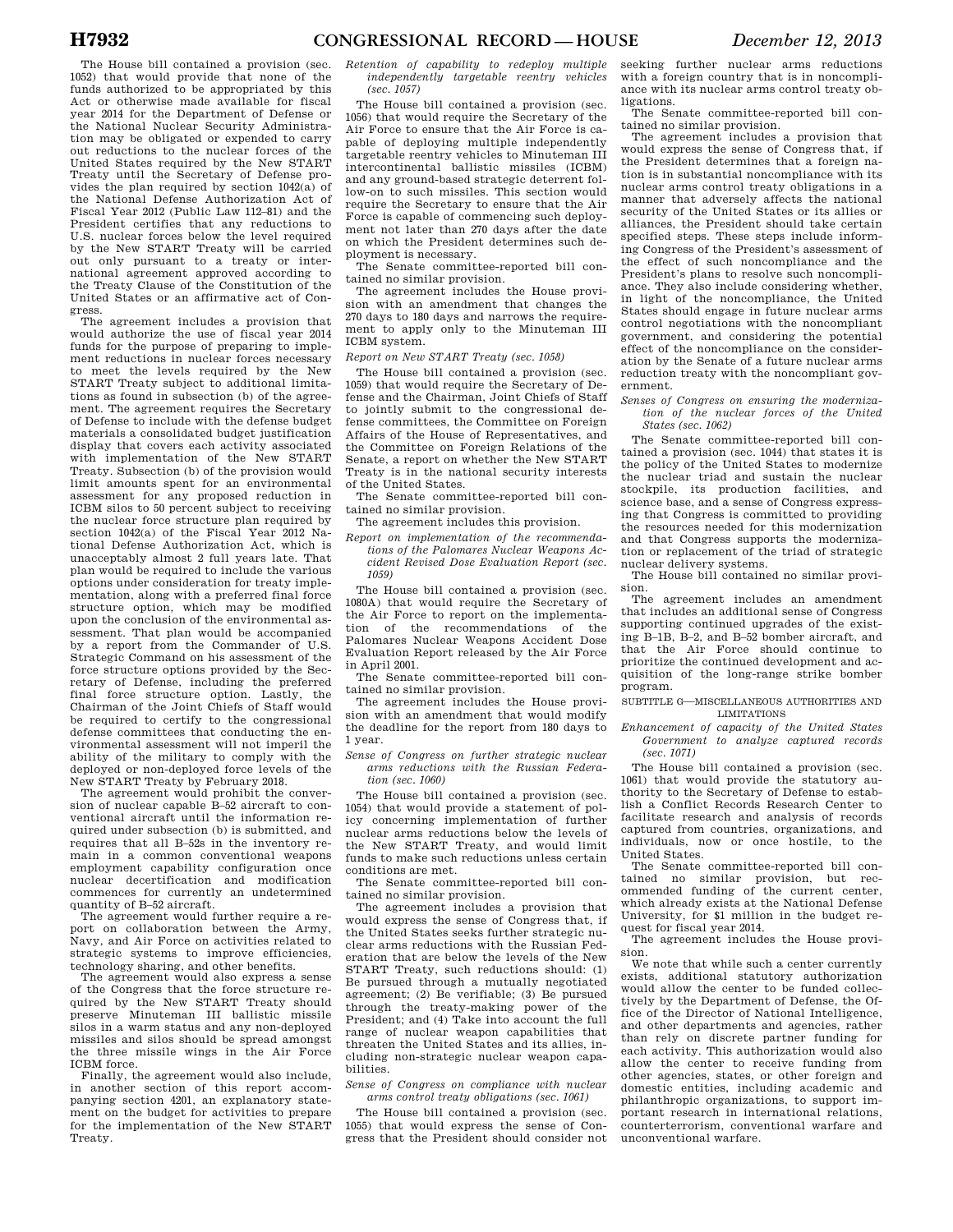The House bill contained a provision (sec. 1052) that would provide that none of the funds authorized to be appropriated by this Act or otherwise made available for fiscal year 2014 for the Department of Defense or the National Nuclear Security Administration may be obligated or expended to carry out reductions to the nuclear forces of the United States required by the New START Treaty until the Secretary of Defense provides the plan required by section 1042(a) of the National Defense Authorization Act of Fiscal Year 2012 (Public Law 112–81) and the President certifies that any reductions to U.S. nuclear forces below the level required by the New START Treaty will be carried out only pursuant to a treaty or international agreement approved according to the Treaty Clause of the Constitution of the United States or an affirmative act of Congress.

The agreement includes a provision that would authorize the use of fiscal year 2014 funds for the purpose of preparing to implement reductions in nuclear forces necessary to meet the levels required by the New START Treaty subject to additional limitations as found in subsection (b) of the agreement. The agreement requires the Secretary of Defense to include with the defense budget materials a consolidated budget justification display that covers each activity associated with implementation of the New START Treaty. Subsection (b) of the provision would limit amounts spent for an environmental assessment for any proposed reduction in ICBM silos to 50 percent subject to receiving the nuclear force structure plan required by section 1042(a) of the Fiscal Year 2012 National Defense Authorization Act, which is unacceptably almost 2 full years late. That plan would be required to include the various options under consideration for treaty implementation, along with a preferred final force structure option, which may be modified upon the conclusion of the environmental assessment. That plan would be accompanied by a report from the Commander of U.S. Strategic Command on his assessment of the force structure options provided by the Secretary of Defense, including the preferred final force structure option. Lastly, the Chairman of the Joint Chiefs of Staff would be required to certify to the congressional defense committees that conducting the environmental assessment will not imperil the ability of the military to comply with the deployed or non-deployed force levels of the

New START Treaty by February 2018. The agreement would prohibit the conversion of nuclear capable B–52 aircraft to conventional aircraft until the information required under subsection (b) is submitted, and requires that all B–52s in the inventory remain in a common conventional weapons employment capability configuration once nuclear decertification and modification commences for currently an undetermined quantity of B–52 aircraft.

The agreement would further require a report on collaboration between the Army, Navy, and Air Force on activities related to strategic systems to improve efficiencies, technology sharing, and other benefits.

The agreement would also express a sense of the Congress that the force structure required by the New START Treaty should preserve Minuteman III ballistic missile silos in a warm status and any non-deployed missiles and silos should be spread amongst the three missile wings in the Air Force ICBM force.

Finally, the agreement would also include, in another section of this report accompanying section 4201, an explanatory statement on the budget for activities to prepare for the implementation of the New START Treaty.

*Retention of capability to redeploy multiple independently targetable reentry vehicles (sec. 1057)* 

The House bill contained a provision (sec. 1056) that would require the Secretary of the Air Force to ensure that the Air Force is capable of deploying multiple independently targetable reentry vehicles to Minuteman III intercontinental ballistic missiles (ICBM) and any ground-based strategic deterrent follow-on to such missiles. This section would require the Secretary to ensure that the Air Force is capable of commencing such deployment not later than 270 days after the date on which the President determines such deployment is necessary.

The Senate committee-reported bill contained no similar provision.

The agreement includes the House provision with an amendment that changes the 270 days to 180 days and narrows the requirement to apply only to the Minuteman III ICBM system.

# *Report on New START Treaty (sec. 1058)*

The House bill contained a provision (sec. 1059) that would require the Secretary of Defense and the Chairman, Joint Chiefs of Staff to jointly submit to the congressional defense committees, the Committee on Foreign Affairs of the House of Representatives, and the Committee on Foreign Relations of the Senate, a report on whether the New START Treaty is in the national security interests of the United States.

The Senate committee-reported bill contained no similar provision.

The agreement includes this provision.

*Report on implementation of the recommendations of the Palomares Nuclear Weapons Accident Revised Dose Evaluation Report (sec. 1059)* 

The House bill contained a provision (sec. 1080A) that would require the Secretary of the Air Force to report on the implementation of the recommendations of the Palomares Nuclear Weapons Accident Dose Evaluation Report released by the Air Force in April 2001.

The Senate committee-reported bill contained no similar provision.

The agreement includes the House provision with an amendment that would modify the deadline for the report from 180 days to 1 year.

*Sense of Congress on further strategic nuclear arms reductions with the Russian Federation (sec. 1060)* 

The House bill contained a provision (sec. 1054) that would provide a statement of policy concerning implementation of further nuclear arms reductions below the levels of the New START Treaty, and would limit funds to make such reductions unless certain conditions are met.

The Senate committee-reported bill contained no similar provision.

The agreement includes a provision that would express the sense of Congress that, if the United States seeks further strategic nuclear arms reductions with the Russian Federation that are below the levels of the New START Treaty, such reductions should: (1) Be pursued through a mutually negotiated agreement; (2) Be verifiable; (3) Be pursued through the treaty-making power of the President; and (4) Take into account the full range of nuclear weapon capabilities that threaten the United States and its allies, including non-strategic nuclear weapon capabilities.

*Sense of Congress on compliance with nuclear arms control treaty obligations (sec. 1061)* 

The House bill contained a provision (sec. 1055) that would express the sense of Congress that the President should consider not seeking further nuclear arms reductions with a foreign country that is in noncompliance with its nuclear arms control treaty obligations.

The Senate committee-reported bill contained no similar provision.

The agreement includes a provision that would express the sense of Congress that, if the President determines that a foreign nation is in substantial noncompliance with its nuclear arms control treaty obligations in a manner that adversely affects the national security of the United States or its allies or alliances, the President should take certain specified steps. These steps include informing Congress of the President's assessment of the effect of such noncompliance and the President's plans to resolve such noncompliance. They also include considering whether, in light of the noncompliance, the United States should engage in future nuclear arms control negotiations with the noncompliant government, and considering the potential effect of the noncompliance on the consideration by the Senate of a future nuclear arms reduction treaty with the noncompliant government.

#### *Senses of Congress on ensuring the modernization of the nuclear forces of the United States (sec. 1062)*

The Senate committee-reported bill contained a provision (sec. 1044) that states it is the policy of the United States to modernize the nuclear triad and sustain the nuclear stockpile, its production facilities, and science base, and a sense of Congress expressing that Congress is committed to providing the resources needed for this modernization and that Congress supports the modernization or replacement of the triad of strategic nuclear delivery systems.

The House bill contained no similar provision.

The agreement includes an amendment that includes an additional sense of Congress supporting continued upgrades of the existing B–1B, B–2, and B–52 bomber aircraft, and that the Air Force should continue to prioritize the continued development and acquisition of the long-range strike bomber program.

SUBTITLE G—MISCELLANEOUS AUTHORITIES AND LIMITATIONS

*Enhancement of capacity of the United States Government to analyze captured records (sec. 1071)* 

The House bill contained a provision (sec. 1061) that would provide the statutory authority to the Secretary of Defense to establish a Conflict Records Research Center to facilitate research and analysis of records captured from countries, organizations, and individuals, now or once hostile, to the United States.

The Senate committee-reported bill contained no similar provision, but recommended funding of the current center, which already exists at the National Defense University, for \$1 million in the budget request for fiscal year 2014.

The agreement includes the House provision.

We note that while such a center currently exists, additional statutory authorization would allow the center to be funded collectively by the Department of Defense, the Office of the Director of National Intelligence, and other departments and agencies, rather than rely on discrete partner funding for each activity. This authorization would also allow the center to receive funding from other agencies, states, or other foreign and domestic entities, including academic and philanthropic organizations, to support important research in international relations, counterterrorism, conventional warfare and unconventional warfare.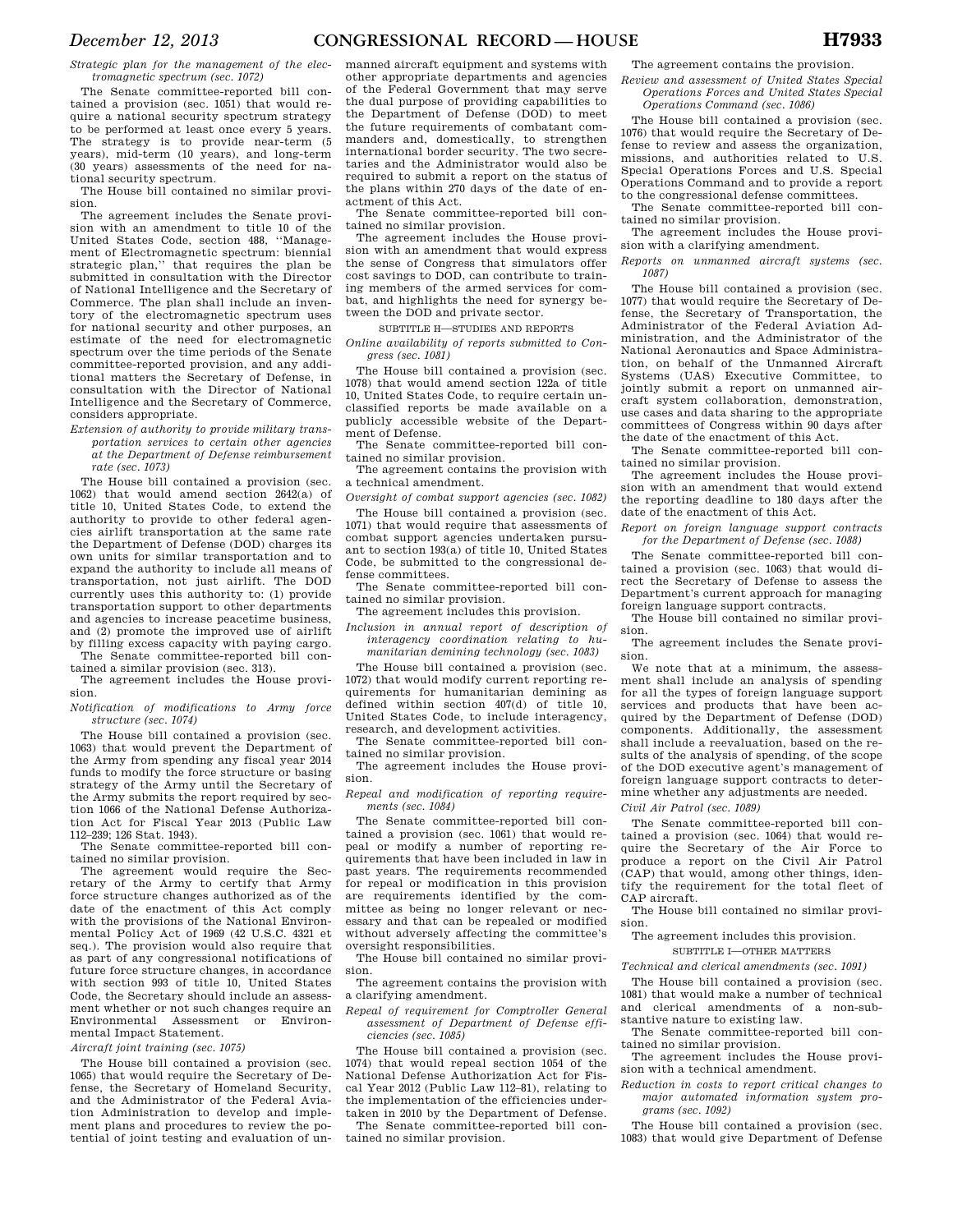*Strategic plan for the management of the electromagnetic spectrum (sec. 1072)* 

The Senate committee-reported bill contained a provision (sec. 1051) that would require a national security spectrum strategy to be performed at least once every 5 years. The strategy is to provide near-term (5 years), mid-term (10 years), and long-term (30 years) assessments of the need for national security spectrum.

The House bill contained no similar provision.

The agreement includes the Senate provision with an amendment to title 10 of the United States Code, section 488, ''Management of Electromagnetic spectrum: biennial strategic plan,'' that requires the plan be submitted in consultation with the Director of National Intelligence and the Secretary of Commerce. The plan shall include an inventory of the electromagnetic spectrum uses for national security and other purposes, an estimate of the need for electromagnetic spectrum over the time periods of the Senate committee-reported provision, and any additional matters the Secretary of Defense, in consultation with the Director of National Intelligence and the Secretary of Commerce, considers appropriate.

*Extension of authority to provide military transportation services to certain other agencies at the Department of Defense reimbursement rate (sec. 1073)* 

The House bill contained a provision (sec. 1062) that would amend section 2642(a) of title 10, United States Code, to extend the authority to provide to other federal agencies airlift transportation at the same rate the Department of Defense (DOD) charges its own units for similar transportation and to expand the authority to include all means of transportation, not just airlift. The DOD currently uses this authority to: (1) provide transportation support to other departments and agencies to increase peacetime business, and (2) promote the improved use of airlift by filling excess capacity with paying cargo.

The Senate committee-reported bill contained a similar provision (sec. 313).

The agreement includes the House provision.

*Notification of modifications to Army force structure (sec. 1074)* 

The House bill contained a provision (sec. 1063) that would prevent the Department of the Army from spending any fiscal year 2014 funds to modify the force structure or basing strategy of the Army until the Secretary of the Army submits the report required by section 1066 of the National Defense Authorization Act for Fiscal Year 2013 (Public Law 112–239; 126 Stat. 1943).

The Senate committee-reported bill contained no similar provision.

The agreement would require the Secretary of the Army to certify that Army force structure changes authorized as of the date of the enactment of this Act comply with the provisions of the National Environmental Policy Act of 1969 (42 U.S.C. 4321 et seq.). The provision would also require that as part of any congressional notifications of future force structure changes, in accordance with section 993 of title 10, United States Code, the Secretary should include an assessment whether or not such changes require an Environmental Assessment or Environmental Impact Statement.

*Aircraft joint training (sec. 1075)* 

The House bill contained a provision (sec. 1065) that would require the Secretary of Defense, the Secretary of Homeland Security, and the Administrator of the Federal Aviation Administration to develop and implement plans and procedures to review the potential of joint testing and evaluation of un-

manned aircraft equipment and systems with other appropriate departments and agencies of the Federal Government that may serve the dual purpose of providing capabilities to the Department of Defense (DOD) to meet the future requirements of combatant commanders and, domestically, to strengthen international border security. The two secretaries and the Administrator would also be required to submit a report on the status of the plans within 270 days of the date of enactment of this Act.

The Senate committee-reported bill contained no similar provision.

The agreement includes the House provision with an amendment that would express the sense of Congress that simulators offer cost savings to DOD, can contribute to training members of the armed services for combat, and highlights the need for synergy between the DOD and private sector.

SUBTITLE H—STUDIES AND REPORTS

*Online availability of reports submitted to Congress (sec. 1081)* 

The House bill contained a provision (sec. 1078) that would amend section 122a of title 10, United States Code, to require certain unclassified reports be made available on a publicly accessible website of the Department of Defense.

The Senate committee-reported bill contained no similar provision.

The agreement contains the provision with a technical amendment.

*Oversight of combat support agencies (sec. 1082)*  The House bill contained a provision (sec. 1071) that would require that assessments of combat support agencies undertaken pursuant to section 193(a) of title 10, United States Code, be submitted to the congressional defense committees.

The Senate committee-reported bill contained no similar provision.

The agreement includes this provision.

*Inclusion in annual report of description of interagency coordination relating to humanitarian demining technology (sec. 1083)* 

The House bill contained a provision (sec. 1072) that would modify current reporting requirements for humanitarian demining as defined within section 407(d) of title 10, United States Code, to include interagency, research, and development activities.

The Senate committee-reported bill contained no similar provision.

The agreement includes the House provision.

*Repeal and modification of reporting requirements (sec. 1084)* 

The Senate committee-reported bill contained a provision (sec. 1061) that would repeal or modify a number of reporting requirements that have been included in law in past years. The requirements recommended for repeal or modification in this provision are requirements identified by the committee as being no longer relevant or necessary and that can be repealed or modified without adversely affecting the committee's oversight responsibilities.

The House bill contained no similar provision.

The agreement contains the provision with a clarifying amendment.

*Repeal of requirement for Comptroller General assessment of Department of Defense efficiencies (sec. 1085)* 

The House bill contained a provision (sec. 1074) that would repeal section 1054 of the National Defense Authorization Act for Fiscal Year 2012 (Public Law 112–81), relating to the implementation of the efficiencies undertaken in 2010 by the Department of Defense.

The Senate committee-reported bill contained no similar provision.

The agreement contains the provision.

*Review and assessment of United States Special Operations Forces and United States Special Operations Command (sec. 1086)* 

The House bill contained a provision (sec. 1076) that would require the Secretary of Defense to review and assess the organization, missions, and authorities related to U.S. Special Operations Forces and U.S. Special Operations Command and to provide a report to the congressional defense committees.

The Senate committee-reported bill contained no similar provision.

The agreement includes the House provision with a clarifying amendment.

*Reports on unmanned aircraft systems (sec. 1087)* 

The House bill contained a provision (sec. 1077) that would require the Secretary of Defense, the Secretary of Transportation, the Administrator of the Federal Aviation Administration, and the Administrator of the National Aeronautics and Space Administration, on behalf of the Unmanned Aircraft Systems (UAS) Executive Committee, to jointly submit a report on unmanned aircraft system collaboration, demonstration, use cases and data sharing to the appropriate committees of Congress within 90 days after the date of the enactment of this Act.

The Senate committee-reported bill contained no similar provision.

The agreement includes the House provision with an amendment that would extend the reporting deadline to 180 days after the date of the enactment of this Act.

*Report on foreign language support contracts for the Department of Defense (sec. 1088)* 

The Senate committee-reported bill contained a provision (sec. 1063) that would direct the Secretary of Defense to assess the Department's current approach for managing foreign language support contracts.

The House bill contained no similar provision.

The agreement includes the Senate provision.

We note that at a minimum, the assessment shall include an analysis of spending for all the types of foreign language support services and products that have been acquired by the Department of Defense (DOD) components. Additionally, the assessment shall include a reevaluation, based on the results of the analysis of spending, of the scope of the DOD executive agent's management of foreign language support contracts to determine whether any adjustments are needed.

*Civil Air Patrol (sec. 1089)* 

The Senate committee-reported bill contained a provision (sec. 1064) that would require the Secretary of the Air Force to produce a report on the Civil Air Patrol (CAP) that would, among other things, identify the requirement for the total fleet of CAP aircraft.

The House bill contained no similar provision.

The agreement includes this provision.

SUBTITLE I—OTHER MATTERS

*Technical and clerical amendments (sec. 1091)* 

The House bill contained a provision (sec. 1081) that would make a number of technical and clerical amendments of a non-substantive nature to existing law.

The Senate committee-reported bill contained no similar provision.

The agreement includes the House provision with a technical amendment.

*Reduction in costs to report critical changes to major automated information system programs (sec. 1092)* 

The House bill contained a provision (sec. 1083) that would give Department of Defense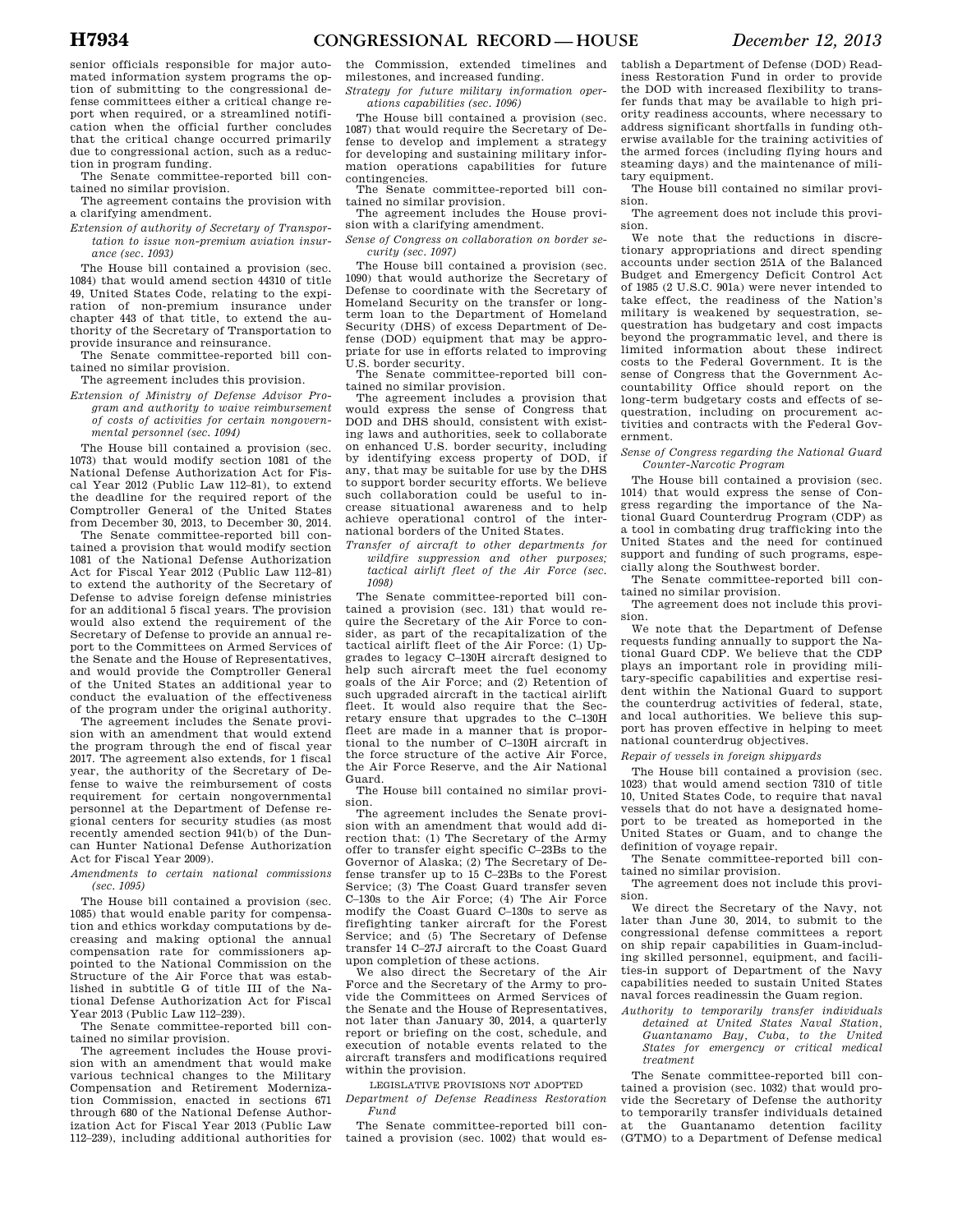senior officials responsible for major automated information system programs the option of submitting to the congressional defense committees either a critical change report when required, or a streamlined notification when the official further concludes that the critical change occurred primarily due to congressional action, such as a reduction in program funding.

The Senate committee-reported bill contained no similar provision.

The agreement contains the provision with a clarifying amendment.

*Extension of authority of Secretary of Transportation to issue non-premium aviation insurance (sec. 1093)* 

The House bill contained a provision (sec. 1084) that would amend section 44310 of title 49, United States Code, relating to the expiration of non-premium insurance under chapter 443 of that title, to extend the authority of the Secretary of Transportation to provide insurance and reinsurance.

The Senate committee-reported bill contained no similar provision.

The agreement includes this provision.

*Extension of Ministry of Defense Advisor Program and authority to waive reimbursement of costs of activities for certain nongovernmental personnel (sec. 1094)* 

The House bill contained a provision (sec. 1073) that would modify section 1081 of the National Defense Authorization Act for Fiscal Year 2012 (Public Law 112–81), to extend the deadline for the required report of the Comptroller General of the United States from December 30, 2013, to December 30, 2014.

The Senate committee-reported bill contained a provision that would modify section 1081 of the National Defense Authorization Act for Fiscal Year 2012 (Public Law 112–81) to extend the authority of the Secretary of Defense to advise foreign defense ministries for an additional 5 fiscal years. The provision would also extend the requirement of the Secretary of Defense to provide an annual report to the Committees on Armed Services of the Senate and the House of Representatives, and would provide the Comptroller General of the United States an additional year to conduct the evaluation of the effectiveness of the program under the original authority.

The agreement includes the Senate provision with an amendment that would extend the program through the end of fiscal year 2017. The agreement also extends, for 1 fiscal year, the authority of the Secretary of Defense to waive the reimbursement of costs requirement for certain nongovernmental personnel at the Department of Defense regional centers for security studies (as most recently amended section 941(b) of the Duncan Hunter National Defense Authorization Act for Fiscal Year 2009).

*Amendments to certain national commissions (sec. 1095)* 

The House bill contained a provision (sec. 1085) that would enable parity for compensation and ethics workday computations by decreasing and making optional the annual compensation rate for commissioners appointed to the National Commission on the Structure of the Air Force that was established in subtitle G of title III of the National Defense Authorization Act for Fiscal Year 2013 (Public Law 112–239).

The Senate committee-reported bill contained no similar provision.

The agreement includes the House provision with an amendment that would make various technical changes to the Military Compensation and Retirement Modernization Commission, enacted in sections 671 through 680 of the National Defense Authorization Act for Fiscal Year 2013 (Public Law 112–239), including additional authorities for

the Commission, extended timelines and milestones, and increased funding.

*Strategy for future military information operations capabilities (sec. 1096)* 

The House bill contained a provision (sec. 1087) that would require the Secretary of Defense to develop and implement a strategy for developing and sustaining military information operations capabilities for future contingencies.

The Senate committee-reported bill contained no similar provision.

The agreement includes the House provision with a clarifying amendment.

*Sense of Congress on collaboration on border security (sec. 1097)* 

The House bill contained a provision (sec. 1090) that would authorize the Secretary of Defense to coordinate with the Secretary of Homeland Security on the transfer or longterm loan to the Department of Homeland Security (DHS) of excess Department of Defense (DOD) equipment that may be appropriate for use in efforts related to improving U.S. border security.

The Senate committee-reported bill contained no similar provision.

The agreement includes a provision that would express the sense of Congress that DOD and DHS should, consistent with existing laws and authorities, seek to collaborate on enhanced U.S. border security, including by identifying excess property of DOD, if any, that may be suitable for use by the DHS to support border security efforts. We believe such collaboration could be useful to increase situational awareness and to help achieve operational control of the international borders of the United States.

*Transfer of aircraft to other departments for wildfire suppression and other purposes; tactical airlift fleet of the Air Force (sec. 1098)* 

The Senate committee-reported bill contained a provision (sec. 131) that would require the Secretary of the Air Force to consider, as part of the recapitalization of the tactical airlift fleet of the Air Force: (1) Upgrades to legacy C–130H aircraft designed to help such aircraft meet the fuel economy goals of the Air Force; and (2) Retention of such upgraded aircraft in the tactical airlift fleet. It would also require that the Secretary ensure that upgrades to the C–130H fleet are made in a manner that is proportional to the number of C–130H aircraft in the force structure of the active Air Force, the Air Force Reserve, and the Air National Guard.

The House bill contained no similar provision.

The agreement includes the Senate provision with an amendment that would add direction that: (1) The Secretary of the Army offer to transfer eight specific C–23Bs to the Governor of Alaska; (2) The Secretary of Defense transfer up to 15 C–23Bs to the Forest Service; (3) The Coast Guard transfer seven C–130s to the Air Force; (4) The Air Force modify the Coast Guard C–130s to serve as firefighting tanker aircraft for the Forest Service; and (5) The Secretary of Defense transfer 14 C–27J aircraft to the Coast Guard upon completion of these actions.

We also direct the Secretary of the Air Force and the Secretary of the Army to provide the Committees on Armed Services of the Senate and the House of Representatives, not later than January 30, 2014, a quarterly report or briefing on the cost, schedule, and execution of notable events related to the aircraft transfers and modifications required within the provision.

LEGISLATIVE PROVISIONS NOT ADOPTED *Department of Defense Readiness Restoration Fund* 

The Senate committee-reported bill contained a provision (sec. 1002) that would establish a Department of Defense (DOD) Readiness Restoration Fund in order to provide the DOD with increased flexibility to transfer funds that may be available to high priority readiness accounts, where necessary to address significant shortfalls in funding otherwise available for the training activities of the armed forces (including flying hours and steaming days) and the maintenance of military equipment.

The House bill contained no similar provision.

The agreement does not include this provision.

We note that the reductions in discretionary appropriations and direct spending accounts under section 251A of the Balanced Budget and Emergency Deficit Control Act of 1985 (2 U.S.C. 901a) were never intended to take effect, the readiness of the Nation's military is weakened by sequestration, sequestration has budgetary and cost impacts beyond the programmatic level, and there is limited information about these indirect costs to the Federal Government. It is the sense of Congress that the Government Accountability Office should report on the long-term budgetary costs and effects of sequestration, including on procurement activities and contracts with the Federal Government.

*Sense of Congress regarding the National Guard Counter-Narcotic Program* 

The House bill contained a provision (sec. 1014) that would express the sense of Congress regarding the importance of the National Guard Counterdrug Program (CDP) as a tool in combating drug trafficking into the United States and the need for continued support and funding of such programs, especially along the Southwest border.

The Senate committee-reported bill contained no similar provision.

The agreement does not include this provision.

We note that the Department of Defense requests funding annually to support the National Guard CDP. We believe that the CDP plays an important role in providing military-specific capabilities and expertise resident within the National Guard to support the counterdrug activities of federal, state, and local authorities. We believe this support has proven effective in helping to meet national counterdrug objectives.

*Repair of vessels in foreign shipyards* 

The House bill contained a provision (sec. 1023) that would amend section 7310 of title 10, United States Code, to require that naval vessels that do not have a designated homeport to be treated as homeported in the United States or Guam, and to change the definition of voyage repair.

The Senate committee-reported bill contained no similar provision.

The agreement does not include this provision.

We direct the Secretary of the Navy, not later than June 30, 2014, to submit to the congressional defense committees a report on ship repair capabilities in Guam-including skilled personnel, equipment, and facilities-in support of Department of the Navy capabilities needed to sustain United States naval forces readinessin the Guam region.

*Authority to temporarily transfer individuals detained at United States Naval Station, Guantanamo Bay, Cuba, to the United States for emergency or critical medical treatment* 

The Senate committee-reported bill contained a provision (sec. 1032) that would provide the Secretary of Defense the authority to temporarily transfer individuals detained at the Guantanamo detention facility (GTMO) to a Department of Defense medical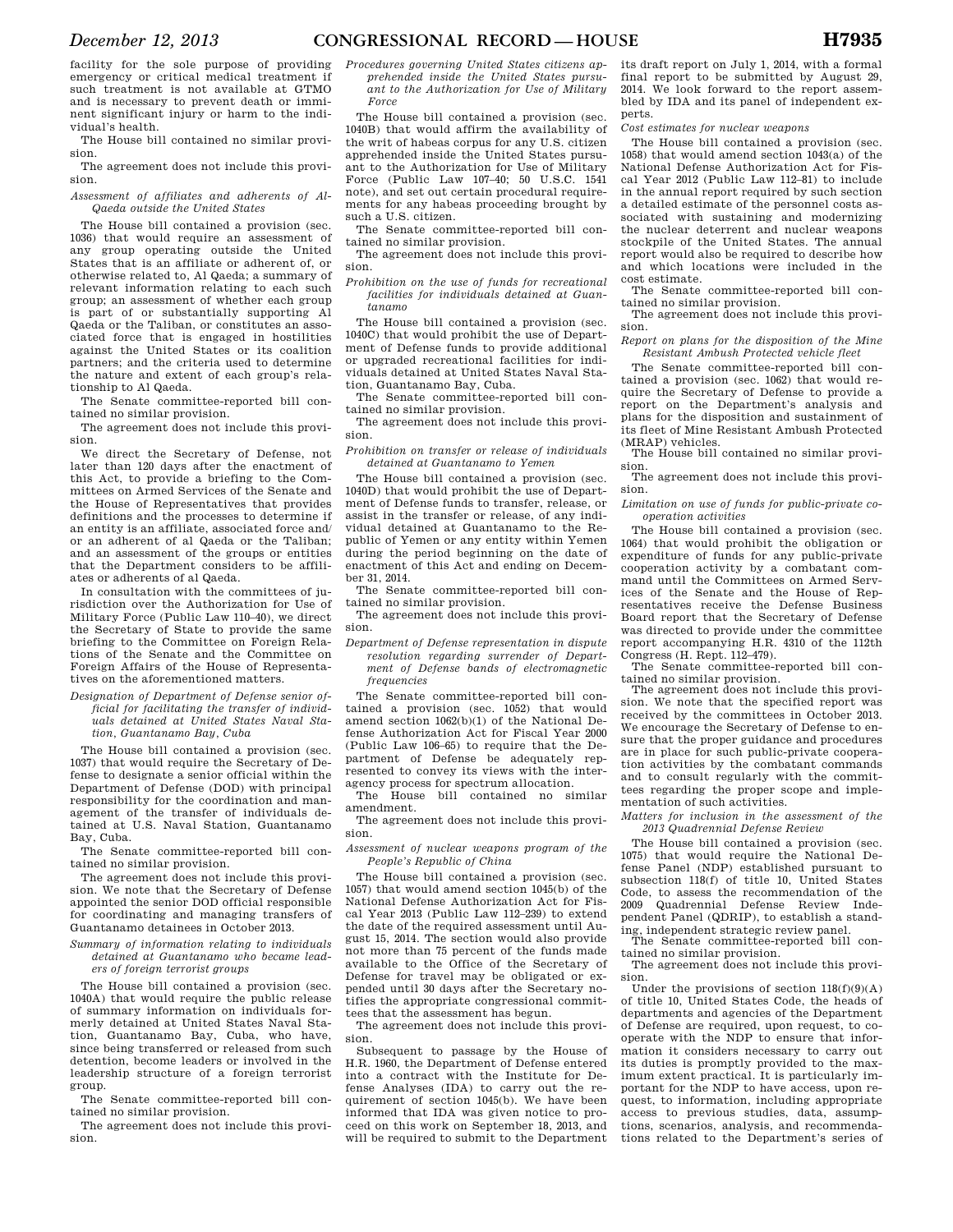facility for the sole purpose of providing emergency or critical medical treatment if such treatment is not available at GTMO and is necessary to prevent death or imminent significant injury or harm to the individual's health.

The House bill contained no similar provision.

The agreement does not include this provision.

#### *Assessment of affiliates and adherents of Al-Qaeda outside the United States*

The House bill contained a provision (sec. 1036) that would require an assessment of any group operating outside the United States that is an affiliate or adherent of, or otherwise related to, Al Qaeda; a summary of relevant information relating to each such group; an assessment of whether each group is part of or substantially supporting Al Qaeda or the Taliban, or constitutes an associated force that is engaged in hostilities against the United States or its coalition partners; and the criteria used to determine the nature and extent of each group's relationship to Al Qaeda.

The Senate committee-reported bill contained no similar provision.

The agreement does not include this provision.

We direct the Secretary of Defense, not later than 120 days after the enactment of this Act, to provide a briefing to the Committees on Armed Services of the Senate and the House of Representatives that provides definitions and the processes to determine if an entity is an affiliate, associated force and/ or an adherent of al Qaeda or the Taliban; and an assessment of the groups or entities that the Department considers to be affiliates or adherents of al Qaeda.

In consultation with the committees of jurisdiction over the Authorization for Use of Military Force (Public Law 110–40), we direct the Secretary of State to provide the same briefing to the Committee on Foreign Relations of the Senate and the Committee on Foreign Affairs of the House of Representatives on the aforementioned matters.

*Designation of Department of Defense senior official for facilitating the transfer of individuals detained at United States Naval Station, Guantanamo Bay, Cuba* 

The House bill contained a provision (sec. 1037) that would require the Secretary of Defense to designate a senior official within the Department of Defense (DOD) with principal responsibility for the coordination and management of the transfer of individuals detained at U.S. Naval Station, Guantanamo Bay, Cuba.

The Senate committee-reported bill contained no similar provision.

The agreement does not include this provision. We note that the Secretary of Defense appointed the senior DOD official responsible for coordinating and managing transfers of Guantanamo detainees in October 2013.

#### *Summary of information relating to individuals detained at Guantanamo who became leaders of foreign terrorist groups*

The House bill contained a provision (sec. 1040A) that would require the public release of summary information on individuals formerly detained at United States Naval Station, Guantanamo Bay, Cuba, who have, since being transferred or released from such detention, become leaders or involved in the leadership structure of a foreign terrorist group.

The Senate committee-reported bill contained no similar provision.

The agreement does not include this provision.

*Procedures governing United States citizens apprehended inside the United States pursuant to the Authorization for Use of Military Force* 

The House bill contained a provision (sec. 1040B) that would affirm the availability of the writ of habeas corpus for any U.S. citizen apprehended inside the United States pursuant to the Authorization for Use of Military Force (Public Law 107–40; 50 U.S.C. 1541 note), and set out certain procedural requirements for any habeas proceeding brought by such a U.S. citizen.

The Senate committee-reported bill contained no similar provision.

The agreement does not include this provision.

*Prohibition on the use of funds for recreational facilities for individuals detained at Guantanamo* 

The House bill contained a provision (sec. 1040C) that would prohibit the use of Department of Defense funds to provide additional or upgraded recreational facilities for individuals detained at United States Naval Station, Guantanamo Bay, Cuba.

The Senate committee-reported bill contained no similar provision.

The agreement does not include this provision.

*Prohibition on transfer or release of individuals detained at Guantanamo to Yemen* 

The House bill contained a provision (sec. 1040D) that would prohibit the use of Department of Defense funds to transfer, release, or assist in the transfer or release, of any individual detained at Guantanamo to the Republic of Yemen or any entity within Yemen during the period beginning on the date of enactment of this Act and ending on December 31, 2014.

The Senate committee-reported bill contained no similar provision.

The agreement does not include this provision.

*Department of Defense representation in dispute resolution regarding surrender of Department of Defense bands of electromagnetic frequencies* 

The Senate committee-reported bill contained a provision (sec. 1052) that would amend section 1062(b)(1) of the National Defense Authorization Act for Fiscal Year 2000 (Public Law 106–65) to require that the Department of Defense be adequately represented to convey its views with the interagency process for spectrum allocation.

The House bill contained no similar amendment.

The agreement does not include this provision.

*Assessment of nuclear weapons program of the People's Republic of China* 

The House bill contained a provision (sec. 1057) that would amend section 1045(b) of the National Defense Authorization Act for Fiscal Year 2013 (Public Law 112–239) to extend the date of the required assessment until August 15, 2014. The section would also provide not more than 75 percent of the funds made available to the Office of the Secretary of Defense for travel may be obligated or expended until 30 days after the Secretary notifies the appropriate congressional committees that the assessment has begun.

The agreement does not include this provision.

Subsequent to passage by the House of H.R. 1960, the Department of Defense entered into a contract with the Institute for Defense Analyses (IDA) to carry out the requirement of section 1045(b). We have been informed that IDA was given notice to proceed on this work on September 18, 2013, and will be required to submit to the Department its draft report on July 1, 2014, with a formal final report to be submitted by August 29, 2014. We look forward to the report assembled by IDA and its panel of independent experts.

*Cost estimates for nuclear weapons* 

The House bill contained a provision (sec. 1058) that would amend section 1043(a) of the National Defense Authorization Act for Fiscal Year 2012 (Public Law 112–81) to include in the annual report required by such section a detailed estimate of the personnel costs associated with sustaining and modernizing the nuclear deterrent and nuclear weapons stockpile of the United States. The annual report would also be required to describe how and which locations were included in the cost estimate.

The Senate committee-reported bill contained no similar provision.

The agreement does not include this provision.

*Report on plans for the disposition of the Mine Resistant Ambush Protected vehicle fleet* 

The Senate committee-reported bill contained a provision (sec. 1062) that would require the Secretary of Defense to provide a report on the Department's analysis and plans for the disposition and sustainment of its fleet of Mine Resistant Ambush Protected (MRAP) vehicles.

The House bill contained no similar provision.

The agreement does not include this provision.

*Limitation on use of funds for public-private cooperation activities* 

The House bill contained a provision (sec. 1064) that would prohibit the obligation or expenditure of funds for any public-private cooperation activity by a combatant command until the Committees on Armed Services of the Senate and the House of Representatives receive the Defense Business Board report that the Secretary of Defense was directed to provide under the committee report accompanying H.R. 4310 of the 112th Congress (H. Rept. 112–479).

The Senate committee-reported bill contained no similar provision.

The agreement does not include this provision. We note that the specified report was received by the committees in October 2013. We encourage the Secretary of Defense to ensure that the proper guidance and procedures are in place for such public-private cooperation activities by the combatant commands and to consult regularly with the committees regarding the proper scope and implementation of such activities.

*Matters for inclusion in the assessment of the 2013 Quadrennial Defense Review* 

The House bill contained a provision (sec. 1075) that would require the National Defense Panel (NDP) established pursuant to subsection 118(f) of title 10, United States Code, to assess the recommendation of the 2009 Quadrennial Defense Review Independent Panel (QDRIP), to establish a stand-

ing, independent strategic review panel. The Senate committee-reported bill contained no similar provision.

The agreement does not include this provision.

Under the provisions of section  $118(f)(9)(A)$ of title 10, United States Code, the heads of departments and agencies of the Department of Defense are required, upon request, to cooperate with the NDP to ensure that information it considers necessary to carry out its duties is promptly provided to the maximum extent practical. It is particularly important for the NDP to have access, upon request, to information, including appropriate access to previous studies, data, assumptions, scenarios, analysis, and recommendations related to the Department's series of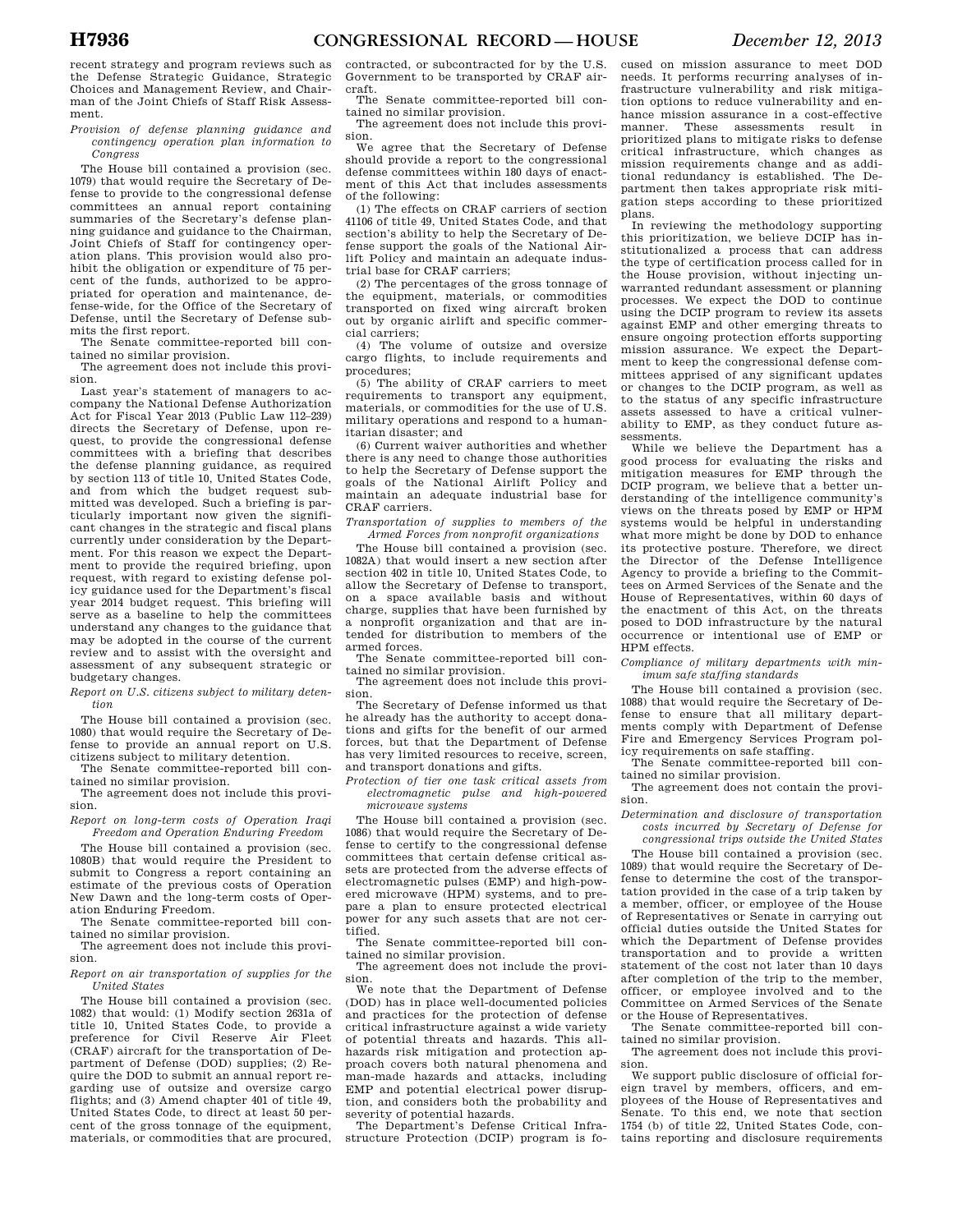recent strategy and program reviews such as the Defense Strategic Guidance, Strategic Choices and Management Review, and Chairman of the Joint Chiefs of Staff Risk Assessment.

*Provision of defense planning guidance and contingency operation plan information to Congress* 

The House bill contained a provision (sec. 1079) that would require the Secretary of Defense to provide to the congressional defense committees an annual report containing summaries of the Secretary's defense planning guidance and guidance to the Chairman, Joint Chiefs of Staff for contingency operation plans. This provision would also prohibit the obligation or expenditure of 75 percent of the funds, authorized to be appropriated for operation and maintenance, defense-wide, for the Office of the Secretary of Defense, until the Secretary of Defense submits the first report.

The Senate committee-reported bill contained no similar provision.

The agreement does not include this provision.

Last year's statement of managers to accompany the National Defense Authorization Act for Fiscal Year 2013 (Public Law 112–239) directs the Secretary of Defense, upon request, to provide the congressional defense committees with a briefing that describes the defense planning guidance, as required by section 113 of title 10, United States Code, and from which the budget request submitted was developed. Such a briefing is particularly important now given the significant changes in the strategic and fiscal plans currently under consideration by the Department. For this reason we expect the Department to provide the required briefing, upon request, with regard to existing defense policy guidance used for the Department's fiscal year 2014 budget request. This briefing will serve as a baseline to help the committees understand any changes to the guidance that may be adopted in the course of the current review and to assist with the oversight and assessment of any subsequent strategic or budgetary changes.

*Report on U.S. citizens subject to military detention* 

The House bill contained a provision (sec. 1080) that would require the Secretary of Defense to provide an annual report on U.S. citizens subject to military detention.

The Senate committee-reported bill contained no similar provision.

The agreement does not include this provision.

*Report on long-term costs of Operation Iraqi Freedom and Operation Enduring Freedom* 

The House bill contained a provision (sec. 1080B) that would require the President to submit to Congress a report containing an estimate of the previous costs of Operation New Dawn and the long-term costs of Operation Enduring Freedom.

The Senate committee-reported bill contained no similar provision.

The agreement does not include this provision.

*Report on air transportation of supplies for the United States* 

The House bill contained a provision (sec. 1082) that would: (1) Modify section 2631a of title 10, United States Code, to provide a preference for Civil Reserve Air Fleet (CRAF) aircraft for the transportation of Department of Defense (DOD) supplies; (2) Require the DOD to submit an annual report regarding use of outsize and oversize cargo flights; and (3) Amend chapter 401 of title 49, United States Code, to direct at least 50 percent of the gross tonnage of the equipment, materials, or commodities that are procured,

contracted, or subcontracted for by the U.S. Government to be transported by CRAF aircraft.

The Senate committee-reported bill contained no similar provision.

The agreement does not include this provision.

We agree that the Secretary of Defense should provide a report to the congressional defense committees within 180 days of enactment of this Act that includes assessments of the following:

(1) The effects on CRAF carriers of section 41106 of title 49, United States Code, and that section's ability to help the Secretary of Defense support the goals of the National Airlift Policy and maintain an adequate industrial base for CRAF carriers;

(2) The percentages of the gross tonnage of the equipment, materials, or commodities transported on fixed wing aircraft broken out by organic airlift and specific commercial carriers;

(4) The volume of outsize and oversize cargo flights, to include requirements and procedures;

(5) The ability of CRAF carriers to meet requirements to transport any equipment, materials, or commodities for the use of U.S. military operations and respond to a humanitarian disaster; and

(6) Current waiver authorities and whether there is any need to change those authorities to help the Secretary of Defense support the goals of the National Airlift Policy and maintain an adequate industrial base for CRAF carriers.

*Transportation of supplies to members of the Armed Forces from nonprofit organizations* 

The House bill contained a provision (sec. 1082A) that would insert a new section after section 402 in title 10, United States Code, to allow the Secretary of Defense to transport, on a space available basis and without charge, supplies that have been furnished by a nonprofit organization and that are intended for distribution to members of the armed forces.

The Senate committee-reported bill contained no similar provision.

The agreement does not include this provision.

The Secretary of Defense informed us that he already has the authority to accept donations and gifts for the benefit of our armed forces, but that the Department of Defense has very limited resources to receive, screen, and transport donations and gifts.

*Protection of tier one task critical assets from electromagnetic pulse and high-powered microwave systems* 

The House bill contained a provision (sec. 1086) that would require the Secretary of Defense to certify to the congressional defense committees that certain defense critical assets are protected from the adverse effects of electromagnetic pulses (EMP) and high-powered microwave (HPM) systems, and to prepare a plan to ensure protected electrical power for any such assets that are not certified.

The Senate committee-reported bill contained no similar provision.

The agreement does not include the provision.

We note that the Department of Defense (DOD) has in place well-documented policies and practices for the protection of defense critical infrastructure against a wide variety of potential threats and hazards. This allhazards risk mitigation and protection approach covers both natural phenomena and man-made hazards and attacks, including EMP and potential electrical power disruption, and considers both the probability and severity of potential hazards.

The Department's Defense Critical Infrastructure Protection (DCIP) program is fo-

cused on mission assurance to meet DOD needs. It performs recurring analyses of infrastructure vulnerability and risk mitigation options to reduce vulnerability and enhance mission assurance in a cost-effective manner. These assessments result in prioritized plans to mitigate risks to defense critical infrastructure, which changes as mission requirements change and as additional redundancy is established. The Department then takes appropriate risk mitigation steps according to these prioritized plans.

In reviewing the methodology supporting this prioritization, we believe DCIP has institutionalized a process that can address the type of certification process called for in the House provision, without injecting unwarranted redundant assessment or planning processes. We expect the DOD to continue using the DCIP program to review its assets against EMP and other emerging threats to ensure ongoing protection efforts supporting mission assurance. We expect the Department to keep the congressional defense committees apprised of any significant updates or changes to the DCIP program, as well as to the status of any specific infrastructure assets assessed to have a critical vulnerability to EMP, as they conduct future assessments.

While we believe the Department has a good process for evaluating the risks and mitigation measures for EMP through the DCIP program, we believe that a better understanding of the intelligence community's views on the threats posed by EMP or HPM systems would be helpful in understanding what more might be done by DOD to enhance its protective posture. Therefore, we direct the Director of the Defense Intelligence Agency to provide a briefing to the Committees on Armed Services of the Senate and the House of Representatives, within 60 days of the enactment of this Act, on the threats posed to DOD infrastructure by the natural occurrence or intentional use of EMP or HPM effects.

*Compliance of military departments with minimum safe staffing standards* 

The House bill contained a provision (sec. 1088) that would require the Secretary of Defense to ensure that all military departments comply with Department of Defense Fire and Emergency Services Program policy requirements on safe staffing.<br>The Senate committee was

Senate committee-reported bill contained no similar provision.

The agreement does not contain the provision.

*Determination and disclosure of transportation costs incurred by Secretary of Defense for congressional trips outside the United States* 

The House bill contained a provision (sec. 1089) that would require the Secretary of Defense to determine the cost of the transportation provided in the case of a trip taken by a member, officer, or employee of the House of Representatives or Senate in carrying out official duties outside the United States for which the Department of Defense provides transportation and to provide a written statement of the cost not later than 10 days after completion of the trip to the member, officer, or employee involved and to the Committee on Armed Services of the Senate or the House of Representatives.

The Senate committee-reported bill contained no similar provision.

The agreement does not include this provision.

We support public disclosure of official foreign travel by members, officers, and employees of the House of Representatives and Senate. To this end, we note that section 1754 (b) of title 22, United States Code, contains reporting and disclosure requirements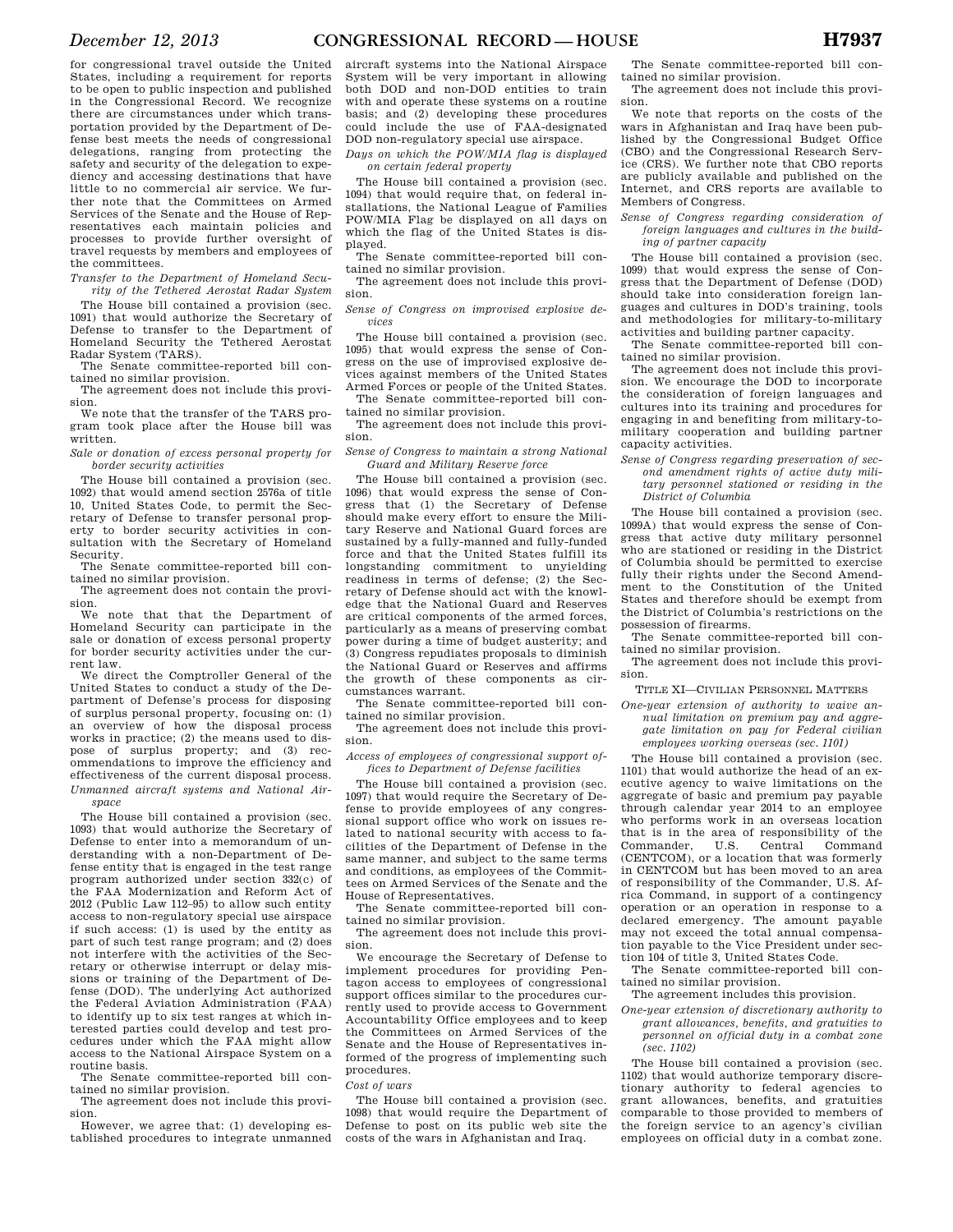for congressional travel outside the United States, including a requirement for reports to be open to public inspection and published in the Congressional Record. We recognize there are circumstances under which transportation provided by the Department of Defense best meets the needs of congressional delegations, ranging from protecting the safety and security of the delegation to expediency and accessing destinations that have little to no commercial air service. We further note that the Committees on Armed Services of the Senate and the House of Representatives each maintain policies and processes to provide further oversight of travel requests by members and employees of the committees.

*Transfer to the Department of Homeland Security of the Tethered Aerostat Radar System* 

The House bill contained a provision (sec. 1091) that would authorize the Secretary of Defense to transfer to the Department of Homeland Security the Tethered Aerostat Radar System (TARS).

The Senate committee-reported bill contained no similar provision.

The agreement does not include this provision.

We note that the transfer of the TARS program took place after the House bill was written.

*Sale or donation of excess personal property for border security activities* 

The House bill contained a provision (sec. 1092) that would amend section 2576a of title 10, United States Code, to permit the Secretary of Defense to transfer personal property to border security activities in consultation with the Secretary of Homeland Security.

The Senate committee-reported bill contained no similar provision.

The agreement does not contain the provision.

We note that that the Department of Homeland Security can participate in the sale or donation of excess personal property for border security activities under the current law.

We direct the Comptroller General of the United States to conduct a study of the Department of Defense's process for disposing of surplus personal property, focusing on: (1) an overview of how the disposal process works in practice; (2) the means used to dispose of surplus property; and (3) recommendations to improve the efficiency and effectiveness of the current disposal process. *Unmanned aircraft systems and National Airspace* 

The House bill contained a provision (sec. 1093) that would authorize the Secretary of Defense to enter into a memorandum of understanding with a non-Department of Defense entity that is engaged in the test range program authorized under section 332(c) of the FAA Modernization and Reform Act of 2012 (Public Law 112–95) to allow such entity access to non-regulatory special use airspace if such access: (1) is used by the entity as part of such test range program; and (2) does not interfere with the activities of the Secretary or otherwise interrupt or delay missions or training of the Department of Defense (DOD). The underlying Act authorized the Federal Aviation Administration (FAA) to identify up to six test ranges at which interested parties could develop and test procedures under which the FAA might allow access to the National Airspace System on a routine basis.

The Senate committee-reported bill contained no similar provision. The agreement does not include this provi-

sion.

However, we agree that: (1) developing established procedures to integrate unmanned

aircraft systems into the National Airspace System will be very important in allowing both DOD and non-DOD entities to train with and operate these systems on a routine basis; and (2) developing these procedures could include the use of FAA-designated DOD non-regulatory special use airspace.

*Days on which the POW/MIA flag is displayed on certain federal property* 

The House bill contained a provision (sec. 1094) that would require that, on federal installations, the National League of Families POW/MIA Flag be displayed on all days on which the flag of the United States is displayed.

The Senate committee-reported bill contained no similar provision.

The agreement does not include this provision.

*Sense of Congress on improvised explosive devices* 

The House bill contained a provision (sec. 1095) that would express the sense of Congress on the use of improvised explosive devices against members of the United States Armed Forces or people of the United States.

The Senate committee-reported bill contained no similar provision.

The agreement does not include this provision.

*Sense of Congress to maintain a strong National Guard and Military Reserve force* 

The House bill contained a provision (sec. 1096) that would express the sense of Congress that (1) the Secretary of Defense should make every effort to ensure the Military Reserve and National Guard forces are sustained by a fully-manned and fully-funded force and that the United States fulfill its longstanding commitment to unyielding readiness in terms of defense; (2) the Secretary of Defense should act with the knowledge that the National Guard and Reserves are critical components of the armed forces, particularly as a means of preserving combat power during a time of budget austerity; and (3) Congress repudiates proposals to diminish the National Guard or Reserves and affirms the growth of these components as circumstances warrant.

The Senate committee-reported bill contained no similar provision.

The agreement does not include this provision.

*Access of employees of congressional support offices to Department of Defense facilities* 

The House bill contained a provision (sec. 1097) that would require the Secretary of Defense to provide employees of any congressional support office who work on issues related to national security with access to facilities of the Department of Defense in the same manner, and subject to the same terms and conditions, as employees of the Committees on Armed Services of the Senate and the House of Representatives.

The Senate committee-reported bill contained no similar provision.

The agreement does not include this provision.

We encourage the Secretary of Defense to implement procedures for providing Pentagon access to employees of congressional support offices similar to the procedures currently used to provide access to Government Accountability Office employees and to keep the Committees on Armed Services of the Senate and the House of Representatives informed of the progress of implementing such procedures.

#### *Cost of wars*

The House bill contained a provision (sec. 1098) that would require the Department of Defense to post on its public web site the costs of the wars in Afghanistan and Iraq.

The Senate committee-reported bill contained no similar provision.

The agreement does not include this provision.

We note that reports on the costs of the wars in Afghanistan and Iraq have been published by the Congressional Budget Office (CBO) and the Congressional Research Service (CRS). We further note that CBO reports are publicly available and published on the Internet, and CRS reports are available to Members of Congress.

*Sense of Congress regarding consideration of foreign languages and cultures in the building of partner capacity* 

The House bill contained a provision (sec. 1099) that would express the sense of Congress that the Department of Defense (DOD) should take into consideration foreign languages and cultures in DOD's training, tools and methodologies for military-to-military activities and building partner capacity.

The Senate committee-reported bill contained no similar provision.

The agreement does not include this provision. We encourage the DOD to incorporate the consideration of foreign languages and cultures into its training and procedures for engaging in and benefiting from military-tomilitary cooperation and building partner capacity activities.

*Sense of Congress regarding preservation of second amendment rights of active duty military personnel stationed or residing in the District of Columbia* 

The House bill contained a provision (sec. 1099A) that would express the sense of Congress that active duty military personnel who are stationed or residing in the District of Columbia should be permitted to exercise fully their rights under the Second Amendment to the Constitution of the United States and therefore should be exempt from the District of Columbia's restrictions on the possession of firearms.

The Senate committee-reported bill contained no similar provision.

The agreement does not include this provision.

TITLE XI—CIVILIAN PERSONNEL MATTERS

*One-year extension of authority to waive annual limitation on premium pay and aggregate limitation on pay for Federal civilian employees working overseas (sec. 1101)* 

The House bill contained a provision (sec. 1101) that would authorize the head of an executive agency to waive limitations on the aggregate of basic and premium pay payable through calendar year 2014 to an employee who performs work in an overseas location that is in the area of responsibility of the<br>Commander, U.S. Central Command Commander, U.S. Central Command (CENTCOM), or a location that was formerly in CENTCOM but has been moved to an area of responsibility of the Commander, U.S. Africa Command, in support of a contingency operation or an operation in response to a declared emergency. The amount payable may not exceed the total annual compensation payable to the Vice President under section 104 of title 3, United States Code.

The Senate committee-reported bill contained no similar provision.

The agreement includes this provision.

*One-year extension of discretionary authority to grant allowances, benefits, and gratuities to* 

*personnel on official duty in a combat zone (sec. 1102)* 

The House bill contained a provision (sec. 1102) that would authorize temporary discretionary authority to federal agencies to grant allowances, benefits, and gratuities comparable to those provided to members of the foreign service to an agency's civilian employees on official duty in a combat zone.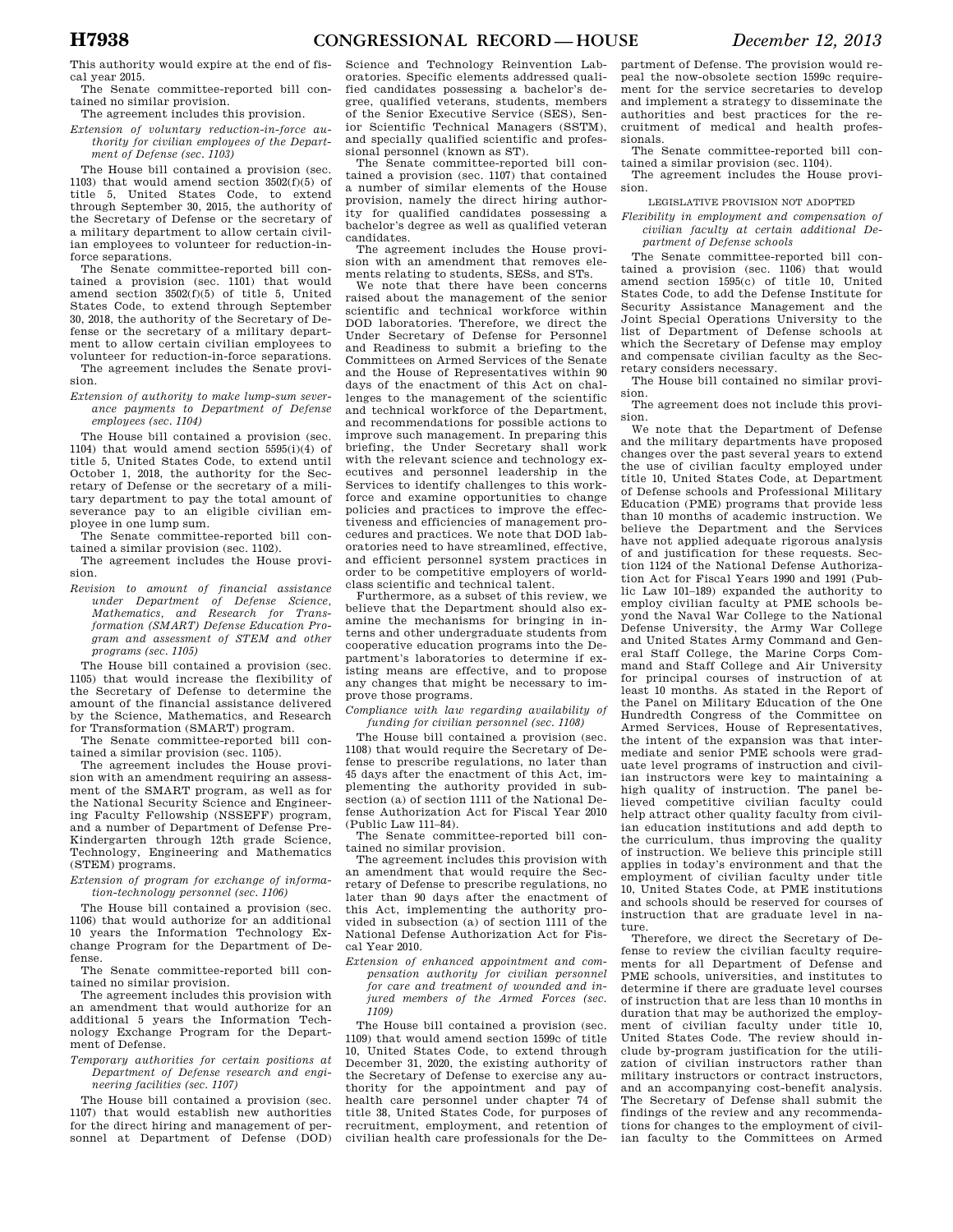This authority would expire at the end of fiscal year 2015.

The Senate committee-reported bill contained no similar provision.

The agreement includes this provision. *Extension of voluntary reduction-in-force au-*

*thority for civilian employees of the Department of Defense (sec. 1103)* 

The House bill contained a provision (sec. 1103) that would amend section 3502(f)(5) of title 5, United States Code, to extend through September 30, 2015, the authority of the Secretary of Defense or the secretary of a military department to allow certain civilian employees to volunteer for reduction-inforce separations.

The Senate committee-reported bill contained a provision (sec. 1101) that would amend section 3502(f)(5) of title 5, United States Code, to extend through September 30, 2018, the authority of the Secretary of Defense or the secretary of a military department to allow certain civilian employees to volunteer for reduction-in-force separations. The agreement includes the Senate provi-

sion.

*Extension of authority to make lump-sum severance payments to Department of Defense employees (sec. 1104)* 

The House bill contained a provision (sec. 1104) that would amend section 5595(i)(4) of title 5, United States Code, to extend until October 1, 2018, the authority for the Secretary of Defense or the secretary of a military department to pay the total amount of severance pay to an eligible civilian employee in one lump sum.

The Senate committee-reported bill contained a similar provision (sec. 1102).

The agreement includes the House provision.

*Revision to amount of financial assistance under Department of Defense Science, Mathematics, and Research for Transformation (SMART) Defense Education Program and assessment of STEM and other programs (sec. 1105)* 

The House bill contained a provision (sec. 1105) that would increase the flexibility of the Secretary of Defense to determine the amount of the financial assistance delivered by the Science, Mathematics, and Research for Transformation (SMART) program.

The Senate committee-reported bill contained a similar provision (sec. 1105).

The agreement includes the House provision with an amendment requiring an assessment of the SMART program, as well as for the National Security Science and Engineering Faculty Fellowship (NSSEFF) program, and a number of Department of Defense Pre-Kindergarten through 12th grade Science, Technology, Engineering and Mathematics (STEM) programs.

*Extension of program for exchange of information-technology personnel (sec. 1106)* 

The House bill contained a provision (sec. 1106) that would authorize for an additional 10 years the Information Technology Exchange Program for the Department of Defense.

The Senate committee-reported bill contained no similar provision.

The agreement includes this provision with an amendment that would authorize for an additional 5 years the Information Technology Exchange Program for the Department of Defense.

*Temporary authorities for certain positions at Department of Defense research and engineering facilities (sec. 1107)* 

The House bill contained a provision (sec. 1107) that would establish new authorities for the direct hiring and management of personnel at Department of Defense (DOD)

Science and Technology Reinvention Laboratories. Specific elements addressed qualified candidates possessing a bachelor's degree, qualified veterans, students, members of the Senior Executive Service (SES), Senior Scientific Technical Managers (SSTM), and specially qualified scientific and professional personnel (known as ST).

The Senate committee-reported bill contained a provision (sec. 1107) that contained a number of similar elements of the House provision, namely the direct hiring authority for qualified candidates possessing a bachelor's degree as well as qualified veteran candidates.

The agreement includes the House provision with an amendment that removes elements relating to students, SESs, and STs.

We note that there have been concerns raised about the management of the senior scientific and technical workforce within DOD laboratories. Therefore, we direct the Under Secretary of Defense for Personnel and Readiness to submit a briefing to the Committees on Armed Services of the Senate and the House of Representatives within 90 days of the enactment of this Act on challenges to the management of the scientific and technical workforce of the Department, and recommendations for possible actions to improve such management. In preparing this briefing, the Under Secretary shall work with the relevant science and technology executives and personnel leadership in the Services to identify challenges to this workforce and examine opportunities to change policies and practices to improve the effectiveness and efficiencies of management procedures and practices. We note that DOD laboratories need to have streamlined, effective, and efficient personnel system practices in order to be competitive employers of worldclass scientific and technical talent.

Furthermore, as a subset of this review, we believe that the Department should also examine the mechanisms for bringing in interns and other undergraduate students from cooperative education programs into the Department's laboratories to determine if existing means are effective, and to propose any changes that might be necessary to improve those programs.

*Compliance with law regarding availability of funding for civilian personnel (sec. 1108)* 

The House bill contained a provision (sec. 1108) that would require the Secretary of Defense to prescribe regulations, no later than 45 days after the enactment of this Act, implementing the authority provided in subsection (a) of section 1111 of the National Defense Authorization Act for Fiscal Year 2010 (Public Law 111–84).

The Senate committee-reported bill contained no similar provision.

The agreement includes this provision with an amendment that would require the Secretary of Defense to prescribe regulations, no later than 90 days after the enactment of this Act, implementing the authority provided in subsection (a) of section 1111 of the National Defense Authorization Act for Fiscal Year 2010.

*Extension of enhanced appointment and compensation authority for civilian personnel for care and treatment of wounded and injured members of the Armed Forces (sec. 1109)* 

The House bill contained a provision (sec. 1109) that would amend section 1599c of title 10, United States Code, to extend through December 31, 2020, the existing authority of the Secretary of Defense to exercise any authority for the appointment and pay of health care personnel under chapter 74 of title 38, United States Code, for purposes of recruitment, employment, and retention of civilian health care professionals for the De-

partment of Defense. The provision would repeal the now-obsolete section 1599c requirement for the service secretaries to develop and implement a strategy to disseminate the authorities and best practices for the recruitment of medical and health professionals.

The Senate committee-reported bill contained a similar provision (sec. 1104).

The agreement includes the House provision.

LEGISLATIVE PROVISION NOT ADOPTED

*Flexibility in employment and compensation of civilian faculty at certain additional Department of Defense schools* 

The Senate committee-reported bill contained a provision (sec. 1106) that would amend section 1595(c) of title 10, United States Code, to add the Defense Institute for Security Assistance Management and the Joint Special Operations University to the list of Department of Defense schools at which the Secretary of Defense may employ and compensate civilian faculty as the Secretary considers necessary.

The House bill contained no similar provision.

The agreement does not include this provision.

We note that the Department of Defense and the military departments have proposed changes over the past several years to extend the use of civilian faculty employed under title 10, United States Code, at Department of Defense schools and Professional Military Education (PME) programs that provide less than 10 months of academic instruction. We believe the Department and the Services have not applied adequate rigorous analysis of and justification for these requests. Section 1124 of the National Defense Authorization Act for Fiscal Years 1990 and 1991 (Public Law 101–189) expanded the authority to employ civilian faculty at PME schools beyond the Naval War College to the National Defense University, the Army War College and United States Army Command and General Staff College, the Marine Corps Command and Staff College and Air University for principal courses of instruction of at least 10 months. As stated in the Report of the Panel on Military Education of the One Hundredth Congress of the Committee on Armed Services, House of Representatives, the intent of the expansion was that intermediate and senior PME schools were graduate level programs of instruction and civilian instructors were key to maintaining a high quality of instruction. The panel believed competitive civilian faculty could help attract other quality faculty from civilian education institutions and add depth to the curriculum, thus improving the quality of instruction. We believe this principle still applies in today's environment and that the employment of civilian faculty under title 10, United States Code, at PME institutions and schools should be reserved for courses of instruction that are graduate level in nature.

Therefore, we direct the Secretary of Defense to review the civilian faculty requirements for all Department of Defense and PME schools, universities, and institutes to determine if there are graduate level courses of instruction that are less than 10 months in duration that may be authorized the employment of civilian faculty under title 10, United States Code. The review should include by-program justification for the utilization of civilian instructors rather than military instructors or contract instructors, and an accompanying cost-benefit analysis. The Secretary of Defense shall submit the findings of the review and any recommendations for changes to the employment of civilian faculty to the Committees on Armed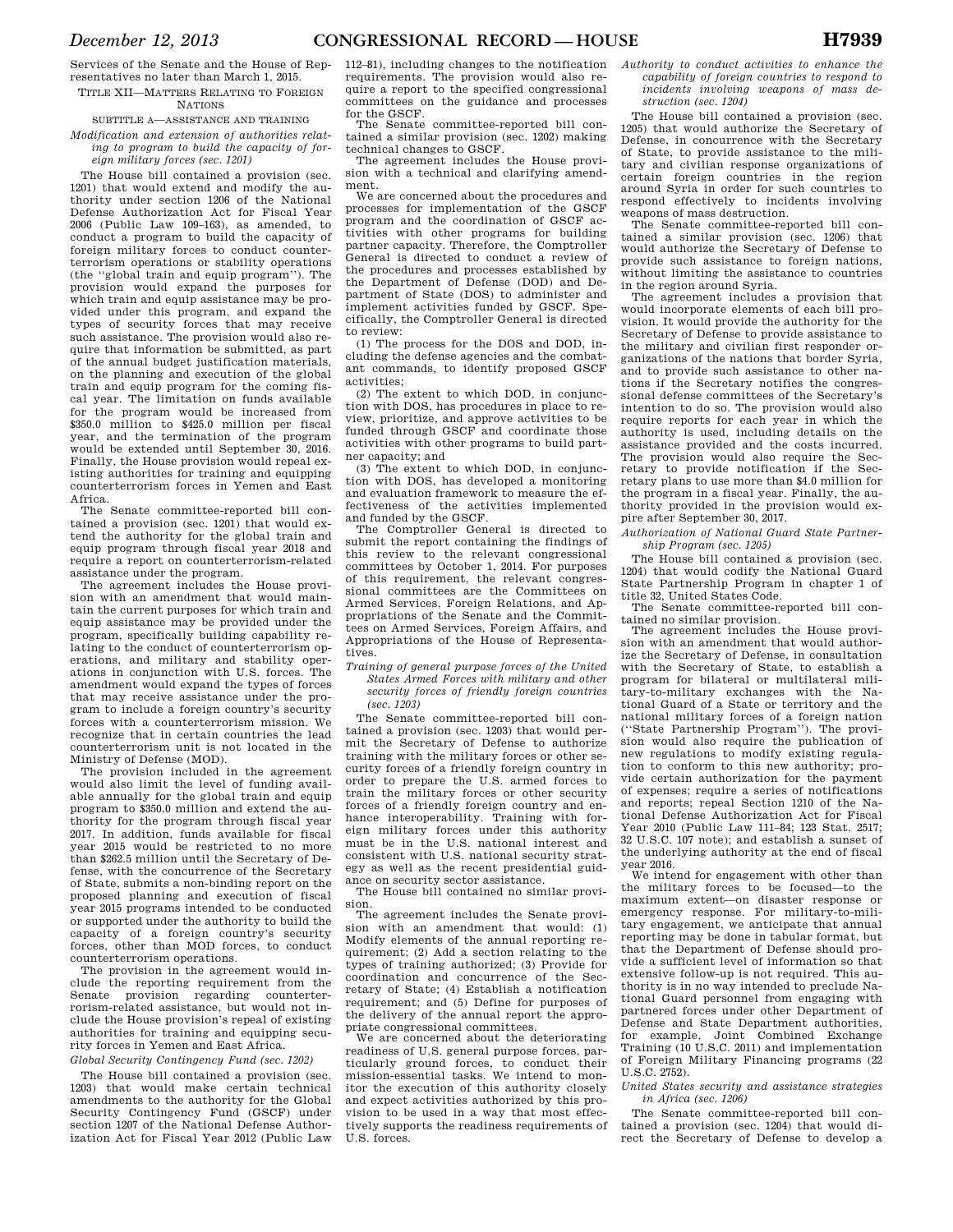Services of the Senate and the House of Representatives no later than March 1, 2015. TITLE XII—MATTERS RELATING TO FOREIGN

**NATIONS** 

## SUBTITLE A—ASSISTANCE AND TRAINING *Modification and extension of authorities relat-*

*ing to program to build the capacity of foreign military forces (sec. 1201)* 

The House bill contained a provision (sec. 1201) that would extend and modify the authority under section 1206 of the National Defense Authorization Act for Fiscal Year 2006 (Public Law 109–163), as amended, to conduct a program to build the capacity of foreign military forces to conduct counterterrorism operations or stability operations (the ''global train and equip program''). The provision would expand the purposes for which train and equip assistance may be provided under this program, and expand the types of security forces that may receive such assistance. The provision would also require that information be submitted, as part of the annual budget justification materials, on the planning and execution of the global train and equip program for the coming fiscal year. The limitation on funds available for the program would be increased from \$350.0 million to \$425.0 million per fiscal year, and the termination of the program would be extended until September 30, 2016. Finally, the House provision would repeal existing authorities for training and equipping counterterrorism forces in Yemen and East Africa.

The Senate committee-reported bill contained a provision (sec. 1201) that would extend the authority for the global train and equip program through fiscal year 2018 and require a report on counterterrorism-related assistance under the program.

The agreement includes the House provision with an amendment that would maintain the current purposes for which train and equip assistance may be provided under the program, specifically building capability relating to the conduct of counterterrorism operations, and military and stability operations in conjunction with U.S. forces. The amendment would expand the types of forces that may receive assistance under the program to include a foreign country's security forces with a counterterrorism mission. We recognize that in certain countries the lead counterterrorism unit is not located in the Ministry of Defense (MOD).

The provision included in the agreement would also limit the level of funding available annually for the global train and equip program to \$350.0 million and extend the authority for the program through fiscal year 2017. In addition, funds available for fiscal year 2015 would be restricted to no more than \$262.5 million until the Secretary of Defense, with the concurrence of the Secretary of State, submits a non-binding report on the proposed planning and execution of fiscal year 2015 programs intended to be conducted or supported under the authority to build the capacity of a foreign country's security forces, other than MOD forces, to conduct counterterrorism operations.

The provision in the agreement would include the reporting requirement from the Senate provision regarding counterterrorism-related assistance, but would not include the House provision's repeal of existing authorities for training and equipping security forces in Yemen and East Africa.

# *Global Security Contingency Fund (sec. 1202)*

The House bill contained a provision (sec. 1203) that would make certain technical amendments to the authority for the Global Security Contingency Fund (GSCF) under section 1207 of the National Defense Authorization Act for Fiscal Year 2012 (Public Law 112–81), including changes to the notification requirements. The provision would also require a report to the specified congressional committees on the guidance and processes for the GSCF.

The Senate committee-reported bill contained a similar provision (sec. 1202) making technical changes to GSCF.

The agreement includes the House provision with a technical and clarifying amendment.

We are concerned about the procedures and processes for implementation of the GSCF program and the coordination of GSCF activities with other programs for building partner capacity. Therefore, the Comptroller General is directed to conduct a review of the procedures and processes established by the Department of Defense (DOD) and Department of State (DOS) to administer and implement activities funded by GSCF. Specifically, the Comptroller General is directed to review:

(1) The process for the DOS and DOD, including the defense agencies and the combatant commands, to identify proposed GSCF activities;

(2) The extent to which DOD, in conjunction with DOS, has procedures in place to review, prioritize, and approve activities to be funded through GSCF and coordinate those activities with other programs to build partner capacity; and

(3) The extent to which DOD, in conjunction with DOS, has developed a monitoring and evaluation framework to measure the effectiveness of the activities implemented and funded by the GSCF.

The Comptroller General is directed to submit the report containing the findings of this review to the relevant congressional committees by October 1, 2014. For purposes of this requirement, the relevant congressional committees are the Committees on Armed Services, Foreign Relations, and Appropriations of the Senate and the Committees on Armed Services, Foreign Affairs, and Appropriations of the House of Representatives.

*Training of general purpose forces of the United States Armed Forces with military and other security forces of friendly foreign countries (sec. 1203)* 

The Senate committee-reported bill contained a provision (sec. 1203) that would permit the Secretary of Defense to authorize training with the military forces or other security forces of a friendly foreign country in order to prepare the U.S. armed forces to train the military forces or other security forces of a friendly foreign country and enhance interoperability. Training with foreign military forces under this authority must be in the U.S. national interest and consistent with U.S. national security strategy as well as the recent presidential guidance on security sector assistance.

The House bill contained no similar provision.

The agreement includes the Senate provision with an amendment that would: (1) Modify elements of the annual reporting requirement; (2) Add a section relating to the types of training authorized; (3) Provide for coordination and concurrence of the Secretary of State; (4) Establish a notification requirement; and (5) Define for purposes of the delivery of the annual report the appropriate congressional committees.

We are concerned about the deteriorating readiness of U.S. general purpose forces, particularly ground forces, to conduct their mission-essential tasks. We intend to monitor the execution of this authority closely and expect activities authorized by this provision to be used in a way that most effectively supports the readiness requirements of U.S. forces.

*Authority to conduct activities to enhance the capability of foreign countries to respond to incidents involving weapons of mass destruction (sec. 1204)* 

The House bill contained a provision (sec. 1205) that would authorize the Secretary of Defense, in concurrence with the Secretary of State, to provide assistance to the military and civilian response organizations of certain foreign countries in the region around Syria in order for such countries to respond effectively to incidents involving weapons of mass destruction.

The Senate committee-reported bill contained a similar provision (sec. 1206) that would authorize the Secretary of Defense to provide such assistance to foreign nations, without limiting the assistance to countries in the region around Syria.

The agreement includes a provision that would incorporate elements of each bill provision. It would provide the authority for the Secretary of Defense to provide assistance to the military and civilian first responder organizations of the nations that border Syria, and to provide such assistance to other nations if the Secretary notifies the congressional defense committees of the Secretary's intention to do so. The provision would also require reports for each year in which the authority is used, including details on the assistance provided and the costs incurred. The provision would also require the Secretary to provide notification if the Secretary plans to use more than \$4.0 million for the program in a fiscal year. Finally, the authority provided in the provision would expire after September 30, 2017.

*Authorization of National Guard State Partnership Program (sec. 1205)* 

The House bill contained a provision (sec. 1204) that would codify the National Guard State Partnership Program in chapter 1 of title 32, United States Code.

The Senate committee-reported bill contained no similar provision.

The agreement includes the House provision with an amendment that would authorize the Secretary of Defense, in consultation with the Secretary of State, to establish a program for bilateral or multilateral military-to-military exchanges with the National Guard of a State or territory and the national military forces of a foreign nation (''State Partnership Program''). The provision would also require the publication of new regulations to modify existing regulation to conform to this new authority; provide certain authorization for the payment of expenses; require a series of notifications and reports; repeal Section 1210 of the National Defense Authorization Act for Fiscal Year 2010 (Public Law 111–84; 123 Stat. 2517; 32 U.S.C. 107 note); and establish a sunset of the underlying authority at the end of fiscal year 2016.

We intend for engagement with other than the military forces to be focused—to the maximum extent—on disaster response or emergency response. For military-to-military engagement, we anticipate that annual reporting may be done in tabular format, but that the Department of Defense should provide a sufficient level of information so that extensive follow-up is not required. This authority is in no way intended to preclude National Guard personnel from engaging with partnered forces under other Department of Defense and State Department authorities, for example, Joint Combined Exchange Training (10 U.S.C. 2011) and implementation of Foreign Military Financing programs (22 U.S.C. 2752).

*United States security and assistance strategies in Africa (sec. 1206)* 

The Senate committee-reported bill contained a provision (sec. 1204) that would direct the Secretary of Defense to develop a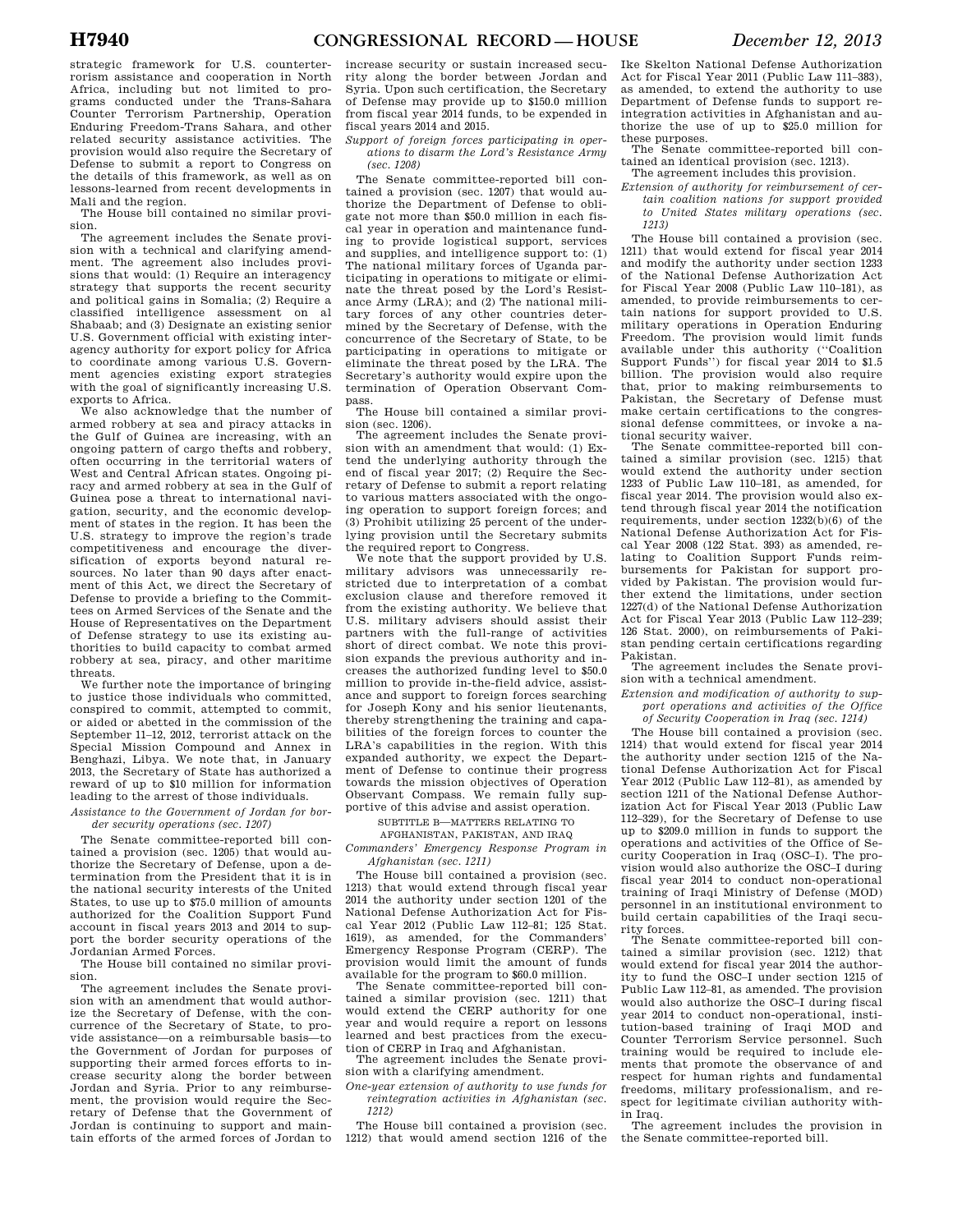strategic framework for U.S. counterterrorism assistance and cooperation in North Africa, including but not limited to programs conducted under the Trans-Sahara Counter Terrorism Partnership, Operation Enduring Freedom-Trans Sahara, and other related security assistance activities. The provision would also require the Secretary of Defense to submit a report to Congress on the details of this framework, as well as on lessons-learned from recent developments in Mali and the region.

The House bill contained no similar provision.

The agreement includes the Senate provision with a technical and clarifying amendment. The agreement also includes provisions that would: (1) Require an interagency strategy that supports the recent security and political gains in Somalia; (2) Require a classified intelligence assessment on al Shabaab; and (3) Designate an existing senior U.S. Government official with existing interagency authority for export policy for Africa to coordinate among various U.S. Government agencies existing export strategies with the goal of significantly increasing U.S. exports to Africa.

We also acknowledge that the number of armed robbery at sea and piracy attacks in the Gulf of Guinea are increasing, with an ongoing pattern of cargo thefts and robbery, often occurring in the territorial waters of West and Central African states. Ongoing piracy and armed robbery at sea in the Gulf of Guinea pose a threat to international navigation, security, and the economic development of states in the region. It has been the U.S. strategy to improve the region's trade competitiveness and encourage the diversification of exports beyond natural resources. No later than 90 days after enactment of this Act, we direct the Secretary of Defense to provide a briefing to the Committees on Armed Services of the Senate and the House of Representatives on the Department of Defense strategy to use its existing authorities to build capacity to combat armed robbery at sea, piracy, and other maritime threats.

We further note the importance of bringing to justice those individuals who committed, conspired to commit, attempted to commit, or aided or abetted in the commission of the September 11–12, 2012, terrorist attack on the Special Mission Compound and Annex in Benghazi, Libya. We note that, in January 2013, the Secretary of State has authorized a reward of up to \$10 million for information leading to the arrest of those individuals.

*Assistance to the Government of Jordan for border security operations (sec. 1207)* 

The Senate committee-reported bill contained a provision (sec. 1205) that would authorize the Secretary of Defense, upon a determination from the President that it is in the national security interests of the United States, to use up to \$75.0 million of amounts authorized for the Coalition Support Fund account in fiscal years 2013 and 2014 to support the border security operations of the Jordanian Armed Forces.

The House bill contained no similar provision.

The agreement includes the Senate provision with an amendment that would authorize the Secretary of Defense, with the concurrence of the Secretary of State, to provide assistance—on a reimbursable basis—to the Government of Jordan for purposes of supporting their armed forces efforts to increase security along the border between Jordan and Syria. Prior to any reimbursement, the provision would require the Secretary of Defense that the Government of Jordan is continuing to support and maintain efforts of the armed forces of Jordan to increase security or sustain increased security along the border between Jordan and Syria. Upon such certification, the Secretary of Defense may provide up to \$150.0 million from fiscal year 2014 funds, to be expended in fiscal years 2014 and 2015.

*Support of foreign forces participating in operations to disarm the Lord's Resistance Army (sec. 1208)* 

The Senate committee-reported bill contained a provision (sec. 1207) that would authorize the Department of Defense to obligate not more than \$50.0 million in each fiscal year in operation and maintenance funding to provide logistical support, services and supplies, and intelligence support to: (1) The national military forces of Uganda participating in operations to mitigate or eliminate the threat posed by the Lord's Resistance Army (LRA); and (2) The national military forces of any other countries determined by the Secretary of Defense, with the concurrence of the Secretary of State, to be participating in operations to mitigate or eliminate the threat posed by the LRA. The Secretary's authority would expire upon the termination of Operation Observant Compass.

The House bill contained a similar provision (sec. 1206).

The agreement includes the Senate provision with an amendment that would: (1) Extend the underlying authority through the end of fiscal year 2017; (2) Require the Secretary of Defense to submit a report relating to various matters associated with the ongoing operation to support foreign forces; and (3) Prohibit utilizing 25 percent of the underlying provision until the Secretary submits the required report to Congress.

We note that the support provided by U.S. military advisors was unnecessarily restricted due to interpretation of a combat exclusion clause and therefore removed it from the existing authority. We believe that U.S. military advisers should assist their partners with the full-range of activities short of direct combat. We note this provision expands the previous authority and increases the authorized funding level to \$50.0 million to provide in-the-field advice, assistance and support to foreign forces searching for Joseph Kony and his senior lieutenants, thereby strengthening the training and capabilities of the foreign forces to counter the LRA's capabilities in the region. With this expanded authority, we expect the Department of Defense to continue their progress towards the mission objectives of Operation Observant Compass. We remain fully supportive of this advise and assist operation.

SUBTITLE B—MATTERS RELATING TO

AFGHANISTAN, PAKISTAN, AND IRAQ

*Commanders' Emergency Response Program in Afghanistan (sec. 1211)* 

The House bill contained a provision (sec. 1213) that would extend through fiscal year 2014 the authority under section 1201 of the National Defense Authorization Act for Fiscal Year 2012 (Public Law 112–81; 125 Stat. 1619), as amended, for the Commanders' Emergency Response Program (CERP). The provision would limit the amount of funds available for the program to \$60.0 million.

The Senate committee-reported bill contained a similar provision (sec. 1211) that would extend the CERP authority for one year and would require a report on lessons learned and best practices from the execution of CERP in Iraq and Afghanistan.

The agreement includes the Senate provision with a clarifying amendment.

*One-year extension of authority to use funds for reintegration activities in Afghanistan (sec. 1212)* 

The House bill contained a provision (sec. 1212) that would amend section 1216 of the Ike Skelton National Defense Authorization Act for Fiscal Year 2011 (Public Law 111–383), as amended, to extend the authority to use Department of Defense funds to support reintegration activities in Afghanistan and authorize the use of up to \$25.0 million for these purposes.

The Senate committee-reported bill contained an identical provision (sec. 1213).

The agreement includes this provision.

- *Extension of authority for reimbursement of certain coalition nations for support provided* 
	- *to United States military operations (sec. 1213)*

The House bill contained a provision (sec. 1211) that would extend for fiscal year 2014 and modify the authority under section 1233 of the National Defense Authorization Act for Fiscal Year 2008 (Public Law 110–181), as amended, to provide reimbursements to certain nations for support provided to U.S. military operations in Operation Enduring Freedom. The provision would limit funds available under this authority (''Coalition Support Funds'') for fiscal year 2014 to \$1.5 billion. The provision would also require that, prior to making reimbursements to Pakistan, the Secretary of Defense must make certain certifications to the congressional defense committees, or invoke a national security waiver.

The Senate committee-reported bill contained a similar provision (sec. 1215) that would extend the authority under section 1233 of Public Law 110–181, as amended, for fiscal year 2014. The provision would also extend through fiscal year 2014 the notification requirements, under section 1232(b)(6) of the National Defense Authorization Act for Fiscal Year 2008 (122 Stat. 393) as amended, relating to Coalition Support Funds reimbursements for Pakistan for support provided by Pakistan. The provision would further extend the limitations, under section 1227(d) of the National Defense Authorization Act for Fiscal Year 2013 (Public Law 112–239; 126 Stat. 2000), on reimbursements of Pakistan pending certain certifications regarding Pakistan.

The agreement includes the Senate provision with a technical amendment.

*Extension and modification of authority to support operations and activities of the Office* 

*of Security Cooperation in Iraq (sec. 1214)* 

The House bill contained a provision (sec. 1214) that would extend for fiscal year 2014 the authority under section 1215 of the National Defense Authorization Act for Fiscal Year 2012 (Public Law 112–81), as amended by section 1211 of the National Defense Authorization Act for Fiscal Year 2013 (Public Law 112–329), for the Secretary of Defense to use up to \$209.0 million in funds to support the operations and activities of the Office of Security Cooperation in Iraq (OSC–I). The provision would also authorize the OSC–I during fiscal year 2014 to conduct non-operational training of Iraqi Ministry of Defense (MOD) personnel in an institutional environment to build certain capabilities of the Iraqi security forces.

The Senate committee-reported bill contained a similar provision (sec. 1212) that would extend for fiscal year 2014 the authority to fund the OSC–I under section 1215 of Public Law 112–81, as amended. The provision would also authorize the OSC–I during fiscal year 2014 to conduct non-operational, institution-based training of Iraqi MOD and Counter Terrorism Service personnel. Such training would be required to include elements that promote the observance of and respect for human rights and fundamental freedoms, military professionalism, and respect for legitimate civilian authority within Iraq.

The agreement includes the provision in the Senate committee-reported bill.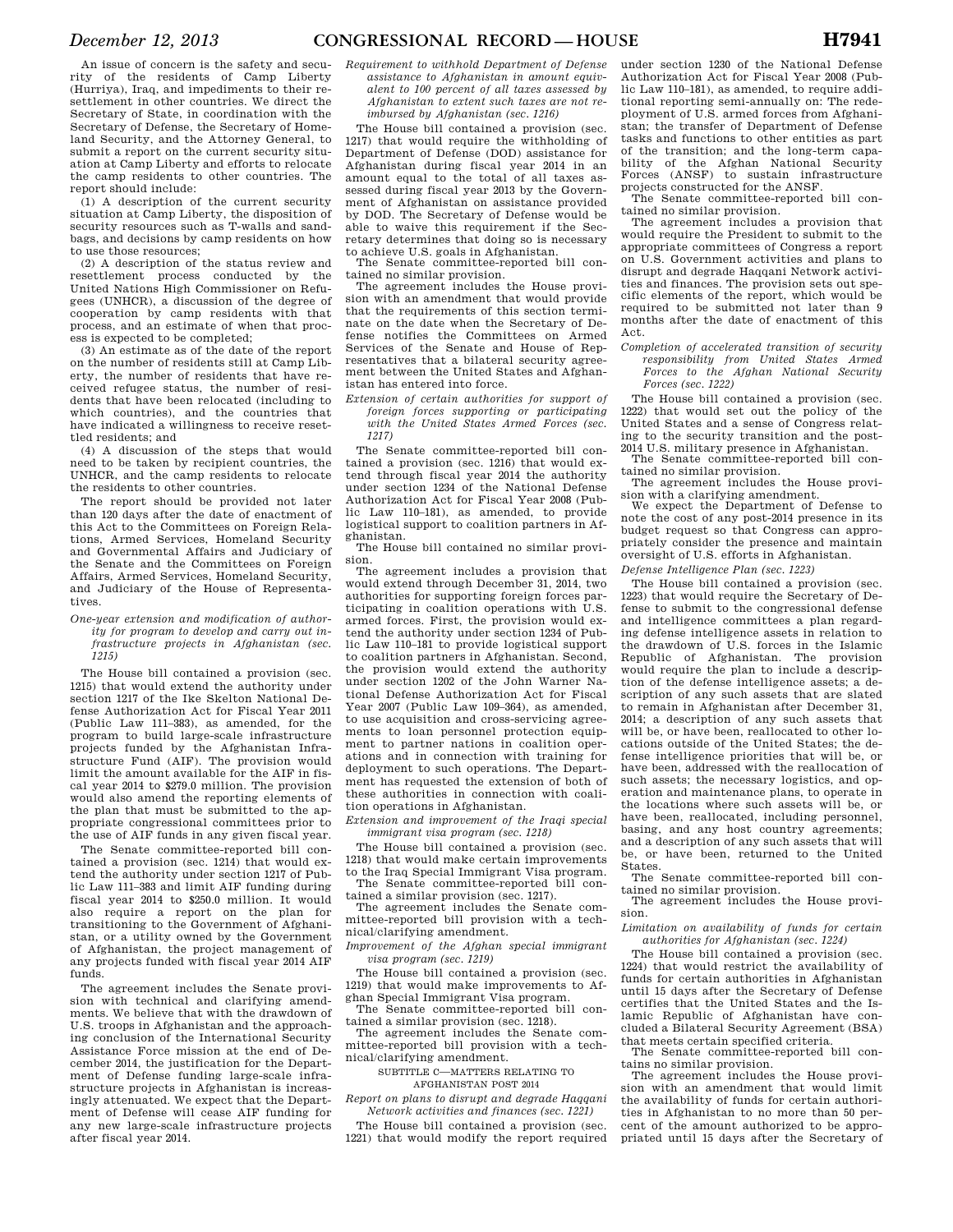An issue of concern is the safety and security of the residents of Camp Liberty (Hurriya), Iraq, and impediments to their resettlement in other countries. We direct the Secretary of State, in coordination with the Secretary of Defense, the Secretary of Homeland Security, and the Attorney General, to submit a report on the current security situation at Camp Liberty and efforts to relocate the camp residents to other countries. The report should include:

(1) A description of the current security situation at Camp Liberty, the disposition of security resources such as T-walls and sandbags, and decisions by camp residents on how to use those resources;

(2) A description of the status review and resettlement process conducted by the United Nations High Commissioner on Refugees (UNHCR), a discussion of the degree of cooperation by camp residents with that process, and an estimate of when that process is expected to be completed;

(3) An estimate as of the date of the report on the number of residents still at Camp Liberty, the number of residents that have received refugee status, the number of residents that have been relocated (including to which countries), and the countries that have indicated a willingness to receive resettled residents; and

(4) A discussion of the steps that would need to be taken by recipient countries, the UNHCR, and the camp residents to relocate the residents to other countries.

The report should be provided not later than 120 days after the date of enactment of this Act to the Committees on Foreign Relations, Armed Services, Homeland Security and Governmental Affairs and Judiciary of the Senate and the Committees on Foreign Affairs, Armed Services, Homeland Security, and Judiciary of the House of Representatives.

#### *One-year extension and modification of authority for program to develop and carry out infrastructure projects in Afghanistan (sec. 1215)*

The House bill contained a provision (sec. 1215) that would extend the authority under section 1217 of the Ike Skelton National Defense Authorization Act for Fiscal Year 2011 (Public Law 111–383), as amended, for the program to build large-scale infrastructure projects funded by the Afghanistan Infrastructure Fund (AIF). The provision would limit the amount available for the AIF in fiscal year 2014 to \$279.0 million. The provision would also amend the reporting elements of the plan that must be submitted to the appropriate congressional committees prior to the use of AIF funds in any given fiscal year.

The Senate committee-reported bill contained a provision (sec. 1214) that would extend the authority under section 1217 of Public Law 111–383 and limit AIF funding during fiscal year 2014 to \$250.0 million. It would also require a report on the plan for transitioning to the Government of Afghanistan, or a utility owned by the Government of Afghanistan, the project management of any projects funded with fiscal year 2014 AIF funds.

The agreement includes the Senate provision with technical and clarifying amendments. We believe that with the drawdown of U.S. troops in Afghanistan and the approaching conclusion of the International Security Assistance Force mission at the end of December 2014, the justification for the Department of Defense funding large-scale infrastructure projects in Afghanistan is increasingly attenuated. We expect that the Department of Defense will cease AIF funding for any new large-scale infrastructure projects after fiscal year 2014.

*Requirement to withhold Department of Defense assistance to Afghanistan in amount equivalent to 100 percent of all taxes assessed by Afghanistan to extent such taxes are not reimbursed by Afghanistan (sec. 1216)* 

The House bill contained a provision (sec. 1217) that would require the withholding of Department of Defense (DOD) assistance for Afghanistan during fiscal year 2014 in an amount equal to the total of all taxes assessed during fiscal year 2013 by the Government of Afghanistan on assistance provided by DOD. The Secretary of Defense would be able to waive this requirement if the Secretary determines that doing so is necessary to achieve U.S. goals in Afghanistan.

The Senate committee-reported bill contained no similar provision.

The agreement includes the House provision with an amendment that would provide that the requirements of this section terminate on the date when the Secretary of Defense notifies the Committees on Armed Services of the Senate and House of Representatives that a bilateral security agreement between the United States and Afghanistan has entered into force.

*Extension of certain authorities for support of foreign forces supporting or participating with the United States Armed Forces (sec. 1217)* 

The Senate committee-reported bill contained a provision (sec. 1216) that would extend through fiscal year 2014 the authority under section 1234 of the National Defense Authorization Act for Fiscal Year 2008 (Public Law 110–181), as amended, to provide logistical support to coalition partners in Afghanistan.

The House bill contained no similar provision.

The agreement includes a provision that would extend through December 31, 2014, two authorities for supporting foreign forces participating in coalition operations with U.S. armed forces. First, the provision would extend the authority under section 1234 of Public Law 110–181 to provide logistical support to coalition partners in Afghanistan. Second, the provision would extend the authority under section 1202 of the John Warner National Defense Authorization Act for Fiscal Year 2007 (Public Law 109–364), as amended, to use acquisition and cross-servicing agreements to loan personnel protection equipment to partner nations in coalition operations and in connection with training for deployment to such operations. The Department has requested the extension of both of these authorities in connection with coalition operations in Afghanistan.

*Extension and improvement of the Iraqi special immigrant visa program (sec. 1218)* 

The House bill contained a provision (sec. 1218) that would make certain improvements to the Iraq Special Immigrant Visa program. The Senate committee-reported bill con-

tained a similar provision (sec. 1217).

The agreement includes the Senate committee-reported bill provision with a technical/clarifying amendment.

*Improvement of the Afghan special immigrant visa program (sec. 1219)* 

The House bill contained a provision (sec. 1219) that would make improvements to Afghan Special Immigrant Visa program.

The Senate committee-reported bill contained a similar provision (sec. 1218). The agreement includes the Senate com-

mittee-reported bill provision with a technical/clarifying amendment.

SUBTITLE C—MATTERS RELATING TO AFGHANISTAN POST 2014

*Report on plans to disrupt and degrade Haqqani Network activities and finances (sec. 1221)* 

The House bill contained a provision (sec. 1221) that would modify the report required

under section 1230 of the National Defense Authorization Act for Fiscal Year 2008 (Public Law 110–181), as amended, to require additional reporting semi-annually on: The redeployment of U.S. armed forces from Afghanistan; the transfer of Department of Defense tasks and functions to other entities as part of the transition; and the long-term capability of the Afghan National Security Forces (ANSF) to sustain infrastructure projects constructed for the ANSF.

The Senate committee-reported bill contained no similar provision.

The agreement includes a provision that would require the President to submit to the appropriate committees of Congress a report on U.S. Government activities and plans to disrupt and degrade Haqqani Network activities and finances. The provision sets out specific elements of the report, which would be required to be submitted not later than 9 months after the date of enactment of this Act.

*Completion of accelerated transition of security responsibility from United States Armed Forces to the Afghan National Security Forces (sec. 1222)* 

The House bill contained a provision (sec. 1222) that would set out the policy of the United States and a sense of Congress relating to the security transition and the post-2014 U.S. military presence in Afghanistan.

The Senate committee-reported bill contained no similar provision.

The agreement includes the House provision with a clarifying amendment.

We expect the Department of Defense to note the cost of any post-2014 presence in its budget request so that Congress can appropriately consider the presence and maintain oversight of U.S. efforts in Afghanistan.

*Defense Intelligence Plan (sec. 1223)* 

The House bill contained a provision (sec. 1223) that would require the Secretary of Defense to submit to the congressional defense and intelligence committees a plan regarding defense intelligence assets in relation to the drawdown of U.S. forces in the Islamic Republic of Afghanistan. The provision would require the plan to include a description of the defense intelligence assets; a description of any such assets that are slated to remain in Afghanistan after December 31, 2014; a description of any such assets that will be, or have been, reallocated to other locations outside of the United States; the defense intelligence priorities that will be, or have been, addressed with the reallocation of such assets; the necessary logistics, and operation and maintenance plans, to operate in the locations where such assets will be, or have been, reallocated, including personnel, basing, and any host country agreements; and a description of any such assets that will be, or have been, returned to the United States.

The Senate committee-reported bill contained no similar provision.

The agreement includes the House provision.

*Limitation on availability of funds for certain authorities for Afghanistan (sec. 1224)* 

The House bill contained a provision (sec. 1224) that would restrict the availability of funds for certain authorities in Afghanistan until 15 days after the Secretary of Defense certifies that the United States and the Islamic Republic of Afghanistan have concluded a Bilateral Security Agreement (BSA) that meets certain specified criteria.

The Senate committee-reported bill contains no similar provision.

The agreement includes the House provision with an amendment that would limit the availability of funds for certain authorities in Afghanistan to no more than 50 percent of the amount authorized to be appropriated until 15 days after the Secretary of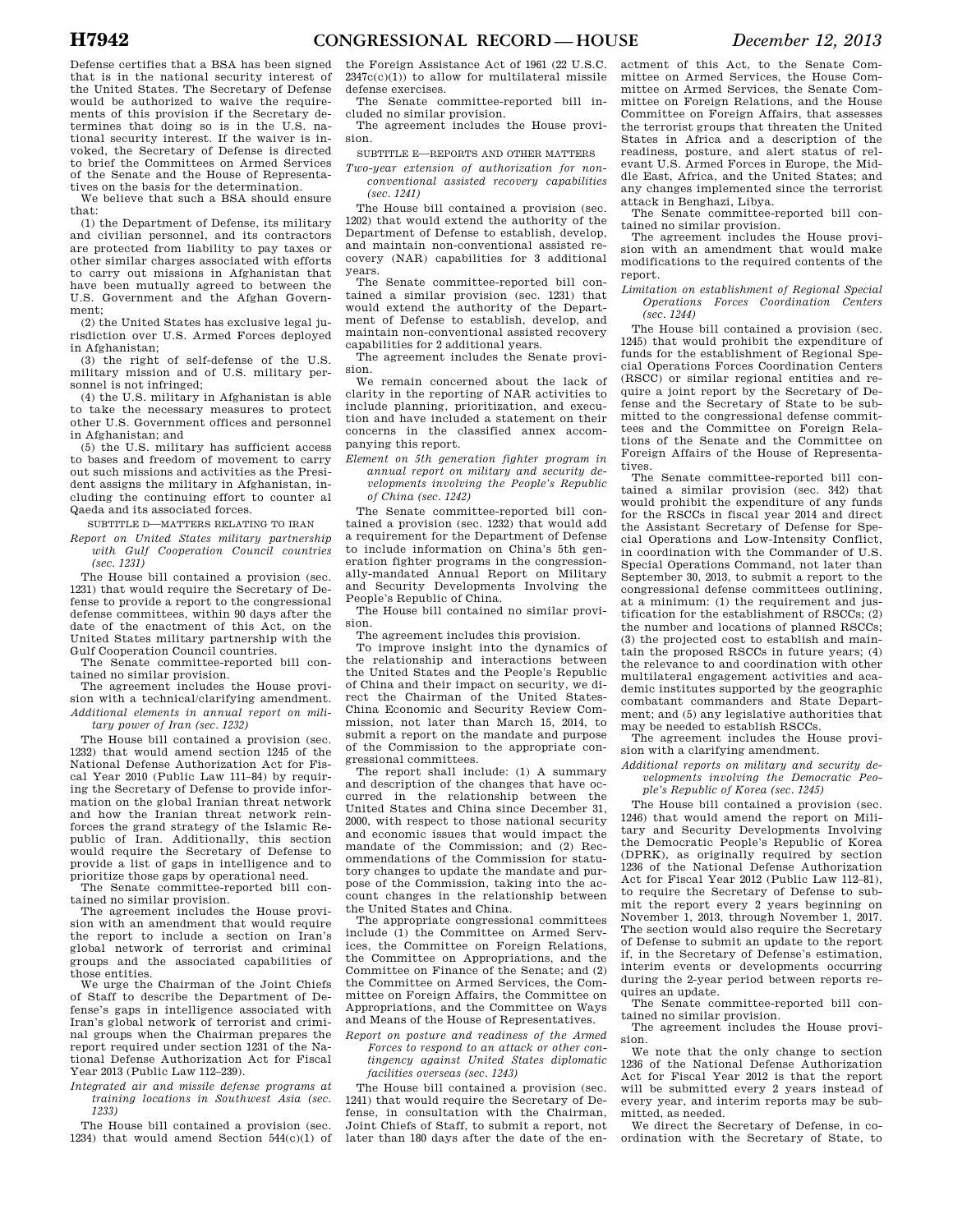Defense certifies that a BSA has been signed that is in the national security interest of the United States. The Secretary of Defense would be authorized to waive the requirements of this provision if the Secretary determines that doing so is in the U.S. national security interest. If the waiver is invoked, the Secretary of Defense is directed to brief the Committees on Armed Services of the Senate and the House of Representatives on the basis for the determination.

We believe that such a BSA should ensure that:

(1) the Department of Defense, its military and civilian personnel, and its contractors are protected from liability to pay taxes or other similar charges associated with efforts to carry out missions in Afghanistan that have been mutually agreed to between the U.S. Government and the Afghan Government;

(2) the United States has exclusive legal jurisdiction over U.S. Armed Forces deployed in Afghanistan;

(3) the right of self-defense of the U.S. military mission and of U.S. military personnel is not infringed;

(4) the U.S. military in Afghanistan is able to take the necessary measures to protect other U.S. Government offices and personnel in Afghanistan; and

(5) the U.S. military has sufficient access to bases and freedom of movement to carry out such missions and activities as the President assigns the military in Afghanistan, including the continuing effort to counter al Qaeda and its associated forces.

SUBTITLE D—MATTERS RELATING TO IRAN

*Report on United States military partnership with Gulf Cooperation Council countries (sec. 1231)* 

The House bill contained a provision (sec. 1231) that would require the Secretary of Defense to provide a report to the congressional defense committees, within 90 days after the date of the enactment of this Act, on the United States military partnership with the Gulf Cooperation Council countries.

The Senate committee-reported bill con-

tained no similar provision. The agreement includes the House provision with a technical/clarifying amendment. *Additional elements in annual report on military power of Iran (sec. 1232)* 

The House bill contained a provision (sec. 1232) that would amend section 1245 of the National Defense Authorization Act for Fiscal Year 2010 (Public Law 111–84) by requiring the Secretary of Defense to provide information on the global Iranian threat network and how the Iranian threat network reinforces the grand strategy of the Islamic Republic of Iran. Additionally, this section would require the Secretary of Defense to

provide a list of gaps in intelligence and to prioritize those gaps by operational need. The Senate committee-reported bill contained no similar provision.

The agreement includes the House provision with an amendment that would require the report to include a section on Iran's global network of terrorist and criminal groups and the associated capabilities of those entities.

We urge the Chairman of the Joint Chiefs of Staff to describe the Department of Defense's gaps in intelligence associated with Iran's global network of terrorist and criminal groups when the Chairman prepares the report required under section 1231 of the National Defense Authorization Act for Fiscal Year 2013 (Public Law 112–239).

*Integrated air and missile defense programs at training locations in Southwest Asia (sec. 1233)* 

The House bill contained a provision (sec. 1234) that would amend Section 544(c)(1) of

the Foreign Assistance Act of 1961 (22 U.S.C.  $2347c(c)(1)$ ) to allow for multilateral missile defense exercises.

The Senate committee-reported bill included no similar provision.

The agreement includes the House provision.

SUBTITLE E—REPORTS AND OTHER MATTERS

*Two-year extension of authorization for nonconventional assisted recovery capabilities (sec. 1241)* 

The House bill contained a provision (sec. 1202) that would extend the authority of the Department of Defense to establish, develop, and maintain non-conventional assisted recovery (NAR) capabilities for 3 additional years.

The Senate committee-reported bill contained a similar provision (sec. 1231) that would extend the authority of the Department of Defense to establish, develop, and maintain non-conventional assisted recovery capabilities for 2 additional years.

The agreement includes the Senate provision.

We remain concerned about the lack of clarity in the reporting of NAR activities to include planning, prioritization, and execution and have included a statement on their concerns in the classified annex accompanying this report.

*Element on 5th generation fighter program in annual report on military and security developments involving the People's Republic of China (sec. 1242)* 

The Senate committee-reported bill contained a provision (sec. 1232) that would add a requirement for the Department of Defense to include information on China's 5th generation fighter programs in the congressionally-mandated Annual Report on Military and Security Developments Involving the People's Republic of China.

The House bill contained no similar provision.

The agreement includes this provision.

To improve insight into the dynamics of the relationship and interactions between the United States and the People's Republic of China and their impact on security, we direct the Chairman of the United States-China Economic and Security Review Commission, not later than March 15, 2014, to submit a report on the mandate and purpose of the Commission to the appropriate congressional committees.

The report shall include: (1) A summary and description of the changes that have occurred in the relationship between the United States and China since December 31, 2000, with respect to those national security and economic issues that would impact the mandate of the Commission; and (2) Recommendations of the Commission for statutory changes to update the mandate and purpose of the Commission, taking into the account changes in the relationship between the United States and China.

The appropriate congressional committees include (1) the Committee on Armed Services, the Committee on Foreign Relations, the Committee on Appropriations, and the Committee on Finance of the Senate; and (2) the Committee on Armed Services, the Committee on Foreign Affairs, the Committee on Appropriations, and the Committee on Ways and Means of the House of Representatives.

*Report on posture and readiness of the Armed Forces to respond to an attack or other contingency against United States diplomatic facilities overseas (sec. 1243)* 

The House bill contained a provision (sec. 1241) that would require the Secretary of Defense, in consultation with the Chairman, Joint Chiefs of Staff, to submit a report, not later than 180 days after the date of the enactment of this Act, to the Senate Committee on Armed Services, the House Committee on Armed Services, the Senate Committee on Foreign Relations, and the House Committee on Foreign Affairs, that assesses the terrorist groups that threaten the United States in Africa and a description of the readiness, posture, and alert status of relevant U.S. Armed Forces in Europe, the Middle East, Africa, and the United States; and any changes implemented since the terrorist attack in Benghazi, Libya.

The Senate committee-reported bill contained no similar provision.

The agreement includes the House provision with an amendment that would make modifications to the required contents of the report.

*Limitation on establishment of Regional Special Operations Forces Coordination Centers (sec. 1244)* 

The House bill contained a provision (sec. 1245) that would prohibit the expenditure of funds for the establishment of Regional Special Operations Forces Coordination Centers (RSCC) or similar regional entities and require a joint report by the Secretary of Defense and the Secretary of State to be submitted to the congressional defense committees and the Committee on Foreign Relations of the Senate and the Committee on Foreign Affairs of the House of Representatives.

The Senate committee-reported bill contained a similar provision (sec. 342) that would prohibit the expenditure of any funds for the RSCCs in fiscal year 2014 and direct the Assistant Secretary of Defense for Special Operations and Low-Intensity Conflict, in coordination with the Commander of U.S. Special Operations Command, not later than September 30, 2013, to submit a report to the congressional defense committees outlining, at a minimum: (1) the requirement and justification for the establishment of RSCCs; (2) the number and locations of planned RSCCs; (3) the projected cost to establish and maintain the proposed RSCCs in future years; (4) the relevance to and coordination with other multilateral engagement activities and academic institutes supported by the geographic combatant commanders and State Department; and (5) any legislative authorities that may be needed to establish RSCCs.

The agreement includes the House provision with a clarifying amendment.

*Additional reports on military and security developments involving the Democratic People's Republic of Korea (sec. 1245)* 

The House bill contained a provision (sec. 1246) that would amend the report on Military and Security Developments Involving the Democratic People's Republic of Korea (DPRK), as originally required by section 1236 of the National Defense Authorization Act for Fiscal Year 2012 (Public Law 112–81), to require the Secretary of Defense to submit the report every 2 years beginning on November 1, 2013, through November 1, 2017. The section would also require the Secretary of Defense to submit an update to the report if, in the Secretary of Defense's estimation, interim events or developments occurring during the 2-year period between reports requires an update.

The Senate committee-reported bill contained no similar provision.

The agreement includes the House provision.

We note that the only change to section 1236 of the National Defense Authorization Act for Fiscal Year 2012 is that the report will be submitted every 2 years instead of every year, and interim reports may be submitted, as needed.

We direct the Secretary of Defense, in coordination with the Secretary of State, to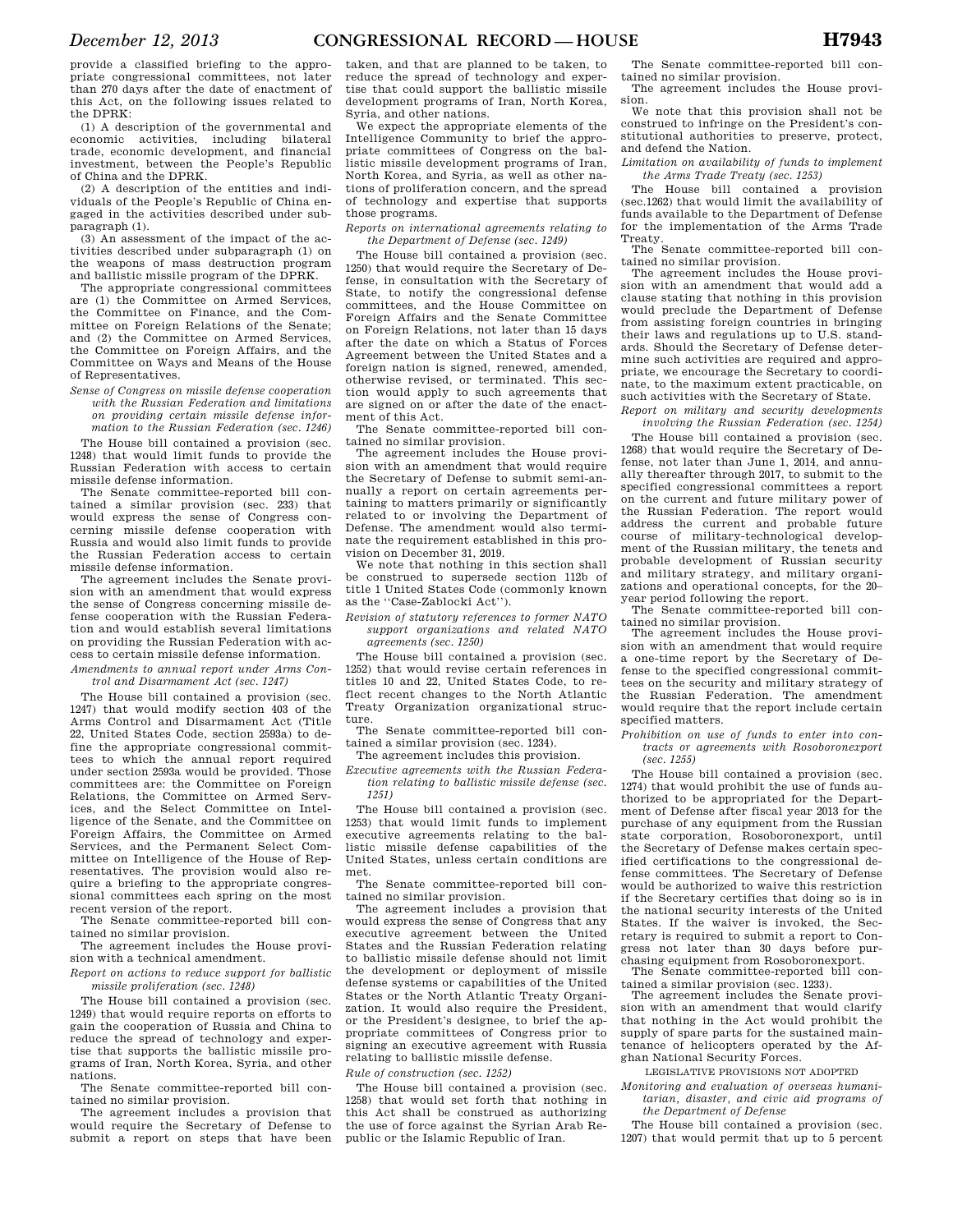provide a classified briefing to the appropriate congressional committees, not later than 270 days after the date of enactment of this Act, on the following issues related to the DPRK:

(1) A description of the governmental and economic activities, including bilateral trade, economic development, and financial investment, between the People's Republic of China and the DPRK.

(2) A description of the entities and individuals of the People's Republic of China engaged in the activities described under subparagraph (1).

(3) An assessment of the impact of the activities described under subparagraph (1) on the weapons of mass destruction program and ballistic missile program of the DPRK.

The appropriate congressional committees are (1) the Committee on Armed Services, the Committee on Finance, and the Committee on Foreign Relations of the Senate; and (2) the Committee on Armed Services, the Committee on Foreign Affairs, and the Committee on Ways and Means of the House of Representatives.

*Sense of Congress on missile defense cooperation with the Russian Federation and limitations on providing certain missile defense information to the Russian Federation (sec. 1246)* 

The House bill contained a provision (sec. 1248) that would limit funds to provide the Russian Federation with access to certain missile defense information.

The Senate committee-reported bill contained a similar provision (sec. 233) that would express the sense of Congress concerning missile defense cooperation with Russia and would also limit funds to provide the Russian Federation access to certain missile defense information.

The agreement includes the Senate provision with an amendment that would express the sense of Congress concerning missile defense cooperation with the Russian Federation and would establish several limitations on providing the Russian Federation with access to certain missile defense information.

*Amendments to annual report under Arms Control and Disarmament Act (sec. 1247)* 

The House bill contained a provision (sec. 1247) that would modify section 403 of the Arms Control and Disarmament Act (Title 22, United States Code, section 2593a) to define the appropriate congressional committees to which the annual report required under section 2593a would be provided. Those committees are: the Committee on Foreign Relations, the Committee on Armed Services, and the Select Committee on Intelligence of the Senate, and the Committee on Foreign Affairs, the Committee on Armed Services, and the Permanent Select Committee on Intelligence of the House of Representatives. The provision would also require a briefing to the appropriate congressional committees each spring on the most recent version of the report.

The Senate committee-reported bill contained no similar provision.

The agreement includes the House provision with a technical amendment.

*Report on actions to reduce support for ballistic missile proliferation (sec. 1248)* 

The House bill contained a provision (sec. 1249) that would require reports on efforts to gain the cooperation of Russia and China to reduce the spread of technology and expertise that supports the ballistic missile programs of Iran, North Korea, Syria, and other nations.

The Senate committee-reported bill contained no similar provision.

The agreement includes a provision that would require the Secretary of Defense to submit a report on steps that have been

taken, and that are planned to be taken, to reduce the spread of technology and expertise that could support the ballistic missile development programs of Iran, North Korea, Syria, and other nations.

We expect the appropriate elements of the Intelligence Community to brief the appropriate committees of Congress on the ballistic missile development programs of Iran, North Korea, and Syria, as well as other nations of proliferation concern, and the spread of technology and expertise that supports those programs.

*Reports on international agreements relating to the Department of Defense (sec. 1249)* 

The House bill contained a provision (sec. 1250) that would require the Secretary of Defense, in consultation with the Secretary of State, to notify the congressional defense committees, and the House Committee on Foreign Affairs and the Senate Committee on Foreign Relations, not later than 15 days after the date on which a Status of Forces Agreement between the United States and a foreign nation is signed, renewed, amended, otherwise revised, or terminated. This section would apply to such agreements that are signed on or after the date of the enactment of this Act.

The Senate committee-reported bill contained no similar provision.

The agreement includes the House provision with an amendment that would require the Secretary of Defense to submit semi-annually a report on certain agreements pertaining to matters primarily or significantly related to or involving the Department of Defense. The amendment would also terminate the requirement established in this provision on December 31, 2019.

We note that nothing in this section shall be construed to supersede section 112b of title 1 United States Code (commonly known as the ''Case-Zablocki Act'').

*Revision of statutory references to former NATO support organizations and related NATO agreements (sec. 1250)* 

The House bill contained a provision (sec. 1252) that would revise certain references in titles 10 and 22, United States Code, to reflect recent changes to the North Atlantic Treaty Organization organizational structure.

The Senate committee-reported bill contained a similar provision (sec. 1234).

The agreement includes this provision.

*Executive agreements with the Russian Federation relating to ballistic missile defense (sec. 1251)* 

The House bill contained a provision (sec. 1253) that would limit funds to implement executive agreements relating to the ballistic missile defense capabilities of the United States, unless certain conditions are met.

The Senate committee-reported bill contained no similar provision.

The agreement includes a provision that would express the sense of Congress that any executive agreement between the United States and the Russian Federation relating to ballistic missile defense should not limit the development or deployment of missile defense systems or capabilities of the United States or the North Atlantic Treaty Organization. It would also require the President, or the President's designee, to brief the appropriate committees of Congress prior to signing an executive agreement with Russia relating to ballistic missile defense.

*Rule of construction (sec. 1252)* 

The House bill contained a provision (sec. 1258) that would set forth that nothing in this Act shall be construed as authorizing the use of force against the Syrian Arab Republic or the Islamic Republic of Iran.

The Senate committee-reported bill contained no similar provision.

The agreement includes the House provision.

We note that this provision shall not be construed to infringe on the President's constitutional authorities to preserve, protect, and defend the Nation.

*Limitation on availability of funds to implement the Arms Trade Treaty (sec. 1253)* 

The House bill contained a provision (sec.1262) that would limit the availability of funds available to the Department of Defense for the implementation of the Arms Trade Treaty.

The Senate committee-reported bill contained no similar provision.

The agreement includes the House provision with an amendment that would add a clause stating that nothing in this provision would preclude the Department of Defense from assisting foreign countries in bringing their laws and regulations up to U.S. standards. Should the Secretary of Defense determine such activities are required and appropriate, we encourage the Secretary to coordinate, to the maximum extent practicable, on such activities with the Secretary of State.

*Report on military and security developments involving the Russian Federation (sec. 1254)* 

The House bill contained a provision (sec. 1268) that would require the Secretary of Defense, not later than June 1, 2014, and annually thereafter through 2017, to submit to the specified congressional committees a report on the current and future military power of the Russian Federation. The report would address the current and probable future course of military-technological development of the Russian military, the tenets and probable development of Russian security and military strategy, and military organizations and operational concepts, for the 20– year period following the report.

The Senate committee-reported bill contained no similar provision. The agreement includes the House provi-

sion with an amendment that would require a one-time report by the Secretary of Defense to the specified congressional committees on the security and military strategy of the Russian Federation. The amendment would require that the report include certain specified matters.

*Prohibition on use of funds to enter into contracts or agreements with Rosoboronexport (sec. 1255)* 

The House bill contained a provision (sec. 1274) that would prohibit the use of funds authorized to be appropriated for the Department of Defense after fiscal year 2013 for the purchase of any equipment from the Russian state corporation, Rosoboronexport, until the Secretary of Defense makes certain specified certifications to the congressional defense committees. The Secretary of Defense would be authorized to waive this restriction if the Secretary certifies that doing so is in the national security interests of the United States. If the waiver is invoked, the Secretary is required to submit a report to Congress not later than 30 days before purchasing equipment from Rosoboronexport.

The Senate committee-reported bill contained a similar provision (sec. 1233).

The agreement includes the Senate provision with an amendment that would clarify that nothing in the Act would prohibit the supply of spare parts for the sustained maintenance of helicopters operated by the Afghan National Security Forces.

LEGISLATIVE PROVISIONS NOT ADOPTED

*Monitoring and evaluation of overseas humanitarian, disaster, and civic aid programs of the Department of Defense* 

The House bill contained a provision (sec. 1207) that would permit that up to 5 percent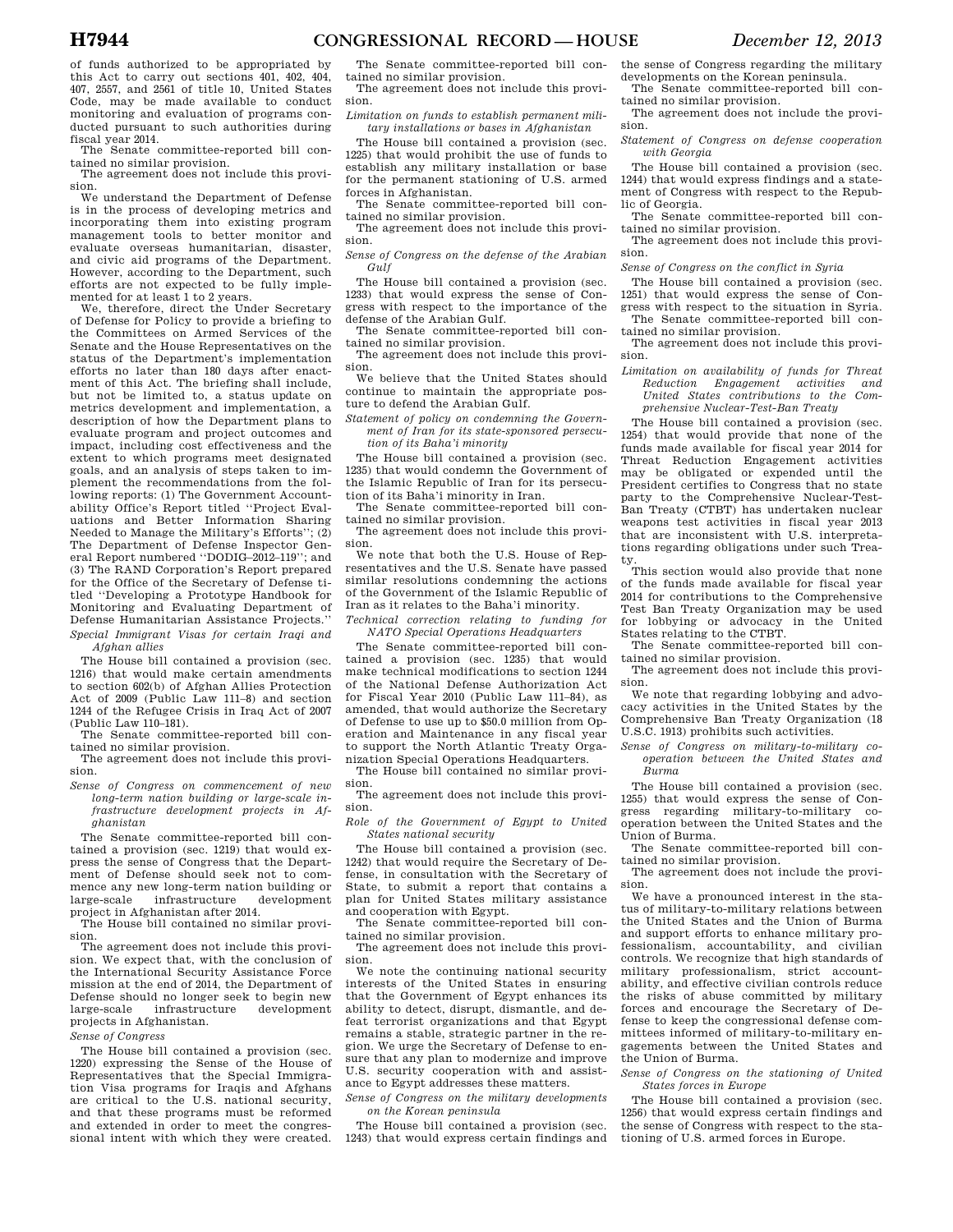The Senate committee-reported bill contained no similar provision.

The agreement does not include this provision.

We understand the Department of Defense is in the process of developing metrics and incorporating them into existing program management tools to better monitor and evaluate overseas humanitarian, disaster, and civic aid programs of the Department. However, according to the Department, such efforts are not expected to be fully implemented for at least 1 to 2 years.

We, therefore, direct the Under Secretary of Defense for Policy to provide a briefing to the Committees on Armed Services of the Senate and the House Representatives on the status of the Department's implementation efforts no later than 180 days after enactment of this Act. The briefing shall include, but not be limited to, a status update on metrics development and implementation, a description of how the Department plans to evaluate program and project outcomes and impact, including cost effectiveness and the extent to which programs meet designated goals, and an analysis of steps taken to implement the recommendations from the following reports: (1) The Government Accountability Office's Report titled ''Project Evaluations and Better Information Sharing Needed to Manage the Military's Efforts''; (2) The Department of Defense Inspector General Report numbered ''DODIG–2012–119''; and (3) The RAND Corporation's Report prepared for the Office of the Secretary of Defense titled ''Developing a Prototype Handbook for Monitoring and Evaluating Department of Defense Humanitarian Assistance Projects.'' *Special Immigrant Visas for certain Iraqi and Afghan allies* 

The House bill contained a provision (sec. 1216) that would make certain amendments to section 602(b) of Afghan Allies Protection Act of 2009 (Public Law 111–8) and section 1244 of the Refugee Crisis in Iraq Act of 2007 (Public Law 110–181).

The Senate committee-reported bill contained no similar provision.

The agreement does not include this provision.

*Sense of Congress on commencement of new long-term nation building or large-scale infrastructure development projects in Afghanistan* 

The Senate committee-reported bill contained a provision (sec. 1219) that would express the sense of Congress that the Department of Defense should seek not to commence any new long-term nation building or<br>large-scale infrastructure development infrastructure project in Afghanistan after 2014.

The House bill contained no similar provision.

The agreement does not include this provision. We expect that, with the conclusion of the International Security Assistance Force mission at the end of 2014, the Department of Defense should no longer seek to begin new large-scale infrastructure development projects in Afghanistan.

*Sense of Congress* 

The House bill contained a provision (sec. 1220) expressing the Sense of the House of Representatives that the Special Immigration Visa programs for Iraqis and Afghans are critical to the U.S. national security, and that these programs must be reformed and extended in order to meet the congressional intent with which they were created.

The Senate committee-reported bill contained no similar provision.

The agreement does not include this provision.

*Limitation on funds to establish permanent military installations or bases in Afghanistan* 

The House bill contained a provision (sec. 1225) that would prohibit the use of funds to establish any military installation or base for the permanent stationing of U.S. armed forces in Afghanistan.

The Senate committee-reported bill contained no similar provision.

The agreement does not include this provision.

*Sense of Congress on the defense of the Arabian Gulf* 

The House bill contained a provision (sec. 1233) that would express the sense of Congress with respect to the importance of the defense of the Arabian Gulf.

The Senate committee-reported bill contained no similar provision.

The agreement does not include this provision.

We believe that the United States should continue to maintain the appropriate posture to defend the Arabian Gulf.

*Statement of policy on condemning the Government of Iran for its state-sponsored persecution of its Baha'i minority* 

The House bill contained a provision (sec. 1235) that would condemn the Government of the Islamic Republic of Iran for its persecution of its Baha'i minority in Iran.

The Senate committee-reported bill contained no similar provision.

The agreement does not include this provision.

We note that both the U.S. House of Representatives and the U.S. Senate have passed similar resolutions condemning the actions of the Government of the Islamic Republic of Iran as it relates to the Baha'i minority.

*Technical correction relating to funding for NATO Special Operations Headquarters* 

The Senate committee-reported bill contained a provision (sec. 1235) that would make technical modifications to section 1244 of the National Defense Authorization Act for Fiscal Year 2010 (Public Law 111–84), as amended, that would authorize the Secretary of Defense to use up to \$50.0 million from Operation and Maintenance in any fiscal year to support the North Atlantic Treaty Organization Special Operations Headquarters.

The House bill contained no similar provision.

The agreement does not include this provision.

*Role of the Government of Egypt to United States national security* 

The House bill contained a provision (sec. 1242) that would require the Secretary of Defense, in consultation with the Secretary of State, to submit a report that contains a plan for United States military assistance and cooperation with Egypt.

The Senate committee-reported bill contained no similar provision.

The agreement does not include this provision.

We note the continuing national security interests of the United States in ensuring that the Government of Egypt enhances its ability to detect, disrupt, dismantle, and defeat terrorist organizations and that Egypt remains a stable, strategic partner in the region. We urge the Secretary of Defense to ensure that any plan to modernize and improve U.S. security cooperation with and assistance to Egypt addresses these matters.

*Sense of Congress on the military developments on the Korean peninsula* 

The House bill contained a provision (sec. 1243) that would express certain findings and the sense of Congress regarding the military developments on the Korean peninsula.

The Senate committee-reported bill contained no similar provision.

The agreement does not include the provision.

*Statement of Congress on defense cooperation with Georgia* 

The House bill contained a provision (sec. 1244) that would express findings and a statement of Congress with respect to the Republic of Georgia.

The Senate committee-reported bill contained no similar provision.

The agreement does not include this provision.

*Sense of Congress on the conflict in Syria* 

The House bill contained a provision (sec. 1251) that would express the sense of Congress with respect to the situation in Syria. The Senate committee-reported bill contained no similar provision.

The agreement does not include this provision.

*Limitation on availability of funds for Threat Reduction Engagement activities and United States contributions to the Comprehensive Nuclear-Test-Ban Treaty* 

The House bill contained a provision (sec. 1254) that would provide that none of the funds made available for fiscal year 2014 for Threat Reduction Engagement activities may be obligated or expended until the President certifies to Congress that no state party to the Comprehensive Nuclear-Test-Ban Treaty (CTBT) has undertaken nuclear weapons test activities in fiscal year 2013 that are inconsistent with U.S. interpretations regarding obligations under such Treaty.

This section would also provide that none of the funds made available for fiscal year 2014 for contributions to the Comprehensive Test Ban Treaty Organization may be used for lobbying or advocacy in the United States relating to the CTBT.

The Senate committee-reported bill contained no similar provision.

The agreement does not include this provision.

We note that regarding lobbying and advocacy activities in the United States by the Comprehensive Ban Treaty Organization (18 U.S.C. 1913) prohibits such activities.

*Sense of Congress on military-to-military cooperation between the United States and Burma* 

The House bill contained a provision (sec. 1255) that would express the sense of Congress regarding military-to-military cooperation between the United States and the Union of Burma.

The Senate committee-reported bill contained no similar provision.

The agreement does not include the provision.

We have a pronounced interest in the status of military-to-military relations between the United States and the Union of Burma and support efforts to enhance military professionalism, accountability, and civilian controls. We recognize that high standards of military professionalism, strict accountability, and effective civilian controls reduce the risks of abuse committed by military forces and encourage the Secretary of Defense to keep the congressional defense committees informed of military-to-military engagements between the United States and the Union of Burma.

*Sense of Congress on the stationing of United States forces in Europe* 

The House bill contained a provision (sec. 1256) that would express certain findings and the sense of Congress with respect to the stationing of U.S. armed forces in Europe.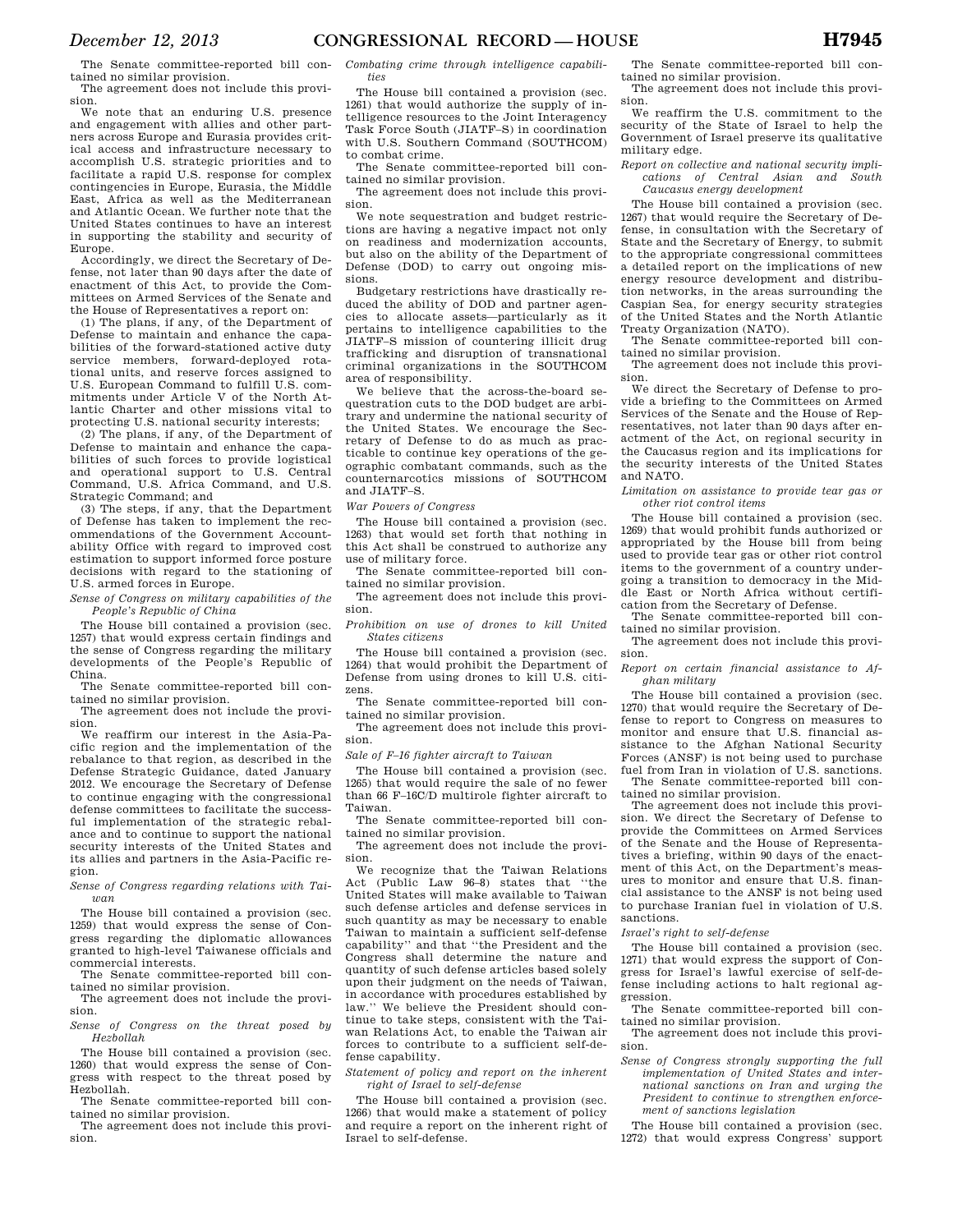The Senate committee-reported bill contained no similar provision.

The agreement does not include this provision. We note that an enduring U.S. presence

and engagement with allies and other partners across Europe and Eurasia provides critical access and infrastructure necessary to accomplish U.S. strategic priorities and to facilitate a rapid U.S. response for complex contingencies in Europe, Eurasia, the Middle East, Africa as well as the Mediterranean and Atlantic Ocean. We further note that the United States continues to have an interest in supporting the stability and security of Europe.

Accordingly, we direct the Secretary of Defense, not later than 90 days after the date of enactment of this Act, to provide the Committees on Armed Services of the Senate and the House of Representatives a report on:

(1) The plans, if any, of the Department of Defense to maintain and enhance the capabilities of the forward-stationed active duty service members, forward-deployed rotational units, and reserve forces assigned to U.S. European Command to fulfill U.S. commitments under Article V of the North Atlantic Charter and other missions vital to protecting U.S. national security interests;

(2) The plans, if any, of the Department of Defense to maintain and enhance the capabilities of such forces to provide logistical and operational support to U.S. Central Command, U.S. Africa Command, and U.S. Strategic Command; and

(3) The steps, if any, that the Department of Defense has taken to implement the recommendations of the Government Accountability Office with regard to improved cost estimation to support informed force posture decisions with regard to the stationing of U.S. armed forces in Europe.

*Sense of Congress on military capabilities of the People's Republic of China* 

The House bill contained a provision (sec. 1257) that would express certain findings and the sense of Congress regarding the military developments of the People's Republic of China.

The Senate committee-reported bill contained no similar provision.

The agreement does not include the provision.

We reaffirm our interest in the Asia-Pacific region and the implementation of the rebalance to that region, as described in the Defense Strategic Guidance, dated January 2012. We encourage the Secretary of Defense to continue engaging with the congressional defense committees to facilitate the successful implementation of the strategic rebalance and to continue to support the national security interests of the United States and its allies and partners in the Asia-Pacific region.

*Sense of Congress regarding relations with Taiwan* 

The House bill contained a provision (sec. 1259) that would express the sense of Congress regarding the diplomatic allowances granted to high-level Taiwanese officials and commercial interests.

The Senate committee-reported bill contained no similar provision.

The agreement does not include the provision.

*Sense of Congress on the threat posed by Hezbollah* 

The House bill contained a provision (sec. 1260) that would express the sense of Congress with respect to the threat posed by Hezbollah.

The Senate committee-reported bill contained no similar provision.

The agreement does not include this provision.

*Combating crime through intelligence capabilities* 

The House bill contained a provision (sec. 1261) that would authorize the supply of intelligence resources to the Joint Interagency Task Force South (JIATF–S) in coordination with U.S. Southern Command (SOUTHCOM) to combat crime.

The Senate committee-reported bill contained no similar provision.

The agreement does not include this provision.

We note sequestration and budget restrictions are having a negative impact not only on readiness and modernization accounts, but also on the ability of the Department of Defense (DOD) to carry out ongoing missions.

Budgetary restrictions have drastically reduced the ability of DOD and partner agencies to allocate assets—particularly as it pertains to intelligence capabilities to the JIATF–S mission of countering illicit drug trafficking and disruption of transnational criminal organizations in the SOUTHCOM area of responsibility.

We believe that the across-the-board sequestration cuts to the DOD budget are arbitrary and undermine the national security of the United States. We encourage the Secretary of Defense to do as much as practicable to continue key operations of the geographic combatant commands, such as the counternarcotics missions of SOUTHCOM and JIATF–S.

*War Powers of Congress* 

The House bill contained a provision (sec. 1263) that would set forth that nothing in this Act shall be construed to authorize any use of military force.

The Senate committee-reported bill contained no similar provision.

The agreement does not include this provision.

*Prohibition on use of drones to kill United States citizens* 

The House bill contained a provision (sec. 1264) that would prohibit the Department of Defense from using drones to kill U.S. citizens.

The Senate committee-reported bill contained no similar provision.

The agreement does not include this provision.

*Sale of F–16 fighter aircraft to Taiwan* 

The House bill contained a provision (sec. 1265) that would require the sale of no fewer than 66 F–16C/D multirole fighter aircraft to Taiwan.

The Senate committee-reported bill contained no similar provision.

The agreement does not include the provision.

We recognize that the Taiwan Relations Act (Public Law 96–8) states that ''the United States will make available to Taiwan such defense articles and defense services in such quantity as may be necessary to enable Taiwan to maintain a sufficient self-defense capability'' and that ''the President and the Congress shall determine the nature and quantity of such defense articles based solely upon their judgment on the needs of Taiwan, in accordance with procedures established by law.'' We believe the President should continue to take steps, consistent with the Taiwan Relations Act, to enable the Taiwan air forces to contribute to a sufficient self-defense capability.

*Statement of policy and report on the inherent right of Israel to self-defense* 

The House bill contained a provision (sec. 1266) that would make a statement of policy and require a report on the inherent right of Israel to self-defense.

The Senate committee-reported bill contained no similar provision.

The agreement does not include this provision.

We reaffirm the U.S. commitment to the security of the State of Israel to help the Government of Israel preserve its qualitative military edge.

*Report on collective and national security implications of Central Asian and South Caucasus energy development* 

The House bill contained a provision (sec. 1267) that would require the Secretary of Defense, in consultation with the Secretary of State and the Secretary of Energy, to submit to the appropriate congressional committees a detailed report on the implications of new energy resource development and distribution networks, in the areas surrounding the Caspian Sea, for energy security strategies of the United States and the North Atlantic Treaty Organization (NATO).

The Senate committee-reported bill contained no similar provision.

The agreement does not include this provision.

We direct the Secretary of Defense to provide a briefing to the Committees on Armed Services of the Senate and the House of Representatives, not later than 90 days after enactment of the Act, on regional security in the Caucasus region and its implications for the security interests of the United States and NATO.

*Limitation on assistance to provide tear gas or other riot control items* 

The House bill contained a provision (sec. 1269) that would prohibit funds authorized or appropriated by the House bill from being used to provide tear gas or other riot control items to the government of a country undergoing a transition to democracy in the Middle East or North Africa without certification from the Secretary of Defense.

The Senate committee-reported bill contained no similar provision.

The agreement does not include this provision.

*Report on certain financial assistance to Afghan military* 

The House bill contained a provision (sec. 1270) that would require the Secretary of Defense to report to Congress on measures to monitor and ensure that U.S. financial assistance to the Afghan National Security Forces (ANSF) is not being used to purchase fuel from Iran in violation of U.S. sanctions. The Senate committee-reported bill con-

tained no similar provision. The agreement does not include this provi-

sion. We direct the Secretary of Defense to provide the Committees on Armed Services of the Senate and the House of Representatives a briefing, within 90 days of the enactment of this Act, on the Department's measures to monitor and ensure that U.S. financial assistance to the ANSF is not being used to purchase Iranian fuel in violation of U.S. sanctions.

*Israel's right to self-defense* 

The House bill contained a provision (sec. 1271) that would express the support of Congress for Israel's lawful exercise of self-defense including actions to halt regional aggression.

The Senate committee-reported bill contained no similar provision.

The agreement does not include this provision.

*Sense of Congress strongly supporting the full implementation of United States and international sanctions on Iran and urging the President to continue to strengthen enforcement of sanctions legislation* 

The House bill contained a provision (sec. 1272) that would express Congress' support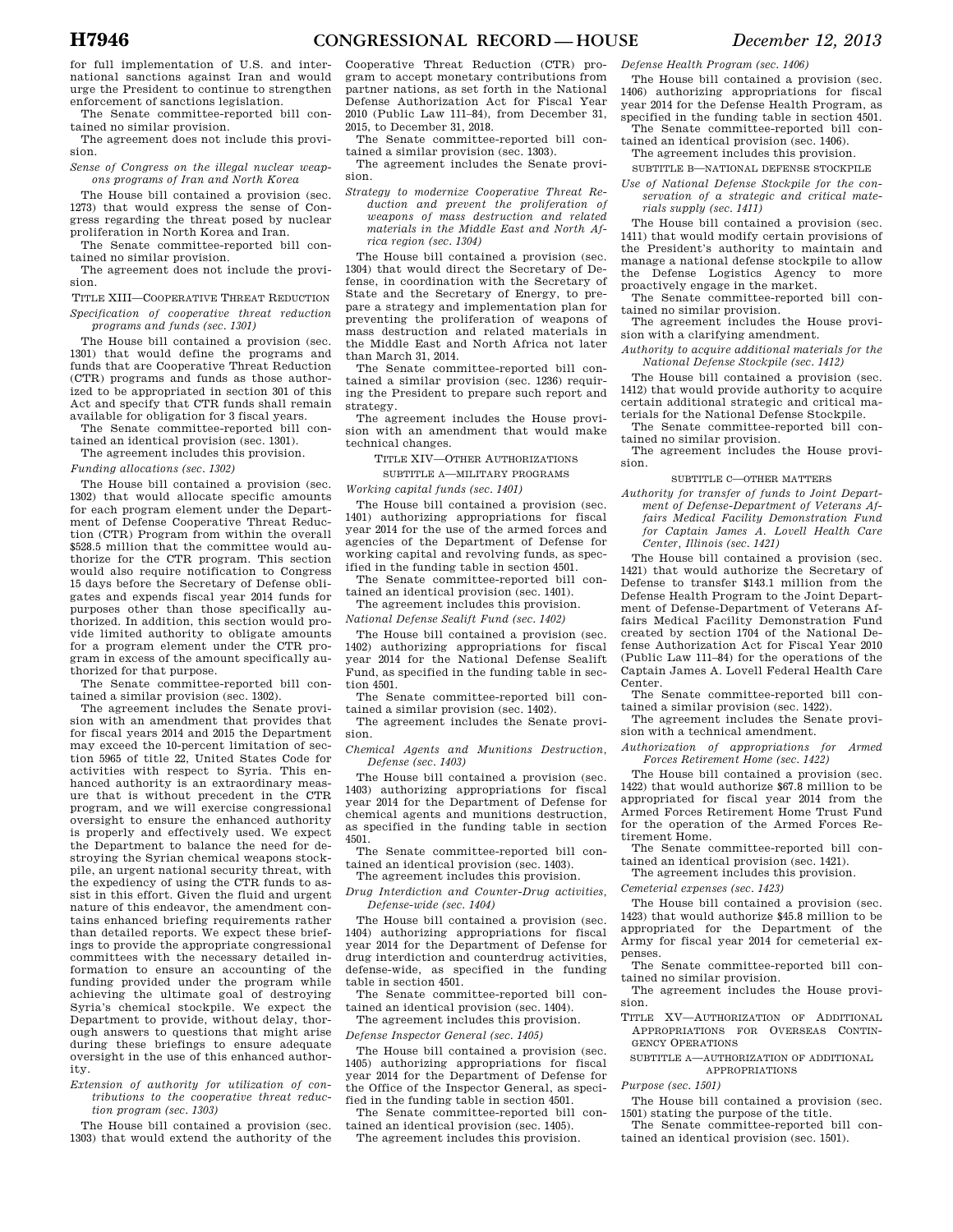for full implementation of U.S. and international sanctions against Iran and would urge the President to continue to strengthen enforcement of sanctions legislation.

The Senate committee-reported bill contained no similar provision.

The agreement does not include this provision.

*Sense of Congress on the illegal nuclear weapons programs of Iran and North Korea* 

The House bill contained a provision (sec. 1273) that would express the sense of Congress regarding the threat posed by nuclear proliferation in North Korea and Iran.

The Senate committee-reported bill contained no similar provision.

The agreement does not include the provision.

TITLE XIII—COOPERATIVE THREAT REDUCTION *Specification of cooperative threat reduction programs and funds (sec. 1301)* 

The House bill contained a provision (sec. 1301) that would define the programs and funds that are Cooperative Threat Reduction (CTR) programs and funds as those authorized to be appropriated in section 301 of this Act and specify that CTR funds shall remain available for obligation for 3 fiscal years.

The Senate committee-reported bill contained an identical provision (sec. 1301).

The agreement includes this provision.

*Funding allocations (sec. 1302)* 

The House bill contained a provision (sec. 1302) that would allocate specific amounts for each program element under the Department of Defense Cooperative Threat Reduction (CTR) Program from within the overall \$528.5 million that the committee would authorize for the CTR program. This section would also require notification to Congress 15 days before the Secretary of Defense obligates and expends fiscal year 2014 funds for purposes other than those specifically authorized. In addition, this section would provide limited authority to obligate amounts for a program element under the CTR program in excess of the amount specifically authorized for that purpose.

The Senate committee-reported bill contained a similar provision (sec. 1302).

The agreement includes the Senate provision with an amendment that provides that for fiscal years 2014 and 2015 the Department may exceed the 10-percent limitation of section 5965 of title 22, United States Code for activities with respect to Syria. This enhanced authority is an extraordinary measure that is without precedent in the CTR program, and we will exercise congressional oversight to ensure the enhanced authority is properly and effectively used. We expect the Department to balance the need for destroying the Syrian chemical weapons stockpile, an urgent national security threat, with the expediency of using the CTR funds to assist in this effort. Given the fluid and urgent nature of this endeavor, the amendment contains enhanced briefing requirements rather than detailed reports. We expect these briefings to provide the appropriate congressional committees with the necessary detailed information to ensure an accounting of the funding provided under the program while achieving the ultimate goal of destroying Syria's chemical stockpile. We expect the Department to provide, without delay, thorough answers to questions that might arise during these briefings to ensure adequate oversight in the use of this enhanced authority.

*Extension of authority for utilization of contributions to the cooperative threat reduction program (sec. 1303)* 

The House bill contained a provision (sec. 1303) that would extend the authority of the

Cooperative Threat Reduction (CTR) program to accept monetary contributions from partner nations, as set forth in the National Defense Authorization Act for Fiscal Year 2010 (Public Law 111–84), from December 31, 2015, to December 31, 2018.

The Senate committee-reported bill contained a similar provision (sec. 1303).

The agreement includes the Senate provision.

*Strategy to modernize Cooperative Threat Reduction and prevent the proliferation of weapons of mass destruction and related materials in the Middle East and North Africa region (sec. 1304)* 

The House bill contained a provision (sec. 1304) that would direct the Secretary of Defense, in coordination with the Secretary of State and the Secretary of Energy, to prepare a strategy and implementation plan for preventing the proliferation of weapons of mass destruction and related materials in the Middle East and North Africa not later than March 31, 2014.

The Senate committee-reported bill contained a similar provision (sec. 1236) requiring the President to prepare such report and strategy.

The agreement includes the House provision with an amendment that would make technical changes.

TITLE XIV—OTHER AUTHORIZATIONS

SUBTITLE A—MILITARY PROGRAMS

*Working capital funds (sec. 1401)* 

The House bill contained a provision (sec. 1401) authorizing appropriations for fiscal year 2014 for the use of the armed forces and agencies of the Department of Defense for working capital and revolving funds, as specified in the funding table in section 4501.

The Senate committee-reported bill contained an identical provision (sec. 1401).

The agreement includes this provision.

*National Defense Sealift Fund (sec. 1402)* 

The House bill contained a provision (sec. 1402) authorizing appropriations for fiscal year 2014 for the National Defense Sealift Fund, as specified in the funding table in section 4501.

The Senate committee-reported bill contained a similar provision (sec. 1402).

The agreement includes the Senate provision.

*Chemical Agents and Munitions Destruction, Defense (sec. 1403)* 

The House bill contained a provision (sec. 1403) authorizing appropriations for fiscal year 2014 for the Department of Defense for chemical agents and munitions destruction, as specified in the funding table in section 4501.

The Senate committee-reported bill contained an identical provision (sec. 1403). The agreement includes this provision.

*Drug Interdiction and Counter-Drug activities, Defense-wide (sec. 1404)* 

The House bill contained a provision (sec. 1404) authorizing appropriations for fiscal year 2014 for the Department of Defense for drug interdiction and counterdrug activities, defense-wide, as specified in the funding table in section 4501.

The Senate committee-reported bill contained an identical provision (sec. 1404).

The agreement includes this provision.

*Defense Inspector General (sec. 1405)* 

The House bill contained a provision (sec. 1405) authorizing appropriations for fiscal year 2014 for the Department of Defense for the Office of the Inspector General, as specified in the funding table in section 4501.

The Senate committee-reported bill contained an identical provision (sec. 1405).

The agreement includes this provision.

*Defense Health Program (sec. 1406)* 

The House bill contained a provision (sec. 1406) authorizing appropriations for fiscal year 2014 for the Defense Health Program, as specified in the funding table in section 4501.

The Senate committee-reported bill contained an identical provision (sec. 1406). The agreement includes this provision.

SUBTITLE B—NATIONAL DEFENSE STOCKPILE

*Use of National Defense Stockpile for the conservation of a strategic and critical materials supply (sec. 1411)* 

The House bill contained a provision (sec. 1411) that would modify certain provisions of the President's authority to maintain and manage a national defense stockpile to allow the Defense Logistics Agency to more proactively engage in the market.

The Senate committee-reported bill contained no similar provision.

The agreement includes the House provision with a clarifying amendment.

*Authority to acquire additional materials for the National Defense Stockpile (sec. 1412)* 

The House bill contained a provision (sec. 1412) that would provide authority to acquire certain additional strategic and critical materials for the National Defense Stockpile.

The Senate committee-reported bill contained no similar provision.

The agreement includes the House provision.

SUBTITLE C—OTHER MATTERS

*Authority for transfer of funds to Joint Department of Defense-Department of Veterans Affairs Medical Facility Demonstration Fund for Captain James A. Lovell Health Care Center, Illinois (sec. 1421)* 

The House bill contained a provision (sec. 1421) that would authorize the Secretary of Defense to transfer \$143.1 million from the Defense Health Program to the Joint Department of Defense-Department of Veterans Affairs Medical Facility Demonstration Fund created by section 1704 of the National Defense Authorization Act for Fiscal Year 2010 (Public Law 111–84) for the operations of the Captain James A. Lovell Federal Health Care Center.

The Senate committee-reported bill contained a similar provision (sec. 1422).

The agreement includes the Senate provision with a technical amendment.

*Authorization of appropriations for Armed Forces Retirement Home (sec. 1422)* 

The House bill contained a provision (sec. 1422) that would authorize \$67.8 million to be appropriated for fiscal year 2014 from the Armed Forces Retirement Home Trust Fund for the operation of the Armed Forces Retirement Home.

The Senate committee-reported bill contained an identical provision (sec. 1421).

The agreement includes this provision.

*Cemeterial expenses (sec. 1423)* 

The House bill contained a provision (sec. 1423) that would authorize \$45.8 million to be appropriated for the Department of the Army for fiscal year 2014 for cemeterial expenses.

The Senate committee-reported bill contained no similar provision.

The agreement includes the House provision.

TITLE XV—AUTHORIZATION OF ADDITIONAL APPROPRIATIONS FOR OVERSEAS CONTIN-GENCY OPERATIONS

SUBTITLE A—AUTHORIZATION OF ADDITIONAL APPROPRIATIONS

*Purpose (sec. 1501)* 

The House bill contained a provision (sec. 1501) stating the purpose of the title.

The Senate committee-reported bill contained an identical provision (sec. 1501).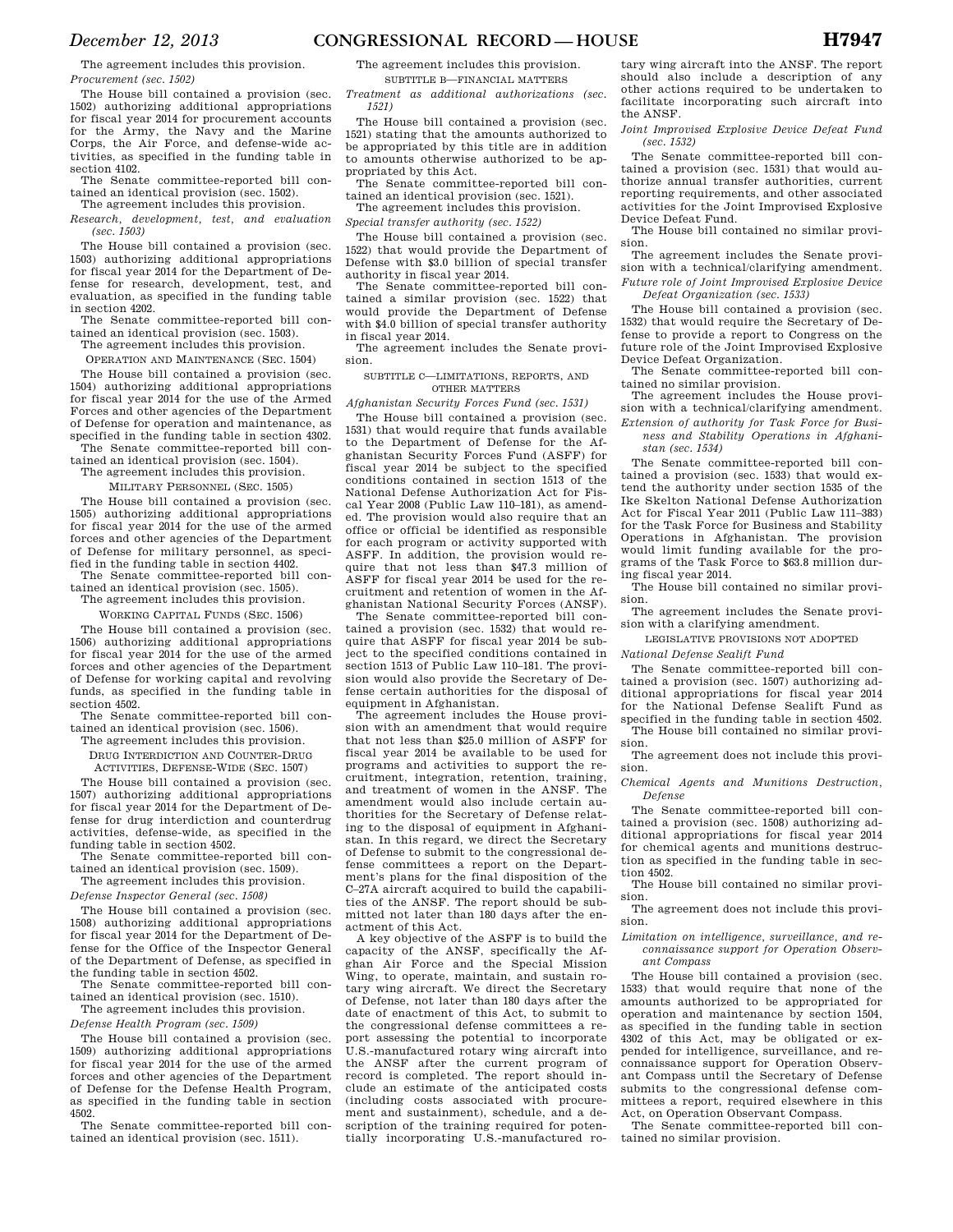The agreement includes this provision. *Procurement (sec. 1502)* 

The House bill contained a provision (sec. 1502) authorizing additional appropriations for fiscal year 2014 for procurement accounts for the Army, the Navy and the Marine Corps, the Air Force, and defense-wide activities, as specified in the funding table in section 4102.

The Senate committee-reported bill contained an identical provision (sec. 1502).

The agreement includes this provision. *Research, development, test, and evaluation (sec. 1503)* 

The House bill contained a provision (sec. 1503) authorizing additional appropriations for fiscal year 2014 for the Department of Defense for research, development, test, and evaluation, as specified in the funding table in section 4202.

The Senate committee-reported bill contained an identical provision (sec. 1503).

The agreement includes this provision. OPERATION AND MAINTENANCE (SEC. 1504)

The House bill contained a provision (sec. 1504) authorizing additional appropriations for fiscal year 2014 for the use of the Armed Forces and other agencies of the Department of Defense for operation and maintenance, as specified in the funding table in section 4302.

The Senate committee-reported bill contained an identical provision (sec. 1504).

The agreement includes this provision.

MILITARY PERSONNEL (SEC. 1505) The House bill contained a provision (sec. 1505) authorizing additional appropriations for fiscal year 2014 for the use of the armed forces and other agencies of the Department of Defense for military personnel, as specified in the funding table in section 4402.

The Senate committee-reported bill contained an identical provision (sec. 1505).

The agreement includes this provision.

WORKING CAPITAL FUNDS (SEC. 1506) The House bill contained a provision (sec. 1506) authorizing additional appropriations for fiscal year 2014 for the use of the armed forces and other agencies of the Department of Defense for working capital and revolving

funds, as specified in the funding table in section 4502. The Senate committee-reported bill con-

tained an identical provision (sec. 1506). The agreement includes this provision.

DRUG INTERDICTION AND COUNTER-DRUG

ACTIVITIES, DEFENSE-WIDE (SEC. 1507)

The House bill contained a provision (sec. 1507) authorizing additional appropriations for fiscal year 2014 for the Department of Defense for drug interdiction and counterdrug activities, defense-wide, as specified in the funding table in section 4502.

The Senate committee-reported bill contained an identical provision (sec. 1509). The agreement includes this provision.

*Defense Inspector General (sec. 1508)* 

The House bill contained a provision (sec.

1508) authorizing additional appropriations for fiscal year 2014 for the Department of Defense for the Office of the Inspector General of the Department of Defense, as specified in the funding table in section 4502.

The Senate committee-reported bill contained an identical provision (sec. 1510).

The agreement includes this provision. *Defense Health Program (sec. 1509)* 

The House bill contained a provision (sec. 1509) authorizing additional appropriations for fiscal year 2014 for the use of the armed forces and other agencies of the Department of Defense for the Defense Health Program, as specified in the funding table in section 4502.

The Senate committee-reported bill contained an identical provision (sec. 1511).

The agreement includes this provision. SUBTITLE B—FINANCIAL MATTERS

*Treatment as additional authorizations (sec. 1521)* 

The House bill contained a provision (sec. 1521) stating that the amounts authorized to be appropriated by this title are in addition to amounts otherwise authorized to be appropriated by this Act.

The Senate committee-reported bill contained an identical provision (sec. 1521). The agreement includes this provision.

*Special transfer authority (sec. 1522)* 

The House bill contained a provision (sec. 1522) that would provide the Department of Defense with \$3.0 billion of special transfer authority in fiscal year 2014.

The Senate committee-reported bill contained a similar provision (sec. 1522) that would provide the Department of Defense with \$4.0 billion of special transfer authority in fiscal year 2014.

The agreement includes the Senate provision.

#### SUBTITLE C—LIMITATIONS, REPORTS, AND OTHER MATTERS

*Afghanistan Security Forces Fund (sec. 1531)*  The House bill contained a provision (sec.

1531) that would require that funds available to the Department of Defense for the Afghanistan Security Forces Fund (ASFF) for fiscal year 2014 be subject to the specified conditions contained in section 1513 of the National Defense Authorization Act for Fiscal Year 2008 (Public Law 110–181), as amended. The provision would also require that an office or official be identified as responsible for each program or activity supported with ASFF. In addition, the provision would require that not less than \$47.3 million of ASFF for fiscal year 2014 be used for the recruitment and retention of women in the Afghanistan National Security Forces (ANSF).

The Senate committee-reported bill contained a provision (sec. 1532) that would require that ASFF for fiscal year 2014 be subject to the specified conditions contained in section 1513 of Public Law 110–181. The provision would also provide the Secretary of Defense certain authorities for the disposal of equipment in Afghanistan.

The agreement includes the House provision with an amendment that would require that not less than \$25.0 million of ASFF for fiscal year 2014 be available to be used for programs and activities to support the recruitment, integration, retention, training, and treatment of women in the ANSF. The amendment would also include certain authorities for the Secretary of Defense relating to the disposal of equipment in Afghanistan. In this regard, we direct the Secretary of Defense to submit to the congressional defense committees a report on the Department's plans for the final disposition of the C–27A aircraft acquired to build the capabilities of the ANSF. The report should be submitted not later than 180 days after the enactment of this Act.

A key objective of the ASFF is to build the capacity of the ANSF, specifically the Afghan Air Force and the Special Mission Wing, to operate, maintain, and sustain rotary wing aircraft. We direct the Secretary of Defense, not later than 180 days after the date of enactment of this Act, to submit to the congressional defense committees a report assessing the potential to incorporate U.S.-manufactured rotary wing aircraft into the ANSF after the current program of record is completed. The report should include an estimate of the anticipated costs (including costs associated with procurement and sustainment), schedule, and a description of the training required for potentially incorporating U.S.-manufactured ro-

tary wing aircraft into the ANSF. The report should also include a description of any other actions required to be undertaken to facilitate incorporating such aircraft into the ANSF.

*Joint Improvised Explosive Device Defeat Fund (sec. 1532)* 

The Senate committee-reported bill contained a provision (sec. 1531) that would authorize annual transfer authorities, current reporting requirements, and other associated activities for the Joint Improvised Explosive Device Defeat Fund.

The House bill contained no similar provision.

The agreement includes the Senate provision with a technical/clarifying amendment. *Future role of Joint Improvised Explosive Device Defeat Organization (sec. 1533)* 

The House bill contained a provision (sec. 1532) that would require the Secretary of Defense to provide a report to Congress on the future role of the Joint Improvised Explosive Device Defeat Organization.

The Senate committee-reported bill contained no similar provision.

The agreement includes the House provision with a technical/clarifying amendment.

*Extension of authority for Task Force for Business and Stability Operations in Afghanistan (sec. 1534)* 

The Senate committee-reported bill contained a provision (sec. 1533) that would extend the authority under section 1535 of the Ike Skelton National Defense Authorization Act for Fiscal Year 2011 (Public Law 111–383) for the Task Force for Business and Stability Operations in Afghanistan. The provision would limit funding available for the programs of the Task Force to \$63.8 million during fiscal year 2014.

The House bill contained no similar provision.

The agreement includes the Senate provision with a clarifying amendment.

LEGISLATIVE PROVISIONS NOT ADOPTED

*National Defense Sealift Fund* 

The Senate committee-reported bill contained a provision (sec. 1507) authorizing additional appropriations for fiscal year 2014 for the National Defense Sealift Fund as specified in the funding table in section 4502. The House bill contained no similar provision.

The agreement does not include this provision.

*Chemical Agents and Munitions Destruction, Defense* 

The Senate committee-reported bill contained a provision (sec. 1508) authorizing additional appropriations for fiscal year 2014 for chemical agents and munitions destruction as specified in the funding table in section 4502.

The House bill contained no similar provision.

The agreement does not include this provision.

*Limitation on intelligence, surveillance, and reconnaissance support for Operation Observant Compass* 

The House bill contained a provision (sec. 1533) that would require that none of the amounts authorized to be appropriated for operation and maintenance by section 1504, as specified in the funding table in section 4302 of this Act, may be obligated or expended for intelligence, surveillance, and reconnaissance support for Operation Observant Compass until the Secretary of Defense submits to the congressional defense committees a report, required elsewhere in this Act, on Operation Observant Compass.

The Senate committee-reported bill contained no similar provision.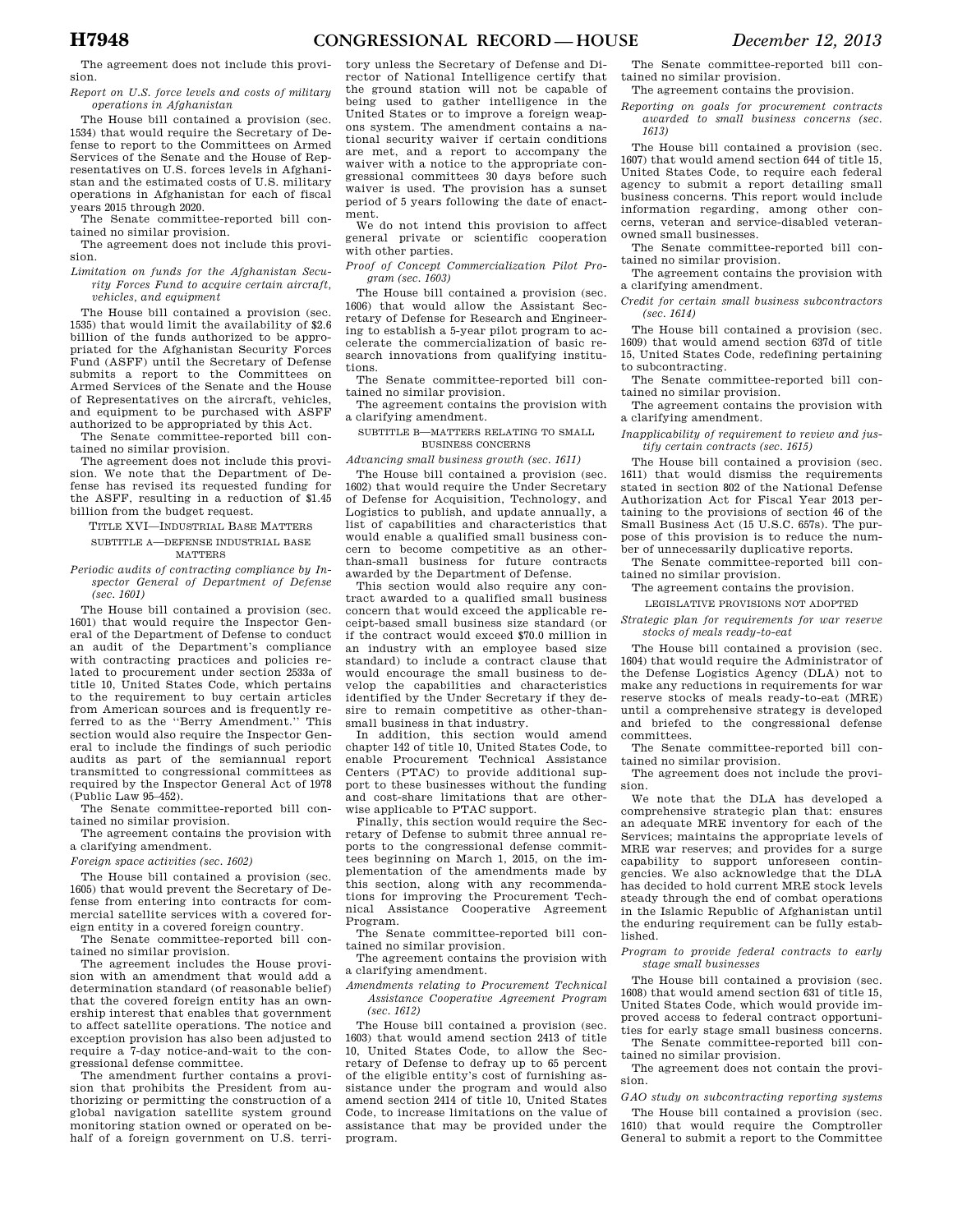The agreement does not include this provision.

*Report on U.S. force levels and costs of military operations in Afghanistan* 

The House bill contained a provision (sec. 1534) that would require the Secretary of Defense to report to the Committees on Armed Services of the Senate and the House of Representatives on U.S. forces levels in Afghanistan and the estimated costs of U.S. military operations in Afghanistan for each of fiscal years 2015 through 2020.

The Senate committee-reported bill contained no similar provision.

The agreement does not include this provision.

*Limitation on funds for the Afghanistan Security Forces Fund to acquire certain aircraft, vehicles, and equipment* 

The House bill contained a provision (sec. 1535) that would limit the availability of \$2.6 billion of the funds authorized to be appropriated for the Afghanistan Security Forces Fund (ASFF) until the Secretary of Defense submits a report to the Committees on Armed Services of the Senate and the House of Representatives on the aircraft, vehicles, and equipment to be purchased with ASFF authorized to be appropriated by this Act.

The Senate committee-reported bill contained no similar provision.

The agreement does not include this provision. We note that the Department of Defense has revised its requested funding for the ASFF, resulting in a reduction of \$1.45 billion from the budget request.

TITLE XVI—INDUSTRIAL BASE MATTERS SUBTITLE A—DEFENSE INDUSTRIAL BASE MATTERS

*Periodic audits of contracting compliance by Inspector General of Department of Defense (sec. 1601)* 

The House bill contained a provision (sec. 1601) that would require the Inspector General of the Department of Defense to conduct an audit of the Department's compliance with contracting practices and policies related to procurement under section 2533a of title 10, United States Code, which pertains to the requirement to buy certain articles from American sources and is frequently referred to as the ''Berry Amendment.'' This section would also require the Inspector General to include the findings of such periodic audits as part of the semiannual report transmitted to congressional committees as required by the Inspector General Act of 1978 (Public Law 95–452).

The Senate committee-reported bill contained no similar provision.

The agreement contains the provision with a clarifying amendment.

*Foreign space activities (sec. 1602)* 

The House bill contained a provision (sec. 1605) that would prevent the Secretary of Defense from entering into contracts for commercial satellite services with a covered foreign entity in a covered foreign country.

The Senate committee-reported bill contained no similar provision.

The agreement includes the House provision with an amendment that would add a determination standard (of reasonable belief) that the covered foreign entity has an ownership interest that enables that government to affect satellite operations. The notice and exception provision has also been adjusted to require a 7-day notice-and-wait to the congressional defense committee.

The amendment further contains a provision that prohibits the President from authorizing or permitting the construction of a global navigation satellite system ground monitoring station owned or operated on behalf of a foreign government on U.S. terri-

tory unless the Secretary of Defense and Director of National Intelligence certify that the ground station will not be capable of being used to gather intelligence in the United States or to improve a foreign weapons system. The amendment contains a national security waiver if certain conditions are met, and a report to accompany the waiver with a notice to the appropriate congressional committees 30 days before such waiver is used. The provision has a sunset period of 5 years following the date of enactment.

We do not intend this provision to affect general private or scientific cooperation with other parties.

*Proof of Concept Commercialization Pilot Program (sec. 1603)* 

The House bill contained a provision (sec. 1606) that would allow the Assistant Secretary of Defense for Research and Engineering to establish a 5-year pilot program to accelerate the commercialization of basic research innovations from qualifying institutions.

The Senate committee-reported bill contained no similar provision.

The agreement contains the provision with a clarifying amendment.

SUBTITLE B—MATTERS RELATING TO SMALL

BUSINESS CONCERNS

*Advancing small business growth (sec. 1611)* 

The House bill contained a provision (sec. 1602) that would require the Under Secretary of Defense for Acquisition, Technology, and Logistics to publish, and update annually, a list of capabilities and characteristics that would enable a qualified small business concern to become competitive as an otherthan-small business for future contracts awarded by the Department of Defense.

This section would also require any contract awarded to a qualified small business concern that would exceed the applicable receipt-based small business size standard (or if the contract would exceed \$70.0 million in an industry with an employee based size standard) to include a contract clause that would encourage the small business to develop the capabilities and characteristics identified by the Under Secretary if they desire to remain competitive as other-thansmall business in that industry.

In addition, this section would amend chapter 142 of title 10, United States Code, to enable Procurement Technical Assistance Centers (PTAC) to provide additional support to these businesses without the funding and cost-share limitations that are otherwise applicable to PTAC support.

Finally, this section would require the Secretary of Defense to submit three annual reports to the congressional defense committees beginning on March 1, 2015, on the implementation of the amendments made by this section, along with any recommendations for improving the Procurement Tech-<br>nical Assistance Cooperative Agreement Assistance Cooperative Agreement Program.

The Senate committee-reported bill contained no similar provision.

The agreement contains the provision with a clarifying amendment.

*Amendments relating to Procurement Technical Assistance Cooperative Agreement Program (sec. 1612)* 

The House bill contained a provision (sec. 1603) that would amend section 2413 of title 10, United States Code, to allow the Secretary of Defense to defray up to 65 percent of the eligible entity's cost of furnishing assistance under the program and would also amend section 2414 of title 10, United States Code, to increase limitations on the value of assistance that may be provided under the program.

The Senate committee-reported bill contained no similar provision.

The agreement contains the provision.

*Reporting on goals for procurement contracts awarded to small business concerns (sec. 1613)* 

The House bill contained a provision (sec. 1607) that would amend section 644 of title 15, United States Code, to require each federal agency to submit a report detailing small business concerns. This report would include information regarding, among other concerns, veteran and service-disabled veteranowned small businesses.

The Senate committee-reported bill contained no similar provision.

The agreement contains the provision with a clarifying amendment.

*Credit for certain small business subcontractors (sec. 1614)* 

The House bill contained a provision (sec. 1609) that would amend section 637d of title 15, United States Code, redefining pertaining to subcontracting.

The Senate committee-reported bill contained no similar provision.

The agreement contains the provision with a clarifying amendment.

*Inapplicability of requirement to review and justify certain contracts (sec. 1615)* 

The House bill contained a provision (sec. 1611) that would dismiss the requirements stated in section 802 of the National Defense Authorization Act for Fiscal Year 2013 pertaining to the provisions of section 46 of the Small Business Act (15 U.S.C. 657s). The purpose of this provision is to reduce the number of unnecessarily duplicative reports.

The Senate committee-reported bill contained no similar provision.

The agreement contains the provision.

LEGISLATIVE PROVISIONS NOT ADOPTED

*Strategic plan for requirements for war reserve stocks of meals ready-to-eat* 

The House bill contained a provision (sec. 1604) that would require the Administrator of the Defense Logistics Agency (DLA) not to make any reductions in requirements for war reserve stocks of meals ready-to-eat (MRE) until a comprehensive strategy is developed and briefed to the congressional defense committees.

The Senate committee-reported bill contained no similar provision.

The agreement does not include the provision.

We note that the DLA has developed a comprehensive strategic plan that: ensures an adequate MRE inventory for each of the Services; maintains the appropriate levels of MRE war reserves; and provides for a surge capability to support unforeseen contingencies. We also acknowledge that the DLA has decided to hold current MRE stock levels steady through the end of combat operations in the Islamic Republic of Afghanistan until the enduring requirement can be fully established.

*Program to provide federal contracts to early stage small businesses* 

The House bill contained a provision (sec. 1608) that would amend section 631 of title 15, United States Code, which would provide improved access to federal contract opportunities for early stage small business concerns.

The Senate committee-reported bill contained no similar provision.

The agreement does not contain the provision.

*GAO study on subcontracting reporting systems*  The House bill contained a provision (sec. 1610) that would require the Comptroller General to submit a report to the Committee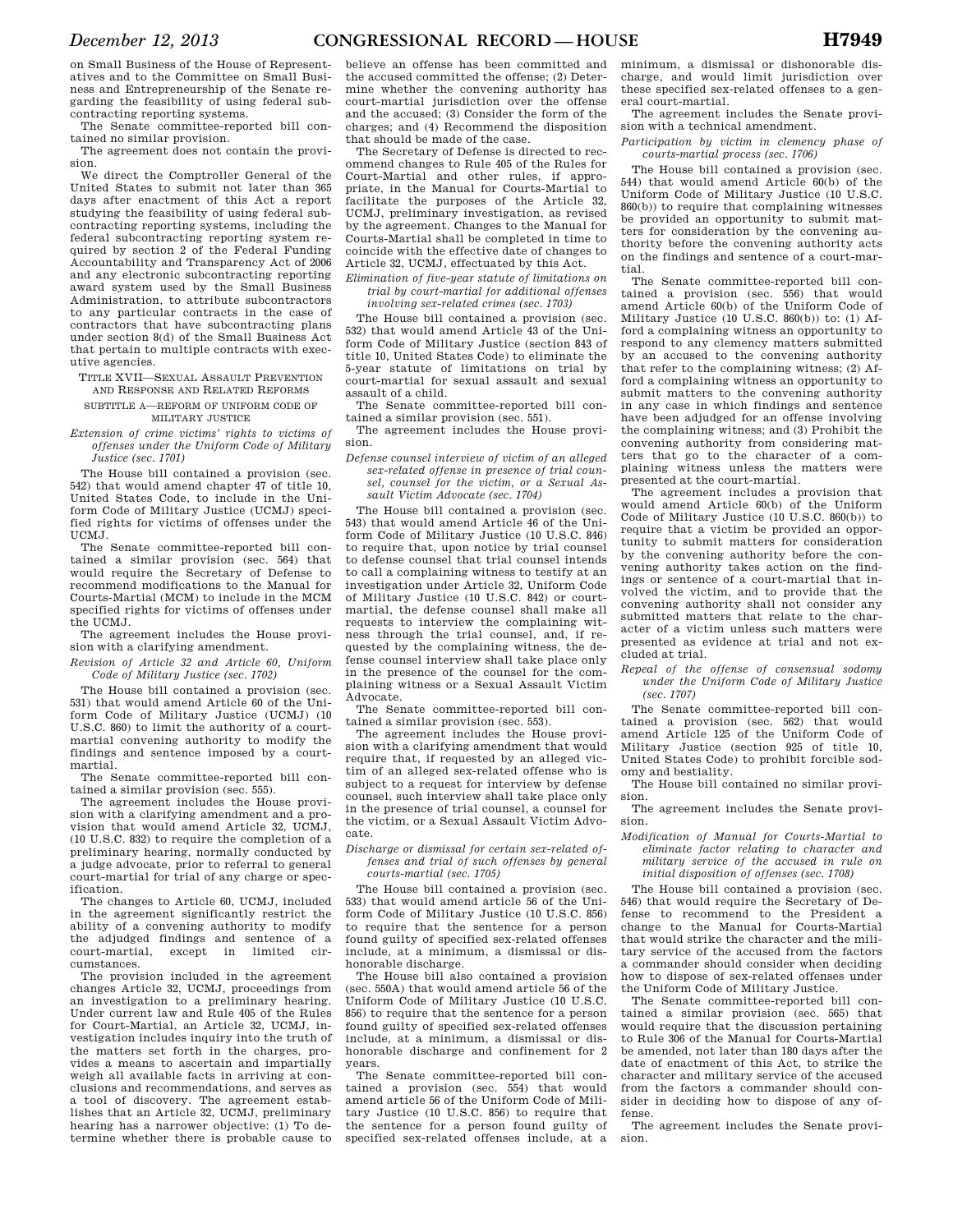on Small Business of the House of Representatives and to the Committee on Small Business and Entrepreneurship of the Senate regarding the feasibility of using federal subcontracting reporting systems.

The Senate committee-reported bill contained no similar provision.

The agreement does not contain the provision.

We direct the Comptroller General of the United States to submit not later than 365 days after enactment of this Act a report studying the feasibility of using federal subcontracting reporting systems, including the federal subcontracting reporting system required by section 2 of the Federal Funding Accountability and Transparency Act of 2006 and any electronic subcontracting reporting award system used by the Small Business Administration, to attribute subcontractors to any particular contracts in the case of contractors that have subcontracting plans under section 8(d) of the Small Business Act that pertain to multiple contracts with executive agencies.

TITLE XVII—SEXUAL ASSAULT PREVENTION AND RESPONSE AND RELATED REFORMS SUBTITLE A—REFORM OF UNIFORM CODE OF

# MILITARY JUSTICE

*Extension of crime victims' rights to victims of offenses under the Uniform Code of Military Justice (sec. 1701)* 

The House bill contained a provision (sec. 542) that would amend chapter 47 of title 10, United States Code, to include in the Uniform Code of Military Justice (UCMJ) specified rights for victims of offenses under the UCMJ.

The Senate committee-reported bill contained a similar provision (sec. 564) that would require the Secretary of Defense to recommend modifications to the Manual for Courts-Martial (MCM) to include in the MCM specified rights for victims of offenses under the UCMJ.

The agreement includes the House provision with a clarifying amendment.

*Revision of Article 32 and Article 60, Uniform Code of Military Justice (sec. 1702)* 

The House bill contained a provision (sec. 531) that would amend Article 60 of the Uniform Code of Military Justice (UCMJ) (10 U.S.C. 860) to limit the authority of a courtmartial convening authority to modify the findings and sentence imposed by a courtmartial.

The Senate committee-reported bill contained a similar provision (sec. 555).

The agreement includes the House provision with a clarifying amendment and a provision that would amend Article 32, UCMJ, (10 U.S.C. 832) to require the completion of a preliminary hearing, normally conducted by a judge advocate, prior to referral to general court-martial for trial of any charge or specification.

The changes to Article 60, UCMJ, included in the agreement significantly restrict the ability of a convening authority to modify the adjudged findings and sentence of a court-martial, except in limited circumstances.

The provision included in the agreement changes Article 32, UCMJ, proceedings from an investigation to a preliminary hearing. Under current law and Rule 405 of the Rules for Court-Martial, an Article 32, UCMJ, investigation includes inquiry into the truth of the matters set forth in the charges, provides a means to ascertain and impartially weigh all available facts in arriving at conclusions and recommendations, and serves as a tool of discovery. The agreement establishes that an Article 32, UCMJ, preliminary hearing has a narrower objective: (1) To determine whether there is probable cause to

believe an offense has been committed and the accused committed the offense; (2) Determine whether the convening authority has court-martial jurisdiction over the offense and the accused; (3) Consider the form of the charges; and (4) Recommend the disposition that should be made of the case.

The Secretary of Defense is directed to recommend changes to Rule 405 of the Rules for Court-Martial and other rules, if appropriate, in the Manual for Courts-Martial to facilitate the purposes of the Article 32, UCMJ, preliminary investigation, as revised by the agreement. Changes to the Manual for Courts-Martial shall be completed in time to coincide with the effective date of changes to Article 32, UCMJ, effectuated by this Act.

*Elimination of five-year statute of limitations on trial by court-martial for additional offenses involving sex-related crimes (sec. 1703)* 

The House bill contained a provision (sec. 532) that would amend Article 43 of the Uniform Code of Military Justice (section 843 of title 10, United States Code) to eliminate the 5-year statute of limitations on trial by court-martial for sexual assault and sexual assault of a child.

The Senate committee-reported bill contained a similar provision (sec. 551).

The agreement includes the House provision.

*Defense counsel interview of victim of an alleged sex-related offense in presence of trial counsel, counsel for the victim, or a Sexual Assault Victim Advocate (sec. 1704)* 

The House bill contained a provision (sec. 543) that would amend Article 46 of the Uniform Code of Military Justice (10 U.S.C. 846) to require that, upon notice by trial counsel to defense counsel that trial counsel intends to call a complaining witness to testify at an investigation under Article 32, Uniform Code of Military Justice (10 U.S.C. 842) or courtmartial, the defense counsel shall make all requests to interview the complaining witness through the trial counsel, and, if requested by the complaining witness, the defense counsel interview shall take place only in the presence of the counsel for the complaining witness or a Sexual Assault Victim Advocate.

The Senate committee-reported bill contained a similar provision (sec. 553).

The agreement includes the House provision with a clarifying amendment that would require that, if requested by an alleged victim of an alleged sex-related offense who is subject to a request for interview by defense counsel, such interview shall take place only in the presence of trial counsel, a counsel for the victim, or a Sexual Assault Victim Advocate.

*Discharge or dismissal for certain sex-related offenses and trial of such offenses by general courts-martial (sec. 1705)* 

The House bill contained a provision (sec. 533) that would amend article 56 of the Uniform Code of Military Justice (10 U.S.C. 856) to require that the sentence for a person found guilty of specified sex-related offenses include, at a minimum, a dismissal or dishonorable discharge.

The House bill also contained a provision (sec. 550A) that would amend article 56 of the Uniform Code of Military Justice (10 U.S.C. 856) to require that the sentence for a person found guilty of specified sex-related offenses include, at a minimum, a dismissal or dishonorable discharge and confinement for 2 years.

The Senate committee-reported bill contained a provision (sec. 554) that would amend article 56 of the Uniform Code of Military Justice (10 U.S.C. 856) to require that the sentence for a person found guilty of specified sex-related offenses include, at a minimum, a dismissal or dishonorable discharge, and would limit jurisdiction over these specified sex-related offenses to a general court-martial.

The agreement includes the Senate provision with a technical amendment.

*Participation by victim in clemency phase of courts-martial process (sec. 1706)* 

The House bill contained a provision (sec. 544) that would amend Article 60(b) of the Uniform Code of Military Justice (10 U.S.C.  $860(b)$  to require that complaining witnesses be provided an opportunity to submit matters for consideration by the convening authority before the convening authority acts on the findings and sentence of a court-martial.

The Senate committee-reported bill contained a provision (sec. 556) that would amend Article 60(b) of the Uniform Code of Military Justice (10 U.S.C. 860(b)) to: (1) Afford a complaining witness an opportunity to respond to any clemency matters submitted by an accused to the convening authority that refer to the complaining witness; (2) Afford a complaining witness an opportunity to submit matters to the convening authority in any case in which findings and sentence have been adjudged for an offense involving the complaining witness; and (3) Prohibit the convening authority from considering matters that go to the character of a complaining witness unless the matters were presented at the court-martial.

The agreement includes a provision that would amend Article 60(b) of the Uniform Code of Military Justice (10 U.S.C. 860(b)) to require that a victim be provided an opportunity to submit matters for consideration by the convening authority before the convening authority takes action on the findings or sentence of a court-martial that involved the victim, and to provide that the convening authority shall not consider any submitted matters that relate to the character of a victim unless such matters were presented as evidence at trial and not excluded at trial.

*Repeal of the offense of consensual sodomy under the Uniform Code of Military Justice (sec. 1707)* 

The Senate committee-reported bill contained a provision (sec. 562) that would amend Article 125 of the Uniform Code of Military Justice (section 925 of title 10, United States Code) to prohibit forcible sodomy and bestiality.

The House bill contained no similar provision.

The agreement includes the Senate provision.

*Modification of Manual for Courts-Martial to eliminate factor relating to character and military service of the accused in rule on initial disposition of offenses (sec. 1708)* 

The House bill contained a provision (sec. 546) that would require the Secretary of Defense to recommend to the President a change to the Manual for Courts-Martial that would strike the character and the military service of the accused from the factors a commander should consider when deciding how to dispose of sex-related offenses under the Uniform Code of Military Justice.

The Senate committee-reported bill contained a similar provision (sec. 565) that would require that the discussion pertaining to Rule 306 of the Manual for Courts-Martial be amended, not later than 180 days after the date of enactment of this Act, to strike the character and military service of the accused from the factors a commander should consider in deciding how to dispose of any offense.

The agreement includes the Senate provision.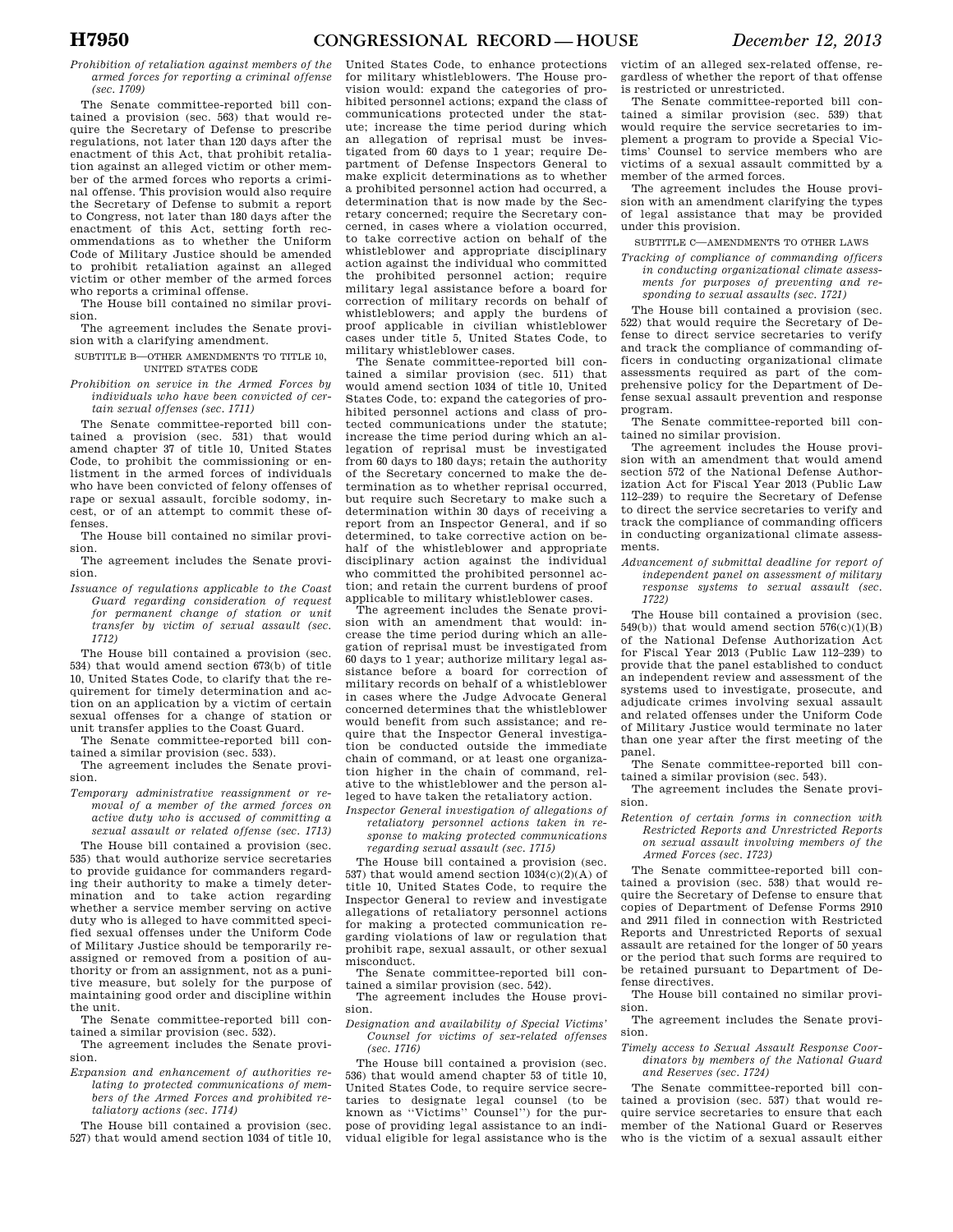*Prohibition of retaliation against members of the armed forces for reporting a criminal offense (sec. 1709)* 

The Senate committee-reported bill contained a provision (sec. 563) that would require the Secretary of Defense to prescribe regulations, not later than 120 days after the enactment of this Act, that prohibit retaliation against an alleged victim or other member of the armed forces who reports a criminal offense. This provision would also require the Secretary of Defense to submit a report to Congress, not later than 180 days after the enactment of this Act, setting forth recommendations as to whether the Uniform Code of Military Justice should be amended to prohibit retaliation against an alleged victim or other member of the armed forces who reports a criminal offense.

The House bill contained no similar provision.

The agreement includes the Senate provision with a clarifying amendment.

- SUBTITLE B—OTHER AMENDMENTS TO TITLE 10, UNITED STATES CODE
- *Prohibition on service in the Armed Forces by individuals who have been convicted of certain sexual offenses (sec. 1711)*

The Senate committee-reported bill contained a provision (sec. 531) that would amend chapter 37 of title 10, United States Code, to prohibit the commissioning or enlistment in the armed forces of individuals who have been convicted of felony offenses of rape or sexual assault, forcible sodomy, incest, or of an attempt to commit these offenses.

The House bill contained no similar provision.

The agreement includes the Senate provision.

*Issuance of regulations applicable to the Coast Guard regarding consideration of request for permanent change of station or unit transfer by victim of sexual assault (sec. 1712)* 

The House bill contained a provision (sec. 534) that would amend section 673(b) of title 10, United States Code, to clarify that the requirement for timely determination and action on an application by a victim of certain sexual offenses for a change of station or unit transfer applies to the Coast Guard.

The Senate committee-reported bill contained a similar provision (sec. 533).

The agreement includes the Senate provision.

*Temporary administrative reassignment or removal of a member of the armed forces on active duty who is accused of committing a sexual assault or related offense (sec. 1713)* 

The House bill contained a provision (sec. 535) that would authorize service secretaries to provide guidance for commanders regarding their authority to make a timely determination and to take action regarding whether a service member serving on active duty who is alleged to have committed specified sexual offenses under the Uniform Code of Military Justice should be temporarily reassigned or removed from a position of authority or from an assignment, not as a punitive measure, but solely for the purpose of maintaining good order and discipline within the unit.

The Senate committee-reported bill contained a similar provision (sec. 532).

The agreement includes the Senate provision.

*Expansion and enhancement of authorities relating to protected communications of members of the Armed Forces and prohibited retaliatory actions (sec. 1714)* 

The House bill contained a provision (sec. 527) that would amend section 1034 of title 10,

United States Code, to enhance protections for military whistleblowers. The House provision would: expand the categories of prohibited personnel actions; expand the class of communications protected under the statute; increase the time period during which an allegation of reprisal must be investigated from 60 days to 1 year; require Department of Defense Inspectors General to make explicit determinations as to whether a prohibited personnel action had occurred, a determination that is now made by the Secretary concerned; require the Secretary concerned, in cases where a violation occurred, to take corrective action on behalf of the whistleblower and appropriate disciplinary action against the individual who committed the prohibited personnel action; require military legal assistance before a board for correction of military records on behalf of whistleblowers; and apply the burdens of proof applicable in civilian whistleblower cases under title 5, United States Code, to military whistleblower cases.

The Senate committee-reported bill contained a similar provision (sec. 511) that would amend section 1034 of title 10, United States Code, to: expand the categories of prohibited personnel actions and class of protected communications under the statute; increase the time period during which an allegation of reprisal must be investigated from 60 days to 180 days; retain the authority of the Secretary concerned to make the determination as to whether reprisal occurred, but require such Secretary to make such a determination within 30 days of receiving a report from an Inspector General, and if so determined, to take corrective action on behalf of the whistleblower and appropriate disciplinary action against the individual who committed the prohibited personnel action; and retain the current burdens of proof applicable to military whistleblower cases.

The agreement includes the Senate provision with an amendment that would: increase the time period during which an allegation of reprisal must be investigated from 60 days to 1 year; authorize military legal assistance before a board for correction of military records on behalf of a whistleblower in cases where the Judge Advocate General concerned determines that the whistleblower would benefit from such assistance; and require that the Inspector General investigation be conducted outside the immediate chain of command, or at least one organization higher in the chain of command, relative to the whistleblower and the person alleged to have taken the retaliatory action.

*Inspector General investigation of allegations of retaliatory personnel actions taken in response to making protected communications regarding sexual assault (sec. 1715)* 

The House bill contained a provision (sec. 537) that would amend section 1034(c)(2)(A) of title 10, United States Code, to require the Inspector General to review and investigate allegations of retaliatory personnel actions for making a protected communication regarding violations of law or regulation that prohibit rape, sexual assault, or other sexual misconduct.

The Senate committee-reported bill contained a similar provision (sec. 542).

The agreement includes the House provision.

*Designation and availability of Special Victims' Counsel for victims of sex-related offenses (sec. 1716)* 

The House bill contained a provision (sec. 536) that would amend chapter 53 of title 10, United States Code, to require service secretaries to designate legal counsel (to be known as ''Victims'' Counsel'') for the purpose of providing legal assistance to an individual eligible for legal assistance who is the

victim of an alleged sex-related offense, regardless of whether the report of that offense is restricted or unrestricted.

The Senate committee-reported bill contained a similar provision (sec. 539) that would require the service secretaries to implement a program to provide a Special Victims' Counsel to service members who are victims of a sexual assault committed by a member of the armed forces.

The agreement includes the House provision with an amendment clarifying the types of legal assistance that may be provided under this provision.

SUBTITLE C—AMENDMENTS TO OTHER LAWS

*Tracking of compliance of commanding officers in conducting organizational climate assessments for purposes of preventing and responding to sexual assaults (sec. 1721)* 

The House bill contained a provision (sec. 522) that would require the Secretary of Defense to direct service secretaries to verify and track the compliance of commanding officers in conducting organizational climate assessments required as part of the comprehensive policy for the Department of Defense sexual assault prevention and response program.

The Senate committee-reported bill contained no similar provision.

The agreement includes the House provision with an amendment that would amend section 572 of the National Defense Authorization Act for Fiscal Year 2013 (Public Law 112–239) to require the Secretary of Defense to direct the service secretaries to verify and track the compliance of commanding officers in conducting organizational climate assessments.

*Advancement of submittal deadline for report of independent panel on assessment of military response systems to sexual assault (sec. 1722)* 

The House bill contained a provision (sec. 549(b)) that would amend section  $576(c)(1)(B)$ of the National Defense Authorization Act for Fiscal Year 2013 (Public Law 112–239) to provide that the panel established to conduct an independent review and assessment of the systems used to investigate, prosecute, and adjudicate crimes involving sexual assault and related offenses under the Uniform Code of Military Justice would terminate no later than one year after the first meeting of the panel.

The Senate committee-reported bill contained a similar provision (sec. 543).

The agreement includes the Senate provision.

*Retention of certain forms in connection with Restricted Reports and Unrestricted Reports on sexual assault involving members of the Armed Forces (sec. 1723)* 

The Senate committee-reported bill contained a provision (sec. 538) that would require the Secretary of Defense to ensure that copies of Department of Defense Forms 2910 and 2911 filed in connection with Restricted Reports and Unrestricted Reports of sexual assault are retained for the longer of 50 years or the period that such forms are required to be retained pursuant to Department of Defense directives.

The House bill contained no similar provision.

The agreement includes the Senate provision.

*Timely access to Sexual Assault Response Coordinators by members of the National Guard and Reserves (sec. 1724)* 

The Senate committee-reported bill contained a provision (sec. 537) that would require service secretaries to ensure that each member of the National Guard or Reserves who is the victim of a sexual assault either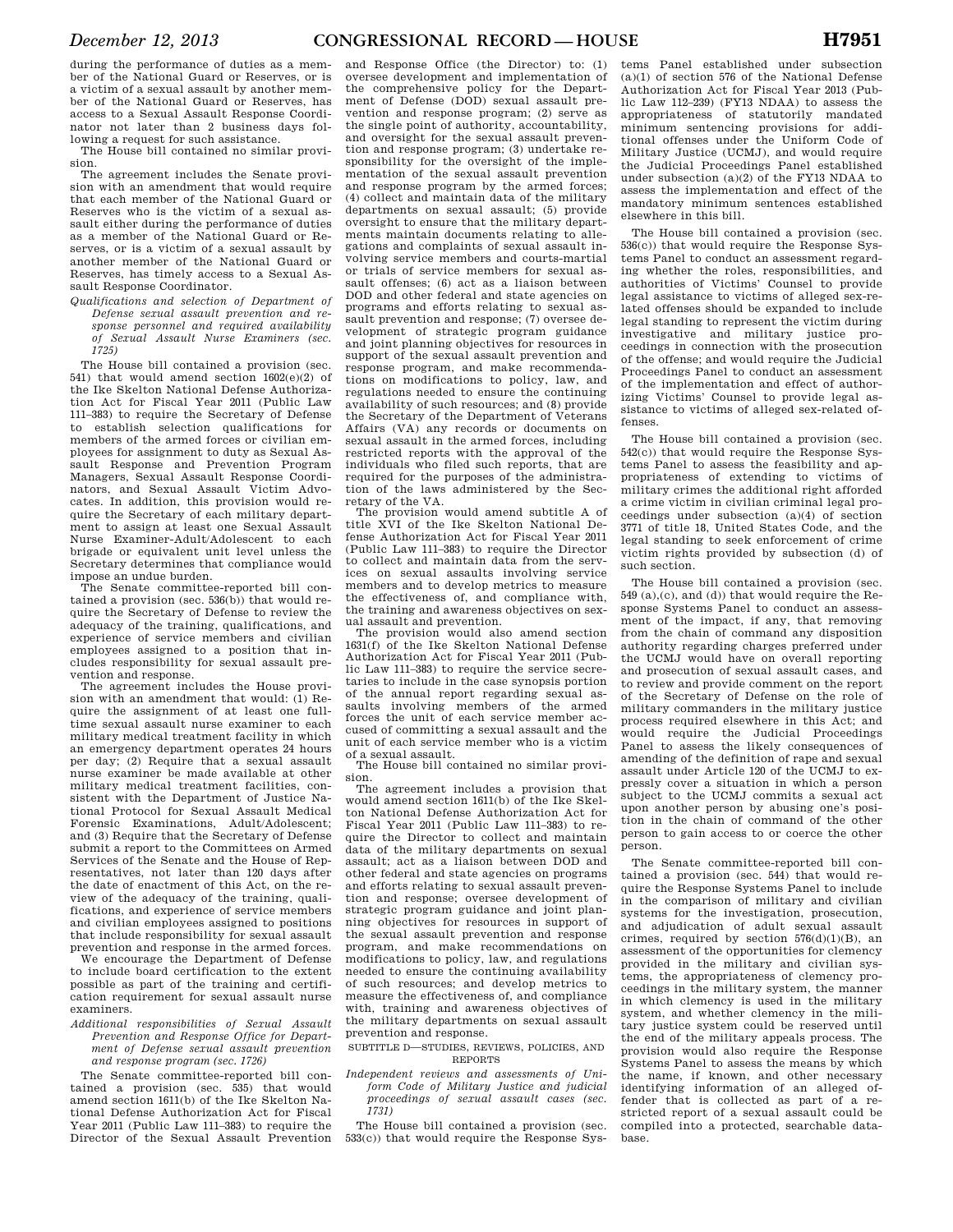during the performance of duties as a member of the National Guard or Reserves, or is a victim of a sexual assault by another member of the National Guard or Reserves, has access to a Sexual Assault Response Coordinator not later than 2 business days following a request for such assistance.

The House bill contained no similar provision.

The agreement includes the Senate provision with an amendment that would require that each member of the National Guard or Reserves who is the victim of a sexual assault either during the performance of duties as a member of the National Guard or Reserves, or is a victim of a sexual assault by another member of the National Guard or Reserves, has timely access to a Sexual Assault Response Coordinator.

*Qualifications and selection of Department of Defense sexual assault prevention and response personnel and required availability of Sexual Assault Nurse Examiners (sec. 1725)* 

The House bill contained a provision (sec. 541) that would amend section 1602(e)(2) of the Ike Skelton National Defense Authorization Act for Fiscal Year 2011 (Public Law 111–383) to require the Secretary of Defense to establish selection qualifications for members of the armed forces or civilian employees for assignment to duty as Sexual Assault Response and Prevention Program Managers, Sexual Assault Response Coordinators, and Sexual Assault Victim Advocates. In addition, this provision would require the Secretary of each military department to assign at least one Sexual Assault Nurse Examiner-Adult/Adolescent to each brigade or equivalent unit level unless the Secretary determines that compliance would impose an undue burden.

The Senate committee-reported bill contained a provision (sec.  $536(b)$ ) that would require the Secretary of Defense to review the adequacy of the training, qualifications, and experience of service members and civilian employees assigned to a position that includes responsibility for sexual assault prevention and response.

The agreement includes the House provision with an amendment that would: (1) Require the assignment of at least one fulltime sexual assault nurse examiner to each military medical treatment facility in which an emergency department operates 24 hours per day; (2) Require that a sexual assault nurse examiner be made available at other military medical treatment facilities, consistent with the Department of Justice National Protocol for Sexual Assault Medical Forensic Examinations, Adult/Adolescent; and (3) Require that the Secretary of Defense submit a report to the Committees on Armed Services of the Senate and the House of Representatives, not later than 120 days after the date of enactment of this Act, on the review of the adequacy of the training, qualifications, and experience of service members and civilian employees assigned to positions that include responsibility for sexual assault prevention and response in the armed forces.

We encourage the Department of Defense to include board certification to the extent possible as part of the training and certification requirement for sexual assault nurse examiners.

*Additional responsibilities of Sexual Assault Prevention and Response Office for Department of Defense sexual assault prevention and response program (sec. 1726)* 

The Senate committee-reported bill contained a provision (sec. 535) that would amend section 1611(b) of the Ike Skelton National Defense Authorization Act for Fiscal Year 2011 (Public Law 111–383) to require the Director of the Sexual Assault Prevention

and Response Office (the Director) to: (1) oversee development and implementation of the comprehensive policy for the Department of Defense (DOD) sexual assault prevention and response program; (2) serve as the single point of authority, accountability, and oversight for the sexual assault prevention and response program; (3) undertake responsibility for the oversight of the implementation of the sexual assault prevention and response program by the armed forces; (4) collect and maintain data of the military departments on sexual assault; (5) provide oversight to ensure that the military departments maintain documents relating to allegations and complaints of sexual assault involving service members and courts-martial or trials of service members for sexual assault offenses; (6) act as a liaison between DOD and other federal and state agencies on programs and efforts relating to sexual assault prevention and response; (7) oversee development of strategic program guidance and joint planning objectives for resources in support of the sexual assault prevention and response program, and make recommendations on modifications to policy, law, and regulations needed to ensure the continuing availability of such resources; and (8) provide the Secretary of the Department of Veterans Affairs (VA) any records or documents on sexual assault in the armed forces, including restricted reports with the approval of the individuals who filed such reports, that are required for the purposes of the administration of the laws administered by the Secretary of the VA.

The provision would amend subtitle A of title XVI of the Ike Skelton National Defense Authorization Act for Fiscal Year 2011 (Public Law 111–383) to require the Director to collect and maintain data from the services on sexual assaults involving service members and to develop metrics to measure the effectiveness of, and compliance with, the training and awareness objectives on sexual assault and prevention.

The provision would also amend section 1631(f) of the Ike Skelton National Defense Authorization Act for Fiscal Year 2011 (Public Law 111–383) to require the service secretaries to include in the case synopsis portion of the annual report regarding sexual assaults involving members of the armed forces the unit of each service member accused of committing a sexual assault and the unit of each service member who is a victim of a sexual assault.

The House bill contained no similar provision.

The agreement includes a provision that would amend section 1611(b) of the Ike Skelton National Defense Authorization Act for Fiscal Year 2011 (Public Law 111–383) to require the Director to collect and maintain data of the military departments on sexual assault; act as a liaison between DOD and other federal and state agencies on programs and efforts relating to sexual assault prevention and response; oversee development of strategic program guidance and joint planning objectives for resources in support of the sexual assault prevention and response program, and make recommendations on modifications to policy, law, and regulations needed to ensure the continuing availability of such resources; and develop metrics to measure the effectiveness of, and compliance with, training and awareness objectives of the military departments on sexual assault prevention and response.

SUBTITLE D—STUDIES, REVIEWS, POLICIES, AND REPORTS

*Independent reviews and assessments of Uniform Code of Military Justice and judicial proceedings of sexual assault cases (sec. 1731)* 

The House bill contained a provision (sec. 533(c)) that would require the Response Sys-

tems Panel established under subsection (a)(1) of section 576 of the National Defense Authorization Act for Fiscal Year 2013 (Public Law 112–239) (FY13 NDAA) to assess the appropriateness of statutorily mandated minimum sentencing provisions for additional offenses under the Uniform Code of Military Justice (UCMJ), and would require the Judicial Proceedings Panel established under subsection (a)(2) of the FY13 NDAA to assess the implementation and effect of the mandatory minimum sentences established elsewhere in this bill.

The House bill contained a provision (sec. 536(c)) that would require the Response Systems Panel to conduct an assessment regarding whether the roles, responsibilities, and authorities of Victims' Counsel to provide legal assistance to victims of alleged sex-related offenses should be expanded to include legal standing to represent the victim during investigative and military justice proceedings in connection with the prosecution of the offense; and would require the Judicial Proceedings Panel to conduct an assessment of the implementation and effect of authorizing Victims' Counsel to provide legal assistance to victims of alleged sex-related offenses.

The House bill contained a provision (sec. 542(c)) that would require the Response Systems Panel to assess the feasibility and appropriateness of extending to victims of military crimes the additional right afforded a crime victim in civilian criminal legal proceedings under subsection (a)(4) of section 3771 of title 18, United States Code, and the legal standing to seek enforcement of crime victim rights provided by subsection (d) of such section.

The House bill contained a provision (sec. 549 (a),(c), and (d)) that would require the Response Systems Panel to conduct an assessment of the impact, if any, that removing from the chain of command any disposition authority regarding charges preferred under the UCMJ would have on overall reporting and prosecution of sexual assault cases, and to review and provide comment on the report of the Secretary of Defense on the role of military commanders in the military justice process required elsewhere in this Act; and would require the Judicial Proceedings Panel to assess the likely consequences of amending of the definition of rape and sexual assault under Article 120 of the UCMJ to expressly cover a situation in which a person subject to the UCMJ commits a sexual act upon another person by abusing one's position in the chain of command of the other person to gain access to or coerce the other person.

The Senate committee-reported bill contained a provision (sec. 544) that would require the Response Systems Panel to include in the comparison of military and civilian systems for the investigation, prosecution, and adjudication of adult sexual assault crimes, required by section 576(d)(1)(B), an assessment of the opportunities for clemency provided in the military and civilian systems, the appropriateness of clemency proceedings in the military system, the manner in which clemency is used in the military system, and whether clemency in the military justice system could be reserved until the end of the military appeals process. The provision would also require the Response Systems Panel to assess the means by which the name, if known, and other necessary identifying information of an alleged offender that is collected as part of a restricted report of a sexual assault could be compiled into a protected, searchable database.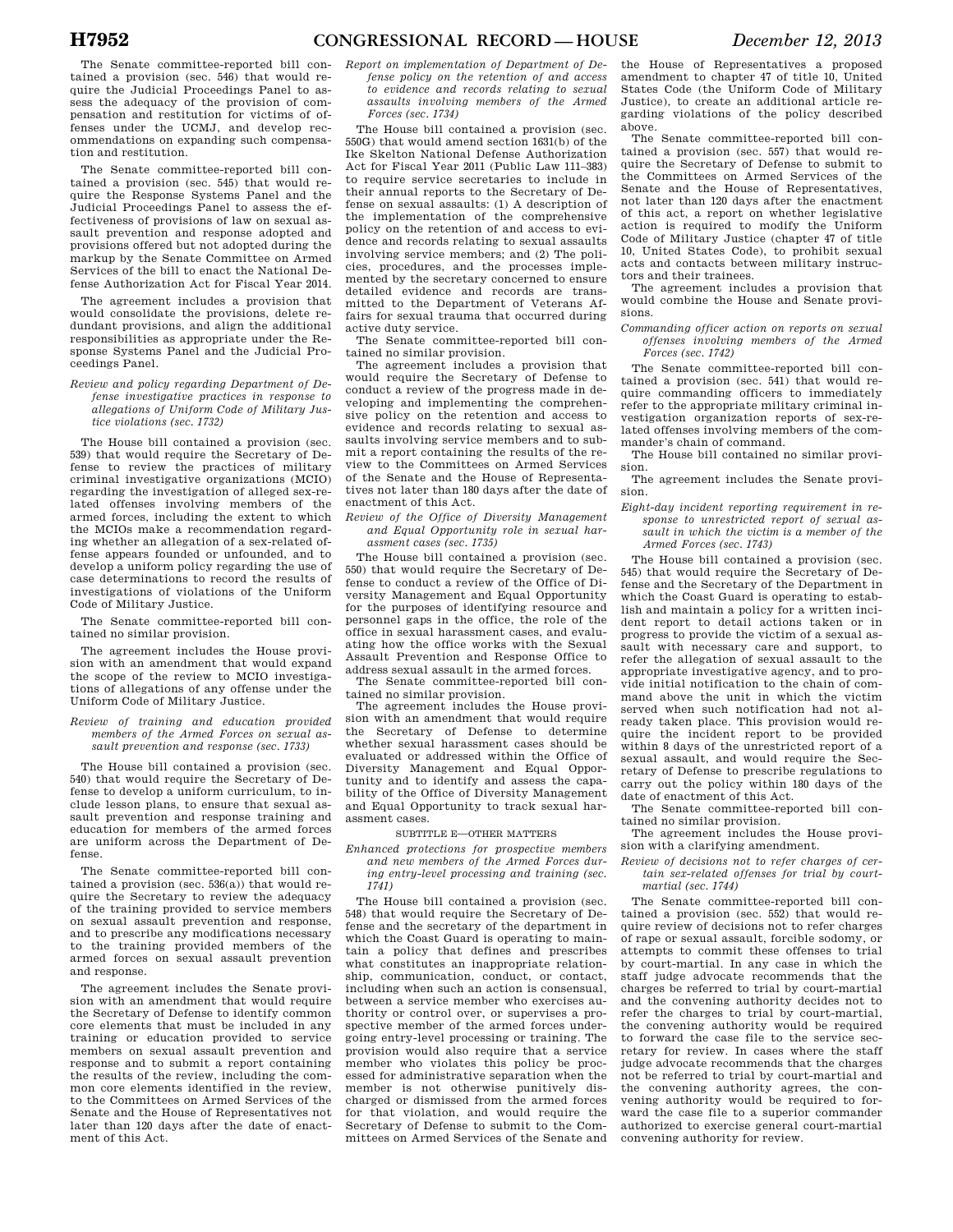The Senate committee-reported bill contained a provision (sec. 546) that would require the Judicial Proceedings Panel to assess the adequacy of the provision of compensation and restitution for victims of offenses under the UCMJ, and develop recommendations on expanding such compensation and restitution.

The Senate committee-reported bill contained a provision (sec. 545) that would require the Response Systems Panel and the Judicial Proceedings Panel to assess the effectiveness of provisions of law on sexual assault prevention and response adopted and provisions offered but not adopted during the markup by the Senate Committee on Armed Services of the bill to enact the National Defense Authorization Act for Fiscal Year 2014.

The agreement includes a provision that would consolidate the provisions, delete redundant provisions, and align the additional responsibilities as appropriate under the Response Systems Panel and the Judicial Proceedings Panel.

*Review and policy regarding Department of Defense investigative practices in response to allegations of Uniform Code of Military Justice violations (sec. 1732)* 

The House bill contained a provision (sec. 539) that would require the Secretary of Defense to review the practices of military criminal investigative organizations (MCIO) regarding the investigation of alleged sex-related offenses involving members of the armed forces, including the extent to which the MCIOs make a recommendation regarding whether an allegation of a sex-related offense appears founded or unfounded, and to develop a uniform policy regarding the use of case determinations to record the results of investigations of violations of the Uniform Code of Military Justice.

The Senate committee-reported bill contained no similar provision.

The agreement includes the House provision with an amendment that would expand the scope of the review to MCIO investigations of allegations of any offense under the Uniform Code of Military Justice.

*Review of training and education provided members of the Armed Forces on sexual assault prevention and response (sec. 1733)* 

The House bill contained a provision (sec. 540) that would require the Secretary of Defense to develop a uniform curriculum, to include lesson plans, to ensure that sexual assault prevention and response training and education for members of the armed forces are uniform across the Department of Defense.

The Senate committee-reported bill contained a provision (sec.  $536(a)$ ) that would require the Secretary to review the adequacy of the training provided to service members on sexual assault prevention and response, and to prescribe any modifications necessary to the training provided members of the armed forces on sexual assault prevention and response.

The agreement includes the Senate provision with an amendment that would require the Secretary of Defense to identify common core elements that must be included in any training or education provided to service members on sexual assault prevention and response and to submit a report containing the results of the review, including the common core elements identified in the review, to the Committees on Armed Services of the Senate and the House of Representatives not later than 120 days after the date of enactment of this Act.

*Report on implementation of Department of Defense policy on the retention of and access to evidence and records relating to sexual assaults involving members of the Armed Forces (sec. 1734)* 

The House bill contained a provision (sec. 550G) that would amend section 1631(b) of the Ike Skelton National Defense Authorization Act for Fiscal Year 2011 (Public Law 111–383) to require service secretaries to include in their annual reports to the Secretary of Defense on sexual assaults: (1) A description of the implementation of the comprehensive policy on the retention of and access to evidence and records relating to sexual assaults involving service members; and (2) The policies, procedures, and the processes implemented by the secretary concerned to ensure detailed evidence and records are transmitted to the Department of Veterans Affairs for sexual trauma that occurred during active duty service.

The Senate committee-reported bill contained no similar provision.

The agreement includes a provision that would require the Secretary of Defense to conduct a review of the progress made in developing and implementing the comprehensive policy on the retention and access to evidence and records relating to sexual assaults involving service members and to submit a report containing the results of the review to the Committees on Armed Services of the Senate and the House of Representatives not later than 180 days after the date of enactment of this Act.

*Review of the Office of Diversity Management and Equal Opportunity role in sexual harassment cases (sec. 1735)* 

The House bill contained a provision (sec. 550) that would require the Secretary of Defense to conduct a review of the Office of Diversity Management and Equal Opportunity for the purposes of identifying resource and personnel gaps in the office, the role of the office in sexual harassment cases, and evaluating how the office works with the Sexual Assault Prevention and Response Office to address sexual assault in the armed forces.

The Senate committee-reported bill contained no similar provision.

The agreement includes the House provision with an amendment that would require the Secretary of Defense to determine whether sexual harassment cases should be evaluated or addressed within the Office of Diversity Management and Equal Opportunity and to identify and assess the capability of the Office of Diversity Management and Equal Opportunity to track sexual harassment cases.

SUBTITLE E—OTHER MATTERS

*Enhanced protections for prospective members and new members of the Armed Forces during entry-level processing and training (sec. 1741)* 

The House bill contained a provision (sec. 548) that would require the Secretary of Defense and the secretary of the department in which the Coast Guard is operating to maintain a policy that defines and prescribes what constitutes an inappropriate relationship, communication, conduct, or contact, including when such an action is consensual, between a service member who exercises authority or control over, or supervises a prospective member of the armed forces undergoing entry-level processing or training. The provision would also require that a service member who violates this policy be processed for administrative separation when the member is not otherwise punitively discharged or dismissed from the armed forces for that violation, and would require the Secretary of Defense to submit to the Committees on Armed Services of the Senate and the House of Representatives a proposed amendment to chapter 47 of title 10, United States Code (the Uniform Code of Military Justice), to create an additional article regarding violations of the policy described above.

The Senate committee-reported bill contained a provision (sec. 557) that would require the Secretary of Defense to submit to the Committees on Armed Services of the Senate and the House of Representatives, not later than 120 days after the enactment of this act, a report on whether legislative action is required to modify the Uniform Code of Military Justice (chapter 47 of title 10, United States Code), to prohibit sexual acts and contacts between military instructors and their trainees.

The agreement includes a provision that would combine the House and Senate provisions.

*Commanding officer action on reports on sexual offenses involving members of the Armed Forces (sec. 1742)* 

The Senate committee-reported bill contained a provision (sec. 541) that would require commanding officers to immediately refer to the appropriate military criminal investigation organization reports of sex-related offenses involving members of the commander's chain of command.

The House bill contained no similar provision.

The agreement includes the Senate provision.

*Eight-day incident reporting requirement in response to unrestricted report of sexual assault in which the victim is a member of the Armed Forces (sec. 1743)* 

The House bill contained a provision (sec. 545) that would require the Secretary of Defense and the Secretary of the Department in which the Coast Guard is operating to establish and maintain a policy for a written incident report to detail actions taken or in progress to provide the victim of a sexual assault with necessary care and support, to refer the allegation of sexual assault to the appropriate investigative agency, and to provide initial notification to the chain of command above the unit in which the victim served when such notification had not already taken place. This provision would require the incident report to be provided within 8 days of the unrestricted report of a sexual assault, and would require the Secretary of Defense to prescribe regulations to carry out the policy within 180 days of the date of enactment of this Act.

The Senate committee-reported bill contained no similar provision.

The agreement includes the House provision with a clarifying amendment.

*Review of decisions not to refer charges of certain sex-related offenses for trial by courtmartial (sec. 1744)* 

The Senate committee-reported bill contained a provision (sec. 552) that would require review of decisions not to refer charges of rape or sexual assault, forcible sodomy, or attempts to commit these offenses to trial by court-martial. In any case in which the staff judge advocate recommends that the charges be referred to trial by court-martial and the convening authority decides not to refer the charges to trial by court-martial, the convening authority would be required to forward the case file to the service secretary for review. In cases where the staff judge advocate recommends that the charges not be referred to trial by court-martial and the convening authority agrees, the convening authority would be required to forward the case file to a superior commander authorized to exercise general court-martial convening authority for review.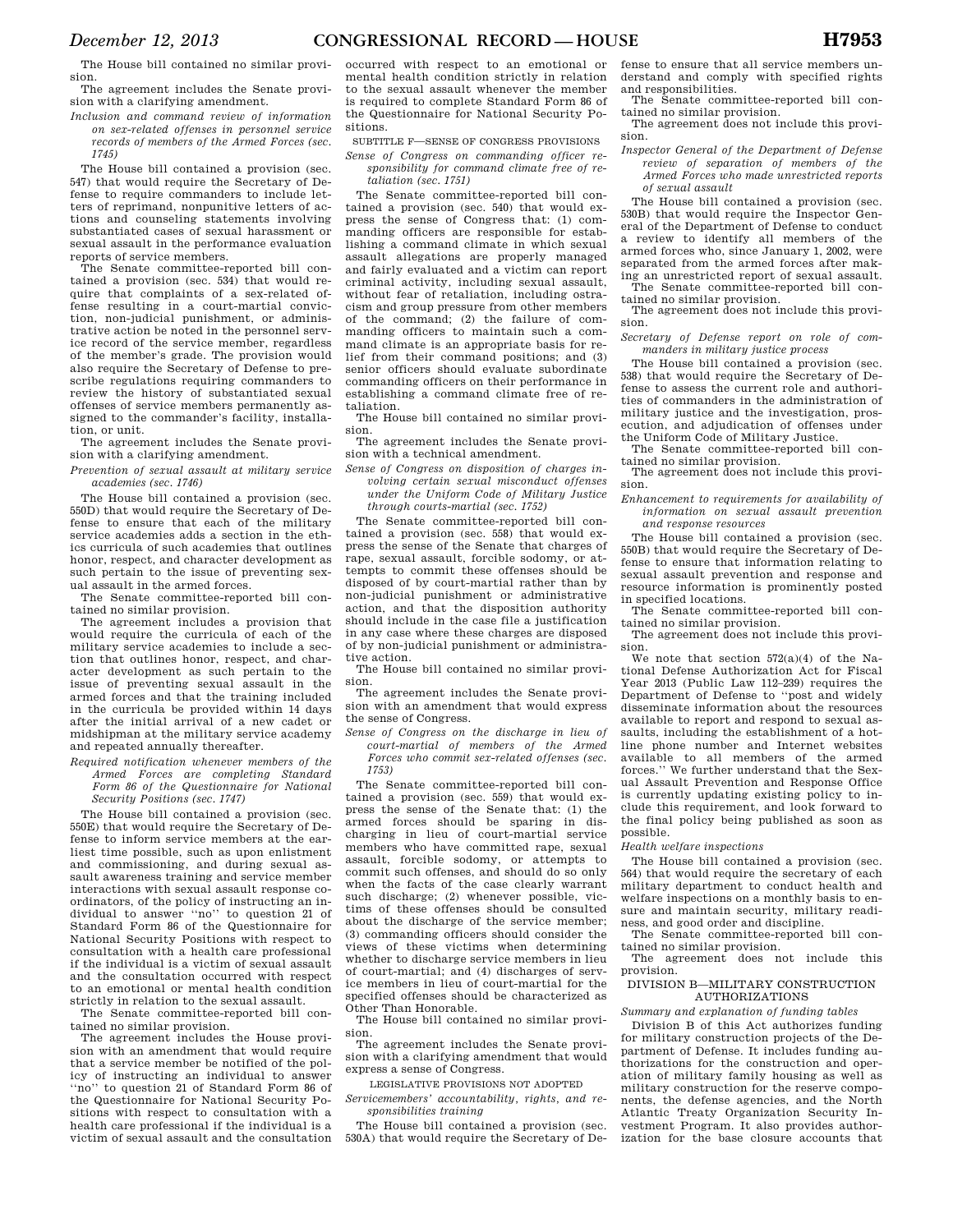The House bill contained no similar provision.

The agreement includes the Senate provision with a clarifying amendment.

*Inclusion and command review of information on sex-related offenses in personnel service records of members of the Armed Forces (sec. 1745)* 

The House bill contained a provision (sec. 547) that would require the Secretary of Defense to require commanders to include letters of reprimand, nonpunitive letters of actions and counseling statements involving substantiated cases of sexual harassment or sexual assault in the performance evaluation reports of service members.

The Senate committee-reported bill contained a provision (sec. 534) that would require that complaints of a sex-related offense resulting in a court-martial conviction, non-judicial punishment, or administrative action be noted in the personnel service record of the service member, regardless of the member's grade. The provision would also require the Secretary of Defense to prescribe regulations requiring commanders to review the history of substantiated sexual offenses of service members permanently assigned to the commander's facility, installation, or unit.

The agreement includes the Senate provision with a clarifying amendment.

*Prevention of sexual assault at military service academies (sec. 1746)* 

The House bill contained a provision (sec. 550D) that would require the Secretary of Defense to ensure that each of the military service academies adds a section in the ethics curricula of such academies that outlines honor, respect, and character development as such pertain to the issue of preventing sexual assault in the armed forces.

The Senate committee-reported bill contained no similar provision.

The agreement includes a provision that would require the curricula of each of the military service academies to include a section that outlines honor, respect, and character development as such pertain to the issue of preventing sexual assault in the armed forces and that the training included in the curricula be provided within 14 days after the initial arrival of a new cadet or midshipman at the military service academy and repeated annually thereafter.

*Required notification whenever members of the Armed Forces are completing Standard Form 86 of the Questionnaire for National Security Positions (sec. 1747)* 

The House bill contained a provision (sec. 550E) that would require the Secretary of Defense to inform service members at the earliest time possible, such as upon enlistment and commissioning, and during sexual assault awareness training and service member interactions with sexual assault response coordinators, of the policy of instructing an individual to answer ''no'' to question 21 of Standard Form 86 of the Questionnaire for National Security Positions with respect to consultation with a health care professional if the individual is a victim of sexual assault and the consultation occurred with respect to an emotional or mental health condition strictly in relation to the sexual assault.

The Senate committee-reported bill contained no similar provision.

The agreement includes the House provision with an amendment that would require that a service member be notified of the policy of instructing an individual to answer ''no'' to question 21 of Standard Form 86 of the Questionnaire for National Security Positions with respect to consultation with a health care professional if the individual is a victim of sexual assault and the consultation

occurred with respect to an emotional or mental health condition strictly in relation to the sexual assault whenever the member is required to complete Standard Form 86 of the Questionnaire for National Security Positions.

SUBTITLE F—SENSE OF CONGRESS PROVISIONS

*Sense of Congress on commanding officer responsibility for command climate free of retaliation (sec. 1751)* 

The Senate committee-reported bill contained a provision (sec. 540) that would express the sense of Congress that: (1) commanding officers are responsible for establishing a command climate in which sexual assault allegations are properly managed and fairly evaluated and a victim can report criminal activity, including sexual assault, without fear of retaliation, including ostracism and group pressure from other members of the command; (2) the failure of commanding officers to maintain such a command climate is an appropriate basis for relief from their command positions; and (3) senior officers should evaluate subordinate commanding officers on their performance in establishing a command climate free of retaliation.

The House bill contained no similar provision.

The agreement includes the Senate provision with a technical amendment.

*Sense of Congress on disposition of charges involving certain sexual misconduct offenses under the Uniform Code of Military Justice through courts-martial (sec. 1752)* 

The Senate committee-reported bill contained a provision (sec. 558) that would express the sense of the Senate that charges of rape, sexual assault, forcible sodomy, or attempts to commit these offenses should be disposed of by court-martial rather than by non-judicial punishment or administrative action, and that the disposition authority should include in the case file a justification in any case where these charges are disposed of by non-judicial punishment or administrative action.

The House bill contained no similar provision.

The agreement includes the Senate provision with an amendment that would express the sense of Congress.

*Sense of Congress on the discharge in lieu of court-martial of members of the Armed Forces who commit sex-related offenses (sec. 1753)* 

The Senate committee-reported bill contained a provision (sec. 559) that would express the sense of the Senate that: (1) the armed forces should be sparing in discharging in lieu of court-martial service members who have committed rape, sexual assault, forcible sodomy, or attempts to commit such offenses, and should do so only when the facts of the case clearly warrant such discharge; (2) whenever possible, victims of these offenses should be consulted about the discharge of the service member; (3) commanding officers should consider the views of these victims when determining whether to discharge service members in lieu of court-martial; and (4) discharges of service members in lieu of court-martial for the specified offenses should be characterized as Other Than Honorable.

The House bill contained no similar provision.

The agreement includes the Senate provision with a clarifying amendment that would express a sense of Congress.

LEGISLATIVE PROVISIONS NOT ADOPTED

*Servicemembers' accountability, rights, and responsibilities training* 

The House bill contained a provision (sec. 530A) that would require the Secretary of Defense to ensure that all service members understand and comply with specified rights and responsibilities.

The Senate committee-reported bill contained no similar provision. The agreement does not include this provi-

sion.

*Inspector General of the Department of Defense review of separation of members of the Armed Forces who made unrestricted reports of sexual assault* 

The House bill contained a provision (sec. 530B) that would require the Inspector General of the Department of Defense to conduct a review to identify all members of the armed forces who, since January 1, 2002, were separated from the armed forces after making an unrestricted report of sexual assault. The Senate committee-reported bill con-

tained no similar provision. The agreement does not include this provi-

sion.

*Secretary of Defense report on role of commanders in military justice process* 

The House bill contained a provision (sec. 538) that would require the Secretary of Defense to assess the current role and authorities of commanders in the administration of military justice and the investigation, prosecution, and adjudication of offenses under the Uniform Code of Military Justice.

The Senate committee-reported bill con-

tained no similar provision. The agreement does not include this provision.

*Enhancement to requirements for availability of information on sexual assault prevention and response resources* 

The House bill contained a provision (sec. 550B) that would require the Secretary of Defense to ensure that information relating to sexual assault prevention and response and resource information is prominently posted in specified locations.

The Senate committee-reported bill contained no similar provision.

The agreement does not include this provision.

We note that section  $572(a)(4)$  of the National Defense Authorization Act for Fiscal Year 2013 (Public Law 112–239) requires the Department of Defense to ''post and widely disseminate information about the resources available to report and respond to sexual assaults, including the establishment of a hotline phone number and Internet websites available to all members of the armed forces.'' We further understand that the Sexual Assault Prevention and Response Office is currently updating existing policy to include this requirement, and look forward to the final policy being published as soon as possible.

*Health welfare inspections* 

The House bill contained a provision (sec. 564) that would require the secretary of each military department to conduct health and welfare inspections on a monthly basis to ensure and maintain security, military readiness, and good order and discipline.

The Senate committee-reported bill contained no similar provision.

The agreement does not include this provision.

#### DIVISION B—MILITARY CONSTRUCTION AUTHORIZATIONS

*Summary and explanation of funding tables* 

Division B of this Act authorizes funding for military construction projects of the Department of Defense. It includes funding authorizations for the construction and operation of military family housing as well as military construction for the reserve components, the defense agencies, and the North Atlantic Treaty Organization Security Investment Program. It also provides authorization for the base closure accounts that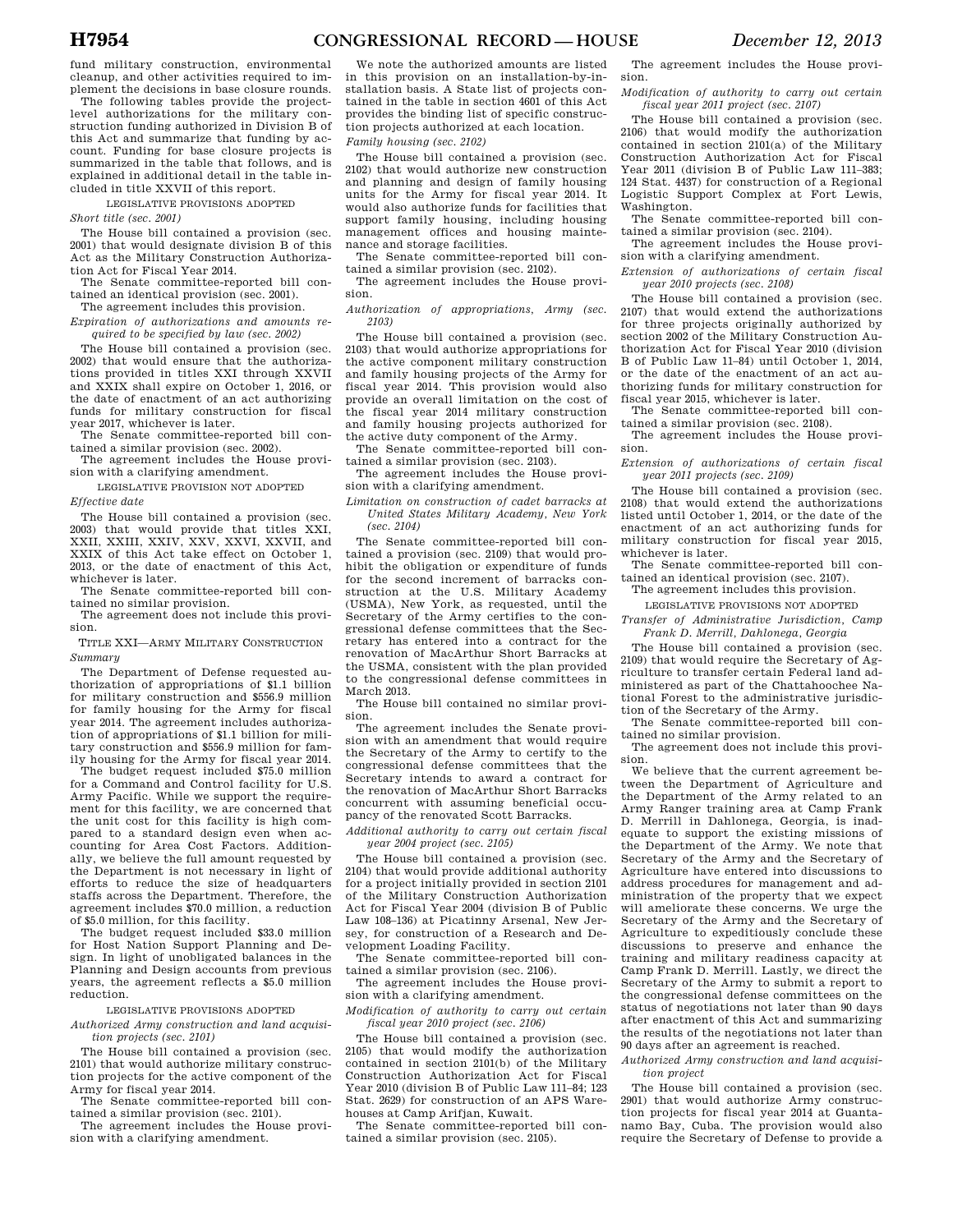fund military construction, environmental cleanup, and other activities required to implement the decisions in base closure rounds.

The following tables provide the projectlevel authorizations for the military construction funding authorized in Division B of this Act and summarize that funding by account. Funding for base closure projects is summarized in the table that follows, and is explained in additional detail in the table included in title XXVII of this report.

LEGISLATIVE PROVISIONS ADOPTED

*Short title (sec. 2001)* 

The House bill contained a provision (sec. 2001) that would designate division B of this Act as the Military Construction Authorization Act for Fiscal Year 2014.

The Senate committee-reported bill contained an identical provision (sec. 2001). The agreement includes this provision.

*Expiration of authorizations and amounts required to be specified by law (sec. 2002)* 

The House bill contained a provision (sec. 2002) that would ensure that the authorizations provided in titles XXI through XXVII and XXIX shall expire on October 1, 2016, or the date of enactment of an act authorizing funds for military construction for fiscal year 2017, whichever is later.

The Senate committee-reported bill contained a similar provision (sec. 2002).

The agreement includes the House provision with a clarifying amendment.

LEGISLATIVE PROVISION NOT ADOPTED *Effective date* 

The House bill contained a provision (sec. 2003) that would provide that titles XXI, XXII, XXIII, XXIV, XXV, XXVI, XXVII, and XXIX of this Act take effect on October 1, 2013, or the date of enactment of this Act, whichever is later.

The Senate committee-reported bill contained no similar provision.

The agreement does not include this provision.

TITLE XXI—ARMY MILITARY CONSTRUCTION *Summary* 

The Department of Defense requested authorization of appropriations of \$1.1 billion for military construction and \$556.9 million for family housing for the Army for fiscal year 2014. The agreement includes authorization of appropriations of \$1.1 billion for military construction and \$556.9 million for family housing for the Army for fiscal year 2014.

The budget request included \$75.0 million for a Command and Control facility for U.S. Army Pacific. While we support the requirement for this facility, we are concerned that the unit cost for this facility is high compared to a standard design even when accounting for Area Cost Factors. Additionally, we believe the full amount requested by the Department is not necessary in light of efforts to reduce the size of headquarters staffs across the Department. Therefore, the agreement includes \$70.0 million, a reduction

of \$5.0 million, for this facility. The budget request included \$33.0 million for Host Nation Support Planning and Design. In light of unobligated balances in the Planning and Design accounts from previous years, the agreement reflects a \$5.0 million reduction.

LEGISLATIVE PROVISIONS ADOPTED

*Authorized Army construction and land acquisition projects (sec. 2101)* 

The House bill contained a provision (sec. 2101) that would authorize military construction projects for the active component of the Army for fiscal year 2014.

The Senate committee-reported bill contained a similar provision (sec. 2101).

The agreement includes the House provision with a clarifying amendment.

We note the authorized amounts are listed in this provision on an installation-by-installation basis. A State list of projects contained in the table in section 4601 of this Act provides the binding list of specific construction projects authorized at each location. *Family housing (sec. 2102)* 

The House bill contained a provision (sec. 2102) that would authorize new construction and planning and design of family housing units for the Army for fiscal year 2014. It would also authorize funds for facilities that support family housing, including housing management offices and housing maintenance and storage facilities.

The Senate committee-reported bill contained a similar provision (sec. 2102).

The agreement includes the House provision.

*Authorization of appropriations, Army (sec. 2103)* 

The House bill contained a provision (sec. 2103) that would authorize appropriations for the active component military construction and family housing projects of the Army for fiscal year 2014. This provision would also provide an overall limitation on the cost of the fiscal year 2014 military construction and family housing projects authorized for the active duty component of the Army.

The Senate committee-reported bill contained a similar provision (sec. 2103).

The agreement includes the House provision with a clarifying amendment.

*Limitation on construction of cadet barracks at United States Military Academy, New York (sec. 2104)* 

The Senate committee-reported bill contained a provision (sec. 2109) that would prohibit the obligation or expenditure of funds for the second increment of barracks construction at the U.S. Military Academy (USMA), New York, as requested, until the Secretary of the Army certifies to the congressional defense committees that the Secretary has entered into a contract for the renovation of MacArthur Short Barracks at the USMA, consistent with the plan provided to the congressional defense committees in March 2013.

The House bill contained no similar provision.

The agreement includes the Senate provision with an amendment that would require the Secretary of the Army to certify to the congressional defense committees that the Secretary intends to award a contract for the renovation of MacArthur Short Barracks concurrent with assuming beneficial occupancy of the renovated Scott Barracks.

*Additional authority to carry out certain fiscal year 2004 project (sec. 2105)* 

The House bill contained a provision (sec. 2104) that would provide additional authority for a project initially provided in section 2101 of the Military Construction Authorization Act for Fiscal Year 2004 (division B of Public Law 108–136) at Picatinny Arsenal, New Jersey, for construction of a Research and Development Loading Facility.

The Senate committee-reported bill contained a similar provision (sec. 2106).

The agreement includes the House provision with a clarifying amendment.

*Modification of authority to carry out certain fiscal year 2010 project (sec. 2106)* 

The House bill contained a provision (sec. 2105) that would modify the authorization contained in section 2101(b) of the Military Construction Authorization Act for Fiscal Year 2010 (division B of Public Law 111–84; 123 Stat. 2629) for construction of an APS Warehouses at Camp Arifjan, Kuwait.

The Senate committee-reported bill contained a similar provision (sec. 2105).

The agreement includes the House provision.

*Modification of authority to carry out certain fiscal year 2011 project (sec. 2107)* 

The House bill contained a provision (sec. 2106) that would modify the authorization contained in section 2101(a) of the Military Construction Authorization Act for Fiscal Year 2011 (division B of Public Law 111–383; 124 Stat. 4437) for construction of a Regional Logistic Support Complex at Fort Lewis, Washington.

The Senate committee-reported bill contained a similar provision (sec. 2104).

The agreement includes the House provision with a clarifying amendment.

*Extension of authorizations of certain fiscal year 2010 projects (sec. 2108)* 

The House bill contained a provision (sec. 2107) that would extend the authorizations for three projects originally authorized by section 2002 of the Military Construction Authorization Act for Fiscal Year 2010 (division B of Public Law 11–84) until October 1, 2014, or the date of the enactment of an act authorizing funds for military construction for fiscal year 2015, whichever is later.

The Senate committee-reported bill contained a similar provision (sec. 2108).

The agreement includes the House provision.

*Extension of authorizations of certain fiscal year 2011 projects (sec. 2109)* 

The House bill contained a provision (sec. 2108) that would extend the authorizations listed until October 1, 2014, or the date of the enactment of an act authorizing funds for military construction for fiscal year 2015, whichever is later.

The Senate committee-reported bill contained an identical provision (sec. 2107).

The agreement includes this provision.

LEGISLATIVE PROVISIONS NOT ADOPTED

*Transfer of Administrative Jurisdiction, Camp Frank D. Merrill, Dahlonega, Georgia* 

The House bill contained a provision (sec. 2109) that would require the Secretary of Agriculture to transfer certain Federal land administered as part of the Chattahoochee National Forest to the administrative jurisdiction of the Secretary of the Army.

The Senate committee-reported bill contained no similar provision.

The agreement does not include this provision.

We believe that the current agreement between the Department of Agriculture and the Department of the Army related to an Army Ranger training area at Camp Frank D. Merrill in Dahlonega, Georgia, is inadequate to support the existing missions of the Department of the Army. We note that Secretary of the Army and the Secretary of Agriculture have entered into discussions to address procedures for management and administration of the property that we expect will ameliorate these concerns. We urge the Secretary of the Army and the Secretary of Agriculture to expeditiously conclude these discussions to preserve and enhance the training and military readiness capacity at Camp Frank D. Merrill. Lastly, we direct the Secretary of the Army to submit a report to the congressional defense committees on the status of negotiations not later than 90 days after enactment of this Act and summarizing the results of the negotiations not later than 90 days after an agreement is reached.

*Authorized Army construction and land acquisition project* 

The House bill contained a provision (sec. 2901) that would authorize Army construction projects for fiscal year 2014 at Guantanamo Bay, Cuba. The provision would also require the Secretary of Defense to provide a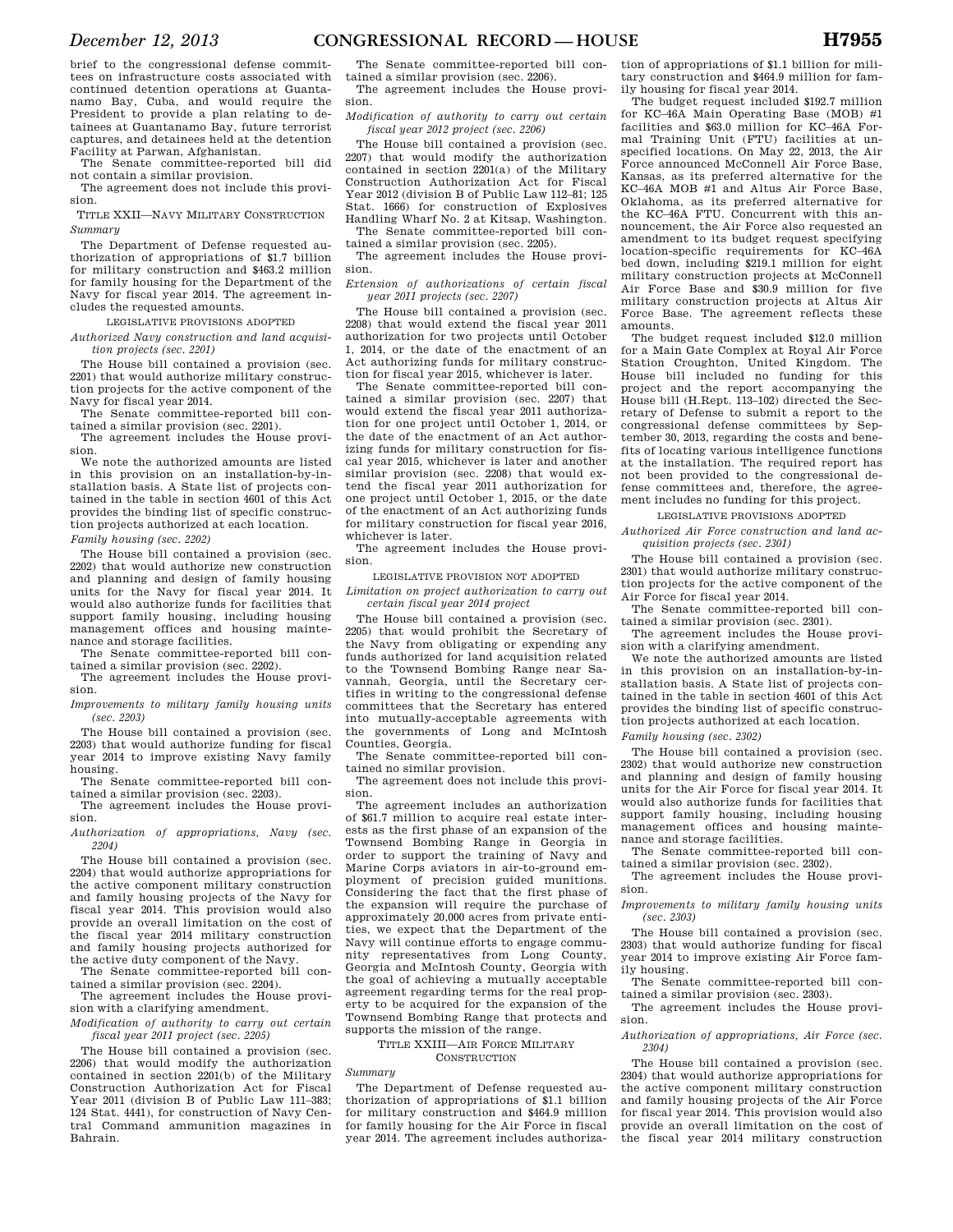brief to the congressional defense committees on infrastructure costs associated with continued detention operations at Guantanamo Bay, Cuba, and would require the President to provide a plan relating to detainees at Guantanamo Bay, future terrorist captures, and detainees held at the detention Facility at Parwan, Afghanistan.

The Senate committee-reported bill did not contain a similar provision.

The agreement does not include this provision.

TITLE XXII—NAVY MILITARY CONSTRUCTION *Summary* 

The Department of Defense requested authorization of appropriations of \$1.7 billion for military construction and \$463.2 million for family housing for the Department of the Navy for fiscal year 2014. The agreement includes the requested amounts.

LEGISLATIVE PROVISIONS ADOPTED

*Authorized Navy construction and land acquisition projects (sec. 2201)* 

The House bill contained a provision (sec. 2201) that would authorize military construction projects for the active component of the Navy for fiscal year 2014.

The Senate committee-reported bill contained a similar provision (sec. 2201).

The agreement includes the House provision.

We note the authorized amounts are listed in this provision on an installation-by-installation basis. A State list of projects contained in the table in section 4601 of this Act provides the binding list of specific construction projects authorized at each location.

*Family housing (sec. 2202)* 

The House bill contained a provision (sec. 2202) that would authorize new construction and planning and design of family housing units for the Navy for fiscal year 2014. It would also authorize funds for facilities that support family housing, including housing management offices and housing maintenance and storage facilities.

The Senate committee-reported bill contained a similar provision (sec. 2202).

The agreement includes the House provision.

*Improvements to military family housing units (sec. 2203)* 

The House bill contained a provision (sec. 2203) that would authorize funding for fiscal year 2014 to improve existing Navy family housing.

The Senate committee-reported bill contained a similar provision (sec. 2203).

The agreement includes the House provision.

*Authorization of appropriations, Navy (sec. 2204)* 

The House bill contained a provision (sec. 2204) that would authorize appropriations for the active component military construction and family housing projects of the Navy for fiscal year 2014. This provision would also provide an overall limitation on the cost of the fiscal year 2014 military construction and family housing projects authorized for the active duty component of the Navy.

The Senate committee-reported bill contained a similar provision (sec. 2204).

The agreement includes the House provision with a clarifying amendment.

*Modification of authority to carry out certain fiscal year 2011 project (sec. 2205)* 

The House bill contained a provision (sec. 2206) that would modify the authorization contained in section 2201(b) of the Military Construction Authorization Act for Fiscal Year 2011 (division B of Public Law 111–383; 124 Stat. 4441), for construction of Navy Central Command ammunition magazines in Bahrain.

The Senate committee-reported bill contained a similar provision (sec. 2206).

The agreement includes the House provision.

*Modification of authority to carry out certain fiscal year 2012 project (sec. 2206)* 

The House bill contained a provision (sec. 2207) that would modify the authorization contained in section 2201(a) of the Military Construction Authorization Act for Fiscal Year 2012 (division B of Public Law 112–81; 125 Stat. 1666) for construction of Explosives Handling Wharf No. 2 at Kitsap, Washington.

The Senate committee-reported bill contained a similar provision (sec. 2205). The agreement includes the House provi-

sion.

*Extension of authorizations of certain fiscal year 2011 projects (sec. 2207)* 

The House bill contained a provision (sec. 2208) that would extend the fiscal year 2011 authorization for two projects until October 1, 2014, or the date of the enactment of an Act authorizing funds for military construction for fiscal year 2015, whichever is later.

The Senate committee-reported bill contained a similar provision (sec. 2207) that would extend the fiscal year 2011 authorization for one project until October 1, 2014, or the date of the enactment of an Act authorizing funds for military construction for fiscal year 2015, whichever is later and another similar provision (sec. 2208) that would extend the fiscal year 2011 authorization for one project until October 1, 2015, or the date of the enactment of an Act authorizing funds for military construction for fiscal year 2016, whichever is later.

The agreement includes the House provision.

LEGISLATIVE PROVISION NOT ADOPTED

*Limitation on project authorization to carry out certain fiscal year 2014 project* 

The House bill contained a provision (sec. 2205) that would prohibit the Secretary of the Navy from obligating or expending any funds authorized for land acquisition related to the Townsend Bombing Range near Savannah, Georgia, until the Secretary certifies in writing to the congressional defense committees that the Secretary has entered into mutually-acceptable agreements with the governments of Long and McIntosh Counties, Georgia.

The Senate committee-reported bill contained no similar provision.

The agreement does not include this provision.

The agreement includes an authorization of \$61.7 million to acquire real estate interests as the first phase of an expansion of the Townsend Bombing Range in Georgia in order to support the training of Navy and Marine Corps aviators in air-to-ground employment of precision guided munitions. Considering the fact that the first phase of the expansion will require the purchase of approximately 20,000 acres from private entities, we expect that the Department of the Navy will continue efforts to engage community representatives from Long County, Georgia and McIntosh County, Georgia with the goal of achieving a mutually acceptable agreement regarding terms for the real property to be acquired for the expansion of the Townsend Bombing Range that protects and supports the mission of the range.

TITLE XXIII—AIR FORCE MILITARY **CONSTRUCTION** 

*Summary* 

The Department of Defense requested authorization of appropriations of \$1.1 billion for military construction and \$464.9 million for family housing for the Air Force in fiscal year 2014. The agreement includes authoriza-

tion of appropriations of \$1.1 billion for military construction and \$464.9 million for family housing for fiscal year 2014.

The budget request included \$192.7 million for KC–46A Main Operating Base (MOB) #1 facilities and \$63.0 million for KC–46A Formal Training Unit (FTU) facilities at unspecified locations. On May 22, 2013, the Air Force announced McConnell Air Force Base, Kansas, as its preferred alternative for the KC–46A MOB #1 and Altus Air Force Base, Oklahoma, as its preferred alternative for the KC–46A FTU. Concurrent with this announcement, the Air Force also requested an amendment to its budget request specifying location-specific requirements for KC–46A bed down, including \$219.1 million for eight military construction projects at McConnell Air Force Base and \$30.9 million for five military construction projects at Altus Air Force Base. The agreement reflects these amounts.

The budget request included \$12.0 million for a Main Gate Complex at Royal Air Force Station Croughton, United Kingdom. The House bill included no funding for this project and the report accompanying the House bill (H.Rept. 113–102) directed the Secretary of Defense to submit a report to the congressional defense committees by September 30, 2013, regarding the costs and benefits of locating various intelligence functions at the installation. The required report has not been provided to the congressional defense committees and, therefore, the agreement includes no funding for this project.

LEGISLATIVE PROVISIONS ADOPTED

*Authorized Air Force construction and land acquisition projects (sec. 2301)* 

The House bill contained a provision (sec. 2301) that would authorize military construction projects for the active component of the Air Force for fiscal year 2014.

The Senate committee-reported bill contained a similar provision (sec. 2301).

The agreement includes the House provision with a clarifying amendment.

We note the authorized amounts are listed in this provision on an installation-by-installation basis. A State list of projects contained in the table in section 4601 of this Act provides the binding list of specific construction projects authorized at each location.

*Family housing (sec. 2302)* 

The House bill contained a provision (sec. 2302) that would authorize new construction and planning and design of family housing units for the Air Force for fiscal year 2014. It would also authorize funds for facilities that support family housing, including housing management offices and housing maintenance and storage facilities.

The Senate committee-reported bill contained a similar provision (sec. 2302).

The agreement includes the House provision.

*Improvements to military family housing units (sec. 2303)* 

The House bill contained a provision (sec. 2303) that would authorize funding for fiscal year 2014 to improve existing Air Force family housing.

The Senate committee-reported bill contained a similar provision (sec. 2303).

The agreement includes the House provision.

*Authorization of appropriations, Air Force (sec. 2304)* 

The House bill contained a provision (sec. 2304) that would authorize appropriations for the active component military construction and family housing projects of the Air Force for fiscal year 2014. This provision would also provide an overall limitation on the cost of the fiscal year 2014 military construction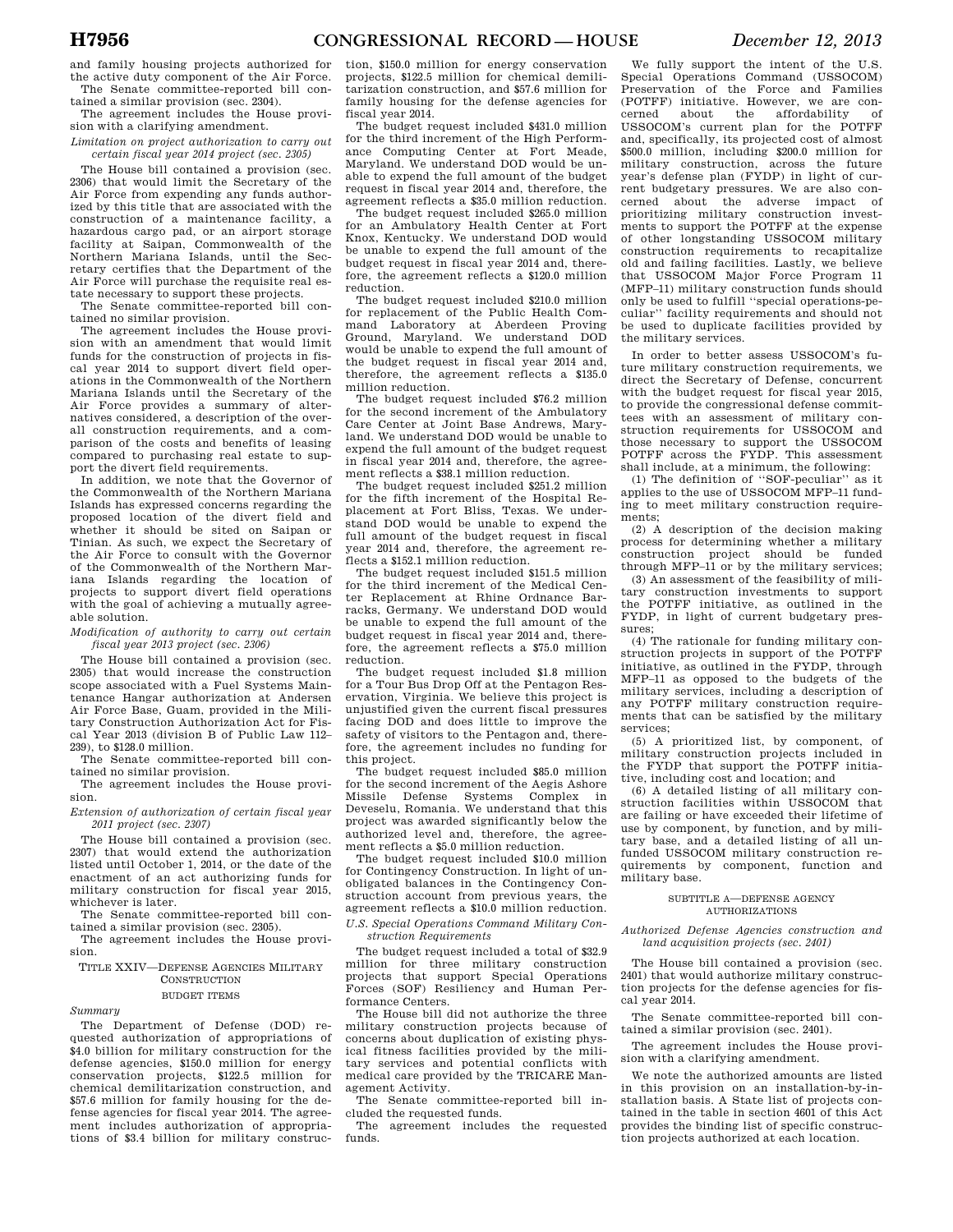and family housing projects authorized for the active duty component of the Air Force. The Senate committee-reported bill con-

tained a similar provision (sec. 2304). The agreement includes the House provi-

sion with a clarifying amendment. *Limitation on project authorization to carry out* 

*certain fiscal year 2014 project (sec. 2305)* 

The House bill contained a provision (sec. 2306) that would limit the Secretary of the Air Force from expending any funds authorized by this title that are associated with the construction of a maintenance facility, a hazardous cargo pad, or an airport storage facility at Saipan, Commonwealth of the Northern Mariana Islands, until the Secretary certifies that the Department of the Air Force will purchase the requisite real estate necessary to support these projects.

The Senate committee-reported bill contained no similar provision.

The agreement includes the House provision with an amendment that would limit funds for the construction of projects in fiscal year 2014 to support divert field operations in the Commonwealth of the Northern Mariana Islands until the Secretary of the Air Force provides a summary of alternatives considered, a description of the overall construction requirements, and a comparison of the costs and benefits of leasing compared to purchasing real estate to support the divert field requirements.

In addition, we note that the Governor of the Commonwealth of the Northern Mariana Islands has expressed concerns regarding the proposed location of the divert field and whether it should be sited on Saipan or Tinian. As such, we expect the Secretary of the Air Force to consult with the Governor of the Commonwealth of the Northern Mariana Islands regarding the location of projects to support divert field operations with the goal of achieving a mutually agreeable solution.

#### *Modification of authority to carry out certain fiscal year 2013 project (sec. 2306)*

The House bill contained a provision (sec. 2305) that would increase the construction scope associated with a Fuel Systems Maintenance Hangar authorization at Andersen Air Force Base, Guam, provided in the Military Construction Authorization Act for Fis-<br>cal Year 2013 (division B of Public Law 112– Year 2013 (division B of Public Law 112– 239), to \$128.0 million.

The Senate committee-reported bill contained no similar provision.

The agreement includes the House provision.

*Extension of authorization of certain fiscal year 2011 project (sec. 2307)* 

The House bill contained a provision (sec. 2307) that would extend the authorization listed until October 1, 2014, or the date of the enactment of an act authorizing funds for military construction for fiscal year 2015, whichever is later.

The Senate committee-reported bill contained a similar provision (sec. 2305).

The agreement includes the House provision.

TITLE XXIV—DEFENSE AGENCIES MILITARY CONSTRUCTION

#### BUDGET ITEMS

## *Summary*

The Department of Defense (DOD) requested authorization of appropriations of \$4.0 billion for military construction for the defense agencies, \$150.0 million for energy conservation projects, \$122.5 million for chemical demilitarization construction, and \$57.6 million for family housing for the defense agencies for fiscal year 2014. The agreement includes authorization of appropriations of \$3.4 billion for military construc-

tion, \$150.0 million for energy conservation projects, \$122.5 million for chemical demilitarization construction, and \$57.6 million for family housing for the defense agencies for fiscal year 2014.

The budget request included \$431.0 million for the third increment of the High Performance Computing Center at Fort Meade, Maryland. We understand DOD would be unable to expend the full amount of the budget request in fiscal year 2014 and, therefore, the agreement reflects a \$35.0 million reduction.

The budget request included \$265.0 million for an Ambulatory Health Center at Fort Knox, Kentucky. We understand DOD would be unable to expend the full amount of the budget request in fiscal year 2014 and, therefore, the agreement reflects a \$120.0 million reduction.

The budget request included \$210.0 million for replacement of the Public Health Command Laboratory at Aberdeen Proving Ground, Maryland. We understand DOD would be unable to expend the full amount of the budget request in fiscal year 2014 and, therefore, the agreement reflects a \$135.0 million reduction.

The budget request included \$76.2 million for the second increment of the Ambulatory Care Center at Joint Base Andrews, Maryland. We understand DOD would be unable to expend the full amount of the budget request in fiscal year 2014 and, therefore, the agreement reflects a \$38.1 million reduction.

The budget request included \$251.2 million for the fifth increment of the Hospital Replacement at Fort Bliss, Texas. We understand DOD would be unable to expend the full amount of the budget request in fiscal year 2014 and, therefore, the agreement reflects a \$152.1 million reduction.

The budget request included \$151.5 million for the third increment of the Medical Center Replacement at Rhine Ordnance Barracks, Germany. We understand DOD would be unable to expend the full amount of the budget request in fiscal year 2014 and, therefore, the agreement reflects a \$75.0 million reduction.

The budget request included \$1.8 million for a Tour Bus Drop Off at the Pentagon Reservation, Virginia. We believe this project is unjustified given the current fiscal pressures facing DOD and does little to improve the safety of visitors to the Pentagon and, therefore, the agreement includes no funding for this project.

The budget request included \$85.0 million for the second increment of the Aegis Ashore<br>Missile Defense Systems Complex in Defense Systems Complex in Deveselu, Romania. We understand that this project was awarded significantly below the authorized level and, therefore, the agreement reflects a \$5.0 million reduction.

The budget request included \$10.0 million for Contingency Construction. In light of unobligated balances in the Contingency Construction account from previous years, the agreement reflects a \$10.0 million reduction. *U.S. Special Operations Command Military Con-*

*struction Requirements* 

The budget request included a total of \$32.9 million for three military construction projects that support Special Operations Forces (SOF) Resiliency and Human Performance Centers.

The House bill did not authorize the three military construction projects because of concerns about duplication of existing physical fitness facilities provided by the military services and potential conflicts with medical care provided by the TRICARE Management Activity.

The Senate committee-reported bill included the requested funds.

The agreement includes the requested funds.

We fully support the intent of the U.S. Special Operations Command (USSOCOM) Preservation of the Force and Families (POTFF) initiative. However, we are concerned about the affordability of cerned about the affordability of USSOCOM's current plan for the POTFF and, specifically, its projected cost of almost \$500.0 million, including \$200.0 million for military construction, across the future year's defense plan (FYDP) in light of current budgetary pressures. We are also concerned about the adverse impact of prioritizing military construction investments to support the POTFF at the expense of other longstanding USSOCOM military construction requirements to recapitalize old and failing facilities. Lastly, we believe that USSOCOM Major Force Program 11 (MFP–11) military construction funds should only be used to fulfill ''special operations-peculiar'' facility requirements and should not be used to duplicate facilities provided by the military services.

In order to better assess USSOCOM's future military construction requirements, we direct the Secretary of Defense, concurrent with the budget request for fiscal year 2015, to provide the congressional defense committees with an assessment of military construction requirements for USSOCOM and those necessary to support the USSOCOM POTFF across the FYDP. This assessment shall include, at a minimum, the following:

(1) The definition of ''SOF-peculiar'' as it applies to the use of USSOCOM MFP–11 funding to meet military construction requirements;

(2) A description of the decision making process for determining whether a military construction project should be funded through MFP–11 or by the military services;

(3) An assessment of the feasibility of military construction investments to support<br>the POTEF initiative as outlined in the POTFF initiative, as outlined in the FYDP, in light of current budgetary pressures;

(4) The rationale for funding military construction projects in support of the POTFF initiative, as outlined in the FYDP, through MFP–11 as opposed to the budgets of the military services, including a description of any POTFF military construction requirements that can be satisfied by the military services;

(5) A prioritized list, by component, of military construction projects included in the FYDP that support the POTFF initiative, including cost and location; and

(6) A detailed listing of all military construction facilities within USSOCOM that are failing or have exceeded their lifetime of use by component, by function, and by military base, and a detailed listing of all unfunded USSOCOM military construction requirements by component, function and military base.

#### SUBTITLE A—DEFENSE AGENCY AUTHORIZATIONS

#### *Authorized Defense Agencies construction and land acquisition projects (sec. 2401)*

The House bill contained a provision (sec. 2401) that would authorize military construction projects for the defense agencies for fiscal year 2014.

The Senate committee-reported bill contained a similar provision (sec. 2401).

The agreement includes the House provision with a clarifying amendment.

We note the authorized amounts are listed in this provision on an installation-by-installation basis. A State list of projects contained in the table in section 4601 of this Act provides the binding list of specific construction projects authorized at each location.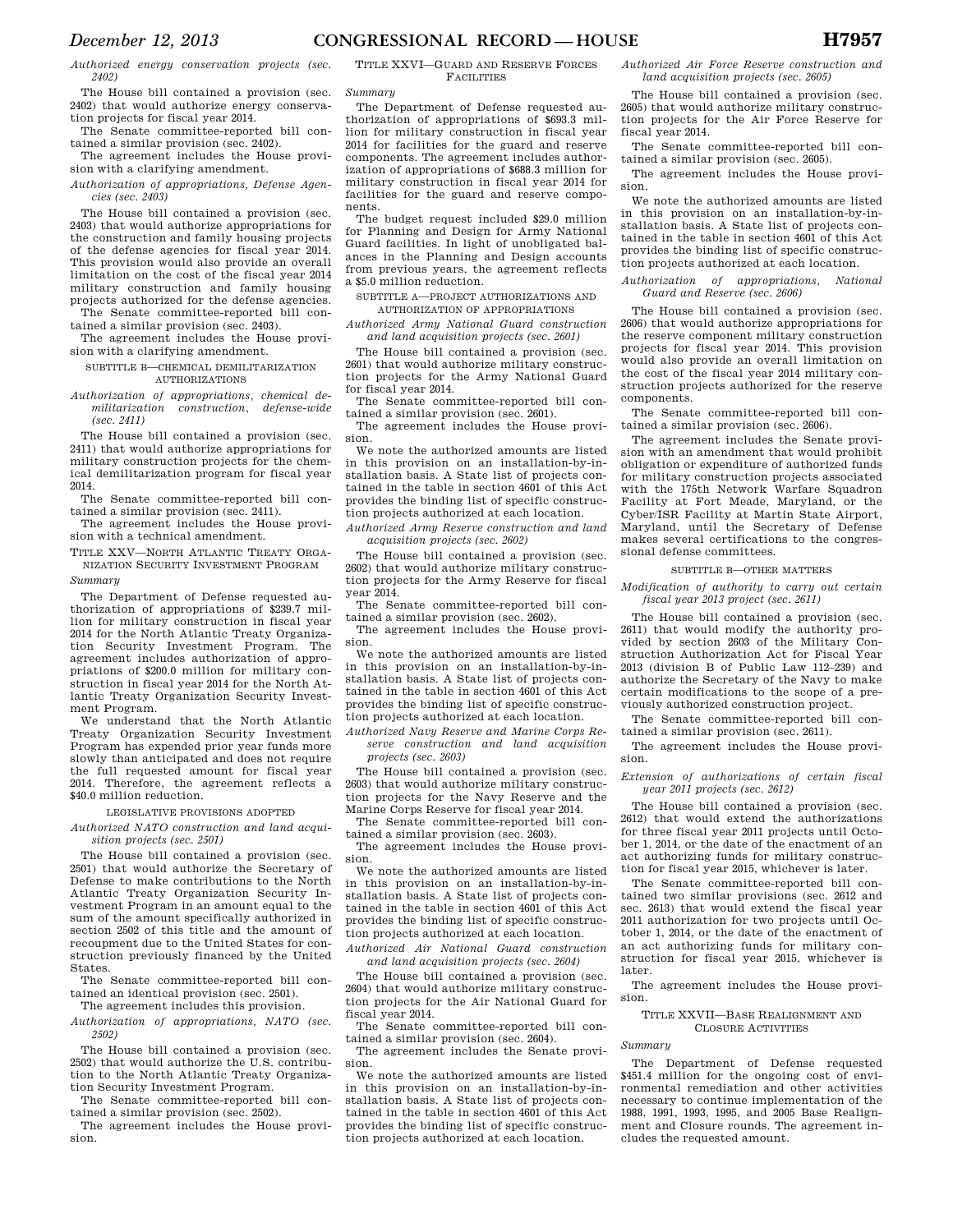*Authorized energy conservation projects (sec. 2402)* 

The House bill contained a provision (sec. 2402) that would authorize energy conservation projects for fiscal year 2014.

The Senate committee-reported bill contained a similar provision (sec. 2402).

The agreement includes the House provision with a clarifying amendment.

*Authorization of appropriations, Defense Agencies (sec. 2403)* 

The House bill contained a provision (sec. 2403) that would authorize appropriations for the construction and family housing projects of the defense agencies for fiscal year 2014. This provision would also provide an overall limitation on the cost of the fiscal year 2014 military construction and family housing projects authorized for the defense agencies. The Senate committee-reported bill con-

tained a similar provision (sec. 2403). The agreement includes the House provi-

sion with a clarifying amendment. SUBTITLE B-CHEMICAL DEMILITARIZATION

# AUTHORIZATIONS

*Authorization of appropriations, chemical demilitarization construction, defense-wide (sec. 2411)* 

The House bill contained a provision (sec. 2411) that would authorize appropriations for military construction projects for the chemical demilitarization program for fiscal year 2014.

The Senate committee-reported bill contained a similar provision (sec. 2411).

The agreement includes the House provision with a technical amendment.

TITLE XXV—NORTH ATLANTIC TREATY ORGA-NIZATION SECURITY INVESTMENT PROGRAM

*Summary* 

The Department of Defense requested authorization of appropriations of \$239.7 million for military construction in fiscal year 2014 for the North Atlantic Treaty Organization Security Investment Program. The agreement includes authorization of appropriations of \$200.0 million for military construction in fiscal year 2014 for the North Atlantic Treaty Organization Security Investment Program.

We understand that the North Atlantic Treaty Organization Security Investment Program has expended prior year funds more slowly than anticipated and does not require the full requested amount for fiscal year 2014. Therefore, the agreement reflects a \$40.0 million reduction.

LEGISLATIVE PROVISIONS ADOPTED

*Authorized NATO construction and land acquisition projects (sec. 2501)* 

The House bill contained a provision (sec. 2501) that would authorize the Secretary of Defense to make contributions to the North Atlantic Treaty Organization Security Investment Program in an amount equal to the sum of the amount specifically authorized in section 2502 of this title and the amount of recoupment due to the United States for construction previously financed by the United States.

The Senate committee-reported bill contained an identical provision (sec. 2501). The agreement includes this provision.

*Authorization of appropriations, NATO (sec. 2502)* 

The House bill contained a provision (sec. 2502) that would authorize the U.S. contribution to the North Atlantic Treaty Organization Security Investment Program.

The Senate committee-reported bill contained a similar provision (sec. 2502).

The agreement includes the House provision.

TITLE XXVI—GUARD AND RESERVE FORCES FACILITIES

*Summary* 

The Department of Defense requested authorization of appropriations of \$693.3 million for military construction in fiscal year 2014 for facilities for the guard and reserve components. The agreement includes authorization of appropriations of \$688.3 million for military construction in fiscal year 2014 for facilities for the guard and reserve components.

The budget request included \$29.0 million for Planning and Design for Army National Guard facilities. In light of unobligated balances in the Planning and Design accounts from previous years, the agreement reflects a \$5.0 million reduction.

SUBTITLE A—PROJECT AUTHORIZATIONS AND AUTHORIZATION OF APPROPRIATIONS

*Authorized Army National Guard construction and land acquisition projects (sec. 2601)* 

The House bill contained a provision (sec. 2601) that would authorize military construction projects for the Army National Guard for fiscal year 2014.

The Senate committee-reported bill contained a similar provision (sec. 2601).

The agreement includes the House provision.

We note the authorized amounts are listed in this provision on an installation-by-installation basis. A State list of projects contained in the table in section 4601 of this Act provides the binding list of specific construction projects authorized at each location.

*Authorized Army Reserve construction and land acquisition projects (sec. 2602)* 

The House bill contained a provision (sec. 2602) that would authorize military construction projects for the Army Reserve for fiscal year 2014.

The Senate committee-reported bill contained a similar provision (sec. 2602).

The agreement includes the House provision.

We note the authorized amounts are listed in this provision on an installation-by-installation basis. A State list of projects contained in the table in section 4601 of this Act provides the binding list of specific construction projects authorized at each location.

*Authorized Navy Reserve and Marine Corps Reserve construction and land acquisition projects (sec. 2603)* 

The House bill contained a provision (sec. 2603) that would authorize military construction projects for the Navy Reserve and the Marine Corps Reserve for fiscal year 2014.

The Senate committee-reported bill contained a similar provision (sec. 2603).

The agreement includes the House provision.

We note the authorized amounts are listed in this provision on an installation-by-installation basis. A State list of projects contained in the table in section 4601 of this Act provides the binding list of specific construction projects authorized at each location.

*Authorized Air National Guard construction and land acquisition projects (sec. 2604)* 

The House bill contained a provision (sec. 2604) that would authorize military construction projects for the Air National Guard for fiscal year 2014.

The Senate committee-reported bill contained a similar provision (sec. 2604).

The agreement includes the Senate provision.

We note the authorized amounts are listed in this provision on an installation-by-installation basis. A State list of projects contained in the table in section 4601 of this Act provides the binding list of specific construction projects authorized at each location.

*Authorized Air Force Reserve construction and land acquisition projects (sec. 2605)* 

The House bill contained a provision (sec. 2605) that would authorize military construction projects for the Air Force Reserve for fiscal year 2014.

The Senate committee-reported bill contained a similar provision (sec. 2605).

The agreement includes the House provision.

We note the authorized amounts are listed in this provision on an installation-by-installation basis. A State list of projects contained in the table in section 4601 of this Act provides the binding list of specific construction projects authorized at each location.

*Authorization of appropriations, National Guard and Reserve (sec. 2606)* 

The House bill contained a provision (sec. 2606) that would authorize appropriations for the reserve component military construction projects for fiscal year 2014. This provision would also provide an overall limitation on the cost of the fiscal year 2014 military construction projects authorized for the reserve components.

The Senate committee-reported bill contained a similar provision (sec. 2606).

The agreement includes the Senate provision with an amendment that would prohibit obligation or expenditure of authorized funds for military construction projects associated with the 175th Network Warfare Squadron Facility at Fort Meade, Maryland, or the Cyber/ISR Facility at Martin State Airport, Maryland, until the Secretary of Defense makes several certifications to the congressional defense committees.

#### SUBTITLE B—OTHER MATTERS

*Modification of authority to carry out certain fiscal year 2013 project (sec. 2611)* 

The House bill contained a provision (sec. 2611) that would modify the authority provided by section 2603 of the Military Construction Authorization Act for Fiscal Year 2013 (division B of Public Law 112–239) and authorize the Secretary of the Navy to make certain modifications to the scope of a previously authorized construction project.

The Senate committee-reported bill contained a similar provision (sec. 2611).

The agreement includes the House provision.

*Extension of authorizations of certain fiscal year 2011 projects (sec. 2612)* 

The House bill contained a provision (sec. 2612) that would extend the authorizations for three fiscal year 2011 projects until October 1, 2014, or the date of the enactment of an act authorizing funds for military construction for fiscal year 2015, whichever is later.

The Senate committee-reported bill contained two similar provisions (sec. 2612 and sec. 2613) that would extend the fiscal year 2011 authorization for two projects until October 1, 2014, or the date of the enactment of an act authorizing funds for military construction for fiscal year 2015, whichever is later.

The agreement includes the House provision.

TITLE XXVII—BASE REALIGNMENT AND CLOSURE ACTIVITIES

*Summary* 

The Department of Defense requested \$451.4 million for the ongoing cost of environmental remediation and other activities necessary to continue implementation of the 1988, 1991, 1993, 1995, and 2005 Base Realignment and Closure rounds. The agreement includes the requested amount.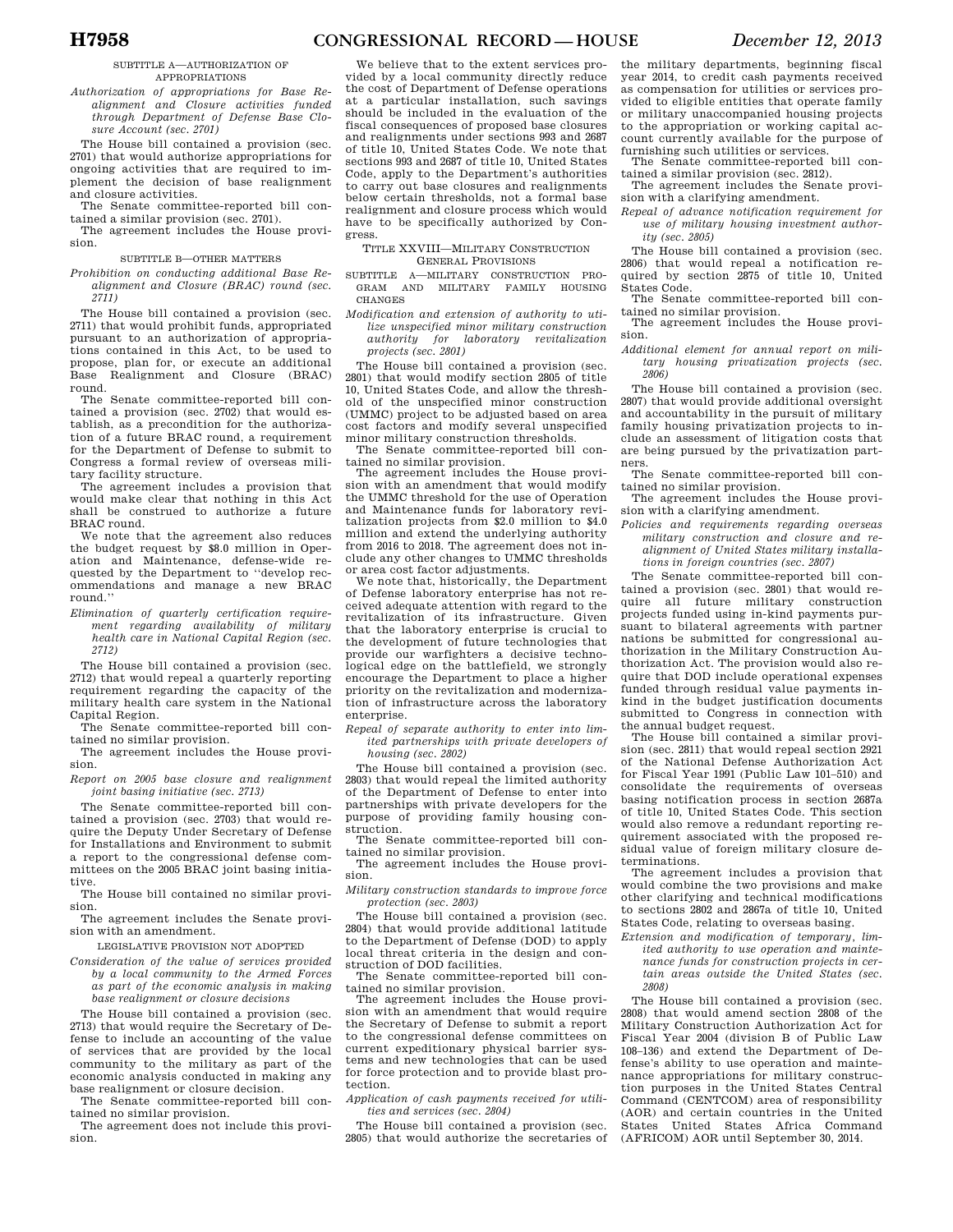#### SUBTITLE A—AUTHORIZATION OF APPROPRIATIONS

*Authorization of appropriations for Base Realignment and Closure activities funded through Department of Defense Base Closure Account (sec. 2701)* 

The House bill contained a provision (sec. 2701) that would authorize appropriations for ongoing activities that are required to implement the decision of base realignment and closure activities.

The Senate committee-reported bill contained a similar provision (sec. 2701).

The agreement includes the House provision.

#### SUBTITLE B—OTHER MATTERS

*Prohibition on conducting additional Base Realignment and Closure (BRAC) round (sec. 2711)* 

The House bill contained a provision (sec. 2711) that would prohibit funds, appropriated pursuant to an authorization of appropriations contained in this Act, to be used to propose, plan for, or execute an additional Base Realignment and Closure (BRAC) round.

The Senate committee-reported bill contained a provision (sec. 2702) that would establish, as a precondition for the authorization of a future BRAC round, a requirement for the Department of Defense to submit to Congress a formal review of overseas military facility structure.

The agreement includes a provision that would make clear that nothing in this Act shall be construed to authorize a future BRAC round.

We note that the agreement also reduces the budget request by \$8.0 million in Operation and Maintenance, defense-wide requested by the Department to ''develop recommendations and manage a new BRAC round.''

*Elimination of quarterly certification requirement regarding availability of military health care in National Capital Region (sec. 2712)* 

The House bill contained a provision (sec. 2712) that would repeal a quarterly reporting requirement regarding the capacity of the military health care system in the National Capital Region.

The Senate committee-reported bill contained no similar provision.

The agreement includes the House provision.

*Report on 2005 base closure and realignment joint basing initiative (sec. 2713)* 

The Senate committee-reported bill contained a provision (sec. 2703) that would require the Deputy Under Secretary of Defense for Installations and Environment to submit a report to the congressional defense committees on the 2005 BRAC joint basing initiative.

The House bill contained no similar provision.

The agreement includes the Senate provision with an amendment.

LEGISLATIVE PROVISION NOT ADOPTED

*Consideration of the value of services provided by a local community to the Armed Forces as part of the economic analysis in making base realignment or closure decisions* 

The House bill contained a provision (sec. 2713) that would require the Secretary of Defense to include an accounting of the value of services that are provided by the local community to the military as part of the economic analysis conducted in making any base realignment or closure decision.

The Senate committee-reported bill contained no similar provision.

The agreement does not include this provision.

We believe that to the extent services provided by a local community directly reduce the cost of Department of Defense operations at a particular installation, such savings should be included in the evaluation of the fiscal consequences of proposed base closures and realignments under sections 993 and 2687 of title 10, United States Code. We note that sections 993 and 2687 of title 10, United States Code, apply to the Department's authorities to carry out base closures and realignments below certain thresholds, not a formal base realignment and closure process which would have to be specifically authorized by Congress.

TITLE XXVIII—MILITARY CONSTRUCTION GENERAL PROVISIONS

SUBTITLE A—MILITARY CONSTRUCTION PRO-GRAM AND MILITARY FAMILY HOUSING CHANGES

*Modification and extension of authority to utilize unspecified minor military construction authority for laboratory revitalization projects (sec. 2801)* 

The House bill contained a provision (sec. 2801) that would modify section 2805 of title 10, United States Code, and allow the threshold of the unspecified minor construction (UMMC) project to be adjusted based on area cost factors and modify several unspecified minor military construction thresholds.

The Senate committee-reported bill contained no similar provision.

The agreement includes the House provision with an amendment that would modify the UMMC threshold for the use of Operation and Maintenance funds for laboratory revitalization projects from \$2.0 million to \$4.0 million and extend the underlying authority from 2016 to 2018. The agreement does not include any other changes to UMMC thresholds or area cost factor adjustments.

We note that, historically, the Department of Defense laboratory enterprise has not received adequate attention with regard to the revitalization of its infrastructure. Given that the laboratory enterprise is crucial to the development of future technologies that provide our warfighters a decisive technological edge on the battlefield, we strongly encourage the Department to place a higher priority on the revitalization and modernization of infrastructure across the laboratory enterprise.

*Repeal of separate authority to enter into limited partnerships with private developers of housing (sec. 2802)* 

The House bill contained a provision (sec. 2803) that would repeal the limited authority of the Department of Defense to enter into partnerships with private developers for the purpose of providing family housing construction.

The Senate committee-reported bill con-

tained no similar provision. The agreement includes the House provision.

*Military construction standards to improve force protection (sec. 2803)* 

The House bill contained a provision (sec. 2804) that would provide additional latitude to the Department of Defense (DOD) to apply local threat criteria in the design and construction of DOD facilities.

The Senate committee-reported bill contained no similar provision. The agreement includes the House provi-

sion with an amendment that would require the Secretary of Defense to submit a report to the congressional defense committees on current expeditionary physical barrier systems and new technologies that can be used for force protection and to provide blast protection.

*Application of cash payments received for utilities and services (sec. 2804)* 

The House bill contained a provision (sec. 2805) that would authorize the secretaries of

the military departments, beginning fiscal year 2014, to credit cash payments received as compensation for utilities or services provided to eligible entities that operate family or military unaccompanied housing projects to the appropriation or working capital account currently available for the purpose of furnishing such utilities or services.

The Senate committee-reported bill contained a similar provision (sec. 2812). The agreement includes the Senate provi-

sion with a clarifying amendment.

*Repeal of advance notification requirement for use of military housing investment authority (sec. 2805)* 

The House bill contained a provision (sec. 2806) that would repeal a notification required by section 2875 of title 10, United States Code.

The Senate committee-reported bill contained no similar provision.

The agreement includes the House provision.

*Additional element for annual report on military housing privatization projects (sec. 2806)* 

The House bill contained a provision (sec. 2807) that would provide additional oversight and accountability in the pursuit of military family housing privatization projects to include an assessment of litigation costs that are being pursued by the privatization partners.

The Senate committee-reported bill contained no similar provision. The agreement includes the House provi-

sion with a clarifying amendment.

*Policies and requirements regarding overseas military construction and closure and realignment of United States military installations in foreign countries (sec. 2807)* 

The Senate committee-reported bill contained a provision (sec. 2801) that would require all future military construction projects funded using in-kind payments pursuant to bilateral agreements with partner nations be submitted for congressional authorization in the Military Construction Authorization Act. The provision would also require that DOD include operational expenses funded through residual value payments inkind in the budget justification documents submitted to Congress in connection with the annual budget request.

The House bill contained a similar provision (sec. 2811) that would repeal section 2921 of the National Defense Authorization Act for Fiscal Year 1991 (Public Law 101–510) and consolidate the requirements of overseas basing notification process in section 2687a of title 10, United States Code. This section would also remove a redundant reporting requirement associated with the proposed residual value of foreign military closure determinations.

The agreement includes a provision that would combine the two provisions and make other clarifying and technical modifications to sections 2802 and 2867a of title 10, United States Code, relating to overseas basing.

*Extension and modification of temporary, limited authority to use operation and maintenance funds for construction projects in certain areas outside the United States (sec.* 

*2808)* 

The House bill contained a provision (sec. 2808) that would amend section 2808 of the Military Construction Authorization Act for Fiscal Year 2004 (division B of Public Law 108–136) and extend the Department of Defense's ability to use operation and maintenance appropriations for military construction purposes in the United States Central Command (CENTCOM) area of responsibility (AOR) and certain countries in the United States United States Africa Command (AFRICOM) AOR until September 30, 2014.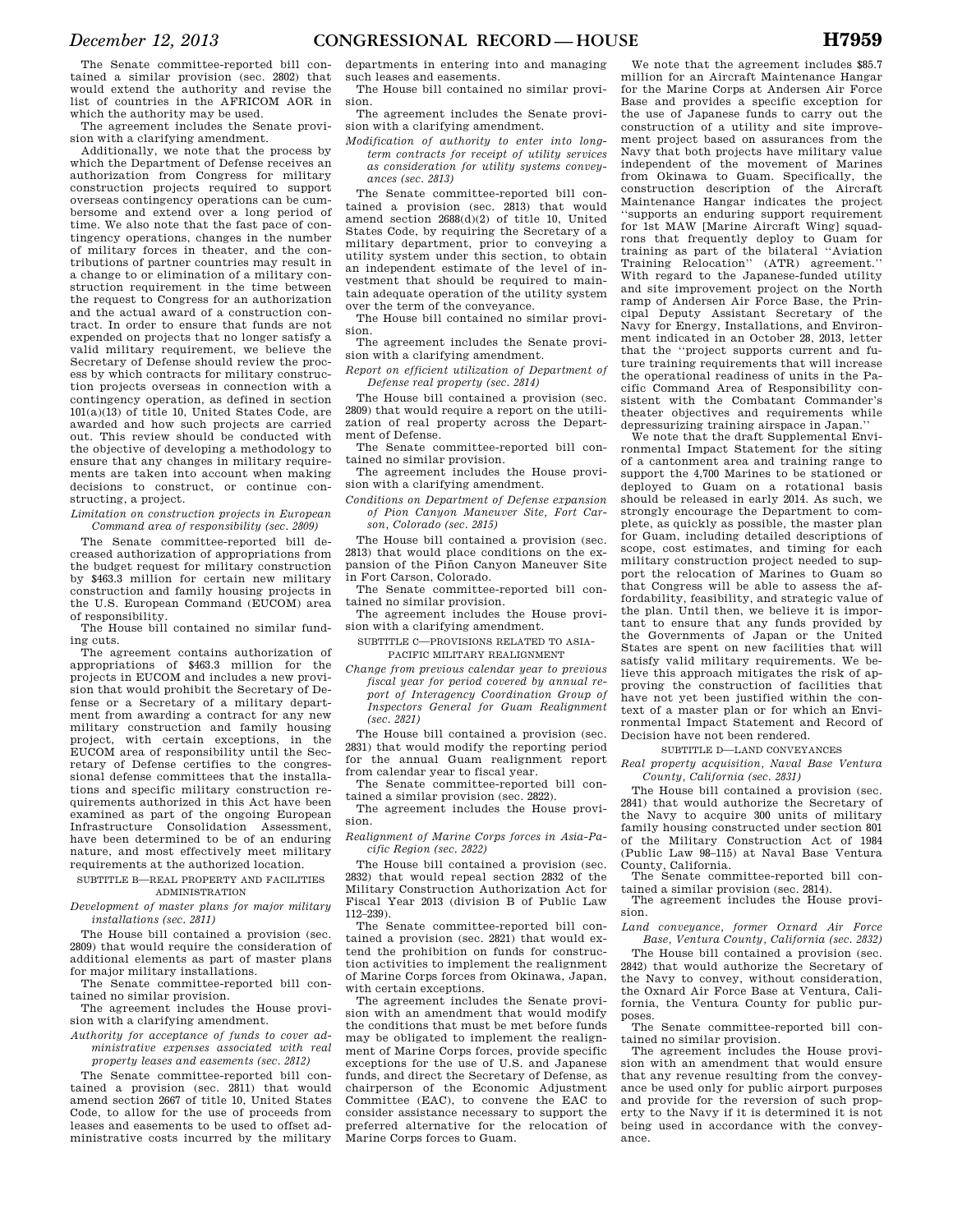The Senate committee-reported bill contained a similar provision (sec. 2802) that would extend the authority and revise the list of countries in the AFRICOM AOR in which the authority may be used.

The agreement includes the Senate provision with a clarifying amendment.

Additionally, we note that the process by which the Department of Defense receives an authorization from Congress for military construction projects required to support overseas contingency operations can be cumbersome and extend over a long period of time. We also note that the fast pace of contingency operations, changes in the number of military forces in theater, and the contributions of partner countries may result in a change to or elimination of a military construction requirement in the time between the request to Congress for an authorization and the actual award of a construction contract. In order to ensure that funds are not expended on projects that no longer satisfy a valid military requirement, we believe the Secretary of Defense should review the process by which contracts for military construction projects overseas in connection with a contingency operation, as defined in section 101(a)(13) of title 10, United States Code, are awarded and how such projects are carried out. This review should be conducted with the objective of developing a methodology to ensure that any changes in military requirements are taken into account when making decisions to construct, or continue constructing, a project.

*Limitation on construction projects in European Command area of responsibility (sec. 2809)* 

The Senate committee-reported bill decreased authorization of appropriations from the budget request for military construction by \$463.3 million for certain new military construction and family housing projects in the U.S. European Command (EUCOM) area of responsibility.

The House bill contained no similar funding cuts.

The agreement contains authorization of appropriations of \$463.3 million for the projects in EUCOM and includes a new provision that would prohibit the Secretary of Defense or a Secretary of a military department from awarding a contract for any new military construction and family housing<br>project, with certain exceptions, in the project, with certain exceptions, EUCOM area of responsibility until the Secretary of Defense certifies to the congressional defense committees that the installations and specific military construction requirements authorized in this Act have been examined as part of the ongoing European Infrastructure Consolidation Assessment, have been determined to be of an enduring nature, and most effectively meet military requirements at the authorized location.

SUBTITLE B—REAL PROPERTY AND FACILITIES ADMINISTRATION

*Development of master plans for major military installations (sec. 2811)* 

The House bill contained a provision (sec. 2809) that would require the consideration of additional elements as part of master plans for major military installations.

The Senate committee-reported bill contained no similar provision.

The agreement includes the House provision with a clarifying amendment.

*Authority for acceptance of funds to cover administrative expenses associated with real property leases and easements (sec. 2812)* 

The Senate committee-reported bill contained a provision (sec. 2811) that would amend section 2667 of title 10, United States Code, to allow for the use of proceeds from leases and easements to be used to offset administrative costs incurred by the military

departments in entering into and managing such leases and easements.

The House bill contained no similar provision.

The agreement includes the Senate provision with a clarifying amendment.

*Modification of authority to enter into longterm contracts for receipt of utility services as consideration for utility systems conveyances (sec. 2813)* 

The Senate committee-reported bill contained a provision (sec. 2813) that would amend section 2688(d)(2) of title 10, United States Code, by requiring the Secretary of a military department, prior to conveying a utility system under this section, to obtain an independent estimate of the level of investment that should be required to maintain adequate operation of the utility system over the term of the conveyance.

The House bill contained no similar provision.

The agreement includes the Senate provi-

sion with a clarifying amendment. *Report on efficient utilization of Department of Defense real property (sec. 2814)* 

The House bill contained a provision (sec. 2809) that would require a report on the utilization of real property across the Department of Defense.

The Senate committee-reported bill contained no similar provision.

The agreement includes the House provision with a clarifying amendment.

*Conditions on Department of Defense expansion of Pion Canyon Maneuver Site, Fort Carson, Colorado (sec. 2815)* 

The House bill contained a provision (sec. 2813) that would place conditions on the expansion of the Piñon Canyon Maneuver Site in Fort Carson, Colorado.

The Senate committee-reported bill contained no similar provision.

The agreement includes the House provision with a clarifying amendment.

SUBTITLE C—PROVISIONS RELATED TO ASIA-PACIFIC MILITARY REALIGNMENT

*Change from previous calendar year to previous fiscal year for period covered by annual report of Interagency Coordination Group of Inspectors General for Guam Realignment (sec. 2821)* 

The House bill contained a provision (sec. 2831) that would modify the reporting period for the annual Guam realignment report from calendar year to fiscal year.

The Senate committee-reported bill contained a similar provision (sec. 2822).

The agreement includes the House provision.

*Realignment of Marine Corps forces in Asia-Pacific Region (sec. 2822)* 

The House bill contained a provision (sec. 2832) that would repeal section 2832 of the Military Construction Authorization Act for Fiscal Year 2013 (division B of Public Law 112–239).

The Senate committee-reported bill contained a provision (sec. 2821) that would extend the prohibition on funds for construction activities to implement the realignment of Marine Corps forces from Okinawa, Japan, with certain exceptions.

The agreement includes the Senate provision with an amendment that would modify the conditions that must be met before funds may be obligated to implement the realignment of Marine Corps forces, provide specific exceptions for the use of U.S. and Japanese funds, and direct the Secretary of Defense, as chairperson of the Economic Adjustment Committee (EAC), to convene the EAC to consider assistance necessary to support the preferred alternative for the relocation of Marine Corps forces to Guam.

We note that the agreement includes \$85.7 million for an Aircraft Maintenance Hangar for the Marine Corps at Andersen Air Force Base and provides a specific exception for the use of Japanese funds to carry out the construction of a utility and site improvement project based on assurances from the Navy that both projects have military value independent of the movement of Marines from Okinawa to Guam. Specifically, the construction description of the Aircraft Maintenance Hangar indicates the project ''supports an enduring support requirement for 1st MAW [Marine Aircraft Wing] squadrons that frequently deploy to Guam for training as part of the bilateral ''Aviation Training Relocation'' (ATR) agreement.'' With regard to the Japanese-funded utility and site improvement project on the North ramp of Andersen Air Force Base, the Principal Deputy Assistant Secretary of the Navy for Energy, Installations, and Environment indicated in an October 28, 2013, letter that the ''project supports current and future training requirements that will increase the operational readiness of units in the Pacific Command Area of Responsibility consistent with the Combatant Commander's theater objectives and requirements while depressurizing training airspace in Japan.''

We note that the draft Supplemental Environmental Impact Statement for the siting of a cantonment area and training range to support the 4,700 Marines to be stationed or deployed to Guam on a rotational basis should be released in early 2014. As such, we strongly encourage the Department to complete, as quickly as possible, the master plan for Guam, including detailed descriptions of scope, cost estimates, and timing for each military construction project needed to support the relocation of Marines to Guam so that Congress will be able to assess the affordability, feasibility, and strategic value of the plan. Until then, we believe it is important to ensure that any funds provided by the Governments of Japan or the United States are spent on new facilities that will satisfy valid military requirements. We believe this approach mitigates the risk of approving the construction of facilities that have not yet been justified within the context of a master plan or for which an Environmental Impact Statement and Record of Decision have not been rendered.

SUBTITLE D—LAND CONVEYANCES

*Real property acquisition, Naval Base Ventura County, California (sec. 2831)* 

The House bill contained a provision (sec. 2841) that would authorize the Secretary of the Navy to acquire 300 units of military family housing constructed under section 801 of the Military Construction Act of 1984 (Public Law 98–115) at Naval Base Ventura County, California.

The Senate committee-reported bill contained a similar provision (sec. 2814).

The agreement includes the House provision.

*Land conveyance, former Oxnard Air Force Base, Ventura County, California (sec. 2832)* 

The House bill contained a provision (sec. 2842) that would authorize the Secretary of the Navy to convey, without consideration, the Oxnard Air Force Base at Ventura, California, the Ventura County for public purposes.

The Senate committee-reported bill contained no similar provision.

The agreement includes the House provision with an amendment that would ensure that any revenue resulting from the conveyance be used only for public airport purposes and provide for the reversion of such property to the Navy if it is determined it is not being used in accordance with the conveyance.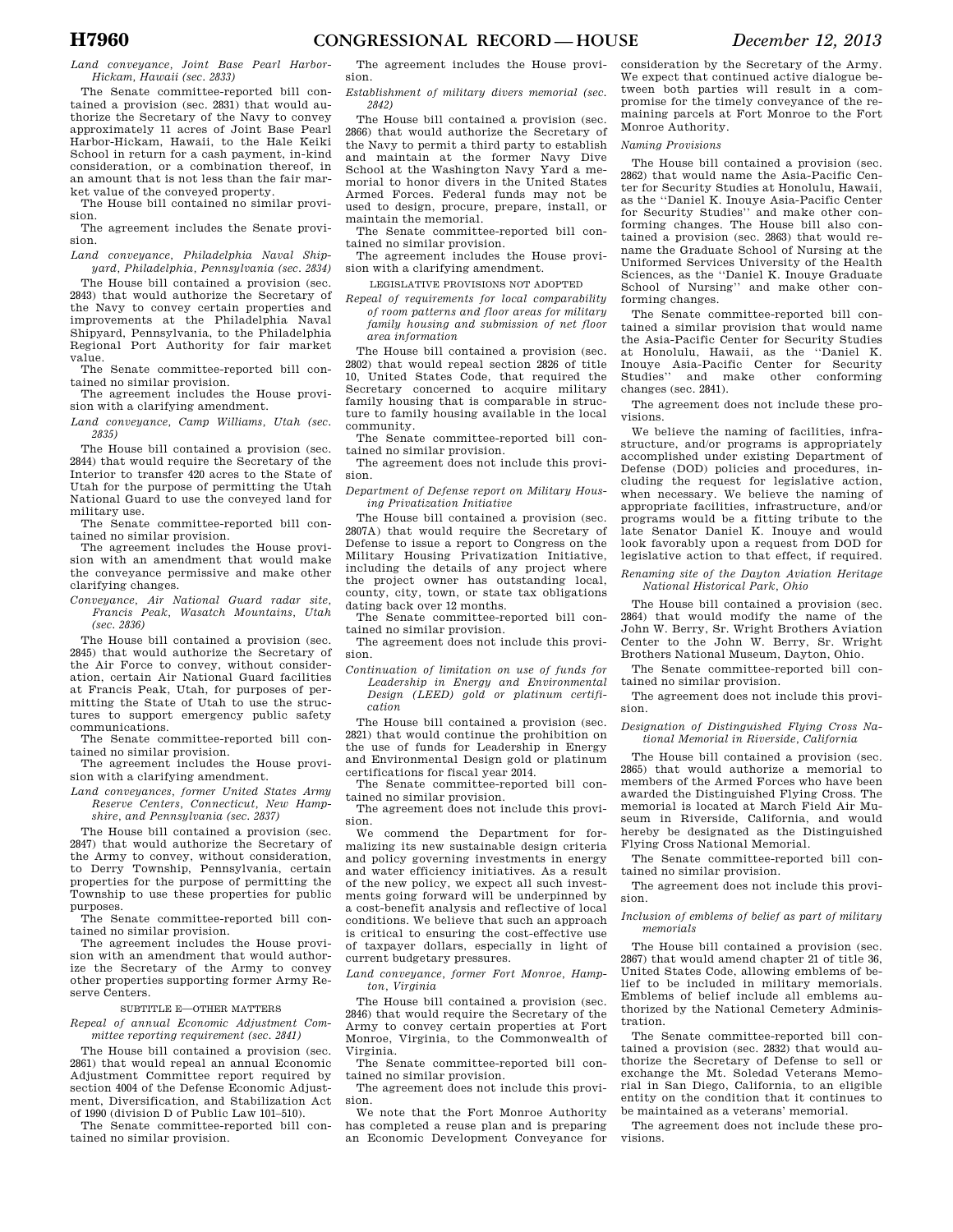*Land conveyance, Joint Base Pearl Harbor-Hickam, Hawaii (sec. 2833)* 

The Senate committee-reported bill contained a provision (sec. 2831) that would authorize the Secretary of the Navy to convey approximately 11 acres of Joint Base Pearl Harbor-Hickam, Hawaii, to the Hale Keiki School in return for a cash payment, in-kind consideration, or a combination thereof, in an amount that is not less than the fair market value of the conveyed property.

The House bill contained no similar provision.

The agreement includes the Senate provision.

*Land conveyance, Philadelphia Naval Shipyard, Philadelphia, Pennsylvania (sec. 2834)* 

The House bill contained a provision (sec. 2843) that would authorize the Secretary of the Navy to convey certain properties and improvements at the Philadelphia Naval Shipyard, Pennsylvania, to the Philadelphia Regional Port Authority for fair market value.

The Senate committee-reported bill contained no similar provision.

The agreement includes the House provision with a clarifying amendment.

*Land conveyance, Camp Williams, Utah (sec. 2835)* 

The House bill contained a provision (sec. 2844) that would require the Secretary of the Interior to transfer 420 acres to the State of Utah for the purpose of permitting the Utah National Guard to use the conveyed land for military use.

The Senate committee-reported bill contained no similar provision.

The agreement includes the House provision with an amendment that would make the conveyance permissive and make other clarifying changes.

*Conveyance, Air National Guard radar site, Francis Peak, Wasatch Mountains, Utah (sec. 2836)* 

The House bill contained a provision (sec. 2845) that would authorize the Secretary of the Air Force to convey, without consideration, certain Air National Guard facilities at Francis Peak, Utah, for purposes of permitting the State of Utah to use the structures to support emergency public safety communications.

The Senate committee-reported bill contained no similar provision.

The agreement includes the House provision with a clarifying amendment.

*Land conveyances, former United States Army Reserve Centers, Connecticut, New Hampshire, and Pennsylvania (sec. 2837)* 

The House bill contained a provision (sec. 2847) that would authorize the Secretary of the Army to convey, without consideration, to Derry Township, Pennsylvania, certain properties for the purpose of permitting the Township to use these properties for public purposes.

The Senate committee-reported bill contained no similar provision.

The agreement includes the House provision with an amendment that would authorize the Secretary of the Army to convey other properties supporting former Army Reserve Centers.

#### SUBTITLE E—OTHER MATTERS

*Repeal of annual Economic Adjustment Committee reporting requirement (sec. 2841)* 

The House bill contained a provision (sec. 2861) that would repeal an annual Economic Adjustment Committee report required by section 4004 of the Defense Economic Adjustment, Diversification, and Stabilization Act of 1990 (division D of Public Law 101–510).

The Senate committee-reported bill contained no similar provision.

The agreement includes the House provision.

*Establishment of military divers memorial (sec. 2842)* 

The House bill contained a provision (sec. 2866) that would authorize the Secretary of the Navy to permit a third party to establish and maintain at the former Navy Dive School at the Washington Navy Yard a memorial to honor divers in the United States Armed Forces. Federal funds may not be used to design, procure, prepare, install, or maintain the memorial.

The Senate committee-reported bill contained no similar provision. The agreement includes the House provi-

sion with a clarifying amendment.

LEGISLATIVE PROVISIONS NOT ADOPTED

*Repeal of requirements for local comparability of room patterns and floor areas for military family housing and submission of net floor area information* 

The House bill contained a provision (sec. 2802) that would repeal section 2826 of title 10, United States Code, that required the Secretary concerned to acquire military family housing that is comparable in structure to family housing available in the local community.

The Senate committee-reported bill contained no similar provision.

The agreement does not include this provision.

*Department of Defense report on Military Housing Privatization Initiative* 

The House bill contained a provision (sec. 2807A) that would require the Secretary of Defense to issue a report to Congress on the Military Housing Privatization Initiative, including the details of any project where the project owner has outstanding local, county, city, town, or state tax obligations dating back over 12 months.

The Senate committee-reported bill contained no similar provision.

The agreement does not include this provision.

*Continuation of limitation on use of funds for Leadership in Energy and Environmental Design (LEED) gold or platinum certification* 

The House bill contained a provision (sec. 2821) that would continue the prohibition on the use of funds for Leadership in Energy and Environmental Design gold or platinum certifications for fiscal year 2014.

The Senate committee-reported bill contained no similar provision.

The agreement does not include this provision.

We commend the Department for formalizing its new sustainable design criteria and policy governing investments in energy and water efficiency initiatives. As a result of the new policy, we expect all such investments going forward will be underpinned by a cost-benefit analysis and reflective of local conditions. We believe that such an approach is critical to ensuring the cost-effective use of taxpayer dollars, especially in light of current budgetary pressures.

*Land conveyance, former Fort Monroe, Hampton, Virginia* 

The House bill contained a provision (sec. 2846) that would require the Secretary of the Army to convey certain properties at Fort Monroe, Virginia, to the Commonwealth of Virginia.

The Senate committee-reported bill contained no similar provision.

The agreement does not include this provision.

We note that the Fort Monroe Authority has completed a reuse plan and is preparing an Economic Development Conveyance for consideration by the Secretary of the Army. We expect that continued active dialogue between both parties will result in a compromise for the timely conveyance of the remaining parcels at Fort Monroe to the Fort Monroe Authority.

### *Naming Provisions*

The House bill contained a provision (sec. 2862) that would name the Asia-Pacific Center for Security Studies at Honolulu, Hawaii, as the ''Daniel K. Inouye Asia-Pacific Center for Security Studies'' and make other conforming changes. The House bill also contained a provision (sec. 2863) that would rename the Graduate School of Nursing at the Uniformed Services University of the Health Sciences, as the ''Daniel K. Inouye Graduate School of Nursing'' and make other conforming changes.

The Senate committee-reported bill contained a similar provision that would name the Asia-Pacific Center for Security Studies at Honolulu, Hawaii, as the ''Daniel K. Inouye Asia-Pacific Center for Security Studies'' and make other conforming changes (sec. 2841).

The agreement does not include these provisions.

We believe the naming of facilities, infrastructure, and/or programs is appropriately accomplished under existing Department of Defense (DOD) policies and procedures, including the request for legislative action, when necessary. We believe the naming of appropriate facilities, infrastructure, and/or programs would be a fitting tribute to the late Senator Daniel K. Inouye and would look favorably upon a request from DOD for legislative action to that effect, if required.

*Renaming site of the Dayton Aviation Heritage National Historical Park, Ohio* 

The House bill contained a provision (sec. 2864) that would modify the name of the John W. Berry, Sr. Wright Brothers Aviation Center to the John W. Berry, Sr. Wright Brothers National Museum, Dayton, Ohio.

The Senate committee-reported bill contained no similar provision.

The agreement does not include this provision.

*Designation of Distinguished Flying Cross National Memorial in Riverside, California* 

The House bill contained a provision (sec. 2865) that would authorize a memorial to members of the Armed Forces who have been awarded the Distinguished Flying Cross. The memorial is located at March Field Air Museum in Riverside, California, and would hereby be designated as the Distinguished Flying Cross National Memorial.

The Senate committee-reported bill contained no similar provision.

The agreement does not include this provision.

#### *Inclusion of emblems of belief as part of military memorials*

The House bill contained a provision (sec. 2867) that would amend chapter 21 of title 36, United States Code, allowing emblems of belief to be included in military memorials. Emblems of belief include all emblems authorized by the National Cemetery Administration.

The Senate committee-reported bill contained a provision (sec. 2832) that would authorize the Secretary of Defense to sell or exchange the Mt. Soledad Veterans Memorial in San Diego, California, to an eligible entity on the condition that it continues to be maintained as a veterans' memorial.

The agreement does not include these provisions.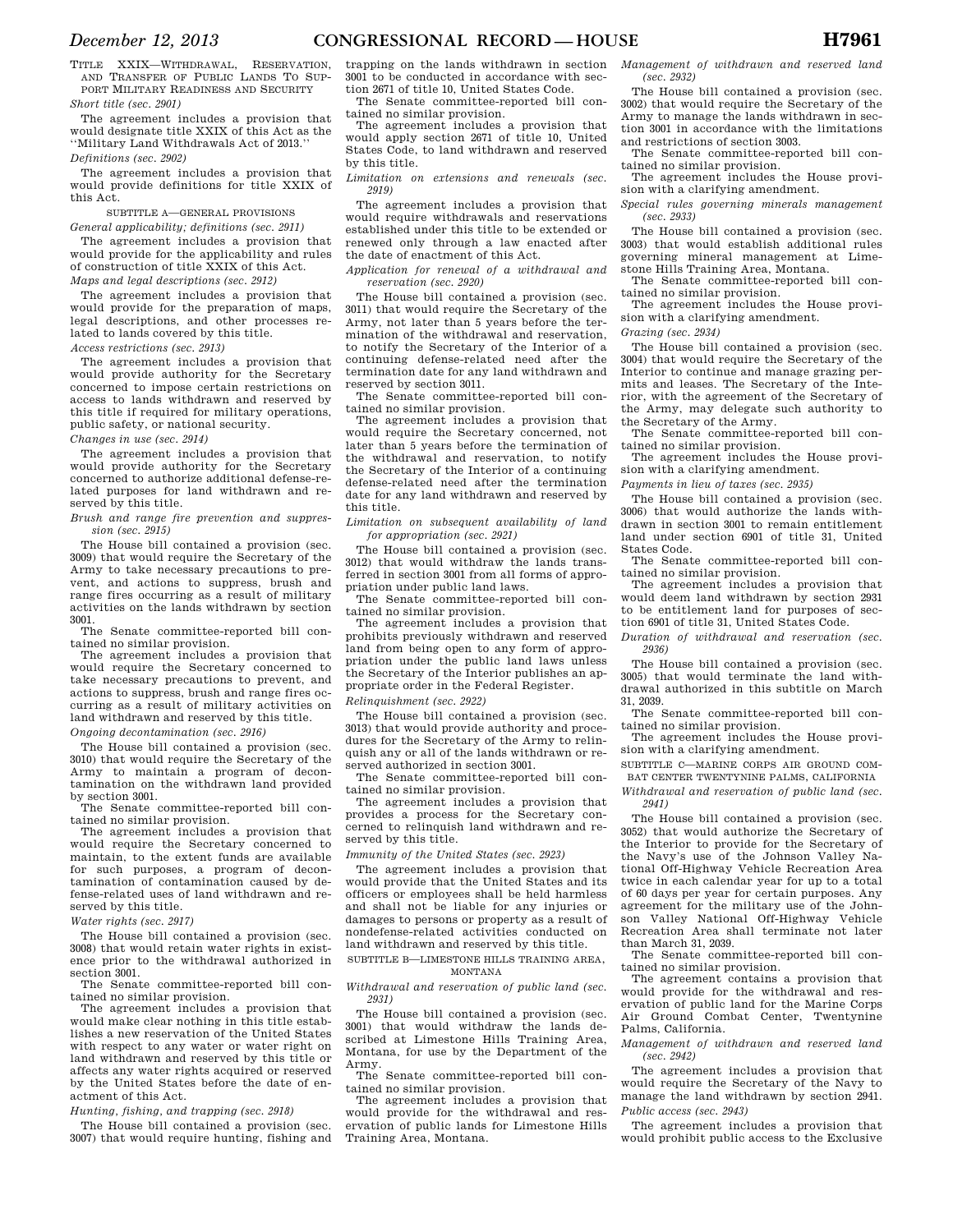TITLE XXIX—WITHDRAWAL, RESERVATION, AND TRANSFER OF PUBLIC LANDS TO SUP-PORT MILITARY READINESS AND SECURITY *Short title (sec. 2901)* 

The agreement includes a provision that would designate title XXIX of this Act as the ''Military Land Withdrawals Act of 2013.''

*Definitions (sec. 2902)* 

The agreement includes a provision that would provide definitions for title XXIX of this Act.

# SUBTITLE A—GENERAL PROVISIONS

*General applicability; definitions (sec. 2911)*  The agreement includes a provision that would provide for the applicability and rules of construction of title XXIX of this Act. *Maps and legal descriptions (sec. 2912)* 

The agreement includes a provision that would provide for the preparation of maps, legal descriptions, and other processes related to lands covered by this title. *Access restrictions (sec. 2913)* 

The agreement includes a provision that would provide authority for the Secretary concerned to impose certain restrictions on access to lands withdrawn and reserved by this title if required for military operations, public safety, or national security.

*Changes in use (sec. 2914)* 

The agreement includes a provision that would provide authority for the Secretary concerned to authorize additional defense-related purposes for land withdrawn and reserved by this title.

*Brush and range fire prevention and suppression (sec. 2915)* 

The House bill contained a provision (sec. 3009) that would require the Secretary of the Army to take necessary precautions to prevent, and actions to suppress, brush and range fires occurring as a result of military activities on the lands withdrawn by section 3001.

The Senate committee-reported bill contained no similar provision.

The agreement includes a provision that would require the Secretary concerned to take necessary precautions to prevent, and actions to suppress, brush and range fires occurring as a result of military activities on land withdrawn and reserved by this title. *Ongoing decontamination (sec. 2916)* 

The House bill contained a provision (sec. 3010) that would require the Secretary of the Army to maintain a program of decontamination on the withdrawn land provided by section 3001.

The Senate committee-reported bill contained no similar provision.

The agreement includes a provision that would require the Secretary concerned to maintain, to the extent funds are available for such purposes, a program of decontamination of contamination caused by defense-related uses of land withdrawn and reserved by this title.

*Water rights (sec. 2917)* 

The House bill contained a provision (sec. 3008) that would retain water rights in existence prior to the withdrawal authorized in section 3001.

The Senate committee-reported bill contained no similar provision.

The agreement includes a provision that would make clear nothing in this title establishes a new reservation of the United States with respect to any water or water right on land withdrawn and reserved by this title or affects any water rights acquired or reserved by the United States before the date of enactment of this Act.

*Hunting, fishing, and trapping (sec. 2918)* 

The House bill contained a provision (sec. 3007) that would require hunting, fishing and

trapping on the lands withdrawn in section 3001 to be conducted in accordance with section 2671 of title 10, United States Code.

The Senate committee-reported bill contained no similar provision.

The agreement includes a provision that would apply section 2671 of title 10, United States Code, to land withdrawn and reserved by this title.

*Limitation on extensions and renewals (sec. 2919)* 

The agreement includes a provision that would require withdrawals and reservations established under this title to be extended or renewed only through a law enacted after the date of enactment of this Act.

*Application for renewal of a withdrawal and reservation (sec. 2920)* 

The House bill contained a provision (sec. 3011) that would require the Secretary of the Army, not later than 5 years before the termination of the withdrawal and reservation, to notify the Secretary of the Interior of a continuing defense-related need after the termination date for any land withdrawn and reserved by section 3011.

The Senate committee-reported bill contained no similar provision.

The agreement includes a provision that would require the Secretary concerned, not later than 5 years before the termination of the withdrawal and reservation, to notify the Secretary of the Interior of a continuing defense-related need after the termination date for any land withdrawn and reserved by this title.

*Limitation on subsequent availability of land for appropriation (sec. 2921)* 

The House bill contained a provision (sec. 3012) that would withdraw the lands transferred in section 3001 from all forms of appropriation under public land laws.

The Senate committee-reported bill contained no similar provision.

The agreement includes a provision that prohibits previously withdrawn and reserved land from being open to any form of appropriation under the public land laws unless the Secretary of the Interior publishes an appropriate order in the Federal Register.

### *Relinquishment (sec. 2922)*

The House bill contained a provision (sec. 3013) that would provide authority and procedures for the Secretary of the Army to relinquish any or all of the lands withdrawn or reserved authorized in section 3001.

The Senate committee-reported bill contained no similar provision.

The agreement includes a provision that provides a process for the Secretary concerned to relinquish land withdrawn and reserved by this title.

*Immunity of the United States (sec. 2923)* 

The agreement includes a provision that would provide that the United States and its officers or employees shall be held harmless and shall not be liable for any injuries or damages to persons or property as a result of nondefense-related activities conducted on land withdrawn and reserved by this title.

SUBTITLE B—LIMESTONE HILLS TRAINING AREA, MONTANA

#### *Withdrawal and reservation of public land (sec. 2931)*

The House bill contained a provision (sec. 3001) that would withdraw the lands described at Limestone Hills Training Area, Montana, for use by the Department of the Army.

The Senate committee-reported bill contained no similar provision.

The agreement includes a provision that would provide for the withdrawal and reservation of public lands for Limestone Hills Training Area, Montana.

*Management of withdrawn and reserved land (sec. 2932)* 

The House bill contained a provision (sec. 3002) that would require the Secretary of the Army to manage the lands withdrawn in section 3001 in accordance with the limitations and restrictions of section 3003.

The Senate committee-reported bill contained no similar provision.

The agreement includes the House provision with a clarifying amendment.

*Special rules governing minerals management (sec. 2933)* 

The House bill contained a provision (sec. 3003) that would establish additional rules governing mineral management at Limestone Hills Training Area, Montana.

The Senate committee-reported bill contained no similar provision.

The agreement includes the House provision with a clarifying amendment.

*Grazing (sec. 2934)* 

The House bill contained a provision (sec. 3004) that would require the Secretary of the Interior to continue and manage grazing permits and leases. The Secretary of the Interior, with the agreement of the Secretary of the Army, may delegate such authority to the Secretary of the Army.

The Senate committee-reported bill contained no similar provision.

The agreement includes the House provision with a clarifying amendment.

*Payments in lieu of taxes (sec. 2935)* 

The House bill contained a provision (sec. 3006) that would authorize the lands withdrawn in section 3001 to remain entitlement land under section 6901 of title 31, United States Code.

The Senate committee-reported bill contained no similar provision.

The agreement includes a provision that would deem land withdrawn by section 2931 to be entitlement land for purposes of section 6901 of title 31, United States Code.

*Duration of withdrawal and reservation (sec. 2936)* 

The House bill contained a provision (sec. 3005) that would terminate the land withdrawal authorized in this subtitle on March 31, 2039.

The Senate committee-reported bill contained no similar provision.

The agreement includes the House provision with a clarifying amendment.

SUBTITLE C—MARINE CORPS AIR GROUND COM-

BAT CENTER TWENTYNINE PALMS, CALIFORNIA *Withdrawal and reservation of public land (sec.* 

*2941)* 

The House bill contained a provision (sec. 3052) that would authorize the Secretary of the Interior to provide for the Secretary of the Navy's use of the Johnson Valley National Off-Highway Vehicle Recreation Area twice in each calendar year for up to a total of 60 days per year for certain purposes. Any agreement for the military use of the Johnson Valley National Off-Highway Vehicle Recreation Area shall terminate not later than March 31, 2039.

The Senate committee-reported bill contained no similar provision.

The agreement contains a provision that would provide for the withdrawal and reservation of public land for the Marine Corps Air Ground Combat Center, Twentynine Palms, California.

*Management of withdrawn and reserved land (sec. 2942)* 

The agreement includes a provision that would require the Secretary of the Navy to manage the land withdrawn by section 2941. *Public access (sec. 2943)* 

The agreement includes a provision that would prohibit public access to the Exclusive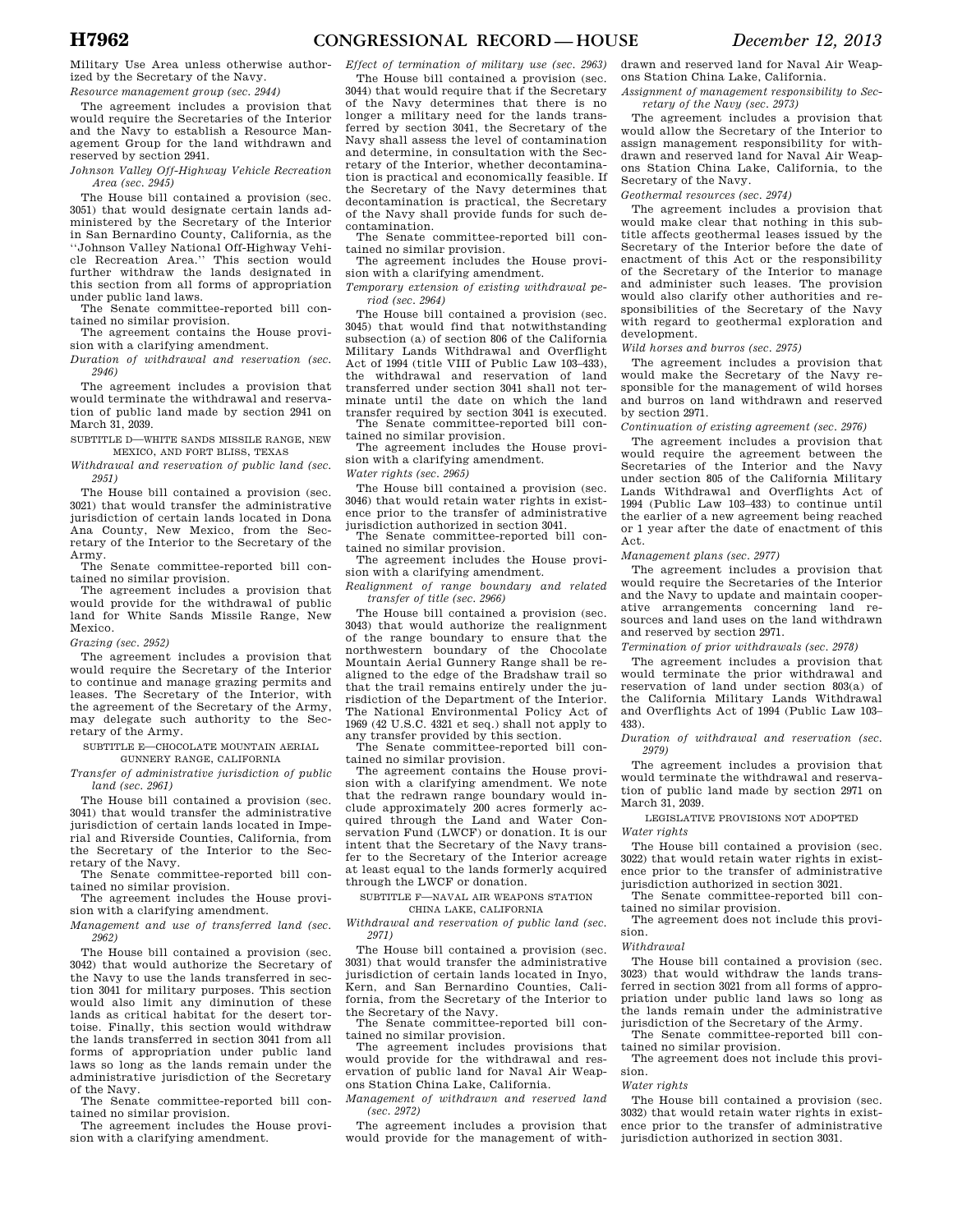Military Use Area unless otherwise authorized by the Secretary of the Navy.

*Resource management group (sec. 2944)*  The agreement includes a provision that

would require the Secretaries of the Interior and the Navy to establish a Resource Management Group for the land withdrawn and reserved by section 2941.

*Johnson Valley Off-Highway Vehicle Recreation Area (sec. 2945)* 

The House bill contained a provision (sec. 3051) that would designate certain lands administered by the Secretary of the Interior in San Bernardino County, California, as the ''Johnson Valley National Off-Highway Vehicle Recreation Area.'' This section would further withdraw the lands designated in this section from all forms of appropriation under public land laws.

The Senate committee-reported bill contained no similar provision.

The agreement contains the House provision with a clarifying amendment.

*Duration of withdrawal and reservation (sec. 2946)* 

The agreement includes a provision that would terminate the withdrawal and reservation of public land made by section 2941 on March 31, 2039.

SUBTITLE D—WHITE SANDS MISSILE RANGE, NEW MEXICO, AND FORT BLISS, TEXAS

*Withdrawal and reservation of public land (sec. 2951)* 

The House bill contained a provision (sec. 3021) that would transfer the administrative jurisdiction of certain lands located in Dona Ana County, New Mexico, from the Secretary of the Interior to the Secretary of the Army.

The Senate committee-reported bill contained no similar provision.

The agreement includes a provision that would provide for the withdrawal of public land for White Sands Missile Range, New Mexico.

*Grazing (sec. 2952)* 

The agreement includes a provision that would require the Secretary of the Interior to continue and manage grazing permits and leases. The Secretary of the Interior, with the agreement of the Secretary of the Army, may delegate such authority to the Secretary of the Army.

SUBTITLE E—CHOCOLATE MOUNTAIN AERIAL

GUNNERY RANGE, CALIFORNIA

*Transfer of administrative jurisdiction of public land (sec. 2961)* 

The House bill contained a provision (sec. 3041) that would transfer the administrative jurisdiction of certain lands located in Imperial and Riverside Counties, California, from the Secretary of the Interior to the Secretary of the Navy.

The Senate committee-reported bill contained no similar provision.

The agreement includes the House provision with a clarifying amendment.

*Management and use of transferred land (sec. 2962)* 

The House bill contained a provision (sec. 3042) that would authorize the Secretary of the Navy to use the lands transferred in section 3041 for military purposes. This section would also limit any diminution of these lands as critical habitat for the desert tortoise. Finally, this section would withdraw the lands transferred in section 3041 from all forms of appropriation under public land laws so long as the lands remain under the administrative jurisdiction of the Secretary of the Navy.

The Senate committee-reported bill contained no similar provision.

The agreement includes the House provision with a clarifying amendment.

*Effect of termination of military use (sec. 2963)*  The House bill contained a provision (sec.

3044) that would require that if the Secretary of the Navy determines that there is no longer a military need for the lands transferred by section 3041, the Secretary of the Navy shall assess the level of contamination and determine, in consultation with the Secretary of the Interior, whether decontamination is practical and economically feasible. If the Secretary of the Navy determines that decontamination is practical, the Secretary of the Navy shall provide funds for such decontamination.

The Senate committee-reported bill contained no similar provision.

The agreement includes the House provision with a clarifying amendment.

*Temporary extension of existing withdrawal period (sec. 2964)* 

The House bill contained a provision (sec. 3045) that would find that notwithstanding subsection (a) of section 806 of the California Military Lands Withdrawal and Overflight Act of 1994 (title VIII of Public Law 103–433), the withdrawal and reservation of land transferred under section 3041 shall not terminate until the date on which the land transfer required by section 3041 is executed. The Senate committee-reported bill con-

tained no similar provision. The agreement includes the House provi-

sion with a clarifying amendment.

*Water rights (sec. 2965)* 

The House bill contained a provision (sec. 3046) that would retain water rights in existence prior to the transfer of administrative jurisdiction authorized in section 3041.

The Senate committee-reported bill con-

tained no similar provision. The agreement includes the House provision with a clarifying amendment.

*Realignment of range boundary and related transfer of title (sec. 2966)* 

The House bill contained a provision (sec. 3043) that would authorize the realignment of the range boundary to ensure that the northwestern boundary of the Chocolate Mountain Aerial Gunnery Range shall be realigned to the edge of the Bradshaw trail so that the trail remains entirely under the jurisdiction of the Department of the Interior. The National Environmental Policy Act of 1969 (42 U.S.C. 4321 et seq.) shall not apply to any transfer provided by this section.

The Senate committee-reported bill contained no similar provision.

The agreement contains the House provision with a clarifying amendment. We note that the redrawn range boundary would include approximately 200 acres formerly ac-quired through the Land and Water Conservation Fund (LWCF) or donation. It is our intent that the Secretary of the Navy transfer to the Secretary of the Interior acreage at least equal to the lands formerly acquired through the LWCF or donation.

SUBTITLE F—NAVAL AIR WEAPONS STATION

CHINA LAKE, CALIFORNIA

*Withdrawal and reservation of public land (sec. 2971)* 

The House bill contained a provision (sec. 3031) that would transfer the administrative jurisdiction of certain lands located in Inyo, Kern, and San Bernardino Counties, California, from the Secretary of the Interior to the Secretary of the Navy.

The Senate committee-reported bill contained no similar provision.

The agreement includes provisions that would provide for the withdrawal and reservation of public land for Naval Air Weapons Station China Lake, California.

*Management of withdrawn and reserved land (sec. 2972)* 

The agreement includes a provision that would provide for the management of withdrawn and reserved land for Naval Air Weapons Station China Lake, California.

*Assignment of management responsibility to Secretary of the Navy (sec. 2973)* 

The agreement includes a provision that would allow the Secretary of the Interior to assign management responsibility for withdrawn and reserved land for Naval Air Weapons Station China Lake, California, to the Secretary of the Navy.

*Geothermal resources (sec. 2974)* 

The agreement includes a provision that would make clear that nothing in this subtitle affects geothermal leases issued by the Secretary of the Interior before the date of enactment of this Act or the responsibility of the Secretary of the Interior to manage and administer such leases. The provision would also clarify other authorities and responsibilities of the Secretary of the Navy with regard to geothermal exploration and development.

*Wild horses and burros (sec. 2975)* 

The agreement includes a provision that would make the Secretary of the Navy responsible for the management of wild horses and burros on land withdrawn and reserved by section 2971.

*Continuation of existing agreement (sec. 2976)* 

The agreement includes a provision that would require the agreement between the Secretaries of the Interior and the Navy under section 805 of the California Military Lands Withdrawal and Overflights Act of 1994 (Public Law 103–433) to continue until the earlier of a new agreement being reached or 1 year after the date of enactment of this Act.

*Management plans (sec. 2977)* 

The agreement includes a provision that would require the Secretaries of the Interior and the Navy to update and maintain cooperative arrangements concerning land resources and land uses on the land withdrawn and reserved by section 2971.

*Termination of prior withdrawals (sec. 2978)* 

The agreement includes a provision that would terminate the prior withdrawal and reservation of land under section 803(a) of the California Military Lands Withdrawal and Overflights Act of 1994 (Public Law 103– 433).

*Duration of withdrawal and reservation (sec. 2979)* 

The agreement includes a provision that would terminate the withdrawal and reservation of public land made by section 2971 on March 31, 2039.

LEGISLATIVE PROVISIONS NOT ADOPTED

*Water rights* 

The House bill contained a provision (sec. 3022) that would retain water rights in existence prior to the transfer of administrative jurisdiction authorized in section 3021.

The Senate committee-reported bill contained no similar provision.

The agreement does not include this provision.

*Withdrawal* 

The House bill contained a provision (sec. 3023) that would withdraw the lands transferred in section 3021 from all forms of appropriation under public land laws so long as the lands remain under the administrative jurisdiction of the Secretary of the Army.

The Senate committee-reported bill contained no similar provision.

The agreement does not include this provision.

*Water rights* 

The House bill contained a provision (sec. 3032) that would retain water rights in existence prior to the transfer of administrative jurisdiction authorized in section 3031.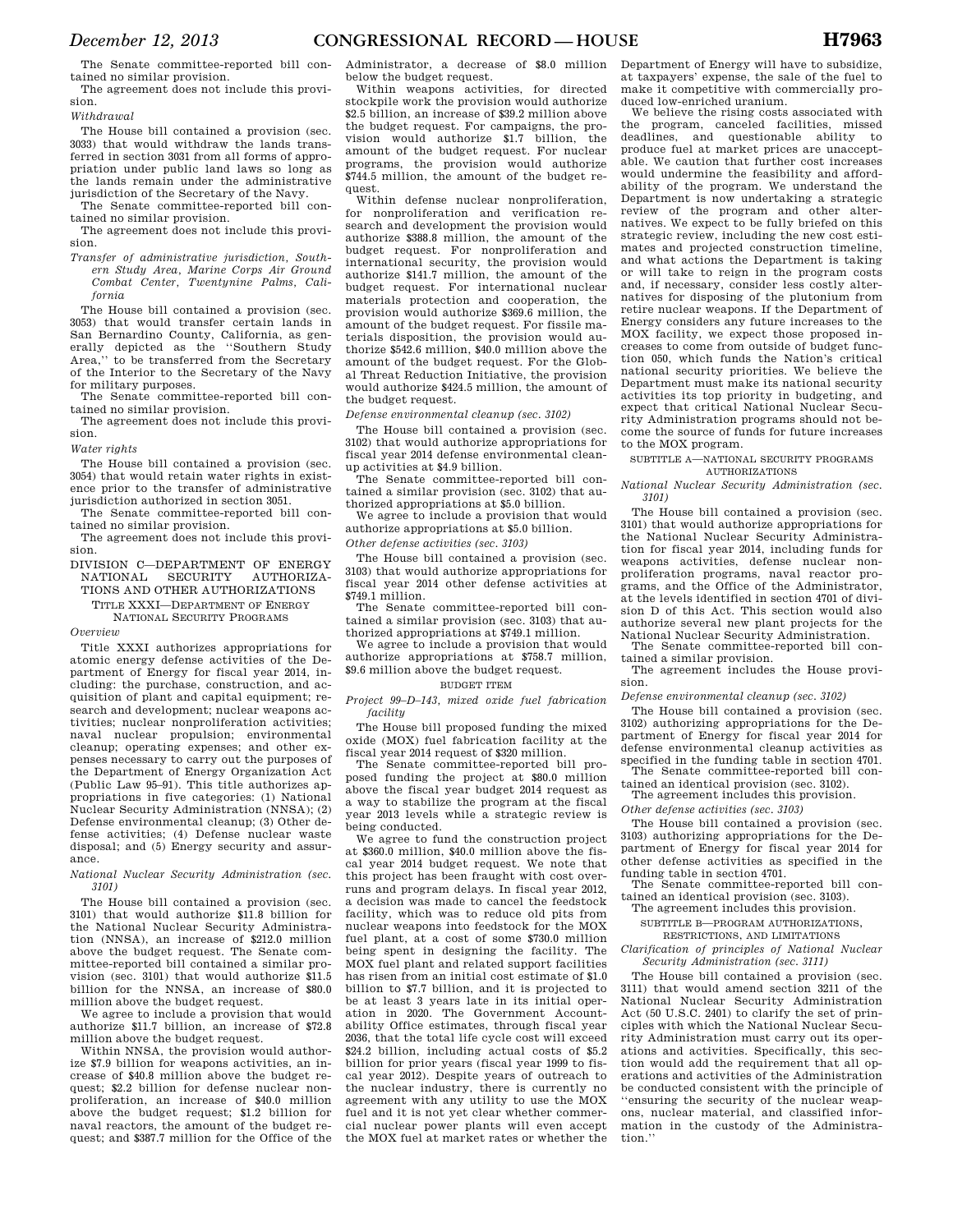The Senate committee-reported bill contained no similar provision.

The agreement does not include this provision.

*Withdrawal* 

The House bill contained a provision (sec. 3033) that would withdraw the lands transferred in section 3031 from all forms of appropriation under public land laws so long as the lands remain under the administrative jurisdiction of the Secretary of the Navy.

The Senate committee-reported bill contained no similar provision.

The agreement does not include this provision.

*Transfer of administrative jurisdiction, Southern Study Area, Marine Corps Air Ground Combat Center, Twentynine Palms, California* 

The House bill contained a provision (sec. 3053) that would transfer certain lands in San Bernardino County, California, as generally depicted as the ''Southern Study Area,'' to be transferred from the Secretary of the Interior to the Secretary of the Navy for military purposes.

The Senate committee-reported bill contained no similar provision.

The agreement does not include this provision.

*Water rights* 

The House bill contained a provision (sec. 3054) that would retain water rights in existence prior to the transfer of administrative jurisdiction authorized in section 3051.

The Senate committee-reported bill contained no similar provision.

The agreement does not include this provision.

DIVISION C—DEPARTMENT OF ENERGY NATIONAL SECURITY TIONS AND OTHER AUTHORIZATIONS

TITLE XXXI—DEPARTMENT OF ENERGY

NATIONAL SECURITY PROGRAMS

*Overview* 

Title XXXI authorizes appropriations for atomic energy defense activities of the Department of Energy for fiscal year 2014, including: the purchase, construction, and acquisition of plant and capital equipment; research and development; nuclear weapons activities; nuclear nonproliferation activities; naval nuclear propulsion; environmental cleanup; operating expenses; and other expenses necessary to carry out the purposes of the Department of Energy Organization Act (Public Law 95–91). This title authorizes appropriations in five categories: (1) National Nuclear Security Administration (NNSA); (2) Defense environmental cleanup; (3) Other defense activities; (4) Defense nuclear waste disposal; and (5) Energy security and assurance.

*National Nuclear Security Administration (sec. 3101)* 

The House bill contained a provision (sec. 3101) that would authorize \$11.8 billion for the National Nuclear Security Administration (NNSA), an increase of \$212.0 million above the budget request. The Senate committee-reported bill contained a similar provision (sec. 3101) that would authorize \$11.5 billion for the NNSA, an increase of \$80.0 million above the budget request.

We agree to include a provision that would authorize \$11.7 billion, an increase of \$72.8 million above the budget request.

Within NNSA, the provision would authorize \$7.9 billion for weapons activities, an increase of \$40.8 million above the budget request; \$2.2 billion for defense nuclear nonproliferation, an increase of \$40.0 million above the budget request; \$1.2 billion for naval reactors, the amount of the budget request; and \$387.7 million for the Office of the Administrator, a decrease of \$8.0 million below the budget request.

Within weapons activities, for directed stockpile work the provision would authorize \$2.5 billion, an increase of \$39.2 million above the budget request. For campaigns, the provision would authorize \$1.7 billion, the amount of the budget request. For nuclear programs, the provision would authorize \$744.5 million, the amount of the budget request.

Within defense nuclear nonproliferation, for nonproliferation and verification research and development the provision would authorize \$388.8 million, the amount of the budget request. For nonproliferation and international security, the provision would authorize \$141.7 million, the amount of the budget request. For international nuclear materials protection and cooperation, the provision would authorize \$369.6 million, the amount of the budget request. For fissile materials disposition, the provision would authorize \$542.6 million, \$40.0 million above the amount of the budget request. For the Global Threat Reduction Initiative, the provision would authorize \$424.5 million, the amount of the budget request.

*Defense environmental cleanup (sec. 3102)* 

The House bill contained a provision (sec. 3102) that would authorize appropriations for fiscal year 2014 defense environmental cleanup activities at \$4.9 billion.

The Senate committee-reported bill contained a similar provision (sec. 3102) that authorized appropriations at \$5.0 billion.

We agree to include a provision that would authorize appropriations at \$5.0 billion. *Other defense activities (sec. 3103)* 

The House bill contained a provision (sec. 3103) that would authorize appropriations for fiscal year 2014 other defense activities at \$749.1 million.

The Senate committee-reported bill contained a similar provision (sec. 3103) that authorized appropriations at \$749.1 million.

We agree to include a provision that would authorize appropriations at \$758.7 million, \$9.6 million above the budget request.

## BUDGET ITEM

*Project 99–D–143, mixed oxide fuel fabrication facility* 

The House bill proposed funding the mixed oxide (MOX) fuel fabrication facility at the fiscal year 2014 request of \$320 million.

The Senate committee-reported bill proposed funding the project at \$80.0 million above the fiscal year budget 2014 request as a way to stabilize the program at the fiscal year 2013 levels while a strategic review is being conducted.

We agree to fund the construction project at \$360.0 million, \$40.0 million above the fiscal year 2014 budget request. We note that this project has been fraught with cost overruns and program delays. In fiscal year 2012, a decision was made to cancel the feedstock facility, which was to reduce old pits from nuclear weapons into feedstock for the MOX fuel plant, at a cost of some \$730.0 million being spent in designing the facility. The MOX fuel plant and related support facilities has risen from an initial cost estimate of \$1.0 billion to \$7.7 billion, and it is projected to be at least 3 years late in its initial operation in 2020. The Government Accountability Office estimates, through fiscal year 2036, that the total life cycle cost will exceed \$24.2 billion, including actual costs of \$5.2 billion for prior years (fiscal year 1999 to fiscal year 2012). Despite years of outreach to the nuclear industry, there is currently no agreement with any utility to use the MOX fuel and it is not yet clear whether commercial nuclear power plants will even accept the MOX fuel at market rates or whether the Department of Energy will have to subsidize, at taxpayers' expense, the sale of the fuel to make it competitive with commercially produced low-enriched uranium.

We believe the rising costs associated with the program, canceled facilities, missed deadlines, and questionable ability to produce fuel at market prices are unacceptable. We caution that further cost increases would undermine the feasibility and affordability of the program. We understand the Department is now undertaking a strategic review of the program and other alternatives. We expect to be fully briefed on this strategic review, including the new cost estimates and projected construction timeline, and what actions the Department is taking or will take to reign in the program costs and, if necessary, consider less costly alternatives for disposing of the plutonium from retire nuclear weapons. If the Department of Energy considers any future increases to the MOX facility, we expect those proposed increases to come from outside of budget function 050, which funds the Nation's critical national security priorities. We believe the Department must make its national security activities its top priority in budgeting, and expect that critical National Nuclear Security Administration programs should not become the source of funds for future increases to the MOX program.

SUBTITLE A—NATIONAL SECURITY PROGRAMS

# AUTHORIZATIONS

*National Nuclear Security Administration (sec. 3101)* 

The House bill contained a provision (sec. 3101) that would authorize appropriations for the National Nuclear Security Administration for fiscal year 2014, including funds for weapons activities, defense nuclear nonproliferation programs, naval reactor programs, and the Office of the Administrator, at the levels identified in section 4701 of division D of this Act. This section would also authorize several new plant projects for the National Nuclear Security Administration.

The Senate committee-reported bill contained a similar provision. The agreement includes the House provi-

sion.

*Defense environmental cleanup (sec. 3102)* 

The House bill contained a provision (sec. 3102) authorizing appropriations for the Department of Energy for fiscal year 2014 for defense environmental cleanup activities as specified in the funding table in section 4701.

The Senate committee-reported bill contained an identical provision (sec. 3102).

The agreement includes this provision.

*Other defense activities (sec. 3103)* 

The House bill contained a provision (sec. 3103) authorizing appropriations for the Department of Energy for fiscal year 2014 for other defense activities as specified in the funding table in section 4701.

The Senate committee-reported bill contained an identical provision (sec. 3103).

The agreement includes this provision.

SUBTITLE B—PROGRAM AUTHORIZATIONS,

RESTRICTIONS, AND LIMITATIONS

*Clarification of principles of National Nuclear Security Administration (sec. 3111)* 

The House bill contained a provision (sec. 3111) that would amend section 3211 of the National Nuclear Security Administration Act (50 U.S.C. 2401) to clarify the set of principles with which the National Nuclear Security Administration must carry out its operations and activities. Specifically, this section would add the requirement that all operations and activities of the Administration be conducted consistent with the principle of ''ensuring the security of the nuclear weapons, nuclear material, and classified information in the custody of the Administration.''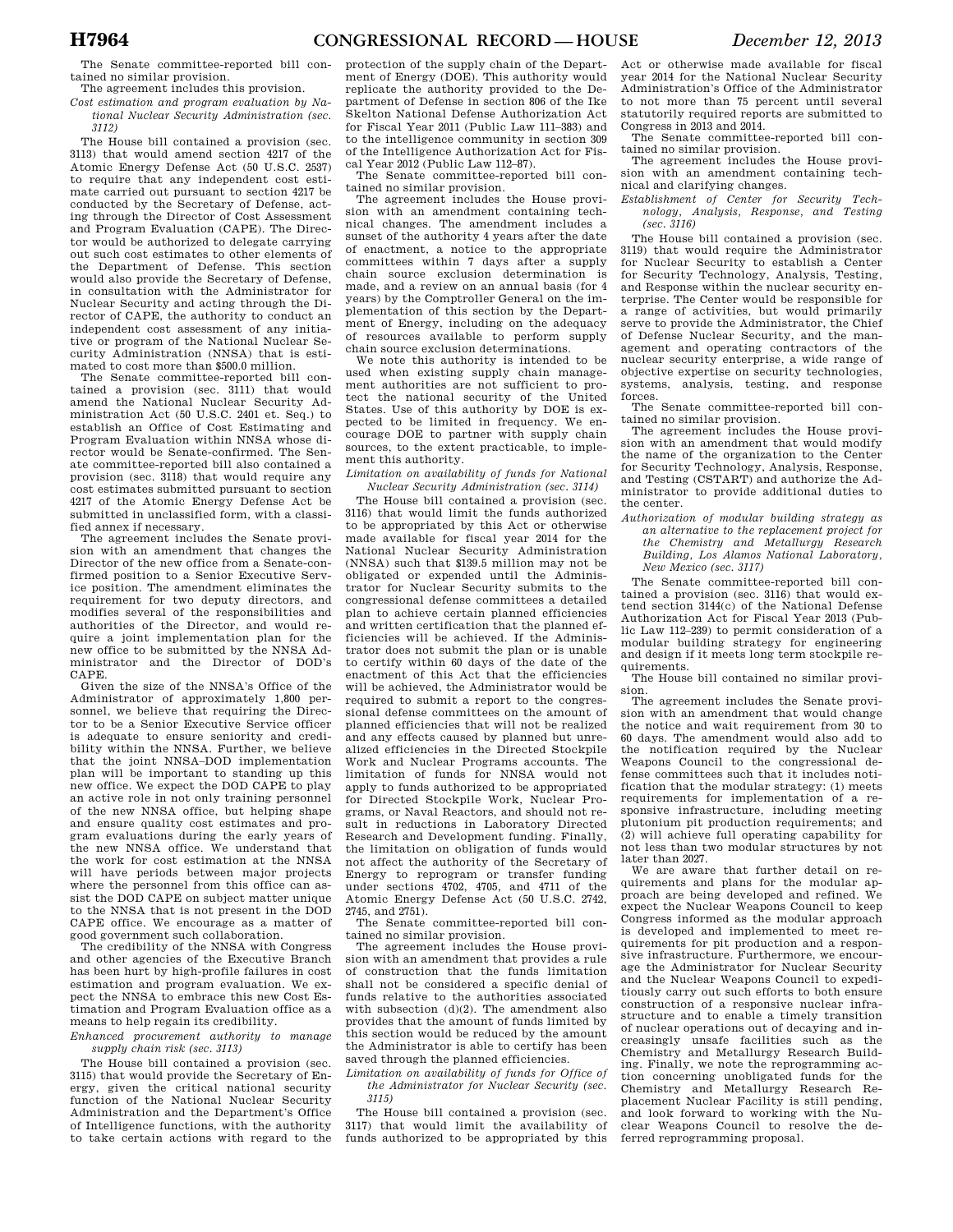The Senate committee-reported bill contained no similar provision.

The agreement includes this provision. *Cost estimation and program evaluation by National Nuclear Security Administration (sec.* 

*3112)* 

The House bill contained a provision (sec. 3113) that would amend section 4217 of the Atomic Energy Defense Act (50 U.S.C. 2537) to require that any independent cost estimate carried out pursuant to section 4217 be conducted by the Secretary of Defense, acting through the Director of Cost Assessment and Program Evaluation (CAPE). The Director would be authorized to delegate carrying out such cost estimates to other elements of the Department of Defense. This section would also provide the Secretary of Defense, in consultation with the Administrator for Nuclear Security and acting through the Director of CAPE, the authority to conduct an independent cost assessment of any initiative or program of the National Nuclear Security Administration (NNSA) that is estimated to cost more than \$500.0 million.

The Senate committee-reported bill contained a provision (sec. 3111) that would amend the National Nuclear Security Administration Act (50 U.S.C. 2401 et. Seq.) to establish an Office of Cost Estimating and Program Evaluation within NNSA whose director would be Senate-confirmed. The Senate committee-reported bill also contained a provision (sec. 3118) that would require any cost estimates submitted pursuant to section 4217 of the Atomic Energy Defense Act be submitted in unclassified form, with a classified annex if necessary.

The agreement includes the Senate provision with an amendment that changes the Director of the new office from a Senate-confirmed position to a Senior Executive Service position. The amendment eliminates the requirement for two deputy directors, and modifies several of the responsibilities and authorities of the Director, and would require a joint implementation plan for the new office to be submitted by the NNSA Administrator and the Director of DOD's CAPE.

Given the size of the NNSA's Office of the Administrator of approximately 1,800 personnel, we believe that requiring the Director to be a Senior Executive Service officer is adequate to ensure seniority and credibility within the NNSA. Further, we believe that the joint NNSA–DOD implementation plan will be important to standing up this new office. We expect the DOD CAPE to play an active role in not only training personnel of the new NNSA office, but helping shape and ensure quality cost estimates and program evaluations during the early years of the new NNSA office. We understand that the work for cost estimation at the NNSA will have periods between major projects where the personnel from this office can assist the DOD CAPE on subject matter unique to the NNSA that is not present in the DOD CAPE office. We encourage as a matter of good government such collaboration.

The credibility of the NNSA with Congress and other agencies of the Executive Branch has been hurt by high-profile failures in cost estimation and program evaluation. We expect the NNSA to embrace this new Cost Estimation and Program Evaluation office as a means to help regain its credibility.

*Enhanced procurement authority to manage supply chain risk (sec. 3113)* 

The House bill contained a provision (sec. 3115) that would provide the Secretary of Energy, given the critical national security function of the National Nuclear Security Administration and the Department's Office of Intelligence functions, with the authority to take certain actions with regard to the

protection of the supply chain of the Department of Energy (DOE). This authority would replicate the authority provided to the Department of Defense in section 806 of the Ike Skelton National Defense Authorization Act for Fiscal Year 2011 (Public Law 111–383) and to the intelligence community in section 309 of the Intelligence Authorization Act for Fiscal Year 2012 (Public Law 112–87).

The Senate committee-reported bill contained no similar provision.

The agreement includes the House provision with an amendment containing technical changes. The amendment includes a sunset of the authority 4 years after the date of enactment, a notice to the appropriate committees within 7 days after a supply chain source exclusion determination is made, and a review on an annual basis (for 4 years) by the Comptroller General on the implementation of this section by the Department of Energy, including on the adequacy of resources available to perform supply chain source exclusion determinations.

We note this authority is intended to be used when existing supply chain management authorities are not sufficient to protect the national security of the United States. Use of this authority by DOE is expected to be limited in frequency. We encourage DOE to partner with supply chain sources, to the extent practicable, to implement this authority.

*Limitation on availability of funds for National Nuclear Security Administration (sec. 3114)* 

The House bill contained a provision (sec. 3116) that would limit the funds authorized to be appropriated by this Act or otherwise made available for fiscal year 2014 for the National Nuclear Security Administration (NNSA) such that \$139.5 million may not be obligated or expended until the Administrator for Nuclear Security submits to the congressional defense committees a detailed plan to achieve certain planned efficiencies and written certification that the planned efficiencies will be achieved. If the Administrator does not submit the plan or is unable to certify within 60 days of the date of the enactment of this Act that the efficiencies will be achieved, the Administrator would be required to submit a report to the congressional defense committees on the amount of planned efficiencies that will not be realized and any effects caused by planned but unrealized efficiencies in the Directed Stockpile Work and Nuclear Programs accounts. The limitation of funds for NNSA would not apply to funds authorized to be appropriated for Directed Stockpile Work, Nuclear Programs, or Naval Reactors, and should not result in reductions in Laboratory Directed Research and Development funding. Finally, the limitation on obligation of funds would not affect the authority of the Secretary of Energy to reprogram or transfer funding under sections 4702, 4705, and 4711 of the Atomic Energy Defense Act (50 U.S.C. 2742, 2745, and 2751).

The Senate committee-reported bill contained no similar provision.

The agreement includes the House provision with an amendment that provides a rule of construction that the funds limitation shall not be considered a specific denial of funds relative to the authorities associated with subsection (d)(2). The amendment also provides that the amount of funds limited by this section would be reduced by the amount the Administrator is able to certify has been saved through the planned efficiencies.

*Limitation on availability of funds for Office of the Administrator for Nuclear Security (sec. 3115)* 

The House bill contained a provision (sec. 3117) that would limit the availability of funds authorized to be appropriated by this Act or otherwise made available for fiscal year 2014 for the National Nuclear Security Administration's Office of the Administrator to not more than 75 percent until several statutorily required reports are submitted to Congress in 2013 and 2014.

The Senate committee-reported bill con-

tained no similar provision. The agreement includes the House provision with an amendment containing technical and clarifying changes.

*Establishment of Center for Security Technology, Analysis, Response, and Testing (sec. 3116)* 

The House bill contained a provision (sec. 3119) that would require the Administrator for Nuclear Security to establish a Center for Security Technology, Analysis, Testing, and Response within the nuclear security enterprise. The Center would be responsible for a range of activities, but would primarily serve to provide the Administrator, the Chief of Defense Nuclear Security, and the management and operating contractors of the nuclear security enterprise, a wide range of objective expertise on security technologies, systems, analysis, testing, and response forces. The Senate committee-reported bill con-

tained no similar provision.

The agreement includes the House provision with an amendment that would modify the name of the organization to the Center for Security Technology, Analysis, Response, and Testing (CSTART) and authorize the Administrator to provide additional duties to the center.

*Authorization of modular building strategy as an alternative to the replacement project for the Chemistry and Metallurgy Research Building, Los Alamos National Laboratory, New Mexico (sec. 3117)* 

The Senate committee-reported bill contained a provision (sec. 3116) that would extend section 3144(c) of the National Defense Authorization Act for Fiscal Year 2013 (Public Law 112–239) to permit consideration of a modular building strategy for engineering and design if it meets long term stockpile requirements.

The House bill contained no similar provision.

The agreement includes the Senate provision with an amendment that would change the notice and wait requirement from 30 to 60 days. The amendment would also add to the notification required by the Nuclear Weapons Council to the congressional defense committees such that it includes notification that the modular strategy: (1) meets requirements for implementation of a responsive infrastructure, including meeting plutonium pit production requirements; and (2) will achieve full operating capability for not less than two modular structures by not later than 2027.

We are aware that further detail on requirements and plans for the modular approach are being developed and refined. We expect the Nuclear Weapons Council to keep Congress informed as the modular approach is developed and implemented to meet requirements for pit production and a responsive infrastructure. Furthermore, we encourage the Administrator for Nuclear Security and the Nuclear Weapons Council to expeditiously carry out such efforts to both ensure construction of a responsive nuclear infrastructure and to enable a timely transition of nuclear operations out of decaying and increasingly unsafe facilities such as the Chemistry and Metallurgy Research Building. Finally, we note the reprogramming action concerning unobligated funds for the Chemistry and Metallurgy Research Replacement Nuclear Facility is still pending, and look forward to working with the Nuclear Weapons Council to resolve the deferred reprogramming proposal.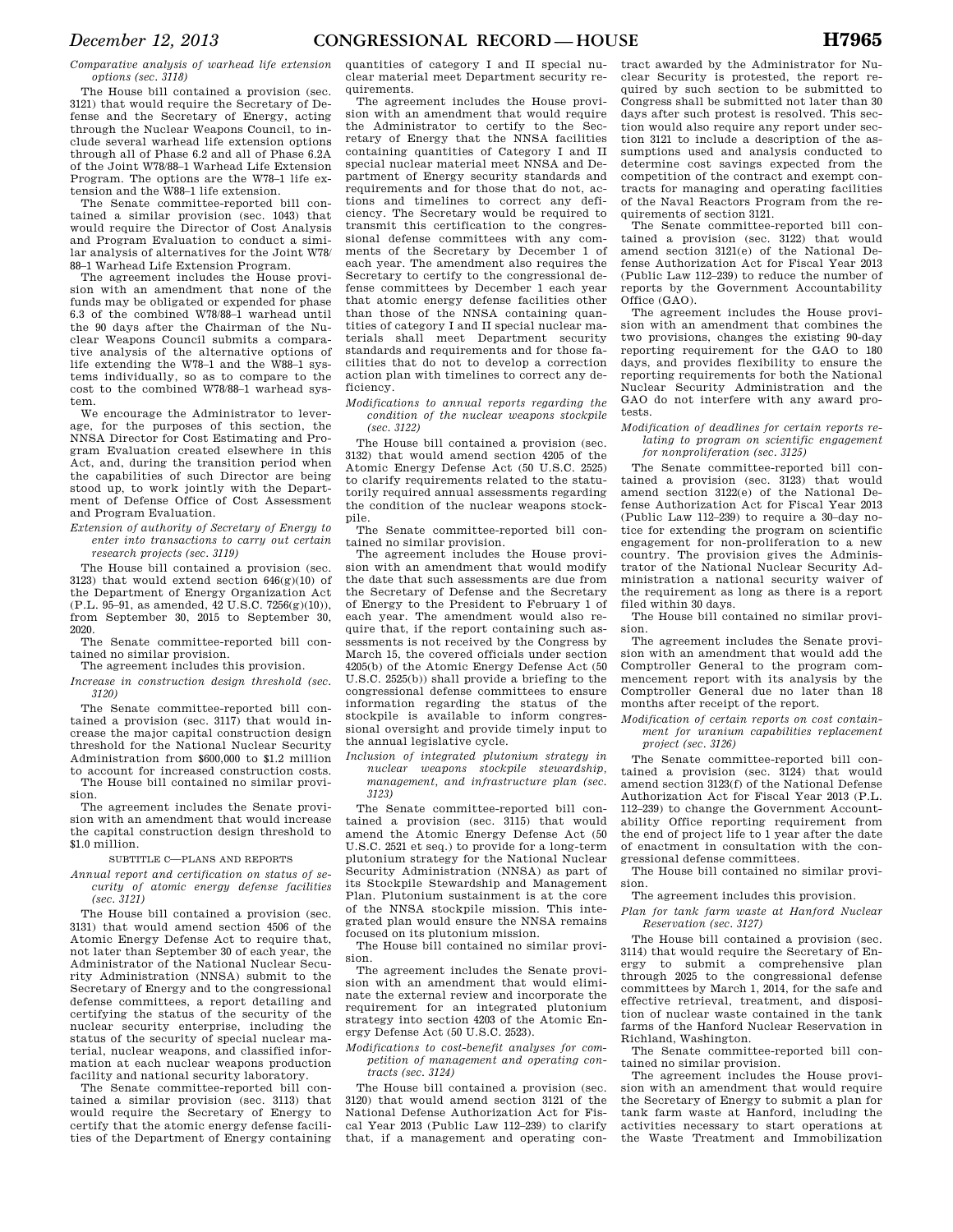*Comparative analysis of warhead life extension options (sec. 3118)* 

The House bill contained a provision (sec. 3121) that would require the Secretary of Defense and the Secretary of Energy, acting through the Nuclear Weapons Council, to include several warhead life extension options through all of Phase 6.2 and all of Phase 6.2A of the Joint W78/88–1 Warhead Life Extension Program. The options are the W78–1 life extension and the W88–1 life extension.

The Senate committee-reported bill contained a similar provision (sec. 1043) that would require the Director of Cost Analysis and Program Evaluation to conduct a similar analysis of alternatives for the Joint W78/ 88–1 Warhead Life Extension Program.

The agreement includes the House provision with an amendment that none of the funds may be obligated or expended for phase 6.3 of the combined W78/88–1 warhead until the 90 days after the Chairman of the Nuclear Weapons Council submits a comparative analysis of the alternative options of life extending the W78–1 and the W88–1 systems individually, so as to compare to the cost to the combined W78/88–1 warhead system.

We encourage the Administrator to leverage, for the purposes of this section, the NNSA Director for Cost Estimating and Program Evaluation created elsewhere in this Act, and, during the transition period when the capabilities of such Director are being stood up, to work jointly with the Department of Defense Office of Cost Assessment and Program Evaluation.

*Extension of authority of Secretary of Energy to enter into transactions to carry out certain research projects (sec. 3119)* 

The House bill contained a provision (sec.  $3123$ ) that would extend section  $646(g)(10)$  of the Department of Energy Organization Act  $(PL, 95-91, as amended, 42, U.S.C. 7256(g)(10)).$ from September 30, 2015 to September 30, 2020.

The Senate committee-reported bill contained no similar provision.

The agreement includes this provision. *Increase in construction design threshold (sec.* 

*3120)*  The Senate committee-reported bill contained a provision (sec. 3117) that would increase the major capital construction design threshold for the National Nuclear Security Administration from \$600,000 to \$1.2 million to account for increased construction costs. The House bill contained no similar provi-

sion. The agreement includes the Senate provi-

sion with an amendment that would increase the capital construction design threshold to \$1.0 million.

SUBTITLE C—PLANS AND REPORTS

*Annual report and certification on status of security of atomic energy defense facilities (sec. 3121)* 

The House bill contained a provision (sec. 3131) that would amend section 4506 of the Atomic Energy Defense Act to require that, not later than September 30 of each year, the Administrator of the National Nuclear Security Administration (NNSA) submit to the Secretary of Energy and to the congressional defense committees, a report detailing and certifying the status of the security of the nuclear security enterprise, including the status of the security of special nuclear material, nuclear weapons, and classified information at each nuclear weapons production facility and national security laboratory.

The Senate committee-reported bill contained a similar provision (sec. 3113) that would require the Secretary of Energy to certify that the atomic energy defense facilities of the Department of Energy containing

quantities of category I and II special nuclear material meet Department security requirements.

The agreement includes the House provision with an amendment that would require the Administrator to certify to the Secretary of Energy that the NNSA facilities containing quantities of Category I and II special nuclear material meet NNSA and Department of Energy security standards and requirements and for those that do not, actions and timelines to correct any deficiency. The Secretary would be required to transmit this certification to the congressional defense committees with any comments of the Secretary by December 1 of each year. The amendment also requires the Secretary to certify to the congressional defense committees by December 1 each year that atomic energy defense facilities other than those of the NNSA containing quantities of category I and II special nuclear materials shall meet Department security standards and requirements and for those facilities that do not to develop a correction action plan with timelines to correct any deficiency.

*Modifications to annual reports regarding the condition of the nuclear weapons stockpile (sec. 3122)* 

The House bill contained a provision (sec. 3132) that would amend section 4205 of the Atomic Energy Defense Act (50 U.S.C. 2525) to clarify requirements related to the statutorily required annual assessments regarding the condition of the nuclear weapons stockpile.

The Senate committee-reported bill contained no similar provision.

The agreement includes the House provision with an amendment that would modify the date that such assessments are due from the Secretary of Defense and the Secretary of Energy to the President to February 1 of each year. The amendment would also require that, if the report containing such assessments is not received by the Congress by March 15, the covered officials under section 4205(b) of the Atomic Energy Defense Act (50 U.S.C. 2525(b)) shall provide a briefing to the congressional defense committees to ensure information regarding the status of the stockpile is available to inform congressional oversight and provide timely input to the annual legislative cycle.

*Inclusion of integrated plutonium strategy in nuclear weapons stockpile stewardship, management, and infrastructure plan (sec. 3123)* 

The Senate committee-reported bill contained a provision (sec. 3115) that would amend the Atomic Energy Defense Act (50 U.S.C. 2521 et seq.) to provide for a long-term plutonium strategy for the National Nuclear Security Administration (NNSA) as part of its Stockpile Stewardship and Management Plan. Plutonium sustainment is at the core of the NNSA stockpile mission. This integrated plan would ensure the NNSA remains focused on its plutonium mission.

The House bill contained no similar provision.

The agreement includes the Senate provision with an amendment that would eliminate the external review and incorporate the requirement for an integrated plutonium strategy into section 4203 of the Atomic Energy Defense Act (50 U.S.C. 2523).

*Modifications to cost-benefit analyses for competition of management and operating contracts (sec. 3124)* 

The House bill contained a provision (sec. 3120) that would amend section 3121 of the National Defense Authorization Act for Fiscal Year 2013 (Public Law 112–239) to clarify that, if a management and operating con-

tract awarded by the Administrator for Nuclear Security is protested, the report required by such section to be submitted to Congress shall be submitted not later than 30 days after such protest is resolved. This section would also require any report under section 3121 to include a description of the assumptions used and analysis conducted to determine cost savings expected from the competition of the contract and exempt contracts for managing and operating facilities of the Naval Reactors Program from the requirements of section 3121.

The Senate committee-reported bill contained a provision (sec. 3122) that would amend section 3121(e) of the National Defense Authorization Act for Fiscal Year 2013 (Public Law 112–239) to reduce the number of reports by the Government Accountability Office (GAO).

The agreement includes the House provision with an amendment that combines the two provisions, changes the existing 90-day reporting requirement for the GAO to 180 days, and provides flexibility to ensure the reporting requirements for both the National Nuclear Security Administration and the GAO do not interfere with any award protests.

#### *Modification of deadlines for certain reports relating to program on scientific engagement for nonproliferation (sec. 3125)*

The Senate committee-reported bill contained a provision (sec. 3123) that would amend section 3122(e) of the National Defense Authorization Act for Fiscal Year 2013 (Public Law 112–239) to require a 30–day notice for extending the program on scientific engagement for non-proliferation to a new country. The provision gives the Administrator of the National Nuclear Security Administration a national security waiver of the requirement as long as there is a report filed within 30 days.

The House bill contained no similar provision.

The agreement includes the Senate provision with an amendment that would add the Comptroller General to the program commencement report with its analysis by the Comptroller General due no later than 18 months after receipt of the report.

*Modification of certain reports on cost containment for uranium capabilities replacement project (sec. 3126)* 

The Senate committee-reported bill contained a provision (sec. 3124) that would amend section 3123(f) of the National Defense Authorization Act for Fiscal Year 2013 (P.L. 112–239) to change the Government Accountability Office reporting requirement from the end of project life to 1 year after the date of enactment in consultation with the congressional defense committees.

The House bill contained no similar provision.

The agreement includes this provision.

*Plan for tank farm waste at Hanford Nuclear Reservation (sec. 3127)* 

The House bill contained a provision (sec. 3114) that would require the Secretary of Energy to submit a comprehensive plan through 2025 to the congressional defense committees by March 1, 2014, for the safe and effective retrieval, treatment, and disposition of nuclear waste contained in the tank farms of the Hanford Nuclear Reservation in Richland, Washington.

The Senate committee-reported bill contained no similar provision.

The agreement includes the House provision with an amendment that would require the Secretary of Energy to submit a plan for tank farm waste at Hanford, including the activities necessary to start operations at the Waste Treatment and Immobilization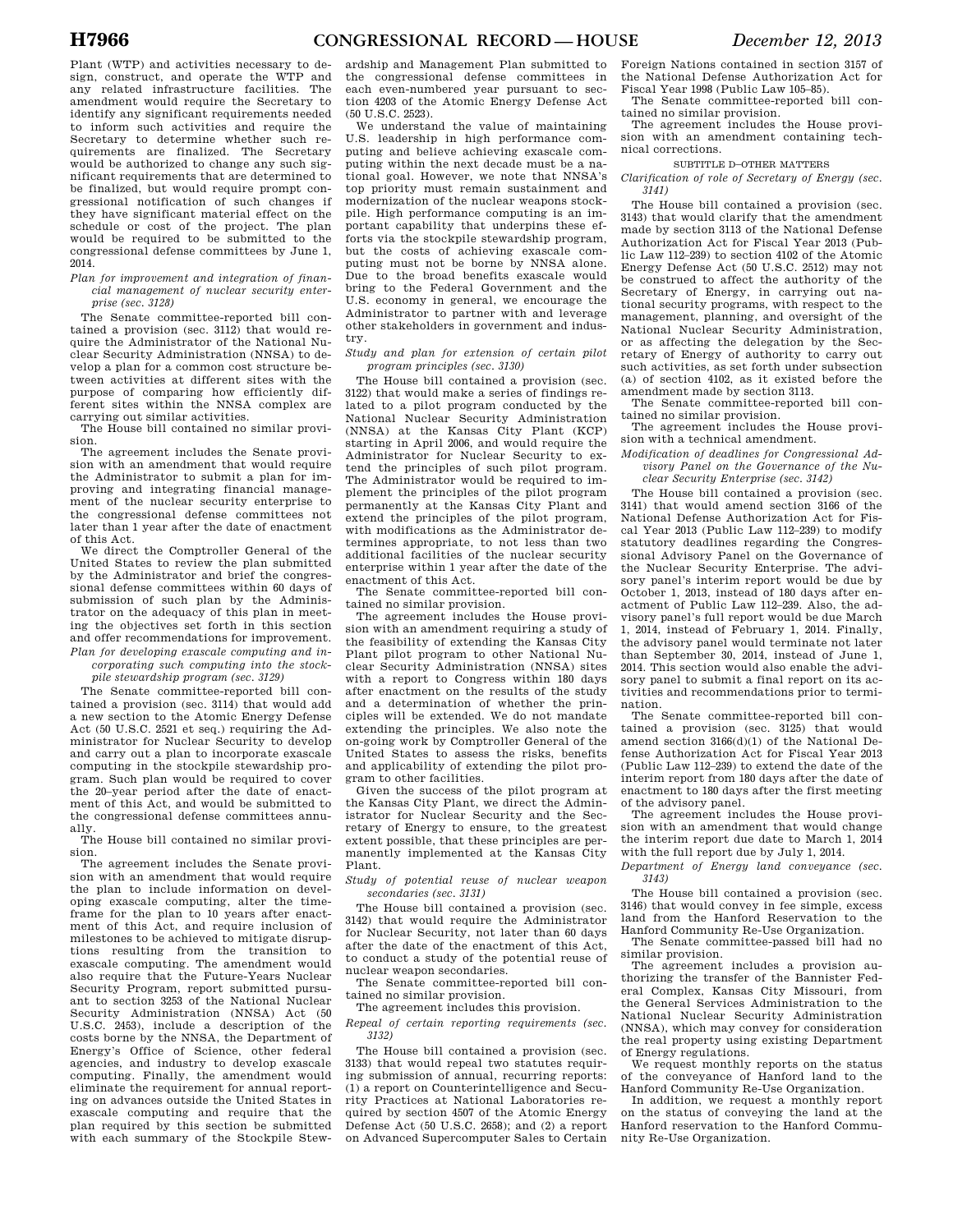Plant (WTP) and activities necessary to design, construct, and operate the WTP and any related infrastructure facilities. The amendment would require the Secretary to identify any significant requirements needed to inform such activities and require the Secretary to determine whether such requirements are finalized. The Secretary would be authorized to change any such significant requirements that are determined to be finalized, but would require prompt congressional notification of such changes if they have significant material effect on the schedule or cost of the project. The plan would be required to be submitted to the congressional defense committees by June 1, 2014.

#### *Plan for improvement and integration of financial management of nuclear security enterprise (sec. 3128)*

The Senate committee-reported bill contained a provision (sec. 3112) that would require the Administrator of the National Nuclear Security Administration (NNSA) to develop a plan for a common cost structure between activities at different sites with the purpose of comparing how efficiently different sites within the NNSA complex are carrying out similar activities.

The House bill contained no similar provision.

The agreement includes the Senate provision with an amendment that would require the Administrator to submit a plan for improving and integrating financial management of the nuclear security enterprise to the congressional defense committees not later than 1 year after the date of enactment of this Act.

We direct the Comptroller General of the United States to review the plan submitted by the Administrator and brief the congressional defense committees within 60 days of submission of such plan by the Administrator on the adequacy of this plan in meeting the objectives set forth in this section and offer recommendations for improvement. *Plan for developing exascale computing and in-*

*corporating such computing into the stockpile stewardship program (sec. 3129)* 

The Senate committee-reported bill contained a provision (sec. 3114) that would add a new section to the Atomic Energy Defense Act (50 U.S.C. 2521 et seq.) requiring the Administrator for Nuclear Security to develop and carry out a plan to incorporate exascale computing in the stockpile stewardship program. Such plan would be required to cover the 20–year period after the date of enactment of this Act, and would be submitted to the congressional defense committees annually.

The House bill contained no similar provision.

The agreement includes the Senate provision with an amendment that would require the plan to include information on developing exascale computing, alter the timeframe for the plan to 10 years after enactment of this Act, and require inclusion of milestones to be achieved to mitigate disruptions resulting from the transition to exascale computing. The amendment would also require that the Future-Years Nuclear Security Program, report submitted pursuant to section 3253 of the National Nuclear Security Administration (NNSA) Act (50 U.S.C. 2453), include a description of the costs borne by the NNSA, the Department of Energy's Office of Science, other federal agencies, and industry to develop exascale computing. Finally, the amendment would eliminate the requirement for annual reporting on advances outside the United States in exascale computing and require that the plan required by this section be submitted with each summary of the Stockpile Stew-

ardship and Management Plan submitted to the congressional defense committees in each even-numbered year pursuant to section 4203 of the Atomic Energy Defense Act (50 U.S.C. 2523).

We understand the value of maintaining U.S. leadership in high performance computing and believe achieving exascale computing within the next decade must be a national goal. However, we note that NNSA's top priority must remain sustainment and modernization of the nuclear weapons stockpile. High performance computing is an important capability that underpins these efforts via the stockpile stewardship program, but the costs of achieving exascale computing must not be borne by NNSA alone. Due to the broad benefits exascale would bring to the Federal Government and the U.S. economy in general, we encourage the Administrator to partner with and leverage other stakeholders in government and industry.

#### *Study and plan for extension of certain pilot program principles (sec. 3130)*

The House bill contained a provision (sec. 3122) that would make a series of findings related to a pilot program conducted by the National Nuclear Security Administration (NNSA) at the Kansas City Plant (KCP) starting in April 2006, and would require the Administrator for Nuclear Security to extend the principles of such pilot program. The Administrator would be required to implement the principles of the pilot program permanently at the Kansas City Plant and extend the principles of the pilot program, with modifications as the Administrator determines appropriate, to not less than two additional facilities of the nuclear security enterprise within 1 year after the date of the enactment of this Act.

The Senate committee-reported bill contained no similar provision.

The agreement includes the House provision with an amendment requiring a study of the feasibility of extending the Kansas City Plant pilot program to other National Nuclear Security Administration (NNSA) sites with a report to Congress within 180 days after enactment on the results of the study and a determination of whether the principles will be extended. We do not mandate extending the principles. We also note the on-going work by Comptroller General of the United States to assess the risks, benefits and applicability of extending the pilot program to other facilities.

Given the success of the pilot program at the Kansas City Plant, we direct the Administrator for Nuclear Security and the Secretary of Energy to ensure, to the greatest extent possible, that these principles are permanently implemented at the Kansas City Plant.

*Study of potential reuse of nuclear weapon secondaries (sec. 3131)* 

The House bill contained a provision (sec. 3142) that would require the Administrator for Nuclear Security, not later than 60 days after the date of the enactment of this Act, to conduct a study of the potential reuse of nuclear weapon secondaries.

The Senate committee-reported bill contained no similar provision.

The agreement includes this provision.

*Repeal of certain reporting requirements (sec. 3132)* 

The House bill contained a provision (sec. 3133) that would repeal two statutes requiring submission of annual, recurring reports: (1) a report on Counterintelligence and Security Practices at National Laboratories required by section 4507 of the Atomic Energy Defense Act (50 U.S.C. 2658); and (2) a report on Advanced Supercomputer Sales to Certain

Foreign Nations contained in section 3157 of the National Defense Authorization Act for Fiscal Year 1998 (Public Law 105–85).

The Senate committee-reported bill contained no similar provision.

The agreement includes the House provision with an amendment containing technical corrections.

#### SUBTITLE D–OTHER MATTERS

*Clarification of role of Secretary of Energy (sec. 3141)* 

The House bill contained a provision (sec. 3143) that would clarify that the amendment made by section 3113 of the National Defense Authorization Act for Fiscal Year 2013 (Public Law 112–239) to section 4102 of the Atomic Energy Defense Act (50 U.S.C. 2512) may not be construed to affect the authority of the Secretary of Energy, in carrying out national security programs, with respect to the management, planning, and oversight of the National Nuclear Security Administration, or as affecting the delegation by the Secretary of Energy of authority to carry out such activities, as set forth under subsection (a) of section 4102, as it existed before the amendment made by section 3113.

The Senate committee-reported bill contained no similar provision. The agreement includes the House provi-

sion with a technical amendment.

*Modification of deadlines for Congressional Advisory Panel on the Governance of the Nuclear Security Enterprise (sec. 3142)* 

The House bill contained a provision (sec. 3141) that would amend section 3166 of the National Defense Authorization Act for Fiscal Year 2013 (Public Law 112–239) to modify statutory deadlines regarding the Congressional Advisory Panel on the Governance of the Nuclear Security Enterprise. The advisory panel's interim report would be due by October 1, 2013, instead of 180 days after enactment of Public Law 112–239. Also, the advisory panel's full report would be due March 1, 2014, instead of February 1, 2014. Finally, the advisory panel would terminate not later than September 30, 2014, instead of June 1, 2014. This section would also enable the advisory panel to submit a final report on its activities and recommendations prior to termination.

The Senate committee-reported bill contained a provision (sec. 3125) that would amend section 3166(d)(1) of the National Defense Authorization Act for Fiscal Year 2013 (Public Law 112–239) to extend the date of the interim report from 180 days after the date of enactment to 180 days after the first meeting of the advisory panel.

The agreement includes the House provision with an amendment that would change the interim report due date to March 1, 2014 with the full report due by July 1, 2014.

*Department of Energy land conveyance (sec. 3143)* 

The House bill contained a provision (sec. 3146) that would convey in fee simple, excess land from the Hanford Reservation to the Hanford Community Re-Use Organization.

The Senate committee-passed bill had no similar provision.

The agreement includes a provision authorizing the transfer of the Bannister Federal Complex, Kansas City Missouri, from the General Services Administration to the National Nuclear Security Administration (NNSA), which may convey for consideration the real property using existing Department of Energy regulations.

We request monthly reports on the status of the conveyance of Hanford land to the Hanford Community Re-Use Organization.

In addition, we request a monthly report on the status of conveying the land at the Hanford reservation to the Hanford Community Re-Use Organization.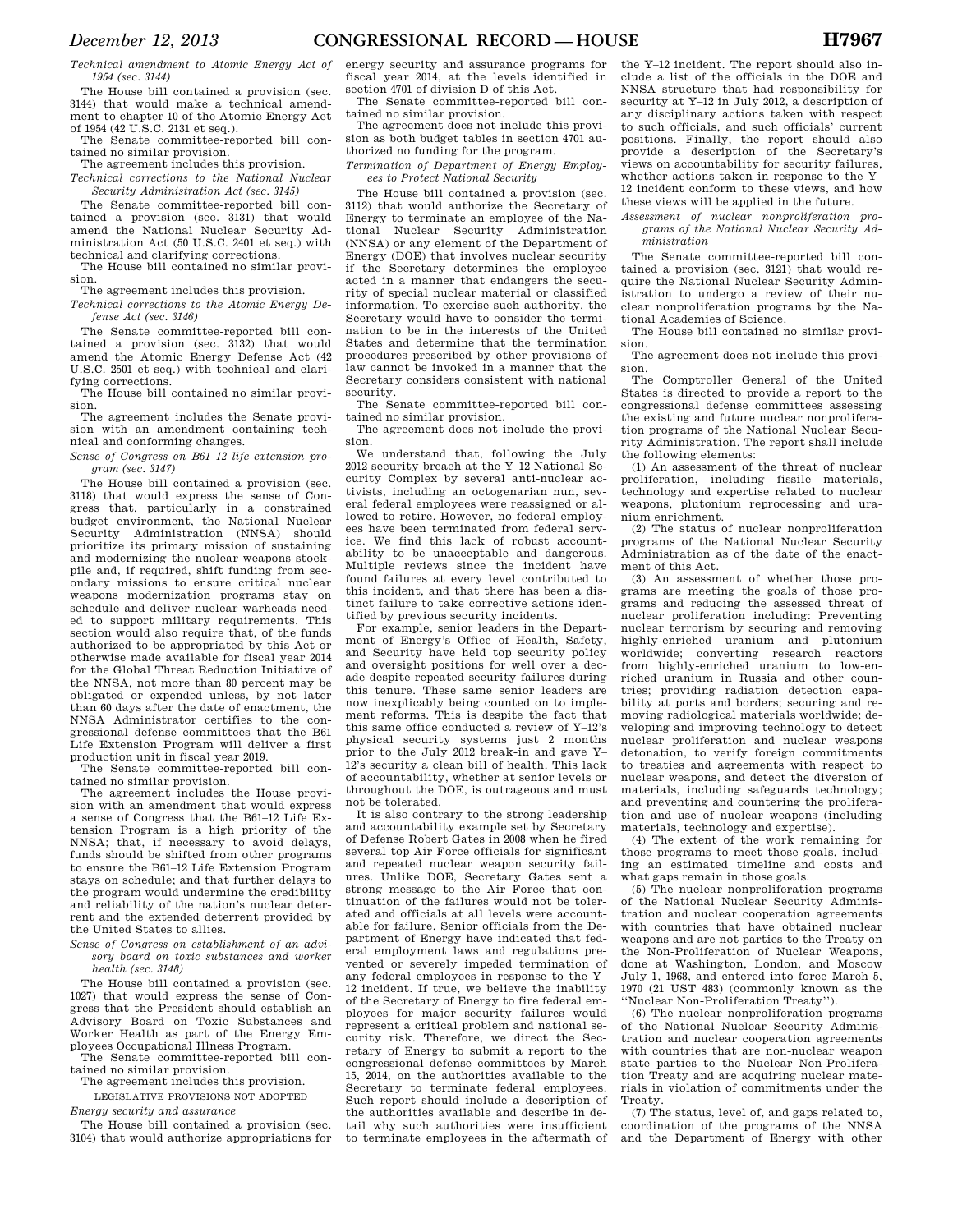*Technical amendment to Atomic Energy Act of 1954 (sec. 3144)* 

The House bill contained a provision (sec. 3144) that would make a technical amendment to chapter 10 of the Atomic Energy Act of 1954 (42 U.S.C. 2131 et seq.).

The Senate committee-reported bill contained no similar provision.

The agreement includes this provision. *Technical corrections to the National Nuclear* 

*Security Administration Act (sec. 3145)* 

The Senate committee-reported bill contained a provision (sec. 3131) that would amend the National Nuclear Security Administration Act (50 U.S.C. 2401 et seq.) with technical and clarifying corrections.

The House bill contained no similar provision.

The agreement includes this provision.

*Technical corrections to the Atomic Energy Defense Act (sec. 3146)* 

The Senate committee-reported bill contained a provision (sec. 3132) that would amend the Atomic Energy Defense Act (42 U.S.C. 2501 et seq.) with technical and clarifying corrections.

The House bill contained no similar provision.

The agreement includes the Senate provision with an amendment containing technical and conforming changes.

*Sense of Congress on B61–12 life extension program (sec. 3147)* 

The House bill contained a provision (sec. 3118) that would express the sense of Congress that, particularly in a constrained budget environment, the National Nuclear Security Administration (NNSA) should prioritize its primary mission of sustaining and modernizing the nuclear weapons stockpile and, if required, shift funding from secondary missions to ensure critical nuclear weapons modernization programs stay on schedule and deliver nuclear warheads needed to support military requirements. This section would also require that, of the funds authorized to be appropriated by this Act or otherwise made available for fiscal year 2014 for the Global Threat Reduction Initiative of the NNSA, not more than 80 percent may be obligated or expended unless, by not later than 60 days after the date of enactment, the NNSA Administrator certifies to the congressional defense committees that the B61 Life Extension Program will deliver a first production unit in fiscal year 2019.

The Senate committee-reported bill contained no similar provision.

The agreement includes the House provision with an amendment that would express a sense of Congress that the B61–12 Life Extension Program is a high priority of the NNSA; that, if necessary to avoid delays, funds should be shifted from other programs to ensure the B61–12 Life Extension Program stays on schedule; and that further delays to the program would undermine the credibility and reliability of the nation's nuclear deterrent and the extended deterrent provided by the United States to allies.

*Sense of Congress on establishment of an advisory board on toxic substances and worker health (sec. 3148)* 

The House bill contained a provision (sec. 1027) that would express the sense of Congress that the President should establish an Advisory Board on Toxic Substances and Worker Health as part of the Energy Employees Occupational Illness Program.

The Senate committee-reported bill contained no similar provision. The agreement includes this provision.

LEGISLATIVE PROVISIONS NOT ADOPTED

*Energy security and assurance* 

The House bill contained a provision (sec. 3104) that would authorize appropriations for energy security and assurance programs for fiscal year 2014, at the levels identified in section 4701 of division D of this Act.

The Senate committee-reported bill contained no similar provision.

The agreement does not include this provision as both budget tables in section 4701 authorized no funding for the program.

*Termination of Department of Energy Employees to Protect National Security* 

The House bill contained a provision (sec. 3112) that would authorize the Secretary of Energy to terminate an employee of the National Nuclear Security Administration (NNSA) or any element of the Department of Energy (DOE) that involves nuclear security if the Secretary determines the employee acted in a manner that endangers the security of special nuclear material or classified information. To exercise such authority, the Secretary would have to consider the termination to be in the interests of the United States and determine that the termination procedures prescribed by other provisions of law cannot be invoked in a manner that the Secretary considers consistent with national security.

The Senate committee-reported bill contained no similar provision.

The agreement does not include the provision.

We understand that, following the July 2012 security breach at the Y–12 National Security Complex by several anti-nuclear activists, including an octogenarian nun, several federal employees were reassigned or allowed to retire. However, no federal employees have been terminated from federal service. We find this lack of robust accountability to be unacceptable and dangerous. Multiple reviews since the incident have found failures at every level contributed to this incident, and that there has been a distinct failure to take corrective actions identified by previous security incidents.

For example, senior leaders in the Department of Energy's Office of Health, Safety, and Security have held top security policy and oversight positions for well over a decade despite repeated security failures during this tenure. These same senior leaders are now inexplicably being counted on to implement reforms. This is despite the fact that this same office conducted a review of Y–12's physical security systems just 2 months prior to the July 2012 break-in and gave Y– 12's security a clean bill of health. This lack of accountability, whether at senior levels or throughout the DOE, is outrageous and must not be tolerated.

It is also contrary to the strong leadership and accountability example set by Secretary of Defense Robert Gates in 2008 when he fired several top Air Force officials for significant and repeated nuclear weapon security failures. Unlike DOE, Secretary Gates sent a strong message to the Air Force that continuation of the failures would not be tolerated and officials at all levels were accountable for failure. Senior officials from the Department of Energy have indicated that federal employment laws and regulations prevented or severely impeded termination of any federal employees in response to the Y– 12 incident. If true, we believe the inability of the Secretary of Energy to fire federal employees for major security failures would represent a critical problem and national security risk. Therefore, we direct the Secretary of Energy to submit a report to the congressional defense committees by March 15, 2014, on the authorities available to the Secretary to terminate federal employees. Such report should include a description of the authorities available and describe in detail why such authorities were insufficient to terminate employees in the aftermath of

the Y–12 incident. The report should also include a list of the officials in the DOE and NNSA structure that had responsibility for security at Y–12 in July 2012, a description of any disciplinary actions taken with respect to such officials, and such officials' current positions. Finally, the report should also provide a description of the Secretary's views on accountability for security failures, whether actions taken in response to the Y– 12 incident conform to these views, and how these views will be applied in the future.

*Assessment of nuclear nonproliferation programs of the National Nuclear Security Administration* 

The Senate committee-reported bill contained a provision (sec. 3121) that would require the National Nuclear Security Administration to undergo a review of their nuclear nonproliferation programs by the National Academies of Science.

The House bill contained no similar provision.

The agreement does not include this provision.

The Comptroller General of the United States is directed to provide a report to the congressional defense committees assessing the existing and future nuclear nonproliferation programs of the National Nuclear Security Administration. The report shall include the following elements:

(1) An assessment of the threat of nuclear proliferation, including fissile materials, technology and expertise related to nuclear weapons, plutonium reprocessing and uranium enrichment.

(2) The status of nuclear nonproliferation programs of the National Nuclear Security Administration as of the date of the enactment of this Act.

(3) An assessment of whether those programs are meeting the goals of those programs and reducing the assessed threat of nuclear proliferation including: Preventing nuclear terrorism by securing and removing highly-enriched uranium and plutonium worldwide; converting research reactors from highly-enriched uranium to low-enriched uranium in Russia and other countries; providing radiation detection capability at ports and borders; securing and removing radiological materials worldwide; developing and improving technology to detect nuclear proliferation and nuclear weapons detonation, to verify foreign commitments to treaties and agreements with respect to nuclear weapons, and detect the diversion of materials, including safeguards technology; and preventing and countering the proliferation and use of nuclear weapons (including materials, technology and expertise).

(4) The extent of the work remaining for those programs to meet those goals, including an estimated timeline and costs and what gaps remain in those goals.

(5) The nuclear nonproliferation programs of the National Nuclear Security Administration and nuclear cooperation agreements with countries that have obtained nuclear weapons and are not parties to the Treaty on the Non-Proliferation of Nuclear Weapons, done at Washington, London, and Moscow July 1, 1968, and entered into force March 5, 1970 (21 UST 483) (commonly known as the ''Nuclear Non-Proliferation Treaty'').

(6) The nuclear nonproliferation programs of the National Nuclear Security Administration and nuclear cooperation agreements with countries that are non-nuclear weapon state parties to the Nuclear Non-Proliferation Treaty and are acquiring nuclear materials in violation of commitments under the Treaty.

(7) The status, level of, and gaps related to, coordination of the programs of the NNSA and the Department of Energy with other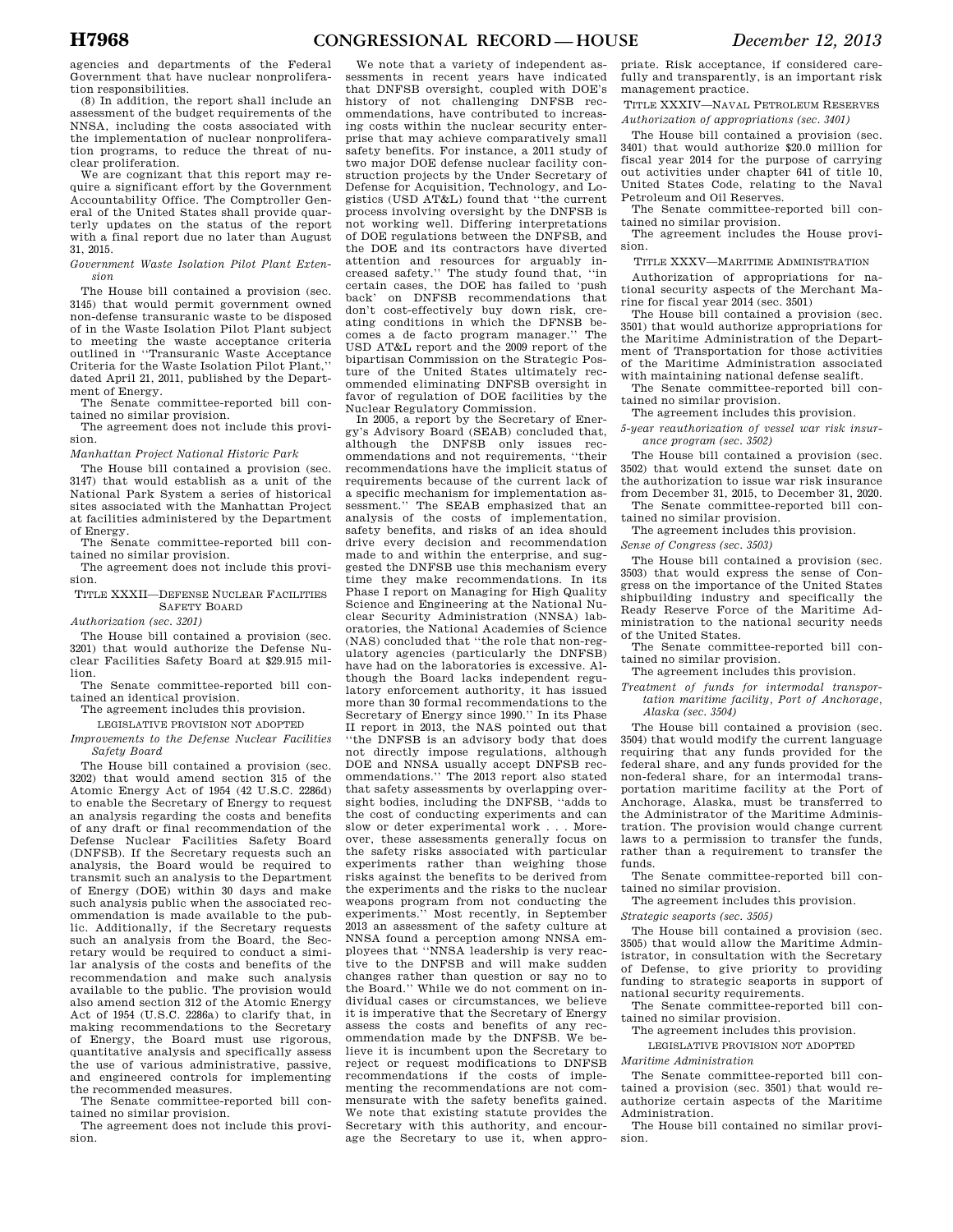agencies and departments of the Federal Government that have nuclear nonproliferation responsibilities.

(8) In addition, the report shall include an assessment of the budget requirements of the NNSA, including the costs associated with the implementation of nuclear nonproliferation programs, to reduce the threat of nuclear proliferation.

We are cognizant that this report may require a significant effort by the Government Accountability Office. The Comptroller General of the United States shall provide quarterly updates on the status of the report with a final report due no later than August 31, 2015.

*Government Waste Isolation Pilot Plant Extension* 

The House bill contained a provision (sec. 3145) that would permit government owned non-defense transuranic waste to be disposed of in the Waste Isolation Pilot Plant subject to meeting the waste acceptance criteria outlined in ''Transuranic Waste Acceptance Criteria for the Waste Isolation Pilot Plant,'' dated April 21, 2011, published by the Department of Energy.

The Senate committee-reported bill contained no similar provision.

The agreement does not include this provision.

*Manhattan Project National Historic Park* 

The House bill contained a provision (sec. 3147) that would establish as a unit of the National Park System a series of historical sites associated with the Manhattan Project at facilities administered by the Department of Energy.

The Senate committee-reported bill contained no similar provision.

The agreement does not include this provision.

TITLE XXXII—DEFENSE NUCLEAR FACILITIES SAFETY BOARD

*Authorization (sec. 3201)* 

The House bill contained a provision (sec. 3201) that would authorize the Defense Nuclear Facilities Safety Board at \$29.915 million.

The Senate committee-reported bill contained an identical provision.

The agreement includes this provision.

LEGISLATIVE PROVISION NOT ADOPTED

*Improvements to the Defense Nuclear Facilities Safety Board* 

The House bill contained a provision (sec. 3202) that would amend section 315 of the Atomic Energy Act of 1954 (42 U.S.C. 2286d) to enable the Secretary of Energy to request an analysis regarding the costs and benefits of any draft or final recommendation of the Defense Nuclear Facilities Safety Board (DNFSB). If the Secretary requests such an analysis, the Board would be required to transmit such an analysis to the Department of Energy (DOE) within 30 days and make such analysis public when the associated recommendation is made available to the public. Additionally, if the Secretary requests such an analysis from the Board, the Secretary would be required to conduct a similar analysis of the costs and benefits of the recommendation and make such analysis available to the public. The provision would also amend section 312 of the Atomic Energy Act of 1954 (U.S.C. 2286a) to clarify that, in making recommendations to the Secretary of Energy, the Board must use rigorous, quantitative analysis and specifically assess the use of various administrative, passive, and engineered controls for implementing the recommended measures.

The Senate committee-reported bill contained no similar provision.

The agreement does not include this provision.

We note that a variety of independent assessments in recent years have indicated that DNFSB oversight, coupled with DOE's history of not challenging DNFSB recommendations, have contributed to increasing costs within the nuclear security enterprise that may achieve comparatively small safety benefits. For instance, a 2011 study of two major DOE defense nuclear facility construction projects by the Under Secretary of Defense for Acquisition, Technology, and Logistics (USD AT&L) found that ''the current process involving oversight by the DNFSB is not working well. Differing interpretations of DOE regulations between the DNFSB, and the DOE and its contractors have diverted attention and resources for arguably increased safety.'' The study found that, ''in certain cases, the DOE has failed to 'push back' on DNFSB recommendations that don't cost-effectively buy down risk, creating conditions in which the DFNSB be-<br>comes a de facto program manager." The comes a de facto program manager." USD AT&L report and the 2009 report of the bipartisan Commission on the Strategic Posture of the United States ultimately recommended eliminating DNFSB oversight in favor of regulation of DOE facilities by the Nuclear Regulatory Commission.

In 2005, a report by the Secretary of Energy's Advisory Board (SEAB) concluded that, although the DNFSB only issues recommendations and not requirements, ''their recommendations have the implicit status of requirements because of the current lack of a specific mechanism for implementation assessment.'' The SEAB emphasized that an analysis of the costs of implementation, safety benefits, and risks of an idea should drive every decision and recommendation made to and within the enterprise, and suggested the DNFSB use this mechanism every time they make recommendations. In its Phase I report on Managing for High Quality Science and Engineering at the National Nuclear Security Administration (NNSA) laboratories, the National Academies of Science (NAS) concluded that ''the role that non-regulatory agencies (particularly the DNFSB) have had on the laboratories is excessive. Although the Board lacks independent regulatory enforcement authority, it has issued more than 30 formal recommendations to the Secretary of Energy since 1990.'' In its Phase II report in 2013, the NAS pointed out that ''the DNFSB is an advisory body that does not directly impose regulations, although DOE and NNSA usually accept DNFSB recommendations.'' The 2013 report also stated that safety assessments by overlapping oversight bodies, including the DNFSB, ''adds to the cost of conducting experiments and can slow or deter experimental work . . . Moreover, these assessments generally focus on the safety risks associated with particular experiments rather than weighing those risks against the benefits to be derived from the experiments and the risks to the nuclear weapons program from not conducting the experiments.'' Most recently, in September 2013 an assessment of the safety culture at NNSA found a perception among NNSA employees that ''NNSA leadership is very reactive to the DNFSB and will make sudden changes rather than question or say no to the Board.'' While we do not comment on individual cases or circumstances, we believe it is imperative that the Secretary of Energy assess the costs and benefits of any recommendation made by the DNFSB. We believe it is incumbent upon the Secretary to reject or request modifications to DNFSB recommendations if the costs of implementing the recommendations are not commensurate with the safety benefits gained. We note that existing statute provides the Secretary with this authority, and encourage the Secretary to use it, when appro-

priate. Risk acceptance, if considered carefully and transparently, is an important risk management practice.

TITLE XXXIV—NAVAL PETROLEUM RESERVES *Authorization of appropriations (sec. 3401)* 

The House bill contained a provision (sec. 3401) that would authorize \$20.0 million for fiscal year 2014 for the purpose of carrying out activities under chapter 641 of title 10, United States Code, relating to the Naval Petroleum and Oil Reserves.

The Senate committee-reported bill contained no similar provision.

The agreement includes the House provision.

TITLE XXXV—MARITIME ADMINISTRATION

Authorization of appropriations for national security aspects of the Merchant Marine for fiscal year 2014 (sec. 3501)

The House bill contained a provision (sec. 3501) that would authorize appropriations for the Maritime Administration of the Department of Transportation for those activities of the Maritime Administration associated with maintaining national defense sealift.

The Senate committee-reported bill contained no similar provision.

The agreement includes this provision.

*5-year reauthorization of vessel war risk insurance program (sec. 3502)* 

The House bill contained a provision (sec. 3502) that would extend the sunset date on the authorization to issue war risk insurance from December 31, 2015, to December 31, 2020.

The Senate committee-reported bill contained no similar provision.

The agreement includes this provision.

*Sense of Congress (sec. 3503)* 

The House bill contained a provision (sec. 3503) that would express the sense of Congress on the importance of the United States shipbuilding industry and specifically the Ready Reserve Force of the Maritime Administration to the national security needs of the United States.

The Senate committee-reported bill contained no similar provision.

The agreement includes this provision.

*Treatment of funds for intermodal transportation maritime facility, Port of Anchorage, Alaska (sec. 3504)* 

The House bill contained a provision (sec. 3504) that would modify the current language requiring that any funds provided for the federal share, and any funds provided for the non-federal share, for an intermodal transportation maritime facility at the Port of Anchorage, Alaska, must be transferred to the Administrator of the Maritime Administration. The provision would change current laws to a permission to transfer the funds, rather than a requirement to transfer the funds.

The Senate committee-reported bill contained no similar provision.

The agreement includes this provision.

*Strategic seaports (sec. 3505)* 

The House bill contained a provision (sec. 3505) that would allow the Maritime Administrator, in consultation with the Secretary of Defense, to give priority to providing funding to strategic seaports in support of national security requirements.

The Senate committee-reported bill contained no similar provision.

The agreement includes this provision.

LEGISLATIVE PROVISION NOT ADOPTED

#### *Maritime Administration*

The Senate committee-reported bill contained a provision (sec. 3501) that would reauthorize certain aspects of the Maritime Administration.

The House bill contained no similar provision.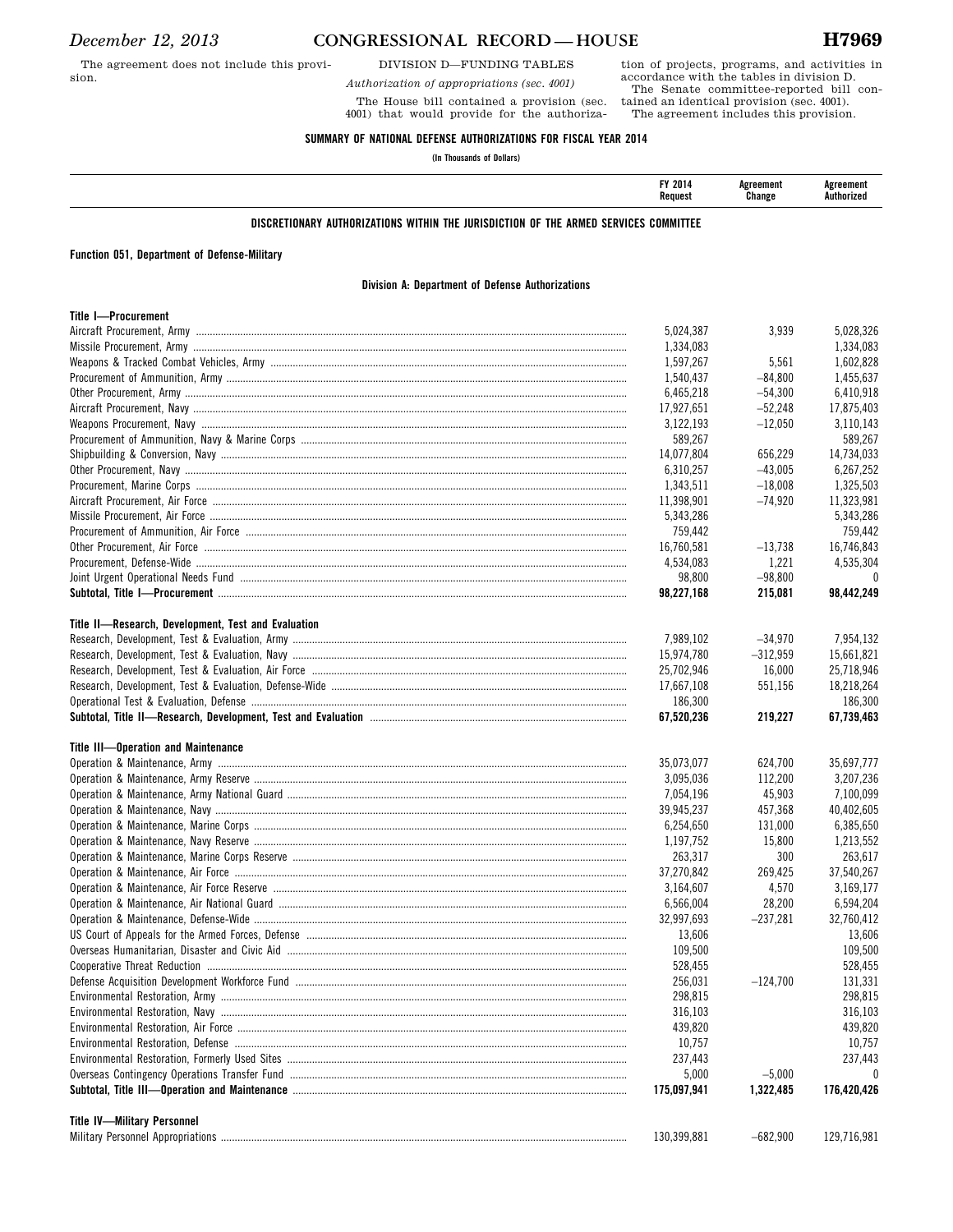The agreement does not include this provision.

### *December 12, 2013* **CONGRESSIONAL RECORD**—HOUSE **H7969**

DIVISION D—FUNDING TABLES

*Authorization of appropriations (sec. 4001)* 

The House bill contained a provision (sec. 4001) that would provide for the authoriza-

accordance with the tables in division D. The Senate committee-reported bill contained an identical provision (sec. 4001). The agreement includes this provision.

tion of projects, programs, and activities in

#### **SUMMARY OF NATIONAL DEFENSE AUTHORIZATIONS FOR FISCAL YEAR 2014**

**(In Thousands of Dollars)** 

| FY 2014<br>Request | ^oreement<br>Change | ement -<br><b>\uthorized</b> |
|--------------------|---------------------|------------------------------|
|                    |                     |                              |

#### **DISCRETIONARY AUTHORIZATIONS WITHIN THE JURISDICTION OF THE ARMED SERVICES COMMITTEE**

#### **Function 051, Department of Defense-Military**

#### **Division A: Department of Defense Authorizations**

|                                                     | 5,024,387   | 3,939      | 5.028.326   |
|-----------------------------------------------------|-------------|------------|-------------|
|                                                     | 1,334,083   |            | 1,334,083   |
|                                                     | 1,597,267   | 5,561      | 1,602,828   |
|                                                     | 1.540.437   | $-84,800$  | 1,455,637   |
|                                                     | 6,465,218   | $-54,300$  | 6,410,918   |
|                                                     | 17.927.651  | $-52,248$  | 17,875,403  |
|                                                     | 3,122,193   | $-12,050$  | 3,110,143   |
|                                                     | 589,267     |            | 589,267     |
|                                                     | 14,077,804  | 656,229    | 14,734,033  |
|                                                     | 6,310,257   | $-43,005$  | 6,267,252   |
|                                                     | 1,343,511   | $-18,008$  | 1,325,503   |
|                                                     | 11,398,901  | $-74,920$  | 11,323,981  |
|                                                     | 5,343,286   |            | 5,343,286   |
|                                                     | 759,442     |            | 759,442     |
|                                                     | 16,760,581  | $-13,738$  | 16.746.843  |
|                                                     | 4,534,083   | 1,221      | 4,535,304   |
|                                                     | 98,800      | $-98,800$  | $\theta$    |
|                                                     | 98,227,168  | 215,081    | 98,442,249  |
|                                                     |             |            |             |
| Title II-Research, Development, Test and Evaluation |             |            |             |
|                                                     | 7,989,102   | $-34,970$  | 7,954,132   |
|                                                     | 15,974,780  | $-312,959$ | 15.661.821  |
|                                                     | 25,702,946  | 16,000     | 25,718,946  |
|                                                     | 17,667,108  | 551,156    | 18,218,264  |
|                                                     | 186,300     |            | 186,300     |
|                                                     | 67,520,236  | 219,227    | 67,739,463  |
|                                                     |             |            |             |
| Title III-Operation and Maintenance                 |             |            |             |
|                                                     | 35,073,077  | 624,700    | 35.697.777  |
|                                                     | 3,095,036   | 112,200    | 3,207,236   |
|                                                     | 7,054,196   | 45,903     | 7,100,099   |
|                                                     | 39,945,237  | 457,368    | 40,402,605  |
|                                                     | 6,254,650   | 131,000    | 6,385,650   |
|                                                     | 1,197,752   | 15,800     | 1,213,552   |
|                                                     | 263,317     | 300        | 263,617     |
|                                                     | 37,270,842  | 269,425    | 37,540,267  |
|                                                     | 3,164,607   | 4,570      | 3,169,177   |
|                                                     | 6,566,004   | 28,200     | 6,594,204   |
|                                                     | 32,997,693  | $-237,281$ | 32,760,412  |
|                                                     | 13,606      |            | 13,606      |
|                                                     | 109,500     |            | 109,500     |
|                                                     | 528,455     |            | 528,455     |
|                                                     | 256,031     | $-124,700$ | 131,331     |
|                                                     | 298,815     |            | 298,815     |
|                                                     | 316,103     |            | 316,103     |
|                                                     | 439,820     |            | 439,820     |
|                                                     | 10,757      |            | 10,757      |
|                                                     | 237,443     |            | 237,443     |
|                                                     | 5,000       | $-5,000$   |             |
|                                                     | 175,097,941 | 1,322,485  | 176,420,426 |
|                                                     |             |            |             |
| <b>Title IV-Military Personnel</b>                  |             |            |             |
|                                                     | 130,399,881 | $-682,900$ | 129,716,981 |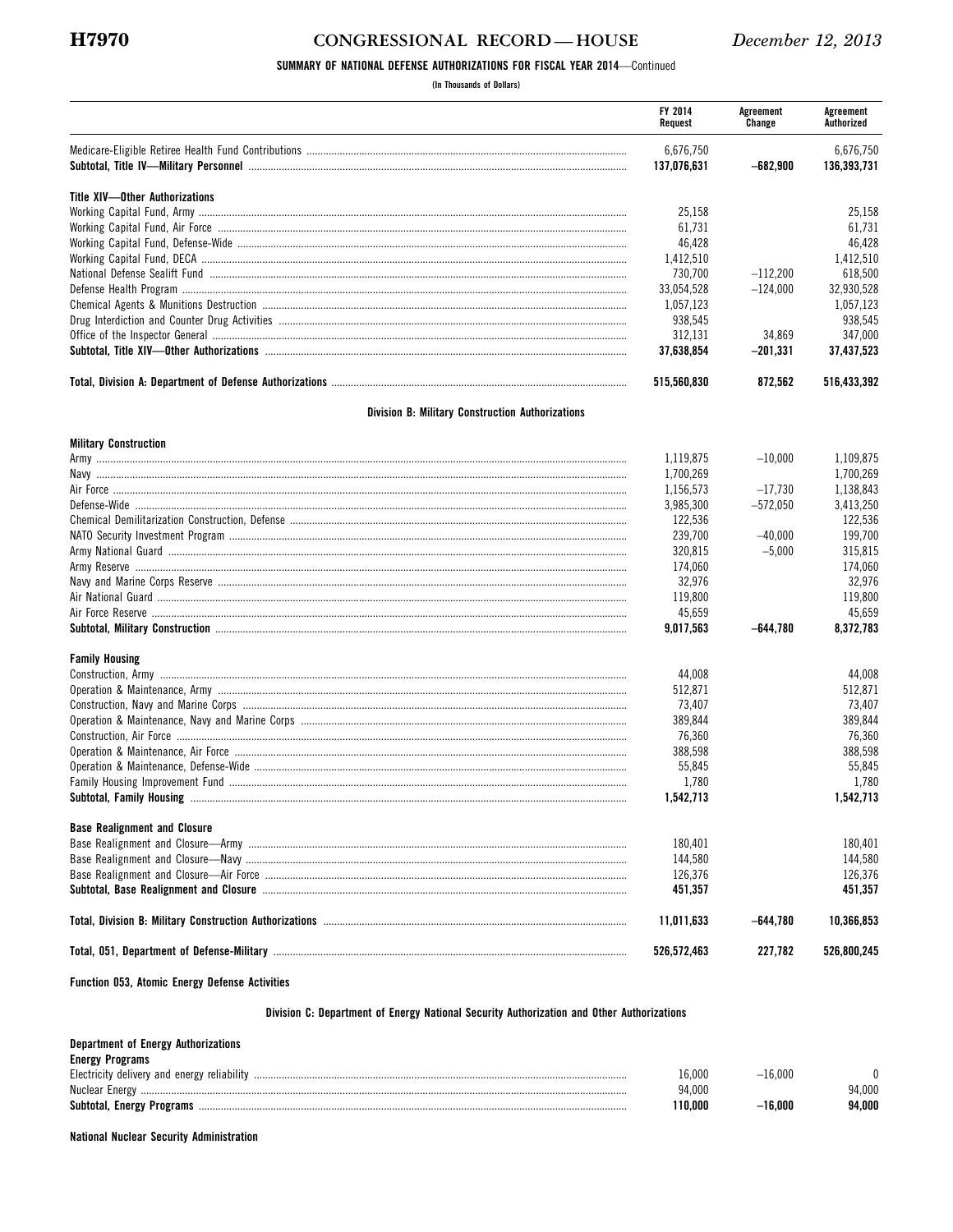### CONGRESSIONAL RECORD-HOUSE

#### SUMMARY OF NATIONAL DEFENSE AUTHORIZATIONS FOR FISCAL YEAR 2014-Continued

(In Thousands of Dollars)

|                                                         | FY 2014<br>Request | Agreement<br>Change | Agreement<br>Authorized |
|---------------------------------------------------------|--------------------|---------------------|-------------------------|
|                                                         | 6,676,750          |                     | 6,676,750               |
|                                                         | 137,076,631        | $-682,900$          | 136,393,731             |
| <b>Title XIV-Other Authorizations</b>                   |                    |                     |                         |
|                                                         | 25,158             |                     | 25,158                  |
|                                                         | 61,731             |                     | 61,731                  |
|                                                         | 46,428             |                     | 46,428                  |
|                                                         | 1,412,510          |                     | 1,412,510               |
|                                                         | 730.700            | $-112.200$          | 618,500                 |
|                                                         | 33,054,528         | $-124.000$          | 32.930.528              |
|                                                         | 1,057,123          |                     | 1,057,123               |
|                                                         | 938,545            |                     | 938,545                 |
|                                                         | 312,131            | 34.869              | 347,000                 |
|                                                         | 37.638.854         | $-201.331$          | 37,437,523              |
|                                                         | 515,560,830        | 872,562             | 516,433,392             |
| <b>Division B: Military Construction Authorizations</b> |                    |                     |                         |
| <b>Military Construction</b>                            |                    |                     |                         |
|                                                         | 1,119,875          | $-10.000$           | 1,109,875               |
|                                                         | 1,700,269          |                     | 1,700,269               |
|                                                         | 1,156,573          | $-17.730$           | 1,138,843               |
|                                                         | 3,985,300          | $-572.050$          | 3,413,250               |
|                                                         | 122,536            |                     | 122,536                 |
|                                                         | 239.700            | $-40.000$           | 199.700                 |
|                                                         | 320.815            | $-5,000$            | 315,815                 |
|                                                         | 174.060            |                     | 174.060                 |

| <b>Family Housing</b> |           |          |          |
|-----------------------|-----------|----------|----------|
|                       | 9.017.563 | -644.780 | .372.783 |
| Air Force Reserve     | 45.659    |          | 45.659   |
| Air National Guard    | 119.800   |          | 19.800   |
|                       | 32.976    |          | 32.976   |
|                       |           |          |          |

|                                     | 44.008     | 44.008     |
|-------------------------------------|------------|------------|
|                                     | 512.871    | 512.871    |
|                                     | 73.407     | 73.407     |
|                                     | 389.844    | 389.844    |
|                                     | 76.360     | 76.360     |
|                                     | 388,598    | 388.598    |
|                                     | 55.845     | 55.845     |
|                                     | 1.780      | 1.780      |
|                                     | .542.713   | 1.542.713  |
| <b>Base Realignment and Closure</b> |            |            |
|                                     | 180.401    | 180.401    |
|                                     | 144.580    | 144.580    |
|                                     | 126.376    | 126.376    |
|                                     | 451.357    | 451.357    |
|                                     | 11.011.633 | 10.366.853 |

#### Function 053, Atomic Energy Defense Activities

#### Division C: Department of Energy National Security Authorization and Other Authorizations

526,572,463

. . . . .

227,782

526,800,245

#### **Department of Energy Authorizations**

| <b>Energy Programs</b>                      |         |        |        |
|---------------------------------------------|---------|--------|--------|
| Electricity delivery and energy reliability | 16.000  | 16.000 |        |
| Nuclear Energy                              | 94.000  |        | 94.000 |
| Subtotal, Energy Programs                   | 110.000 | 16.000 | 94.000 |

#### **National Nuclear Security Administration**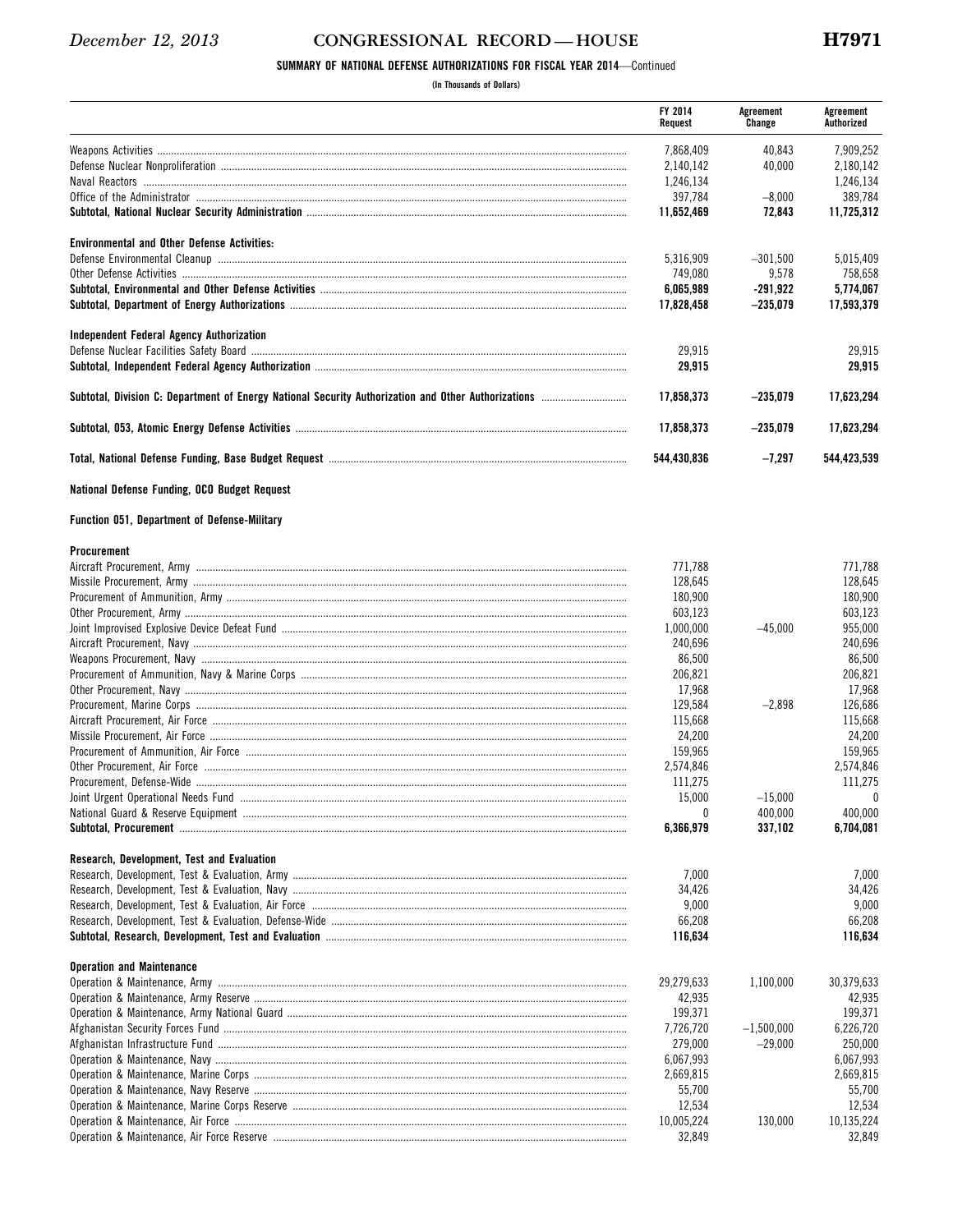#### CONGRESSIONAL RECORD-HOUSE

#### SUMMARY OF NATIONAL DEFENSE AUTHORIZATIONS FOR FISCAL YEAR 2014-Continued

(In Thousands of Dollars)

|                                                     | FY 2014<br>Request | Agreement<br>Change | Agreement<br>Authorized |
|-----------------------------------------------------|--------------------|---------------------|-------------------------|
|                                                     | 7.868.409          | 40,843              | 7,909,252               |
|                                                     | 2,140,142          | 40,000              | 2,180,142               |
|                                                     | 1,246,134          |                     | 1,246,134               |
|                                                     | 397,784            | $-8,000$            | 389,784                 |
|                                                     | 11,652,469         | 72,843              | 11,725,312              |
| <b>Environmental and Other Defense Activities:</b>  |                    |                     |                         |
|                                                     | 5,316,909          | $-301,500$          | 5,015,409               |
|                                                     | 749,080            | 9,578               | 758,658                 |
|                                                     | 6,065,989          | -291,922            | 5,774,067               |
|                                                     | 17,828,458         | $-235,079$          | 17,593,379              |
|                                                     |                    |                     |                         |
| Independent Federal Agency Authorization            |                    |                     |                         |
|                                                     | 29,915<br>29,915   |                     | 29,915<br>29,915        |
|                                                     | 17,858,373         | $-235.079$          | 17,623,294              |
|                                                     |                    |                     |                         |
|                                                     | 17,858,373         | $-235.079$          | 17,623,294              |
|                                                     | 544,430,836        | $-7,297$            | 544,423,539             |
| National Defense Funding, OCO Budget Request        |                    |                     |                         |
| <b>Function 051, Department of Defense-Military</b> |                    |                     |                         |
| Procurement                                         |                    |                     |                         |
|                                                     | 771,788            |                     | 771,788                 |
|                                                     | 128,645            |                     | 128,645                 |
|                                                     | 180,900            |                     | 180,900                 |
|                                                     | 603,123            |                     | 603,123                 |
|                                                     | 1,000,000          | $-45,000$           | 955,000                 |
|                                                     | 240,696            |                     | 240,696                 |
|                                                     | 86,500             |                     | 86,500                  |
|                                                     | 206,821            |                     | 206,821                 |
|                                                     | 17,968             |                     | 17,968                  |
|                                                     | 129,584            | $-2,898$            | 126,686                 |
|                                                     | 115,668            |                     | 115,668                 |
|                                                     | 24,200             |                     | 24,200                  |
|                                                     | 159,965            |                     | 159,965                 |
|                                                     | 2,574,846          |                     | 2,574,846               |
|                                                     | 111,275            |                     | 111,275                 |
|                                                     | 15,000             | $-15,000$           | $\bf{0}$                |
|                                                     | 0                  | 400,000             | 400,000                 |
|                                                     | 6,366,979          | 337,102             | 6,704,081               |
| Research, Development, Test and Evaluation          |                    |                     |                         |
|                                                     | 7,000              |                     | 7,000                   |
|                                                     | 34,426             |                     | 34,426                  |
|                                                     | 9,000              |                     | 9,000                   |
|                                                     | 66,208             |                     | 66,208                  |
|                                                     | 116,634            |                     | 116,634                 |
| <b>Operation and Maintenance</b>                    |                    |                     |                         |
|                                                     | 29,279,633         | 1,100,000           | 30,379,633              |
|                                                     | 42,935             |                     | 42,935                  |
|                                                     | 199,371            |                     | 199,371                 |
|                                                     | 7,726,720          | $-1,500,000$        | 6,226,720               |
|                                                     | 279,000            | $-29,000$           | 250,000                 |
|                                                     | 6,067,993          |                     | 6,067,993               |

2,669,815

10,005,224

55,700

12,534

32,849

130,000

2,669,815

10,135,224

55,700

12,534

32,849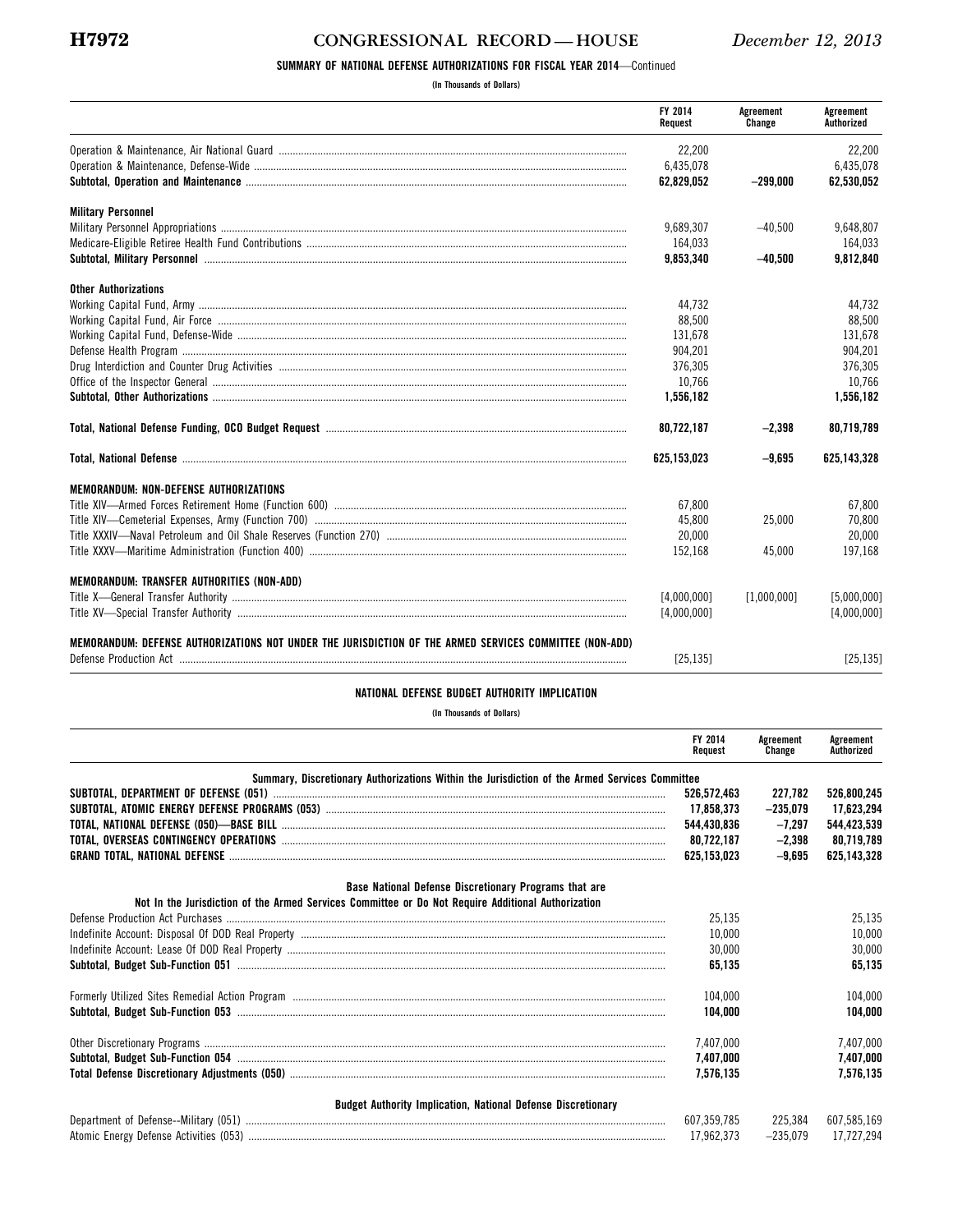### **H7972 CONGRESSIONAL RECORD — HOUSE** *December 12, 2013*

#### **SUMMARY OF NATIONAL DEFENSE AUTHORIZATIONS FOR FISCAL YEAR 2014**—Continued

**(In Thousands of Dollars)** 

|                                                                                                                                                                                                                                | FY 2014<br>Request | Agreement<br>Change | Agreement<br>Authorized |
|--------------------------------------------------------------------------------------------------------------------------------------------------------------------------------------------------------------------------------|--------------------|---------------------|-------------------------|
|                                                                                                                                                                                                                                | 22.200             |                     | 22.200                  |
|                                                                                                                                                                                                                                | 6,435,078          |                     | 6.435.078               |
|                                                                                                                                                                                                                                | 62,829,052         | $-299,000$          | 62,530,052              |
| <b>Military Personnel</b>                                                                                                                                                                                                      |                    |                     |                         |
|                                                                                                                                                                                                                                | 9,689,307          | $-40,500$           | 9,648,807               |
|                                                                                                                                                                                                                                | 164,033            |                     | 164,033                 |
| Subtotal, Military Personnel manufactured and the control of the control of the control of the control of the control of the control of the control of the control of the control of the control of the control of the control | 9,853,340          | $-40,500$           | 9,812,840               |
| <b>Other Authorizations</b>                                                                                                                                                                                                    |                    |                     |                         |
|                                                                                                                                                                                                                                | 44,732             |                     | 44,732                  |
|                                                                                                                                                                                                                                | 88,500             |                     | 88,500                  |
|                                                                                                                                                                                                                                | 131.678            |                     | 131.678                 |
|                                                                                                                                                                                                                                | 904,201            |                     | 904,201                 |
|                                                                                                                                                                                                                                | 376,305            |                     | 376,305                 |
|                                                                                                                                                                                                                                | 10,766             |                     | 10.766                  |
|                                                                                                                                                                                                                                | 1,556,182          |                     | 1,556,182               |
|                                                                                                                                                                                                                                | 80.722.187         | $-2,398$            | 80,719,789              |
|                                                                                                                                                                                                                                | 625,153,023        | $-9.695$            | 625.143.328             |
| <b>MEMORANDUM: NON-DEFENSE AUTHORIZATIONS</b>                                                                                                                                                                                  |                    |                     |                         |
| Title XIV—Armed Forces Retirement Home (Function 600) ………………………………………………………………………………………                                                                                                                                        | 67,800             |                     | 67,800                  |
|                                                                                                                                                                                                                                | 45.800             | 25.000              | 70.800                  |
|                                                                                                                                                                                                                                | 20,000             |                     | 20.000                  |
|                                                                                                                                                                                                                                | 152,168            | 45,000              | 197,168                 |
| <b>MEMORANDUM: TRANSFER AUTHORITIES (NON-ADD)</b>                                                                                                                                                                              |                    |                     |                         |
|                                                                                                                                                                                                                                | [4,000,000]        | [1,000,000]         | [5,000,000]             |
|                                                                                                                                                                                                                                | [4,000,000]        |                     | [4.000.000]             |
|                                                                                                                                                                                                                                |                    |                     |                         |
| MEMORANDUM: DEFENSE AUTHORIZATIONS NOT UNDER THE JURISDICTION OF THE ARMED SERVICES COMMITTEE (NON-ADD)                                                                                                                        |                    |                     |                         |
|                                                                                                                                                                                                                                | [25.135]           |                     | [25.135]                |
| NATIONAL DEFENSE BUDGET AUTHORITY IMPLICATION                                                                                                                                                                                  |                    |                     |                         |
| (In Thousands of Dollars)                                                                                                                                                                                                      |                    |                     |                         |
|                                                                                                                                                                                                                                | FY 2014<br>Request | Agreement<br>Change | Agreement<br>Authorized |
| Summary, Discretionary Authorizations Within the Jurisdiction of the Armed Services Committee                                                                                                                                  |                    |                     |                         |
|                                                                                                                                                                                                                                | 526,572,463        | 227,782             | 526,800,245             |
|                                                                                                                                                                                                                                | 17,858,373         | $-235,079$          | 17,623,294              |
|                                                                                                                                                                                                                                | 544,430,836        | $-7,297$            | 544,423,539             |
|                                                                                                                                                                                                                                | 80,722,187         | $-2,398$            | 80.719.789              |
|                                                                                                                                                                                                                                | 625.153.023        | $-9.695$            | 625.143.328             |
| Base National Defense Discretionary Programs that are                                                                                                                                                                          |                    |                     |                         |

|                                                                                                    |  | Base National Defense Discretionary Programs that ar |  |  |
|----------------------------------------------------------------------------------------------------|--|------------------------------------------------------|--|--|
| Not In the Jurisdiction of the Armed Services Committee or Do Not Require Additional Authorization |  |                                                      |  |  |

| 25.135    | 25.135    |
|-----------|-----------|
| 10.000    | 10.000    |
| 30.000    | 30.000    |
| 65.135    | 65.135    |
| 104.000   | 04.000.   |
| 104.000   | 104.000   |
| 7.407.000 | 7.407.000 |
| 7.407.000 | 7.407.000 |
| 7.576.135 | 7.576.135 |
|           |           |

| Budget Authority Implication. National Defense Discretionary |       |         |             |  |
|--------------------------------------------------------------|-------|---------|-------------|--|
| Department of Defense--Military (051)                        | 607   | 225.384 | 607.585.169 |  |
| Atomic Energy Defense Activities (053)                       | 7 962 |         | 7.294       |  |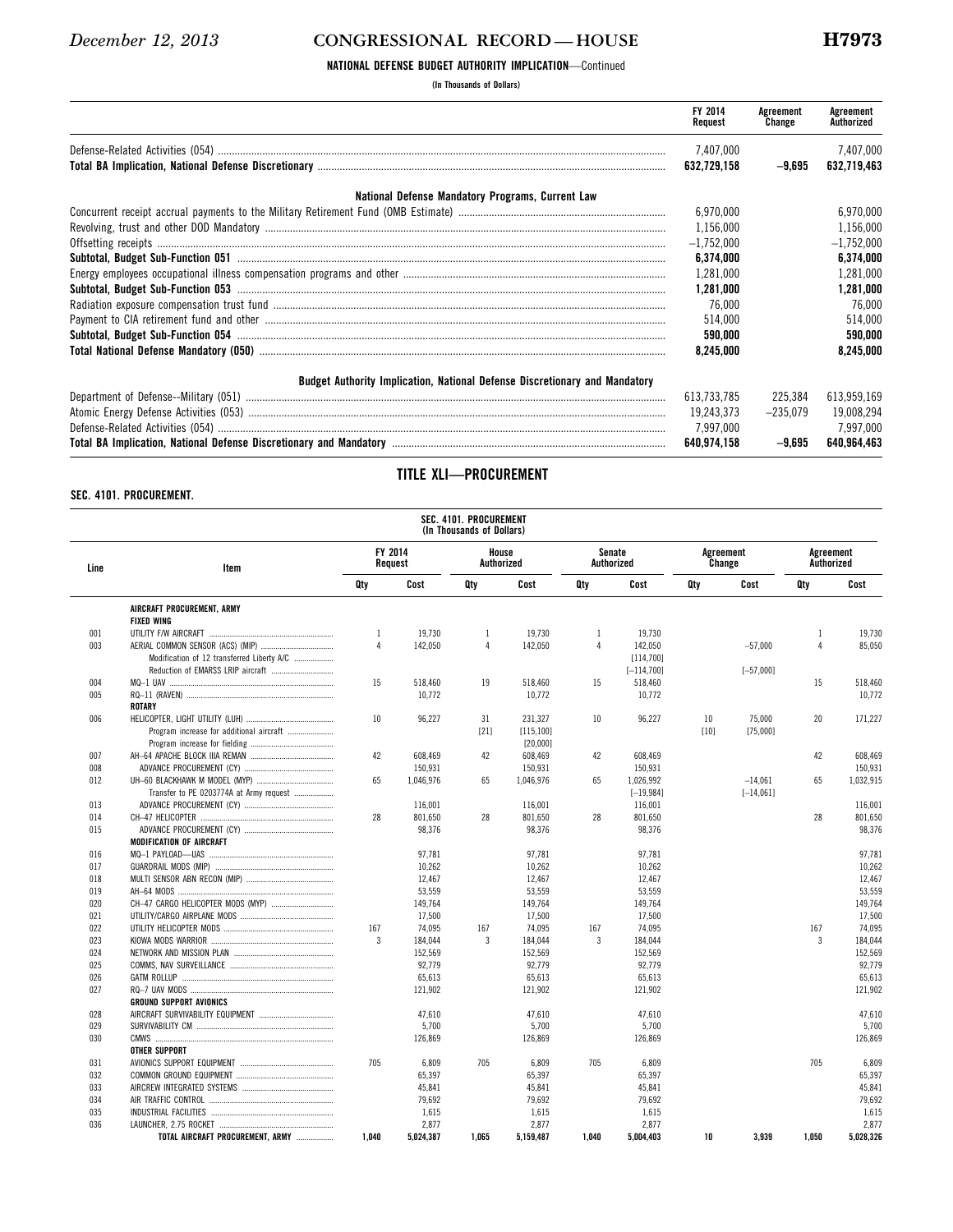#### **NATIONAL DEFENSE BUDGET AUTHORITY IMPLICATION**—Continued

**(In Thousands of Dollars)** 

|                                                                            | FY 2014<br>Request | Agreement<br>Change | Agreement<br>Authorized |
|----------------------------------------------------------------------------|--------------------|---------------------|-------------------------|
|                                                                            | 7,407,000          |                     | 7,407,000               |
|                                                                            | 632.729.158        | $-9.695$            | 632.719.463             |
| National Defense Mandatory Programs, Current Law                           |                    |                     |                         |
|                                                                            | 6,970,000          |                     | 6,970,000               |
|                                                                            | 1,156,000          |                     | 1,156,000               |
|                                                                            | $-1,752,000$       |                     | $-1,752,000$            |
|                                                                            | 6,374,000          |                     | 6,374,000               |
|                                                                            | 1,281,000          |                     | 1,281,000               |
|                                                                            | 1.281.000          |                     | 1,281,000               |
|                                                                            | 76.000             |                     | 76,000                  |
|                                                                            | 514,000            |                     | 514.000                 |
|                                                                            | 590,000            |                     | 590,000                 |
|                                                                            | 8,245,000          |                     | 8,245,000               |
| Budget Authority Implication, National Defense Discretionary and Mandatory |                    |                     |                         |
|                                                                            | 613.733.785        | 225.384             | 613,959,169             |
|                                                                            | 19.243.373         | $-235.079$          | 19,008,294              |
|                                                                            | 7.997.000          |                     | 7,997,000               |
|                                                                            | 640.974.158        | $-9.695$            | 640.964.463             |

#### **SEC. 4101. PROCUREMENT.**

### **TITLE XLI—PROCUREMENT**

|            | SEC. 4101. PROCUREMENT<br>(In Thousands of Dollars)<br>FY 2014<br>House<br>Senate<br>Agreement<br>Agreement<br>Authorized<br>Authorized |                 |           |                |            |                |               |        |             |                |           |  |  |  |
|------------|-----------------------------------------------------------------------------------------------------------------------------------------|-----------------|-----------|----------------|------------|----------------|---------------|--------|-------------|----------------|-----------|--|--|--|
| Line       | Item                                                                                                                                    | Request         |           |                |            |                |               | Change |             | Authorized     |           |  |  |  |
|            |                                                                                                                                         | Qty             | Cost      | Qty            | Cost       | Qty            | Cost          | Qty    | Cost        | Qty            | Cost      |  |  |  |
|            | AIRCRAFT PROCUREMENT, ARMY                                                                                                              |                 |           |                |            |                |               |        |             |                |           |  |  |  |
|            | <b>FIXED WING</b>                                                                                                                       |                 |           |                |            |                |               |        |             |                |           |  |  |  |
| 001        |                                                                                                                                         | $\mathbf{1}$    | 19,730    | $\mathbf{1}$   | 19,730     | $\mathbf{1}$   | 19,730        |        |             | $\mathbf{1}$   | 19,730    |  |  |  |
| 003        |                                                                                                                                         | $\overline{4}$  | 142,050   | $\overline{4}$ | 142,050    | $\overline{4}$ | 142,050       |        | $-57,000$   | $\overline{4}$ | 85,050    |  |  |  |
|            | Modification of 12 transferred Liberty A/C                                                                                              |                 |           |                |            |                | [114, 700]    |        |             |                |           |  |  |  |
|            |                                                                                                                                         |                 |           |                |            |                | $[-114, 700]$ |        | $[-57,000]$ |                |           |  |  |  |
| 004        |                                                                                                                                         | 15              | 518,460   | 19             | 518,460    | 15             | 518,460       |        |             | 15             | 518,460   |  |  |  |
| 005        |                                                                                                                                         |                 | 10.772    |                | 10.772     |                | 10.772        |        |             |                | 10,772    |  |  |  |
|            | ROTARY                                                                                                                                  |                 |           |                |            |                |               |        |             |                |           |  |  |  |
| 006        |                                                                                                                                         | 10 <sup>°</sup> | 96.227    | 31             | 231.327    | 10             | 96.227        | 10     | 75,000      | 20             | 171,227   |  |  |  |
|            | Program increase for additional aircraft                                                                                                |                 |           | $[21]$         | [115, 100] |                |               | [10]   | [75,000]    |                |           |  |  |  |
|            |                                                                                                                                         |                 |           |                | [20,000]   |                |               |        |             |                |           |  |  |  |
| 007        |                                                                                                                                         | 42              | 608,469   | 42             | 608,469    | 42             | 608,469       |        |             | 42             | 608,469   |  |  |  |
| 008        |                                                                                                                                         |                 | 150,931   |                | 150,931    |                | 150,931       |        |             |                | 150,931   |  |  |  |
| 012        |                                                                                                                                         | 65              | 1,046,976 | 65             | 1,046,976  | 65             | 1,026,992     |        | $-14,061$   | 65             | 1,032,915 |  |  |  |
|            | Transfer to PE 0203774A at Army request                                                                                                 |                 |           |                |            |                | $[-19, 984]$  |        | $[-14,061]$ |                |           |  |  |  |
| 013        |                                                                                                                                         |                 | 116,001   |                | 116,001    |                | 116,001       |        |             |                | 116,001   |  |  |  |
| 014        |                                                                                                                                         | 28              | 801.650   | 28             | 801.650    | 28             | 801.650       |        |             | 28             | 801,650   |  |  |  |
| 015        |                                                                                                                                         |                 | 98.376    |                | 98.376     |                | 98.376        |        |             |                | 98.376    |  |  |  |
|            | <b>MODIFICATION OF AIRCRAFT</b>                                                                                                         |                 |           |                |            |                |               |        |             |                |           |  |  |  |
| 016        |                                                                                                                                         |                 | 97,781    |                | 97,781     |                | 97,781        |        |             |                | 97,781    |  |  |  |
| 017        |                                                                                                                                         |                 | 10,262    |                | 10,262     |                | 10,262        |        |             |                | 10,262    |  |  |  |
| 018        |                                                                                                                                         |                 | 12,467    |                | 12,467     |                | 12,467        |        |             |                | 12,467    |  |  |  |
| 019        |                                                                                                                                         |                 | 53,559    |                | 53,559     |                | 53,559        |        |             |                | 53,559    |  |  |  |
| 020        |                                                                                                                                         |                 | 149,764   |                | 149,764    |                | 149,764       |        |             |                | 149,764   |  |  |  |
| 021        |                                                                                                                                         |                 | 17,500    |                | 17,500     |                | 17,500        |        |             |                | 17,500    |  |  |  |
|            |                                                                                                                                         |                 |           |                |            |                |               |        |             |                |           |  |  |  |
| 022<br>023 |                                                                                                                                         | 167<br>3        | 74.095    | 167            | 74.095     | 167            | 74.095        |        |             | 167<br>3       | 74.095    |  |  |  |
|            |                                                                                                                                         |                 | 184.044   | 3              | 184.044    | 3              | 184.044       |        |             |                | 184.044   |  |  |  |
| 024        |                                                                                                                                         |                 | 152.569   |                | 152.569    |                | 152.569       |        |             |                | 152.569   |  |  |  |
| 025        |                                                                                                                                         |                 | 92,779    |                | 92,779     |                | 92,779        |        |             |                | 92,779    |  |  |  |
| 026        |                                                                                                                                         |                 | 65,613    |                | 65,613     |                | 65,613        |        |             |                | 65,613    |  |  |  |
| 027        |                                                                                                                                         |                 | 121,902   |                | 121,902    |                | 121,902       |        |             |                | 121,902   |  |  |  |
|            | <b>GROUND SUPPORT AVIONICS</b>                                                                                                          |                 |           |                |            |                |               |        |             |                |           |  |  |  |
| 028        |                                                                                                                                         |                 | 47,610    |                | 47,610     |                | 47,610        |        |             |                | 47,610    |  |  |  |
| 029        |                                                                                                                                         |                 | 5,700     |                | 5,700      |                | 5,700         |        |             |                | 5,700     |  |  |  |
| 030        |                                                                                                                                         |                 | 126,869   |                | 126,869    |                | 126,869       |        |             |                | 126,869   |  |  |  |
|            | <b>OTHER SUPPORT</b>                                                                                                                    |                 |           |                |            |                |               |        |             |                |           |  |  |  |
| 031        |                                                                                                                                         | 705             | 6.809     | 705            | 6.809      | 705            | 6.809         |        |             | 705            | 6.809     |  |  |  |
| 032        |                                                                                                                                         |                 | 65,397    |                | 65.397     |                | 65.397        |        |             |                | 65.397    |  |  |  |
| 033        |                                                                                                                                         |                 | 45,841    |                | 45,841     |                | 45,841        |        |             |                | 45,841    |  |  |  |
| 034        |                                                                                                                                         |                 | 79,692    |                | 79,692     |                | 79,692        |        |             |                | 79,692    |  |  |  |
| 035        |                                                                                                                                         |                 | 1,615     |                | 1,615      |                | 1,615         |        |             |                | 1,615     |  |  |  |
| 036        |                                                                                                                                         |                 | 2,877     |                | 2,877      |                | 2,877         |        |             |                | 2,877     |  |  |  |
|            | TOTAL AIRCRAFT PROCUREMENT, ARMY                                                                                                        | 1.040           | 5,024,387 | 1,065          | 5,159,487  | 1,040          | 5,004,403     | 10     | 3,939       | 1.050          | 5,028,326 |  |  |  |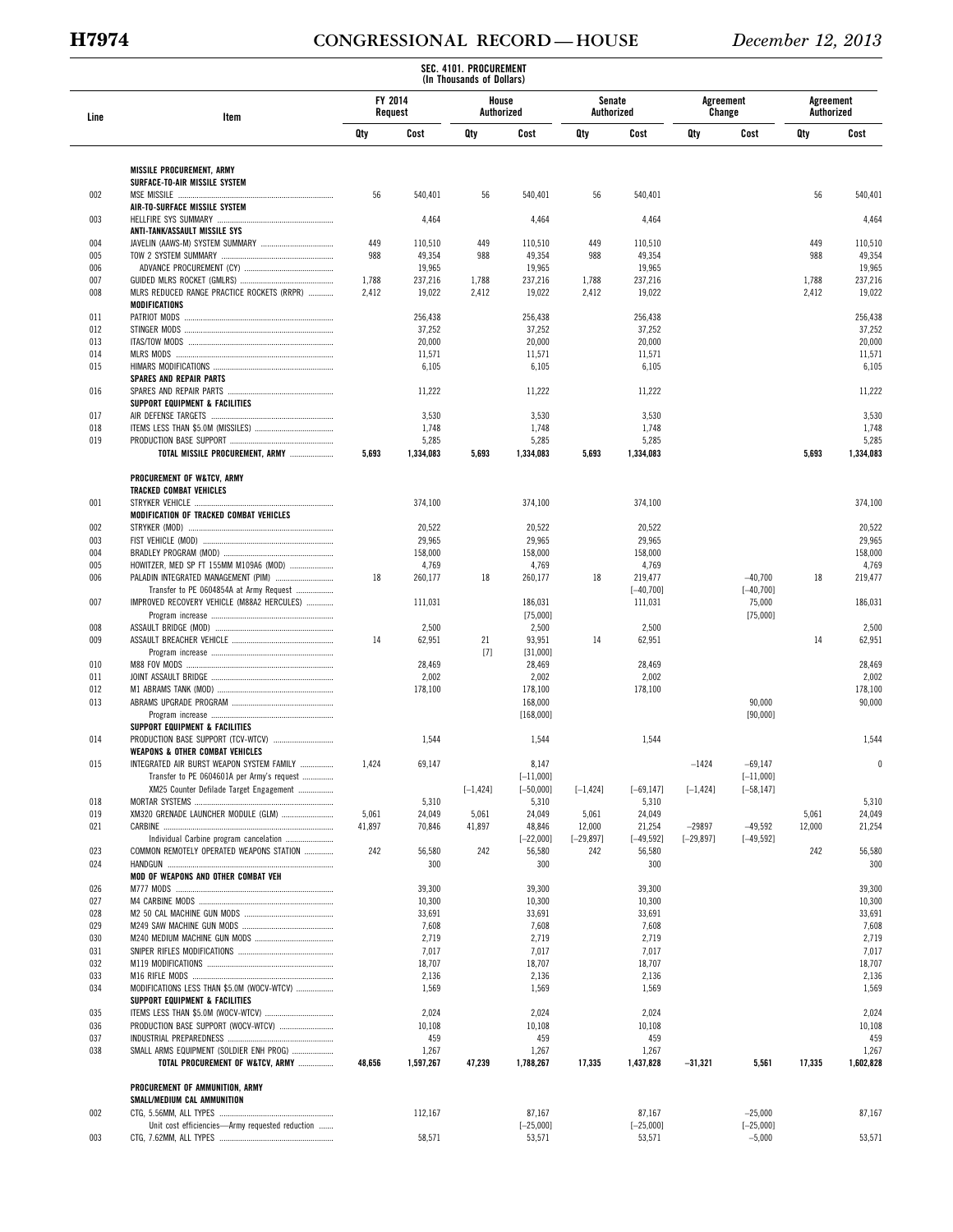# **H7974 CONGRESSIONAL RECORD — HOUSE** *December 12, 2013*

|            |                                                                                         |                    |                   | SEC. 4101. PROCUREMENT<br>(In Thousands of Dollars) |                       |                     |                        |                     |                          |                         |                   |
|------------|-----------------------------------------------------------------------------------------|--------------------|-------------------|-----------------------------------------------------|-----------------------|---------------------|------------------------|---------------------|--------------------------|-------------------------|-------------------|
| Line       | Item                                                                                    | FY 2014<br>Request |                   | House<br>Authorized                                 |                       |                     | Senate<br>Authorized   | Agreement<br>Change |                          | Agreement<br>Authorized |                   |
|            |                                                                                         | Qty                | Cost              | Qty                                                 | Cost                  | Qty                 | Cost                   | Qty                 | Cost                     | Qty                     | Cost              |
|            | <b>MISSILE PROCUREMENT, ARMY</b>                                                        |                    |                   |                                                     |                       |                     |                        |                     |                          |                         |                   |
|            | SURFACE-TO-AIR MISSILE SYSTEM                                                           |                    |                   |                                                     |                       |                     |                        |                     |                          | 56                      |                   |
| 002        | AIR-TO-SURFACE MISSILE SYSTEM                                                           | 56                 | 540,401           | 56                                                  | 540,401               | 56                  | 540,401                |                     |                          |                         | 540,401           |
| 003        |                                                                                         |                    | 4,464             |                                                     | 4,464                 |                     | 4,464                  |                     |                          |                         | 4,464             |
| 004        | ANTI-TANK/ASSAULT MISSILE SYS                                                           | 449                | 110,510           | 449                                                 | 110,510               | 449                 | 110,510                |                     |                          | 449                     |                   |
| 005        |                                                                                         | 988                | 49,354            | 988                                                 | 49,354                | 988                 | 49,354                 |                     |                          | 988                     | 110,510<br>49,354 |
| 006        |                                                                                         |                    | 19,965            |                                                     | 19,965                |                     | 19,965                 |                     |                          |                         | 19,965            |
| 007<br>008 | MLRS REDUCED RANGE PRACTICE ROCKETS (RRPR)                                              | 1,788<br>2,412     | 237,216<br>19,022 | 1,788<br>2,412                                      | 237,216<br>19,022     | 1,788<br>2,412      | 237,216<br>19,022      |                     |                          | 1,788<br>2,412          | 237,216<br>19,022 |
|            | MODIFICATIONS                                                                           |                    |                   |                                                     |                       |                     |                        |                     |                          |                         |                   |
| 011        |                                                                                         |                    | 256,438           |                                                     | 256,438               |                     | 256,438                |                     |                          |                         | 256,438           |
| 012<br>013 |                                                                                         |                    | 37,252<br>20,000  |                                                     | 37,252<br>20,000      |                     | 37,252<br>20,000       |                     |                          |                         | 37,252<br>20,000  |
| 014        |                                                                                         |                    | 11,571            |                                                     | 11,571                |                     | 11,571                 |                     |                          |                         | 11,571            |
| 015        |                                                                                         |                    | 6,105             |                                                     | 6,105                 |                     | 6,105                  |                     |                          |                         | 6,105             |
| 016        | <b>SPARES AND REPAIR PARTS</b>                                                          |                    | 11,222            |                                                     | 11,222                |                     | 11,222                 |                     |                          |                         | 11,222            |
|            | SUPPORT EQUIPMENT & FACILITIES                                                          |                    |                   |                                                     |                       |                     |                        |                     |                          |                         |                   |
| 017<br>018 |                                                                                         |                    | 3,530<br>1,748    |                                                     | 3,530<br>1,748        |                     | 3,530<br>1,748         |                     |                          |                         | 3,530             |
| 019        |                                                                                         |                    | 5,285             |                                                     | 5,285                 |                     | 5,285                  |                     |                          |                         | 1,748<br>5,285    |
|            | <b>TOTAL MISSILE PROCUREMENT, ARMY </b>                                                 | 5,693              | 1,334,083         | 5,693                                               | 1,334,083             | 5,693               | 1,334,083              |                     |                          | 5,693                   | 1,334,083         |
|            | PROCUREMENT OF W&TCV, ARMY                                                              |                    |                   |                                                     |                       |                     |                        |                     |                          |                         |                   |
|            | <b>TRACKED COMBAT VEHICLES</b>                                                          |                    |                   |                                                     |                       |                     |                        |                     |                          |                         |                   |
| 001        | MODIFICATION OF TRACKED COMBAT VEHICLES                                                 |                    | 374,100           |                                                     | 374,100               |                     | 374,100                |                     |                          |                         | 374,100           |
| 002        |                                                                                         |                    | 20,522            |                                                     | 20,522                |                     | 20,522                 |                     |                          |                         | 20,522            |
| 003        |                                                                                         |                    | 29,965            |                                                     | 29,965                |                     | 29,965                 |                     |                          |                         | 29,965            |
| 004        |                                                                                         |                    | 158,000           |                                                     | 158,000               |                     | 158,000                |                     |                          |                         | 158,000           |
| 005<br>006 | HOWITZER, MED SP FT 155MM M109A6 (MOD)<br>PALADIN INTEGRATED MANAGEMENT (PIM)           | 18                 | 4,769<br>260,177  | 18                                                  | 4,769<br>260,177      | 18                  | 4,769<br>219,477       |                     | $-40,700$                | 18                      | 4,769<br>219,477  |
|            | Transfer to PE 0604854A at Army Request                                                 |                    |                   |                                                     |                       |                     | $[-40, 700]$           |                     | $[-40, 700]$             |                         |                   |
| 007        | IMPROVED RECOVERY VEHICLE (M88A2 HERCULES)                                              |                    | 111,031           |                                                     | 186,031<br>[75,000]   |                     | 111,031                |                     | 75,000<br>[75,000]       |                         | 186,031           |
| 008        |                                                                                         |                    | 2,500             |                                                     | 2,500                 |                     | 2,500                  |                     |                          |                         | 2,500             |
| 009        |                                                                                         | 14                 | 62,951            | 21                                                  | 93,951                | 14                  | 62,951                 |                     |                          | 14                      | 62,951            |
| 010        |                                                                                         |                    | 28,469            | $[7]$                                               | [31,000]<br>28,469    |                     | 28,469                 |                     |                          |                         | 28,469            |
| 011        |                                                                                         |                    | 2,002             |                                                     | 2,002                 |                     | 2,002                  |                     |                          |                         | 2,002             |
| 012        |                                                                                         |                    | 178,100           |                                                     | 178,100               |                     | 178,100                |                     |                          |                         | 178,100           |
| 013        |                                                                                         |                    |                   |                                                     | 168,000<br>[168,000]  |                     |                        |                     | 90,000<br>[90,000]       |                         | 90,000            |
|            | SUPPORT EQUIPMENT & FACILITIES                                                          |                    |                   |                                                     |                       |                     |                        |                     |                          |                         |                   |
| 014        | PRODUCTION BASE SUPPORT (TCV-WTCV)                                                      |                    | 1,544             |                                                     | 1,544                 |                     | 1,544                  |                     |                          |                         | 1,544             |
| 015        | <b>WEAPONS &amp; OTHER COMBAT VEHICLES</b><br>INTEGRATED AIR BURST WEAPON SYSTEM FAMILY | 1,424              | 69,147            |                                                     | 8,147                 |                     |                        | $-1424$             | $-69,147$                |                         | 0                 |
|            | Transfer to PE 0604601A per Army's request                                              |                    |                   |                                                     | $[-11,000]$           |                     |                        |                     | $[-11,000]$              |                         |                   |
| 018        | XM25 Counter Defilade Target Engagement                                                 |                    | 5,310             | $[-1, 424]$                                         | $[-50,000]$<br>5,310  | $[-1, 424]$         | $[-69, 147]$<br>5,310  | $[-1, 424]$         | $[-58, 147]$             |                         |                   |
| 019        | XM320 GRENADE LAUNCHER MODULE (GLM)                                                     | 5,061              | 24,049            | 5,061                                               | 24,049                | 5,061               | 24,049                 |                     |                          | 5,061                   | 5,310<br>24,049   |
| 021        |                                                                                         | 41,897             | 70,846            | 41,897                                              | 48,846                | 12,000              | 21,254                 | $-29897$            | $-49,592$                | 12,000                  | 21,254            |
| 023        | Individual Carbine program cancelation<br>COMMON REMOTELY OPERATED WEAPONS STATION      | 242                | 56,580            | 242                                                 | $[-22,000]$<br>56,580 | $[-29, 897]$<br>242 | $[-49, 592]$<br>56,580 | $[-29, 897]$        | $[-49, 592]$             | 242                     | 56,580            |
| 024        |                                                                                         |                    | 300               |                                                     | 300                   |                     | 300                    |                     |                          |                         | 300               |
|            | MOD OF WEAPONS AND OTHER COMBAT VEH                                                     |                    |                   |                                                     |                       |                     |                        |                     |                          |                         |                   |
| 026<br>027 |                                                                                         |                    | 39,300<br>10,300  |                                                     | 39,300<br>10,300      |                     | 39,300<br>10,300       |                     |                          |                         | 39,300<br>10,300  |
| 028        |                                                                                         |                    | 33,691            |                                                     | 33,691                |                     | 33,691                 |                     |                          |                         | 33,691            |
| 029        |                                                                                         |                    | 7,608             |                                                     | 7,608                 |                     | 7,608                  |                     |                          |                         | 7,608             |
| 030<br>031 |                                                                                         |                    | 2,719<br>7,017    |                                                     | 2,719<br>7,017        |                     | 2,719<br>7,017         |                     |                          |                         | 2,719<br>7,017    |
| 032        |                                                                                         |                    | 18,707            |                                                     | 18,707                |                     | 18,707                 |                     |                          |                         | 18,707            |
| 033<br>034 | MODIFICATIONS LESS THAN \$5.0M (WOCV-WTCV)                                              |                    | 2,136<br>1,569    |                                                     | 2,136<br>1,569        |                     | 2,136<br>1,569         |                     |                          |                         | 2,136<br>1,569    |
|            | SUPPORT EQUIPMENT & FACILITIES                                                          |                    |                   |                                                     |                       |                     |                        |                     |                          |                         |                   |
| 035        |                                                                                         |                    | 2,024             |                                                     | 2,024                 |                     | 2,024                  |                     |                          |                         | 2,024             |
| 036<br>037 | PRODUCTION BASE SUPPORT (WOCV-WTCV)                                                     |                    | 10,108<br>459     |                                                     | 10,108<br>459         |                     | 10,108<br>459          |                     |                          |                         | 10,108<br>459     |
| 038        | SMALL ARMS EQUIPMENT (SOLDIER ENH PROG)                                                 |                    | 1,267             |                                                     | 1,267                 |                     | 1,267                  |                     |                          |                         | 1,267             |
|            | TOTAL PROCUREMENT OF W&TCV, ARMY                                                        | 48,656             | 1,597,267         | 47,239                                              | 1,788,267             | 17,335              | 1,437,828              | $-31,321$           | 5,561                    | 17,335                  | 1,602,828         |
|            | PROCUREMENT OF AMMUNITION, ARMY                                                         |                    |                   |                                                     |                       |                     |                        |                     |                          |                         |                   |
|            | SMALL/MEDIUM CAL AMMUNITION                                                             |                    |                   |                                                     |                       |                     |                        |                     |                          |                         |                   |
| 002        | Unit cost efficiencies-Army requested reduction                                         |                    | 112,167           |                                                     | 87,167<br>$[-25,000]$ |                     | 87,167<br>$[-25,000]$  |                     | $-25,000$<br>$[-25,000]$ |                         | 87,167            |
| 003        |                                                                                         |                    | 58,571            |                                                     | 53,571                |                     | 53,571                 |                     | $-5,000$                 |                         | 53,571            |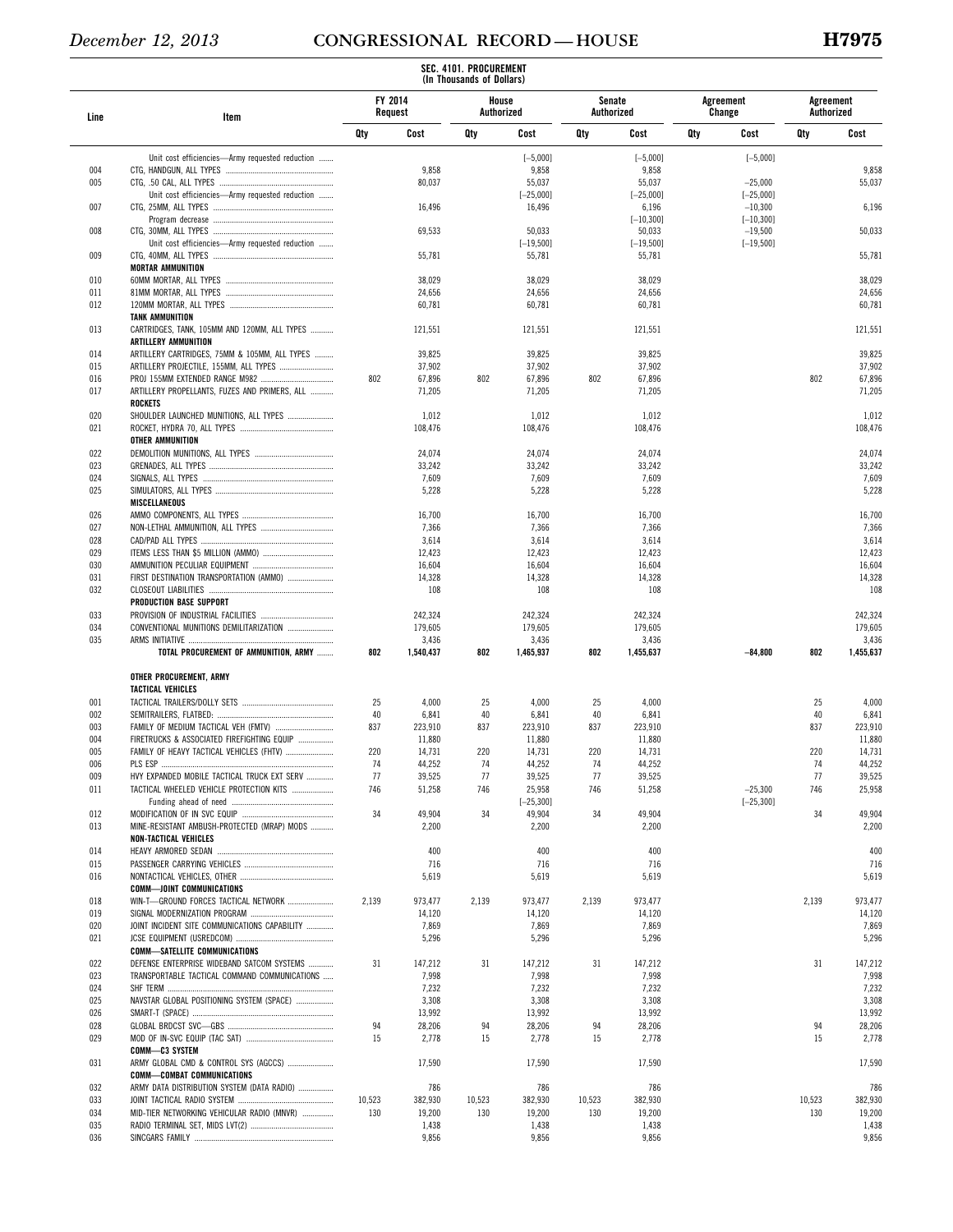|            |                                                                                                    |                    |                    | SEC. 4101. PROCUREMENT<br>(In Thousands of Dollars) |                                              |            |                                              |     |                                        |                         |                    |
|------------|----------------------------------------------------------------------------------------------------|--------------------|--------------------|-----------------------------------------------------|----------------------------------------------|------------|----------------------------------------------|-----|----------------------------------------|-------------------------|--------------------|
| Line       | Item                                                                                               | FY 2014<br>Request |                    | House                                               | Authorized                                   | Authorized | Senate                                       |     | Agreement<br>Change                    | Agreement<br>Authorized |                    |
|            |                                                                                                    | Qty                | Cost               | Qty                                                 | Cost                                         | Qty        | Cost                                         | Qty | Cost                                   | Qty                     | Cost               |
| 004<br>005 | Unit cost efficiencies-Army requested reduction<br>Unit cost efficiencies-Army requested reduction |                    | 9,858<br>80,037    |                                                     | $[-5,000]$<br>9,858<br>55,037<br>$[-25,000]$ |            | $[-5,000]$<br>9,858<br>55,037<br>$[-25,000]$ |     | $[-5,000]$<br>$-25,000$<br>$[-25,000]$ |                         | 9,858<br>55,037    |
| 007        |                                                                                                    |                    | 16,496             |                                                     | 16,496                                       |            | 6,196                                        |     | $-10,300$                              |                         | 6,196              |
| 008        |                                                                                                    |                    | 69,533             |                                                     | 50,033                                       |            | $[-10, 300]$<br>50,033                       |     | $[-10, 300]$<br>$-19,500$              |                         | 50,033             |
| 009        | Unit cost efficiencies-Army requested reduction                                                    |                    | 55,781             |                                                     | $[-19, 500]$<br>55,781                       |            | $[-19, 500]$<br>55,781                       |     | $[-19, 500]$                           |                         | 55,781             |
| 010        | <b>MORTAR AMMUNITION</b>                                                                           |                    | 38,029             |                                                     | 38,029                                       |            | 38,029                                       |     |                                        |                         | 38,029             |
| 011        |                                                                                                    |                    | 24,656             |                                                     | 24,656                                       |            | 24,656                                       |     |                                        |                         | 24,656             |
| 012<br>013 | <b>TANK AMMUNITION</b><br>CARTRIDGES, TANK, 105MM AND 120MM, ALL TYPES                             |                    | 60,781<br>121,551  |                                                     | 60,781<br>121,551                            |            | 60,781<br>121,551                            |     |                                        |                         | 60,781<br>121,551  |
|            | <b>ARTILLERY AMMUNITION</b>                                                                        |                    |                    |                                                     |                                              |            |                                              |     |                                        |                         |                    |
| 014<br>015 | ARTILLERY CARTRIDGES, 75MM & 105MM, ALL TYPES<br>ARTILLERY PROJECTILE, 155MM, ALL TYPES            |                    | 39,825<br>37,902   |                                                     | 39,825<br>37,902                             |            | 39,825<br>37,902                             |     |                                        |                         | 39,825<br>37,902   |
| 016        |                                                                                                    | 802                | 67,896             | 802                                                 | 67,896                                       | 802        | 67,896                                       |     |                                        | 802                     | 67,896             |
| 017        | ARTILLERY PROPELLANTS, FUZES AND PRIMERS, ALL<br><b>ROCKETS</b>                                    |                    | 71,205             |                                                     | 71,205                                       |            | 71,205                                       |     |                                        |                         | 71,205             |
| 020<br>021 | SHOULDER LAUNCHED MUNITIONS, ALL TYPES<br>OTHER AMMUNITION                                         |                    | 1,012<br>108,476   |                                                     | 1,012<br>108,476                             |            | 1,012<br>108,476                             |     |                                        |                         | 1,012<br>108,476   |
| 022        |                                                                                                    |                    | 24,074             |                                                     | 24,074                                       |            | 24,074                                       |     |                                        |                         | 24,074             |
| 023        |                                                                                                    |                    | 33,242             |                                                     | 33,242                                       |            | 33,242                                       |     |                                        |                         | 33,242             |
| 024<br>025 | MISCELLANEOUS                                                                                      |                    | 7,609<br>5,228     |                                                     | 7,609<br>5,228                               |            | 7,609<br>5,228                               |     |                                        |                         | 7,609<br>5,228     |
| 026        |                                                                                                    |                    | 16,700             |                                                     | 16,700                                       |            | 16,700                                       |     |                                        |                         | 16,700             |
| 027        |                                                                                                    |                    | 7,366              |                                                     | 7,366                                        |            | 7,366                                        |     |                                        |                         | 7,366              |
| 028<br>029 |                                                                                                    |                    | 3,614<br>12,423    |                                                     | 3,614<br>12,423                              |            | 3,614<br>12,423                              |     |                                        |                         | 3,614<br>12,423    |
| 030        |                                                                                                    |                    | 16,604             |                                                     | 16,604                                       |            | 16,604                                       |     |                                        |                         | 16,604             |
| 031<br>032 | FIRST DESTINATION TRANSPORTATION (AMMO)                                                            |                    | 14,328<br>108      |                                                     | 14,328<br>108                                |            | 14,328<br>108                                |     |                                        |                         | 14,328<br>108      |
| 033        | PRODUCTION BASE SUPPORT                                                                            |                    | 242,324            |                                                     | 242,324                                      |            | 242,324                                      |     |                                        |                         | 242,324            |
| 034        | CONVENTIONAL MUNITIONS DEMILITARIZATION                                                            |                    | 179,605            |                                                     | 179,605                                      |            | 179,605                                      |     |                                        |                         | 179,605            |
| 035        | TOTAL PROCUREMENT OF AMMUNITION, ARMY                                                              | 802                | 3,436<br>1,540,437 | 802                                                 | 3,436<br>1,465,937                           | 802        | 3,436<br>1,455,637                           |     | $-84,800$                              | 802                     | 3,436<br>1,455,637 |
|            | OTHER PROCUREMENT, ARMY                                                                            |                    |                    |                                                     |                                              |            |                                              |     |                                        |                         |                    |
| 001        | TACTICAL VEHICLES                                                                                  | 25                 | 4,000              | 25                                                  | 4,000                                        | 25         | 4,000                                        |     |                                        | 25                      | 4,000              |
| 002        |                                                                                                    | 40                 | 6,841              | 40                                                  | 6,841                                        | 40         | 6,841                                        |     |                                        | 40                      | 6,841              |
| 003        |                                                                                                    | 837                | 223,910            | 837                                                 | 223,910                                      | 837        | 223,910                                      |     |                                        | 837                     | 223,910            |
| 004<br>005 | FIRETRUCKS & ASSOCIATED FIREFIGHTING EQUIP                                                         | 220                | 11,880<br>14,731   | 220                                                 | 11,880<br>14,731                             | 220        | 11,880<br>14,731                             |     |                                        | 220                     | 11,880<br>14,731   |
| 006        |                                                                                                    | 74                 | 44,252             | 74                                                  | 44,252                                       | 74         | 44,252                                       |     |                                        | 74                      | 44,252             |
| 009<br>011 | HVY EXPANDED MOBILE TACTICAL TRUCK EXT SERV<br>TACTICAL WHEELED VEHICLE PROTECTION KITS            | 77<br>746          | 39,525<br>51,258   | 77<br>746                                           | 39,525<br>25,958                             | 77<br>746  | 39,525<br>51,258                             |     | $-25,300$                              | 77<br>746               | 39,525<br>25,958   |
|            |                                                                                                    |                    |                    |                                                     | $[-25, 300]$                                 |            |                                              |     | $[-25, 300]$                           |                         |                    |
| 012<br>013 | MINE-RESISTANT AMBUSH-PROTECTED (MRAP) MODS<br><b>NON-TACTICAL VEHICLES</b>                        | 34                 | 49,904<br>2,200    | 34                                                  | 49,904<br>2,200                              | 34         | 49,904<br>2,200                              |     |                                        | 34                      | 49,904<br>2,200    |
| 014        |                                                                                                    |                    | 400                |                                                     | 400                                          |            | 400                                          |     |                                        |                         | 400                |
| 015        |                                                                                                    |                    | 716                |                                                     | 716                                          |            | 716                                          |     |                                        |                         | 716                |
| 016        | <b>COMM-JOINT COMMUNICATIONS</b>                                                                   |                    | 5,619              |                                                     | 5,619                                        |            | 5,619                                        |     |                                        |                         | 5,619              |
| 018        | WIN-T-GROUND FORCES TACTICAL NETWORK                                                               | 2,139              | 973,477            | 2,139                                               | 973,477                                      | 2,139      | 973,477                                      |     |                                        | 2,139                   | 973,477            |
| 019        |                                                                                                    |                    | 14,120             |                                                     | 14,120                                       |            | 14,120                                       |     |                                        |                         | 14,120             |
| 020<br>021 | JOINT INCIDENT SITE COMMUNICATIONS CAPABILITY                                                      |                    | 7,869<br>5,296     |                                                     | 7,869<br>5,296                               |            | 7,869<br>5,296                               |     |                                        |                         | 7,869<br>5,296     |
|            | <b>COMM-SATELLITE COMMUNICATIONS</b>                                                               |                    |                    |                                                     |                                              |            |                                              |     |                                        |                         |                    |
| 022<br>023 | DEFENSE ENTERPRISE WIDEBAND SATCOM SYSTEMS<br>TRANSPORTABLE TACTICAL COMMAND COMMUNICATIONS        | 31                 | 147,212<br>7,998   | 31                                                  | 147,212<br>7,998                             | 31         | 147,212<br>7,998                             |     |                                        | 31                      | 147,212<br>7,998   |
| 024        |                                                                                                    |                    | 7,232              |                                                     | 7,232                                        |            | 7,232                                        |     |                                        |                         | 7,232              |
| 025        | NAVSTAR GLOBAL POSITIONING SYSTEM (SPACE)                                                          |                    | 3,308              |                                                     | 3,308                                        |            | 3,308                                        |     |                                        |                         | 3,308              |
| 026<br>028 |                                                                                                    | 94                 | 13,992<br>28,206   | 94                                                  | 13,992<br>28,206                             | 94         | 13,992<br>28,206                             |     |                                        | 94                      | 13,992<br>28,206   |
| 029        |                                                                                                    | 15                 | 2,778              | 15                                                  | 2,778                                        | 15         | 2,778                                        |     |                                        | 15                      | 2,778              |
| 031        | COMM-C3 SYSTEM<br>ARMY GLOBAL CMD & CONTROL SYS (AGCCS)                                            |                    | 17,590             |                                                     | 17,590                                       |            | 17,590                                       |     |                                        |                         | 17,590             |
| 032        | <b>COMM-COMBAT COMMUNICATIONS</b><br>ARMY DATA DISTRIBUTION SYSTEM (DATA RADIO)                    |                    | 786                |                                                     | 786                                          |            | 786                                          |     |                                        |                         | 786                |
| 033        |                                                                                                    | 10,523             | 382,930            | 10,523                                              | 382,930                                      | 10,523     | 382,930                                      |     |                                        | 10,523                  | 382,930            |
| 034<br>035 | MID-TIER NETWORKING VEHICULAR RADIO (MNVR)                                                         | 130                | 19,200<br>1,438    | 130                                                 | 19,200<br>1,438                              | 130        | 19,200<br>1,438                              |     |                                        | 130                     | 19,200<br>1,438    |
| 036        |                                                                                                    |                    | 9,856              |                                                     | 9,856                                        |            | 9,856                                        |     |                                        |                         | 9,856              |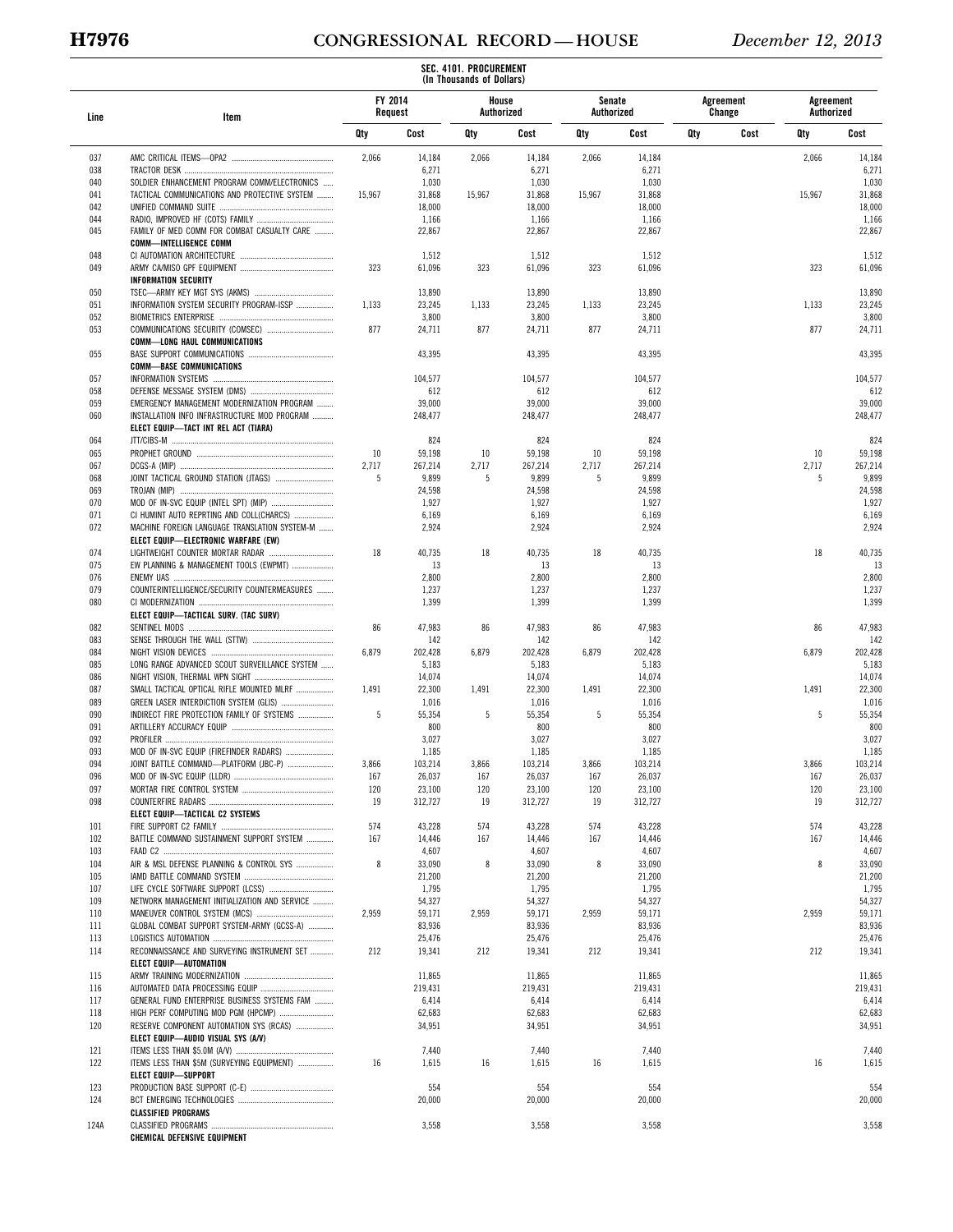# **H7976 CONGRESSIONAL RECORD — HOUSE** *December 12, 2013*

|            |                                                                               |         |                  | SEC. 4101. PROCUREMENT<br>(In Thousands of Dollars) |                  |        |                      |     |                     |                         |                  |
|------------|-------------------------------------------------------------------------------|---------|------------------|-----------------------------------------------------|------------------|--------|----------------------|-----|---------------------|-------------------------|------------------|
| Line       | Item                                                                          | FY 2014 | Request          | Authorized                                          | House            |        | Senate<br>Authorized |     | Agreement<br>Change | Agreement<br>Authorized |                  |
|            |                                                                               | Qty     | Cost             | Qty                                                 | Cost             | Qty    | Cost                 | Qty | Cost                | Qty                     | Cost             |
| 037        |                                                                               | 2,066   | 14,184           | 2,066                                               | 14,184           | 2,066  | 14,184               |     |                     | 2,066                   | 14,184           |
| 038        |                                                                               |         | 6,271            |                                                     | 6,271            |        | 6,271                |     |                     |                         | 6,271            |
| 040        | SOLDIER ENHANCEMENT PROGRAM COMM/ELECTRONICS                                  |         | 1,030            |                                                     | 1,030            |        | 1,030                |     |                     |                         | 1,030            |
| 041        | TACTICAL COMMUNICATIONS AND PROTECTIVE SYSTEM                                 | 15,967  | 31,868           | 15,967                                              | 31,868           | 15,967 | 31,868               |     |                     | 15,967                  | 31,868           |
| 042<br>044 |                                                                               |         | 18,000<br>1,166  |                                                     | 18,000<br>1,166  |        | 18,000<br>1,166      |     |                     |                         | 18,000<br>1,166  |
| 045        | FAMILY OF MED COMM FOR COMBAT CASUALTY CARE                                   |         | 22,867           |                                                     | 22,867           |        | 22,867               |     |                     |                         | 22,867           |
|            | <b>COMM-INTELLIGENCE COMM</b>                                                 |         |                  |                                                     |                  |        |                      |     |                     |                         |                  |
| 048        |                                                                               |         | 1,512            |                                                     | 1,512            |        | 1,512                |     |                     |                         | 1,512            |
| 049        |                                                                               | 323     | 61,096           | 323                                                 | 61,096           | 323    | 61,096               |     |                     | 323                     | 61,096           |
|            | <b>INFORMATION SECURITY</b>                                                   |         |                  |                                                     |                  |        |                      |     |                     |                         |                  |
| 050<br>051 | INFORMATION SYSTEM SECURITY PROGRAM-ISSP                                      | 1,133   | 13,890<br>23,245 | 1,133                                               | 13,890<br>23,245 | 1,133  | 13,890<br>23,245     |     |                     | 1,133                   | 13,890<br>23,245 |
| 052        |                                                                               |         | 3,800            |                                                     | 3,800            |        | 3,800                |     |                     |                         | 3,800            |
| 053        |                                                                               | 877     | 24,711           | 877                                                 | 24,711           | 877    | 24,711               |     |                     | 877                     | 24,711           |
|            | <b>COMM-LONG HAUL COMMUNICATIONS</b>                                          |         |                  |                                                     |                  |        |                      |     |                     |                         |                  |
| 055        |                                                                               |         | 43,395           |                                                     | 43,395           |        | 43,395               |     |                     |                         | 43,395           |
|            | <b>COMM-BASE COMMUNICATIONS</b>                                               |         |                  |                                                     |                  |        |                      |     |                     |                         |                  |
| 057<br>058 |                                                                               |         | 104,577<br>612   |                                                     | 104,577<br>612   |        | 104,577<br>612       |     |                     |                         | 104,577<br>612   |
| 059        | EMERGENCY MANAGEMENT MODERNIZATION PROGRAM                                    |         | 39,000           |                                                     | 39,000           |        | 39,000               |     |                     |                         | 39,000           |
| 060        | INSTALLATION INFO INFRASTRUCTURE MOD PROGRAM                                  |         | 248,477          |                                                     | 248,477          |        | 248,477              |     |                     |                         | 248,477          |
|            | ELECT EQUIP-TACT INT REL ACT (TIARA)                                          |         |                  |                                                     |                  |        |                      |     |                     |                         |                  |
| 064        |                                                                               |         | 824              |                                                     | 824              |        | 824                  |     |                     |                         | 824              |
| 065        |                                                                               | 10      | 59,198           | 10                                                  | 59,198           | 10     | 59,198               |     |                     | 10                      | 59,198           |
| 067        |                                                                               | 2,717   | 267,214          | 2,717                                               | 267,214          | 2,717  | 267,214              |     |                     | 2,717                   | 267,214          |
| 068<br>069 |                                                                               | 5       | 9,899<br>24,598  | 5                                                   | 9,899<br>24,598  | 5      | 9,899<br>24,598      |     |                     | 5                       | 9,899<br>24,598  |
| 070        |                                                                               |         | 1,927            |                                                     | 1,927            |        | 1,927                |     |                     |                         | 1,927            |
| 071        | CI HUMINT AUTO REPRTING AND COLL(CHARCS)                                      |         | 6,169            |                                                     | 6,169            |        | 6,169                |     |                     |                         | 6,169            |
| 072        | MACHINE FOREIGN LANGUAGE TRANSLATION SYSTEM-M                                 |         | 2,924            |                                                     | 2,924            |        | 2,924                |     |                     |                         | 2,924            |
|            | ELECT EQUIP-ELECTRONIC WARFARE (EW)                                           |         |                  |                                                     |                  |        |                      |     |                     |                         |                  |
| 074        |                                                                               | 18      | 40,735           | 18                                                  | 40,735           | 18     | 40,735               |     |                     | 18                      | 40,735           |
| 075<br>076 | EW PLANNING & MANAGEMENT TOOLS (EWPMT)                                        |         | -13<br>2,800     |                                                     | 13<br>2,800      |        | 13<br>2,800          |     |                     |                         | 13<br>2,800      |
| 079        | COUNTERINTELLIGENCE/SECURITY COUNTERMEASURES                                  |         | 1,237            |                                                     | 1,237            |        | 1,237                |     |                     |                         | 1,237            |
| 080        |                                                                               |         | 1,399            |                                                     | 1,399            |        | 1,399                |     |                     |                         | 1,399            |
|            | ELECT EQUIP-TACTICAL SURV. (TAC SURV)                                         |         |                  |                                                     |                  |        |                      |     |                     |                         |                  |
| 082        |                                                                               | 86      | 47,983           | 86                                                  | 47,983           | 86     | 47,983               |     |                     | 86                      | 47,983           |
| 083        |                                                                               |         | 142              |                                                     | 142              |        | 142                  |     |                     |                         | 142              |
| 084<br>085 | LONG RANGE ADVANCED SCOUT SURVEILLANCE SYSTEM                                 | 6,879   | 202,428<br>5,183 | 6,879                                               | 202,428<br>5,183 | 6,879  | 202,428<br>5,183     |     |                     | 6,879                   | 202,428<br>5,183 |
| 086        |                                                                               |         | 14,074           |                                                     | 14,074           |        | 14,074               |     |                     |                         | 14,074           |
| 087        | SMALL TACTICAL OPTICAL RIFLE MOUNTED MLRF                                     | 1,491   | 22,300           | 1,491                                               | 22,300           | 1,491  | 22,300               |     |                     | 1,491                   | 22,300           |
| 089        |                                                                               |         | 1,016            |                                                     | 1,016            |        | 1,016                |     |                     |                         | 1,016            |
| 090        | INDIRECT FIRE PROTECTION FAMILY OF SYSTEMS                                    | 5       | 55,354           | 5                                                   | 55,354           | 5      | 55,354               |     |                     | 5                       | 55,354           |
| 091        |                                                                               |         | 800              |                                                     | 800              |        | 800                  |     |                     |                         | 800              |
| 092<br>093 | MOD OF IN-SVC EQUIP (FIREFINDER RADARS)                                       |         | 3,027<br>1.185   |                                                     | 3,027<br>1,185   |        | 3,027<br>1,185       |     |                     |                         | 3,027<br>1,185   |
| 094        | JOINT BATTLE COMMAND-PLATFORM (JBC-P)                                         | 3,866   | 103,214          | 3,866                                               | 103,214          | 3,866  | 103,214              |     |                     | 3,866                   | 103,214          |
| 096        |                                                                               | 167     | 26,037           | 167                                                 | 26,037           | 167    | 26,037               |     |                     | 167                     | 26,037           |
| 097        |                                                                               | 120     | 23,100           | 120                                                 | 23,100           | 120    | 23,100               |     |                     | 120                     | 23,100           |
| 098        |                                                                               | 19      | 312,727          | 19                                                  | 312,727          | 19     | 312,727              |     |                     | 19                      | 312,727          |
|            | ELECT EQUIP-TACTICAL C2 SYSTEMS                                               |         |                  |                                                     |                  |        |                      |     |                     |                         |                  |
| 101        | BATTLE COMMAND SUSTAINMENT SUPPORT SYSTEM                                     | 574     | 43,228           | 574                                                 | 43,228           | 574    | 43,228               |     |                     | 574<br>167              | 43,228           |
| 102<br>103 |                                                                               | 167     | 14,446<br>4,607  | 167                                                 | 14,446<br>4,607  | 167    | 14,446<br>4,607      |     |                     |                         | 14,446<br>4,607  |
| 104        | AIR & MSL DEFENSE PLANNING & CONTROL SYS                                      | 8       | 33,090           | 8                                                   | 33,090           | 8      | 33,090               |     |                     | 8                       | 33,090           |
| 105        |                                                                               |         | 21,200           |                                                     | 21,200           |        | 21,200               |     |                     |                         | 21,200           |
| 107        |                                                                               |         | 1,795            |                                                     | 1,795            |        | 1,795                |     |                     |                         | 1,795            |
| 109        | NETWORK MANAGEMENT INITIALIZATION AND SERVICE                                 |         | 54,327           |                                                     | 54,327           |        | 54,327               |     |                     |                         | 54,327           |
| 110        |                                                                               | 2,959   | 59,171           | 2,959                                               | 59,171           | 2,959  | 59,171               |     |                     | 2,959                   | 59,171           |
| 111<br>113 | GLOBAL COMBAT SUPPORT SYSTEM-ARMY (GCSS-A)                                    |         | 83,936           |                                                     | 83,936           |        | 83,936               |     |                     |                         | 83,936           |
| 114        | RECONNAISSANCE AND SURVEYING INSTRUMENT SET                                   | 212     | 25,476<br>19,341 | 212                                                 | 25,476<br>19,341 | 212    | 25,476<br>19,341     |     |                     | 212                     | 25,476<br>19,341 |
|            | ELECT EQUIP-AUTOMATION                                                        |         |                  |                                                     |                  |        |                      |     |                     |                         |                  |
| 115        |                                                                               |         | 11,865           |                                                     | 11,865           |        | 11,865               |     |                     |                         | 11,865           |
| 116        |                                                                               |         | 219,431          |                                                     | 219,431          |        | 219,431              |     |                     |                         | 219,431          |
| 117        | GENERAL FUND ENTERPRISE BUSINESS SYSTEMS FAM                                  |         | 6,414            |                                                     | 6,414            |        | 6,414                |     |                     |                         | 6,414            |
| 118        | HIGH PERF COMPUTING MOD PGM (HPCMP)                                           |         | 62,683           |                                                     | 62,683           |        | 62,683               |     |                     |                         | 62,683           |
| 120        | RESERVE COMPONENT AUTOMATION SYS (RCAS)<br>ELECT EQUIP-AUDIO VISUAL SYS (A/V) |         | 34,951           |                                                     | 34,951           |        | 34,951               |     |                     |                         | 34,951           |
| 121        |                                                                               |         | 7,440            |                                                     | 7,440            |        | 7,440                |     |                     |                         | 7,440            |
| 122        | ITEMS LESS THAN \$5M (SURVEYING EQUIPMENT)                                    | 16      | 1,615            | 16                                                  | 1,615            | 16     | 1,615                |     |                     | 16                      | 1,615            |
|            | <b>ELECT EQUIP-SUPPORT</b>                                                    |         |                  |                                                     |                  |        |                      |     |                     |                         |                  |
| 123        |                                                                               |         | 554              |                                                     | 554              |        | 554                  |     |                     |                         | 554              |
| 124        |                                                                               |         | 20,000           |                                                     | 20,000           |        | 20,000               |     |                     |                         | 20,000           |
|            | <b>CLASSIFIED PROGRAMS</b>                                                    |         |                  |                                                     |                  |        |                      |     |                     |                         |                  |
| 124A       | CHEMICAL DEFENSIVE EQUIPMENT                                                  |         | 3,558            |                                                     | 3,558            |        | 3,558                |     |                     |                         | 3,558            |
|            |                                                                               |         |                  |                                                     |                  |        |                      |     |                     |                         |                  |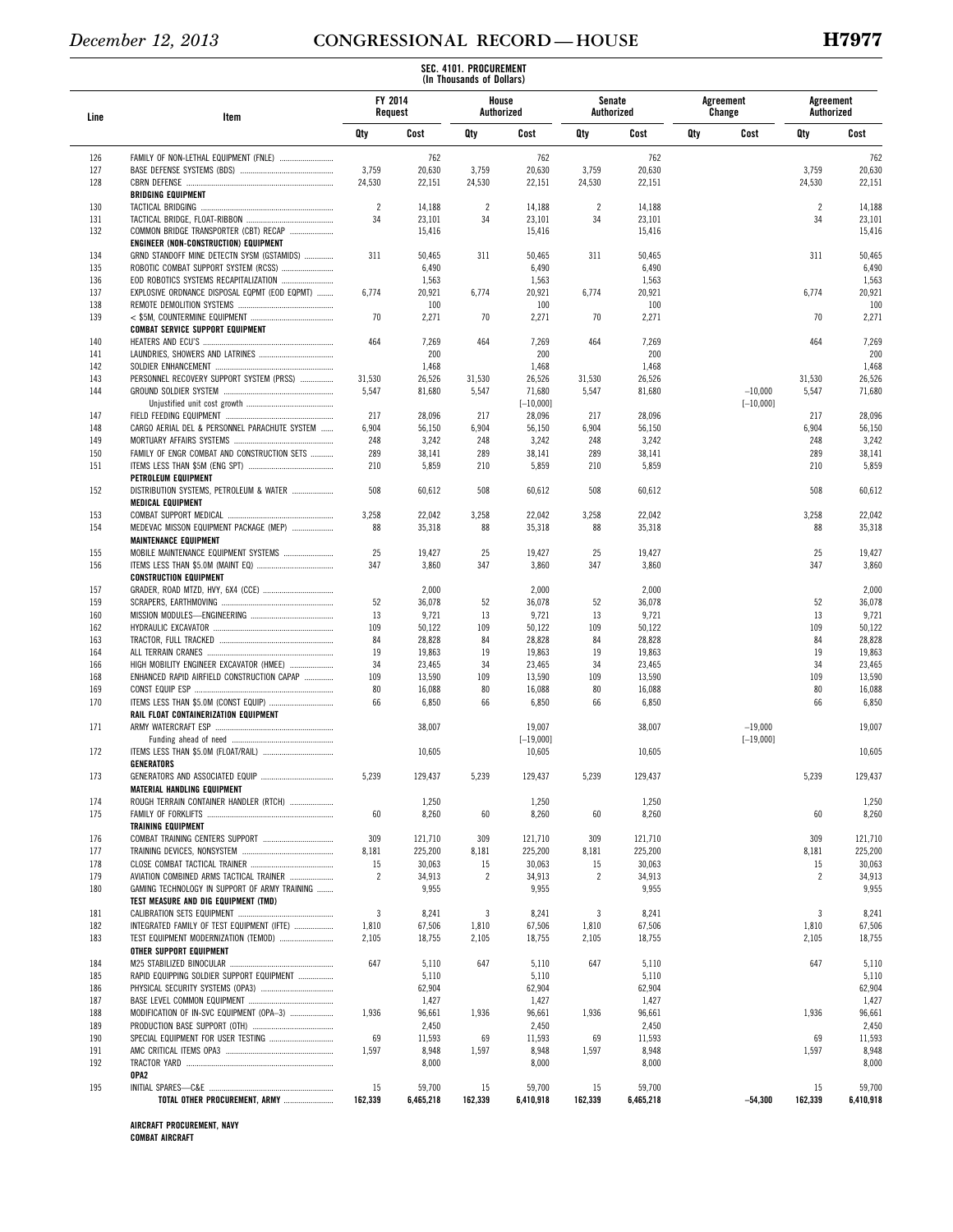|            |                                                                 |                    |                  | (In Thousands of Dollars) |                  |                |                  |     |                     |                         |                     |
|------------|-----------------------------------------------------------------|--------------------|------------------|---------------------------|------------------|----------------|------------------|-----|---------------------|-------------------------|---------------------|
| Line       | Item                                                            | FY 2014<br>Request |                  | Authorized                | House            | Senate         | Authorized       |     | Agreement<br>Change | Agreement<br>Authorized |                     |
|            |                                                                 | Qty                | Cost             | Qty                       | Cost             | Qty            | Cost             | Qty | Cost                | Qty                     | Cost                |
| 126        | FAMILY OF NON-LETHAL EQUIPMENT (FNLE)                           |                    | 762              |                           | 762              |                | 762              |     |                     |                         | 762                 |
| 127        |                                                                 | 3,759              | 20,630           | 3,759                     | 20,630           | 3,759          | 20,630           |     |                     | 3,759                   | 20,630              |
| 128        |                                                                 | 24,530             | 22,151           | 24,530                    | 22,151           | 24,530         | 22,151           |     |                     | 24,530                  | 22,151              |
|            | <b>BRIDGING EQUIPMENT</b>                                       |                    |                  |                           |                  |                |                  |     |                     |                         |                     |
| 130        |                                                                 | $\overline{2}$     | 14,188           | $\overline{2}$            | 14,188           | $\overline{2}$ | 14,188           |     |                     | $\overline{2}$          | 14,188              |
| 131<br>132 | COMMON BRIDGE TRANSPORTER (CBT) RECAP                           | 34                 | 23,101<br>15,416 | 34                        | 23,101<br>15,416 | 34             | 23,101<br>15,416 |     |                     | 34                      | 23,101<br>15,416    |
|            | ENGINEER (NON-CONSTRUCTION) EQUIPMENT                           |                    |                  |                           |                  |                |                  |     |                     |                         |                     |
| 134        | GRND STANDOFF MINE DETECTN SYSM (GSTAMIDS)                      | 311                | 50,465           | 311                       | 50,465           | 311            | 50,465           |     |                     | 311                     | 50,465              |
| 135        |                                                                 |                    | 6,490            |                           | 6,490            |                | 6,490            |     |                     |                         | 6,490               |
| 136        | EOD ROBOTICS SYSTEMS RECAPITALIZATION                           |                    | 1,563            |                           | 1,563            |                | 1,563            |     |                     |                         | 1,563               |
| 137        | EXPLOSIVE ORDNANCE DISPOSAL EQPMT (EOD EQPMT)                   | 6,774              | 20,921           | 6,774                     | 20,921           | 6,774          | 20,921           |     |                     | 6,774                   | 20,921              |
| 138        |                                                                 |                    | 100              |                           | 100              |                | 100              |     |                     |                         | 100                 |
| 139        |                                                                 | 70                 | 2,271            | 70                        | 2,271            | 70             | 2,271            |     |                     | 70                      | 2,271               |
| 140        | <b>COMBAT SERVICE SUPPORT EQUIPMENT</b>                         | 464                | 7,269            | 464                       | 7,269            | 464            | 7,269            |     |                     | 464                     | 7,269               |
| 141        |                                                                 |                    | 200              |                           | 200              |                | 200              |     |                     |                         | 200                 |
| 142        |                                                                 |                    | 1,468            |                           | 1,468            |                | 1,468            |     |                     |                         | 1,468               |
| 143        | PERSONNEL RECOVERY SUPPORT SYSTEM (PRSS)                        | 31,530             | 26,526           | 31,530                    | 26,526           | 31,530         | 26,526           |     |                     | 31,530                  | 26,526              |
| 144        |                                                                 | 5,547              | 81,680           | 5,547                     | 71,680           | 5,547          | 81,680           |     | $-10,000$           | 5,547                   | 71,680              |
|            |                                                                 |                    |                  |                           | $[-10,000]$      |                |                  |     | $[-10,000]$         |                         |                     |
| 147        |                                                                 | 217                | 28,096           | 217                       | 28,096           | 217            | 28,096           |     |                     | 217                     | 28,096              |
| 148        | CARGO AERIAL DEL & PERSONNEL PARACHUTE SYSTEM                   | 6,904              | 56,150           | 6,904                     | 56,150           | 6,904          | 56,150           |     |                     | 6,904                   | 56,150              |
| 149        |                                                                 | 248                | 3,242            | 248                       | 3,242            | 248            | 3,242            |     |                     | 248                     | 3,242               |
| 150        | FAMILY OF ENGR COMBAT AND CONSTRUCTION SETS                     | 289                | 38,141           | 289                       | 38,141           | 289            | 38,141           |     |                     | 289                     | 38,141              |
| 151        |                                                                 | 210                | 5,859            | 210                       | 5,859            | 210            | 5,859            |     |                     | 210                     | 5,859               |
| 152        | PETROLEUM EQUIPMENT<br>DISTRIBUTION SYSTEMS, PETROLEUM & WATER  | 508                | 60,612           | 508                       | 60,612           | 508            | 60,612           |     |                     | 508                     | 60,612              |
|            | <b>MEDICAL EQUIPMENT</b>                                        |                    |                  |                           |                  |                |                  |     |                     |                         |                     |
| 153        |                                                                 | 3,258              | 22,042           | 3,258                     | 22,042           | 3,258          | 22,042           |     |                     | 3,258                   | 22,042              |
| 154        | MEDEVAC MISSON EQUIPMENT PACKAGE (MEP)                          | 88                 | 35,318           | 88                        | 35,318           | 88             | 35,318           |     |                     | 88                      | 35,318              |
|            | <b>MAINTENANCE EQUIPMENT</b>                                    |                    |                  |                           |                  |                |                  |     |                     |                         |                     |
| 155        | MOBILE MAINTENANCE EQUIPMENT SYSTEMS                            | 25                 | 19,427           | 25                        | 19,427           | 25             | 19,427           |     |                     | 25                      | 19,427              |
| 156        |                                                                 | 347                | 3.860            | 347                       | 3,860            | 347            | 3,860            |     |                     | 347                     | 3,860               |
|            | <b>CONSTRUCTION EQUIPMENT</b>                                   |                    |                  |                           |                  |                |                  |     |                     |                         |                     |
| 157        |                                                                 |                    | 2,000            |                           | 2,000            |                | 2,000            |     |                     |                         | 2,000               |
| 159        |                                                                 | 52                 | 36,078           | 52                        | 36,078           | 52             | 36,078           |     |                     | 52                      | 36,078              |
| 160        |                                                                 | 13                 | 9,721            | 13                        | 9,721            | 13             | 9,721            |     |                     | 13                      | 9,721               |
| 162<br>163 |                                                                 | 109<br>84          | 50,122<br>28,828 | 109<br>84                 | 50,122<br>28,828 | 109<br>84      | 50,122<br>28,828 |     |                     | 109<br>84               | 50,122<br>28,828    |
| 164        |                                                                 | 19                 | 19,863           | 19                        | 19,863           | 19             | 19,863           |     |                     | 19                      | 19,863              |
| 166        | HIGH MOBILITY ENGINEER EXCAVATOR (HMEE)                         | 34                 | 23,465           | 34                        | 23,465           | 34             | 23,465           |     |                     | 34                      | 23,465              |
| 168        | ENHANCED RAPID AIRFIELD CONSTRUCTION CAPAP                      | 109                | 13,590           | 109                       | 13,590           | 109            | 13,590           |     |                     | 109                     | 13,590              |
| 169        |                                                                 | 80                 | 16,088           | 80                        | 16,088           | 80             | 16,088           |     |                     | 80                      | 16,088              |
| 170        |                                                                 | 66                 | 6,850            | 66                        | 6,850            | 66             | 6,850            |     |                     | 66                      | 6,850               |
|            | RAIL FLOAT CONTAINERIZATION EQUIPMENT                           |                    |                  |                           |                  |                |                  |     |                     |                         |                     |
| 171        |                                                                 |                    | 38,007           |                           | 19,007           |                | 38,007           |     | $-19,000$           |                         | 19,007              |
|            |                                                                 |                    |                  |                           | $[-19,000]$      |                |                  |     | $[-19,000]$         |                         |                     |
| 172        |                                                                 |                    | 10,605           |                           | 10,605           |                | 10,605           |     |                     |                         | 10,605              |
|            |                                                                 |                    |                  |                           |                  |                |                  |     |                     |                         |                     |
| 173        | <b>MATERIAL HANDLING EQUIPMENT</b>                              | 5,239              | 129,437          | 5,239                     | 129,437          | 5,239          | 129,437          |     |                     | 5,239                   | 129,437             |
| 174        | ROUGH TERRAIN CONTAINER HANDLER (RTCH)                          |                    | 1,250            |                           | 1,250            |                | 1,250            |     |                     |                         | 1,250               |
| 175        |                                                                 | 60                 | 8,260            | 60                        | 8,260            | 60             | 8,260            |     |                     | 60                      | 8,260               |
|            | <b>TRAINING EQUIPMENT</b>                                       |                    |                  |                           |                  |                |                  |     |                     |                         |                     |
| 176        |                                                                 | 309                | 121,710          | 309                       | 121,710          | 309            | 121,710          |     |                     | 309                     | 121,710             |
| 177        |                                                                 | 8,181              | 225,200          | 8,181                     | 225,200          | 8,181          | 225,200          |     |                     | 8,181                   | 225,200             |
| 178        |                                                                 | 15                 | 30,063           | 15                        | 30,063           | 15             | 30,063           |     |                     | 15                      | 30,063              |
| 179        | AVIATION COMBINED ARMS TACTICAL TRAINER                         | $\overline{2}$     | 34,913           | 2                         | 34,913           | 2              | 34,913           |     |                     | $\overline{2}$          | 34,913              |
| 180        | GAMING TECHNOLOGY IN SUPPORT OF ARMY TRAINING                   |                    | 9,955            |                           | 9,955            |                | 9,955            |     |                     |                         | 9,955               |
|            | TEST MEASURE AND DIG EQUIPMENT (TMD)                            |                    |                  |                           |                  |                |                  |     |                     |                         |                     |
| 181        |                                                                 | 3                  | 8,241            | 3                         | 8,241            | 3              | 8,241            |     |                     | 3                       | 8,241               |
| 182        | INTEGRATED FAMILY OF TEST EQUIPMENT (IFTE)                      | 1,810              | 67,506           | 1,810                     | 67,506           | 1,810          | 67,506           |     |                     | 1,810                   | 67,506              |
| 183        | TEST EQUIPMENT MODERNIZATION (TEMOD)<br>OTHER SUPPORT EQUIPMENT | 2,105              | 18,755           | 2,105                     | 18,755           | 2,105          | 18,755           |     |                     | 2,105                   | 18,755              |
| 184        |                                                                 | 647                | 5,110            | 647                       | 5,110            | 647            | 5,110            |     |                     | 647                     | 5,110               |
| 185        | RAPID EQUIPPING SOLDIER SUPPORT EQUIPMENT                       |                    | 5,110            |                           | 5,110            |                | 5,110            |     |                     |                         | 5,110               |
| 186        |                                                                 |                    | 62,904           |                           | 62,904           |                | 62,904           |     |                     |                         | 62,904              |
| 187        |                                                                 |                    | 1,427            |                           | 1,427            |                | 1,427            |     |                     |                         | 1,427               |
| 188        | MODIFICATION OF IN-SVC EQUIPMENT (OPA-3)                        | 1,936              | 96,661           | 1,936                     | 96,661           | 1,936          | 96,661           |     |                     | 1,936                   | 96,661              |
| 189        |                                                                 |                    | 2,450            |                           | 2,450            |                | 2,450            |     |                     |                         | 2,450               |
| 190        |                                                                 | 69                 | 11,593           | 69                        | 11,593           | 69             | 11,593           |     |                     | 69                      | 11,593              |
| 191        |                                                                 | 1,597              | 8,948            | 1,597                     | 8,948            | 1,597          | 8,948            |     |                     | 1,597                   | 8,948               |
| 192        |                                                                 |                    | 8,000            |                           | 8,000            |                | 8,000            |     |                     |                         | 8,000               |
| 195        | OPA2                                                            | 15                 | 59,700           |                           | 59,700           |                | 59,700           |     |                     | 15                      |                     |
|            | TOTAL OTHER PROCUREMENT, ARMY                                   | 162,339            | 6,465,218        | 15<br>162,339             | 6,410,918        | 15<br>162,339  | 6,465,218        |     | $-54,300$           | 162,339                 | 59,700<br>6,410,918 |
|            |                                                                 |                    |                  |                           |                  |                |                  |     |                     |                         |                     |

**COMBAT AIRCRAFT**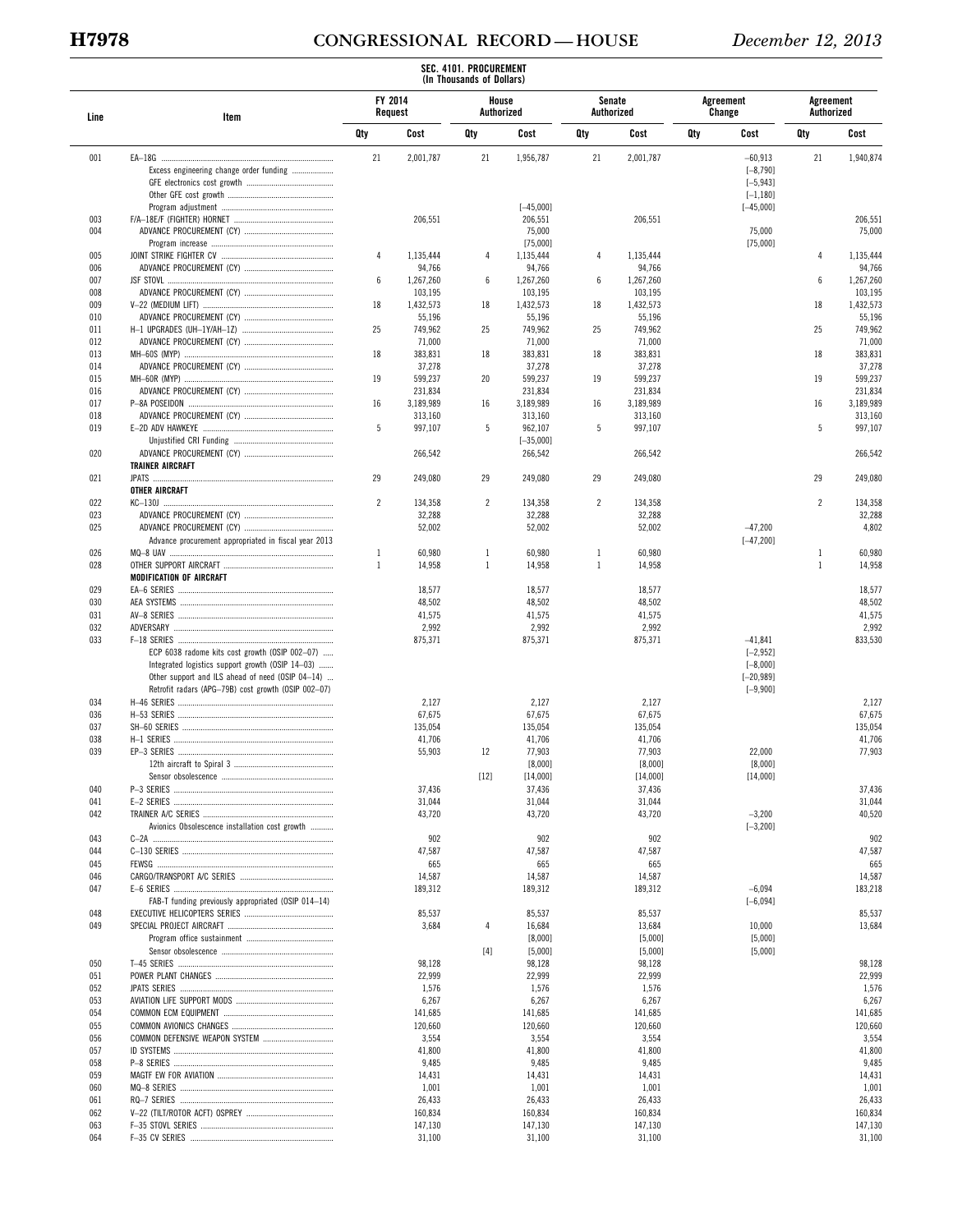# **H7978 CONGRESSIONAL RECORD — HOUSE** *December 12, 2013*

|            |                                                                                                                                                                                                               |                |                    | (In Thousands of Dollars) |                        |                |                      |     |                                                                       |                         |                    |
|------------|---------------------------------------------------------------------------------------------------------------------------------------------------------------------------------------------------------------|----------------|--------------------|---------------------------|------------------------|----------------|----------------------|-----|-----------------------------------------------------------------------|-------------------------|--------------------|
| Line       | Item                                                                                                                                                                                                          |                | FY 2014<br>Request | House<br>Authorized       |                        |                | Senate<br>Authorized |     | Agreement<br>Change                                                   | Agreement<br>Authorized |                    |
|            |                                                                                                                                                                                                               | Qty            | Cost               | Qty                       | Cost                   | Qty            | Cost                 | Qty | Cost                                                                  | Qty                     | Cost               |
| 001        | Excess engineering change order funding                                                                                                                                                                       | 21             | 2,001,787          | 21                        | 1,956,787              | 21             | 2,001,787            |     | $-60,913$<br>$[-8, 790]$<br>$[-5, 943]$<br>$[-1, 180]$                | 21                      | 1,940,874          |
|            |                                                                                                                                                                                                               |                |                    |                           | $[-45,000]$            |                |                      |     | $[-45,000]$                                                           |                         |                    |
| 003        |                                                                                                                                                                                                               |                | 206,551            |                           | 206,551                |                | 206,551              |     |                                                                       |                         | 206,551            |
| 004        |                                                                                                                                                                                                               |                |                    |                           | 75,000                 |                |                      |     | 75,000                                                                |                         | 75,000             |
| 005        |                                                                                                                                                                                                               | 4              | 1,135,444          | 4                         | [75,000]<br>1,135,444  | 4              | 1,135,444            |     | [75,000]                                                              | $\overline{4}$          | 1,135,444          |
| 006        |                                                                                                                                                                                                               |                | 94,766             |                           | 94,766                 |                | 94,766               |     |                                                                       |                         | 94,766             |
| 007        |                                                                                                                                                                                                               | 6              | 1,267,260          | 6                         | 1,267,260              | 6              | 1,267,260            |     |                                                                       | 6                       | 1,267,260          |
| 008        |                                                                                                                                                                                                               |                | 103,195            |                           | 103,195                |                | 103,195              |     |                                                                       |                         | 103,195            |
| 009        |                                                                                                                                                                                                               | 18             | 1,432,573          | 18                        | 1,432,573              | 18             | 1,432,573            |     |                                                                       | 18                      | 1,432,573          |
| 010        |                                                                                                                                                                                                               |                | 55,196             |                           | 55,196                 |                | 55,196               |     |                                                                       |                         | 55,196             |
| 011<br>012 |                                                                                                                                                                                                               | 25             | 749,962<br>71,000  | 25                        | 749,962<br>71,000      | 25             | 749,962<br>71,000    |     |                                                                       | 25                      | 749,962<br>71,000  |
| 013        |                                                                                                                                                                                                               | 18             | 383,831            | 18                        | 383,831                | 18             | 383,831              |     |                                                                       | 18                      | 383,831            |
| 014        |                                                                                                                                                                                                               |                | 37,278             |                           | 37,278                 |                | 37,278               |     |                                                                       |                         | 37,278             |
| 015        |                                                                                                                                                                                                               | 19             | 599,237            | 20                        | 599,237                | 19             | 599,237              |     |                                                                       | 19                      | 599,237            |
| 016        |                                                                                                                                                                                                               |                | 231,834            |                           | 231,834                |                | 231,834              |     |                                                                       |                         | 231,834            |
| 017        |                                                                                                                                                                                                               | 16             | 3,189,989          | 16                        | 3,189,989              | 16             | 3,189,989            |     |                                                                       | 16                      | 3,189,989          |
| 018        |                                                                                                                                                                                                               |                | 313,160            |                           | 313,160                |                | 313,160              |     |                                                                       |                         | 313,160            |
| 019        |                                                                                                                                                                                                               | 5              | 997,107            | 5                         | 962,107                | 5              | 997,107              |     |                                                                       | 5                       | 997,107            |
| 020        |                                                                                                                                                                                                               |                | 266,542            |                           | $[-35,000]$<br>266,542 |                | 266,542              |     |                                                                       |                         | 266,542            |
|            | <b>TRAINER AIRCRAFT</b>                                                                                                                                                                                       |                |                    |                           |                        |                |                      |     |                                                                       |                         |                    |
| 021        |                                                                                                                                                                                                               | 29             | 249,080            | 29                        | 249,080                | 29             | 249,080              |     |                                                                       | 29                      | 249,080            |
|            | OTHER AIRCRAFT                                                                                                                                                                                                |                |                    |                           |                        |                |                      |     |                                                                       |                         |                    |
| 022        |                                                                                                                                                                                                               | $\overline{2}$ | 134,358            | $\overline{c}$            | 134,358                | $\overline{2}$ | 134,358              |     |                                                                       | $\overline{2}$          | 134,358            |
| 023        |                                                                                                                                                                                                               |                | 32,288             |                           | 32,288                 |                | 32,288               |     |                                                                       |                         | 32,288             |
| 025        |                                                                                                                                                                                                               |                | 52,002             |                           | 52,002                 |                | 52,002               |     | $-47,200$                                                             |                         | 4,802              |
|            | Advance procurement appropriated in fiscal year 2013                                                                                                                                                          |                |                    |                           |                        |                |                      |     | $[-47, 200]$                                                          |                         |                    |
| 026        |                                                                                                                                                                                                               | $\mathbf{1}$   | 60,980             | $\mathbf{1}$              | 60,980                 | $\mathbf{1}$   | 60,980               |     |                                                                       | $\mathbf{1}$            | 60,980             |
| 028        | MODIFICATION OF AIRCRAFT                                                                                                                                                                                      | 1              | 14,958             | $\mathbf{1}$              | 14,958                 | $\mathbf{1}$   | 14,958               |     |                                                                       | $\mathbf{1}$            | 14,958             |
| 029        |                                                                                                                                                                                                               |                | 18,577             |                           | 18,577                 |                | 18,577               |     |                                                                       |                         | 18,577             |
| 030        |                                                                                                                                                                                                               |                | 48,502             |                           | 48,502                 |                | 48,502               |     |                                                                       |                         | 48,502             |
| 031        |                                                                                                                                                                                                               |                | 41,575             |                           | 41,575                 |                | 41,575               |     |                                                                       |                         | 41,575             |
| 032        |                                                                                                                                                                                                               |                | 2,992              |                           | 2,992                  |                | 2,992                |     |                                                                       |                         | 2,992              |
| 033        | ECP 6038 radome kits cost growth (OSIP 002-07)<br>Integrated logistics support growth (OSIP 14-03)<br>Other support and ILS ahead of need (OSIP 04-14)<br>Retrofit radars (APG-79B) cost growth (OSIP 002-07) |                | 875,371            |                           | 875,371                |                | 875,371              |     | $-41,841$<br>$[-2, 952]$<br>$[-8,000]$<br>$[-20, 989]$<br>$[-9, 900]$ |                         | 833,530            |
| 034        |                                                                                                                                                                                                               |                | 2,127              |                           | 2,127                  |                | 2,127                |     |                                                                       |                         | 2,127              |
| 036        |                                                                                                                                                                                                               |                | 67,675             |                           | 67,675                 |                | 67,675               |     |                                                                       |                         | 67,675             |
| 037        |                                                                                                                                                                                                               |                | 135,054            |                           | 135,054                |                | 135,054              |     |                                                                       |                         | 135,054            |
| 038        |                                                                                                                                                                                                               |                | 41,706             |                           | 41,706                 |                | 41,706               |     |                                                                       |                         | 41,706             |
| 039        |                                                                                                                                                                                                               |                | 55,903             | 12                        | 77,903<br>[8,000]      |                | 77,903<br>[8,000]    |     | 22,000                                                                |                         | 77,903             |
|            |                                                                                                                                                                                                               |                |                    | $[12]$                    | [14,000]               |                | [14,000]             |     | [8,000]<br>[14,000]                                                   |                         |                    |
| 040        |                                                                                                                                                                                                               |                | 37,436             |                           | 37,436                 |                | 37,436               |     |                                                                       |                         | 37,436             |
| 041        |                                                                                                                                                                                                               |                | 31,044             |                           | 31,044                 |                | 31,044               |     |                                                                       |                         | 31,044             |
| 042        |                                                                                                                                                                                                               |                | 43,720             |                           | 43,720                 |                | 43,720               |     | $-3,200$                                                              |                         | 40,520             |
|            | Avionics Obsolescence installation cost growth                                                                                                                                                                |                |                    |                           |                        |                |                      |     | $[-3, 200]$                                                           |                         |                    |
| 043        |                                                                                                                                                                                                               |                | 902                |                           | 902                    |                | 902                  |     |                                                                       |                         | 902                |
| 044        |                                                                                                                                                                                                               |                | 47,587             |                           | 47,587                 |                | 47,587               |     |                                                                       |                         | 47,587             |
| 045        |                                                                                                                                                                                                               |                | 665                |                           | 665                    |                | 665                  |     |                                                                       |                         | 665                |
| 046<br>047 |                                                                                                                                                                                                               |                | 14,587<br>189,312  |                           | 14,587<br>189,312      |                | 14,587<br>189,312    |     | $-6,094$                                                              |                         | 14,587<br>183,218  |
|            | FAB-T funding previously appropriated (OSIP 014-14)                                                                                                                                                           |                |                    |                           |                        |                |                      |     | $[-6, 094]$                                                           |                         |                    |
| 048        |                                                                                                                                                                                                               |                | 85,537             |                           | 85,537                 |                | 85,537               |     |                                                                       |                         | 85,537             |
| 049        |                                                                                                                                                                                                               |                | 3,684              | 4                         | 16,684                 |                | 13,684               |     | 10,000                                                                |                         | 13,684             |
|            |                                                                                                                                                                                                               |                |                    |                           | [8,000]                |                | [5,000]              |     | [5,000]                                                               |                         |                    |
|            |                                                                                                                                                                                                               |                |                    | $[4]$                     | [5,000]                |                | [5,000]              |     | [5,000]                                                               |                         |                    |
| 050        |                                                                                                                                                                                                               |                | 98,128             |                           | 98,128                 |                | 98,128               |     |                                                                       |                         | 98,128             |
| 051        |                                                                                                                                                                                                               |                | 22,999             |                           | 22,999                 |                | 22,999               |     |                                                                       |                         | 22,999             |
| 052<br>053 |                                                                                                                                                                                                               |                | 1,576<br>6,267     |                           | 1,576<br>6,267         |                | 1,576<br>6,267       |     |                                                                       |                         | 1,576<br>6,267     |
| 054        |                                                                                                                                                                                                               |                | 141,685            |                           | 141,685                |                | 141,685              |     |                                                                       |                         | 141,685            |
| 055        |                                                                                                                                                                                                               |                | 120,660            |                           | 120,660                |                | 120,660              |     |                                                                       |                         | 120,660            |
| 056        |                                                                                                                                                                                                               |                | 3,554              |                           | 3,554                  |                | 3,554                |     |                                                                       |                         | 3,554              |
| 057        |                                                                                                                                                                                                               |                | 41,800             |                           | 41,800                 |                | 41,800               |     |                                                                       |                         | 41,800             |
| 058        |                                                                                                                                                                                                               |                | 9,485              |                           | 9,485                  |                | 9,485                |     |                                                                       |                         | 9,485              |
| 059        |                                                                                                                                                                                                               |                | 14,431             |                           | 14,431                 |                | 14,431               |     |                                                                       |                         | 14,431             |
| 060        |                                                                                                                                                                                                               |                | 1,001              |                           | 1,001                  |                | 1,001                |     |                                                                       |                         | 1,001              |
| 061        |                                                                                                                                                                                                               |                | 26,433             |                           | 26,433                 |                | 26,433               |     |                                                                       |                         | 26,433             |
| 062<br>063 |                                                                                                                                                                                                               |                | 160,834            |                           | 160,834                |                | 160,834              |     |                                                                       |                         | 160,834<br>147,130 |
| 064        |                                                                                                                                                                                                               |                | 147,130<br>31,100  |                           | 147,130<br>31,100      |                | 147,130<br>31,100    |     |                                                                       |                         | 31,100             |
|            |                                                                                                                                                                                                               |                |                    |                           |                        |                |                      |     |                                                                       |                         |                    |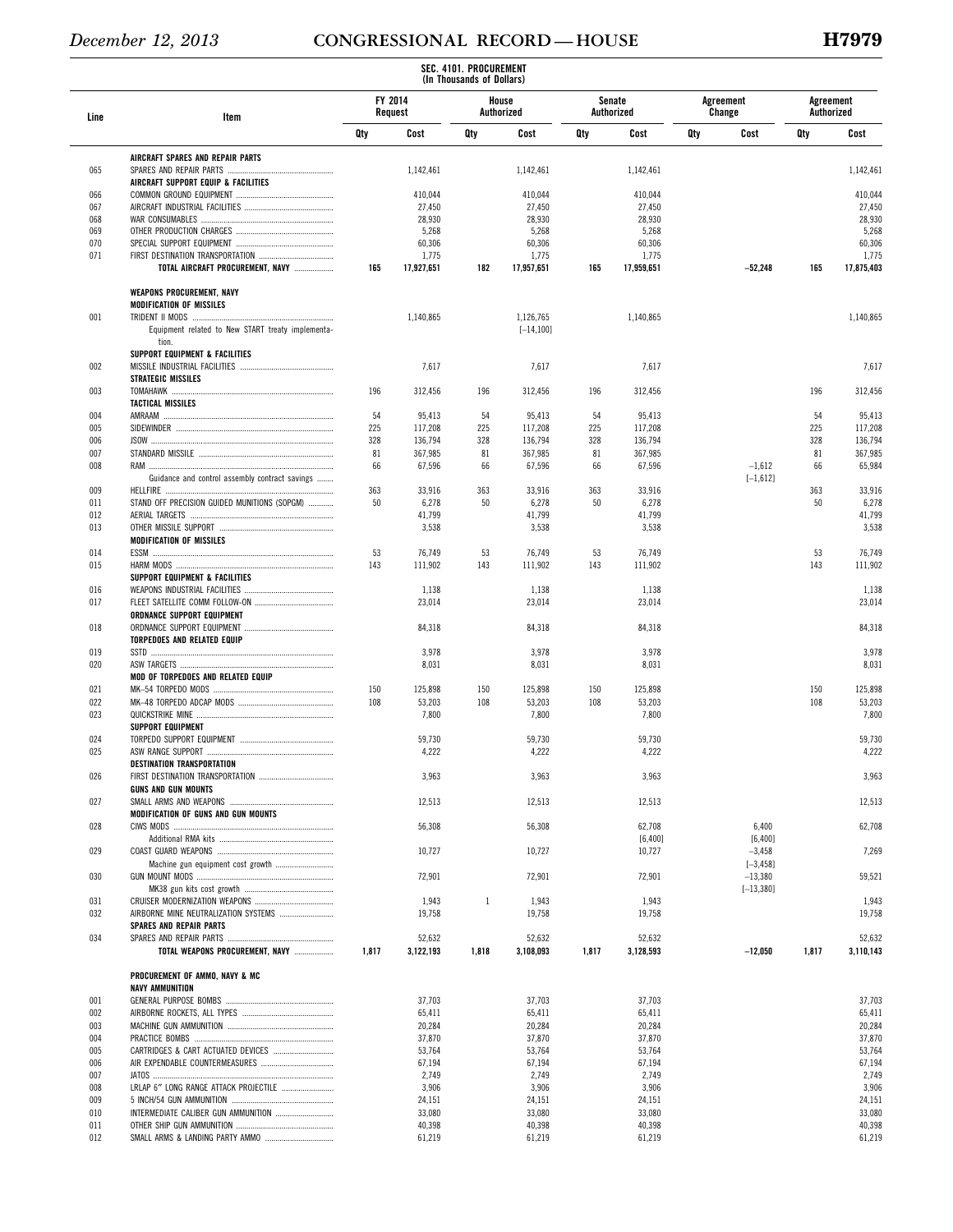|            |                                                   |           |                   | SEC. 4101. PROCUREMENT<br>(In Thousands of Dollars) |                           |           |                             |     |                          |                         |                   |
|------------|---------------------------------------------------|-----------|-------------------|-----------------------------------------------------|---------------------------|-----------|-----------------------------|-----|--------------------------|-------------------------|-------------------|
| Line       | Item                                              | FY 2014   | Request           |                                                     | House<br>Authorized       |           | <b>Senate</b><br>Authorized |     | Agreement<br>Change      | Agreement<br>Authorized |                   |
|            |                                                   | Qty       | Cost              | Qty                                                 | Cost                      | Qty       | Cost                        | Qty | Cost                     | Qty                     | Cost              |
|            | AIRCRAFT SPARES AND REPAIR PARTS                  |           |                   |                                                     |                           |           |                             |     |                          |                         |                   |
| 065        | AIRCRAFT SUPPORT EQUIP & FACILITIES               |           | 1,142,461         |                                                     | 1,142,461                 |           | 1,142,461                   |     |                          |                         | 1,142,461         |
| 066        |                                                   |           | 410,044           |                                                     | 410,044                   |           | 410,044                     |     |                          |                         | 410,044           |
| 067        |                                                   |           | 27,450            |                                                     | 27,450                    |           | 27,450                      |     |                          |                         | 27,450            |
| 068        |                                                   |           | 28,930            |                                                     | 28,930                    |           | 28,930                      |     |                          |                         | 28,930            |
| 069        |                                                   |           | 5,268             |                                                     | 5,268                     |           | 5,268                       |     |                          |                         | 5,268             |
| 070<br>071 |                                                   |           | 60,306<br>1,775   |                                                     | 60,306<br>1,775           |           | 60,306<br>1,775             |     |                          |                         | 60,306<br>1,775   |
|            | TOTAL AIRCRAFT PROCUREMENT, NAVY                  | 165       | 17,927,651        | 182                                                 | 17,957,651                | 165       | 17,959,651                  |     | $-52,248$                | 165                     | 17,875,403        |
|            | <b>WEAPONS PROCUREMENT, NAVY</b>                  |           |                   |                                                     |                           |           |                             |     |                          |                         |                   |
| 001        | <b>MODIFICATION OF MISSILES</b>                   |           |                   |                                                     |                           |           |                             |     |                          |                         |                   |
|            | Equipment related to New START treaty implementa- |           | 1,140,865         |                                                     | 1,126,765<br>$[-14, 100]$ |           | 1,140,865                   |     |                          |                         | 1,140,865         |
|            | tion.                                             |           |                   |                                                     |                           |           |                             |     |                          |                         |                   |
|            | SUPPORT EQUIPMENT & FACILITIES                    |           |                   |                                                     |                           |           |                             |     |                          |                         |                   |
| 002        |                                                   |           | 7,617             |                                                     | 7,617                     |           | 7,617                       |     |                          |                         | 7,617             |
| 003        | <b>STRATEGIC MISSILES</b>                         | 196       | 312,456           | 196                                                 | 312,456                   | 196       | 312,456                     |     |                          | 196                     | 312,456           |
|            | <b>TACTICAL MISSILES</b>                          |           |                   |                                                     |                           |           |                             |     |                          |                         |                   |
| 004        |                                                   | 54        | 95,413            | 54                                                  | 95,413                    | 54        | 95,413                      |     |                          | 54                      | 95,413            |
| 005        |                                                   | 225       | 117,208           | 225                                                 | 117,208                   | 225       | 117,208                     |     |                          | 225                     | 117,208           |
| 006        |                                                   | 328       | 136,794           | 328                                                 | 136,794                   | 328       | 136,794                     |     |                          | 328                     | 136,794           |
| 007        |                                                   | 81        | 367,985           | 81                                                  | 367,985                   | 81        | 367,985                     |     |                          | 81                      | 367,985           |
| 008        | Guidance and control assembly contract savings    | 66        | 67,596            | 66                                                  | 67,596                    | 66        | 67,596                      |     | $-1,612$<br>$[-1,612]$   | 66                      | 65,984            |
| 009        |                                                   | 363       | 33,916            | 363                                                 | 33,916                    | 363       | 33,916                      |     |                          | 363                     | 33,916            |
| 011        | STAND OFF PRECISION GUIDED MUNITIONS (SOPGM)      | 50        | 6,278             | 50                                                  | 6,278                     | 50        | 6,278                       |     |                          | 50                      | 6,278             |
| 012        |                                                   |           | 41,799            |                                                     | 41,799                    |           | 41,799                      |     |                          |                         | 41,799            |
| 013        |                                                   |           | 3,538             |                                                     | 3,538                     |           | 3,538                       |     |                          |                         | 3,538             |
|            | <b>MODIFICATION OF MISSILES</b>                   |           |                   |                                                     |                           |           |                             |     |                          |                         |                   |
| 014<br>015 |                                                   | 53<br>143 | 76,749<br>111,902 | 53<br>143                                           | 76,749<br>111,902         | 53<br>143 | 76,749<br>111,902           |     |                          | 53<br>143               | 76,749<br>111,902 |
|            | SUPPORT EQUIPMENT & FACILITIES                    |           |                   |                                                     |                           |           |                             |     |                          |                         |                   |
| 016        |                                                   |           | 1,138             |                                                     | 1,138                     |           | 1,138                       |     |                          |                         | 1,138             |
| 017        |                                                   |           | 23,014            |                                                     | 23,014                    |           | 23,014                      |     |                          |                         | 23,014            |
|            | ORDNANCE SUPPORT EQUIPMENT                        |           |                   |                                                     |                           |           |                             |     |                          |                         |                   |
| 018        |                                                   |           | 84,318            |                                                     | 84,318                    |           | 84,318                      |     |                          |                         | 84,318            |
| 019        | TORPEDOES AND RELATED EQUIP                       |           | 3,978             |                                                     | 3,978                     |           | 3,978                       |     |                          |                         | 3,978             |
| 020        |                                                   |           | 8,031             |                                                     | 8,031                     |           | 8,031                       |     |                          |                         | 8,031             |
|            | MOD OF TORPEDOES AND RELATED EQUIP                |           |                   |                                                     |                           |           |                             |     |                          |                         |                   |
| 021        |                                                   | 150       | 125,898           | 150                                                 | 125,898                   | 150       | 125,898                     |     |                          | 150                     | 125,898           |
| 022        |                                                   | 108       | 53,203            | 108                                                 | 53,203                    | 108       | 53,203                      |     |                          | 108                     | 53,203            |
| 023        | <b>SUPPORT EQUIPMENT</b>                          |           | 7,800             |                                                     | 7,800                     |           | 7,800                       |     |                          |                         | 7,800             |
| 024        |                                                   |           | 59,730            |                                                     | 59,730                    |           | 59,730                      |     |                          |                         | 59,730            |
| 025        |                                                   |           | 4,222             |                                                     | 4,222                     |           | 4,222                       |     |                          |                         | 4,222             |
|            | <b>DESTINATION TRANSPORTATION</b>                 |           |                   |                                                     |                           |           |                             |     |                          |                         |                   |
| 026        |                                                   |           | 3,963             |                                                     | 3,963                     |           | 3,963                       |     |                          |                         | 3,963             |
| 027        | <b>GUNS AND GUN MOUNTS</b>                        |           |                   |                                                     |                           |           |                             |     |                          |                         |                   |
|            | MODIFICATION OF GUNS AND GUN MOUNTS               |           | 12,513            |                                                     | 12,513                    |           | 12,513                      |     |                          |                         | 12,513            |
| 028        |                                                   |           | 56,308            |                                                     | 56,308                    |           | 62,708                      |     | 6,400                    |                         | 62,708            |
|            |                                                   |           |                   |                                                     |                           |           | [6, 400]                    |     | [6, 400]                 |                         |                   |
| 029        |                                                   |           | 10,727            |                                                     | 10,727                    |           | 10,727                      |     | $-3,458$                 |                         | 7,269             |
| 030        |                                                   |           | 72,901            |                                                     | 72,901                    |           | 72,901                      |     | $[-3, 458]$<br>$-13,380$ |                         | 59,521            |
|            |                                                   |           |                   |                                                     |                           |           |                             |     | $[-13, 380]$             |                         |                   |
| 031        |                                                   |           | 1,943             | $\mathbf{1}$                                        | 1,943                     |           | 1,943                       |     |                          |                         | 1,943             |
| 032        | <b>SPARES AND REPAIR PARTS</b>                    |           | 19,758            |                                                     | 19,758                    |           | 19,758                      |     |                          |                         | 19,758            |
| 034        |                                                   |           | 52,632            |                                                     | 52,632                    |           | 52,632                      |     |                          |                         | 52,632            |
|            | TOTAL WEAPONS PROCUREMENT, NAVY                   | 1,817     | 3,122,193         | 1,818                                               | 3,108,093                 | 1,817     | 3,128,593                   |     | $-12,050$                | 1,817                   | 3,110,143         |
|            | PROCUREMENT OF AMMO, NAVY & MC                    |           |                   |                                                     |                           |           |                             |     |                          |                         |                   |
|            | NAVY AMMUNITION                                   |           |                   |                                                     |                           |           |                             |     |                          |                         |                   |
| 001        |                                                   |           | 37,703            |                                                     | 37,703                    |           | 37,703                      |     |                          |                         | 37,703            |
| 002<br>003 |                                                   |           | 65,411<br>20,284  |                                                     | 65,411<br>20,284          |           | 65,411<br>20,284            |     |                          |                         | 65,411<br>20,284  |
| 004        |                                                   |           | 37,870            |                                                     | 37,870                    |           | 37,870                      |     |                          |                         | 37,870            |
| 005        |                                                   |           | 53,764            |                                                     | 53,764                    |           | 53,764                      |     |                          |                         | 53,764            |
| 006        |                                                   |           | 67,194            |                                                     | 67,194                    |           | 67,194                      |     |                          |                         | 67,194            |
| 007        |                                                   |           | 2,749             |                                                     | 2,749                     |           | 2,749                       |     |                          |                         | 2,749             |
| 008        | LRLAP 6" LONG RANGE ATTACK PROJECTILE             |           | 3,906             |                                                     | 3,906                     |           | 3,906                       |     |                          |                         | 3,906             |
| 009<br>010 | INTERMEDIATE CALIBER GUN AMMUNITION               |           | 24,151<br>33,080  |                                                     | 24,151<br>33,080          |           | 24,151<br>33,080            |     |                          |                         | 24,151<br>33,080  |
| 011        |                                                   |           | 40,398            |                                                     | 40,398                    |           | 40,398                      |     |                          |                         | 40,398            |
| 012        |                                                   |           | 61,219            |                                                     | 61,219                    |           | 61,219                      |     |                          |                         | 61,219            |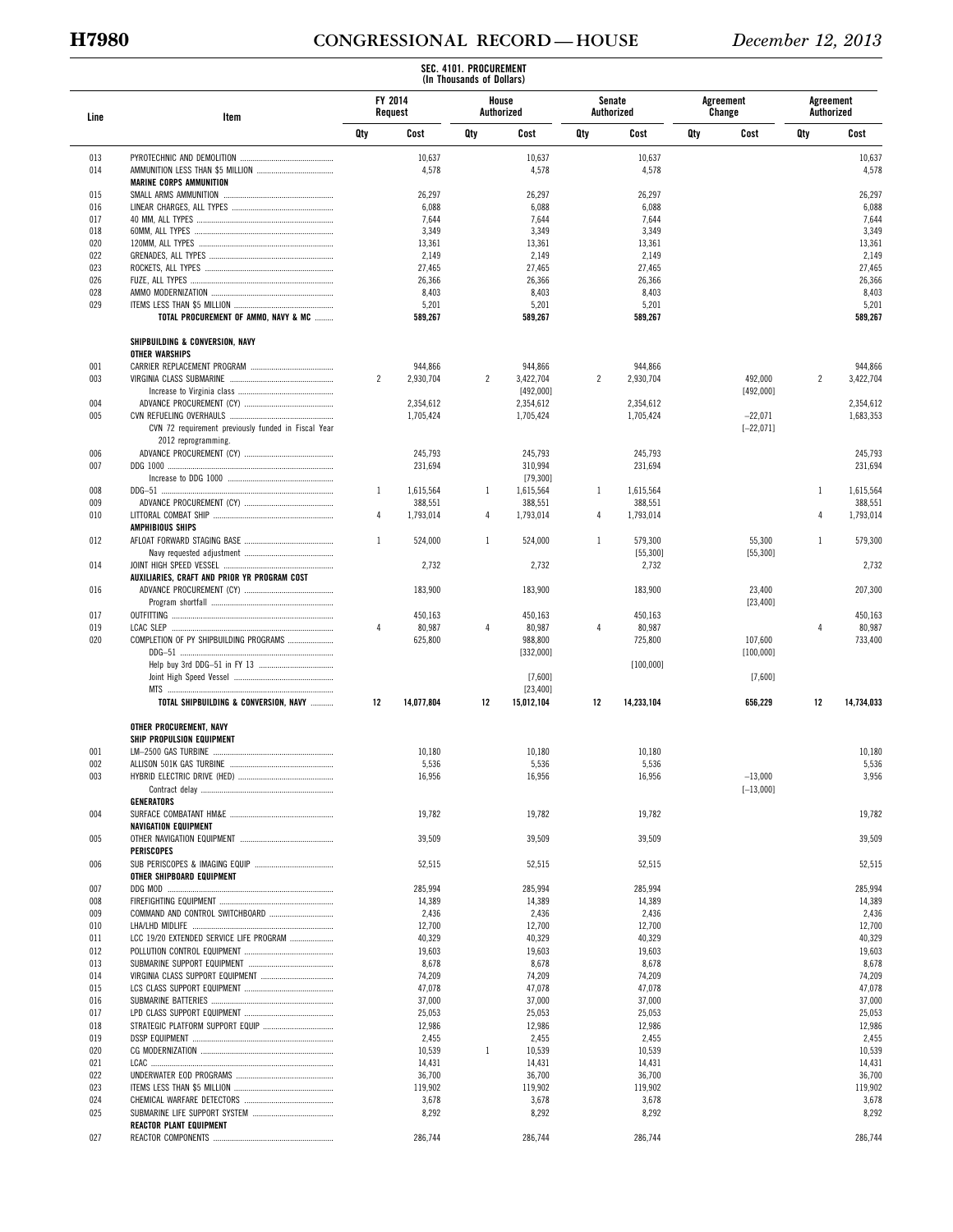# **H7980 CONGRESSIONAL RECORD — HOUSE** *December 12, 2013*

|            |                                                      |                |                    | SEC. 4101. PROCUREMENT<br>(In Thousands of Dollars) |                     |                |                      |     |                     |                |                         |
|------------|------------------------------------------------------|----------------|--------------------|-----------------------------------------------------|---------------------|----------------|----------------------|-----|---------------------|----------------|-------------------------|
| Line       | Item                                                 |                | FY 2014<br>Request |                                                     | House<br>Authorized |                | Senate<br>Authorized |     | Agreement<br>Change |                | Agreement<br>Authorized |
|            |                                                      | Qty            | Cost               | Qty                                                 | Cost                | Qty            | Cost                 | Qty | Cost                | Qty            | Cost                    |
| 013<br>014 |                                                      |                | 10,637<br>4,578    |                                                     | 10,637<br>4,578     |                | 10,637<br>4,578      |     |                     |                | 10,637<br>4,578         |
|            | <b>MARINE CORPS AMMUNITION</b>                       |                |                    |                                                     |                     |                |                      |     |                     |                |                         |
| 015        |                                                      |                | 26,297             |                                                     | 26,297              |                | 26,297               |     |                     |                | 26,297                  |
| 016        |                                                      |                | 6,088              |                                                     | 6,088               |                | 6,088                |     |                     |                | 6,088                   |
| 017        |                                                      |                | 7,644              |                                                     | 7,644               |                | 7,644                |     |                     |                | 7,644                   |
| 018<br>020 |                                                      |                | 3,349              |                                                     | 3,349<br>13,361     |                | 3,349                |     |                     |                | 3,349                   |
| 022        |                                                      |                | 13,361<br>2,149    |                                                     | 2,149               |                | 13,361<br>2,149      |     |                     |                | 13,361<br>2,149         |
| 023        |                                                      |                | 27,465             |                                                     | 27,465              |                | 27,465               |     |                     |                | 27,465                  |
| 026        |                                                      |                | 26,366             |                                                     | 26,366              |                | 26,366               |     |                     |                | 26,366                  |
| 028        |                                                      |                | 8,403              |                                                     | 8,403               |                | 8,403                |     |                     |                | 8,403                   |
| 029        |                                                      |                | 5,201              |                                                     | 5,201               |                | 5,201                |     |                     |                | 5,201                   |
|            | TOTAL PROCUREMENT OF AMMO, NAVY & MC                 |                | 589,267            |                                                     | 589,267             |                | 589,267              |     |                     |                | 589,267                 |
|            | SHIPBUILDING & CONVERSION, NAVY<br>OTHER WARSHIPS    |                |                    |                                                     |                     |                |                      |     |                     |                |                         |
| 001        |                                                      |                | 944,866            |                                                     | 944,866             |                | 944,866              |     |                     |                | 944,866                 |
| 003        |                                                      | $\overline{2}$ | 2,930,704          | $\overline{2}$                                      | 3,422,704           | $\overline{c}$ | 2,930,704            |     | 492,000             | $\overline{c}$ | 3,422,704               |
|            |                                                      |                |                    |                                                     | [492,000]           |                |                      |     | [492,000]           |                |                         |
| 004        |                                                      |                | 2.354.612          |                                                     | 2,354,612           |                | 2,354,612            |     |                     |                | 2,354,612               |
| 005        |                                                      |                | 1,705,424          |                                                     | 1,705,424           |                | 1,705,424            |     | $-22,071$           |                | 1,683,353               |
|            | CVN 72 requirement previously funded in Fiscal Year  |                |                    |                                                     |                     |                |                      |     | $[-22,071]$         |                |                         |
|            | 2012 reprogramming.                                  |                |                    |                                                     |                     |                |                      |     |                     |                |                         |
| 006        |                                                      |                | 245,793            |                                                     | 245,793             |                | 245,793              |     |                     |                | 245,793                 |
| 007        |                                                      |                | 231,694            |                                                     | 310,994             |                | 231,694              |     |                     |                | 231,694                 |
|            |                                                      |                |                    |                                                     | [79, 300]           |                |                      |     |                     |                |                         |
| 008        |                                                      | $\mathbf{1}$   | 1,615,564          | $\mathbf{1}$                                        | 1,615,564           | $\mathbf{1}$   | 1,615,564            |     |                     | $\mathbf{1}$   | 1,615,564               |
| 009        |                                                      |                | 388,551            |                                                     | 388,551             |                | 388,551              |     |                     |                | 388,551                 |
| 010        |                                                      | 4              | 1,793,014          | 4                                                   | 1,793,014           | 4              | 1,793,014            |     |                     | 4              | 1,793,014               |
|            | <b>AMPHIBIOUS SHIPS</b>                              |                |                    |                                                     |                     |                |                      |     |                     |                |                         |
| 012        |                                                      | $\mathbf{1}$   | 524,000            | $\mathbf{1}$                                        | 524,000             | $\mathbf{1}$   | 579,300              |     | 55,300              | $\mathbf{1}$   | 579,300                 |
|            |                                                      |                |                    |                                                     |                     |                | [55, 300]            |     | [55, 300]           |                |                         |
| 014        |                                                      |                | 2,732              |                                                     | 2,732               |                | 2,732                |     |                     |                | 2,732                   |
| 016        | AUXILIARIES, CRAFT AND PRIOR YR PROGRAM COST         |                | 183,900            |                                                     | 183,900             |                | 183,900              |     | 23,400              |                | 207,300                 |
|            |                                                      |                |                    |                                                     |                     |                |                      |     | [23, 400]           |                |                         |
| 017        |                                                      |                | 450,163            |                                                     | 450,163             |                | 450,163              |     |                     |                | 450,163                 |
| 019        |                                                      | $\overline{4}$ | 80,987             | 4                                                   | 80,987              | 4              | 80,987               |     |                     | $\overline{4}$ | 80,987                  |
| 020        | COMPLETION OF PY SHIPBUILDING PROGRAMS               |                | 625,800            |                                                     | 988,800             |                | 725,800              |     | 107,600             |                | 733,400                 |
|            |                                                      |                |                    |                                                     | [332,000]           |                |                      |     | [100,000]           |                |                         |
|            |                                                      |                |                    |                                                     |                     |                | [100,000]            |     |                     |                |                         |
|            |                                                      |                |                    |                                                     | [7,600]             |                |                      |     | [7,600]             |                |                         |
|            |                                                      |                |                    |                                                     | [23, 400]           |                |                      |     |                     |                |                         |
|            | TOTAL SHIPBUILDING & CONVERSION, NAVY                | 12             | 14,077,804         | 12                                                  | 15,012,104          | 12             | 14,233,104           |     | 656,229             | 12             | 14.734.033              |
|            | OTHER PROCUREMENT, NAVY<br>SHIP PROPULSION EQUIPMENT |                |                    |                                                     |                     |                |                      |     |                     |                |                         |
| 001        |                                                      |                | 10,180             |                                                     | 10,180              |                | 10,180               |     |                     |                | 10,180                  |
| 002        |                                                      |                | 5,536              |                                                     | 5,536               |                | 5,536                |     |                     |                | 5,536                   |
| 003        |                                                      |                | 16,956             |                                                     | 16,956              |                | 16,956               |     | $-13,000$           |                | 3,956                   |
|            |                                                      |                |                    |                                                     |                     |                |                      |     | $[-13,000]$         |                |                         |
|            | GENERATORS                                           |                |                    |                                                     |                     |                |                      |     |                     |                |                         |
| 004        |                                                      |                | 19,782             |                                                     | 19,782              |                | 19,782               |     |                     |                | 19,782                  |
|            | <b>NAVIGATION EQUIPMENT</b>                          |                |                    |                                                     |                     |                |                      |     |                     |                |                         |
| 005        |                                                      |                | 39,509             |                                                     | 39,509              |                | 39,509               |     |                     |                | 39,509                  |
|            | PERISCOPES                                           |                |                    |                                                     |                     |                |                      |     |                     |                |                         |
| 006        |                                                      |                | 52,515             |                                                     | 52,515              |                | 52,515               |     |                     |                | 52,515                  |
|            | OTHER SHIPBOARD EQUIPMENT                            |                |                    |                                                     |                     |                |                      |     |                     |                |                         |
| 007        |                                                      |                | 285,994            |                                                     | 285,994             |                | 285,994              |     |                     |                | 285,994                 |
| 008<br>009 |                                                      |                | 14,389<br>2,436    |                                                     | 14,389<br>2,436     |                | 14,389<br>2,436      |     |                     |                | 14,389<br>2,436         |
| 010        |                                                      |                | 12,700             |                                                     | 12,700              |                | 12,700               |     |                     |                | 12,700                  |
| 011        | LCC 19/20 EXTENDED SERVICE LIFE PROGRAM              |                | 40,329             |                                                     | 40,329              |                | 40,329               |     |                     |                | 40,329                  |
| 012        |                                                      |                | 19,603             |                                                     | 19,603              |                | 19,603               |     |                     |                | 19,603                  |
| 013        |                                                      |                | 8,678              |                                                     | 8,678               |                | 8,678                |     |                     |                | 8,678                   |
| 014        |                                                      |                | 74,209             |                                                     | 74,209              |                | 74,209               |     |                     |                | 74,209                  |
| 015        |                                                      |                | 47,078             |                                                     | 47,078              |                | 47,078               |     |                     |                | 47,078                  |
| 016        |                                                      |                | 37,000             |                                                     | 37,000              |                | 37,000               |     |                     |                | 37,000                  |
| 017        |                                                      |                | 25,053             |                                                     | 25,053              |                | 25,053               |     |                     |                | 25,053                  |
| 018        |                                                      |                | 12,986             |                                                     | 12,986              |                | 12,986               |     |                     |                | 12,986                  |
| 019        |                                                      |                | 2,455              |                                                     | 2,455               |                | 2,455                |     |                     |                | 2,455                   |
| 020        |                                                      |                | 10,539             | 1                                                   | 10,539              |                | 10,539               |     |                     |                | 10,539                  |
| 021        |                                                      |                | 14,431             |                                                     | 14,431              |                | 14,431               |     |                     |                | 14,431                  |
| 022        |                                                      |                | 36,700             |                                                     | 36,700              |                | 36,700               |     |                     |                | 36,700                  |
| 023        |                                                      |                | 119,902            |                                                     | 119,902             |                | 119,902              |     |                     |                | 119,902                 |
| 024        |                                                      |                | 3,678              |                                                     | 3,678               |                | 3,678                |     |                     |                | 3,678                   |
| 025        | <b>REACTOR PLANT EQUIPMENT</b>                       |                | 8,292              |                                                     | 8,292               |                | 8,292                |     |                     |                | 8,292                   |
| 027        |                                                      |                | 286,744            |                                                     | 286,744             |                | 286,744              |     |                     |                | 286,744                 |
|            |                                                      |                |                    |                                                     |                     |                |                      |     |                     |                |                         |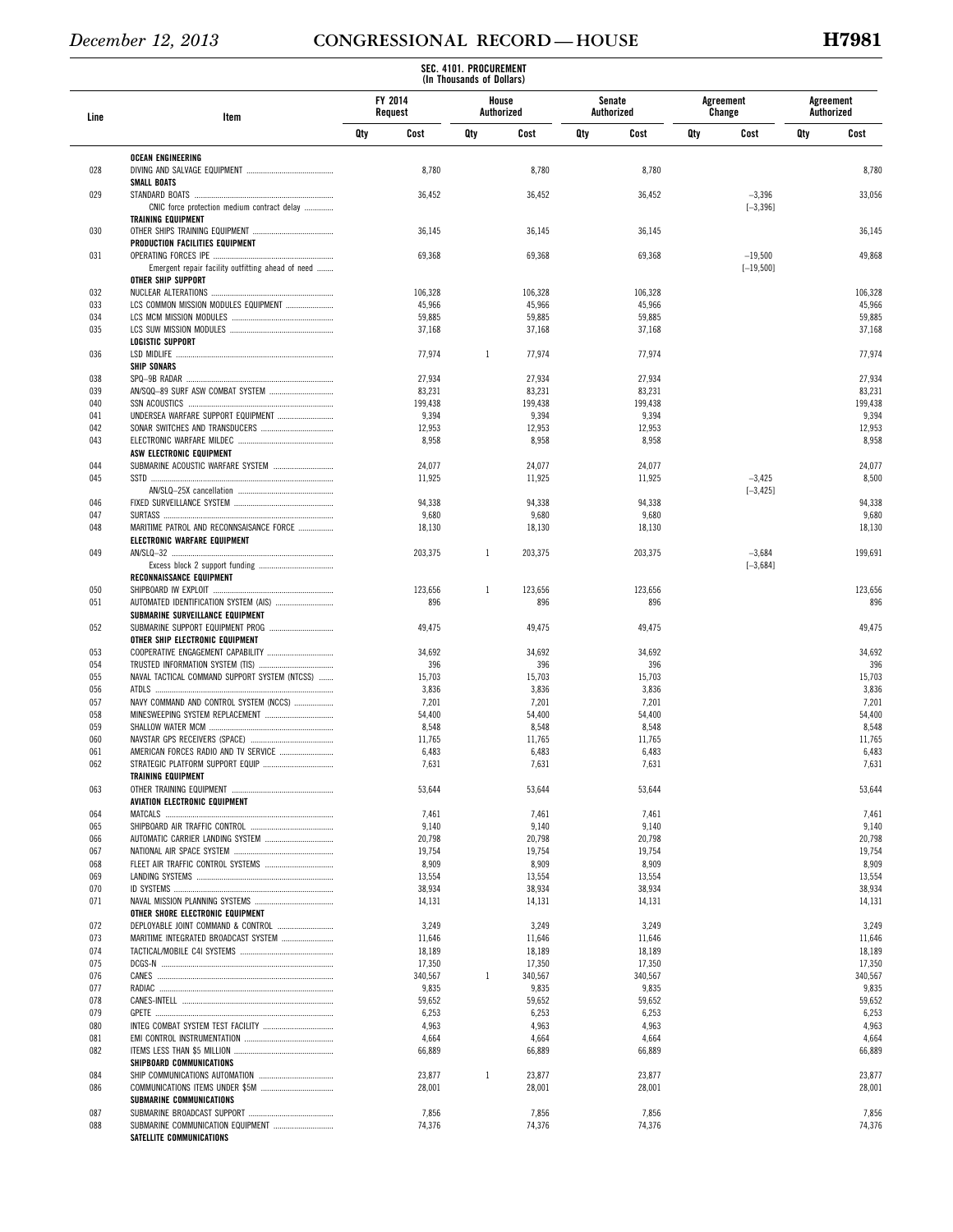|            |                                                   |     |                    | SEC. 4101. PROCUREMENT<br>(In Thousands of Dollars) |                     |     |                      |     |                     |     |                         |
|------------|---------------------------------------------------|-----|--------------------|-----------------------------------------------------|---------------------|-----|----------------------|-----|---------------------|-----|-------------------------|
| Line       | Item                                              |     | FY 2014<br>Request |                                                     | House<br>Authorized |     | Senate<br>Authorized |     | Agreement<br>Change |     | Agreement<br>Authorized |
|            |                                                   | Qty | Cost               | Qty                                                 | Cost                | Qty | Cost                 | Qty | Cost                | Qty | Cost                    |
| 028        | OCEAN ENGINEERING                                 |     | 8,780              |                                                     | 8,780               |     | 8,780                |     |                     |     | 8,780                   |
|            | <b>SMALL BOATS</b>                                |     |                    |                                                     |                     |     |                      |     |                     |     |                         |
| 029        |                                                   |     | 36,452             |                                                     | 36,452              |     | 36,452               |     | $-3,396$            |     | 33,056                  |
|            | CNIC force protection medium contract delay       |     |                    |                                                     |                     |     |                      |     | $[-3, 396]$         |     |                         |
|            | <b>TRAINING EQUIPMENT</b>                         |     |                    |                                                     |                     |     |                      |     |                     |     |                         |
| 030        |                                                   |     | 36,145             |                                                     | 36,145              |     | 36,145               |     |                     |     | 36,145                  |
| 031        | PRODUCTION FACILITIES EQUIPMENT                   |     | 69,368             |                                                     | 69,368              |     | 69,368               |     | $-19,500$           |     | 49,868                  |
|            | Emergent repair facility outfitting ahead of need |     |                    |                                                     |                     |     |                      |     | $[-19, 500]$        |     |                         |
|            | OTHER SHIP SUPPORT                                |     |                    |                                                     |                     |     |                      |     |                     |     |                         |
| 032        |                                                   |     | 106,328            |                                                     | 106,328             |     | 106,328              |     |                     |     | 106,328                 |
| 033        | LCS COMMON MISSION MODULES EQUIPMENT              |     | 45,966             |                                                     | 45,966              |     | 45,966               |     |                     |     | 45,966                  |
| 034        |                                                   |     | 59,885             |                                                     | 59,885              |     | 59,885               |     |                     |     | 59,885                  |
| 035        | <b>LOGISTIC SUPPORT</b>                           |     | 37,168             |                                                     | 37,168              |     | 37,168               |     |                     |     | 37,168                  |
| 036        |                                                   |     | 77,974             | $\mathbf{1}$                                        | 77,974              |     | 77,974               |     |                     |     | 77,974                  |
|            | <b>SHIP SONARS</b>                                |     |                    |                                                     |                     |     |                      |     |                     |     |                         |
| 038        |                                                   |     | 27,934             |                                                     | 27,934              |     | 27,934               |     |                     |     | 27,934                  |
| 039        |                                                   |     | 83,231             |                                                     | 83,231              |     | 83,231               |     |                     |     | 83,231                  |
| 040        |                                                   |     | 199,438            |                                                     | 199,438             |     | 199,438              |     |                     |     | 199,438                 |
| 041        | UNDERSEA WARFARE SUPPORT EQUIPMENT                |     | 9,394              |                                                     | 9,394               |     | 9,394                |     |                     |     | 9,394                   |
| 042        |                                                   |     | 12,953             |                                                     | 12,953              |     | 12,953               |     |                     |     | 12,953                  |
| 043        |                                                   |     | 8,958              |                                                     | 8,958               |     | 8,958                |     |                     |     | 8,958                   |
|            | ASW ELECTRONIC EQUIPMENT                          |     |                    |                                                     |                     |     |                      |     |                     |     |                         |
| 044        | SUBMARINE ACOUSTIC WARFARE SYSTEM                 |     | 24,077             |                                                     | 24,077              |     | 24,077               |     |                     |     | 24,077                  |
| 045        |                                                   |     | 11,925             |                                                     | 11,925              |     | 11,925               |     | $-3,425$            |     | 8,500                   |
| 046        |                                                   |     | 94,338             |                                                     | 94,338              |     | 94,338               |     | $[-3, 425]$         |     | 94,338                  |
| 047        |                                                   |     | 9,680              |                                                     | 9,680               |     | 9,680                |     |                     |     | 9,680                   |
| 048        | MARITIME PATROL AND RECONNSAISANCE FORCE          |     | 18,130             |                                                     | 18,130              |     | 18,130               |     |                     |     | 18,130                  |
|            | ELECTRONIC WARFARE EQUIPMENT                      |     |                    |                                                     |                     |     |                      |     |                     |     |                         |
| 049        |                                                   |     | 203,375            | $\mathbf{1}$                                        | 203,375             |     | 203,375              |     | $-3,684$            |     | 199,691                 |
|            |                                                   |     |                    |                                                     |                     |     |                      |     | $[-3, 684]$         |     |                         |
|            | RECONNAISSANCE EQUIPMENT                          |     |                    |                                                     |                     |     |                      |     |                     |     |                         |
| 050        |                                                   |     | 123,656            | 1                                                   | 123,656             |     | 123,656              |     |                     |     | 123,656                 |
| 051        |                                                   |     | 896                |                                                     | 896                 |     | 896                  |     |                     |     | 896                     |
|            | SUBMARINE SURVEILLANCE EQUIPMENT                  |     |                    |                                                     |                     |     |                      |     |                     |     |                         |
| 052        | OTHER SHIP ELECTRONIC EQUIPMENT                   |     | 49,475             |                                                     | 49,475              |     | 49,475               |     |                     |     | 49,475                  |
| 053        | COOPERATIVE ENGAGEMENT CAPABILITY                 |     | 34,692             |                                                     | 34,692              |     | 34,692               |     |                     |     | 34,692                  |
| 054        |                                                   |     | 396                |                                                     | 396                 |     | 396                  |     |                     |     | 396                     |
| 055        | NAVAL TACTICAL COMMAND SUPPORT SYSTEM (NTCSS)     |     | 15,703             |                                                     | 15,703              |     | 15,703               |     |                     |     | 15,703                  |
| 056        |                                                   |     | 3,836              |                                                     | 3,836               |     | 3,836                |     |                     |     | 3,836                   |
| 057        | NAVY COMMAND AND CONTROL SYSTEM (NCCS)            |     | 7,201              |                                                     | 7,201               |     | 7,201                |     |                     |     | 7,201                   |
| 058        |                                                   |     | 54,400             |                                                     | 54,400              |     | 54,400               |     |                     |     | 54,400                  |
| 059        |                                                   |     | 8,548              |                                                     | 8,548               |     | 8,548                |     |                     |     | 8,548                   |
| 060        |                                                   |     | 11,765             |                                                     | 11,765              |     | 11,765               |     |                     |     | 11,765                  |
| 061        |                                                   |     | 6,483              |                                                     | 6,483               |     | 6,483                |     |                     |     | 6,483                   |
| 062        |                                                   |     | 7,631              |                                                     | 7,631               |     | 7,631                |     |                     |     | 7,631                   |
| 063        | <b>TRAINING EQUIPMENT</b>                         |     | 53,644             |                                                     | 53,644              |     | 53,644               |     |                     |     | 53,644                  |
|            | AVIATION ELECTRONIC EQUIPMENT                     |     |                    |                                                     |                     |     |                      |     |                     |     |                         |
| 064        |                                                   |     | 7,461              |                                                     | 7,461               |     | 7,461                |     |                     |     | 7,461                   |
| 065        |                                                   |     | 9,140              |                                                     | 9,140               |     | 9,140                |     |                     |     | 9,140                   |
| 066        |                                                   |     | 20,798             |                                                     | 20,798              |     | 20,798               |     |                     |     | 20,798                  |
| 067        |                                                   |     | 19,754             |                                                     | 19,754              |     | 19,754               |     |                     |     | 19,754                  |
| 068        |                                                   |     | 8,909              |                                                     | 8,909               |     | 8,909                |     |                     |     | 8,909                   |
| 069        |                                                   |     | 13,554             |                                                     | 13,554              |     | 13,554               |     |                     |     | 13,554                  |
| 070        |                                                   |     | 38,934             |                                                     | 38,934              |     | 38,934               |     |                     |     | 38,934                  |
| 071        |                                                   |     | 14,131             |                                                     | 14,131              |     | 14,131               |     |                     |     | 14,131                  |
|            | OTHER SHORE ELECTRONIC EQUIPMENT                  |     |                    |                                                     |                     |     |                      |     |                     |     |                         |
| 072        | DEPLOYABLE JOINT COMMAND & CONTROL                |     | 3,249              |                                                     | 3,249               |     | 3,249                |     |                     |     | 3,249                   |
| 073<br>074 | MARITIME INTEGRATED BROADCAST SYSTEM              |     | 11,646             |                                                     | 11,646              |     | 11,646               |     |                     |     | 11,646                  |
| 075        |                                                   |     | 18,189<br>17,350   |                                                     | 18,189<br>17,350    |     | 18,189<br>17,350     |     |                     |     | 18,189<br>17,350        |
| 076        |                                                   |     | 340,567            | $\mathbf{1}$                                        | 340,567             |     | 340,567              |     |                     |     | 340,567                 |
| 077        |                                                   |     | 9,835              |                                                     | 9,835               |     | 9,835                |     |                     |     | 9,835                   |
| 078        |                                                   |     | 59,652             |                                                     | 59,652              |     | 59,652               |     |                     |     | 59,652                  |
| 079        |                                                   |     | 6,253              |                                                     | 6,253               |     | 6,253                |     |                     |     | 6,253                   |
| 080        |                                                   |     | 4,963              |                                                     | 4,963               |     | 4,963                |     |                     |     | 4,963                   |
| 081        |                                                   |     | 4,664              |                                                     | 4,664               |     | 4,664                |     |                     |     | 4,664                   |
| 082        |                                                   |     | 66,889             |                                                     | 66,889              |     | 66,889               |     |                     |     | 66,889                  |
|            | SHIPBOARD COMMUNICATIONS                          |     |                    |                                                     |                     |     |                      |     |                     |     |                         |
| 084        |                                                   |     | 23,877             | $\mathbf{1}$                                        | 23,877              |     | 23,877               |     |                     |     | 23,877                  |
| 086        |                                                   |     | 28,001             |                                                     | 28,001              |     | 28,001               |     |                     |     | 28,001                  |
|            | SUBMARINE COMMUNICATIONS                          |     |                    |                                                     |                     |     |                      |     |                     |     |                         |
| 087<br>088 | SUBMARINE COMMUNICATION EQUIPMENT                 |     | 7,856<br>74,376    |                                                     | 7,856<br>74,376     |     | 7,856<br>74,376      |     |                     |     | 7,856<br>74,376         |
|            | SATELLITE COMMUNICATIONS                          |     |                    |                                                     |                     |     |                      |     |                     |     |                         |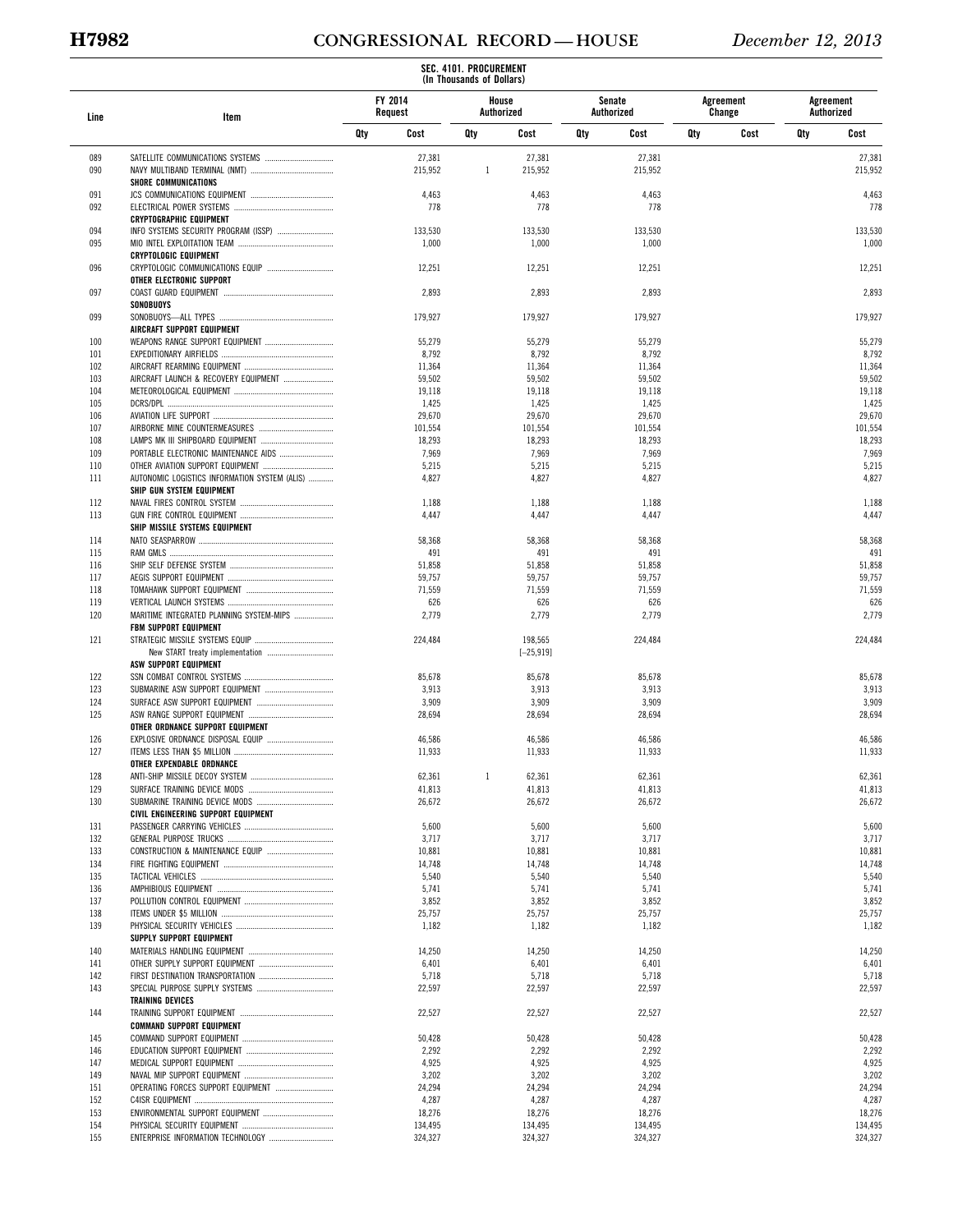# **H7982 CONGRESSIONAL RECORD — HOUSE** *December 12, 2013*

|            |                                               |     |                    | SEC. 4101. PROCUREMENT<br>(In Thousands of Dollars) |                     |     |                      |     |                     |     |                         |
|------------|-----------------------------------------------|-----|--------------------|-----------------------------------------------------|---------------------|-----|----------------------|-----|---------------------|-----|-------------------------|
| Line       | Item                                          |     | FY 2014<br>Request |                                                     | House<br>Authorized |     | Senate<br>Authorized |     | Agreement<br>Change |     | Agreement<br>Authorized |
|            |                                               | Qty | Cost               | Qty                                                 | Cost                | Qty | Cost                 | Qty | Cost                | Qty | Cost                    |
| 089        |                                               |     | 27,381             |                                                     | 27,381              |     | 27,381               |     |                     |     | 27,381                  |
| 090        |                                               |     | 215,952            | $\mathbf{1}$                                        | 215,952             |     | 215,952              |     |                     |     | 215,952                 |
| 091        | <b>SHORE COMMUNICATIONS</b>                   |     | 4,463              |                                                     | 4,463               |     | 4,463                |     |                     |     | 4,463                   |
| 092        |                                               |     | 778                |                                                     | 778                 |     | 778                  |     |                     |     | 778                     |
|            | <b>CRYPTOGRAPHIC EQUIPMENT</b>                |     |                    |                                                     |                     |     |                      |     |                     |     |                         |
| 094        |                                               |     | 133,530            |                                                     | 133,530             |     | 133,530              |     |                     |     | 133,530                 |
| 095        | <b>CRYPTOLOGIC EQUIPMENT</b>                  |     | 1,000              |                                                     | 1,000               |     | 1,000                |     |                     |     | 1,000                   |
| 096        | CRYPTOLOGIC COMMUNICATIONS EQUIP              |     | 12,251             |                                                     | 12,251              |     | 12,251               |     |                     |     | 12,251                  |
|            | OTHER ELECTRONIC SUPPORT                      |     |                    |                                                     |                     |     |                      |     |                     |     |                         |
| 097        |                                               |     | 2,893              |                                                     | 2,893               |     | 2,893                |     |                     |     | 2,893                   |
| 099        | SONOBUOYS                                     |     | 179,927            |                                                     | 179,927             |     | 179,927              |     |                     |     | 179,927                 |
|            | AIRCRAFT SUPPORT EQUIPMENT                    |     |                    |                                                     |                     |     |                      |     |                     |     |                         |
| 100        |                                               |     | 55,279             |                                                     | 55,279              |     | 55,279               |     |                     |     | 55,279                  |
| 101        |                                               |     | 8,792              |                                                     | 8,792               |     | 8,792                |     |                     |     | 8,792                   |
| 102<br>103 | AIRCRAFT LAUNCH & RECOVERY EQUIPMENT          |     | 11,364<br>59,502   |                                                     | 11,364<br>59,502    |     | 11,364<br>59,502     |     |                     |     | 11,364<br>59,502        |
| 104        |                                               |     | 19,118             |                                                     | 19,118              |     | 19,118               |     |                     |     | 19,118                  |
| 105        |                                               |     | 1,425              |                                                     | 1,425               |     | 1,425                |     |                     |     | 1,425                   |
| 106        |                                               |     | 29,670             |                                                     | 29,670              |     | 29,670               |     |                     |     | 29,670                  |
| 107<br>108 |                                               |     | 101,554            |                                                     | 101,554             |     | 101,554<br>18,293    |     |                     |     | 101,554<br>18,293       |
| 109        | PORTABLE ELECTRONIC MAINTENANCE AIDS          |     | 18,293<br>7,969    |                                                     | 18,293<br>7,969     |     | 7,969                |     |                     |     | 7,969                   |
| 110        |                                               |     | 5,215              |                                                     | 5,215               |     | 5,215                |     |                     |     | 5,215                   |
| 111        | AUTONOMIC LOGISTICS INFORMATION SYSTEM (ALIS) |     | 4,827              |                                                     | 4,827               |     | 4,827                |     |                     |     | 4,827                   |
| 112        | SHIP GUN SYSTEM EQUIPMENT                     |     | 1,188              |                                                     | 1,188               |     |                      |     |                     |     |                         |
| 113        |                                               |     | 4,447              |                                                     | 4,447               |     | 1,188<br>4,447       |     |                     |     | 1,188<br>4,447          |
|            | SHIP MISSILE SYSTEMS EQUIPMENT                |     |                    |                                                     |                     |     |                      |     |                     |     |                         |
| 114        |                                               |     | 58,368             |                                                     | 58,368              |     | 58,368               |     |                     |     | 58,368                  |
| 115        |                                               |     | 491                |                                                     | 491                 |     | 491                  |     |                     |     | 491                     |
| 116<br>117 |                                               |     | 51,858<br>59,757   |                                                     | 51,858<br>59,757    |     | 51,858<br>59,757     |     |                     |     | 51,858<br>59,757        |
| 118        |                                               |     | 71,559             |                                                     | 71,559              |     | 71,559               |     |                     |     | 71,559                  |
| 119        |                                               |     | 626                |                                                     | 626                 |     | 626                  |     |                     |     | 626                     |
| 120        | MARITIME INTEGRATED PLANNING SYSTEM-MIPS      |     | 2,779              |                                                     | 2,779               |     | 2,779                |     |                     |     | 2,779                   |
| 121        | <b>FBM SUPPORT EQUIPMENT</b>                  |     | 224,484            |                                                     | 198,565             |     | 224,484              |     |                     |     | 224,484                 |
|            | New START treaty implementation               |     |                    |                                                     | $[-25, 919]$        |     |                      |     |                     |     |                         |
|            | ASW SUPPORT EQUIPMENT                         |     |                    |                                                     |                     |     |                      |     |                     |     |                         |
| 122<br>123 |                                               |     | 85,678<br>3,913    |                                                     | 85,678<br>3,913     |     | 85,678<br>3,913      |     |                     |     | 85,678<br>3,913         |
| 124        |                                               |     | 3,909              |                                                     | 3,909               |     | 3,909                |     |                     |     | 3,909                   |
| 125        |                                               |     | 28,694             |                                                     | 28,694              |     | 28,694               |     |                     |     | 28,694                  |
|            | OTHER ORDNANCE SUPPORT EQUIPMENT              |     |                    |                                                     |                     |     |                      |     |                     |     |                         |
| 126<br>127 |                                               |     | 46,586<br>11,933   |                                                     | 46,586<br>11,933    |     | 46,586<br>11,933     |     |                     |     | 46,586<br>11,933        |
|            | OTHER EXPENDABLE ORDNANCE                     |     |                    |                                                     |                     |     |                      |     |                     |     |                         |
| 128        |                                               |     | 62,361             | $\mathbf{1}$                                        | 62,361              |     | 62,361               |     |                     |     | 62,361                  |
| 129        |                                               |     | 41,813             |                                                     | 41,813              |     | 41,813               |     |                     |     | 41,813                  |
| 130        | CIVIL ENGINEERING SUPPORT EQUIPMENT           |     | 26,672             |                                                     | 26,672              |     | 26,672               |     |                     |     | 26,672                  |
| 131        |                                               |     | 5,600              |                                                     | 5,600               |     | 5,600                |     |                     |     | 5,600                   |
| 132        |                                               |     | 3,717              |                                                     | 3,717               |     | 3,717                |     |                     |     | 3,717                   |
| 133        |                                               |     | 10,881             |                                                     | 10,881              |     | 10,881               |     |                     |     | 10,881                  |
| 134<br>135 |                                               |     | 14,748             |                                                     | 14,748              |     | 14,748<br>5,540      |     |                     |     | 14,748<br>5,540         |
| 136        |                                               |     | 5,540<br>5,741     |                                                     | 5,540<br>5,741      |     | 5,741                |     |                     |     | 5,741                   |
| 137        |                                               |     | 3,852              |                                                     | 3,852               |     | 3,852                |     |                     |     | 3,852                   |
| 138        |                                               |     | 25,757             |                                                     | 25,757              |     | 25,757               |     |                     |     | 25,757                  |
| 139        |                                               |     | 1,182              |                                                     | 1,182               |     | 1,182                |     |                     |     | 1,182                   |
| 140        | SUPPLY SUPPORT EQUIPMENT                      |     | 14,250             |                                                     | 14,250              |     | 14,250               |     |                     |     | 14,250                  |
| 141        |                                               |     | 6,401              |                                                     | 6,401               |     | 6,401                |     |                     |     | 6,401                   |
| 142        |                                               |     | 5,718              |                                                     | 5,718               |     | 5,718                |     |                     |     | 5,718                   |
| 143        |                                               |     | 22,597             |                                                     | 22,597              |     | 22,597               |     |                     |     | 22,597                  |
| 144        | <b>TRAINING DEVICES</b>                       |     | 22,527             |                                                     | 22,527              |     | 22,527               |     |                     |     | 22,527                  |
|            | <b>COMMAND SUPPORT EQUIPMENT</b>              |     |                    |                                                     |                     |     |                      |     |                     |     |                         |
| 145        |                                               |     | 50,428             |                                                     | 50,428              |     | 50,428               |     |                     |     | 50,428                  |
| 146<br>147 |                                               |     | 2,292<br>4,925     |                                                     | 2,292<br>4,925      |     | 2,292<br>4,925       |     |                     |     | 2,292<br>4,925          |
| 149        |                                               |     | 3,202              |                                                     | 3,202               |     | 3,202                |     |                     |     | 3,202                   |
| 151        | OPERATING FORCES SUPPORT EQUIPMENT            |     | 24,294             |                                                     | 24,294              |     | 24,294               |     |                     |     | 24,294                  |
| 152        |                                               |     | 4,287              |                                                     | 4,287               |     | 4,287                |     |                     |     | 4,287                   |
| 153<br>154 |                                               |     | 18,276<br>134,495  |                                                     | 18,276<br>134,495   |     | 18,276<br>134,495    |     |                     |     | 18,276<br>134,495       |
| 155        | ENTERPRISE INFORMATION TECHNOLOGY             |     | 324,327            |                                                     | 324,327             |     | 324,327              |     |                     |     | 324,327                 |
|            |                                               |     |                    |                                                     |                     |     |                      |     |                     |     |                         |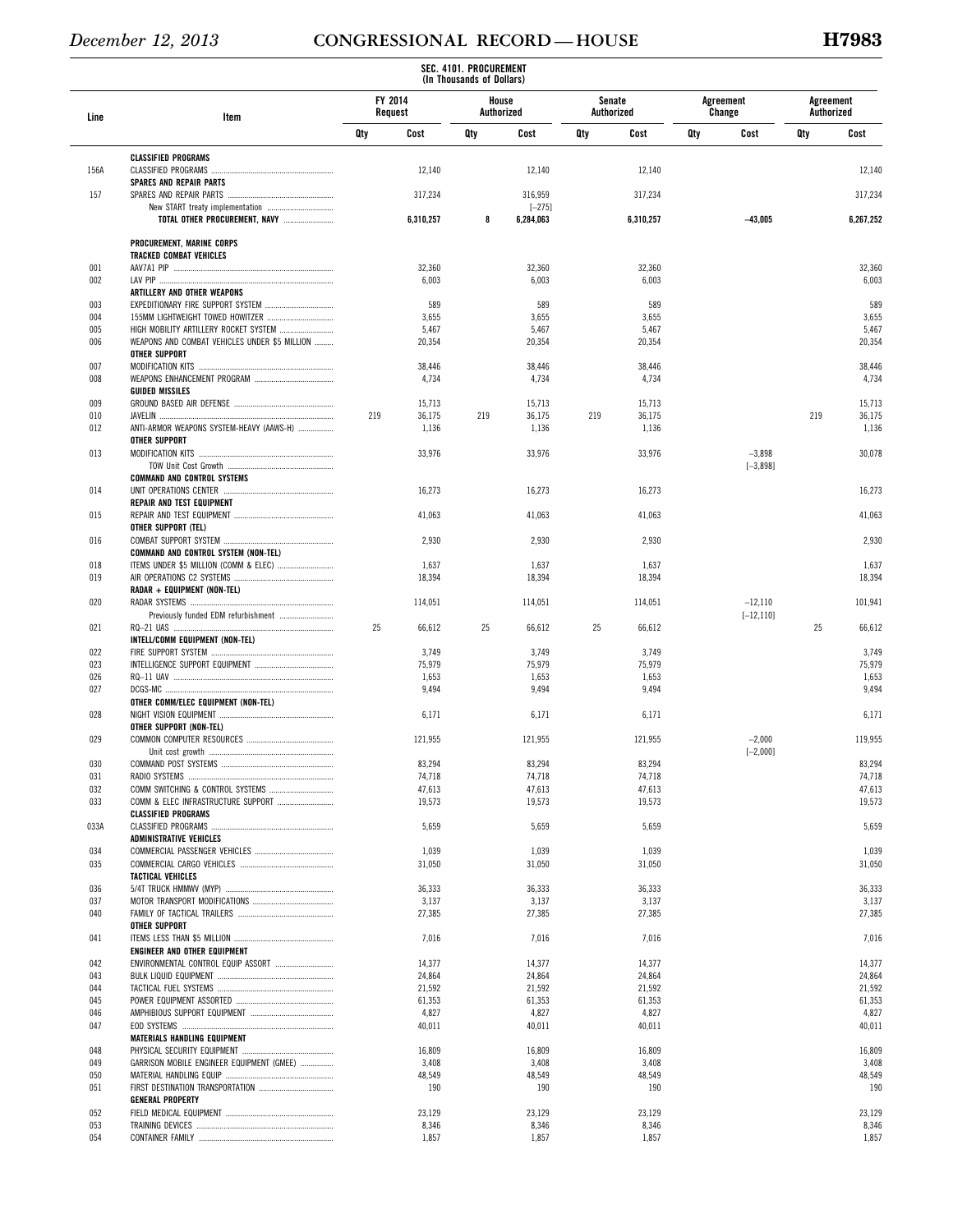|            |                                                                       |                    |                  | SEC. 4101. PROCUREMENT<br>(In Thousands of Dollars) |                  |                             |                  |     |                     |                         |                  |
|------------|-----------------------------------------------------------------------|--------------------|------------------|-----------------------------------------------------|------------------|-----------------------------|------------------|-----|---------------------|-------------------------|------------------|
| Line       | Item                                                                  | FY 2014<br>Request |                  | House                                               | Authorized       | <b>Senate</b><br>Authorized |                  |     | Agreement<br>Change | Agreement<br>Authorized |                  |
|            |                                                                       | Qty                | Cost             | Qty                                                 | Cost             | Qty                         | Cost             | Qty | Cost                | Qty                     | Cost             |
|            | <b>CLASSIFIED PROGRAMS</b>                                            |                    |                  |                                                     |                  |                             |                  |     |                     |                         |                  |
| 156A       | <b>SPARES AND REPAIR PARTS</b>                                        |                    | 12,140           |                                                     | 12,140           |                             | 12,140           |     |                     |                         | 12,140           |
| 157        |                                                                       |                    | 317,234          |                                                     | 316,959          |                             | 317,234          |     |                     |                         | 317,234          |
|            |                                                                       |                    |                  |                                                     | $[-275]$         |                             |                  |     |                     |                         |                  |
|            | TOTAL OTHER PROCUREMENT, NAVY                                         |                    | 6,310,257        | 8                                                   | 6,284,063        |                             | 6,310,257        |     | $-43,005$           |                         | 6,267,252        |
|            | PROCUREMENT, MARINE CORPS                                             |                    |                  |                                                     |                  |                             |                  |     |                     |                         |                  |
| 001        | <b>TRACKED COMBAT VEHICLES</b>                                        |                    | 32,360           |                                                     | 32,360           |                             | 32,360           |     |                     |                         | 32,360           |
| 002        |                                                                       |                    | 6,003            |                                                     | 6,003            |                             | 6,003            |     |                     |                         | 6,003            |
| 003        | ARTILLERY AND OTHER WEAPONS<br>EXPEDITIONARY FIRE SUPPORT SYSTEM      |                    | 589              |                                                     | 589              |                             | 589              |     |                     |                         | 589              |
| 004        | 155MM LIGHTWEIGHT TOWED HOWITZER                                      |                    | 3,655            |                                                     | 3,655            |                             | 3,655            |     |                     |                         | 3,655            |
| 005        | HIGH MOBILITY ARTILLERY ROCKET SYSTEM                                 |                    | 5,467            |                                                     | 5,467            |                             | 5,467            |     |                     |                         | 5,467            |
| 006        | WEAPONS AND COMBAT VEHICLES UNDER \$5 MILLION<br><b>OTHER SUPPORT</b> |                    | 20,354           |                                                     | 20,354           |                             | 20,354           |     |                     |                         | 20,354           |
| 007        |                                                                       |                    | 38,446           |                                                     | 38,446           |                             | 38,446           |     |                     |                         | 38,446           |
| 008        | <b>GUIDED MISSILES</b>                                                |                    | 4,734            |                                                     | 4,734            |                             | 4,734            |     |                     |                         | 4,734            |
| 009        |                                                                       |                    | 15,713           |                                                     | 15,713           |                             | 15,713           |     |                     |                         | 15,713           |
| 010        |                                                                       | 219                | 36,175           | 219                                                 | 36,175           | 219                         | 36,175           |     |                     | 219                     | 36,175           |
| 012        | ANTI-ARMOR WEAPONS SYSTEM-HEAVY (AAWS-H)<br><b>OTHER SUPPORT</b>      |                    | 1,136            |                                                     | 1,136            |                             | 1,136            |     |                     |                         | 1,136            |
| 013        |                                                                       |                    | 33,976           |                                                     | 33,976           |                             | 33,976           |     | $-3,898$            |                         | 30,078           |
|            |                                                                       |                    |                  |                                                     |                  |                             |                  |     | $[-3,898]$          |                         |                  |
| 014        | <b>COMMAND AND CONTROL SYSTEMS</b>                                    |                    | 16,273           |                                                     | 16,273           |                             | 16,273           |     |                     |                         | 16,273           |
|            | <b>REPAIR AND TEST EQUIPMENT</b>                                      |                    |                  |                                                     |                  |                             |                  |     |                     |                         |                  |
| 015        |                                                                       |                    | 41,063           |                                                     | 41,063           |                             | 41,063           |     |                     |                         | 41,063           |
| 016        | OTHER SUPPORT (TEL)                                                   |                    | 2,930            |                                                     | 2,930            |                             | 2,930            |     |                     |                         | 2,930            |
|            | COMMAND AND CONTROL SYSTEM (NON-TEL)                                  |                    |                  |                                                     |                  |                             |                  |     |                     |                         |                  |
| 018<br>019 | ITEMS UNDER \$5 MILLION (COMM & ELEC)                                 |                    | 1,637<br>18,394  |                                                     | 1,637<br>18,394  |                             | 1,637<br>18,394  |     |                     |                         | 1,637<br>18,394  |
|            | RADAR + EQUIPMENT (NON-TEL)                                           |                    |                  |                                                     |                  |                             |                  |     |                     |                         |                  |
| 020        |                                                                       |                    | 114,051          |                                                     | 114,051          |                             | 114,051          |     | $-12,110$           |                         | 101,941          |
| 021        |                                                                       | 25                 | 66,612           | 25                                                  | 66,612           | 25                          | 66,612           |     | $[-12, 110]$        | 25                      | 66,612           |
|            | INTELL/COMM EQUIPMENT (NON-TEL)                                       |                    |                  |                                                     |                  |                             |                  |     |                     |                         |                  |
| 022<br>023 |                                                                       |                    | 3,749<br>75,979  |                                                     | 3,749<br>75,979  |                             | 3,749<br>75,979  |     |                     |                         | 3,749<br>75,979  |
| 026        |                                                                       |                    | 1,653            |                                                     | 1,653            |                             | 1,653            |     |                     |                         | 1,653            |
| 027        |                                                                       |                    | 9,494            |                                                     | 9,494            |                             | 9,494            |     |                     |                         | 9,494            |
| 028        | OTHER COMM/ELEC EQUIPMENT (NON-TEL)                                   |                    | 6,171            |                                                     | 6,171            |                             | 6,171            |     |                     |                         | 6,171            |
|            | OTHER SUPPORT (NON-TEL)                                               |                    |                  |                                                     |                  |                             |                  |     |                     |                         |                  |
| 029        |                                                                       |                    | 121,955          |                                                     | 121,955          |                             | 121,955          |     | $-2,000$            |                         | 119,955          |
| 030        |                                                                       |                    | 83,294           |                                                     | 83,294           |                             | 83,294           |     | $[-2,000]$          |                         | 83,294           |
| 031        |                                                                       |                    | 74,718           |                                                     | 74,718           |                             | 74,718           |     |                     |                         | 74,718           |
| 032<br>033 | COMM & ELEC INFRASTRUCTURE SUPPORT                                    |                    | 47,613<br>19,573 |                                                     | 47,613<br>19,573 |                             | 47,613<br>19,573 |     |                     |                         | 47,613<br>19,573 |
|            | <b>CLASSIFIED PROGRAMS</b>                                            |                    |                  |                                                     |                  |                             |                  |     |                     |                         |                  |
| 033A       |                                                                       |                    | 5,659            |                                                     | 5,659            |                             | 5,659            |     |                     |                         | 5,659            |
| 034        | <b>ADMINISTRATIVE VEHICLES</b>                                        |                    | 1,039            |                                                     | 1,039            |                             | 1,039            |     |                     |                         | 1,039            |
| 035        |                                                                       |                    | 31,050           |                                                     | 31,050           |                             | 31,050           |     |                     |                         | 31,050           |
|            | <b>TACTICAL VEHICLES</b>                                              |                    |                  |                                                     |                  |                             |                  |     |                     |                         |                  |
| 036<br>037 |                                                                       |                    | 36,333<br>3,137  |                                                     | 36,333<br>3,137  |                             | 36,333<br>3,137  |     |                     |                         | 36,333<br>3,137  |
| 040        |                                                                       |                    | 27,385           |                                                     | 27,385           |                             | 27,385           |     |                     |                         | 27,385           |
| 041        | <b>OTHER SUPPORT</b>                                                  |                    | 7,016            |                                                     | 7,016            |                             | 7,016            |     |                     |                         | 7,016            |
|            | ENGINEER AND OTHER EQUIPMENT                                          |                    |                  |                                                     |                  |                             |                  |     |                     |                         |                  |
| 042        | ENVIRONMENTAL CONTROL EQUIP ASSORT                                    |                    | 14,377           |                                                     | 14,377           |                             | 14,377           |     |                     |                         | 14,377           |
| 043<br>044 |                                                                       |                    | 24,864<br>21,592 |                                                     | 24,864<br>21,592 |                             | 24,864<br>21,592 |     |                     |                         | 24,864<br>21,592 |
| 045        |                                                                       |                    | 61,353           |                                                     | 61,353           |                             | 61,353           |     |                     |                         | 61,353           |
| 046        |                                                                       |                    | 4,827            |                                                     | 4,827            |                             | 4,827            |     |                     |                         | 4,827            |
| 047        | MATERIALS HANDLING EQUIPMENT                                          |                    | 40,011           |                                                     | 40,011           |                             | 40,011           |     |                     |                         | 40,011           |
| 048        |                                                                       |                    | 16,809           |                                                     | 16,809           |                             | 16,809           |     |                     |                         | 16,809           |
| 049<br>050 | GARRISON MOBILE ENGINEER EQUIPMENT (GMEE)                             |                    | 3,408<br>48,549  |                                                     | 3,408<br>48,549  |                             | 3,408<br>48,549  |     |                     |                         | 3,408<br>48,549  |
| 051        |                                                                       |                    | 190              |                                                     | 190              |                             | 190              |     |                     |                         | 190              |
|            | <b>GENERAL PROPERTY</b>                                               |                    |                  |                                                     |                  |                             |                  |     |                     |                         |                  |
| 052<br>053 |                                                                       |                    | 23,129<br>8,346  |                                                     | 23,129<br>8,346  |                             | 23,129<br>8,346  |     |                     |                         | 23,129<br>8,346  |
| 054        |                                                                       |                    | 1,857            |                                                     | 1,857            |                             | 1,857            |     |                     |                         | 1,857            |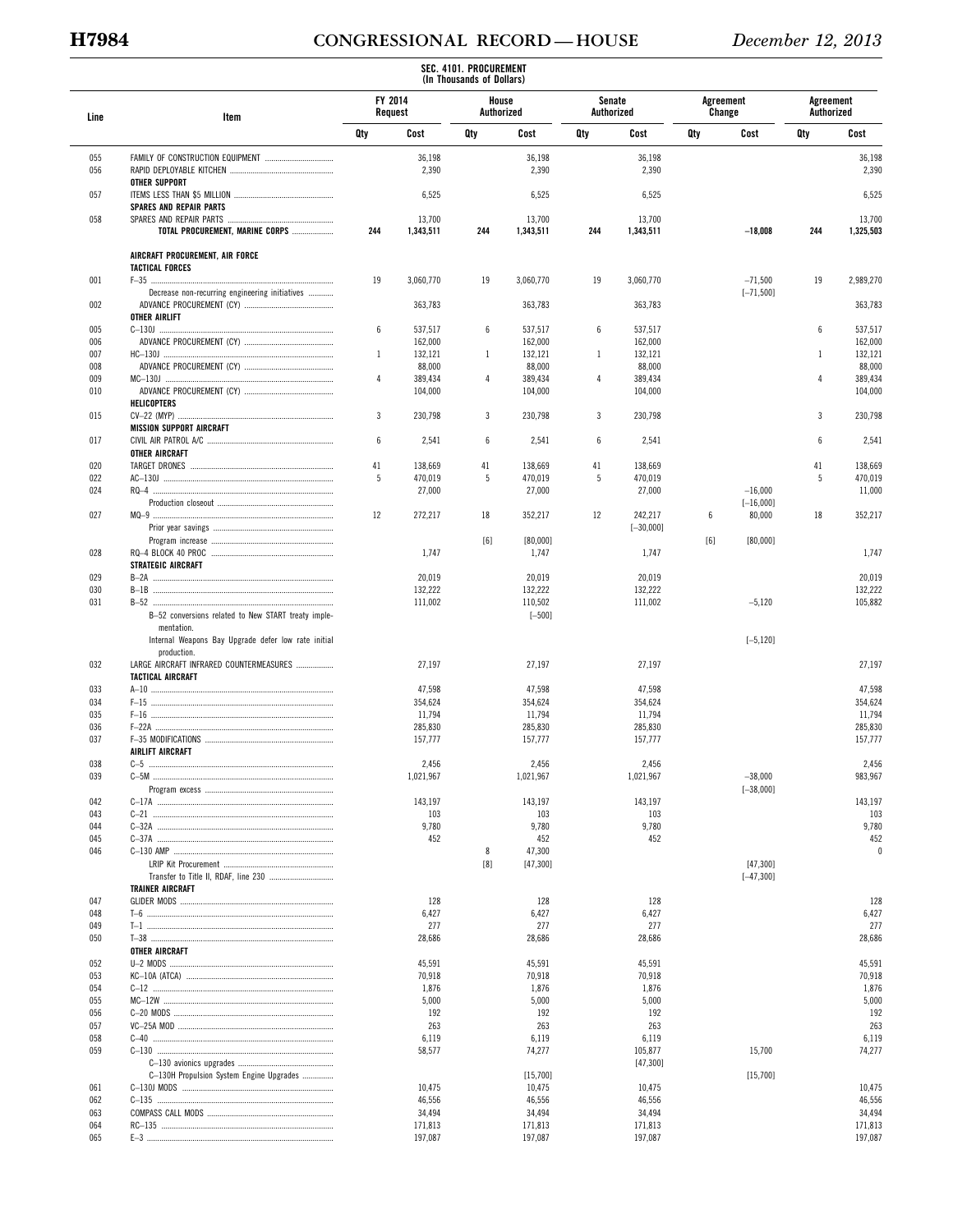# **H7984 CONGRESSIONAL RECORD — HOUSE** *December 12, 2013*

|            |                                                        |                    |                    | SEC. 4101. PROCUREMENT<br>(In Thousands of Dollars) |                     |                      |                    |     |                          |                         |                    |
|------------|--------------------------------------------------------|--------------------|--------------------|-----------------------------------------------------|---------------------|----------------------|--------------------|-----|--------------------------|-------------------------|--------------------|
| Line       | Item                                                   | FY 2014<br>Request |                    |                                                     | House<br>Authorized | Senate<br>Authorized |                    |     | Agreement<br>Change      | Agreement<br>Authorized |                    |
|            |                                                        | Qty                | Cost               | Qty                                                 | Cost                | Qty                  | Cost               | Qty | Cost                     | Qty                     | Cost               |
| 055        |                                                        |                    | 36,198             |                                                     | 36,198              |                      | 36,198             |     |                          |                         | 36,198             |
| 056        |                                                        |                    | 2,390              |                                                     | 2,390               |                      | 2,390              |     |                          |                         | 2,390              |
|            | <b>OTHER SUPPORT</b>                                   |                    |                    |                                                     |                     |                      |                    |     |                          |                         |                    |
| 057        | <b>SPARES AND REPAIR PARTS</b>                         |                    | 6,525              |                                                     | 6,525               |                      | 6,525              |     |                          |                         | 6,525              |
| 058        |                                                        |                    | 13,700             |                                                     | 13,700              |                      | 13,700             |     |                          |                         | 13,700             |
|            | TOTAL PROCUREMENT, MARINE CORPS                        | 244                | 1,343,511          | 244                                                 | 1,343,511           | 244                  | 1,343,511          |     | $-18,008$                | 244                     | 1,325,503          |
|            | AIRCRAFT PROCUREMENT, AIR FORCE                        |                    |                    |                                                     |                     |                      |                    |     |                          |                         |                    |
| 001        | <b>TACTICAL FORCES</b>                                 | 19                 | 3,060,770          | 19                                                  | 3,060,770           | 19                   | 3.060.770          |     | $-71,500$                | 19                      | 2,989,270          |
|            | Decrease non-recurring engineering initiatives         |                    |                    |                                                     |                     |                      |                    |     | $[-71, 500]$             |                         |                    |
| 002        |                                                        |                    | 363,783            |                                                     | 363,783             |                      | 363,783            |     |                          |                         | 363,783            |
| 005        | <b>OTHER AIRLIFT</b>                                   | 6                  | 537,517            | 6                                                   | 537,517             | 6                    | 537,517            |     |                          | 6                       | 537,517            |
| 006        |                                                        |                    | 162,000            |                                                     | 162,000             |                      | 162,000            |     |                          |                         | 162,000            |
| 007        |                                                        | $\mathbf{1}$       | 132,121            | 1                                                   | 132,121             | 1                    | 132,121            |     |                          | -1                      | 132,121            |
| 008        |                                                        |                    | 88,000             |                                                     | 88,000              |                      | 88,000             |     |                          |                         | 88,000             |
| 009<br>010 |                                                        | 4                  | 389,434            | 4                                                   | 389,434             | 4                    | 389,434            |     |                          | $\overline{4}$          | 389,434            |
|            | <b>HELICOPTERS</b>                                     |                    | 104,000            |                                                     | 104,000             |                      | 104,000            |     |                          |                         | 104,000            |
| 015        |                                                        | 3                  | 230,798            | 3                                                   | 230,798             | 3                    | 230,798            |     |                          | 3                       | 230,798            |
|            | <b>MISSION SUPPORT AIRCRAFT</b>                        |                    |                    |                                                     |                     |                      |                    |     |                          |                         |                    |
| 017        |                                                        | 6                  | 2,541              | 6                                                   | 2,541               | 6                    | 2,541              |     |                          | 6                       | 2,541              |
| 020        | <b>OTHER AIRCRAFT</b>                                  | 41                 | 138,669            | 41                                                  | 138,669             | 41                   | 138,669            |     |                          | 41                      | 138,669            |
| 022        |                                                        | 5                  | 470,019            | 5                                                   | 470,019             | 5                    | 470,019            |     |                          | 5                       | 470,019            |
| 024        |                                                        |                    | 27,000             |                                                     | 27,000              |                      | 27,000             |     | $-16,000$                |                         | 11,000             |
|            |                                                        |                    |                    |                                                     |                     |                      |                    |     | $[-16,000]$              |                         |                    |
| 027        |                                                        | 12                 | 272,217            | 18                                                  | 352,217             | 12                   | 242,217            | 6   | 80,000                   | 18                      | 352,217            |
|            |                                                        |                    |                    | [6]                                                 | [80,000]            |                      | $[-30,000]$        | [6] | [80,000]                 |                         |                    |
| 028        |                                                        |                    | 1,747              |                                                     | 1,747               |                      | 1,747              |     |                          |                         | 1,747              |
|            | <b>STRATEGIC AIRCRAFT</b>                              |                    |                    |                                                     |                     |                      |                    |     |                          |                         |                    |
| 029        |                                                        |                    | 20,019             |                                                     | 20,019              |                      | 20,019             |     |                          |                         | 20,019             |
| 030<br>031 |                                                        |                    | 132,222<br>111,002 |                                                     | 132,222<br>110,502  |                      | 132,222<br>111,002 |     | $-5,120$                 |                         | 132,222<br>105,882 |
|            | B-52 conversions related to New START treaty imple-    |                    |                    |                                                     | $[-500]$            |                      |                    |     |                          |                         |                    |
|            | mentation.                                             |                    |                    |                                                     |                     |                      |                    |     |                          |                         |                    |
|            | Internal Weapons Bay Upgrade defer low rate initial    |                    |                    |                                                     |                     |                      |                    |     | $[-5, 120]$              |                         |                    |
| 032        | production.<br>LARGE AIRCRAFT INFRARED COUNTERMEASURES |                    | 27,197             |                                                     | 27,197              |                      | 27,197             |     |                          |                         | 27,197             |
|            | <b>TACTICAL AIRCRAFT</b>                               |                    |                    |                                                     |                     |                      |                    |     |                          |                         |                    |
| 033        |                                                        |                    | 47,598             |                                                     | 47,598              |                      | 47,598             |     |                          |                         | 47,598             |
| 034        |                                                        |                    | 354,624            |                                                     | 354,624             |                      | 354,624            |     |                          |                         | 354,624            |
| 035        |                                                        |                    | 11,794             |                                                     | 11,794              |                      | 11,794             |     |                          |                         | 11,794             |
| 036<br>037 |                                                        |                    | 285,830<br>157,777 |                                                     | 285,830<br>157,777  |                      | 285,830<br>157,777 |     |                          |                         | 285,830<br>157,777 |
|            | AIRLIFT AIRCRAFT                                       |                    |                    |                                                     |                     |                      |                    |     |                          |                         |                    |
| 038        | $C-5$                                                  |                    | 2,456              |                                                     | 2,456               |                      | 2,456              |     |                          |                         | 2,456              |
| 039        |                                                        |                    | 1,021,967          |                                                     | 1,021,967           |                      | 1,021,967          |     | $-38,000$                |                         | 983,967            |
| 042        |                                                        |                    | 143,197            |                                                     | 143,197             |                      | 143,197            |     | $[-38,000]$              |                         | 143,197            |
| 043        |                                                        |                    | 103                |                                                     | 103                 |                      | 103                |     |                          |                         | 103                |
| 044        |                                                        |                    | 9,780              |                                                     | 9,780               |                      | 9,780              |     |                          |                         | 9,780              |
| 045        |                                                        |                    | 452                |                                                     | 452                 |                      | 452                |     |                          |                         | 452                |
| 046        |                                                        |                    |                    | 8                                                   | 47,300              |                      |                    |     |                          |                         | 0                  |
|            |                                                        |                    |                    | [8]                                                 | [47,300]            |                      |                    |     | [47,300]<br>$[-47, 300]$ |                         |                    |
|            | <b>TRAINER AIRCRAFT</b>                                |                    |                    |                                                     |                     |                      |                    |     |                          |                         |                    |
| 047        |                                                        |                    | 128                |                                                     | 128                 |                      | 128                |     |                          |                         | 128                |
| 048        |                                                        |                    | 6,427              |                                                     | 6,427               |                      | 6,427              |     |                          |                         | 6,427              |
| 049        |                                                        |                    | 277                |                                                     | 277                 |                      | 277                |     |                          |                         | 277                |
| 050        | OTHER AIRCRAFT                                         |                    | 28,686             |                                                     | 28,686              |                      | 28,686             |     |                          |                         | 28,686             |
| 052        |                                                        |                    | 45,591             |                                                     | 45,591              |                      | 45,591             |     |                          |                         | 45,591             |
| 053        |                                                        |                    | 70,918             |                                                     | 70,918              |                      | 70,918             |     |                          |                         | 70,918             |
| 054        |                                                        |                    | 1,876              |                                                     | 1,876               |                      | 1,876              |     |                          |                         | 1,876              |
| 055<br>056 |                                                        |                    | 5,000<br>192       |                                                     | 5,000<br>192        |                      | 5,000<br>192       |     |                          |                         | 5,000<br>192       |
| 057        |                                                        |                    | 263                |                                                     | 263                 |                      | 263                |     |                          |                         | 263                |
| 058        |                                                        |                    | 6,119              |                                                     | 6,119               |                      | 6,119              |     |                          |                         | 6,119              |
| 059        |                                                        |                    | 58,577             |                                                     | 74,277              |                      | 105,877            |     | 15,700                   |                         | 74,277             |
|            |                                                        |                    |                    |                                                     |                     |                      | [47,300]           |     |                          |                         |                    |
| 061        | C-130H Propulsion System Engine Upgrades               |                    |                    |                                                     | [15,700]            |                      |                    |     | [15,700]                 |                         |                    |
| 062        |                                                        |                    | 10,475<br>46,556   |                                                     | 10,475<br>46,556    |                      | 10,475<br>46,556   |     |                          |                         | 10,475<br>46,556   |
| 063        |                                                        |                    | 34,494             |                                                     | 34,494              |                      | 34,494             |     |                          |                         | 34,494             |
| 064        |                                                        |                    | 171,813            |                                                     | 171,813             |                      | 171,813            |     |                          |                         | 171,813            |
| 065        |                                                        |                    | 197,087            |                                                     | 197,087             |                      | 197,087            |     |                          |                         | 197,087            |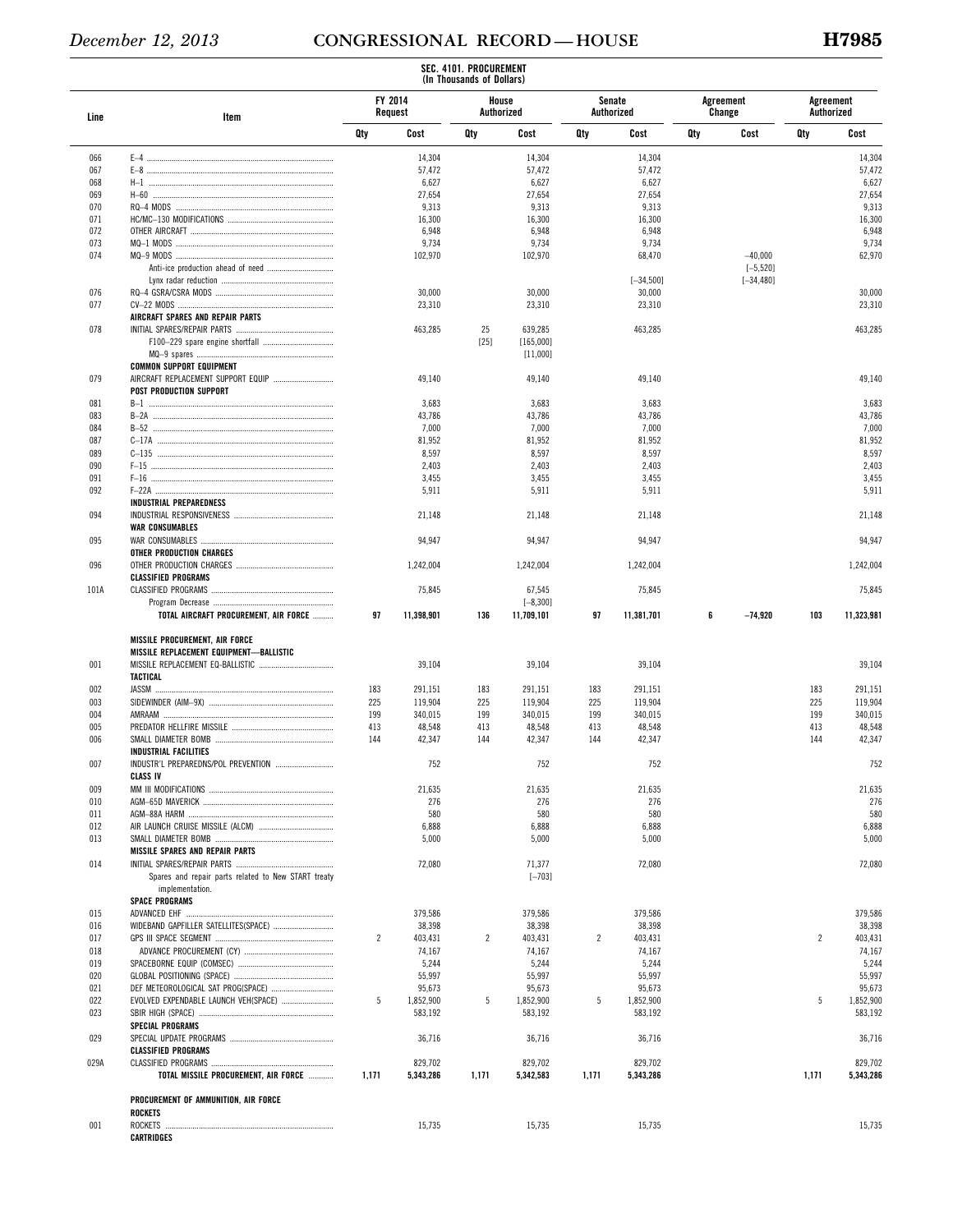|      |                                                     |                |                    | SEC. 4101. PROCUREMENT<br>(In Thousands of Dollars) |                           |       |                      |     |                          |                |                         |
|------|-----------------------------------------------------|----------------|--------------------|-----------------------------------------------------|---------------------------|-------|----------------------|-----|--------------------------|----------------|-------------------------|
| Line | Item                                                |                | FY 2014<br>Request |                                                     | House<br>Authorized       |       | Senate<br>Authorized |     | Agreement<br>Change      |                | Agreement<br>Authorized |
|      |                                                     | Qty            | Cost               | Qty                                                 | Cost                      | Qty   | Cost                 | Qty | Cost                     | Qty            | Cost                    |
| 066  |                                                     |                | 14,304             |                                                     | 14,304                    |       | 14,304               |     |                          |                | 14,304                  |
| 067  |                                                     |                | 57,472             |                                                     | 57,472                    |       | 57,472               |     |                          |                | 57,472                  |
| 068  |                                                     |                | 6,627              |                                                     | 6,627                     |       | 6,627                |     |                          |                | 6,627                   |
| 069  |                                                     |                | 27,654             |                                                     | 27,654                    |       | 27,654               |     |                          |                | 27,654                  |
| 070  |                                                     |                | 9,313              |                                                     | 9,313                     |       | 9,313                |     |                          |                | 9,313                   |
| 071  |                                                     |                | 16,300             |                                                     | 16,300                    |       | 16,300               |     |                          |                | 16,300                  |
| 072  |                                                     |                | 6,948              |                                                     | 6,948                     |       | 6,948                |     |                          |                | 6,948                   |
| 073  |                                                     |                | 9,734              |                                                     | 9,734                     |       | 9,734                |     |                          |                | 9,734                   |
| 074  |                                                     |                | 102,970            |                                                     | 102,970                   |       | 68,470               |     | $-40,000$<br>$[-5, 520]$ |                | 62,970                  |
|      |                                                     |                |                    |                                                     |                           |       | $[-34, 500]$         |     | $[-34, 480]$             |                |                         |
| 076  |                                                     |                | 30,000             |                                                     | 30,000                    |       | 30,000               |     |                          |                | 30,000                  |
| 077  |                                                     |                | 23,310             |                                                     | 23,310                    |       | 23,310               |     |                          |                | 23,310                  |
|      | AIRCRAFT SPARES AND REPAIR PARTS                    |                |                    |                                                     |                           |       |                      |     |                          |                |                         |
| 078  |                                                     |                | 463,285            | 25                                                  | 639,285                   |       | 463,285              |     |                          |                | 463,285                 |
|      |                                                     |                |                    | $[25]$                                              | [165,000]                 |       |                      |     |                          |                |                         |
|      |                                                     |                |                    |                                                     | [11,000]                  |       |                      |     |                          |                |                         |
|      | <b>COMMON SUPPORT EQUIPMENT</b>                     |                |                    |                                                     |                           |       |                      |     |                          |                |                         |
| 079  | AIRCRAFT REPLACEMENT SUPPORT EQUIP                  |                | 49,140             |                                                     | 49,140                    |       | 49,140               |     |                          |                | 49,140                  |
|      | <b>POST PRODUCTION SUPPORT</b>                      |                |                    |                                                     |                           |       |                      |     |                          |                |                         |
| 081  |                                                     |                | 3,683              |                                                     | 3,683                     |       | 3,683                |     |                          |                | 3,683                   |
| 083  |                                                     |                | 43,786             |                                                     | 43,786                    |       | 43,786               |     |                          |                | 43,786                  |
| 084  |                                                     |                | 7,000              |                                                     | 7,000                     |       | 7,000                |     |                          |                | 7,000                   |
| 087  |                                                     |                | 81,952             |                                                     | 81,952                    |       | 81,952               |     |                          |                | 81,952                  |
| 089  |                                                     |                | 8,597              |                                                     | 8,597                     |       | 8,597                |     |                          |                | 8,597                   |
| 090  |                                                     |                | 2,403              |                                                     | 2,403                     |       | 2,403                |     |                          |                | 2,403                   |
| 091  |                                                     |                | 3,455              |                                                     | 3,455                     |       | 3,455                |     |                          |                | 3,455                   |
| 092  |                                                     |                | 5,911              |                                                     | 5,911                     |       | 5,911                |     |                          |                | 5,911                   |
|      | <b>INDUSTRIAL PREPAREDNESS</b>                      |                |                    |                                                     |                           |       |                      |     |                          |                |                         |
| 094  |                                                     |                | 21,148             |                                                     | 21,148                    |       | 21,148               |     |                          |                | 21,148                  |
|      | <b>WAR CONSUMABLES</b>                              |                |                    |                                                     |                           |       |                      |     |                          |                |                         |
| 095  |                                                     |                | 94,947             |                                                     | 94,947                    |       | 94,947               |     |                          |                | 94,947                  |
|      | OTHER PRODUCTION CHARGES                            |                |                    |                                                     |                           |       |                      |     |                          |                |                         |
| 096  |                                                     |                | 1,242,004          |                                                     | 1,242,004                 |       | 1,242,004            |     |                          |                | 1,242,004               |
|      | <b>CLASSIFIED PROGRAMS</b>                          |                |                    |                                                     |                           |       |                      |     |                          |                |                         |
| 101A |                                                     |                | 75,845             |                                                     | 67,545                    |       | 75,845               |     |                          |                | 75,845                  |
|      | TOTAL AIRCRAFT PROCUREMENT, AIR FORCE               | 97             | 11,398,901         | 136                                                 | $[-8, 300]$<br>11,709,101 | 97    | 11,381,701           | 6   | $-74,920$                | 103            | 11,323,981              |
|      |                                                     |                |                    |                                                     |                           |       |                      |     |                          |                |                         |
|      | <b>MISSILE PROCUREMENT, AIR FORCE</b>               |                |                    |                                                     |                           |       |                      |     |                          |                |                         |
|      | MISSILE REPLACEMENT EQUIPMENT-BALLISTIC             |                |                    |                                                     |                           |       |                      |     |                          |                |                         |
| 001  |                                                     |                | 39,104             |                                                     | 39,104                    |       | 39,104               |     |                          |                | 39,104                  |
|      | <b>TACTICAL</b>                                     |                |                    |                                                     |                           |       |                      |     |                          |                |                         |
| 002  |                                                     | 183            | 291,151            | 183                                                 | 291,151                   | 183   | 291,151              |     |                          | 183            | 291,151                 |
| 003  |                                                     | 225            | 119,904            | 225                                                 | 119,904                   | 225   | 119,904              |     |                          | 225            | 119,904                 |
| 004  |                                                     | 199            | 340,015            | 199                                                 | 340,015                   | 199   | 340,015              |     |                          | 199            | 340,015                 |
| 005  |                                                     | 413            | 48,548             | 413                                                 | 48,548                    | 413   | 48,548               |     |                          | 413            | 48,548                  |
| 006  |                                                     | 144            | 42,347             | 144                                                 | 42,347                    | 144   | 42,347               |     |                          | 144            | 42,347                  |
|      | <b>INDUSTRIAL FACILITIES</b>                        |                |                    |                                                     |                           |       |                      |     |                          |                |                         |
| 007  | INDUSTR'L PREPAREDNS/POL PREVENTION                 |                | 752                |                                                     | 752                       |       | 752                  |     |                          |                | 752                     |
|      | <b>CLASS IV</b>                                     |                |                    |                                                     |                           |       |                      |     |                          |                |                         |
| 009  |                                                     |                | 21,635             |                                                     | 21,635                    |       | 21,635               |     |                          |                | 21,635                  |
| 010  |                                                     |                | 276                |                                                     | 276                       |       | 276                  |     |                          |                | 276                     |
| 011  |                                                     |                | 580                |                                                     | 580                       |       | 580                  |     |                          |                | 580                     |
| 012  |                                                     |                | 6,888              |                                                     | 6,888                     |       | 6,888                |     |                          |                | 6,888                   |
| 013  |                                                     |                | 5,000              |                                                     | 5,000                     |       | 5,000                |     |                          |                | 5,000                   |
|      | <b>MISSILE SPARES AND REPAIR PARTS</b>              |                |                    |                                                     |                           |       |                      |     |                          |                |                         |
| 014  | Spares and repair parts related to New START treaty |                | 72,080             |                                                     | 71,377                    |       | 72,080               |     |                          |                | 72,080                  |
|      | implementation.                                     |                |                    |                                                     | $[-703]$                  |       |                      |     |                          |                |                         |
|      | <b>SPACE PROGRAMS</b>                               |                |                    |                                                     |                           |       |                      |     |                          |                |                         |
| 015  |                                                     |                | 379,586            |                                                     | 379,586                   |       | 379,586              |     |                          |                | 379,586                 |
| 016  | WIDEBAND GAPFILLER SATELLITES(SPACE)                |                | 38,398             |                                                     | 38,398                    |       | 38,398               |     |                          |                | 38,398                  |
| 017  |                                                     | $\overline{2}$ | 403,431            | $\overline{c}$                                      | 403,431                   | 2     | 403,431              |     |                          | $\overline{c}$ | 403,431                 |
| 018  |                                                     |                | 74,167             |                                                     | 74,167                    |       | 74,167               |     |                          |                | 74,167                  |
| 019  |                                                     |                | 5,244              |                                                     | 5,244                     |       | 5,244                |     |                          |                | 5,244                   |
| 020  |                                                     |                | 55,997             |                                                     | 55,997                    |       | 55,997               |     |                          |                | 55,997                  |
| 021  | DEF METEOROLOGICAL SAT PROG(SPACE)                  |                | 95,673             |                                                     | 95,673                    |       | 95,673               |     |                          |                | 95,673                  |
| 022  | EVOLVED EXPENDABLE LAUNCH VEH(SPACE)                | 5              | 1,852,900          | 5                                                   | 1,852,900                 | 5     | 1,852,900            |     |                          | 5              | 1,852,900               |
| 023  |                                                     |                | 583,192            |                                                     | 583,192                   |       | 583,192              |     |                          |                | 583,192                 |
|      | <b>SPECIAL PROGRAMS</b>                             |                |                    |                                                     |                           |       |                      |     |                          |                |                         |
| 029  |                                                     |                | 36,716             |                                                     | 36,716                    |       | 36,716               |     |                          |                | 36,716                  |
|      | <b>CLASSIFIED PROGRAMS</b>                          |                |                    |                                                     |                           |       |                      |     |                          |                |                         |
| 029A |                                                     |                | 829,702            |                                                     | 829,702                   |       | 829,702              |     |                          |                | 829,702                 |
|      | TOTAL MISSILE PROCUREMENT, AIR FORCE                | 1,171          | 5,343,286          | 1,171                                               | 5,342,583                 | 1,171 | 5,343,286            |     |                          | 1,171          | 5,343,286               |
|      |                                                     |                |                    |                                                     |                           |       |                      |     |                          |                |                         |
|      | PROCUREMENT OF AMMUNITION, AIR FORCE                |                |                    |                                                     |                           |       |                      |     |                          |                |                         |
|      | ROCKETS                                             |                |                    |                                                     |                           |       |                      |     |                          |                |                         |
| 001  |                                                     |                | 15,735             |                                                     | 15,735                    |       | 15,735               |     |                          |                | 15,735                  |
|      | CARTRIDGES                                          |                |                    |                                                     |                           |       |                      |     |                          |                |                         |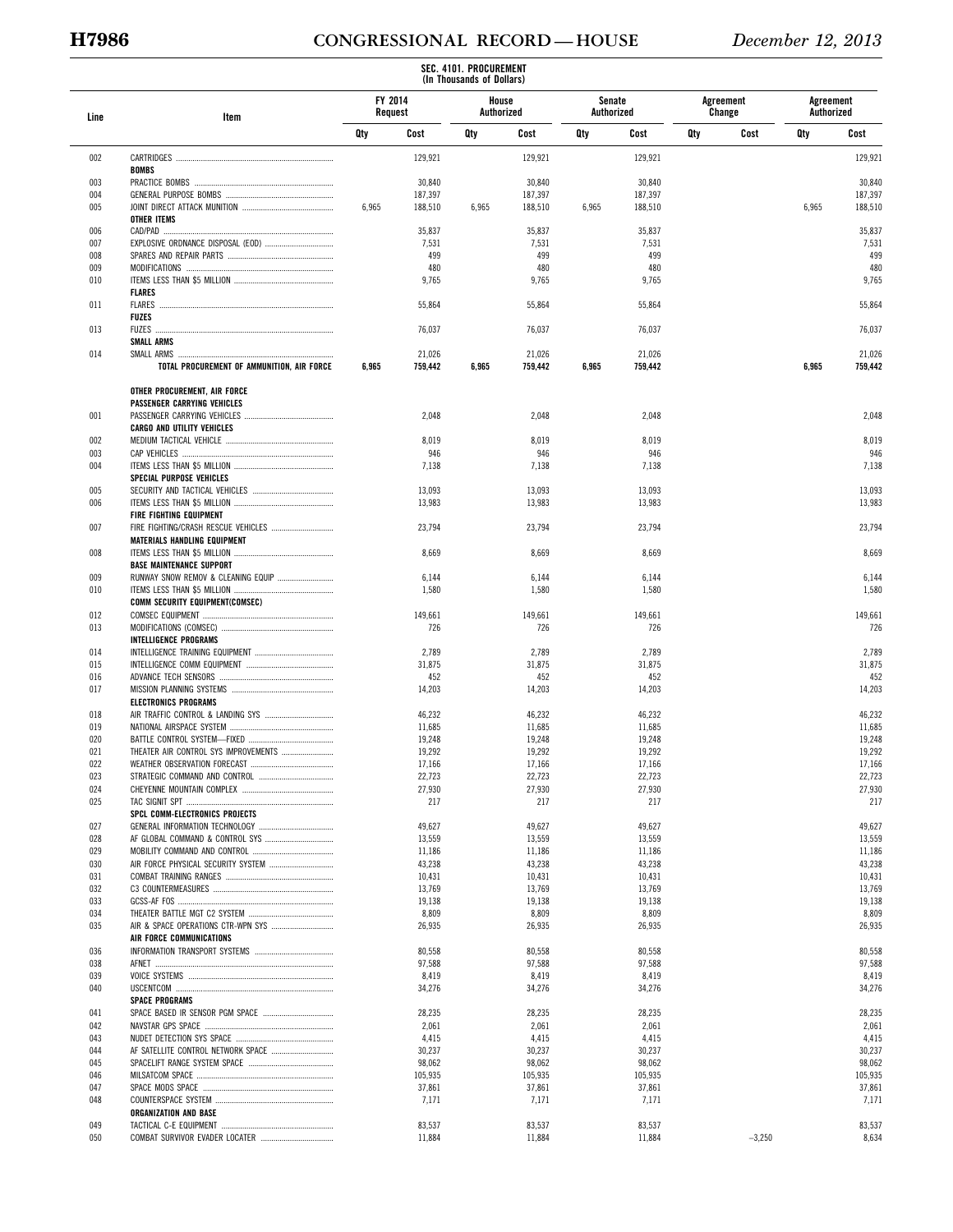# **H7986 CONGRESSIONAL RECORD — HOUSE** *December 12, 2013*

|            |                                            |         |                  | SEC. 4101. PROCUREMENT<br>(In Thousands of Dollars) |                     |        |                  |     |                     |                         |                  |
|------------|--------------------------------------------|---------|------------------|-----------------------------------------------------|---------------------|--------|------------------|-----|---------------------|-------------------------|------------------|
| Line       | Item                                       | FY 2014 | Request          |                                                     | House<br>Authorized | Senate | Authorized       |     | Agreement<br>Change | Agreement<br>Authorized |                  |
|            |                                            | Qty     | Cost             | Qty                                                 | Cost                | Qty    | Cost             | Qty | Cost                | Qty                     | Cost             |
| 002        |                                            |         | 129,921          |                                                     | 129,921             |        | 129,921          |     |                     |                         | 129,921          |
|            | <b>BOMBS</b>                               |         |                  |                                                     |                     |        |                  |     |                     |                         |                  |
| 003        |                                            |         | 30,840           |                                                     | 30,840              |        | 30,840           |     |                     |                         | 30,840           |
| 004        |                                            |         | 187,397          |                                                     | 187,397             |        | 187,397          |     |                     |                         | 187,397          |
| 005        | <b>OTHER ITEMS</b>                         | 6,965   | 188,510          | 6,965                                               | 188,510             | 6,965  | 188,510          |     |                     | 6,965                   | 188,510          |
| 006        |                                            |         | 35,837           |                                                     | 35,837              |        | 35,837           |     |                     |                         | 35,837           |
| 007        |                                            |         | 7,531            |                                                     | 7,531               |        | 7,531            |     |                     |                         | 7,531            |
| 008        |                                            |         | 499              |                                                     | 499                 |        | 499              |     |                     |                         | 499              |
| 009        |                                            |         | 480              |                                                     | 480                 |        | 480              |     |                     |                         | 480              |
| 010        |                                            |         | 9,765            |                                                     | 9,765               |        | 9,765            |     |                     |                         | 9,765            |
| 011        | <b>FLARES</b>                              |         |                  |                                                     |                     |        |                  |     |                     |                         | 55,864           |
|            | FLARES<br><b>FUZES</b>                     |         | 55,864           |                                                     | 55,864              |        | 55,864           |     |                     |                         |                  |
| 013        |                                            |         | 76,037           |                                                     | 76,037              |        | 76,037           |     |                     |                         | 76,037           |
|            | <b>SMALL ARMS</b>                          |         |                  |                                                     |                     |        |                  |     |                     |                         |                  |
| 014        |                                            |         | 21,026           |                                                     | 21,026              |        | 21,026           |     |                     |                         | 21,026           |
|            | TOTAL PROCUREMENT OF AMMUNITION, AIR FORCE | 6,965   | 759,442          | 6,965                                               | 759,442             | 6,965  | 759,442          |     |                     | 6,965                   | 759,442          |
|            | OTHER PROCUREMENT, AIR FORCE               |         |                  |                                                     |                     |        |                  |     |                     |                         |                  |
|            | PASSENGER CARRYING VEHICLES                |         |                  |                                                     |                     |        |                  |     |                     |                         |                  |
| 001        | <b>CARGO AND UTILITY VEHICLES</b>          |         | 2,048            |                                                     | 2,048               |        | 2,048            |     |                     |                         | 2.048            |
| 002        |                                            |         | 8,019            |                                                     | 8,019               |        | 8,019            |     |                     |                         | 8,019            |
| 003        |                                            |         | 946              |                                                     | 946                 |        | 946              |     |                     |                         | 946              |
| 004        |                                            |         | 7,138            |                                                     | 7,138               |        | 7,138            |     |                     |                         | 7,138            |
|            | <b>SPECIAL PURPOSE VEHICLES</b>            |         |                  |                                                     |                     |        |                  |     |                     |                         |                  |
| 005        |                                            |         | 13,093           |                                                     | 13,093              |        | 13,093           |     |                     |                         | 13,093           |
| 006        |                                            |         | 13,983           |                                                     | 13,983              |        | 13,983           |     |                     |                         | 13,983           |
|            | FIRE FIGHTING EQUIPMENT                    |         |                  |                                                     |                     |        |                  |     |                     |                         |                  |
| 007        | MATERIALS HANDLING EQUIPMENT               |         | 23,794           |                                                     | 23,794              |        | 23,794           |     |                     |                         | 23,794           |
| 008        |                                            |         | 8,669            |                                                     | 8,669               |        | 8,669            |     |                     |                         | 8,669            |
|            | <b>BASE MAINTENANCE SUPPORT</b>            |         |                  |                                                     |                     |        |                  |     |                     |                         |                  |
| 009        | RUNWAY SNOW REMOV & CLEANING EQUIP         |         | 6,144            |                                                     | 6,144               |        | 6,144            |     |                     |                         | 6,144            |
| 010        |                                            |         | 1,580            |                                                     | 1,580               |        | 1,580            |     |                     |                         | 1,580            |
|            | COMM SECURITY EQUIPMENT(COMSEC)            |         |                  |                                                     |                     |        |                  |     |                     |                         |                  |
| 012        |                                            |         | 149,661          |                                                     | 149,661             |        | 149,661          |     |                     |                         | 149,661          |
| 013        |                                            |         | 726              |                                                     | 726                 |        | 726              |     |                     |                         | 726              |
| 014        | <b>INTELLIGENCE PROGRAMS</b>               |         | 2,789            |                                                     | 2,789               |        | 2,789            |     |                     |                         | 2,789            |
| 015        |                                            |         | 31,875           |                                                     | 31,875              |        | 31,875           |     |                     |                         | 31,875           |
| 016        |                                            |         | 452              |                                                     | 452                 |        | 452              |     |                     |                         | 452              |
| 017        |                                            |         | 14,203           |                                                     | 14,203              |        | 14,203           |     |                     |                         | 14,203           |
|            | <b>ELECTRONICS PROGRAMS</b>                |         |                  |                                                     |                     |        |                  |     |                     |                         |                  |
| 018        |                                            |         | 46,232           |                                                     | 46,232              |        | 46,232           |     |                     |                         | 46,232           |
| 019        |                                            |         | 11,685           |                                                     | 11,685              |        | 11,685           |     |                     |                         | 11,685           |
| 020        |                                            |         | 19,248           |                                                     | 19,248              |        | 19,248           |     |                     |                         | 19,248           |
| 021<br>022 |                                            |         | 19,292<br>17,166 |                                                     | 19,292<br>17,166    |        | 19,292<br>17,166 |     |                     |                         | 19,292<br>17,166 |
| 023        |                                            |         | 22,723           |                                                     | 22,723              |        | 22,723           |     |                     |                         | 22,723           |
| 024        |                                            |         | 27,930           |                                                     | 27,930              |        | 27,930           |     |                     |                         | 27,930           |
| 025        |                                            |         | 217              |                                                     | 217                 |        | 217              |     |                     |                         | 217              |
|            | SPCL COMM-ELECTRONICS PROJECTS             |         |                  |                                                     |                     |        |                  |     |                     |                         |                  |
| 027        |                                            |         | 49,627           |                                                     | 49,627              |        | 49,627           |     |                     |                         | 49,627           |
| 028        |                                            |         | 13,559           |                                                     | 13,559              |        | 13,559           |     |                     |                         | 13,559           |
| 029<br>030 | AIR FORCE PHYSICAL SECURITY SYSTEM         |         | 11,186           |                                                     | 11,186              |        | 11,186           |     |                     |                         | 11,186           |
| 031        |                                            |         | 43,238<br>10,431 |                                                     | 43,238<br>10,431    |        | 43,238<br>10,431 |     |                     |                         | 43,238<br>10,431 |
| 032        |                                            |         | 13,769           |                                                     | 13,769              |        | 13,769           |     |                     |                         | 13,769           |
| 033        |                                            |         | 19,138           |                                                     | 19,138              |        | 19,138           |     |                     |                         | 19,138           |
| 034        |                                            |         | 8,809            |                                                     | 8,809               |        | 8,809            |     |                     |                         | 8,809            |
| 035        |                                            |         | 26,935           |                                                     | 26,935              |        | 26,935           |     |                     |                         | 26,935           |
|            | AIR FORCE COMMUNICATIONS                   |         |                  |                                                     |                     |        |                  |     |                     |                         |                  |
| 036        |                                            |         | 80,558           |                                                     | 80,558              |        | 80,558           |     |                     |                         | 80,558           |
| 038<br>039 |                                            |         | 97,588<br>8,419  |                                                     | 97,588              |        | 97,588<br>8,419  |     |                     |                         | 97,588<br>8,419  |
| 040        |                                            |         | 34,276           |                                                     | 8,419<br>34,276     |        | 34,276           |     |                     |                         | 34,276           |
|            | <b>SPACE PROGRAMS</b>                      |         |                  |                                                     |                     |        |                  |     |                     |                         |                  |
| 041        |                                            |         | 28,235           |                                                     | 28,235              |        | 28,235           |     |                     |                         | 28,235           |
| 042        |                                            |         | 2,061            |                                                     | 2,061               |        | 2,061            |     |                     |                         | 2,061            |
| 043        |                                            |         | 4,415            |                                                     | 4,415               |        | 4,415            |     |                     |                         | 4,415            |
| 044        | AF SATELLITE CONTROL NETWORK SPACE         |         | 30,237           |                                                     | 30,237              |        | 30,237           |     |                     |                         | 30,237           |
| 045        |                                            |         | 98,062           |                                                     | 98,062              |        | 98,062           |     |                     |                         | 98,062           |
| 046<br>047 |                                            |         | 105,935          |                                                     | 105,935             |        | 105,935          |     |                     |                         | 105,935          |
| 048        |                                            |         | 37,861<br>7,171  |                                                     | 37,861<br>7,171     |        | 37,861<br>7,171  |     |                     |                         | 37,861<br>7,171  |
|            | ORGANIZATION AND BASE                      |         |                  |                                                     |                     |        |                  |     |                     |                         |                  |
| 049        |                                            |         | 83,537           |                                                     | 83,537              |        | 83,537           |     |                     |                         | 83,537           |
| 050        |                                            |         | 11,884           |                                                     | 11,884              |        | 11,884           |     | $-3,250$            |                         | 8,634            |
|            |                                            |         |                  |                                                     |                     |        |                  |     |                     |                         |                  |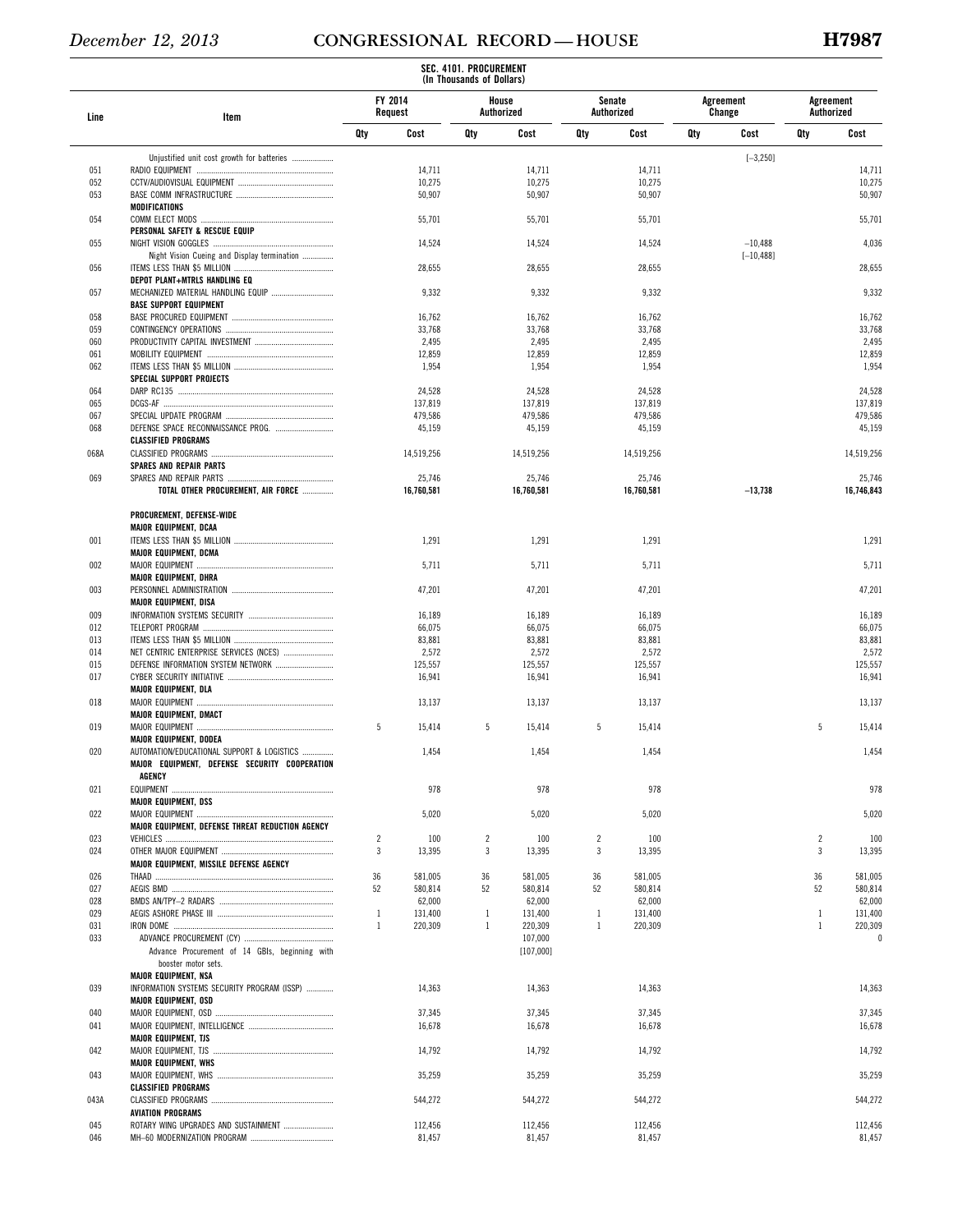|            |                                                                       |                |                    | SEC. 4101. PROCUREMENT<br>(In Thousands of Dollars) |                     |                |                      |     |                     |                |                         |
|------------|-----------------------------------------------------------------------|----------------|--------------------|-----------------------------------------------------|---------------------|----------------|----------------------|-----|---------------------|----------------|-------------------------|
| Line       | Item                                                                  |                | FY 2014<br>Request |                                                     | House<br>Authorized |                | Senate<br>Authorized |     | Agreement<br>Change |                | Agreement<br>Authorized |
|            |                                                                       | Qty            | Cost               | Qty                                                 | Cost                | Qty            | Cost                 | Qty | Cost                | Qty            | Cost                    |
|            | Unjustified unit cost growth for batteries                            |                |                    |                                                     |                     |                |                      |     | $[-3, 250]$         |                |                         |
| 051        |                                                                       |                | 14,711             |                                                     | 14,711              |                | 14,711               |     |                     |                | 14,711                  |
| 052        |                                                                       |                | 10,275             |                                                     | 10,275              |                | 10,275               |     |                     |                | 10,275                  |
| 053        |                                                                       |                | 50,907             |                                                     | 50,907              |                | 50,907               |     |                     |                | 50,907                  |
|            | MODIFICATIONS                                                         |                |                    |                                                     |                     |                |                      |     |                     |                |                         |
| 054        | PERSONAL SAFETY & RESCUE EQUIP                                        |                | 55,701             |                                                     | 55,701              |                | 55,701               |     |                     |                | 55,701                  |
| 055        |                                                                       |                | 14,524             |                                                     | 14,524              |                | 14,524               |     | $-10,488$           |                | 4,036                   |
|            | Night Vision Cueing and Display termination                           |                |                    |                                                     |                     |                |                      |     | $[-10, 488]$        |                |                         |
| 056        |                                                                       |                | 28,655             |                                                     | 28,655              |                | 28,655               |     |                     |                | 28,655                  |
|            | DEPOT PLANT+MTRLS HANDLING EQ                                         |                |                    |                                                     |                     |                |                      |     |                     |                |                         |
| 057        | MECHANIZED MATERIAL HANDLING EQUIP                                    |                | 9,332              |                                                     | 9,332               |                | 9,332                |     |                     |                | 9,332                   |
|            | <b>BASE SUPPORT EQUIPMENT</b>                                         |                |                    |                                                     |                     |                |                      |     |                     |                |                         |
| 058        |                                                                       |                | 16,762             |                                                     | 16,762              |                | 16,762               |     |                     |                | 16,762                  |
| 059        |                                                                       |                | 33,768             |                                                     | 33,768              |                | 33,768               |     |                     |                | 33,768                  |
| 060        |                                                                       |                | 2,495              |                                                     | 2,495               |                | 2,495                |     |                     |                | 2,495                   |
| 061<br>062 |                                                                       |                | 12,859<br>1,954    |                                                     | 12,859<br>1,954     |                | 12,859<br>1,954      |     |                     |                | 12,859<br>1,954         |
|            | SPECIAL SUPPORT PROJECTS                                              |                |                    |                                                     |                     |                |                      |     |                     |                |                         |
| 064        |                                                                       |                | 24,528             |                                                     | 24,528              |                | 24,528               |     |                     |                | 24,528                  |
| 065        |                                                                       |                | 137,819            |                                                     | 137,819             |                | 137,819              |     |                     |                | 137,819                 |
| 067        |                                                                       |                | 479,586            |                                                     | 479,586             |                | 479,586              |     |                     |                | 479,586                 |
| 068        |                                                                       |                | 45,159             |                                                     | 45,159              |                | 45,159               |     |                     |                | 45,159                  |
|            | <b>CLASSIFIED PROGRAMS</b>                                            |                |                    |                                                     |                     |                |                      |     |                     |                |                         |
| 068A       |                                                                       |                | 14,519,256         |                                                     | 14,519,256          |                | 14,519,256           |     |                     |                | 14,519,256              |
|            | <b>SPARES AND REPAIR PARTS</b>                                        |                |                    |                                                     |                     |                |                      |     |                     |                |                         |
| 069        |                                                                       |                | 25,746             |                                                     | 25,746              |                | 25,746               |     |                     |                | 25,746                  |
|            | TOTAL OTHER PROCUREMENT, AIR FORCE                                    |                | 16,760,581         |                                                     | 16,760,581          |                | 16,760,581           |     | $-13,738$           |                | 16,746,843              |
|            | PROCUREMENT, DEFENSE-WIDE                                             |                |                    |                                                     |                     |                |                      |     |                     |                |                         |
|            | <b>MAJOR EQUIPMENT, DCAA</b>                                          |                |                    |                                                     |                     |                |                      |     |                     |                |                         |
| 001        |                                                                       |                | 1,291              |                                                     | 1,291               |                | 1,291                |     |                     |                | 1,291                   |
|            | MAJOR EQUIPMENT, DCMA                                                 |                |                    |                                                     |                     |                |                      |     |                     |                |                         |
| 002        |                                                                       |                | 5,711              |                                                     | 5,711               |                | 5,711                |     |                     |                | 5,711                   |
|            | MAJOR EQUIPMENT, DHRA                                                 |                |                    |                                                     |                     |                |                      |     |                     |                |                         |
| 003        |                                                                       |                | 47,201             |                                                     | 47,201              |                | 47,201               |     |                     |                | 47,201                  |
|            | <b>MAJOR EQUIPMENT, DISA</b>                                          |                |                    |                                                     |                     |                |                      |     |                     |                |                         |
| 009        |                                                                       |                | 16,189             |                                                     | 16,189              |                | 16,189               |     |                     |                | 16,189                  |
| 012        |                                                                       |                | 66,075             |                                                     | 66,075              |                | 66,075               |     |                     |                | 66,075                  |
| 013<br>014 | NET CENTRIC ENTERPRISE SERVICES (NCES)                                |                | 83,881<br>2,572    |                                                     | 83,881<br>2,572     |                | 83,881<br>2,572      |     |                     |                | 83,881<br>2,572         |
| 015        |                                                                       |                | 125,557            |                                                     | 125,557             |                | 125,557              |     |                     |                | 125,557                 |
| 017        |                                                                       |                | 16,941             |                                                     | 16,941              |                | 16,941               |     |                     |                | 16,941                  |
|            | <b>MAJOR EQUIPMENT, DLA</b>                                           |                |                    |                                                     |                     |                |                      |     |                     |                |                         |
| 018        |                                                                       |                | 13,137             |                                                     | 13,137              |                | 13,137               |     |                     |                | 13,137                  |
|            | MAJOR EQUIPMENT, DMACT                                                |                |                    |                                                     |                     |                |                      |     |                     |                |                         |
| 019        |                                                                       | 5              | 15,414             | 5                                                   | 15,414              | 5              | 15,414               |     |                     | 5              | 15,414                  |
|            | <b>MAJOR EQUIPMENT, DODEA</b>                                         |                |                    |                                                     |                     |                |                      |     |                     |                |                         |
| 020        | AUTOMATION/EDUCATIONAL SUPPORT & LOGISTICS                            |                | 1,454              |                                                     | 1,454               |                | 1,454                |     |                     |                | 1,454                   |
|            | MAJOR EQUIPMENT, DEFENSE SECURITY COOPERATION                         |                |                    |                                                     |                     |                |                      |     |                     |                |                         |
|            | AGENCY                                                                |                |                    |                                                     |                     |                |                      |     |                     |                |                         |
| 021        |                                                                       |                | 978                |                                                     | 978                 |                | 978                  |     |                     |                | 978                     |
| 022        | <b>MAJOR EQUIPMENT, DSS</b>                                           |                | 5,020              |                                                     |                     |                | 5,020                |     |                     |                |                         |
|            | MAJOR EQUIPMENT, DEFENSE THREAT REDUCTION AGENCY                      |                |                    |                                                     | 5,020               |                |                      |     |                     |                | 5,020                   |
| 023        |                                                                       | $\overline{2}$ | 100                | $\overline{2}$                                      | 100                 | $\overline{c}$ | 100                  |     |                     | $\overline{2}$ | 100                     |
| 024        |                                                                       | 3              | 13,395             | 3                                                   | 13,395              | 3              | 13,395               |     |                     | 3              | 13,395                  |
|            | MAJOR EQUIPMENT, MISSILE DEFENSE AGENCY                               |                |                    |                                                     |                     |                |                      |     |                     |                |                         |
| 026        |                                                                       | 36             | 581,005            | 36                                                  | 581,005             | 36             | 581,005              |     |                     | 36             | 581,005                 |
| 027        |                                                                       | 52             | 580,814            | 52                                                  | 580,814             | 52             | 580,814              |     |                     | 52             | 580,814                 |
| 028        |                                                                       |                | 62,000             |                                                     | 62,000              |                | 62,000               |     |                     |                | 62,000                  |
| 029        |                                                                       | $\mathbf{1}$   | 131,400            | $\mathbf{1}$                                        | 131,400             | $\mathbf{1}$   | 131,400              |     |                     | -1             | 131,400                 |
| 031        |                                                                       | $\mathbf{1}$   | 220,309            | $\mathbf{1}$                                        | 220,309             | $\mathbf{1}$   | 220,309              |     |                     | $\mathbf{1}$   | 220,309                 |
| 033        |                                                                       |                |                    |                                                     | 107,000             |                |                      |     |                     |                | $\theta$                |
|            | Advance Procurement of 14 GBIs, beginning with<br>booster motor sets. |                |                    |                                                     | [107,000]           |                |                      |     |                     |                |                         |
|            | <b>MAJOR EQUIPMENT, NSA</b>                                           |                |                    |                                                     |                     |                |                      |     |                     |                |                         |
| 039        | INFORMATION SYSTEMS SECURITY PROGRAM (ISSP)                           |                | 14,363             |                                                     | 14,363              |                | 14,363               |     |                     |                | 14,363                  |
|            | <b>MAJOR EQUIPMENT, OSD</b>                                           |                |                    |                                                     |                     |                |                      |     |                     |                |                         |
| 040        |                                                                       |                | 37,345             |                                                     | 37,345              |                | 37,345               |     |                     |                | 37,345                  |
| 041        |                                                                       |                | 16,678             |                                                     | 16,678              |                | 16,678               |     |                     |                | 16,678                  |
|            | <b>MAJOR EQUIPMENT, TJS</b>                                           |                |                    |                                                     |                     |                |                      |     |                     |                |                         |
| 042        | MAJOR EQUIPMENT, TJS                                                  |                | 14,792             |                                                     | 14,792              |                | 14,792               |     |                     |                | 14,792                  |
|            | <b>MAJOR EQUIPMENT, WHS</b>                                           |                |                    |                                                     |                     |                |                      |     |                     |                |                         |
| 043        |                                                                       |                | 35,259             |                                                     | 35,259              |                | 35,259               |     |                     |                | 35,259                  |
|            | <b>CLASSIFIED PROGRAMS</b>                                            |                |                    |                                                     |                     |                |                      |     |                     |                |                         |
| 043A       | <b>AVIATION PROGRAMS</b>                                              |                | 544,272            |                                                     | 544,272             |                | 544,272              |     |                     |                | 544,272                 |
| 045        | ROTARY WING UPGRADES AND SUSTAINMENT                                  |                | 112,456            |                                                     | 112,456             |                | 112,456              |     |                     |                | 112,456                 |
| 046        |                                                                       |                | 81,457             |                                                     | 81,457              |                | 81,457               |     |                     |                | 81,457                  |
|            |                                                                       |                |                    |                                                     |                     |                |                      |     |                     |                |                         |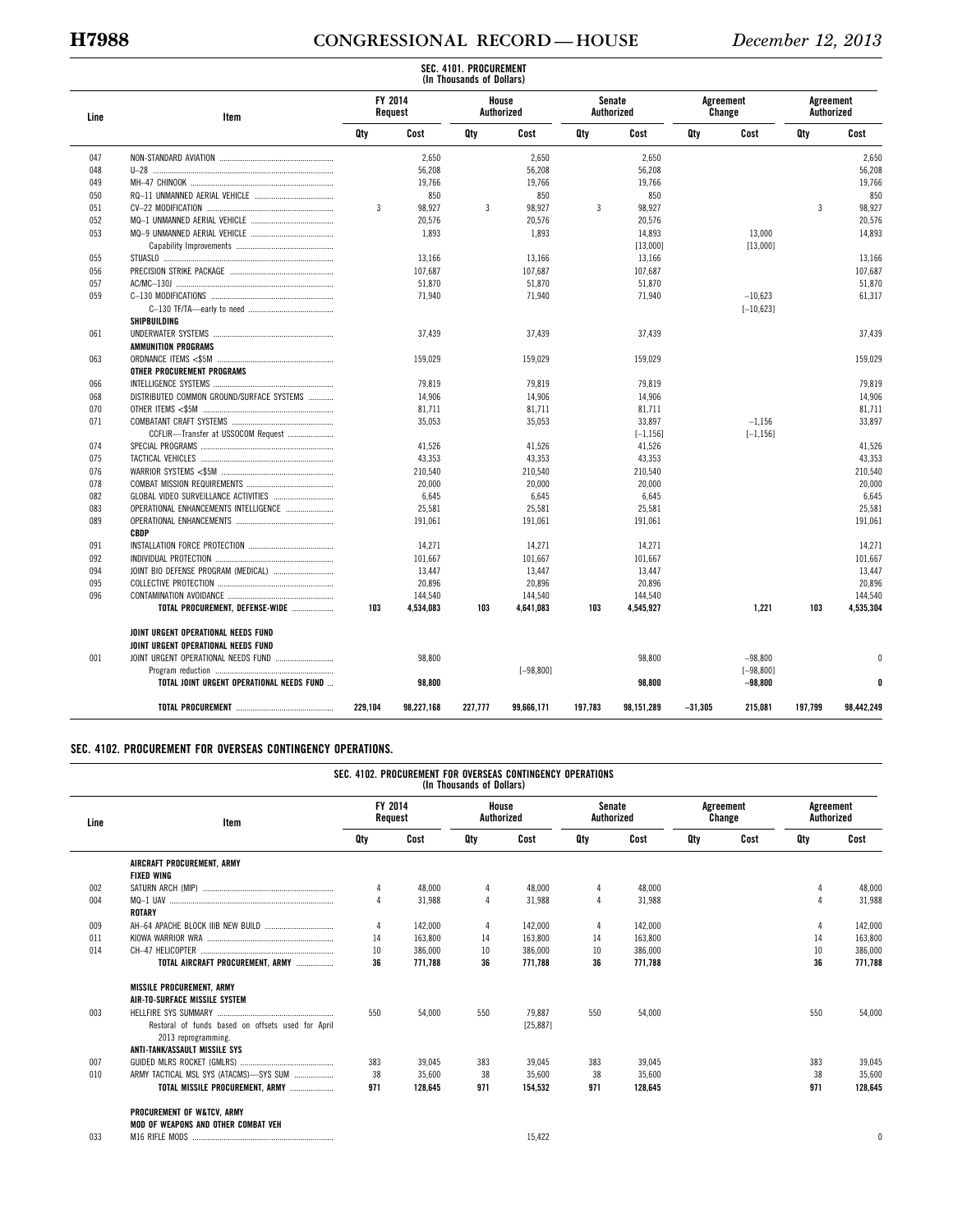### **H7988 CONGRESSIONAL RECORD — HOUSE** *December 12, 2013*

|      |                                                                            |                |                    | SEC. 4101. PROCUREMENT<br>(In Thousands of Dollars) |                     |         |                             |           |                           |                         |            |        |         |  |  |  |         |
|------|----------------------------------------------------------------------------|----------------|--------------------|-----------------------------------------------------|---------------------|---------|-----------------------------|-----------|---------------------------|-------------------------|------------|--------|---------|--|--|--|---------|
| Line | Item                                                                       |                | FY 2014<br>Request |                                                     | House<br>Authorized |         | <b>Senate</b><br>Authorized |           | Agreement<br>Change       | Agreement<br>Authorized |            |        |         |  |  |  |         |
|      |                                                                            | Qty            | Cost               | Qty                                                 | Cost                | Qty     | Cost                        | Qty       | Cost                      | Qty                     | Cost       |        |         |  |  |  |         |
| 047  |                                                                            |                | 2,650              |                                                     | 2.650               |         | 2,650                       |           |                           |                         | 2,650      |        |         |  |  |  |         |
| 048  |                                                                            |                | 56,208             |                                                     | 56,208              |         | 56,208                      |           |                           |                         | 56,208     |        |         |  |  |  |         |
| 049  |                                                                            |                | 19,766             |                                                     | 19,766              |         | 19,766                      |           |                           |                         | 19,766     |        |         |  |  |  |         |
| 050  |                                                                            |                | 850                |                                                     | 850                 |         | 850                         |           |                           |                         | 850        |        |         |  |  |  |         |
| 051  |                                                                            | $\overline{3}$ | 98,927             | 3                                                   | 98.927              | 3       | 98,927                      |           |                           | 3                       | 98.927     |        |         |  |  |  |         |
| 052  |                                                                            |                | 20,576             |                                                     | 20,576              |         | 20,576                      |           |                           |                         | 20,576     |        |         |  |  |  |         |
| 053  |                                                                            |                | 1.893              |                                                     | 1,893               |         | 14,893                      |           | 13,000                    |                         | 14,893     |        |         |  |  |  |         |
|      |                                                                            |                |                    |                                                     |                     |         | [13,000]                    |           | [13,000]                  |                         |            |        |         |  |  |  |         |
| 055  |                                                                            |                | 13,166             |                                                     | 13,166              |         | 13,166                      |           |                           |                         | 13,166     |        |         |  |  |  |         |
| 056  |                                                                            |                | 107,687            |                                                     | 107,687             |         | 107,687                     |           |                           |                         | 107,687    |        |         |  |  |  |         |
| 057  |                                                                            |                | 51,870             |                                                     | 51,870              |         | 51,870                      |           |                           |                         | 51,870     |        |         |  |  |  |         |
| 059  |                                                                            |                | 71,940             |                                                     | 71,940              |         | 71,940                      |           | $-10,623$                 |                         | 61,317     |        |         |  |  |  |         |
|      |                                                                            |                |                    |                                                     |                     |         |                             |           | $[-10, 623]$              |                         |            |        |         |  |  |  |         |
|      | SHIPBUILDING                                                               |                |                    |                                                     |                     |         |                             |           |                           |                         |            |        |         |  |  |  |         |
| 061  |                                                                            |                | 37.439             |                                                     | 37.439              |         | 37.439                      |           |                           |                         | 37.439     |        |         |  |  |  |         |
|      | AMMUNITION PROGRAMS                                                        |                |                    |                                                     |                     |         |                             |           |                           |                         |            |        |         |  |  |  |         |
| 063  |                                                                            |                | 159,029            |                                                     | 159,029             |         | 159,029                     |           |                           |                         | 159,029    |        |         |  |  |  |         |
|      | OTHER PROCUREMENT PROGRAMS                                                 |                |                    |                                                     |                     |         |                             |           |                           |                         |            |        |         |  |  |  |         |
| 066  |                                                                            |                | 79,819             |                                                     | 79,819              |         | 79,819                      |           |                           |                         | 79,819     |        |         |  |  |  |         |
| 068  | DISTRIBUTED COMMON GROUND/SURFACE SYSTEMS                                  |                | 14,906             |                                                     | 14,906              |         | 14,906                      |           |                           |                         | 14,906     |        |         |  |  |  |         |
| 070  |                                                                            |                | 81,711             |                                                     | 81,711              |         | 81,711                      |           |                           |                         | 81.711     |        |         |  |  |  |         |
| 071  |                                                                            |                | 35,053             |                                                     | 35,053              |         | 33,897                      |           | $-1.156$                  |                         | 33,897     |        |         |  |  |  |         |
|      | CCFLIR-Transfer at USSOCOM Request                                         |                |                    |                                                     |                     |         | $[-1, 156]$                 |           | $[-1, 156]$               |                         |            |        |         |  |  |  |         |
| 074  |                                                                            |                | 41,526             |                                                     | 41,526              |         | 41,526                      |           |                           |                         | 41,526     |        |         |  |  |  |         |
| 075  |                                                                            |                | 43,353             |                                                     | 43,353              |         | 43,353                      |           |                           |                         | 43,353     |        |         |  |  |  |         |
| 076  |                                                                            |                |                    |                                                     |                     |         |                             |           | 210,540                   |                         | 210,540    |        | 210,540 |  |  |  | 210,540 |
| 078  |                                                                            |                |                    | 20,000                                              |                     | 20,000  |                             | 20,000    |                           |                         |            | 20,000 |         |  |  |  |         |
| 082  |                                                                            |                | 6,645              |                                                     | 6,645               |         | 6,645                       |           |                           |                         | 6,645      |        |         |  |  |  |         |
| 083  | OPERATIONAL ENHANCEMENTS INTELLIGENCE                                      |                | 25,581             |                                                     | 25,581              |         | 25,581                      |           |                           |                         | 25,581     |        |         |  |  |  |         |
| 089  |                                                                            |                | 191,061            |                                                     | 191,061             |         | 191,061                     |           |                           |                         | 191,061    |        |         |  |  |  |         |
|      | <b>CBDP</b>                                                                |                |                    |                                                     |                     |         |                             |           |                           |                         |            |        |         |  |  |  |         |
| 091  |                                                                            |                | 14,271             |                                                     | 14,271              |         | 14,271                      |           |                           |                         | 14,271     |        |         |  |  |  |         |
| 0.92 |                                                                            |                | 101,667            |                                                     | 101.667             |         | 101,667                     |           |                           |                         | 101.667    |        |         |  |  |  |         |
| 094  |                                                                            |                | 13.447             |                                                     | 13.447              |         | 13.447                      |           |                           |                         | 13.447     |        |         |  |  |  |         |
| 095  |                                                                            |                | 20,896             |                                                     | 20,896              |         | 20,896                      |           |                           |                         | 20,896     |        |         |  |  |  |         |
| 096  |                                                                            |                | 144,540            |                                                     | 144,540             |         | 144,540                     |           |                           |                         | 144,540    |        |         |  |  |  |         |
|      | TOTAL PROCUREMENT, DEFENSE-WIDE                                            | 103            | 4,534,083          | 103                                                 | 4,641,083           | 103     | 4,545,927                   |           | 1,221                     | 103                     | 4,535,304  |        |         |  |  |  |         |
|      |                                                                            |                |                    |                                                     |                     |         |                             |           |                           |                         |            |        |         |  |  |  |         |
|      | JOINT URGENT OPERATIONAL NEEDS FUND<br>JOINT URGENT OPERATIONAL NEEDS FUND |                |                    |                                                     |                     |         |                             |           |                           |                         |            |        |         |  |  |  |         |
|      |                                                                            |                |                    |                                                     |                     |         |                             |           |                           |                         |            |        |         |  |  |  |         |
| 001  |                                                                            |                | 98.800             |                                                     | $[-98, 800]$        |         | 98,800                      |           | $-98.800$<br>$[-98, 800]$ |                         |            |        |         |  |  |  |         |
|      | TOTAL JOINT URGENT OPERATIONAL NEEDS FUND                                  |                | 98,800             |                                                     |                     |         | 98,800                      |           | $-98,800$                 |                         | n          |        |         |  |  |  |         |
|      |                                                                            | 229.104        | 98,227,168         | 227.777                                             | 99,666,171          | 197.783 | 98,151,289                  | $-31.305$ | 215,081                   | 197.799                 | 98.442.249 |        |         |  |  |  |         |

#### **SEC. 4102. PROCUREMENT FOR OVERSEAS CONTINGENCY OPERATIONS.**

# **SEC. 4102. PROCUREMENT FOR OVERSEAS CONTINGENCY OPERATIONS (In Thousands of Dollars)**

| Line | Item                                              | FY 2014  | Request | House<br>Authorized |           | Senate<br>Authorized |         |     | Agreement<br>Change | Agreement<br>Authorized |          |
|------|---------------------------------------------------|----------|---------|---------------------|-----------|----------------------|---------|-----|---------------------|-------------------------|----------|
|      |                                                   | Qty      | Cost    | Qty                 | Cost      | Qty                  | Cost    | Qty | Cost                | Qty                     | Cost     |
|      | AIRCRAFT PROCUREMENT, ARMY                        |          |         |                     |           |                      |         |     |                     |                         |          |
|      | <b>FIXED WING</b>                                 |          |         |                     |           |                      |         |     |                     |                         |          |
| 002  |                                                   |          | 48,000  |                     | 48,000    |                      | 48,000  |     |                     |                         | 48,000   |
| 004  | ROTARY                                            | $\Delta$ | 31,988  | $\overline{4}$      | 31,988    | $\overline{4}$       | 31,988  |     |                     |                         | 31,988   |
| 009  |                                                   | 4        | 142,000 | 4                   | 142.000   | 4                    | 142,000 |     |                     |                         | 142,000  |
| 011  |                                                   | 14       | 163.800 | 14                  | 163,800   | 14                   | 163.800 |     |                     | 14                      | 163.800  |
| 014  |                                                   | 10       | 386,000 | 10                  | 386,000   | 10                   | 386,000 |     |                     | 10                      | 386,000  |
|      | TOTAL AIRCRAFT PROCUREMENT. ARMY                  | 36       | 771.788 | 36                  | 771.788   | 36                   | 771.788 |     |                     | 36                      | 771.788  |
|      | <b>MISSILE PROCUREMENT, ARMY</b>                  |          |         |                     |           |                      |         |     |                     |                         |          |
|      | AIR-TO-SURFACE MISSILE SYSTEM                     |          |         |                     |           |                      |         |     |                     |                         |          |
| 003  |                                                   | 550      | 54.000  | 550                 | 79.887    | 550                  | 54.000  |     |                     | 550                     | 54,000   |
|      | Restoral of funds based on offsets used for April |          |         |                     | [25, 887] |                      |         |     |                     |                         |          |
|      | 2013 reprogramming.                               |          |         |                     |           |                      |         |     |                     |                         |          |
|      | ANTI-TANK/ASSAULT MISSILE SYS                     |          |         |                     |           |                      |         |     |                     |                         |          |
| 007  |                                                   | 383      | 39.045  | 383                 | 39.045    | 383                  | 39,045  |     |                     | 383                     | 39,045   |
| 010  | ARMY TACTICAL MSL SYS (ATACMS)-SYS SUM            | 38       | 35,600  | 38                  | 35,600    | 38                   | 35,600  |     |                     | 38                      | 35,600   |
|      | TOTAL MISSILE PROCUREMENT. ARMY                   | 971      | 128.645 | 971                 | 154.532   | 971                  | 128.645 |     |                     | 971                     | 128.645  |
|      | PROCUREMENT OF W&TCV, ARMY                        |          |         |                     |           |                      |         |     |                     |                         |          |
|      | MOD OF WEAPONS AND OTHER COMBAT VEH               |          |         |                     |           |                      |         |     |                     |                         |          |
| 033  |                                                   |          |         |                     | 15.422    |                      |         |     |                     |                         | $\theta$ |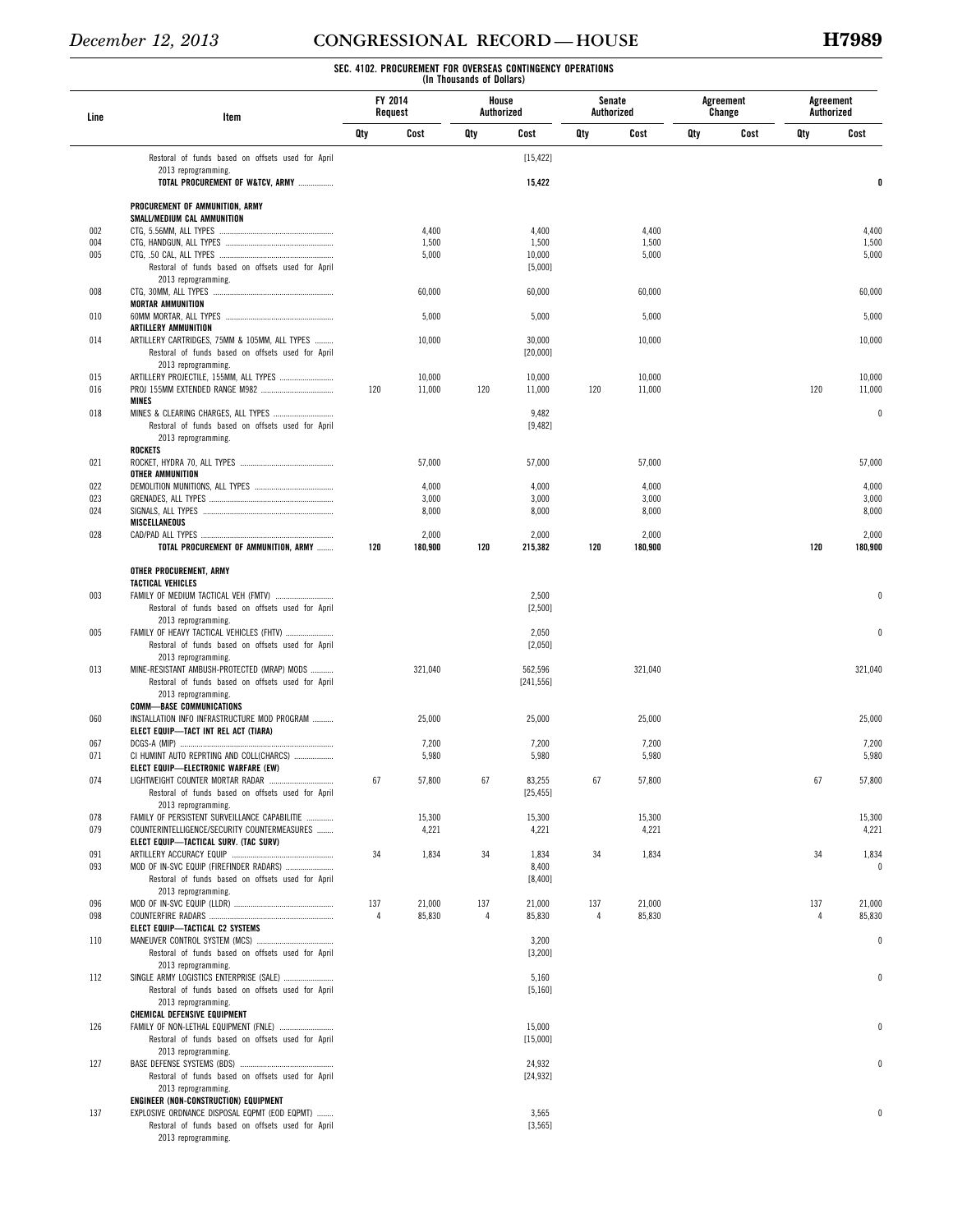### **SEC. 4102. PROCUREMENT FOR OVERSEAS CONTINGENCY OPERATIONS (In Thousands of Dollars)**

| Line | Item                                                                                             | FY 2014<br>Request |         | House<br>Authorized |                       | Senate<br>Authorized |         |     | Agreement<br>Change | Agreement<br>Authorized |          |
|------|--------------------------------------------------------------------------------------------------|--------------------|---------|---------------------|-----------------------|----------------------|---------|-----|---------------------|-------------------------|----------|
|      |                                                                                                  | Qty                | Cost    | Qty                 | Cost                  | Qty                  | Cost    | Qty | Cost                | Qty                     | Cost     |
|      | Restoral of funds based on offsets used for April                                                |                    |         |                     | [15, 422]             |                      |         |     |                     |                         |          |
|      | 2013 reprogramming.<br>TOTAL PROCUREMENT OF W&TCV, ARMY                                          |                    |         |                     | 15,422                |                      |         |     |                     |                         | 0        |
|      |                                                                                                  |                    |         |                     |                       |                      |         |     |                     |                         |          |
|      | PROCUREMENT OF AMMUNITION, ARMY<br>SMALL/MEDIUM CAL AMMUNITION                                   |                    |         |                     |                       |                      |         |     |                     |                         |          |
| 002  |                                                                                                  |                    | 4,400   |                     | 4,400                 |                      | 4,400   |     |                     |                         | 4,400    |
| 004  |                                                                                                  |                    | 1,500   |                     | 1,500                 |                      | 1,500   |     |                     |                         | 1,500    |
| 005  | Restoral of funds based on offsets used for April                                                |                    | 5,000   |                     | 10,000<br>[5,000]     |                      | 5,000   |     |                     |                         | 5,000    |
|      | 2013 reprogramming.                                                                              |                    |         |                     |                       |                      |         |     |                     |                         |          |
| 008  |                                                                                                  |                    | 60,000  |                     | 60,000                |                      | 60,000  |     |                     |                         | 60,000   |
|      | <b>MORTAR AMMUNITION</b>                                                                         |                    |         |                     |                       |                      |         |     |                     |                         |          |
| 010  | ARTILLERY AMMUNITION                                                                             |                    | 5,000   |                     | 5,000                 |                      | 5,000   |     |                     |                         | 5,000    |
| 014  | ARTILLERY CARTRIDGES, 75MM & 105MM, ALL TYPES                                                    |                    | 10,000  |                     | 30,000                |                      | 10,000  |     |                     |                         | 10,000   |
|      | Restoral of funds based on offsets used for April                                                |                    |         |                     | [20,000]              |                      |         |     |                     |                         |          |
|      | 2013 reprogramming.                                                                              |                    |         |                     |                       |                      |         |     |                     |                         |          |
| 015  |                                                                                                  |                    | 10,000  |                     | 10,000                |                      | 10,000  |     |                     |                         | 10,000   |
| 016  | MINES                                                                                            | 120                | 11,000  | 120                 | 11,000                | 120                  | 11,000  |     |                     | 120                     | 11,000   |
| 018  |                                                                                                  |                    |         |                     | 9,482                 |                      |         |     |                     |                         | 0        |
|      | Restoral of funds based on offsets used for April                                                |                    |         |                     | [9,482]               |                      |         |     |                     |                         |          |
|      | 2013 reprogramming.                                                                              |                    |         |                     |                       |                      |         |     |                     |                         |          |
|      | <b>ROCKETS</b>                                                                                   |                    |         |                     |                       |                      |         |     |                     |                         |          |
| 021  | OTHER AMMUNITION                                                                                 |                    | 57,000  |                     | 57,000                |                      | 57,000  |     |                     |                         | 57,000   |
| 022  |                                                                                                  |                    | 4,000   |                     | 4,000                 |                      | 4,000   |     |                     |                         | 4,000    |
| 023  |                                                                                                  |                    | 3,000   |                     | 3,000                 |                      | 3,000   |     |                     |                         | 3,000    |
| 024  |                                                                                                  |                    | 8,000   |                     | 8,000                 |                      | 8,000   |     |                     |                         | 8,000    |
| 028  | MISCELLANEOUS                                                                                    |                    | 2,000   |                     | 2,000                 |                      | 2,000   |     |                     |                         | 2,000    |
|      | TOTAL PROCUREMENT OF AMMUNITION, ARMY                                                            | 120                | 180,900 | 120                 | 215,382               | 120                  | 180,900 |     |                     | 120                     | 180,900  |
|      |                                                                                                  |                    |         |                     |                       |                      |         |     |                     |                         |          |
|      | OTHER PROCUREMENT, ARMY                                                                          |                    |         |                     |                       |                      |         |     |                     |                         |          |
|      | TACTICAL VEHICLES                                                                                |                    |         |                     |                       |                      |         |     |                     |                         | $\theta$ |
| 003  | FAMILY OF MEDIUM TACTICAL VEH (FMTV)<br>Restoral of funds based on offsets used for April        |                    |         |                     | 2,500<br>[2,500]      |                      |         |     |                     |                         |          |
|      | 2013 reprogramming.                                                                              |                    |         |                     |                       |                      |         |     |                     |                         |          |
| 005  | FAMILY OF HEAVY TACTICAL VEHICLES (FHTV)                                                         |                    |         |                     | 2,050                 |                      |         |     |                     |                         | $\theta$ |
|      | Restoral of funds based on offsets used for April                                                |                    |         |                     | [2,050]               |                      |         |     |                     |                         |          |
|      | 2013 reprogramming.                                                                              |                    |         |                     |                       |                      |         |     |                     |                         |          |
| 013  | MINE-RESISTANT AMBUSH-PROTECTED (MRAP) MODS<br>Restoral of funds based on offsets used for April |                    | 321,040 |                     | 562,596<br>[241, 556] |                      | 321,040 |     |                     |                         | 321,040  |
|      | 2013 reprogramming.                                                                              |                    |         |                     |                       |                      |         |     |                     |                         |          |
|      | <b>COMM-BASE COMMUNICATIONS</b>                                                                  |                    |         |                     |                       |                      |         |     |                     |                         |          |
| 060  | INSTALLATION INFO INFRASTRUCTURE MOD PROGRAM                                                     |                    | 25,000  |                     | 25,000                |                      | 25,000  |     |                     |                         | 25,000   |
| 067  | ELECT EQUIP-TACT INT REL ACT (TIARA)                                                             |                    | 7,200   |                     | 7,200                 |                      | 7,200   |     |                     |                         | 7,200    |
| 071  | CI HUMINT AUTO REPRTING AND COLL(CHARCS)                                                         |                    | 5,980   |                     | 5,980                 |                      | 5,980   |     |                     |                         | 5,980    |
|      | ELECT EQUIP-ELECTRONIC WARFARE (EW)                                                              |                    |         |                     |                       |                      |         |     |                     |                         |          |
| 074  | LIGHTWEIGHT COUNTER MORTAR RADAR                                                                 |                    | 57,800  | 67                  | 83,255                | 67                   | 57,800  |     |                     | 67                      | 57,800   |
|      | Restoral of funds based on offsets used for April                                                |                    |         |                     | [25, 455]             |                      |         |     |                     |                         |          |
| 078  | 2013 reprogramming.<br>FAMILY OF PERSISTENT SURVEILLANCE CAPABILITIE                             |                    | 15,300  |                     | 15,300                |                      | 15,300  |     |                     |                         | 15,300   |
| 079  | COUNTERINTELLIGENCE/SECURITY COUNTERMEASURES                                                     |                    | 4,221   |                     | 4,221                 |                      | 4,221   |     |                     |                         | 4,221    |
|      | ELECT EQUIP-TACTICAL SURV. (TAC SURV)                                                            |                    |         |                     |                       |                      |         |     |                     |                         |          |
| 091  |                                                                                                  | 34                 | 1,834   | 34                  | 1,834                 | 34                   | 1,834   |     |                     | 34                      | 1,834    |
| 093  | MOD OF IN-SVC EQUIP (FIREFINDER RADARS)<br>Restoral of funds based on offsets used for April     |                    |         |                     | 8,400                 |                      |         |     |                     |                         |          |
|      | 2013 reprogramming.                                                                              |                    |         |                     | [8,400]               |                      |         |     |                     |                         |          |
| 096  |                                                                                                  | 137                | 21,000  | 137                 | 21,000                | 137                  | 21,000  |     |                     | 137                     | 21,000   |
| 098  |                                                                                                  | 4                  | 85,830  | 4                   | 85,830                | 4                    | 85,830  |     |                     | 4                       | 85,830   |
|      | ELECT EQUIP-TACTICAL C2 SYSTEMS                                                                  |                    |         |                     |                       |                      |         |     |                     |                         |          |
| 110  |                                                                                                  |                    |         |                     | 3,200                 |                      |         |     |                     |                         | 0        |
|      | Restoral of funds based on offsets used for April<br>2013 reprogramming.                         |                    |         |                     | [3, 200]              |                      |         |     |                     |                         |          |
| 112  | SINGLE ARMY LOGISTICS ENTERPRISE (SALE)                                                          |                    |         |                     | 5,160                 |                      |         |     |                     |                         |          |
|      | Restoral of funds based on offsets used for April                                                |                    |         |                     | [5, 160]              |                      |         |     |                     |                         |          |
|      | 2013 reprogramming.                                                                              |                    |         |                     |                       |                      |         |     |                     |                         |          |
|      | CHEMICAL DEFENSIVE EQUIPMENT                                                                     |                    |         |                     |                       |                      |         |     |                     |                         |          |
| 126  | FAMILY OF NON-LETHAL EQUIPMENT (FNLE)<br>Restoral of funds based on offsets used for April       |                    |         |                     | 15,000<br>[15,000]    |                      |         |     |                     |                         |          |
|      | 2013 reprogramming.                                                                              |                    |         |                     |                       |                      |         |     |                     |                         |          |
| 127  |                                                                                                  |                    |         |                     | 24,932                |                      |         |     |                     |                         |          |
|      | Restoral of funds based on offsets used for April                                                |                    |         |                     | [24, 932]             |                      |         |     |                     |                         |          |
|      | 2013 reprogramming.                                                                              |                    |         |                     |                       |                      |         |     |                     |                         |          |
| 137  | ENGINEER (NON-CONSTRUCTION) EQUIPMENT<br>EXPLOSIVE ORDNANCE DISPOSAL EQPMT (EOD EQPMT)           |                    |         |                     | 3,565                 |                      |         |     |                     |                         |          |
|      | Restoral of funds based on offsets used for April                                                |                    |         |                     | [3, 565]              |                      |         |     |                     |                         |          |
|      | 2013 reprogramming.                                                                              |                    |         |                     |                       |                      |         |     |                     |                         |          |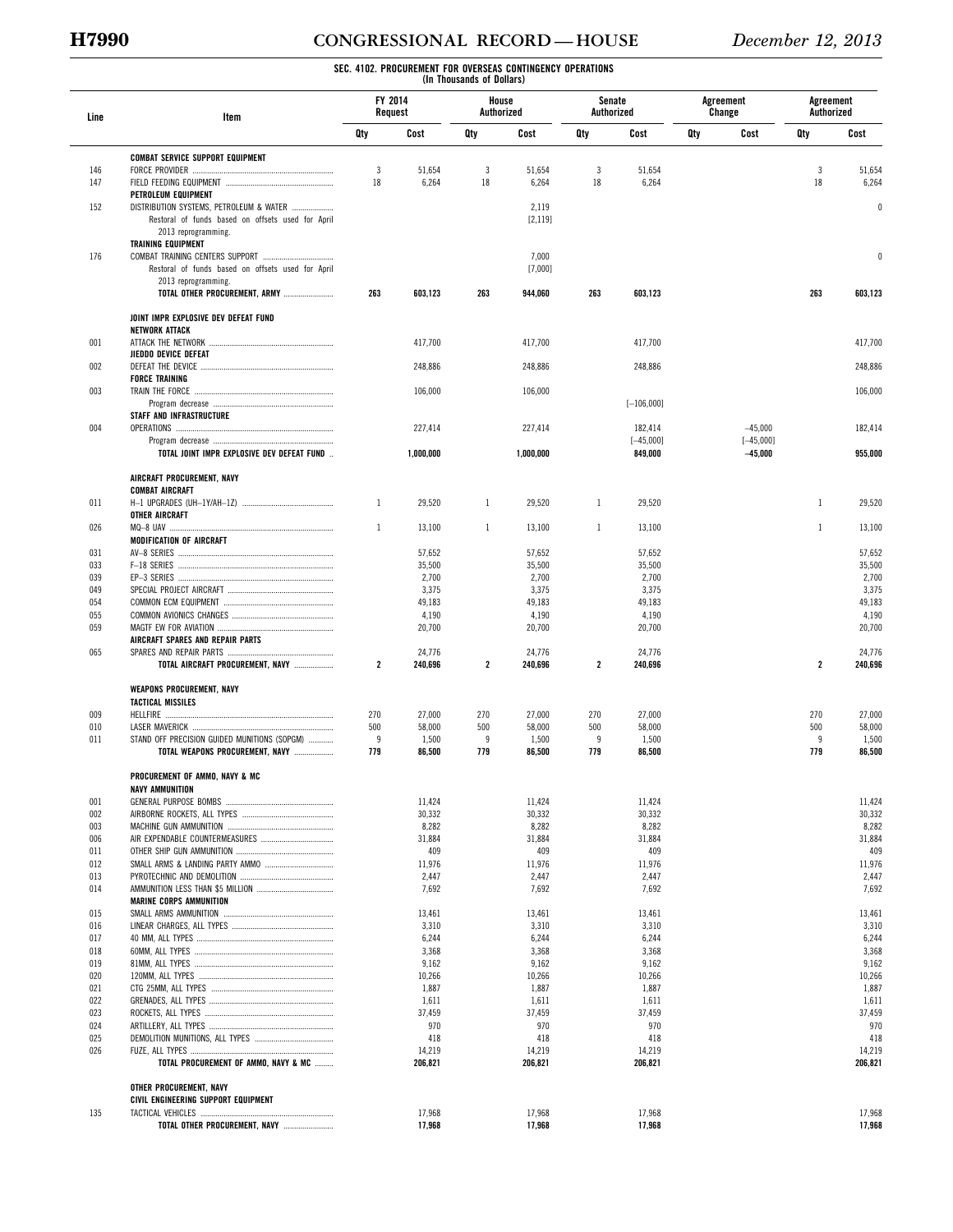# **H7990 CONGRESSIONAL RECORD — HOUSE** *December 12, 2013*

| Line       | Item                                                           |                         | FY 2014<br>Request | House<br>Authorized |                  | Senate<br>Authorized    |                  |     | Agreement<br>Change | Agreement<br>Authorized |                  |
|------------|----------------------------------------------------------------|-------------------------|--------------------|---------------------|------------------|-------------------------|------------------|-----|---------------------|-------------------------|------------------|
|            |                                                                | Qty                     | Cost               | Qty                 | Cost             | Qty                     | Cost             | Qty | Cost                | Qty                     | Cost             |
|            | <b>COMBAT SERVICE SUPPORT EQUIPMENT</b>                        |                         |                    |                     |                  |                         |                  |     |                     |                         |                  |
| 146        |                                                                | 3                       | 51,654             | 3                   | 51,654           | 3                       | 51,654           |     |                     | 3                       | 51,654           |
| 147        |                                                                | 18                      | 6,264              | 18                  | 6,264            | 18                      | 6,264            |     |                     | 18                      | 6,264            |
| 152        | PETROLEUM EQUIPMENT<br>DISTRIBUTION SYSTEMS, PETROLEUM & WATER |                         |                    |                     | 2,119            |                         |                  |     |                     |                         | $\mathbf{0}$     |
|            | Restoral of funds based on offsets used for April              |                         |                    |                     | [2, 119]         |                         |                  |     |                     |                         |                  |
|            | 2013 reprogramming.                                            |                         |                    |                     |                  |                         |                  |     |                     |                         |                  |
|            | <b>TRAINING EQUIPMENT</b>                                      |                         |                    |                     |                  |                         |                  |     |                     |                         |                  |
| 176        | Restoral of funds based on offsets used for April              |                         |                    |                     | 7,000<br>[7,000] |                         |                  |     |                     |                         | $\theta$         |
|            | 2013 reprogramming.                                            |                         |                    |                     |                  |                         |                  |     |                     |                         |                  |
|            | TOTAL OTHER PROCUREMENT, ARMY                                  | 263                     | 603,123            | 263                 | 944,060          | 263                     | 603,123          |     |                     | 263                     | 603,123          |
|            | JOINT IMPR EXPLOSIVE DEV DEFEAT FUND                           |                         |                    |                     |                  |                         |                  |     |                     |                         |                  |
|            | <b>NETWORK ATTACK</b>                                          |                         |                    |                     |                  |                         |                  |     |                     |                         |                  |
| 001        | <b>JIEDDO DEVICE DEFEAT</b>                                    |                         | 417,700            |                     | 417,700          |                         | 417,700          |     |                     |                         | 417,700          |
| 002        |                                                                |                         | 248,886            |                     | 248,886          |                         | 248,886          |     |                     |                         | 248,886          |
|            | <b>FORCE TRAINING</b>                                          |                         |                    |                     |                  |                         |                  |     |                     |                         |                  |
| 003        |                                                                |                         | 106,000            |                     | 106,000          |                         |                  |     |                     |                         | 106,000          |
|            | <b>STAFF AND INFRASTRUCTURE</b>                                |                         |                    |                     |                  |                         | $[-106,000]$     |     |                     |                         |                  |
| 004        |                                                                |                         | 227,414            |                     | 227,414          |                         | 182,414          |     | $-45,000$           |                         | 182,414          |
|            |                                                                |                         |                    |                     |                  |                         | $[-45,000]$      |     | $[-45,000]$         |                         |                  |
|            | TOTAL JOINT IMPR EXPLOSIVE DEV DEFEAT FUND                     |                         | 1,000,000          |                     | 1,000,000        |                         | 849,000          |     | $-45,000$           |                         | 955,000          |
|            | AIRCRAFT PROCUREMENT, NAVY                                     |                         |                    |                     |                  |                         |                  |     |                     |                         |                  |
| 011        | <b>COMBAT AIRCRAFT</b>                                         | $\mathbf{1}$            | 29,520             | $\mathbf{1}$        | 29,520           | $\mathbf{1}$            | 29,520           |     |                     | $\mathbf{1}$            | 29,520           |
|            | OTHER AIRCRAFT                                                 |                         |                    |                     |                  |                         |                  |     |                     |                         |                  |
| 026        |                                                                | 1                       | 13,100             | 1                   | 13,100           | 1                       | 13,100           |     |                     | $\mathbf{1}$            | 13,100           |
|            | MODIFICATION OF AIRCRAFT                                       |                         |                    |                     |                  |                         |                  |     |                     |                         |                  |
| 031<br>033 |                                                                |                         | 57,652             |                     | 57,652           |                         | 57,652           |     |                     |                         | 57,652           |
| 039        |                                                                |                         | 35,500<br>2,700    |                     | 35,500<br>2,700  |                         | 35,500<br>2,700  |     |                     |                         | 35,500<br>2,700  |
| 049        |                                                                |                         | 3,375              |                     | 3,375            |                         | 3,375            |     |                     |                         | 3,375            |
| 054        |                                                                |                         | 49,183             |                     | 49,183           |                         | 49,183           |     |                     |                         | 49,183           |
| 055        |                                                                |                         | 4,190              |                     | 4,190            |                         | 4,190            |     |                     |                         | 4,190            |
| 059        | AIRCRAFT SPARES AND REPAIR PARTS                               |                         | 20,700             |                     | 20,700           |                         | 20,700           |     |                     |                         | 20,700           |
| 065        |                                                                |                         | 24,776             |                     | 24,776           |                         | 24,776           |     |                     |                         | 24,776           |
|            | TOTAL AIRCRAFT PROCUREMENT, NAVY                               | $\overline{\mathbf{2}}$ | 240,696            | $\overline{2}$      | 240,696          | $\overline{\mathbf{2}}$ | 240,696          |     |                     | $\overline{2}$          | 240,696          |
|            | WEAPONS PROCUREMENT, NAVY                                      |                         |                    |                     |                  |                         |                  |     |                     |                         |                  |
|            | <b>TACTICAL MISSILES</b>                                       |                         |                    |                     |                  |                         |                  |     |                     |                         |                  |
| 009<br>010 |                                                                | 270<br>500              | 27,000<br>58,000   | 270<br>500          | 27,000<br>58,000 | 270<br>500              | 27,000<br>58,000 |     |                     | 270<br>500              | 27,000<br>58,000 |
| 011        | STAND OFF PRECISION GUIDED MUNITIONS (SOPGM)                   | 9                       | 1,500              | 9                   | 1,500            | 9                       | 1,500            |     |                     | 9                       | 1,500            |
|            | TOTAL WEAPONS PROCUREMENT, NAVY                                | 779                     | 86,500             | 779                 | 86,500           | 779                     | 86,500           |     |                     | 779                     | 86,500           |
|            | PROCUREMENT OF AMMO, NAVY & MC                                 |                         |                    |                     |                  |                         |                  |     |                     |                         |                  |
|            | NAVY AMMUNITION                                                |                         |                    |                     |                  |                         |                  |     |                     |                         |                  |
| 001<br>002 |                                                                |                         | 11,424<br>30,332   |                     | 11,424<br>30,332 |                         | 11,424<br>30,332 |     |                     |                         | 11,424<br>30,332 |
| 003        |                                                                |                         | 8,282              |                     | 8,282            |                         | 8,282            |     |                     |                         | 8,282            |
| 006        |                                                                |                         | 31,884             |                     | 31,884           |                         | 31,884           |     |                     |                         | 31,884           |
| 011        |                                                                |                         | 409                |                     | 409              |                         | 409              |     |                     |                         | 409              |
| 012<br>013 |                                                                |                         | 11,976<br>2,447    |                     | 11,976<br>2,447  |                         | 11,976<br>2,447  |     |                     |                         | 11,976<br>2,447  |
| 014        |                                                                |                         | 7,692              |                     | 7,692            |                         | 7,692            |     |                     |                         | 7,692            |
|            | <b>MARINE CORPS AMMUNITION</b>                                 |                         |                    |                     |                  |                         |                  |     |                     |                         |                  |
| 015        |                                                                |                         | 13,461             |                     | 13,461           |                         | 13,461           |     |                     |                         | 13,461           |
| 016        |                                                                |                         | 3,310              |                     | 3,310            |                         | 3,310            |     |                     |                         | 3,310            |
| 017<br>018 |                                                                |                         | 6,244<br>3,368     |                     | 6,244<br>3,368   |                         | 6,244<br>3,368   |     |                     |                         | 6,244<br>3,368   |
| 019        |                                                                |                         | 9,162              |                     | 9,162            |                         | 9,162            |     |                     |                         | 9,162            |
| 020        |                                                                |                         | 10,266             |                     | 10,266           |                         | 10,266           |     |                     |                         | 10,266           |
| 021        |                                                                |                         | 1,887              |                     | 1,887            |                         | 1,887            |     |                     |                         | 1,887            |
| 022        |                                                                |                         | 1,611              |                     | 1,611            |                         | 1,611            |     |                     |                         | 1,611            |
| 023<br>024 |                                                                |                         | 37,459<br>970      |                     | 37,459<br>970    |                         | 37,459<br>970    |     |                     |                         | 37,459<br>970    |
| 025        |                                                                |                         | 418                |                     | 418              |                         | 418              |     |                     |                         | 418              |
| 026        |                                                                |                         | 14,219             |                     | 14,219           |                         | 14,219           |     |                     |                         | 14,219           |
|            | TOTAL PROCUREMENT OF AMMO, NAVY & MC                           |                         | 206,821            |                     | 206,821          |                         | 206,821          |     |                     |                         | 206,821          |
|            | OTHER PROCUREMENT, NAVY                                        |                         |                    |                     |                  |                         |                  |     |                     |                         |                  |
| 135        | CIVIL ENGINEERING SUPPORT EQUIPMENT                            |                         | 17,968             |                     | 17,968           |                         | 17,968           |     |                     |                         | 17,968           |
|            | TOTAL OTHER PROCUREMENT, NAVY                                  |                         | 17,968             |                     | 17,968           |                         | 17,968           |     |                     |                         | 17,968           |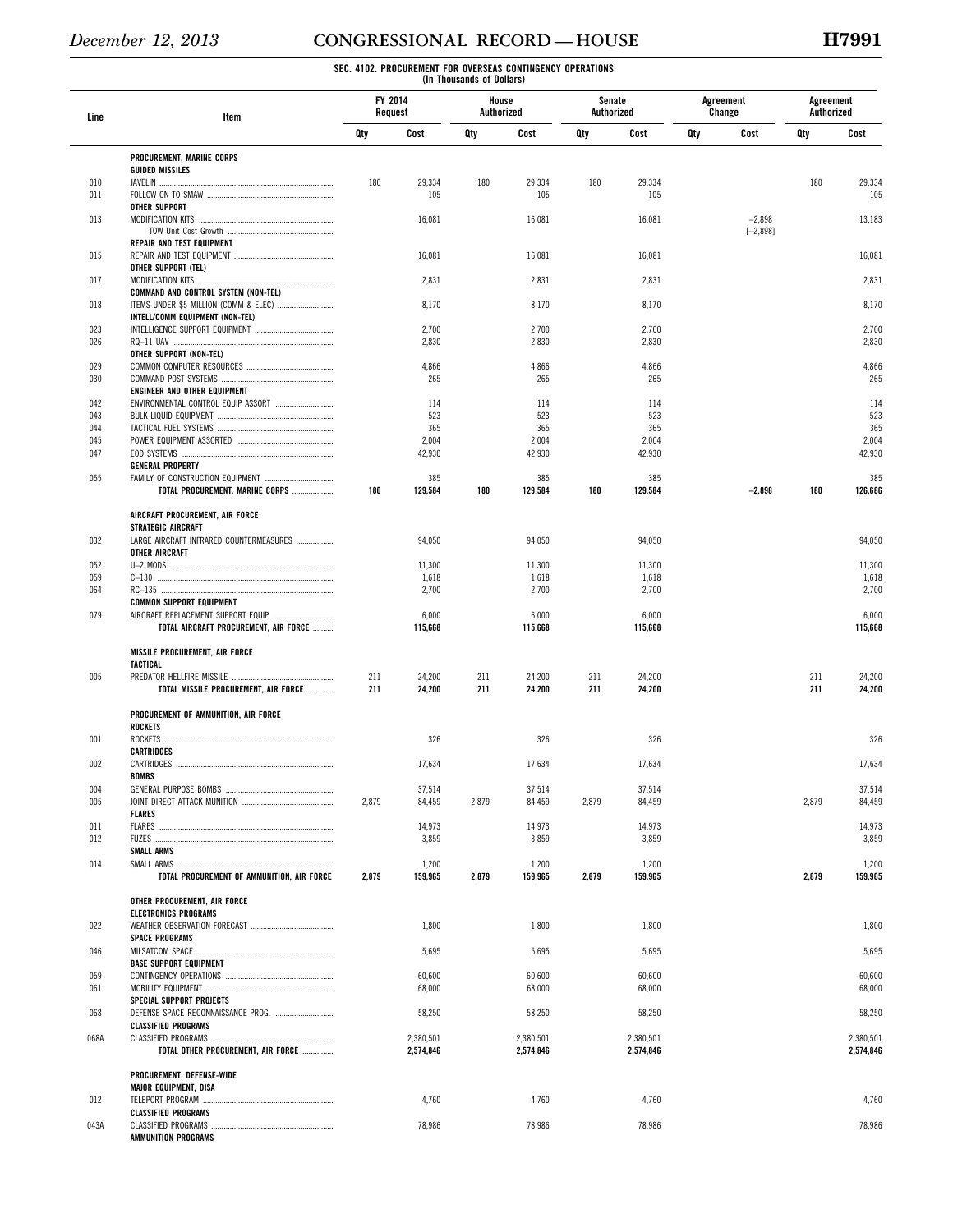| Line       | Item                                                                          | FY 2014<br>Request |                        | House<br>Authorized |                        | Senate<br>Authorized |                        |     | Agreement<br>Change | Agreement<br>Authorized |                        |
|------------|-------------------------------------------------------------------------------|--------------------|------------------------|---------------------|------------------------|----------------------|------------------------|-----|---------------------|-------------------------|------------------------|
|            |                                                                               | Qty                | Cost                   | Qty                 | Cost                   | Qty                  | Cost                   | Qty | Cost                | Qty                     | Cost                   |
|            | PROCUREMENT, MARINE CORPS                                                     |                    |                        |                     |                        |                      |                        |     |                     |                         |                        |
| 010        | <b>GUIDED MISSILES</b>                                                        | 180                | 29,334                 | 180                 | 29,334                 | 180                  | 29,334                 |     |                     | 180                     | 29,334                 |
| 011        |                                                                               |                    | 105                    |                     | 105                    |                      | 105                    |     |                     |                         | 105                    |
|            | <b>OTHER SUPPORT</b>                                                          |                    |                        |                     |                        |                      |                        |     |                     |                         |                        |
| 013        |                                                                               |                    | 16,081                 |                     | 16,081                 |                      | 16,081                 |     | $-2,898$            |                         | 13,183                 |
|            | REPAIR AND TEST EQUIPMENT                                                     |                    |                        |                     |                        |                      |                        |     | $[-2, 898]$         |                         |                        |
| 015        |                                                                               |                    | 16,081                 |                     | 16,081                 |                      | 16,081                 |     |                     |                         | 16,081                 |
|            | OTHER SUPPORT (TEL)                                                           |                    |                        |                     |                        |                      |                        |     |                     |                         |                        |
| 017        |                                                                               |                    | 2,831                  |                     | 2,831                  |                      | 2,831                  |     |                     |                         | 2,831                  |
| 018        | COMMAND AND CONTROL SYSTEM (NON-TEL)<br>ITEMS UNDER \$5 MILLION (COMM & ELEC) |                    | 8,170                  |                     | 8,170                  |                      | 8,170                  |     |                     |                         | 8,170                  |
|            | INTELL/COMM EQUIPMENT (NON-TEL)                                               |                    |                        |                     |                        |                      |                        |     |                     |                         |                        |
| 023        |                                                                               |                    | 2,700                  |                     | 2,700                  |                      | 2,700                  |     |                     |                         | 2,700                  |
| 026        |                                                                               |                    | 2,830                  |                     | 2,830                  |                      | 2,830                  |     |                     |                         | 2,830                  |
| 029        | OTHER SUPPORT (NON-TEL)                                                       |                    | 4,866                  |                     | 4,866                  |                      | 4,866                  |     |                     |                         | 4,866                  |
| 030        |                                                                               |                    | 265                    |                     | 265                    |                      | 265                    |     |                     |                         | 265                    |
|            | ENGINEER AND OTHER EQUIPMENT                                                  |                    |                        |                     |                        |                      |                        |     |                     |                         |                        |
| 042        |                                                                               |                    | 114                    |                     | 114                    |                      | 114                    |     |                     |                         | 114                    |
| 043<br>044 |                                                                               |                    | 523<br>365             |                     | 523<br>365             |                      | 523<br>365             |     |                     |                         | 523<br>365             |
| 045        |                                                                               |                    | 2,004                  |                     | 2,004                  |                      | 2,004                  |     |                     |                         | 2,004                  |
| 047        |                                                                               |                    | 42,930                 |                     | 42,930                 |                      | 42,930                 |     |                     |                         | 42,930                 |
|            | <b>GENERAL PROPERTY</b>                                                       |                    |                        |                     |                        |                      |                        |     |                     |                         |                        |
| 055        |                                                                               |                    | 385                    |                     | 385                    |                      | 385                    |     |                     |                         | 385                    |
|            | TOTAL PROCUREMENT, MARINE CORPS                                               | 180                | 129,584                | 180                 | 129,584                | 180                  | 129,584                |     | $-2,898$            | 180                     | 126,686                |
|            | AIRCRAFT PROCUREMENT, AIR FORCE                                               |                    |                        |                     |                        |                      |                        |     |                     |                         |                        |
|            | <b>STRATEGIC AIRCRAFT</b>                                                     |                    |                        |                     |                        |                      |                        |     |                     |                         |                        |
| 032        | LARGE AIRCRAFT INFRARED COUNTERMEASURES                                       |                    | 94,050                 |                     | 94,050                 |                      | 94,050                 |     |                     |                         | 94,050                 |
| 052        | OTHER AIRCRAFT                                                                |                    | 11,300                 |                     | 11,300                 |                      | 11,300                 |     |                     |                         | 11,300                 |
| 059        |                                                                               |                    | 1,618                  |                     | 1,618                  |                      | 1,618                  |     |                     |                         | 1,618                  |
| 064        |                                                                               |                    | 2,700                  |                     | 2,700                  |                      | 2,700                  |     |                     |                         | 2,700                  |
|            | <b>COMMON SUPPORT EQUIPMENT</b>                                               |                    |                        |                     |                        |                      |                        |     |                     |                         |                        |
| 079        | AIRCRAFT REPLACEMENT SUPPORT EQUIP<br>TOTAL AIRCRAFT PROCUREMENT, AIR FORCE   |                    | 6,000<br>115,668       |                     | 6,000<br>115,668       |                      | 6,000<br>115,668       |     |                     |                         | 6,000<br>115,668       |
|            |                                                                               |                    |                        |                     |                        |                      |                        |     |                     |                         |                        |
|            | MISSILE PROCUREMENT, AIR FORCE                                                |                    |                        |                     |                        |                      |                        |     |                     |                         |                        |
|            | TACTICAL                                                                      |                    |                        |                     |                        |                      |                        |     |                     |                         |                        |
| 005        | TOTAL MISSILE PROCUREMENT, AIR FORCE                                          | 211<br>211         | 24,200<br>24,200       | 211<br>211          | 24,200<br>24,200       | 211<br>211           | 24,200<br>24,200       |     |                     | 211<br>211              | 24,200<br>24,200       |
|            |                                                                               |                    |                        |                     |                        |                      |                        |     |                     |                         |                        |
|            | PROCUREMENT OF AMMUNITION, AIR FORCE                                          |                    |                        |                     |                        |                      |                        |     |                     |                         |                        |
| 001        | <b>ROCKETS</b>                                                                |                    | 326                    |                     | 326                    |                      | 326                    |     |                     |                         | 326                    |
|            | <b>CARTRIDGES</b>                                                             |                    |                        |                     |                        |                      |                        |     |                     |                         |                        |
| 002        | CARTRIDGES                                                                    |                    | 17,634                 |                     | 17,634                 |                      | 17,634                 |     |                     |                         | 17,634                 |
|            | <b>BOMBS</b>                                                                  |                    |                        |                     |                        |                      |                        |     |                     |                         |                        |
| 004        |                                                                               |                    | 37,514                 |                     | 37,514                 |                      | 37,514                 |     |                     |                         | 37,514                 |
| 005        | <b>FLARES</b>                                                                 | 2,879              | 84,459                 | 2,879               | 84,459                 | 2,879                | 84,459                 |     |                     | 2,879                   | 84,459                 |
| 011        |                                                                               |                    | 14,973                 |                     | 14,973                 |                      | 14,973                 |     |                     |                         | 14,973                 |
| 012        |                                                                               |                    | 3,859                  |                     | 3,859                  |                      | 3,859                  |     |                     |                         | 3,859                  |
|            | <b>SMALL ARMS</b>                                                             |                    |                        |                     |                        |                      |                        |     |                     |                         |                        |
| 014        | TOTAL PROCUREMENT OF AMMUNITION, AIR FORCE                                    | 2,879              | 1,200<br>159,965       | 2,879               | 1,200<br>159,965       | 2,879                | 1,200<br>159,965       |     |                     | 2,879                   | 1,200<br>159,965       |
|            |                                                                               |                    |                        |                     |                        |                      |                        |     |                     |                         |                        |
|            | OTHER PROCUREMENT, AIR FORCE                                                  |                    |                        |                     |                        |                      |                        |     |                     |                         |                        |
| 022        | <b>ELECTRONICS PROGRAMS</b>                                                   |                    | 1,800                  |                     | 1,800                  |                      | 1,800                  |     |                     |                         | 1,800                  |
|            | <b>SPACE PROGRAMS</b>                                                         |                    |                        |                     |                        |                      |                        |     |                     |                         |                        |
| 046        |                                                                               |                    | 5,695                  |                     | 5,695                  |                      | 5,695                  |     |                     |                         | 5,695                  |
|            | <b>BASE SUPPORT EQUIPMENT</b>                                                 |                    |                        |                     |                        |                      |                        |     |                     |                         |                        |
| 059<br>061 |                                                                               |                    | 60,600<br>68,000       |                     | 60,600<br>68,000       |                      | 60,600<br>68,000       |     |                     |                         | 60,600<br>68,000       |
|            | SPECIAL SUPPORT PROJECTS                                                      |                    |                        |                     |                        |                      |                        |     |                     |                         |                        |
| 068        |                                                                               |                    | 58,250                 |                     | 58,250                 |                      | 58,250                 |     |                     |                         | 58,250                 |
|            | <b>CLASSIFIED PROGRAMS</b>                                                    |                    |                        |                     |                        |                      |                        |     |                     |                         |                        |
| 068A       | TOTAL OTHER PROCUREMENT, AIR FORCE                                            |                    | 2,380,501<br>2,574,846 |                     | 2,380,501<br>2,574,846 |                      | 2,380,501<br>2,574,846 |     |                     |                         | 2,380,501<br>2,574,846 |
|            |                                                                               |                    |                        |                     |                        |                      |                        |     |                     |                         |                        |
|            | PROCUREMENT, DEFENSE-WIDE                                                     |                    |                        |                     |                        |                      |                        |     |                     |                         |                        |
| 012        | <b>MAJOR EQUIPMENT, DISA</b>                                                  |                    | 4,760                  |                     | 4,760                  |                      | 4,760                  |     |                     |                         | 4,760                  |
|            | <b>CLASSIFIED PROGRAMS</b>                                                    |                    |                        |                     |                        |                      |                        |     |                     |                         |                        |
| 043A       |                                                                               |                    | 78,986                 |                     | 78,986                 |                      | 78,986                 |     |                     |                         | 78,986                 |
|            | AMMUNITION PROGRAMS                                                           |                    |                        |                     |                        |                      |                        |     |                     |                         |                        |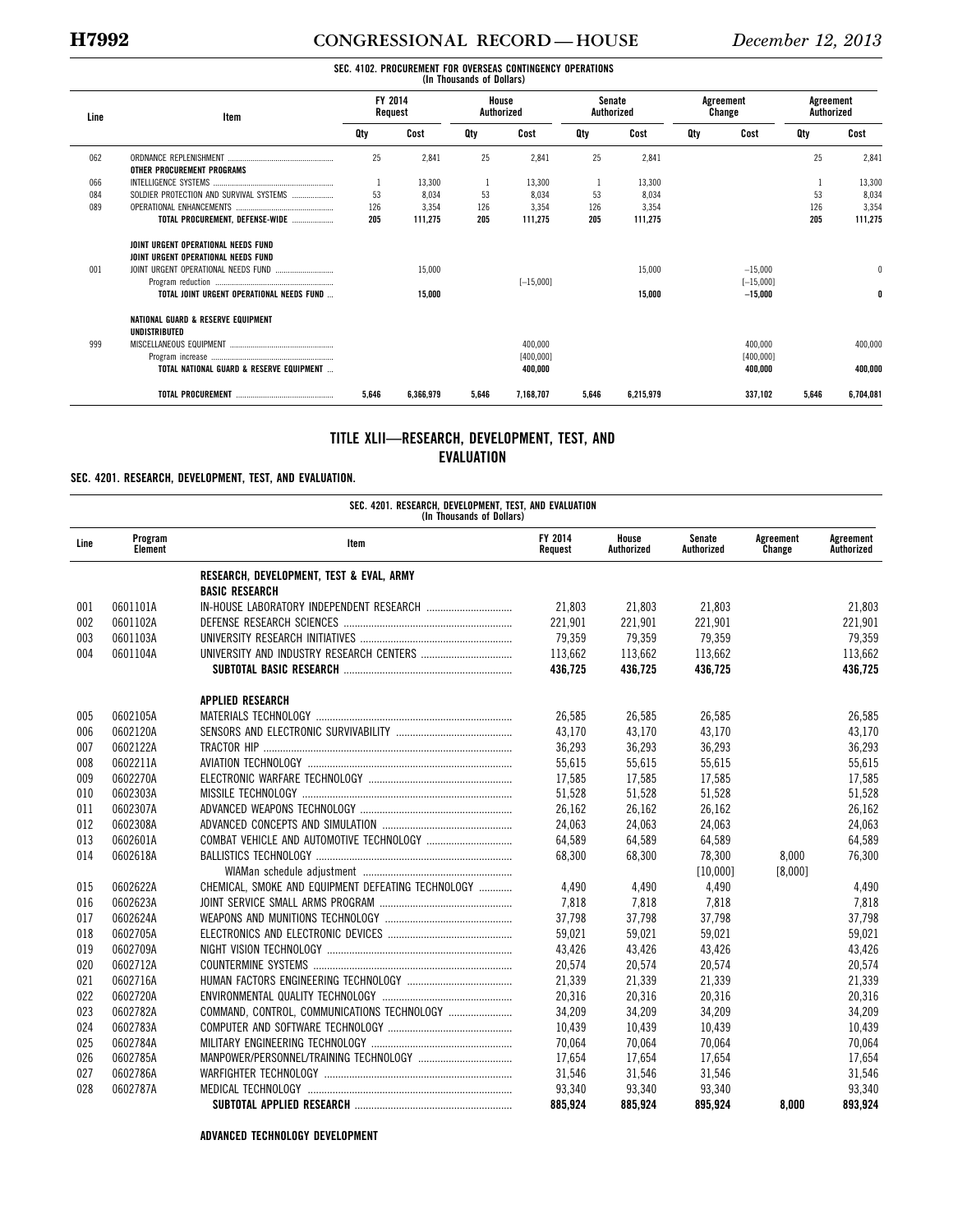#### **H7992 CONGRESSIONAL RECORD — HOUSE** *December 12, 2013*

#### **SEC. 4102. PROCUREMENT FOR OVERSEAS CONTINGENCY OPERATIONS (In Thousands of Dollars)**  Line **Internal Contract Contract Contract Contract Contract Contract Contract Contract Contract Contract Contract FY 2014 Request House Authorized Senate Authorized Agreement Change Agreement Authorized Qty Cost Qty Cost Qty Cost Qty Cost Qty Cost**  062 ORDNANCE REPLENISHMENT ................................................... 25 2,841 25 2,841 25 2,841 25 2,841 **OTHER PROCUREMENT PROGRAMS**<br>INTELLIGENCE SYSTEMS .................. 066 INTELLIGENCE SYSTEMS .......................................................... 1 13,300 1 13,300 1 13,300 1 13,300 084 SOLDIER PROTECTION AND SURVIVAL SYSTEMS .................... 53 8,034 53 8,034 53 8,034 53 8,034 089 OPERATIONAL ENHANCEMENTS ............................................... 126 3,354 126 3,354 126 3,354 126 3,354 **TOTAL PROCUREMENT, DEFENSE-WIDE** .................... **205 111,275 205 111,275 205 111,275 205 111,275 JOINT URGENT OPERATIONAL NEEDS FUND JOINT URGENT OPERATIONAL NEEDS FUND** 001 JOINT URGENT OPERATIONAL NEEDS FUND ............................ 15,000 15,000 –15,000 0 Program reduction ......................................................... [–15,000 ] [–15,000 ] **TOTAL JOINT URGENT OPERATIONAL NEEDS FUND** ... **15,000 15,000 –15,000 0 NATIONAL GUARD & RESERVE EQUIPMENT UNDISTRIBUTED**  999 MISCELLANEOUS EQUIPMENT .................................................. 400,000 400,000 400,000 Program increase ........................................................... [400,000 ] [400,000 ] **TOTAL NATIONAL GUARD & RESERVE EQUIPMENT** ... **400,000 400,000 400,000 TOTAL PROCUREMENT** ............................................... **5,646 6,366,979 5,646 7,168,707 5,646 6,215,979 337,102 5,646 6,704,081**

#### **TITLE XLII—RESEARCH, DEVELOPMENT, TEST, AND EVALUATION**

#### **SEC. 4201. RESEARCH, DEVELOPMENT, TEST, AND EVALUATION.**

**SEC. 4201. RESEARCH, DEVELOPMENT, TEST, AND EVALUATION (In Thousands of Dollars) Line Program Element Item FY 2014 Request House Authorized Senate Authorized Agreement Change Agreement Authorized RESEARCH, DEVELOPMENT, TEST & EVAL, ARMY BASIC RESEARCH**  001 0601101A IN-HOUSE LABORATORY INDEPENDENT RESEARCH ............................... 21,803 21,803 21,803 21,803 002 0601102A DEFENSE RESEARCH SCIENCES ............................................................. 221,901 221,901 221,901 221,901 003 0601103A UNIVERSITY RESEARCH INITIATIVES ....................................................... 79,359 79,359 79,359 79,359 004 0601104A UNIVERSITY AND INDUSTRY RESEARCH CENTERS ................................. 113,662 113,662 113,662 113,662 **SUBTOTAL BASIC RESEARCH** ............................................................. **436,725 436,725 436,725 436,725 APPLIED RESEARCH**  005 0602105A MATERIALS TECHNOLOGY ....................................................................... 26,585 26,585 26,585 26,585 006 0602120A SENSORS AND ELECTRONIC SURVIVABILITY .......................................... 43,170 43,170 43,170 43,170 007 0602122A TRACTOR HIP .......................................................................................... 36,293 36,293 36,293 36,293 008 0602211A AVIATION TECHNOLOGY .......................................................................... 55,615 55,615 55,615 55,615 009 0602270A ELECTRONIC WARFARE TECHNOLOGY .................................................... 17,585 17,585 17,585 17,585 010 0602303A MISSILE TECHNOLOGY ............................................................................ 51,528 51,528 51,528 51,528 011 0602307A ADVANCED WEAPONS TECHNOLOGY ....................................................... 26,162 26,162 26,162 26,162 012 0602308A ADVANCED CONCEPTS AND SIMULATION ............................................... 24,063 24,063 24,063 24,063 013 0602601A COMBAT VEHICLE AND AUTOMOTIVE TECHNOLOGY ............................... 64,589 64,589 64,589 64,589 014 0602618A BALLISTICS TECHNOLOGY ....................................................................... 68,300 68,300 78,300 8,000 76,300 WIAMan schedule adjustment ...................................................... [10,000 ] [8,000 ] 015 0602622A CHEMICAL, SMOKE AND EQUIPMENT DEFEATING TECHNOLOGY ............. 4.490 4.490 4.490 4.490 4.490 4,490 016 0602623A JOINT SERVICE SMALL ARMS PROGRAM ................................................ 7,818 7,818 7,818 7,818 017 0602624A WEAPONS AND MUNITIONS TECHNOLOGY .............................................. 37,798 37,798 37,798 37,798 018 0602705A ELECTRONICS AND ELECTRONIC DEVICES ............................................. 59,021 59,021 59,021 59,021 019 0602709A NIGHT VISION TECHNOLOGY ................................................................... 43,426 43,426 43,426 43,426 020 0602712A COUNTERMINE SYSTEMS ........................................................................ 20,574 20,574 20,574 20,574 021 0602716A HUMAN FACTORS ENGINEERING TECHNOLOGY ...................................... 21,339 21,339 21,339 21,339 022 0602720A ENVIRONMENTAL QUALITY TECHNOLOGY ............................................... 20,316 20,316 20,316 20,316 023 0602782A COMMAND, CONTROL, COMMUNICATIONS TECHNOLOGY ....................... 34,209 34,209 34,209 34,209 024 0602783A COMPUTER AND SOFTWARE TECHNOLOGY ............................................. 10,439 10,439 10,439 10,439 025 0602784A MILITARY ENGINEERING TECHNOLOGY ................................................... 70,064 70,064 70,064 70,064 026 0602785A MANPOWER/PERSONNEL/TRAINING TECHNOLOGY .................................. 17,654 17,654 17,654 17,654 027 0602786A WARFIGHTER TECHNOLOGY .................................................................... 31,546 31,546 31,546 31,546 028 0602787A MEDICAL TECHNOLOGY .......................................................................... 93,340 93,340 93,340 93,340 **SUBTOTAL APPLIED RESEARCH** ......................................................... **885,924 885,924 895,924 8,000 893,924** 

**ADVANCED TECHNOLOGY DEVELOPMENT**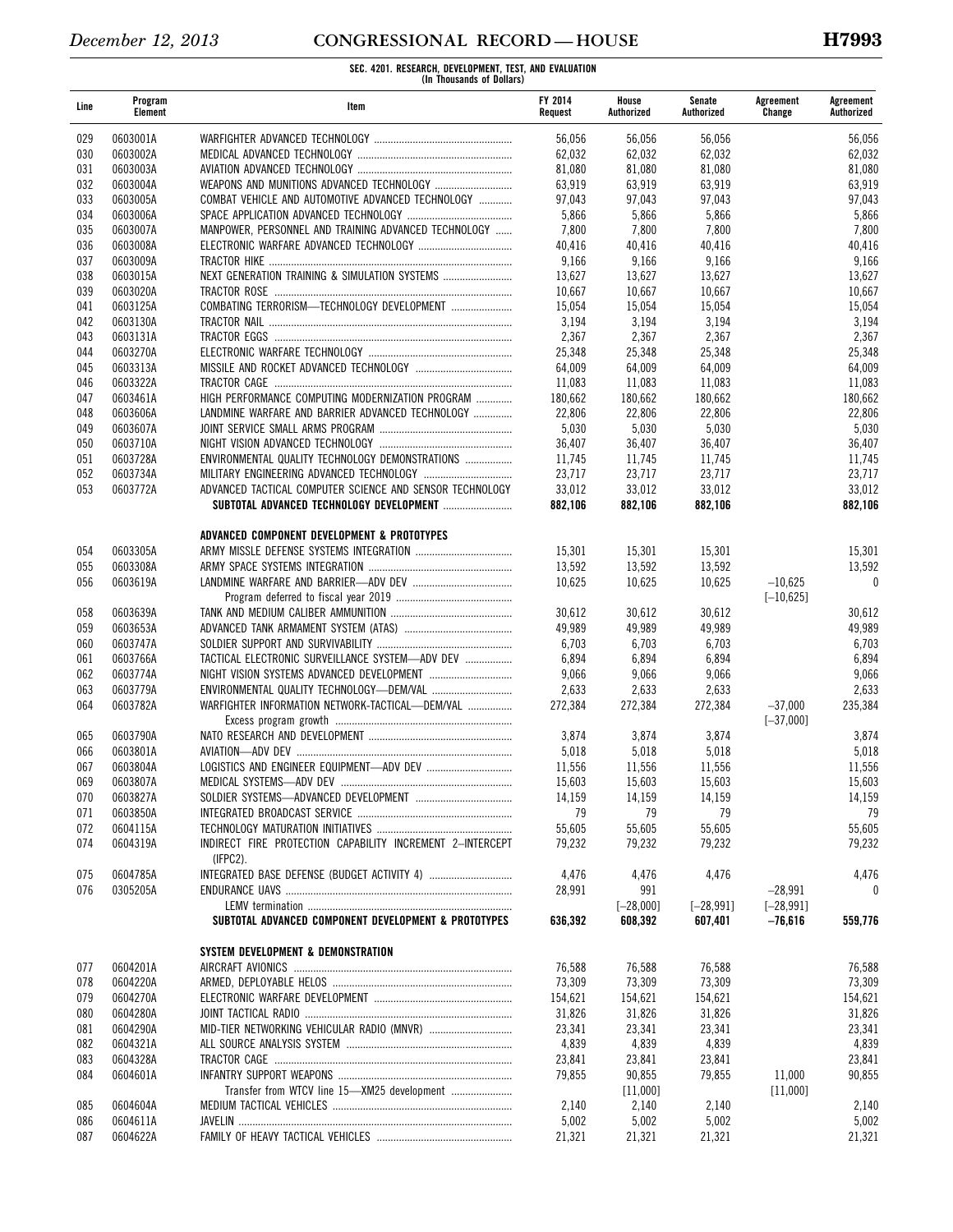| Line       | Program<br>Element   | Item                                                                  | FY 2014<br>Request | House<br>Authorized    | Senate<br>Authorized    | Agreement<br>Change       | Agreement<br>Authorized |
|------------|----------------------|-----------------------------------------------------------------------|--------------------|------------------------|-------------------------|---------------------------|-------------------------|
| 029        | 0603001A             |                                                                       | 56,056             | 56,056                 | 56,056                  |                           | 56,056                  |
| 030        | 0603002A             |                                                                       | 62,032             | 62,032                 | 62,032                  |                           | 62,032                  |
| 031        | 0603003A             |                                                                       | 81,080             | 81,080                 | 81,080                  |                           | 81,080                  |
| 032        | 0603004A             |                                                                       | 63,919             | 63,919                 | 63,919                  |                           | 63,919                  |
| 033        | 0603005A             | COMBAT VEHICLE AND AUTOMOTIVE ADVANCED TECHNOLOGY                     | 97.043             | 97,043                 | 97,043                  |                           | 97,043                  |
| 034        | 0603006A             |                                                                       | 5,866              | 5,866                  | 5,866                   |                           | 5,866                   |
| 035<br>036 | 0603007A<br>0603008A | MANPOWER, PERSONNEL AND TRAINING ADVANCED TECHNOLOGY                  | 7,800<br>40,416    | 7,800<br>40,416        | 7,800<br>40,416         |                           | 7,800<br>40,416         |
| 037        | 0603009A             |                                                                       | 9,166              | 9,166                  | 9,166                   |                           | 9,166                   |
| 038        | 0603015A             | NEXT GENERATION TRAINING & SIMULATION SYSTEMS                         | 13,627             | 13,627                 | 13,627                  |                           | 13,627                  |
| 039        | 0603020A             |                                                                       | 10,667             | 10,667                 | 10,667                  |                           | 10,667                  |
| 041        | 0603125A             | COMBATING TERRORISM-TECHNOLOGY DEVELOPMENT                            | 15,054             | 15,054                 | 15,054                  |                           | 15,054                  |
| 042        | 0603130A             |                                                                       | 3,194              | 3,194                  | 3,194                   |                           | 3,194                   |
| 043        | 0603131A             |                                                                       | 2,367              | 2,367                  | 2,367                   |                           | 2,367                   |
| 044        | 0603270A             |                                                                       | 25,348             | 25,348                 | 25,348                  |                           | 25,348                  |
| 045        | 0603313A             |                                                                       | 64,009             | 64,009                 | 64,009                  |                           | 64,009                  |
| 046        | 0603322A             |                                                                       | 11,083             | 11,083                 | 11,083                  |                           | 11,083                  |
| 047        | 0603461A             | HIGH PERFORMANCE COMPUTING MODERNIZATION PROGRAM                      | 180,662            | 180,662                | 180,662                 |                           | 180,662                 |
| 048        | 0603606A             | LANDMINE WARFARE AND BARRIER ADVANCED TECHNOLOGY                      | 22,806             | 22,806                 | 22,806                  |                           | 22,806                  |
| 049        | 0603607A             |                                                                       | 5,030              | 5,030                  | 5,030                   |                           | 5,030                   |
| 050        | 0603710A<br>0603728A |                                                                       | 36,407             | 36,407                 | 36,407                  |                           | 36,407                  |
| 051<br>052 | 0603734A             | ENVIRONMENTAL QUALITY TECHNOLOGY DEMONSTRATIONS                       | 11,745<br>23,717   | 11,745<br>23,717       | 11,745<br>23,717        |                           | 11,745<br>23,717        |
| 053        | 0603772A             | ADVANCED TACTICAL COMPUTER SCIENCE AND SENSOR TECHNOLOGY              | 33,012             | 33,012                 | 33,012                  |                           | 33,012                  |
|            |                      |                                                                       | 882,106            | 882,106                | 882,106                 |                           | 882,106                 |
|            |                      | ADVANCED COMPONENT DEVELOPMENT & PROTOTYPES                           |                    |                        |                         |                           |                         |
| 054        | 0603305A             |                                                                       | 15,301             | 15,301                 | 15,301                  |                           | 15,301                  |
| 055        | 0603308A             |                                                                       | 13,592             | 13,592                 | 13,592                  |                           | 13,592                  |
| 056        | 0603619A             |                                                                       | 10,625             | 10,625                 | 10,625                  | $-10,625$                 | 0                       |
|            |                      |                                                                       |                    |                        |                         | $[-10, 625]$              |                         |
| 058        | 0603639A             |                                                                       | 30,612             | 30,612                 | 30,612                  |                           | 30,612                  |
| 059        | 0603653A             |                                                                       | 49,989             | 49,989                 | 49,989                  |                           | 49,989                  |
| 060        | 0603747A             |                                                                       | 6,703              | 6,703                  | 6,703                   |                           | 6,703                   |
| 061<br>062 | 0603766A<br>0603774A | TACTICAL ELECTRONIC SURVEILLANCE SYSTEM-ADV DEV                       | 6,894<br>9,066     | 6,894<br>9,066         | 6,894<br>9,066          |                           | 6,894<br>9,066          |
| 063        | 0603779A             |                                                                       | 2,633              | 2,633                  | 2,633                   |                           | 2,633                   |
| 064        | 0603782A             | WARFIGHTER INFORMATION NETWORK-TACTICAL-DEM/VAL                       | 272,384            | 272,384                | 272,384                 | $-37,000$                 | 235,384                 |
|            |                      |                                                                       |                    |                        |                         | $[-37,000]$               |                         |
| 065        | 0603790A             |                                                                       | 3,874              | 3,874                  | 3,874                   |                           | 3,874                   |
| 066        | 0603801A             |                                                                       | 5,018              | 5,018                  | 5,018                   |                           | 5,018                   |
| 067        | 0603804A             |                                                                       | 11,556             | 11,556                 | 11,556                  |                           | 11,556                  |
| 069        | 0603807A             | MEDICAL SYSTEMS-ADV DEV                                               | 15,603             | 15,603                 | 15,603                  |                           | 15,603                  |
| 070        | 0603827A             |                                                                       | 14,159             | 14,159                 | 14,159                  |                           | 14,159                  |
| 071        | 0603850A             |                                                                       | 79                 | 79                     | 79                      |                           | 79                      |
| 072        | 0604115A             |                                                                       | 55,605             | 55,605                 | 55,605                  |                           | 55,605                  |
| 074        | 0604319A             | INDIRECT FIRE PROTECTION CAPABILITY INCREMENT 2-INTERCEPT<br>(IFPC2). | 79,232             | 79,232                 | 79,232                  |                           | 79,232                  |
| 075        | 0604785A             |                                                                       | 4,476              | 4,476                  | 4,476                   |                           | 4,476                   |
| 076        | 0305205A             |                                                                       | 28,991             | 991                    |                         | $-28,991$                 | $\bf{0}$                |
|            |                      | SUBTOTAL ADVANCED COMPONENT DEVELOPMENT & PROTOTYPES                  | 636.392            | $[-28,000]$<br>608,392 | $[-28, 991]$<br>607,401 | $[-28, 991]$<br>$-76,616$ | 559,776                 |
|            |                      | SYSTEM DEVELOPMENT & DEMONSTRATION                                    |                    |                        |                         |                           |                         |
| 077        | 0604201A             |                                                                       | 76,588             | 76,588                 | 76,588                  |                           | 76,588                  |
| 078        | 0604220A             |                                                                       | 73,309             | 73,309                 | 73,309                  |                           | 73,309                  |
| 079        | 0604270A             |                                                                       | 154,621            | 154,621                | 154,621                 |                           | 154,621                 |
| 080        | 0604280A             |                                                                       | 31,826             | 31,826                 | 31,826                  |                           | 31,826                  |
| 081        | 0604290A             |                                                                       | 23,341             | 23,341                 | 23,341                  |                           | 23,341                  |
| 082        | 0604321A             |                                                                       | 4,839              | 4,839                  | 4,839                   |                           | 4,839                   |
| 083        | 0604328A             |                                                                       | 23,841             | 23,841                 | 23,841                  |                           | 23,841                  |
| 084        | 0604601A             |                                                                       | 79,855             | 90,855                 | 79,855                  | 11,000                    | 90,855                  |
|            |                      |                                                                       |                    | [11,000]               |                         | [11,000]                  |                         |
| 085        | 0604604A<br>0604611A |                                                                       | 2,140              | 2,140                  | 2,140<br>5,002          |                           | 2,140<br>5,002          |
| 086<br>087 | 0604622A             |                                                                       | 5,002<br>21,321    | 5,002<br>21,321        | 21,321                  |                           | 21,321                  |
|            |                      |                                                                       |                    |                        |                         |                           |                         |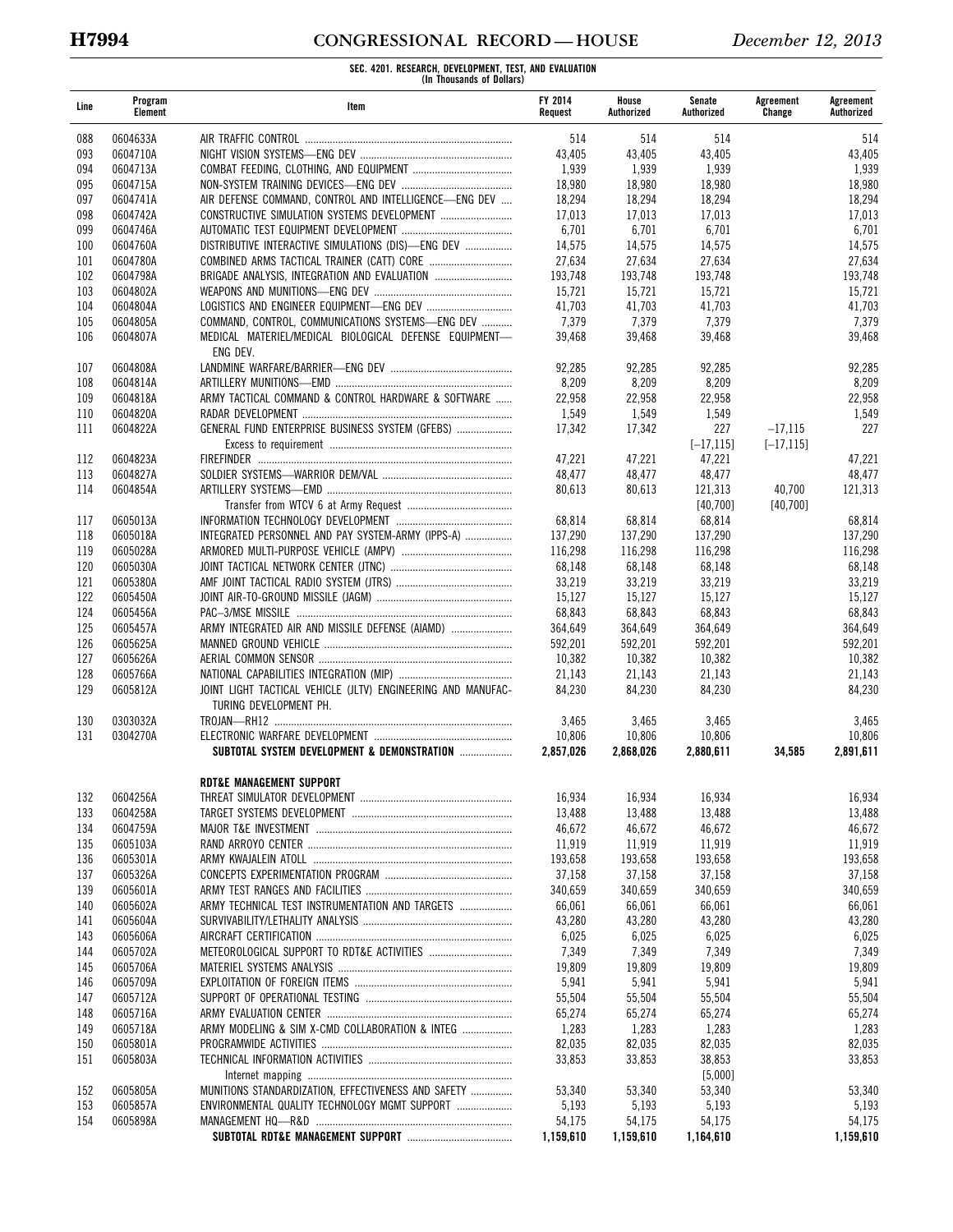# **H7994 CONGRESSIONAL RECORD — HOUSE** *December 12, 2013*

| Line       | Program<br>Element   | Item                                                                                   | FY 2014<br>Request | House<br>Authorized | Senate<br>Authorized | Agreement<br>Change | Agreement<br>Authorized |
|------------|----------------------|----------------------------------------------------------------------------------------|--------------------|---------------------|----------------------|---------------------|-------------------------|
| 088        | 0604633A             |                                                                                        | 514                | 514                 | 514                  |                     | 514                     |
| 093        | 0604710A             |                                                                                        | 43,405             | 43,405              | 43,405               |                     | 43,405                  |
| 094        | 0604713A             |                                                                                        | 1,939              | 1,939               | 1,939                |                     | 1,939                   |
| 095        | 0604715A             |                                                                                        | 18,980             | 18,980              | 18,980               |                     | 18,980                  |
| 097        | 0604741A             | AIR DEFENSE COMMAND, CONTROL AND INTELLIGENCE-ENG DEV                                  | 18,294             | 18,294              | 18,294               |                     | 18,294                  |
| 098        | 0604742A             |                                                                                        | 17,013             | 17,013              | 17,013               |                     | 17,013                  |
| 099        | 0604746A             |                                                                                        | 6,701              | 6,701               | 6,701                |                     | 6,701                   |
| 100        | 0604760A             | DISTRIBUTIVE INTERACTIVE SIMULATIONS (DIS)-ENG DEV                                     | 14,575             | 14,575              | 14,575               |                     | 14,575                  |
| 101        | 0604780A             |                                                                                        | 27,634             | 27,634              | 27,634               |                     | 27,634                  |
| 102        | 0604798A             | BRIGADE ANALYSIS, INTEGRATION AND EVALUATION                                           | 193,748            | 193,748             | 193,748              |                     | 193,748                 |
| 103<br>104 | 0604802A<br>0604804A |                                                                                        | 15,721<br>41,703   | 15,721<br>41,703    | 15,721<br>41,703     |                     | 15,721<br>41,703        |
| 105        | 0604805A             | COMMAND, CONTROL, COMMUNICATIONS SYSTEMS-ENG DEV                                       | 7,379              | 7,379               | 7,379                |                     | 7,379                   |
| 106        | 0604807A             | MEDICAL MATERIEL/MEDICAL BIOLOGICAL DEFENSE EQUIPMENT-<br>ENG DEV.                     | 39,468             | 39,468              | 39,468               |                     | 39,468                  |
| 107        | 0604808A             |                                                                                        | 92,285             | 92,285              | 92,285               |                     | 92,285                  |
| 108        | 0604814A             |                                                                                        | 8,209              | 8,209               | 8,209                |                     | 8,209                   |
| 109        | 0604818A             | ARMY TACTICAL COMMAND & CONTROL HARDWARE & SOFTWARE                                    | 22,958             | 22,958              | 22,958               |                     | 22,958                  |
| 110        | 0604820A             |                                                                                        | 1,549              | 1,549               | 1,549                |                     | 1,549                   |
| 111        | 0604822A             | GENERAL FUND ENTERPRISE BUSINESS SYSTEM (GFEBS)                                        | 17.342             | 17,342              | 227                  | $-17,115$           | 227                     |
|            |                      |                                                                                        |                    |                     | $[-17, 115]$         | $[-17, 115]$        |                         |
| 112        | 0604823A             |                                                                                        | 47,221             | 47,221              | 47,221               |                     | 47,221                  |
| 113        | 0604827A             |                                                                                        | 48,477             | 48,477              | 48,477               |                     | 48,477                  |
| 114        | 0604854A             |                                                                                        | 80,613             | 80,613              | 121,313              | 40,700              | 121,313                 |
|            |                      |                                                                                        |                    |                     | [40,700]             | [40,700]            |                         |
| 117        | 0605013A             |                                                                                        | 68,814             | 68,814              | 68,814               |                     | 68,814                  |
| 118        | 0605018A             | INTEGRATED PERSONNEL AND PAY SYSTEM-ARMY (IPPS-A)                                      | 137,290            | 137,290             | 137,290              |                     | 137,290                 |
| 119        | 0605028A             |                                                                                        | 116,298            | 116,298             | 116,298              |                     | 116,298                 |
| 120        | 0605030A             |                                                                                        | 68,148             | 68,148              | 68,148               |                     | 68,148                  |
| 121<br>122 | 0605380A<br>0605450A |                                                                                        | 33,219             | 33,219              | 33,219               |                     | 33,219                  |
| 124        | 0605456A             |                                                                                        | 15,127<br>68,843   | 15,127<br>68,843    | 15,127<br>68,843     |                     | 15,127<br>68,843        |
| 125        | 0605457A             | ARMY INTEGRATED AIR AND MISSILE DEFENSE (AIAMD)                                        | 364,649            | 364,649             | 364,649              |                     | 364,649                 |
| 126        | 0605625A             |                                                                                        | 592,201            | 592,201             | 592,201              |                     | 592,201                 |
| 127        | 0605626A             |                                                                                        | 10,382             | 10,382              | 10,382               |                     | 10,382                  |
| 128        | 0605766A             |                                                                                        | 21,143             | 21,143              | 21,143               |                     | 21,143                  |
| 129        | 0605812A             | JOINT LIGHT TACTICAL VEHICLE (JLTV) ENGINEERING AND MANUFAC-<br>TURING DEVELOPMENT PH. | 84,230             | 84,230              | 84,230               |                     | 84,230                  |
| 130        | 0303032A             |                                                                                        | 3,465              | 3,465               | 3,465                |                     | 3,465                   |
| 131        | 0304270A             |                                                                                        | 10,806             | 10,806              | 10,806               |                     | 10,806                  |
|            |                      | SUBTOTAL SYSTEM DEVELOPMENT & DEMONSTRATION                                            | 2,857,026          | 2,868,026           | 2,880,611            | 34,585              | 2,891,611               |
|            |                      | <b>RDT&amp;E MANAGEMENT SUPPORT</b>                                                    |                    |                     |                      |                     |                         |
| 132        | 0604256A             |                                                                                        | 16,934             | 16,934              | 16,934               |                     | 16,934                  |
| 133        | 0604258A             |                                                                                        | 13,488             | 13,488              | 13,488               |                     | 13,488                  |
| 134        | 0604759A             |                                                                                        | 46,672             | 46,672              | 46,672               |                     | 46,672                  |
| 135        | 0605103A             |                                                                                        | 11,919             | 11,919              | 11,919               |                     | 11,919                  |
| 136        | 0605301A             |                                                                                        | 193,658            | 193,658             | 193,658              |                     | 193,658                 |
| 137        | 0605326A             |                                                                                        | 37,158             | 37,158              | 37,158               |                     | 37,158                  |
| 139<br>140 | 0605601A<br>0605602A | ARMY TECHNICAL TEST INSTRUMENTATION AND TARGETS                                        | 340,659<br>66,061  | 340,659<br>66,061   | 340,659<br>66,061    |                     | 340,659<br>66,061       |
| 141        | 0605604A             |                                                                                        | 43,280             | 43,280              | 43,280               |                     | 43,280                  |
| 143        | 0605606A             |                                                                                        | 6,025              | 6,025               | 6,025                |                     | 6,025                   |
| 144        | 0605702A             |                                                                                        | 7,349              | 7,349               | 7,349                |                     | 7,349                   |
| 145        | 0605706A             |                                                                                        | 19,809             | 19,809              | 19,809               |                     | 19,809                  |
| 146        | 0605709A             |                                                                                        | 5,941              | 5,941               | 5,941                |                     | 5,941                   |
| 147        | 0605712A             |                                                                                        | 55,504             | 55,504              | 55,504               |                     | 55,504                  |
| 148        | 0605716A             |                                                                                        | 65,274             | 65,274              | 65,274               |                     | 65,274                  |
| 149        | 0605718A             | ARMY MODELING & SIM X-CMD COLLABORATION & INTEG                                        | 1,283              | 1,283               | 1,283                |                     | 1,283                   |
| 150        | 0605801A             |                                                                                        | 82,035             | 82,035              | 82,035               |                     | 82,035                  |
| 151        | 0605803A             |                                                                                        | 33,853             | 33,853              | 38,853               |                     | 33,853                  |
|            |                      |                                                                                        |                    |                     | [5,000]              |                     |                         |
| 152        | 0605805A             | MUNITIONS STANDARDIZATION, EFFECTIVENESS AND SAFETY                                    | 53,340             | 53,340              | 53,340               |                     | 53,340                  |
| 153        | 0605857A             | ENVIRONMENTAL QUALITY TECHNOLOGY MGMT SUPPORT                                          | 5,193              | 5,193               | 5,193                |                     | 5,193                   |
| 154        | 0605898A             |                                                                                        | 54,175             | 54,175              | 54,175               |                     | 54,175                  |
|            |                      |                                                                                        | 1,159,610          | 1,159,610           | 1,164,610            |                     | 1,159,610               |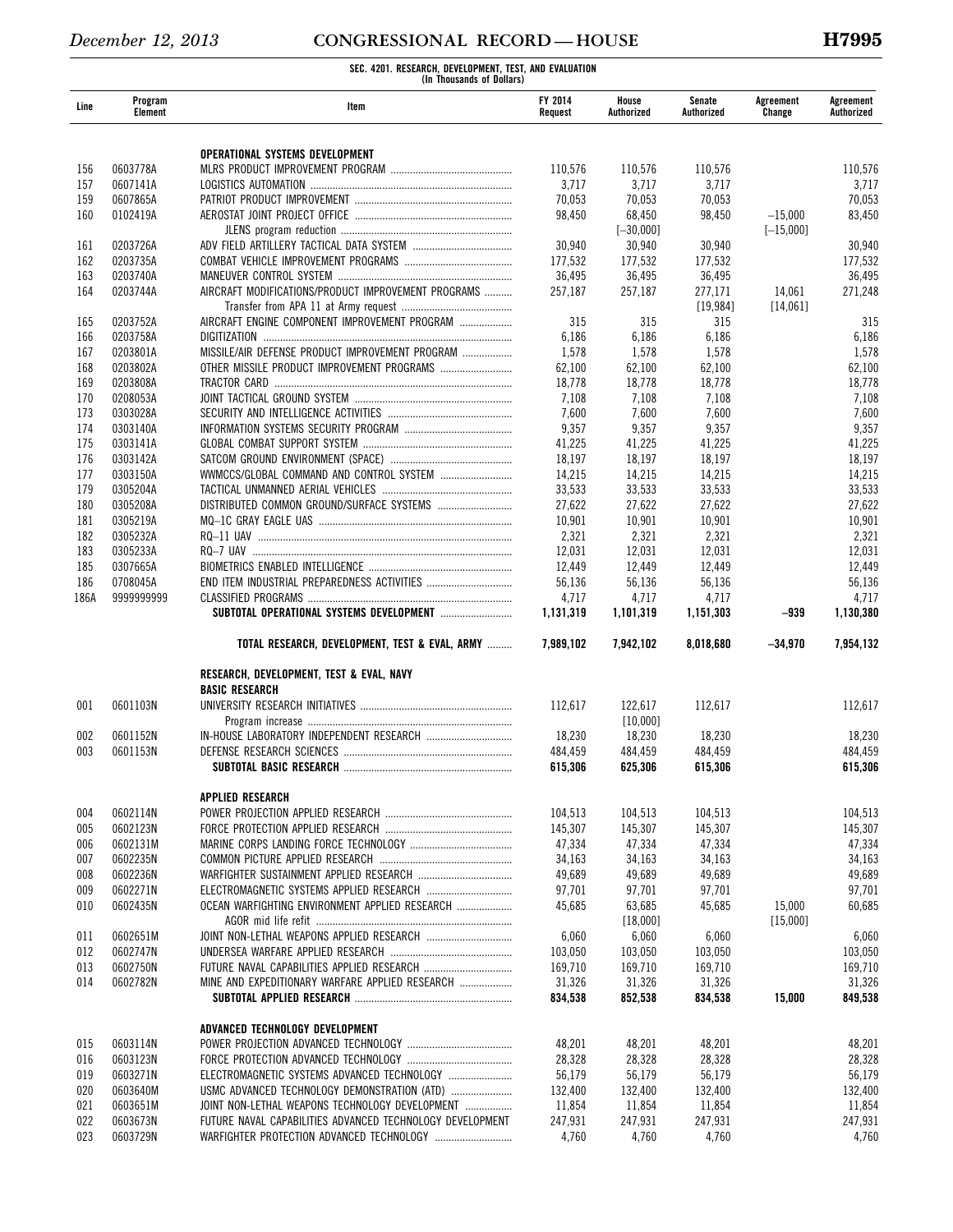| Line       | Program<br>Element   | Item                                                      | FY 2014<br>Request | House<br>Authorized | Senate<br>Authorized | Agreement<br>Change | Agreement<br>Authorized |
|------------|----------------------|-----------------------------------------------------------|--------------------|---------------------|----------------------|---------------------|-------------------------|
|            |                      |                                                           |                    |                     |                      |                     |                         |
|            |                      | OPERATIONAL SYSTEMS DEVELOPMENT                           |                    |                     |                      |                     |                         |
| 156        | 0603778A             |                                                           | 110.576            | 110,576             | 110,576              |                     | 110,576                 |
| 157        | 0607141A             |                                                           | 3,717              | 3,717               | 3,717                |                     | 3,717                   |
| 159        | 0607865A             |                                                           | 70,053             | 70,053              | 70,053               |                     | 70,053                  |
| 160        | 0102419A             |                                                           | 98,450             | 68,450              | 98,450               | $-15,000$           | 83,450                  |
|            |                      |                                                           |                    | $[-30,000]$         |                      | $[-15,000]$         |                         |
| 161<br>162 | 0203726A<br>0203735A |                                                           | 30,940<br>177,532  | 30,940<br>177,532   | 30.940<br>177,532    |                     | 30,940<br>177,532       |
| 163        | 0203740A             |                                                           | 36,495             | 36,495              | 36,495               |                     | 36,495                  |
| 164        | 0203744A             | AIRCRAFT MODIFICATIONS/PRODUCT IMPROVEMENT PROGRAMS       | 257,187            | 257,187             | 277,171              | 14,061              | 271,248                 |
|            |                      |                                                           |                    |                     | [19, 984]            | [14,061]            |                         |
| 165        | 0203752A             | AIRCRAFT ENGINE COMPONENT IMPROVEMENT PROGRAM             | 315                | 315                 | 315                  |                     | 315                     |
| 166        | 0203758A             |                                                           | 6,186              | 6,186               | 6,186                |                     | 6,186                   |
| 167        | 0203801A             | MISSILE/AIR DEFENSE PRODUCT IMPROVEMENT PROGRAM           | 1,578              | 1,578               | 1,578                |                     | 1,578                   |
| 168        | 0203802A             |                                                           | 62,100             | 62,100              | 62,100               |                     | 62,100                  |
| 169<br>170 | 0203808A<br>0208053A |                                                           | 18,778<br>7,108    | 18,778<br>7,108     | 18,778<br>7,108      |                     | 18,778<br>7,108         |
| 173        | 0303028A             |                                                           | 7,600              | 7,600               | 7,600                |                     | 7,600                   |
| 174        | 0303140A             |                                                           | 9,357              | 9,357               | 9,357                |                     | 9,357                   |
| 175        | 0303141A             |                                                           | 41,225             | 41,225              | 41,225               |                     | 41,225                  |
| 176        | 0303142A             |                                                           | 18,197             | 18,197              | 18,197               |                     | 18,197                  |
| 177        | 0303150A             |                                                           | 14,215             | 14,215              | 14,215               |                     | 14,215                  |
| 179        | 0305204A             |                                                           | 33,533             | 33,533              | 33,533               |                     | 33,533                  |
| 180        | 0305208A             |                                                           | 27,622             | 27,622              | 27,622               |                     | 27,622                  |
| 181        | 0305219A             |                                                           | 10,901             | 10,901              | 10,901               |                     | 10,901                  |
| 182        | 0305232A             |                                                           | 2,321              | 2,321               | 2,321                |                     | 2,321                   |
| 183<br>185 | 0305233A<br>0307665A | RQ—7 UAV …………………………………………………………………………………………               | 12,031<br>12,449   | 12,031<br>12,449    | 12,031<br>12,449     |                     | 12,031<br>12,449        |
| 186        | 0708045A             |                                                           | 56,136             | 56,136              | 56,136               |                     | 56,136                  |
| 186A       | 9999999999           |                                                           | 4,717              | 4,717               | 4,717                |                     | 4,717                   |
|            |                      |                                                           | 1,131,319          | 1,101,319           | 1,151,303            | $-939$              | 1,130,380               |
|            |                      | TOTAL RESEARCH, DEVELOPMENT, TEST & EVAL, ARMY            | 7,989,102          | 7,942,102           | 8,018,680            | $-34,970$           | 7,954,132               |
|            |                      |                                                           |                    |                     |                      |                     |                         |
|            |                      | RESEARCH, DEVELOPMENT, TEST & EVAL, NAVY                  |                    |                     |                      |                     |                         |
| 001        | 0601103N             | <b>BASIC RESEARCH</b>                                     | 112,617            | 122,617             | 112,617              |                     | 112,617                 |
|            |                      |                                                           |                    | [10,000]            |                      |                     |                         |
| 002        | 0601152N             |                                                           | 18,230             | 18,230              | 18,230               |                     | 18,230                  |
| 003        | 0601153N             |                                                           | 484,459            | 484,459             | 484,459              |                     | 484,459                 |
|            |                      |                                                           | 615,306            | 625,306             | 615,306              |                     | 615,306                 |
|            |                      | <b>APPLIED RESEARCH</b>                                   |                    |                     |                      |                     |                         |
| 004        | 0602114N             |                                                           | 104,513            | 104,513             | 104,513              |                     | 104,513                 |
| 005        | 0602123N             |                                                           | 145,307            | 145,307             | 145,307              |                     | 145,307                 |
| 006        | 0602131M             |                                                           | 47,334             | 47,334              | 47,334               |                     | 47,334                  |
| 007        | 0602235N             |                                                           | 34,163             | 34,163              | 34,163               |                     | 34,163                  |
| 008        | 0602236N             |                                                           | 49,689             | 49,689              | 49,689               |                     | 49,689                  |
| 009        | 0602271N             |                                                           | 97,701             | 97,701              | 97,701               |                     | 97,701                  |
| 010        | 0602435N             | OCEAN WARFIGHTING ENVIRONMENT APPLIED RESEARCH            | 45,685             | 63,685              | 45,685               | 15,000              | 60,685                  |
|            |                      |                                                           |                    | [18,000]            |                      | [15,000]            |                         |
| 011        | 0602651M             | JOINT NON-LETHAL WEAPONS APPLIED RESEARCH                 | 6,060              | 6,060               | 6,060                |                     | 6,060                   |
| 012        | 0602747N<br>0602750N |                                                           | 103,050<br>169,710 | 103,050<br>169,710  | 103,050<br>169,710   |                     | 103,050<br>169,710      |
| 013<br>014 | 0602782N             | MINE AND EXPEDITIONARY WARFARE APPLIED RESEARCH           | 31,326             | 31,326              | 31,326               |                     | 31,326                  |
|            |                      |                                                           | 834,538            | 852,538             | 834,538              | 15,000              | 849,538                 |
|            |                      |                                                           |                    |                     |                      |                     |                         |
|            |                      | ADVANCED TECHNOLOGY DEVELOPMENT                           |                    |                     |                      |                     |                         |
| 015        | 0603114N             |                                                           | 48,201             | 48,201              | 48,201               |                     | 48,201                  |
| 016<br>019 | 0603123N<br>0603271N | ELECTROMAGNETIC SYSTEMS ADVANCED TECHNOLOGY               | 28,328<br>56,179   | 28,328<br>56,179    | 28,328<br>56,179     |                     | 28,328<br>56,179        |
| 020        | 0603640M             | USMC ADVANCED TECHNOLOGY DEMONSTRATION (ATD)              | 132,400            | 132,400             | 132,400              |                     | 132,400                 |
| 021        | 0603651M             | JOINT NON-LETHAL WEAPONS TECHNOLOGY DEVELOPMENT           | 11,854             | 11,854              | 11,854               |                     | 11,854                  |
| 022        | 0603673N             | FUTURE NAVAL CAPABILITIES ADVANCED TECHNOLOGY DEVELOPMENT | 247,931            | 247,931             | 247,931              |                     | 247,931                 |
| 023        | 0603729N             |                                                           | 4,760              | 4,760               | 4,760                |                     | 4,760                   |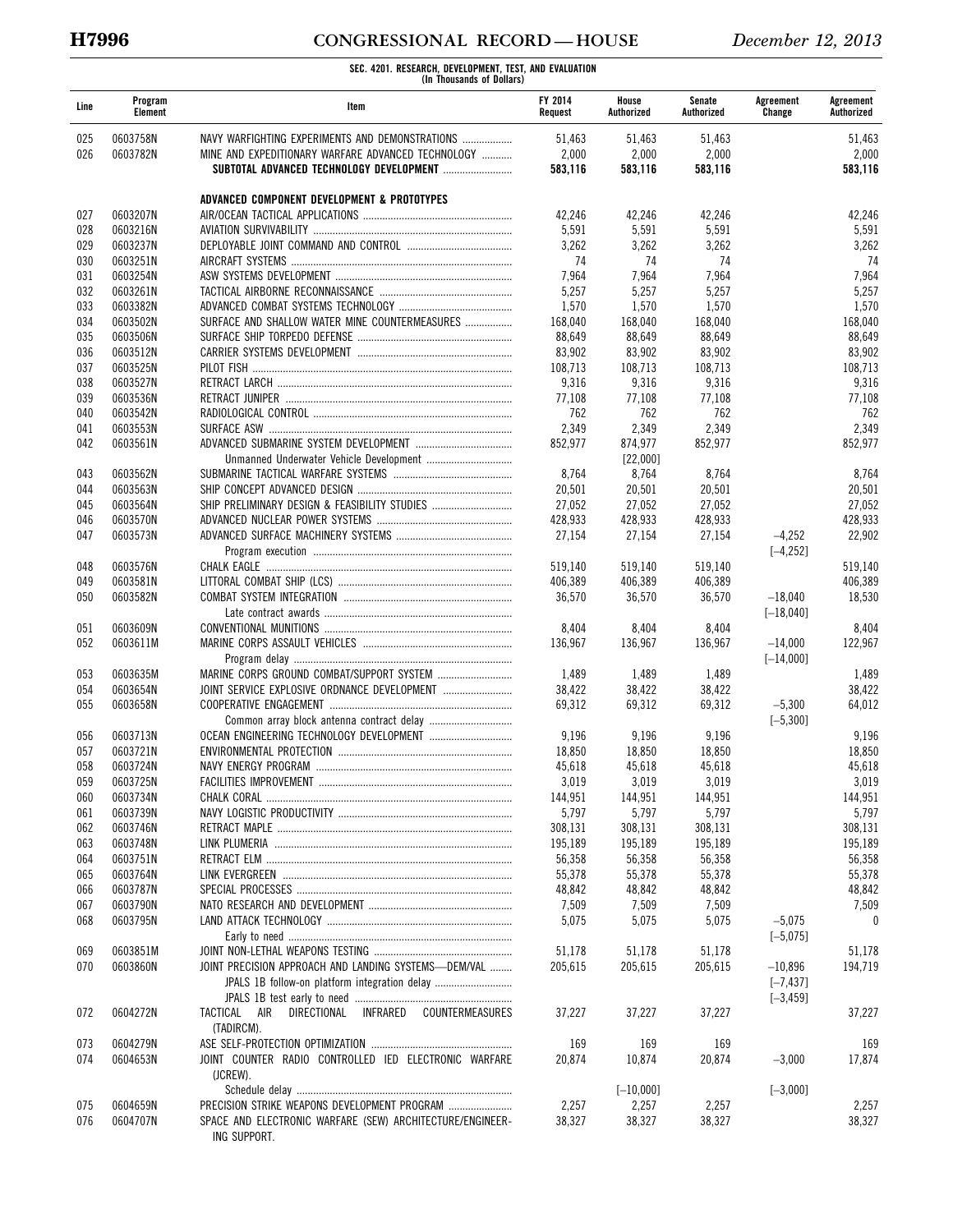# **H7996 CONGRESSIONAL RECORD — HOUSE** *December 12, 2013*

| Line       | Program<br>Element   | Item                                                          | <b>FY 2014</b><br>Request | House<br>Authorized | Senate<br>Authorized | Agreement<br>Change    | Agreement<br>Authorized |
|------------|----------------------|---------------------------------------------------------------|---------------------------|---------------------|----------------------|------------------------|-------------------------|
| 025        | 0603758N             | NAVY WARFIGHTING EXPERIMENTS AND DEMONSTRATIONS               | 51,463                    | 51,463              | 51,463               |                        | 51,463                  |
| 026        | 0603782N             | MINE AND EXPEDITIONARY WARFARE ADVANCED TECHNOLOGY            | 2,000                     | 2,000               | 2,000                |                        | 2,000                   |
|            |                      |                                                               | 583,116                   | 583,116             | 583,116              |                        | 583,116                 |
|            |                      | ADVANCED COMPONENT DEVELOPMENT & PROTOTYPES                   |                           |                     |                      |                        |                         |
| 027        | 0603207N             |                                                               | 42,246                    | 42,246              | 42,246               |                        | 42,246                  |
| 028        | 0603216N             |                                                               | 5,591                     | 5,591               | 5,591                |                        | 5,591                   |
| 029        | 0603237N             |                                                               | 3,262                     | 3,262               | 3,262                |                        | 3,262                   |
| 030        | 0603251N             |                                                               | 74                        | 74                  | 74                   |                        | 74                      |
| 031        | 0603254N             |                                                               | 7,964                     | 7,964               | 7,964                |                        | 7,964                   |
| 032        | 0603261N             |                                                               | 5,257                     | 5,257               | 5,257                |                        | 5,257                   |
| 033        | 0603382N             |                                                               | 1,570                     | 1,570               | 1,570                |                        | 1,570                   |
| 034        | 0603502N             | SURFACE AND SHALLOW WATER MINE COUNTERMEASURES                | 168,040                   | 168,040             | 168,040              |                        | 168,040                 |
| 035        | 0603506N             |                                                               | 88,649                    | 88,649              | 88,649               |                        | 88,649                  |
| 036        | 0603512N             |                                                               | 83,902                    | 83,902              | 83,902               |                        | 83,902                  |
| 037        | 0603525N             |                                                               | 108,713                   | 108,713             | 108,713              |                        | 108,713                 |
| 038        | 0603527N             |                                                               | 9,316                     | 9,316               | 9,316                |                        | 9,316                   |
| 039<br>040 | 0603536N<br>0603542N |                                                               | 77,108<br>762             | 77,108<br>762       | 77,108<br>762        |                        | 77,108<br>762           |
| 041        | 0603553N             |                                                               | 2,349                     | 2,349               | 2,349                |                        | 2,349                   |
| 042        | 0603561N             |                                                               | 852,977                   | 874,977             | 852,977              |                        | 852,977                 |
|            |                      |                                                               |                           | [22,000]            |                      |                        |                         |
| 043        | 0603562N             |                                                               | 8,764                     | 8,764               | 8,764                |                        | 8,764                   |
| 044        | 0603563N             |                                                               | 20,501                    | 20,501              | 20,501               |                        | 20,501                  |
| 045        | 0603564N             | SHIP PRELIMINARY DESIGN & FEASIBILITY STUDIES                 | 27,052                    | 27.052              | 27,052               |                        | 27,052                  |
| 046        | 0603570N             |                                                               | 428,933                   | 428,933             | 428,933              |                        | 428,933                 |
| 047        | 0603573N             |                                                               | 27,154                    | 27,154              | 27,154               | $-4,252$               | 22,902                  |
|            |                      |                                                               |                           |                     |                      | $[-4, 252]$            |                         |
| 048        | 0603576N             |                                                               | 519,140                   | 519,140             | 519,140              |                        | 519,140                 |
| 049        | 0603581N             |                                                               | 406,389                   | 406,389             | 406,389              |                        | 406,389                 |
| 050        | 0603582N             |                                                               | 36,570                    | 36,570              | 36,570               | $-18,040$              | 18,530                  |
|            |                      |                                                               |                           |                     |                      | $[-18,040]$            |                         |
| 051        | 0603609N             |                                                               | 8,404                     | 8,404               | 8,404                |                        | 8,404                   |
| 052        | 0603611M             |                                                               | 136,967                   | 136,967             | 136,967              | $-14,000$              | 122,967                 |
|            |                      |                                                               |                           |                     |                      | $[-14,000]$            |                         |
| 053        | 0603635M             |                                                               | 1,489                     | 1,489               | 1,489                |                        | 1,489                   |
| 054        | 0603654N             | JOINT SERVICE EXPLOSIVE ORDNANCE DEVELOPMENT                  | 38,422                    | 38,422              | 38,422               |                        | 38,422                  |
| 055        | 0603658N             |                                                               | 69,312                    | 69,312              | 69,312               | $-5,300$               | 64,012                  |
|            |                      | Common array block antenna contract delay                     |                           |                     |                      | $[-5, 300]$            |                         |
| 056        | 0603713N             |                                                               | 9,196                     | 9,196               | 9,196                |                        | 9,196                   |
| 057        | 0603721N             |                                                               | 18,850                    | 18,850              | 18,850               |                        | 18,850                  |
| 058        | 0603724N             |                                                               | 45,618                    | 45,618              | 45,618               |                        | 45,618                  |
| 059        | 0603725N             | <b>FACILITIES IMPROVEMENT</b>                                 | 3,019                     | 3,019               | 3,019                |                        | 3,019                   |
| 060        | 0603734N             |                                                               | 144,951                   | 144,951             | 144,951              |                        | 144,951                 |
| 061        | 0603739N             |                                                               | 5,797                     | 5,797               | 5,797                |                        | 5,797                   |
| 062        | 0603746N             |                                                               | 308,131                   | 308,131             | 308,131              |                        | 308,131                 |
| 063        | 0603748N             |                                                               | 195,189                   | 195,189             | 195,189              |                        | 195,189                 |
| 064        | 0603751N             |                                                               | 56,358                    | 56,358              | 56,358               |                        | 56,358                  |
| 065        | 0603764N             |                                                               | 55,378                    | 55,378              | 55,378               |                        | 55,378                  |
| 066        | 0603787N             |                                                               | 48,842                    | 48,842              | 48,842               |                        | 48,842                  |
| 067        | 0603790N             |                                                               | 7,509                     | 7,509               | 7,509                |                        | 7,509                   |
| 068        | 0603795N             |                                                               | 5,075                     | 5,075               | 5,075                | $-5,075$<br>$[-5,075]$ | 0                       |
|            | 0603851M             |                                                               | 51,178                    | 51,178              | 51,178               |                        | 51,178                  |
| 069<br>070 | 0603860N             | JOINT PRECISION APPROACH AND LANDING SYSTEMS-DEM/VAL          | 205.615                   | 205,615             | 205,615              | $-10,896$              | 194,719                 |
|            |                      | JPALS 1B follow-on platform integration delay                 |                           |                     |                      | $[-7, 437]$            |                         |
|            |                      |                                                               |                           |                     |                      | $[-3, 459]$            |                         |
| 072        | 0604272N             | COUNTERMEASURES<br>TACTICAL<br>AIR<br>DIRECTIONAL<br>INFRARED | 37,227                    | 37,227              | 37,227               |                        | 37,227                  |
|            |                      | (TADIRCM).                                                    |                           |                     |                      |                        |                         |
| 073        | 0604279N             |                                                               | 169                       | 169                 | 169                  |                        | 169                     |
| 074        | 0604653N             | JOINT COUNTER RADIO CONTROLLED IED ELECTRONIC WARFARE         | 20,874                    | 10,874              | 20,874               | $-3,000$               | 17,874                  |
|            |                      | (JCREW).                                                      |                           |                     |                      |                        |                         |
|            |                      |                                                               |                           | $[-10,000]$         |                      | $[-3,000]$             |                         |
| 075        | 0604659N             |                                                               | 2,257                     | 2,257               | 2,257                |                        | 2,257                   |
| 076        | 0604707N             | SPACE AND ELECTRONIC WARFARE (SEW) ARCHITECTURE/ENGINEER-     | 38,327                    | 38,327              | 38,327               |                        | 38,327                  |
|            |                      | ING SUPPORT.                                                  |                           |                     |                      |                        |                         |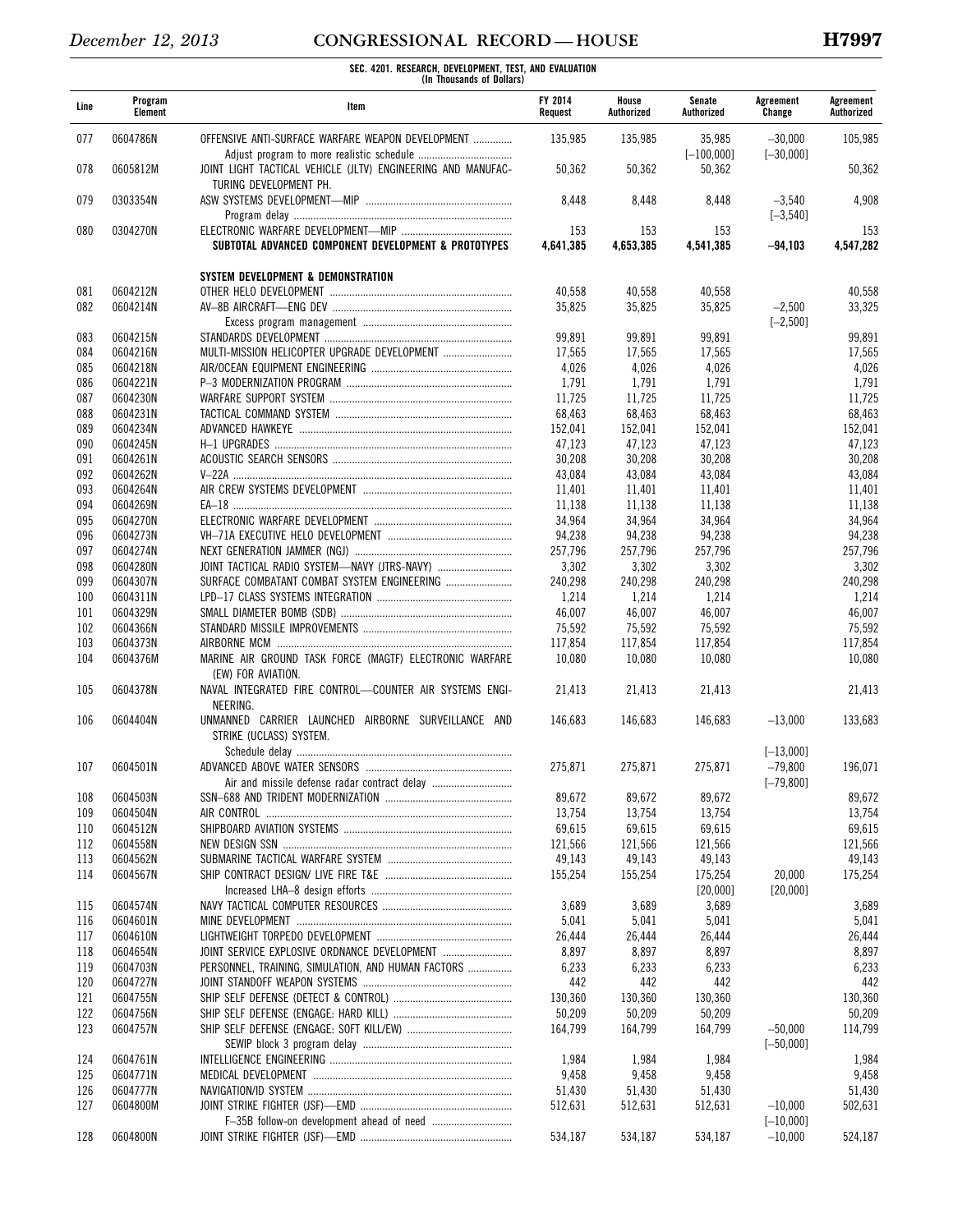| Line       | Program<br>Element   | Item                                                                                   | <b>FY 2014</b><br>Request | House<br>Authorized | Senate<br>Authorized   | Agreement<br>Change      | Agreement<br>Authorized |
|------------|----------------------|----------------------------------------------------------------------------------------|---------------------------|---------------------|------------------------|--------------------------|-------------------------|
| 077        | 0604786N             | OFFENSIVE ANTI-SURFACE WARFARE WEAPON DEVELOPMENT                                      | 135,985                   | 135,985             | 35,985<br>$[-100,000]$ | $-30,000$<br>$[-30,000]$ | 105,985                 |
| 078        | 0605812M             | JOINT LIGHT TACTICAL VEHICLE (JLTV) ENGINEERING AND MANUFAC-<br>TURING DEVELOPMENT PH. | 50,362                    | 50,362              | 50,362                 |                          | 50,362                  |
| 079        | 0303354N             |                                                                                        | 8,448                     | 8,448               | 8,448                  | $-3,540$<br>$[-3, 540]$  | 4,908                   |
| 080        | 0304270N             | SUBTOTAL ADVANCED COMPONENT DEVELOPMENT & PROTOTYPES                                   | 153<br>4,641,385          | 153<br>4,653,385    | 153<br>4,541,385       | $-94.103$                | 153<br>4,547,282        |
|            |                      |                                                                                        |                           |                     |                        |                          |                         |
| 081        | 0604212N             | SYSTEM DEVELOPMENT & DEMONSTRATION                                                     | 40.558                    | 40,558              | 40,558                 |                          | 40,558                  |
| 082        | 0604214N             |                                                                                        | 35,825                    | 35,825              | 35,825                 | $-2,500$<br>$[-2, 500]$  | 33,325                  |
| 083        | 0604215N             |                                                                                        | 99,891                    | 99,891              | 99,891                 |                          | 99,891                  |
| 084        | 0604216N             | MULTI-MISSION HELICOPTER UPGRADE DEVELOPMENT                                           | 17,565                    | 17,565              | 17,565                 |                          | 17,565                  |
| 085        | 0604218N             |                                                                                        | 4,026                     | 4,026               | 4,026                  |                          | 4,026                   |
| 086        | 0604221N             |                                                                                        | 1,791                     | 1,791               | 1,791                  |                          | 1,791                   |
| 087        | 0604230N             |                                                                                        | 11,725                    | 11,725              | 11,725                 |                          | 11,725                  |
| 088        | 0604231N             |                                                                                        | 68,463                    | 68,463              | 68,463                 |                          | 68,463                  |
| 089        | 0604234N             |                                                                                        | 152,041                   | 152,041             | 152,041                |                          | 152,041                 |
| 090        | 0604245N             |                                                                                        | 47,123                    | 47,123              | 47,123                 |                          | 47,123                  |
| 091        | 0604261N             |                                                                                        | 30,208                    | 30,208              | 30,208                 |                          | 30,208                  |
| 092        | 0604262N             |                                                                                        | 43,084                    | 43,084              | 43,084                 |                          | 43.084                  |
| 093        | 0604264N             |                                                                                        | 11,401                    | 11,401              | 11,401                 |                          | 11,401                  |
| 094        | 0604269N             |                                                                                        | 11,138                    | 11.138              | 11,138                 |                          | 11,138                  |
| 095        | 0604270N             |                                                                                        | 34,964                    | 34,964              | 34,964                 |                          | 34,964                  |
| 096        | 0604273N             |                                                                                        | 94,238                    | 94,238              | 94,238                 |                          | 94,238                  |
| 097        | 0604274N             |                                                                                        | 257,796                   | 257,796             | 257,796                |                          | 257,796                 |
| 098        | 0604280N             | JOINT TACTICAL RADIO SYSTEM-NAVY (JTRS-NAVY)                                           | 3,302                     | 3,302               | 3,302                  |                          | 3,302                   |
| 099        | 0604307N             | SURFACE COMBATANT COMBAT SYSTEM ENGINEERING                                            | 240,298                   | 240,298             | 240,298                |                          | 240,298                 |
| 100        | 0604311N             |                                                                                        | 1,214                     | 1,214               | 1,214                  |                          | 1,214                   |
| 101        | 0604329N             |                                                                                        | 46,007                    | 46,007              | 46,007                 |                          | 46,007                  |
| 102        | 0604366N             |                                                                                        | 75,592                    | 75,592              | 75,592                 |                          | 75,592                  |
| 103        | 0604373N             |                                                                                        | 117,854                   | 117,854             | 117,854                |                          | 117,854                 |
| 104        | 0604376M             | MARINE AIR GROUND TASK FORCE (MAGTF) ELECTRONIC WARFARE<br>(EW) FOR AVIATION.          | 10,080                    | 10,080              | 10,080                 |                          | 10,080                  |
| 105        | 0604378N             | NAVAL INTEGRATED FIRE CONTROL-COUNTER AIR SYSTEMS ENGI-<br>NEERING.                    | 21,413                    | 21,413              | 21,413                 |                          | 21,413                  |
| 106        | 0604404N             | UNMANNED CARRIER LAUNCHED AIRBORNE SURVEILLANCE AND<br>STRIKE (UCLASS) SYSTEM.         | 146,683                   | 146,683             | 146,683                | $-13,000$<br>$[-13,000]$ | 133,683                 |
| 107        | 0604501N             |                                                                                        | 275,871                   | 275,871             | 275,871                | $-79,800$                | 196,071                 |
|            |                      |                                                                                        |                           |                     |                        | $[-79, 800]$             |                         |
| 108        | 0604503N             |                                                                                        | 89,672                    | 89,672              | 89,672                 |                          | 89,672                  |
| 109        | 0604504N             |                                                                                        | 13,754                    | 13,754              | 13,754                 |                          | 13,754                  |
| 110        | 0604512N             |                                                                                        | 69,615                    | 69,615              | 69,615                 |                          | 69,615                  |
| 112        | 0604558N             |                                                                                        | 121.566                   | 121,566             | 121,566                |                          | 121,566                 |
| 113<br>114 | 0604562N<br>0604567N |                                                                                        | 49,143<br>155,254         | 49,143<br>155,254   | 49,143<br>175,254      | 20,000                   | 49,143<br>175,254       |
|            |                      |                                                                                        |                           |                     | [20,000]               | [20,000]                 |                         |
| 115        | 0604574N             |                                                                                        | 3,689                     | 3,689               | 3,689                  |                          | 3,689                   |
| 116        | 0604601N             |                                                                                        | 5,041                     | 5,041               | 5,041                  |                          | 5,041                   |
| 117        | 0604610N             |                                                                                        | 26,444                    | 26,444              | 26,444                 |                          | 26,444                  |
| 118        | 0604654N             |                                                                                        | 8,897                     | 8,897               | 8,897                  |                          | 8,897                   |
| 119        | 0604703N             | PERSONNEL, TRAINING, SIMULATION, AND HUMAN FACTORS                                     | 6,233                     | 6,233               | 6,233                  |                          | 6,233                   |
| 120        | 0604727N             |                                                                                        | 442                       | 442                 | 442                    |                          | 442                     |
| 121        | 0604755N             |                                                                                        | 130,360                   | 130,360             | 130,360                |                          | 130,360                 |
| 122        | 0604756N             |                                                                                        | 50,209                    | 50,209              | 50,209                 |                          | 50,209                  |
| 123        | 0604757N             |                                                                                        | 164,799                   | 164,799             | 164,799                | $-50,000$                | 114,799                 |
| 124        | 0604761N             |                                                                                        | 1,984                     | 1,984               | 1,984                  | $[-50,000]$              | 1,984                   |
| 125        | 0604771N             |                                                                                        | 9,458                     | 9,458               | 9,458                  |                          | 9,458                   |
| 126        | 0604777N             |                                                                                        | 51,430                    | 51,430              | 51,430                 |                          | 51,430                  |
| 127        | 0604800M             |                                                                                        | 512,631                   | 512,631             | 512,631                | $-10,000$                | 502,631                 |
|            |                      |                                                                                        |                           |                     |                        | $[-10,000]$              |                         |
| 128        | 0604800N             |                                                                                        | 534,187                   | 534,187             | 534,187                | $-10,000$                | 524,187                 |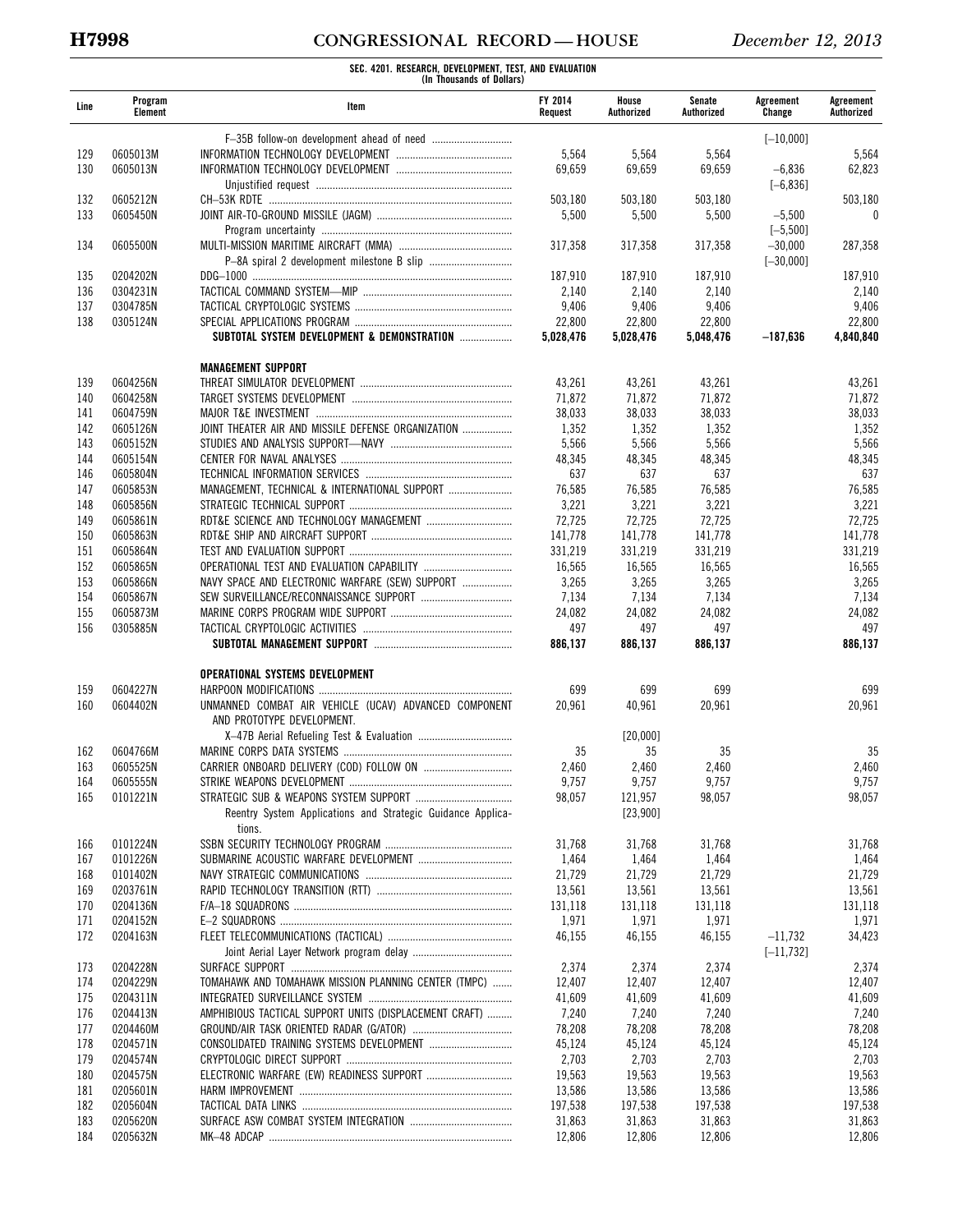# **H7998 CONGRESSIONAL RECORD — HOUSE** *December 12, 2013*

| Line       | Program<br>Element   | Item                                                        | <b>FY 2014</b><br>Request | House<br>Authorized | Senate<br>Authorized | Agreement<br>Change     | Agreement<br>Authorized |
|------------|----------------------|-------------------------------------------------------------|---------------------------|---------------------|----------------------|-------------------------|-------------------------|
|            |                      |                                                             |                           |                     |                      | $[-10.000]$             |                         |
| 129        | 0605013M             |                                                             | 5,564                     | 5,564               | 5,564                |                         | 5,564                   |
| 130        | 0605013N             |                                                             | 69,659                    | 69,659              | 69,659               | $-6,836$                | 62,823                  |
|            |                      |                                                             |                           |                     |                      | $[-6, 836]$             |                         |
| 132        | 0605212N             |                                                             | 503,180                   | 503,180             | 503,180              |                         | 503,180                 |
| 133        | 0605450N             |                                                             | 5,500                     | 5,500               | 5,500                | $-5,500$<br>$[-5, 500]$ | 0                       |
| 134        | 0605500N             |                                                             | 317,358                   | 317,358             | 317,358              | $-30,000$               | 287,358                 |
|            |                      |                                                             |                           |                     |                      | $[-30,000]$             |                         |
| 135        | 0204202N             |                                                             | 187,910                   | 187,910             | 187,910              |                         | 187,910                 |
| 136        | 0304231N             |                                                             | 2,140                     | 2,140               | 2,140                |                         | 2,140                   |
| 137        | 0304785N             |                                                             | 9,406                     | 9,406               | 9,406                |                         | 9,406                   |
| 138        | 0305124N             |                                                             | 22,800                    | 22,800              | 22,800               |                         | 22,800                  |
|            |                      | SUBTOTAL SYSTEM DEVELOPMENT & DEMONSTRATION                 | 5,028,476                 | 5,028,476           | 5,048,476            | -187,636                | 4,840,840               |
|            |                      | <b>MANAGEMENT SUPPORT</b>                                   |                           |                     |                      |                         |                         |
| 139        | 0604256N             |                                                             | 43,261                    | 43,261              | 43,261               |                         | 43,261                  |
| 140        | 0604258N             |                                                             | 71,872                    | 71,872              | 71,872               |                         | 71,872                  |
| 141        | 0604759N             |                                                             | 38,033                    | 38,033              | 38,033               |                         | 38,033                  |
| 142        | 0605126N             | JOINT THEATER AIR AND MISSILE DEFENSE ORGANIZATION          | 1,352                     | 1,352               | 1,352                |                         | 1,352                   |
| 143        | 0605152N             |                                                             | 5,566                     | 5,566               | 5,566                |                         | 5,566                   |
| 144<br>146 | 0605154N<br>0605804N |                                                             | 48,345<br>637             | 48,345<br>637       | 48,345<br>637        |                         | 48,345<br>637           |
| 147        | 0605853N             | MANAGEMENT, TECHNICAL & INTERNATIONAL SUPPORT               | 76,585                    | 76,585              | 76,585               |                         | 76,585                  |
| 148        | 0605856N             |                                                             | 3,221                     | 3,221               | 3,221                |                         | 3,221                   |
| 149        | 0605861N             |                                                             | 72,725                    | 72,725              | 72,725               |                         | 72,725                  |
| 150        | 0605863N             |                                                             | 141,778                   | 141,778             | 141,778              |                         | 141,778                 |
| 151        | 0605864N             |                                                             | 331,219                   | 331,219             | 331,219              |                         | 331,219                 |
| 152        | 0605865N             |                                                             | 16,565                    | 16,565              | 16,565               |                         | 16,565                  |
| 153        | 0605866N             | NAVY SPACE AND ELECTRONIC WARFARE (SEW) SUPPORT             | 3,265                     | 3,265               | 3,265                |                         | 3,265                   |
| 154        | 0605867N             |                                                             | 7,134                     | 7,134               | 7,134                |                         | 7,134                   |
| 155        | 0605873M             |                                                             | 24,082                    | 24,082              | 24,082               |                         | 24,082                  |
| 156        | 0305885N             |                                                             | 497<br>886,137            | 497<br>886,137      | 497<br>886,137       |                         | 497<br>886,137          |
|            |                      |                                                             |                           |                     |                      |                         |                         |
|            |                      | OPERATIONAL SYSTEMS DEVELOPMENT                             |                           |                     |                      |                         |                         |
| 159        | 0604227N             |                                                             | 699                       | 699                 | 699                  |                         | 699                     |
| 160        | 0604402N             | UNMANNED COMBAT AIR VEHICLE (UCAV) ADVANCED COMPONENT       | 20,961                    | 40,961              | 20,961               |                         | 20,961                  |
|            |                      | AND PROTOTYPE DEVELOPMENT.                                  |                           |                     |                      |                         |                         |
| 162        | 0604766M             |                                                             | 35                        | [20,000]<br>35      | 35                   |                         | 35                      |
| 163        | 0605525N             |                                                             | 2,460                     | 2,460               | 2,460                |                         | 2,460                   |
| 164        | 0605555N             | STRIKE WEAPONS DEVELOPMENT                                  | 9,757                     | 9,757               | 9,757                |                         | 9,757                   |
| 165        | 0101221N             |                                                             | 98,057                    | 121,957             | 98,057               |                         | 98,057                  |
|            |                      | Reentry System Applications and Strategic Guidance Applica- |                           | [23,900]            |                      |                         |                         |
|            | 0101224N             | tions.                                                      | 31,768                    | 31,768              | 31,768               |                         |                         |
| 166<br>167 | 0101226N             |                                                             | 1,464                     | 1,464               | 1,464                |                         | 31,768<br>1,464         |
| 168        | 0101402N             |                                                             | 21,729                    | 21,729              | 21,729               |                         | 21,729                  |
| 169        | 0203761N             |                                                             | 13,561                    | 13,561              | 13,561               |                         | 13,561                  |
| 170        | 0204136N             |                                                             | 131,118                   | 131,118             | 131,118              |                         | 131,118                 |
| 171        | 0204152N             |                                                             | 1,971                     | 1,971               | 1,971                |                         | 1,971                   |
| 172        | 0204163N             |                                                             | 46,155                    | 46,155              | 46,155               | $-11,732$               | 34,423                  |
|            |                      |                                                             |                           |                     |                      | $[-11, 732]$            |                         |
| 173        | 0204228N             |                                                             | 2,374                     | 2,374               | 2,374                |                         | 2,374                   |
| 174        | 0204229N             | TOMAHAWK AND TOMAHAWK MISSION PLANNING CENTER (TMPC)        | 12,407                    | 12,407              | 12,407               |                         | 12,407                  |
| 175        | 0204311N             |                                                             | 41,609                    | 41,609              | 41,609               |                         | 41,609                  |
| 176<br>177 | 0204413N<br>0204460M | AMPHIBIOUS TACTICAL SUPPORT UNITS (DISPLACEMENT CRAFT)      | 7,240<br>78,208           | 7,240<br>78,208     | 7,240<br>78,208      |                         | 7,240<br>78,208         |
| 178        | 0204571N             |                                                             | 45,124                    | 45,124              | 45,124               |                         | 45,124                  |
| 179        | 0204574N             |                                                             | 2,703                     | 2,703               | 2,703                |                         | 2,703                   |
| 180        | 0204575N             |                                                             | 19,563                    | 19,563              | 19,563               |                         | 19,563                  |
| 181        | 0205601N             |                                                             | 13,586                    | 13,586              | 13,586               |                         | 13,586                  |
| 182        | 0205604N             |                                                             | 197,538                   | 197,538             | 197,538              |                         | 197,538                 |
| 183        | 0205620N             |                                                             | 31,863                    | 31,863              | 31,863               |                         | 31,863                  |
| 184        | 0205632N             |                                                             | 12,806                    | 12,806              | 12,806               |                         | 12,806                  |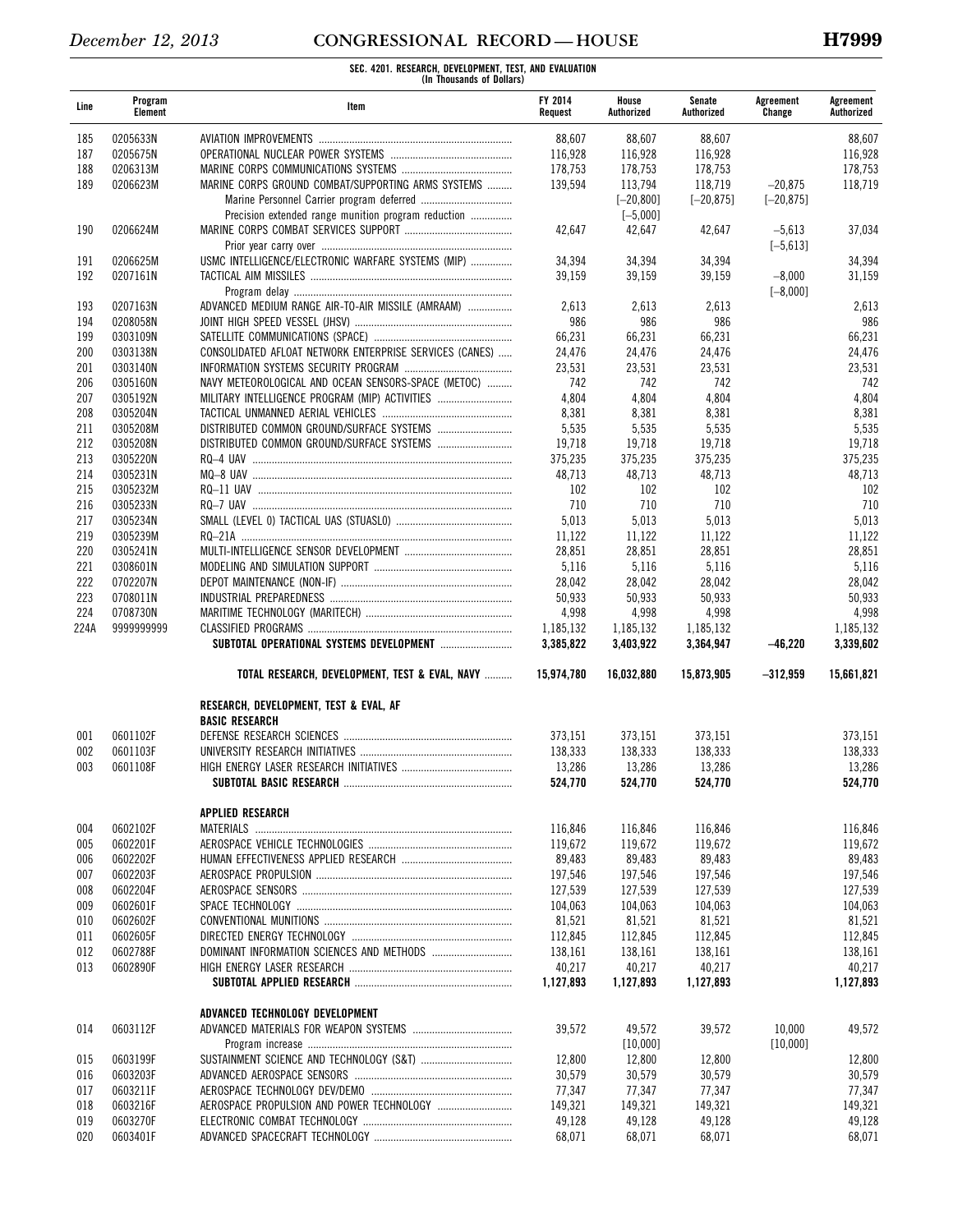| Line | Program<br>Element | Item                                                            | <b>FY 2014</b><br>Request | House<br>Authorized | Senate<br>Authorized | Agreement<br>Change | Agreement<br>Authorized |
|------|--------------------|-----------------------------------------------------------------|---------------------------|---------------------|----------------------|---------------------|-------------------------|
| 185  | 0205633N           |                                                                 | 88,607                    | 88,607              | 88,607               |                     | 88,607                  |
| 187  | 0205675N           |                                                                 | 116,928                   | 116,928             | 116,928              |                     | 116,928                 |
| 188  | 0206313M           |                                                                 | 178,753                   | 178,753             | 178,753              |                     | 178,753                 |
| 189  | 0206623M           | MARINE CORPS GROUND COMBAT/SUPPORTING ARMS SYSTEMS              | 139,594                   | 113,794             | 118,719              | $-20.875$           | 118,719                 |
|      |                    |                                                                 |                           | $[-20, 800]$        | $[-20, 875]$         | $[-20, 875]$        |                         |
|      |                    | Precision extended range munition program reduction             |                           | $[-5,000]$          |                      |                     |                         |
| 190  | 0206624M           |                                                                 | 42,647                    | 42,647              | 42,647               | $-5,613$            | 37,034                  |
|      |                    |                                                                 |                           |                     |                      | $[-5, 613]$         |                         |
| 191  | 0206625M           | USMC INTELLIGENCE/ELECTRONIC WARFARE SYSTEMS (MIP)              | 34,394                    | 34,394              | 34,394               |                     | 34,394                  |
| 192  | 0207161N           |                                                                 | 39,159                    | 39,159              | 39,159               | $-8,000$            | 31,159                  |
|      |                    |                                                                 |                           |                     |                      | $[-8,000]$          |                         |
| 193  | 0207163N           | ADVANCED MEDIUM RANGE AIR-TO-AIR MISSILE (AMRAAM)               | 2,613                     | 2,613               | 2,613                |                     | 2,613                   |
| 194  | 0208058N           |                                                                 | 986                       | 986                 | 986                  |                     | 986                     |
| 199  | 0303109N           |                                                                 | 66,231                    | 66,231              | 66,231               |                     | 66,231                  |
| 200  | 0303138N           | CONSOLIDATED AFLOAT NETWORK ENTERPRISE SERVICES (CANES)         | 24,476                    | 24,476              | 24,476               |                     | 24,476                  |
| 201  | 0303140N           |                                                                 | 23,531                    | 23,531              | 23,531               |                     | 23,531                  |
| 206  | 0305160N           | NAVY METEOROLOGICAL AND OCEAN SENSORS-SPACE (METOC)             | 742                       | 742                 | 742                  |                     | 742                     |
| 207  | 0305192N           | MILITARY INTELLIGENCE PROGRAM (MIP) ACTIVITIES                  | 4,804                     | 4,804               | 4,804                |                     | 4,804                   |
| 208  | 0305204N           |                                                                 | 8,381                     | 8,381               | 8,381                |                     | 8,381                   |
| 211  | 0305208M           |                                                                 | 5,535                     | 5,535               | 5,535                |                     | 5,535                   |
| 212  | 0305208N           |                                                                 | 19,718                    | 19,718              | 19,718               |                     | 19,718                  |
| 213  | 0305220N           |                                                                 | 375,235                   | 375,235             | 375,235              |                     | 375,235                 |
| 214  | 0305231N           |                                                                 | 48,713                    | 48,713              | 48,713               |                     | 48,713                  |
| 215  | 0305232M           |                                                                 | 102                       | 102                 | 102                  |                     | 102                     |
| 216  | 0305233N           |                                                                 | 710                       | 710                 | 710                  |                     | 710                     |
| 217  | 0305234N           |                                                                 | 5,013                     | 5,013               | 5,013                |                     | 5,013                   |
| 219  | 0305239M           |                                                                 | 11,122                    | 11,122              | 11,122               |                     | 11,122                  |
| 220  | 0305241N           |                                                                 | 28,851                    | 28,851              | 28,851               |                     | 28,851                  |
| 221  | 0308601N           |                                                                 | 5,116                     | 5,116               | 5,116                |                     | 5,116                   |
| 222  | 0702207N           |                                                                 | 28,042                    | 28,042              | 28,042               |                     | 28,042                  |
| 223  | 0708011N           |                                                                 | 50,933                    | 50,933              | 50,933               |                     | 50,933                  |
| 224  | 0708730N           |                                                                 | 4,998                     | 4,998               | 4,998                |                     | 4,998                   |
| 224A | 9999999999         |                                                                 | 1,185,132                 | 1,185,132           | 1,185,132            |                     | 1,185,132               |
|      |                    |                                                                 | 3,385,822                 | 3,403,922           | 3,364,947            | $-46,220$           | 3,339,602               |
|      |                    | TOTAL RESEARCH, DEVELOPMENT, TEST & EVAL, NAVY                  | 15,974,780                | 16,032,880          | 15,873,905           | $-312,959$          | 15,661,821              |
|      |                    | RESEARCH, DEVELOPMENT, TEST & EVAL, AF<br><b>BASIC RESEARCH</b> |                           |                     |                      |                     |                         |
| 001  | 0601102F           |                                                                 | 373,151                   | 373,151             | 373,151              |                     | 373,151                 |
| 002  | 0601103F           |                                                                 | 138,333                   | 138,333             | 138,333              |                     | 138,333                 |
| 003  | 0601108F           |                                                                 | 13,286                    | 13,286              | 13,286               |                     | 13,286                  |
|      |                    |                                                                 | 524,770                   | 524,770             | 524,770              |                     | 524,770                 |
|      |                    | APPLIED RESEARCH                                                |                           |                     |                      |                     |                         |
| 004  | 0602102F           | MATERIALS                                                       | 116,846                   | 116,846             | 116,846              |                     | 116,846                 |
| 005  | 0602201F           |                                                                 | 119,672                   | 119,672             | 119,672              |                     | 119,672                 |
| 006  | 0602202F           |                                                                 | 89,483                    | 89,483              | 89,483               |                     | 89,483                  |
| 007  | 0602203F           |                                                                 | 197,546                   | 197,546             | 197,546              |                     | 197,546                 |
| 008  | 0602204F           |                                                                 | 127,539                   | 127,539             | 127,539              |                     | 127,539                 |
| 009  | 0602601F           |                                                                 | 104,063                   | 104,063             | 104,063              |                     | 104,063                 |
| 010  | 0602602F           |                                                                 | 81,521                    | 81,521              | 81,521               |                     | 81,521                  |
| 011  | 0602605F           |                                                                 | 112,845                   | 112,845             | 112,845              |                     | 112,845                 |
| 012  | 0602788F           |                                                                 | 138,161                   | 138,161             | 138,161              |                     | 138,161                 |
| 013  | 0602890F           |                                                                 | 40,217                    | 40,217              | 40,217               |                     | 40,217                  |
|      |                    |                                                                 | 1,127,893                 | 1,127,893           | 1,127,893            |                     | 1,127,893               |
|      |                    | ADVANCED TECHNOLOGY DEVELOPMENT                                 |                           |                     |                      |                     |                         |
| 014  | 0603112F           |                                                                 | 39,572                    | 49,572              | 39,572               | 10,000              | 49,572                  |
|      |                    |                                                                 |                           | [10,000]            |                      | [10,000]            |                         |
| 015  | 0603199F           |                                                                 | 12,800                    | 12,800              | 12,800               |                     | 12,800                  |
| 016  | 0603203F           |                                                                 | 30,579                    | 30,579              | 30,579               |                     | 30,579                  |
| 017  | 0603211F           |                                                                 | 77,347                    | 77,347              | 77,347               |                     | 77,347                  |
| 018  | 0603216F           |                                                                 | 149,321                   | 149,321             | 149,321              |                     | 149,321                 |
| 019  | 0603270F           |                                                                 | 49,128                    | 49,128              | 49,128               |                     | 49,128                  |
| 020  | 0603401F           |                                                                 | 68,071                    | 68,071              | 68,071               |                     | 68,071                  |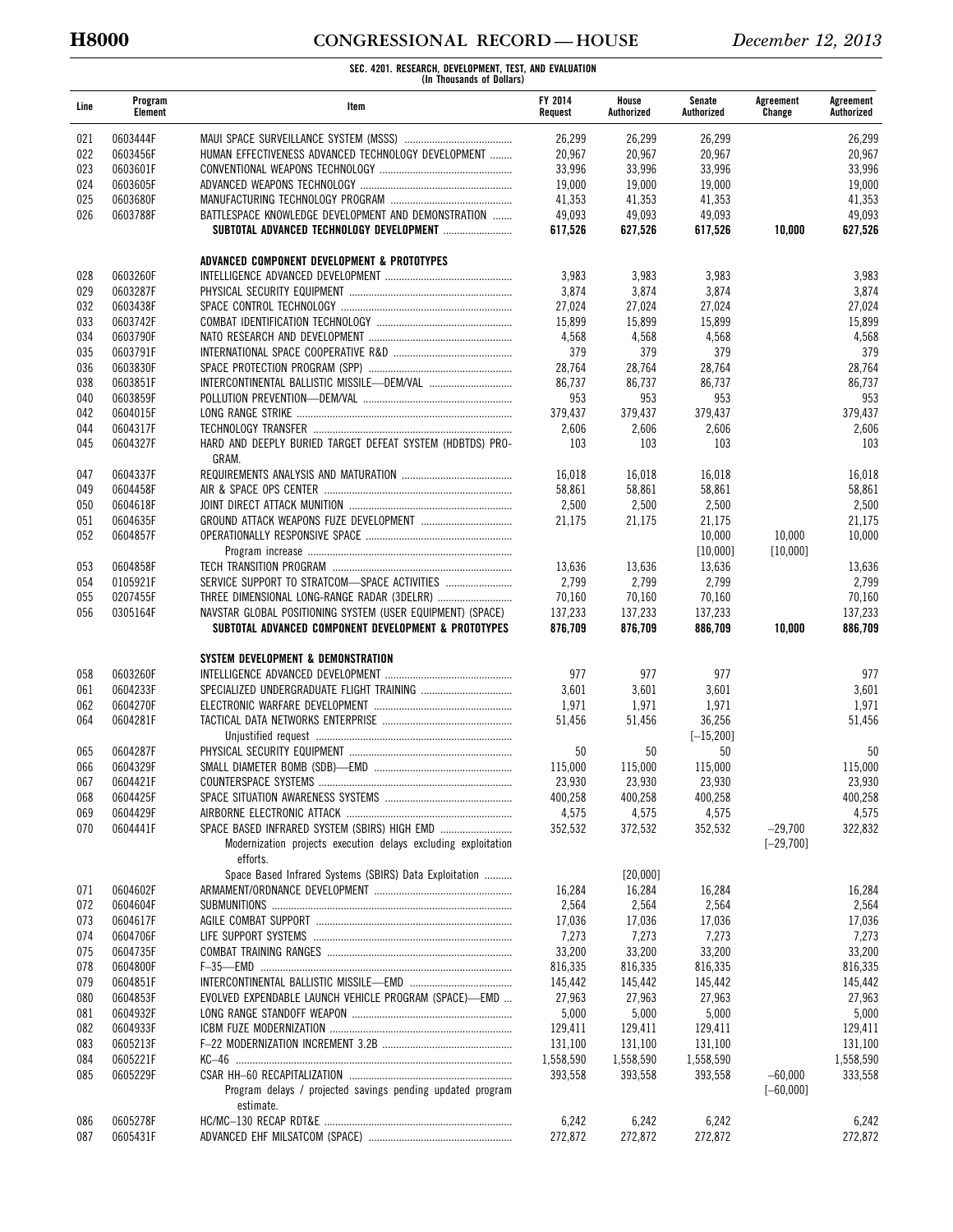# **H8000 CONGRESSIONAL RECORD — HOUSE** *December 12, 2013*

| Line       | Program<br>Element   | Item                                                                       | <b>FY 2014</b><br>Request | House<br>Authorized | Senate<br>Authorized | Agreement<br>Change | Agreement<br>Authorized |
|------------|----------------------|----------------------------------------------------------------------------|---------------------------|---------------------|----------------------|---------------------|-------------------------|
| 021        | 0603444F             |                                                                            | 26,299                    | 26,299              | 26,299               |                     | 26,299                  |
| 022        | 0603456F             | HUMAN EFFECTIVENESS ADVANCED TECHNOLOGY DEVELOPMENT                        | 20,967                    | 20,967              | 20,967               |                     | 20,967                  |
| 023        | 0603601F             |                                                                            | 33,996                    | 33,996              | 33,996               |                     | 33,996                  |
| 024        | 0603605F             |                                                                            | 19,000                    | 19,000              | 19,000               |                     | 19,000                  |
| 025        | 0603680F             |                                                                            | 41,353                    | 41,353              | 41,353               |                     | 41,353                  |
| 026        | 0603788F             | BATTLESPACE KNOWLEDGE DEVELOPMENT AND DEMONSTRATION                        | 49,093                    | 49,093              | 49,093               |                     | 49,093                  |
|            |                      |                                                                            | 617,526                   | 627,526             | 617,526              | 10,000              | 627,526                 |
|            |                      | ADVANCED COMPONENT DEVELOPMENT & PROTOTYPES                                |                           |                     |                      |                     |                         |
| 028        | 0603260F             |                                                                            | 3,983                     | 3,983               | 3,983                |                     | 3,983                   |
| 029        | 0603287F             |                                                                            | 3,874                     | 3,874               | 3,874                |                     | 3,874                   |
| 032        | 0603438F             |                                                                            | 27,024                    | 27,024              | 27,024               |                     | 27,024                  |
| 033        | 0603742F             |                                                                            | 15,899                    | 15,899              | 15,899               |                     | 15,899                  |
| 034        | 0603790F             |                                                                            | 4,568                     | 4,568               | 4,568                |                     | 4,568                   |
| 035        | 0603791F             |                                                                            | 379                       | 379                 | 379                  |                     | 379                     |
| 036<br>038 | 0603830F<br>0603851F |                                                                            | 28,764<br>86,737          | 28,764<br>86,737    | 28,764<br>86,737     |                     | 28,764<br>86,737        |
| 040        | 0603859F             |                                                                            | 953                       | 953                 | 953                  |                     | 953                     |
| 042        | 0604015F             |                                                                            | 379,437                   | 379,437             | 379,437              |                     | 379,437                 |
| 044        | 0604317F             |                                                                            | 2,606                     | 2,606               | 2,606                |                     | 2,606                   |
| 045        | 0604327F             | HARD AND DEEPLY BURIED TARGET DEFEAT SYSTEM (HDBTDS) PRO-                  | 103                       | 103                 | 103                  |                     | 103                     |
|            |                      | GRAM.                                                                      |                           |                     |                      |                     |                         |
| 047        | 0604337F             |                                                                            | 16,018                    | 16,018              | 16,018               |                     | 16,018                  |
| 049        | 0604458F             |                                                                            | 58,861                    | 58,861              | 58,861               |                     | 58,861                  |
| 050        | 0604618F             |                                                                            | 2,500                     | 2,500               | 2,500                |                     | 2,500                   |
| 051        | 0604635F             |                                                                            | 21,175                    | 21,175              | 21,175               |                     | 21,175                  |
| 052        | 0604857F             |                                                                            |                           |                     | 10,000               | 10,000              | 10,000                  |
| 053        | 0604858F             |                                                                            | 13,636                    | 13,636              | [10,000]<br>13,636   | $[10,000]$          | 13,636                  |
| 054        | 0105921F             |                                                                            | 2,799                     | 2,799               | 2,799                |                     | 2,799                   |
| 055        | 0207455F             | THREE DIMENSIONAL LONG-RANGE RADAR (3DELRR)                                | 70,160                    | 70,160              | 70,160               |                     | 70,160                  |
| 056        | 0305164F             | NAVSTAR GLOBAL POSITIONING SYSTEM (USER EQUIPMENT) (SPACE)                 | 137,233                   | 137,233             | 137,233              |                     | 137,233                 |
|            |                      | SUBTOTAL ADVANCED COMPONENT DEVELOPMENT & PROTOTYPES                       | 876,709                   | 876,709             | 886,709              | 10,000              | 886,709                 |
|            |                      | SYSTEM DEVELOPMENT & DEMONSTRATION                                         |                           |                     |                      |                     |                         |
| 058        | 0603260F             |                                                                            | 977                       | 977                 | 977                  |                     | 977                     |
| 061        | 0604233F             |                                                                            | 3,601                     | 3,601               | 3,601                |                     | 3,601                   |
| 062        | 0604270F             |                                                                            | 1,971                     | 1,971               | 1,971                |                     | 1,971                   |
| 064        | 0604281F             |                                                                            | 51,456                    | 51,456              | 36,256               |                     | 51,456                  |
|            |                      |                                                                            |                           |                     | $[-15, 200]$         |                     |                         |
| 065        | 0604287F             |                                                                            | 50                        | 50                  | 50                   |                     | 50                      |
| 066        | 0604329F             |                                                                            | 115,000                   | 115,000             | 115,000              |                     | 115,000                 |
| 067        | 0604421F             |                                                                            | 23,930                    | 23,930              | 23,930               |                     | 23,930                  |
| 068        | 0604425F             |                                                                            | 400,258                   | 400,258             | 400,258              |                     | 400,258                 |
| 069        | 0604429F             |                                                                            | 4,575                     | 4,575               | 4,575                |                     | 4,575                   |
| 070        | 0604441F             |                                                                            | 352,532                   | 372,532             | 352,532              | $-29,700$           | 322,832                 |
|            |                      | Modernization projects execution delays excluding exploitation<br>efforts. |                           |                     |                      | $[-29, 700]$        |                         |
|            |                      | Space Based Infrared Systems (SBIRS) Data Exploitation                     |                           | [20,000]            |                      |                     |                         |
| 071        | 0604602F             |                                                                            | 16,284                    | 16,284              | 16,284               |                     | 16,284                  |
| 072        | 0604604F             |                                                                            | 2,564                     | 2,564               | 2,564                |                     | 2,564                   |
| 073        | 0604617F             |                                                                            | 17,036                    | 17,036              | 17,036               |                     | 17,036                  |
| 074        | 0604706F             |                                                                            | 7,273                     | 7,273               | 7,273                |                     | 7,273                   |
| 075        | 0604735F             |                                                                            | 33,200                    | 33,200              | 33,200               |                     | 33,200                  |
| 078        | 0604800F             |                                                                            | 816,335                   | 816,335             | 816,335              |                     | 816,335                 |
| 079        | 0604851F             |                                                                            | 145,442                   | 145,442             | 145,442              |                     | 145,442                 |
| 080        | 0604853F             | EVOLVED EXPENDABLE LAUNCH VEHICLE PROGRAM (SPACE)-EMD                      | 27,963                    | 27,963              | 27,963               |                     | 27,963                  |
| 081        | 0604932F             |                                                                            | 5,000                     | 5,000               | 5,000                |                     | 5,000                   |
| 082        | 0604933F             |                                                                            | 129,411                   | 129,411             | 129,411              |                     | 129,411                 |
| 083        | 0605213F             |                                                                            | 131,100                   | 131,100             | 131,100              |                     | 131,100                 |
| 084        | 0605221F             |                                                                            | 1,558,590                 | 1,558,590           | 1,558,590            |                     | 1,558,590               |
| 085        | 0605229F             |                                                                            | 393,558                   | 393,558             | 393,558              | $-60,000$           | 333,558                 |
|            |                      | Program delays / projected savings pending updated program<br>estimate.    |                           |                     |                      | $[-60,000]$         |                         |
| 086        | 0605278F             |                                                                            | 6,242                     | 6,242               | 6,242                |                     | 6,242                   |
| 087        | 0605431F             |                                                                            | 272,872                   | 272,872             | 272,872              |                     | 272,872                 |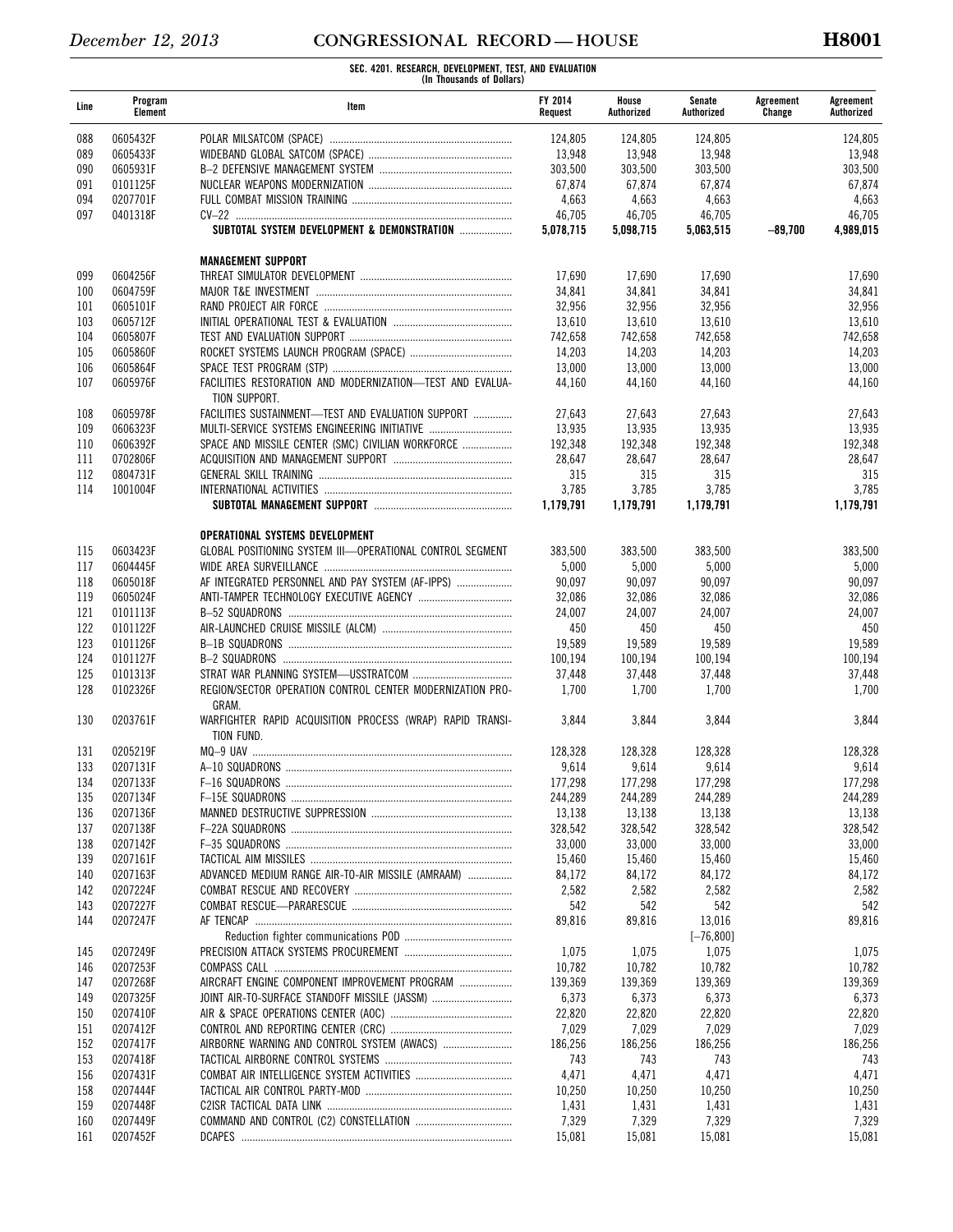| Line | Program<br>Element | Item                                                                       | <b>FY 2014</b><br>Request | House<br>Authorized | Senate<br>Authorized | Agreement<br>Change | Agreement<br>Authorized |
|------|--------------------|----------------------------------------------------------------------------|---------------------------|---------------------|----------------------|---------------------|-------------------------|
| 088  | 0605432F           |                                                                            | 124,805                   | 124,805             | 124,805              |                     | 124.805                 |
| 089  | 0605433F           |                                                                            | 13,948                    | 13,948              | 13,948               |                     | 13,948                  |
| 090  | 0605931F           |                                                                            | 303,500                   | 303,500             | 303,500              |                     | 303,500                 |
| 091  | 0101125F           |                                                                            | 67,874                    | 67,874              | 67,874               |                     | 67,874                  |
| 094  | 0207701F           |                                                                            | 4,663                     | 4,663               | 4,663                |                     | 4,663                   |
| 097  | 0401318F           |                                                                            | 46,705                    | 46,705              | 46,705               |                     | 46,705                  |
|      |                    | SUBTOTAL SYSTEM DEVELOPMENT & DEMONSTRATION                                | 5,078,715                 | 5,098,715           | 5,063,515            | $-89,700$           | 4,989,015               |
|      |                    | <b>MANAGEMENT SUPPORT</b>                                                  |                           |                     |                      |                     |                         |
| 099  | 0604256F           |                                                                            | 17,690                    | 17,690              | 17,690               |                     | 17,690                  |
| 100  | 0604759F           |                                                                            | 34,841                    | 34,841              | 34,841               |                     | 34,841                  |
| 101  | 0605101F           |                                                                            | 32,956                    | 32,956              | 32,956               |                     | 32,956                  |
| 103  | 0605712F           |                                                                            | 13,610                    | 13,610              | 13,610               |                     | 13,610                  |
| 104  | 0605807F           |                                                                            | 742,658                   | 742,658             | 742,658              |                     | 742,658                 |
| 105  | 0605860F           |                                                                            | 14,203                    | 14,203              | 14,203               |                     | 14,203                  |
| 106  | 0605864F           |                                                                            | 13,000                    | 13,000              | 13,000               |                     | 13,000                  |
| 107  | 0605976F           | FACILITIES RESTORATION AND MODERNIZATION-TEST AND EVALUA-<br>TION SUPPORT. | 44.160                    | 44,160              | 44,160               |                     | 44,160                  |
| 108  | 0605978F           | FACILITIES SUSTAINMENT-TEST AND EVALUATION SUPPORT                         | 27,643                    | 27,643              | 27,643               |                     | 27,643                  |
| 109  | 0606323F           | MULTI-SERVICE SYSTEMS ENGINEERING INITIATIVE                               | 13,935                    | 13,935              | 13,935               |                     | 13,935                  |
| 110  | 0606392F           | SPACE AND MISSILE CENTER (SMC) CIVILIAN WORKFORCE                          | 192,348                   | 192,348             | 192,348              |                     | 192,348                 |
| 111  | 0702806F           |                                                                            | 28,647                    | 28,647              | 28,647               |                     | 28,647                  |
| 112  | 0804731F           |                                                                            | 315                       | 315                 | 315                  |                     | 315                     |
| 114  | 1001004F           |                                                                            | 3,785                     | 3,785               | 3,785                |                     | 3,785                   |
|      |                    |                                                                            | 1,179,791                 | 1.179.791           | 1,179,791            |                     | 1,179,791               |
|      |                    |                                                                            |                           |                     |                      |                     |                         |
|      |                    | OPERATIONAL SYSTEMS DEVELOPMENT                                            |                           |                     |                      |                     |                         |
| 115  | 0603423F           | GLOBAL POSITIONING SYSTEM III-OPERATIONAL CONTROL SEGMENT                  | 383,500                   | 383,500             | 383,500              |                     | 383,500                 |
| 117  | 0604445F           |                                                                            | 5,000                     | 5,000               | 5,000                |                     | 5,000                   |
| 118  | 0605018F           | AF INTEGRATED PERSONNEL AND PAY SYSTEM (AF-IPPS)                           | 90,097                    | 90,097              | 90,097               |                     | 90,097                  |
| 119  | 0605024F           |                                                                            | 32,086                    | 32,086              | 32,086               |                     | 32,086                  |
| 121  | 0101113F           |                                                                            | 24,007                    | 24,007              | 24,007               |                     | 24,007                  |
| 122  | 0101122F           |                                                                            | 450                       | 450                 | 450                  |                     | 450                     |
| 123  | 0101126F           |                                                                            | 19,589                    | 19,589              | 19,589               |                     | 19,589                  |
| 124  | 0101127F           |                                                                            | 100,194                   | 100,194             | 100,194              |                     | 100,194                 |
| 125  | 0101313F           |                                                                            | 37,448                    | 37,448              | 37,448               |                     | 37,448                  |
| 128  | 0102326F           | REGION/SECTOR OPERATION CONTROL CENTER MODERNIZATION PRO-<br>GRAM.         | 1,700                     | 1,700               | 1,700                |                     | 1,700                   |
| 130  | 0203761F           | WARFIGHTER RAPID ACQUISITION PROCESS (WRAP) RAPID TRANSI-<br>TION FUND.    | 3,844                     | 3,844               | 3,844                |                     | 3,844                   |
| 131  | 0205219F           |                                                                            | 128,328                   | 128,328             | 128,328              |                     | 128,328                 |
| 133  | 0207131F           |                                                                            | 9,614                     | 9,614               | 9,614                |                     | 9,614                   |
| 134  | 0207133F           |                                                                            | 177,298                   | 177,298             | 177,298              |                     | 177,298                 |
| 135  | 0207134F           |                                                                            | 244,289                   | 244.289             | 244.289              |                     | 244,289                 |
| 136  | 0207136F           |                                                                            | 13,138                    | 13,138              | 13,138               |                     | 13,138                  |
| 137  | 0207138F           |                                                                            | 328,542                   | 328,542             | 328,542              |                     | 328,542                 |
| 138  | 0207142F           |                                                                            | 33,000                    | 33,000              | 33,000               |                     | 33.000                  |
| 139  | 0207161F           |                                                                            | 15,460                    | 15,460              | 15,460               |                     | 15,460                  |
| 140  | 0207163F           | ADVANCED MEDIUM RANGE AIR-TO-AIR MISSILE (AMRAAM)                          | 84,172                    | 84,172              | 84,172               |                     | 84,172                  |
| 142  | 0207224F           |                                                                            | 2,582                     | 2,582               | 2,582                |                     | 2,582                   |
| 143  | 0207227F           |                                                                            | 542                       | 542                 | 542                  |                     | 542                     |
| 144  | 0207247F           |                                                                            | 89,816                    | 89,816              | 13,016               |                     | 89,816                  |
|      |                    |                                                                            |                           |                     | $[-76, 800]$         |                     |                         |
| 145  | 0207249F           |                                                                            | 1,075                     | 1,075               | 1,075                |                     | 1,075                   |
| 146  | 0207253F           |                                                                            | 10,782                    | 10,782              | 10,782               |                     | 10,782                  |
| 147  | 0207268F           | AIRCRAFT ENGINE COMPONENT IMPROVEMENT PROGRAM                              | 139,369                   | 139,369             | 139,369              |                     | 139,369                 |
| 149  | 0207325F           | JOINT AIR-TO-SURFACE STANDOFF MISSILE (JASSM)                              | 6,373                     | 6,373               | 6,373                |                     | 6,373                   |
| 150  | 0207410F           |                                                                            | 22,820                    | 22,820              | 22,820               |                     | 22,820                  |
| 151  | 0207412F           |                                                                            | 7,029                     | 7,029               | 7,029                |                     | 7,029                   |
| 152  | 0207417F           |                                                                            | 186,256                   | 186,256             | 186,256              |                     | 186,256                 |
| 153  | 0207418F           |                                                                            | 743                       | 743                 | 743                  |                     | 743                     |
| 156  | 0207431F           |                                                                            | 4,471                     | 4,471               | 4,471                |                     | 4,471                   |
| 158  | 0207444F           |                                                                            | 10,250                    | 10,250              | 10,250               |                     | 10,250                  |
| 159  | 0207448F           |                                                                            | 1,431                     | 1,431               | 1,431                |                     | 1,431                   |
| 160  | 0207449F           |                                                                            | 7,329                     | 7,329               | 7,329                |                     | 7,329                   |
| 161  | 0207452F           |                                                                            | 15,081                    | 15,081              | 15,081               |                     | 15,081                  |
|      |                    |                                                                            |                           |                     |                      |                     |                         |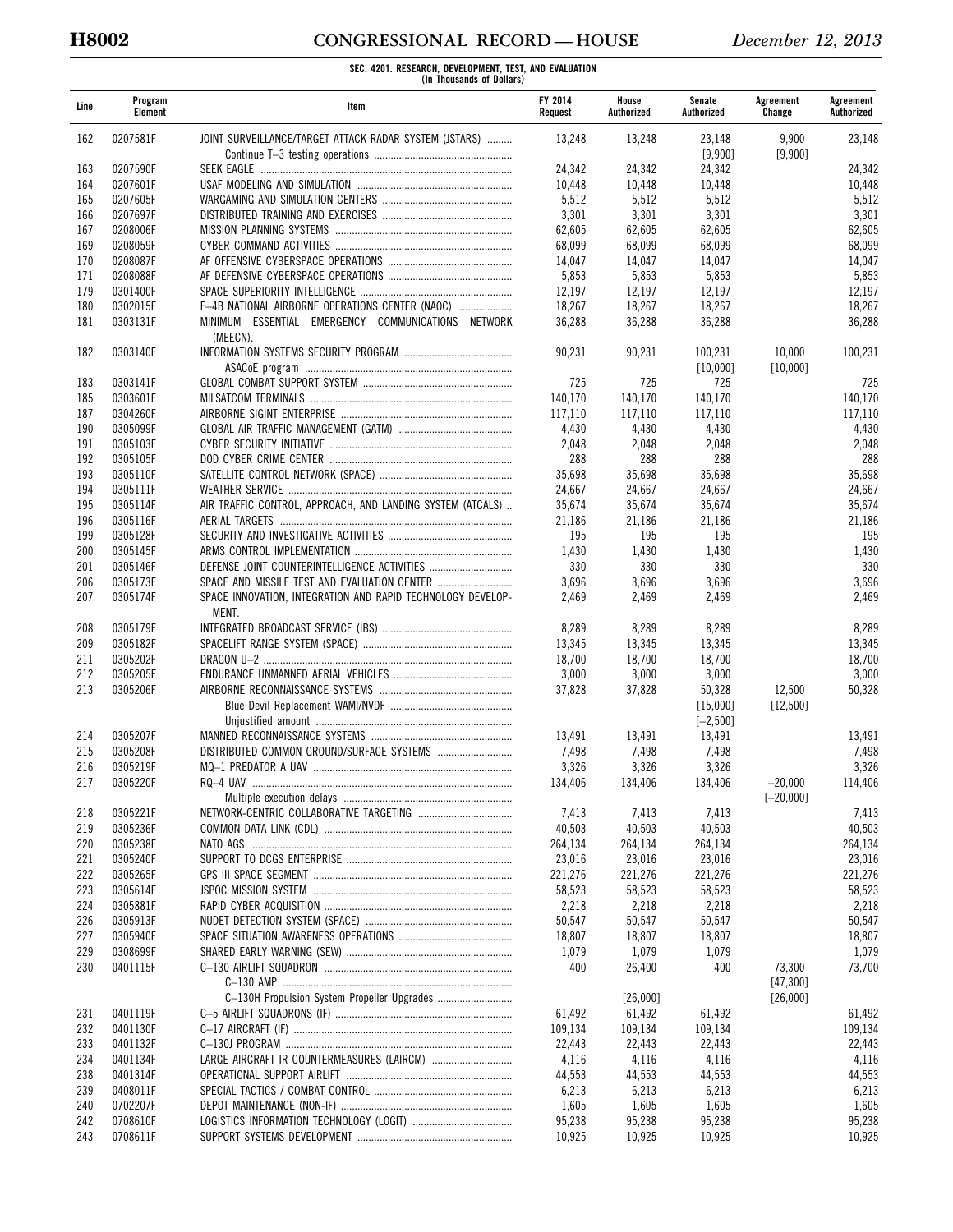# **H8002 CONGRESSIONAL RECORD — HOUSE** *December 12, 2013*

| Line | Program<br>Element | Item                                                                 | FY 2014<br>Request | House<br>Authorized | Senate<br>Authorized    | Agreement<br>Change | Agreement<br>Authorized |
|------|--------------------|----------------------------------------------------------------------|--------------------|---------------------|-------------------------|---------------------|-------------------------|
| 162  | 0207581F           | JOINT SURVEILLANCE/TARGET ATTACK RADAR SYSTEM (JSTARS)               | 13,248             | 13,248              | 23,148<br>[9,900]       | 9,900<br>[9,900]    | 23,148                  |
| 163  | 0207590F           |                                                                      | 24,342             | 24,342              | 24,342                  |                     | 24,342                  |
| 164  | 0207601F           |                                                                      | 10,448             | 10,448              | 10,448                  |                     | 10,448                  |
| 165  | 0207605F           |                                                                      | 5,512              | 5,512               | 5,512                   |                     | 5,512                   |
| 166  | 0207697F           |                                                                      | 3,301              | 3,301               | 3,301                   |                     | 3,301                   |
| 167  | 0208006F           |                                                                      | 62,605             | 62,605              | 62,605                  |                     | 62,605                  |
| 169  | 0208059F           |                                                                      | 68,099             | 68,099              | 68,099                  |                     | 68,099                  |
| 170  | 0208087F           |                                                                      | 14,047             | 14,047              | 14,047                  |                     | 14,047                  |
| 171  | 0208088F           |                                                                      | 5,853              | 5,853               | 5,853                   |                     | 5,853                   |
| 179  | 0301400F           |                                                                      | 12,197             | 12,197              | 12,197                  |                     | 12,197                  |
| 180  | 0302015F           | E-4B NATIONAL AIRBORNE OPERATIONS CENTER (NAOC)                      | 18,267             | 18,267              | 18,267                  |                     | 18,267                  |
| 181  | 0303131F           | MINIMUM ESSENTIAL EMERGENCY COMMUNICATIONS NETWORK<br>(MEECN).       | 36,288             | 36,288              | 36,288                  |                     | 36,288                  |
| 182  | 0303140F           |                                                                      | 90,231             | 90,231              | 100,231<br>[10,000]     | 10,000<br>[10,000]  | 100,231                 |
| 183  | 0303141F           |                                                                      | 725                | 725                 | 725                     |                     | 725                     |
| 185  | 0303601F           |                                                                      | 140,170            | 140,170             | 140,170                 |                     | 140,170                 |
| 187  | 0304260F           |                                                                      | 117,110            | 117,110             | 117,110                 |                     | 117,110                 |
| 190  | 0305099F           |                                                                      | 4,430              | 4,430               | 4,430                   |                     | 4,430                   |
| 191  | 0305103F           |                                                                      | 2,048              | 2,048               | 2,048                   |                     | 2,048                   |
| 192  | 0305105F           |                                                                      | 288                | 288                 | 288                     |                     | 288                     |
| 193  | 0305110F           |                                                                      | 35,698             | 35,698              | 35,698                  |                     | 35,698                  |
| 194  | 0305111F           |                                                                      | 24,667             | 24,667              | 24,667                  |                     | 24,667                  |
| 195  | 0305114F           | AIR TRAFFIC CONTROL, APPROACH, AND LANDING SYSTEM (ATCALS)           | 35,674             | 35,674              | 35,674                  |                     | 35,674                  |
| 196  | 0305116F           |                                                                      | 21,186             | 21,186              | 21,186                  |                     | 21,186                  |
| 199  | 0305128F           |                                                                      | 195                | 195                 | 195                     |                     | 195                     |
| 200  | 0305145F           |                                                                      | 1,430              | 1,430               | 1,430                   |                     | 1,430                   |
| 201  | 0305146F           | DEFENSE JOINT COUNTERINTELLIGENCE ACTIVITIES                         | 330                | 330                 | 330                     |                     | 330                     |
| 206  | 0305173F           |                                                                      | 3,696              | 3,696               | 3,696                   |                     | 3,696                   |
| 207  | 0305174F           | SPACE INNOVATION, INTEGRATION AND RAPID TECHNOLOGY DEVELOP-<br>MENT. | 2,469              | 2,469               | 2,469                   |                     | 2,469                   |
| 208  | 0305179F           |                                                                      | 8,289              | 8,289               | 8,289                   |                     | 8,289                   |
| 209  | 0305182F           |                                                                      | 13,345             | 13,345              | 13,345                  |                     | 13,345                  |
| 211  | 0305202F           |                                                                      | 18,700             | 18,700              | 18,700                  |                     | 18,700                  |
| 212  | 0305205F           |                                                                      | 3,000              | 3,000               | 3,000                   |                     | 3,000                   |
| 213  | 0305206F           |                                                                      | 37,828             | 37,828              | 50,328                  | 12,500              | 50,328                  |
|      |                    |                                                                      |                    |                     | [15,000]<br>$[-2, 500]$ | [12,500]            |                         |
| 214  | 0305207F           |                                                                      | 13,491             | 13,491              | 13,491                  |                     | 13,491                  |
| 215  | 0305208F           |                                                                      | 7,498              | 7,498               | 7,498                   |                     | 7,498                   |
| 216  | 0305219F           |                                                                      | 3,326              | 3,326               | 3,326                   |                     | 3,326                   |
| 217  | 0305220F           | RQ-4 UAV                                                             | 134,406            | 134,406             | 134,406                 | -20,000             | 114,406                 |
|      |                    |                                                                      |                    |                     |                         | $[-20,000]$         |                         |
| 218  | 0305221F           |                                                                      | 7,413              | 7,413               | 7,413                   |                     | 7,413                   |
| 219  | 0305236F           |                                                                      | 40,503             | 40,503              | 40,503                  |                     | 40,503                  |
| 220  | 0305238F           |                                                                      | 264,134            | 264,134             | 264,134                 |                     | 264,134                 |
| 221  | 0305240F           |                                                                      | 23,016             | 23,016              | 23,016                  |                     | 23,016                  |
| 222  | 0305265F           |                                                                      | 221,276            | 221,276             | 221,276                 |                     | 221,276                 |
| 223  | 0305614F           |                                                                      | 58,523             | 58,523              | 58,523                  |                     | 58,523                  |
| 224  | 0305881F           |                                                                      | 2,218              | 2,218               | 2,218                   |                     | 2,218                   |
| 226  | 0305913F           |                                                                      | 50,547             | 50,547              | 50,547                  |                     | 50,547                  |
| 227  | 0305940F           |                                                                      | 18,807             | 18,807              | 18,807                  |                     | 18,807                  |
| 229  | 0308699F           |                                                                      | 1,079              | 1,079               | 1,079                   |                     | 1,079                   |
| 230  | 0401115F           |                                                                      | 400                | 26,400              | 400                     | 73,300              | 73.700                  |
|      |                    |                                                                      |                    |                     |                         | [47,300]            |                         |
|      |                    |                                                                      |                    | [26,000]            |                         | [26,000]            |                         |
| 231  | 0401119F           |                                                                      | 61,492             | 61,492              | 61,492                  |                     | 61,492                  |
| 232  | 0401130F           |                                                                      | 109,134            | 109,134             | 109,134                 |                     | 109,134                 |
| 233  | 0401132F           |                                                                      | 22,443             | 22,443              | 22,443                  |                     | 22,443                  |
| 234  | 0401134F           | LARGE AIRCRAFT IR COUNTERMEASURES (LAIRCM)                           | 4,116              | 4,116               | 4,116                   |                     | 4,116                   |
| 238  | 0401314F           |                                                                      | 44,553             | 44,553              | 44,553                  |                     | 44,553                  |
| 239  | 0408011F           |                                                                      | 6,213              | 6,213               | 6,213                   |                     | 6,213                   |
| 240  | 0702207F           |                                                                      | 1,605              | 1,605               | 1,605                   |                     | 1,605                   |
| 242  | 0708610F           |                                                                      | 95,238             | 95,238              | 95,238                  |                     | 95,238                  |
| 243  | 0708611F           |                                                                      | 10,925             | 10,925              | 10,925                  |                     | 10,925                  |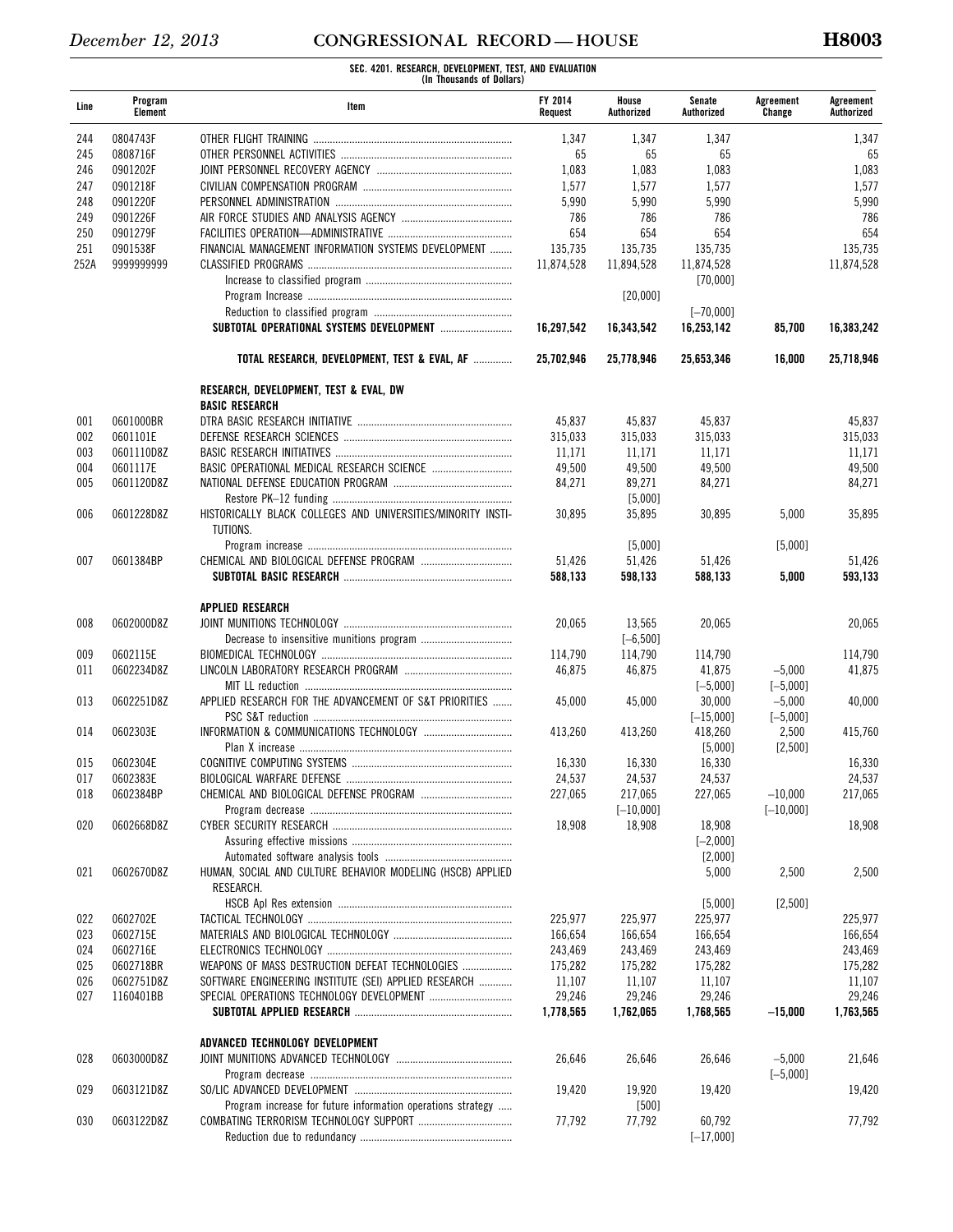| Line | Program<br><b>Element</b> | Item                                                                       | <b>FY 2014</b><br>Request | House<br>Authorized | Senate<br>Authorized | Agreement<br>Change | Agreement<br>Authorized |
|------|---------------------------|----------------------------------------------------------------------------|---------------------------|---------------------|----------------------|---------------------|-------------------------|
| 244  | 0804743F                  |                                                                            | 1,347                     | 1,347               | 1,347                |                     | 1,347                   |
| 245  | 0808716F                  |                                                                            | 65                        | 65                  | 65                   |                     | 65                      |
| 246  | 0901202F                  |                                                                            | 1,083                     | 1,083               | 1,083                |                     | 1,083                   |
| 247  | 0901218F                  |                                                                            | 1,577                     | 1,577               | 1,577                |                     | 1,577                   |
| 248  | 0901220F                  |                                                                            | 5,990                     | 5,990               | 5,990                |                     | 5,990                   |
| 249  | 0901226F                  |                                                                            | 786                       | 786                 | 786                  |                     | 786                     |
| 250  | 0901279F                  |                                                                            | 654                       | 654                 | 654                  |                     | 654                     |
| 251  | 0901538F                  | FINANCIAL MANAGEMENT INFORMATION SYSTEMS DEVELOPMENT                       | 135.735                   | 135,735             | 135.735              |                     | 135.735                 |
|      |                           |                                                                            | 11.874.528                |                     |                      |                     |                         |
| 252A | 9999999999                |                                                                            |                           | 11,894,528          | 11,874,528           |                     | 11,874,528              |
|      |                           |                                                                            |                           |                     | [70,000]             |                     |                         |
|      |                           |                                                                            |                           | [20,000]            |                      |                     |                         |
|      |                           |                                                                            |                           |                     | $[-70,000]$          |                     |                         |
|      |                           |                                                                            | 16,297,542                | 16,343,542          | 16,253,142           | 85,700              | 16,383,242              |
|      |                           | TOTAL RESEARCH, DEVELOPMENT, TEST & EVAL, AF                               | 25,702,946                | 25,778,946          | 25,653,346           | 16,000              | 25,718,946              |
|      |                           | <b>RESEARCH, DEVELOPMENT, TEST &amp; EVAL, DW</b><br><b>BASIC RESEARCH</b> |                           |                     |                      |                     |                         |
| 001  | 0601000BR                 |                                                                            | 45,837                    | 45,837              | 45,837               |                     | 45,837                  |
| 002  | 0601101E                  |                                                                            | 315,033                   | 315.033             | 315.033              |                     | 315,033                 |
| 003  | 0601110D8Z                |                                                                            | 11,171                    | 11,171              | 11,171               |                     | 11,171                  |
| 004  | 0601117E                  |                                                                            | 49,500                    | 49,500              | 49,500               |                     | 49,500                  |
| 005  | 0601120D8Z                |                                                                            | 84,271                    | 89,271              | 84,271               |                     | 84,271                  |
|      |                           |                                                                            |                           | [5,000]             |                      |                     |                         |
| 006  | 0601228D8Z                | HISTORICALLY BLACK COLLEGES AND UNIVERSITIES/MINORITY INSTI-               | 30.895                    | 35,895              | 30,895               | 5,000               | 35,895                  |
|      |                           | TUTIONS.                                                                   |                           |                     |                      |                     |                         |
|      |                           |                                                                            |                           | [5,000]             |                      | [5,000]             |                         |
| 007  | 0601384BP                 |                                                                            | 51,426                    | 51,426              | 51,426               |                     | 51,426                  |
|      |                           |                                                                            | 588,133                   | 598,133             | 588,133              | 5,000               | 593,133                 |
|      |                           | <b>APPLIED RESEARCH</b>                                                    |                           |                     |                      |                     |                         |
| 008  | 0602000D8Z                |                                                                            | 20,065                    | 13,565              | 20,065               |                     | 20,065                  |
|      |                           |                                                                            |                           | $[-6, 500]$         |                      |                     |                         |
|      | 0602115E                  |                                                                            |                           |                     |                      |                     |                         |
| 009  | 0602234D8Z                |                                                                            | 114,790                   | 114,790             | 114,790              |                     | 114,790                 |
| 011  |                           |                                                                            | 46,875                    | 46,875              | 41,875               | $-5,000$            | 41,875                  |
|      |                           |                                                                            |                           |                     | $[-5,000]$           | $[-5,000]$          |                         |
| 013  | 0602251D8Z                | APPLIED RESEARCH FOR THE ADVANCEMENT OF S&T PRIORITIES                     | 45,000                    | 45,000              | 30,000               | $-5,000$            | 40,000                  |
|      |                           |                                                                            |                           |                     | $[-15,000]$          | $[-5,000]$          |                         |
| 014  | 0602303E                  |                                                                            | 413,260                   | 413,260             | 418,260              | 2,500               | 415,760                 |
|      |                           |                                                                            |                           |                     | [5,000]              | [2,500]             |                         |
| 015  | 0602304E                  |                                                                            | 16,330                    | 16,330              | 16,330               |                     | 16,330                  |
| 017  | 0602383E                  | <b>RIOLOGICAL WARFARE DEFENSE</b>                                          | 24,537                    | 24,537              | 24,537               |                     | 24,537                  |
| 018  | 0602384BP                 |                                                                            | 227,065                   | 217,065             | 227,065              | $-10.000$           | 217,065                 |
|      |                           |                                                                            |                           | $[-10,000]$         |                      | $[-10,000]$         |                         |
| 020  | 0602668D8Z                |                                                                            | 18,908                    | 18,908              | 18,908               |                     | 18,908                  |
|      |                           |                                                                            |                           |                     | $[-2,000]$           |                     |                         |
|      |                           |                                                                            |                           |                     | $[2,000]$            |                     |                         |
| 021  | 0602670D8Z                | HUMAN, SOCIAL AND CULTURE BEHAVIOR MODELING (HSCB) APPLIED<br>RESEARCH.    |                           |                     | 5,000                | 2,500               | 2,500                   |
|      |                           |                                                                            |                           |                     | [5,000]              | [2,500]             |                         |
| 022  | 0602702E                  |                                                                            | 225,977                   | 225,977             | 225,977              |                     | 225,977                 |
|      | 0602715E                  |                                                                            | 166,654                   | 166,654             | 166,654              |                     |                         |
| 023  |                           |                                                                            |                           |                     |                      |                     | 166,654                 |
| 024  | 0602716E                  |                                                                            | 243,469                   | 243,469             | 243,469              |                     | 243,469                 |
| 025  | 0602718BR                 | WEAPONS OF MASS DESTRUCTION DEFEAT TECHNOLOGIES                            | 175,282                   | 175,282             | 175,282              |                     | 175,282                 |
| 026  | 0602751D8Z                | SOFTWARE ENGINEERING INSTITUTE (SEI) APPLIED RESEARCH                      | 11,107                    | 11,107              | 11,107               |                     | 11,107                  |
| 027  | 1160401BB                 | SPECIAL OPERATIONS TECHNOLOGY DEVELOPMENT                                  | 29,246                    | 29,246              | 29,246               |                     | 29,246                  |
|      |                           |                                                                            | 1,778,565                 | 1,762,065           | 1,768,565            | $-15,000$           | 1,763,565               |
|      |                           | ADVANCED TECHNOLOGY DEVELOPMENT                                            |                           |                     |                      |                     |                         |
| 028  | 0603000D8Z                |                                                                            | 26,646                    | 26,646              | 26,646               | $-5,000$            | 21,646                  |
|      |                           |                                                                            |                           |                     |                      | $[-5,000]$          |                         |
| 029  | 0603121D8Z                |                                                                            | 19,420                    | 19,920              | 19,420               |                     | 19,420                  |
|      |                           | Program increase for future information operations strategy                |                           | $[500]$             |                      |                     |                         |
| 030  | 0603122D8Z                |                                                                            | 77,792                    | 77,792              | 60,792               |                     | 77,792                  |
|      |                           |                                                                            |                           |                     | $[-17,000]$          |                     |                         |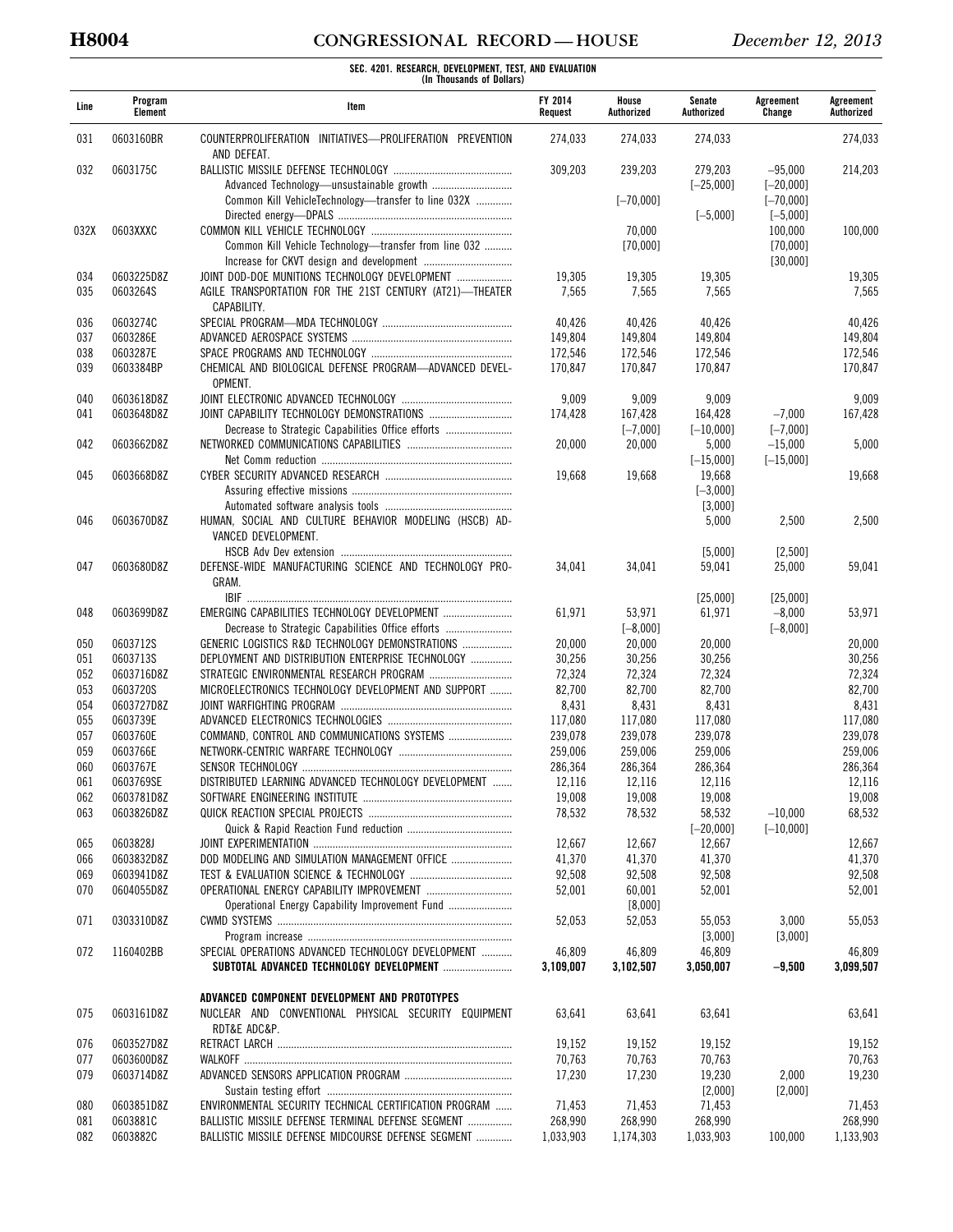# **H8004 CONGRESSIONAL RECORD — HOUSE** *December 12, 2013*

| Line       | Program<br>Element     | Item                                                                                                                      | FY 2014<br>Request | House<br>Authorized | Senate<br>Authorized   | Agreement<br>Change             | Agreement<br>Authorized |
|------------|------------------------|---------------------------------------------------------------------------------------------------------------------------|--------------------|---------------------|------------------------|---------------------------------|-------------------------|
| 031        | 0603160BR              | COUNTERPROLIFERATION INITIATIVES-PROLIFERATION PREVENTION<br>AND DEFEAT.                                                  | 274,033            | 274,033             | 274,033                |                                 | 274,033                 |
| 032        | 0603175C               |                                                                                                                           | 309,203            | 239,203             | 279.203<br>$[-25,000]$ | $-95.000$<br>$[-20,000]$        | 214,203                 |
|            |                        | Common Kill VehicleTechnology—transfer to line 032X                                                                       |                    | $[-70,000]$         | $[-5,000]$             | $[-70,000]$<br>$[-5,000]$       |                         |
| 032X       | 0603XXXC               | Common Kill Vehicle Technology-transfer from line 032                                                                     |                    | 70,000<br>[70,000]  |                        | 100,000<br>[70,000]<br>[30,000] | 100,000                 |
| 034<br>035 | 0603225D8Z<br>0603264S | JOINT DOD-DOE MUNITIONS TECHNOLOGY DEVELOPMENT<br>AGILE TRANSPORTATION FOR THE 21ST CENTURY (AT21)-THEATER<br>CAPABILITY. | 19,305<br>7,565    | 19,305<br>7,565     | 19,305<br>7,565        |                                 | 19,305<br>7,565         |
| 036        | 0603274C               |                                                                                                                           | 40,426             | 40,426              | 40,426                 |                                 | 40,426                  |
| 037        | 0603286E               |                                                                                                                           | 149,804            | 149,804             | 149,804                |                                 | 149,804                 |
| 038        | 0603287E               |                                                                                                                           | 172,546            | 172,546             | 172,546                |                                 | 172,546                 |
| 039        | 0603384BP              | CHEMICAL AND BIOLOGICAL DEFENSE PROGRAM-ADVANCED DEVEL-<br>OPMENT.                                                        | 170,847            | 170,847             | 170,847                |                                 | 170,847                 |
| 040        | 0603618D8Z             |                                                                                                                           | 9,009              | 9,009               | 9,009                  |                                 | 9,009                   |
| 041        | 0603648D8Z             |                                                                                                                           | 174,428            | 167,428             | 164,428                | $-7,000$                        | 167,428                 |
|            |                        | Decrease to Strategic Capabilities Office efforts                                                                         |                    | $[-7,000]$          | $[-10,000]$            | $[-7,000]$                      |                         |
| 042        | 0603662D8Z             |                                                                                                                           | 20,000             | 20,000              | 5,000                  | $-15,000$                       | 5,000                   |
|            |                        |                                                                                                                           |                    |                     | $[-15,000]$            | $[-15,000]$                     |                         |
| 045        | 0603668D8Z             |                                                                                                                           | 19,668             | 19,668              | 19,668                 |                                 | 19,668                  |
|            |                        |                                                                                                                           |                    |                     | $[-3,000]$             |                                 |                         |
|            |                        |                                                                                                                           |                    |                     | [3,000]                |                                 |                         |
| 046        | 0603670D8Z             | HUMAN, SOCIAL AND CULTURE BEHAVIOR MODELING (HSCB) AD-<br>VANCED DEVELOPMENT.                                             |                    |                     | 5,000                  | 2,500                           | 2,500                   |
| 047        | 0603680D8Z             | DEFENSE-WIDE MANUFACTURING SCIENCE AND TECHNOLOGY PRO-<br>GRAM.                                                           | 34,041             | 34,041              | [5,000]<br>59,041      | [2,500]<br>25,000               | 59,041                  |
|            |                        |                                                                                                                           |                    |                     | [25,000]               | [25,000]                        |                         |
| 048        | 0603699D8Z             | EMERGING CAPABILITIES TECHNOLOGY DEVELOPMENT                                                                              | 61,971             | 53,971              | 61,971                 | $-8,000$                        | 53,971                  |
|            |                        |                                                                                                                           |                    | $[-8,000]$          |                        | $[-8,000]$                      |                         |
| 050        | 0603712S               | GENERIC LOGISTICS R&D TECHNOLOGY DEMONSTRATIONS                                                                           | 20,000             | 20,000              | 20,000                 |                                 | 20,000                  |
| 051        | 0603713S               | DEPLOYMENT AND DISTRIBUTION ENTERPRISE TECHNOLOGY                                                                         | 30,256             | 30,256              | 30,256                 |                                 | 30,256                  |
| 052        | 0603716D8Z             | STRATEGIC ENVIRONMENTAL RESEARCH PROGRAM                                                                                  | 72,324             | 72,324              | 72,324                 |                                 | 72,324                  |
| 053        | 0603720S               | MICROELECTRONICS TECHNOLOGY DEVELOPMENT AND SUPPORT                                                                       | 82,700             | 82,700              | 82,700                 |                                 | 82,700                  |
| 054        | 0603727D8Z             |                                                                                                                           | 8,431              | 8,431               | 8,431                  |                                 | 8,431                   |
| 055        | 0603739E               |                                                                                                                           | 117,080            | 117,080             | 117,080                |                                 | 117,080                 |
| 057        | 0603760E               | COMMAND, CONTROL AND COMMUNICATIONS SYSTEMS                                                                               | 239,078            | 239,078             | 239,078                |                                 | 239,078                 |
| 059        | 0603766E               |                                                                                                                           | 259,006            | 259,006             | 259,006                |                                 | 259,006                 |
| 060        | 0603767E               |                                                                                                                           | 286,364            | 286,364             | 286,364                |                                 | 286,364                 |
| 061        | 0603769SE              | DISTRIBUTED LEARNING ADVANCED TECHNOLOGY DEVELOPMENT                                                                      | 12,116             | 12,116              | 12,116                 |                                 | 12,116                  |
| 062        | 0603781D8Z             |                                                                                                                           | 19,008             | 19,008              | 19,008                 |                                 | 19,008                  |
| 063        | 0603826D8Z             |                                                                                                                           | 78,532             | 78,532              | 58,532                 | $-10,000$                       | 68,532                  |
|            |                        |                                                                                                                           |                    |                     | $[-20,000]$            | $[-10,000]$                     |                         |
| 065        | 0603828J               |                                                                                                                           | 12,667             | 12,667              | 12,667                 |                                 | 12,667                  |
| 066        | 0603832D8Z             | DOD MODELING AND SIMULATION MANAGEMENT OFFICE                                                                             | 41,370             | 41,370              | 41,370                 |                                 | 41,370                  |
| 069        | 0603941D8Z             |                                                                                                                           | 92,508             | 92,508              | 92,508                 |                                 | 92,508                  |
| 070        | 0604055D8Z             | OPERATIONAL ENERGY CAPABILITY IMPROVEMENT<br>Operational Energy Capability Improvement Fund                               | 52,001             | 60,001              | 52,001                 |                                 | 52,001                  |
| 071        | 0303310D8Z             |                                                                                                                           | 52,053             | [8,000]<br>52,053   | 55,053                 | 3,000                           | 55,053                  |
|            |                        |                                                                                                                           |                    |                     | [3,000]                | [3,000]                         |                         |
| 072        | 1160402BB              | SPECIAL OPERATIONS ADVANCED TECHNOLOGY DEVELOPMENT                                                                        | 46,809             | 46,809              | 46,809                 |                                 | 46,809                  |
|            |                        | SUBTOTAL ADVANCED TECHNOLOGY DEVELOPMENT                                                                                  | 3,109,007          | 3,102,507           | 3,050,007              | $-9,500$                        | 3,099,507               |
|            |                        | ADVANCED COMPONENT DEVELOPMENT AND PROTOTYPES                                                                             |                    |                     |                        |                                 |                         |
| 075        | 0603161D8Z             | NUCLEAR AND CONVENTIONAL PHYSICAL SECURITY EQUIPMENT<br>RDT&E ADC&P.                                                      | 63,641             | 63,641              | 63,641                 |                                 | 63,641                  |
| 076        | 0603527D8Z             |                                                                                                                           | 19,152             | 19,152              | 19,152                 |                                 | 19,152                  |
| 077        | 0603600D8Z             |                                                                                                                           | 70,763             | 70,763              | 70,763                 |                                 | 70,763                  |
| 079        | 0603714D8Z             |                                                                                                                           | 17,230             | 17,230              | 19,230<br>$[2,000]$    | 2,000<br>[2,000]                | 19,230                  |
| 080        | 0603851D8Z             | ENVIRONMENTAL SECURITY TECHNICAL CERTIFICATION PROGRAM                                                                    | 71,453             | 71,453              | 71,453                 |                                 | 71,453                  |
| 081        | 0603881C               | BALLISTIC MISSILE DEFENSE TERMINAL DEFENSE SEGMENT                                                                        | 268,990            | 268,990             | 268,990                |                                 | 268,990                 |
| 082        | 0603882C               | BALLISTIC MISSILE DEFENSE MIDCOURSE DEFENSE SEGMENT                                                                       | 1,033,903          | 1,174,303           | 1,033,903              | 100,000                         | 1,133,903               |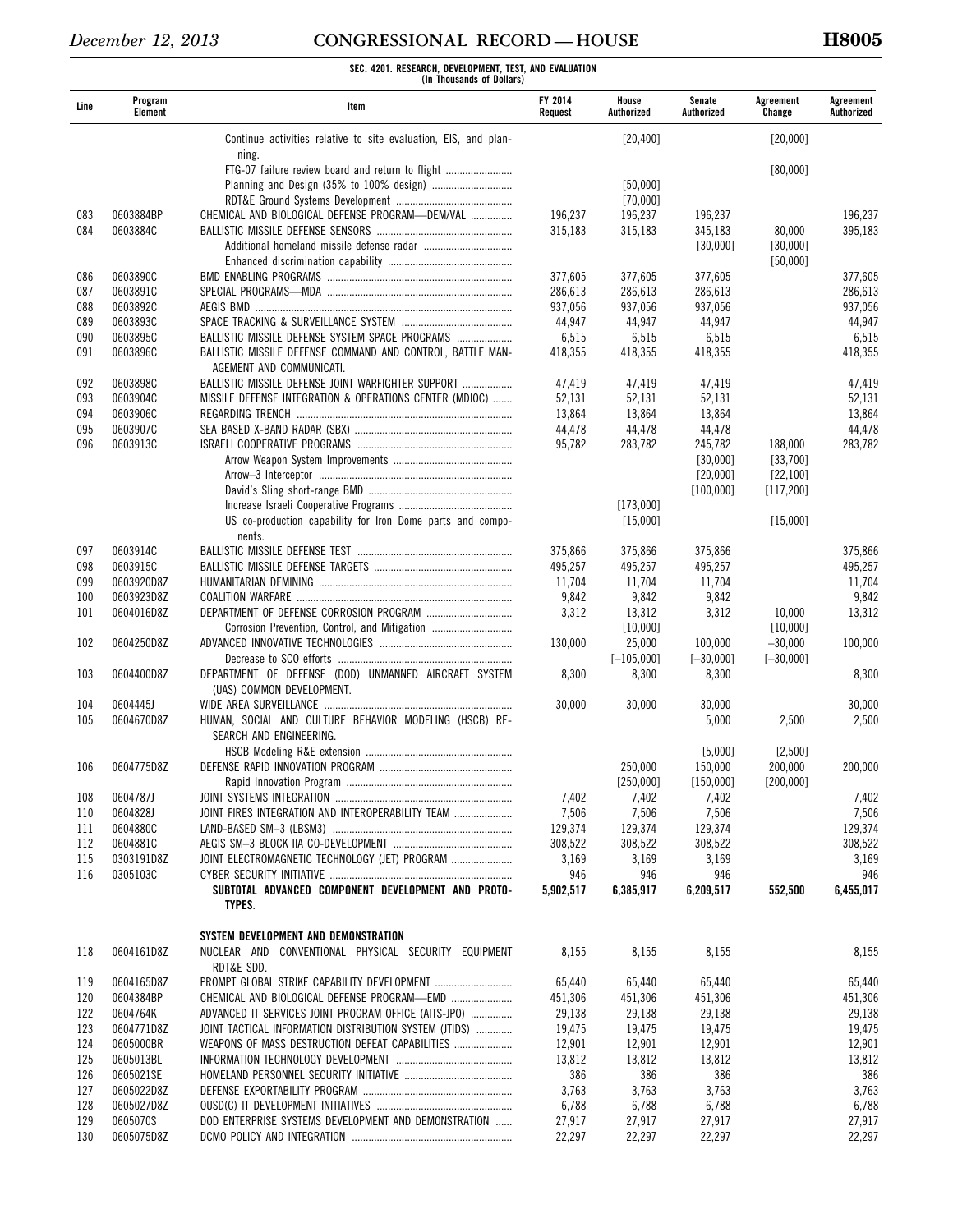| Line | Program<br>Element | Item                                                                                   | <b>FY 2014</b><br>Request | House<br>Authorized   | Senate<br>Authorized | Agreement<br>Change  | Agreement<br>Authorized |
|------|--------------------|----------------------------------------------------------------------------------------|---------------------------|-----------------------|----------------------|----------------------|-------------------------|
|      |                    | Continue activities relative to site evaluation, EIS, and plan-                        |                           | [20, 400]             |                      | [20,000]             |                         |
|      |                    | ning.<br>FTG-07 failure review board and return to flight                              |                           |                       |                      | [80,000]             |                         |
|      |                    |                                                                                        |                           | [50,000]              |                      |                      |                         |
|      |                    |                                                                                        |                           | [70,000]              |                      |                      |                         |
| 083  | 0603884BP          | CHEMICAL AND BIOLOGICAL DEFENSE PROGRAM-DEM/VAL                                        | 196,237                   | 196,237               | 196,237              |                      | 196,237                 |
| 084  | 0603884C           |                                                                                        | 315,183                   | 315,183               | 345,183              | 80,000               | 395,183                 |
|      |                    |                                                                                        |                           |                       | [30,000]             | [30,000]<br>[50,000] |                         |
| 086  | 0603890C           |                                                                                        | 377,605                   | 377,605               | 377,605              |                      | 377,605                 |
| 087  | 0603891C           |                                                                                        | 286,613                   | 286,613               | 286,613              |                      | 286,613                 |
| 088  | 0603892C           |                                                                                        | 937,056                   | 937,056               | 937,056              |                      | 937,056                 |
| 089  | 0603893C           |                                                                                        | 44,947                    | 44,947                | 44,947               |                      | 44,947                  |
| 090  | 0603895C           | BALLISTIC MISSILE DEFENSE SYSTEM SPACE PROGRAMS                                        | 6,515                     | 6,515                 | 6,515                |                      | 6,515                   |
| 091  | 0603896C           | BALLISTIC MISSILE DEFENSE COMMAND AND CONTROL, BATTLE MAN-<br>AGEMENT AND COMMUNICATI. | 418,355                   | 418,355               | 418,355              |                      | 418,355                 |
| 092  | 0603898C           | BALLISTIC MISSILE DEFENSE JOINT WARFIGHTER SUPPORT                                     | 47,419                    | 47,419                | 47,419               |                      | 47,419                  |
| 093  | 0603904C           | MISSILE DEFENSE INTEGRATION & OPERATIONS CENTER (MDIOC)                                | 52,131                    | 52,131                | 52,131               |                      | 52,131                  |
| 094  | 0603906C           |                                                                                        | 13,864                    | 13,864                | 13,864               |                      | 13,864                  |
| 095  | 0603907C           |                                                                                        | 44,478                    | 44,478                | 44,478               |                      | 44,478                  |
| 096  | 0603913C           |                                                                                        | 95,782                    | 283,782               | 245,782              | 188,000              | 283,782                 |
|      |                    |                                                                                        |                           |                       | [30,000]             | [33,700]             |                         |
|      |                    |                                                                                        |                           |                       | [20,000]             | [22, 100]            |                         |
|      |                    |                                                                                        |                           |                       | [100,000]            | [117, 200]           |                         |
|      |                    |                                                                                        |                           | [173,000]             |                      |                      |                         |
|      |                    | US co-production capability for Iron Dome parts and compo-<br>nents.                   |                           | [15,000]              |                      | [15,000]             |                         |
| 097  | 0603914C           |                                                                                        | 375,866                   | 375,866               | 375,866              |                      | 375,866                 |
| 098  | 0603915C           |                                                                                        | 495,257                   | 495,257               | 495,257              |                      | 495,257                 |
| 099  | 0603920D8Z         |                                                                                        | 11,704                    | 11,704                | 11,704               |                      | 11,704                  |
| 100  | 0603923D8Z         |                                                                                        | 9,842                     | 9,842                 | 9,842                |                      | 9,842                   |
| 101  | 0604016D8Z         | DEPARTMENT OF DEFENSE CORROSION PROGRAM                                                | 3,312                     | 13,312                | 3,312                | 10,000               | 13,312                  |
|      |                    | Corrosion Prevention, Control, and Mitigation                                          |                           | [10,000]              |                      | [10,000]             |                         |
| 102  | 0604250D8Z         |                                                                                        | 130,000                   | 25,000                | 100,000              | $-30,000$            | 100,000                 |
| 103  | 0604400D8Z         | DEPARTMENT OF DEFENSE (DOD) UNMANNED AIRCRAFT SYSTEM                                   | 8,300                     | $[-105,000]$<br>8,300 | $[-30,000]$<br>8,300 | $[-30,000]$          | 8,300                   |
|      |                    | (UAS) COMMON DEVELOPMENT.                                                              |                           |                       |                      |                      |                         |
| 104  | 0604445J           |                                                                                        | 30,000                    | 30,000                | 30,000               |                      | 30,000                  |
| 105  | 0604670D8Z         | HUMAN, SOCIAL AND CULTURE BEHAVIOR MODELING (HSCB) RE-<br>SEARCH AND ENGINEERING.      |                           |                       | 5,000                | 2,500                | 2,500                   |
| 106  | 0604775D8Z         |                                                                                        |                           | 250.000               | [5,000]<br>150.000   | [2,500]<br>200,000   | 200,000                 |
|      |                    |                                                                                        |                           | [250,000]             | [150,000]            | [200, 000]           |                         |
| 108  | 0604787J           |                                                                                        | 7,402                     | 7,402                 | 7,402                |                      | 7,402                   |
| 110  | 0604828J           | JOINT FIRES INTEGRATION AND INTEROPERABILITY TEAM                                      | 7,506                     | 7,506                 | 7,506                |                      | 7,506                   |
| 111  | 0604880C           |                                                                                        | 129,374                   | 129,374               | 129,374              |                      | 129,374                 |
| 112  | 0604881C           |                                                                                        | 308,522                   | 308,522               | 308,522              |                      | 308,522                 |
| 115  | 0303191D8Z         | JOINT ELECTROMAGNETIC TECHNOLOGY (JET) PROGRAM                                         | 3,169                     | 3,169                 | 3,169                |                      | 3,169                   |
| 116  | 0305103C           |                                                                                        | 946                       | 946                   | 946                  |                      | 946                     |
|      |                    | SUBTOTAL ADVANCED COMPONENT DEVELOPMENT AND PROTO-                                     | 5,902,517                 | 6,385,917             | 6,209,517            | 552,500              | 6,455,017               |
|      |                    | TYPES.                                                                                 |                           |                       |                      |                      |                         |
|      |                    | SYSTEM DEVELOPMENT AND DEMONSTRATION                                                   |                           |                       |                      |                      |                         |
| 118  | 0604161D8Z         | NUCLEAR AND CONVENTIONAL PHYSICAL SECURITY EQUIPMENT<br>RDT&E SDD.                     | 8,155                     | 8,155                 | 8,155                |                      | 8,155                   |
| 119  | 0604165D8Z         | PROMPT GLOBAL STRIKE CAPABILITY DEVELOPMENT                                            | 65,440                    | 65,440                | 65,440               |                      | 65,440                  |
| 120  | 0604384BP          | CHEMICAL AND BIOLOGICAL DEFENSE PROGRAM-EMD                                            | 451,306                   | 451,306               | 451,306              |                      | 451,306                 |
| 122  | 0604764K           | ADVANCED IT SERVICES JOINT PROGRAM OFFICE (AITS-JPO)                                   | 29,138                    | 29,138                | 29,138               |                      | 29,138                  |
| 123  | 0604771D8Z         | JOINT TACTICAL INFORMATION DISTRIBUTION SYSTEM (JTIDS)                                 | 19,475                    | 19,475                | 19,475               |                      | 19,475                  |
| 124  | 0605000BR          | WEAPONS OF MASS DESTRUCTION DEFEAT CAPABILITIES                                        | 12,901                    | 12,901                | 12,901               |                      | 12,901                  |
| 125  | 0605013BL          |                                                                                        | 13,812                    | 13,812                | 13,812               |                      | 13,812                  |
| 126  | 0605021SE          |                                                                                        | 386                       | 386                   | 386                  |                      | 386                     |
| 127  | 0605022D8Z         |                                                                                        | 3,763                     | 3,763                 | 3,763                |                      | 3,763                   |
| 128  | 0605027D8Z         |                                                                                        | 6,788                     | 6,788                 | 6,788                |                      | 6,788                   |
| 129  | 0605070S           | DOD ENTERPRISE SYSTEMS DEVELOPMENT AND DEMONSTRATION                                   | 27,917                    | 27,917                | 27,917               |                      | 27,917                  |
| 130  | 0605075D8Z         |                                                                                        | 22,297                    | 22,297                | 22,297               |                      | 22,297                  |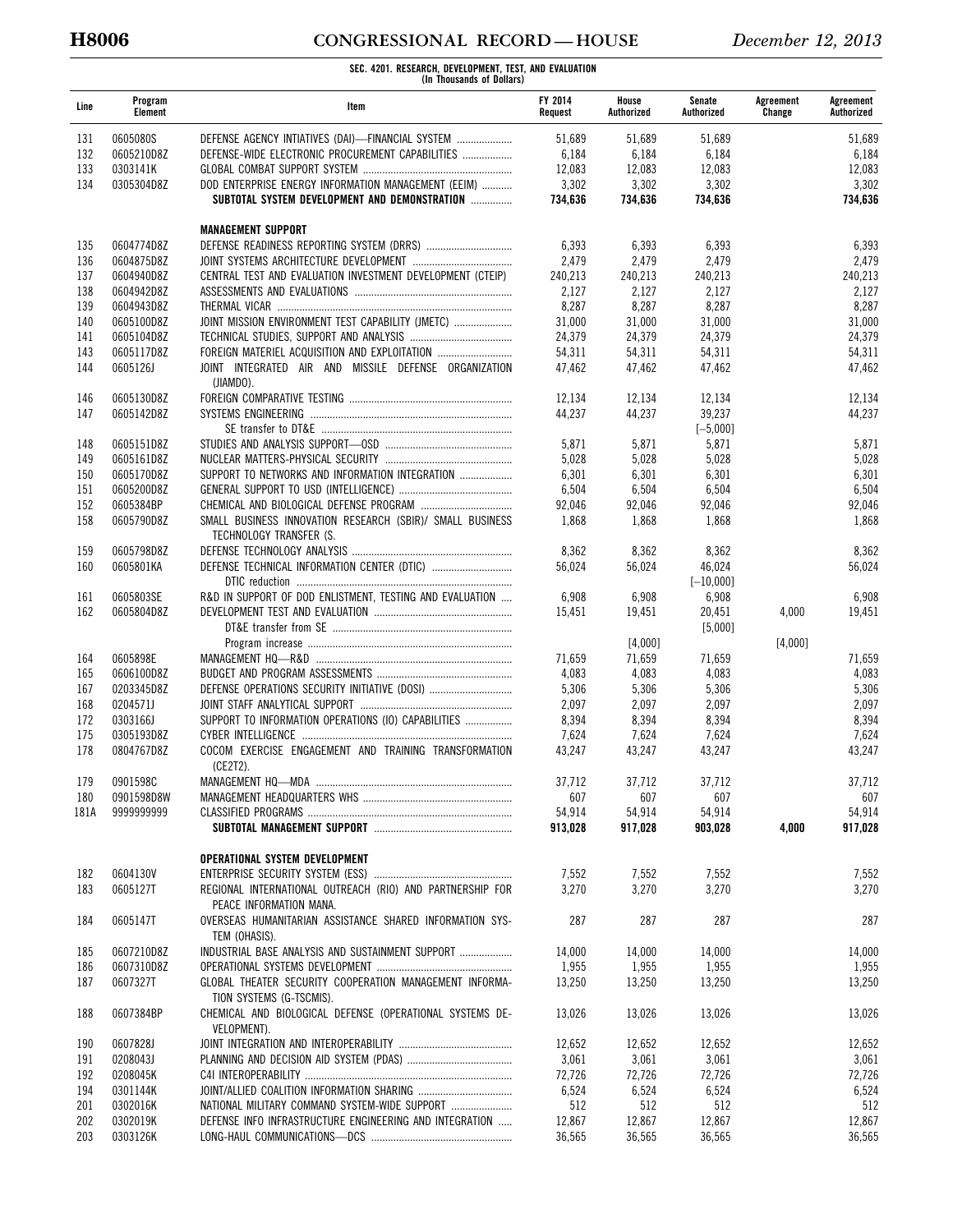# **H8006 CONGRESSIONAL RECORD — HOUSE** *December 12, 2013*

| Line       | Program<br>Element       | Item                                                                                 | FY 2014<br>Request | House<br>Authorized | Senate<br>Authorized | Agreement<br>Change | Agreement<br>Authorized |
|------------|--------------------------|--------------------------------------------------------------------------------------|--------------------|---------------------|----------------------|---------------------|-------------------------|
| 131        | 0605080S                 | DEFENSE AGENCY INTIATIVES (DAI)-FINANCIAL SYSTEM                                     | 51.689             | 51,689              | 51,689               |                     | 51,689                  |
| 132        | 0605210D8Z               | DEFENSE-WIDE ELECTRONIC PROCUREMENT CAPABILITIES                                     | 6,184              | 6,184               | 6,184                |                     | 6,184                   |
| 133        | 0303141K                 |                                                                                      | 12,083             | 12,083              | 12,083               |                     | 12,083                  |
| 134        | 0305304D8Z               | DOD ENTERPRISE ENERGY INFORMATION MANAGEMENT (EEIM)                                  | 3,302              | 3,302               | 3,302                |                     | 3,302                   |
|            |                          | SUBTOTAL SYSTEM DEVELOPMENT AND DEMONSTRATION                                        | 734.636            | 734,636             | 734,636              |                     | 734,636                 |
|            |                          | <b>MANAGEMENT SUPPORT</b>                                                            |                    |                     |                      |                     |                         |
| 135        | 0604774D8Z               |                                                                                      | 6,393              | 6,393               | 6,393                |                     | 6,393                   |
| 136        | 0604875D8Z               |                                                                                      | 2,479              | 2,479               | 2,479                |                     | 2,479                   |
| 137        | 0604940D8Z               | CENTRAL TEST AND EVALUATION INVESTMENT DEVELOPMENT (CTEIP)                           | 240,213            | 240,213             | 240.213              |                     | 240,213                 |
| 138        | 0604942D8Z               |                                                                                      | 2,127              | 2,127               | 2,127                |                     | 2,127                   |
| 139<br>140 | 0604943D8Z<br>0605100D8Z | JOINT MISSION ENVIRONMENT TEST CAPABILITY (JMETC)                                    | 8,287<br>31,000    | 8,287<br>31,000     | 8,287<br>31,000      |                     | 8,287<br>31,000         |
| 141        | 0605104D8Z               |                                                                                      | 24,379             | 24,379              | 24,379               |                     | 24,379                  |
| 143        | 0605117D8Z               | FOREIGN MATERIEL ACQUISITION AND EXPLOITATION                                        | 54,311             | 54,311              | 54,311               |                     | 54,311                  |
| 144        | 0605126J                 | JOINT INTEGRATED AIR AND MISSILE DEFENSE ORGANIZATION                                | 47,462             | 47,462              | 47,462               |                     | 47,462                  |
|            |                          | (JIAMDO).                                                                            |                    |                     |                      |                     |                         |
| 146        | 0605130D8Z               |                                                                                      | 12,134             | 12,134              | 12,134               |                     | 12,134                  |
| 147        | 0605142D8Z               |                                                                                      | 44,237             | 44,237              | 39,237               |                     | 44,237                  |
|            |                          |                                                                                      |                    |                     | $[-5,000]$           |                     |                         |
| 148        | 0605151D8Z               |                                                                                      | 5,871              | 5,871               | 5,871                |                     | 5,871                   |
| 149<br>150 | 0605161D8Z<br>0605170D8Z | SUPPORT TO NETWORKS AND INFORMATION INTEGRATION                                      | 5,028<br>6,301     | 5,028               | 5,028                |                     | 5,028<br>6,301          |
| 151        | 0605200D8Z               |                                                                                      | 6,504              | 6,301<br>6,504      | 6,301<br>6,504       |                     | 6,504                   |
| 152        | 0605384BP                |                                                                                      | 92,046             | 92,046              | 92,046               |                     | 92,046                  |
| 158        | 0605790D8Z               | SMALL BUSINESS INNOVATION RESEARCH (SBIR)/ SMALL BUSINESS                            | 1,868              | 1,868               | 1,868                |                     | 1,868                   |
|            |                          | TECHNOLOGY TRANSFER (S.                                                              |                    |                     |                      |                     |                         |
| 159        | 0605798D8Z               |                                                                                      | 8,362              | 8,362               | 8,362                |                     | 8,362                   |
| 160        | 0605801KA                |                                                                                      | 56,024             | 56,024              | 46,024               |                     | 56,024                  |
|            |                          |                                                                                      |                    |                     | $[-10,000]$          |                     |                         |
| 161        | 0605803SE                | R&D IN SUPPORT OF DOD ENLISTMENT, TESTING AND EVALUATION                             | 6,908              | 6,908               | 6,908                |                     | 6,908                   |
| 162        | 0605804D8Z               |                                                                                      | 15,451             | 19,451              | 20,451<br>[5,000]    | 4,000               | 19,451                  |
|            |                          |                                                                                      |                    | [4,000]             |                      | [4,000]             |                         |
| 164        | 0605898E                 |                                                                                      | 71,659             | 71,659              | 71,659               |                     | 71,659                  |
| 165        | 0606100D8Z               |                                                                                      | 4,083              | 4,083               | 4,083                |                     | 4,083                   |
| 167        | 0203345D8Z               | DEFENSE OPERATIONS SECURITY INITIATIVE (DOSI)                                        | 5,306              | 5,306               | 5,306                |                     | 5,306                   |
| 168        | 0204571J                 |                                                                                      | 2,097              | 2,097               | 2,097                |                     | 2,097                   |
| 172        | 0303166J                 | SUPPORT TO INFORMATION OPERATIONS (IO) CAPABILITIES                                  | 8,394              | 8,394               | 8,394                |                     | 8,394                   |
| 175        | 0305193D8Z               |                                                                                      | 7,624              | 7,624               | 7,624                |                     | 7,624                   |
| 178        | 0804767D8Z               | COCOM EXERCISE ENGAGEMENT AND TRAINING TRANSFORMATION                                | 43,247             | 43,247              | 43,247               |                     | 43,247                  |
| 179        | 0901598C                 | (CE2T2).<br>MANAGEMENT HQ-MDA                                                        | 37.712             | 37,712              | 37.712               |                     | 37.712                  |
| 180        | 0901598D8W               |                                                                                      | 607                | 607                 | 607                  |                     | 607                     |
| 181A       | 9999999999               |                                                                                      | 54,914             | 54,914              | 54,914               |                     | 54,914                  |
|            |                          |                                                                                      | 913,028            | 917,028             | 903,028              | 4,000               | 917,028                 |
|            |                          | OPERATIONAL SYSTEM DEVELOPMENT                                                       |                    |                     |                      |                     |                         |
| 182        | 0604130V                 |                                                                                      | 7,552              | 7,552               | 7,552                |                     | 7,552                   |
| 183        | 0605127T                 | REGIONAL INTERNATIONAL OUTREACH (RIO) AND PARTNERSHIP FOR                            | 3,270              | 3,270               | 3,270                |                     | 3,270                   |
|            |                          | PEACE INFORMATION MANA.                                                              |                    |                     |                      |                     |                         |
| 184        | 0605147T                 | OVERSEAS HUMANITARIAN ASSISTANCE SHARED INFORMATION SYS-<br>TEM (OHASIS).            | 287                | 287                 | 287                  |                     | 287                     |
| 185        | 0607210D8Z               | INDUSTRIAL BASE ANALYSIS AND SUSTAINMENT SUPPORT                                     | 14,000             | 14,000              | 14,000               |                     | 14,000                  |
| 186        | 0607310D8Z               |                                                                                      | 1,955              | 1,955               | 1,955                |                     | 1,955                   |
| 187        | 0607327T                 | GLOBAL THEATER SECURITY COOPERATION MANAGEMENT INFORMA-                              | 13,250             | 13,250              | 13,250               |                     | 13,250                  |
| 188        | 0607384BP                | TION SYSTEMS (G-TSCMIS).<br>CHEMICAL AND BIOLOGICAL DEFENSE (OPERATIONAL SYSTEMS DE- | 13,026             | 13,026              | 13,026               |                     | 13,026                  |
| 190        | 0607828J                 | VELOPMENT).                                                                          | 12,652             | 12,652              | 12,652               |                     | 12,652                  |
| 191        | 0208043J                 |                                                                                      | 3,061              | 3,061               | 3,061                |                     | 3,061                   |
| 192        | 0208045K                 |                                                                                      | 72,726             | 72,726              | 72,726               |                     | 72,726                  |
| 194        | 0301144K                 |                                                                                      | 6,524              | 6,524               | 6,524                |                     | 6,524                   |
| 201        | 0302016K                 | NATIONAL MILITARY COMMAND SYSTEM-WIDE SUPPORT                                        | 512                | 512                 | 512                  |                     | 512                     |
| 202        | 0302019K                 | DEFENSE INFO INFRASTRUCTURE ENGINEERING AND INTEGRATION                              | 12,867             | 12,867              | 12,867               |                     | 12,867                  |
| 203        | 0303126K                 |                                                                                      | 36,565             | 36,565              | 36,565               |                     | 36,565                  |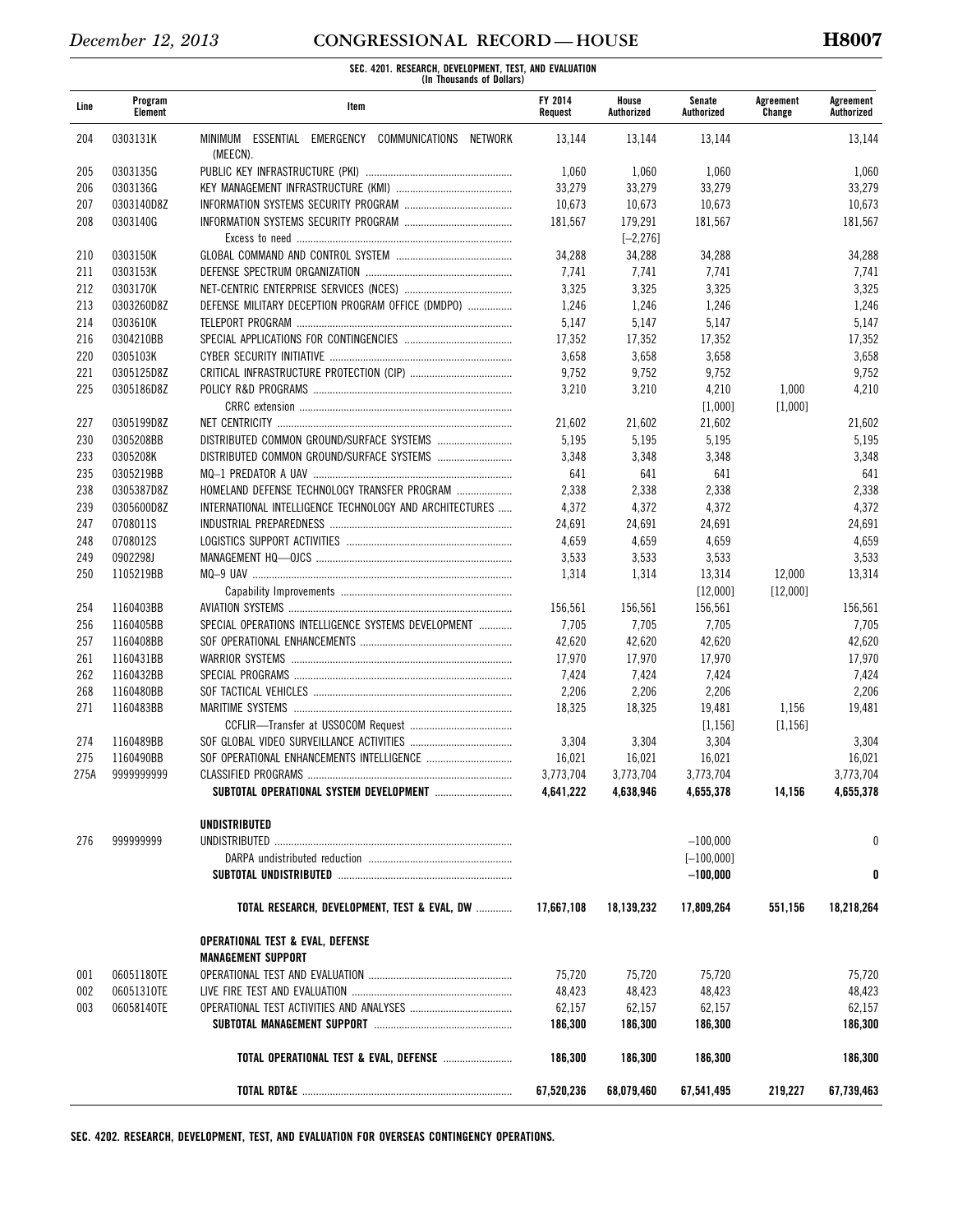**SEC. 4201. RESEARCH, DEVELOPMENT, TEST, AND EVALUATION (In Thousands of Dollars)** 

| Line | Program<br>Element | Item                                                           | FY 2014<br>Request | House<br>Authorized | Senate<br>Authorized | Agreement<br>Change | Agreement<br>Authorized |
|------|--------------------|----------------------------------------------------------------|--------------------|---------------------|----------------------|---------------------|-------------------------|
| 204  | 0303131K           | MINIMUM ESSENTIAL EMERGENCY COMMUNICATIONS NETWORK<br>(MEECN). | 13,144             | 13,144              | 13,144               |                     | 13,144                  |
| 205  | 0303135G           |                                                                | 1,060              | 1,060               | 1,060                |                     | 1,060                   |
| 206  | 0303136G           |                                                                | 33,279             | 33,279              | 33,279               |                     | 33,279                  |
| 207  | 0303140D8Z         |                                                                | 10,673             | 10,673              | 10,673               |                     | 10,673                  |
| 208  | 0303140G           |                                                                | 181,567            | 179,291             | 181,567              |                     | 181,567                 |
|      |                    |                                                                |                    | $[-2, 276]$         |                      |                     |                         |
| 210  | 0303150K           |                                                                | 34,288             | 34,288              | 34,288               |                     | 34,288                  |
| 211  | 0303153K           |                                                                | 7,741              | 7,741               | 7,741                |                     | 7,741                   |
| 212  | 0303170K           |                                                                | 3,325              | 3,325               | 3,325                |                     | 3,325                   |
| 213  | 0303260D8Z         | DEFENSE MILITARY DECEPTION PROGRAM OFFICE (DMDPO)              | 1,246              | 1,246               | 1,246                |                     | 1,246                   |
|      | 0303610K           |                                                                | 5,147              |                     |                      |                     |                         |
| 214  |                    |                                                                |                    | 5,147               | 5,147                |                     | 5,147                   |
| 216  | 0304210BB          |                                                                | 17,352             | 17,352              | 17,352               |                     | 17,352                  |
| 220  | 0305103K           |                                                                | 3,658              | 3,658               | 3,658                |                     | 3,658                   |
| 221  | 0305125D8Z         |                                                                | 9,752              | 9,752               | 9,752                |                     | 9,752                   |
| 225  | 0305186D8Z         |                                                                | 3,210              | 3,210               | 4,210                | 1,000               | 4,210                   |
|      |                    |                                                                |                    |                     | [1,000]              | [1,000]             |                         |
| 227  | 0305199D8Z         |                                                                | 21,602             | 21,602              | 21,602               |                     | 21,602                  |
| 230  | 0305208BB          |                                                                | 5,195              | 5,195               | 5,195                |                     | 5,195                   |
| 233  | 0305208K           |                                                                | 3,348              | 3,348               | 3,348                |                     | 3,348                   |
| 235  | 0305219BB          |                                                                | 641                | 641                 | 641                  |                     | 641                     |
| 238  | 0305387D8Z         | HOMELAND DEFENSE TECHNOLOGY TRANSFER PROGRAM                   | 2,338              | 2,338               | 2,338                |                     | 2,338                   |
| 239  | 0305600D8Z         | INTERNATIONAL INTELLIGENCE TECHNOLOGY AND ARCHITECTURES        | 4,372              | 4,372               | 4,372                |                     | 4,372                   |
| 247  | 0708011S           |                                                                | 24,691             | 24,691              | 24,691               |                     | 24,691                  |
| 248  | 0708012S           |                                                                | 4,659              | 4,659               | 4,659                |                     | 4,659                   |
| 249  | 0902298J           |                                                                | 3,533              | 3,533               | 3,533                |                     | 3,533                   |
| 250  | 1105219BB          |                                                                | 1,314              | 1,314               | 13,314               | 12,000              | 13,314                  |
|      |                    |                                                                |                    |                     | [12,000]             | [12,000]            |                         |
| 254  | 1160403BB          |                                                                | 156,561            | 156,561             | 156,561              |                     | 156,561                 |
| 256  | 1160405BB          | SPECIAL OPERATIONS INTELLIGENCE SYSTEMS DEVELOPMENT            | 7,705              | 7,705               | 7,705                |                     | 7,705                   |
| 257  | 1160408BB          |                                                                | 42,620             | 42,620              | 42,620               |                     | 42,620                  |
| 261  | 1160431BB          |                                                                | 17,970             | 17,970              | 17,970               |                     | 17,970                  |
| 262  | 1160432BB          |                                                                | 7,424              | 7,424               | 7,424                |                     | 7,424                   |
| 268  | 1160480BB          |                                                                | 2,206              | 2,206               | 2,206                |                     | 2,206                   |
| 271  | 1160483BB          |                                                                | 18,325             | 18,325              | 19,481               | 1,156               | 19,481                  |
|      |                    |                                                                |                    |                     | [1, 156]             | [1, 156]            |                         |
| 274  | 1160489BB          |                                                                | 3,304              | 3,304               | 3,304                |                     | 3,304                   |
| 275  | 1160490BB          | SOF OPERATIONAL ENHANCEMENTS INTELLIGENCE                      | 16,021             | 16,021              | 16,021               |                     | 16,021                  |
| 275A | 9999999999         |                                                                | 3.773.704          | 3,773,704           | 3,773,704            |                     | 3,773,704               |
|      |                    |                                                                | 4,641,222          | 4,638,946           | 4,655,378            | 14,156              | 4,655,378               |
|      |                    | UNDISTRIBUTED                                                  |                    |                     |                      |                     |                         |
| 276  | 999999999          |                                                                |                    |                     | $-100,000$           |                     | 0                       |
|      |                    |                                                                |                    |                     | $[-100,000]$         |                     |                         |
|      |                    |                                                                |                    |                     | $-100,000$           |                     | 0                       |
|      |                    | TOTAL RESEARCH, DEVELOPMENT, TEST & EVAL, DW                   | 17,667,108         | 18,139,232          | 17,809,264           | 551,156             | 18,218,264              |
|      |                    | <b>OPERATIONAL TEST &amp; EVAL, DEFENSE</b>                    |                    |                     |                      |                     |                         |
|      |                    | <b>MANAGEMENT SUPPORT</b>                                      |                    |                     |                      |                     |                         |
| 001  | 06051180TE         |                                                                | 75,720             | 75,720              | 75,720               |                     | 75,720                  |
| 002  | 06051310TE         |                                                                | 48,423             | 48,423              | 48,423               |                     | 48,423                  |
| 003  | 06058140TE         |                                                                | 62,157             | 62,157              | 62,157               |                     | 62,157                  |
|      |                    |                                                                | 186,300            | 186,300             | 186,300              |                     | 186,300                 |
|      |                    | TOTAL OPERATIONAL TEST & EVAL, DEFENSE                         | 186,300            | 186,300             | 186,300              |                     | 186,300                 |
|      |                    |                                                                | 67,520,236         | 68,079,460          | 67,541,495           | 219,227             | 67,739,463              |

**SEC. 4202. RESEARCH, DEVELOPMENT, TEST, AND EVALUATION FOR OVERSEAS CONTINGENCY OPERATIONS.**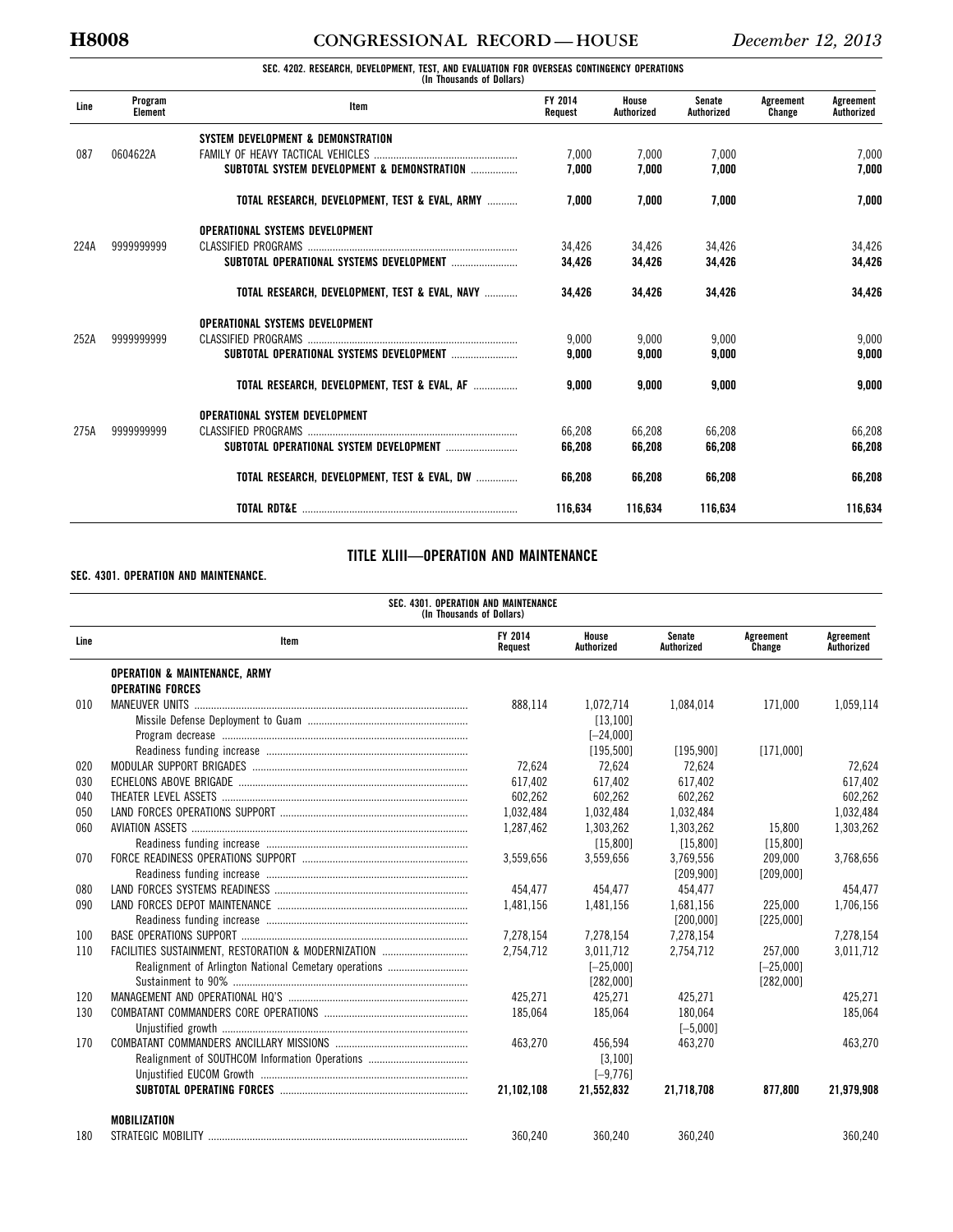# **H8008 CONGRESSIONAL RECORD — HOUSE** *December 12, 2013*

# **SEC. 4202. RESEARCH, DEVELOPMENT, TEST, AND EVALUATION FOR OVERSEAS CONTINGENCY OPERATIONS (In Thousands of Dollars)**

| Line | Program<br><b>Element</b> | Item                                           | FY 2014<br>Request | House<br>Authorized | Senate<br>Authorized | Agreement<br>Change | Agreement<br>Authorized |
|------|---------------------------|------------------------------------------------|--------------------|---------------------|----------------------|---------------------|-------------------------|
|      |                           | SYSTEM DEVELOPMENT & DEMONSTRATION             |                    |                     |                      |                     |                         |
| 087  | 0604622A                  |                                                | 7.000              | 7,000               | 7,000                |                     | 7,000                   |
|      |                           | SUBTOTAL SYSTEM DEVELOPMENT & DEMONSTRATION    | 7.000              | 7.000               | 7.000                |                     | 7.000                   |
|      |                           | TOTAL RESEARCH, DEVELOPMENT, TEST & EVAL, ARMY | 7.000              | 7.000               | 7.000                |                     | 7.000                   |
|      |                           | OPERATIONAL SYSTEMS DEVELOPMENT                |                    |                     |                      |                     |                         |
| 224A | 9999999999                |                                                | 34.426             | 34,426              | 34,426               |                     | 34,426                  |
|      |                           | SUBTOTAL OPERATIONAL SYSTEMS DEVELOPMENT       | 34,426             | 34,426              | 34,426               |                     | 34,426                  |
|      |                           | TOTAL RESEARCH, DEVELOPMENT, TEST & EVAL, NAVY | 34,426             | 34,426              | 34,426               |                     | 34,426                  |
|      |                           | OPERATIONAL SYSTEMS DEVELOPMENT                |                    |                     |                      |                     |                         |
| 252A | 9999999999                |                                                | 9,000              | 9,000               | 9.000                |                     | 9,000                   |
|      |                           |                                                | 9,000              | 9,000               | 9.000                |                     | 9.000                   |
|      |                           | TOTAL RESEARCH, DEVELOPMENT, TEST & EVAL, AF   | 9.000              | 9.000               | 9.000                |                     | 9.000                   |
|      |                           | OPERATIONAL SYSTEM DEVELOPMENT                 |                    |                     |                      |                     |                         |
| 275A | 9999999999                |                                                | 66,208             | 66,208              | 66,208               |                     | 66,208                  |
|      |                           |                                                | 66.208             | 66.208              | 66.208               |                     | 66.208                  |
|      |                           | TOTAL RESEARCH, DEVELOPMENT, TEST & EVAL, DW   | 66,208             | 66,208              | 66,208               |                     | 66,208                  |
|      |                           |                                                | 116.634            | 116,634             | 116,634              |                     | 116,634                 |

## **TITLE XLIII—OPERATION AND MAINTENANCE**

### **SEC. 4301. OPERATION AND MAINTENANCE.**

|      | SEC. 4301. OPERATION AND MAINTENANCE<br>(In Thousands of Dollars)   |                    |                     |                      |                     |                         |  |  |  |
|------|---------------------------------------------------------------------|--------------------|---------------------|----------------------|---------------------|-------------------------|--|--|--|
| Line | Item                                                                | FY 2014<br>Request | House<br>Authorized | Senate<br>Authorized | Agreement<br>Change | Agreement<br>Authorized |  |  |  |
|      | <b>OPERATION &amp; MAINTENANCE, ARMY</b><br><b>OPERATING FORCES</b> |                    |                     |                      |                     |                         |  |  |  |
| 010  | <b>MANEUVER UNITS</b>                                               | 888.114            | 1,072,714           | 1,084,014            | 171.000             | 1,059,114               |  |  |  |
|      |                                                                     |                    | [13, 100]           |                      |                     |                         |  |  |  |
|      |                                                                     |                    | $[-24,000]$         |                      |                     |                         |  |  |  |
|      |                                                                     |                    | [195, 500]          | [195, 900]           | [171,000]           |                         |  |  |  |
| 020  |                                                                     | 72.624             | 72.624              | 72.624               |                     | 72.624                  |  |  |  |
| 030  |                                                                     | 617.402            | 617.402             | 617.402              |                     | 617.402                 |  |  |  |
| 040  |                                                                     | 602,262            | 602,262             | 602,262              |                     | 602,262                 |  |  |  |
| 050  |                                                                     | 1,032,484          | 1,032,484           | 1,032,484            |                     | 1,032,484               |  |  |  |
| 060  |                                                                     | 1.287.462          | 1,303,262           | 1.303.262            | 15.800              | 1,303,262               |  |  |  |
|      |                                                                     |                    | [15, 800]           | [15,800]             | [15, 800]           |                         |  |  |  |
| 070  |                                                                     | 3,559,656          | 3,559,656           | 3,769,556            | 209,000             | 3,768,656               |  |  |  |
|      |                                                                     |                    |                     | [209, 900]           | [209,000]           |                         |  |  |  |
| 080  |                                                                     | 454.477            | 454.477             | 454.477              |                     | 454.477                 |  |  |  |
| 090  |                                                                     | 1,481,156          | 1,481,156           | 1,681,156            | 225,000             | 1,706,156               |  |  |  |
|      |                                                                     |                    |                     | [200,000]            | [225,000]           |                         |  |  |  |
| 100  |                                                                     | 7,278,154          | 7,278,154           | 7,278,154            |                     | 7,278,154               |  |  |  |
| 110  |                                                                     | 2.754.712          | 3.011.712           | 2.754.712            | 257.000             | 3.011.712               |  |  |  |
|      |                                                                     |                    | $[-25,000]$         |                      | $[-25,000]$         |                         |  |  |  |
|      |                                                                     |                    | [282,000]           |                      | [282,000]           |                         |  |  |  |
| 120  |                                                                     | 425.271            | 425,271             | 425.271              |                     | 425.271                 |  |  |  |
| 130  |                                                                     | 185.064            | 185.064             | 180.064              |                     | 185.064                 |  |  |  |
|      |                                                                     |                    |                     | $[-5,000]$           |                     |                         |  |  |  |
| 170  |                                                                     | 463.270            | 456.594             | 463.270              |                     | 463,270                 |  |  |  |
|      |                                                                     |                    | [3, 100]            |                      |                     |                         |  |  |  |
|      |                                                                     |                    | $[-9, 776]$         |                      |                     |                         |  |  |  |
|      |                                                                     | 21,102,108         | 21,552,832          | 21,718,708           | 877,800             | 21,979,908              |  |  |  |
|      | MOBILIZATION                                                        |                    |                     |                      |                     |                         |  |  |  |
| 180  |                                                                     | 360,240            | 360,240             | 360,240              |                     | 360,240                 |  |  |  |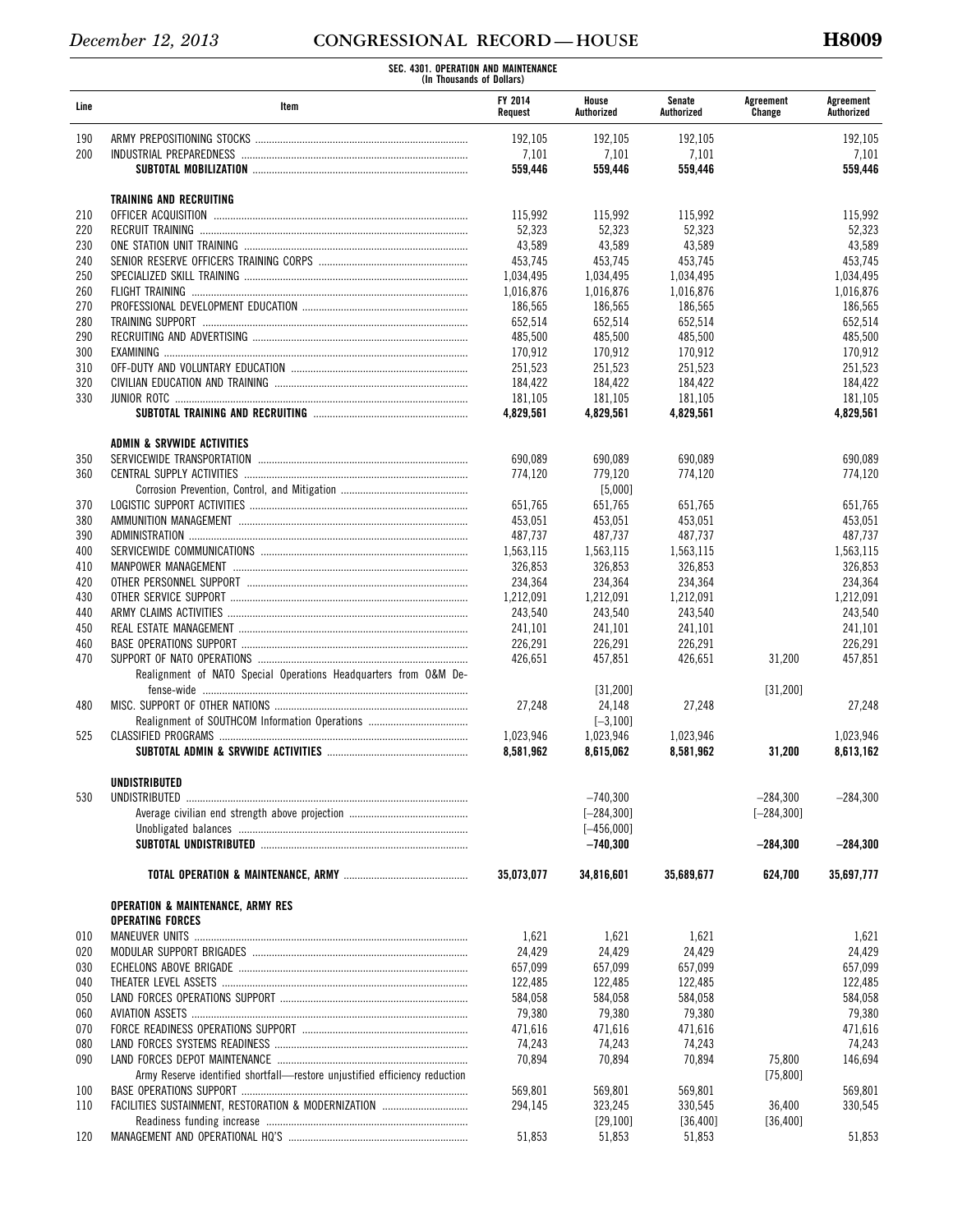|      | SEC. 4301. OPERATION AND MAINTENANCE<br>(In Thousands of Dollars)          |                    |                     |                      |                     |                         |  |
|------|----------------------------------------------------------------------------|--------------------|---------------------|----------------------|---------------------|-------------------------|--|
| Line | Item                                                                       | FY 2014<br>Request | House<br>Authorized | Senate<br>Authorized | Agreement<br>Change | Agreement<br>Authorized |  |
| 190  |                                                                            | 192,105            | 192,105             | 192,105              |                     | 192,105                 |  |
| 200  |                                                                            | 7,101              | 7,101               | 7,101                |                     | 7,101                   |  |
|      |                                                                            | 559,446            | 559,446             | 559,446              |                     | 559,446                 |  |
|      | TRAINING AND RECRUITING                                                    |                    |                     |                      |                     |                         |  |
| 210  |                                                                            | 115,992            | 115,992             | 115,992              |                     | 115,992                 |  |
| 220  | RECRUIT TRAINING                                                           | 52,323             | 52,323              | 52,323               |                     | 52,323                  |  |
| 230  |                                                                            | 43,589             | 43,589              | 43,589               |                     | 43,589                  |  |
| 240  |                                                                            | 453,745            | 453,745             | 453,745              |                     | 453,745                 |  |
| 250  |                                                                            | 1,034,495          | 1,034,495           | 1,034,495            |                     | 1,034,495               |  |
| 260  |                                                                            | 1,016,876          | 1,016,876           | 1,016,876            |                     | 1,016,876               |  |
| 270  |                                                                            | 186,565            | 186,565             | 186,565              |                     | 186,565                 |  |
| 280  |                                                                            | 652,514            | 652,514             | 652,514              |                     | 652,514                 |  |
| 290  |                                                                            | 485,500            | 485,500             | 485,500              |                     | 485,500                 |  |
| 300  |                                                                            | 170,912            | 170,912             | 170,912              |                     | 170,912                 |  |
| 310  |                                                                            | 251,523            | 251,523             | 251,523              |                     | 251,523                 |  |
| 320  |                                                                            | 184,422            | 184,422             | 184,422              |                     | 184,422                 |  |
| 330  |                                                                            | 181,105            | 181,105             | 181,105              |                     | 181.105                 |  |
|      |                                                                            | 4,829,561          | 4,829,561           | 4,829,561            |                     | 4,829,561               |  |
|      | <b>ADMIN &amp; SRVWIDE ACTIVITIES</b>                                      |                    |                     |                      |                     |                         |  |
| 350  |                                                                            | 690,089            | 690,089             | 690,089              |                     | 690,089                 |  |
| 360  |                                                                            | 774,120            | 779,120             | 774,120              |                     | 774,120                 |  |
|      |                                                                            |                    | [5,000]             |                      |                     |                         |  |
| 370  |                                                                            | 651,765            | 651,765             |                      |                     |                         |  |
| 380  |                                                                            | 453,051            | 453,051             | 651,765<br>453,051   |                     | 651,765<br>453,051      |  |
| 390  |                                                                            | 487,737            | 487,737             | 487,737              |                     | 487,737                 |  |
| 400  |                                                                            | 1,563,115          | 1,563,115           | 1,563,115            |                     | 1,563,115               |  |
| 410  |                                                                            | 326,853            | 326,853             | 326,853              |                     | 326,853                 |  |
| 420  |                                                                            | 234,364            | 234,364             | 234,364              |                     | 234,364                 |  |
| 430  |                                                                            | 1,212,091          | 1,212,091           | 1,212,091            |                     | 1,212,091               |  |
| 440  |                                                                            | 243,540            | 243,540             | 243,540              |                     | 243,540                 |  |
| 450  |                                                                            | 241,101            | 241,101             | 241,101              |                     | 241,101                 |  |
| 460  |                                                                            | 226,291            | 226,291             | 226,291              |                     | 226,291                 |  |
| 470  |                                                                            | 426,651            | 457,851             | 426,651              | 31,200              | 457,851                 |  |
|      | Realignment of NATO Special Operations Headquarters from O&M De-           |                    |                     |                      |                     |                         |  |
|      |                                                                            |                    | [31, 200]           |                      | [31, 200]           |                         |  |
| 480  |                                                                            | 27,248             | 24,148              | 27,248               |                     | 27,248                  |  |
|      | Realignment of SOUTHCOM Information Operations                             |                    | $[-3, 100]$         |                      |                     |                         |  |
| 525  |                                                                            | 1,023,946          | 1,023,946           | 1,023,946            |                     | 1,023,946               |  |
|      |                                                                            | 8,581,962          | 8,615,062           | 8,581,962            | 31,200              | 8,613,162               |  |
|      | UNDISTRIBUTED                                                              |                    |                     |                      |                     |                         |  |
| 530  | UNDISTRIBUTED                                                              |                    | $-740,300$          |                      | $-284,300$          | $-284,300$              |  |
|      |                                                                            |                    | $[-284, 300]$       |                      | $[-284, 300]$       |                         |  |
|      |                                                                            |                    | $[-456,000]$        |                      |                     |                         |  |
|      |                                                                            |                    | $-740,300$          |                      | $-284,300$          | $-284,300$              |  |
|      |                                                                            | 35.073.077         | 34,816,601          | 35,689,677           | 624,700             | 35,697,777              |  |
|      |                                                                            |                    |                     |                      |                     |                         |  |
|      | <b>OPERATION &amp; MAINTENANCE, ARMY RES</b><br><b>OPERATING FORCES</b>    |                    |                     |                      |                     |                         |  |
| 010  |                                                                            | 1,621              | 1,621               | 1,621                |                     | 1,621                   |  |
| 020  |                                                                            | 24,429             | 24,429              | 24,429               |                     | 24,429                  |  |
| 030  |                                                                            | 657,099            | 657,099             | 657,099              |                     | 657,099                 |  |
| 040  |                                                                            | 122,485            | 122,485             | 122,485              |                     | 122,485                 |  |
| 050  |                                                                            | 584,058            | 584,058             | 584,058              |                     | 584,058                 |  |
| 060  |                                                                            | 79,380             | 79,380              | 79,380               |                     | 79,380                  |  |
| 070  |                                                                            | 471,616            | 471,616             | 471,616              |                     | 471,616                 |  |
| 080  |                                                                            | 74,243             | 74,243              | 74,243               |                     | 74,243                  |  |
| 090  |                                                                            | 70,894             | 70,894              | 70,894               | 75,800              | 146,694                 |  |
|      | Army Reserve identified shortfall-restore unjustified efficiency reduction |                    |                     |                      | [75, 800]           |                         |  |
| 100  |                                                                            | 569,801            | 569,801             | 569,801              |                     | 569,801                 |  |
| 110  | FACILITIES SUSTAINMENT, RESTORATION & MODERNIZATION                        | 294,145            | 323,245             | 330,545              | 36,400              | 330,545                 |  |
|      |                                                                            |                    | [29, 100]           | [36, 400]            | [36, 400]           |                         |  |
| 120  |                                                                            | 51,853             | 51,853              | 51,853               |                     | 51,853                  |  |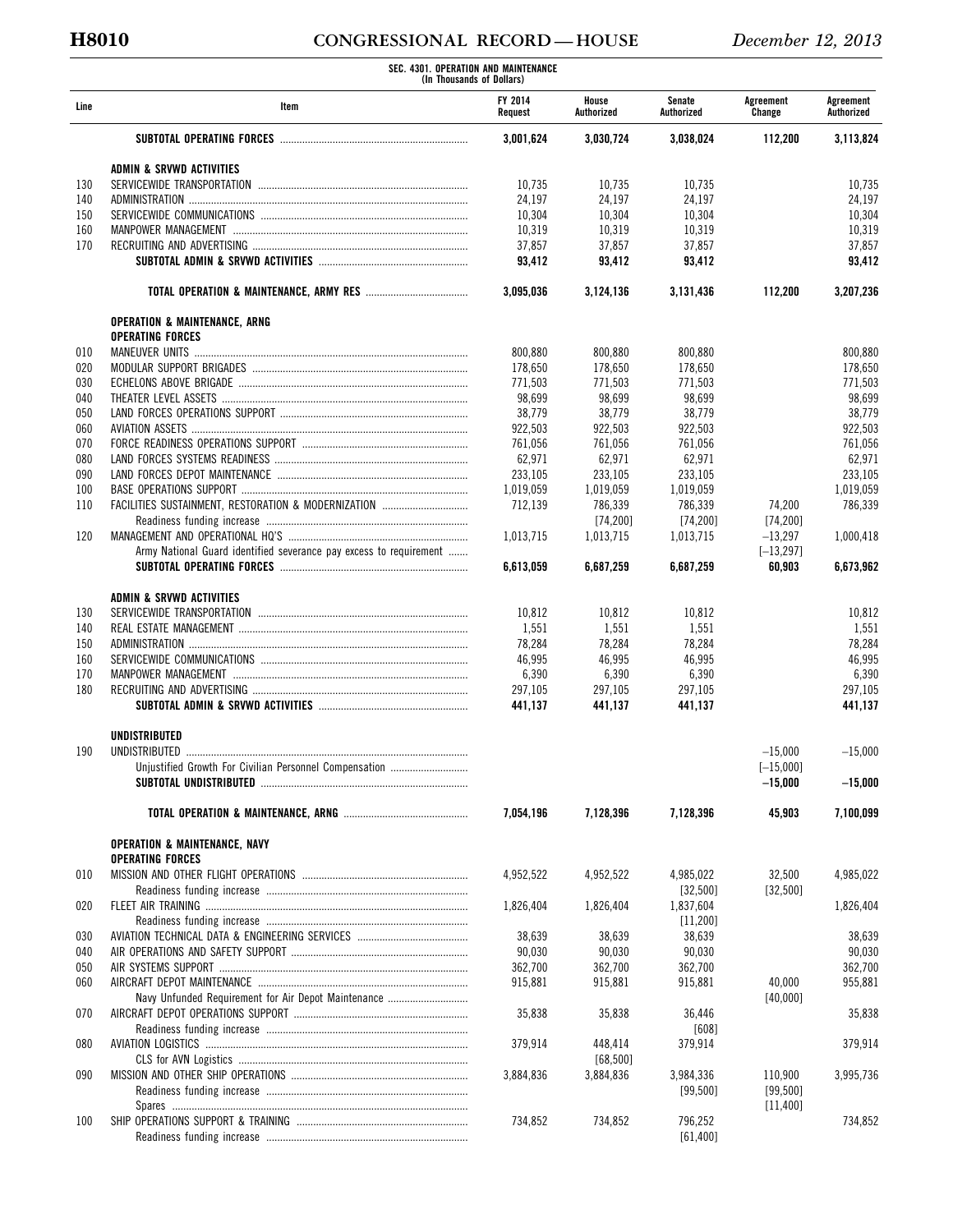# **H8010 CONGRESSIONAL RECORD — HOUSE** *December 12, 2013*

|            | SEC. 4301. OPERATION AND MAINTENANCE<br>(In Thousands of Dollars)   |                    |                     |                      |                     |                         |
|------------|---------------------------------------------------------------------|--------------------|---------------------|----------------------|---------------------|-------------------------|
| Line       | Item                                                                | FY 2014<br>Request | House<br>Authorized | Senate<br>Authorized | Agreement<br>Change | Agreement<br>Authorized |
|            |                                                                     | 3,001,624          | 3,030,724           | 3,038,024            | 112,200             | 3,113,824               |
|            | ADMIN & SRVWD ACTIVITIES                                            |                    |                     |                      |                     |                         |
| 130        |                                                                     | 10,735             | 10,735              | 10,735               |                     | 10,735                  |
| 140        |                                                                     | 24,197             | 24,197              | 24,197               |                     | 24,197                  |
| 150        |                                                                     | 10,304             | 10,304              | 10,304               |                     | 10,304                  |
| 160        |                                                                     | 10,319             | 10,319              | 10,319               |                     | 10,319                  |
| 170        |                                                                     | 37,857<br>93,412   | 37,857<br>93,412    | 37,857<br>93,412     |                     | 37,857<br>93,412        |
|            |                                                                     |                    |                     |                      |                     |                         |
|            |                                                                     | 3,095,036          | 3,124,136           | 3,131,436            | 112,200             | 3,207,236               |
|            | <b>OPERATION &amp; MAINTENANCE, ARNG</b><br><b>OPERATING FORCES</b> |                    |                     |                      |                     |                         |
| 010        |                                                                     | 800,880            | 800,880             | 800,880              |                     | 800,880                 |
| 020        |                                                                     | 178,650            | 178,650             | 178,650              |                     | 178,650                 |
| 030        |                                                                     | 771,503            | 771,503             | 771,503              |                     | 771,503                 |
| 040        |                                                                     | 98,699             | 98,699              | 98,699               |                     | 98,699                  |
| 050        |                                                                     | 38,779             | 38,779              | 38,779               |                     | 38,779                  |
| 060        |                                                                     | 922,503            | 922,503             | 922,503              |                     | 922,503                 |
| 070        |                                                                     | 761,056            | 761,056             | 761,056              |                     | 761,056                 |
| 080        |                                                                     | 62,971             | 62,971              | 62,971               |                     | 62,971                  |
| 090        |                                                                     | 233.105            | 233,105             | 233,105              |                     | 233,105                 |
| 100        |                                                                     | 1,019,059          | 1,019,059           | 1.019.059            |                     | 1,019,059               |
| 110        | FACILITIES SUSTAINMENT, RESTORATION & MODERNIZATION                 | 712,139            | 786,339             | 786,339              | 74,200              | 786,339                 |
|            |                                                                     |                    | [74, 200]           | [74, 200]            | [74, 200]           |                         |
| 120        |                                                                     | 1,013,715          | 1,013,715           | 1,013,715            | $-13,297$           | 1,000,418               |
|            | Army National Guard identified severance pay excess to requirement  |                    |                     |                      | $[-13, 297]$        |                         |
|            |                                                                     | 6,613,059          | 6,687,259           | 6,687,259            | 60,903              | 6,673,962               |
|            | ADMIN & SRVWD ACTIVITIES                                            |                    |                     |                      |                     |                         |
| 130        |                                                                     | 10,812             | 10,812              | 10,812               |                     | 10,812                  |
| 140        |                                                                     | 1,551              | 1,551               | 1,551                |                     | 1,551                   |
| 150        |                                                                     | 78,284             | 78,284              | 78,284               |                     | 78,284                  |
| 160        |                                                                     | 46,995             | 46,995              | 46,995               |                     | 46,995                  |
| 170        |                                                                     | 6,390              | 6,390               | 6,390                |                     | 6,390                   |
| 180        |                                                                     | 297,105<br>441,137 | 297,105<br>441,137  | 297,105<br>441,137   |                     | 297,105<br>441,137      |
|            |                                                                     |                    |                     |                      |                     |                         |
| 190        | UNDISTRIBUTED                                                       |                    |                     |                      | $-15,000$           | $-15,000$               |
|            | Unjustified Growth For Civilian Personnel Compensation              |                    |                     |                      | $[-15,000]$         |                         |
|            |                                                                     |                    |                     |                      | $-15,000$           | $-15,000$               |
|            |                                                                     | 7,054,196          | 7,128,396           | 7,128,396            | 45,903              | 7,100,099               |
|            | <b>OPERATION &amp; MAINTENANCE, NAVY</b>                            |                    |                     |                      |                     |                         |
|            | <b>OPERATING FORCES</b>                                             |                    |                     |                      |                     |                         |
| 010        |                                                                     | 4,952,522          | 4,952,522           | 4,985,022            | 32,500              | 4,985,022               |
|            |                                                                     |                    |                     | [32,500]             | [32,500]            |                         |
| 020        |                                                                     | 1,826,404          | 1,826,404           | 1,837,604            |                     | 1,826,404               |
|            |                                                                     |                    |                     | [11, 200]            |                     |                         |
| 030        |                                                                     | 38,639             | 38,639              | 38,639               |                     | 38,639                  |
| 040        |                                                                     | 90,030             | 90,030              | 90,030               |                     | 90,030                  |
| 050<br>060 |                                                                     | 362,700<br>915,881 | 362,700<br>915,881  | 362,700<br>915,881   | 40,000              | 362,700<br>955,881      |
|            | Navy Unfunded Requirement for Air Depot Maintenance                 |                    |                     |                      | [40,000]            |                         |
| 070        |                                                                     | 35,838             | 35,838              | 36,446               |                     | 35,838                  |
|            |                                                                     |                    |                     | $[608]$              |                     |                         |
| 080        |                                                                     | 379,914            | 448,414             | 379,914              |                     | 379,914                 |
|            |                                                                     |                    | [68, 500]           |                      |                     |                         |
| 090        |                                                                     | 3,884,836          | 3,884,836           | 3,984,336            | 110,900             | 3,995,736               |
|            |                                                                     |                    |                     | [99, 500]            | [99, 500]           |                         |
|            |                                                                     |                    |                     |                      | [11, 400]           |                         |
| 100        |                                                                     | 734,852            | 734,852             | 796,252              |                     | 734,852                 |
|            |                                                                     |                    |                     | [61, 400]            |                     |                         |
|            |                                                                     |                    |                     |                      |                     |                         |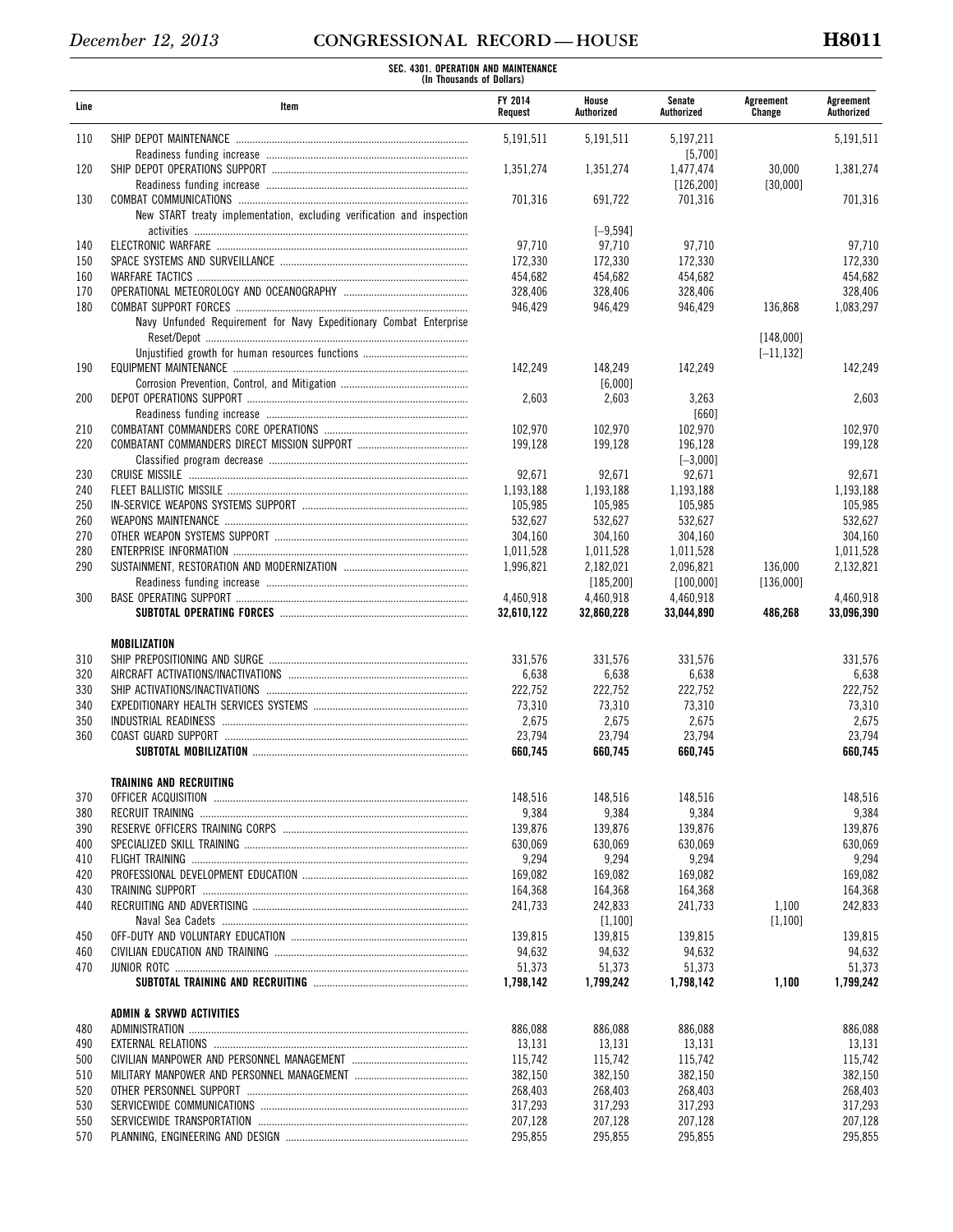| FY 2014<br>House<br>Senate<br>Agreement<br>Line<br>Item<br>Authorized<br>Authorized<br>Change<br>Request<br>110<br>5,197,211<br>5,191,511<br>5,191,511<br>[5,700]<br>120<br>1,351,274<br>1,351,274<br>1,477,474<br>[126, 200]<br>130<br>701,316<br>691,722<br>701,316<br>New START treaty implementation, excluding verification and inspection<br>$[-9, 594]$<br>97,710<br>97,710<br>97,710<br>140<br>150<br>172,330<br>172,330<br>172,330<br>454,682<br>454,682<br>454,682<br>160<br>170<br>328,406<br>328,406<br>328,406<br>180<br>946,429<br>946,429<br>946,429<br>136,868<br>Navy Unfunded Requirement for Navy Expeditionary Combat Enterprise<br>190<br>142,249<br>148,249<br>142,249<br>[6,000]<br>200<br>2,603<br>2,603<br>3,263<br>[660]<br>210<br>102,970<br>102,970<br>102,970<br>220<br>199,128<br>199,128<br>196,128<br>$[-3,000]$<br>92,671<br>92,671<br>230<br>92,671<br>240<br>1,193,188<br>1,193,188<br>1,193,188<br>250<br>105,985<br>105,985<br>105,985<br>260<br>532,627<br>532,627<br>532,627<br>270<br>304,160<br>304,160<br>304,160<br>280<br>1,011,528<br>1,011,528<br>1,011,528<br>290<br>1,996,821<br>136,000<br>2,182,021<br>2,096,821<br>[185, 200]<br>[136,000]<br>[100,000]<br>300<br>4,460,918<br>4,460,918<br>4,460,918<br>32,610,122<br>32,860,228<br>33,044,890<br>MOBILIZATION<br>331,576<br>310<br>331,576<br>331,576<br>320<br>6,638<br>6,638<br>6,638<br>330<br>222,752<br>222,752<br>222,752<br>340<br>73,310<br>73,310<br>73,310<br>350<br>2,675<br>2,675<br>2,675<br>360<br>23,794<br>23,794<br>23,794<br>660,745<br>660,745<br>660,745<br>TRAINING AND RECRUITING<br>148,516<br>370<br>148,516<br>148,516<br>9,384<br>9,384<br>9,384<br>380<br>139,876<br>139,876<br>139,876<br>390<br>630,069<br>630,069<br>400<br>630,069<br>9,294<br>9,294<br>9,294<br>410<br>169,082<br>420<br>169,082<br>169,082<br>164,368<br>164.368<br>430<br>164,368<br>241,733<br>241,733<br>440<br>242,833<br>[1,100]<br>139,815<br>139,815<br>450<br>139,815<br>460<br>94,632<br>94,632<br>94,632<br>51,373<br>51,373<br>51,373<br>470<br>1,798,142<br>1,799,242<br>1,798,142<br><b>ADMIN &amp; SRVWD ACTIVITIES</b> |              |                         |
|---------------------------------------------------------------------------------------------------------------------------------------------------------------------------------------------------------------------------------------------------------------------------------------------------------------------------------------------------------------------------------------------------------------------------------------------------------------------------------------------------------------------------------------------------------------------------------------------------------------------------------------------------------------------------------------------------------------------------------------------------------------------------------------------------------------------------------------------------------------------------------------------------------------------------------------------------------------------------------------------------------------------------------------------------------------------------------------------------------------------------------------------------------------------------------------------------------------------------------------------------------------------------------------------------------------------------------------------------------------------------------------------------------------------------------------------------------------------------------------------------------------------------------------------------------------------------------------------------------------------------------------------------------------------------------------------------------------------------------------------------------------------------------------------------------------------------------------------------------------------------------------------------------------------------------------------------------------------------------------------------------------------------------------------------------------------------------------------------------------------------------------------|--------------|-------------------------|
|                                                                                                                                                                                                                                                                                                                                                                                                                                                                                                                                                                                                                                                                                                                                                                                                                                                                                                                                                                                                                                                                                                                                                                                                                                                                                                                                                                                                                                                                                                                                                                                                                                                                                                                                                                                                                                                                                                                                                                                                                                                                                                                                             |              | Agreement<br>Authorized |
|                                                                                                                                                                                                                                                                                                                                                                                                                                                                                                                                                                                                                                                                                                                                                                                                                                                                                                                                                                                                                                                                                                                                                                                                                                                                                                                                                                                                                                                                                                                                                                                                                                                                                                                                                                                                                                                                                                                                                                                                                                                                                                                                             |              | 5,191,511               |
|                                                                                                                                                                                                                                                                                                                                                                                                                                                                                                                                                                                                                                                                                                                                                                                                                                                                                                                                                                                                                                                                                                                                                                                                                                                                                                                                                                                                                                                                                                                                                                                                                                                                                                                                                                                                                                                                                                                                                                                                                                                                                                                                             |              |                         |
|                                                                                                                                                                                                                                                                                                                                                                                                                                                                                                                                                                                                                                                                                                                                                                                                                                                                                                                                                                                                                                                                                                                                                                                                                                                                                                                                                                                                                                                                                                                                                                                                                                                                                                                                                                                                                                                                                                                                                                                                                                                                                                                                             | 30,000       | 1,381,274               |
|                                                                                                                                                                                                                                                                                                                                                                                                                                                                                                                                                                                                                                                                                                                                                                                                                                                                                                                                                                                                                                                                                                                                                                                                                                                                                                                                                                                                                                                                                                                                                                                                                                                                                                                                                                                                                                                                                                                                                                                                                                                                                                                                             | [30,000]     |                         |
|                                                                                                                                                                                                                                                                                                                                                                                                                                                                                                                                                                                                                                                                                                                                                                                                                                                                                                                                                                                                                                                                                                                                                                                                                                                                                                                                                                                                                                                                                                                                                                                                                                                                                                                                                                                                                                                                                                                                                                                                                                                                                                                                             |              | 701,316                 |
|                                                                                                                                                                                                                                                                                                                                                                                                                                                                                                                                                                                                                                                                                                                                                                                                                                                                                                                                                                                                                                                                                                                                                                                                                                                                                                                                                                                                                                                                                                                                                                                                                                                                                                                                                                                                                                                                                                                                                                                                                                                                                                                                             |              |                         |
|                                                                                                                                                                                                                                                                                                                                                                                                                                                                                                                                                                                                                                                                                                                                                                                                                                                                                                                                                                                                                                                                                                                                                                                                                                                                                                                                                                                                                                                                                                                                                                                                                                                                                                                                                                                                                                                                                                                                                                                                                                                                                                                                             |              |                         |
|                                                                                                                                                                                                                                                                                                                                                                                                                                                                                                                                                                                                                                                                                                                                                                                                                                                                                                                                                                                                                                                                                                                                                                                                                                                                                                                                                                                                                                                                                                                                                                                                                                                                                                                                                                                                                                                                                                                                                                                                                                                                                                                                             |              | 97,710                  |
|                                                                                                                                                                                                                                                                                                                                                                                                                                                                                                                                                                                                                                                                                                                                                                                                                                                                                                                                                                                                                                                                                                                                                                                                                                                                                                                                                                                                                                                                                                                                                                                                                                                                                                                                                                                                                                                                                                                                                                                                                                                                                                                                             |              | 172,330                 |
|                                                                                                                                                                                                                                                                                                                                                                                                                                                                                                                                                                                                                                                                                                                                                                                                                                                                                                                                                                                                                                                                                                                                                                                                                                                                                                                                                                                                                                                                                                                                                                                                                                                                                                                                                                                                                                                                                                                                                                                                                                                                                                                                             |              | 454,682                 |
|                                                                                                                                                                                                                                                                                                                                                                                                                                                                                                                                                                                                                                                                                                                                                                                                                                                                                                                                                                                                                                                                                                                                                                                                                                                                                                                                                                                                                                                                                                                                                                                                                                                                                                                                                                                                                                                                                                                                                                                                                                                                                                                                             |              | 328,406<br>1,083,297    |
|                                                                                                                                                                                                                                                                                                                                                                                                                                                                                                                                                                                                                                                                                                                                                                                                                                                                                                                                                                                                                                                                                                                                                                                                                                                                                                                                                                                                                                                                                                                                                                                                                                                                                                                                                                                                                                                                                                                                                                                                                                                                                                                                             |              |                         |
|                                                                                                                                                                                                                                                                                                                                                                                                                                                                                                                                                                                                                                                                                                                                                                                                                                                                                                                                                                                                                                                                                                                                                                                                                                                                                                                                                                                                                                                                                                                                                                                                                                                                                                                                                                                                                                                                                                                                                                                                                                                                                                                                             | [148,000]    |                         |
|                                                                                                                                                                                                                                                                                                                                                                                                                                                                                                                                                                                                                                                                                                                                                                                                                                                                                                                                                                                                                                                                                                                                                                                                                                                                                                                                                                                                                                                                                                                                                                                                                                                                                                                                                                                                                                                                                                                                                                                                                                                                                                                                             | $[-11, 132]$ |                         |
|                                                                                                                                                                                                                                                                                                                                                                                                                                                                                                                                                                                                                                                                                                                                                                                                                                                                                                                                                                                                                                                                                                                                                                                                                                                                                                                                                                                                                                                                                                                                                                                                                                                                                                                                                                                                                                                                                                                                                                                                                                                                                                                                             |              | 142,249                 |
|                                                                                                                                                                                                                                                                                                                                                                                                                                                                                                                                                                                                                                                                                                                                                                                                                                                                                                                                                                                                                                                                                                                                                                                                                                                                                                                                                                                                                                                                                                                                                                                                                                                                                                                                                                                                                                                                                                                                                                                                                                                                                                                                             |              |                         |
|                                                                                                                                                                                                                                                                                                                                                                                                                                                                                                                                                                                                                                                                                                                                                                                                                                                                                                                                                                                                                                                                                                                                                                                                                                                                                                                                                                                                                                                                                                                                                                                                                                                                                                                                                                                                                                                                                                                                                                                                                                                                                                                                             |              | 2,603                   |
|                                                                                                                                                                                                                                                                                                                                                                                                                                                                                                                                                                                                                                                                                                                                                                                                                                                                                                                                                                                                                                                                                                                                                                                                                                                                                                                                                                                                                                                                                                                                                                                                                                                                                                                                                                                                                                                                                                                                                                                                                                                                                                                                             |              |                         |
|                                                                                                                                                                                                                                                                                                                                                                                                                                                                                                                                                                                                                                                                                                                                                                                                                                                                                                                                                                                                                                                                                                                                                                                                                                                                                                                                                                                                                                                                                                                                                                                                                                                                                                                                                                                                                                                                                                                                                                                                                                                                                                                                             |              | 102,970                 |
|                                                                                                                                                                                                                                                                                                                                                                                                                                                                                                                                                                                                                                                                                                                                                                                                                                                                                                                                                                                                                                                                                                                                                                                                                                                                                                                                                                                                                                                                                                                                                                                                                                                                                                                                                                                                                                                                                                                                                                                                                                                                                                                                             |              | 199,128                 |
|                                                                                                                                                                                                                                                                                                                                                                                                                                                                                                                                                                                                                                                                                                                                                                                                                                                                                                                                                                                                                                                                                                                                                                                                                                                                                                                                                                                                                                                                                                                                                                                                                                                                                                                                                                                                                                                                                                                                                                                                                                                                                                                                             |              |                         |
|                                                                                                                                                                                                                                                                                                                                                                                                                                                                                                                                                                                                                                                                                                                                                                                                                                                                                                                                                                                                                                                                                                                                                                                                                                                                                                                                                                                                                                                                                                                                                                                                                                                                                                                                                                                                                                                                                                                                                                                                                                                                                                                                             |              | 92,671                  |
|                                                                                                                                                                                                                                                                                                                                                                                                                                                                                                                                                                                                                                                                                                                                                                                                                                                                                                                                                                                                                                                                                                                                                                                                                                                                                                                                                                                                                                                                                                                                                                                                                                                                                                                                                                                                                                                                                                                                                                                                                                                                                                                                             |              | 1,193,188               |
|                                                                                                                                                                                                                                                                                                                                                                                                                                                                                                                                                                                                                                                                                                                                                                                                                                                                                                                                                                                                                                                                                                                                                                                                                                                                                                                                                                                                                                                                                                                                                                                                                                                                                                                                                                                                                                                                                                                                                                                                                                                                                                                                             |              | 105,985<br>532,627      |
|                                                                                                                                                                                                                                                                                                                                                                                                                                                                                                                                                                                                                                                                                                                                                                                                                                                                                                                                                                                                                                                                                                                                                                                                                                                                                                                                                                                                                                                                                                                                                                                                                                                                                                                                                                                                                                                                                                                                                                                                                                                                                                                                             |              | 304,160                 |
|                                                                                                                                                                                                                                                                                                                                                                                                                                                                                                                                                                                                                                                                                                                                                                                                                                                                                                                                                                                                                                                                                                                                                                                                                                                                                                                                                                                                                                                                                                                                                                                                                                                                                                                                                                                                                                                                                                                                                                                                                                                                                                                                             |              | 1,011,528               |
|                                                                                                                                                                                                                                                                                                                                                                                                                                                                                                                                                                                                                                                                                                                                                                                                                                                                                                                                                                                                                                                                                                                                                                                                                                                                                                                                                                                                                                                                                                                                                                                                                                                                                                                                                                                                                                                                                                                                                                                                                                                                                                                                             |              | 2,132,821               |
|                                                                                                                                                                                                                                                                                                                                                                                                                                                                                                                                                                                                                                                                                                                                                                                                                                                                                                                                                                                                                                                                                                                                                                                                                                                                                                                                                                                                                                                                                                                                                                                                                                                                                                                                                                                                                                                                                                                                                                                                                                                                                                                                             |              |                         |
|                                                                                                                                                                                                                                                                                                                                                                                                                                                                                                                                                                                                                                                                                                                                                                                                                                                                                                                                                                                                                                                                                                                                                                                                                                                                                                                                                                                                                                                                                                                                                                                                                                                                                                                                                                                                                                                                                                                                                                                                                                                                                                                                             |              | 4,460,918               |
|                                                                                                                                                                                                                                                                                                                                                                                                                                                                                                                                                                                                                                                                                                                                                                                                                                                                                                                                                                                                                                                                                                                                                                                                                                                                                                                                                                                                                                                                                                                                                                                                                                                                                                                                                                                                                                                                                                                                                                                                                                                                                                                                             | 486,268      | 33,096,390              |
|                                                                                                                                                                                                                                                                                                                                                                                                                                                                                                                                                                                                                                                                                                                                                                                                                                                                                                                                                                                                                                                                                                                                                                                                                                                                                                                                                                                                                                                                                                                                                                                                                                                                                                                                                                                                                                                                                                                                                                                                                                                                                                                                             |              |                         |
|                                                                                                                                                                                                                                                                                                                                                                                                                                                                                                                                                                                                                                                                                                                                                                                                                                                                                                                                                                                                                                                                                                                                                                                                                                                                                                                                                                                                                                                                                                                                                                                                                                                                                                                                                                                                                                                                                                                                                                                                                                                                                                                                             |              | 331,576                 |
|                                                                                                                                                                                                                                                                                                                                                                                                                                                                                                                                                                                                                                                                                                                                                                                                                                                                                                                                                                                                                                                                                                                                                                                                                                                                                                                                                                                                                                                                                                                                                                                                                                                                                                                                                                                                                                                                                                                                                                                                                                                                                                                                             |              | 6,638                   |
|                                                                                                                                                                                                                                                                                                                                                                                                                                                                                                                                                                                                                                                                                                                                                                                                                                                                                                                                                                                                                                                                                                                                                                                                                                                                                                                                                                                                                                                                                                                                                                                                                                                                                                                                                                                                                                                                                                                                                                                                                                                                                                                                             |              | 222,752                 |
|                                                                                                                                                                                                                                                                                                                                                                                                                                                                                                                                                                                                                                                                                                                                                                                                                                                                                                                                                                                                                                                                                                                                                                                                                                                                                                                                                                                                                                                                                                                                                                                                                                                                                                                                                                                                                                                                                                                                                                                                                                                                                                                                             |              | 73,310                  |
|                                                                                                                                                                                                                                                                                                                                                                                                                                                                                                                                                                                                                                                                                                                                                                                                                                                                                                                                                                                                                                                                                                                                                                                                                                                                                                                                                                                                                                                                                                                                                                                                                                                                                                                                                                                                                                                                                                                                                                                                                                                                                                                                             |              | 2,675                   |
|                                                                                                                                                                                                                                                                                                                                                                                                                                                                                                                                                                                                                                                                                                                                                                                                                                                                                                                                                                                                                                                                                                                                                                                                                                                                                                                                                                                                                                                                                                                                                                                                                                                                                                                                                                                                                                                                                                                                                                                                                                                                                                                                             |              | 23,794                  |
|                                                                                                                                                                                                                                                                                                                                                                                                                                                                                                                                                                                                                                                                                                                                                                                                                                                                                                                                                                                                                                                                                                                                                                                                                                                                                                                                                                                                                                                                                                                                                                                                                                                                                                                                                                                                                                                                                                                                                                                                                                                                                                                                             |              | 660,745                 |
|                                                                                                                                                                                                                                                                                                                                                                                                                                                                                                                                                                                                                                                                                                                                                                                                                                                                                                                                                                                                                                                                                                                                                                                                                                                                                                                                                                                                                                                                                                                                                                                                                                                                                                                                                                                                                                                                                                                                                                                                                                                                                                                                             |              |                         |
|                                                                                                                                                                                                                                                                                                                                                                                                                                                                                                                                                                                                                                                                                                                                                                                                                                                                                                                                                                                                                                                                                                                                                                                                                                                                                                                                                                                                                                                                                                                                                                                                                                                                                                                                                                                                                                                                                                                                                                                                                                                                                                                                             |              | 148,516                 |
|                                                                                                                                                                                                                                                                                                                                                                                                                                                                                                                                                                                                                                                                                                                                                                                                                                                                                                                                                                                                                                                                                                                                                                                                                                                                                                                                                                                                                                                                                                                                                                                                                                                                                                                                                                                                                                                                                                                                                                                                                                                                                                                                             |              | 9,384                   |
|                                                                                                                                                                                                                                                                                                                                                                                                                                                                                                                                                                                                                                                                                                                                                                                                                                                                                                                                                                                                                                                                                                                                                                                                                                                                                                                                                                                                                                                                                                                                                                                                                                                                                                                                                                                                                                                                                                                                                                                                                                                                                                                                             |              | 139,876                 |
|                                                                                                                                                                                                                                                                                                                                                                                                                                                                                                                                                                                                                                                                                                                                                                                                                                                                                                                                                                                                                                                                                                                                                                                                                                                                                                                                                                                                                                                                                                                                                                                                                                                                                                                                                                                                                                                                                                                                                                                                                                                                                                                                             |              | 630,069                 |
|                                                                                                                                                                                                                                                                                                                                                                                                                                                                                                                                                                                                                                                                                                                                                                                                                                                                                                                                                                                                                                                                                                                                                                                                                                                                                                                                                                                                                                                                                                                                                                                                                                                                                                                                                                                                                                                                                                                                                                                                                                                                                                                                             |              | 9,294                   |
|                                                                                                                                                                                                                                                                                                                                                                                                                                                                                                                                                                                                                                                                                                                                                                                                                                                                                                                                                                                                                                                                                                                                                                                                                                                                                                                                                                                                                                                                                                                                                                                                                                                                                                                                                                                                                                                                                                                                                                                                                                                                                                                                             |              | 169,082                 |
|                                                                                                                                                                                                                                                                                                                                                                                                                                                                                                                                                                                                                                                                                                                                                                                                                                                                                                                                                                                                                                                                                                                                                                                                                                                                                                                                                                                                                                                                                                                                                                                                                                                                                                                                                                                                                                                                                                                                                                                                                                                                                                                                             |              | 164.368                 |
|                                                                                                                                                                                                                                                                                                                                                                                                                                                                                                                                                                                                                                                                                                                                                                                                                                                                                                                                                                                                                                                                                                                                                                                                                                                                                                                                                                                                                                                                                                                                                                                                                                                                                                                                                                                                                                                                                                                                                                                                                                                                                                                                             | 1,100        | 242,833                 |
|                                                                                                                                                                                                                                                                                                                                                                                                                                                                                                                                                                                                                                                                                                                                                                                                                                                                                                                                                                                                                                                                                                                                                                                                                                                                                                                                                                                                                                                                                                                                                                                                                                                                                                                                                                                                                                                                                                                                                                                                                                                                                                                                             | [1,100]      |                         |
|                                                                                                                                                                                                                                                                                                                                                                                                                                                                                                                                                                                                                                                                                                                                                                                                                                                                                                                                                                                                                                                                                                                                                                                                                                                                                                                                                                                                                                                                                                                                                                                                                                                                                                                                                                                                                                                                                                                                                                                                                                                                                                                                             |              | 139,815                 |
|                                                                                                                                                                                                                                                                                                                                                                                                                                                                                                                                                                                                                                                                                                                                                                                                                                                                                                                                                                                                                                                                                                                                                                                                                                                                                                                                                                                                                                                                                                                                                                                                                                                                                                                                                                                                                                                                                                                                                                                                                                                                                                                                             |              | 94,632                  |
|                                                                                                                                                                                                                                                                                                                                                                                                                                                                                                                                                                                                                                                                                                                                                                                                                                                                                                                                                                                                                                                                                                                                                                                                                                                                                                                                                                                                                                                                                                                                                                                                                                                                                                                                                                                                                                                                                                                                                                                                                                                                                                                                             |              | 51,373                  |
|                                                                                                                                                                                                                                                                                                                                                                                                                                                                                                                                                                                                                                                                                                                                                                                                                                                                                                                                                                                                                                                                                                                                                                                                                                                                                                                                                                                                                                                                                                                                                                                                                                                                                                                                                                                                                                                                                                                                                                                                                                                                                                                                             | 1,100        | 1,799,242               |
|                                                                                                                                                                                                                                                                                                                                                                                                                                                                                                                                                                                                                                                                                                                                                                                                                                                                                                                                                                                                                                                                                                                                                                                                                                                                                                                                                                                                                                                                                                                                                                                                                                                                                                                                                                                                                                                                                                                                                                                                                                                                                                                                             |              |                         |
| 886,088<br>886,088<br>480<br>886,088                                                                                                                                                                                                                                                                                                                                                                                                                                                                                                                                                                                                                                                                                                                                                                                                                                                                                                                                                                                                                                                                                                                                                                                                                                                                                                                                                                                                                                                                                                                                                                                                                                                                                                                                                                                                                                                                                                                                                                                                                                                                                                        |              | 886,088                 |
| 13,131<br>490<br>13,131<br>13,131                                                                                                                                                                                                                                                                                                                                                                                                                                                                                                                                                                                                                                                                                                                                                                                                                                                                                                                                                                                                                                                                                                                                                                                                                                                                                                                                                                                                                                                                                                                                                                                                                                                                                                                                                                                                                                                                                                                                                                                                                                                                                                           |              | 13,131                  |
| 115,742<br>115,742<br>115,742<br>500                                                                                                                                                                                                                                                                                                                                                                                                                                                                                                                                                                                                                                                                                                                                                                                                                                                                                                                                                                                                                                                                                                                                                                                                                                                                                                                                                                                                                                                                                                                                                                                                                                                                                                                                                                                                                                                                                                                                                                                                                                                                                                        |              | 115,742                 |
| 382,150<br>382,150<br>382,150<br>510                                                                                                                                                                                                                                                                                                                                                                                                                                                                                                                                                                                                                                                                                                                                                                                                                                                                                                                                                                                                                                                                                                                                                                                                                                                                                                                                                                                                                                                                                                                                                                                                                                                                                                                                                                                                                                                                                                                                                                                                                                                                                                        |              | 382,150                 |
| 520<br>268,403<br>268,403<br>268,403                                                                                                                                                                                                                                                                                                                                                                                                                                                                                                                                                                                                                                                                                                                                                                                                                                                                                                                                                                                                                                                                                                                                                                                                                                                                                                                                                                                                                                                                                                                                                                                                                                                                                                                                                                                                                                                                                                                                                                                                                                                                                                        |              | 268,403                 |
| 317,293<br>317,293<br>530<br>317,293                                                                                                                                                                                                                                                                                                                                                                                                                                                                                                                                                                                                                                                                                                                                                                                                                                                                                                                                                                                                                                                                                                                                                                                                                                                                                                                                                                                                                                                                                                                                                                                                                                                                                                                                                                                                                                                                                                                                                                                                                                                                                                        |              | 317,293                 |
| 550<br>207,128<br>207,128<br>207,128                                                                                                                                                                                                                                                                                                                                                                                                                                                                                                                                                                                                                                                                                                                                                                                                                                                                                                                                                                                                                                                                                                                                                                                                                                                                                                                                                                                                                                                                                                                                                                                                                                                                                                                                                                                                                                                                                                                                                                                                                                                                                                        |              | 207,128                 |
| 295,855<br>295,855<br>295,855<br>570                                                                                                                                                                                                                                                                                                                                                                                                                                                                                                                                                                                                                                                                                                                                                                                                                                                                                                                                                                                                                                                                                                                                                                                                                                                                                                                                                                                                                                                                                                                                                                                                                                                                                                                                                                                                                                                                                                                                                                                                                                                                                                        |              | 295,855                 |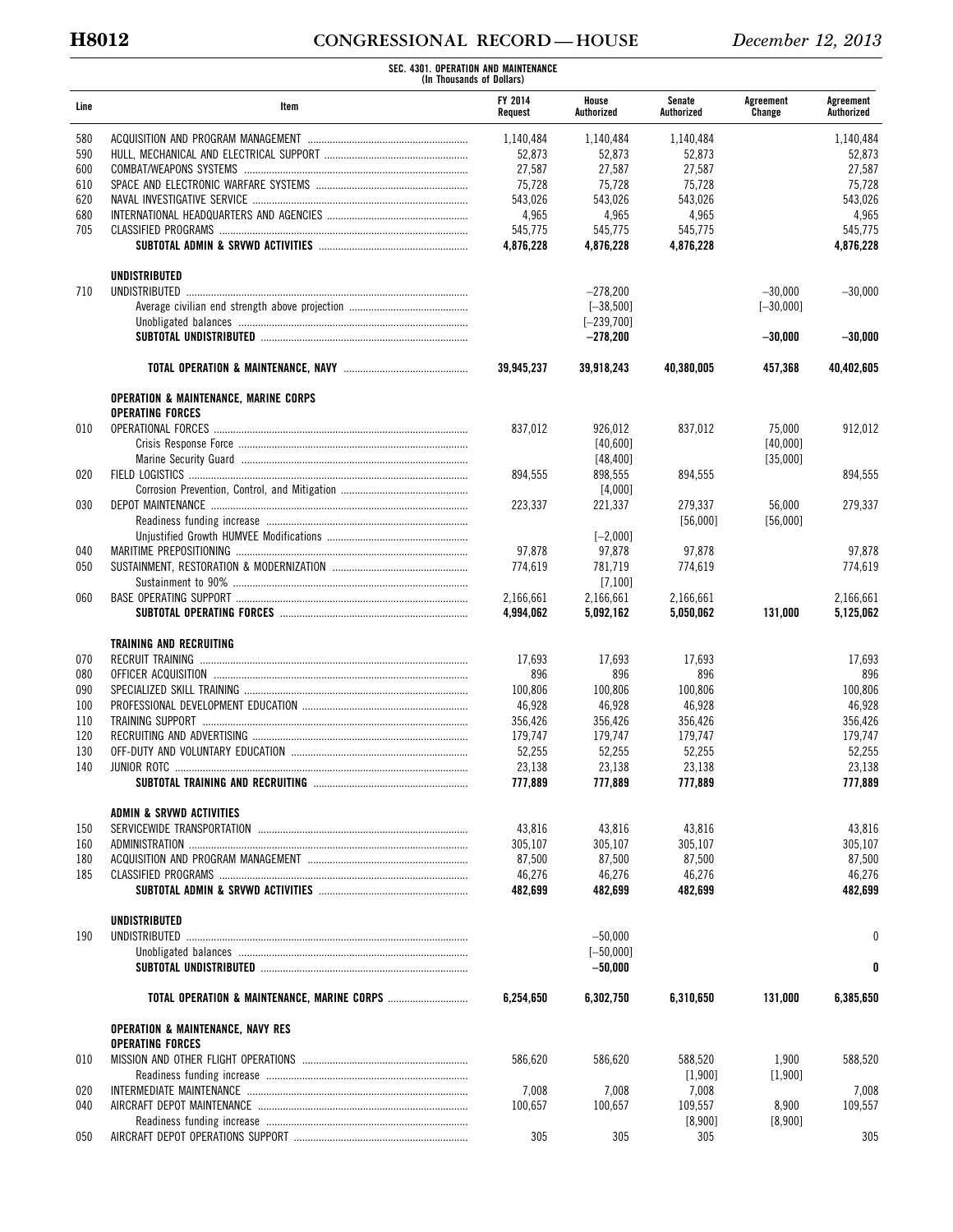# **H8012 CONGRESSIONAL RECORD — HOUSE** *December 12, 2013*

|      | SEC. 4301. OPERATION AND MAINTENANCE<br>(In Thousands of Dollars)           |                           |                     |                      |                     |                         |
|------|-----------------------------------------------------------------------------|---------------------------|---------------------|----------------------|---------------------|-------------------------|
| Line | Item                                                                        | <b>FY 2014</b><br>Request | House<br>Authorized | Senate<br>Authorized | Agreement<br>Change | Agreement<br>Authorized |
| 580  |                                                                             | 1,140,484                 | 1,140,484           | 1,140,484            |                     | 1,140,484               |
| 590  |                                                                             | 52,873                    | 52,873              | 52.873               |                     | 52,873                  |
| 600  |                                                                             | 27,587                    | 27,587              | 27,587               |                     | 27,587                  |
| 610  |                                                                             | 75,728                    | 75,728              | 75,728               |                     | 75,728                  |
| 620  |                                                                             | 543,026                   | 543,026             | 543,026              |                     | 543,026                 |
| 680  |                                                                             | 4,965                     | 4,965               | 4,965                |                     | 4,965                   |
| 705  |                                                                             | 545,775                   | 545,775             | 545,775              |                     | 545,775                 |
|      |                                                                             | 4,876,228                 | 4,876,228           | 4,876,228            |                     | 4,876,228               |
| 710  | <b>UNDISTRIBUTED</b><br>UNDISTRIBUTED                                       |                           | $-278,200$          |                      | $-30,000$           | $-30,000$               |
|      |                                                                             |                           | $[-38, 500]$        |                      | $[-30,000]$         |                         |
|      |                                                                             |                           | $[-239,700]$        |                      |                     |                         |
|      |                                                                             |                           | $-278,200$          |                      | $-30,000$           | $-30,000$               |
|      |                                                                             | 39,945,237                | 39.918.243          | 40,380,005           | 457,368             | 40,402,605              |
|      | <b>OPERATION &amp; MAINTENANCE, MARINE CORPS</b><br><b>OPERATING FORCES</b> |                           |                     |                      |                     |                         |
| 010  |                                                                             | 837.012                   | 926,012             | 837,012              | 75,000              | 912,012                 |
|      |                                                                             |                           | [40,600]            |                      | [40,000]            |                         |
|      |                                                                             |                           | [48, 400]           |                      | [35,000]            |                         |
| 020  |                                                                             | 894,555                   | 898,555             | 894,555              |                     | 894,555                 |
|      |                                                                             |                           | [4,000]             |                      |                     |                         |
| 030  |                                                                             | 223,337                   | 221,337             | 279,337              | 56,000              | 279,337                 |
|      |                                                                             |                           |                     | [56,000]             | [56,000]            |                         |
|      |                                                                             |                           | $[-2,000]$          |                      |                     |                         |
| 040  |                                                                             | 97,878                    | 97,878              | 97,878               |                     | 97,878                  |
| 050  |                                                                             | 774,619                   | 781,719             | 774,619              |                     | 774,619                 |
|      |                                                                             |                           | [7,100]             |                      |                     |                         |
| 060  |                                                                             | 2,166,661                 | 2,166,661           | 2,166,661            |                     | 2,166,661               |
|      |                                                                             | 4,994,062                 | 5,092,162           | 5,050,062            | 131,000             | 5,125,062               |
|      | <b>TRAINING AND RECRUITING</b>                                              |                           |                     |                      |                     |                         |
| 070  |                                                                             | 17,693                    | 17,693              | 17,693               |                     | 17,693                  |
| 080  |                                                                             | 896                       | 896                 | 896                  |                     | 896                     |
| 090  |                                                                             | 100,806                   | 100,806             | 100,806              |                     | 100,806                 |
| 100  |                                                                             | 46,928                    | 46,928              | 46,928               |                     | 46,928                  |
| 110  |                                                                             | 356,426                   | 356,426             | 356,426              |                     | 356,426                 |
| 120  |                                                                             | 179,747                   | 179,747             | 179,747              |                     | 179,747                 |
| 130  |                                                                             | 52,255                    | 52,255              | 52,255               |                     | 52,255                  |
| 140  |                                                                             | 23,138                    | 23,138              | 23,138               |                     | 23,138                  |
|      |                                                                             | 777,889                   | 777,889             | 777.889              |                     | 777,889                 |
|      |                                                                             |                           |                     |                      |                     |                         |
|      | ADMIN & SRVWD ACTIVITIES                                                    |                           |                     |                      |                     |                         |
| 150  |                                                                             | 43,816                    | 43,816              | 43,816               |                     | 43,816                  |
| 160  |                                                                             | 305,107                   | 305,107             | 305,107              |                     | 305,107                 |
| 180  |                                                                             | 87,500                    | 87,500              | 87,500               |                     | 87,500                  |
| 185  |                                                                             | 46,276                    | 46,276              | 46,276               |                     | 46,276                  |
|      |                                                                             | 482,699                   | 482,699             | 482,699              |                     | 482,699                 |
|      | UNDISTRIBUTED                                                               |                           |                     |                      |                     |                         |
| 190  | UNDISTRIBUTED                                                               |                           | $-50,000$           |                      |                     | 0                       |
|      |                                                                             |                           | $[-50,000]$         |                      |                     |                         |
|      |                                                                             |                           | $-50,000$           |                      |                     | 0                       |
|      |                                                                             | 6,254,650                 | 6,302,750           | 6,310,650            | 131,000             | 6,385,650               |
|      | <b>OPERATION &amp; MAINTENANCE, NAVY RES</b>                                |                           |                     |                      |                     |                         |
|      | <b>OPERATING FORCES</b>                                                     |                           |                     |                      |                     |                         |
| 010  |                                                                             | 586,620                   | 586,620             | 588,520              | 1,900               | 588,520                 |
|      |                                                                             |                           |                     | $[1,900]$            | [1,900]             |                         |
| 020  |                                                                             | 7,008                     | 7,008               | 7,008                |                     | 7,008                   |
| 040  |                                                                             | 100,657                   | 100,657             | 109,557              | 8,900               | 109,557                 |
|      |                                                                             |                           |                     | [8,900]              | [8,900]             |                         |
| 050  |                                                                             | 305                       | 305                 | 305                  |                     | 305                     |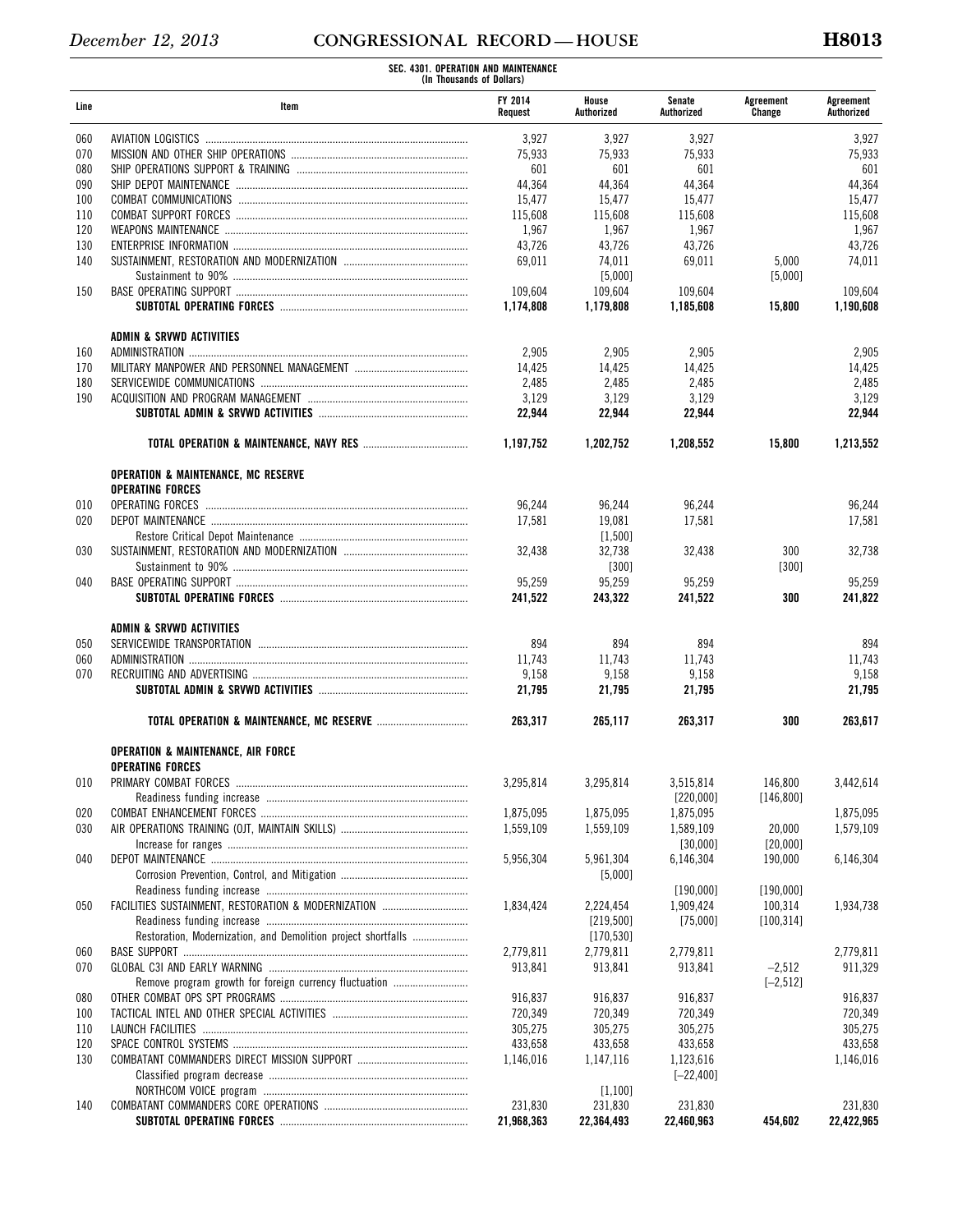|      | SEC. 4301. OPERATION AND MAINTENANCE<br>(In Thousands of Dollars) |                           |                     |                      |                     |                         |  |
|------|-------------------------------------------------------------------|---------------------------|---------------------|----------------------|---------------------|-------------------------|--|
| Line | Item                                                              | <b>FY 2014</b><br>Request | House<br>Authorized | Senate<br>Authorized | Agreement<br>Change | Agreement<br>Authorized |  |
| 060  |                                                                   | 3,927                     | 3,927               | 3,927                |                     | 3,927                   |  |
| 070  |                                                                   | 75,933                    | 75,933              | 75,933               |                     | 75,933                  |  |
| 080  |                                                                   | 601                       | 601                 | 601                  |                     | 601                     |  |
| 090  |                                                                   | 44,364                    | 44,364              | 44,364               |                     | 44,364                  |  |
| 100  |                                                                   | 15,477                    | 15,477              | 15,477               |                     | 15,477                  |  |
| 110  |                                                                   | 115,608                   | 115,608             | 115,608              |                     | 115,608                 |  |
| 120  |                                                                   | 1,967                     | 1,967               | 1,967                |                     | 1,967                   |  |
| 130  |                                                                   | 43,726                    | 43,726              | 43,726               |                     | 43,726                  |  |
| 140  |                                                                   | 69,011                    | 74,011              | 69,011               | 5,000               | 74,011                  |  |
|      |                                                                   |                           | [5,000]             |                      | [5,000]             |                         |  |
| 150  |                                                                   | 109,604                   | 109,604             | 109,604              |                     | 109,604                 |  |
|      |                                                                   | 1,174,808                 | 1,179,808           | 1,185,608            | 15,800              | 1,190,608               |  |
|      |                                                                   |                           |                     |                      |                     |                         |  |
|      | ADMIN & SRVWD ACTIVITIES                                          |                           |                     |                      |                     |                         |  |
| 160  |                                                                   | 2,905                     | 2,905               | 2,905                |                     | 2,905                   |  |
| 170  |                                                                   | 14,425                    | 14,425              | 14,425               |                     | 14,425                  |  |
| 180  |                                                                   | 2,485                     | 2,485               | 2,485                |                     | 2,485                   |  |
| 190  |                                                                   | 3,129                     | 3,129               | 3,129                |                     | 3,129                   |  |
|      |                                                                   | 22,944                    | 22,944              | 22,944               |                     | 22,944                  |  |
|      |                                                                   | 1,197,752                 | 1,202,752           | 1,208,552            | 15,800              | 1.213.552               |  |
|      | <b>OPERATION &amp; MAINTENANCE, MC RESERVE</b>                    |                           |                     |                      |                     |                         |  |
|      | <b>OPERATING FORCES</b>                                           |                           |                     |                      |                     |                         |  |
| 010  | OPERATING FORCES                                                  | 96,244                    | 96,244              | 96,244               |                     | 96,244                  |  |
| 020  |                                                                   | 17,581                    | 19,081              | 17,581               |                     | 17,581                  |  |
|      |                                                                   |                           | $[1,500]$           |                      |                     |                         |  |
| 030  |                                                                   | 32,438                    | 32,738              | 32,438               | 300                 | 32,738                  |  |
|      |                                                                   |                           | $[300]$             |                      | [300]               |                         |  |
| 040  |                                                                   | 95,259                    | 95,259              | 95,259               |                     | 95,259                  |  |
|      |                                                                   | 241,522                   | 243,322             | 241,522              | 300                 | 241,822                 |  |
|      |                                                                   |                           |                     |                      |                     |                         |  |
|      | ADMIN & SRVWD ACTIVITIES                                          |                           |                     |                      |                     |                         |  |
| 050  |                                                                   | 894                       | 894                 | 894                  |                     | 894                     |  |
| 060  |                                                                   | 11,743                    | 11,743              | 11,743               |                     | 11,743                  |  |
| 070  |                                                                   | 9,158                     | 9,158               | 9,158                |                     | 9,158                   |  |
|      |                                                                   | 21,795                    | 21,795              | 21,795               |                     | 21,795                  |  |
|      | <b>TOTAL OPERATION &amp; MAINTENANCE, MC RESERVE </b>             | 263,317                   | 265,117             | 263,317              | 300                 | 263,617                 |  |
|      | <b>OPERATION &amp; MAINTENANCE, AIR FORCE</b>                     |                           |                     |                      |                     |                         |  |
|      | <b>OPERATING FORCES</b>                                           |                           |                     |                      |                     |                         |  |
| 010  |                                                                   | 3,295,814                 | 3,295,814           | 3,515,814            | 146,800             | 3,442,614               |  |
|      |                                                                   |                           |                     | [220,000]            | [146, 800]          |                         |  |
| 020  |                                                                   | 1,875,095                 | 1,875,095           | 1,875,095            |                     | 1,875,095               |  |
| 030  |                                                                   | 1,559,109                 | 1,559,109           | 1,589,109            | 20,000              | 1,579,109               |  |
|      |                                                                   |                           |                     | [30,000]             | [20.000]            |                         |  |
| 040  |                                                                   | 5,956,304                 | 5,961,304           | 6,146,304            | 190,000             | 6,146,304               |  |
|      |                                                                   |                           | [5,000]             |                      |                     |                         |  |
|      |                                                                   |                           |                     | [190.000]            | [190,000]           |                         |  |
| 050  |                                                                   | 1,834,424                 | 2,224,454           | 1,909,424            | 100,314             | 1,934,738               |  |
|      |                                                                   |                           | [219, 500]          | [75,000]             | [100, 314]          |                         |  |
|      | Restoration, Modernization, and Demolition project shortfalls     |                           | [170, 530]          |                      |                     |                         |  |
| 060  |                                                                   | 2,779,811                 | 2,779,811           | 2,779,811            |                     | 2,779,811               |  |
| 070  |                                                                   | 913,841                   | 913,841             | 913,841              | $-2,512$            | 911,329                 |  |
|      | Remove program growth for foreign currency fluctuation            |                           |                     |                      | $[-2, 512]$         |                         |  |
| 080  |                                                                   | 916,837                   | 916,837             | 916,837              |                     | 916,837                 |  |
| 100  |                                                                   | 720,349                   | 720,349             | 720,349              |                     | 720,349                 |  |
| 110  |                                                                   | 305,275                   | 305,275             | 305,275              |                     | 305,275                 |  |
|      |                                                                   |                           |                     |                      |                     |                         |  |
| 120  |                                                                   | 433,658                   | 433,658             | 433,658              |                     | 433,658                 |  |
| 130  |                                                                   | 1,146,016                 | 1,147,116           | 1,123,616            |                     | 1,146,016               |  |
|      |                                                                   |                           |                     | $[-22, 400]$         |                     |                         |  |
|      |                                                                   |                           | [1,100]             |                      |                     |                         |  |
| 140  |                                                                   | 231,830                   | 231,830             | 231,830              |                     | 231,830                 |  |
|      |                                                                   | 21,968,363                | 22,364,493          | 22,460,963           | 454,602             | 22,422,965              |  |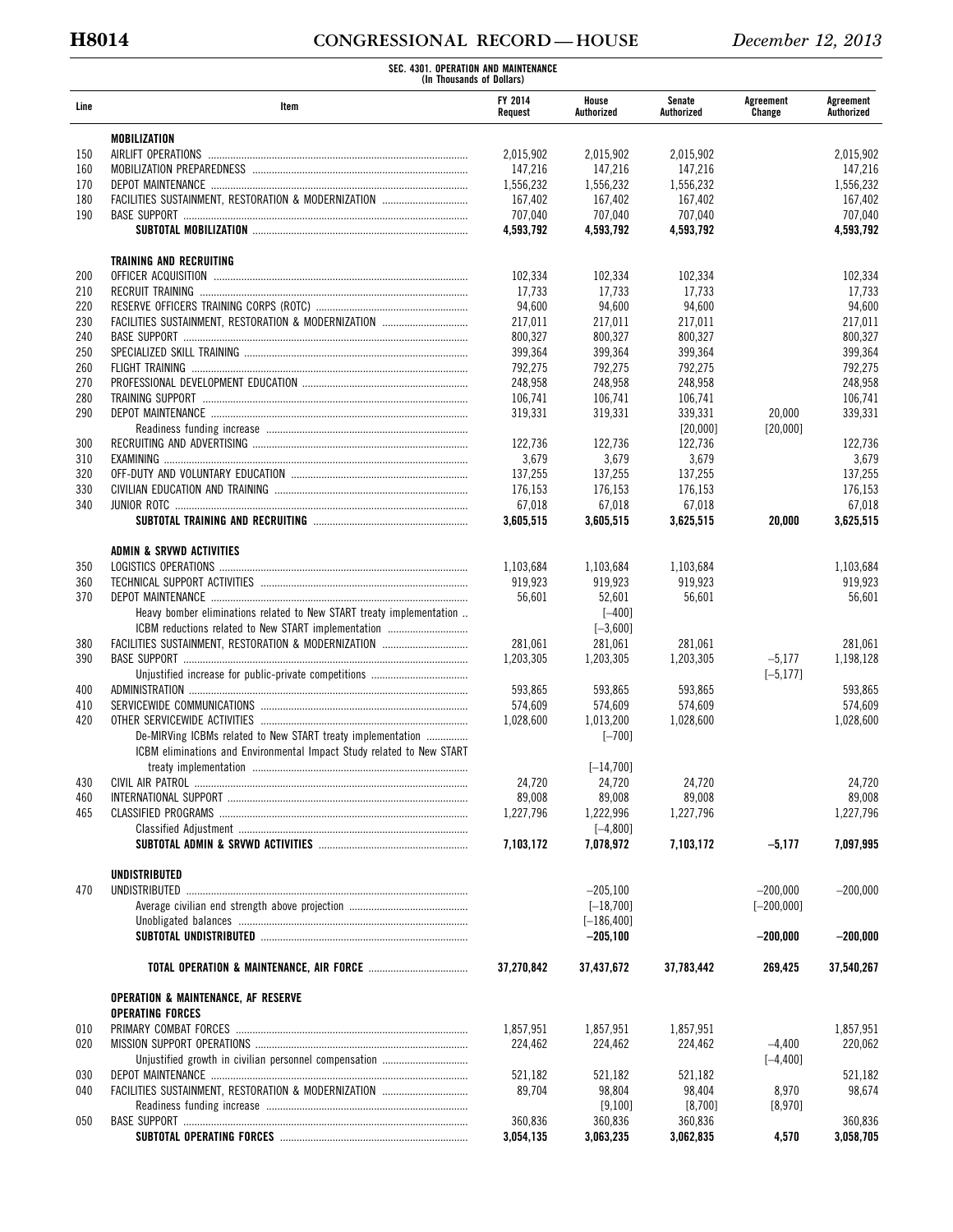# **H8014 CONGRESSIONAL RECORD — HOUSE** *December 12, 2013*

|      | SEC. 4301. OPERATION AND MAINTENANCE<br>(In Thousands of Dollars)     |                           |                     |                      |                     |                         |
|------|-----------------------------------------------------------------------|---------------------------|---------------------|----------------------|---------------------|-------------------------|
| Line | Item                                                                  | <b>FY 2014</b><br>Request | House<br>Authorized | Senate<br>Authorized | Agreement<br>Change | Agreement<br>Authorized |
|      | MOBILIZATION                                                          |                           |                     |                      |                     |                         |
| 150  |                                                                       | 2,015,902                 | 2,015,902           | 2,015,902            |                     | 2,015,902               |
| 160  |                                                                       | 147,216                   | 147.216             | 147,216              |                     | 147,216                 |
| 170  |                                                                       | 1,556,232                 | 1,556,232           | 1,556,232            |                     | 1,556,232               |
| 180  | FACILITIES SUSTAINMENT, RESTORATION & MODERNIZATION                   | 167,402                   | 167,402             | 167,402              |                     | 167,402                 |
| 190  |                                                                       | 707,040                   | 707,040             | 707,040              |                     | 707,040                 |
|      |                                                                       | 4,593,792                 | 4,593,792           | 4,593,792            |                     | 4,593,792               |
|      | <b>TRAINING AND RECRUITING</b>                                        |                           |                     |                      |                     |                         |
| 200  |                                                                       | 102.334                   | 102,334             | 102,334              |                     | 102,334                 |
| 210  |                                                                       | 17,733                    | 17,733              | 17.733               |                     | 17.733                  |
| 220  |                                                                       | 94,600                    | 94,600              | 94,600               |                     | 94,600                  |
| 230  | FACILITIES SUSTAINMENT, RESTORATION & MODERNIZATION                   | 217,011                   | 217,011             | 217,011              |                     | 217,011                 |
| 240  |                                                                       | 800,327                   | 800,327             | 800,327              |                     | 800,327                 |
| 250  |                                                                       | 399,364                   | 399,364             | 399,364              |                     | 399,364                 |
| 260  |                                                                       | 792,275                   | 792,275             | 792,275              |                     | 792,275                 |
| 270  |                                                                       | 248,958                   | 248,958             | 248,958              |                     | 248,958                 |
| 280  |                                                                       | 106,741                   | 106,741             |                      |                     | 106,741                 |
| 290  |                                                                       |                           |                     | 106,741<br>339.331   |                     |                         |
|      |                                                                       | 319,331                   | 319,331             |                      | 20,000              | 339,331                 |
|      |                                                                       |                           |                     | [20,000]             | [20,000]            |                         |
| 300  |                                                                       | 122,736                   | 122,736             | 122,736              |                     | 122.736                 |
| 310  |                                                                       | 3,679                     | 3,679               | 3,679                |                     | 3,679                   |
| 320  |                                                                       | 137,255                   | 137.255             | 137,255              |                     | 137,255                 |
| 330  |                                                                       | 176,153                   | 176,153             | 176.153              |                     | 176,153                 |
| 340  |                                                                       | 67,018                    | 67,018              | 67,018               |                     | 67,018                  |
|      |                                                                       | 3,605,515                 | 3,605,515           | 3,625,515            | 20,000              | 3,625,515               |
|      | ADMIN & SRVWD ACTIVITIES                                              |                           |                     |                      |                     |                         |
| 350  | LOGISTICS OPERATIONS                                                  | 1,103,684                 | 1,103,684           | 1,103,684            |                     | 1,103,684               |
| 360  |                                                                       | 919,923                   | 919,923             | 919,923              |                     | 919,923                 |
| 370  |                                                                       | 56,601                    | 52,601              | 56,601               |                     | 56,601                  |
|      | Heavy bomber eliminations related to New START treaty implementation  |                           | $[-400]$            |                      |                     |                         |
|      | ICBM reductions related to New START implementation                   |                           | $[-3,600]$          |                      |                     |                         |
| 380  | FACILITIES SUSTAINMENT, RESTORATION & MODERNIZATION                   | 281,061                   | 281,061             | 281,061              |                     | 281,061                 |
|      |                                                                       |                           |                     |                      |                     |                         |
| 390  |                                                                       | 1,203,305                 | 1,203,305           | 1,203,305            | $-5,177$            | 1,198,128               |
|      |                                                                       |                           |                     |                      | $[-5, 177]$         |                         |
| 400  |                                                                       | 593,865                   | 593,865             | 593,865              |                     | 593,865                 |
| 410  |                                                                       | 574,609                   | 574,609             | 574,609              |                     | 574,609                 |
| 420  |                                                                       | 1,028,600                 | 1,013,200           | 1,028,600            |                     | 1,028,600               |
|      | De-MIRVing ICBMs related to New START treaty implementation           |                           | $[-700]$            |                      |                     |                         |
|      | ICBM eliminations and Environmental Impact Study related to New START |                           |                     |                      |                     |                         |
|      |                                                                       |                           | $[-14, 700]$        |                      |                     |                         |
| 430  |                                                                       | 24,720                    | 24,720              | 24,720               |                     | 24,720                  |
| 460  |                                                                       | 89,008                    | 89,008              | 89,008               |                     | 89,008                  |
| 465  |                                                                       | 1,227,796                 | 1,222,996           | 1,227,796            |                     | 1,227,796               |
|      |                                                                       |                           | $[-4, 800]$         |                      |                     |                         |
|      |                                                                       | 7,103,172                 | 7,078,972           | 7,103,172            | $-5,177$            | 7,097,995               |
|      |                                                                       |                           |                     |                      |                     |                         |
|      | UNDISTRIBUTED                                                         |                           |                     |                      |                     |                         |
| 470  |                                                                       |                           | $-205,100$          |                      | $-200,000$          | $-200.000$              |
|      |                                                                       |                           | $[-18, 700]$        |                      | $[-200,000]$        |                         |
|      |                                                                       |                           | $[-186, 400]$       |                      |                     |                         |
|      |                                                                       |                           | $-205,100$          |                      | $-200.000$          | $-200,000$              |
|      |                                                                       | 37,270,842                | 37,437,672          | 37,783,442           | 269,425             | 37,540,267              |
|      | <b>OPERATION &amp; MAINTENANCE, AF RESERVE</b>                        |                           |                     |                      |                     |                         |
|      | <b>OPERATING FORCES</b>                                               |                           |                     |                      |                     |                         |
| 010  |                                                                       | 1,857,951                 | 1,857,951           | 1,857,951            |                     | 1,857,951               |
| 020  |                                                                       | 224,462                   | 224,462             | 224,462              | $-4,400$            | 220,062                 |
|      | Unjustified growth in civilian personnel compensation                 |                           |                     |                      | $[-4, 400]$         |                         |
| 030  |                                                                       | 521,182                   | 521,182             | 521,182              |                     | 521,182                 |
|      | FACILITIES SUSTAINMENT, RESTORATION & MODERNIZATION                   |                           |                     |                      |                     |                         |
| 040  |                                                                       | 89,704                    | 98,804              | 98,404               | 8,970               | 98,674                  |
|      |                                                                       |                           | [9,100]             | [8,700]              | [8,970]             |                         |
| 050  |                                                                       | 360,836                   | 360,836             | 360,836              |                     | 360,836                 |
|      |                                                                       | 3,054,135                 | 3,063,235           | 3,062,835            | 4,570               | 3,058,705               |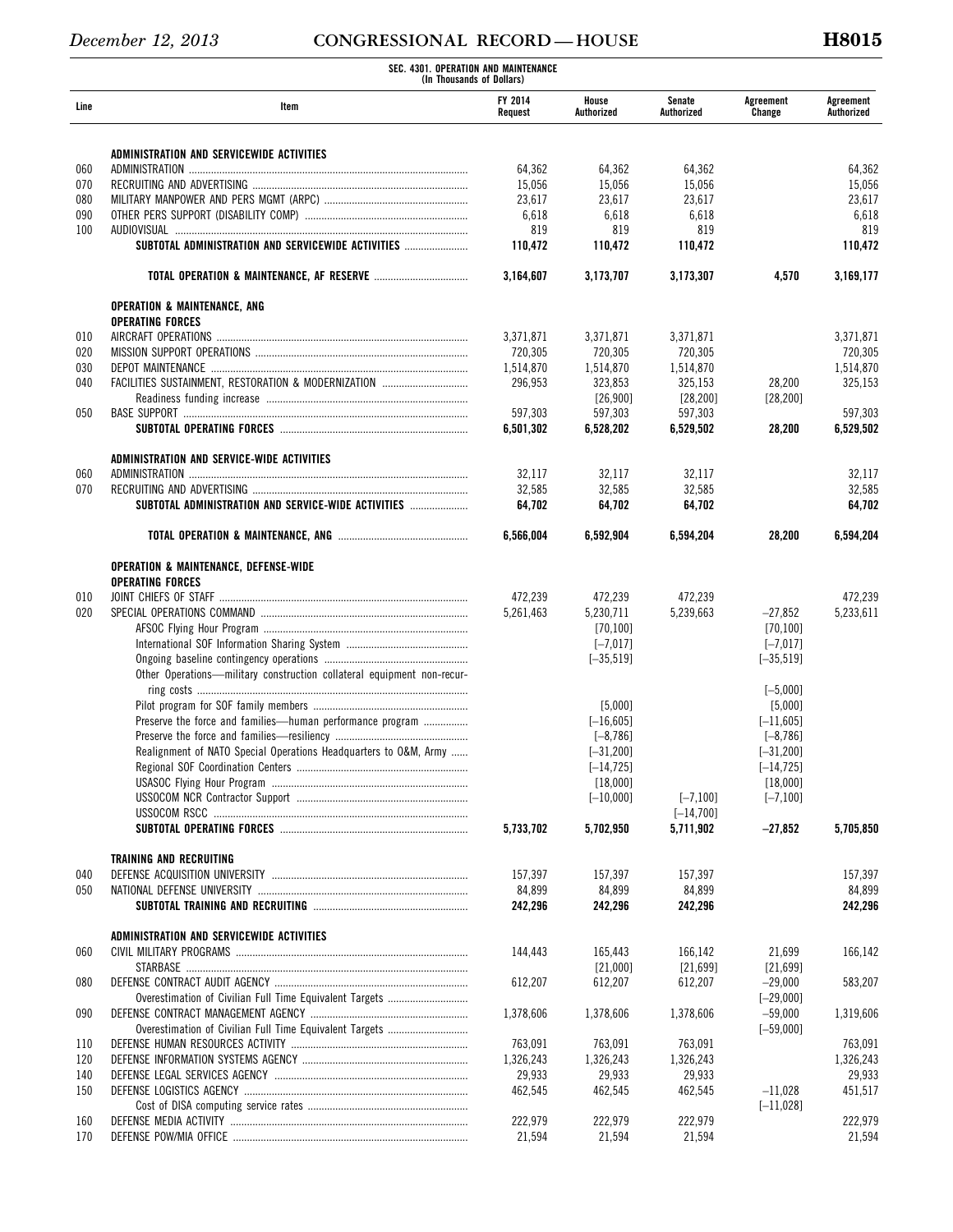|      | SEC. 4301. OPERATION AND MAINTENANCE<br>(In Thousands of Dollars)      |                      |                      |                      |                     |                         |  |
|------|------------------------------------------------------------------------|----------------------|----------------------|----------------------|---------------------|-------------------------|--|
| Line | Item                                                                   | FY 2014<br>Request   | House<br>Authorized  | Senate<br>Authorized | Agreement<br>Change | Agreement<br>Authorized |  |
|      | ADMINISTRATION AND SERVICEWIDE ACTIVITIES                              |                      |                      |                      |                     |                         |  |
| 060  |                                                                        | 64,362               | 64,362               | 64,362               |                     | 64,362                  |  |
| 070  |                                                                        | 15,056               | 15,056               | 15,056               |                     | 15,056                  |  |
| 080  |                                                                        | 23,617               | 23,617               | 23,617               |                     | 23,617                  |  |
| 090  |                                                                        | 6,618                | 6,618                | 6,618                |                     | 6,618                   |  |
| 100  |                                                                        | 819                  | 819                  | 819                  |                     | 819                     |  |
|      | SUBTOTAL ADMINISTRATION AND SERVICEWIDE ACTIVITIES                     | 110,472              | 110,472              | 110,472              |                     | 110,472                 |  |
|      |                                                                        | 3,164,607            | 3,173,707            | 3,173,307            | 4,570               | 3,169,177               |  |
|      | <b>OPERATION &amp; MAINTENANCE, ANG</b>                                |                      |                      |                      |                     |                         |  |
|      | <b>OPERATING FORCES</b>                                                |                      |                      |                      |                     |                         |  |
| 010  |                                                                        | 3,371,871            | 3,371,871            | 3,371,871            |                     | 3,371,871               |  |
| 020  |                                                                        | 720,305              | 720,305              | 720,305              |                     | 720,305                 |  |
| 030  |                                                                        | 1,514,870            | 1,514,870            | 1,514,870            |                     | 1,514,870               |  |
| 040  | FACILITIES SUSTAINMENT, RESTORATION & MODERNIZATION                    | 296,953              | 323,853              | 325,153              | 28,200              | 325,153                 |  |
|      |                                                                        |                      | [26,900]             | [28, 200]            | [28, 200]           |                         |  |
| 050  |                                                                        | 597,303<br>6,501,302 | 597,303<br>6,528,202 | 597,303<br>6,529,502 | 28,200              | 597,303<br>6.529.502    |  |
|      | ADMINISTRATION AND SERVICE-WIDE ACTIVITIES                             |                      |                      |                      |                     |                         |  |
| 060  |                                                                        | 32,117               | 32,117               | 32,117               |                     | 32,117                  |  |
| 070  |                                                                        | 32,585               | 32,585               | 32,585               |                     | 32,585                  |  |
|      | SUBTOTAL ADMINISTRATION AND SERVICE-WIDE ACTIVITIES                    | 64,702               | 64,702               | 64,702               |                     | 64,702                  |  |
|      |                                                                        | 6,566,004            | 6,592,904            | 6,594,204            | 28,200              | 6,594,204               |  |
|      | OPERATION & MAINTENANCE, DEFENSE-WIDE                                  |                      |                      |                      |                     |                         |  |
|      | <b>OPERATING FORCES</b>                                                |                      |                      |                      |                     |                         |  |
| 010  |                                                                        | 472,239              | 472,239              | 472,239              |                     | 472,239                 |  |
| 020  |                                                                        | 5,261,463            | 5,230,711            | 5,239,663            | $-27,852$           | 5,233,611               |  |
|      |                                                                        |                      | [70, 100]            |                      | [70, 100]           |                         |  |
|      |                                                                        |                      | $[-7, 017]$          |                      | $[-7, 017]$         |                         |  |
|      |                                                                        |                      | $[-35, 519]$         |                      | $[-35, 519]$        |                         |  |
|      | Other Operations-military construction collateral equipment non-recur- |                      |                      |                      | $[-5,000]$          |                         |  |
|      |                                                                        |                      | [5,000]              |                      | [5,000]             |                         |  |
|      | Preserve the force and families—human performance program              |                      | $[-16, 605]$         |                      | $[-11, 605]$        |                         |  |
|      |                                                                        |                      | $[-8, 786]$          |                      | $[-8, 786]$         |                         |  |
|      | Realignment of NATO Special Operations Headquarters to O&M, Army       |                      | $[-31, 200]$         |                      | $[-31, 200]$        |                         |  |
|      |                                                                        |                      | $[-14, 725]$         |                      | $[-14, 725]$        |                         |  |
|      |                                                                        |                      | [18,000]             |                      | [18,000]            |                         |  |
|      |                                                                        |                      | $[-10,000]$          | $[-7, 100]$          | $[-7, 100]$         |                         |  |
|      |                                                                        |                      |                      | $[-14, 700]$         |                     |                         |  |
|      |                                                                        | 5,733,702            | 5,702,950            | 5,711,902            | $-27.852$           | 5,705,850               |  |
|      | <b>TRAINING AND RECRUITING</b>                                         |                      |                      |                      |                     |                         |  |
| 040  |                                                                        | 157,397              | 157,397              | 157,397              |                     | 157,397                 |  |
| 050  |                                                                        | 84,899               | 84,899               | 84,899               |                     | 84,899                  |  |
|      |                                                                        | 242,296              | 242,296              | 242,296              |                     | 242,296                 |  |
|      | ADMINISTRATION AND SERVICEWIDE ACTIVITIES                              |                      |                      |                      |                     |                         |  |
| 060  |                                                                        | 144,443              | 165,443              | 166,142              | 21,699              | 166,142                 |  |
|      |                                                                        |                      | [21,000]             | [21, 699]            | [21, 699]           |                         |  |
| 080  |                                                                        | 612,207              | 612,207              | 612,207              | $-29,000$           | 583,207                 |  |
|      |                                                                        |                      |                      |                      | $[-29,000]$         |                         |  |
| 090  |                                                                        | 1,378,606            | 1,378,606            | 1,378,606            | $-59,000$           | 1,319,606               |  |
|      | Overestimation of Civilian Full Time Equivalent Targets                |                      |                      |                      | $[-59,000]$         |                         |  |
| 110  |                                                                        | 763,091              | 763,091              | 763,091              |                     | 763,091                 |  |
| 120  |                                                                        | 1,326,243            | 1,326,243            | 1,326,243            |                     | 1,326,243               |  |
| 140  |                                                                        | 29,933               | 29,933               | 29,933               |                     | 29,933                  |  |
| 150  |                                                                        | 462,545              | 462,545              | 462,545              | $-11,028$           | 451,517                 |  |
|      |                                                                        |                      |                      |                      | $[-11,028]$         |                         |  |
| 160  |                                                                        | 222,979              | 222,979              | 222,979              |                     | 222,979                 |  |
| 170  |                                                                        | 21,594               | 21,594               | 21,594               |                     | 21,594                  |  |
|      |                                                                        |                      |                      |                      |                     |                         |  |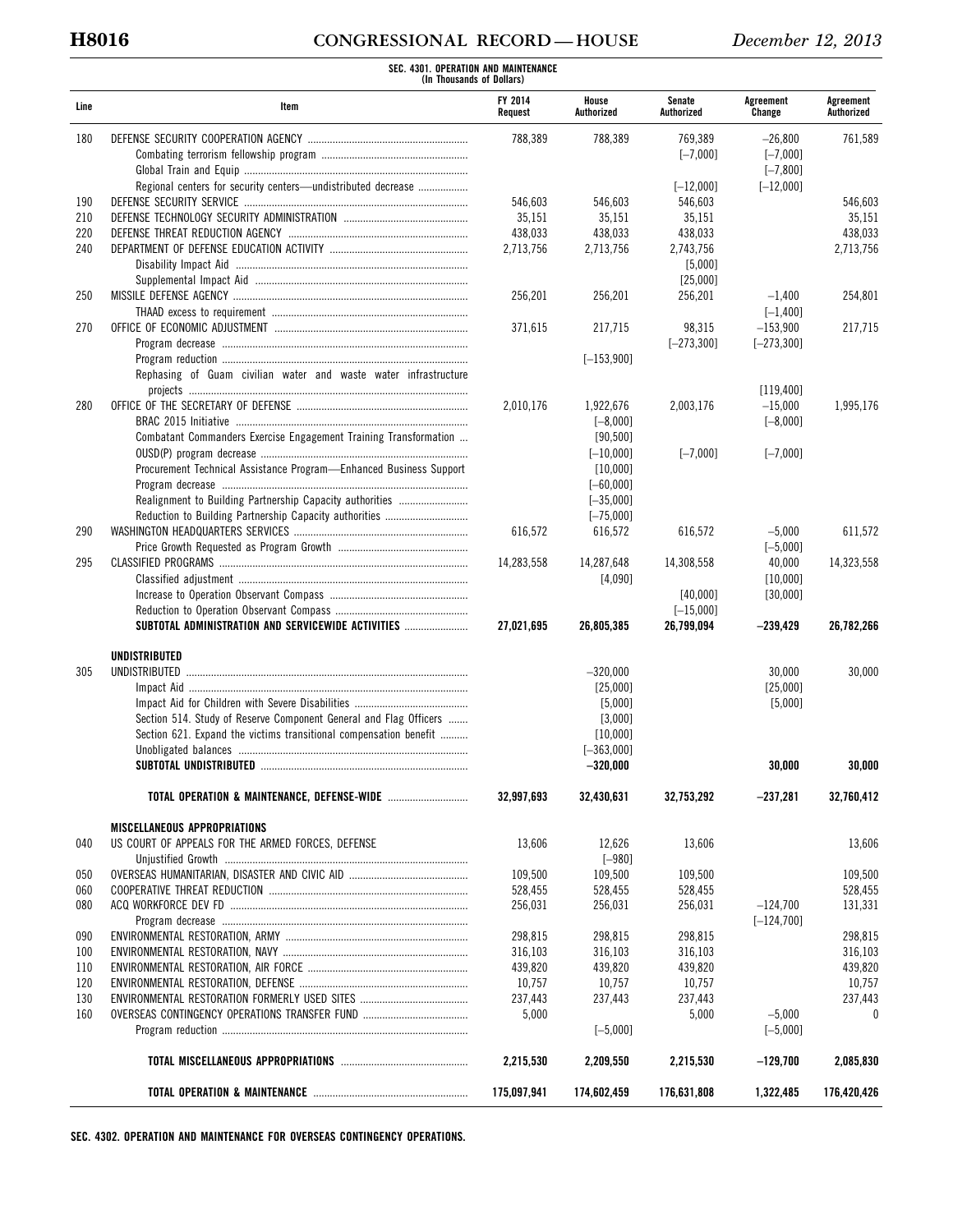# **H8016 CONGRESSIONAL RECORD — HOUSE** *December 12, 2013*

|            | SEC. 4301. OPERATION AND MAINTENANCE<br>(In Thousands of Dollars)  |                           |                     |                      |                      |                         |
|------------|--------------------------------------------------------------------|---------------------------|---------------------|----------------------|----------------------|-------------------------|
| Line       | Item                                                               | <b>FY 2014</b><br>Request | House<br>Authorized | Senate<br>Authorized | Agreement<br>Change  | Agreement<br>Authorized |
| 180        |                                                                    | 788,389                   | 788,389             | 769,389              | $-26,800$            | 761,589                 |
|            |                                                                    |                           |                     | $[-7,000]$           | $[-7,000]$           |                         |
|            |                                                                    |                           |                     |                      | $[-7, 800]$          |                         |
|            | Regional centers for security centers—undistributed decrease       |                           |                     | $[-12,000]$          | $[-12,000]$          |                         |
| 190        |                                                                    | 546,603                   | 546,603             | 546,603              |                      | 546,603                 |
| 210        |                                                                    | 35,151                    | 35,151              | 35,151               |                      | 35,151                  |
| 220        |                                                                    | 438,033                   | 438,033             | 438,033              |                      | 438,033                 |
| 240        |                                                                    | 2,713,756                 | 2,713,756           | 2,743,756            |                      | 2,713,756               |
|            |                                                                    |                           |                     | [5,000]              |                      |                         |
| 250        |                                                                    | 256,201                   | 256,201             | [25,000]<br>256,201  | $-1,400$             | 254,801                 |
|            |                                                                    |                           |                     |                      | $[-1, 400]$          |                         |
| 270        |                                                                    | 371,615                   | 217,715             | 98,315               | $-153,900$           | 217,715                 |
|            |                                                                    |                           |                     | $[-273, 300]$        | $[-273, 300]$        |                         |
|            |                                                                    |                           | $[-153,900]$        |                      |                      |                         |
|            | Rephasing of Guam civilian water and waste water infrastructure    |                           |                     |                      |                      |                         |
|            |                                                                    |                           |                     |                      | [119,400]            |                         |
| 280        |                                                                    | 2,010,176                 | 1,922,676           | 2,003,176            | $-15,000$            | 1,995,176               |
|            |                                                                    |                           | $[-8,000]$          |                      | $[-8,000]$           |                         |
|            | Combatant Commanders Exercise Engagement Training Transformation   |                           | [90, 500]           |                      |                      |                         |
|            |                                                                    |                           | $[-10,000]$         | $[-7,000]$           | $[-7,000]$           |                         |
|            | Procurement Technical Assistance Program-Enhanced Business Support |                           | [10,000]            |                      |                      |                         |
|            |                                                                    |                           | $[-60,000]$         |                      |                      |                         |
|            | Realignment to Building Partnership Capacity authorities           |                           | $[-35,000]$         |                      |                      |                         |
|            |                                                                    |                           | $[-75,000]$         |                      |                      |                         |
| 290        |                                                                    | 616,572                   | 616,572             | 616,572              | $-5,000$             | 611,572                 |
| 295        |                                                                    | 14,283,558                | 14,287,648          |                      | $[-5,000]$<br>40,000 | 14,323,558              |
|            |                                                                    |                           | [4,090]             | 14,308,558           | [10,000]             |                         |
|            |                                                                    |                           |                     | [40,000]             | [30,000]             |                         |
|            |                                                                    |                           |                     | $[-15,000]$          |                      |                         |
|            | SUBTOTAL ADMINISTRATION AND SERVICEWIDE ACTIVITIES                 | 27,021,695                | 26,805,385          | 26,799,094           | $-239,429$           | 26,782,266              |
|            | <b>UNDISTRIBUTED</b>                                               |                           |                     |                      |                      |                         |
| 305        | UNDISTRIBUTED                                                      |                           | $-320,000$          |                      | 30,000               | 30,000                  |
|            |                                                                    |                           | [25,000]            |                      | [25,000]             |                         |
|            |                                                                    |                           | [5,000]             |                      | [5,000]              |                         |
|            | Section 514. Study of Reserve Component General and Flag Officers  |                           | [3,000]             |                      |                      |                         |
|            | Section 621. Expand the victims transitional compensation benefit  |                           | [10,000]            |                      |                      |                         |
|            |                                                                    |                           | $[-363,000]$        |                      |                      |                         |
|            |                                                                    |                           | -320,000            |                      | 30,000               | 30,000                  |
|            |                                                                    | 32,997,693                | 32,430,631          | 32.753.292           | $-237,281$           | 32,760,412              |
|            | <b>MISCELLANEOUS APPROPRIATIONS</b>                                |                           |                     |                      |                      |                         |
| 040        | US COURT OF APPEALS FOR THE ARMED FORCES, DEFENSE                  | 13,606                    | 12,626              | 13,606               |                      | 13,606                  |
|            |                                                                    |                           | $[-980]$            |                      |                      |                         |
| 050        |                                                                    | 109,500                   | 109,500             | 109,500              |                      | 109,500                 |
| 060        |                                                                    | 528,455                   | 528,455             | 528,455              |                      | 528,455                 |
| 080        |                                                                    | 256,031                   | 256,031             | 256,031              | $-124,700$           | 131,331                 |
|            |                                                                    |                           |                     |                      | $[-124, 700]$        |                         |
| 090        |                                                                    | 298,815                   | 298.815             | 298,815              |                      | 298,815                 |
| 100<br>110 |                                                                    | 316,103<br>439,820        | 316,103<br>439,820  | 316,103<br>439,820   |                      | 316,103<br>439,820      |
| 120        |                                                                    | 10,757                    | 10,757              | 10,757               |                      | 10,757                  |
| 130        |                                                                    | 237,443                   | 237,443             | 237,443              |                      | 237,443                 |
| 160        |                                                                    | 5,000                     |                     | 5,000                | $-5,000$             | $\mathbf{0}$            |
|            |                                                                    |                           | $[-5,000]$          |                      | $[-5,000]$           |                         |
|            |                                                                    | 2,215,530                 | 2,209,550           | 2,215,530            | $-129,700$           | 2,085,830               |
|            |                                                                    | 175,097,941               | 174,602,459         | 176,631,808          | 1,322,485            | 176,420,426             |

**SEC. 4302. OPERATION AND MAINTENANCE FOR OVERSEAS CONTINGENCY OPERATIONS.**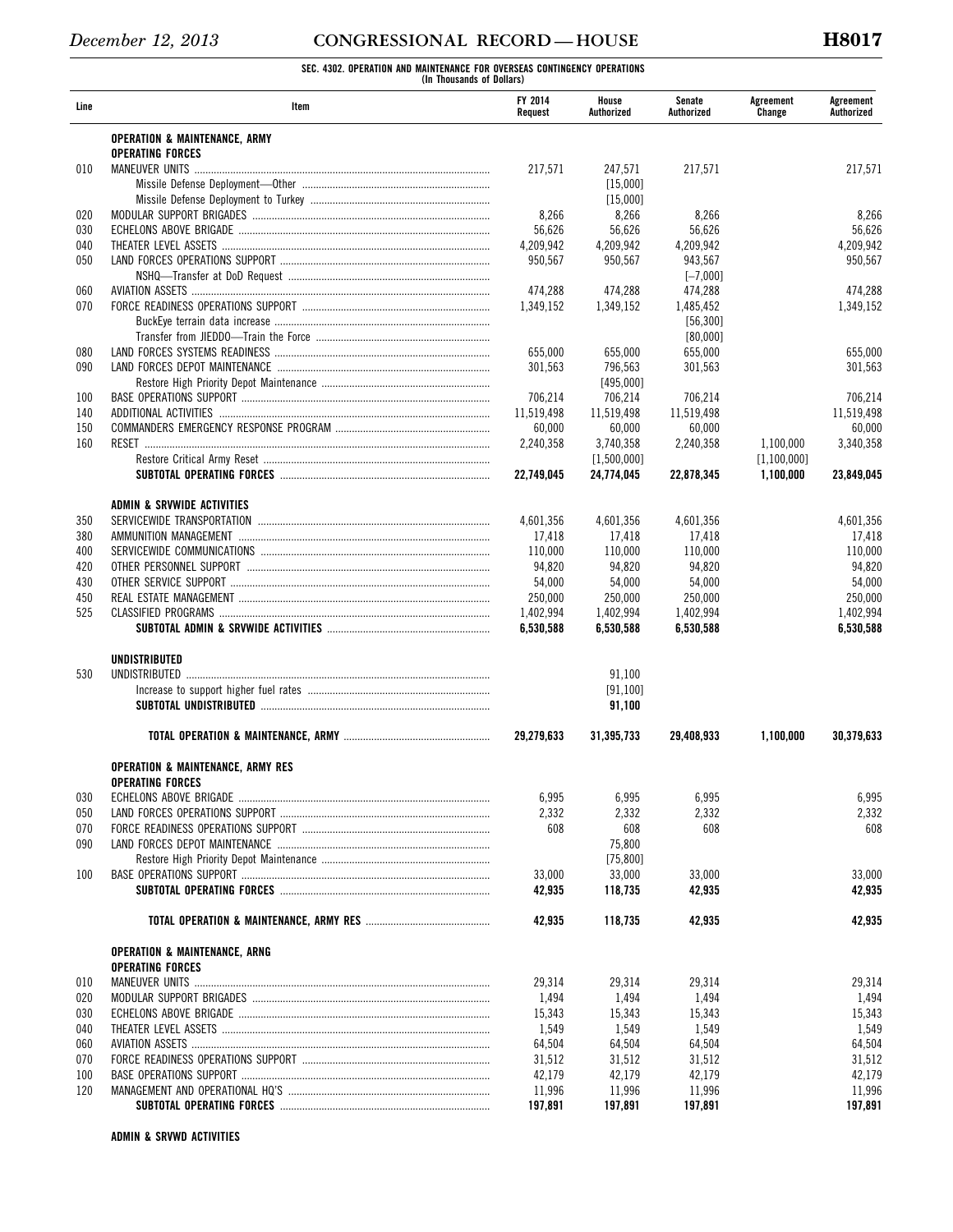**SEC. 4302. OPERATION AND MAINTENANCE FOR OVERSEAS CONTINGENCY OPERATIONS (In Thousands of Dollars)** 

| Line       | ltem                                         | FY 2014<br>Request   | House<br>Authorized  | Senate<br>Authorized  | Agreement<br>Change | Agreement<br>Authorized |
|------------|----------------------------------------------|----------------------|----------------------|-----------------------|---------------------|-------------------------|
|            | <b>OPERATION &amp; MAINTENANCE, ARMY</b>     |                      |                      |                       |                     |                         |
|            | <b>OPERATING FORCES</b>                      |                      |                      |                       |                     |                         |
| 010        | <b>MANEUVER UNITS</b>                        | 217,571              | 247,571              | 217,571               |                     | 217,571                 |
|            |                                              |                      | [15.000]             |                       |                     |                         |
|            |                                              |                      | [15,000]             |                       |                     |                         |
| 020<br>030 |                                              | 8,266                | 8,266                | 8,266                 |                     | 8,266                   |
| 040        |                                              | 56,626               | 56,626               | 56,626<br>4.209.942   |                     | 56,626                  |
| 050        |                                              | 4,209,942<br>950,567 | 4,209,942<br>950,567 | 943,567               |                     | 4,209,942<br>950,567    |
|            |                                              |                      |                      |                       |                     |                         |
| 060        |                                              | 474.288              | 474,288              | $[-7,000]$<br>474,288 |                     |                         |
| 070        |                                              | 1.349.152            | 1.349.152            | 1,485,452             |                     | 474,288                 |
|            |                                              |                      |                      |                       |                     | 1,349,152               |
|            |                                              |                      |                      | [56, 300]<br>[80,000] |                     |                         |
| 080        |                                              | 655,000              | 655,000              | 655,000               |                     | 655,000                 |
| 090        |                                              | 301.563              | 796,563              | 301,563               |                     | 301,563                 |
|            |                                              |                      | [495,000]            |                       |                     |                         |
| 100        |                                              | 706,214              | 706,214              | 706,214               |                     |                         |
| 140        |                                              |                      | 11,519,498           |                       |                     | 706,214                 |
| 150        |                                              | 11,519,498<br>60,000 | 60,000               | 11,519,498<br>60,000  |                     | 11,519,498<br>60,000    |
| 160        |                                              |                      |                      | 2.240.358             |                     | 3.340.358               |
|            |                                              | 2,240,358            | 3,740,358            |                       | 1,100,000           |                         |
|            |                                              | 22.749.045           | [1,500,000]          |                       | [1, 100, 000]       |                         |
|            |                                              |                      | 24,774,045           | 22,878,345            | 1.100.000           | 23,849,045              |
|            | ADMIN & SRVWIDE ACTIVITIES                   |                      |                      |                       |                     |                         |
| 350        |                                              | 4,601,356            | 4,601,356            | 4,601,356             |                     | 4,601,356               |
| 380        |                                              | 17,418               | 17,418               | 17,418                |                     | 17,418                  |
| 400        |                                              | 110,000              | 110,000              | 110,000               |                     | 110,000                 |
| 420        |                                              | 94,820               | 94,820               | 94,820                |                     | 94,820                  |
| 430        |                                              | 54,000               | 54,000               | 54,000                |                     | 54,000                  |
| 450        |                                              | 250,000              | 250,000              | 250,000               |                     | 250,000                 |
| 525        |                                              | 1,402,994            | 1,402,994            | 1,402,994             |                     | 1,402,994               |
|            |                                              | 6,530,588            | 6,530,588            | 6,530,588             |                     | 6,530,588               |
|            | UNDISTRIBUTED                                |                      |                      |                       |                     |                         |
| 530        |                                              |                      | 91,100               |                       |                     |                         |
|            |                                              |                      | [91, 100]            |                       |                     |                         |
|            |                                              |                      | 91,100               |                       |                     |                         |
|            |                                              | 29,279,633           | 31,395,733           | 29,408,933            | 1,100,000           | 30,379,633              |
|            | <b>OPERATION &amp; MAINTENANCE, ARMY RES</b> |                      |                      |                       |                     |                         |
|            | <b>OPERATING FORCES</b>                      |                      |                      |                       |                     |                         |
| 030        |                                              | 6,995                | 6,995                | 6,995                 |                     | 6,995                   |
| 050        |                                              | 2,332                | 2,332                | 2,332                 |                     | 2,332                   |
| 070        |                                              | 608                  | 608                  | 608                   |                     | 608                     |
| 090        |                                              |                      | 75,800               |                       |                     |                         |
|            |                                              |                      | [75, 800]            |                       |                     |                         |
| 100        |                                              | 33,000               | 33,000               | 33,000                |                     | 33,000                  |
|            |                                              | 42,935               | 118,735              | 42,935                |                     | 42,935                  |
|            |                                              | 42,935               | 118,735              | 42,935                |                     | 42,935                  |
|            | <b>OPERATION &amp; MAINTENANCE, ARNG</b>     |                      |                      |                       |                     |                         |
|            | <b>OPERATING FORCES</b>                      |                      |                      |                       |                     |                         |
| 010        |                                              | 29,314               | 29,314               | 29,314                |                     | 29,314                  |
| 020        |                                              | 1,494                | 1,494                | 1,494                 |                     | 1,494                   |
| 030        |                                              | 15,343               | 15,343               | 15,343                |                     | 15,343                  |
| 040        |                                              | 1,549                | 1,549                | 1,549                 |                     | 1,549                   |
| 060        |                                              | 64,504               | 64,504               | 64,504                |                     | 64,504                  |
| 070        |                                              | 31,512               | 31,512               | 31,512                |                     | 31,512                  |
| 100        |                                              | 42,179               | 42,179               | 42,179                |                     | 42,179                  |
| 120        |                                              | 11,996               | 11,996               | 11,996                |                     | 11,996                  |
|            |                                              | 197,891              | 197,891              | 197,891               |                     | 197,891                 |
|            |                                              |                      |                      |                       |                     |                         |

**ADMIN & SRVWD ACTIVITIES**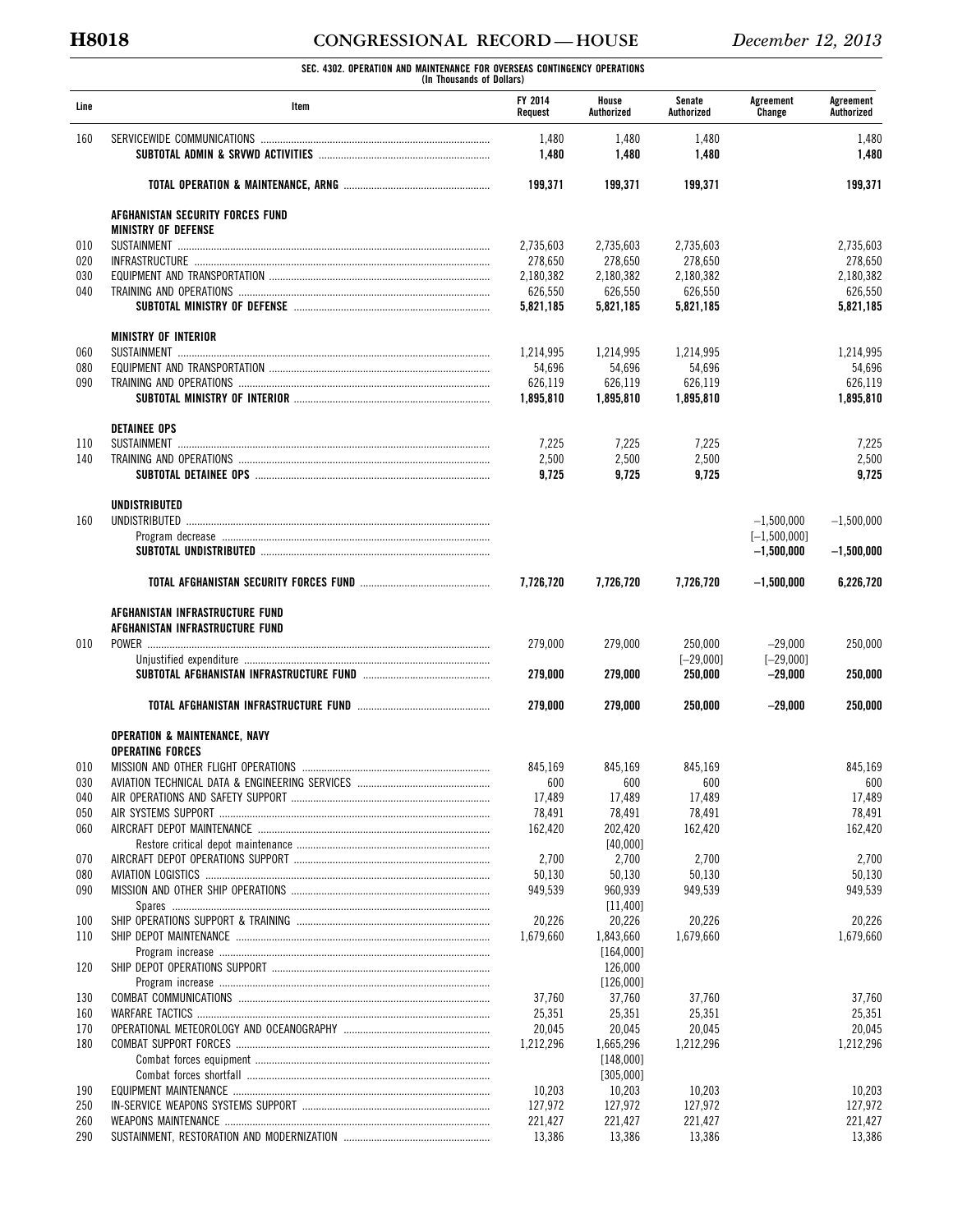# **H8018 CONGRESSIONAL RECORD — HOUSE** *December 12, 2013*

**SEC. 4302. OPERATION AND MAINTENANCE FOR OVERSEAS CONTINGENCY OPERATIONS (In Thousands of Dollars)** 

| Line       | Item                                     | FY 2014<br>Request   | House<br>Authorized  | Senate<br>Authorized   | Agreement<br>Change      | Agreement<br>Authorized |
|------------|------------------------------------------|----------------------|----------------------|------------------------|--------------------------|-------------------------|
| 160        |                                          | 1,480<br>1,480       | 1,480<br>1,480       | 1,480<br>1,480         |                          | 1,480<br>1,480          |
|            |                                          | 199,371              | 199,371              | 199,371                |                          | 199,371                 |
|            | AFGHANISTAN SECURITY FORCES FUND         |                      |                      |                        |                          |                         |
|            | <b>MINISTRY OF DEFENSE</b>               |                      |                      |                        |                          |                         |
| 010        |                                          | 2,735,603            | 2,735,603            | 2,735,603              |                          | 2,735,603<br>278.650    |
| 020<br>030 |                                          | 278,650<br>2,180,382 | 278,650<br>2,180,382 | 278,650<br>2,180,382   |                          | 2,180,382               |
| 040        |                                          | 626,550              | 626,550              | 626,550                |                          | 626,550                 |
|            |                                          | 5,821,185            | 5,821,185            | 5,821,185              |                          | 5,821,185               |
|            | <b>MINISTRY OF INTERIOR</b>              |                      |                      |                        |                          |                         |
| 060        |                                          | 1,214,995            | 1,214,995            | 1,214,995              |                          | 1,214,995               |
| 080        |                                          | 54,696               | 54,696               | 54,696                 |                          | 54,696                  |
| 090        |                                          | 626,119              | 626,119              | 626,119                |                          | 626,119                 |
|            |                                          | 1,895,810            | 1,895,810            | 1,895,810              |                          | 1,895,810               |
| 110        | <b>DETAINEE OPS</b>                      | 7,225                | 7,225                | 7,225                  |                          | 7,225                   |
| 140        |                                          | 2,500                | 2,500                | 2,500                  |                          | 2,500                   |
|            |                                          | 9,725                | 9,725                | 9,725                  |                          | 9,725                   |
|            |                                          |                      |                      |                        |                          |                         |
| 160        | <b>UNDISTRIBUTED</b>                     |                      |                      |                        | $-1,500,000$             | $-1,500,000$            |
|            |                                          |                      |                      |                        | $[-1, 500, 000]$         |                         |
|            |                                          |                      |                      |                        | $-1,500,000$             | $-1,500,000$            |
|            |                                          | 7,726,720            | 7,726,720            | 7,726,720              | $-1,500,000$             | 6,226,720               |
|            | AFGHANISTAN INFRASTRUCTURE FUND          |                      |                      |                        |                          |                         |
|            | AFGHANISTAN INFRASTRUCTURE FUND          |                      |                      |                        |                          |                         |
| 010        |                                          | 279,000              | 279,000              | 250,000                | $-29,000$                | 250,000                 |
|            |                                          | 279,000              | 279,000              | $[-29,000]$<br>250,000 | $[-29,000]$<br>$-29,000$ | 250,000                 |
|            |                                          | 279.000              | 279,000              | 250,000                | $-29,000$                | 250,000                 |
|            | <b>OPERATION &amp; MAINTENANCE, NAVY</b> |                      |                      |                        |                          |                         |
|            | <b>OPERATING FORCES</b>                  |                      |                      |                        |                          |                         |
| 010        |                                          | 845,169              | 845.169              | 845,169                |                          | 845.169                 |
| 030        |                                          | 600                  | 600                  | 600                    |                          | 600                     |
| 040        |                                          | 17,489               | 17,489               | 17,489                 |                          | 17,489                  |
| 050        |                                          | 78,491               | 78,491               | 78,491                 |                          | 78,491                  |
| 060        |                                          | 162,420              | 202,420              | 162,420                |                          | 162,420                 |
|            |                                          |                      | [40,000]             |                        |                          |                         |
| 070        |                                          | 2,700                | 2,700                | 2,700                  |                          | 2,700                   |
| 080        |                                          | 50,130               | 50,130               | 50,130                 |                          | 50,130                  |
| 090        |                                          | 949,539              | 960,939              | 949.539                |                          | 949,539                 |
|            |                                          |                      | [11, 400]            |                        |                          |                         |
| 100        |                                          | 20,226               | 20,226               | 20,226                 |                          | 20,226                  |
| 110        |                                          | 1,679,660            | 1,843,660            | 1,679,660              |                          | 1,679,660               |
|            |                                          |                      | [164,000]            |                        |                          |                         |
| 120        |                                          |                      | 126,000              |                        |                          |                         |
| 130        |                                          | 37,760               | [126,000]<br>37,760  | 37,760                 |                          | 37,760                  |
| 160        |                                          | 25,351               | 25,351               | 25,351                 |                          | 25,351                  |
| 170        |                                          | 20,045               | 20,045               | 20,045                 |                          | 20,045                  |
| 180        |                                          | 1,212,296            | 1,665,296            | 1,212,296              |                          | 1,212,296               |
|            |                                          |                      | [148,000]            |                        |                          |                         |
|            |                                          |                      | [305,000]            |                        |                          |                         |
| 190        |                                          | 10,203               | 10,203               | 10,203                 |                          | 10,203                  |
| 250        |                                          | 127,972              | 127,972              | 127,972                |                          | 127,972                 |
| 260        |                                          | 221,427              | 221,427              | 221,427                |                          | 221,427                 |
| 290        |                                          | 13,386               | 13,386               | 13,386                 |                          | 13,386                  |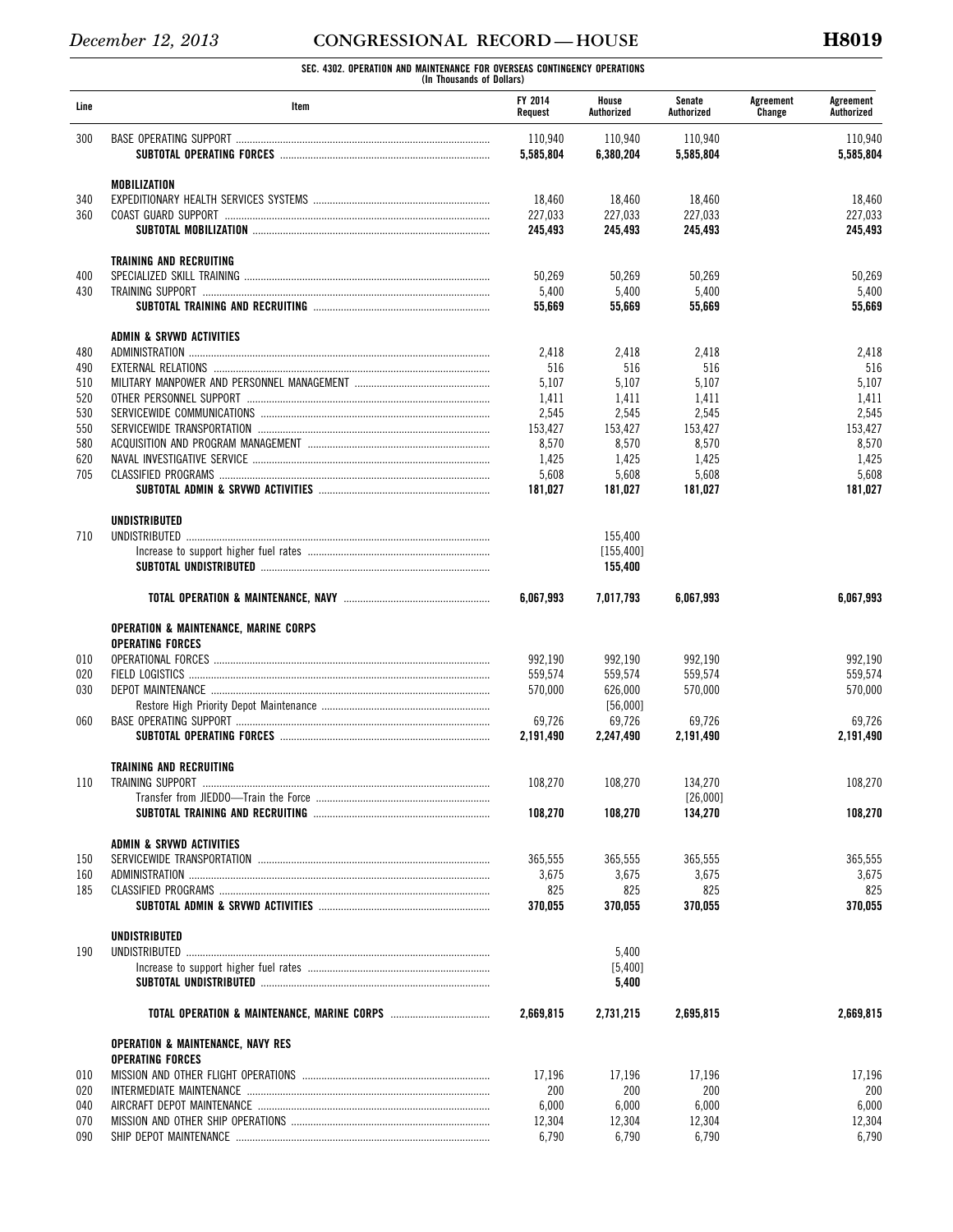**SEC. 4302. OPERATION AND MAINTENANCE FOR OVERSEAS CONTINGENCY OPERATIONS (In Thousands of Dollars)** 

| Line       | Item                                                                    | FY 2014<br>Request   | House<br>Authorized  | Senate<br>Authorized | Agreement<br>Change | Agreement<br>Authorized |
|------------|-------------------------------------------------------------------------|----------------------|----------------------|----------------------|---------------------|-------------------------|
| 300        |                                                                         | 110,940<br>5,585,804 | 110,940<br>6,380,204 | 110,940<br>5,585,804 |                     | 110,940<br>5,585,804    |
|            | <b>MOBILIZATION</b>                                                     |                      |                      |                      |                     |                         |
| 340        |                                                                         | 18,460               | 18,460               | 18,460               |                     | 18,460                  |
| 360        |                                                                         | 227,033              | 227,033              | 227,033              |                     | 227,033                 |
|            |                                                                         | 245,493              | 245,493              | 245,493              |                     | 245,493                 |
|            | TRAINING AND RECRUITING                                                 |                      |                      |                      |                     |                         |
| 400        |                                                                         | 50,269               | 50,269               | 50,269               |                     | 50,269                  |
| 430        |                                                                         | 5,400                | 5,400                | 5,400                |                     | 5,400                   |
|            |                                                                         | 55,669               | 55,669               | 55,669               |                     | 55,669                  |
|            | ADMIN & SRVWD ACTIVITIES                                                |                      |                      |                      |                     |                         |
| 480        |                                                                         | 2,418                | 2,418                | 2,418                |                     | 2,418                   |
| 490        |                                                                         | 516                  | 516                  | 516                  |                     | 516                     |
| 510        |                                                                         | 5,107                | 5,107                | 5,107                |                     | 5,107                   |
| 520<br>530 |                                                                         | 1,411<br>2,545       | 1,411<br>2,545       | 1,411<br>2,545       |                     | 1,411<br>2,545          |
| 550        |                                                                         | 153,427              | 153,427              | 153,427              |                     | 153,427                 |
| 580        |                                                                         | 8,570                | 8,570                | 8,570                |                     | 8,570                   |
| 620        |                                                                         | 1,425                | 1,425                | 1,425                |                     | 1,425                   |
| 705        |                                                                         | 5,608                | 5,608                | 5,608                |                     | 5,608                   |
|            |                                                                         | 181,027              | 181,027              | 181,027              |                     | 181,027                 |
|            | <b>UNDISTRIBUTED</b>                                                    |                      |                      |                      |                     |                         |
| 710        |                                                                         |                      | 155,400              |                      |                     |                         |
|            |                                                                         |                      | [155, 400]           |                      |                     |                         |
|            |                                                                         |                      | 155,400              |                      |                     |                         |
|            |                                                                         | 6.067.993            | 7,017,793            | 6,067,993            |                     | 6,067,993               |
|            | OPERATION & MAINTENANCE, MARINE CORPS                                   |                      |                      |                      |                     |                         |
|            | <b>OPERATING FORCES</b>                                                 |                      |                      |                      |                     |                         |
| 010        |                                                                         | 992,190              | 992,190              | 992,190              |                     | 992,190                 |
| 020        |                                                                         | 559,574              | 559,574              | 559,574              |                     | 559,574                 |
| 030        |                                                                         | 570,000              | 626.000              | 570,000              |                     | 570.000                 |
|            |                                                                         |                      | [56,000]             |                      |                     |                         |
| 060        |                                                                         | 69,726               | 69,726               | 69,726               |                     | 69,726                  |
|            |                                                                         | 2,191,490            | 2,247,490            | 2.191.490            |                     | 2,191,490               |
|            | <b>TRAINING AND RECRUITING</b>                                          |                      |                      |                      |                     |                         |
| 110        |                                                                         | 108,270              | 108,270              | 134,270              |                     | 108,270                 |
|            |                                                                         |                      |                      | [26,000]             |                     |                         |
|            |                                                                         | 108,270              | 108,270              | 134,270              |                     | 108,270                 |
|            | ADMIN & SRVWD ACTIVITIES                                                |                      |                      |                      |                     |                         |
| 150        |                                                                         | 365,555              | 365,555              | 365,555              |                     | 365,555                 |
| 160        |                                                                         | 3,675                | 3,675                | 3,675                |                     | 3,675                   |
| 185        |                                                                         | 825                  | 825<br>370.055       | 825<br>370.055       |                     | 825                     |
|            |                                                                         | 370,055              |                      |                      |                     | 370,055                 |
|            | <b>UNDISTRIBUTED</b>                                                    |                      |                      |                      |                     |                         |
| 190        |                                                                         |                      | 5,400                |                      |                     |                         |
|            |                                                                         |                      | [5,400]<br>5,400     |                      |                     |                         |
|            |                                                                         | 2,669,815            | 2,731,215            | 2,695,815            |                     | 2,669,815               |
|            |                                                                         |                      |                      |                      |                     |                         |
|            | <b>OPERATION &amp; MAINTENANCE, NAVY RES</b><br><b>OPERATING FORCES</b> |                      |                      |                      |                     |                         |
| 010        |                                                                         | 17,196               | 17,196               | 17,196               |                     | 17,196                  |
| 020        |                                                                         | 200                  | 200                  | 200                  |                     | 200                     |
| 040        |                                                                         | 6,000                | 6,000                | 6,000                |                     | 6,000                   |
| 070        |                                                                         | 12,304               | 12,304               | 12,304               |                     | 12,304                  |
| 090        |                                                                         | 6,790                | 6,790                | 6,790                |                     | 6,790                   |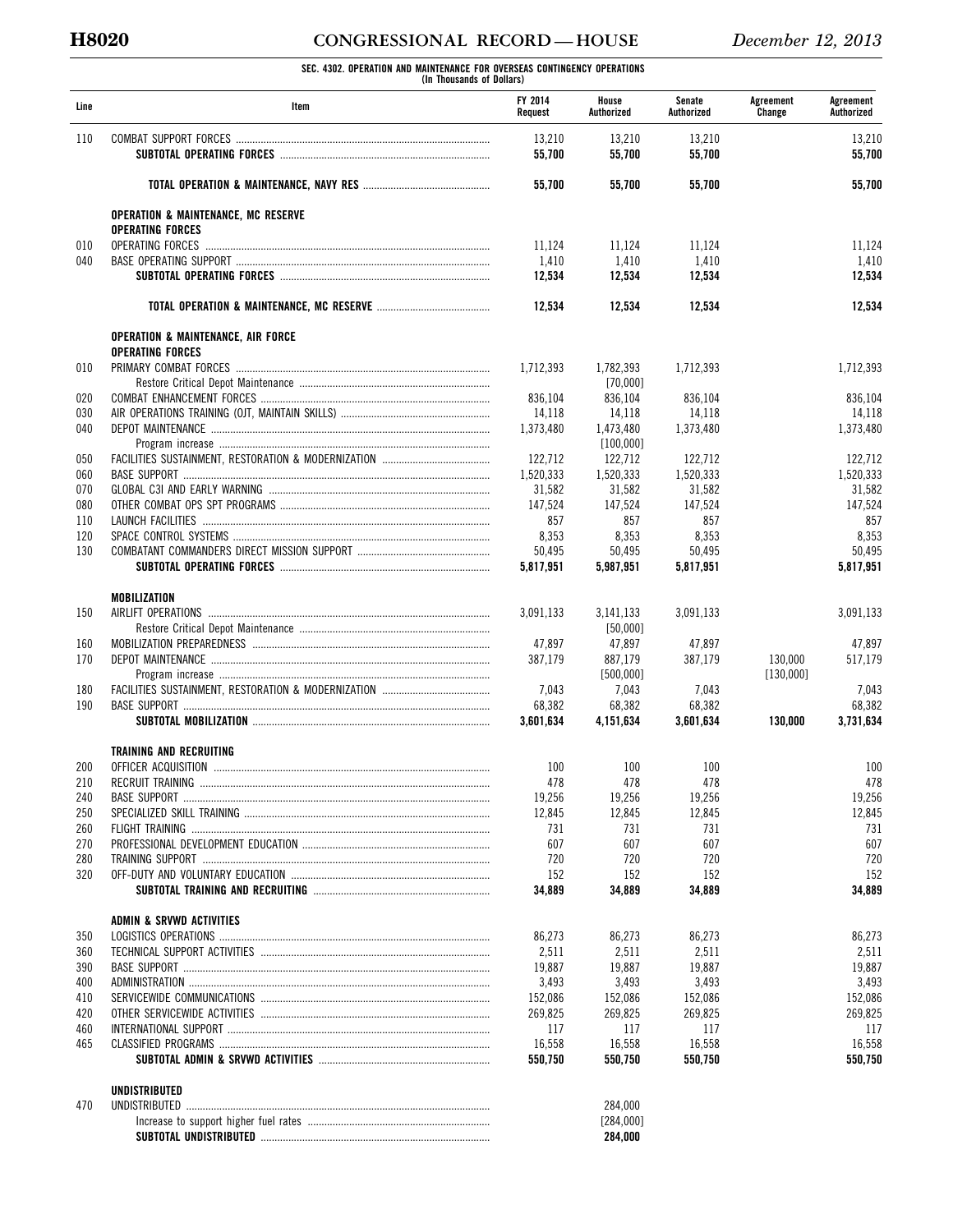**SEC. 4302. OPERATION AND MAINTENANCE FOR OVERSEAS CONTINGENCY OPERATIONS (In Thousands of Dollars)** 

| Line       | Item                                           | FY 2014<br>Request | House<br>Authorized   | Senate<br>Authorized | Agreement<br>Change | Agreement<br>Authorized |
|------------|------------------------------------------------|--------------------|-----------------------|----------------------|---------------------|-------------------------|
| 110        |                                                | 13,210             | 13,210                | 13,210               |                     | 13.210                  |
|            |                                                | 55,700             | 55,700                | 55,700               |                     | 55,700                  |
|            |                                                | 55,700             | 55,700                | 55,700               |                     | 55,700                  |
|            | <b>OPERATION &amp; MAINTENANCE, MC RESERVE</b> |                    |                       |                      |                     |                         |
|            | <b>OPERATING FORCES</b>                        |                    |                       |                      |                     |                         |
| 010<br>040 |                                                | 11,124<br>1,410    | 11,124<br>1,410       | 11,124<br>1,410      |                     | 11,124<br>1,410         |
|            |                                                | 12,534             | 12,534                | 12,534               |                     | 12,534                  |
|            |                                                | 12,534             | 12,534                | 12,534               |                     | 12,534                  |
|            | <b>OPERATION &amp; MAINTENANCE, AIR FORCE</b>  |                    |                       |                      |                     |                         |
|            | <b>OPERATING FORCES</b>                        |                    |                       |                      |                     |                         |
| 010        |                                                | 1,712,393          | 1,782,393<br>[70,000] | 1,712,393            |                     | 1,712,393               |
| 020        |                                                | 836,104            | 836,104               | 836,104              |                     | 836,104                 |
| 030        |                                                | 14,118             | 14,118                | 14,118               |                     | 14,118                  |
| 040        |                                                | 1,373,480          | 1.473.480             | 1,373,480            |                     | 1,373,480               |
|            |                                                |                    | [100,000]             |                      |                     |                         |
| 050        |                                                | 122,712            | 122,712               | 122,712              |                     | 122,712                 |
| 060        |                                                | 1,520,333          | 1,520,333             | 1,520,333            |                     | 1,520,333               |
| 070        |                                                | 31.582             | 31,582                | 31,582               |                     | 31,582                  |
| 080        |                                                | 147,524            | 147,524               | 147,524              |                     | 147,524                 |
| 110        |                                                | 857                | 857                   | 857                  |                     | 857                     |
| 120        |                                                | 8,353              | 8,353                 | 8,353                |                     | 8,353                   |
| 130        |                                                | 50,495             | 50,495                | 50,495               |                     | 50,495                  |
|            |                                                | 5,817,951          | 5,987,951             | 5,817,951            |                     | 5,817,951               |
|            | <b>MOBILIZATION</b>                            |                    |                       |                      |                     |                         |
| 150        |                                                | 3,091,133          | 3,141,133             | 3,091,133            |                     | 3,091,133               |
|            |                                                |                    | [50,000]              |                      |                     |                         |
| 160        |                                                | 47,897             | 47,897                | 47,897               |                     | 47,897                  |
| 170        |                                                | 387,179            | 887,179               | 387,179              | 130,000             | 517,179                 |
|            |                                                |                    | [500,000]             |                      | [130,000]           |                         |
| 180        |                                                | 7,043              | 7,043                 | 7,043                |                     | 7,043                   |
| 190        |                                                | 68,382             | 68,382                | 68,382               |                     | 68,382                  |
|            |                                                | 3.601.634          | 4,151,634             | 3,601,634            | 130,000             | 3,731,634               |
|            | <b>TRAINING AND RECRUITING</b>                 |                    |                       |                      |                     |                         |
| 200        |                                                | 100                | 100                   | 100                  |                     | 100                     |
| 210        | RECRUIT TRAINING                               | 478                | 478                   | 478                  |                     | 478                     |
| 240        |                                                | 19,256             | 19,256                | 19,256               |                     | 19,256                  |
| 250        |                                                | 12,845             | 12,845                | 12,845               |                     | 12,845                  |
| 260        |                                                | 731                | 731                   | 731                  |                     | 731                     |
| 270        |                                                | 607                | 607                   | 607                  |                     | 607                     |
| 280        |                                                | 720                | 720                   | 720                  |                     | 720                     |
| 320        |                                                | 152                | 152                   | 152                  |                     | 152<br>34,889           |
|            |                                                | 34,889             | 34,889                | 34,889               |                     |                         |
|            | ADMIN & SRVWD ACTIVITIES                       |                    |                       |                      |                     |                         |
| 350        |                                                | 86,273             | 86,273                | 86,273               |                     | 86,273                  |
| 360        |                                                | 2,511              | 2,511                 | 2,511                |                     | 2,511                   |
| 390        |                                                | 19,887             | 19,887                | 19,887               |                     | 19,887                  |
| 400        |                                                | 3,493              | 3,493                 | 3,493                |                     | 3,493                   |
| 410        |                                                | 152,086            | 152,086               | 152,086              |                     | 152,086                 |
| 420        |                                                | 269,825            | 269,825               | 269,825              |                     | 269,825                 |
| 460        |                                                | 117                | 117                   | 117                  |                     | 117                     |
| 465        |                                                | 16,558             | 16,558                | 16,558               |                     | 16,558                  |
|            |                                                | 550,750            | 550,750               | 550,750              |                     | 550,750                 |
|            | UNDISTRIBUTED                                  |                    |                       |                      |                     |                         |
| 470        |                                                |                    | 284,000               |                      |                     |                         |
|            |                                                |                    | [284,000]             |                      |                     |                         |
|            |                                                |                    | 284,000               |                      |                     |                         |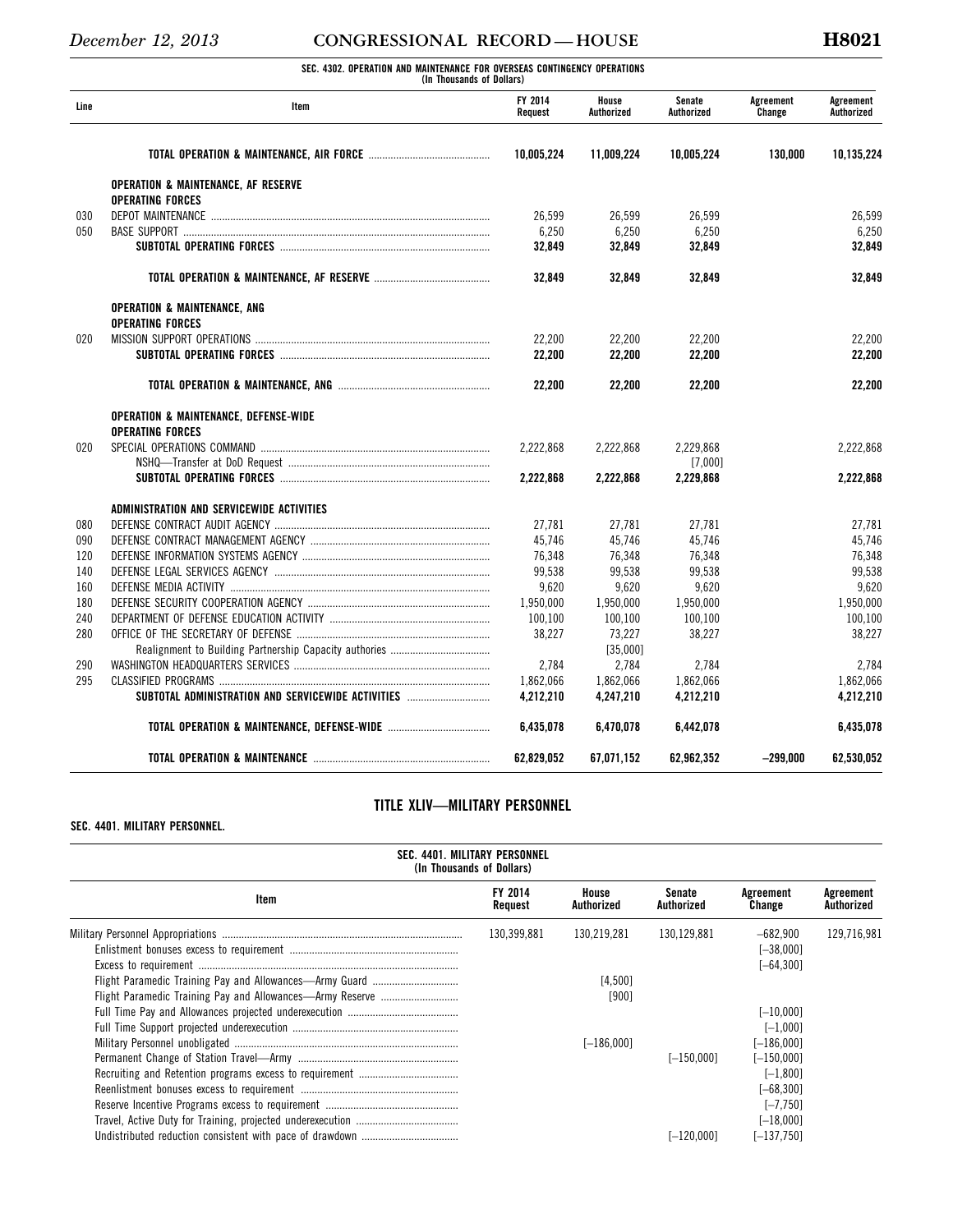**SEC. 4302. OPERATION AND MAINTENANCE FOR OVERSEAS CONTINGENCY OPERATIONS (In Thousands of Dollars)** 

| Line | (III THUUSAHUS UT DUHATS)<br>Item                                         | <b>FY 2014</b><br>Reauest | House<br>Authorized | Senate<br>Authorized | Agreement<br>Change | Agreement<br>Authorized |
|------|---------------------------------------------------------------------------|---------------------------|---------------------|----------------------|---------------------|-------------------------|
|      |                                                                           |                           |                     |                      |                     |                         |
|      |                                                                           | 10.005.224                | 11,009,224          | 10.005.224           | 130.000             | 10,135,224              |
|      | <b>OPERATION &amp; MAINTENANCE, AF RESERVE</b><br><b>OPERATING FORCES</b> |                           |                     |                      |                     |                         |
| 030  |                                                                           | 26,599                    | 26,599              | 26,599               |                     | 26,599                  |
| 050  |                                                                           | 6,250                     | 6,250               | 6,250                |                     | 6,250                   |
|      |                                                                           | 32,849                    | 32.849              | 32,849               |                     | 32,849                  |
|      |                                                                           | 32.849                    | 32,849              | 32,849               |                     | 32,849                  |
|      | OPERATION & MAINTENANCE, ANG                                              |                           |                     |                      |                     |                         |
|      | <b>OPERATING FORCES</b>                                                   |                           |                     |                      |                     |                         |
| 020  |                                                                           | 22,200                    | 22,200              | 22.200               |                     | 22,200                  |
|      |                                                                           | 22.200                    | 22,200              | 22,200               |                     | 22,200                  |
|      |                                                                           | 22.200                    | 22,200              | 22,200               |                     | 22,200                  |
|      | <b>OPERATION &amp; MAINTENANCE, DEFENSE-WIDE</b>                          |                           |                     |                      |                     |                         |
|      | <b>OPERATING FORCES</b>                                                   |                           |                     |                      |                     |                         |
| 020  |                                                                           | 2.222.868                 | 2,222,868           | 2,229,868            |                     | 2.222.868               |
|      |                                                                           |                           |                     | [7,000]              |                     |                         |
|      |                                                                           | 2.222.868                 | 2.222.868           | 2.229.868            |                     | 2.222.868               |
|      | ADMINISTRATION AND SERVICEWIDE ACTIVITIES                                 |                           |                     |                      |                     |                         |
| 080  |                                                                           | 27.781                    | 27,781              | 27,781               |                     | 27,781                  |
| 090  |                                                                           | 45,746                    | 45,746              | 45,746               |                     | 45,746                  |
| 120  |                                                                           | 76.348                    | 76.348              | 76,348               |                     | 76,348                  |
| 140  |                                                                           | 99,538                    | 99,538              | 99,538               |                     | 99,538                  |
| 160  |                                                                           | 9,620                     | 9,620               | 9,620                |                     | 9.620                   |
| 180  |                                                                           | 1,950,000                 | 1,950,000           | 1,950,000            |                     | 1,950,000               |
| 240  |                                                                           | 100,100                   | 100,100             | 100,100              |                     | 100,100                 |
| 280  |                                                                           | 38,227                    | 73,227              | 38,227               |                     | 38,227                  |
|      |                                                                           |                           | [35,000]            |                      |                     |                         |
| 290  |                                                                           | 2,784                     | 2,784               | 2,784                |                     | 2.784                   |
| 295  |                                                                           | 1,862,066                 | 1,862,066           | 1,862,066            |                     | 1,862,066               |
|      | SUBTOTAL ADMINISTRATION AND SERVICEWIDE ACTIVITIES                        | 4.212.210                 | 4.247.210           | 4,212,210            |                     | 4,212,210               |
|      |                                                                           | 6,435,078                 | 6,470,078           | 6,442,078            |                     | 6,435,078               |
|      |                                                                           | 62,829,052                | 67,071,152          | 62,962,352           | $-299,000$          | 62,530,052              |

## **TITLE XLIV—MILITARY PERSONNEL**

### **SEC. 4401. MILITARY PERSONNEL.**

| SEC. 4401. MILITARY PERSONNEL<br>(In Thousands of Dollars) |                    |                     |                      |                                             |                         |  |  |
|------------------------------------------------------------|--------------------|---------------------|----------------------|---------------------------------------------|-------------------------|--|--|
| Item                                                       | FY 2014<br>Request | House<br>Authorized | Senate<br>Authorized | Agreement<br>Change                         | Agreement<br>Authorized |  |  |
|                                                            | 130,399,881        | 130.219.281         | 130.129.881          | $-682,900$<br>$[-38,000]$<br>$[-64.300]$    | 129,716,981             |  |  |
|                                                            |                    | [4.500]<br>[900]    |                      |                                             |                         |  |  |
|                                                            |                    |                     |                      | $[-10,000]$<br>$[-1.000]$                   |                         |  |  |
|                                                            |                    | $[-186,000]$        | $[-150.000]$         | $[-186,000]$<br>$[-150,000]$<br>$[-1, 800]$ |                         |  |  |
|                                                            |                    |                     |                      | $[-68, 300]$<br>$[-7, 750]$                 |                         |  |  |
|                                                            |                    |                     | F-120.0001           | $[-18.000]$<br>$[-137.750]$                 |                         |  |  |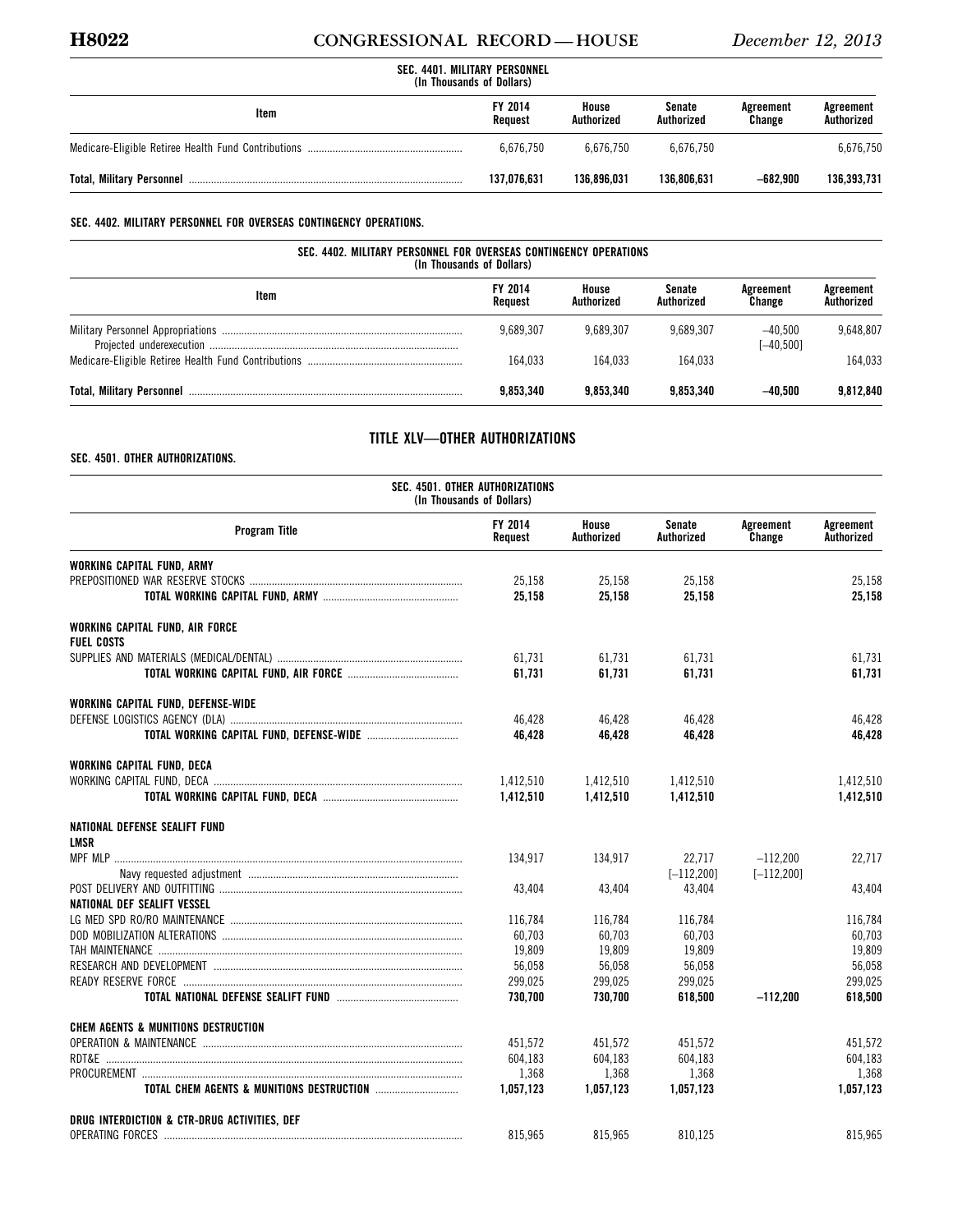## **H8022 CONGRESSIONAL RECORD — HOUSE** *December 12, 2013*

| SEC. 4401. MILITARY PERSONNEL<br>(In Thousands of Dollars) |                           |                     |                      |                     |                         |  |
|------------------------------------------------------------|---------------------------|---------------------|----------------------|---------------------|-------------------------|--|
| ltem                                                       | <b>FY 2014</b><br>Reauest | House<br>Authorized | Senate<br>Authorized | Agreement<br>Change | Agreement<br>Authorized |  |
|                                                            | 6.676.750                 | 6.676.750           | 6.676.750            |                     | 6,676,750               |  |
|                                                            | 137.076.631               | 136.896.031         | 136.806.631          | $-682.900$          | 136,393,731             |  |

## **SEC. 4402. MILITARY PERSONNEL FOR OVERSEAS CONTINGENCY OPERATIONS.**

| SEC. 4402. MILITARY PERSONNEL FOR OVERSEAS CONTINGENCY OPERATIONS<br>(In Thousands of Dollars) |                    |                     |                      |                           |                         |  |  |
|------------------------------------------------------------------------------------------------|--------------------|---------------------|----------------------|---------------------------|-------------------------|--|--|
| Item                                                                                           | FY 2014<br>Reauest | House<br>Authorized | Senate<br>Authorized | Agreement<br>Change       | Agreement<br>Authorized |  |  |
|                                                                                                | 9.689.307          | 9.689.307           | 9.689.307            | $-40.500$<br>$[-40, 500]$ | 9,648,807               |  |  |
|                                                                                                | 164.033            | 164.033             | 164.033              |                           | 164.033                 |  |  |
|                                                                                                | 9.853.340          | 9.853.340           | 9.853.340            | $-40.500$                 | 9.812.840               |  |  |

## **TITLE XLV—OTHER AUTHORIZATIONS**

**SEC. 4501. OTHER AUTHORIZATIONS.** 

| SEC. 4501. OTHER AUTHORIZATIONS<br>(In Thousands of Dollars) |                    |                     |                      |                     |                         |  |  |  |  |  |
|--------------------------------------------------------------|--------------------|---------------------|----------------------|---------------------|-------------------------|--|--|--|--|--|
| <b>Program Title</b>                                         | FY 2014<br>Request | House<br>Authorized | Senate<br>Authorized | Agreement<br>Change | Agreement<br>Authorized |  |  |  |  |  |
| WORKING CAPITAL FUND, ARMY                                   |                    |                     |                      |                     |                         |  |  |  |  |  |
|                                                              | 25,158             | 25,158              | 25,158               |                     | 25,158                  |  |  |  |  |  |
|                                                              | 25.158             | 25.158              | 25.158               |                     | 25.158                  |  |  |  |  |  |
| WORKING CAPITAL FUND, AIR FORCE                              |                    |                     |                      |                     |                         |  |  |  |  |  |
| <b>FUEL COSTS</b>                                            |                    |                     |                      |                     |                         |  |  |  |  |  |
|                                                              | 61.731             | 61.731              | 61.731               |                     | 61,731                  |  |  |  |  |  |
|                                                              | 61,731             | 61,731              | 61,731               |                     | 61,731                  |  |  |  |  |  |
| WORKING CAPITAL FUND, DEFENSE-WIDE                           |                    |                     |                      |                     |                         |  |  |  |  |  |
|                                                              | 46.428             | 46.428              | 46.428               |                     | 46.428                  |  |  |  |  |  |
|                                                              | 46,428             | 46,428              | 46,428               |                     | 46,428                  |  |  |  |  |  |
| WORKING CAPITAL FUND, DECA                                   |                    |                     |                      |                     |                         |  |  |  |  |  |
|                                                              | 1,412,510          | 1,412,510           | 1,412,510            |                     | 1,412,510               |  |  |  |  |  |
|                                                              | 1,412,510          | 1,412,510           | 1,412,510            |                     | 1,412,510               |  |  |  |  |  |
| NATIONAL DEFENSE SEALIFT FUND                                |                    |                     |                      |                     |                         |  |  |  |  |  |
| <b>LMSR</b>                                                  |                    |                     |                      |                     |                         |  |  |  |  |  |
|                                                              | 134.917            | 134,917             | 22,717               | $-112,200$          | 22,717                  |  |  |  |  |  |
|                                                              |                    |                     | $[-112.200]$         | $[-112, 200]$       |                         |  |  |  |  |  |
|                                                              | 43.404             | 43,404              | 43,404               |                     | 43,404                  |  |  |  |  |  |
| NATIONAL DEF SEALIFT VESSEL                                  |                    |                     |                      |                     |                         |  |  |  |  |  |
|                                                              | 116,784            | 116,784             | 116,784              |                     | 116,784                 |  |  |  |  |  |
|                                                              | 60,703             | 60.703              | 60.703               |                     | 60.703                  |  |  |  |  |  |
|                                                              | 19,809             | 19,809              | 19,809               |                     | 19,809                  |  |  |  |  |  |
|                                                              | 56,058             | 56,058              | 56,058               |                     | 56,058                  |  |  |  |  |  |
|                                                              | 299,025            | 299,025             | 299,025              |                     | 299,025                 |  |  |  |  |  |
|                                                              | 730.700            | 730.700             | 618.500              | $-112.200$          | 618.500                 |  |  |  |  |  |
| <b>CHEM AGENTS &amp; MUNITIONS DESTRUCTION</b>               |                    |                     |                      |                     |                         |  |  |  |  |  |
|                                                              | 451.572            | 451.572             | 451.572              |                     | 451,572                 |  |  |  |  |  |
|                                                              | 604,183            | 604,183             | 604,183              |                     | 604,183                 |  |  |  |  |  |
|                                                              | 1,368              | 1,368               | 1,368                |                     | 1,368                   |  |  |  |  |  |
| <b>TOTAL CHEM AGENTS &amp; MUNITIONS DESTRUCTION </b>        | 1.057.123          | 1.057.123           | 1.057.123            |                     | 1,057,123               |  |  |  |  |  |
| DRUG INTERDICTION & CTR-DRUG ACTIVITIES, DEF                 |                    |                     |                      |                     |                         |  |  |  |  |  |
|                                                              | 815,965            | 815,965             | 810,125              |                     | 815,965                 |  |  |  |  |  |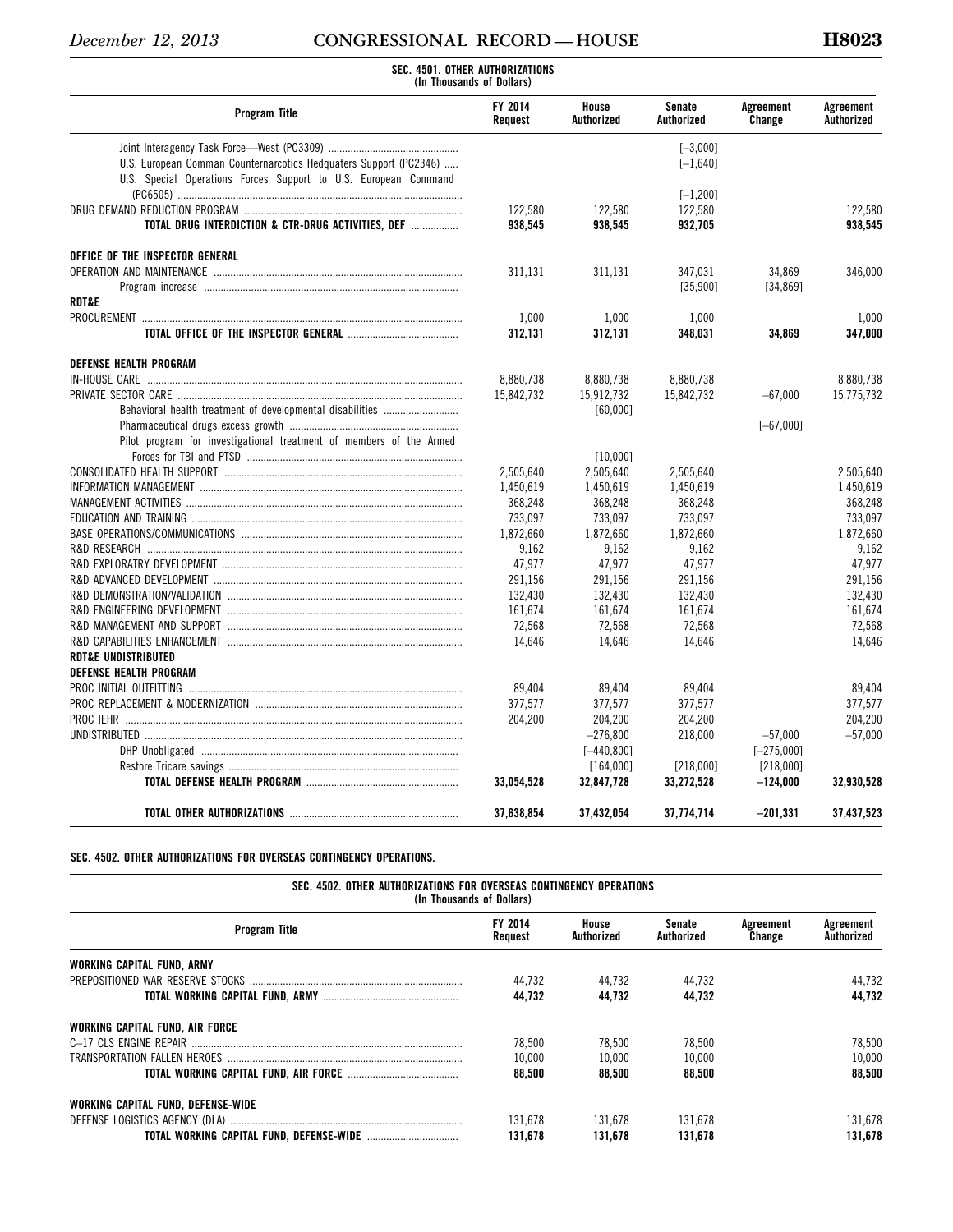# *December 12, 2013* **CONGRESSIONAL RECORD — HOUSE H8023 SEC. 4501. OTHER AUTHORIZATIONS**

| (In Thousands of Dollars)                                           |                    |                     |                             |                     |                         |  |  |  |  |  |
|---------------------------------------------------------------------|--------------------|---------------------|-----------------------------|---------------------|-------------------------|--|--|--|--|--|
| <b>Program Title</b>                                                | FY 2014<br>Request | House<br>Authorized | <b>Senate</b><br>Authorized | Agreement<br>Change | Agreement<br>Authorized |  |  |  |  |  |
|                                                                     |                    |                     | $[-3,000]$                  |                     |                         |  |  |  |  |  |
| U.S. European Comman Counternarcotics Hedguaters Support (PC2346)   |                    |                     | $[-1, 640]$                 |                     |                         |  |  |  |  |  |
| U.S. Special Operations Forces Support to U.S. European Command     |                    |                     |                             |                     |                         |  |  |  |  |  |
|                                                                     |                    |                     | $[-1, 200]$                 |                     |                         |  |  |  |  |  |
|                                                                     | 122,580            | 122,580             | 122,580                     |                     | 122,580                 |  |  |  |  |  |
| TOTAL DRUG INTERDICTION & CTR-DRUG ACTIVITIES, DEF                  | 938,545            | 938.545             | 932.705                     |                     | 938.545                 |  |  |  |  |  |
| OFFICE OF THE INSPECTOR GENERAL                                     |                    |                     |                             |                     |                         |  |  |  |  |  |
|                                                                     | 311,131            | 311,131             | 347,031                     | 34,869              | 346,000                 |  |  |  |  |  |
|                                                                     |                    |                     | [35,900]                    | [34, 869]           |                         |  |  |  |  |  |
| <b>RDT&amp;E</b>                                                    |                    |                     |                             |                     |                         |  |  |  |  |  |
|                                                                     | 1,000              | 1,000               | 1,000                       |                     | 1,000                   |  |  |  |  |  |
|                                                                     | 312,131            | 312,131             | 348,031                     | 34,869              | 347,000                 |  |  |  |  |  |
| <b>DEFENSE HEALTH PROGRAM</b>                                       |                    |                     |                             |                     |                         |  |  |  |  |  |
|                                                                     | 8,880,738          | 8,880,738           | 8,880,738                   |                     | 8.880.738               |  |  |  |  |  |
|                                                                     | 15.842.732         | 15.912.732          | 15.842.732                  | $-67,000$           | 15,775,732              |  |  |  |  |  |
| Behavioral health treatment of developmental disabilities           |                    | [60,000]            |                             |                     |                         |  |  |  |  |  |
|                                                                     |                    |                     |                             | $[-67,000]$         |                         |  |  |  |  |  |
| Pilot program for investigational treatment of members of the Armed |                    | [10,000]            |                             |                     |                         |  |  |  |  |  |
|                                                                     | 2,505,640          | 2,505,640           | 2,505,640                   |                     | 2,505,640               |  |  |  |  |  |
|                                                                     | 1,450,619          | 1,450,619           | 1,450,619                   |                     | 1,450,619               |  |  |  |  |  |
|                                                                     | 368,248            | 368,248             | 368,248                     |                     | 368,248                 |  |  |  |  |  |
|                                                                     | 733,097            | 733,097             | 733,097                     |                     | 733,097                 |  |  |  |  |  |
|                                                                     | 1,872,660          | 1,872,660           | 1.872.660                   |                     | 1,872,660               |  |  |  |  |  |
|                                                                     | 9.162              | 9.162               | 9.162                       |                     | 9.162                   |  |  |  |  |  |
|                                                                     | 47,977             | 47,977              | 47,977                      |                     | 47,977                  |  |  |  |  |  |
|                                                                     | 291,156            | 291,156             | 291,156                     |                     | 291.156                 |  |  |  |  |  |
|                                                                     | 132,430            | 132,430             | 132,430                     |                     | 132,430                 |  |  |  |  |  |
|                                                                     | 161,674            | 161,674             | 161,674                     |                     | 161,674                 |  |  |  |  |  |
|                                                                     | 72,568             | 72,568              | 72,568                      |                     | 72,568                  |  |  |  |  |  |
|                                                                     | 14,646             | 14,646              | 14,646                      |                     | 14,646                  |  |  |  |  |  |
| <b>RDT&amp;E UNDISTRIBUTED</b>                                      |                    |                     |                             |                     |                         |  |  |  |  |  |
| <b>DEFENSE HEALTH PROGRAM</b>                                       |                    |                     |                             |                     |                         |  |  |  |  |  |
| PROC INITIAL OUTFITTING                                             | 89,404             | 89,404              | 89,404                      |                     | 89,404                  |  |  |  |  |  |
|                                                                     | 377.577            | 377.577             | 377.577                     |                     | 377.577                 |  |  |  |  |  |
|                                                                     | 204,200            | 204,200             | 204,200                     |                     | 204,200                 |  |  |  |  |  |
|                                                                     |                    | $-276.800$          | 218.000                     | $-57,000$           | $-57.000$               |  |  |  |  |  |
|                                                                     |                    | $[-440, 800]$       |                             | $[-275,000]$        |                         |  |  |  |  |  |
|                                                                     |                    | [164,000]           | [218,000]                   | [218,000]           |                         |  |  |  |  |  |
|                                                                     | 33,054,528         | 32,847,728          | 33,272,528                  | $-124,000$          | 32,930,528              |  |  |  |  |  |
|                                                                     | 37,638,854         | 37,432,054          | 37,774,714                  | $-201,331$          | 37,437,523              |  |  |  |  |  |

**SEC. 4502. OTHER AUTHORIZATIONS FOR OVERSEAS CONTINGENCY OPERATIONS.** 

| SEC. 4502. OTHER AUTHORIZATIONS FOR OVERSEAS CONTINGENCY OPERATIONS<br>(In Thousands of Dollars) |                    |                     |                      |                     |                         |  |  |  |  |  |
|--------------------------------------------------------------------------------------------------|--------------------|---------------------|----------------------|---------------------|-------------------------|--|--|--|--|--|
| <b>Program Title</b>                                                                             | FY 2014<br>Reauest | House<br>Authorized | Senate<br>Authorized | Agreement<br>Change | Agreement<br>Authorized |  |  |  |  |  |
| WORKING CAPITAL FUND, ARMY                                                                       |                    |                     |                      |                     |                         |  |  |  |  |  |
|                                                                                                  | 44.732             | 44.732              | 44,732               |                     | 44,732                  |  |  |  |  |  |
|                                                                                                  | 44.732             | 44.732              | 44.732               |                     | 44.732                  |  |  |  |  |  |
| WORKING CAPITAL FUND, AIR FORCE                                                                  |                    |                     |                      |                     |                         |  |  |  |  |  |
|                                                                                                  | 78.500             | 78.500              | 78,500               |                     | 78,500                  |  |  |  |  |  |
|                                                                                                  | 10.000             | 10.000              | 10.000               |                     | 10,000                  |  |  |  |  |  |
|                                                                                                  | 88.500             | 88.500              | 88.500               |                     | 88.500                  |  |  |  |  |  |
| WORKING CAPITAL FUND, DEFENSE-WIDE                                                               |                    |                     |                      |                     |                         |  |  |  |  |  |
|                                                                                                  | 131.678            | 131.678             | 131,678              |                     | 131,678                 |  |  |  |  |  |
|                                                                                                  | 131.678            | 131.678             | 131.678              |                     | 131.678                 |  |  |  |  |  |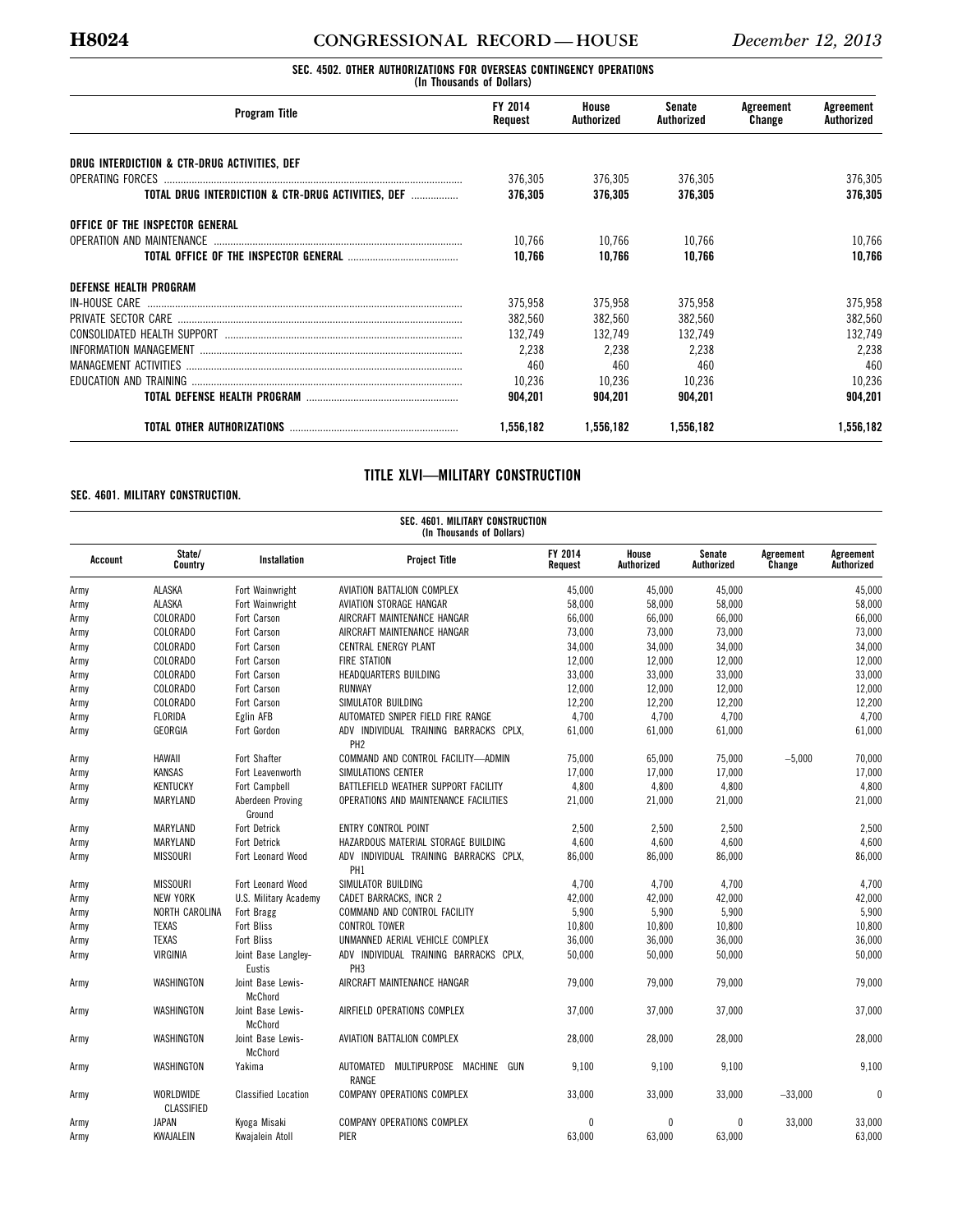## **H8024 CONGRESSIONAL RECORD — HOUSE** *December 12, 2013*

### **SEC. 4502. OTHER AUTHORIZATIONS FOR OVERSEAS CONTINGENCY OPERATIONS (In Thousands of Dollars)**

| <b>Program Title</b>                               | FY 2014<br>Request | House<br>Authorized | Senate<br>Authorized | Agreement<br>Change | Agreement<br>Authorized |
|----------------------------------------------------|--------------------|---------------------|----------------------|---------------------|-------------------------|
| DRUG INTERDICTION & CTR-DRUG ACTIVITIES, DEF       |                    |                     |                      |                     |                         |
|                                                    | 376,305            | 376,305             | 376.305              |                     | 376,305                 |
| TOTAL DRUG INTERDICTION & CTR-DRUG ACTIVITIES, DEF | 376.305            | 376.305             | 376.305              |                     | 376.305                 |
| OFFICE OF THE INSPECTOR GENERAL                    |                    |                     |                      |                     |                         |
| OPERATION AND MAINTENANCE                          | 10.766             | 10,766              | 10.766               |                     | 10,766                  |
|                                                    | 10.766             | 10.766              | 10,766               |                     | 10,766                  |
| <b>DEFENSE HEALTH PROGRAM</b>                      |                    |                     |                      |                     |                         |
| IN-HOUSE CARE                                      | 375,958            | 375,958             | 375,958              |                     | 375,958                 |
|                                                    | 382.560            | 382,560             | 382,560              |                     | 382,560                 |
|                                                    | 132.749            | 132.749             | 132.749              |                     | 132,749                 |
|                                                    | 2,238              | 2,238               | 2,238                |                     | 2,238                   |
|                                                    | 460                | 460                 | 460                  |                     | 460                     |
|                                                    | 10,236             | 10,236              | 10,236               |                     | 10,236                  |
|                                                    | 904.201            | 904.201             | 904.201              |                     | 904.201                 |
|                                                    | 1,556,182          | 1,556,182           | 1,556,182            |                     | 1,556,182               |

## **TITLE XLVI—MILITARY CONSTRUCTION**

## **SEC. 4601. MILITARY CONSTRUCTION.**

|         | SEC. 4601. MILITARY CONSTRUCTION<br>(In Thousands of Dollars) |                               |                                                           |                    |                     |                             |                     |                         |  |  |  |  |
|---------|---------------------------------------------------------------|-------------------------------|-----------------------------------------------------------|--------------------|---------------------|-----------------------------|---------------------|-------------------------|--|--|--|--|
| Account | State/<br>Country                                             | <b>Installation</b>           | <b>Project Title</b>                                      | FY 2014<br>Request | House<br>Authorized | <b>Senate</b><br>Authorized | Agreement<br>Change | Agreement<br>Authorized |  |  |  |  |
| Army    | <b>ALASKA</b>                                                 | Fort Wainwright               | AVIATION BATTALION COMPLEX                                | 45.000             | 45.000              | 45.000                      |                     | 45,000                  |  |  |  |  |
| Army    | ALASKA                                                        | Fort Wainwright               | AVIATION STORAGE HANGAR                                   | 58,000             | 58,000              | 58,000                      |                     | 58,000                  |  |  |  |  |
| Army    | <b>COLORADO</b>                                               | Fort Carson                   | AIRCRAFT MAINTENANCE HANGAR                               | 66,000             | 66,000              | 66,000                      |                     | 66,000                  |  |  |  |  |
| Army    | COLORADO                                                      | Fort Carson                   | AIRCRAFT MAINTENANCE HANGAR                               | 73,000             | 73,000              | 73,000                      |                     | 73,000                  |  |  |  |  |
| Army    | <b>COLORADO</b>                                               | Fort Carson                   | <b>CENTRAL ENERGY PLANT</b>                               | 34,000             | 34,000              | 34,000                      |                     | 34,000                  |  |  |  |  |
| Army    | <b>COLORADO</b>                                               | Fort Carson                   | <b>FIRE STATION</b>                                       | 12,000             | 12,000              | 12,000                      |                     | 12,000                  |  |  |  |  |
| Army    | COLORADO                                                      | Fort Carson                   | HEADQUARTERS BUILDING                                     | 33.000             | 33.000              | 33.000                      |                     | 33,000                  |  |  |  |  |
| Army    | <b>COLORADO</b>                                               | Fort Carson                   | RUNWAY                                                    | 12,000             | 12,000              | 12,000                      |                     | 12,000                  |  |  |  |  |
| Army    | <b>COLORADO</b>                                               | Fort Carson                   | SIMULATOR BUILDING                                        | 12,200             | 12,200              | 12,200                      |                     | 12,200                  |  |  |  |  |
| Army    | <b>FLORIDA</b>                                                | Eglin AFB                     | AUTOMATED SNIPER FIELD FIRE RANGE                         | 4,700              | 4,700               | 4,700                       |                     | 4,700                   |  |  |  |  |
| Army    | GEORGIA                                                       | Fort Gordon                   | ADV INDIVIDUAL TRAINING BARRACKS CPLX,<br>PH <sub>2</sub> | 61,000             | 61,000              | 61,000                      |                     | 61,000                  |  |  |  |  |
| Army    | <b>HAWAII</b>                                                 | Fort Shafter                  | COMMAND AND CONTROL FACILITY-ADMIN                        | 75,000             | 65,000              | 75,000                      | $-5,000$            | 70,000                  |  |  |  |  |
| Army    | KANSAS                                                        | Fort Leavenworth              | SIMULATIONS CENTER                                        | 17,000             | 17.000              | 17,000                      |                     | 17,000                  |  |  |  |  |
| Army    | <b>KENTUCKY</b>                                               | Fort Campbell                 | BATTLEFIELD WEATHER SUPPORT FACILITY                      | 4,800              | 4,800               | 4,800                       |                     | 4,800                   |  |  |  |  |
| Army    | MARYLAND                                                      | Aberdeen Proving<br>Ground    | OPERATIONS AND MAINTENANCE FACILITIES                     | 21,000             | 21,000              | 21,000                      |                     | 21,000                  |  |  |  |  |
| Army    | MARYLAND                                                      | Fort Detrick                  | <b>ENTRY CONTROL POINT</b>                                | 2,500              | 2,500               | 2,500                       |                     | 2,500                   |  |  |  |  |
| Army    | MARYLAND                                                      | <b>Fort Detrick</b>           | HAZARDOUS MATERIAL STORAGE BUILDING                       | 4,600              | 4,600               | 4,600                       |                     | 4,600                   |  |  |  |  |
| Army    | <b>MISSOURI</b>                                               | Fort Leonard Wood             | ADV INDIVIDUAL TRAINING BARRACKS CPLX,<br>PH <sub>1</sub> | 86,000             | 86,000              | 86,000                      |                     | 86,000                  |  |  |  |  |
| Army    | <b>MISSOURI</b>                                               | Fort Leonard Wood             | SIMULATOR BUILDING                                        | 4,700              | 4,700               | 4,700                       |                     | 4,700                   |  |  |  |  |
| Army    | <b>NEW YORK</b>                                               | U.S. Military Academy         | CADET BARRACKS, INCR 2                                    | 42,000             | 42,000              | 42,000                      |                     | 42,000                  |  |  |  |  |
| Army    | <b>NORTH CAROLINA</b>                                         | Fort Bragg                    | COMMAND AND CONTROL FACILITY                              | 5,900              | 5,900               | 5,900                       |                     | 5,900                   |  |  |  |  |
| Army    | <b>TEXAS</b>                                                  | Fort Bliss                    | <b>CONTROL TOWER</b>                                      | 10,800             | 10,800              | 10,800                      |                     | 10,800                  |  |  |  |  |
| Army    | <b>TEXAS</b>                                                  | Fort Bliss                    | UNMANNED AERIAL VEHICLE COMPLEX                           | 36,000             | 36,000              | 36,000                      |                     | 36,000                  |  |  |  |  |
| Army    | VIRGINIA                                                      | Joint Base Langley-<br>Eustis | ADV INDIVIDUAL TRAINING BARRACKS CPLX,<br>PH <sub>3</sub> | 50,000             | 50,000              | 50,000                      |                     | 50,000                  |  |  |  |  |
| Army    | WASHINGTON                                                    | Joint Base Lewis-<br>McChord  | AIRCRAFT MAINTENANCE HANGAR                               | 79,000             | 79,000              | 79,000                      |                     | 79,000                  |  |  |  |  |
| Army    | WASHINGTON                                                    | Joint Base Lewis-<br>McChord  | AIRFIELD OPERATIONS COMPLEX                               | 37,000             | 37,000              | 37,000                      |                     | 37,000                  |  |  |  |  |
| Army    | WASHINGTON                                                    | Joint Base Lewis-<br>McChord  | AVIATION BATTALION COMPLEX                                | 28,000             | 28,000              | 28,000                      |                     | 28,000                  |  |  |  |  |
| Army    | WASHINGTON                                                    | Yakima                        | AUTOMATED MULTIPURPOSE MACHINE<br>GUN<br><b>RANGE</b>     | 9,100              | 9,100               | 9,100                       |                     | 9,100                   |  |  |  |  |
| Army    | <b>WORLDWIDE</b><br>CLASSIFIED                                | <b>Classified Location</b>    | <b>COMPANY OPERATIONS COMPLEX</b>                         | 33,000             | 33,000              | 33,000                      | $-33,000$           | $\theta$                |  |  |  |  |
| Army    | <b>JAPAN</b>                                                  | Kyoga Misaki                  | <b>COMPANY OPERATIONS COMPLEX</b>                         | 0                  | $\theta$            | $\Omega$                    | 33,000              | 33,000                  |  |  |  |  |
| Army    | KWAJALEIN                                                     | Kwajalein Atoll               | PIER                                                      | 63,000             | 63.000              | 63,000                      |                     | 63,000                  |  |  |  |  |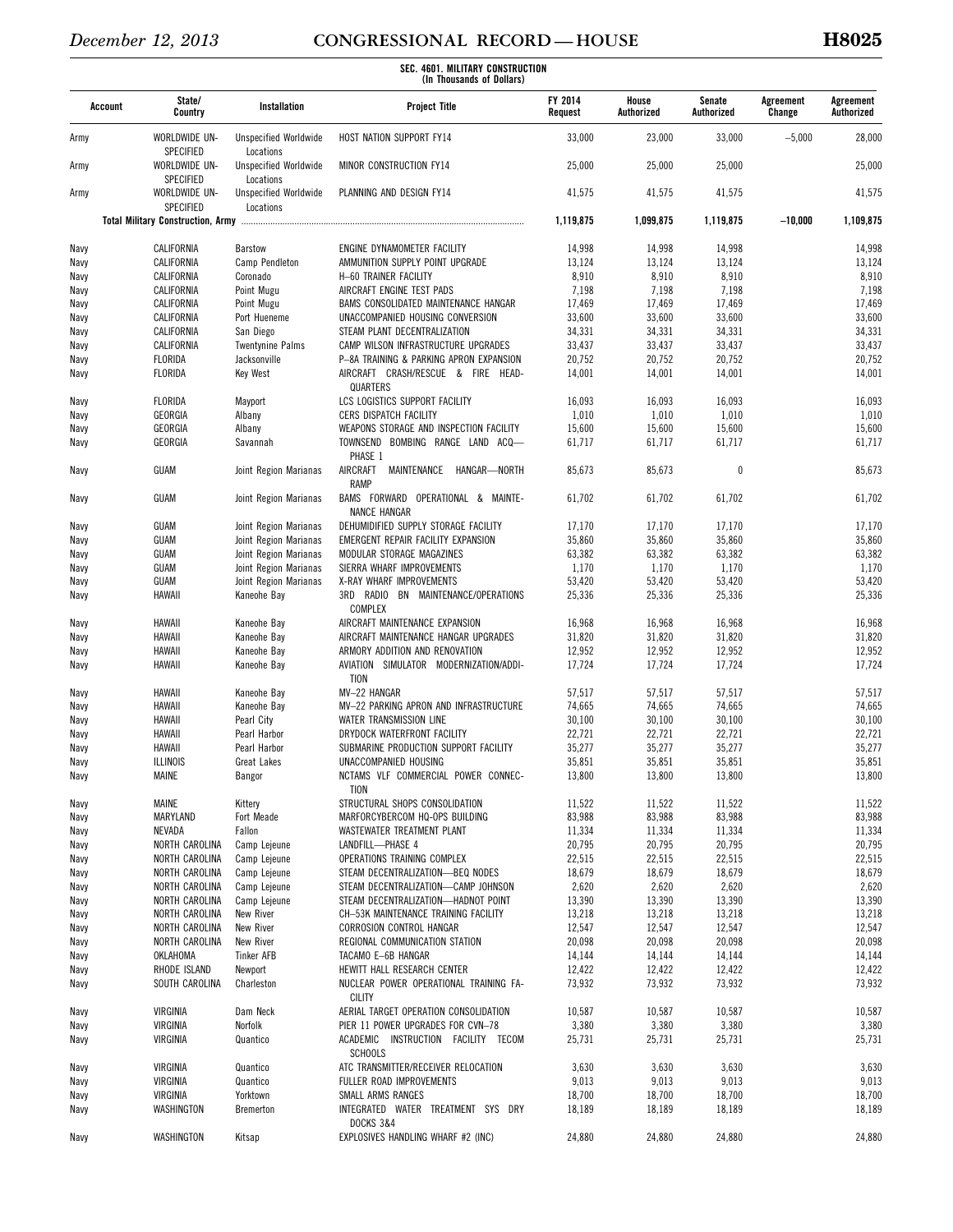| Account      | State/<br>Country                 | Installation                              | <b>Project Title</b>                                                   | FY 2014<br>Request | House<br>Authorized | Senate<br>Authorized | Agreement<br>Change | Agreement<br>Authorized |
|--------------|-----------------------------------|-------------------------------------------|------------------------------------------------------------------------|--------------------|---------------------|----------------------|---------------------|-------------------------|
| Army         | WORLDWIDE UN-<br>SPECIFIED        | <b>Unspecified Worldwide</b><br>Locations | HOST NATION SUPPORT FY14                                               | 33,000             | 23,000              | 33,000               | $-5,000$            | 28,000                  |
| Army         | WORLDWIDE UN-<br><b>SPECIFIED</b> | <b>Unspecified Worldwide</b><br>Locations | MINOR CONSTRUCTION FY14                                                | 25,000             | 25,000              | 25,000               |                     | 25,000                  |
| Army         | WORLDWIDE UN-<br>SPECIFIED        | <b>Unspecified Worldwide</b><br>Locations | PLANNING AND DESIGN FY14                                               | 41,575             | 41,575              | 41,575               |                     | 41,575                  |
|              |                                   |                                           |                                                                        | 1,119,875          | 1,099,875           | 1,119,875            | $-10,000$           | 1,109,875               |
| Navy         | CALIFORNIA                        | Barstow                                   | ENGINE DYNAMOMETER FACILITY                                            | 14,998             | 14,998              | 14,998               |                     | 14,998                  |
| Navy         | CALIFORNIA                        | Camp Pendleton                            | AMMUNITION SUPPLY POINT UPGRADE                                        | 13,124             | 13,124              | 13,124               |                     | 13,124                  |
| Navy         | CALIFORNIA                        | Coronado                                  | H-60 TRAINER FACILITY                                                  | 8,910              | 8,910               | 8,910                |                     | 8,910                   |
| Navy         | CALIFORNIA                        | Point Mugu                                | AIRCRAFT ENGINE TEST PADS                                              | 7,198              | 7,198               | 7,198                |                     | 7,198                   |
| Navy         | CALIFORNIA                        | Point Mugu                                | BAMS CONSOLIDATED MAINTENANCE HANGAR                                   | 17,469             | 17,469              | 17,469               |                     | 17,469                  |
| Navy         | CALIFORNIA<br>CALIFORNIA          | Port Hueneme                              | UNACCOMPANIED HOUSING CONVERSION                                       | 33,600             | 33,600              | 33,600               |                     | 33,600                  |
| Navy         | CALIFORNIA                        | San Diego<br><b>Twentynine Palms</b>      | STEAM PLANT DECENTRALIZATION<br>CAMP WILSON INFRASTRUCTURE UPGRADES    | 34,331<br>33,437   | 34,331<br>33,437    | 34,331<br>33,437     |                     | 34,331<br>33,437        |
| Navy<br>Navy | <b>FLORIDA</b>                    | Jacksonville                              | P-8A TRAINING & PARKING APRON EXPANSION                                | 20,752             | 20,752              | 20,752               |                     | 20,752                  |
| Navy         | <b>FLORIDA</b>                    | Key West                                  | AIRCRAFT CRASH/RESCUE & FIRE HEAD-                                     | 14,001             | 14,001              | 14,001               |                     | 14,001                  |
|              |                                   |                                           | QUARTERS                                                               |                    |                     |                      |                     |                         |
| Navy         | FLORIDA                           | Mayport                                   | LCS LOGISTICS SUPPORT FACILITY                                         | 16,093             | 16,093              | 16,093               |                     | 16,093                  |
| Navy         | GEORGIA                           | Albany                                    | CERS DISPATCH FACILITY                                                 | 1,010              | 1,010               | 1,010                |                     | 1,010                   |
| Navy         | GEORGIA                           | Albany                                    | WEAPONS STORAGE AND INSPECTION FACILITY                                | 15,600             | 15,600              | 15,600               |                     | 15,600                  |
| Navy         | GEORGIA                           | Savannah                                  | TOWNSEND BOMBING RANGE LAND ACQ-<br>PHASE 1                            | 61,717             | 61,717              | 61,717               |                     | 61,717                  |
| Navy         | GUAM                              | Joint Region Marianas                     | AIRCRAFT<br>MAINTENANCE<br>HANGAR—NORTH<br><b>RAMP</b>                 | 85,673             | 85,673              | $\mathbf{0}$         |                     | 85,673                  |
| Navy         | GUAM                              | Joint Region Marianas                     | BAMS FORWARD OPERATIONAL & MAINTE-<br><b>NANCE HANGAR</b>              | 61,702             | 61,702              | 61,702               |                     | 61,702                  |
| Navy         | GUAM                              | Joint Region Marianas                     | DEHUMIDIFIED SUPPLY STORAGE FACILITY                                   | 17,170             | 17,170              | 17,170               |                     | 17,170                  |
| Navy         | GUAM                              | Joint Region Marianas                     | EMERGENT REPAIR FACILITY EXPANSION                                     | 35,860             | 35,860              | 35,860               |                     | 35,860                  |
| Navy         | GUAM                              | Joint Region Marianas                     | MODULAR STORAGE MAGAZINES                                              | 63,382             | 63,382              | 63,382               |                     | 63,382                  |
| Navy         | GUAM                              | Joint Region Marianas                     | SIERRA WHARF IMPROVEMENTS                                              | 1,170              | 1,170               | 1,170                |                     | 1,170                   |
| Navy         | GUAM<br>HAWAII                    | Joint Region Marianas                     | X-RAY WHARF IMPROVEMENTS<br>RADIO BN MAINTENANCE/OPERATIONS<br>3RD     | 53,420             | 53,420              | 53,420               |                     | 53,420                  |
| Navy         |                                   | Kaneohe Bay                               | <b>COMPLEX</b>                                                         | 25,336             | 25,336              | 25,336               |                     | 25,336                  |
| Navy         | HAWAII                            | Kaneohe Bay                               | AIRCRAFT MAINTENANCE EXPANSION                                         | 16,968             | 16,968              | 16,968               |                     | 16,968                  |
| Navy         | HAWAII<br>HAWAII                  | Kaneohe Bay<br>Kaneohe Bay                | AIRCRAFT MAINTENANCE HANGAR UPGRADES<br>ARMORY ADDITION AND RENOVATION | 31,820<br>12,952   | 31,820<br>12,952    | 31,820<br>12,952     |                     | 31,820<br>12,952        |
| Navy<br>Navy | HAWAII                            | Kaneohe Bay                               | AVIATION SIMULATOR MODERNIZATION/ADDI-<br>TION                         | 17,724             | 17,724              | 17,724               |                     | 17,724                  |
| Navy         | HAWAII                            | Kaneohe Bay                               | MV-22 HANGAR                                                           | 57,517             | 57,517              | 57,517               |                     | 57,517                  |
| Navy         | HAWAII                            | Kaneohe Bay                               | MV-22 PARKING APRON AND INFRASTRUCTURE                                 | 74,665             | 74,665              | 74,665               |                     | 74,665                  |
| Navy         | HAWAII                            | Pearl City                                | WATER TRANSMISSION LINE                                                | 30,100             | 30,100              | 30,100               |                     | 30,100                  |
| Navy         | HAWAII                            | Pearl Harbor                              | DRYDOCK WATERFRONT FACILITY                                            | 22,721             | 22,721              | 22,721               |                     | 22,721                  |
| Navy         | HAWAII                            | Pearl Harbor                              | SUBMARINE PRODUCTION SUPPORT FACILITY                                  | 35,277             | 35,277              | 35,277               |                     | 35,277                  |
| Navy         | <b>ILLINOIS</b>                   | <b>Great Lakes</b>                        | UNACCOMPANIED HOUSING                                                  | 35,851             | 35,851              | 35,851               |                     | 35,851                  |
| Navy         | MAINE                             | Bangor                                    | NCTAMS VLF COMMERCIAL POWER CONNEC-<br>TION                            | 13,800             | 13,800              | 13,800               |                     | 13,800                  |
| Navy         | <b>MAINE</b>                      | Kittery                                   | STRUCTURAL SHOPS CONSOLIDATION                                         | 11,522             | 11,522              | 11,522               |                     | 11,522                  |
| Navy         | MARYLAND                          | Fort Meade                                | MARFORCYBERCOM HQ-OPS BUILDING                                         | 83,988             | 83,988              | 83,988               |                     | 83,988                  |
| Navy         | NEVADA                            | Fallon                                    | WASTEWATER TREATMENT PLANT                                             | 11,334             | 11,334              | 11,334               |                     | 11,334                  |
| Navy         | NORTH CAROLINA                    | Camp Lejeune                              | LANDFILL-PHASE 4                                                       | 20,795             | 20,795              | 20,795               |                     | 20,795                  |
| Navy         | NORTH CAROLINA                    | Camp Lejeune                              | OPERATIONS TRAINING COMPLEX<br>STEAM DECENTRALIZATION-BEQ NODES        | 22,515<br>18,679   | 22,515<br>18,679    | 22,515<br>18,679     |                     | 22,515<br>18,679        |
| Navy<br>Navy | NORTH CAROLINA<br>NORTH CAROLINA  | Camp Lejeune<br>Camp Lejeune              | STEAM DECENTRALIZATION-CAMP JOHNSON                                    | 2,620              | 2,620               | 2,620                |                     | 2,620                   |
| Navy         | NORTH CAROLINA                    | Camp Lejeune                              | STEAM DECENTRALIZATION-HADNOT POINT                                    | 13,390             | 13,390              | 13,390               |                     | 13,390                  |
| Navy         | NORTH CAROLINA                    | New River                                 | CH-53K MAINTENANCE TRAINING FACILITY                                   | 13,218             | 13,218              | 13,218               |                     | 13,218                  |
| Navy         | NORTH CAROLINA                    | New River                                 | CORROSION CONTROL HANGAR                                               | 12,547             | 12,547              | 12,547               |                     | 12,547                  |
| Navy         | NORTH CAROLINA                    | New River                                 | REGIONAL COMMUNICATION STATION                                         | 20,098             | 20,098              | 20,098               |                     | 20,098                  |
| Navy         | OKLAHOMA                          | <b>Tinker AFB</b>                         | TACAMO E-6B HANGAR                                                     | 14,144             | 14,144              | 14,144               |                     | 14,144                  |
| Navy         | RHODE ISLAND                      | Newport                                   | HEWITT HALL RESEARCH CENTER                                            | 12,422             | 12,422              | 12,422               |                     | 12,422                  |
| Navy         | SOUTH CAROLINA                    | Charleston                                | NUCLEAR POWER OPERATIONAL TRAINING FA-<br><b>CILITY</b>                | 73,932             | 73,932              | 73,932               |                     | 73,932                  |
| Navy         | VIRGINIA                          | Dam Neck                                  | AERIAL TARGET OPERATION CONSOLIDATION                                  | 10,587             | 10,587              | 10,587               |                     | 10,587                  |
| Navy         | VIRGINIA<br>VIRGINIA              | Norfolk<br>Quantico                       | PIER 11 POWER UPGRADES FOR CVN-78                                      | 3,380<br>25,731    | 3,380               | 3,380                |                     | 3,380<br>25,731         |
| Navy         |                                   |                                           | ACADEMIC INSTRUCTION FACILITY TECOM<br><b>SCHOOLS</b>                  |                    | 25,731              | 25,731               |                     |                         |
| Navy         | VIRGINIA                          | Quantico                                  | ATC TRANSMITTER/RECEIVER RELOCATION                                    | 3,630              | 3,630               | 3,630                |                     | 3,630                   |
| Navy         | VIRGINIA                          | Quantico                                  | FULLER ROAD IMPROVEMENTS                                               | 9,013              | 9,013               | 9,013                |                     | 9,013                   |
| Navy<br>Navy | VIRGINIA<br>WASHINGTON            | Yorktown<br>Bremerton                     | SMALL ARMS RANGES<br>INTEGRATED WATER TREATMENT SYS DRY                | 18,700<br>18,189   | 18,700<br>18,189    | 18,700<br>18,189     |                     | 18,700<br>18,189        |
|              |                                   |                                           | <b>DOCKS 3&amp;4</b>                                                   |                    |                     |                      |                     |                         |
| Navy         | WASHINGTON                        | Kitsap                                    | EXPLOSIVES HANDLING WHARF #2 (INC)                                     | 24,880             | 24,880              | 24,880               |                     | 24,880                  |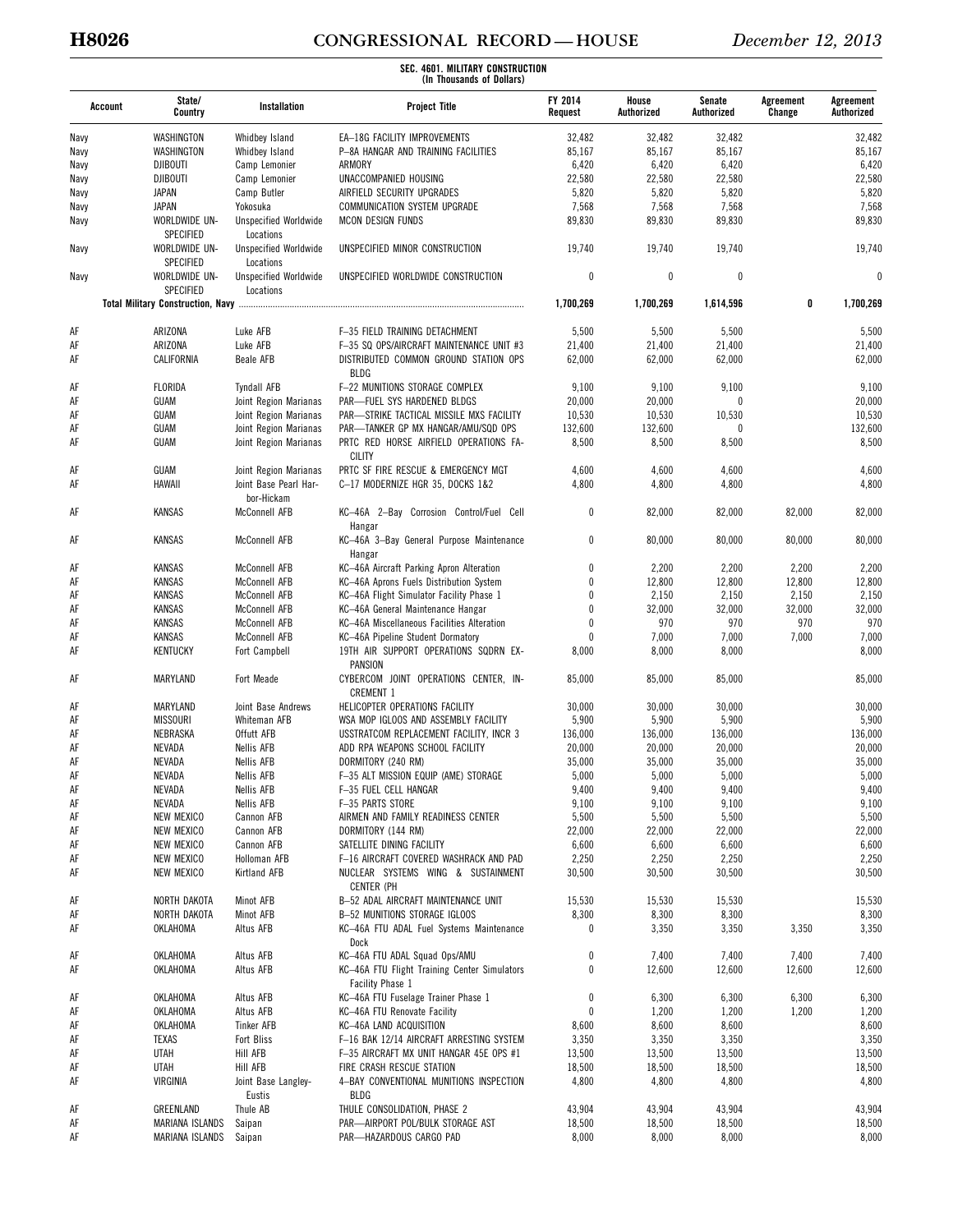# **H8026 CONGRESSIONAL RECORD — HOUSE** *December 12, 2013*

| Account | State/<br>Country                 | Installation                              | <b>Project Title</b>                                             | FY 2014<br>Request | House<br>Authorized | Senate<br>Authorized | Agreement<br>Change | Agreement<br>Authorized |
|---------|-----------------------------------|-------------------------------------------|------------------------------------------------------------------|--------------------|---------------------|----------------------|---------------------|-------------------------|
| Navy    | WASHINGTON                        | Whidbey Island                            | EA-18G FACILITY IMPROVEMENTS                                     | 32,482             | 32,482              | 32,482               |                     | 32,482                  |
| Navy    | WASHINGTON                        | Whidbey Island                            | P-8A HANGAR AND TRAINING FACILITIES                              | 85,167             | 85,167              | 85,167               |                     | 85,167                  |
| Navy    | <b>DJIBOUTI</b>                   | Camp Lemonier                             | ARMORY                                                           | 6,420              | 6,420               | 6,420                |                     | 6,420                   |
| Navy    | <b>DJIBOUTI</b>                   | Camp Lemonier                             | UNACCOMPANIED HOUSING                                            | 22,580             | 22,580              | 22,580               |                     | 22,580                  |
| Navy    | JAPAN                             | Camp Butler                               | AIRFIELD SECURITY UPGRADES                                       | 5,820              | 5,820               | 5,820                |                     | 5,820                   |
| Navy    | <b>JAPAN</b>                      | Yokosuka                                  | COMMUNICATION SYSTEM UPGRADE                                     | 7,568              | 7,568               | 7,568                |                     | 7,568                   |
| Navy    | WORLDWIDE UN-<br>SPECIFIED        | <b>Unspecified Worldwide</b><br>Locations | MCON DESIGN FUNDS                                                | 89,830             | 89,830              | 89,830               |                     | 89,830                  |
| Navy    | WORLDWIDE UN-<br><b>SPECIFIED</b> | <b>Unspecified Worldwide</b><br>Locations | UNSPECIFIED MINOR CONSTRUCTION                                   | 19,740             | 19,740              | 19,740               |                     | 19,740                  |
| Navy    | WORLDWIDE UN-<br>SPECIFIED        | <b>Unspecified Worldwide</b><br>Locations | UNSPECIFIED WORLDWIDE CONSTRUCTION                               | 0                  | $\mathbf{0}$        | $\theta$             |                     | $\theta$                |
|         |                                   |                                           |                                                                  | 1,700,269          | 1,700,269           | 1,614,596            | 0                   | 1,700,269               |
| AF      | ARIZONA                           | Luke AFB                                  | F-35 FIELD TRAINING DETACHMENT                                   | 5,500              | 5,500               | 5,500                |                     | 5,500                   |
| AF      | ARIZONA                           | Luke AFB                                  | F-35 SQ OPS/AIRCRAFT MAINTENANCE UNIT #3                         | 21,400             | 21,400              | 21,400               |                     | 21,400                  |
| AF      | CALIFORNIA                        | Beale AFB                                 | DISTRIBUTED COMMON GROUND STATION OPS<br><b>BLDG</b>             | 62,000             | 62,000              | 62,000               |                     | 62,000                  |
| AF      | FLORIDA                           | <b>Tyndall AFB</b>                        | F-22 MUNITIONS STORAGE COMPLEX                                   | 9,100              | 9,100               | 9,100                |                     | 9,100                   |
| AF      | GUAM                              | Joint Region Marianas                     | PAR-FUEL SYS HARDENED BLDGS                                      | 20,000             | 20,000              | $\Omega$             |                     | 20,000                  |
| AF      | GUAM                              | Joint Region Marianas                     | PAR-STRIKE TACTICAL MISSILE MXS FACILITY                         | 10,530             | 10,530              | 10,530               |                     | 10,530                  |
| AF      | GUAM                              | Joint Region Marianas                     | PAR-TANKER GP MX HANGAR/AMU/SQD OPS                              | 132,600            | 132,600             | $\Omega$             |                     | 132,600                 |
| AF      | GUAM                              | Joint Region Marianas                     | PRTC RED HORSE AIRFIELD OPERATIONS FA-<br><b>CILITY</b>          | 8,500              | 8,500               | 8,500                |                     | 8,500                   |
| AF      | GUAM                              | Joint Region Marianas                     | PRTC SF FIRE RESCUE & EMERGENCY MGT                              | 4,600              | 4,600               | 4,600                |                     | 4,600                   |
| AF      | HAWAII                            | Joint Base Pearl Har-<br>bor-Hickam       | C-17 MODERNIZE HGR 35, DOCKS 1&2                                 | 4,800              | 4,800               | 4,800                |                     | 4,800                   |
| AF      | KANSAS                            | McConnell AFB                             | KC-46A 2-Bay Corrosion Control/Fuel Cell<br>Hangar               | 0                  | 82,000              | 82,000               | 82,000              | 82,000                  |
| AF      | KANSAS                            | McConnell AFB                             | KC-46A 3-Bay General Purpose Maintenance<br>Hangar               | 0                  | 80,000              | 80,000               | 80,000              | 80,000                  |
| AF      | KANSAS                            | McConnell AFB                             | KC-46A Aircraft Parking Apron Alteration                         | 0                  | 2,200               | 2,200                | 2,200               | 2,200                   |
| AF      | KANSAS                            | McConnell AFB                             | KC-46A Aprons Fuels Distribution System                          | $\mathbf{0}$       | 12,800              | 12,800               | 12,800              | 12,800                  |
| AF      | KANSAS                            | McConnell AFB                             | KC-46A Flight Simulator Facility Phase 1                         | $\mathbf{0}$       | 2,150               | 2,150                | 2,150               | 2,150                   |
| AF      | KANSAS                            | McConnell AFB                             | KC-46A General Maintenance Hangar                                | $\mathbf{0}$       | 32,000              | 32,000               | 32,000              | 32,000                  |
| AF      | KANSAS                            | McConnell AFB                             | KC-46A Miscellaneous Facilities Alteration                       | 0                  | 970                 | 970                  | 970                 | 970                     |
| AF      | KANSAS                            | McConnell AFB                             | KC-46A Pipeline Student Dormatory                                | 0                  | 7,000               | 7,000                | 7,000               | 7,000                   |
| AF      | <b>KENTUCKY</b>                   | Fort Campbell                             | 19TH AIR SUPPORT OPERATIONS SQDRN EX-<br><b>PANSION</b>          | 8,000              | 8,000               | 8,000                |                     | 8,000                   |
| AF      | MARYLAND                          | Fort Meade                                | CYBERCOM JOINT OPERATIONS CENTER, IN-<br><b>CREMENT 1</b>        | 85,000             | 85,000              | 85,000               |                     | 85,000                  |
| AF      | MARYLAND                          | Joint Base Andrews                        | HELICOPTER OPERATIONS FACILITY                                   | 30,000             | 30,000              | 30,000               |                     | 30,000                  |
| AF      | <b>MISSOURI</b>                   | Whiteman AFB                              | WSA MOP IGLOOS AND ASSEMBLY FACILITY                             | 5,900              | 5,900               | 5,900                |                     | 5,900                   |
| AF      | NEBRASKA                          | Offutt AFB                                | USSTRATCOM REPLACEMENT FACILITY, INCR 3                          | 136,000            | 136,000             | 136,000              |                     | 136,000                 |
| AF      | NEVADA                            | Nellis AFB                                | ADD RPA WEAPONS SCHOOL FACILITY                                  | 20,000             | 20,000              | 20,000               |                     | 20,000                  |
| AF      | NEVADA                            | <b>Nellis AFB</b>                         | DORMITORY (240 RM)                                               | 35,000             | 35,000              | 35,000               |                     | 35,000                  |
| AF      | NEVADA                            | Nellis AFB                                | F-35 ALT MISSION EQUIP (AME) STORAGE                             | 5,000              | 5,000               | 5,000                |                     | 5,000                   |
| AF      | NEVADA                            | Nellis AFB                                | F-35 FUEL CELL HANGAR                                            | 9,400              | 9,400               | 9,400                |                     | 9,400                   |
| AF      | NEVADA                            | Nellis AFB                                | F-35 PARTS STORE                                                 | 9,100              | 9,100               | 9,100                |                     | 9,100                   |
| AF      | <b>NEW MEXICO</b>                 | Cannon AFB                                | AIRMEN AND FAMILY READINESS CENTER                               | 5,500              | 5,500               | 5,500                |                     | 5,500                   |
| AF      | <b>NEW MEXICO</b>                 | Cannon AFB                                | DORMITORY (144 RM)                                               | 22,000             | 22,000              | 22,000               |                     | 22,000                  |
| AF      | <b>NEW MEXICO</b>                 | Cannon AFB                                | SATELLITE DINING FACILITY                                        | 6,600              | 6,600               | 6,600                |                     | 6,600                   |
| AF      | <b>NEW MEXICO</b>                 | Holloman AFB                              | F-16 AIRCRAFT COVERED WASHRACK AND PAD                           | 2,250              | 2,250               | 2,250                |                     | 2,250                   |
| AF      | <b>NEW MEXICO</b>                 | Kirtland AFB                              | NUCLEAR SYSTEMS WING & SUSTAINMENT<br><b>CENTER (PH</b>          | 30,500             | 30,500              | 30,500               |                     | 30,500                  |
| AF      | NORTH DAKOTA                      | Minot AFB                                 | B-52 ADAL AIRCRAFT MAINTENANCE UNIT                              | 15,530             | 15,530              | 15,530               |                     | 15,530                  |
| AF      | NORTH DAKOTA                      | Minot AFB                                 | B-52 MUNITIONS STORAGE IGLOOS                                    | 8,300              | 8,300               | 8,300                |                     | 8,300                   |
| AF      | OKLAHOMA                          | Altus AFB                                 | KC-46A FTU ADAL Fuel Systems Maintenance<br>Dock                 | $\mathbf{0}$       | 3,350               | 3,350                | 3,350               | 3,350                   |
| AF      | OKLAHOMA                          | Altus AFB                                 | KC-46A FTU ADAL Squad Ops/AMU                                    | 0                  | 7,400               | 7,400                | 7,400               | 7,400                   |
| AF      | OKLAHOMA                          | Altus AFB                                 | KC-46A FTU Flight Training Center Simulators<br>Facility Phase 1 | 0                  | 12,600              | 12,600               | 12,600              | 12,600                  |
| AF      | OKLAHOMA                          | Altus AFB                                 | KC-46A FTU Fuselage Trainer Phase 1                              | 0                  | 6,300               | 6,300                | 6,300               | 6,300                   |
| AF      | OKLAHOMA                          | Altus AFB                                 | KC-46A FTU Renovate Facility                                     | $\mathbf{0}$       | 1,200               | 1,200                | 1,200               | 1,200                   |
| AF      | OKLAHOMA                          | <b>Tinker AFB</b>                         | KC-46A LAND ACQUISITION                                          | 8,600              | 8,600               | 8,600                |                     | 8,600                   |
| AF      | <b>TEXAS</b>                      | Fort Bliss                                | F-16 BAK 12/14 AIRCRAFT ARRESTING SYSTEM                         | 3,350              | 3,350               | 3,350                |                     | 3,350                   |
| AF      | <b>UTAH</b>                       | Hill AFB                                  | F-35 AIRCRAFT MX UNIT HANGAR 45E OPS #1                          | 13,500             | 13,500              | 13,500               |                     | 13,500                  |
| AF      | <b>UTAH</b>                       | Hill AFB                                  | FIRE CRASH RESCUE STATION                                        | 18,500             | 18,500              | 18,500               |                     | 18,500                  |
| AF      | VIRGINIA                          | Joint Base Langley-<br>Eustis             | 4-BAY CONVENTIONAL MUNITIONS INSPECTION<br><b>BLDG</b>           | 4,800              | 4,800               | 4,800                |                     | 4,800                   |
| AF      | GREENLAND                         | Thule AB                                  | THULE CONSOLIDATION, PHASE 2                                     | 43,904             | 43,904              | 43,904               |                     | 43,904                  |
| AF      | MARIANA ISLANDS                   | Saipan                                    | PAR-AIRPORT POL/BULK STORAGE AST                                 | 18,500             | 18,500              | 18,500               |                     | 18,500                  |
| AF      | MARIANA ISLANDS Saipan            |                                           | PAR-HAZARDOUS CARGO PAD                                          | 8,000              | 8,000               | 8,000                |                     | 8,000                   |
|         |                                   |                                           |                                                                  |                    |                     |                      |                     |                         |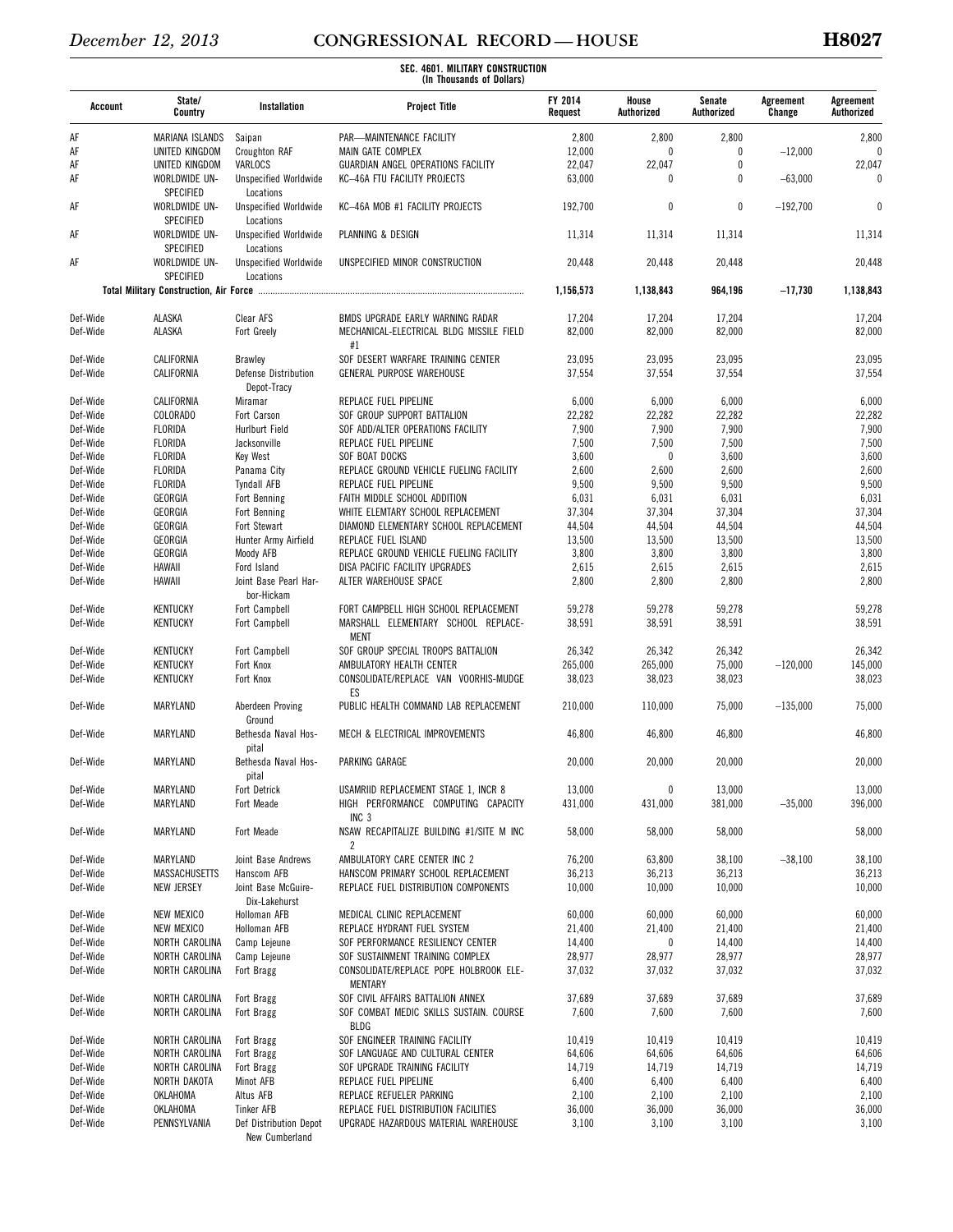| Account              | State/<br>Country                            | Installation                                           | <b>Project Title</b>                                                                        | FY 2014<br>Request | House<br>Authorized | Senate<br>Authorized | Agreement<br>Change | Agreement<br>Authorized |
|----------------------|----------------------------------------------|--------------------------------------------------------|---------------------------------------------------------------------------------------------|--------------------|---------------------|----------------------|---------------------|-------------------------|
| AF                   | <b>MARIANA ISLANDS</b>                       | Saipan                                                 | PAR-MAINTENANCE FACILITY                                                                    | 2,800              | 2,800               | 2,800                |                     | 2,800                   |
| AF                   | UNITED KINGDOM                               | Croughton RAF                                          | MAIN GATE COMPLEX                                                                           | 12,000             | 0                   | $\theta$             | $-12,000$           |                         |
| AF<br>AF             | UNITED KINGDOM<br>WORLDWIDE UN-<br>SPECIFIED | VARLOCS<br><b>Unspecified Worldwide</b>                | GUARDIAN ANGEL OPERATIONS FACILITY<br>KC-46A FTU FACILITY PROJECTS                          | 22,047<br>63,000   | 22,047<br>0         | 0<br>$\theta$        | $-63,000$           | 22,047<br><sup>0</sup>  |
| AF                   | WORLDWIDE UN-<br><b>SPECIFIED</b>            | Locations<br><b>Unspecified Worldwide</b><br>Locations | KC-46A MOB #1 FACILITY PROJECTS                                                             | 192,700            | 0                   | 0                    | $-192,700$          | $\theta$                |
| AF                   | WORLDWIDE UN-<br>SPECIFIED                   | <b>Unspecified Worldwide</b><br>Locations              | PLANNING & DESIGN                                                                           | 11,314             | 11,314              | 11,314               |                     | 11,314                  |
| AF                   | WORLDWIDE UN-<br>SPECIFIED                   | <b>Unspecified Worldwide</b><br>Locations              | UNSPECIFIED MINOR CONSTRUCTION                                                              | 20,448             | 20,448              | 20,448               |                     | 20,448                  |
|                      |                                              |                                                        |                                                                                             | 1.156.573          | 1,138,843           | 964,196              | $-17,730$           | 1,138,843               |
| Def-Wide             | ALASKA                                       | Clear AFS                                              | BMDS UPGRADE EARLY WARNING RADAR                                                            | 17,204             | 17,204              | 17,204               |                     | 17,204                  |
| Def-Wide             | ALASKA                                       | Fort Greely                                            | MECHANICAL-ELECTRICAL BLDG MISSILE FIELD<br>#1                                              | 82,000             | 82,000              | 82,000               |                     | 82,000                  |
| Def-Wide             | CALIFORNIA                                   | Brawley                                                | SOF DESERT WARFARE TRAINING CENTER                                                          | 23,095             | 23,095              | 23,095               |                     | 23,095                  |
| Def-Wide             | CALIFORNIA                                   | Defense Distribution<br>Depot-Tracy                    | GENERAL PURPOSE WAREHOUSE                                                                   | 37,554             | 37,554              | 37,554               |                     | 37,554                  |
| Def-Wide             | CALIFORNIA                                   | Miramar                                                | REPLACE FUEL PIPELINE                                                                       | 6,000              | 6,000               | 6,000                |                     | 6,000                   |
| Def-Wide             | COLORADO                                     | Fort Carson                                            | SOF GROUP SUPPORT BATTALION                                                                 | 22,282             | 22,282              | 22,282               |                     | 22,282                  |
| Def-Wide             | FLORIDA                                      | Hurlburt Field                                         | SOF ADD/ALTER OPERATIONS FACILITY                                                           | 7,900              | 7,900               | 7,900                |                     | 7,900                   |
| Def-Wide             | FLORIDA                                      | Jacksonville                                           | REPLACE FUEL PIPELINE                                                                       | 7,500              | 7,500               | 7,500                |                     | 7,500                   |
| Def-Wide             | FLORIDA                                      | Key West                                               | SOF BOAT DOCKS                                                                              | 3,600              | $\mathbf{0}$        | 3,600                |                     | 3,600                   |
| Def-Wide             | FLORIDA                                      | Panama City                                            | REPLACE GROUND VEHICLE FUELING FACILITY                                                     | 2,600              | 2,600               | 2,600                |                     | 2,600                   |
| Def-Wide             | FLORIDA                                      | <b>Tyndall AFB</b>                                     | REPLACE FUEL PIPELINE                                                                       | 9,500              | 9,500               | 9,500                |                     | 9,500                   |
| Def-Wide             | GEORGIA                                      | Fort Benning                                           | FAITH MIDDLE SCHOOL ADDITION                                                                | 6,031              | 6,031               | 6,031                |                     | 6,031                   |
| Def-Wide             | GEORGIA                                      | Fort Benning                                           | WHITE ELEMTARY SCHOOL REPLACEMENT                                                           | 37,304             | 37,304              | 37,304               |                     | 37,304                  |
| Def-Wide<br>Def-Wide | GEORGIA<br>GEORGIA                           | Fort Stewart<br>Hunter Army Airfield                   | DIAMOND ELEMENTARY SCHOOL REPLACEMENT<br>REPLACE FUEL ISLAND                                | 44,504<br>13,500   | 44,504<br>13,500    | 44,504<br>13,500     |                     | 44,504<br>13,500        |
| Def-Wide             | GEORGIA                                      | Moody AFB                                              | REPLACE GROUND VEHICLE FUELING FACILITY                                                     | 3,800              | 3,800               | 3,800                |                     | 3,800                   |
| Def-Wide             | HAWAII                                       | Ford Island                                            | DISA PACIFIC FACILITY UPGRADES                                                              | 2,615              | 2,615               | 2,615                |                     | 2,615                   |
| Def-Wide             | HAWAII                                       | Joint Base Pearl Har-<br>bor-Hickam                    | ALTER WAREHOUSE SPACE                                                                       | 2,800              | 2,800               | 2,800                |                     | 2,800                   |
| Def-Wide<br>Def-Wide | <b>KENTUCKY</b><br><b>KENTUCKY</b>           | Fort Campbell<br>Fort Campbell                         | FORT CAMPBELL HIGH SCHOOL REPLACEMENT<br>MARSHALL ELEMENTARY SCHOOL REPLACE-<br><b>MENT</b> | 59,278<br>38,591   | 59,278<br>38,591    | 59,278<br>38,591     |                     | 59,278<br>38,591        |
| Def-Wide             | <b>KENTUCKY</b>                              | Fort Campbell                                          | SOF GROUP SPECIAL TROOPS BATTALION                                                          | 26,342             | 26,342              | 26,342               |                     | 26,342                  |
| Def-Wide             | <b>KENTUCKY</b>                              | Fort Knox                                              | AMBULATORY HEALTH CENTER                                                                    | 265,000            | 265,000             | 75,000               | $-120,000$          | 145,000                 |
| Def-Wide             | <b>KENTUCKY</b>                              | Fort Knox                                              | CONSOLIDATE/REPLACE VAN VOORHIS-MUDGE<br>ES                                                 | 38,023             | 38,023              | 38,023               |                     | 38,023                  |
| Def-Wide             | MARYLAND                                     | Aberdeen Proving<br>Ground                             | PUBLIC HEALTH COMMAND LAB REPLACEMENT                                                       | 210,000            | 110,000             | 75,000               | $-135,000$          | 75,000                  |
| Def-Wide             | <b>MARYLAND</b>                              | Bethesda Naval Hos-<br>pital                           | MECH & ELECTRICAL IMPROVEMENTS                                                              | 46,800             | 46,800              | 46,800               |                     | 46,800                  |
| Def-Wide             | MARYLAND                                     | Bethesda Naval Hos-<br>pital                           | PARKING GARAGE                                                                              | 20,000             | 20,000              | 20,000               |                     | 20,000                  |
| Def-Wide             | MARYLAND                                     | Fort Detrick                                           | USAMRIID REPLACEMENT STAGE 1, INCR 8                                                        | 13,000             | 0                   | 13,000               |                     | 13,000                  |
| Def-Wide             | MARYLAND                                     | Fort Meade                                             | HIGH PERFORMANCE COMPUTING CAPACITY<br>INC <sub>3</sub>                                     | 431,000            | 431,000             | 381,000              | $-35,000$           | 396,000                 |
| Def-Wide             | MARYLAND                                     | Fort Meade                                             | NSAW RECAPITALIZE BUILDING #1/SITE M INC<br>2                                               | 58,000             | 58,000              | 58,000               |                     | 58,000                  |
| Def-Wide             | MARYLAND                                     | Joint Base Andrews                                     | AMBULATORY CARE CENTER INC 2                                                                | 76,200             | 63,800              | 38,100               | $-38,100$           | 38,100                  |
| Def-Wide             | MASSACHUSETTS                                | Hanscom AFB                                            | HANSCOM PRIMARY SCHOOL REPLACEMENT                                                          | 36,213             | 36,213              | 36,213               |                     | 36,213                  |
| Def-Wide             | <b>NEW JERSEY</b>                            | Joint Base McGuire-<br>Dix-Lakehurst                   | REPLACE FUEL DISTRIBUTION COMPONENTS                                                        | 10,000             | 10,000              | 10,000               |                     | 10,000                  |
| Def-Wide             | <b>NEW MEXICO</b>                            | Holloman AFB                                           | MEDICAL CLINIC REPLACEMENT                                                                  | 60,000             | 60,000              | 60,000               |                     | 60,000                  |
| Def-Wide             | <b>NEW MEXICO</b>                            | Holloman AFB                                           | REPLACE HYDRANT FUEL SYSTEM                                                                 | 21,400             | 21,400              | 21,400               |                     | 21,400                  |
| Def-Wide             | NORTH CAROLINA                               | Camp Lejeune                                           | SOF PERFORMANCE RESILIENCY CENTER                                                           | 14,400             | 0                   | 14,400               |                     | 14,400                  |
| Def-Wide<br>Def-Wide | NORTH CAROLINA<br>NORTH CAROLINA             | Camp Lejeune<br>Fort Bragg                             | SOF SUSTAINMENT TRAINING COMPLEX<br>CONSOLIDATE/REPLACE POPE HOLBROOK ELE-                  | 28,977<br>37,032   | 28,977<br>37,032    | 28,977<br>37,032     |                     | 28,977<br>37,032        |
| Def-Wide             | NORTH CAROLINA                               | Fort Bragg                                             | <b>MENTARY</b><br>SOF CIVIL AFFAIRS BATTALION ANNEX                                         | 37,689             | 37,689              | 37,689               |                     | 37,689                  |
| Def-Wide             | NORTH CAROLINA                               | Fort Bragg                                             | SOF COMBAT MEDIC SKILLS SUSTAIN. COURSE<br>BLDG                                             | 7,600              | 7,600               | 7,600                |                     | 7,600                   |
| Def-Wide             | NORTH CAROLINA                               | Fort Bragg                                             | SOF ENGINEER TRAINING FACILITY                                                              | 10,419             | 10,419              | 10,419               |                     | 10,419                  |
| Def-Wide             | NORTH CAROLINA                               | Fort Bragg                                             | SOF LANGUAGE AND CULTURAL CENTER                                                            | 64,606             | 64,606              | 64,606               |                     | 64,606                  |
| Def-Wide             | NORTH CAROLINA                               | Fort Bragg                                             | SOF UPGRADE TRAINING FACILITY                                                               | 14,719             | 14,719              | 14,719               |                     | 14,719                  |
| Def-Wide             | NORTH DAKOTA                                 | Minot AFB                                              | REPLACE FUEL PIPELINE                                                                       | 6,400              | 6,400               | 6,400                |                     | 6,400                   |
| Def-Wide             | OKLAHOMA                                     | Altus AFB                                              | REPLACE REFUELER PARKING                                                                    | 2,100              | 2,100               | 2,100                |                     | 2,100                   |
| Def-Wide             | OKLAHOMA                                     | <b>Tinker AFB</b>                                      | REPLACE FUEL DISTRIBUTION FACILITIES                                                        | 36,000             | 36,000              | 36,000               |                     | 36,000                  |
| Def-Wide             | PENNSYLVANIA                                 | Def Distribution Depot<br>New Cumberland               | UPGRADE HAZARDOUS MATERIAL WAREHOUSE                                                        | 3,100              | 3,100               | 3,100                |                     | 3,100                   |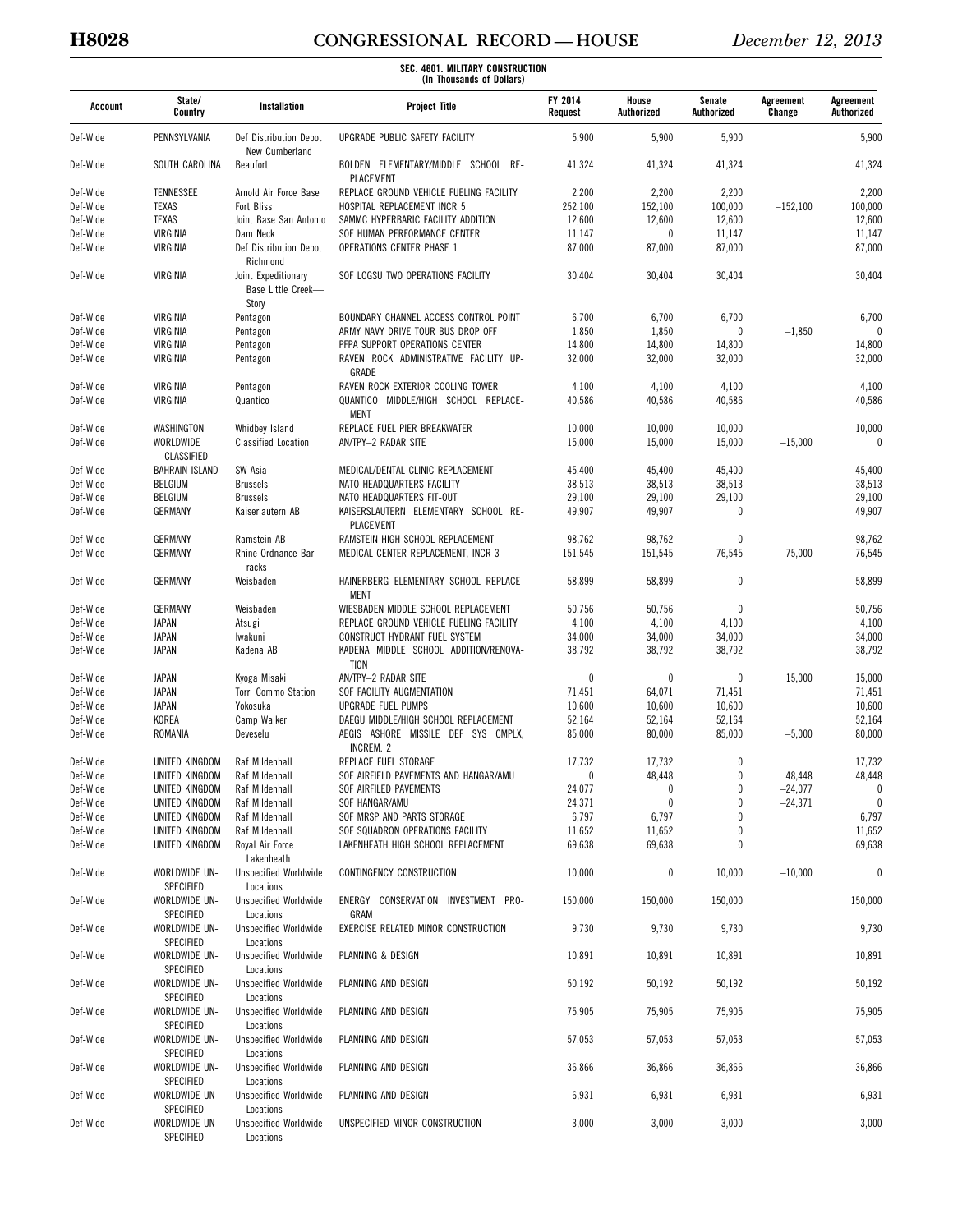# **H8028 CONGRESSIONAL RECORD — HOUSE** *December 12, 2013*

| Account  | State/<br>Country                       | Installation                                           | <b>Project Title</b>                                 | <b>FY 2014</b><br>Request | House<br>Authorized | Senate<br>Authorized | Agreement<br>Change | Agreement<br>Authorized |
|----------|-----------------------------------------|--------------------------------------------------------|------------------------------------------------------|---------------------------|---------------------|----------------------|---------------------|-------------------------|
| Def-Wide | PENNSYLVANIA                            | Def Distribution Depot<br>New Cumberland               | UPGRADE PUBLIC SAFETY FACILITY                       | 5,900                     | 5,900               | 5,900                |                     | 5,900                   |
| Def-Wide | SOUTH CAROLINA                          | Beaufort                                               | BOLDEN ELEMENTARY/MIDDLE SCHOOL RE-<br>PLACEMENT     | 41,324                    | 41,324              | 41,324               |                     | 41,324                  |
| Def-Wide | TENNESSEE                               | Arnold Air Force Base                                  | REPLACE GROUND VEHICLE FUELING FACILITY              | 2,200                     | 2,200               | 2,200                |                     | 2,200                   |
| Def-Wide | <b>TEXAS</b>                            | Fort Bliss                                             | HOSPITAL REPLACEMENT INCR 5                          | 252,100                   | 152,100             | 100,000              | $-152,100$          | 100,000                 |
| Def-Wide | <b>TEXAS</b>                            | Joint Base San Antonio                                 | SAMMC HYPERBARIC FACILITY ADDITION                   | 12,600                    | 12,600              | 12,600               |                     | 12,600                  |
| Def-Wide | VIRGINIA                                | Dam Neck                                               | SOF HUMAN PERFORMANCE CENTER                         | 11,147                    | 0                   | 11,147               |                     | 11,147                  |
| Def-Wide | VIRGINIA                                | Def Distribution Depot<br>Richmond                     | <b>OPERATIONS CENTER PHASE 1</b>                     | 87,000                    | 87,000              | 87,000               |                     | 87,000                  |
| Def-Wide | VIRGINIA                                | Joint Expeditionary<br>Base Little Creek-<br>Story     | SOF LOGSU TWO OPERATIONS FACILITY                    | 30,404                    | 30,404              | 30,404               |                     | 30,404                  |
| Def-Wide | VIRGINIA                                | Pentagon                                               | BOUNDARY CHANNEL ACCESS CONTROL POINT                | 6,700                     | 6,700               | 6,700                |                     | 6,700                   |
| Def-Wide | VIRGINIA                                | Pentagon                                               | ARMY NAVY DRIVE TOUR BUS DROP OFF                    | 1,850                     | 1,850               | $\mathbf{0}$         | $-1,850$            | $\theta$                |
| Def-Wide | VIRGINIA                                | Pentagon                                               | PFPA SUPPORT OPERATIONS CENTER                       | 14,800                    | 14,800              | 14,800               |                     | 14,800                  |
| Def-Wide | VIRGINIA                                | Pentagon                                               | RAVEN ROCK ADMINISTRATIVE FACILITY UP-<br>GRADE      | 32,000                    | 32,000              | 32,000               |                     | 32,000                  |
| Def-Wide | VIRGINIA                                | Pentagon                                               | RAVEN ROCK EXTERIOR COOLING TOWER                    | 4,100                     | 4,100               | 4,100                |                     | 4,100                   |
| Def-Wide | VIRGINIA                                | Quantico                                               | QUANTICO MIDDLE/HIGH SCHOOL REPLACE-<br>MENT         | 40,586                    | 40,586              | 40,586               |                     | 40,586                  |
| Def-Wide | WASHINGTON                              | Whidbey Island                                         | REPLACE FUEL PIER BREAKWATER                         | 10,000                    | 10,000              | 10,000               |                     | 10,000                  |
| Def-Wide | WORLDWIDE<br><b>CLASSIFIED</b>          | <b>Classified Location</b>                             | AN/TPY-2 RADAR SITE                                  | 15,000                    | 15,000              | 15,000               | $-15,000$           | $\theta$                |
| Def-Wide | <b>BAHRAIN ISLAND</b>                   | SW Asia                                                | MEDICAL/DENTAL CLINIC REPLACEMENT                    | 45,400                    | 45,400              | 45,400               |                     | 45,400                  |
| Def-Wide | <b>BELGIUM</b>                          | <b>Brussels</b>                                        | NATO HEADQUARTERS FACILITY                           | 38,513                    | 38,513              | 38,513               |                     | 38,513                  |
| Def-Wide | <b>BELGIUM</b>                          | <b>Brussels</b>                                        | NATO HEADQUARTERS FIT-OUT                            | 29,100                    | 29,100              | 29,100               |                     | 29,100                  |
| Def-Wide | GERMANY                                 | Kaiserlautern AB                                       | KAISERSLAUTERN ELEMENTARY SCHOOL RE-<br>PLACEMENT    | 49,907                    | 49,907              | $\mathbf 0$          |                     | 49,907                  |
| Def-Wide | GERMANY                                 | Ramstein AB                                            | RAMSTEIN HIGH SCHOOL REPLACEMENT                     | 98,762                    | 98,762              | $\mathbf{0}$         |                     | 98,762                  |
| Def-Wide | GERMANY                                 | Rhine Ordnance Bar-<br>racks                           | MEDICAL CENTER REPLACEMENT, INCR 3                   | 151,545                   | 151,545             | 76,545               | $-75,000$           | 76,545                  |
| Def-Wide | <b>GERMANY</b>                          | Weisbaden                                              | HAINERBERG ELEMENTARY SCHOOL REPLACE-<br><b>MENT</b> | 58,899                    | 58,899              | $\mathbf{0}$         |                     | 58,899                  |
| Def-Wide | GERMANY                                 | Weisbaden                                              | WIESBADEN MIDDLE SCHOOL REPLACEMENT                  | 50,756                    | 50,756              | $\mathbf{0}$         |                     | 50,756                  |
| Def-Wide | <b>JAPAN</b>                            | Atsugi                                                 | REPLACE GROUND VEHICLE FUELING FACILITY              | 4,100                     | 4,100               | 4,100                |                     | 4,100                   |
| Def-Wide | JAPAN                                   | lwakuni                                                | CONSTRUCT HYDRANT FUEL SYSTEM                        | 34,000                    | 34,000              | 34,000               |                     | 34,000                  |
| Def-Wide | <b>JAPAN</b>                            | Kadena AB                                              | KADENA MIDDLE SCHOOL ADDITION/RENOVA-<br><b>TION</b> | 38,792                    | 38,792              | 38,792               |                     | 38,792                  |
| Def-Wide | JAPAN                                   | Kyoga Misaki                                           | AN/TPY-2 RADAR SITE                                  | 0                         | 0                   | 0                    | 15,000              | 15,000                  |
| Def-Wide | JAPAN                                   | Torri Commo Station                                    | SOF FACILITY AUGMENTATION                            | 71,451                    | 64,071              | 71,451               |                     | 71,451                  |
| Def-Wide | JAPAN                                   | Yokosuka                                               | UPGRADE FUEL PUMPS                                   | 10,600                    | 10,600              | 10,600               |                     | 10,600                  |
| Def-Wide | KOREA                                   | Camp Walker                                            | DAEGU MIDDLE/HIGH SCHOOL REPLACEMENT                 | 52,164                    | 52,164              | 52,164               |                     | 52,164                  |
| Def-Wide | ROMANIA                                 | Deveselu                                               | AEGIS ASHORE MISSILE DEF SYS CMPLX,<br>INCREM. 2     | 85,000                    | 80,000              | 85,000               | $-5,000$            | 80,000                  |
| Def-Wide | UNITED KINGDOM                          | Raf Mildenhall                                         | REPLACE FUEL STORAGE                                 | 17,732                    | 17,732              |                      |                     | 17,732                  |
| Def-Wide | UNITED KINGDOM                          | Raf Mildenhall                                         | SOF AIRFIELD PAVEMENTS AND HANGAR/AMU                | 0                         | 48,448              | $\bf{0}$             | 48,448              | 48,448                  |
| Def-Wide | UNITED KINGDOM                          | Raf Mildenhall                                         | SOF AIRFILED PAVEMENTS                               | 24,077                    | 0                   | $\mathbf{0}$         | $-24,077$           | 0                       |
| Def-Wide | UNITED KINGDOM                          | Raf Mildenhall                                         | SOF HANGAR/AMU                                       | 24,371                    | $\mathbf{0}$        | $\theta$             | $-24,371$           | $\mathbf{0}$            |
| Def-Wide | UNITED KINGDOM                          | Raf Mildenhall                                         | SOF MRSP AND PARTS STORAGE                           | 6,797                     | 6,797               | $\theta$             |                     | 6,797                   |
| Def-Wide | UNITED KINGDOM                          | Raf Mildenhall                                         | SOF SQUADRON OPERATIONS FACILITY                     | 11,652                    | 11,652              | 0                    |                     | 11,652                  |
| Def-Wide | UNITED KINGDOM                          | Royal Air Force<br>Lakenheath                          | LAKENHEATH HIGH SCHOOL REPLACEMENT                   | 69,638                    | 69,638              | $\mathbf{0}$         |                     | 69,638                  |
| Def-Wide | WORLDWIDE UN-<br>SPECIFIED              | <b>Unspecified Worldwide</b><br>Locations              | CONTINGENCY CONSTRUCTION                             | 10,000                    | 0                   | 10,000               | $-10,000$           | $\bf{0}$                |
| Def-Wide | WORLDWIDE UN-<br><b>SPECIFIED</b>       | <b>Unspecified Worldwide</b><br>Locations              | ENERGY CONSERVATION INVESTMENT PRO-<br>GRAM          | 150,000                   | 150,000             | 150,000              |                     | 150,000                 |
| Def-Wide | WORLDWIDE UN-<br>SPECIFIED              | <b>Unspecified Worldwide</b><br>Locations              | EXERCISE RELATED MINOR CONSTRUCTION                  | 9,730                     | 9,730               | 9,730                |                     | 9,730                   |
| Def-Wide | WORLDWIDE UN-<br>SPECIFIED              | <b>Unspecified Worldwide</b><br>Locations              | PLANNING & DESIGN                                    | 10,891                    | 10,891              | 10,891               |                     | 10,891                  |
| Def-Wide | WORLDWIDE UN-<br>SPECIFIED              | <b>Unspecified Worldwide</b><br>Locations              | PLANNING AND DESIGN                                  | 50,192                    | 50,192              | 50,192               |                     | 50,192                  |
| Def-Wide | WORLDWIDE UN-<br>SPECIFIED              | <b>Unspecified Worldwide</b><br>Locations              | PLANNING AND DESIGN                                  | 75,905                    | 75,905              | 75,905               |                     | 75,905                  |
| Def-Wide | WORLDWIDE UN-<br>SPECIFIED              | <b>Unspecified Worldwide</b><br>Locations              | PLANNING AND DESIGN                                  | 57,053                    | 57,053              | 57,053               |                     | 57,053                  |
| Def-Wide | WORLDWIDE UN-                           | <b>Unspecified Worldwide</b>                           | PLANNING AND DESIGN                                  | 36,866                    | 36,866              | 36,866               |                     | 36,866                  |
| Def-Wide | SPECIFIED<br>WORLDWIDE UN-<br>SPECIFIED | Locations<br><b>Unspecified Worldwide</b><br>Locations | PLANNING AND DESIGN                                  | 6,931                     | 6,931               | 6,931                |                     | 6,931                   |
| Def-Wide | WORLDWIDE UN-<br>SPECIFIED              | <b>Unspecified Worldwide</b><br>Locations              | UNSPECIFIED MINOR CONSTRUCTION                       | 3,000                     | 3,000               | 3,000                |                     | 3,000                   |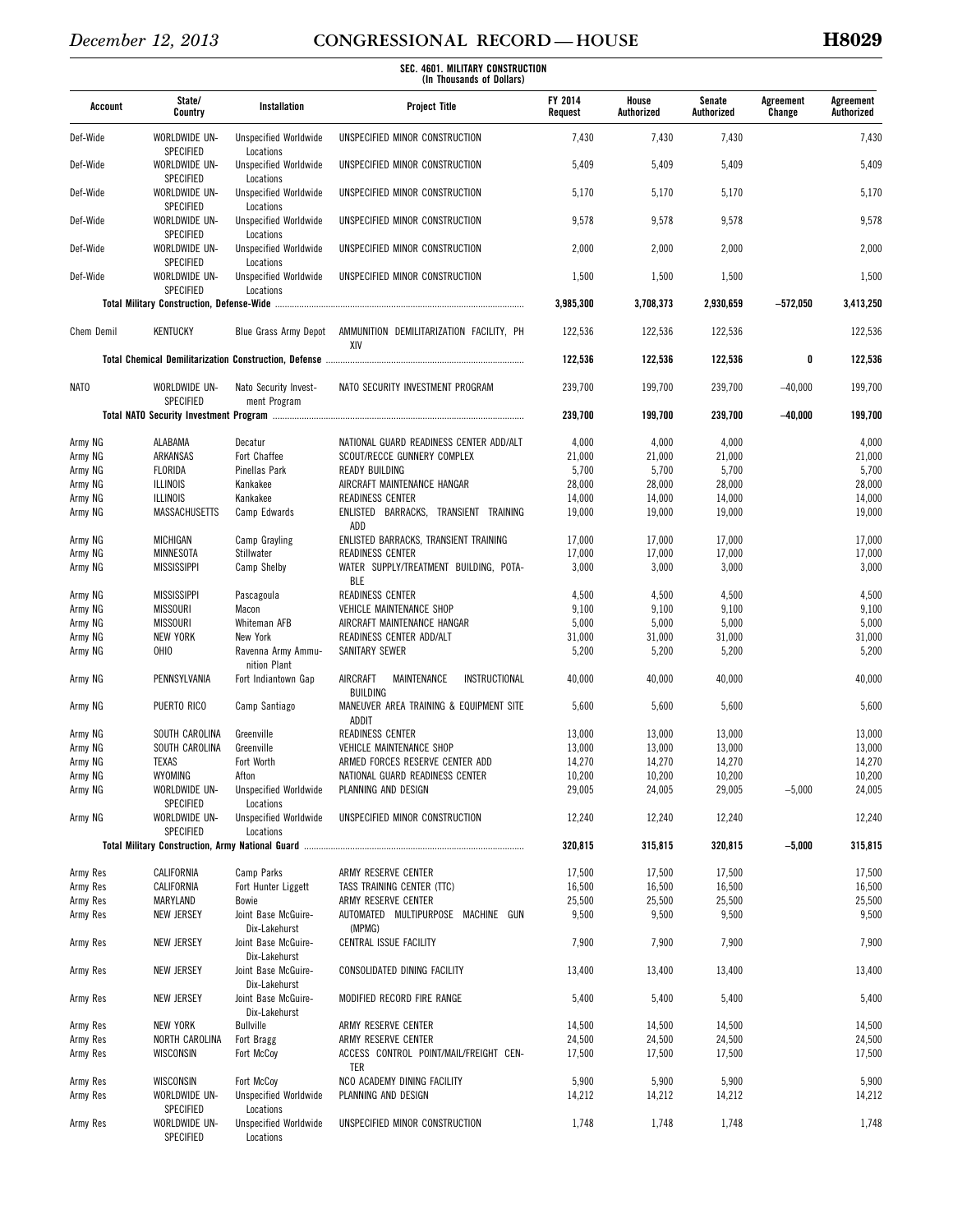| Account            | State/<br>Country                 | Installation                              | <b>Project Title</b>                                        | <b>FY 2014</b><br>Request | House<br>Authorized | Senate<br>Authorized | Agreement<br>Change | Agreement<br>Authorized |
|--------------------|-----------------------------------|-------------------------------------------|-------------------------------------------------------------|---------------------------|---------------------|----------------------|---------------------|-------------------------|
| Def-Wide           | WORLDWIDE UN-<br>SPECIFIED        | <b>Unspecified Worldwide</b><br>Locations | UNSPECIFIED MINOR CONSTRUCTION                              | 7,430                     | 7,430               | 7,430                |                     | 7,430                   |
| Def-Wide           | WORLDWIDE UN-<br>SPECIFIED        | <b>Unspecified Worldwide</b><br>Locations | UNSPECIFIED MINOR CONSTRUCTION                              | 5,409                     | 5,409               | 5,409                |                     | 5,409                   |
| Def-Wide           | WORLDWIDE UN-<br>SPECIFIED        | <b>Unspecified Worldwide</b><br>Locations | UNSPECIFIED MINOR CONSTRUCTION                              | 5,170                     | 5,170               | 5,170                |                     | 5,170                   |
| Def-Wide           | WORLDWIDE UN-<br>SPECIFIED        | <b>Unspecified Worldwide</b><br>Locations | UNSPECIFIED MINOR CONSTRUCTION                              | 9,578                     | 9,578               | 9,578                |                     | 9,578                   |
| Def-Wide           | WORLDWIDE UN-<br>SPECIFIED        | <b>Unspecified Worldwide</b><br>Locations | UNSPECIFIED MINOR CONSTRUCTION                              | 2,000                     | 2,000               | 2,000                |                     | 2,000                   |
| Def-Wide           | WORLDWIDE UN-<br><b>SPECIFIED</b> | <b>Unspecified Worldwide</b><br>Locations | UNSPECIFIED MINOR CONSTRUCTION                              | 1,500                     | 1,500               | 1,500                |                     | 1,500                   |
|                    |                                   |                                           |                                                             | 3,985,300                 | 3,708,373           | 2,930,659            | $-572,050$          | 3,413,250               |
| Chem Demil         | <b>KENTUCKY</b>                   | <b>Blue Grass Army Depot</b>              | AMMUNITION DEMILITARIZATION FACILITY, PH<br>XIV             | 122,536                   | 122,536             | 122,536              |                     | 122,536                 |
|                    |                                   |                                           |                                                             | 122,536                   | 122,536             | 122,536              | 0                   | 122,536                 |
| <b>NATO</b>        | WORLDWIDE UN-<br><b>SPECIFIED</b> | Nato Security Invest-<br>ment Program     | NATO SECURITY INVESTMENT PROGRAM                            | 239,700                   | 199,700             | 239,700              | $-40,000$           | 199,700                 |
|                    |                                   |                                           |                                                             | 239,700                   | 199,700             | 239,700              | $-40,000$           | 199,700                 |
| Army NG            | ALABAMA                           | Decatur                                   | NATIONAL GUARD READINESS CENTER ADD/ALT                     | 4,000                     | 4,000               | 4,000                |                     | 4,000                   |
| Army NG            | ARKANSAS                          | Fort Chaffee                              | SCOUT/RECCE GUNNERY COMPLEX                                 | 21,000                    | 21,000              | 21,000               |                     | 21,000                  |
| Army NG            | FLORIDA                           | Pinellas Park                             | READY BUILDING                                              | 5,700                     | 5,700               | 5,700                |                     | 5,700                   |
| Army NG            | ILLINOIS                          | Kankakee                                  | AIRCRAFT MAINTENANCE HANGAR                                 | 28,000                    | 28,000              | 28,000               |                     | 28,000                  |
| Army NG            | <b>ILLINOIS</b>                   | Kankakee                                  | READINESS CENTER                                            | 14,000                    | 14,000              | 14,000               |                     | 14,000                  |
| Army NG            | MASSACHUSETTS                     | Camp Edwards                              | ENLISTED BARRACKS, TRANSIENT TRAINING<br>ADD                | 19,000                    | 19,000              | 19,000               |                     | 19,000                  |
| Army NG            | MICHIGAN                          | Camp Grayling                             | ENLISTED BARRACKS, TRANSIENT TRAINING                       | 17,000                    | 17,000              | 17,000               |                     | 17,000                  |
| Army NG            | MINNESOTA                         | Stillwater                                | READINESS CENTER                                            | 17,000                    | 17,000              | 17,000               |                     | 17,000                  |
| Army NG            | <b>MISSISSIPPI</b>                | Camp Shelby                               | WATER SUPPLY/TREATMENT BUILDING, POTA-<br>BLE               | 3,000                     | 3,000               | 3,000                |                     | 3,000                   |
| Army NG            | <b>MISSISSIPPI</b>                | Pascagoula                                | READINESS CENTER                                            | 4,500                     | 4,500               | 4,500                |                     | 4,500                   |
| Army NG            | <b>MISSOURI</b>                   | Macon                                     | <b>VEHICLE MAINTENANCE SHOP</b>                             | 9,100                     | 9,100               | 9,100                |                     | 9,100                   |
| Army NG            | <b>MISSOURI</b>                   | Whiteman AFB                              | AIRCRAFT MAINTENANCE HANGAR                                 | 5,000                     | 5,000               | 5,000                |                     | 5,000                   |
| Army NG<br>Army NG | <b>NEW YORK</b><br>OHIO           | New York<br>Ravenna Army Ammu-            | READINESS CENTER ADD/ALT<br>SANITARY SEWER                  | 31,000<br>5,200           | 31,000<br>5,200     | 31,000<br>5,200      |                     | 31,000<br>5,200         |
| Army NG            | PENNSYLVANIA                      | nition Plant<br>Fort Indiantown Gap       | AIRCRAFT<br>MAINTENANCE<br>INSTRUCTIONAL<br><b>BUILDING</b> | 40,000                    | 40,000              | 40,000               |                     | 40,000                  |
| Army NG            | PUERTO RICO                       | Camp Santiago                             | MANEUVER AREA TRAINING & EQUIPMENT SITE<br>ADDIT            | 5,600                     | 5,600               | 5,600                |                     | 5,600                   |
| Army NG            | SOUTH CAROLINA                    | Greenville                                | READINESS CENTER                                            | 13,000                    | 13,000              | 13,000               |                     | 13,000                  |
| Army NG            | SOUTH CAROLINA                    | Greenville                                | <b>VEHICLE MAINTENANCE SHOP</b>                             | 13,000                    | 13,000              | 13,000               |                     | 13,000                  |
| Army NG            | TEXAS                             | Fort Worth                                | ARMED FORCES RESERVE CENTER ADD                             | 14,270                    | 14,270              | 14,270               |                     | 14,270                  |
| Army NG            | WYOMING                           | Afton                                     | NATIONAL GUARD READINESS CENTER                             | 10,200                    | 10,200              | 10,200               |                     | 10,200                  |
| Army NG            | WORLDWIDE UN-<br>SPECIFIED        | <b>Unspecified Worldwide</b><br>Locations | PLANNING AND DESIGN                                         | 29,005                    | 24,005              | 29,005               | $-5,000$            | 24,005                  |
| Army NG            | WORLDWIDE UN-<br>SPECIFIED        | <b>Unspecified Worldwide</b><br>Locations | UNSPECIFIED MINOR CONSTRUCTION                              | 12,240                    | 12,240              | 12,240               |                     | 12,240                  |
|                    |                                   |                                           |                                                             | 320,815                   | 315,815             | 320,815              | $-5,000$            | 315,815                 |
| Army Res           | CALIFORNIA                        | Camp Parks                                | ARMY RESERVE CENTER                                         | 17,500                    | 17,500              | 17,500               |                     | 17,500                  |
| Army Res           | CALIFORNIA                        | Fort Hunter Liggett                       | TASS TRAINING CENTER (TTC)                                  | 16,500                    | 16,500              | 16,500               |                     | 16,500                  |
| Army Res           | MARYLAND                          | Bowie                                     | ARMY RESERVE CENTER                                         | 25,500                    | 25,500              | 25,500               |                     | 25,500                  |
| Army Res           | <b>NEW JERSEY</b>                 | Joint Base McGuire-<br>Dix-Lakehurst      | AUTOMATED MULTIPURPOSE MACHINE GUN<br>(MPMG)                | 9,500                     | 9,500               | 9,500                |                     | 9,500                   |
| Army Res           | <b>NEW JERSEY</b>                 | Joint Base McGuire-<br>Dix-Lakehurst      | CENTRAL ISSUE FACILITY                                      | 7,900                     | 7,900               | 7,900                |                     | 7,900                   |
| Army Res           | <b>NEW JERSEY</b>                 | Joint Base McGuire-<br>Dix-Lakehurst      | CONSOLIDATED DINING FACILITY                                | 13,400                    | 13,400              | 13,400               |                     | 13,400                  |
| Army Res           | <b>NEW JERSEY</b>                 | Joint Base McGuire-<br>Dix-Lakehurst      | MODIFIED RECORD FIRE RANGE                                  | 5,400                     | 5,400               | 5,400                |                     | 5,400                   |
| Army Res           | NEW YORK                          | Bullville                                 | ARMY RESERVE CENTER                                         | 14,500                    | 14,500              | 14,500               |                     | 14,500                  |
| Army Res           | NORTH CAROLINA                    | Fort Bragg                                | ARMY RESERVE CENTER                                         | 24,500                    | 24,500              | 24,500               |                     | 24,500                  |
| Army Res           | WISCONSIN                         | Fort McCoy                                | ACCESS CONTROL POINT/MAIL/FREIGHT CEN-<br>TER               | 17,500                    | 17,500              | 17,500               |                     | 17,500                  |
| Army Res           | WISCONSIN                         | Fort McCoy                                | NCO ACADEMY DINING FACILITY                                 | 5,900                     | 5,900               | 5,900                |                     | 5,900                   |
| Army Res           | WORLDWIDE UN-<br>SPECIFIED        | <b>Unspecified Worldwide</b><br>Locations | PLANNING AND DESIGN                                         | 14,212                    | 14,212              | 14,212               |                     | 14,212                  |
| Army Res           | WORLDWIDE UN-<br>SPECIFIED        | <b>Unspecified Worldwide</b><br>Locations | UNSPECIFIED MINOR CONSTRUCTION                              | 1,748                     | 1,748               | 1,748                |                     | 1,748                   |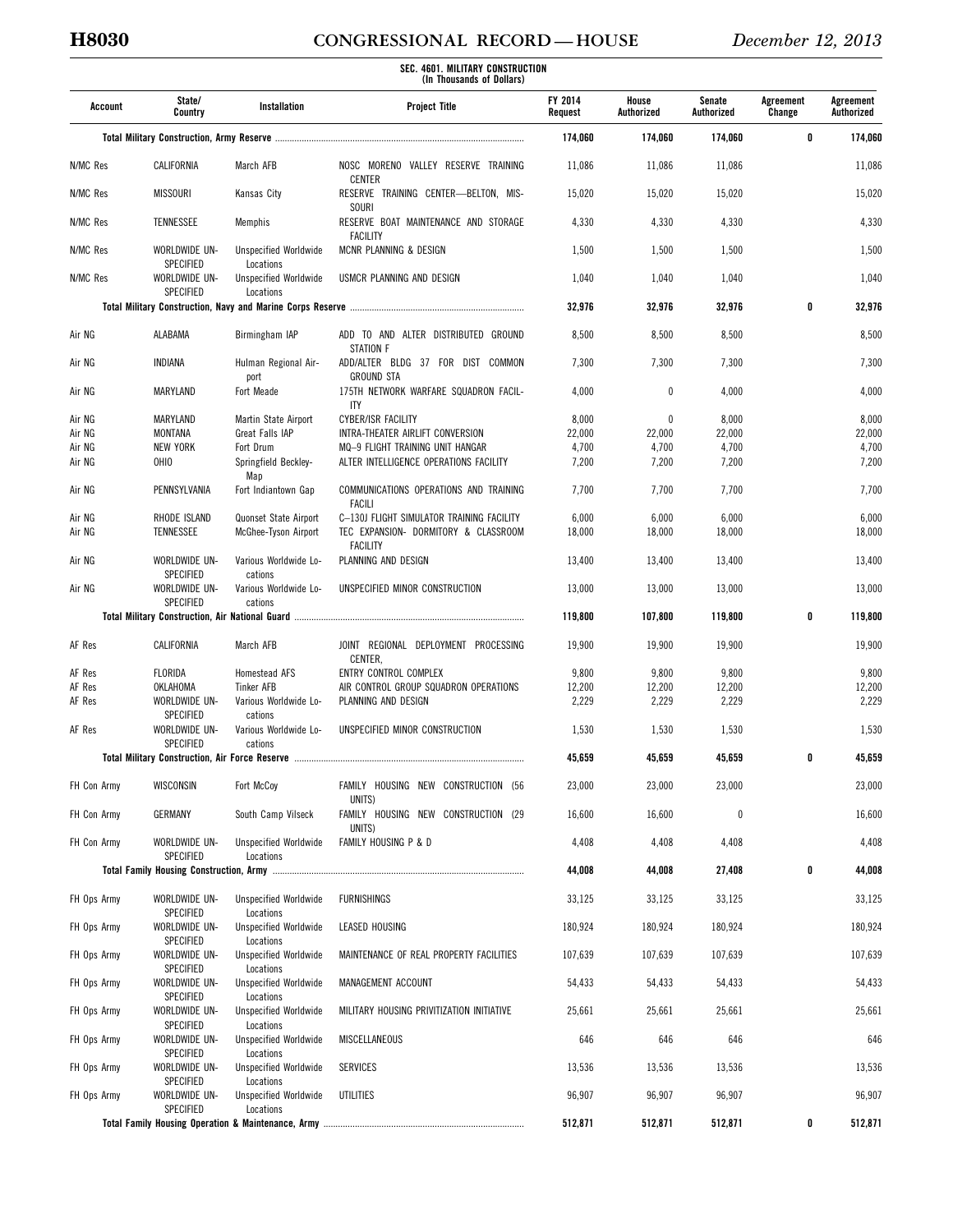# **H8030 CONGRESSIONAL RECORD — HOUSE** *December 12, 2013*

| Account     | State/<br>Country                                     | Installation                                           | <b>Project Title</b>                                                       | FY 2014<br>Request | House<br>Authorized | Senate<br>Authorized | Agreement<br>Change | Agreement<br>Authorized |
|-------------|-------------------------------------------------------|--------------------------------------------------------|----------------------------------------------------------------------------|--------------------|---------------------|----------------------|---------------------|-------------------------|
|             |                                                       |                                                        |                                                                            | 174,060            | 174,060             | 174,060              | 0                   | 174,060                 |
| N/MC Res    | CALIFORNIA                                            | March AFB                                              | NOSC MORENO VALLEY RESERVE TRAINING                                        | 11,086             | 11,086              | 11,086               |                     | 11,086                  |
| N/MC Res    | <b>MISSOURI</b>                                       | Kansas City                                            | <b>CENTER</b><br>RESERVE TRAINING CENTER-BELTON, MIS-                      | 15,020             | 15,020              | 15,020               |                     | 15,020                  |
| N/MC Res    | TENNESSEE                                             | Memphis                                                | <b>SOURI</b><br>RESERVE BOAT MAINTENANCE AND STORAGE                       | 4,330              | 4,330               | 4,330                |                     | 4,330                   |
| N/MC Res    | WORLDWIDE UN-                                         | <b>Unspecified Worldwide</b>                           | <b>FACILITY</b><br>MCNR PLANNING & DESIGN                                  | 1,500              | 1,500               | 1,500                |                     | 1,500                   |
| N/MC Res    | SPECIFIED<br>WORLDWIDE UN-<br>SPECIFIED               | Locations<br><b>Unspecified Worldwide</b><br>Locations | USMCR PLANNING AND DESIGN                                                  | 1,040              | 1,040               | 1,040                |                     | 1,040                   |
|             |                                                       |                                                        |                                                                            | 32,976             | 32,976              | 32,976               | 0                   | 32,976                  |
| Air NG      | ALABAMA                                               | Birmingham IAP                                         | ADD TO AND ALTER DISTRIBUTED GROUND                                        | 8,500              | 8,500               | 8,500                |                     | 8,500                   |
| Air NG      | INDIANA                                               | Hulman Regional Air-                                   | <b>STATION F</b><br>ADD/ALTER BLDG 37 FOR DIST COMMON<br><b>GROUND STA</b> | 7,300              | 7,300               | 7,300                |                     | 7,300                   |
| Air NG      | MARYLAND                                              | port<br>Fort Meade                                     | 175TH NETWORK WARFARE SQUADRON FACIL-<br><b>ITY</b>                        | 4,000              | 0                   | 4,000                |                     | 4,000                   |
| Air NG      | MARYLAND                                              | Martin State Airport                                   | <b>CYBER/ISR FACILITY</b>                                                  | 8,000              | $\mathbf{0}$        | 8,000                |                     | 8,000                   |
| Air NG      | MONTANA                                               | Great Falls IAP                                        | INTRA-THEATER AIRLIFT CONVERSION                                           | 22,000             | 22,000              | 22,000               |                     | 22,000                  |
| Air NG      | <b>NEW YORK</b>                                       | Fort Drum                                              | MQ-9 FLIGHT TRAINING UNIT HANGAR                                           | 4,700              | 4,700               | 4,700                |                     | 4,700                   |
| Air NG      | OHIO                                                  | Springfield Beckley-<br>Map                            | ALTER INTELLIGENCE OPERATIONS FACILITY                                     | 7,200              | 7,200               | 7,200                |                     | 7,200                   |
| Air NG      | PENNSYLVANIA                                          | Fort Indiantown Gap                                    | COMMUNICATIONS OPERATIONS AND TRAINING<br><b>FACILI</b>                    | 7,700              | 7,700               | 7,700                |                     | 7,700                   |
| Air NG      | RHODE ISLAND                                          | Quonset State Airport                                  | C-130J FLIGHT SIMULATOR TRAINING FACILITY                                  | 6,000              | 6,000               | 6,000                |                     | 6,000                   |
| Air NG      | TENNESSEE                                             | McGhee-Tyson Airport                                   | TEC EXPANSION- DORMITORY & CLASSROOM<br><b>FACILITY</b>                    | 18,000             | 18,000              | 18,000               |                     | 18,000                  |
| Air NG      | WORLDWIDE UN-<br><b>SPECIFIED</b>                     | Various Worldwide Lo-<br>cations                       | PLANNING AND DESIGN                                                        | 13,400             | 13,400              | 13,400               |                     | 13,400                  |
| Air NG      | WORLDWIDE UN-<br><b>SPECIFIED</b>                     | Various Worldwide Lo-<br>cations                       | UNSPECIFIED MINOR CONSTRUCTION                                             | 13,000             | 13,000              | 13,000               |                     | 13,000                  |
|             |                                                       |                                                        |                                                                            | 119,800            | 107,800             | 119,800              | 0                   | 119,800                 |
| AF Res      | CALIFORNIA                                            | March AFB                                              | JOINT REGIONAL DEPLOYMENT PROCESSING<br>CENTER,                            | 19,900             | 19,900              | 19,900               |                     | 19,900                  |
| AF Res      | FLORIDA                                               | Homestead AFS                                          | ENTRY CONTROL COMPLEX                                                      | 9,800              | 9,800               | 9,800                |                     | 9,800                   |
| AF Res      | OKLAHOMA                                              | <b>Tinker AFB</b>                                      | AIR CONTROL GROUP SQUADRON OPERATIONS                                      | 12,200             | 12,200              | 12,200               |                     | 12,200                  |
| AF Res      | WORLDWIDE UN-                                         | Various Worldwide Lo-                                  | PLANNING AND DESIGN                                                        | 2,229              | 2,229               | 2,229                |                     | 2,229                   |
| AF Res      | SPECIFIED<br>WORLDWIDE UN-<br>SPECIFIED               | cations<br>Various Worldwide Lo-<br>cations            | UNSPECIFIED MINOR CONSTRUCTION                                             | 1,530              | 1,530               | 1,530                |                     | 1,530                   |
|             | <b>Total Military Construction, Air Force Reserve</b> |                                                        |                                                                            | 45,659             | 45,659              | 45,659               | 0                   | 45,659                  |
| FH Con Army | WISCONSIN                                             | Fort McCoy                                             | FAMILY HOUSING NEW CONSTRUCTION (56                                        | 23,000             | 23,000              | 23,000               |                     | 23,000                  |
| FH Con Army | GERMANY                                               | South Camp Vilseck                                     | UNITS)<br>FAMILY HOUSING NEW CONSTRUCTION (29<br>UNITS)                    | 16,600             | 16,600              | $\mathbf{0}$         |                     | 16,600                  |
| FH Con Army | WORLDWIDE UN-<br>SPECIFIED                            | <b>Unspecified Worldwide</b><br>Locations              | FAMILY HOUSING P & D                                                       | 4,408              | 4,408               | 4,408                |                     | 4,408                   |
|             |                                                       |                                                        |                                                                            | 44,008             | 44,008              | 27,408               | 0                   | 44,008                  |
| FH Ops Army | WORLDWIDE UN-                                         | <b>Unspecified Worldwide</b>                           | <b>FURNISHINGS</b>                                                         | 33,125             | 33,125              | 33,125               |                     | 33,125                  |
| FH Ops Army | SPECIFIED<br>WORLDWIDE UN-                            | Locations<br><b>Unspecified Worldwide</b>              | LEASED HOUSING                                                             | 180,924            | 180,924             | 180,924              |                     | 180,924                 |
| FH Ops Army | <b>SPECIFIED</b><br>WORLDWIDE UN-                     | Locations<br><b>Unspecified Worldwide</b>              | MAINTENANCE OF REAL PROPERTY FACILITIES                                    | 107,639            | 107,639             | 107,639              |                     | 107,639                 |
| FH Ops Army | SPECIFIED<br>WORLDWIDE UN-<br>SPECIFIED               | Locations<br><b>Unspecified Worldwide</b>              | MANAGEMENT ACCOUNT                                                         | 54,433             | 54,433              | 54,433               |                     | 54,433                  |
| FH Ops Army | WORLDWIDE UN-                                         | Locations<br><b>Unspecified Worldwide</b>              | MILITARY HOUSING PRIVITIZATION INITIATIVE                                  | 25,661             | 25,661              | 25,661               |                     | 25,661                  |
| FH Ops Army | SPECIFIED<br>WORLDWIDE UN-<br>SPECIFIED               | Locations<br><b>Unspecified Worldwide</b><br>Locations | MISCELLANEOUS                                                              | 646                | 646                 | 646                  |                     | 646                     |
| FH Ops Army | WORLDWIDE UN-<br>SPECIFIED                            | <b>Unspecified Worldwide</b><br>Locations              | <b>SERVICES</b>                                                            | 13,536             | 13,536              | 13,536               |                     | 13,536                  |
| FH Ops Army | WORLDWIDE UN-<br>SPECIFIED                            | <b>Unspecified Worldwide</b><br>Locations              | UTILITIES                                                                  | 96,907             | 96,907              | 96,907               |                     | 96,907                  |
|             |                                                       |                                                        |                                                                            | 512,871            | 512,871             | 512,871              | 0                   | 512,871                 |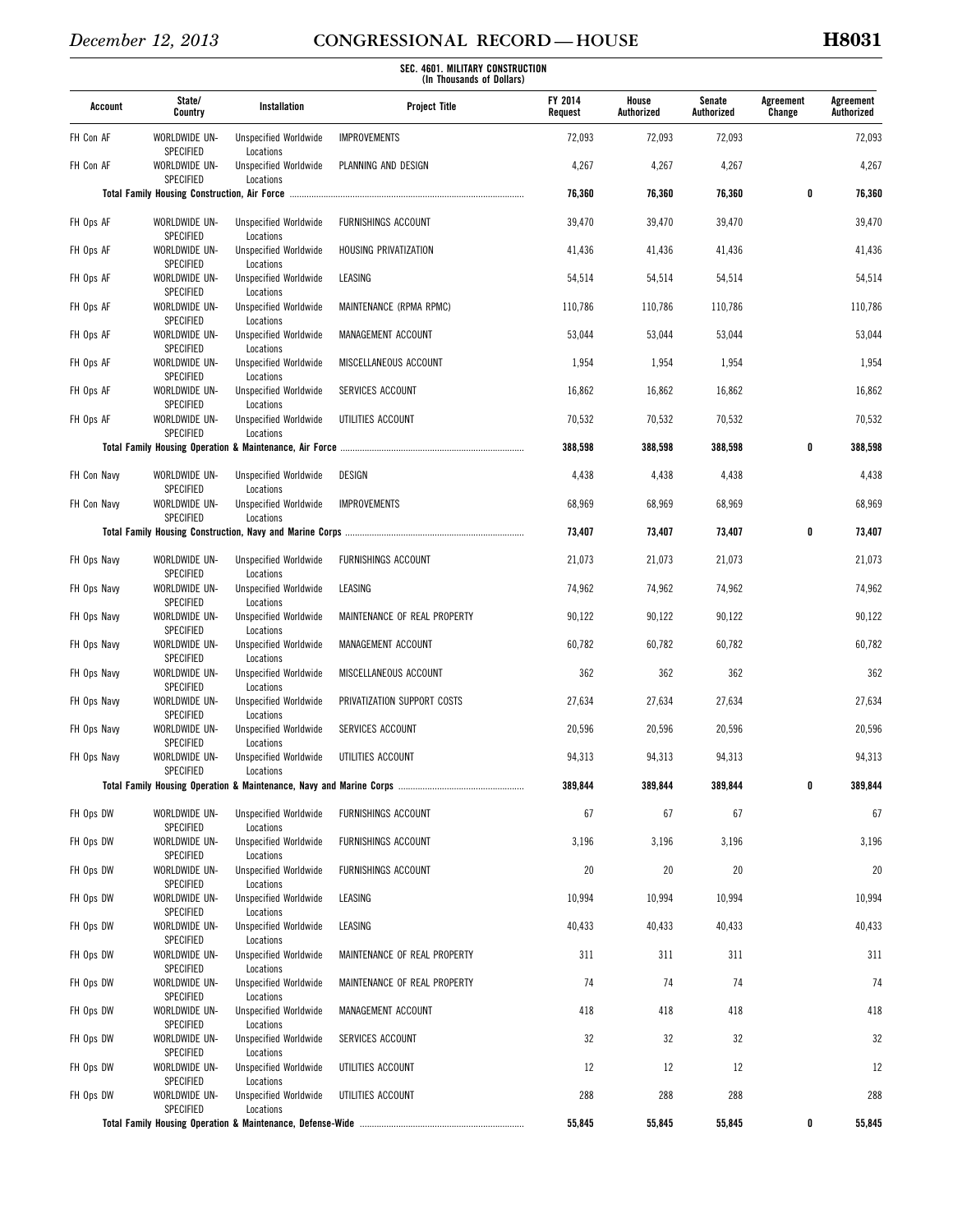| Account     | State/<br>Country                 | Installation                              | <b>Project Title</b>         | <b>FY 2014</b><br>Request | House<br>Authorized | Senate<br>Authorized | Agreement<br>Change | Agreement<br>Authorized |
|-------------|-----------------------------------|-------------------------------------------|------------------------------|---------------------------|---------------------|----------------------|---------------------|-------------------------|
| FH Con AF   | WORLDWIDE UN-<br>SPECIFIED        | <b>Unspecified Worldwide</b><br>Locations | <b>IMPROVEMENTS</b>          | 72,093                    | 72,093              | 72,093               |                     | 72,093                  |
| FH Con AF   | WORLDWIDE UN-                     | <b>Unspecified Worldwide</b>              | PLANNING AND DESIGN          | 4,267                     | 4,267               | 4,267                |                     | 4,267                   |
|             | <b>SPECIFIED</b>                  | Locations                                 |                              | 76,360                    | 76,360              | 76,360               | 0                   | 76,360                  |
| FH Ops AF   | WORLDWIDE UN-<br>SPECIFIED        | <b>Unspecified Worldwide</b><br>Locations | <b>FURNISHINGS ACCOUNT</b>   | 39,470                    | 39,470              | 39,470               |                     | 39,470                  |
| FH Ops AF   | WORLDWIDE UN-                     | <b>Unspecified Worldwide</b>              | HOUSING PRIVATIZATION        | 41,436                    | 41,436              | 41,436               |                     | 41,436                  |
| FH Ops AF   | SPECIFIED<br>WORLDWIDE UN-        | Locations<br><b>Unspecified Worldwide</b> | LEASING                      | 54,514                    | 54,514              | 54,514               |                     | 54,514                  |
| FH Ops AF   | SPECIFIED<br>WORLDWIDE UN-        | Locations<br><b>Unspecified Worldwide</b> | MAINTENANCE (RPMA RPMC)      | 110,786                   | 110,786             | 110,786              |                     | 110,786                 |
| FH Ops AF   | SPECIFIED<br>WORLDWIDE UN-        | Locations<br><b>Unspecified Worldwide</b> | MANAGEMENT ACCOUNT           | 53,044                    | 53,044              | 53,044               |                     | 53,044                  |
| FH Ops AF   | SPECIFIED<br>WORLDWIDE UN-        | Locations<br><b>Unspecified Worldwide</b> | MISCELLANEOUS ACCOUNT        | 1,954                     | 1,954               | 1,954                |                     | 1,954                   |
| FH Ops AF   | SPECIFIED<br>WORLDWIDE UN-        | Locations<br><b>Unspecified Worldwide</b> | SERVICES ACCOUNT             | 16,862                    | 16,862              | 16,862               |                     | 16,862                  |
| FH Ops AF   | SPECIFIED<br>WORLDWIDE UN-        | Locations<br><b>Unspecified Worldwide</b> | UTILITIES ACCOUNT            | 70,532                    | 70,532              | 70,532               |                     | 70,532                  |
|             | SPECIFIED                         | Locations                                 |                              | 388,598                   | 388,598             | 388,598              | 0                   | 388,598                 |
| FH Con Navy | WORLDWIDE UN-                     | <b>Unspecified Worldwide</b>              | DESIGN                       | 4,438                     | 4,438               | 4,438                |                     | 4,438                   |
| FH Con Navy | SPECIFIED<br>WORLDWIDE UN-        | Locations<br><b>Unspecified Worldwide</b> | <b>IMPROVEMENTS</b>          | 68,969                    | 68,969              | 68,969               |                     | 68,969                  |
|             | SPECIFIED                         | Locations                                 |                              | 73,407                    | 73,407              | 73,407               | 0                   | 73,407                  |
| FH Ops Navy | WORLDWIDE UN-                     | <b>Unspecified Worldwide</b>              | FURNISHINGS ACCOUNT          | 21,073                    | 21,073              | 21,073               |                     | 21,073                  |
| FH Ops Navy | SPECIFIED<br>WORLDWIDE UN-        | Locations<br><b>Unspecified Worldwide</b> | LEASING                      | 74,962                    | 74,962              | 74,962               |                     | 74,962                  |
| FH Ops Navy | SPECIFIED<br>WORLDWIDE UN-        | Locations<br><b>Unspecified Worldwide</b> | MAINTENANCE OF REAL PROPERTY | 90,122                    | 90,122              | 90,122               |                     | 90,122                  |
| FH Ops Navy | SPECIFIED<br>WORLDWIDE UN-        | Locations<br><b>Unspecified Worldwide</b> | MANAGEMENT ACCOUNT           | 60,782                    | 60,782              | 60,782               |                     | 60,782                  |
|             | SPECIFIED                         | Locations                                 |                              |                           |                     |                      |                     |                         |
| FH Ops Navy | WORLDWIDE UN-<br>SPECIFIED        | <b>Unspecified Worldwide</b><br>Locations | MISCELLANEOUS ACCOUNT        | 362                       | 362                 | 362                  |                     | 362                     |
| FH Ops Navy | WORLDWIDE UN-<br>SPECIFIED        | <b>Unspecified Worldwide</b><br>Locations | PRIVATIZATION SUPPORT COSTS  | 27,634                    | 27,634              | 27,634               |                     | 27,634                  |
| FH Ops Navy | WORLDWIDE UN-<br><b>SPECIFIED</b> | <b>Unspecified Worldwide</b><br>Locations | SERVICES ACCOUNT             | 20,596                    | 20,596              | 20,596               |                     | 20,596                  |
| FH Ops Navy | WORLDWIDE UN-<br>SPECIFIED        | <b>Unspecified Worldwide</b><br>Locations | UTILITIES ACCOUNT            | 94,313                    | 94,313              | 94,313               |                     | 94,313                  |
|             |                                   |                                           |                              | 389,844                   | 389,844             | 389,844              | 0                   | 389,844                 |
| FH Ops DW   | WORLDWIDE UN-<br>SPECIFIED        | <b>Unspecified Worldwide</b><br>Locations | FURNISHINGS ACCOUNT          | 67                        | 67                  | 67                   |                     | 67                      |
| FH Ops DW   | WORLDWIDE UN-<br>SPECIFIED        | <b>Unspecified Worldwide</b><br>Locations | FURNISHINGS ACCOUNT          | 3,196                     | 3,196               | 3,196                |                     | 3,196                   |
| FH Ops DW   | WORLDWIDE UN-<br>SPECIFIED        | <b>Unspecified Worldwide</b><br>Locations | FURNISHINGS ACCOUNT          | 20                        | 20                  | 20                   |                     | 20                      |
| FH Ops DW   | WORLDWIDE UN-<br>SPECIFIED        | <b>Unspecified Worldwide</b><br>Locations | LEASING                      | 10,994                    | 10,994              | 10,994               |                     | 10,994                  |
| FH Ops DW   | WORLDWIDE UN-<br>SPECIFIED        | <b>Unspecified Worldwide</b>              | LEASING                      | 40,433                    | 40,433              | 40,433               |                     | 40,433                  |
| FH Ops DW   | WORLDWIDE UN-                     | Locations<br><b>Unspecified Worldwide</b> | MAINTENANCE OF REAL PROPERTY | 311                       | 311                 | 311                  |                     | 311                     |
| FH Ops DW   | SPECIFIED<br>WORLDWIDE UN-        | Locations<br><b>Unspecified Worldwide</b> | MAINTENANCE OF REAL PROPERTY | 74                        | 74                  | 74                   |                     | 74                      |
| FH Ops DW   | SPECIFIED<br>WORLDWIDE UN-        | Locations<br><b>Unspecified Worldwide</b> | MANAGEMENT ACCOUNT           | 418                       | 418                 | 418                  |                     | 418                     |
| FH Ops DW   | SPECIFIED<br>WORLDWIDE UN-        | Locations<br><b>Unspecified Worldwide</b> | SERVICES ACCOUNT             | 32                        | 32                  | 32                   |                     | 32                      |
| FH Ops DW   | SPECIFIED<br>WORLDWIDE UN-        | Locations<br><b>Unspecified Worldwide</b> | UTILITIES ACCOUNT            | 12                        | 12                  | 12                   |                     | 12                      |
| FH Ops DW   | SPECIFIED<br>WORLDWIDE UN-        | Locations<br><b>Unspecified Worldwide</b> | UTILITIES ACCOUNT            | 288                       | 288                 | 288                  |                     | 288                     |
|             | SPECIFIED                         | Locations                                 |                              | 55,845                    | 55,845              | 55,845               | 0                   | 55,845                  |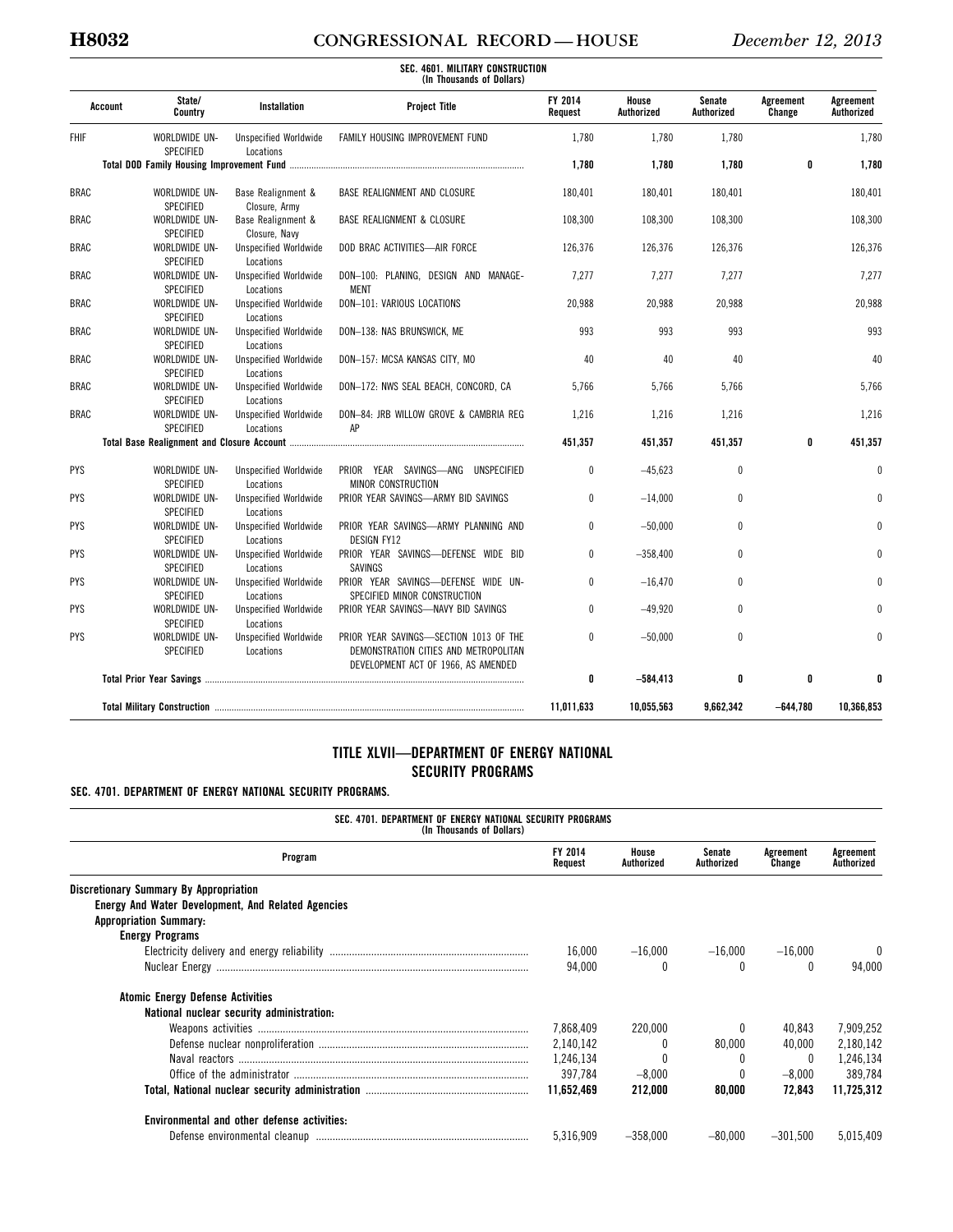## **H8032 CONGRESSIONAL RECORD — HOUSE** *December 12, 2013*

| <b>FHIF</b> | State/<br><b>Installation</b><br>Account<br>Country |                                           | <b>Project Title</b>                                                                                                   | FY 2014<br>Request | House<br>Authorized | Senate<br>Authorized | Agreement<br>Change | Agreement<br>Authorized |
|-------------|-----------------------------------------------------|-------------------------------------------|------------------------------------------------------------------------------------------------------------------------|--------------------|---------------------|----------------------|---------------------|-------------------------|
|             | WORLDWIDE UN-<br><b>SPECIFIED</b>                   | <b>Unspecified Worldwide</b><br>Locations | FAMILY HOUSING IMPROVEMENT FUND                                                                                        | 1,780              | 1,780               | 1,780                |                     | 1,780                   |
|             |                                                     |                                           |                                                                                                                        | 1,780              | 1,780               | 1,780                | 0                   | 1,780                   |
| <b>BRAC</b> | WORLDWIDE UN-<br><b>SPECIFIED</b>                   | Base Realignment &<br>Closure, Army       | BASE REALIGNMENT AND CLOSURE                                                                                           | 180,401            | 180,401             | 180,401              |                     | 180,401                 |
| <b>BRAC</b> | WORLDWIDE UN-<br><b>SPECIFIED</b>                   | Base Realignment &<br>Closure, Navy       | <b>BASE REALIGNMENT &amp; CLOSURE</b>                                                                                  | 108,300            | 108,300             | 108,300              |                     | 108,300                 |
| <b>BRAC</b> | WORLDWIDE UN-<br><b>SPECIFIED</b>                   | <b>Unspecified Worldwide</b><br>Locations | DOD BRAC ACTIVITIES-AIR FORCE                                                                                          | 126.376            | 126.376             | 126,376              |                     | 126,376                 |
| <b>BRAC</b> | WORLDWIDE UN-<br><b>SPECIFIED</b>                   | <b>Unspecified Worldwide</b><br>Locations | DON-100: PLANING, DESIGN AND MANAGE-<br><b>MENT</b>                                                                    | 7,277              | 7,277               | 7,277                |                     | 7,277                   |
| <b>BRAC</b> | WORLDWIDE UN-<br><b>SPECIFIED</b>                   | <b>Unspecified Worldwide</b><br>Locations | DON-101: VARIOUS LOCATIONS                                                                                             | 20,988             | 20,988              | 20,988               |                     | 20,988                  |
| <b>BRAC</b> | WORLDWIDE UN-<br>SPECIFIED                          | <b>Unspecified Worldwide</b><br>Locations | DON-138: NAS BRUNSWICK, ME                                                                                             | 993                | 993                 | 993                  |                     | 993                     |
| <b>BRAC</b> | WORLDWIDE UN-<br><b>SPECIFIED</b>                   | <b>Unspecified Worldwide</b><br>Locations | DON-157: MCSA KANSAS CITY, MO                                                                                          | 40                 | 40                  | 40                   |                     | 40                      |
| <b>BRAC</b> | WORLDWIDE UN-<br><b>SPECIFIED</b>                   | <b>Unspecified Worldwide</b><br>Locations | DON-172: NWS SEAL BEACH, CONCORD, CA                                                                                   | 5.766              | 5,766               | 5.766                |                     | 5.766                   |
| <b>BRAC</b> | WORLDWIDE UN-<br><b>SPECIFIED</b>                   | <b>Unspecified Worldwide</b><br>Locations | DON-84: JRB WILLOW GROVE & CAMBRIA REG<br>AP                                                                           | 1,216              | 1,216               | 1,216                |                     | 1,216                   |
|             |                                                     |                                           |                                                                                                                        | 451,357            | 451,357             | 451,357              | 0                   | 451,357                 |
| <b>PYS</b>  | WORLDWIDE UN-<br><b>SPECIFIED</b>                   | <b>Unspecified Worldwide</b><br>Locations | PRIOR YEAR SAVINGS-ANG UNSPECIFIED<br>MINOR CONSTRUCTION                                                               | $\mathbf{0}$       | $-45.623$           | $\mathbf{0}$         |                     | $\Omega$                |
| <b>PYS</b>  | WORLDWIDE UN-<br><b>SPECIFIED</b>                   | <b>Unspecified Worldwide</b><br>Locations | PRIOR YEAR SAVINGS-ARMY BID SAVINGS                                                                                    | 0                  | $-14,000$           | $\mathbf{0}$         |                     |                         |
| <b>PYS</b>  | WORLDWIDE UN-<br><b>SPECIFIED</b>                   | <b>Unspecified Worldwide</b><br>Locations | PRIOR YEAR SAVINGS-ARMY PLANNING AND<br><b>DESIGN FY12</b>                                                             | $\mathbf{0}$       | $-50.000$           | $\mathbf{0}$         |                     |                         |
| <b>PYS</b>  | WORLDWIDE UN-<br><b>SPECIFIED</b>                   | <b>Unspecified Worldwide</b><br>Locations | PRIOR YEAR SAVINGS-DEFENSE WIDE BID<br>SAVINGS                                                                         | 0                  | $-358,400$          | $\mathbf{0}$         |                     |                         |
| <b>PYS</b>  | WORLDWIDE UN-<br>SPECIFIED                          | <b>Unspecified Worldwide</b><br>Locations | PRIOR YEAR SAVINGS-DEFENSE WIDE UN-<br>SPECIFIED MINOR CONSTRUCTION                                                    | 0                  | $-16,470$           | $\mathbf{0}$         |                     |                         |
| <b>PYS</b>  | WORLDWIDE UN-<br>SPECIFIED                          | <b>Unspecified Worldwide</b><br>Locations | PRIOR YEAR SAVINGS-NAVY BID SAVINGS                                                                                    | $\mathbf{0}$       | $-49,920$           | $\mathbf{0}$         |                     | $\Omega$                |
| <b>PYS</b>  | WORLDWIDE UN-<br><b>SPECIFIED</b>                   | <b>Unspecified Worldwide</b><br>Locations | PRIOR YEAR SAVINGS-SECTION 1013 OF THE<br>DEMONSTRATION CITIES AND METROPOLITAN<br>DEVELOPMENT ACT OF 1966, AS AMENDED | 0                  | $-50,000$           | $\mathbf{0}$         |                     | $\Omega$                |
|             |                                                     |                                           |                                                                                                                        | 0                  | $-584,413$          | 0                    | 0                   |                         |
|             |                                                     |                                           |                                                                                                                        | 11,011,633         | 10,055,563          | 9.662.342            | $-644,780$          | 10.366.853              |

## **TITLE XLVII—DEPARTMENT OF ENERGY NATIONAL SECURITY PROGRAMS**

## **SEC. 4701. DEPARTMENT OF ENERGY NATIONAL SECURITY PROGRAMS.**

| SEC. 4701. DEPARTMENT OF ENERGY NATIONAL SECURITY PROGRAMS<br>(In Thousands of Dollars) |                    |                     |                      |                     |                         |  |  |  |
|-----------------------------------------------------------------------------------------|--------------------|---------------------|----------------------|---------------------|-------------------------|--|--|--|
| Program                                                                                 | FY 2014<br>Request | House<br>Authorized | Senate<br>Authorized | Agreement<br>Change | Agreement<br>Authorized |  |  |  |
| <b>Discretionary Summary By Appropriation</b>                                           |                    |                     |                      |                     |                         |  |  |  |
| Energy And Water Development, And Related Agencies                                      |                    |                     |                      |                     |                         |  |  |  |
| <b>Appropriation Summary:</b>                                                           |                    |                     |                      |                     |                         |  |  |  |
| <b>Energy Programs</b>                                                                  |                    |                     |                      |                     |                         |  |  |  |
|                                                                                         | 16,000             | $-16.000$           | $-16.000$            | $-16.000$           |                         |  |  |  |
|                                                                                         | 94.000             | 0                   | $\Omega$             |                     | 94.000                  |  |  |  |
| <b>Atomic Energy Defense Activities</b>                                                 |                    |                     |                      |                     |                         |  |  |  |
| National nuclear security administration:                                               |                    |                     |                      |                     |                         |  |  |  |
|                                                                                         | 7.868.409          | 220,000             |                      | 40,843              | 7,909,252               |  |  |  |
|                                                                                         | 2,140,142          |                     | 80.000               | 40,000              | 2,180,142               |  |  |  |
|                                                                                         | 1.246.134          |                     |                      | $\bf{0}$            | 1,246,134               |  |  |  |
|                                                                                         | 397.784            | $-8.000$            | $\Omega$             | $-8,000$            | 389.784                 |  |  |  |
|                                                                                         | 11.652.469         | 212,000             | 80,000               | 72,843              | 11,725,312              |  |  |  |
| Environmental and other defense activities:                                             |                    |                     |                      |                     |                         |  |  |  |
|                                                                                         | 5,316,909          | $-358.000$          | $-80.000$            | $-301,500$          | 5,015,409               |  |  |  |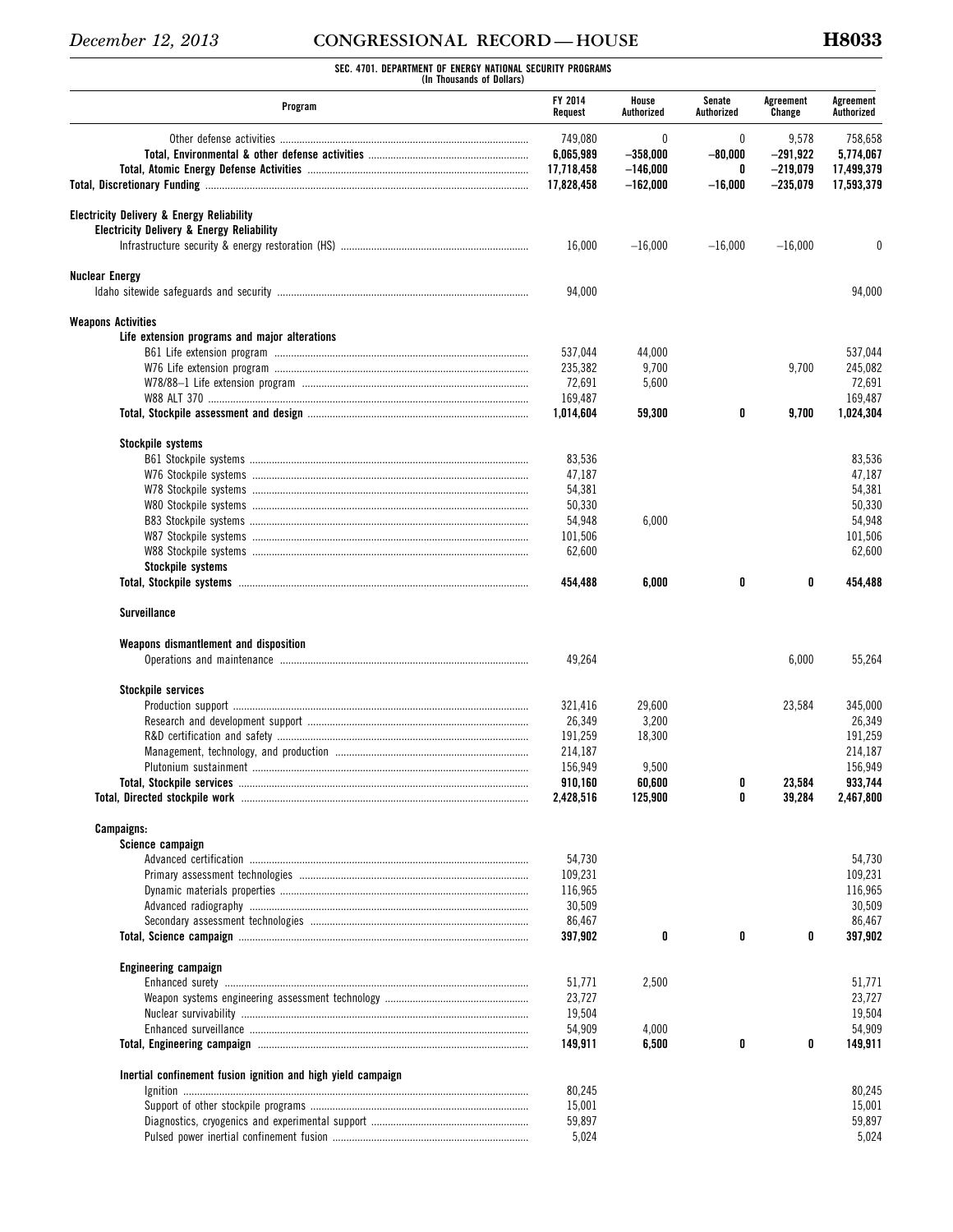**SEC. 4701. DEPARTMENT OF ENERGY NATIONAL SECURITY PROGRAMS (In Thousands of Dollars)** 

| Program                                                      | FY 2014<br>Request                 | House<br>Authorized                  | Senate<br>Authorized | Agreement<br>Change               | Agreement<br>Authorized            |
|--------------------------------------------------------------|------------------------------------|--------------------------------------|----------------------|-----------------------------------|------------------------------------|
|                                                              | 749,080<br>6,065,989<br>17,718,458 | $\theta$<br>$-358,000$<br>$-146,000$ | 0<br>$-80,000$<br>0  | 9,578<br>$-291,922$<br>$-219,079$ | 758,658<br>5,774,067<br>17,499,379 |
|                                                              | 17,828,458                         | $-162,000$                           | $-16,000$            | $-235,079$                        | 17,593,379                         |
| <b>Electricity Delivery &amp; Energy Reliability</b>         |                                    |                                      |                      |                                   |                                    |
| <b>Electricity Delivery &amp; Energy Reliability</b>         |                                    |                                      |                      |                                   |                                    |
|                                                              | 16,000                             | $-16,000$                            | $-16,000$            | $-16,000$                         | 0                                  |
| <b>Nuclear Energy</b>                                        | 94,000                             |                                      |                      |                                   | 94,000                             |
| <b>Weapons Activities</b>                                    |                                    |                                      |                      |                                   |                                    |
| Life extension programs and major alterations                |                                    |                                      |                      |                                   |                                    |
|                                                              | 537,044                            | 44,000                               |                      |                                   | 537,044                            |
|                                                              | 235,382                            | 9,700                                |                      | 9,700                             | 245,082                            |
|                                                              | 72,691                             | 5,600                                |                      |                                   | 72,691                             |
|                                                              | 169,487                            |                                      |                      |                                   | 169,487                            |
|                                                              | 1,014,604                          | 59,300                               | 0                    | 9,700                             | 1,024,304                          |
| Stockpile systems                                            |                                    |                                      |                      |                                   |                                    |
|                                                              | 83,536                             |                                      |                      |                                   | 83,536                             |
|                                                              | 47,187                             |                                      |                      |                                   | 47,187                             |
|                                                              | 54,381                             |                                      |                      |                                   | 54,381                             |
|                                                              | 50,330                             |                                      |                      |                                   | 50,330                             |
|                                                              | 54,948                             | 6,000                                |                      |                                   | 54,948                             |
|                                                              | 101,506                            |                                      |                      |                                   | 101.506                            |
|                                                              | 62,600                             |                                      |                      |                                   | 62,600                             |
| Stockpile systems                                            | 454,488                            | 6,000                                | 0                    | 0                                 | 454,488                            |
| <b>Surveillance</b>                                          |                                    |                                      |                      |                                   |                                    |
|                                                              |                                    |                                      |                      |                                   |                                    |
| Weapons dismantlement and disposition                        | 49,264                             |                                      |                      | 6,000                             | 55,264                             |
| <b>Stockpile services</b>                                    |                                    |                                      |                      |                                   |                                    |
|                                                              | 321.416                            | 29,600                               |                      | 23,584                            | 345,000                            |
|                                                              | 26,349                             | 3,200                                |                      |                                   | 26,349                             |
|                                                              | 191,259                            | 18,300                               |                      |                                   | 191,259                            |
|                                                              | 214,187                            |                                      |                      |                                   | 214.187                            |
|                                                              | 156,949                            | 9,500                                |                      |                                   | 156,949                            |
|                                                              | 910,160                            | 60,600                               |                      | 23,584                            | 933,744                            |
|                                                              | 2,428,516                          | 125,900                              | 0                    | 39,284                            | 2.467.800                          |
| Campaigns:                                                   |                                    |                                      |                      |                                   |                                    |
| Science campaign                                             |                                    |                                      |                      |                                   |                                    |
|                                                              | 54,730                             |                                      |                      |                                   | 54,730                             |
|                                                              | 109,231                            |                                      |                      |                                   | 109,231                            |
|                                                              | 116,965                            |                                      |                      |                                   | 116,965                            |
|                                                              | 30,509                             |                                      |                      |                                   | 30,509                             |
|                                                              | 86,467                             |                                      |                      |                                   | 86,467                             |
|                                                              | 397,902                            | 0                                    | 0                    | 0                                 | 397,902                            |
| <b>Engineering campaign</b>                                  |                                    |                                      |                      |                                   |                                    |
|                                                              | 51,771                             | 2,500                                |                      |                                   | 51,771                             |
|                                                              | 23,727                             |                                      |                      |                                   | 23,727                             |
|                                                              | 19,504                             |                                      |                      |                                   | 19,504                             |
|                                                              | 54,909<br>149,911                  | 4,000<br>6,500                       | 0                    | 0                                 | 54,909<br>149,911                  |
|                                                              |                                    |                                      |                      |                                   |                                    |
| Inertial confinement fusion ignition and high yield campaign | 80,245                             |                                      |                      |                                   | 80,245                             |
|                                                              | 15,001                             |                                      |                      |                                   | 15,001                             |
|                                                              | 59,897                             |                                      |                      |                                   | 59,897                             |
|                                                              | 5,024                              |                                      |                      |                                   | 5,024                              |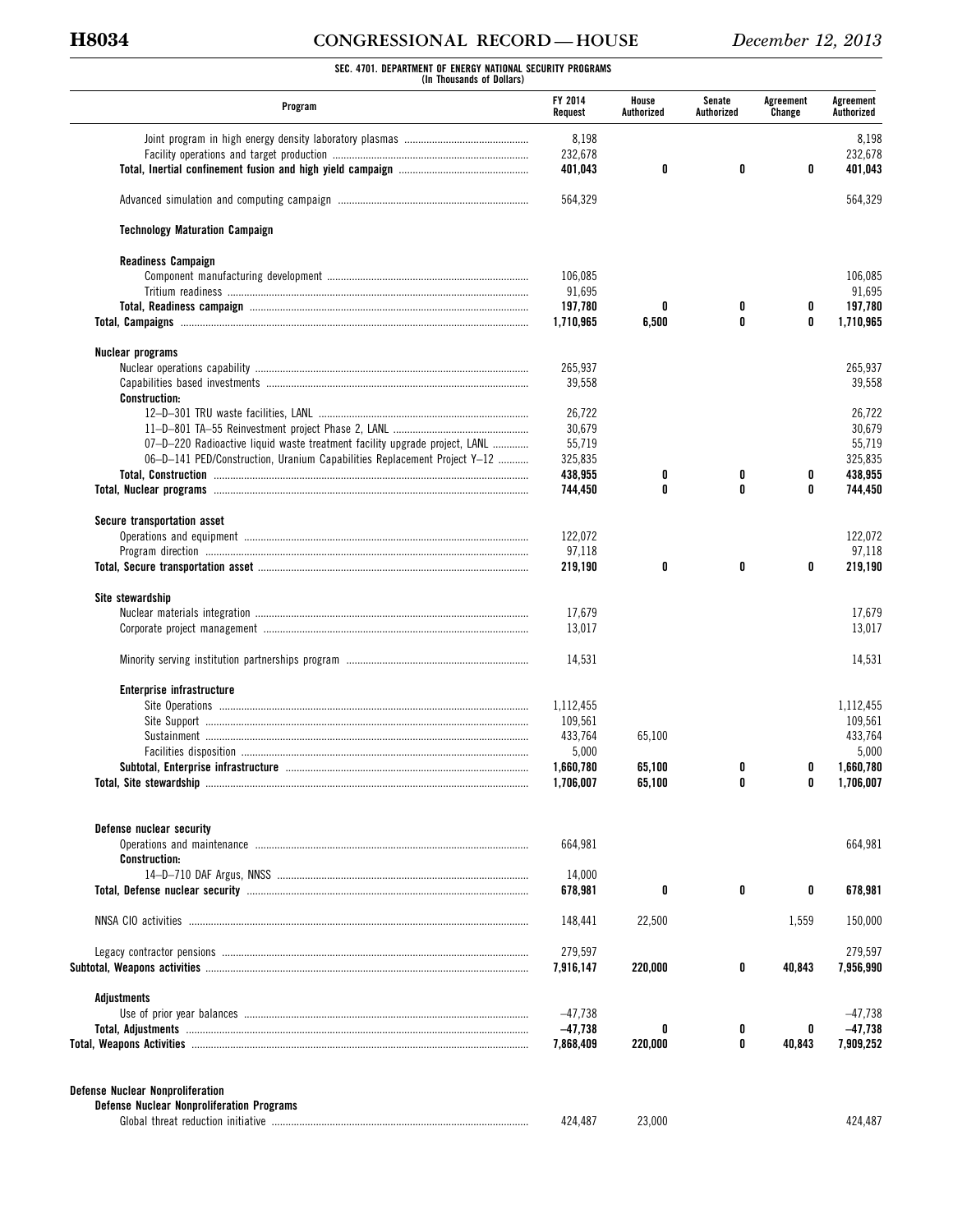# **H8034 CONGRESSIONAL RECORD — HOUSE** *December 12, 2013*

# **SEC. 4701. DEPARTMENT OF ENERGY NATIONAL SECURITY PROGRAMS (In Thousands of Dollars)**

| Program                                                                    | FY 2014<br>Request | House<br>Authorized | Senate<br>Authorized | Agreement<br>Change | Agreement<br>Authorized |  |
|----------------------------------------------------------------------------|--------------------|---------------------|----------------------|---------------------|-------------------------|--|
|                                                                            | 8,198              |                     |                      |                     | 8,198                   |  |
|                                                                            | 232,678            |                     |                      |                     | 232,678                 |  |
|                                                                            | 401,043            | 0                   | 0                    | 0                   | 401,043                 |  |
|                                                                            | 564,329            |                     |                      |                     | 564,329                 |  |
| <b>Technology Maturation Campaign</b>                                      |                    |                     |                      |                     |                         |  |
| <b>Readiness Campaign</b>                                                  |                    |                     |                      |                     |                         |  |
|                                                                            | 106,085            |                     |                      |                     | 106,085                 |  |
|                                                                            | 91,695             |                     |                      |                     | 91,695                  |  |
|                                                                            | 197,780            | 0                   | 0                    | 0                   | 197,780                 |  |
|                                                                            | 1,710,965          | 6,500               | 0                    | 0                   | 1,710,965               |  |
| Nuclear programs                                                           |                    |                     |                      |                     |                         |  |
|                                                                            | 265,937            |                     |                      |                     | 265,937                 |  |
|                                                                            | 39,558             |                     |                      |                     | 39,558                  |  |
| <b>Construction:</b>                                                       |                    |                     |                      |                     |                         |  |
|                                                                            | 26.722             |                     |                      |                     | 26,722                  |  |
|                                                                            | 30,679             |                     |                      |                     | 30,679                  |  |
| 07-D-220 Radioactive liquid waste treatment facility upgrade project, LANL | 55,719             |                     |                      |                     | 55,719                  |  |
| 06-D-141 PED/Construction, Uranium Capabilities Replacement Project Y-12   | 325,835            |                     |                      |                     | 325,835                 |  |
|                                                                            | 438,955            | 0                   | 0                    | 0                   | 438,955                 |  |
|                                                                            | 744,450            | 0                   | 0                    | 0                   | 744,450                 |  |
|                                                                            |                    |                     |                      |                     |                         |  |
| Secure transportation asset                                                |                    |                     |                      |                     |                         |  |
|                                                                            | 122,072            |                     |                      |                     | 122,072                 |  |
|                                                                            | 97,118             |                     |                      |                     | 97,118                  |  |
|                                                                            | 219,190            | 0                   | 0                    | 0                   | 219,190                 |  |
| Site stewardship                                                           |                    |                     |                      |                     |                         |  |
|                                                                            | 17,679             |                     |                      |                     | 17,679                  |  |
|                                                                            | 13,017             |                     |                      |                     | 13,017                  |  |
|                                                                            | 14,531             |                     |                      |                     | 14,531                  |  |
|                                                                            |                    |                     |                      |                     |                         |  |
| Enterprise infrastructure                                                  | 1,112,455          |                     |                      |                     | 1,112,455               |  |
|                                                                            |                    |                     |                      |                     |                         |  |
|                                                                            | 109,561            |                     |                      |                     | 109,561                 |  |
|                                                                            | 433,764            | 65,100              |                      |                     | 433,764                 |  |
|                                                                            | 5,000              |                     |                      |                     | 5,000                   |  |
|                                                                            | 1,660,780          | 65,100              | 0                    | 0                   | 1.660.780               |  |
| Total. Site stewardship                                                    | 1.706.007          | 65.100              | 0                    | 0                   | 1,706,007               |  |
|                                                                            |                    |                     |                      |                     |                         |  |
| Defense nuclear security                                                   |                    |                     |                      |                     | 664,981                 |  |
|                                                                            | 664,981            |                     |                      |                     |                         |  |
| <b>Construction:</b>                                                       |                    |                     |                      |                     |                         |  |
|                                                                            | 14,000<br>678,981  | 0                   | 0                    | 0                   | 678,981                 |  |
|                                                                            |                    |                     |                      |                     |                         |  |
|                                                                            | 148,441            | 22,500              |                      | 1,559               | 150,000                 |  |
|                                                                            | 279,597            |                     |                      |                     | 279,597                 |  |
|                                                                            | 7,916,147          | 220,000             | 0                    | 40,843              | 7,956,990               |  |
| Adjustments                                                                |                    |                     |                      |                     |                         |  |
|                                                                            | $-47,738$          |                     |                      |                     | $-47,738$               |  |
|                                                                            | $-47,738$          | 0                   | 0                    | 0                   | $-47,738$               |  |
|                                                                            | 7,868,409          | 220,000             | 0                    | 40,843              | 7,909,252               |  |
|                                                                            |                    |                     |                      |                     |                         |  |
| <b>Defense Nuclear Nonproliferation</b>                                    |                    |                     |                      |                     |                         |  |
| <b>Defense Nuclear Nonproliferation Programs</b>                           |                    |                     |                      |                     |                         |  |
|                                                                            | 424,487            | 23,000              |                      |                     | 424,487                 |  |
|                                                                            |                    |                     |                      |                     |                         |  |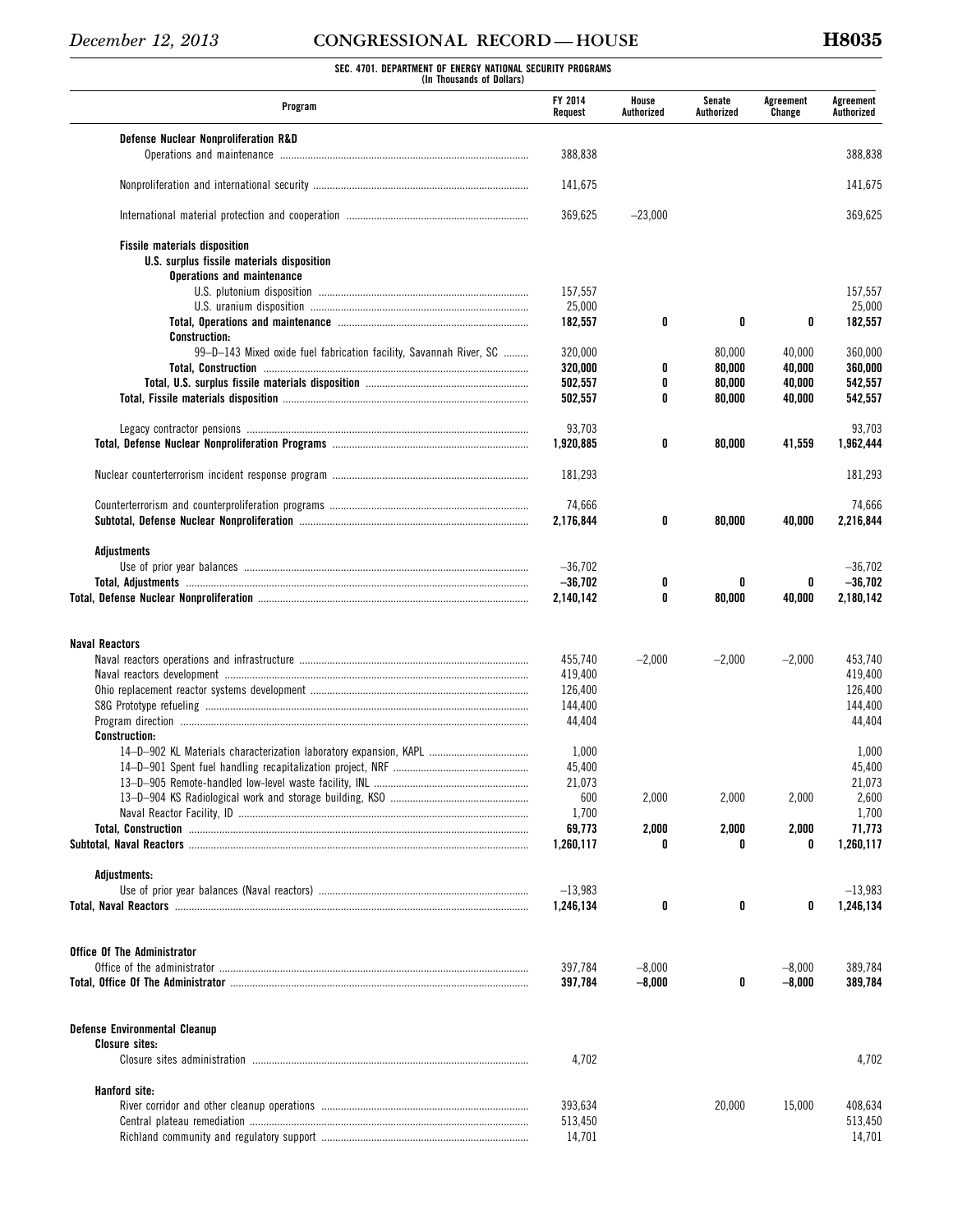# **SEC. 4701. DEPARTMENT OF ENERGY NATIONAL SECURITY PROGRAMS (In Thousands of Dollars)**

| Program                                                            | FY 2014<br>Request     | House<br>Authorized | Senate<br>Authorized | Agreement<br>Change | Agreement<br>Authorized |
|--------------------------------------------------------------------|------------------------|---------------------|----------------------|---------------------|-------------------------|
| Defense Nuclear Nonproliferation R&D                               |                        |                     |                      |                     |                         |
|                                                                    | 388,838                |                     |                      |                     | 388,838                 |
|                                                                    | 141,675                |                     |                      |                     | 141,675                 |
|                                                                    | 369,625                | $-23,000$           |                      |                     | 369,625                 |
| <b>Fissile materials disposition</b>                               |                        |                     |                      |                     |                         |
| U.S. surplus fissile materials disposition                         |                        |                     |                      |                     |                         |
| Operations and maintenance                                         |                        |                     |                      |                     |                         |
|                                                                    | 157,557<br>25,000      |                     |                      |                     | 157,557<br>25,000       |
|                                                                    | 182,557                | 0                   | 0                    | 0                   | 182,557                 |
| <b>Construction:</b>                                               |                        |                     |                      |                     |                         |
| 99-D-143 Mixed oxide fuel fabrication facility, Savannah River, SC | 320,000                |                     | 80,000               | 40,000              | 360,000                 |
|                                                                    | 320,000                | 0                   | 80,000               | 40,000              | 360,000                 |
|                                                                    | 502,557                | 0                   | 80,000               | 40,000              | 542,557                 |
|                                                                    | 502,557                | 0                   | 80,000               | 40,000              | 542,557                 |
|                                                                    | 93,703                 |                     |                      |                     | 93,703                  |
|                                                                    | 1,920,885              | 0                   | 80,000               | 41,559              | 1,962,444               |
|                                                                    |                        |                     |                      |                     |                         |
|                                                                    | 181,293                |                     |                      |                     | 181,293                 |
|                                                                    | 74,666                 |                     |                      |                     | 74,666                  |
|                                                                    | 2,176,844              | 0                   | 80,000               | 40,000              | 2,216,844               |
| Adjustments                                                        |                        |                     |                      |                     |                         |
|                                                                    | $-36,702$              |                     |                      |                     | $-36,702$               |
|                                                                    | $-36,702$<br>2,140,142 | 0<br>0              | 0<br>80,000          | 0<br>40,000         | $-36,702$<br>2,180,142  |
|                                                                    |                        |                     |                      |                     |                         |
| <b>Naval Reactors</b>                                              |                        |                     |                      |                     |                         |
|                                                                    | 455,740                | $-2,000$            | $-2,000$             | $-2,000$            | 453.740                 |
|                                                                    | 419,400                |                     |                      |                     | 419,400                 |
|                                                                    | 126,400<br>144,400     |                     |                      |                     | 126,400<br>144,400      |
|                                                                    | 44,404                 |                     |                      |                     | 44,404                  |
| <b>Construction:</b>                                               |                        |                     |                      |                     |                         |
| 14-D-902 KL Materials characterization laboratory expansion, KAPL  | 1,000                  |                     |                      |                     | 1,000                   |
|                                                                    | 45,400                 |                     |                      |                     | 45,400                  |
|                                                                    | 21,073                 |                     |                      |                     | 21,073                  |
|                                                                    | 600                    | 2,000               | 2,000                | 2,000               | 2,600                   |
|                                                                    | 1,700                  |                     |                      |                     | 1,700                   |
|                                                                    | 69,773                 | 2,000               | 2,000                | 2,000               | 71,773                  |
|                                                                    | 1,260,117              | 0                   | 0                    | 0                   | 1,260,117               |
| Adjustments:                                                       |                        |                     |                      |                     |                         |
|                                                                    | $-13,983$              |                     |                      |                     | $-13,983$               |
|                                                                    | 1,246,134              | 0                   | 0                    | 0                   | 1,246,134               |
| <b>Office Of The Administrator</b>                                 |                        |                     |                      |                     |                         |
|                                                                    | 397,784                | $-8,000$            |                      | $-8,000$            | 389,784                 |
|                                                                    | 397,784                | $-8,000$            | 0                    | $-8,000$            | 389,784                 |
|                                                                    |                        |                     |                      |                     |                         |
| <b>Defense Environmental Cleanup</b>                               |                        |                     |                      |                     |                         |
| <b>Closure sites:</b>                                              | 4,702                  |                     |                      |                     | 4,702                   |
|                                                                    |                        |                     |                      |                     |                         |
| Hanford site:                                                      |                        |                     |                      |                     |                         |
|                                                                    | 393,634                |                     | 20,000               | 15,000              | 408,634                 |
|                                                                    | 513,450                |                     |                      |                     | 513,450                 |
|                                                                    | 14,701                 |                     |                      |                     | 14,701                  |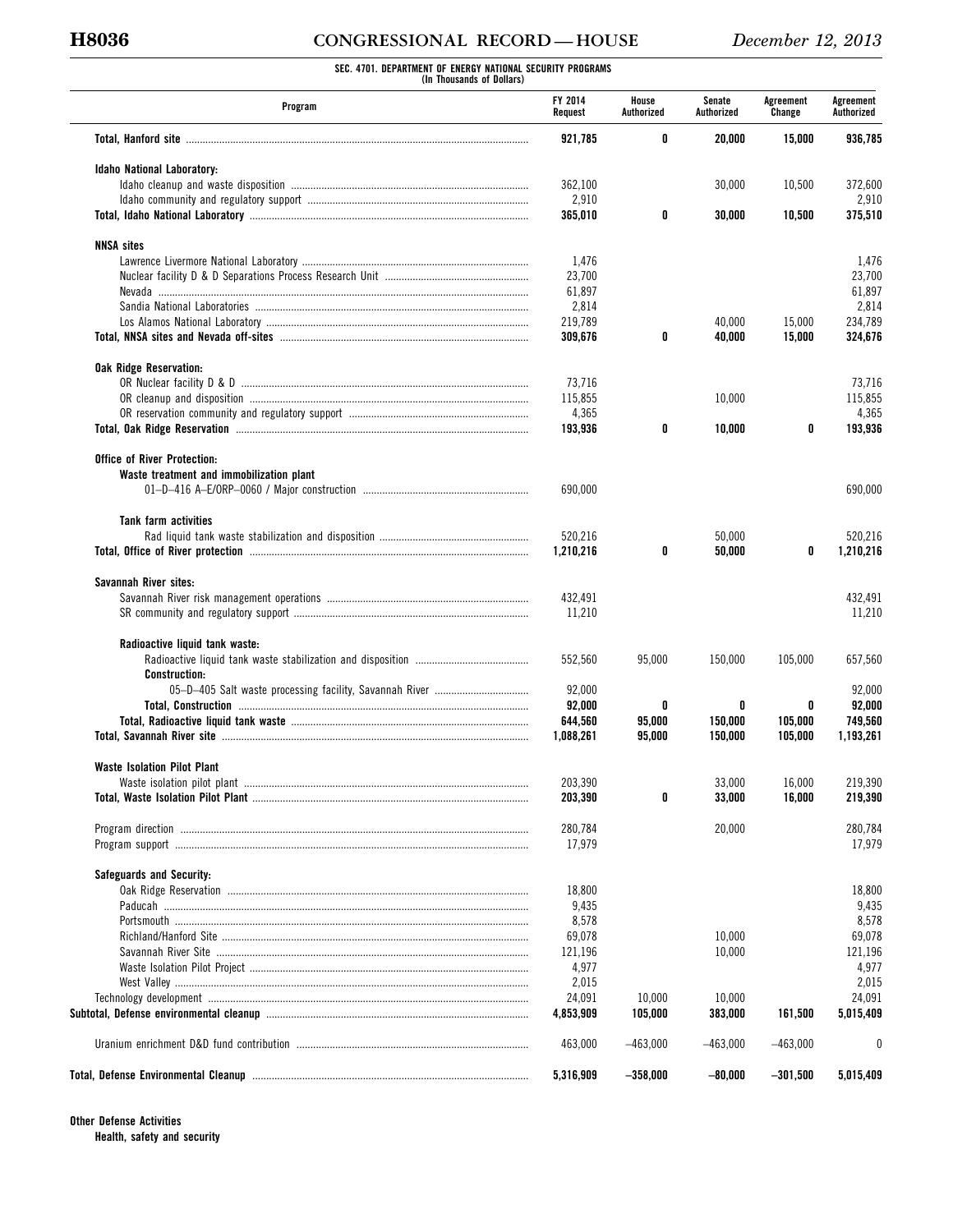# **H8036 CONGRESSIONAL RECORD — HOUSE** *December 12, 2013*

**SEC. 4701. DEPARTMENT OF ENERGY NATIONAL SECURITY PROGRAMS (In Thousands of Dollars)** 

| Program                                  | FY 2014<br>Request | House<br>Authorized | Senate<br>Authorized | Agreement<br>Change | Agreement<br>Authorized |
|------------------------------------------|--------------------|---------------------|----------------------|---------------------|-------------------------|
|                                          | 921,785            | 0                   | 20,000               | 15,000              | 936,785                 |
| <b>Idaho National Laboratory:</b>        |                    |                     |                      |                     |                         |
|                                          | 362,100            |                     | 30,000               | 10,500              | 372,600                 |
|                                          | 2,910              |                     |                      |                     | 2,910                   |
|                                          | 365,010            | 0                   | 30,000               | 10,500              | 375,510                 |
| <b>NNSA sites</b>                        |                    |                     |                      |                     |                         |
|                                          | 1,476              |                     |                      |                     | 1,476                   |
|                                          | 23,700             |                     |                      |                     | 23,700                  |
|                                          | 61,897             |                     |                      |                     | 61,897                  |
|                                          | 2,814              |                     |                      |                     | 2,814                   |
|                                          | 219,789            |                     | 40,000               | 15,000              | 234,789                 |
|                                          | 309,676            | 0                   | 40,000               | 15,000              | 324,676                 |
| <b>Oak Ridge Reservation:</b>            |                    |                     |                      |                     |                         |
|                                          | 73,716             |                     |                      |                     | 73,716                  |
|                                          | 115,855            |                     | 10,000               |                     | 115.855                 |
|                                          | 4,365              |                     |                      |                     | 4,365                   |
|                                          | 193,936            | 0                   | 10,000               | 0                   | 193,936                 |
| <b>Office of River Protection:</b>       |                    |                     |                      |                     |                         |
| Waste treatment and immobilization plant |                    |                     |                      |                     |                         |
|                                          | 690,000            |                     |                      |                     | 690,000                 |
| <b>Tank farm activities</b>              |                    |                     |                      |                     |                         |
|                                          | 520,216            |                     | 50,000               |                     | 520,216                 |
|                                          | 1,210,216          | 0                   | 50,000               | 0                   | 1,210,216               |
| Savannah River sites:                    |                    |                     |                      |                     |                         |
|                                          | 432,491            |                     |                      |                     | 432,491                 |
|                                          | 11,210             |                     |                      |                     | 11,210                  |
| Radioactive liquid tank waste:           |                    |                     |                      |                     |                         |
| <b>Construction:</b>                     | 552,560            | 95,000              | 150,000              | 105,000             | 657,560                 |
|                                          | 92,000             |                     |                      |                     | 92,000                  |
|                                          | 92,000             | 0                   | 0                    | 0                   | 92,000                  |
|                                          | 644.560            | 95,000              | 150,000              | 105,000             | 749,560                 |
|                                          |                    |                     |                      |                     |                         |
|                                          | 1,088,261          | 95,000              | 150,000              | 105,000             | 1,193,261               |
| <b>Waste Isolation Pilot Plant</b>       |                    |                     |                      |                     |                         |
|                                          | 203,390            | 0                   | 33,000               | 16,000              | 219,390                 |
|                                          | 203,390            |                     | 33,000               | 16,000              | 219,390                 |
|                                          | 280,784            |                     | 20,000               |                     | 280,784                 |
|                                          | 17,979             |                     |                      |                     | 17,979                  |
| Safeguards and Security:                 |                    |                     |                      |                     |                         |
|                                          | 18,800             |                     |                      |                     | 18,800                  |
|                                          | 9,435              |                     |                      |                     | 9,435                   |
|                                          | 8,578              |                     |                      |                     | 8,578                   |
|                                          | 69,078             |                     | 10,000               |                     | 69,078                  |
|                                          | 121,196            |                     | 10,000               |                     | 121,196                 |
|                                          | 4,977              |                     |                      |                     | 4,977                   |
|                                          | 2,015              |                     |                      |                     | 2,015                   |
|                                          | 24,091             | 10,000              | 10,000               |                     | 24,091                  |
|                                          | 4,853,909          | 105,000             | 383,000              | 161,500             | 5,015,409               |
|                                          | 463,000            | $-463,000$          | $-463,000$           | $-463,000$          | 0                       |
|                                          | 5,316,909          | $-358,000$          | $-80,000$            | $-301,500$          | 5,015,409               |
|                                          |                    |                     |                      |                     |                         |

**Other Defense Activities Health, safety and security**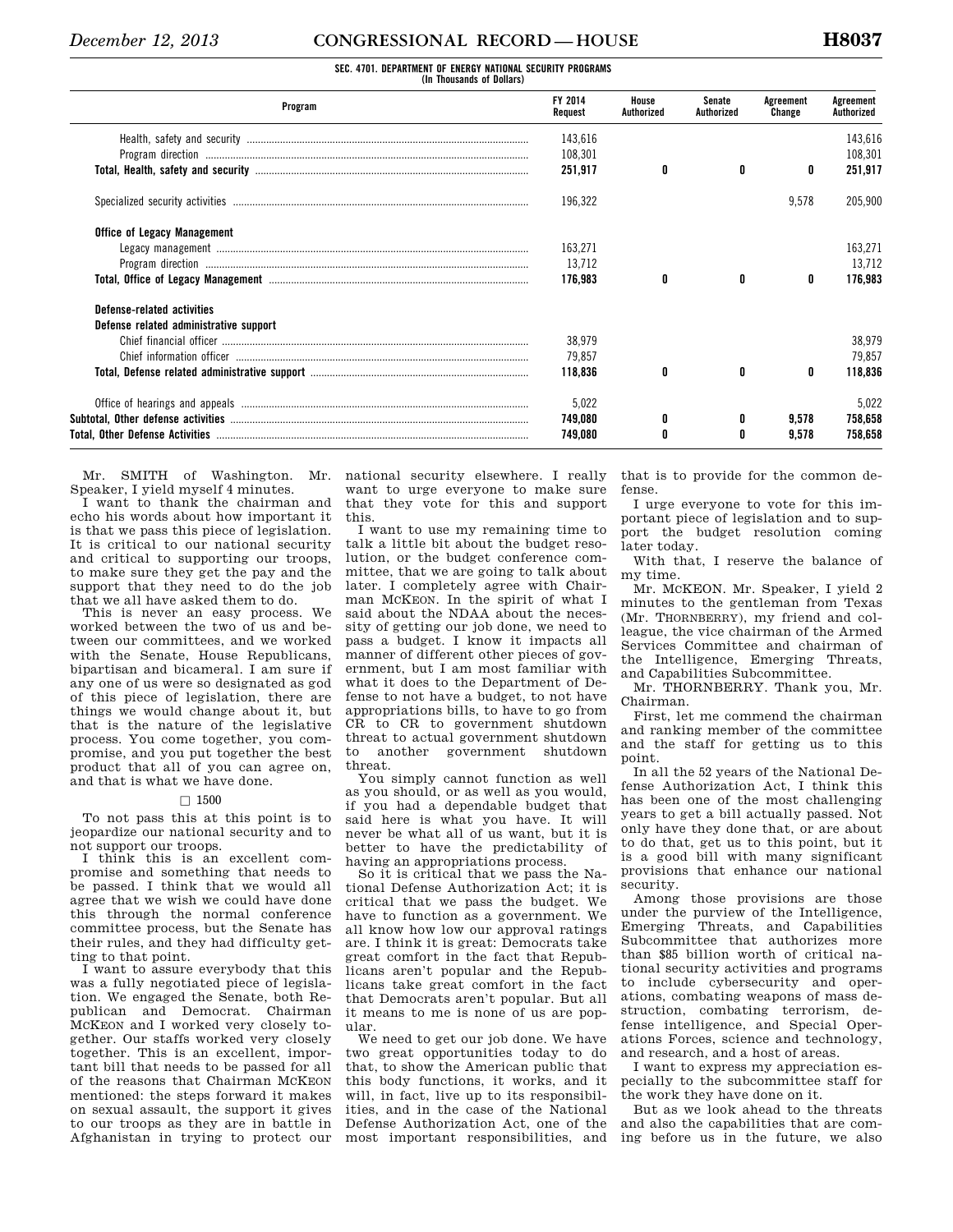|  | SEC. 4701. DEPARTMENT OF ENERGY NATIONAL SECURITY PROGRAMS |  |                           |  |
|--|------------------------------------------------------------|--|---------------------------|--|
|  |                                                            |  | (In Thousands of Dollars) |  |

| Program                                | FY 2014<br>Request | House<br>Authorized | Senate<br>Authorized | Agreement<br>Change | Agreement<br>Authorized |
|----------------------------------------|--------------------|---------------------|----------------------|---------------------|-------------------------|
|                                        | 143,616            |                     |                      |                     | 143,616                 |
|                                        | 108,301            |                     |                      |                     | 108.301                 |
|                                        | 251,917            | 0                   |                      | 0                   | 251,917                 |
|                                        | 196,322            |                     |                      | 9,578               | 205,900                 |
| <b>Office of Legacy Management</b>     |                    |                     |                      |                     |                         |
|                                        | 163,271            |                     |                      |                     | 163,271                 |
|                                        | 13,712             |                     |                      |                     | 13,712                  |
|                                        | 176.983            | 0                   | 0                    | 0                   | 176.983                 |
| Defense-related activities             |                    |                     |                      |                     |                         |
| Defense related administrative support |                    |                     |                      |                     |                         |
|                                        | 38,979             |                     |                      |                     | 38,979                  |
|                                        | 79,857             |                     |                      |                     | 79.857                  |
|                                        | 118,836            | 0                   | 0                    | 0                   | 118,836                 |
|                                        | 5,022              |                     |                      |                     | 5,022                   |
|                                        | 749,080            | 0                   |                      | 9.578               | 758,658                 |
|                                        | 749.080            | 0                   |                      | 9.578               | 758,658                 |

Mr. SMITH of Washington. Mr. Speaker, I yield myself 4 minutes.

I want to thank the chairman and echo his words about how important it is that we pass this piece of legislation. It is critical to our national security and critical to supporting our troops, to make sure they get the pay and the support that they need to do the job that we all have asked them to do.

This is never an easy process. We worked between the two of us and between our committees, and we worked with the Senate, House Republicans, bipartisan and bicameral. I am sure if any one of us were so designated as god of this piece of legislation, there are things we would change about it, but that is the nature of the legislative process. You come together, you compromise, and you put together the best product that all of you can agree on, and that is what we have done.

### $\Box$  1500

To not pass this at this point is to jeopardize our national security and to not support our troops.

I think this is an excellent compromise and something that needs to be passed. I think that we would all agree that we wish we could have done this through the normal conference committee process, but the Senate has their rules, and they had difficulty getting to that point.

I want to assure everybody that this was a fully negotiated piece of legislation. We engaged the Senate, both Republican and Democrat. Chairman MCKEON and I worked very closely together. Our staffs worked very closely together. This is an excellent, important bill that needs to be passed for all of the reasons that Chairman MCKEON mentioned: the steps forward it makes on sexual assault, the support it gives to our troops as they are in battle in Afghanistan in trying to protect our

national security elsewhere. I really want to urge everyone to make sure that they vote for this and support this.

I want to use my remaining time to talk a little bit about the budget resolution, or the budget conference committee, that we are going to talk about later. I completely agree with Chairman MCKEON. In the spirit of what I said about the NDAA about the necessity of getting our job done, we need to pass a budget. I know it impacts all manner of different other pieces of government, but I am most familiar with what it does to the Department of Defense to not have a budget, to not have appropriations bills, to have to go from CR to CR to government shutdown threat to actual government shutdown to another government shutdown threat.

You simply cannot function as well as you should, or as well as you would, if you had a dependable budget that said here is what you have. It will never be what all of us want, but it is better to have the predictability of having an appropriations process.

So it is critical that we pass the National Defense Authorization Act; it is critical that we pass the budget. We have to function as a government. We all know how low our approval ratings are. I think it is great: Democrats take great comfort in the fact that Republicans aren't popular and the Republicans take great comfort in the fact that Democrats aren't popular. But all it means to me is none of us are popular.

We need to get our job done. We have two great opportunities today to do that, to show the American public that this body functions, it works, and it will, in fact, live up to its responsibilities, and in the case of the National Defense Authorization Act, one of the most important responsibilities, and

that is to provide for the common defense.

I urge everyone to vote for this important piece of legislation and to support the budget resolution coming later today.

With that, I reserve the balance of my time.

Mr. MCKEON. Mr. Speaker, I yield 2 minutes to the gentleman from Texas (Mr. THORNBERRY), my friend and colleague, the vice chairman of the Armed Services Committee and chairman of the Intelligence, Emerging Threats, and Capabilities Subcommittee.

Mr. THORNBERRY. Thank you, Mr. Chairman.

First, let me commend the chairman and ranking member of the committee and the staff for getting us to this point.

In all the 52 years of the National Defense Authorization Act, I think this has been one of the most challenging years to get a bill actually passed. Not only have they done that, or are about to do that, get us to this point, but it is a good bill with many significant provisions that enhance our national security.

Among those provisions are those under the purview of the Intelligence, Emerging Threats, and Capabilities Subcommittee that authorizes more than \$85 billion worth of critical national security activities and programs to include cybersecurity and operations, combating weapons of mass destruction, combating terrorism, defense intelligence, and Special Operations Forces, science and technology, and research, and a host of areas.

I want to express my appreciation especially to the subcommittee staff for the work they have done on it.

But as we look ahead to the threats and also the capabilities that are coming before us in the future, we also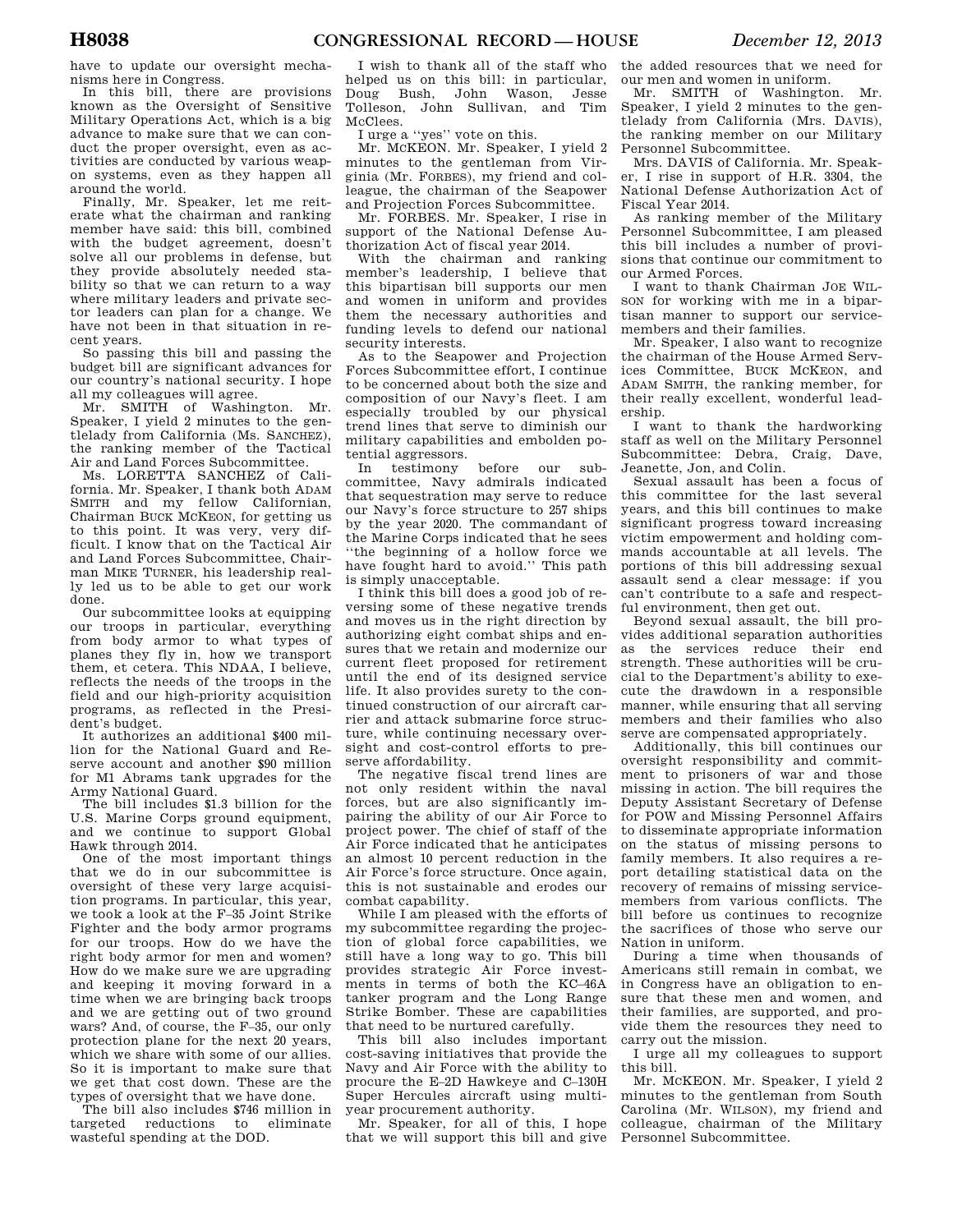have to update our oversight mechanisms here in Congress.

In this bill, there are provisions known as the Oversight of Sensitive Military Operations Act, which is a big advance to make sure that we can conduct the proper oversight, even as activities are conducted by various weapon systems, even as they happen all around the world.

Finally, Mr. Speaker, let me reiterate what the chairman and ranking member have said: this bill, combined with the budget agreement, doesn't solve all our problems in defense, but they provide absolutely needed stability so that we can return to a way where military leaders and private sector leaders can plan for a change. We have not been in that situation in recent years.

So passing this bill and passing the budget bill are significant advances for our country's national security. I hope all my colleagues will agree.

Mr. SMITH of Washington. Mr. Speaker, I yield 2 minutes to the gentlelady from California (Ms. SANCHEZ), the ranking member of the Tactical Air and Land Forces Subcommittee.

Ms. LORETTA SANCHEZ of California. Mr. Speaker, I thank both ADAM SMITH and my fellow Californian, Chairman BUCK MCKEON, for getting us to this point. It was very, very difficult. I know that on the Tactical Air and Land Forces Subcommittee, Chairman MIKE TURNER, his leadership really led us to be able to get our work done.

Our subcommittee looks at equipping our troops in particular, everything from body armor to what types of planes they fly in, how we transport them, et cetera. This NDAA, I believe, reflects the needs of the troops in the field and our high-priority acquisition programs, as reflected in the President's budget.

It authorizes an additional \$400 million for the National Guard and Reserve account and another \$90 million for M1 Abrams tank upgrades for the Army National Guard.

The bill includes \$1.3 billion for the U.S. Marine Corps ground equipment, and we continue to support Global Hawk through 2014.

One of the most important things that we do in our subcommittee is oversight of these very large acquisition programs. In particular, this year, we took a look at the F–35 Joint Strike Fighter and the body armor programs for our troops. How do we have the right body armor for men and women? How do we make sure we are upgrading and keeping it moving forward in a time when we are bringing back troops and we are getting out of two ground wars? And, of course, the F–35, our only protection plane for the next 20 years, which we share with some of our allies. So it is important to make sure that we get that cost down. These are the types of oversight that we have done.

The bill also includes \$746 million in targeted reductions to eliminate wasteful spending at the DOD.

I wish to thank all of the staff who helped us on this bill: in particular, Doug Bush, John Wason, Jesse Tolleson, John Sullivan, and Tim McClees.

I urge a ''yes'' vote on this.

Mr. MCKEON. Mr. Speaker, I yield 2 minutes to the gentleman from Virginia (Mr. FORBES), my friend and colleague, the chairman of the Seapower and Projection Forces Subcommittee.

Mr. FORBES. Mr. Speaker, I rise in support of the National Defense Authorization Act of fiscal year 2014.

With the chairman and ranking member's leadership, I believe that this bipartisan bill supports our men and women in uniform and provides them the necessary authorities and funding levels to defend our national security interests.

As to the Seapower and Projection Forces Subcommittee effort, I continue to be concerned about both the size and composition of our Navy's fleet. I am especially troubled by our physical trend lines that serve to diminish our military capabilities and embolden potential aggressors.<br>In testimony

testimony before our subcommittee, Navy admirals indicated that sequestration may serve to reduce our Navy's force structure to 257 ships by the year 2020. The commandant of the Marine Corps indicated that he sees ''the beginning of a hollow force we have fought hard to avoid.'' This path is simply unacceptable.

I think this bill does a good job of reversing some of these negative trends and moves us in the right direction by authorizing eight combat ships and ensures that we retain and modernize our current fleet proposed for retirement until the end of its designed service life. It also provides surety to the continued construction of our aircraft carrier and attack submarine force structure, while continuing necessary oversight and cost-control efforts to preserve affordability.

The negative fiscal trend lines are not only resident within the naval forces, but are also significantly impairing the ability of our Air Force to project power. The chief of staff of the Air Force indicated that he anticipates an almost 10 percent reduction in the Air Force's force structure. Once again, this is not sustainable and erodes our combat capability.

While I am pleased with the efforts of my subcommittee regarding the projection of global force capabilities, we still have a long way to go. This bill provides strategic Air Force investments in terms of both the KC–46A tanker program and the Long Range Strike Bomber. These are capabilities that need to be nurtured carefully.

This bill also includes important cost-saving initiatives that provide the Navy and Air Force with the ability to procure the E–2D Hawkeye and C–130H Super Hercules aircraft using multiyear procurement authority.

Mr. Speaker, for all of this, I hope that we will support this bill and give the added resources that we need for our men and women in uniform.

Mr. SMITH of Washington. Mr. Speaker, I yield 2 minutes to the gentlelady from California (Mrs. DAVIS), the ranking member on our Military Personnel Subcommittee.

Mrs. DAVIS of California. Mr. Speaker, I rise in support of H.R. 3304, the National Defense Authorization Act of Fiscal Year 2014.

As ranking member of the Military Personnel Subcommittee, I am pleased this bill includes a number of provisions that continue our commitment to our Armed Forces.

I want to thank Chairman JOE WIL-SON for working with me in a bipartisan manner to support our servicemembers and their families.

Mr. Speaker, I also want to recognize the chairman of the House Armed Services Committee, BUCK MCKEON, and ADAM SMITH, the ranking member, for their really excellent, wonderful leadership.

I want to thank the hardworking staff as well on the Military Personnel Subcommittee: Debra, Craig, Dave, Jeanette, Jon, and Colin.

Sexual assault has been a focus of this committee for the last several years, and this bill continues to make significant progress toward increasing victim empowerment and holding commands accountable at all levels. The portions of this bill addressing sexual assault send a clear message: if you can't contribute to a safe and respectful environment, then get out.

Beyond sexual assault, the bill provides additional separation authorities as the services reduce their end strength. These authorities will be crucial to the Department's ability to execute the drawdown in a responsible manner, while ensuring that all serving members and their families who also serve are compensated appropriately.

Additionally, this bill continues our oversight responsibility and commitment to prisoners of war and those missing in action. The bill requires the Deputy Assistant Secretary of Defense for POW and Missing Personnel Affairs to disseminate appropriate information on the status of missing persons to family members. It also requires a report detailing statistical data on the recovery of remains of missing servicemembers from various conflicts. The bill before us continues to recognize the sacrifices of those who serve our Nation in uniform.

During a time when thousands of Americans still remain in combat, we in Congress have an obligation to ensure that these men and women, and their families, are supported, and provide them the resources they need to carry out the mission.

I urge all my colleagues to support this bill.

Mr. MCKEON. Mr. Speaker, I yield 2 minutes to the gentleman from South Carolina (Mr. WILSON), my friend and colleague, chairman of the Military Personnel Subcommittee.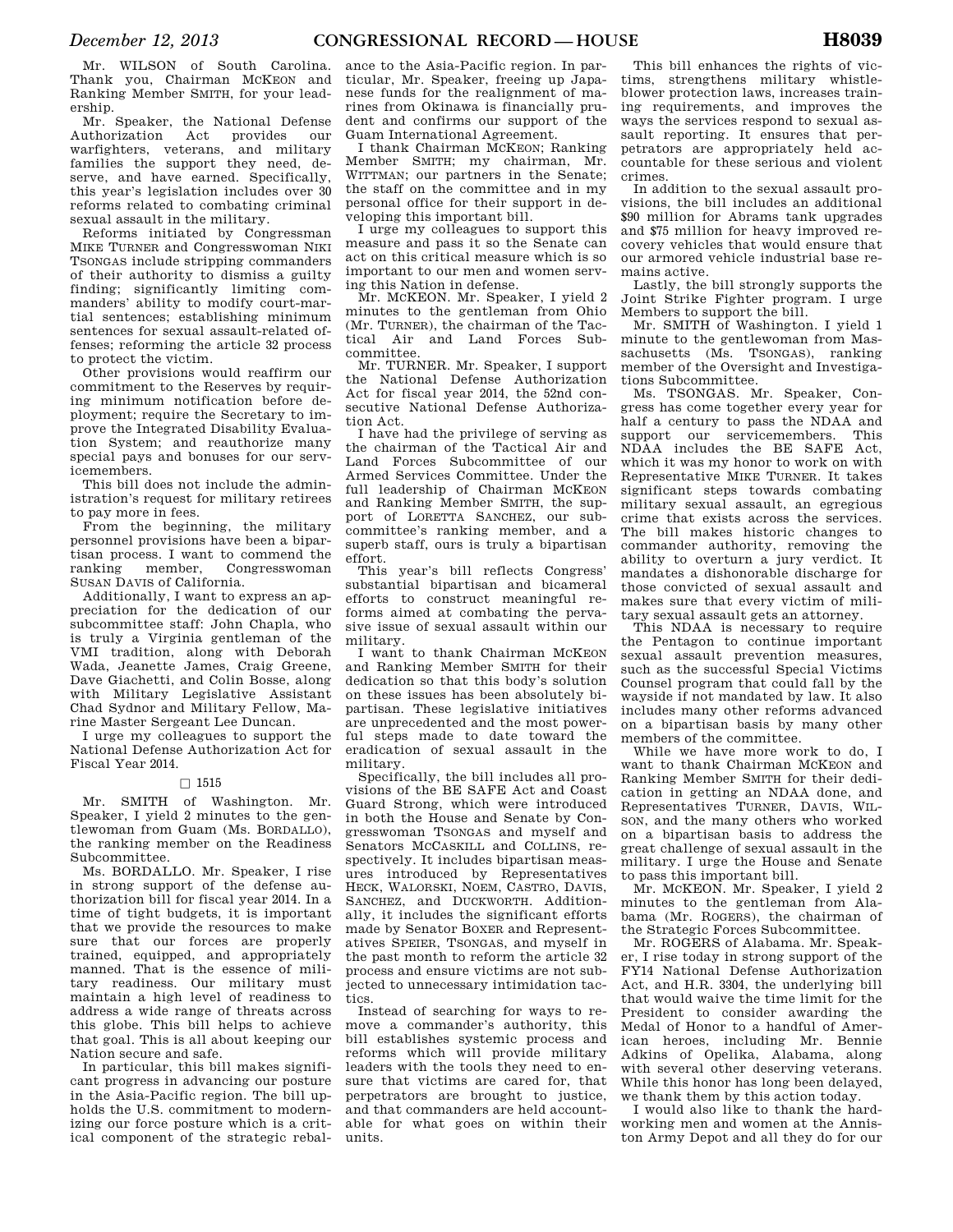Mr. WILSON of South Carolina. Thank you, Chairman MCKEON and Ranking Member SMITH, for your leadership.

Mr. Speaker, the National Defense Authorization Act provides our warfighters, veterans, and military families the support they need, deserve, and have earned. Specifically, this year's legislation includes over 30 reforms related to combating criminal sexual assault in the military.

Reforms initiated by Congressman MIKE TURNER and Congresswoman NIKI TSONGAS include stripping commanders of their authority to dismiss a guilty finding; significantly limiting commanders' ability to modify court-martial sentences; establishing minimum sentences for sexual assault-related offenses; reforming the article 32 process to protect the victim.

Other provisions would reaffirm our commitment to the Reserves by requiring minimum notification before deployment; require the Secretary to improve the Integrated Disability Evaluation System; and reauthorize many special pays and bonuses for our servicemembers.

This bill does not include the administration's request for military retirees to pay more in fees.

From the beginning, the military personnel provisions have been a bipartisan process. I want to commend the ranking member, Congresswoman SUSAN DAVIS of California.

Additionally, I want to express an appreciation for the dedication of our subcommittee staff: John Chapla, who is truly a Virginia gentleman of the VMI tradition, along with Deborah Wada, Jeanette James, Craig Greene, Dave Giachetti, and Colin Bosse, along with Military Legislative Assistant Chad Sydnor and Military Fellow, Marine Master Sergeant Lee Duncan.

I urge my colleagues to support the National Defense Authorization Act for Fiscal Year 2014.

### $\Box$  1515

Mr. SMITH of Washington. Mr. Speaker, I yield 2 minutes to the gentlewoman from Guam (Ms. BORDALLO), the ranking member on the Readiness Subcommittee.

Ms. BORDALLO. Mr. Speaker, I rise in strong support of the defense authorization bill for fiscal year 2014. In a time of tight budgets, it is important that we provide the resources to make sure that our forces are properly trained, equipped, and appropriately manned. That is the essence of military readiness. Our military must maintain a high level of readiness to address a wide range of threats across this globe. This bill helps to achieve that goal. This is all about keeping our Nation secure and safe.

In particular, this bill makes significant progress in advancing our posture in the Asia-Pacific region. The bill upholds the U.S. commitment to modernizing our force posture which is a critical component of the strategic rebal-

ance to the Asia-Pacific region. In particular, Mr. Speaker, freeing up Japanese funds for the realignment of marines from Okinawa is financially prudent and confirms our support of the Guam International Agreement.

I thank Chairman MCKEON; Ranking Member SMITH; my chairman, Mr. WITTMAN; our partners in the Senate; the staff on the committee and in my personal office for their support in developing this important bill.

I urge my colleagues to support this measure and pass it so the Senate can act on this critical measure which is so important to our men and women serving this Nation in defense.

Mr. MCKEON. Mr. Speaker, I yield 2 minutes to the gentleman from Ohio (Mr. TURNER), the chairman of the Tactical Air and Land Forces Subcommittee.

Mr. TURNER. Mr. Speaker, I support the National Defense Authorization Act for fiscal year 2014, the 52nd consecutive National Defense Authorization Act.

I have had the privilege of serving as the chairman of the Tactical Air and Land Forces Subcommittee of our Armed Services Committee. Under the full leadership of Chairman MCKEON and Ranking Member SMITH, the support of LORETTA SANCHEZ, our subcommittee's ranking member, and a superb staff, ours is truly a bipartisan effort.

This year's bill reflects Congress' substantial bipartisan and bicameral efforts to construct meaningful reforms aimed at combating the pervasive issue of sexual assault within our military.

I want to thank Chairman MCKEON and Ranking Member SMITH for their dedication so that this body's solution on these issues has been absolutely bipartisan. These legislative initiatives are unprecedented and the most powerful steps made to date toward the eradication of sexual assault in the military.

Specifically, the bill includes all provisions of the BE SAFE Act and Coast Guard Strong, which were introduced in both the House and Senate by Congresswoman TSONGAS and myself and Senators MCCASKILL and COLLINS, respectively. It includes bipartisan measures introduced by Representatives HECK, WALORSKI, NOEM, CASTRO, DAVIS, SANCHEZ, and DUCKWORTH. Additionally, it includes the significant efforts made by Senator BOXER and Representatives SPEIER, TSONGAS, and myself in the past month to reform the article 32 process and ensure victims are not subjected to unnecessary intimidation tactics.

Instead of searching for ways to remove a commander's authority, this bill establishes systemic process and reforms which will provide military leaders with the tools they need to ensure that victims are cared for, that perpetrators are brought to justice, and that commanders are held accountable for what goes on within their units.

This bill enhances the rights of victims, strengthens military whistleblower protection laws, increases training requirements, and improves the ways the services respond to sexual assault reporting. It ensures that perpetrators are appropriately held accountable for these serious and violent crimes.

In addition to the sexual assault provisions, the bill includes an additional \$90 million for Abrams tank upgrades and \$75 million for heavy improved recovery vehicles that would ensure that our armored vehicle industrial base remains active.

Lastly, the bill strongly supports the Joint Strike Fighter program. I urge Members to support the bill.

Mr. SMITH of Washington. I yield 1 minute to the gentlewoman from Massachusetts (Ms. TSONGAS), ranking member of the Oversight and Investigations Subcommittee.

Ms. TSONGAS. Mr. Speaker, Congress has come together every year for half a century to pass the NDAA and support our servicemembers. This NDAA includes the BE SAFE Act, which it was my honor to work on with Representative MIKE TURNER. It takes significant steps towards combating military sexual assault, an egregious crime that exists across the services. The bill makes historic changes to commander authority, removing the ability to overturn a jury verdict. It mandates a dishonorable discharge for those convicted of sexual assault and makes sure that every victim of military sexual assault gets an attorney.

This NDAA is necessary to require the Pentagon to continue important sexual assault prevention measures, such as the successful Special Victims Counsel program that could fall by the wayside if not mandated by law. It also includes many other reforms advanced on a bipartisan basis by many other members of the committee.

While we have more work to do, I want to thank Chairman MCKEON and Ranking Member SMITH for their dedication in getting an NDAA done, and Representatives TURNER, DAVIS, WIL-SON, and the many others who worked on a bipartisan basis to address the great challenge of sexual assault in the military. I urge the House and Senate to pass this important bill.

Mr. MCKEON. Mr. Speaker, I yield 2 minutes to the gentleman from Alabama (Mr. ROGERS), the chairman of the Strategic Forces Subcommittee.

Mr. ROGERS of Alabama. Mr. Speaker, I rise today in strong support of the FY14 National Defense Authorization Act, and H.R. 3304, the underlying bill that would waive the time limit for the President to consider awarding the Medal of Honor to a handful of American heroes, including Mr. Bennie Adkins of Opelika, Alabama, along with several other deserving veterans. While this honor has long been delayed, we thank them by this action today.

I would also like to thank the hardworking men and women at the Anniston Army Depot and all they do for our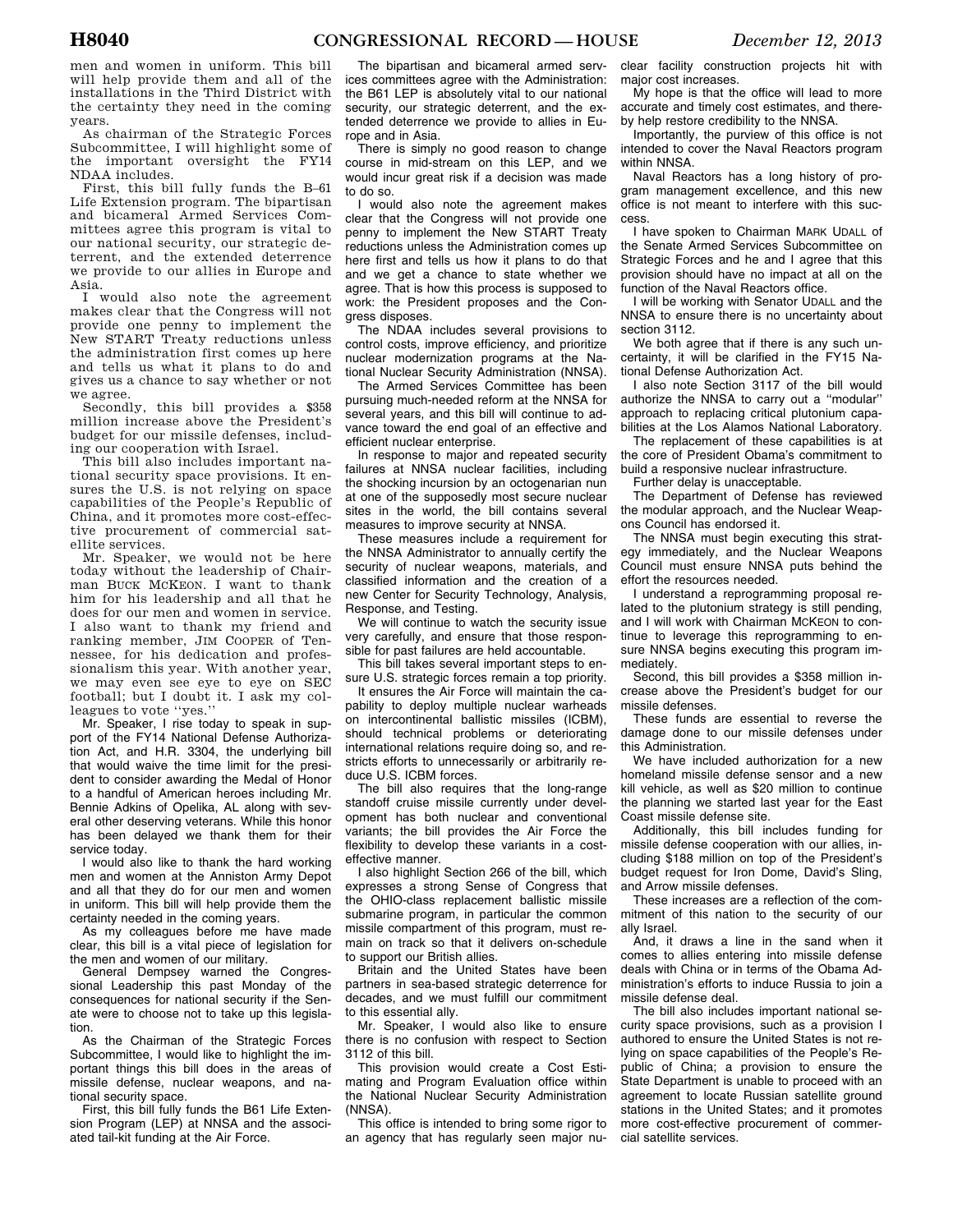men and women in uniform. This bill will help provide them and all of the installations in the Third District with the certainty they need in the coming years.

As chairman of the Strategic Forces Subcommittee, I will highlight some of the important oversight the FY14 NDAA includes.

First, this bill fully funds the B–61 Life Extension program. The bipartisan and bicameral Armed Services Committees agree this program is vital to our national security, our strategic deterrent, and the extended deterrence we provide to our allies in Europe and Asia.

I would also note the agreement makes clear that the Congress will not provide one penny to implement the New START Treaty reductions unless the administration first comes up here and tells us what it plans to do and gives us a chance to say whether or not we agree.

Secondly, this bill provides a \$358 million increase above the President's budget for our missile defenses, including our cooperation with Israel.

This bill also includes important national security space provisions. It ensures the U.S. is not relying on space capabilities of the People's Republic of China, and it promotes more cost-effective procurement of commercial satellite services.

Mr. Speaker, we would not be here today without the leadership of Chairman BUCK MCKEON. I want to thank him for his leadership and all that he does for our men and women in service. I also want to thank my friend and ranking member, JIM COOPER of Tennessee, for his dedication and professionalism this year. With another year, we may even see eye to eye on SEC football; but I doubt it. I ask my colleagues to vote ''yes.''

Mr. Speaker, I rise today to speak in support of the FY14 National Defense Authorization Act, and H.R. 3304, the underlying bill that would waive the time limit for the president to consider awarding the Medal of Honor to a handful of American heroes including Mr. Bennie Adkins of Opelika, AL along with several other deserving veterans. While this honor has been delayed we thank them for their service today.

I would also like to thank the hard working men and women at the Anniston Army Depot and all that they do for our men and women in uniform. This bill will help provide them the certainty needed in the coming years.

As my colleagues before me have made clear, this bill is a vital piece of legislation for the men and women of our military.

General Dempsey warned the Congressional Leadership this past Monday of the consequences for national security if the Senate were to choose not to take up this legislation.

As the Chairman of the Strategic Forces Subcommittee, I would like to highlight the important things this bill does in the areas of missile defense, nuclear weapons, and national security space.

First, this bill fully funds the B61 Life Extension Program (LEP) at NNSA and the associated tail-kit funding at the Air Force.

The bipartisan and bicameral armed services committees agree with the Administration: the B61 LEP is absolutely vital to our national security, our strategic deterrent, and the extended deterrence we provide to allies in Europe and in Asia.

There is simply no good reason to change course in mid-stream on this LEP, and we would incur great risk if a decision was made to do so.

I would also note the agreement makes clear that the Congress will not provide one penny to implement the New START Treaty reductions unless the Administration comes up here first and tells us how it plans to do that and we get a chance to state whether we agree. That is how this process is supposed to work: the President proposes and the Congress disposes.

The NDAA includes several provisions to control costs, improve efficiency, and prioritize nuclear modernization programs at the National Nuclear Security Administration (NNSA).

The Armed Services Committee has been pursuing much-needed reform at the NNSA for several years, and this bill will continue to advance toward the end goal of an effective and efficient nuclear enterprise.

In response to major and repeated security failures at NNSA nuclear facilities, including the shocking incursion by an octogenarian nun at one of the supposedly most secure nuclear sites in the world, the bill contains several measures to improve security at NNSA.

These measures include a requirement for the NNSA Administrator to annually certify the security of nuclear weapons, materials, and classified information and the creation of a new Center for Security Technology, Analysis, Response, and Testing.

We will continue to watch the security issue very carefully, and ensure that those responsible for past failures are held accountable.

This bill takes several important steps to ensure U.S. strategic forces remain a top priority.

It ensures the Air Force will maintain the capability to deploy multiple nuclear warheads on intercontinental ballistic missiles (ICBM), should technical problems or deteriorating international relations require doing so, and restricts efforts to unnecessarily or arbitrarily reduce U.S. ICBM forces.

The bill also requires that the long-range standoff cruise missile currently under development has both nuclear and conventional variants; the bill provides the Air Force the flexibility to develop these variants in a costeffective manner.

I also highlight Section 266 of the bill, which expresses a strong Sense of Congress that the OHIO-class replacement ballistic missile submarine program, in particular the common missile compartment of this program, must remain on track so that it delivers on-schedule to support our British allies.

Britain and the United States have been partners in sea-based strategic deterrence for decades, and we must fulfill our commitment to this essential ally.

Mr. Speaker, I would also like to ensure there is no confusion with respect to Section 3112 of this bill.

This provision would create a Cost Estimating and Program Evaluation office within the National Nuclear Security Administration (NNSA).

This office is intended to bring some rigor to an agency that has regularly seen major nu-

clear facility construction projects hit with major cost increases.

My hope is that the office will lead to more accurate and timely cost estimates, and thereby help restore credibility to the NNSA.

Importantly, the purview of this office is not intended to cover the Naval Reactors program within NNSA.

Naval Reactors has a long history of program management excellence, and this new office is not meant to interfere with this success.

I have spoken to Chairman MARK UDALL of the Senate Armed Services Subcommittee on Strategic Forces and he and I agree that this provision should have no impact at all on the function of the Naval Reactors office.

I will be working with Senator UDALL and the NNSA to ensure there is no uncertainty about section 3112.

We both agree that if there is any such uncertainty, it will be clarified in the FY15 National Defense Authorization Act.

I also note Section 3117 of the bill would authorize the NNSA to carry out a ''modular'' approach to replacing critical plutonium capabilities at the Los Alamos National Laboratory.

The replacement of these capabilities is at the core of President Obama's commitment to build a responsive nuclear infrastructure. Further delay is unacceptable.

The Department of Defense has reviewed the modular approach, and the Nuclear Weap-

ons Council has endorsed it. The NNSA must begin executing this strategy immediately, and the Nuclear Weapons Council must ensure NNSA puts behind the effort the resources needed.

I understand a reprogramming proposal related to the plutonium strategy is still pending, and I will work with Chairman MCKEON to continue to leverage this reprogramming to ensure NNSA begins executing this program immediately.

Second, this bill provides a \$358 million increase above the President's budget for our missile defenses.

These funds are essential to reverse the damage done to our missile defenses under this Administration.

We have included authorization for a new homeland missile defense sensor and a new kill vehicle, as well as \$20 million to continue the planning we started last year for the East Coast missile defense site.

Additionally, this bill includes funding for missile defense cooperation with our allies, including \$188 million on top of the President's budget request for Iron Dome, David's Sling, and Arrow missile defenses.

These increases are a reflection of the commitment of this nation to the security of our ally Israel.

And, it draws a line in the sand when it comes to allies entering into missile defense deals with China or in terms of the Obama Administration's efforts to induce Russia to join a missile defense deal.

The bill also includes important national security space provisions, such as a provision I authored to ensure the United States is not relying on space capabilities of the People's Republic of China; a provision to ensure the State Department is unable to proceed with an agreement to locate Russian satellite ground stations in the United States; and it promotes more cost-effective procurement of commercial satellite services.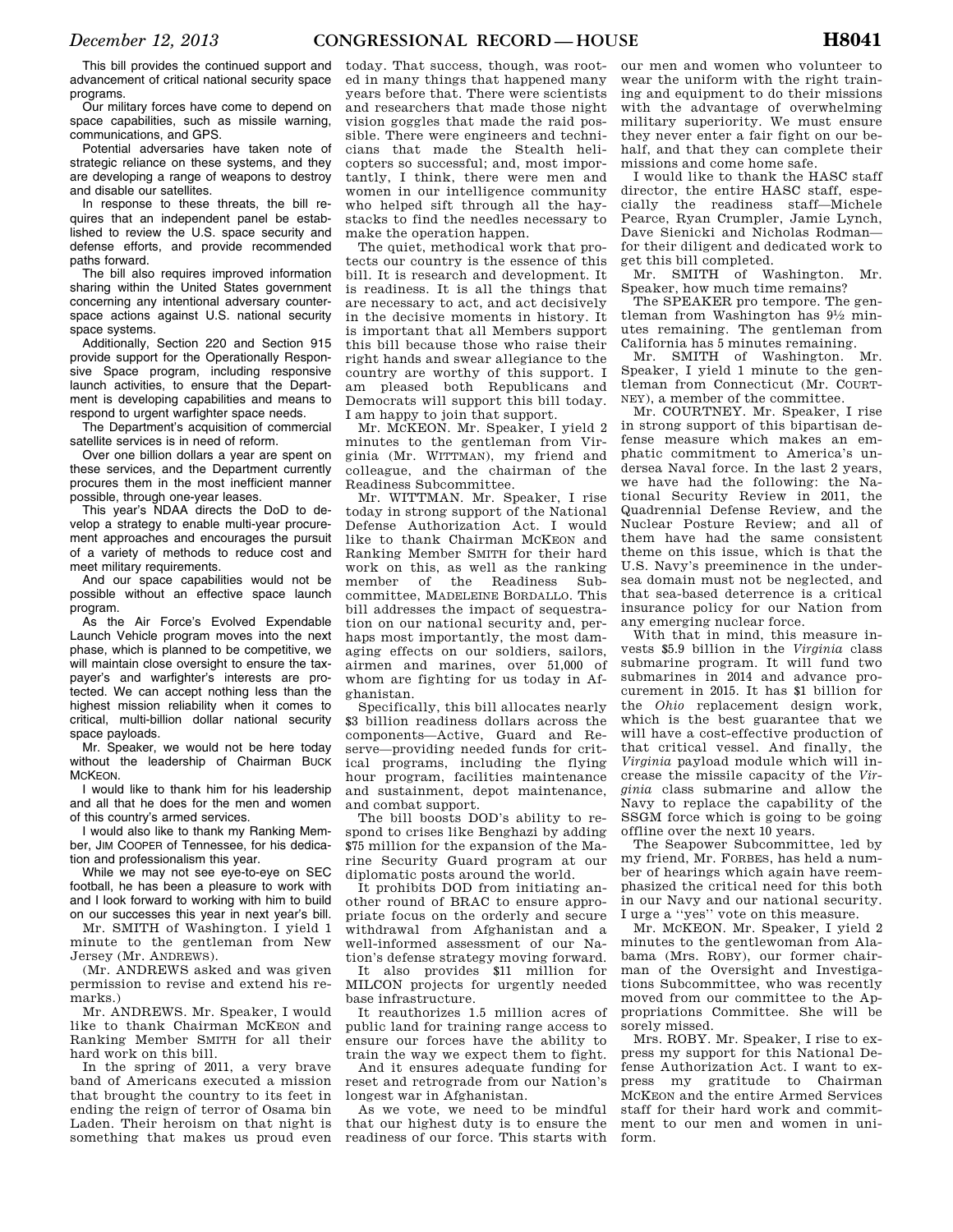This bill provides the continued support and advancement of critical national security space programs.

Our military forces have come to depend on space capabilities, such as missile warning, communications, and GPS.

Potential adversaries have taken note of strategic reliance on these systems, and they are developing a range of weapons to destroy and disable our satellites.

In response to these threats, the bill requires that an independent panel be established to review the U.S. space security and defense efforts, and provide recommended paths forward.

The bill also requires improved information sharing within the United States government concerning any intentional adversary counterspace actions against U.S. national security space systems.

Additionally, Section 220 and Section 915 provide support for the Operationally Responsive Space program, including responsive launch activities, to ensure that the Department is developing capabilities and means to respond to urgent warfighter space needs.

The Department's acquisition of commercial satellite services is in need of reform.

Over one billion dollars a year are spent on these services, and the Department currently procures them in the most inefficient manner possible, through one-year leases.

This year's NDAA directs the DoD to develop a strategy to enable multi-year procurement approaches and encourages the pursuit of a variety of methods to reduce cost and meet military requirements.

And our space capabilities would not be possible without an effective space launch program.

As the Air Force's Evolved Expendable Launch Vehicle program moves into the next phase, which is planned to be competitive, we will maintain close oversight to ensure the taxpayer's and warfighter's interests are protected. We can accept nothing less than the highest mission reliability when it comes to critical, multi-billion dollar national security space payloads.

Mr. Speaker, we would not be here today without the leadership of Chairman BUCK MCKEON.

I would like to thank him for his leadership and all that he does for the men and women of this country's armed services.

I would also like to thank my Ranking Member, JIM COOPER of Tennessee, for his dedication and professionalism this year.

While we may not see eye-to-eye on SEC football, he has been a pleasure to work with and I look forward to working with him to build on our successes this year in next year's bill.

Mr. SMITH of Washington. I yield 1 minute to the gentleman from New Jersey (Mr. ANDREWS).

(Mr. ANDREWS asked and was given permission to revise and extend his remarks.)

Mr. ANDREWS. Mr. Speaker, I would like to thank Chairman MCKEON and Ranking Member SMITH for all their hard work on this bill.

In the spring of 2011, a very brave band of Americans executed a mission that brought the country to its feet in ending the reign of terror of Osama bin Laden. Their heroism on that night is something that makes us proud even

today. That success, though, was rooted in many things that happened many years before that. There were scientists and researchers that made those night vision goggles that made the raid possible. There were engineers and technicians that made the Stealth helicopters so successful; and, most importantly, I think, there were men and women in our intelligence community who helped sift through all the haystacks to find the needles necessary to make the operation happen.

The quiet, methodical work that protects our country is the essence of this bill. It is research and development. It is readiness. It is all the things that are necessary to act, and act decisively in the decisive moments in history. It is important that all Members support this bill because those who raise their right hands and swear allegiance to the country are worthy of this support. I am pleased both Republicans and Democrats will support this bill today. I am happy to join that support.

Mr. MCKEON. Mr. Speaker, I yield 2 minutes to the gentleman from Virginia (Mr. WITTMAN), my friend and colleague, and the chairman of the Readiness Subcommittee.

Mr. WITTMAN. Mr. Speaker, I rise today in strong support of the National Defense Authorization Act. I would like to thank Chairman MCKEON and Ranking Member SMITH for their hard work on this, as well as the ranking member of the Readiness Subcommittee, MADELEINE BORDALLO. This bill addresses the impact of sequestration on our national security and, perhaps most importantly, the most damaging effects on our soldiers, sailors, airmen and marines, over 51,000 of whom are fighting for us today in Afghanistan.

Specifically, this bill allocates nearly \$3 billion readiness dollars across the components—Active, Guard and Reserve—providing needed funds for critical programs, including the flying hour program, facilities maintenance and sustainment, depot maintenance, and combat support.

The bill boosts DOD's ability to respond to crises like Benghazi by adding \$75 million for the expansion of the Marine Security Guard program at our diplomatic posts around the world.

It prohibits DOD from initiating another round of BRAC to ensure appropriate focus on the orderly and secure withdrawal from Afghanistan and a well-informed assessment of our Nation's defense strategy moving forward.

It also provides \$11 million for MILCON projects for urgently needed base infrastructure.

It reauthorizes 1.5 million acres of public land for training range access to ensure our forces have the ability to train the way we expect them to fight.

And it ensures adequate funding for reset and retrograde from our Nation's longest war in Afghanistan.

As we vote, we need to be mindful that our highest duty is to ensure the readiness of our force. This starts with

our men and women who volunteer to wear the uniform with the right training and equipment to do their missions with the advantage of overwhelming military superiority. We must ensure they never enter a fair fight on our behalf, and that they can complete their missions and come home safe.

I would like to thank the HASC staff director, the entire HASC staff, especially the readiness staff—Michele Pearce, Ryan Crumpler, Jamie Lynch, Dave Sienicki and Nicholas Rodman for their diligent and dedicated work to get this bill completed.

Mr. SMITH of Washington. Mr. Speaker, how much time remains?

The SPEAKER pro tempore. The gentleman from Washington has 91⁄2 minutes remaining. The gentleman from California has 5 minutes remaining.

Mr. SMITH of Washington. Mr. Speaker, I yield 1 minute to the gentleman from Connecticut (Mr. COURT-NEY), a member of the committee.

Mr. COURTNEY. Mr. Speaker, I rise in strong support of this bipartisan defense measure which makes an emphatic commitment to America's undersea Naval force. In the last 2 years, we have had the following: the National Security Review in 2011, the Quadrennial Defense Review, and the Nuclear Posture Review; and all of them have had the same consistent theme on this issue, which is that the U.S. Navy's preeminence in the undersea domain must not be neglected, and that sea-based deterrence is a critical insurance policy for our Nation from any emerging nuclear force.

With that in mind, this measure invests \$5.9 billion in the *Virginia* class submarine program. It will fund two submarines in 2014 and advance procurement in 2015. It has \$1 billion for the *Ohio* replacement design work, which is the best guarantee that we will have a cost-effective production of that critical vessel. And finally, the *Virginia* payload module which will increase the missile capacity of the *Virginia* class submarine and allow the Navy to replace the capability of the SSGM force which is going to be going offline over the next 10 years.

The Seapower Subcommittee, led by my friend, Mr. FORBES, has held a number of hearings which again have reemphasized the critical need for this both in our Navy and our national security. I urge a ''yes'' vote on this measure.

Mr. MCKEON. Mr. Speaker, I yield 2 minutes to the gentlewoman from Alabama (Mrs. ROBY), our former chairman of the Oversight and Investigations Subcommittee, who was recently moved from our committee to the Appropriations Committee. She will be sorely missed.

Mrs. ROBY. Mr. Speaker, I rise to express my support for this National Defense Authorization Act. I want to express my gratitude to Chairman MCKEON and the entire Armed Services staff for their hard work and commitment to our men and women in uniform.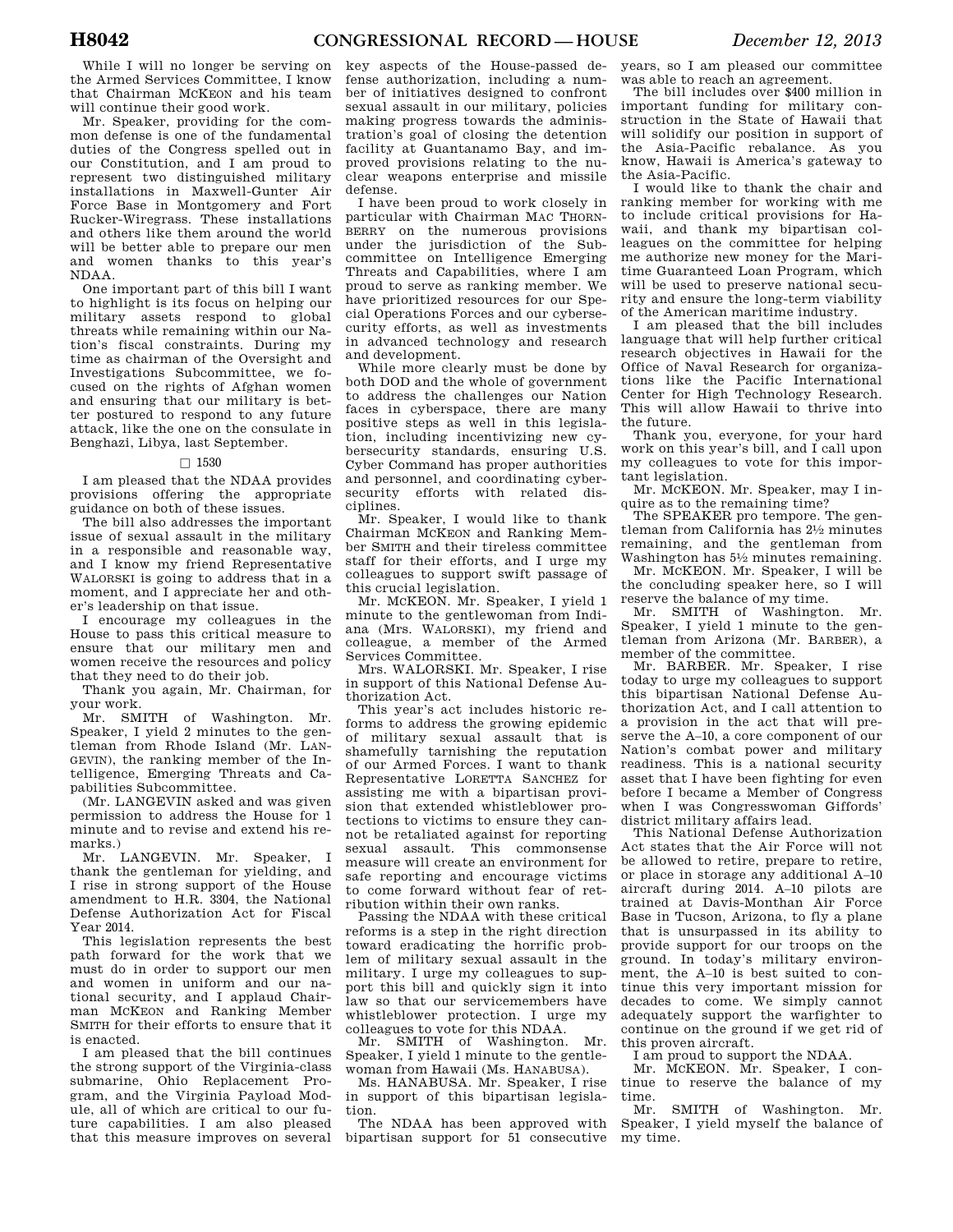While I will no longer be serving on the Armed Services Committee, I know that Chairman MCKEON and his team will continue their good work.

Mr. Speaker, providing for the common defense is one of the fundamental duties of the Congress spelled out in our Constitution, and I am proud to represent two distinguished military installations in Maxwell-Gunter Air Force Base in Montgomery and Fort Rucker-Wiregrass. These installations and others like them around the world will be better able to prepare our men and women thanks to this year's NDAA.

One important part of this bill I want to highlight is its focus on helping our military assets respond to global threats while remaining within our Nation's fiscal constraints. During my time as chairman of the Oversight and Investigations Subcommittee, we focused on the rights of Afghan women and ensuring that our military is better postured to respond to any future attack, like the one on the consulate in Benghazi, Libya, last September.

#### $\Box$  1530

I am pleased that the NDAA provides provisions offering the appropriate guidance on both of these issues.

The bill also addresses the important issue of sexual assault in the military in a responsible and reasonable way, and I know my friend Representative WALORSKI is going to address that in a moment, and I appreciate her and other's leadership on that issue.

I encourage my colleagues in the House to pass this critical measure to ensure that our military men and women receive the resources and policy that they need to do their job.

Thank you again, Mr. Chairman, for your work.

Mr. SMITH of Washington. Mr. Speaker, I yield 2 minutes to the gentleman from Rhode Island (Mr. LAN-GEVIN), the ranking member of the Intelligence, Emerging Threats and Capabilities Subcommittee.

(Mr. LANGEVIN asked and was given permission to address the House for 1 minute and to revise and extend his remarks.)

Mr. LANGEVIN. Mr. Speaker, I thank the gentleman for yielding, and I rise in strong support of the House amendment to H.R. 3304, the National Defense Authorization Act for Fiscal Year 2014.

This legislation represents the best path forward for the work that we must do in order to support our men and women in uniform and our national security, and I applaud Chairman MCKEON and Ranking Member SMITH for their efforts to ensure that it is enacted.

I am pleased that the bill continues the strong support of the Virginia-class submarine, Ohio Replacement Program, and the Virginia Payload Module, all of which are critical to our future capabilities. I am also pleased that this measure improves on several

key aspects of the House-passed defense authorization, including a number of initiatives designed to confront sexual assault in our military, policies making progress towards the administration's goal of closing the detention facility at Guantanamo Bay, and improved provisions relating to the nuclear weapons enterprise and missile defense.

I have been proud to work closely in particular with Chairman MAC THORN-BERRY on the numerous provisions under the jurisdiction of the Subcommittee on Intelligence Emerging Threats and Capabilities, where I am proud to serve as ranking member. We have prioritized resources for our Special Operations Forces and our cybersecurity efforts, as well as investments in advanced technology and research and development.

While more clearly must be done by both DOD and the whole of government to address the challenges our Nation faces in cyberspace, there are many positive steps as well in this legislation, including incentivizing new cybersecurity standards, ensuring U.S. Cyber Command has proper authorities and personnel, and coordinating cybersecurity efforts with related disciplines.

Mr. Speaker, I would like to thank Chairman MCKEON and Ranking Member SMITH and their tireless committee staff for their efforts, and I urge my colleagues to support swift passage of this crucial legislation.

Mr. MCKEON. Mr. Speaker, I yield 1 minute to the gentlewoman from Indiana (Mrs. WALORSKI), my friend and colleague, a member of the Armed Services Committee.

Mrs. WALORSKI. Mr. Speaker, I rise in support of this National Defense Authorization Act.

This year's act includes historic reforms to address the growing epidemic of military sexual assault that is shamefully tarnishing the reputation of our Armed Forces. I want to thank Representative LORETTA SANCHEZ for assisting me with a bipartisan provision that extended whistleblower protections to victims to ensure they cannot be retaliated against for reporting sexual assault. This commonsense measure will create an environment for safe reporting and encourage victims to come forward without fear of retribution within their own ranks.

Passing the NDAA with these critical reforms is a step in the right direction toward eradicating the horrific problem of military sexual assault in the military. I urge my colleagues to support this bill and quickly sign it into law so that our servicemembers have whistleblower protection. I urge my colleagues to vote for this NDAA.

Mr. SMITH of Washington. Mr. Speaker, I yield 1 minute to the gentlewoman from Hawaii (Ms. HANABUSA).

Ms. HANABUSA. Mr. Speaker, I rise in support of this bipartisan legislation.

The NDAA has been approved with bipartisan support for 51 consecutive years, so I am pleased our committee was able to reach an agreement.

The bill includes over \$400 million in important funding for military construction in the State of Hawaii that will solidify our position in support of the Asia-Pacific rebalance. As you know, Hawaii is America's gateway to the Asia-Pacific.

I would like to thank the chair and ranking member for working with me to include critical provisions for Hawaii, and thank my bipartisan colleagues on the committee for helping me authorize new money for the Maritime Guaranteed Loan Program, which will be used to preserve national security and ensure the long-term viability of the American maritime industry.

I am pleased that the bill includes language that will help further critical research objectives in Hawaii for the Office of Naval Research for organizations like the Pacific International Center for High Technology Research. This will allow Hawaii to thrive into the future.

Thank you, everyone, for your hard work on this year's bill, and I call upon my colleagues to vote for this important legislation.

Mr. MCKEON. Mr. Speaker, may I inquire as to the remaining time?

The SPEAKER pro tempore. The gentleman from California has 21⁄2 minutes remaining, and the gentleman from Washington has 51⁄2 minutes remaining.

Mr. MCKEON. Mr. Speaker, I will be the concluding speaker here, so I will reserve the balance of my time.

Mr. SMITH of Washington. Mr. Speaker, I yield 1 minute to the gentleman from Arizona (Mr. BARBER), a member of the committee.

Mr. BARBER. Mr. Speaker, I rise today to urge my colleagues to support this bipartisan National Defense Authorization Act, and I call attention to a provision in the act that will preserve the A–10, a core component of our Nation's combat power and military readiness. This is a national security asset that I have been fighting for even before I became a Member of Congress when I was Congresswoman Giffords' district military affairs lead.

This National Defense Authorization Act states that the Air Force will not be allowed to retire, prepare to retire, or place in storage any additional A–10 aircraft during 2014. A–10 pilots are trained at Davis-Monthan Air Force Base in Tucson, Arizona, to fly a plane that is unsurpassed in its ability to provide support for our troops on the ground. In today's military environment, the A–10 is best suited to continue this very important mission for decades to come. We simply cannot adequately support the warfighter to continue on the ground if we get rid of this proven aircraft.

I am proud to support the NDAA.

Mr. MCKEON. Mr. Speaker, I continue to reserve the balance of my time.

Mr. SMITH of Washington. Mr. Speaker, I yield myself the balance of my time.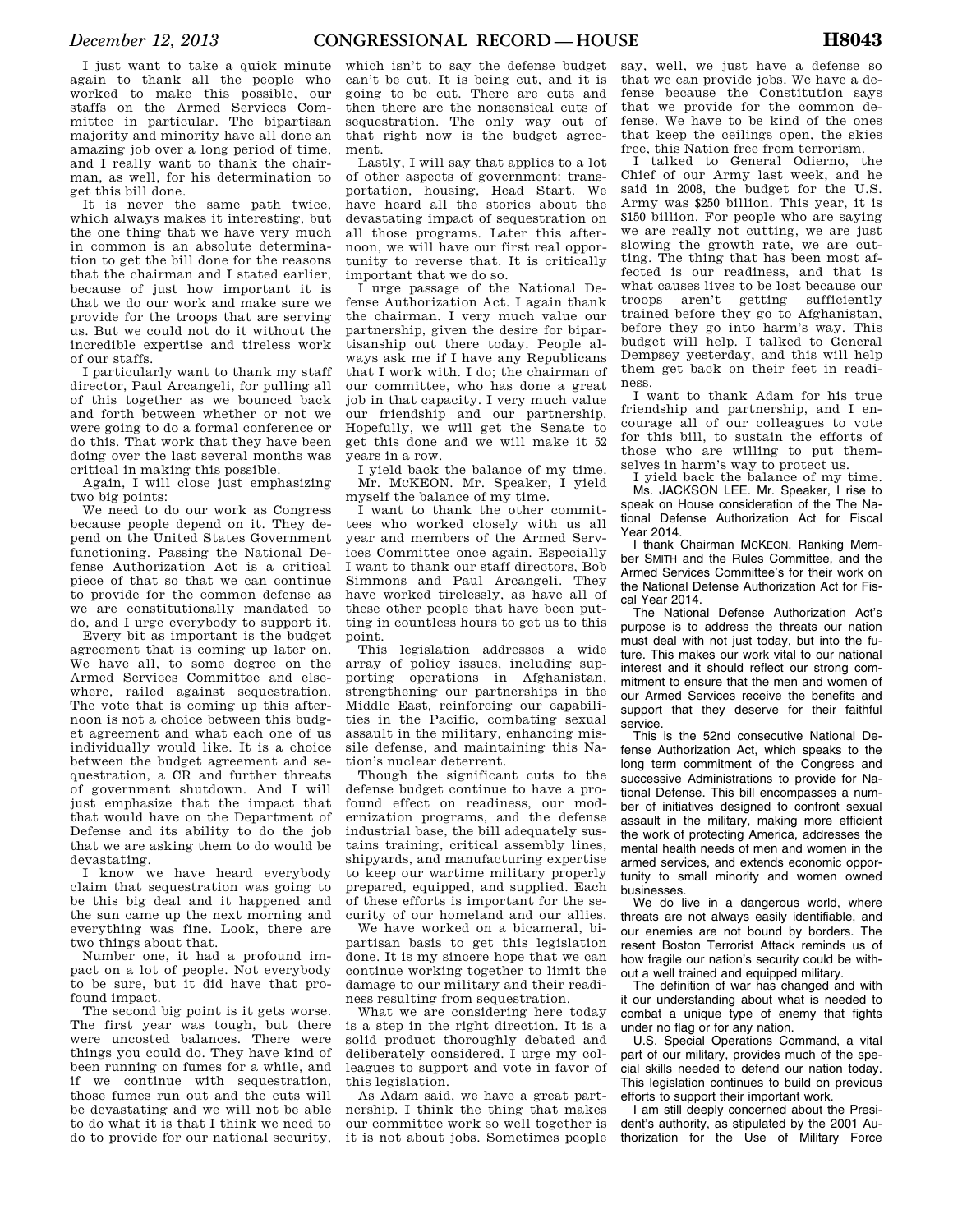I just want to take a quick minute again to thank all the people who worked to make this possible, our staffs on the Armed Services Committee in particular. The bipartisan majority and minority have all done an amazing job over a long period of time, and I really want to thank the chairman, as well, for his determination to get this bill done.

It is never the same path twice, which always makes it interesting, but the one thing that we have very much in common is an absolute determination to get the bill done for the reasons that the chairman and I stated earlier, because of just how important it is that we do our work and make sure we provide for the troops that are serving us. But we could not do it without the incredible expertise and tireless work of our staffs.

I particularly want to thank my staff director, Paul Arcangeli, for pulling all of this together as we bounced back and forth between whether or not we were going to do a formal conference or do this. That work that they have been doing over the last several months was critical in making this possible.

Again, I will close just emphasizing two big points:

We need to do our work as Congress because people depend on it. They depend on the United States Government functioning. Passing the National Defense Authorization Act is a critical piece of that so that we can continue to provide for the common defense as we are constitutionally mandated to do, and I urge everybody to support it.

Every bit as important is the budget agreement that is coming up later on. We have all, to some degree on the Armed Services Committee and elsewhere, railed against sequestration. The vote that is coming up this afternoon is not a choice between this budget agreement and what each one of us individually would like. It is a choice between the budget agreement and sequestration, a CR and further threats of government shutdown. And I will just emphasize that the impact that that would have on the Department of Defense and its ability to do the job that we are asking them to do would be devastating.

I know we have heard everybody claim that sequestration was going to be this big deal and it happened and the sun came up the next morning and everything was fine. Look, there are two things about that.

Number one, it had a profound impact on a lot of people. Not everybody to be sure, but it did have that profound impact.

The second big point is it gets worse. The first year was tough, but there were uncosted balances. There were things you could do. They have kind of been running on fumes for a while, and if we continue with sequestration, those fumes run out and the cuts will be devastating and we will not be able to do what it is that I think we need to do to provide for our national security,

which isn't to say the defense budget can't be cut. It is being cut, and it is going to be cut. There are cuts and then there are the nonsensical cuts of sequestration. The only way out of that right now is the budget agreement.

Lastly, I will say that applies to a lot of other aspects of government: transportation, housing, Head Start. We have heard all the stories about the devastating impact of sequestration on all those programs. Later this afternoon, we will have our first real opportunity to reverse that. It is critically important that we do so.

I urge passage of the National Defense Authorization Act. I again thank the chairman. I very much value our partnership, given the desire for bipartisanship out there today. People always ask me if I have any Republicans that I work with. I do; the chairman of our committee, who has done a great job in that capacity. I very much value our friendship and our partnership. Hopefully, we will get the Senate to get this done and we will make it 52 years in a row.

I yield back the balance of my time. Mr. MCKEON. Mr. Speaker, I yield myself the balance of my time.

I want to thank the other committees who worked closely with us all year and members of the Armed Services Committee once again. Especially I want to thank our staff directors, Bob Simmons and Paul Arcangeli. They have worked tirelessly, as have all of these other people that have been putting in countless hours to get us to this point.

This legislation addresses a wide array of policy issues, including supporting operations in Afghanistan, strengthening our partnerships in the Middle East, reinforcing our capabilities in the Pacific, combating sexual assault in the military, enhancing missile defense, and maintaining this Nation's nuclear deterrent.

Though the significant cuts to the defense budget continue to have a profound effect on readiness, our modernization programs, and the defense industrial base, the bill adequately sustains training, critical assembly lines, shipyards, and manufacturing expertise to keep our wartime military properly prepared, equipped, and supplied. Each of these efforts is important for the security of our homeland and our allies.

We have worked on a bicameral, bipartisan basis to get this legislation done. It is my sincere hope that we can continue working together to limit the damage to our military and their readiness resulting from sequestration.

What we are considering here today is a step in the right direction. It is a solid product thoroughly debated and deliberately considered. I urge my colleagues to support and vote in favor of this legislation.

As Adam said, we have a great partnership. I think the thing that makes our committee work so well together is it is not about jobs. Sometimes people

say, well, we just have a defense so that we can provide jobs. We have a defense because the Constitution says that we provide for the common defense. We have to be kind of the ones that keep the ceilings open, the skies free, this Nation free from terrorism.

I talked to General Odierno, the Chief of our Army last week, and he said in 2008, the budget for the U.S. Army was \$250 billion. This year, it is \$150 billion. For people who are saying we are really not cutting, we are just slowing the growth rate, we are cutting. The thing that has been most affected is our readiness, and that is what causes lives to be lost because our troops aren't getting sufficiently trained before they go to Afghanistan, before they go into harm's way. This budget will help. I talked to General Dempsey yesterday, and this will help them get back on their feet in readiness.

I want to thank Adam for his true friendship and partnership, and I encourage all of our colleagues to vote for this bill, to sustain the efforts of those who are willing to put themselves in harm's way to protect us.

I yield back the balance of my time. Ms. JACKSON LEE. Mr. Speaker, I rise to speak on House consideration of the The National Defense Authorization Act for Fiscal Year 2014.

I thank Chairman MCKEON. Ranking Member SMITH and the Rules Committee, and the Armed Services Committee's for their work on the National Defense Authorization Act for Fiscal Year 2014.

The National Defense Authorization Act's purpose is to address the threats our nation must deal with not just today, but into the future. This makes our work vital to our national interest and it should reflect our strong commitment to ensure that the men and women of our Armed Services receive the benefits and support that they deserve for their faithful service.

This is the 52nd consecutive National Defense Authorization Act, which speaks to the long term commitment of the Congress and successive Administrations to provide for National Defense. This bill encompasses a number of initiatives designed to confront sexual assault in the military, making more efficient the work of protecting America, addresses the mental health needs of men and women in the armed services, and extends economic opportunity to small minority and women owned businesses.

We do live in a dangerous world, where threats are not always easily identifiable, and our enemies are not bound by borders. The resent Boston Terrorist Attack reminds us of how fragile our nation's security could be without a well trained and equipped military.

The definition of war has changed and with it our understanding about what is needed to combat a unique type of enemy that fights under no flag or for any nation.

U.S. Special Operations Command, a vital part of our military, provides much of the special skills needed to defend our nation today. This legislation continues to build on previous efforts to support their important work.

I am still deeply concerned about the President's authority, as stipulated by the 2001 Authorization for the Use of Military Force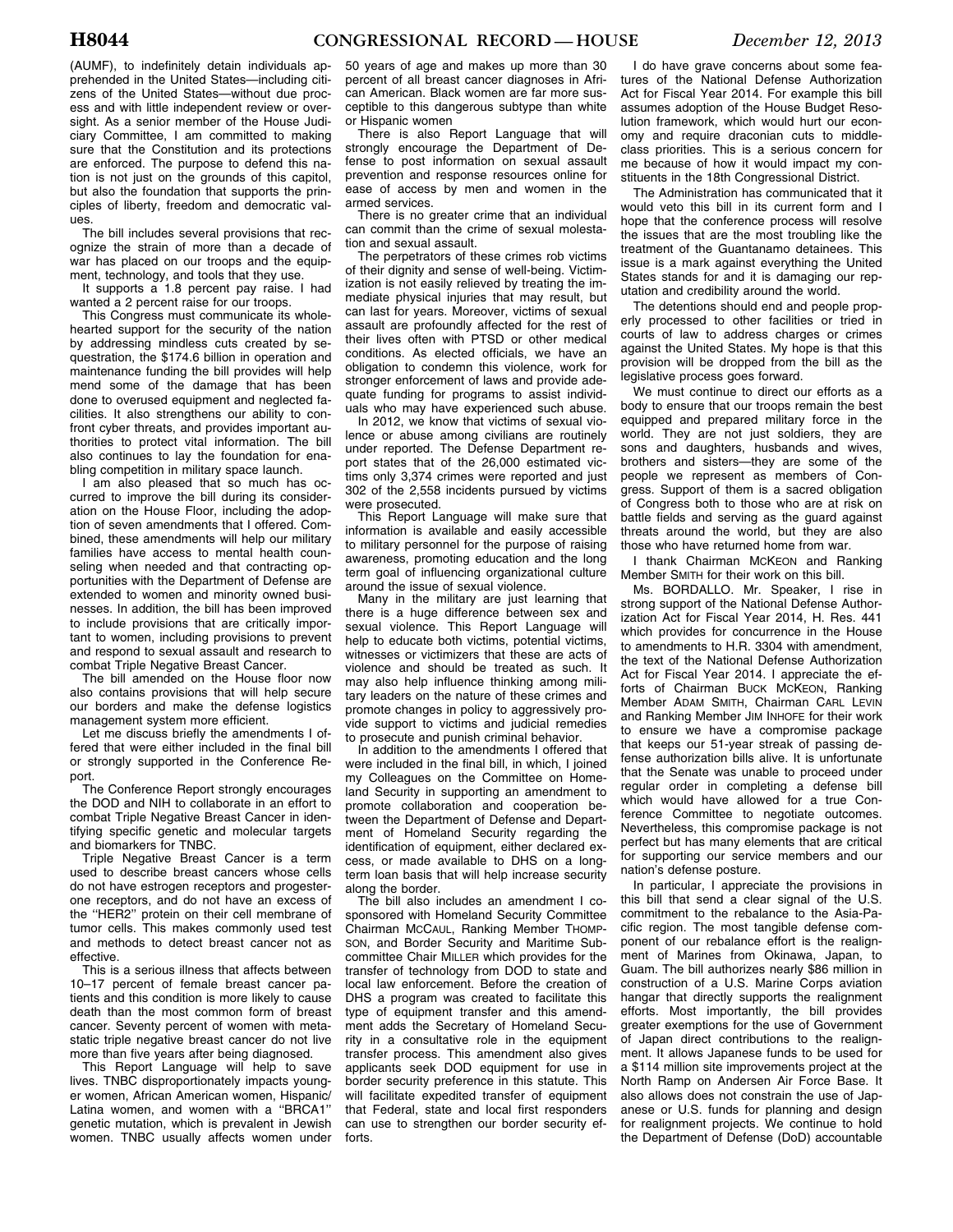The bill includes several provisions that recognize the strain of more than a decade of war has placed on our troops and the equipment, technology, and tools that they use.

It supports a 1.8 percent pay raise. I had wanted a 2 percent raise for our troops.

This Congress must communicate its wholehearted support for the security of the nation by addressing mindless cuts created by sequestration, the \$174.6 billion in operation and maintenance funding the bill provides will help mend some of the damage that has been done to overused equipment and neglected facilities. It also strengthens our ability to confront cyber threats, and provides important authorities to protect vital information. The bill also continues to lay the foundation for enabling competition in military space launch.

I am also pleased that so much has occurred to improve the bill during its consideration on the House Floor, including the adoption of seven amendments that I offered. Combined, these amendments will help our military families have access to mental health counseling when needed and that contracting opportunities with the Department of Defense are extended to women and minority owned businesses. In addition, the bill has been improved to include provisions that are critically important to women, including provisions to prevent and respond to sexual assault and research to combat Triple Negative Breast Cancer.

The bill amended on the House floor now also contains provisions that will help secure our borders and make the defense logistics management system more efficient.

Let me discuss briefly the amendments I offered that were either included in the final bill or strongly supported in the Conference Report.

The Conference Report strongly encourages the DOD and NIH to collaborate in an effort to combat Triple Negative Breast Cancer in identifying specific genetic and molecular targets and biomarkers for TNBC.

Triple Negative Breast Cancer is a term used to describe breast cancers whose cells do not have estrogen receptors and progesterone receptors, and do not have an excess of the ''HER2'' protein on their cell membrane of tumor cells. This makes commonly used test and methods to detect breast cancer not as effective.

This is a serious illness that affects between 10–17 percent of female breast cancer patients and this condition is more likely to cause death than the most common form of breast cancer. Seventy percent of women with metastatic triple negative breast cancer do not live more than five years after being diagnosed.

This Report Language will help to save lives. TNBC disproportionately impacts younger women, African American women, Hispanic/ Latina women, and women with a ''BRCA1'' genetic mutation, which is prevalent in Jewish women. TNBC usually affects women under

50 years of age and makes up more than 30 percent of all breast cancer diagnoses in African American. Black women are far more susceptible to this dangerous subtype than white or Hispanic women

There is also Report Language that will strongly encourage the Department of Defense to post information on sexual assault prevention and response resources online for ease of access by men and women in the armed services.

There is no greater crime that an individual can commit than the crime of sexual molestation and sexual assault.

The perpetrators of these crimes rob victims of their dignity and sense of well-being. Victimization is not easily relieved by treating the immediate physical injuries that may result, but can last for years. Moreover, victims of sexual assault are profoundly affected for the rest of their lives often with PTSD or other medical conditions. As elected officials, we have an obligation to condemn this violence, work for stronger enforcement of laws and provide adequate funding for programs to assist individuals who may have experienced such abuse.

In 2012, we know that victims of sexual violence or abuse among civilians are routinely under reported. The Defense Department report states that of the 26,000 estimated victims only 3,374 crimes were reported and just 302 of the 2,558 incidents pursued by victims were prosecuted.

This Report Language will make sure that information is available and easily accessible to military personnel for the purpose of raising awareness, promoting education and the long term goal of influencing organizational culture around the issue of sexual violence.

Many in the military are just learning that there is a huge difference between sex and sexual violence. This Report Language will help to educate both victims, potential victims, witnesses or victimizers that these are acts of violence and should be treated as such. It may also help influence thinking among military leaders on the nature of these crimes and promote changes in policy to aggressively provide support to victims and judicial remedies to prosecute and punish criminal behavior.

In addition to the amendments I offered that were included in the final bill, in which, I joined my Colleagues on the Committee on Homeland Security in supporting an amendment to promote collaboration and cooperation between the Department of Defense and Department of Homeland Security regarding the identification of equipment, either declared excess, or made available to DHS on a longterm loan basis that will help increase security along the border.

The bill also includes an amendment I cosponsored with Homeland Security Committee Chairman MCCAUL, Ranking Member THOMP-SON, and Border Security and Maritime Subcommittee Chair MILLER which provides for the transfer of technology from DOD to state and local law enforcement. Before the creation of DHS a program was created to facilitate this type of equipment transfer and this amendment adds the Secretary of Homeland Security in a consultative role in the equipment transfer process. This amendment also gives applicants seek DOD equipment for use in border security preference in this statute. This will facilitate expedited transfer of equipment that Federal, state and local first responders can use to strengthen our border security efforts.

I do have grave concerns about some features of the National Defense Authorization Act for Fiscal Year 2014. For example this bill assumes adoption of the House Budget Resolution framework, which would hurt our economy and require draconian cuts to middleclass priorities. This is a serious concern for me because of how it would impact my constituents in the 18th Congressional District.

The Administration has communicated that it would veto this bill in its current form and I hope that the conference process will resolve the issues that are the most troubling like the treatment of the Guantanamo detainees. This issue is a mark against everything the United States stands for and it is damaging our reputation and credibility around the world.

The detentions should end and people properly processed to other facilities or tried in courts of law to address charges or crimes against the United States. My hope is that this provision will be dropped from the bill as the legislative process goes forward.

We must continue to direct our efforts as a body to ensure that our troops remain the best equipped and prepared military force in the world. They are not just soldiers, they are sons and daughters, husbands and wives, brothers and sisters—they are some of the people we represent as members of Congress. Support of them is a sacred obligation of Congress both to those who are at risk on battle fields and serving as the guard against threats around the world, but they are also those who have returned home from war.

I thank Chairman MCKEON and Ranking Member SMITH for their work on this bill.

Ms. BORDALLO. Mr. Speaker, I rise in strong support of the National Defense Authorization Act for Fiscal Year 2014, H. Res. 441 which provides for concurrence in the House to amendments to H.R. 3304 with amendment, the text of the National Defense Authorization Act for Fiscal Year 2014. I appreciate the efforts of Chairman BUCK MCKEON, Ranking Member ADAM SMITH, Chairman CARL LEVIN and Ranking Member JIM INHOFE for their work to ensure we have a compromise package that keeps our 51-year streak of passing defense authorization bills alive. It is unfortunate that the Senate was unable to proceed under regular order in completing a defense bill which would have allowed for a true Conference Committee to negotiate outcomes. Nevertheless, this compromise package is not perfect but has many elements that are critical for supporting our service members and our nation's defense posture.

In particular, I appreciate the provisions in this bill that send a clear signal of the U.S. commitment to the rebalance to the Asia-Pacific region. The most tangible defense component of our rebalance effort is the realignment of Marines from Okinawa, Japan, to Guam. The bill authorizes nearly \$86 million in construction of a U.S. Marine Corps aviation hangar that directly supports the realignment efforts. Most importantly, the bill provides greater exemptions for the use of Government of Japan direct contributions to the realignment. It allows Japanese funds to be used for a \$114 million site improvements project at the North Ramp on Andersen Air Force Base. It also allows does not constrain the use of Japanese or U.S. funds for planning and design for realignment projects. We continue to hold the Department of Defense (DoD) accountable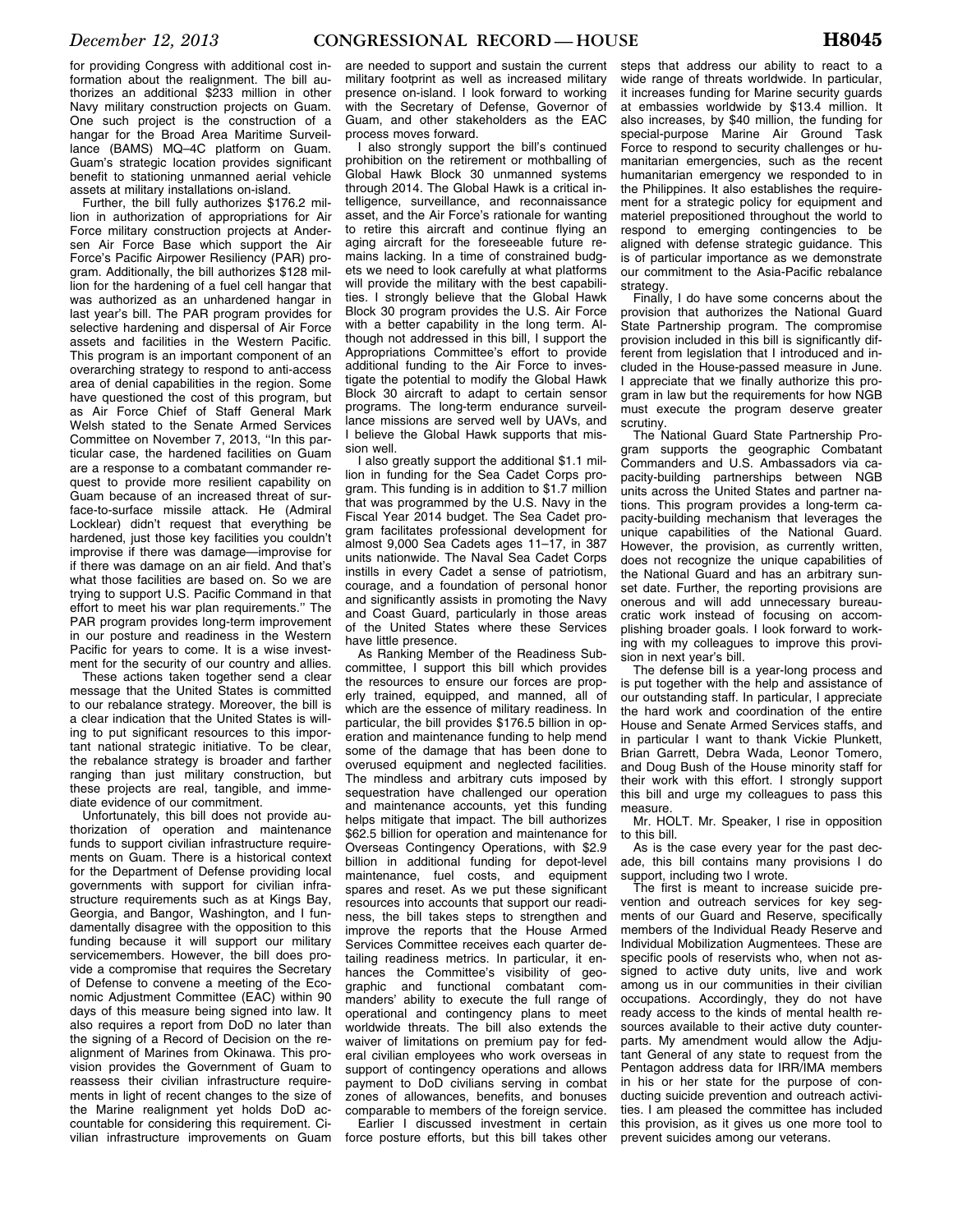for providing Congress with additional cost information about the realignment. The bill authorizes an additional \$233 million in other Navy military construction projects on Guam. One such project is the construction of a hangar for the Broad Area Maritime Surveillance (BAMS) MQ–4C platform on Guam. Guam's strategic location provides significant benefit to stationing unmanned aerial vehicle assets at military installations on-island.

Further, the bill fully authorizes \$176.2 million in authorization of appropriations for Air Force military construction projects at Andersen Air Force Base which support the Air Force's Pacific Airpower Resiliency (PAR) program. Additionally, the bill authorizes \$128 million for the hardening of a fuel cell hangar that was authorized as an unhardened hangar in last year's bill. The PAR program provides for selective hardening and dispersal of Air Force assets and facilities in the Western Pacific. This program is an important component of an overarching strategy to respond to anti-access area of denial capabilities in the region. Some have questioned the cost of this program, but as Air Force Chief of Staff General Mark Welsh stated to the Senate Armed Services Committee on November 7, 2013, ''In this particular case, the hardened facilities on Guam are a response to a combatant commander request to provide more resilient capability on Guam because of an increased threat of surface-to-surface missile attack. He (Admiral Locklear) didn't request that everything be hardened, just those key facilities you couldn't improvise if there was damage—improvise for if there was damage on an air field. And that's what those facilities are based on. So we are trying to support U.S. Pacific Command in that effort to meet his war plan requirements.'' The PAR program provides long-term improvement in our posture and readiness in the Western Pacific for years to come. It is a wise investment for the security of our country and allies.

These actions taken together send a clear message that the United States is committed to our rebalance strategy. Moreover, the bill is a clear indication that the United States is willing to put significant resources to this important national strategic initiative. To be clear, the rebalance strategy is broader and farther ranging than just military construction, but these projects are real, tangible, and immediate evidence of our commitment.

Unfortunately, this bill does not provide authorization of operation and maintenance funds to support civilian infrastructure requirements on Guam. There is a historical context for the Department of Defense providing local governments with support for civilian infrastructure requirements such as at Kings Bay, Georgia, and Bangor, Washington, and I fundamentally disagree with the opposition to this funding because it will support our military servicemembers. However, the bill does provide a compromise that requires the Secretary of Defense to convene a meeting of the Economic Adjustment Committee (EAC) within 90 days of this measure being signed into law. It also requires a report from DoD no later than the signing of a Record of Decision on the realignment of Marines from Okinawa. This provision provides the Government of Guam to reassess their civilian infrastructure requirements in light of recent changes to the size of the Marine realignment yet holds DoD accountable for considering this requirement. Civilian infrastructure improvements on Guam

are needed to support and sustain the current military footprint as well as increased military presence on-island. I look forward to working with the Secretary of Defense, Governor of Guam, and other stakeholders as the EAC process moves forward.

I also strongly support the bill's continued prohibition on the retirement or mothballing of Global Hawk Block 30 unmanned systems through 2014. The Global Hawk is a critical intelligence, surveillance, and reconnaissance asset, and the Air Force's rationale for wanting to retire this aircraft and continue flying an aging aircraft for the foreseeable future remains lacking. In a time of constrained budgets we need to look carefully at what platforms will provide the military with the best capabilities. I strongly believe that the Global Hawk Block 30 program provides the U.S. Air Force with a better capability in the long term. Although not addressed in this bill, I support the Appropriations Committee's effort to provide additional funding to the Air Force to investigate the potential to modify the Global Hawk Block 30 aircraft to adapt to certain sensor programs. The long-term endurance surveillance missions are served well by UAVs, and I believe the Global Hawk supports that mission well.

I also greatly support the additional \$1.1 million in funding for the Sea Cadet Corps program. This funding is in addition to \$1.7 million that was programmed by the U.S. Navy in the Fiscal Year 2014 budget. The Sea Cadet program facilitates professional development for almost 9,000 Sea Cadets ages 11–17, in 387 units nationwide. The Naval Sea Cadet Corps instills in every Cadet a sense of patriotism, courage, and a foundation of personal honor and significantly assists in promoting the Navy and Coast Guard, particularly in those areas of the United States where these Services have little presence.

As Ranking Member of the Readiness Subcommittee, I support this bill which provides the resources to ensure our forces are properly trained, equipped, and manned, all of which are the essence of military readiness. In particular, the bill provides \$176.5 billion in operation and maintenance funding to help mend some of the damage that has been done to overused equipment and neglected facilities. The mindless and arbitrary cuts imposed by sequestration have challenged our operation and maintenance accounts, yet this funding helps mitigate that impact. The bill authorizes \$62.5 billion for operation and maintenance for Overseas Contingency Operations, with \$2.9 billion in additional funding for depot-level maintenance, fuel costs, and equipment spares and reset. As we put these significant resources into accounts that support our readiness, the bill takes steps to strengthen and improve the reports that the House Armed Services Committee receives each quarter detailing readiness metrics. In particular, it enhances the Committee's visibility of geographic and functional combatant commanders' ability to execute the full range of operational and contingency plans to meet worldwide threats. The bill also extends the waiver of limitations on premium pay for federal civilian employees who work overseas in support of contingency operations and allows payment to DoD civilians serving in combat zones of allowances, benefits, and bonuses comparable to members of the foreign service.

Earlier I discussed investment in certain force posture efforts, but this bill takes other

steps that address our ability to react to a wide range of threats worldwide. In particular, it increases funding for Marine security guards at embassies worldwide by \$13.4 million. It also increases, by \$40 million, the funding for special-purpose Marine Air Ground Task Force to respond to security challenges or humanitarian emergencies, such as the recent humanitarian emergency we responded to in the Philippines. It also establishes the requirement for a strategic policy for equipment and materiel prepositioned throughout the world to respond to emerging contingencies to be aligned with defense strategic guidance. This is of particular importance as we demonstrate our commitment to the Asia-Pacific rebalance strategy.

Finally, I do have some concerns about the provision that authorizes the National Guard State Partnership program. The compromise provision included in this bill is significantly different from legislation that I introduced and included in the House-passed measure in June. I appreciate that we finally authorize this program in law but the requirements for how NGB must execute the program deserve greater scrutiny.

The National Guard State Partnership Program supports the geographic Combatant Commanders and U.S. Ambassadors via capacity-building partnerships between NGB units across the United States and partner nations. This program provides a long-term capacity-building mechanism that leverages the unique capabilities of the National Guard. However, the provision, as currently written, does not recognize the unique capabilities of the National Guard and has an arbitrary sunset date. Further, the reporting provisions are onerous and will add unnecessary bureaucratic work instead of focusing on accomplishing broader goals. I look forward to working with my colleagues to improve this provision in next year's bill.

The defense bill is a year-long process and is put together with the help and assistance of our outstanding staff. In particular, I appreciate the hard work and coordination of the entire House and Senate Armed Services staffs, and in particular I want to thank Vickie Plunkett, Brian Garrett, Debra Wada, Leonor Tomero, and Doug Bush of the House minority staff for their work with this effort. I strongly support this bill and urge my colleagues to pass this measure.

Mr. HOLT. Mr. Speaker, I rise in opposition to this bill.

As is the case every year for the past decade, this bill contains many provisions I do support, including two I wrote.

The first is meant to increase suicide prevention and outreach services for key segments of our Guard and Reserve, specifically members of the Individual Ready Reserve and Individual Mobilization Augmentees. These are specific pools of reservists who, when not assigned to active duty units, live and work among us in our communities in their civilian occupations. Accordingly, they do not have ready access to the kinds of mental health resources available to their active duty counterparts. My amendment would allow the Adjutant General of any state to request from the Pentagon address data for IRR/IMA members in his or her state for the purpose of conducting suicide prevention and outreach activities. I am pleased the committee has included this provision, as it gives us one more tool to prevent suicides among our veterans.